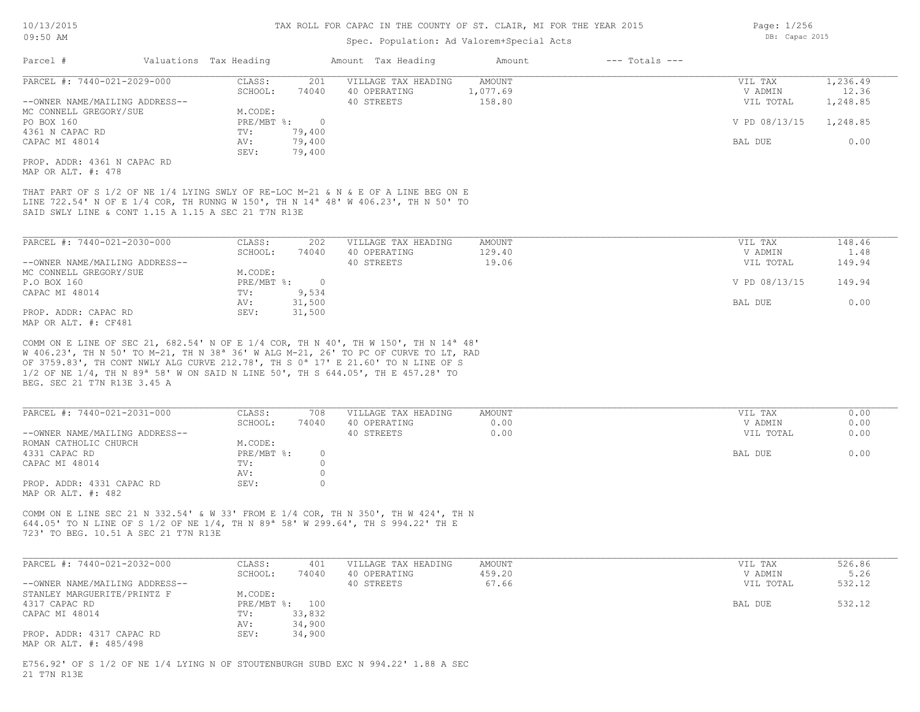## Spec. Population: Ad Valorem+Special Acts

| Parcel #                       |  | Valuations Tax Heading |        | Amount Tax Heading  | Amount   | $---$ Totals $---$ |               |          |
|--------------------------------|--|------------------------|--------|---------------------|----------|--------------------|---------------|----------|
| PARCEL #: 7440-021-2029-000    |  | CLASS:                 | 201    | VILLAGE TAX HEADING | AMOUNT   |                    | VIL TAX       | 1,236.49 |
|                                |  | SCHOOL:                | 74040  | 40 OPERATING        | 1,077.69 |                    | V ADMIN       | 12.36    |
| --OWNER NAME/MAILING ADDRESS-- |  |                        |        | 40 STREETS          | 158.80   |                    | VIL TOTAL     | 1,248.85 |
| MC CONNELL GREGORY/SUE         |  | M.CODE:                |        |                     |          |                    |               |          |
| PO BOX 160                     |  | PRE/MBT %:             |        |                     |          |                    | V PD 08/13/15 | 1,248.85 |
| 4361 N CAPAC RD                |  | TV:                    | 79,400 |                     |          |                    |               |          |
| CAPAC MI 48014                 |  | AV:                    | 79,400 |                     |          |                    | BAL DUE       | 0.00     |
|                                |  | SEV:                   | 79,400 |                     |          |                    |               |          |
| PROP. ADDR: 4361 N CAPAC RD    |  |                        |        |                     |          |                    |               |          |

MAP OR ALT. #: 478

SAID SWLY LINE & CONT 1.15 A 1.15 A SEC 21 T7N R13E LINE 722.54' N OF E 1/4 COR, TH RUNNG W 150', TH N 14ª 48' W 406.23', TH N 50' TO THAT PART OF S 1/2 OF NE 1/4 LYING SWLY OF RE-LOC M-21 & N & E OF A LINE BEG ON E

| PARCEL #: 7440-021-2030-000    | CLASS:     | 202    | VILLAGE TAX HEADING | AMOUNT | VIL TAX       | 148.46 |
|--------------------------------|------------|--------|---------------------|--------|---------------|--------|
|                                | SCHOOL:    | 74040  | 40 OPERATING        | 129.40 | V ADMIN       | 1.48   |
| --OWNER NAME/MAILING ADDRESS-- |            |        | 40 STREETS          | 19.06  | VIL TOTAL     | 149.94 |
| MC CONNELL GREGORY/SUE         | M.CODE:    |        |                     |        |               |        |
| P.O BOX 160                    | PRE/MBT %: |        |                     |        | V PD 08/13/15 | 149.94 |
| CAPAC MI 48014                 | TV:        | 9,534  |                     |        |               |        |
|                                | AV:        | 31,500 |                     |        | BAL DUE       | 0.00   |
| PROP. ADDR: CAPAC RD           | SEV:       | 31,500 |                     |        |               |        |
| MAP OR ALT. #: CF481           |            |        |                     |        |               |        |

BEG. SEC 21 T7N R13E 3.45 A 1/2 OF NE 1/4, TH N 89ª 58' W ON SAID N LINE 50', TH S 644.05', TH E 457.28' TO OF 3759.83', TH CONT NWLY ALG CURVE 212.78', TH S 0ª 17' E 21.60' TO N LINE OF S W 406.23', TH N 50' TO M-21, TH N 38ª 36' W ALG M-21, 26' TO PC OF CURVE TO LT, RAD COMM ON E LINE OF SEC 21, 682.54' N OF E 1/4 COR, TH N 40', TH W 150', TH N 14ª 48'

| PARCEL #: 7440-021-2031-000    | CLASS:     | 708   | VILLAGE TAX HEADING | AMOUNT | VIL TAX   | 0.00 |
|--------------------------------|------------|-------|---------------------|--------|-----------|------|
|                                | SCHOOL:    | 74040 | 40 OPERATING        | 0.00   | V ADMIN   | 0.00 |
| --OWNER NAME/MAILING ADDRESS-- |            |       | 40 STREETS          | 0.00   | VIL TOTAL | 0.00 |
| ROMAN CATHOLIC CHURCH          | M.CODE:    |       |                     |        |           |      |
| 4331 CAPAC RD                  | PRE/MBT %: |       |                     |        | BAL DUE   | 0.00 |
| CAPAC MI 48014                 | TV:        |       |                     |        |           |      |
|                                | AV:        |       |                     |        |           |      |
| PROP. ADDR: 4331 CAPAC RD      | SEV:       |       |                     |        |           |      |
| MAP OR ALT. #: 482             |            |       |                     |        |           |      |

723' TO BEG. 10.51 A SEC 21 T7N R13E 644.05' TO N LINE OF S 1/2 OF NE 1/4, TH N 89ª 58' W 299.64', TH S 994.22' TH E COMM ON E LINE SEC 21 N 332.54' & W 33' FROM E 1/4 COR, TH N 350', TH W 424', TH N

| PARCEL #: 7440-021-2032-000    | CLASS:  | 401            | VILLAGE TAX HEADING | AMOUNT | VIL TAX   | 526.86 |
|--------------------------------|---------|----------------|---------------------|--------|-----------|--------|
|                                | SCHOOL: | 74040          | 40 OPERATING        | 459.20 | V ADMIN   | 5.26   |
| --OWNER NAME/MAILING ADDRESS-- |         |                | 40 STREETS          | 67.66  | VIL TOTAL | 532.12 |
| STANLEY MARGUERITE/PRINTZ F    | M.CODE: |                |                     |        |           |        |
| 4317 CAPAC RD                  |         | PRE/MBT %: 100 |                     |        | BAL DUE   | 532.12 |
| CAPAC MI 48014                 | TV:     | 33,832         |                     |        |           |        |
|                                | AV:     | 34,900         |                     |        |           |        |
| PROP. ADDR: 4317 CAPAC RD      | SEV:    | 34,900         |                     |        |           |        |
| MAP OR ALT. #: 485/498         |         |                |                     |        |           |        |

21 T7N R13E E756.92' OF S 1/2 OF NE 1/4 LYING N OF STOUTENBURGH SUBD EXC N 994.22' 1.88 A SEC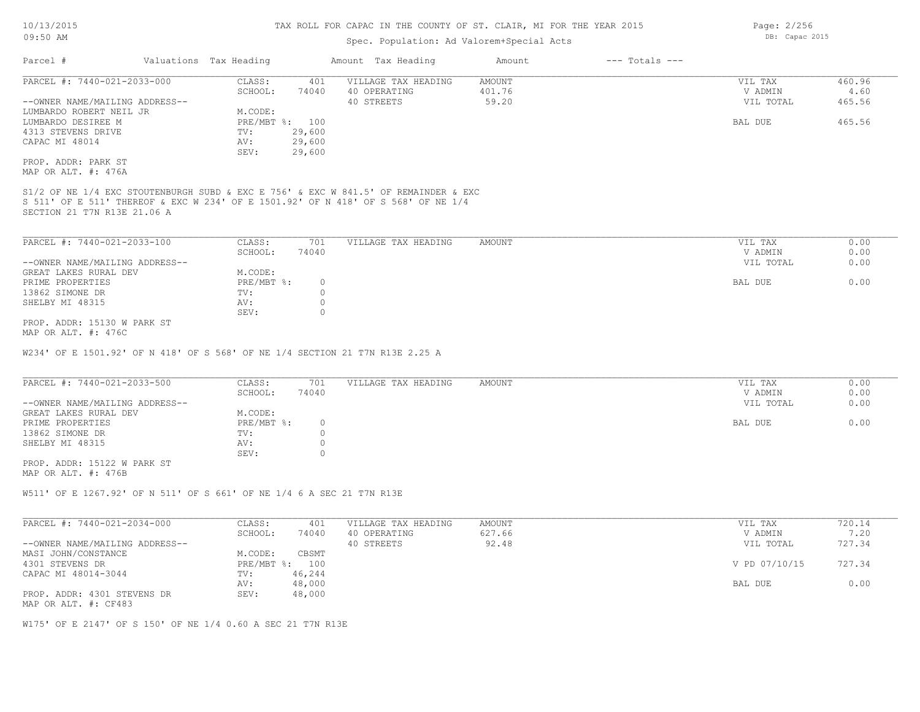## Spec. Population: Ad Valorem+Special Acts

| Parcel #                       |  | Valuations Tax Heading |                | Amount Tax Heading  | Amount | $---$ Totals $---$ |           |        |
|--------------------------------|--|------------------------|----------------|---------------------|--------|--------------------|-----------|--------|
| PARCEL #: 7440-021-2033-000    |  | CLASS:                 | 401            | VILLAGE TAX HEADING | AMOUNT |                    | VIL TAX   | 460.96 |
|                                |  | SCHOOL:                | 74040          | 40 OPERATING        | 401.76 |                    | V ADMIN   | 4.60   |
| --OWNER NAME/MAILING ADDRESS-- |  |                        |                | 40 STREETS          | 59.20  |                    | VIL TOTAL | 465.56 |
| LUMBARDO ROBERT NEIL JR        |  | M.CODE:                |                |                     |        |                    |           |        |
| LUMBARDO DESIREE M             |  |                        | PRE/MBT %: 100 |                     |        |                    | BAL DUE   | 465.56 |
| 4313 STEVENS DRIVE             |  | TV:                    | 29,600         |                     |        |                    |           |        |
| CAPAC MI 48014                 |  | AV:                    | 29,600         |                     |        |                    |           |        |
|                                |  | SEV:                   | 29,600         |                     |        |                    |           |        |
| PROP. ADDR: PARK ST            |  |                        |                |                     |        |                    |           |        |
| MAP OR ALT. #: 476A            |  |                        |                |                     |        |                    |           |        |
|                                |  |                        |                |                     |        |                    |           |        |

SECTION 21 T7N R13E 21.06 A S 511' OF E 511' THEREOF & EXC W 234' OF E 1501.92' OF N 418' OF S 568' OF NE 1/4 S1/2 OF NE 1/4 EXC STOUTENBURGH SUBD & EXC E 756' & EXC W 841.5' OF REMAINDER & EXC

| PARCEL #: 7440-021-2033-100    | CLASS:     | 701   | VILLAGE TAX HEADING | AMOUNT | VIL TAX   | 0.00 |
|--------------------------------|------------|-------|---------------------|--------|-----------|------|
|                                | SCHOOL:    | 74040 |                     |        | V ADMIN   | 0.00 |
| --OWNER NAME/MAILING ADDRESS-- |            |       |                     |        | VIL TOTAL | 0.00 |
| GREAT LAKES RURAL DEV          | M.CODE:    |       |                     |        |           |      |
| PRIME PROPERTIES               | PRE/MBT %: |       |                     |        | BAL DUE   | 0.00 |
| 13862 SIMONE DR                | TV:        |       |                     |        |           |      |
| SHELBY MI 48315                | AV:        |       |                     |        |           |      |
|                                | SEV:       |       |                     |        |           |      |
| PROP. ADDR: 15130 W PARK ST    |            |       |                     |        |           |      |

MAP OR ALT. #: 476C

W234' OF E 1501.92' OF N 418' OF S 568' OF NE 1/4 SECTION 21 T7N R13E 2.25 A

| PARCEL #: 7440-021-2033-500    | CLASS:       | 701   | VILLAGE TAX HEADING | AMOUNT | VIL TAX   | 0.00 |
|--------------------------------|--------------|-------|---------------------|--------|-----------|------|
|                                | SCHOOL:      | 74040 |                     |        | V ADMIN   | 0.00 |
| --OWNER NAME/MAILING ADDRESS-- |              |       |                     |        | VIL TOTAL | 0.00 |
| GREAT LAKES RURAL DEV          | M.CODE:      |       |                     |        |           |      |
| PRIME PROPERTIES               | $PRE/MBT$ %: |       |                     |        | BAL DUE   | 0.00 |
| 13862 SIMONE DR                | TV:          |       |                     |        |           |      |
| SHELBY MI 48315                | AV:          |       |                     |        |           |      |
|                                | SEV:         |       |                     |        |           |      |

MAP OR ALT. #: 476B PROP. ADDR: 15122 W PARK ST

W511' OF E 1267.92' OF N 511' OF S 661' OF NE 1/4 6 A SEC 21 T7N R13E

| PARCEL #: 7440-021-2034-000    | CLASS:  | 401            | VILLAGE TAX HEADING | AMOUNT | VIL TAX       | 720.14 |
|--------------------------------|---------|----------------|---------------------|--------|---------------|--------|
|                                | SCHOOL: | 74040          | 40 OPERATING        | 627.66 | V ADMIN       | 7.20   |
| --OWNER NAME/MAILING ADDRESS-- |         |                | 40 STREETS          | 92.48  | VIL TOTAL     | 727.34 |
| MASI JOHN/CONSTANCE            | M.CODE: | CBSMT          |                     |        |               |        |
| 4301 STEVENS DR                |         | PRE/MBT %: 100 |                     |        | V PD 07/10/15 | 727.34 |
| CAPAC MI 48014-3044            | TV:     | 46,244         |                     |        |               |        |
|                                | AV:     | 48,000         |                     |        | BAL DUE       | 0.00   |
| PROP. ADDR: 4301 STEVENS DR    | SEV:    | 48,000         |                     |        |               |        |
| MAP OR ALT. #: CF483           |         |                |                     |        |               |        |

W175' OF E 2147' OF S 150' OF NE 1/4 0.60 A SEC 21 T7N R13E

Page: 2/256 DB: Capac 2015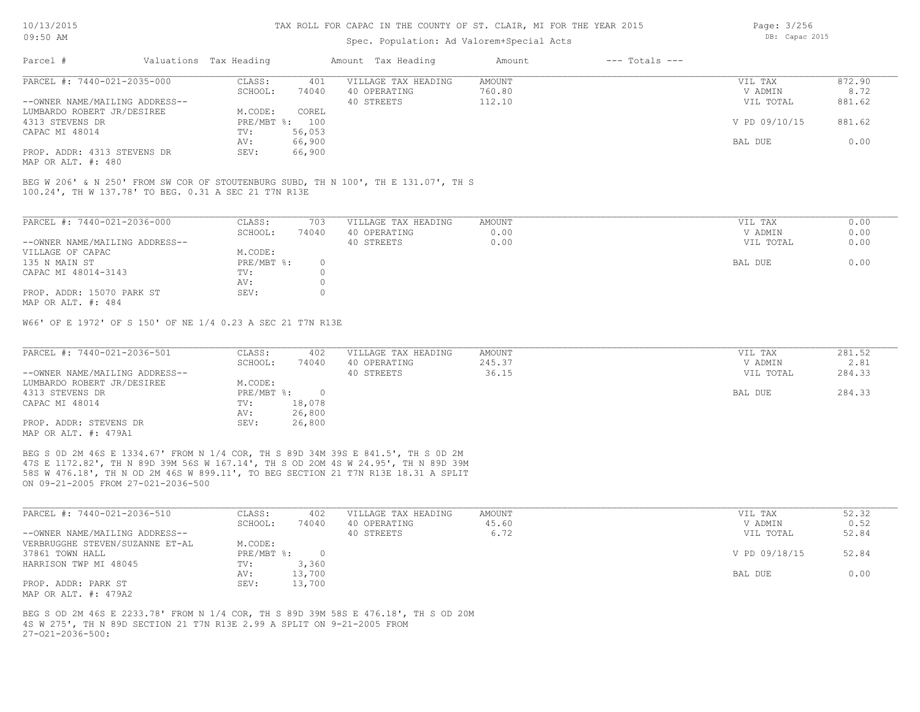## Spec. Population: Ad Valorem+Special Acts

| Parcel #                       | Valuations Tax Heading |        | Amount Tax Heading  | Amount | --- Totals --- |               |        |
|--------------------------------|------------------------|--------|---------------------|--------|----------------|---------------|--------|
| PARCEL #: 7440-021-2035-000    | CLASS:                 | 401    | VILLAGE TAX HEADING | AMOUNT |                | VIL TAX       | 872.90 |
|                                | SCHOOL:                | 74040  | 40 OPERATING        | 760.80 |                | V ADMIN       | 8.72   |
| --OWNER NAME/MAILING ADDRESS-- |                        |        | 40 STREETS          | 112.10 |                | VIL TOTAL     | 881.62 |
| LUMBARDO ROBERT JR/DESIREE     | M.CODE:                | COREL  |                     |        |                |               |        |
| 4313 STEVENS DR                | PRE/MBT %: 100         |        |                     |        |                | V PD 09/10/15 | 881.62 |
| CAPAC MI 48014                 | TV:                    | 56,053 |                     |        |                |               |        |
|                                | AV:                    | 66,900 |                     |        |                | BAL DUE       | 0.00   |
| PROP. ADDR: 4313 STEVENS DR    | SEV:                   | 66,900 |                     |        |                |               |        |
|                                |                        |        |                     |        |                |               |        |

MAP OR ALT. #: 480

100.24', TH W 137.78' TO BEG. 0.31 A SEC 21 T7N R13E BEG W 206' & N 250' FROM SW COR OF STOUTENBURG SUBD, TH N 100', TH E 131.07', TH S

| PARCEL #: 7440-021-2036-000    | CLASS:     | 703      | VILLAGE TAX HEADING | AMOUNT | 0.00<br>VIL TAX   |
|--------------------------------|------------|----------|---------------------|--------|-------------------|
|                                | SCHOOL:    | 74040    | 40 OPERATING        | 0.00   | 0.00<br>V ADMIN   |
| --OWNER NAME/MAILING ADDRESS-- |            |          | 40 STREETS          | 0.00   | 0.00<br>VIL TOTAL |
| VILLAGE OF CAPAC               | M.CODE:    |          |                     |        |                   |
| 135 N MAIN ST                  | PRE/MBT %: | $^{(1)}$ |                     |        | 0.00<br>BAL DUE   |
| CAPAC MI 48014-3143            | TV:        |          |                     |        |                   |
|                                | AV:        |          |                     |        |                   |
| PROP. ADDR: 15070 PARK ST      | SEV:       |          |                     |        |                   |
| MAP OR ALT. #: 484             |            |          |                     |        |                   |

W66' OF E 1972' OF S 150' OF NE 1/4 0.23 A SEC 21 T7N R13E

| PARCEL #: 7440-021-2036-501    | CLASS:       | 402    | VILLAGE TAX HEADING | AMOUNT | VIL TAX   | 281.52 |
|--------------------------------|--------------|--------|---------------------|--------|-----------|--------|
|                                | SCHOOL:      | 74040  | 40 OPERATING        | 245.37 | V ADMIN   | 2.81   |
| --OWNER NAME/MAILING ADDRESS-- |              |        | 40 STREETS          | 36.15  | VIL TOTAL | 284.33 |
| LUMBARDO ROBERT JR/DESIREE     | M.CODE:      |        |                     |        |           |        |
| 4313 STEVENS DR                | $PRE/MBT$ %: |        |                     |        | BAL DUE   | 284.33 |
| CAPAC MI 48014                 | TV:          | 18,078 |                     |        |           |        |
|                                | AV:          | 26,800 |                     |        |           |        |
| PROP. ADDR: STEVENS DR         | SEV:         | 26,800 |                     |        |           |        |
| MAP OR ALT. #: 479A1           |              |        |                     |        |           |        |

ON 09-21-2005 FROM 27-021-2036-500 58S W 476.18', TH N OD 2M 46S W 899.11', TO BEG SECTION 21 T7N R13E 18.31 A SPLIT 47S E 1172.82', TH N 89D 39M 56S W 167.14', TH S OD 2OM 4S W 24.95', TH N 89D 39M BEG S 0D 2M 46S E 1334.67' FROM N 1/4 COR, TH S 89D 34M 39S E 841.5', TH S 0D 2M

| PARCEL #: 7440-021-2036-510     | CLASS:       | 402    | VILLAGE TAX HEADING | AMOUNT | VIL TAX       | 52.32 |
|---------------------------------|--------------|--------|---------------------|--------|---------------|-------|
|                                 | SCHOOL:      | 74040  | 40 OPERATING        | 45.60  | V ADMIN       | 0.52  |
| --OWNER NAME/MAILING ADDRESS--  |              |        | 40 STREETS          | 6.72   | VIL TOTAL     | 52.84 |
| VERBRUGGHE STEVEN/SUZANNE ET-AL | M.CODE:      |        |                     |        |               |       |
| 37861 TOWN HALL                 | $PRE/MBT$ %: |        |                     |        | V PD 09/18/15 | 52.84 |
| HARRISON TWP MI 48045           | TV:          | 3,360  |                     |        |               |       |
|                                 | AV:          | 13,700 |                     |        | BAL DUE       | 0.00  |
| PROP. ADDR: PARK ST             | SEV:         | 13,700 |                     |        |               |       |
| MAP OR ALT. #: 479A2            |              |        |                     |        |               |       |

 $27-021-2036-500$ : 4S W 275', TH N 89D SECTION 21 T7N R13E 2.99 A SPLIT ON 9-21-2005 FROM BEG S OD 2M 46S E 2233.78' FROM N 1/4 COR, TH S 89D 39M 58S E 476.18', TH S OD 20M Page: 3/256 DB: Capac 2015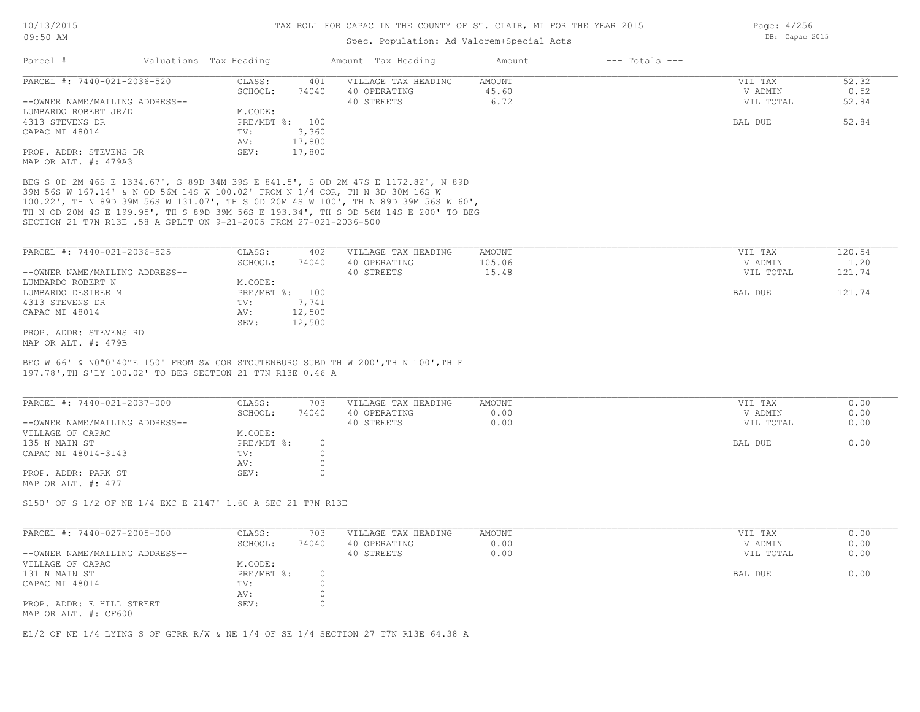## Spec. Population: Ad Valorem+Special Acts

| Parcel #                       | Valuations Tax Heading |        | Amount Tax Heading  | Amount | $---$ Totals $---$ |           |       |
|--------------------------------|------------------------|--------|---------------------|--------|--------------------|-----------|-------|
| PARCEL #: 7440-021-2036-520    | CLASS:                 | 401    | VILLAGE TAX HEADING | AMOUNT |                    | VIL TAX   | 52.32 |
|                                | SCHOOL:                | 74040  | 40 OPERATING        | 45.60  |                    | V ADMIN   | 0.52  |
| --OWNER NAME/MAILING ADDRESS-- |                        |        | 40 STREETS          | 6.72   |                    | VIL TOTAL | 52.84 |
| LUMBARDO ROBERT JR/D           | M.CODE:                |        |                     |        |                    |           |       |
| 4313 STEVENS DR                | PRE/MBT %:             | 100    |                     |        |                    | BAL DUE   | 52.84 |
| CAPAC MI 48014                 | TV:                    | 3,360  |                     |        |                    |           |       |
|                                | AV:                    | 17,800 |                     |        |                    |           |       |
| PROP. ADDR: STEVENS DR         | SEV:                   | 17,800 |                     |        |                    |           |       |
| MAP OR ALT. #: 479A3           |                        |        |                     |        |                    |           |       |

SECTION 21 T7N R13E .58 A SPLIT ON 9-21-2005 FROM 27-021-2036-500 TH N OD 20M 4S E 199.95', TH S 89D 39M 56S E 193.34', TH S OD 56M 14S E 200' TO BEG 100.22', TH N 89D 39M 56S W 131.07', TH S 0D 20M 4S W 100', TH N 89D 39M 56S W 60', 39M 56S W 167.14' & N OD 56M 14S W 100.02' FROM N 1/4 COR, TH N 3D 30M 16S W BEG S 0D 2M 46S E 1334.67', S 89D 34M 39S E 841.5', S OD 2M 47S E 1172.82', N 89D

| PARCEL #: 7440-021-2036-525    | CLASS:       | 402    | VILLAGE TAX HEADING | AMOUNT | VIL TAX   | 120.54 |
|--------------------------------|--------------|--------|---------------------|--------|-----------|--------|
|                                | SCHOOL:      | 74040  | 40 OPERATING        | 105.06 | V ADMIN   | 1.20   |
| --OWNER NAME/MAILING ADDRESS-- |              |        | 40 STREETS          | 15.48  | VIL TOTAL | 121.74 |
| LUMBARDO ROBERT N              | M.CODE:      |        |                     |        |           |        |
| LUMBARDO DESIREE M             | $PRE/MBT$ %: | 100    |                     |        | BAL DUE   | 121.74 |
| 4313 STEVENS DR                | TV:          | 7,741  |                     |        |           |        |
| CAPAC MI 48014                 | AV:          | 12,500 |                     |        |           |        |
|                                | SEV:         | 12,500 |                     |        |           |        |
| PROP. ADDR: STEVENS RD         |              |        |                     |        |           |        |
| MAP OR ALT. #: 479B            |              |        |                     |        |           |        |

197.78',TH S'LY 100.02' TO BEG SECTION 21 T7N R13E 0.46 A BEG W 66' & N0ª0'40"E 150' FROM SW COR STOUTENBURG SUBD TH W 200',TH N 100',TH E

| PARCEL #: 7440-021-2037-000    | CLASS:     | 703   | VILLAGE TAX HEADING | AMOUNT | VIL TAX   | 0.00 |
|--------------------------------|------------|-------|---------------------|--------|-----------|------|
|                                | SCHOOL:    | 74040 | 40 OPERATING        | 0.00   | V ADMIN   | 0.00 |
| --OWNER NAME/MAILING ADDRESS-- |            |       | 40 STREETS          | 0.00   | VIL TOTAL | 0.00 |
| VILLAGE OF CAPAC               | M.CODE:    |       |                     |        |           |      |
| 135 N MAIN ST                  | PRE/MBT %: |       |                     |        | BAL DUE   | 0.00 |
| CAPAC MI 48014-3143            | TV:        |       |                     |        |           |      |
|                                | AV:        |       |                     |        |           |      |
| PROP. ADDR: PARK ST            | SEV:       |       |                     |        |           |      |
| MAP OR ALT. $\#: 477$          |            |       |                     |        |           |      |

S150' OF S 1/2 OF NE 1/4 EXC E 2147' 1.60 A SEC 21 T7N R13E

| PARCEL #: 7440-027-2005-000                       | CLASS:     | 703   | VILLAGE TAX HEADING | AMOUNT |         | VIL TAX   | 0.00 |
|---------------------------------------------------|------------|-------|---------------------|--------|---------|-----------|------|
|                                                   | SCHOOL:    | 74040 | 40 OPERATING        | 0.00   |         | V ADMIN   | 0.00 |
| --OWNER NAME/MAILING ADDRESS--                    |            |       | 40 STREETS          | 0.00   |         | VIL TOTAL | 0.00 |
| VILLAGE OF CAPAC                                  | M.CODE:    |       |                     |        |         |           |      |
| 131 N MAIN ST                                     | PRE/MBT %: |       |                     |        | BAL DUE |           | 0.00 |
| CAPAC MI 48014                                    | TV:        |       |                     |        |         |           |      |
|                                                   | AV:        |       |                     |        |         |           |      |
| PROP. ADDR: E HILL STREET<br>MAP OR ALT. #: CF600 | SEV:       |       |                     |        |         |           |      |

 $\mathcal{L}_\mathcal{L} = \mathcal{L}_\mathcal{L} = \mathcal{L}_\mathcal{L} = \mathcal{L}_\mathcal{L} = \mathcal{L}_\mathcal{L} = \mathcal{L}_\mathcal{L} = \mathcal{L}_\mathcal{L} = \mathcal{L}_\mathcal{L} = \mathcal{L}_\mathcal{L} = \mathcal{L}_\mathcal{L} = \mathcal{L}_\mathcal{L} = \mathcal{L}_\mathcal{L} = \mathcal{L}_\mathcal{L} = \mathcal{L}_\mathcal{L} = \mathcal{L}_\mathcal{L} = \mathcal{L}_\mathcal{L} = \mathcal{L}_\mathcal{L}$ 

E1/2 OF NE 1/4 LYING S OF GTRR R/W & NE 1/4 OF SE 1/4 SECTION 27 T7N R13E 64.38 A

Page: 4/256 DB: Capac 2015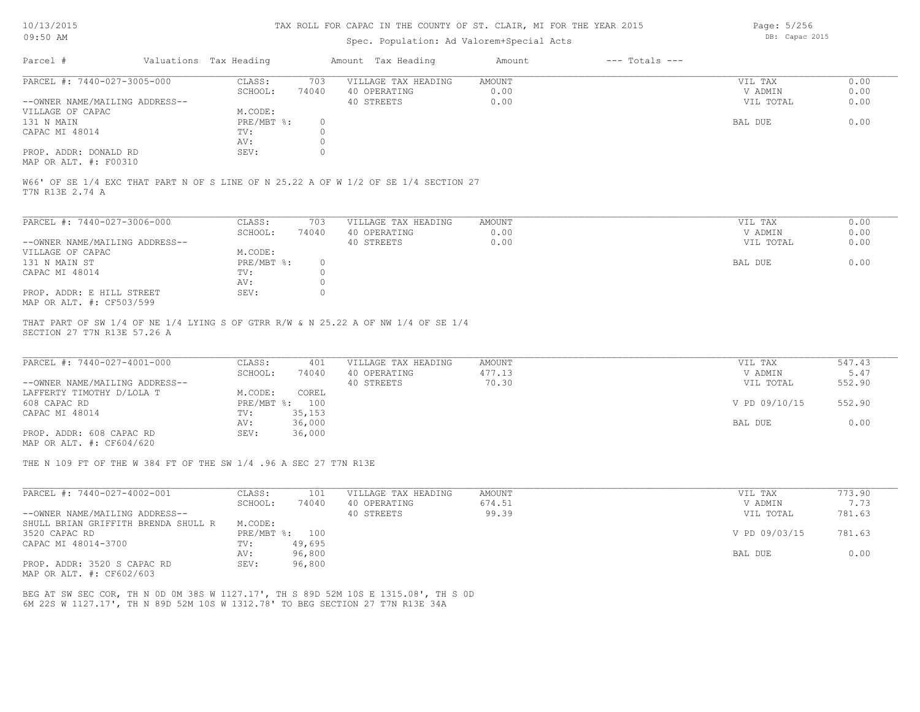### Spec. Population: Ad Valorem+Special Acts

Page: 5/256 DB: Capac 2015

| Parcel #                                              | Valuations Tax Heading |       | Amount Tax Heading  | Amount | $---$ Totals $---$ |           |      |
|-------------------------------------------------------|------------------------|-------|---------------------|--------|--------------------|-----------|------|
| PARCEL #: 7440-027-3005-000                           | CLASS:                 | 703   | VILLAGE TAX HEADING | AMOUNT |                    | VIL TAX   | 0.00 |
|                                                       | SCHOOL:                | 74040 | 40 OPERATING        | 0.00   |                    | V ADMIN   | 0.00 |
| --OWNER NAME/MAILING ADDRESS--                        |                        |       | 40 STREETS          | 0.00   |                    | VIL TOTAL | 0.00 |
| VILLAGE OF CAPAC                                      | M.CODE:                |       |                     |        |                    |           |      |
| 131 N MAIN                                            | $PRE/MBT$ %:           |       |                     |        |                    | BAL DUE   | 0.00 |
| CAPAC MI 48014                                        | TV:                    |       |                     |        |                    |           |      |
|                                                       | AV:                    |       |                     |        |                    |           |      |
| PROP. ADDR: DONALD RD                                 | SEV:                   |       |                     |        |                    |           |      |
| $\cdots$ $\cdots$ $\cdots$ $\cdots$ $\cdots$ $\cdots$ |                        |       |                     |        |                    |           |      |

MAP OR ALT. #: F00310

T7N R13E 2.74 A W66' OF SE 1/4 EXC THAT PART N OF S LINE OF N 25.22 A OF W 1/2 OF SE 1/4 SECTION 27

| PARCEL #: 7440-027-3006-000    | CLASS:       | 703      | VILLAGE TAX HEADING | AMOUNT | VIL TAX   | 0.00 |
|--------------------------------|--------------|----------|---------------------|--------|-----------|------|
|                                | SCHOOL:      | 74040    | 40 OPERATING        | 0.00   | V ADMIN   | 0.00 |
| --OWNER NAME/MAILING ADDRESS-- |              |          | 40 STREETS          | 0.00   | VIL TOTAL | 0.00 |
| VILLAGE OF CAPAC               | M.CODE:      |          |                     |        |           |      |
| 131 N MAIN ST                  | $PRE/MBT$ %: | $\Omega$ |                     |        | BAL DUE   | 0.00 |
| CAPAC MI 48014                 | TV:          |          |                     |        |           |      |
|                                | AV:          |          |                     |        |           |      |
| PROP. ADDR: E HILL STREET      | SEV:         |          |                     |        |           |      |
| MAP OR ALT. #: CF503/599       |              |          |                     |        |           |      |

SECTION 27 T7N R13E 57.26 A THAT PART OF SW 1/4 OF NE 1/4 LYING S OF GTRR R/W & N 25.22 A OF NW 1/4 OF SE 1/4

| PARCEL #: 7440-027-4001-000    | CLASS:  | 401            | VILLAGE TAX HEADING | AMOUNT | VIL TAX       | 547.43 |
|--------------------------------|---------|----------------|---------------------|--------|---------------|--------|
|                                | SCHOOL: | 74040          | 40 OPERATING        | 477.13 | V ADMIN       | 5.47   |
| --OWNER NAME/MAILING ADDRESS-- |         |                | 40 STREETS          | 70.30  | VIL TOTAL     | 552.90 |
| LAFFERTY TIMOTHY D/LOLA T      | M.CODE: | COREL          |                     |        |               |        |
| 608 CAPAC RD                   |         | PRE/MBT %: 100 |                     |        | V PD 09/10/15 | 552.90 |
| CAPAC MI 48014                 | TV:     | 35,153         |                     |        |               |        |
|                                | AV:     | 36,000         |                     |        | BAL DUE       | 0.00   |
| PROP. ADDR: 608 CAPAC RD       | SEV:    | 36,000         |                     |        |               |        |
|                                |         |                |                     |        |               |        |

MAP OR ALT. #: CF604/620

THE N 109 FT OF THE W 384 FT OF THE SW 1/4 .96 A SEC 27 T7N R13E

| PARCEL #: 7440-027-4002-001         | CLASS:       | 101    | VILLAGE TAX HEADING | AMOUNT | VIL TAX       | 773.90 |
|-------------------------------------|--------------|--------|---------------------|--------|---------------|--------|
|                                     | SCHOOL:      | 74040  | 40 OPERATING        | 674.51 | V ADMIN       | 7.73   |
| --OWNER NAME/MAILING ADDRESS--      |              |        | 40 STREETS          | 99.39  | VIL TOTAL     | 781.63 |
| SHULL BRIAN GRIFFITH BRENDA SHULL R | M.CODE:      |        |                     |        |               |        |
| 3520 CAPAC RD                       | $PRE/MBT$ %: | 100    |                     |        | V PD 09/03/15 | 781.63 |
| CAPAC MI 48014-3700                 | TV:          | 49,695 |                     |        |               |        |
|                                     | AV:          | 96,800 |                     |        | BAL DUE       | 0.00   |
| PROP. ADDR: 3520 S CAPAC RD         | SEV:         | 96,800 |                     |        |               |        |

MAP OR ALT. #: CF602/603

6M 22S W 1127.17', TH N 89D 52M 10S W 1312.78' TO BEG SECTION 27 T7N R13E 34A BEG AT SW SEC COR, TH N 0D 0M 38S W 1127.17', TH S 89D 52M 10S E 1315.08', TH S 0D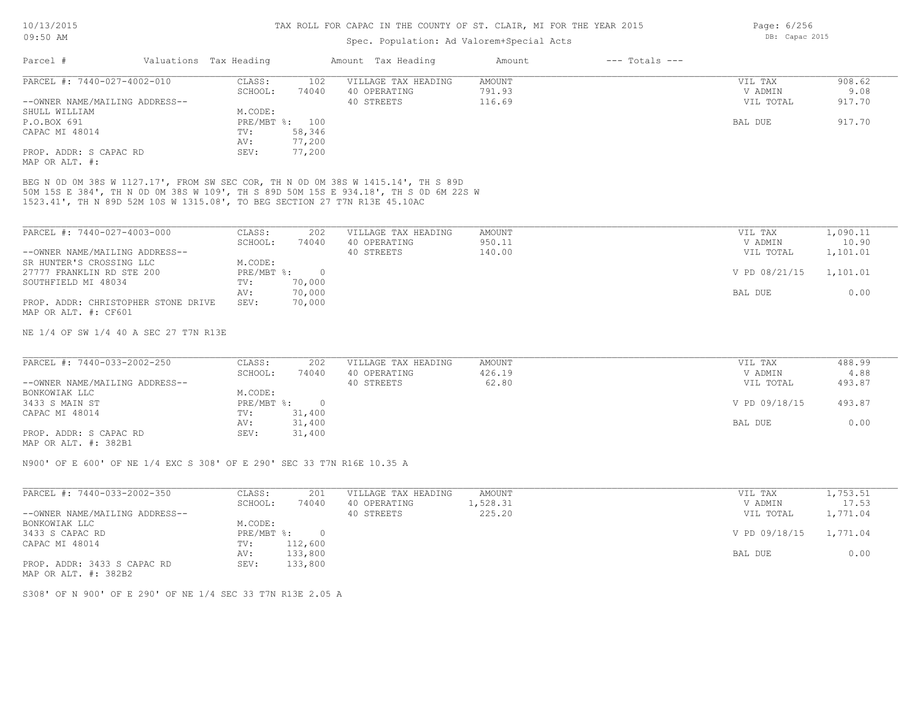## Spec. Population: Ad Valorem+Special Acts

| Parcel #                       | Valuations Tax Heading |                | Amount Tax Heading  | Amount | $---$ Totals $---$ |           |        |
|--------------------------------|------------------------|----------------|---------------------|--------|--------------------|-----------|--------|
| PARCEL #: 7440-027-4002-010    | CLASS:                 | 102            | VILLAGE TAX HEADING | AMOUNT |                    | VIL TAX   | 908.62 |
|                                | SCHOOL:                | 74040          | 40 OPERATING        | 791.93 |                    | V ADMIN   | 9.08   |
| --OWNER NAME/MAILING ADDRESS-- |                        |                | 40 STREETS          | 116.69 |                    | VIL TOTAL | 917.70 |
| SHULL WILLIAM                  | M.CODE:                |                |                     |        |                    |           |        |
| P.O.BOX 691                    |                        | PRE/MBT %: 100 |                     |        |                    | BAL DUE   | 917.70 |
| CAPAC MI 48014                 | TV:                    | 58,346         |                     |        |                    |           |        |
|                                | AV:                    | 77,200         |                     |        |                    |           |        |
| PROP. ADDR: S CAPAC RD         | SEV:                   | 77,200         |                     |        |                    |           |        |
| MAP OR ALT. #:                 |                        |                |                     |        |                    |           |        |

1523.41', TH N 89D 52M 10S W 1315.08', TO BEG SECTION 27 T7N R13E 45.10AC 50M 15S E 384', TH N 0D 0M 38S W 109', TH S 89D 50M 15S E 934.18', TH S 0D 6M 22S W

| PARCEL #: 7440-027-4003-000         | CLASS:     | 202    | VILLAGE TAX HEADING | AMOUNT | VIL TAX       | 1,090.11 |
|-------------------------------------|------------|--------|---------------------|--------|---------------|----------|
|                                     | SCHOOL:    | 74040  | 40 OPERATING        | 950.11 | V ADMIN       | 10.90    |
| --OWNER NAME/MAILING ADDRESS--      |            |        | 40 STREETS          | 140.00 | VIL TOTAL     | 1,101.01 |
| SR HUNTER'S CROSSING LLC            | M.CODE:    |        |                     |        |               |          |
| 27777 FRANKLIN RD STE 200           | PRE/MBT %: |        |                     |        | V PD 08/21/15 | 1,101.01 |
| SOUTHFIELD MI 48034                 | TV:        | 70,000 |                     |        |               |          |
|                                     | AV:        | 70,000 |                     |        | BAL DUE       | 0.00     |
| PROP. ADDR: CHRISTOPHER STONE DRIVE | SEV:       | 70,000 |                     |        |               |          |
| MAP OR ALT. #: CF601                |            |        |                     |        |               |          |

NE 1/4 OF SW 1/4 40 A SEC 27 T7N R13E

| PARCEL #: 7440-033-2002-250    | CLASS:     | 202    | VILLAGE TAX HEADING | AMOUNT | VIL TAX       | 488.99 |
|--------------------------------|------------|--------|---------------------|--------|---------------|--------|
|                                | SCHOOL:    | 74040  | 40 OPERATING        | 426.19 | V ADMIN       | 4.88   |
| --OWNER NAME/MAILING ADDRESS-- |            |        | 40 STREETS          | 62.80  | VIL TOTAL     | 493.87 |
| BONKOWIAK LLC                  | M.CODE:    |        |                     |        |               |        |
| 3433 S MAIN ST                 | PRE/MBT %: |        |                     |        | V PD 09/18/15 | 493.87 |
| CAPAC MI 48014                 | TV:        | 31,400 |                     |        |               |        |
|                                | AV:        | 31,400 |                     |        | BAL DUE       | 0.00   |
| PROP. ADDR: S CAPAC RD         | SEV:       | 31,400 |                     |        |               |        |
|                                |            |        |                     |        |               |        |

MAP OR ALT. #: 382B1

N900' OF E 600' OF NE 1/4 EXC S 308' OF E 290' SEC 33 T7N R16E 10.35 A

| PARCEL #: 7440-033-2002-350    | CLASS:     | 201     | VILLAGE TAX HEADING | AMOUNT   | VIL TAX                | 1,753.51 |
|--------------------------------|------------|---------|---------------------|----------|------------------------|----------|
|                                | SCHOOL:    | 74040   | 40 OPERATING        | 1,528.31 | V ADMIN                | 17.53    |
| --OWNER NAME/MAILING ADDRESS-- |            |         | 40 STREETS          | 225.20   | VIL TOTAL              | 1,771.04 |
| BONKOWIAK LLC                  | M.CODE:    |         |                     |          |                        |          |
| 3433 S CAPAC RD                | PRE/MBT %: |         |                     |          | V PD 09/18/15 1,771.04 |          |
| CAPAC MI 48014                 | TV:        | 112,600 |                     |          |                        |          |
|                                | AV:        | 133,800 |                     |          | BAL DUE                | 0.00     |
| PROP. ADDR: 3433 S CAPAC RD    | SEV:       | 133,800 |                     |          |                        |          |

MAP OR ALT. #: 382B2

S308' OF N 900' OF E 290' OF NE 1/4 SEC 33 T7N R13E 2.05 A

Page: 6/256 DB: Capac 2015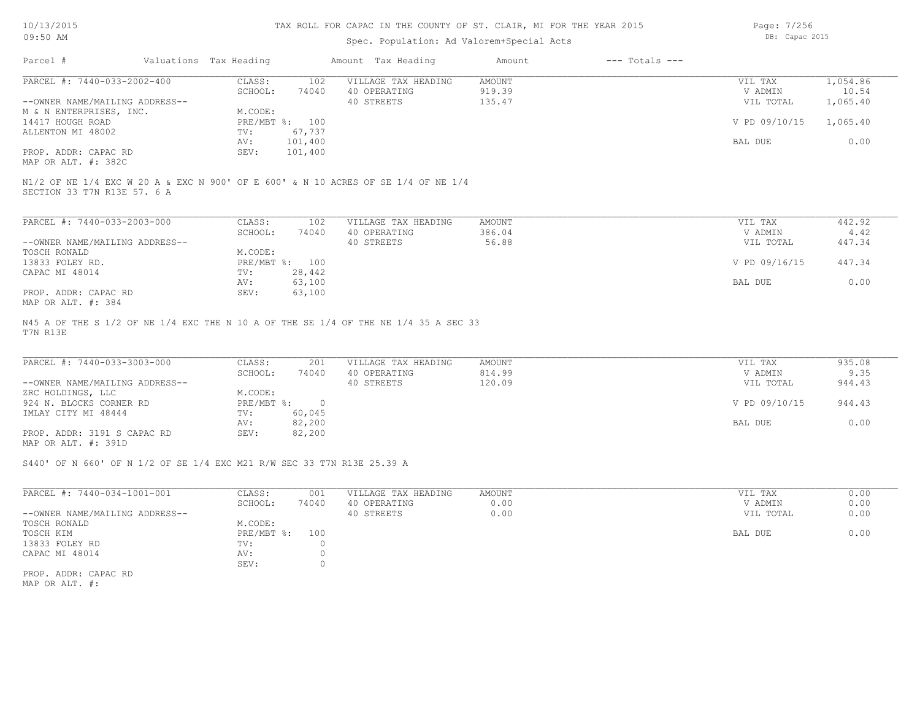#### TAX ROLL FOR CAPAC IN THE COUNTY OF ST. CLAIR, MI FOR THE YEAR 2015

## Spec. Population: Ad Valorem+Special Acts

Page: 7/256 DB: Capac 2015

| Parcel #                       | Valuations Tax Heading |                | Amount Tax Heading                                                                | Amount | $---$ Totals $---$ |               |          |
|--------------------------------|------------------------|----------------|-----------------------------------------------------------------------------------|--------|--------------------|---------------|----------|
| PARCEL #: 7440-033-2002-400    | CLASS:                 | 102            | VILLAGE TAX HEADING                                                               | AMOUNT |                    | VIL TAX       | 1,054.86 |
|                                | SCHOOL:                | 74040          | 40 OPERATING                                                                      | 919.39 |                    | V ADMIN       | 10.54    |
| --OWNER NAME/MAILING ADDRESS-- |                        |                | 40 STREETS                                                                        | 135.47 |                    | VIL TOTAL     | 1,065.40 |
| M & N ENTERPRISES, INC.        | M.CODE:                |                |                                                                                   |        |                    |               |          |
| 14417 HOUGH ROAD               |                        | PRE/MBT %: 100 |                                                                                   |        |                    | V PD 09/10/15 | 1,065.40 |
| ALLENTON MI 48002              | TV:                    | 67,737         |                                                                                   |        |                    |               |          |
|                                | AV:                    | 101,400        |                                                                                   |        |                    | BAL DUE       | 0.00     |
| PROP. ADDR: CAPAC RD           | SEV:                   | 101,400        |                                                                                   |        |                    |               |          |
| MAP OR ALT. #: 382C            |                        |                |                                                                                   |        |                    |               |          |
|                                |                        |                | N1/2 OF NE 1/4 EXC W 20 A & EXC N 900' OF E 600' & N 10 ACRES OF SE 1/4 OF NE 1/4 |        |                    |               |          |
| SECTION 33 T7N R13E 57. 6 A    |                        |                |                                                                                   |        |                    |               |          |
| PARCEL #: 7440-033-2003-000    | CLASS:                 | 102            | VILLAGE TAX HEADING                                                               | AMOUNT |                    | VIL TAX       | 442.92   |

| PARCEL #: /440-033-ZUU3-UUU    | JLASS :      | 1 U Z  | VILLAGE TAX HEADING | AMOUNT. | VIL TAX       | 442.92 |
|--------------------------------|--------------|--------|---------------------|---------|---------------|--------|
|                                | SCHOOL:      | 74040  | 40 OPERATING        | 386.04  | V ADMIN       | 4.42   |
| --OWNER NAME/MAILING ADDRESS-- |              |        | 40 STREETS          | 56.88   | VIL TOTAL     | 447.34 |
| TOSCH RONALD                   | M.CODE:      |        |                     |         |               |        |
| 13833 FOLEY RD.                | $PRE/MBT$ %: | 100    |                     |         | V PD 09/16/15 | 447.34 |
| CAPAC MI 48014                 | TV:          | 28,442 |                     |         |               |        |
|                                | AV:          | 63,100 |                     |         | BAL DUE       | 0.00   |
| PROP. ADDR: CAPAC RD           | SEV:         | 63,100 |                     |         |               |        |
| MAP OR ALT. #: 384             |              |        |                     |         |               |        |

T7N R13E N45 A OF THE S 1/2 OF NE 1/4 EXC THE N 10 A OF THE SE 1/4 OF THE NE 1/4 35 A SEC 33

| PARCEL #: 7440-033-3003-000    | CLASS:       | 201    | VILLAGE TAX HEADING | AMOUNT | VIL TAX       | 935.08 |
|--------------------------------|--------------|--------|---------------------|--------|---------------|--------|
|                                | SCHOOL:      | 74040  | 40 OPERATING        | 814.99 | V ADMIN       | 9.35   |
| --OWNER NAME/MAILING ADDRESS-- |              |        | 40 STREETS          | 120.09 | VIL TOTAL     | 944.43 |
| ZRC HOLDINGS, LLC              | M.CODE:      |        |                     |        |               |        |
| 924 N. BLOCKS CORNER RD        | $PRE/MBT$ %: |        |                     |        | V PD 09/10/15 | 944.43 |
| IMLAY CITY MI 48444            | TV:          | 60,045 |                     |        |               |        |
|                                | AV:          | 82,200 |                     |        | BAL DUE       | 0.00   |
| PROP. ADDR: 3191 S CAPAC RD    | SEV:         | 82,200 |                     |        |               |        |
|                                |              |        |                     |        |               |        |

MAP OR ALT. #: 391D

S440' OF N 660' OF N 1/2 OF SE 1/4 EXC M21 R/W SEC 33 T7N R13E 25.39 A

| PARCEL #: 7440-034-1001-001    | CLASS:       | 001   | VILLAGE TAX HEADING | AMOUNT | 0.00<br>VIL TAX   |
|--------------------------------|--------------|-------|---------------------|--------|-------------------|
|                                | SCHOOL:      | 74040 | 40 OPERATING        | 0.00   | 0.00<br>V ADMIN   |
| --OWNER NAME/MAILING ADDRESS-- |              |       | 40 STREETS          | 0.00   | 0.00<br>VIL TOTAL |
| TOSCH RONALD                   | M.CODE:      |       |                     |        |                   |
| TOSCH KIM                      | $PRE/MBT$ %: | 100   |                     |        | 0.00<br>BAL DUE   |
| 13833 FOLEY RD                 | TV:          |       |                     |        |                   |
| CAPAC MI 48014                 | AV:          |       |                     |        |                   |
|                                | SEV:         |       |                     |        |                   |
| PROP. ADDR: CAPAC RD           |              |       |                     |        |                   |

MAP OR ALT. #: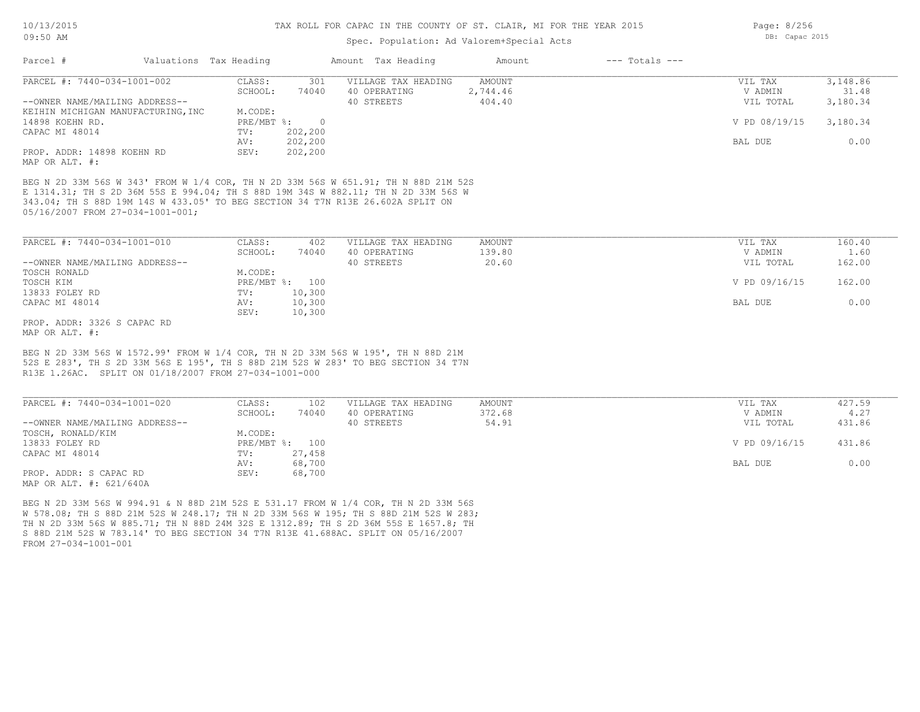## Spec. Population: Ad Valorem+Special Acts

|                                                                                                                                                                                                                                                                                               |                       |                |                     |               | $---$ Totals $---$ |               |          |
|-----------------------------------------------------------------------------------------------------------------------------------------------------------------------------------------------------------------------------------------------------------------------------------------------|-----------------------|----------------|---------------------|---------------|--------------------|---------------|----------|
| PARCEL #: 7440-034-1001-002                                                                                                                                                                                                                                                                   | CLASS:                | 301            | VILLAGE TAX HEADING | AMOUNT        |                    | VIL TAX       | 3,148.86 |
|                                                                                                                                                                                                                                                                                               | SCHOOL:               | 74040          | 40 OPERATING        | 2,744.46      |                    | V ADMIN       | 31.48    |
| --OWNER NAME/MAILING ADDRESS--                                                                                                                                                                                                                                                                |                       |                | 40 STREETS          | 404.40        |                    | VIL TOTAL     | 3,180.34 |
| KEIHIN MICHIGAN MANUFACTURING, INC                                                                                                                                                                                                                                                            | M.CODE:               |                |                     |               |                    |               |          |
| 14898 KOEHN RD.                                                                                                                                                                                                                                                                               | $PRE/MBT$ %:          | $\overline{0}$ |                     |               |                    | V PD 08/19/15 | 3,180.34 |
| CAPAC MI 48014                                                                                                                                                                                                                                                                                | TV:                   | 202,200        |                     |               |                    |               |          |
|                                                                                                                                                                                                                                                                                               | AV:                   | 202,200        |                     |               |                    | BAL DUE       | 0.00     |
| PROP. ADDR: 14898 KOEHN RD<br>MAP OR ALT. #:                                                                                                                                                                                                                                                  | SEV:                  | 202,200        |                     |               |                    |               |          |
| BEG N 2D 33M 56S W 343' FROM W 1/4 COR, TH N 2D 33M 56S W 651.91; TH N 88D 21M 52S<br>E 1314.31; TH S 2D 36M 55S E 994.04; TH S 88D 19M 34S W 882.11; TH N 2D 33M 56S W<br>343.04; TH S 88D 19M 14S W 433.05' TO BEG SECTION 34 T7N R13E 26.602A SPLIT ON<br>05/16/2007 FROM 27-034-1001-001; |                       |                |                     |               |                    |               |          |
|                                                                                                                                                                                                                                                                                               | CLASS:                | 402            | VILLAGE TAX HEADING | <b>AMOUNT</b> |                    | VIL TAX       | 160.40   |
|                                                                                                                                                                                                                                                                                               | SCHOOL:               | 74040          | 40 OPERATING        | 139.80        |                    | V ADMIN       | 1.60     |
|                                                                                                                                                                                                                                                                                               |                       |                | 40 STREETS          | 20.60         |                    | VIL TOTAL     | 162.00   |
| PARCEL #: 7440-034-1001-010<br>--OWNER NAME/MAILING ADDRESS--<br>TOSCH RONALD<br>TOSCH KIM                                                                                                                                                                                                    | M.CODE:               |                |                     |               |                    |               |          |
| 13833 FOLEY RD                                                                                                                                                                                                                                                                                | PRE/MBT %: 100<br>TV: | 10,300         |                     |               |                    | V PD 09/16/15 | 162.00   |
|                                                                                                                                                                                                                                                                                               | AV:                   | 10,300         |                     |               |                    | BAL DUE       | 0.00     |
| CAPAC MI 48014                                                                                                                                                                                                                                                                                | SEV:                  | 10,300         |                     |               |                    |               |          |
| PROP. ADDR: 3326 S CAPAC RD                                                                                                                                                                                                                                                                   |                       |                |                     |               |                    |               |          |

| PARCEL #: 7440-034-1001-020    | CLASS:       | 102    | VILLAGE TAX HEADING | AMOUNT |         | VIL TAX       | 427.59 |
|--------------------------------|--------------|--------|---------------------|--------|---------|---------------|--------|
|                                | SCHOOL:      | 74040  | 40 OPERATING        | 372.68 |         | V ADMIN       | 4.27   |
| --OWNER NAME/MAILING ADDRESS-- |              |        | 40 STREETS          | 54.91  |         | VIL TOTAL     | 431.86 |
| TOSCH, RONALD/KIM              | M.CODE:      |        |                     |        |         |               |        |
| 13833 FOLEY RD                 | $PRE/MBT$ %: | 100    |                     |        |         | V PD 09/16/15 | 431.86 |
| CAPAC MI 48014                 | TV:          | 27,458 |                     |        |         |               |        |
|                                | AV:          | 68,700 |                     |        | BAL DUE |               | 0.00   |
| PROP. ADDR: S CAPAC RD         | SEV:         | 68,700 |                     |        |         |               |        |
| MAP OR ALT. #: 621/640A        |              |        |                     |        |         |               |        |

 $\mathcal{L}_\mathcal{L} = \mathcal{L}_\mathcal{L} = \mathcal{L}_\mathcal{L} = \mathcal{L}_\mathcal{L} = \mathcal{L}_\mathcal{L} = \mathcal{L}_\mathcal{L} = \mathcal{L}_\mathcal{L} = \mathcal{L}_\mathcal{L} = \mathcal{L}_\mathcal{L} = \mathcal{L}_\mathcal{L} = \mathcal{L}_\mathcal{L} = \mathcal{L}_\mathcal{L} = \mathcal{L}_\mathcal{L} = \mathcal{L}_\mathcal{L} = \mathcal{L}_\mathcal{L} = \mathcal{L}_\mathcal{L} = \mathcal{L}_\mathcal{L}$ 

FROM 27-034-1001-001 S 88D 21M 52S W 783.14' TO BEG SECTION 34 T7N R13E 41.688AC. SPLIT ON 05/16/2007 TH N 2D 33M 56S W 885.71; TH N 88D 24M 32S E 1312.89; TH S 2D 36M 55S E 1657.8; TH W 578.08; TH S 88D 21M 52S W 248.17; TH N 2D 33M 56S W 195; TH S 88D 21M 52S W 283; BEG N 2D 33M 56S W 994.91 & N 88D 21M 52S E 531.17 FROM W 1/4 COR, TH N 2D 33M 56S

Page: 8/256 DB: Capac 2015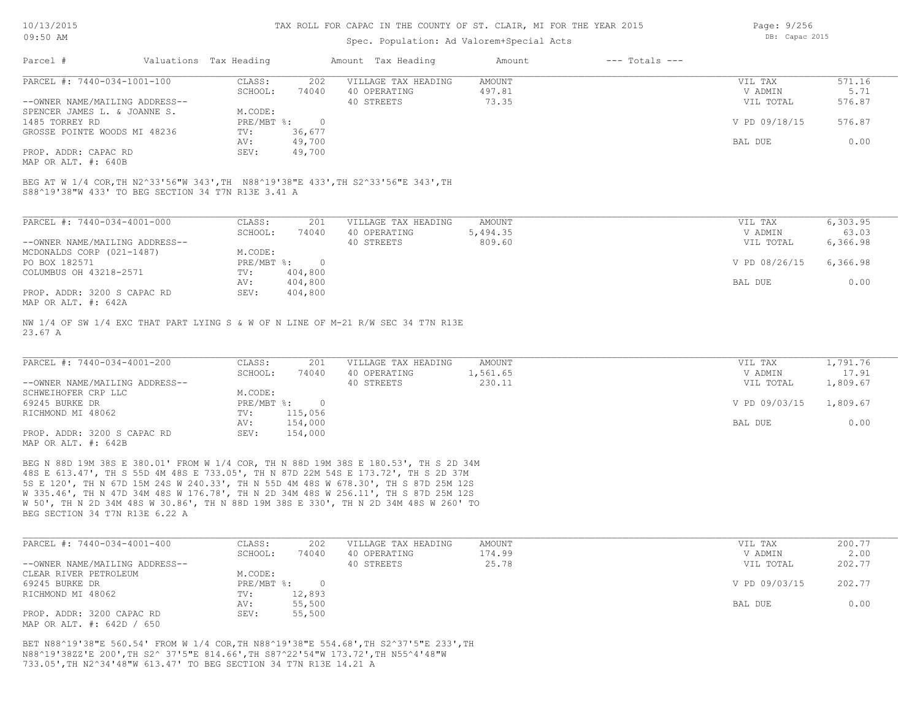## Spec. Population: Ad Valorem+Special Acts

Page: 9/256 DB: Capac 2015

| Parcel #                       | Valuations Tax Heading |        | Amount Tax Heading  | Amount | $---$ Totals $---$ |               |        |
|--------------------------------|------------------------|--------|---------------------|--------|--------------------|---------------|--------|
| PARCEL #: 7440-034-1001-100    | CLASS:                 | 202    | VILLAGE TAX HEADING | AMOUNT |                    | VIL TAX       | 571.16 |
|                                | SCHOOL:                | 74040  | 40 OPERATING        | 497.81 |                    | V ADMIN       | 5.71   |
| --OWNER NAME/MAILING ADDRESS-- |                        |        | 40 STREETS          | 73.35  |                    | VIL TOTAL     | 576.87 |
| SPENCER JAMES L. & JOANNE S.   | M.CODE:                |        |                     |        |                    |               |        |
| 1485 TORREY RD                 | $PRE/MBT$ %:           |        |                     |        |                    | V PD 09/18/15 | 576.87 |
| GROSSE POINTE WOODS MI 48236   | TV:                    | 36,677 |                     |        |                    |               |        |
|                                | AV:                    | 49,700 |                     |        |                    | BAL DUE       | 0.00   |
| PROP. ADDR: CAPAC RD           | SEV:                   | 49,700 |                     |        |                    |               |        |

MAP OR ALT. #: 640B

S88^19'38"W 433' TO BEG SECTION 34 T7N R13E 3.41 A BEG AT W 1/4 COR,TH N2^33'56"W 343',TH N88^19'38"E 433',TH S2^33'56"E 343',TH

| PARCEL #: 7440-034-4001-000    | CLASS:     | 201     | VILLAGE TAX HEADING | AMOUNT   | VIL TAX       | 6,303.95 |
|--------------------------------|------------|---------|---------------------|----------|---------------|----------|
|                                | SCHOOL:    | 74040   | 40 OPERATING        | 5,494.35 | V ADMIN       | 63.03    |
| --OWNER NAME/MAILING ADDRESS-- |            |         | 40 STREETS          | 809.60   | VIL TOTAL     | 6,366.98 |
| MCDONALDS CORP (021-1487)      | M.CODE:    |         |                     |          |               |          |
| PO BOX 182571                  | PRE/MBT %: | $\Box$  |                     |          | V PD 08/26/15 | 6,366.98 |
| COLUMBUS OH 43218-2571         | TV:        | 404,800 |                     |          |               |          |
|                                | AV:        | 404,800 |                     |          | BAL DUE       | 0.00     |
| PROP. ADDR: 3200 S CAPAC RD    | SEV:       | 404,800 |                     |          |               |          |
| MAP OR ALT. #: 642A            |            |         |                     |          |               |          |

23.67 A NW 1/4 OF SW 1/4 EXC THAT PART LYING S & W OF N LINE OF M-21 R/W SEC 34 T7N R13E

| PARCEL #: 7440-034-4001-200    | CLASS:     | 201     | VILLAGE TAX HEADING | AMOUNT   | VIL TAX       | 1,791.76 |
|--------------------------------|------------|---------|---------------------|----------|---------------|----------|
|                                | SCHOOL:    | 74040   | 40 OPERATING        | 1,561.65 | V ADMIN       | 17.91    |
| --OWNER NAME/MAILING ADDRESS-- |            |         | 40 STREETS          | 230.11   | VIL TOTAL     | 1,809.67 |
| SCHWEIHOFER CRP LLC            | M.CODE:    |         |                     |          |               |          |
| 69245 BURKE DR                 | PRE/MBT %: |         |                     |          | V PD 09/03/15 | 1,809.67 |
| RICHMOND MI 48062              | TV:        | 115,056 |                     |          |               |          |
|                                | AV:        | 154,000 |                     |          | BAL DUE       | 0.00     |
| PROP. ADDR: 3200 S CAPAC RD    | SEV:       | 154,000 |                     |          |               |          |
| MAP OR ALT. #: 642B            |            |         |                     |          |               |          |

BEG SECTION 34 T7N R13E 6.22 A W 50', TH N 2D 34M 48S W 30.86', TH N 88D 19M 38S E 330', TH N 2D 34M 48S W 260' TO W 335.46', TH N 47D 34M 48S W 176.78', TH N 2D 34M 48S W 256.11', TH S 87D 25M 12S 5S E 120', TH N 67D 15M 24S W 240.33', TH N 55D 4M 48S W 678.30', TH S 87D 25M 12S 48S E 613.47', TH S 55D 4M 48S E 733.05', TH N 87D 22M 54S E 173.72', TH S 2D 37M BEG N 88D 19M 38S E 380.01' FROM W 1/4 COR, TH N 88D 19M 38S E 180.53', TH S 2D 34M

| PARCEL #: 7440-034-4001-400    | CLASS:     | 202    | VILLAGE TAX HEADING | AMOUNT | VIL TAX       | 200.77 |
|--------------------------------|------------|--------|---------------------|--------|---------------|--------|
|                                | SCHOOL:    | 74040  | 40 OPERATING        | 174.99 | V ADMIN       | 2.00   |
| --OWNER NAME/MAILING ADDRESS-- |            |        | 40 STREETS          | 25.78  | VIL TOTAL     | 202.77 |
| CLEAR RIVER PETROLEUM          | M.CODE:    |        |                     |        |               |        |
| 69245 BURKE DR                 | PRE/MBT %: |        |                     |        | V PD 09/03/15 | 202.77 |
| RICHMOND MI 48062              | TV:        | 12,893 |                     |        |               |        |
|                                | AV:        | 55,500 |                     |        | BAL DUE       | 0.00   |
| PROP. ADDR: 3200 CAPAC RD      | SEV:       | 55,500 |                     |        |               |        |
| MAP OR ALT. #: 642D / 650      |            |        |                     |        |               |        |

733.05',TH N2^34'48"W 613.47' TO BEG SECTION 34 T7N R13E 14.21 A N88^19'38ZZ'E 200',TH S2^ 37'5"E 814.66',TH S87^22'54"W 173.72',TH N55^4'48"W BET N88^19'38"E 560.54' FROM W 1/4 COR,TH N88^19'38"E 554.68',TH S2^37'5"E 233',TH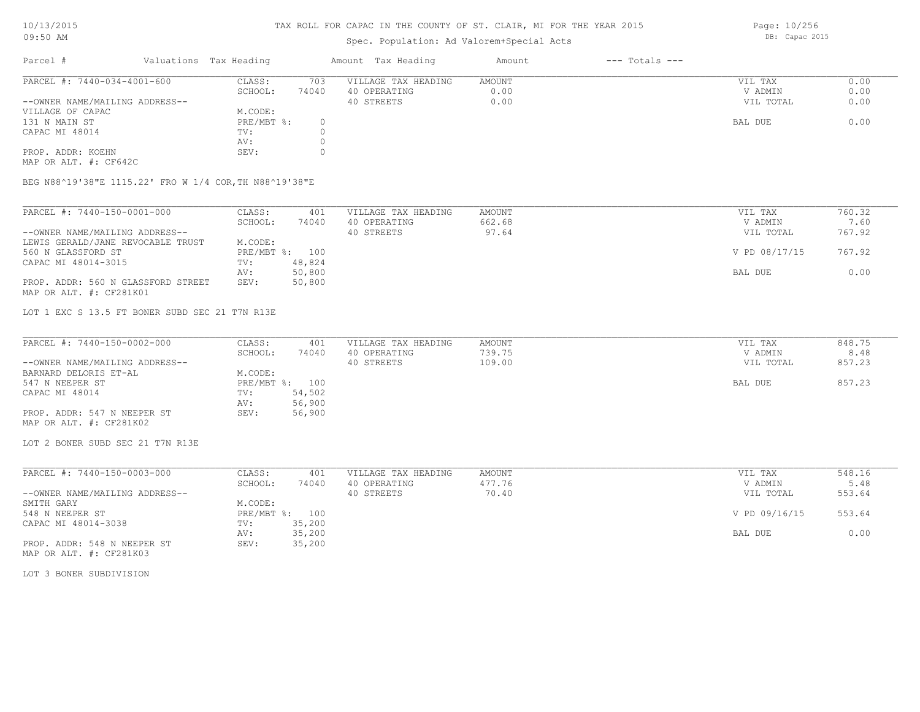## Spec. Population: Ad Valorem+Special Acts

Parcel # Valuations Tax Heading Amount Tax Heading Amount --- Totals ---PROP. ADDR: KOEHN SEV: 0 AV: 0 CAPAC MI 48014  $TV:$  0 AV: 0 131 N MAIN ST PRE/MBT %: 0 BAL DUE 0.00 VILLAGE OF CAPAC M.CODE: M.CODE: 131 N MAIN ST --OWNER NAME/MAILING ADDRESS-- 40 STREETS 0.00 VIL TOTAL 0.00 SCHOOL: 74040 40 OPERATING 0.00 V ADMIN 0.00 PARCEL #: 7440-034-4001-600 CLASS: 703 VILLAGE TAX HEADING AMOUNT AMOUNT VIL TAX 0.00<br>SCHOOL: 74040 40 OPERATING 0.00 000 VADMIN 0.00  $\mathcal{L}_\mathcal{L} = \mathcal{L}_\mathcal{L} = \mathcal{L}_\mathcal{L} = \mathcal{L}_\mathcal{L} = \mathcal{L}_\mathcal{L} = \mathcal{L}_\mathcal{L} = \mathcal{L}_\mathcal{L} = \mathcal{L}_\mathcal{L} = \mathcal{L}_\mathcal{L} = \mathcal{L}_\mathcal{L} = \mathcal{L}_\mathcal{L} = \mathcal{L}_\mathcal{L} = \mathcal{L}_\mathcal{L} = \mathcal{L}_\mathcal{L} = \mathcal{L}_\mathcal{L} = \mathcal{L}_\mathcal{L} = \mathcal{L}_\mathcal{L}$ 

MAP OR ALT. #: CF642C

BEG N88^19'38"E 1115.22' FRO W 1/4 COR,TH N88^19'38"E

| PARCEL #: 7440-150-0001-000        | CLASS:         | 401    | VILLAGE TAX HEADING | AMOUNT | VIL TAX       | 760.32 |
|------------------------------------|----------------|--------|---------------------|--------|---------------|--------|
|                                    | SCHOOL:        | 74040  | 40 OPERATING        | 662.68 | V ADMIN       | 7.60   |
| --OWNER NAME/MAILING ADDRESS--     |                |        | 40 STREETS          | 97.64  | VIL TOTAL     | 767.92 |
| LEWIS GERALD/JANE REVOCABLE TRUST  | M.CODE:        |        |                     |        |               |        |
| 560 N GLASSFORD ST                 | PRE/MBT %: 100 |        |                     |        | V PD 08/17/15 | 767.92 |
| CAPAC MI 48014-3015                | TV:            | 48,824 |                     |        |               |        |
|                                    | AV:            | 50,800 |                     |        | BAL DUE       | 0.00   |
| PROP. ADDR: 560 N GLASSFORD STREET | SEV:           | 50,800 |                     |        |               |        |
| MAP OR ALT. #: CF281K01            |                |        |                     |        |               |        |

LOT 1 EXC S 13.5 FT BONER SUBD SEC 21 T7N R13E

| PARCEL #: 7440-150-0002-000    | CLASS:  | 401            | VILLAGE TAX HEADING | AMOUNT | VIL TAX   | 848.75 |
|--------------------------------|---------|----------------|---------------------|--------|-----------|--------|
|                                | SCHOOL: | 74040          | 40 OPERATING        | 739.75 | V ADMIN   | 8.48   |
| --OWNER NAME/MAILING ADDRESS-- |         |                | 40 STREETS          | 109.00 | VIL TOTAL | 857.23 |
| BARNARD DELORIS ET-AL          | M.CODE: |                |                     |        |           |        |
| 547 N NEEPER ST                |         | PRE/MBT %: 100 |                     |        | BAL DUE   | 857.23 |
| CAPAC MI 48014                 | TV:     | 54,502         |                     |        |           |        |
|                                | AV:     | 56,900         |                     |        |           |        |
| PROP. ADDR: 547 N NEEPER ST    | SEV:    | 56,900         |                     |        |           |        |
| MAP OR ALT. #: CF281K02        |         |                |                     |        |           |        |

LOT 2 BONER SUBD SEC 21 T7N R13E

| PARCEL #: 7440-150-0003-000    | CLASS:     | 401    | VILLAGE TAX HEADING | AMOUNT | VIL TAX       | 548.16 |  |
|--------------------------------|------------|--------|---------------------|--------|---------------|--------|--|
|                                | SCHOOL:    | 74040  | 40 OPERATING        | 477.76 | V ADMIN       | 5.48   |  |
| --OWNER NAME/MAILING ADDRESS-- |            |        | 40 STREETS          | 70.40  | VIL TOTAL     | 553.64 |  |
| SMITH GARY                     | M.CODE:    |        |                     |        |               |        |  |
| 548 N NEEPER ST                | PRE/MBT %: | 100    |                     |        | V PD 09/16/15 | 553.64 |  |
| CAPAC MI 48014-3038            | TV:        | 35,200 |                     |        |               |        |  |
|                                | AV:        | 35,200 |                     |        | BAL DUE       | 0.00   |  |
| PROP. ADDR: 548 N NEEPER ST    | SEV:       | 35,200 |                     |        |               |        |  |
| MAP OR ALT. #: CF281K03        |            |        |                     |        |               |        |  |

LOT 3 BONER SUBDIVISION

Page: 10/256 DB: Capac 2015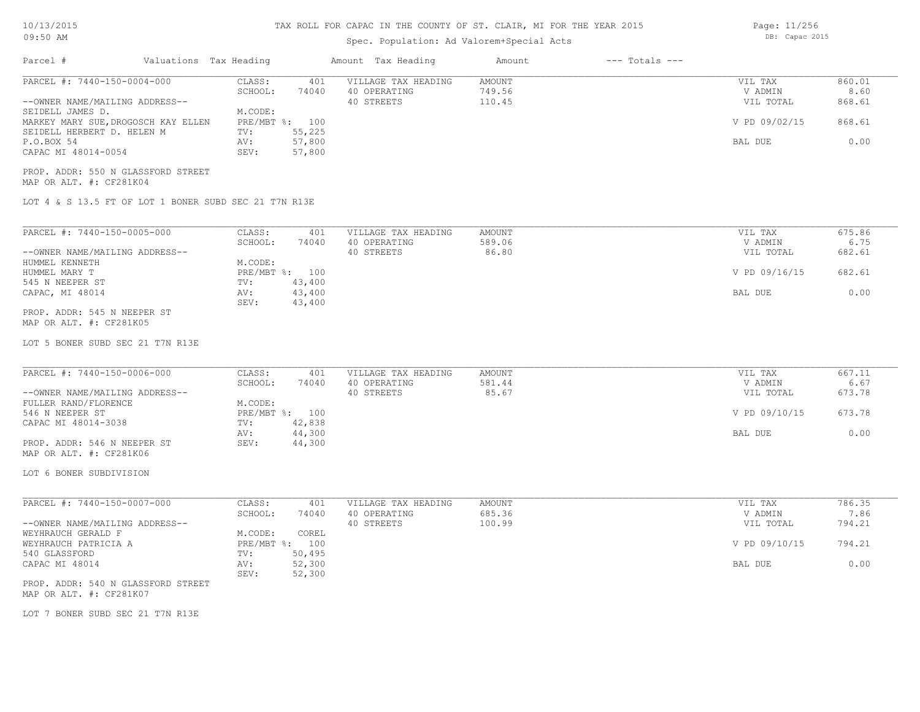| 10/13/2015<br>09:50 AM                                                            |                                                       |                              | TAX ROLL FOR CAPAC IN THE COUNTY OF ST. CLAIR, MI FOR THE YEAR 2015 | Page: 11/256<br>DB: Capac 2015                    |                            |                    |                                 |                          |
|-----------------------------------------------------------------------------------|-------------------------------------------------------|------------------------------|---------------------------------------------------------------------|---------------------------------------------------|----------------------------|--------------------|---------------------------------|--------------------------|
| Parcel #                                                                          | Valuations Tax Heading                                |                              |                                                                     | Amount Tax Heading                                | Amount                     | $---$ Totals $---$ |                                 |                          |
| PARCEL #: 7440-150-0004-000<br>--OWNER NAME/MAILING ADDRESS--<br>SEIDELL JAMES D. |                                                       | CLASS:<br>SCHOOL:<br>M.CODE: | 401<br>74040                                                        | VILLAGE TAX HEADING<br>40 OPERATING<br>40 STREETS | AMOUNT<br>749.56<br>110.45 |                    | VIL TAX<br>V ADMIN<br>VIL TOTAL | 860.01<br>8.60<br>868.61 |
| MARKEY MARY SUE, DROGOSCH KAY ELLEN<br>SEIDELL HERBERT D. HELEN M                 |                                                       | TV:                          | PRE/MBT %: 100<br>55,225                                            |                                                   |                            |                    | V PD 09/02/15                   | 868.61                   |
| P.O.BOX 54<br>CAPAC MI 48014-0054                                                 |                                                       | AV:<br>SEV:                  | 57,800<br>57,800                                                    |                                                   |                            |                    | BAL DUE                         | 0.00                     |
| PROP. ADDR: 550 N GLASSFORD STREET<br>MAP OR ALT. #: CF281K04                     |                                                       |                              |                                                                     |                                                   |                            |                    |                                 |                          |
|                                                                                   | LOT 4 & S 13.5 FT OF LOT 1 BONER SUBD SEC 21 T7N R13E |                              |                                                                     |                                                   |                            |                    |                                 |                          |
| PARCEL #: 7440-150-0005-000                                                       |                                                       | CLASS:                       | 401                                                                 | VILLAGE TAX HEADING                               | AMOUNT                     |                    | VIL TAX                         | 675.86                   |
| --OWNER NAME/MAILING ADDRESS--<br>HUMMEL KENNETH                                  |                                                       | SCHOOL:<br>M.CODE:           | 74040                                                               | 40 OPERATING<br>40 STREETS                        | 589.06<br>86.80            |                    | V ADMIN<br>VIL TOTAL            | 6.75<br>682.61           |
| HUMMEL MARY T<br>545 N NEEPER ST                                                  |                                                       | $\texttt{TV}$ :              | PRE/MBT %: 100<br>43,400                                            |                                                   |                            |                    | V PD 09/16/15                   | 682.61                   |
| CAPAC, MI 48014                                                                   |                                                       | AV:<br>SEV:                  | 43,400<br>43,400                                                    |                                                   |                            |                    | BAL DUE                         | 0.00                     |
| PROP. ADDR: 545 N NEEPER ST<br>MAP OR ALT. #: CF281K05                            |                                                       |                              |                                                                     |                                                   |                            |                    |                                 |                          |
| LOT 5 BONER SUBD SEC 21 T7N R13E                                                  |                                                       |                              |                                                                     |                                                   |                            |                    |                                 |                          |
| PARCEL #: 7440-150-0006-000                                                       |                                                       | CLASS:                       | 401                                                                 | VILLAGE TAX HEADING                               | AMOUNT                     |                    | VIL TAX                         | 667.11                   |
| --OWNER NAME/MAILING ADDRESS--                                                    |                                                       | SCHOOL:                      | 74040                                                               | 40 OPERATING<br>40 STREETS                        | 581.44<br>85.67            |                    | V ADMIN<br>VIL TOTAL            | 6.67<br>673.78           |
| FULLER RAND/FLORENCE<br>546 N NEEPER ST                                           |                                                       | M.CODE:                      | PRE/MBT %: 100                                                      |                                                   |                            |                    | V PD 09/10/15                   | 673.78                   |
| CAPAC MI 48014-3038                                                               |                                                       | $\texttt{TV}$ :<br>AV:       | 42,838<br>44,300                                                    |                                                   |                            |                    | BAL DUE                         | 0.00                     |
| PROP. ADDR: 546 N NEEPER ST<br>MAP OR ALT. #: CF281K06                            |                                                       | SEV:                         | 44,300                                                              |                                                   |                            |                    |                                 |                          |
| LOT 6 BONER SUBDIVISION                                                           |                                                       |                              |                                                                     |                                                   |                            |                    |                                 |                          |
| PARCEL #: 7440-150-0007-000                                                       |                                                       | CLASS:                       | 401                                                                 | VILLAGE TAX HEADING                               | AMOUNT                     |                    | VIL TAX                         | 786.35                   |
| --OWNER NAME/MAILING ADDRESS--                                                    |                                                       | SCHOOL:                      | 74040                                                               | 40 OPERATING<br>40 STREETS                        | 685.36<br>100.99           |                    | V ADMIN<br>VIL TOTAL            | 7.86<br>794.21           |
| WEYHRAUCH GERALD F<br>WEYHRAUCH PATRICIA A                                        |                                                       | M.CODE:                      | COREL<br>PRE/MBT %: 100                                             |                                                   |                            |                    | V PD 09/10/15                   | 794.21                   |
| 540 GLASSFORD<br>CAPAC MI 48014                                                   |                                                       | TV:<br>AV:                   | 50,495<br>52,300                                                    |                                                   |                            |                    | BAL DUE                         | 0.00                     |
| PROP. ADDR: 540 N GLASSFORD STREET<br>MAP OR ALT. #: CF281K07                     |                                                       | SEV:                         | 52,300                                                              |                                                   |                            |                    |                                 |                          |
| LOT 7 BONER SUBD SEC 21 T7N R13E                                                  |                                                       |                              |                                                                     |                                                   |                            |                    |                                 |                          |
|                                                                                   |                                                       |                              |                                                                     |                                                   |                            |                    |                                 |                          |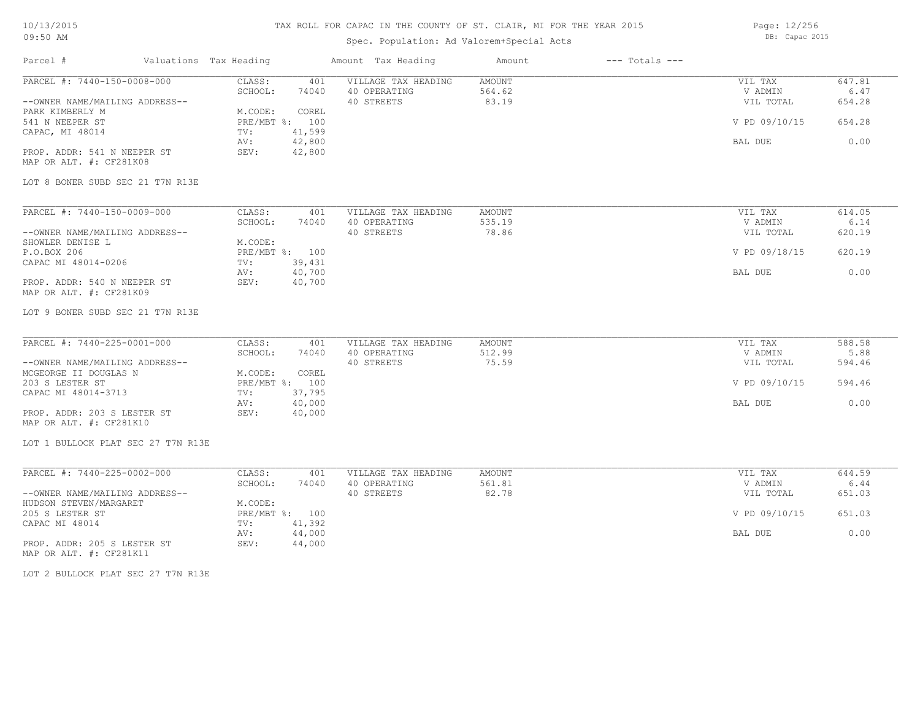# TAX ROLL FOR CAPAC IN THE COUNTY OF ST. CLAIR, MI FOR THE YEAR 2015

# Spec. Population: Ad Valorem+Special Acts

Parcel # Valuations Tax Heading Amount Tax Heading Amount --- Totals ---

Page: 12/256 DB: Capac 2015

| PARCEL #: 7440-150-0008-000                            | CLASS:<br>401    | VILLAGE TAX HEADING | <b>AMOUNT</b> | VIL TAX       | 647.81 |
|--------------------------------------------------------|------------------|---------------------|---------------|---------------|--------|
|                                                        | SCHOOL:<br>74040 | 40 OPERATING        | 564.62        | V ADMIN       | 6.47   |
| --OWNER NAME/MAILING ADDRESS--                         |                  | 40 STREETS          | 83.19         | VIL TOTAL     | 654.28 |
| PARK KIMBERLY M                                        | M.CODE:<br>COREL |                     |               |               |        |
| 541 N NEEPER ST                                        | PRE/MBT %: 100   |                     |               | V PD 09/10/15 | 654.28 |
| CAPAC, MI 48014                                        | 41,599<br>TV:    |                     |               |               |        |
|                                                        | 42,800<br>AV:    |                     |               | BAL DUE       | 0.00   |
| PROP. ADDR: 541 N NEEPER ST<br>MAP OR ALT. #: CF281K08 | SEV:<br>42,800   |                     |               |               |        |
| LOT 8 BONER SUBD SEC 21 T7N R13E                       |                  |                     |               |               |        |
| PARCEL #: 7440-150-0009-000                            | CLASS:<br>401    | VILLAGE TAX HEADING | AMOUNT        | VIL TAX       | 614.05 |
|                                                        | SCHOOL:<br>74040 | 40 OPERATING        | 535.19        | V ADMIN       | 6.14   |
| --OWNER NAME/MAILING ADDRESS--                         |                  | 40 STREETS          | 78.86         | VIL TOTAL     | 620.19 |
| SHOWLER DENISE L                                       | M.CODE:          |                     |               |               |        |
| P.O.BOX 206                                            | PRE/MBT %: 100   |                     |               | V PD 09/18/15 | 620.19 |
| CAPAC MI 48014-0206                                    | 39,431<br>TV:    |                     |               |               |        |
|                                                        | 40,700<br>AV:    |                     |               | BAL DUE       | 0.00   |
| PROP. ADDR: 540 N NEEPER ST<br>MAP OR ALT. #: CF281K09 | 40,700<br>SEV:   |                     |               |               |        |
| LOT 9 BONER SUBD SEC 21 T7N R13E                       |                  |                     |               |               |        |
| PARCEL #: 7440-225-0001-000                            | CLASS:<br>401    | VILLAGE TAX HEADING | <b>AMOUNT</b> | VIL TAX       | 588.58 |
|                                                        | SCHOOL:<br>74040 | 40 OPERATING        | 512.99        | V ADMIN       | 5.88   |
| --OWNER NAME/MAILING ADDRESS--                         |                  | 40 STREETS          | 75.59         | VIL TOTAL     | 594.46 |
| MCGEORGE II DOUGLAS N                                  | M.CODE:<br>COREL |                     |               |               |        |
| 203 S LESTER ST                                        | PRE/MBT %: 100   |                     |               | V PD 09/10/15 | 594.46 |
| CAPAC MI 48014-3713                                    | 37,795<br>TV:    |                     |               |               |        |
|                                                        | 40,000<br>AV:    |                     |               | BAL DUE       | 0.00   |
| PROP. ADDR: 203 S LESTER ST                            | SEV:<br>40,000   |                     |               |               |        |
| MAP OR ALT. #: CF281K10                                |                  |                     |               |               |        |
| LOT 1 BULLOCK PLAT SEC 27 T7N R13E                     |                  |                     |               |               |        |
| PARCEL #: 7440-225-0002-000                            | CLASS:<br>401    | VILLAGE TAX HEADING | AMOUNT        | VIL TAX       | 644.59 |
|                                                        | SCHOOL:<br>74040 | 40 OPERATING        | 561.81        | V ADMIN       | 6.44   |
| --OWNER NAME/MAILING ADDRESS--                         |                  | 40 STREETS          | 82.78         | VIL TOTAL     | 651.03 |
| HUDSON STEVEN/MARGARET                                 | M.CODE:          |                     |               |               |        |
| 205 S LESTER ST                                        | PRE/MBT %: 100   |                     |               | V PD 09/10/15 | 651.03 |
| CAPAC MI 48014                                         | 41,392<br>TV:    |                     |               |               |        |
|                                                        | 44,000<br>AV:    |                     |               | BAL DUE       | 0.00   |
| PROP. ADDR: 205 S LESTER ST<br>MAP OR ALT. #: CF281K11 | SEV:<br>44,000   |                     |               |               |        |

LOT 2 BULLOCK PLAT SEC 27 T7N R13E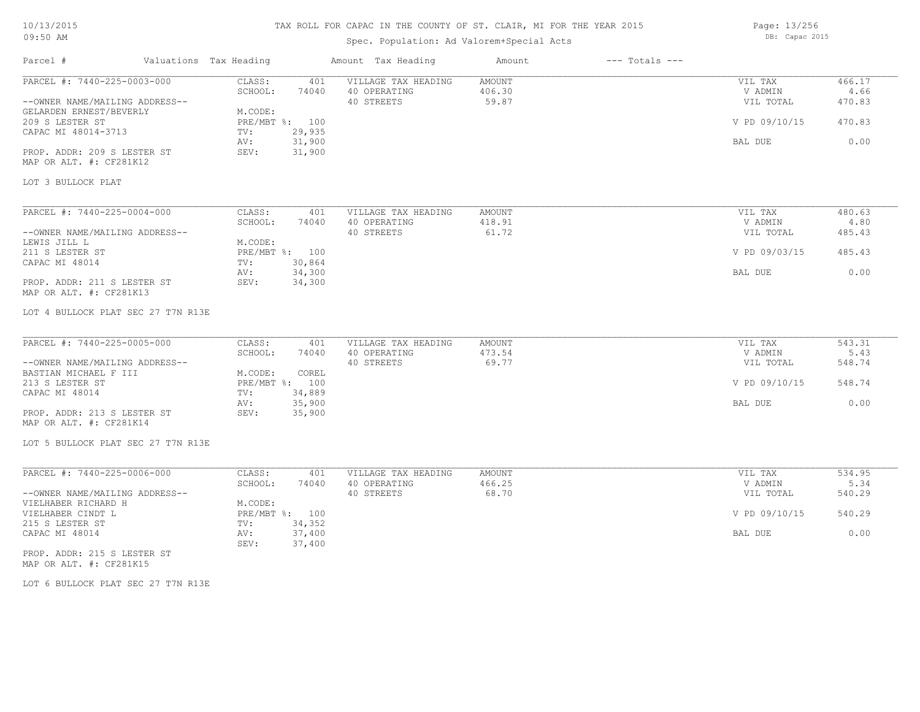# TAX ROLL FOR CAPAC IN THE COUNTY OF ST. CLAIR, MI FOR THE YEAR 2015

# Spec. Population: Ad Valorem+Special Acts

Page: 13/256 DB: Capac 2015

| Parcel #                                               | Valuations Tax Heading |                   |                          | Amount Tax Heading                  | Amount           | $---$ Totals $---$ |                    |                |
|--------------------------------------------------------|------------------------|-------------------|--------------------------|-------------------------------------|------------------|--------------------|--------------------|----------------|
| PARCEL #: 7440-225-0003-000                            |                        | CLASS:<br>SCHOOL: | 401<br>74040             | VILLAGE TAX HEADING<br>40 OPERATING | AMOUNT<br>406.30 |                    | VIL TAX<br>V ADMIN | 466.17<br>4.66 |
| --OWNER NAME/MAILING ADDRESS--                         |                        |                   |                          | 40 STREETS                          | 59.87            |                    | VIL TOTAL          | 470.83         |
| GELARDEN ERNEST/BEVERLY<br>209 S LESTER ST             |                        | M.CODE:           | PRE/MBT %: 100           |                                     |                  |                    | V PD 09/10/15      | 470.83         |
| CAPAC MI 48014-3713                                    |                        | TV:               | 29,935                   |                                     |                  |                    |                    |                |
|                                                        |                        | AV:               | 31,900                   |                                     |                  |                    | BAL DUE            | 0.00           |
| PROP. ADDR: 209 S LESTER ST<br>MAP OR ALT. #: CF281K12 |                        | SEV:              | 31,900                   |                                     |                  |                    |                    |                |
| LOT 3 BULLOCK PLAT                                     |                        |                   |                          |                                     |                  |                    |                    |                |
| PARCEL #: 7440-225-0004-000                            |                        | CLASS:            | 401                      | VILLAGE TAX HEADING                 | AMOUNT           |                    | VIL TAX            | 480.63         |
|                                                        |                        | SCHOOL:           | 74040                    | 40 OPERATING                        | 418.91           |                    | V ADMIN            | 4.80           |
| --OWNER NAME/MAILING ADDRESS--                         |                        |                   |                          | 40 STREETS                          | 61.72            |                    | VIL TOTAL          | 485.43         |
| LEWIS JILL L                                           |                        | M.CODE:           |                          |                                     |                  |                    |                    |                |
| 211 S LESTER ST                                        |                        |                   | PRE/MBT %: 100           |                                     |                  |                    | V PD 09/03/15      | 485.43         |
| CAPAC MI 48014                                         |                        | TV:               | 30,864                   |                                     |                  |                    |                    |                |
| PROP. ADDR: 211 S LESTER ST<br>MAP OR ALT. #: CF281K13 |                        | AV:<br>SEV:       | 34,300<br>34,300         |                                     |                  |                    | BAL DUE            | 0.00           |
| LOT 4 BULLOCK PLAT SEC 27 T7N R13E                     |                        |                   |                          |                                     |                  |                    |                    |                |
| PARCEL #: 7440-225-0005-000                            |                        | CLASS:            | 401                      | VILLAGE TAX HEADING                 | AMOUNT           |                    | VIL TAX            | 543.31         |
|                                                        |                        | SCHOOL:           | 74040                    | 40 OPERATING                        | 473.54           |                    | V ADMIN            | 5.43           |
| --OWNER NAME/MAILING ADDRESS--                         |                        |                   |                          | 40 STREETS                          | 69.77            |                    | VIL TOTAL          | 548.74         |
| BASTIAN MICHAEL F III                                  |                        | M.CODE:           | COREL                    |                                     |                  |                    |                    |                |
| 213 S LESTER ST<br>CAPAC MI 48014                      |                        | TV:               | PRE/MBT %: 100<br>34,889 |                                     |                  |                    | V PD 09/10/15      | 548.74         |
|                                                        |                        | AV:               | 35,900                   |                                     |                  |                    | BAL DUE            | 0.00           |
| PROP. ADDR: 213 S LESTER ST<br>MAP OR ALT. #: CF281K14 |                        | SEV:              | 35,900                   |                                     |                  |                    |                    |                |
| LOT 5 BULLOCK PLAT SEC 27 T7N R13E                     |                        |                   |                          |                                     |                  |                    |                    |                |
| PARCEL #: 7440-225-0006-000                            |                        | CLASS:            | 401                      | VILLAGE TAX HEADING                 | AMOUNT           |                    | VIL TAX            | 534.95         |
|                                                        |                        | SCHOOL:           | 74040                    | 40 OPERATING                        | 466.25           |                    | V ADMIN            | 5.34           |
| --OWNER NAME/MAILING ADDRESS--                         |                        |                   |                          | 40 STREETS                          | 68.70            |                    | VIL TOTAL          | 540.29         |
| VIELHABER RICHARD H                                    |                        | M.CODE:           |                          |                                     |                  |                    |                    |                |
| VIELHABER CINDT L                                      |                        |                   | PRE/MBT %: 100           |                                     |                  |                    | V PD 09/10/15      | 540.29         |
| 215 S LESTER ST                                        |                        | TV:               | 34,352                   |                                     |                  |                    |                    |                |
| CAPAC MI 48014                                         |                        | AV:<br>SEV:       | 37,400<br>37,400         |                                     |                  |                    | BAL DUE            | 0.00           |
| PROP. ADDR: 215 S LESTER ST                            |                        |                   |                          |                                     |                  |                    |                    |                |

MAP OR ALT. #: CF281K15

LOT 6 BULLOCK PLAT SEC 27 T7N R13E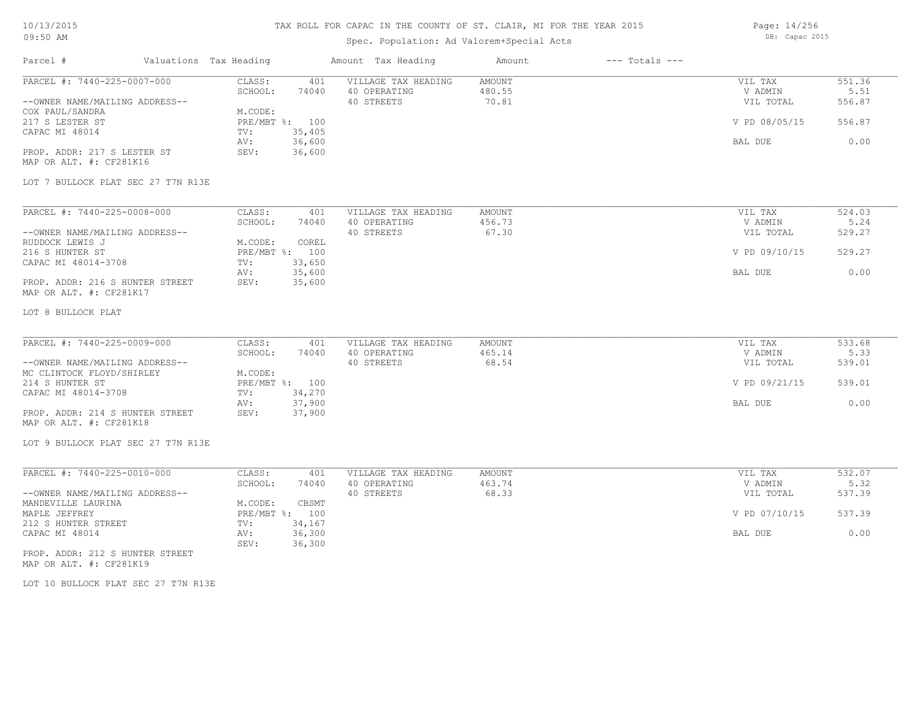# TAX ROLL FOR CAPAC IN THE COUNTY OF ST. CLAIR, MI FOR THE YEAR 2015

# Spec. Population: Ad Valorem+Special Acts

Page: 14/256 DB: Capac 2015

| Parcel #                                                                                                                                                                                                                                 | Valuations Tax Heading |                                                                                                                             | Amount Tax Heading                                | Amount                    | $---$ Totals $---$ |                                                             |                                            |
|------------------------------------------------------------------------------------------------------------------------------------------------------------------------------------------------------------------------------------------|------------------------|-----------------------------------------------------------------------------------------------------------------------------|---------------------------------------------------|---------------------------|--------------------|-------------------------------------------------------------|--------------------------------------------|
| PARCEL #: 7440-225-0007-000<br>--OWNER NAME/MAILING ADDRESS--<br>COX PAUL/SANDRA<br>217 S LESTER ST<br>CAPAC MI 48014<br>PROP. ADDR: 217 S LESTER ST<br>MAP OR ALT. #: CF281K16<br>LOT 7 BULLOCK PLAT SEC 27 T7N R13E                    |                        | CLASS:<br>401<br>SCHOOL:<br>74040<br>M.CODE:<br>PRE/MBT %: 100<br>35,405<br>TV:<br>36,600<br>AV:<br>SEV:<br>36,600          | VILLAGE TAX HEADING<br>40 OPERATING<br>40 STREETS | AMOUNT<br>480.55<br>70.81 |                    | VIL TAX<br>V ADMIN<br>VIL TOTAL<br>V PD 08/05/15<br>BAL DUE | 551.36<br>5.51<br>556.87<br>556.87<br>0.00 |
| PARCEL #: 7440-225-0008-000<br>--OWNER NAME/MAILING ADDRESS--<br>RUDDOCK LEWIS J<br>216 S HUNTER ST<br>CAPAC MI 48014-3708<br>PROP. ADDR: 216 S HUNTER STREET<br>MAP OR ALT. #: CF281K17<br>LOT 8 BULLOCK PLAT                           |                        | CLASS:<br>401<br>SCHOOL:<br>74040<br>M.CODE:<br>COREL<br>PRE/MBT %: 100<br>33,650<br>TV:<br>35,600<br>AV:<br>35,600<br>SEV: | VILLAGE TAX HEADING<br>40 OPERATING<br>40 STREETS | AMOUNT<br>456.73<br>67.30 |                    | VIL TAX<br>V ADMIN<br>VIL TOTAL<br>V PD 09/10/15<br>BAL DUE | 524.03<br>5.24<br>529.27<br>529.27<br>0.00 |
| PARCEL #: 7440-225-0009-000<br>--OWNER NAME/MAILING ADDRESS--<br>MC CLINTOCK FLOYD/SHIRLEY<br>214 S HUNTER ST<br>CAPAC MI 48014-3708<br>PROP. ADDR: 214 S HUNTER STREET<br>MAP OR ALT. #: CF281K18<br>LOT 9 BULLOCK PLAT SEC 27 T7N R13E |                        | CLASS:<br>401<br>SCHOOL:<br>74040<br>M.CODE:<br>PRE/MBT %: 100<br>34,270<br>TV:<br>37,900<br>AV:<br>SEV:<br>37,900          | VILLAGE TAX HEADING<br>40 OPERATING<br>40 STREETS | AMOUNT<br>465.14<br>68.54 |                    | VIL TAX<br>V ADMIN<br>VIL TOTAL<br>V PD 09/21/15<br>BAL DUE | 533.68<br>5.33<br>539.01<br>539.01<br>0.00 |
| PARCEL #: 7440-225-0010-000<br>--OWNER NAME/MAILING ADDRESS--<br>MANDEVILLE LAURINA<br>MAPLE JEFFREY<br>212 S HUNTER STREET<br>CAPAC MI 48014<br>PROP. ADDR: 212 S HUNTER STREET<br>MAP OR ALT. #: CF281K19                              |                        | CLASS:<br>401<br>SCHOOL:<br>74040<br>M.CODE:<br>CBSMT<br>PRE/MBT %: 100<br>34,167<br>TV:<br>36,300<br>AV:<br>SEV:<br>36,300 | VILLAGE TAX HEADING<br>40 OPERATING<br>40 STREETS | AMOUNT<br>463.74<br>68.33 |                    | VIL TAX<br>V ADMIN<br>VIL TOTAL<br>V PD 07/10/15<br>BAL DUE | 532.07<br>5.32<br>537.39<br>537.39<br>0.00 |

LOT 10 BULLOCK PLAT SEC 27 T7N R13E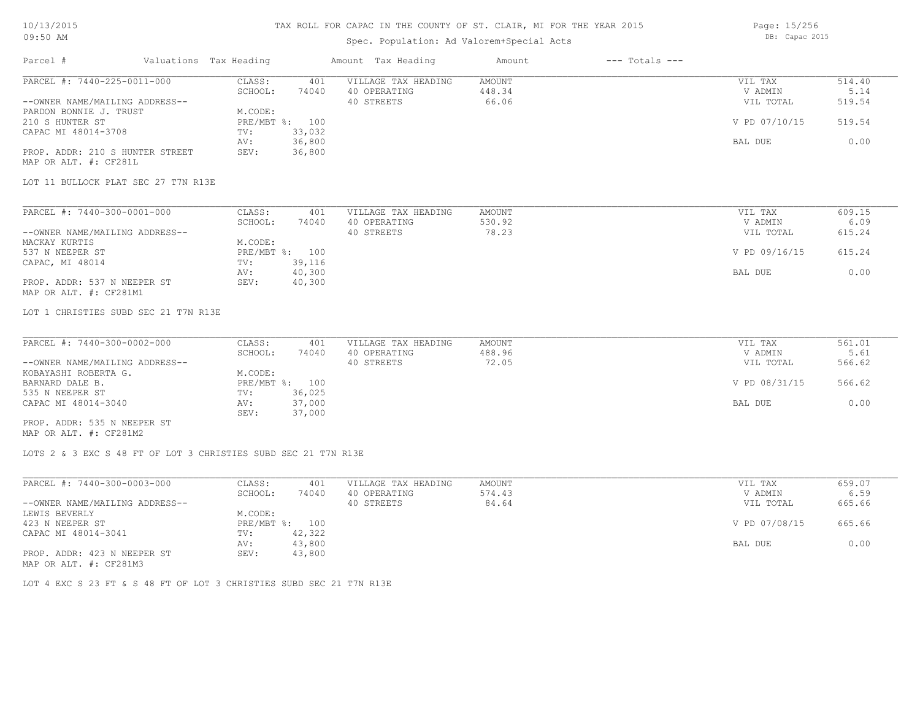## TAX ROLL FOR CAPAC IN THE COUNTY OF ST. CLAIR, MI FOR THE YEAR 2015

## Spec. Population: Ad Valorem+Special Acts

Page: 15/256 DB: Capac 2015

| Parcel #                        | Valuations Tax Heading |                | Amount Tax Heading  | Amount | $---$ Totals $---$ |               |        |
|---------------------------------|------------------------|----------------|---------------------|--------|--------------------|---------------|--------|
| PARCEL #: 7440-225-0011-000     | CLASS:                 | 401            | VILLAGE TAX HEADING | AMOUNT |                    | VIL TAX       | 514.40 |
|                                 | SCHOOL:                | 74040          | 40 OPERATING        | 448.34 |                    | V ADMIN       | 5.14   |
| --OWNER NAME/MAILING ADDRESS--  |                        |                | 40 STREETS          | 66.06  |                    | VIL TOTAL     | 519.54 |
| PARDON BONNIE J. TRUST          | M.CODE:                |                |                     |        |                    |               |        |
| 210 S HUNTER ST                 |                        | PRE/MBT %: 100 |                     |        |                    | V PD 07/10/15 | 519.54 |
| CAPAC MI 48014-3708             | TV:                    | 33,032         |                     |        |                    |               |        |
|                                 | AV:                    | 36,800         |                     |        |                    | BAL DUE       | 0.00   |
| PROP. ADDR: 210 S HUNTER STREET | SEV:                   | 36,800         |                     |        |                    |               |        |
| MAP OR ALT. #: CF281L           |                        |                |                     |        |                    |               |        |

LOT 11 BULLOCK PLAT SEC 27 T7N R13E

| PARCEL #: 7440-300-0001-000    | CLASS:  | 401            | VILLAGE TAX HEADING | AMOUNT | VIL TAX       | 609.15 |
|--------------------------------|---------|----------------|---------------------|--------|---------------|--------|
|                                | SCHOOL: | 74040          | 40 OPERATING        | 530.92 | V ADMIN       | 6.09   |
| --OWNER NAME/MAILING ADDRESS-- |         |                | 40 STREETS          | 78.23  | VIL TOTAL     | 615.24 |
| MACKAY KURTIS                  | M.CODE: |                |                     |        |               |        |
| 537 N NEEPER ST                |         | PRE/MBT %: 100 |                     |        | V PD 09/16/15 | 615.24 |
| CAPAC, MI 48014                | TV:     | 39,116         |                     |        |               |        |
|                                | AV:     | 40,300         |                     |        | BAL DUE       | 0.00   |
| PROP. ADDR: 537 N NEEPER ST    | SEV:    | 40,300         |                     |        |               |        |
| MAP OR ALT. #: CF281M1         |         |                |                     |        |               |        |

LOT 1 CHRISTIES SUBD SEC 21 T7N R13E

| PARCEL #: 7440-300-0002-000    | CLASS:  | 401            | VILLAGE TAX HEADING | AMOUNT | VIL TAX       | 561.01 |
|--------------------------------|---------|----------------|---------------------|--------|---------------|--------|
|                                | SCHOOL: | 74040          | 40 OPERATING        | 488.96 | V ADMIN       | 5.61   |
| --OWNER NAME/MAILING ADDRESS-- |         |                | 40 STREETS          | 72.05  | VIL TOTAL     | 566.62 |
| KOBAYASHI ROBERTA G.           | M.CODE: |                |                     |        |               |        |
| BARNARD DALE B.                |         | PRE/MBT %: 100 |                     |        | V PD 08/31/15 | 566.62 |
| 535 N NEEPER ST                | TV:     | 36,025         |                     |        |               |        |
| CAPAC MI 48014-3040            | AV:     | 37,000         |                     |        | BAL DUE       | 0.00   |
|                                | SEV:    | 37,000         |                     |        |               |        |
| PROP. ADDR: 535 N NEEPER ST    |         |                |                     |        |               |        |

MAP OR ALT. #: CF281M2

LOTS 2 & 3 EXC S 48 FT OF LOT 3 CHRISTIES SUBD SEC 21 T7N R13E

| PARCEL #: 7440-300-0003-000    | CLASS:  | 401            | VILLAGE TAX HEADING | AMOUNT | VIL TAX       | 659.07 |
|--------------------------------|---------|----------------|---------------------|--------|---------------|--------|
|                                | SCHOOL: | 74040          | 40 OPERATING        | 574.43 | V ADMIN       | 6.59   |
| --OWNER NAME/MAILING ADDRESS-- |         |                | 40 STREETS          | 84.64  | VIL TOTAL     | 665.66 |
| LEWIS BEVERLY                  | M.CODE: |                |                     |        |               |        |
| 423 N NEEPER ST                |         | PRE/MBT %: 100 |                     |        | V PD 07/08/15 | 665.66 |
| CAPAC MI 48014-3041            | TV:     | 42,322         |                     |        |               |        |
|                                | AV:     | 43,800         |                     |        | BAL DUE       | 0.00   |
| PROP. ADDR: 423 N NEEPER ST    | SEV:    | 43,800         |                     |        |               |        |
| MAP OR ALT. #: CF281M3         |         |                |                     |        |               |        |

LOT 4 EXC S 23 FT & S 48 FT OF LOT 3 CHRISTIES SUBD SEC 21 T7N R13E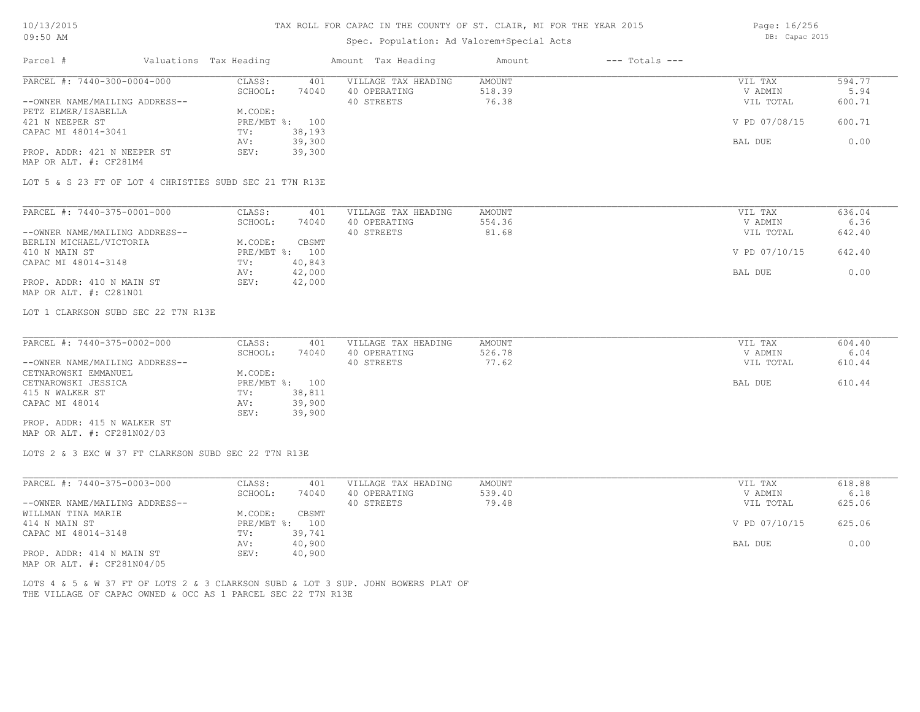# Spec. Population: Ad Valorem+Special Acts

Page: 16/256 DB: Capac 2015

| PARCEL #: 7440-300-0004-000                                                                  | CLASS:<br>401    | VILLAGE TAX HEADING | <b>AMOUNT</b> | VIL TAX       | 594.77 |
|----------------------------------------------------------------------------------------------|------------------|---------------------|---------------|---------------|--------|
|                                                                                              | SCHOOL:<br>74040 | 40 OPERATING        | 518.39        | V ADMIN       | 5.94   |
| --OWNER NAME/MAILING ADDRESS--                                                               |                  | 40 STREETS          | 76.38         | VIL TOTAL     | 600.71 |
| PETZ ELMER/ISABELLA                                                                          | M.CODE:          |                     |               |               |        |
| 421 N NEEPER ST                                                                              | PRE/MBT %: 100   |                     |               | V PD 07/08/15 | 600.71 |
| CAPAC MI 48014-3041                                                                          | 38,193<br>TV:    |                     |               |               |        |
|                                                                                              | 39,300<br>AV:    |                     |               | BAL DUE       | 0.00   |
| PROP. ADDR: 421 N NEEPER ST                                                                  | SEV:<br>39,300   |                     |               |               |        |
| MAP OR ALT. #: CF281M4                                                                       |                  |                     |               |               |        |
| LOT 5 & S 23 FT OF LOT 4 CHRISTIES SUBD SEC 21 T7N R13E                                      |                  |                     |               |               |        |
| PARCEL #: 7440-375-0001-000                                                                  | CLASS:<br>401    | VILLAGE TAX HEADING | <b>AMOUNT</b> | VIL TAX       | 636.04 |
|                                                                                              | SCHOOL:<br>74040 | 40 OPERATING        | 554.36        | V ADMIN       | 6.36   |
| --OWNER NAME/MAILING ADDRESS--                                                               |                  | 40 STREETS          | 81.68         | VIL TOTAL     | 642.40 |
| BERLIN MICHAEL/VICTORIA                                                                      | M.CODE:<br>CBSMT |                     |               |               |        |
|                                                                                              |                  |                     |               |               | 642.40 |
| 410 N MAIN ST                                                                                | PRE/MBT %: 100   |                     |               | V PD 07/10/15 |        |
| CAPAC MI 48014-3148                                                                          | 40,843<br>TV:    |                     |               |               |        |
|                                                                                              | 42,000<br>AV:    |                     |               | BAL DUE       | 0.00   |
| PROP. ADDR: 410 N MAIN ST                                                                    | SEV:<br>42,000   |                     |               |               |        |
| MAP OR ALT. #: C281N01                                                                       |                  |                     |               |               |        |
| LOT 1 CLARKSON SUBD SEC 22 T7N R13E                                                          |                  |                     |               |               |        |
| PARCEL #: 7440-375-0002-000                                                                  | CLASS:<br>401    | VILLAGE TAX HEADING | <b>AMOUNT</b> | VIL TAX       | 604.40 |
|                                                                                              | SCHOOL:<br>74040 | 40 OPERATING        | 526.78        | V ADMIN       | 6.04   |
| --OWNER NAME/MAILING ADDRESS--                                                               |                  | 40 STREETS          | 77.62         | VIL TOTAL     | 610.44 |
| CETNAROWSKI EMMANUEL                                                                         | M.CODE:          |                     |               |               |        |
| CETNAROWSKI JESSICA                                                                          | PRE/MBT %: 100   |                     |               | BAL DUE       | 610.44 |
| 415 N WALKER ST                                                                              | 38,811<br>TV:    |                     |               |               |        |
| CAPAC MI 48014                                                                               | 39,900<br>AV:    |                     |               |               |        |
|                                                                                              | 39,900<br>SEV:   |                     |               |               |        |
| PROP. ADDR: 415 N WALKER ST<br>MAP OR ALT. #: CF281N02/03                                    |                  |                     |               |               |        |
| LOTS 2 & 3 EXC W 37 FT CLARKSON SUBD SEC 22 T7N R13E                                         |                  |                     |               |               |        |
| PARCEL #: 7440-375-0003-000                                                                  | CLASS:<br>401    | VILLAGE TAX HEADING | <b>AMOUNT</b> | VIL TAX       | 618.88 |
|                                                                                              | SCHOOL:<br>74040 | 40 OPERATING        | 539.40        | V ADMIN       | 6.18   |
|                                                                                              |                  | 40 STREETS          | 79.48         | VIL TOTAL     | 625.06 |
|                                                                                              | M.CODE:<br>CBSMT |                     |               |               |        |
|                                                                                              |                  |                     |               | V PD 07/10/15 | 625.06 |
|                                                                                              |                  |                     |               |               |        |
|                                                                                              | PRE/MBT %: 100   |                     |               |               |        |
| --OWNER NAME/MAILING ADDRESS--<br>WILLMAN TINA MARIE<br>414 N MAIN ST<br>CAPAC MI 48014-3148 | 39,741<br>TV:    |                     |               |               |        |
|                                                                                              | 40,900<br>AV:    |                     |               | BAL DUE       | 0.00   |
| PROP. ADDR: 414 N MAIN ST                                                                    | SEV:<br>40,900   |                     |               |               |        |
| MAP OR ALT. #: CF281N04/05                                                                   |                  |                     |               |               |        |
| LOTS 4 & 5 & W 37 FT OF LOTS 2 & 3 CLARKSON SUBD & LOT 3 SUP. JOHN BOWERS PLAT OF            |                  |                     |               |               |        |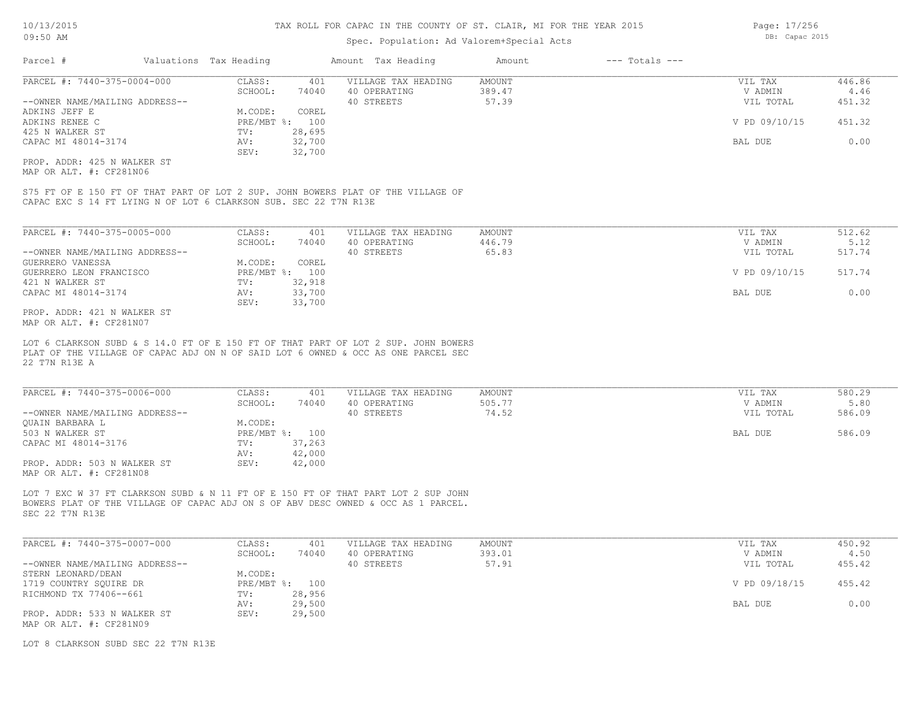## Spec. Population: Ad Valorem+Special Acts

| Parcel #                       | Valuations Tax Heading |        | Amount Tax Heading  | Amount | $---$ Totals $---$ |               |        |
|--------------------------------|------------------------|--------|---------------------|--------|--------------------|---------------|--------|
| PARCEL #: 7440-375-0004-000    | CLASS:                 | 401    | VILLAGE TAX HEADING | AMOUNT |                    | VIL TAX       | 446.86 |
|                                | SCHOOL:                | 74040  | 40 OPERATING        | 389.47 |                    | V ADMIN       | 4.46   |
| --OWNER NAME/MAILING ADDRESS-- |                        |        | 40 STREETS          | 57.39  |                    | VIL TOTAL     | 451.32 |
| ADKINS JEFF E                  | M.CODE:                | COREL  |                     |        |                    |               |        |
| ADKINS RENEE C                 | $PRE/MBT$ %:           | 100    |                     |        |                    | V PD 09/10/15 | 451.32 |
| 425 N WALKER ST                | TV:                    | 28,695 |                     |        |                    |               |        |
| CAPAC MI 48014-3174            | AV:                    | 32,700 |                     |        |                    | BAL DUE       | 0.00   |
|                                | SEV:                   | 32,700 |                     |        |                    |               |        |
| PROP. ADDR: 425 N WALKER ST    |                        |        |                     |        |                    |               |        |

MAP OR ALT. #: CF281N06

CAPAC EXC S 14 FT LYING N OF LOT 6 CLARKSON SUB. SEC 22 T7N R13E S75 FT OF E 150 FT OF THAT PART OF LOT 2 SUP. JOHN BOWERS PLAT OF THE VILLAGE OF

| PARCEL #: 7440-375-0005-000    | CLASS:     | 401    | VILLAGE TAX HEADING | AMOUNT | VIL TAX       | 512.62 |
|--------------------------------|------------|--------|---------------------|--------|---------------|--------|
|                                | SCHOOL:    | 74040  | 40 OPERATING        | 446.79 | V ADMIN       | 5.12   |
| --OWNER NAME/MAILING ADDRESS-- |            |        | 40 STREETS          | 65.83  | VIL TOTAL     | 517.74 |
| GUERRERO VANESSA               | M.CODE:    | COREL  |                     |        |               |        |
| GUERRERO LEON FRANCISCO        | PRE/MBT %: | 100    |                     |        | V PD 09/10/15 | 517.74 |
| 421 N WALKER ST                | TV:        | 32,918 |                     |        |               |        |
| CAPAC MI 48014-3174            | AV:        | 33,700 |                     |        | BAL DUE       | 0.00   |
|                                | SEV:       | 33,700 |                     |        |               |        |
| PROP. ADDR: 421 N WALKER ST    |            |        |                     |        |               |        |

MAP OR ALT. #: CF281N07

22 T7N R13E A PLAT OF THE VILLAGE OF CAPAC ADJ ON N OF SAID LOT 6 OWNED & OCC AS ONE PARCEL SEC LOT 6 CLARKSON SUBD & S 14.0 FT OF E 150 FT OF THAT PART OF LOT 2 SUP. JOHN BOWERS

| PARCEL #: 7440-375-0006-000    | CLASS:  | 401            | VILLAGE TAX HEADING | AMOUNT | VIL TAX   | 580.29 |
|--------------------------------|---------|----------------|---------------------|--------|-----------|--------|
|                                | SCHOOL: | 74040          | 40 OPERATING        | 505.77 | V ADMIN   | 5.80   |
| --OWNER NAME/MAILING ADDRESS-- |         |                | 40 STREETS          | 74.52  | VIL TOTAL | 586.09 |
| OUAIN BARBARA L                | M.CODE: |                |                     |        |           |        |
| 503 N WALKER ST                |         | PRE/MBT %: 100 |                     |        | BAL DUE   | 586.09 |
| CAPAC MI 48014-3176            | TV:     | 37,263         |                     |        |           |        |
|                                | AV:     | 42,000         |                     |        |           |        |
| PROP. ADDR: 503 N WALKER ST    | SEV:    | 42,000         |                     |        |           |        |
| MAP OR ALT. #: CF281N08        |         |                |                     |        |           |        |

SEC 22 T7N R13E BOWERS PLAT OF THE VILLAGE OF CAPAC ADJ ON S OF ABV DESC OWNED & OCC AS 1 PARCEL. LOT 7 EXC W 37 FT CLARKSON SUBD & N 11 FT OF E 150 FT OF THAT PART LOT 2 SUP JOHN

| PARCEL #: 7440-375-0007-000    | CLASS:  | 401            | VILLAGE TAX HEADING | AMOUNT | VIL TAX       | 450.92 |
|--------------------------------|---------|----------------|---------------------|--------|---------------|--------|
|                                | SCHOOL: | 74040          | 40 OPERATING        | 393.01 | V ADMIN       | 4.50   |
| --OWNER NAME/MAILING ADDRESS-- |         |                | 40 STREETS          | 57.91  | VIL TOTAL     | 455.42 |
| STERN LEONARD/DEAN             | M.CODE: |                |                     |        |               |        |
| 1719 COUNTRY SOUIRE DR         |         | PRE/MBT %: 100 |                     |        | V PD 09/18/15 | 455.42 |
| RICHMOND TX 77406--661         | TV:     | 28,956         |                     |        |               |        |
|                                | AV:     | 29,500         |                     |        | BAL DUE       | 0.00   |
| PROP. ADDR: 533 N WALKER ST    | SEV:    | 29,500         |                     |        |               |        |
| MAD OD AID #: OROGINOO         |         |                |                     |        |               |        |

MAP OR ALT. #: CF281N09

LOT 8 CLARKSON SUBD SEC 22 T7N R13E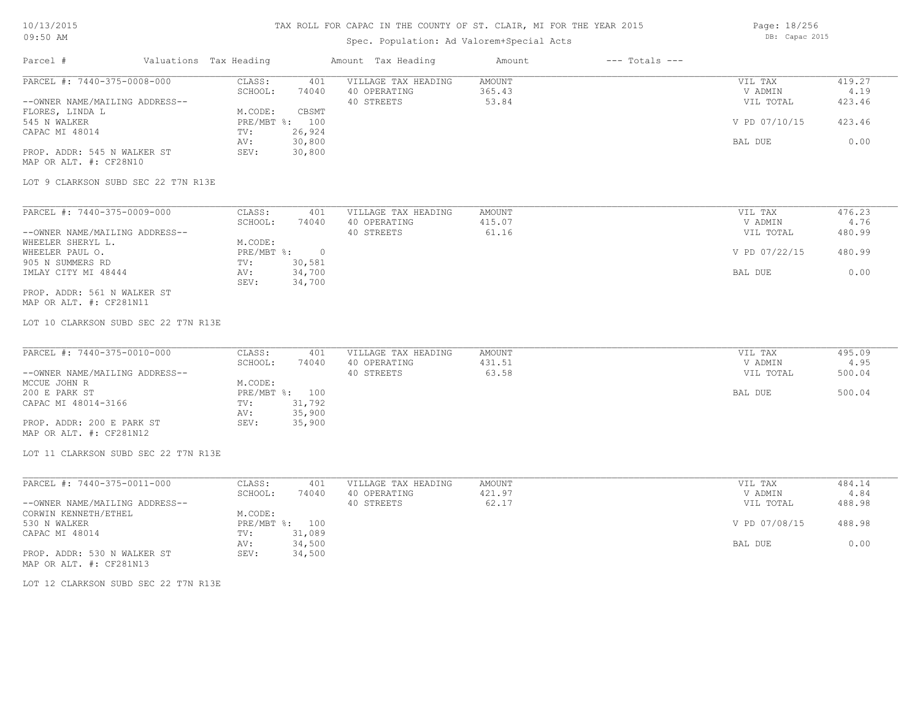# Spec. Population: Ad Valorem+Special Acts

Page: 18/256 DB: Capac 2015

| PARCEL #: 7440-375-0008-000          | CLASS:<br>401<br>SCHOOL:<br>74040 | VILLAGE TAX HEADING<br>40 OPERATING | <b>AMOUNT</b><br>365.43 | VIL TAX<br>V ADMIN | 419.27<br>4.19 |
|--------------------------------------|-----------------------------------|-------------------------------------|-------------------------|--------------------|----------------|
| --OWNER NAME/MAILING ADDRESS--       |                                   | 40 STREETS                          | 53.84                   | VIL TOTAL          | 423.46         |
| FLORES, LINDA L                      | M.CODE:<br>CBSMT                  |                                     |                         |                    |                |
| 545 N WALKER                         | PRE/MBT %: 100                    |                                     |                         | V PD 07/10/15      | 423.46         |
| CAPAC MI 48014                       | 26,924<br>TV:                     |                                     |                         |                    |                |
|                                      | 30,800<br>AV:                     |                                     |                         | BAL DUE            | 0.00           |
| PROP. ADDR: 545 N WALKER ST          | SEV:<br>30,800                    |                                     |                         |                    |                |
| MAP OR ALT. #: CF28N10               |                                   |                                     |                         |                    |                |
| LOT 9 CLARKSON SUBD SEC 22 T7N R13E  |                                   |                                     |                         |                    |                |
| PARCEL #: 7440-375-0009-000          | CLASS:<br>401                     | VILLAGE TAX HEADING                 | <b>AMOUNT</b>           | VIL TAX            | 476.23         |
|                                      | SCHOOL:<br>74040                  | 40 OPERATING                        | 415.07                  | V ADMIN            | 4.76           |
| --OWNER NAME/MAILING ADDRESS--       |                                   | 40 STREETS                          | 61.16                   | VIL TOTAL          | 480.99         |
| WHEELER SHERYL L.                    | M.CODE:                           |                                     |                         |                    |                |
| WHEELER PAUL O.                      | PRE/MBT %: 0                      |                                     |                         | V PD 07/22/15      | 480.99         |
| 905 N SUMMERS RD                     | TV:<br>30,581                     |                                     |                         |                    |                |
| IMLAY CITY MI 48444                  | 34,700<br>AV:<br>SEV:<br>34,700   |                                     |                         | BAL DUE            | 0.00           |
| PROP. ADDR: 561 N WALKER ST          |                                   |                                     |                         |                    |                |
| MAP OR ALT. #: CF281N11              |                                   |                                     |                         |                    |                |
| LOT 10 CLARKSON SUBD SEC 22 T7N R13E |                                   |                                     |                         |                    |                |
|                                      |                                   |                                     |                         |                    |                |
| PARCEL #: 7440-375-0010-000          | CLASS:<br>401                     | VILLAGE TAX HEADING                 | <b>AMOUNT</b>           | VIL TAX            | 495.09         |
|                                      | SCHOOL:<br>74040                  | 40 OPERATING                        | 431.51                  | V ADMIN            | 4.95           |
| --OWNER NAME/MAILING ADDRESS--       |                                   | 40 STREETS                          | 63.58                   | VIL TOTAL          | 500.04         |
| MCCUE JOHN R                         | M.CODE:                           |                                     |                         |                    |                |
| 200 E PARK ST                        | PRE/MBT %: 100                    |                                     |                         | BAL DUE            | 500.04         |
| CAPAC MI 48014-3166                  | 31,792<br>TV:                     |                                     |                         |                    |                |
| PROP. ADDR: 200 E PARK ST            | 35,900<br>AV:<br>SEV:<br>35,900   |                                     |                         |                    |                |
| MAP OR ALT. #: CF281N12              |                                   |                                     |                         |                    |                |
|                                      |                                   |                                     |                         |                    |                |
| LOT 11 CLARKSON SUBD SEC 22 T7N R13E |                                   |                                     |                         |                    |                |
| PARCEL #: 7440-375-0011-000          | CLASS:<br>401                     | VILLAGE TAX HEADING                 | <b>AMOUNT</b>           | VIL TAX            | 484.14         |
|                                      | SCHOOL:<br>74040                  | 40 OPERATING                        | 421.97                  | V ADMIN            | 4.84           |
| --OWNER NAME/MAILING ADDRESS--       |                                   | 40 STREETS                          | 62.17                   | VIL TOTAL          | 488.98         |
| CORWIN KENNETH/ETHEL                 | M.CODE:                           |                                     |                         |                    |                |
| 530 N WALKER<br>CAPAC MI 48014       | PRE/MBT %: 100<br>31,089<br>TV:   |                                     |                         | V PD 07/08/15      | 488.98         |
|                                      | 34,500<br>AV:                     |                                     |                         | BAL DUE            | 0.00           |
| PROP. ADDR: 530 N WALKER ST          | SEV:<br>34,500                    |                                     |                         |                    |                |
| MAP OR ALT. #: CF281N13              |                                   |                                     |                         |                    |                |
|                                      |                                   |                                     |                         |                    |                |
| LOT 12 CLARKSON SUBD SEC 22 T7N R13E |                                   |                                     |                         |                    |                |
|                                      |                                   |                                     |                         |                    |                |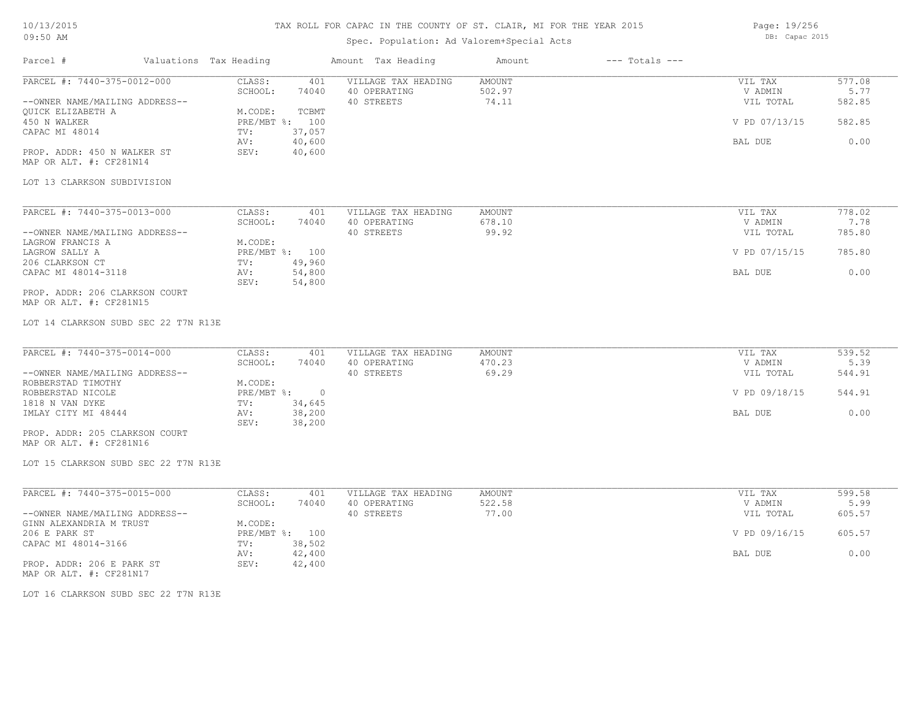# Spec. Population: Ad Valorem+Special Acts

Page: 19/256 DB: Capac 2015

| Parcel #                                                      | Valuations Tax Heading                              | Amount Tax Heading                                | Amount                           | $---$ Totals $---$ |                                 |                          |
|---------------------------------------------------------------|-----------------------------------------------------|---------------------------------------------------|----------------------------------|--------------------|---------------------------------|--------------------------|
| PARCEL #: 7440-375-0012-000<br>--OWNER NAME/MAILING ADDRESS-- | CLASS:<br>401<br>SCHOOL:<br>74040                   | VILLAGE TAX HEADING<br>40 OPERATING<br>40 STREETS | <b>AMOUNT</b><br>502.97<br>74.11 |                    | VIL TAX<br>V ADMIN<br>VIL TOTAL | 577.08<br>5.77<br>582.85 |
| <b>OUICK ELIZABETH A</b><br>450 N WALKER                      | M.CODE:<br>TCBMT<br>PRE/MBT %: 100                  |                                                   |                                  |                    | V PD 07/13/15                   | 582.85                   |
| CAPAC MI 48014                                                | 37,057<br>TV:<br>40,600<br>AV:                      |                                                   |                                  |                    | BAL DUE                         | 0.00                     |
| PROP. ADDR: 450 N WALKER ST<br>MAP OR ALT. #: CF281N14        | SEV:<br>40,600                                      |                                                   |                                  |                    |                                 |                          |
| LOT 13 CLARKSON SUBDIVISION                                   |                                                     |                                                   |                                  |                    |                                 |                          |
| PARCEL #: 7440-375-0013-000                                   | CLASS:<br>401                                       | VILLAGE TAX HEADING                               | AMOUNT                           |                    | VIL TAX                         | 778.02                   |
| --OWNER NAME/MAILING ADDRESS--                                | SCHOOL:<br>74040                                    | 40 OPERATING<br>40 STREETS                        | 678.10<br>99.92                  |                    | V ADMIN<br>VIL TOTAL            | 7.78<br>785.80           |
| LAGROW FRANCIS A<br>LAGROW SALLY A<br>206 CLARKSON CT         | M.CODE:<br>PRE/MBT %: 100<br>49,960<br>TV:          |                                                   |                                  |                    | V PD 07/15/15                   | 785.80                   |
| CAPAC MI 48014-3118                                           | 54,800<br>AV:<br>SEV:<br>54,800                     |                                                   |                                  |                    | BAL DUE                         | 0.00                     |
| PROP. ADDR: 206 CLARKSON COURT<br>MAP OR ALT. #: CF281N15     |                                                     |                                                   |                                  |                    |                                 |                          |
| LOT 14 CLARKSON SUBD SEC 22 T7N R13E                          |                                                     |                                                   |                                  |                    |                                 |                          |
| PARCEL #: 7440-375-0014-000                                   | CLASS:<br>401<br>SCHOOL:<br>74040                   | VILLAGE TAX HEADING<br>40 OPERATING               | AMOUNT<br>470.23                 |                    | VIL TAX<br>V ADMIN              | 539.52<br>5.39           |
| --OWNER NAME/MAILING ADDRESS--<br>ROBBERSTAD TIMOTHY          | M.CODE:                                             | 40 STREETS                                        | 69.29                            |                    | VIL TOTAL                       | 544.91                   |
| ROBBERSTAD NICOLE<br>1818 N VAN DYKE                          | $PRE/MBT$ $\div$<br>$\overline{0}$<br>34,645<br>TV: |                                                   |                                  |                    | V PD 09/18/15                   | 544.91                   |
| IMLAY CITY MI 48444                                           | 38,200<br>AV:<br>SEV:<br>38,200                     |                                                   |                                  |                    | BAL DUE                         | 0.00                     |
| PROP. ADDR: 205 CLARKSON COURT<br>MAP OR ALT. #: CF281N16     |                                                     |                                                   |                                  |                    |                                 |                          |
| LOT 15 CLARKSON SUBD SEC 22 T7N R13E                          |                                                     |                                                   |                                  |                    |                                 |                          |
| PARCEL #: 7440-375-0015-000                                   | CLASS:<br>401                                       | VILLAGE TAX HEADING                               | <b>AMOUNT</b>                    |                    | VIL TAX                         | 599.58                   |
| --OWNER NAME/MAILING ADDRESS--                                | SCHOOL:<br>74040                                    | 40 OPERATING<br>40 STREETS                        | 522.58<br>77.00                  |                    | V ADMIN<br>VIL TOTAL            | 5.99<br>605.57           |
| GINN ALEXANDRIA M TRUST<br>206 E PARK ST                      | M.CODE:<br>PRE/MBT %: 100                           |                                                   |                                  |                    | V PD 09/16/15                   | 605.57                   |
| CAPAC MI 48014-3166                                           | 38,502<br>TV:<br>42,400<br>AV:                      |                                                   |                                  |                    | BAL DUE                         | 0.00                     |
| PROP. ADDR: 206 E PARK ST<br>MAP OR ALT. #: CF281N17          | 42,400<br>SEV:                                      |                                                   |                                  |                    |                                 |                          |

LOT 16 CLARKSON SUBD SEC 22 T7N R13E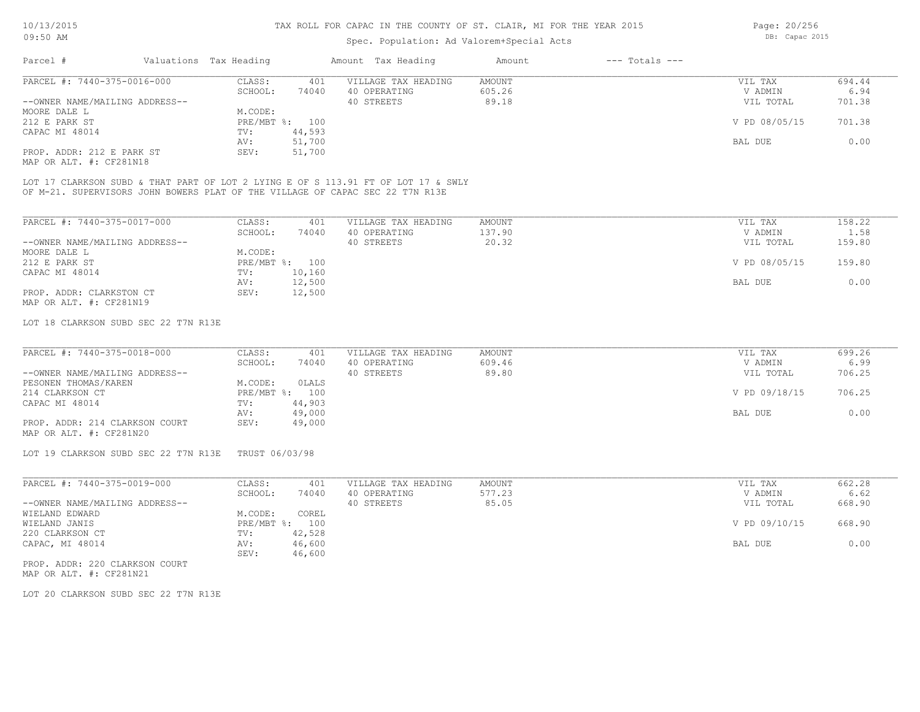## Spec. Population: Ad Valorem+Special Acts

Parcel # Valuations Tax Heading Amount Tax Heading Amount --- Totals ---MAP OR ALT. #: CF281N18 PROP. ADDR: 212 E PARK ST SEV: 51,700 AV: 51,700 BAL DUE 0.00 CAPAC MI 48014 TV: 44,593<br>
AV: 51,700 212 E PARK ST PRE/MBT %: 100 V PD 08/05/15 701.38 MOORE DALE L<br>
212 E PARK ST
212 E PARK ST
212 E PARK ST
212 E PARK ST
212 E PARK ST
212 E PARK ST
212 E PARK ST
212 E PARK ST
212 E PARK ST
212 E PARK ST
212 E PARK ST
212 E PARK ST
212 E PARK ST
212 E PARK ST
212 E PARK S --OWNER NAME/MAILING ADDRESS-- 40 STREETS 89.18 VIL TOTAL 701.38 SCHOOL: 74040 40 OPERATING 605.26 605.26 V ADMIN 6.94 PARCEL #: 7440-375-0016-000 CLASS: 401 VILLAGE TAX HEADING AMOUNT AMOUNT VIL TAX 694.44<br>SCHOOL: 74040 40 OPERATING 605.26 VADMIN 6.94  $\mathcal{L}_\mathcal{L} = \mathcal{L}_\mathcal{L} = \mathcal{L}_\mathcal{L} = \mathcal{L}_\mathcal{L} = \mathcal{L}_\mathcal{L} = \mathcal{L}_\mathcal{L} = \mathcal{L}_\mathcal{L} = \mathcal{L}_\mathcal{L} = \mathcal{L}_\mathcal{L} = \mathcal{L}_\mathcal{L} = \mathcal{L}_\mathcal{L} = \mathcal{L}_\mathcal{L} = \mathcal{L}_\mathcal{L} = \mathcal{L}_\mathcal{L} = \mathcal{L}_\mathcal{L} = \mathcal{L}_\mathcal{L} = \mathcal{L}_\mathcal{L}$ 

OF M-21. SUPERVISORS JOHN BOWERS PLAT OF THE VILLAGE OF CAPAC SEC 22 T7N R13E LOT 17 CLARKSON SUBD & THAT PART OF LOT 2 LYING E OF S 113.91 FT OF LOT 17 & SWLY

| PARCEL #: 7440-375-0017-000    | CLASS:     | 401    | VILLAGE TAX HEADING | AMOUNT | VIL TAX       | 158.22 |
|--------------------------------|------------|--------|---------------------|--------|---------------|--------|
|                                | SCHOOL:    | 74040  | 40 OPERATING        | 137.90 | V ADMIN       | 1.58   |
| --OWNER NAME/MAILING ADDRESS-- |            |        | 40 STREETS          | 20.32  | VIL TOTAL     | 159.80 |
| MOORE DALE L                   | M.CODE:    |        |                     |        |               |        |
| 212 E PARK ST                  | PRE/MBT %: | 100    |                     |        | V PD 08/05/15 | 159.80 |
| CAPAC MI 48014                 | TV:        | 10,160 |                     |        |               |        |
|                                | AV:        | 12,500 |                     |        | BAL DUE       | 0.00   |
| PROP. ADDR: CLARKSTON CT       | SEV:       | 12,500 |                     |        |               |        |
| MAP OR ALT. #: CF281N19        |            |        |                     |        |               |        |

#### LOT 18 CLARKSON SUBD SEC 22 T7N R13E

| PARCEL #: 7440-375-0018-000    | CLASS:  | 401            | VILLAGE TAX HEADING | AMOUNT | VIL TAX       | 699.26 |
|--------------------------------|---------|----------------|---------------------|--------|---------------|--------|
|                                | SCHOOL: | 74040          | 40 OPERATING        | 609.46 | V ADMIN       | 6.99   |
| --OWNER NAME/MAILING ADDRESS-- |         |                | 40 STREETS          | 89.80  | VIL TOTAL     | 706.25 |
| PESONEN THOMAS/KAREN           | M.CODE: | OLALS          |                     |        |               |        |
| 214 CLARKSON CT                |         | PRE/MBT %: 100 |                     |        | V PD 09/18/15 | 706.25 |
| CAPAC MI 48014                 | TV:     | 44,903         |                     |        |               |        |
|                                | AV:     | 49,000         |                     |        | BAL DUE       | 0.00   |
| PROP. ADDR: 214 CLARKSON COURT | SEV:    | 49,000         |                     |        |               |        |
| MAP OR ALT. #: CF281N20        |         |                |                     |        |               |        |

LOT 19 CLARKSON SUBD SEC 22 T7N R13E TRUST 06/03/98

| PARCEL #: 7440-375-0019-000    | CLASS:       | 401    | VILLAGE TAX HEADING | AMOUNT | VIL TAX |               | 662.28 |
|--------------------------------|--------------|--------|---------------------|--------|---------|---------------|--------|
|                                | SCHOOL:      | 74040  | 40 OPERATING        | 577.23 |         | V ADMIN       | 6.62   |
| --OWNER NAME/MAILING ADDRESS-- |              |        | 40 STREETS          | 85.05  |         | VIL TOTAL     | 668.90 |
| WIELAND EDWARD                 | M.CODE:      | COREL  |                     |        |         |               |        |
| WIELAND JANIS                  | $PRE/MBT$ %: | 100    |                     |        |         | V PD 09/10/15 | 668.90 |
| 220 CLARKSON CT                | TV:          | 42,528 |                     |        |         |               |        |
| CAPAC, MI 48014                | AV:          | 46,600 |                     |        | BAL DUE |               | 0.00   |
|                                | SEV:         | 46,600 |                     |        |         |               |        |
|                                |              |        |                     |        |         |               |        |

MAP OR ALT. #: CF281N21 PROP. ADDR: 220 CLARKSON COURT

LOT 20 CLARKSON SUBD SEC 22 T7N R13E

Page: 20/256 DB: Capac 2015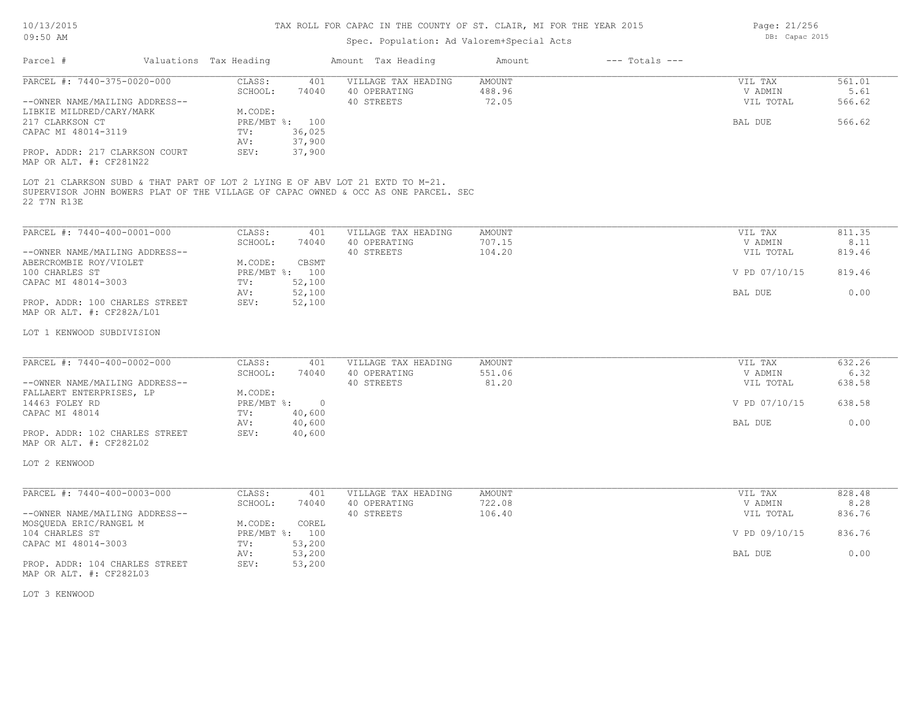# Spec. Population: Ad Valorem+Special Acts

Page: 21/256 DB: Capac 2015

| PARCEL #: 7440-375-0020-000<br>--OWNER NAME/MAILING ADDRESS--<br>LIBKIE MILDRED/CARY/MARK<br>217 CLARKSON CT<br>CAPAC MI 48014-3119<br>PROP. ADDR: 217 CLARKSON COURT<br>MAP OR ALT. #: CF281N22<br>LOT 21 CLARKSON SUBD & THAT PART OF LOT 2 LYING E OF ABV LOT 21 EXTD TO M-21.<br>SUPERVISOR JOHN BOWERS PLAT OF THE VILLAGE OF CAPAC OWNED & OCC AS ONE PARCEL. SEC<br>22 T7N R13E | CLASS:<br>401<br>SCHOOL:<br>74040<br>M.CODE:<br>PRE/MBT %: 100<br>36,025<br>TV:<br>AV:<br>37,900<br>SEV:<br>37,900 | VILLAGE TAX HEADING<br>40 OPERATING<br>40 STREETS | <b>AMOUNT</b><br>488.96<br>72.05 | VIL TAX<br>V ADMIN<br>VIL TOTAL<br>BAL DUE | 561.01<br>5.61<br>566.62<br>566.62 |
|----------------------------------------------------------------------------------------------------------------------------------------------------------------------------------------------------------------------------------------------------------------------------------------------------------------------------------------------------------------------------------------|--------------------------------------------------------------------------------------------------------------------|---------------------------------------------------|----------------------------------|--------------------------------------------|------------------------------------|
|                                                                                                                                                                                                                                                                                                                                                                                        |                                                                                                                    |                                                   |                                  |                                            |                                    |
|                                                                                                                                                                                                                                                                                                                                                                                        |                                                                                                                    |                                                   |                                  |                                            |                                    |
| PARCEL #: 7440-400-0001-000                                                                                                                                                                                                                                                                                                                                                            | CLASS:<br>401<br>SCHOOL:<br>74040                                                                                  | VILLAGE TAX HEADING<br>40 OPERATING               | <b>AMOUNT</b><br>707.15          | VIL TAX<br>V ADMIN                         | 811.35<br>8.11                     |
| --OWNER NAME/MAILING ADDRESS--                                                                                                                                                                                                                                                                                                                                                         |                                                                                                                    | 40 STREETS                                        | 104.20                           | VIL TOTAL                                  | 819.46                             |
| ABERCROMBIE ROY/VIOLET<br>100 CHARLES ST<br>CAPAC MI 48014-3003                                                                                                                                                                                                                                                                                                                        | M.CODE:<br>CBSMT<br>PRE/MBT %: 100<br>52,100<br>TV:                                                                |                                                   |                                  | V PD 07/10/15                              | 819.46                             |
| PROP. ADDR: 100 CHARLES STREET<br>MAP OR ALT. #: CF282A/L01                                                                                                                                                                                                                                                                                                                            | 52,100<br>AV:<br>SEV:<br>52,100                                                                                    |                                                   |                                  | BAL DUE                                    | 0.00                               |
| LOT 1 KENWOOD SUBDIVISION                                                                                                                                                                                                                                                                                                                                                              |                                                                                                                    |                                                   |                                  |                                            |                                    |
| PARCEL #: 7440-400-0002-000                                                                                                                                                                                                                                                                                                                                                            | CLASS:<br>401                                                                                                      | VILLAGE TAX HEADING                               | <b>AMOUNT</b>                    | VIL TAX                                    | 632.26                             |
| --OWNER NAME/MAILING ADDRESS--<br>FALLAERT ENTERPRISES, LP                                                                                                                                                                                                                                                                                                                             | SCHOOL:<br>74040<br>M.CODE:                                                                                        | 40 OPERATING<br>40 STREETS                        | 551.06<br>81.20                  | V ADMIN<br>VIL TOTAL                       | 6.32<br>638.58                     |
| 14463 FOLEY RD<br>CAPAC MI 48014                                                                                                                                                                                                                                                                                                                                                       | $PRE/MBT$ %:<br>$\overline{0}$<br>40,600<br>TV:                                                                    |                                                   |                                  | V PD 07/10/15                              | 638.58                             |
| PROP. ADDR: 102 CHARLES STREET<br>MAP OR ALT. #: CF282L02                                                                                                                                                                                                                                                                                                                              | 40,600<br>AV:<br>SEV:<br>40,600                                                                                    |                                                   |                                  | BAL DUE                                    | 0.00                               |
| LOT 2 KENWOOD                                                                                                                                                                                                                                                                                                                                                                          |                                                                                                                    |                                                   |                                  |                                            |                                    |
| PARCEL #: 7440-400-0003-000                                                                                                                                                                                                                                                                                                                                                            | CLASS:<br>401                                                                                                      | VILLAGE TAX HEADING                               | AMOUNT                           | VIL TAX                                    | 828.48                             |
| --OWNER NAME/MAILING ADDRESS--                                                                                                                                                                                                                                                                                                                                                         | SCHOOL:<br>74040                                                                                                   | 40 OPERATING<br>40 STREETS                        | 722.08<br>106.40                 | V ADMIN<br>VIL TOTAL                       | 8.28<br>836.76                     |
| MOSQUEDA ERIC/RANGEL M<br>104 CHARLES ST                                                                                                                                                                                                                                                                                                                                               | M.CODE:<br>COREL<br>PRE/MBT %: 100                                                                                 |                                                   |                                  | V PD 09/10/15                              | 836.76                             |
| CAPAC MI 48014-3003                                                                                                                                                                                                                                                                                                                                                                    | 53,200<br>TV:<br>AV:<br>53,200                                                                                     |                                                   |                                  | <b>BAL DUE</b>                             | 0.00                               |
| PROP. ADDR: 104 CHARLES STREET<br>MAP OR ALT. #: CF282L03                                                                                                                                                                                                                                                                                                                              | SEV:<br>53,200                                                                                                     |                                                   |                                  |                                            |                                    |
| LOT 3 KENWOOD                                                                                                                                                                                                                                                                                                                                                                          |                                                                                                                    |                                                   |                                  |                                            |                                    |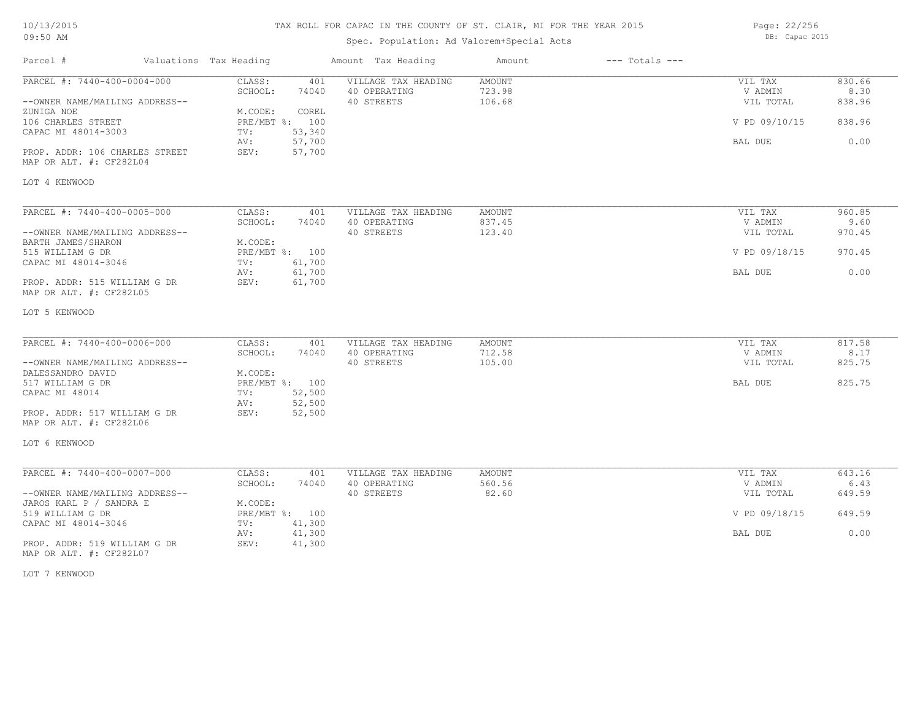# TAX ROLL FOR CAPAC IN THE COUNTY OF ST. CLAIR, MI FOR THE YEAR 2015

Spec. Population: Ad Valorem+Special Acts

Page: 22/256 DB: Capac 2015

| Parcel #                                                      | Valuations Tax Heading          | Amount Tax Heading                                       | Amount                            | $---$ Totals $---$ |                                 |                          |
|---------------------------------------------------------------|---------------------------------|----------------------------------------------------------|-----------------------------------|--------------------|---------------------------------|--------------------------|
| PARCEL #: 7440-400-0004-000<br>--OWNER NAME/MAILING ADDRESS-- | CLASS:<br>SCHOOL:<br>74040      | VILLAGE TAX HEADING<br>401<br>40 OPERATING<br>40 STREETS | <b>AMOUNT</b><br>723.98<br>106.68 |                    | VIL TAX<br>V ADMIN<br>VIL TOTAL | 830.66<br>8.30<br>838.96 |
| ZUNIGA NOE                                                    | M.CODE:<br>COREL                |                                                          |                                   |                    |                                 |                          |
| 106 CHARLES STREET<br>CAPAC MI 48014-3003                     | PRE/MBT %: 100<br>53,340<br>TV: |                                                          |                                   |                    | V PD 09/10/15                   | 838.96                   |
|                                                               | AV:<br>57,700                   |                                                          |                                   |                    | BAL DUE                         | 0.00                     |
| PROP. ADDR: 106 CHARLES STREET<br>MAP OR ALT. #: CF282L04     | 57,700<br>SEV:                  |                                                          |                                   |                    |                                 |                          |
| LOT 4 KENWOOD                                                 |                                 |                                                          |                                   |                    |                                 |                          |
|                                                               |                                 |                                                          |                                   |                    |                                 |                          |
| PARCEL #: 7440-400-0005-000                                   | CLASS:<br>SCHOOL:<br>74040      | 401<br>VILLAGE TAX HEADING<br>40 OPERATING               | AMOUNT<br>837.45                  |                    | VIL TAX<br>V ADMIN              | 960.85<br>9.60           |
| --OWNER NAME/MAILING ADDRESS--                                |                                 | 40 STREETS                                               | 123.40                            |                    | VIL TOTAL                       | 970.45                   |
| BARTH JAMES/SHARON                                            | M.CODE:                         |                                                          |                                   |                    |                                 |                          |
| 515 WILLIAM G DR                                              | PRE/MBT %: 100                  |                                                          |                                   |                    | V PD 09/18/15                   | 970.45                   |
| CAPAC MI 48014-3046                                           | 61,700<br>TV:                   |                                                          |                                   |                    |                                 |                          |
|                                                               | 61,700<br>AV:                   |                                                          |                                   |                    | BAL DUE                         | 0.00                     |
| PROP. ADDR: 515 WILLIAM G DR<br>MAP OR ALT. #: CF282L05       | 61,700<br>SEV:                  |                                                          |                                   |                    |                                 |                          |
| LOT 5 KENWOOD                                                 |                                 |                                                          |                                   |                    |                                 |                          |
| PARCEL #: 7440-400-0006-000                                   | CLASS:                          | VILLAGE TAX HEADING<br>401                               | AMOUNT                            |                    | VIL TAX                         | 817.58                   |
|                                                               | 74040<br>SCHOOL:                | 40 OPERATING                                             | 712.58                            |                    | V ADMIN                         | 8.17                     |
| --OWNER NAME/MAILING ADDRESS--                                |                                 | 40 STREETS                                               | 105.00                            |                    | VIL TOTAL                       | 825.75                   |
| DALESSANDRO DAVID                                             | M.CODE:                         |                                                          |                                   |                    |                                 |                          |
| 517 WILLIAM G DR                                              | PRE/MBT %: 100                  |                                                          |                                   |                    | BAL DUE                         | 825.75                   |
| CAPAC MI 48014                                                | 52,500<br>TV:<br>52,500<br>AV:  |                                                          |                                   |                    |                                 |                          |
| PROP. ADDR: 517 WILLIAM G DR<br>MAP OR ALT. #: CF282L06       | SEV:<br>52,500                  |                                                          |                                   |                    |                                 |                          |
| LOT 6 KENWOOD                                                 |                                 |                                                          |                                   |                    |                                 |                          |
|                                                               |                                 |                                                          |                                   |                    |                                 |                          |
| PARCEL #: 7440-400-0007-000                                   | CLASS:                          | 401<br>VILLAGE TAX HEADING                               | <b>AMOUNT</b>                     |                    | VIL TAX                         | 643.16                   |
| --OWNER NAME/MAILING ADDRESS--                                | SCHOOL:<br>74040                | 40 OPERATING<br>40 STREETS                               | 560.56<br>82.60                   |                    | V ADMIN<br>VIL TOTAL            | 6.43<br>649.59           |
| JAROS KARL P / SANDRA E                                       | M.CODE:                         |                                                          |                                   |                    |                                 |                          |
| 519 WILLIAM G DR                                              | PRE/MBT %: 100                  |                                                          |                                   |                    | V PD 09/18/15                   | 649.59                   |
| CAPAC MI 48014-3046                                           | TV:<br>41,300                   |                                                          |                                   |                    |                                 |                          |
|                                                               | 41,300<br>AV:                   |                                                          |                                   |                    | BAL DUE                         | 0.00                     |
| PROP. ADDR: 519 WILLIAM G DR<br>MAP OR ALT. #: CF282L07       | SEV:<br>41,300                  |                                                          |                                   |                    |                                 |                          |

LOT 7 KENWOOD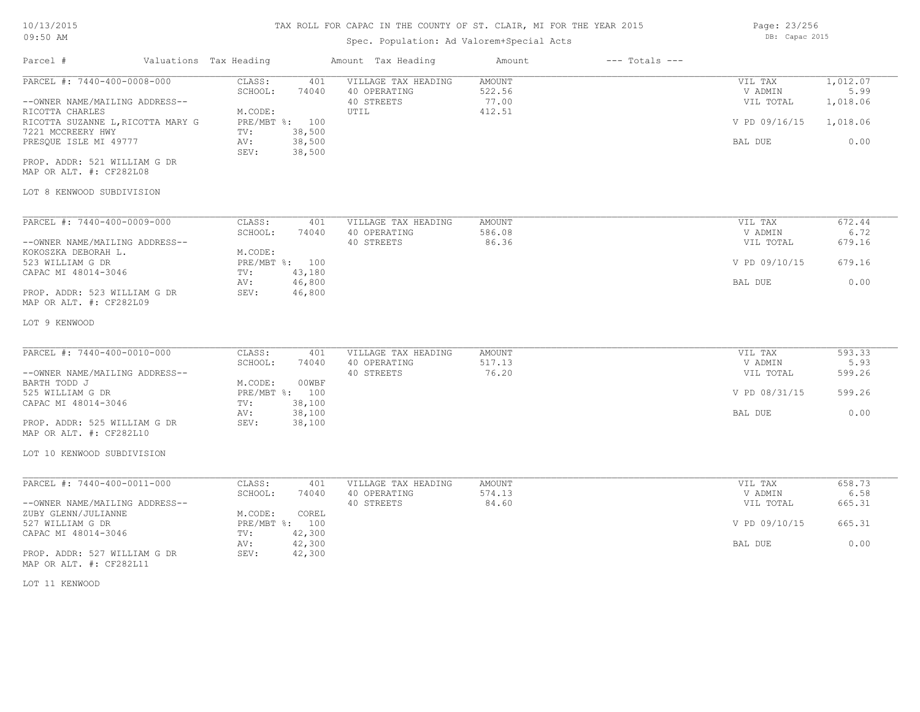# TAX ROLL FOR CAPAC IN THE COUNTY OF ST. CLAIR, MI FOR THE YEAR 2015

# Spec. Population: Ad Valorem+Special Acts

| Parcel #                                                                                                                                                                                                                                                    | Valuations Tax Heading |                                                                                                                    | Amount Tax Heading                                        | Amount                                     | $---$ Totals $---$   |                                                             |                                                  |
|-------------------------------------------------------------------------------------------------------------------------------------------------------------------------------------------------------------------------------------------------------------|------------------------|--------------------------------------------------------------------------------------------------------------------|-----------------------------------------------------------|--------------------------------------------|----------------------|-------------------------------------------------------------|--------------------------------------------------|
| PARCEL #: 7440-400-0008-000<br>--OWNER NAME/MAILING ADDRESS--<br>RICOTTA CHARLES<br>RICOTTA SUZANNE L, RICOTTA MARY G<br>7221 MCCREERY HWY<br>PRESQUE ISLE MI 49777<br>PROP. ADDR: 521 WILLIAM G DR<br>MAP OR ALT. #: CF282L08<br>LOT 8 KENWOOD SUBDIVISION |                        | CLASS:<br>401<br>SCHOOL:<br>74040<br>M.CODE:<br>PRE/MBT %: 100<br>38,500<br>TV:<br>38,500<br>AV:<br>38,500<br>SEV: | VILLAGE TAX HEADING<br>40 OPERATING<br>40 STREETS<br>UTIL | <b>AMOUNT</b><br>522.56<br>77.00<br>412.51 |                      | VIL TAX<br>V ADMIN<br>VIL TOTAL<br>V PD 09/16/15<br>BAL DUE | 1,012.07<br>5.99<br>1,018.06<br>1,018.06<br>0.00 |
| PARCEL #: 7440-400-0009-000                                                                                                                                                                                                                                 |                        | CLASS:<br>401                                                                                                      | VILLAGE TAX HEADING                                       | AMOUNT                                     |                      | VIL TAX                                                     | 672.44                                           |
|                                                                                                                                                                                                                                                             |                        | SCHOOL:<br>74040                                                                                                   | 40 OPERATING                                              | 586.08                                     |                      | V ADMIN                                                     | 6.72                                             |
| --OWNER NAME/MAILING ADDRESS--<br>KOKOSZKA DEBORAH L.                                                                                                                                                                                                       |                        | M.CODE:                                                                                                            | 40 STREETS                                                | 86.36                                      | VIL TOTAL            | 679.16                                                      |                                                  |
| 523 WILLIAM G DR                                                                                                                                                                                                                                            |                        | PRE/MBT %: 100                                                                                                     |                                                           |                                            | V PD 09/10/15        | 679.16                                                      |                                                  |
| CAPAC MI 48014-3046                                                                                                                                                                                                                                         |                        | 43,180<br>TV:                                                                                                      |                                                           |                                            |                      |                                                             |                                                  |
| PROP. ADDR: 523 WILLIAM G DR<br>MAP OR ALT. #: CF282L09                                                                                                                                                                                                     |                        | 46,800<br>AV:<br>SEV:<br>46,800                                                                                    |                                                           |                                            | BAL DUE              | 0.00                                                        |                                                  |
| LOT 9 KENWOOD                                                                                                                                                                                                                                               |                        |                                                                                                                    |                                                           |                                            |                      |                                                             |                                                  |
| PARCEL #: 7440-400-0010-000                                                                                                                                                                                                                                 |                        | CLASS:<br>401                                                                                                      | VILLAGE TAX HEADING                                       | AMOUNT                                     |                      | VIL TAX                                                     | 593.33                                           |
| --OWNER NAME/MAILING ADDRESS--                                                                                                                                                                                                                              |                        | SCHOOL:<br>74040                                                                                                   | 40 OPERATING<br>40 STREETS                                | 517.13<br>76.20                            | V ADMIN<br>VIL TOTAL | 5.93<br>599.26                                              |                                                  |
| BARTH TODD J                                                                                                                                                                                                                                                |                        | M.CODE:<br>00WBF                                                                                                   |                                                           |                                            |                      |                                                             |                                                  |
| 525 WILLIAM G DR                                                                                                                                                                                                                                            |                        | PRE/MBT %: 100                                                                                                     |                                                           |                                            | V PD 08/31/15        | 599.26                                                      |                                                  |
| CAPAC MI 48014-3046                                                                                                                                                                                                                                         |                        | 38,100<br>TV:                                                                                                      |                                                           |                                            |                      | 0.00                                                        |                                                  |
| PROP. ADDR: 525 WILLIAM G DR<br>MAP OR ALT. #: CF282L10                                                                                                                                                                                                     |                        | 38,100<br>AV:<br>38,100<br>SEV:                                                                                    |                                                           |                                            | BAL DUE              |                                                             |                                                  |
| LOT 10 KENWOOD SUBDIVISION                                                                                                                                                                                                                                  |                        |                                                                                                                    |                                                           |                                            |                      |                                                             |                                                  |
| PARCEL #: 7440-400-0011-000                                                                                                                                                                                                                                 |                        | CLASS:<br>401<br>SCHOOL:<br>74040                                                                                  | VILLAGE TAX HEADING<br>40 OPERATING                       | AMOUNT<br>574.13                           |                      | VIL TAX<br>V ADMIN                                          | 658.73<br>6.58                                   |
| --OWNER NAME/MAILING ADDRESS--                                                                                                                                                                                                                              |                        |                                                                                                                    | 40 STREETS                                                | 84.60                                      |                      | VIL TOTAL                                                   | 665.31                                           |
| ZUBY GLENN/JULIANNE<br>527 WILLIAM G DR<br>CAPAC MI 48014-3046                                                                                                                                                                                              |                        | M.CODE:<br>COREL<br>PRE/MBT %: 100<br>42,300<br>TV:                                                                |                                                           |                                            |                      | V PD 09/10/15                                               | 665.31                                           |
|                                                                                                                                                                                                                                                             |                        | 42,300<br>AV:                                                                                                      |                                                           |                                            |                      | BAL DUE                                                     | 0.00                                             |
| PROP. ADDR: 527 WILLIAM G DR<br>MAP OR ALT. #: CF282L11                                                                                                                                                                                                     |                        | SEV:<br>42,300                                                                                                     |                                                           |                                            |                      |                                                             |                                                  |
| LOT 11 KENWOOD                                                                                                                                                                                                                                              |                        |                                                                                                                    |                                                           |                                            |                      |                                                             |                                                  |
|                                                                                                                                                                                                                                                             |                        |                                                                                                                    |                                                           |                                            |                      |                                                             |                                                  |
|                                                                                                                                                                                                                                                             |                        |                                                                                                                    |                                                           |                                            |                      |                                                             |                                                  |
|                                                                                                                                                                                                                                                             |                        |                                                                                                                    |                                                           |                                            |                      |                                                             |                                                  |
|                                                                                                                                                                                                                                                             |                        |                                                                                                                    |                                                           |                                            |                      |                                                             |                                                  |
|                                                                                                                                                                                                                                                             |                        |                                                                                                                    |                                                           |                                            |                      |                                                             |                                                  |

Page: 23/256 DB: Capac 2015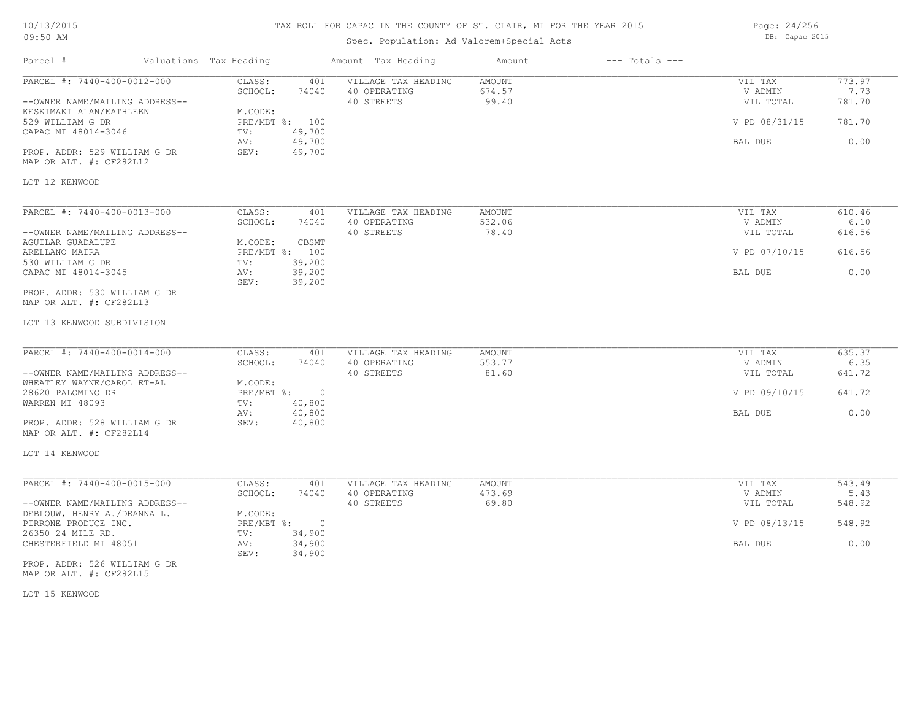#### TAX ROLL FOR CAPAC IN THE COUNTY OF ST. CLAIR, MI FOR THE YEAR 2015

Spec. Population: Ad Valorem+Special Acts

Parcel # Valuations Tax Heading Amount Tax Heading Amount --- Totals ---LOT 12 KENWOOD MAP OR ALT. #: CF282L12 PROP. ADDR: 529 WILLIAM G DR SEV: 49,700 AV: 49,700 AV: 49,700 AV: 49,700 AV: 49,700 BAL DUE D.00 CAPAC MI 48014-3046 TV: 49,700<br>AV: 49,700 529 WILLIAM G DR PRE/MBT %: 100 V PD 08/31/15 781.70 KESKIMAKI ALAN/KATHLEEN M.CODE:<br>529 WILLIAM G DR --OWNER NAME/MAILING ADDRESS-- 40 STREETS 99.40 VIL TOTAL 781.70 SCHOOL: 74040 40 OPERATING 674.57 674.57 674.57 V ADMIN 7.73 PARCEL #: 7440-400-0012-000 CLASS: 401 VILLAGE TAX HEADING AMOUNT AUGUST AND VIL TAX 773.97<br>SCHOOL: 74040 40 OPERATING 674.57 VADMIN 7.73  $\mathcal{L}_\mathcal{L} = \mathcal{L}_\mathcal{L} = \mathcal{L}_\mathcal{L} = \mathcal{L}_\mathcal{L} = \mathcal{L}_\mathcal{L} = \mathcal{L}_\mathcal{L} = \mathcal{L}_\mathcal{L} = \mathcal{L}_\mathcal{L} = \mathcal{L}_\mathcal{L} = \mathcal{L}_\mathcal{L} = \mathcal{L}_\mathcal{L} = \mathcal{L}_\mathcal{L} = \mathcal{L}_\mathcal{L} = \mathcal{L}_\mathcal{L} = \mathcal{L}_\mathcal{L} = \mathcal{L}_\mathcal{L} = \mathcal{L}_\mathcal{L}$ LOT 13 KENWOOD SUBDIVISION MAP OR ALT. #: CF282L13 PROP. ADDR: 530 WILLIAM G DR SEV: 39,200 CAPAC MI 48014-3045 AV: 39,200 BAL DUE 0.00 530 WILLIAM G DR TV: 39,200 ARELLANO MAIRA PRE/MBT %: 100 V PD 07/10/15 616.56 AGUILAR GUADALUPE M.CODE: CBSMT ARELLANO MAIRA --OWNER NAME/MAILING ADDRESS-- 40 STREETS 78.40 VIL TOTAL 616.56 SCHOOL: 74040 40 OPERATING 532.06 V ADMIN 6.10 PARCEL #: 7440-400-0013-000 CLASS: 401 VILLAGE TAX HEADING AMOUNT VIL TAX VIL TAX 610.46<br>SCHOOL: 74040 40 OPERATING 532.06 VADMIN 6.10  $\mathcal{L}_\mathcal{L} = \mathcal{L}_\mathcal{L} = \mathcal{L}_\mathcal{L} = \mathcal{L}_\mathcal{L} = \mathcal{L}_\mathcal{L} = \mathcal{L}_\mathcal{L} = \mathcal{L}_\mathcal{L} = \mathcal{L}_\mathcal{L} = \mathcal{L}_\mathcal{L} = \mathcal{L}_\mathcal{L} = \mathcal{L}_\mathcal{L} = \mathcal{L}_\mathcal{L} = \mathcal{L}_\mathcal{L} = \mathcal{L}_\mathcal{L} = \mathcal{L}_\mathcal{L} = \mathcal{L}_\mathcal{L} = \mathcal{L}_\mathcal{L}$ LOT 14 KENWOOD MAP OR ALT. #: CF282L14 PROP. ADDR: 528 WILLIAM G DR SEV: 40,800 AV: 40,800 BAL DUE 0.00 WARREN MI 48093 TV: 40,800<br>AV: 40,800 28620 PALOMINO DR PRE/MBT %: 0 V PD 09/10/15 641.72 WHEATLEY WAYNE/CAROL ET-AL M.CODE:<br>28620 PALOMINO DR --OWNER NAME/MAILING ADDRESS-- 40 STREETS 81.60 VIL TOTAL 641.72 SCHOOL: 74040 40 OPERATING 553.77 STATES SOME SOLUTION SOLUTION 56.35 PARCEL #: 7440-400-0014-000 CLASS: 401 VILLAGE TAX HEADING AMOUNT VIL TAX 635.37<br>SCHOOL: 74040 40 OPERATING 553.77 56.35 VADMIN 6.35  $\mathcal{L}_\mathcal{L} = \mathcal{L}_\mathcal{L} = \mathcal{L}_\mathcal{L} = \mathcal{L}_\mathcal{L} = \mathcal{L}_\mathcal{L} = \mathcal{L}_\mathcal{L} = \mathcal{L}_\mathcal{L} = \mathcal{L}_\mathcal{L} = \mathcal{L}_\mathcal{L} = \mathcal{L}_\mathcal{L} = \mathcal{L}_\mathcal{L} = \mathcal{L}_\mathcal{L} = \mathcal{L}_\mathcal{L} = \mathcal{L}_\mathcal{L} = \mathcal{L}_\mathcal{L} = \mathcal{L}_\mathcal{L} = \mathcal{L}_\mathcal{L}$ LOT 15 KENWOOD MAP OR ALT. #: CF282L15 PROP. ADDR: 526 WILLIAM G DR SEV: 34,900 CHESTERFIELD MI 48051 AV: 34,900 BAL DUE 0.00 26350 24 MILE RD. TV: 34,900<br>CHESTERFIELD MI 48051 2000 AV: 34,900 PIRRONE PRODUCE INC. PRE/MBT %: 0 V PD 08/13/15 548.92 DEBLOUW, HENRY A./DEANNA L. M.CODE: --OWNER NAME/MAILING ADDRESS-- 40 STREETS 69.80 VIL TOTAL 548.92 SCHOOL: 74040 40 OPERATING 473.69 V ADMIN 5.43 PARCEL #: 7440-400-0015-000 CLASS: 401 VILLAGE TAX HEADING AMOUNT NUMBER OF A SCHOOL SCHOOL: 74040 40 OPERATING 473.69 VADMIN 5.43  $\mathcal{L}_\mathcal{L} = \mathcal{L}_\mathcal{L} = \mathcal{L}_\mathcal{L} = \mathcal{L}_\mathcal{L} = \mathcal{L}_\mathcal{L} = \mathcal{L}_\mathcal{L} = \mathcal{L}_\mathcal{L} = \mathcal{L}_\mathcal{L} = \mathcal{L}_\mathcal{L} = \mathcal{L}_\mathcal{L} = \mathcal{L}_\mathcal{L} = \mathcal{L}_\mathcal{L} = \mathcal{L}_\mathcal{L} = \mathcal{L}_\mathcal{L} = \mathcal{L}_\mathcal{L} = \mathcal{L}_\mathcal{L} = \mathcal{L}_\mathcal{L}$ 

Page: 24/256 DB: Capac 2015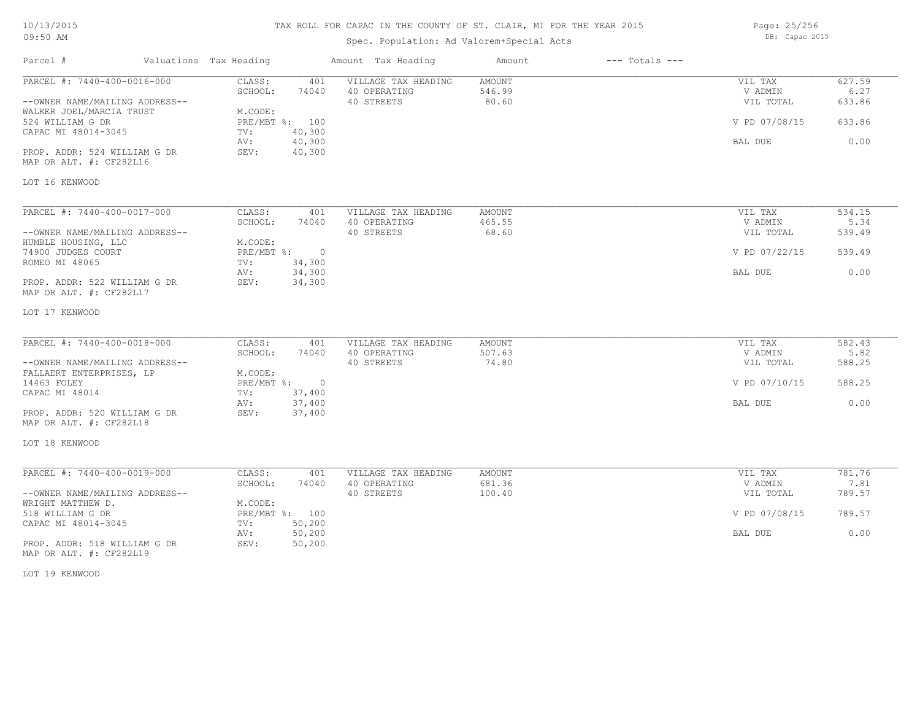#### TAX ROLL FOR CAPAC IN THE COUNTY OF ST. CLAIR, MI FOR THE YEAR 2015

Spec. Population: Ad Valorem+Special Acts

Parcel # Valuations Tax Heading Amount Tax Heading Amount --- Totals ---LOT 16 KENWOOD MAP OR ALT. #: CF282L16 PROP. ADDR: 524 WILLIAM G DR SEV: 40,300 AV: 40,300 BAL DUE 0.00 CAPAC MI 48014-3045 TV: 40,300<br>AV: 40,300 524 WILLIAM G DR PRE/MBT %: 100 V PD 07/08/15 633.86 WALKER JOEL/MARCIA TRUST<br>524 WILLIAM G DR<br>PRE/MBT %: 100 --OWNER NAME/MAILING ADDRESS-- 40 STREETS 80.60 VIL TOTAL 633.86 SCHOOL: 74040 40 OPERATING 546.99 V ADMIN 6.27 PARCEL #: 7440-400-0016-000 CLASS: 401 VILLAGE TAX HEADING AMOUNT VIL TAX VIL TAX 627.59<br>SCHOOL: 74040 40 OPERATING 546.99 9 VADMIN 6.27  $\mathcal{L}_\mathcal{L} = \mathcal{L}_\mathcal{L} = \mathcal{L}_\mathcal{L} = \mathcal{L}_\mathcal{L} = \mathcal{L}_\mathcal{L} = \mathcal{L}_\mathcal{L} = \mathcal{L}_\mathcal{L} = \mathcal{L}_\mathcal{L} = \mathcal{L}_\mathcal{L} = \mathcal{L}_\mathcal{L} = \mathcal{L}_\mathcal{L} = \mathcal{L}_\mathcal{L} = \mathcal{L}_\mathcal{L} = \mathcal{L}_\mathcal{L} = \mathcal{L}_\mathcal{L} = \mathcal{L}_\mathcal{L} = \mathcal{L}_\mathcal{L}$ LOT 17 KENWOOD MAP OR ALT. #: CF282L17 PROP. ADDR: 522 WILLIAM G DR SEV: 34,300 AV: 34,300 BAL DUE 0.00 ROMEO MI 48065 TV: 34,300<br>
AV: 34,300 74900 JUDGES COURT PRE/MBT %: 0 V PD 07/22/15 539.49 HUMBLE HOUSING, LLC<br>
74900 JUDGES COURT
THE PRE/MBT %: --OWNER NAME/MAILING ADDRESS-- 40 STREETS 68.60 VIL TOTAL 539.49 SCHOOL: 74040 40 OPERATING 465.55 465.55 V ADMIN 5.34 PARCEL #: 7440-400-0017-000 CLASS: 401 VILLAGE TAX HEADING AMOUNT VIL TAX 534.15<br>SCHOOL: 74040 40 OPERATING 465.55 465.55 VADMIN 5.34  $\mathcal{L}_\mathcal{L} = \mathcal{L}_\mathcal{L} = \mathcal{L}_\mathcal{L} = \mathcal{L}_\mathcal{L} = \mathcal{L}_\mathcal{L} = \mathcal{L}_\mathcal{L} = \mathcal{L}_\mathcal{L} = \mathcal{L}_\mathcal{L} = \mathcal{L}_\mathcal{L} = \mathcal{L}_\mathcal{L} = \mathcal{L}_\mathcal{L} = \mathcal{L}_\mathcal{L} = \mathcal{L}_\mathcal{L} = \mathcal{L}_\mathcal{L} = \mathcal{L}_\mathcal{L} = \mathcal{L}_\mathcal{L} = \mathcal{L}_\mathcal{L}$ LOT 18 KENWOOD MAP OR ALT. #: CF282L18 PROP. ADDR: 520 WILLIAM G DR SEV: 37,400 AV: 37,400 BAL DUE 0.00 CAPAC MI 48014 TV: 37,400 14463 FOLEY PRE/MBT %: 0 V PD 07/10/15 588.25 FALLAERT ENTERPRISES, LP M.CODE: --OWNER NAME/MAILING ADDRESS-- 40 STREETS 74.80 VIL TOTAL 588.25 SCHOOL: 74040 40 OPERATING 507.63 509 507.63 507.64 5.82 PARCEL #: 7440-400-0018-000 CLASS: 401 VILLAGE TAX HEADING AMOUNT AUGUST AND VIL TAX 582.43<br>SCHOOL: 74040 40 OPERATING 507.63 VADMIN 5.82  $\mathcal{L}_\mathcal{L} = \mathcal{L}_\mathcal{L} = \mathcal{L}_\mathcal{L} = \mathcal{L}_\mathcal{L} = \mathcal{L}_\mathcal{L} = \mathcal{L}_\mathcal{L} = \mathcal{L}_\mathcal{L} = \mathcal{L}_\mathcal{L} = \mathcal{L}_\mathcal{L} = \mathcal{L}_\mathcal{L} = \mathcal{L}_\mathcal{L} = \mathcal{L}_\mathcal{L} = \mathcal{L}_\mathcal{L} = \mathcal{L}_\mathcal{L} = \mathcal{L}_\mathcal{L} = \mathcal{L}_\mathcal{L} = \mathcal{L}_\mathcal{L}$ MAP OR ALT. #: CF282L19 PROP. ADDR: 518 WILLIAM G DR SEV: 50,200 AV: 50,200 BAL DUE 0.00 CAPAC MI 48014-3045 TV: 50,200<br>AV: 50,200 518 WILLIAM G DR PRE/MBT %: 100 V PD 07/08/15 789.57 WRIGHT MATTHEW D. M.CODE: --OWNER NAME/MAILING ADDRESS-- 40 STREETS 100.40 VIL TOTAL 789.57 SCHOOL: 74040 40 OPERATING 681.36 V ADMIN 7.81 PARCEL #: 7440-400-0019-000 CLASS: 401 VILLAGE TAX HEADING AMOUNT VIL TAX 781.76<br>SCHOOL: 74040 40 OPERATING 681.36 VADMIN 7.81

LOT 19 KENWOOD

Page: 25/256 DB: Capac 2015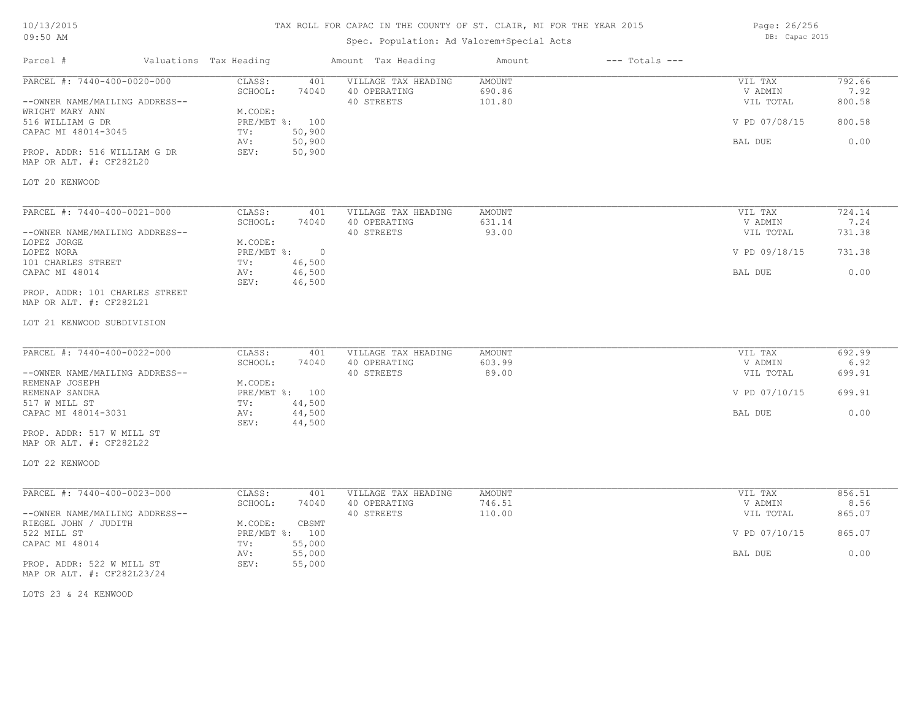#### TAX ROLL FOR CAPAC IN THE COUNTY OF ST. CLAIR, MI FOR THE YEAR 2015

Spec. Population: Ad Valorem+Special Acts

Parcel # Valuations Tax Heading Amount Tax Heading Amount --- Totals ---LOT 20 KENWOOD MAP OR ALT. #: CF282L20 PROP. ADDR: 516 WILLIAM G DR SEV: 50,900 AV: 50,900 BAL DUE 0.00 CAPAC MI 48014-3045 TV: 50,900<br>AV: 50,900 516 WILLIAM G DR PRE/MBT %: 100 V PD 07/08/15 800.58 WRIGHT MARY ANN M.CODE:<br>516 WILLIAM G DR MARY PRE/MBT %: 100 --OWNER NAME/MAILING ADDRESS-- 40 STREETS 101.80 VIL TOTAL 800.58 SCHOOL: 74040 40 OPERATING 690.86 V ADMIN 7.92 PARCEL #: 7440-400-0020-000 CLASS: 401 VILLAGE TAX HEADING AMOUNT AMOUNT VIL TAX 792.66<br>SCHOOL: 74040 40 OPERATING 690.86 VADMIN 7.92  $\mathcal{L}_\mathcal{L} = \mathcal{L}_\mathcal{L} = \mathcal{L}_\mathcal{L} = \mathcal{L}_\mathcal{L} = \mathcal{L}_\mathcal{L} = \mathcal{L}_\mathcal{L} = \mathcal{L}_\mathcal{L} = \mathcal{L}_\mathcal{L} = \mathcal{L}_\mathcal{L} = \mathcal{L}_\mathcal{L} = \mathcal{L}_\mathcal{L} = \mathcal{L}_\mathcal{L} = \mathcal{L}_\mathcal{L} = \mathcal{L}_\mathcal{L} = \mathcal{L}_\mathcal{L} = \mathcal{L}_\mathcal{L} = \mathcal{L}_\mathcal{L}$ LOT 21 KENWOOD SUBDIVISION MAP OR ALT. #: CF282L21 PROP. ADDR: 101 CHARLES STREET SEV: 46,500 CAPAC MI 48014 AV: 46,500 BAL DUE 0.00 101 CHARLES STREET TV: 46,500<br>
CAPAC MI 48014 AV: 46.500 LOPEZ NORA PRE/MBT %: 0 V PD 09/18/15 731.38 LOPEZ JORGE M.CODE: --OWNER NAME/MAILING ADDRESS-- 40 STREETS 93.00 VIL TOTAL 731.38 SCHOOL: 74040 40 OPERATING 631.14 631.14 V ADMIN 7.24 PARCEL #: 7440-400-0021-000 CLASS: 401 VILLAGE TAX HEADING AMOUNT VIL TAX 724.14 7.24  $\mathcal{L}_\mathcal{L} = \mathcal{L}_\mathcal{L} = \mathcal{L}_\mathcal{L} = \mathcal{L}_\mathcal{L} = \mathcal{L}_\mathcal{L} = \mathcal{L}_\mathcal{L} = \mathcal{L}_\mathcal{L} = \mathcal{L}_\mathcal{L} = \mathcal{L}_\mathcal{L} = \mathcal{L}_\mathcal{L} = \mathcal{L}_\mathcal{L} = \mathcal{L}_\mathcal{L} = \mathcal{L}_\mathcal{L} = \mathcal{L}_\mathcal{L} = \mathcal{L}_\mathcal{L} = \mathcal{L}_\mathcal{L} = \mathcal{L}_\mathcal{L}$ LOT 22 KENWOOD MAP OR ALT. #: CF282L22 PROP. ADDR: 517 W MILL ST SEV: 44,500 CAPAC MI 48014-3031 AV: 44,500 BAL DUE 0.00 517 W MILL ST TV: 44,500 REMENAP SANDRA PRE/MBT %: 100 V PD 07/10/15 699.91 REMENAP JOSEPH M.CODE:<br>REMENAP SANDRA MEXICOPH PRE/MBT %: 100 --OWNER NAME/MAILING ADDRESS-- 40 STREETS 89.00 VIL TOTAL 699.91 SCHOOL: 74040 40 OPERATING 603.99 V ADMIN 6.92 PARCEL #: 7440-400-0022-000 CLASS: 401 VILLAGE TAX HEADING AMOUNT AUGUST AND VIL TAX 692.99<br>SCHOOL: 74040 40 OPERATING 603.99 603.99 VADMIN 6.92  $\mathcal{L}_\mathcal{L} = \mathcal{L}_\mathcal{L} = \mathcal{L}_\mathcal{L} = \mathcal{L}_\mathcal{L} = \mathcal{L}_\mathcal{L} = \mathcal{L}_\mathcal{L} = \mathcal{L}_\mathcal{L} = \mathcal{L}_\mathcal{L} = \mathcal{L}_\mathcal{L} = \mathcal{L}_\mathcal{L} = \mathcal{L}_\mathcal{L} = \mathcal{L}_\mathcal{L} = \mathcal{L}_\mathcal{L} = \mathcal{L}_\mathcal{L} = \mathcal{L}_\mathcal{L} = \mathcal{L}_\mathcal{L} = \mathcal{L}_\mathcal{L}$ MAP OR ALT. #: CF282L23/24 PROP. ADDR: 522 W MILL ST SEV: 55,000 AV: 55,000 BAL DUE 0.00 CAPAC MI 48014 TV: 55,000<br>AV: 55,000 522 MILL ST PRE/MBT %: 100 V PD 07/10/15 865.07 RIEGEL JOHN / JUDITH M.CODE: CBSMT --OWNER NAME/MAILING ADDRESS-- 40 STREETS 110.00 VIL TOTAL 865.07 SCHOOL: 74040 40 OPERATING 746.51 746.51 V ADMIN 8.56 PARCEL #: 7440-400-0023-000 CLASS: 401 VILLAGE TAX HEADING AMOUNT AMOUNT VIL TAX 856.51 856.51 8.56

LOTS 23 & 24 KENWOOD

Page: 26/256 DB: Capac 2015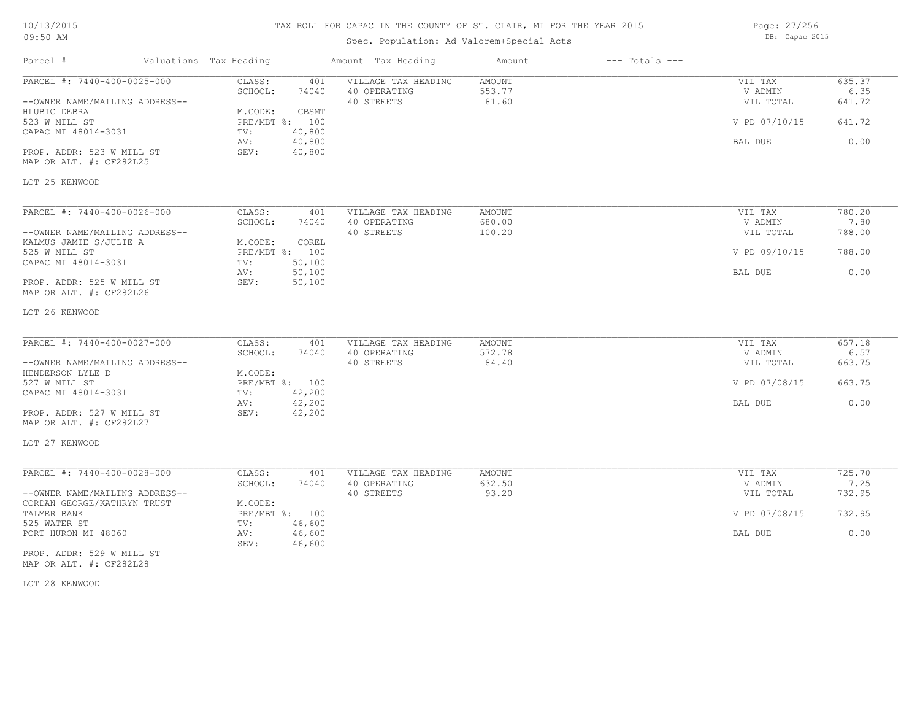| 10/13/2015 |  |
|------------|--|
| 09:50 AM   |  |

# Spec. Population: Ad Valorem+Special Acts

Parcel # Valuations Tax Heading Amount Tax Heading Amount --- Totals ---

Page: 27/256 DB: Capac 2015

| PARCEL #: 7440-400-0025-000                          | CLASS:<br>401<br>SCHOOL:<br>74040 | VILLAGE TAX HEADING<br>40 OPERATING | AMOUNT<br>553.77 | VIL TAX<br>V ADMIN | 635.37<br>6.35 |
|------------------------------------------------------|-----------------------------------|-------------------------------------|------------------|--------------------|----------------|
| --OWNER NAME/MAILING ADDRESS--                       |                                   | 40 STREETS                          | 81.60            | VIL TOTAL          | 641.72         |
| HLUBIC DEBRA                                         | M.CODE:<br>CBSMT                  |                                     |                  |                    |                |
| 523 W MILL ST                                        | PRE/MBT %: 100                    |                                     |                  | V PD 07/10/15      | 641.72         |
| CAPAC MI 48014-3031                                  | 40,800<br>TV:                     |                                     |                  |                    |                |
|                                                      | AV:<br>40,800                     |                                     |                  | BAL DUE            | 0.00           |
| PROP. ADDR: 523 W MILL ST<br>MAP OR ALT. #: CF282L25 | 40,800<br>SEV:                    |                                     |                  |                    |                |
| LOT 25 KENWOOD                                       |                                   |                                     |                  |                    |                |
| PARCEL #: 7440-400-0026-000                          | CLASS:<br>401                     | VILLAGE TAX HEADING                 | AMOUNT           | VIL TAX            | 780.20         |
|                                                      | SCHOOL:<br>74040                  | 40 OPERATING                        | 680.00           | V ADMIN            | 7.80           |
| --OWNER NAME/MAILING ADDRESS--                       |                                   | 40 STREETS                          | 100.20           | VIL TOTAL          | 788.00         |
| KALMUS JAMIE S/JULIE A                               | M.CODE:<br>COREL                  |                                     |                  |                    |                |
| 525 W MILL ST                                        | PRE/MBT %: 100                    |                                     |                  | V PD 09/10/15      | 788.00         |
| CAPAC MI 48014-3031                                  | 50,100<br>TV:                     |                                     |                  |                    |                |
| PROP. ADDR: 525 W MILL ST                            | 50,100<br>AV:<br>SEV:             |                                     |                  | BAL DUE            | 0.00           |
| MAP OR ALT. #: CF282L26                              | 50,100                            |                                     |                  |                    |                |
| LOT 26 KENWOOD                                       |                                   |                                     |                  |                    |                |
| PARCEL #: 7440-400-0027-000                          | CLASS:<br>401                     | VILLAGE TAX HEADING                 | AMOUNT           | VIL TAX            | 657.18         |
|                                                      | SCHOOL:<br>74040                  | 40 OPERATING                        | 572.78           | V ADMIN            | 6.57           |
| --OWNER NAME/MAILING ADDRESS--                       |                                   | 40 STREETS                          | 84.40            | VIL TOTAL          | 663.75         |
| HENDERSON LYLE D                                     | M.CODE:                           |                                     |                  |                    |                |
| 527 W MILL ST                                        | PRE/MBT %: 100                    |                                     |                  | V PD 07/08/15      | 663.75         |
| CAPAC MI 48014-3031                                  | 42,200<br>TV:                     |                                     |                  |                    |                |
|                                                      | 42,200<br>AV:                     |                                     |                  | BAL DUE            | 0.00           |
| PROP. ADDR: 527 W MILL ST                            | 42,200<br>SEV:                    |                                     |                  |                    |                |
| MAP OR ALT. #: CF282L27                              |                                   |                                     |                  |                    |                |
| LOT 27 KENWOOD                                       |                                   |                                     |                  |                    |                |
| PARCEL #: 7440-400-0028-000                          | CLASS:<br>401                     | VILLAGE TAX HEADING                 | AMOUNT           | VIL TAX            | 725.70         |
|                                                      | SCHOOL:<br>74040                  | 40 OPERATING                        | 632.50           | V ADMIN            | 7.25           |
| --OWNER NAME/MAILING ADDRESS--                       |                                   | 40 STREETS                          | 93.20            | VIL TOTAL          | 732.95         |
| CORDAN GEORGE/KATHRYN TRUST                          | M.CODE:                           |                                     |                  |                    |                |
| TALMER BANK                                          | PRE/MBT %: 100                    |                                     |                  | V PD 07/08/15      | 732.95         |
| 525 WATER ST                                         | 46,600<br>TV:                     |                                     |                  |                    |                |
| PORT HURON MI 48060                                  | AV:<br>46,600<br>SEV:<br>46,600   |                                     |                  | BAL DUE            | 0.00           |
| PROP. ADDR: 529 W MILL ST                            |                                   |                                     |                  |                    |                |

MAP OR ALT. #: CF282L28

LOT 28 KENWOOD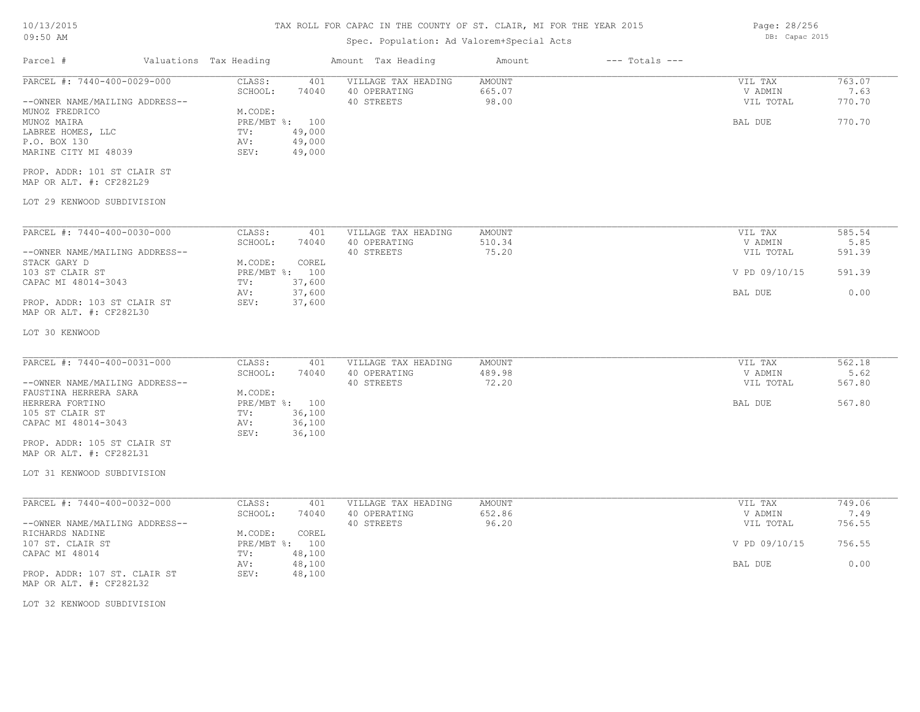#### TAX ROLL FOR CAPAC IN THE COUNTY OF ST. CLAIR, MI FOR THE YEAR 2015

## Spec. Population: Ad Valorem+Special Acts

Parcel # Valuations Tax Heading Amount Tax Heading Amount --- Totals ---LOT 29 KENWOOD SUBDIVISION MAP OR ALT. #: CF282L29 PROP. ADDR: 101 ST CLAIR ST MARINE CITY MI 48039 SEV: 49,000 P.O. BOX 130 AV: 49,000 LABREE HOMES, LLC TV: 49,000 MUNOZ MAIRA PRE/MBT %: 100 BAL DUE 770.70 MUNOZ FREDRICO M.CODE: --OWNER NAME/MAILING ADDRESS-- 40 STREETS 98.00 VIL TOTAL 770.70 SCHOOL: 74040 40 OPERATING 665.07 665.07 NDMIN 7.63 PARCEL #: 7440-400-0029-000 CLASS: 401 VILLAGE TAX HEADING AMOUNT NULLAGE ON THE TAX 763.07 VIL TAX 763.07 7.63  $\mathcal{L}_\mathcal{L} = \mathcal{L}_\mathcal{L} = \mathcal{L}_\mathcal{L} = \mathcal{L}_\mathcal{L} = \mathcal{L}_\mathcal{L} = \mathcal{L}_\mathcal{L} = \mathcal{L}_\mathcal{L} = \mathcal{L}_\mathcal{L} = \mathcal{L}_\mathcal{L} = \mathcal{L}_\mathcal{L} = \mathcal{L}_\mathcal{L} = \mathcal{L}_\mathcal{L} = \mathcal{L}_\mathcal{L} = \mathcal{L}_\mathcal{L} = \mathcal{L}_\mathcal{L} = \mathcal{L}_\mathcal{L} = \mathcal{L}_\mathcal{L}$ LOT 30 KENWOOD MAP OR ALT. #: CF282L30 PROP. ADDR: 103 ST CLAIR ST SEV: 37,600 AV: 37,600 BAL DUE 0.00 CAPAC MI 48014-3043 TV: 37,600<br>AV: 37,600 103 ST CLAIR ST PRE/MBT %: 100 V PD 09/10/15 591.39 STACK GARY D<br>103 ST CLAIR ST<br>103 ST CLAIR ST --OWNER NAME/MAILING ADDRESS-- 40 STREETS 75.20 VIL TOTAL 591.39 SCHOOL: 74040 40 OPERATING 510.34 5.85 SCHOOL: 54040 5.85 PARCEL #: 7440-400-0030-000 CLASS: 401 VILLAGE TAX HEADING AMOUNT VIL TAX 585.54<br>585.54 SCHOOL: 74040 40 OPERATING 510.34 VADMIN 5.85  $\mathcal{L}_\mathcal{L} = \mathcal{L}_\mathcal{L} = \mathcal{L}_\mathcal{L} = \mathcal{L}_\mathcal{L} = \mathcal{L}_\mathcal{L} = \mathcal{L}_\mathcal{L} = \mathcal{L}_\mathcal{L} = \mathcal{L}_\mathcal{L} = \mathcal{L}_\mathcal{L} = \mathcal{L}_\mathcal{L} = \mathcal{L}_\mathcal{L} = \mathcal{L}_\mathcal{L} = \mathcal{L}_\mathcal{L} = \mathcal{L}_\mathcal{L} = \mathcal{L}_\mathcal{L} = \mathcal{L}_\mathcal{L} = \mathcal{L}_\mathcal{L}$ LOT 31 KENWOOD SUBDIVISION MAP OR ALT. #: CF282L31 PROP. ADDR: 105 ST CLAIR ST SEV: 36,100 CAPAC MI 48014-3043 AV: 36,100<br>SEV: 36,100 105 ST CLAIR ST **TV:** 36,100 HERRERA FORTINO PRE/MBT %: 100 BAL DUE 567.80 FAUSTINA HERRERA SARA M.CODE: --OWNER NAME/MAILING ADDRESS-- 40 STREETS 72.20 VIL TOTAL 567.80 SCHOOL: 74040 40 OPERATING 489.98 V ADMIN 5.62 PARCEL #: 7440-400-0031-000 CLASS: 401 VILLAGE TAX HEADING AMOUNT VIL TAX 562.18<br>562.18 SCHOOL: 74040 40 OPERATING 489.98 VADMIN 5.62  $\mathcal{L}_\mathcal{L} = \mathcal{L}_\mathcal{L} = \mathcal{L}_\mathcal{L} = \mathcal{L}_\mathcal{L} = \mathcal{L}_\mathcal{L} = \mathcal{L}_\mathcal{L} = \mathcal{L}_\mathcal{L} = \mathcal{L}_\mathcal{L} = \mathcal{L}_\mathcal{L} = \mathcal{L}_\mathcal{L} = \mathcal{L}_\mathcal{L} = \mathcal{L}_\mathcal{L} = \mathcal{L}_\mathcal{L} = \mathcal{L}_\mathcal{L} = \mathcal{L}_\mathcal{L} = \mathcal{L}_\mathcal{L} = \mathcal{L}_\mathcal{L}$ LOT 32 KENWOOD SUBDIVISION MAP OR ALT. #: CF282L32 PROP. ADDR: 107 ST. CLAIR ST SEV: 48,100 AV: 48,100 BAL DUE 0.00 CAPAC MI 48014 TV: 48,100<br>
AV: 48,100 107 ST. CLAIR ST PRE/MBT %: 100 V PD 09/10/15 756.55 RICHARDS NADINE M.CODE: COREL 107 ST. CLAIR ST --OWNER NAME/MAILING ADDRESS-- 40 STREETS 96.20 VIL TOTAL 756.55 SCHOOL: 74040 40 OPERATING 652.86 652.86 V ADMIN 7.49 PARCEL #: 7440-400-0032-000 CLASS: 401 VILLAGE TAX HEADING AMOUNT VIL TAX 749.06<br>SCHOOL: 74040 40 OPERATING 652.86 9 VADMIN 7.49  $\mathcal{L}_\mathcal{L} = \mathcal{L}_\mathcal{L} = \mathcal{L}_\mathcal{L} = \mathcal{L}_\mathcal{L} = \mathcal{L}_\mathcal{L} = \mathcal{L}_\mathcal{L} = \mathcal{L}_\mathcal{L} = \mathcal{L}_\mathcal{L} = \mathcal{L}_\mathcal{L} = \mathcal{L}_\mathcal{L} = \mathcal{L}_\mathcal{L} = \mathcal{L}_\mathcal{L} = \mathcal{L}_\mathcal{L} = \mathcal{L}_\mathcal{L} = \mathcal{L}_\mathcal{L} = \mathcal{L}_\mathcal{L} = \mathcal{L}_\mathcal{L}$ 

Page: 28/256 DB: Capac 2015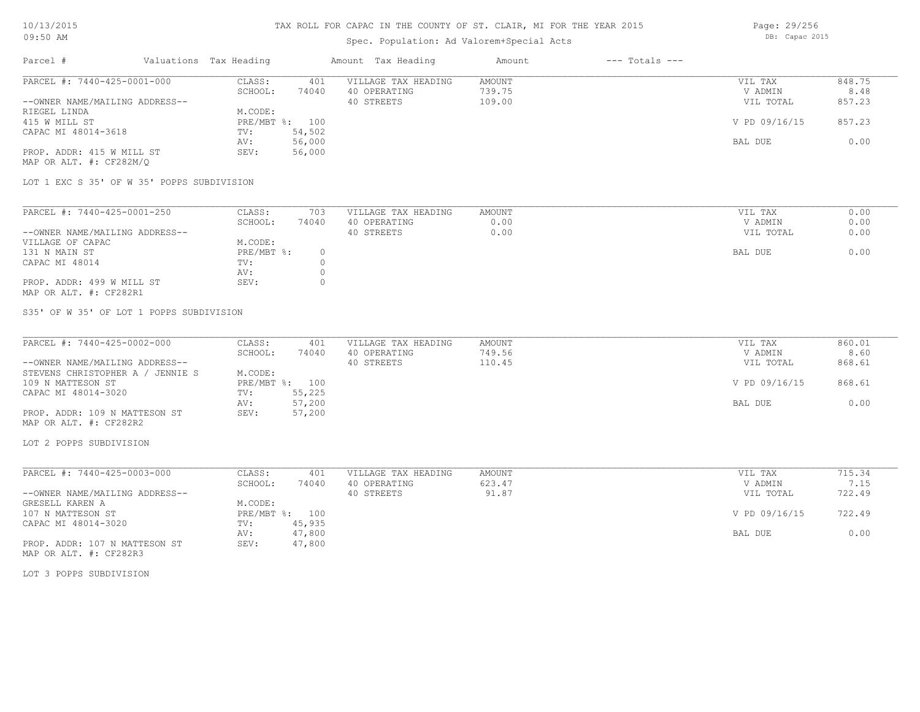# Spec. Population: Ad Valorem+Special Acts

Page: 29/256 DB: Capac 2015

| Parcel #                       | Valuations Tax Heading |        | Amount Tax Heading  | Amount | $---$ Totals $---$ |               |        |
|--------------------------------|------------------------|--------|---------------------|--------|--------------------|---------------|--------|
| PARCEL #: 7440-425-0001-000    | CLASS:                 | 401    | VILLAGE TAX HEADING | AMOUNT |                    | VIL TAX       | 848.75 |
|                                | SCHOOL:                | 74040  | 40 OPERATING        | 739.75 |                    | V ADMIN       | 8.48   |
| --OWNER NAME/MAILING ADDRESS-- |                        |        | 40 STREETS          | 109.00 |                    | VIL TOTAL     | 857.23 |
| RIEGEL LINDA                   | M.CODE:                |        |                     |        |                    |               |        |
| 415 W MILL ST                  | PRE/MBT %:             | 100    |                     |        |                    | V PD 09/16/15 | 857.23 |
| CAPAC MI 48014-3618            | TV:                    | 54,502 |                     |        |                    |               |        |
|                                | AV:                    | 56,000 |                     |        |                    | BAL DUE       | 0.00   |
| PROP. ADDR: 415 W MILL ST      | SEV:                   | 56,000 |                     |        |                    |               |        |
| MAP OR ALT. #: CF282M/O        |                        |        |                     |        |                    |               |        |

LOT 1 EXC S 35' OF W 35' POPPS SUBDIVISION

| PARCEL #: 7440-425-0001-250    | CLASS:     | 703   | VILLAGE TAX HEADING | AMOUNT | VIL TAX   | 0.00 |
|--------------------------------|------------|-------|---------------------|--------|-----------|------|
|                                | SCHOOL:    | 74040 | 40 OPERATING        | 0.00   | V ADMIN   | 0.00 |
| --OWNER NAME/MAILING ADDRESS-- |            |       | 40 STREETS          | 0.00   | VIL TOTAL | 0.00 |
| VILLAGE OF CAPAC               | M.CODE:    |       |                     |        |           |      |
| 131 N MAIN ST                  | PRE/MBT %: |       |                     |        | BAL DUE   | 0.00 |
| CAPAC MI 48014                 | TV:        |       |                     |        |           |      |
|                                | AV:        |       |                     |        |           |      |
| PROP. ADDR: 499 W MILL ST      | SEV:       |       |                     |        |           |      |
| MAP OR ALT. #: CF282R1         |            |       |                     |        |           |      |

S35' OF W 35' OF LOT 1 POPPS SUBDIVISION

| PARCEL #: 7440-425-0002-000         | CLASS:  | 401            | VILLAGE TAX HEADING | AMOUNT | VIL TAX       | 860.01 |
|-------------------------------------|---------|----------------|---------------------|--------|---------------|--------|
|                                     | SCHOOL: | 74040          | 40 OPERATING        | 749.56 | V ADMIN       | 8.60   |
| --OWNER NAME/MAILING ADDRESS--      |         |                | 40 STREETS          | 110.45 | VIL TOTAL     | 868.61 |
| STEVENS CHRISTOPHER A /<br>JENNIE S | M.CODE: |                |                     |        |               |        |
| 109 N MATTESON ST                   |         | PRE/MBT %: 100 |                     |        | V PD 09/16/15 | 868.61 |
| CAPAC MI 48014-3020                 | TV:     | 55,225         |                     |        |               |        |
|                                     | AV:     | 57,200         |                     |        | BAL DUE       | 0.00   |
| PROP. ADDR: 109 N MATTESON ST       | SEV:    | 57,200         |                     |        |               |        |
| MAP OR ALT. #: CF282R2              |         |                |                     |        |               |        |

LOT 2 POPPS SUBDIVISION

| PARCEL #: 7440-425-0003-000    | CLASS:       | 401    | VILLAGE TAX HEADING | AMOUNT | VIL TAX       | 715.34 |
|--------------------------------|--------------|--------|---------------------|--------|---------------|--------|
|                                | SCHOOL:      | 74040  | 40 OPERATING        | 623.47 | V ADMIN       | 7.15   |
| --OWNER NAME/MAILING ADDRESS-- |              |        | 40 STREETS          | 91.87  | VIL TOTAL     | 722.49 |
| GRESELL KAREN A                | M.CODE:      |        |                     |        |               |        |
| 107 N MATTESON ST              | $PRE/MBT$ %: | 100    |                     |        | V PD 09/16/15 | 722.49 |
| CAPAC MI 48014-3020            | TV:          | 45,935 |                     |        |               |        |
|                                | AV:          | 47,800 |                     |        | BAL DUE       | 0.00   |
| PROP. ADDR: 107 N MATTESON ST  | SEV:         | 47,800 |                     |        |               |        |

MAP OR ALT. #: CF282R3

LOT 3 POPPS SUBDIVISION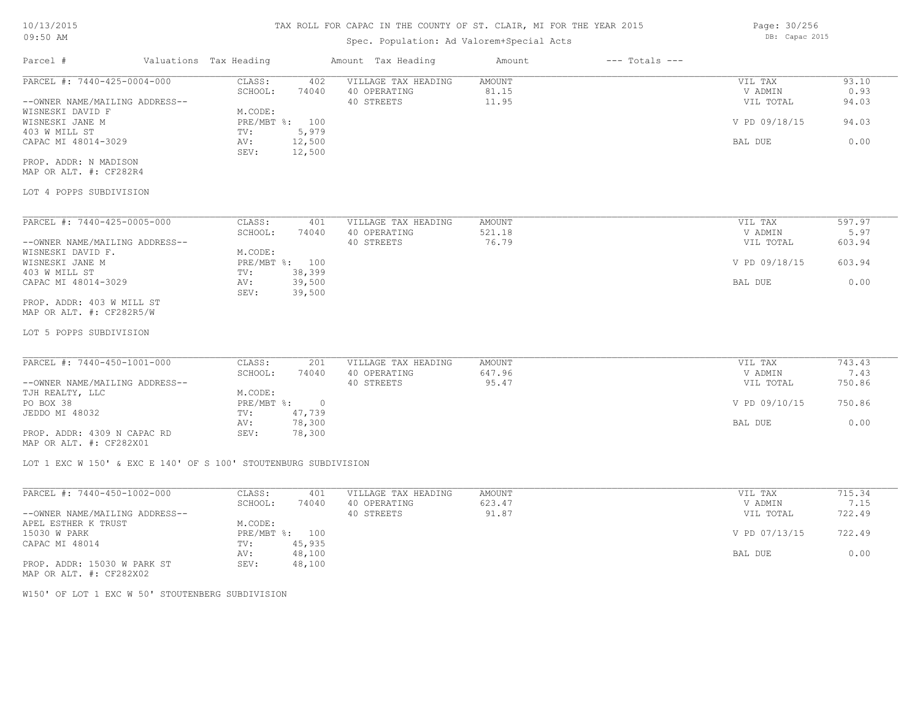## Spec. Population: Ad Valorem+Special Acts

Parcel # Valuations Tax Heading Amount Tax Heading Amount --- Totals ---LOT 4 POPPS SUBDIVISION MAP OR ALT. #: CF282R4 PROP. ADDR: N MADISON SEV: 12,500 CAPAC MI 48014-3029 **AV:** 12,500 **BAL DUE** 0.00 403 W MILL ST TV: 5,979 WISNESKI JANE M PRE/MBT %: 100 V PD 09/18/15 94.03 WISNESKI DAVID F<br>WISNESKI JANE M<br>PRE/MBT %: 100 --OWNER NAME/MAILING ADDRESS-- 40 STREETS 11.95 VIL TOTAL 94.03 SCHOOL: 74040 40 OPERATING 81.15 81.15 81.15 V ADMIN 0.93 PARCEL #: 7440-425-0004-000 CLASS: 402 VILLAGE TAX HEADING AMOUNT VIL TAX VIL TAX 93.10<br>SCHOOL: 74040 40 OPERATING 81.15 VADMIN 0.93  $\mathcal{L}_\mathcal{L} = \mathcal{L}_\mathcal{L} = \mathcal{L}_\mathcal{L} = \mathcal{L}_\mathcal{L} = \mathcal{L}_\mathcal{L} = \mathcal{L}_\mathcal{L} = \mathcal{L}_\mathcal{L} = \mathcal{L}_\mathcal{L} = \mathcal{L}_\mathcal{L} = \mathcal{L}_\mathcal{L} = \mathcal{L}_\mathcal{L} = \mathcal{L}_\mathcal{L} = \mathcal{L}_\mathcal{L} = \mathcal{L}_\mathcal{L} = \mathcal{L}_\mathcal{L} = \mathcal{L}_\mathcal{L} = \mathcal{L}_\mathcal{L}$ 

| PARCEL #: 7440-425-0005-000    | CLASS:       | 401    | VILLAGE TAX HEADING | AMOUNT | VIL TAX       | 597.97 |
|--------------------------------|--------------|--------|---------------------|--------|---------------|--------|
|                                | SCHOOL:      | 74040  | 40 OPERATING        | 521.18 | V ADMIN       | 5.97   |
| --OWNER NAME/MAILING ADDRESS-- |              |        | 40 STREETS          | 76.79  | VIL TOTAL     | 603.94 |
| WISNESKI DAVID F.              | M.CODE:      |        |                     |        |               |        |
| WISNESKI JANE M                | $PRE/MBT$ %: | 100    |                     |        | V PD 09/18/15 | 603.94 |
| 403 W MILL ST                  | TV:          | 38,399 |                     |        |               |        |
| CAPAC MI 48014-3029            | AV:          | 39,500 |                     |        | BAL DUE       | 0.00   |
|                                | SEV:         | 39,500 |                     |        |               |        |
| PROP. ADDR: 403 W MILL ST      |              |        |                     |        |               |        |

MAP OR ALT. #: CF282R5/W

LOT 5 POPPS SUBDIVISION

| PARCEL #: 7440-450-1001-000    | CLASS:       | 201    | VILLAGE TAX HEADING | AMOUNT | VIL TAX       | 743.43 |
|--------------------------------|--------------|--------|---------------------|--------|---------------|--------|
|                                | SCHOOL:      | 74040  | 40 OPERATING        | 647.96 | V ADMIN       | 7.43   |
| --OWNER NAME/MAILING ADDRESS-- |              |        | 40 STREETS          | 95.47  | VIL TOTAL     | 750.86 |
| TJH REALTY, LLC                | M.CODE:      |        |                     |        |               |        |
| PO BOX 38                      | $PRE/MBT$ %: |        |                     |        | V PD 09/10/15 | 750.86 |
| JEDDO MI 48032                 | TV:          | 47,739 |                     |        |               |        |
|                                | AV:          | 78,300 |                     |        | BAL DUE       | 0.00   |
| PROP. ADDR: 4309 N CAPAC RD    | SEV:         | 78,300 |                     |        |               |        |
|                                |              |        |                     |        |               |        |

MAP OR ALT. #: CF282X01

LOT 1 EXC W 150' & EXC E 140' OF S 100' STOUTENBURG SUBDIVISION

|                        | VIL TAX                       | 715.34 |
|------------------------|-------------------------------|--------|
| 623.47<br>40 OPERATING | V ADMIN                       | 7.15   |
| 91.87<br>40 STREETS    | VIL TOTAL                     | 722.49 |
|                        |                               |        |
|                        | V PD 07/13/15                 | 722.49 |
|                        |                               |        |
|                        | BAL DUE                       | 0.00   |
|                        |                               |        |
|                        | VILLAGE TAX HEADING<br>AMOUNT |        |

MAP OR ALT. #: CF282X02

W150' OF LOT 1 EXC W 50' STOUTENBERG SUBDIVISION

Page: 30/256 DB: Capac 2015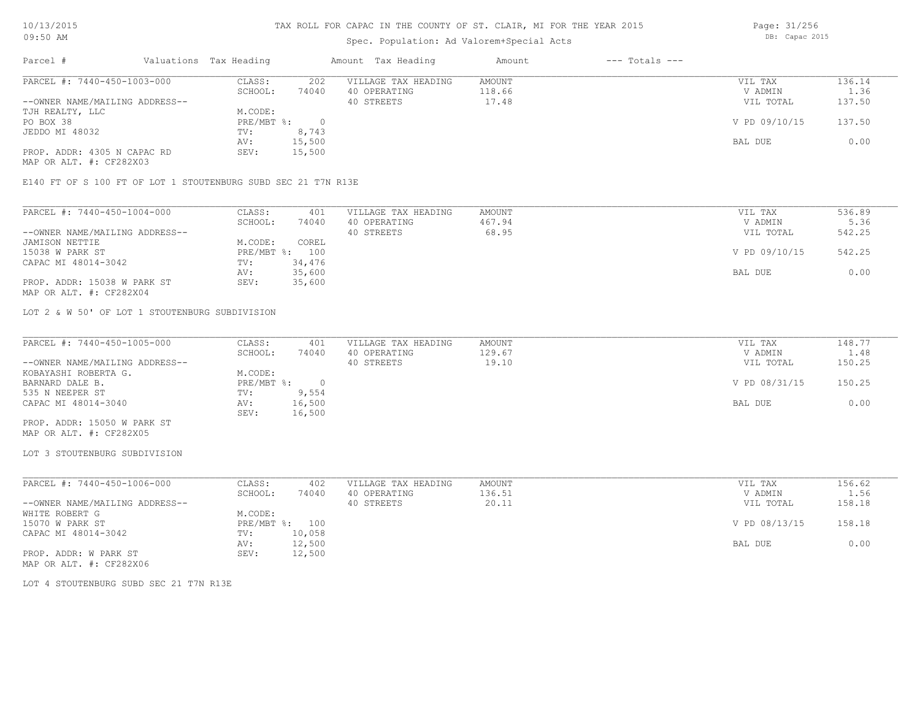# Spec. Population: Ad Valorem+Special Acts

Page: 31/256 DB: Capac 2015

| Parcel #                       | Valuations Tax Heading |        | Amount Tax Heading  | Amount | $---$ Totals $---$ |               |        |
|--------------------------------|------------------------|--------|---------------------|--------|--------------------|---------------|--------|
| PARCEL #: 7440-450-1003-000    | CLASS:                 | 202    | VILLAGE TAX HEADING | AMOUNT |                    | VIL TAX       | 136.14 |
|                                | SCHOOL:                | 74040  | 40 OPERATING        | 118.66 |                    | V ADMIN       | 1.36   |
| --OWNER NAME/MAILING ADDRESS-- |                        |        | 40 STREETS          | 17.48  |                    | VIL TOTAL     | 137.50 |
| TJH REALTY, LLC                | M.CODE:                |        |                     |        |                    |               |        |
| PO BOX 38                      | $PRE/MBT$ %:           |        |                     |        |                    | V PD 09/10/15 | 137.50 |
| JEDDO MI 48032                 | TV:                    | 8,743  |                     |        |                    |               |        |
|                                | AV:                    | 15,500 |                     |        |                    | BAL DUE       | 0.00   |
| PROP. ADDR: 4305 N CAPAC RD    | SEV:                   | 15,500 |                     |        |                    |               |        |
|                                |                        |        |                     |        |                    |               |        |

MAP OR ALT. #: CF282X03

E140 FT OF S 100 FT OF LOT 1 STOUTENBURG SUBD SEC 21 T7N R13E

| PARCEL #: 7440-450-1004-000    | CLASS:     | 401    | VILLAGE TAX HEADING | AMOUNT | VIL TAX       | 536.89 |
|--------------------------------|------------|--------|---------------------|--------|---------------|--------|
|                                | SCHOOL:    | 74040  | 40 OPERATING        | 467.94 | V ADMIN       | 5.36   |
| --OWNER NAME/MAILING ADDRESS-- |            |        | 40 STREETS          | 68.95  | VIL TOTAL     | 542.25 |
| JAMISON NETTIE                 | M.CODE:    | COREL  |                     |        |               |        |
| 15038 W PARK ST                | PRE/MBT %: | 100    |                     |        | V PD 09/10/15 | 542.25 |
| CAPAC MI 48014-3042            | TV:        | 34,476 |                     |        |               |        |
|                                | AV:        | 35,600 |                     |        | BAL DUE       | 0.00   |
| PROP. ADDR: 15038 W PARK ST    | SEV:       | 35,600 |                     |        |               |        |
| MAP OR ALT. #: CF282X04        |            |        |                     |        |               |        |

LOT 2 & W 50' OF LOT 1 STOUTENBURG SUBDIVISION

| PARCEL #: 7440-450-1005-000    | CLASS:     | 401    | VILLAGE TAX HEADING | AMOUNT | VIL TAX       | 148.77 |
|--------------------------------|------------|--------|---------------------|--------|---------------|--------|
|                                | SCHOOL:    | 74040  | 40 OPERATING        | 129.67 | V ADMIN       | 1.48   |
| --OWNER NAME/MAILING ADDRESS-- |            |        | 40 STREETS          | 19.10  | VIL TOTAL     | 150.25 |
| KOBAYASHI ROBERTA G.           | M.CODE:    |        |                     |        |               |        |
| BARNARD DALE B.                | PRE/MBT %: |        |                     |        | V PD 08/31/15 | 150.25 |
| 535 N NEEPER ST                | TV:        | 9,554  |                     |        |               |        |
| CAPAC MI 48014-3040            | AV:        | 16,500 |                     |        | BAL DUE       | 0.00   |
|                                | SEV:       | 16,500 |                     |        |               |        |
| PROP. ADDR: 15050 W PARK ST    |            |        |                     |        |               |        |

MAP OR ALT. #: CF282X05

#### LOT 3 STOUTENBURG SUBDIVISION

| PARCEL #: 7440-450-1006-000    | CLASS:  | 402            | VILLAGE TAX HEADING | AMOUNT | VIL TAX       | 156.62 |
|--------------------------------|---------|----------------|---------------------|--------|---------------|--------|
|                                | SCHOOL: | 74040          | 40 OPERATING        | 136.51 | V ADMIN       | 1.56   |
| --OWNER NAME/MAILING ADDRESS-- |         |                | 40 STREETS          | 20.11  | VIL TOTAL     | 158.18 |
| WHITE ROBERT G                 | M.CODE: |                |                     |        |               |        |
| 15070 W PARK ST                |         | PRE/MBT %: 100 |                     |        | V PD 08/13/15 | 158.18 |
| CAPAC MI 48014-3042            | TV:     | 10,058         |                     |        |               |        |
|                                | AV:     | 12,500         |                     |        | BAL DUE       | 0.00   |
| PROP. ADDR: W PARK ST          | SEV:    | 12,500         |                     |        |               |        |
| MAP OR ALT. #: CF282X06        |         |                |                     |        |               |        |

LOT 4 STOUTENBURG SUBD SEC 21 T7N R13E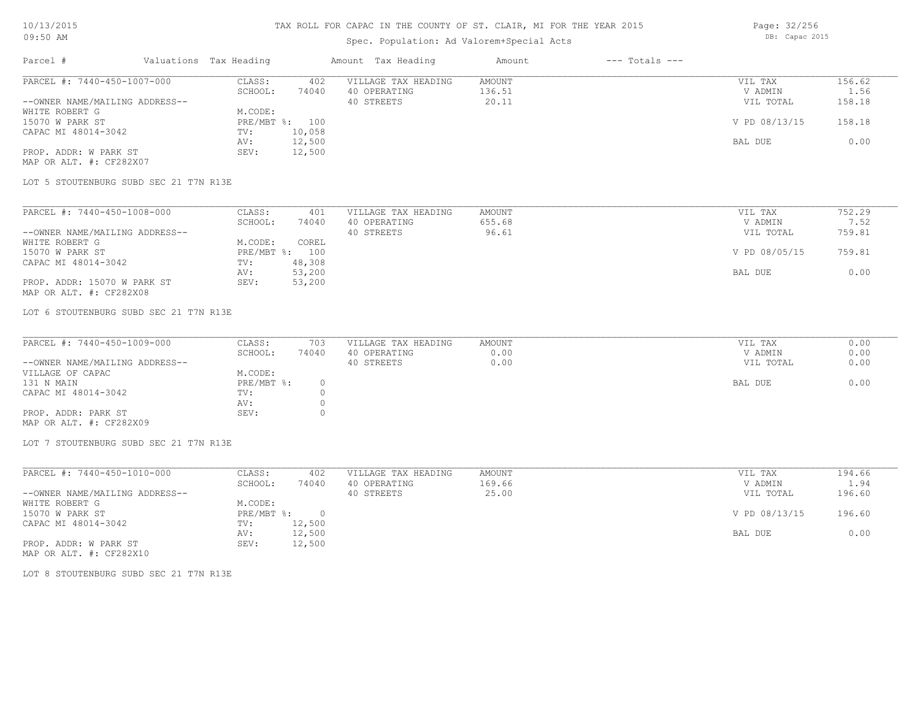# Spec. Population: Ad Valorem+Special Acts

Page: 32/256 DB: Capac 2015

| Parcel #                       | Valuations Tax Heading |        | Amount Tax Heading  | Amount | $---$ Totals $---$ |               |        |
|--------------------------------|------------------------|--------|---------------------|--------|--------------------|---------------|--------|
| PARCEL #: 7440-450-1007-000    | CLASS:                 | 402    | VILLAGE TAX HEADING | AMOUNT |                    | VIL TAX       | 156.62 |
|                                | SCHOOL:                | 74040  | 40 OPERATING        | 136.51 |                    | V ADMIN       | 1.56   |
| --OWNER NAME/MAILING ADDRESS-- |                        |        | 40 STREETS          | 20.11  |                    | VIL TOTAL     | 158.18 |
| WHITE ROBERT G                 | M.CODE:                |        |                     |        |                    |               |        |
| 15070 W PARK ST                | PRE/MBT %: 100         |        |                     |        |                    | V PD 08/13/15 | 158.18 |
| CAPAC MI 48014-3042            | TV:                    | 10,058 |                     |        |                    |               |        |
|                                | AV:                    | 12,500 |                     |        |                    | BAL DUE       | 0.00   |
| PROP. ADDR: W PARK ST          | SEV:                   | 12,500 |                     |        |                    |               |        |
| MAP OR ALT. #: CF282X07        |                        |        |                     |        |                    |               |        |

LOT 5 STOUTENBURG SUBD SEC 21 T7N R13E

| PARCEL #: 7440-450-1008-000    | CLASS:  | 401            | VILLAGE TAX HEADING | AMOUNT | VIL TAX       | 752.29 |
|--------------------------------|---------|----------------|---------------------|--------|---------------|--------|
|                                | SCHOOL: | 74040          | 40 OPERATING        | 655.68 | V ADMIN       | 7.52   |
| --OWNER NAME/MAILING ADDRESS-- |         |                | 40 STREETS          | 96.61  | VIL TOTAL     | 759.81 |
| WHITE ROBERT G                 | M.CODE: | COREL          |                     |        |               |        |
| 15070 W PARK ST                |         | PRE/MBT %: 100 |                     |        | V PD 08/05/15 | 759.81 |
| CAPAC MI 48014-3042            | TV:     | 48,308         |                     |        |               |        |
|                                | AV:     | 53,200         |                     |        | BAL DUE       | 0.00   |
| PROP. ADDR: 15070 W PARK ST    | SEV:    | 53,200         |                     |        |               |        |
| MAP OR ALT. #: CF282X08        |         |                |                     |        |               |        |

LOT 6 STOUTENBURG SUBD SEC 21 T7N R13E

| PARCEL #: 7440-450-1009-000    | CLASS:     | 703   | VILLAGE TAX HEADING | AMOUNT | VIL TAX   | 0.00 |
|--------------------------------|------------|-------|---------------------|--------|-----------|------|
|                                | SCHOOL:    | 74040 | 40 OPERATING        | 0.00   | V ADMIN   | 0.00 |
| --OWNER NAME/MAILING ADDRESS-- |            |       | 40 STREETS          | 0.00   | VIL TOTAL | 0.00 |
| VILLAGE OF CAPAC               | M.CODE:    |       |                     |        |           |      |
| 131 N MAIN                     | PRE/MBT %: |       |                     |        | BAL DUE   | 0.00 |
| CAPAC MI 48014-3042            | TV:        |       |                     |        |           |      |
|                                | AV:        |       |                     |        |           |      |
| PROP. ADDR: PARK ST            | SEV:       |       |                     |        |           |      |
| MAP OR ALT. #: CF282X09        |            |       |                     |        |           |      |

LOT 7 STOUTENBURG SUBD SEC 21 T7N R13E

| PARCEL #: 7440-450-1010-000    | CLASS:     | 402    | VILLAGE TAX HEADING | AMOUNT | VIL TAX       | 194.66 |
|--------------------------------|------------|--------|---------------------|--------|---------------|--------|
|                                | SCHOOL:    | 74040  | 40 OPERATING        | 169.66 | V ADMIN       | 1.94   |
| --OWNER NAME/MAILING ADDRESS-- |            |        | 40 STREETS          | 25.00  | VIL TOTAL     | 196.60 |
| WHITE ROBERT G                 | M.CODE:    |        |                     |        |               |        |
| 15070 W PARK ST                | PRE/MBT %: | $\cap$ |                     |        | V PD 08/13/15 | 196.60 |
| CAPAC MI 48014-3042            | TV:        | 12,500 |                     |        |               |        |
|                                | AV:        | 12,500 |                     |        | BAL DUE       | 0.00   |
| PROP. ADDR: W PARK ST          | SEV:       | 12,500 |                     |        |               |        |

MAP OR ALT. #: CF282X10

LOT 8 STOUTENBURG SUBD SEC 21 T7N R13E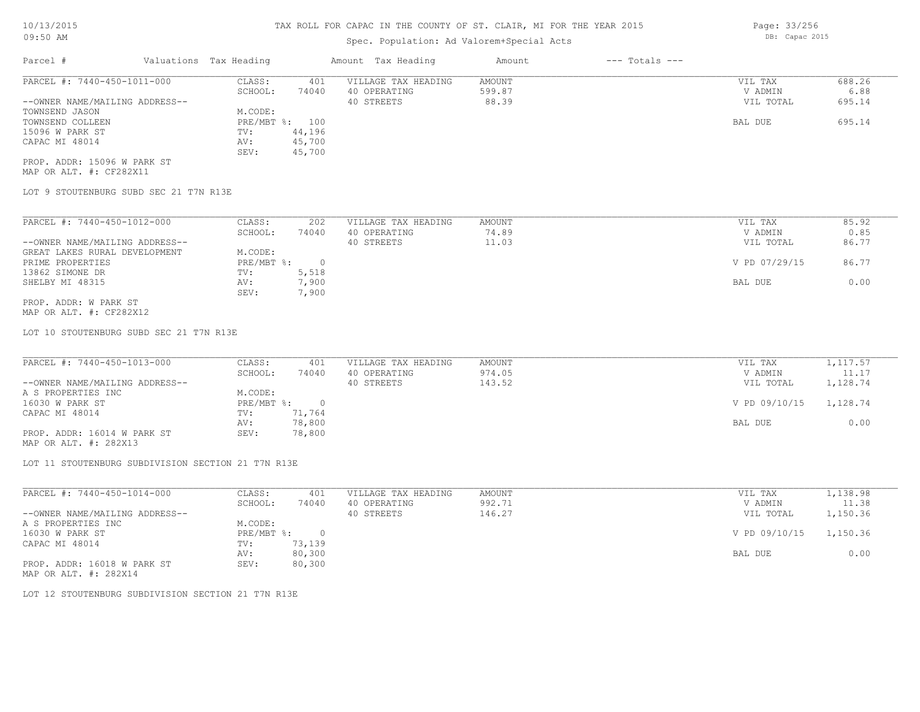# Spec. Population: Ad Valorem+Special Acts

| Parcel #                       | Valuations Tax Heading |        | Amount Tax Heading  | Amount | $---$ Totals $---$ |           |        |
|--------------------------------|------------------------|--------|---------------------|--------|--------------------|-----------|--------|
| PARCEL #: 7440-450-1011-000    | CLASS:                 | 401    | VILLAGE TAX HEADING | AMOUNT |                    | VIL TAX   | 688.26 |
|                                | SCHOOL:                | 74040  | 40 OPERATING        | 599.87 |                    | V ADMIN   | 6.88   |
| --OWNER NAME/MAILING ADDRESS-- |                        |        | 40 STREETS          | 88.39  |                    | VIL TOTAL | 695.14 |
| TOWNSEND JASON                 | M.CODE:                |        |                     |        |                    |           |        |
| TOWNSEND COLLEEN               | PRE/MBT %: 100         |        |                     |        |                    | BAL DUE   | 695.14 |
| 15096 W PARK ST                | TV:                    | 44,196 |                     |        |                    |           |        |
| CAPAC MI 48014                 | AV:                    | 45,700 |                     |        |                    |           |        |
|                                | SEV:                   | 45,700 |                     |        |                    |           |        |
| PROP. ADDR: 15096 W PARK ST    |                        |        |                     |        |                    |           |        |

MAP OR ALT. #: CF282X11

LOT 9 STOUTENBURG SUBD SEC 21 T7N R13E

| PARCEL #: 7440-450-1012-000    | CLASS:     | 202   | VILLAGE TAX HEADING | AMOUNT | VIL TAX       | 85.92 |
|--------------------------------|------------|-------|---------------------|--------|---------------|-------|
|                                | SCHOOL:    | 74040 | 40 OPERATING        | 74.89  | V ADMIN       | 0.85  |
| --OWNER NAME/MAILING ADDRESS-- |            |       | 40 STREETS          | 11.03  | VIL TOTAL     | 86.77 |
| GREAT LAKES RURAL DEVELOPMENT  | M.CODE:    |       |                     |        |               |       |
| PRIME PROPERTIES               | PRE/MBT %: |       |                     |        | V PD 07/29/15 | 86.77 |
| 13862 SIMONE DR                | TV:        | 5,518 |                     |        |               |       |
| SHELBY MI 48315                | AV:        | 7,900 |                     |        | BAL DUE       | 0.00  |
|                                | SEV:       | 7,900 |                     |        |               |       |
| PROP. ADDR: W PARK ST          |            |       |                     |        |               |       |

MAP OR ALT. #: CF282X12

LOT 10 STOUTENBURG SUBD SEC 21 T7N R13E

| PARCEL #: 7440-450-1013-000    | CLASS:     | 401    | VILLAGE TAX HEADING | AMOUNT | VIL TAX       | 1,117.57 |
|--------------------------------|------------|--------|---------------------|--------|---------------|----------|
|                                | SCHOOL:    | 74040  | 40 OPERATING        | 974.05 | V ADMIN       | 11.17    |
| --OWNER NAME/MAILING ADDRESS-- |            |        | 40 STREETS          | 143.52 | VIL TOTAL     | 1,128.74 |
| A S PROPERTIES INC             | M.CODE:    |        |                     |        |               |          |
| 16030 W PARK ST                | PRE/MBT %: |        |                     |        | V PD 09/10/15 | 1,128.74 |
| CAPAC MI 48014                 | TV:        | 71,764 |                     |        |               |          |
|                                | AV:        | 78,800 |                     |        | BAL DUE       | 0.00     |
| PROP. ADDR: 16014 W PARK ST    | SEV:       | 78,800 |                     |        |               |          |

MAP OR ALT. #: 282X13

LOT 11 STOUTENBURG SUBDIVISION SECTION 21 T7N R13E

| PARCEL #: 7440-450-1014-000    | CLASS:     | 401    | VILLAGE TAX HEADING | AMOUNT | VIL TAX       | 1,138.98 |
|--------------------------------|------------|--------|---------------------|--------|---------------|----------|
|                                | SCHOOL:    | 74040  | 40 OPERATING        | 992.71 | V ADMIN       | 11.38    |
| --OWNER NAME/MAILING ADDRESS-- |            |        | 40 STREETS          | 146.27 | VIL TOTAL     | 1,150.36 |
| A S PROPERTIES INC             | M.CODE:    |        |                     |        |               |          |
| 16030 W PARK ST                | PRE/MBT %: |        |                     |        | V PD 09/10/15 | 1,150.36 |
| CAPAC MI 48014                 | TV:        | 73,139 |                     |        |               |          |
|                                | AV:        | 80,300 |                     |        | BAL DUE       | 0.00     |
| PROP. ADDR: 16018 W PARK ST    | SEV:       | 80,300 |                     |        |               |          |
|                                |            |        |                     |        |               |          |

MAP OR ALT. #: 282X14

LOT 12 STOUTENBURG SUBDIVISION SECTION 21 T7N R13E

Page: 33/256

DB: Capac 2015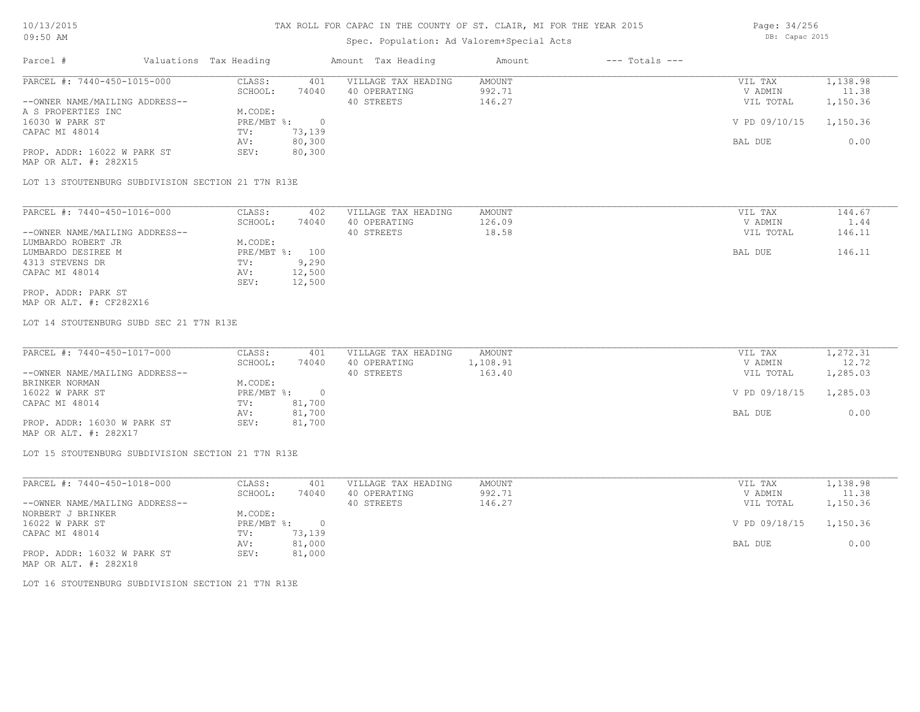# Spec. Population: Ad Valorem+Special Acts

Page: 34/256 DB: Capac 2015

| Parcel #                       | Valuations Tax Heading |        | Amount Tax Heading  | Amount | $---$ Totals $---$ |               |          |
|--------------------------------|------------------------|--------|---------------------|--------|--------------------|---------------|----------|
| PARCEL #: 7440-450-1015-000    | CLASS:                 | 401    | VILLAGE TAX HEADING | AMOUNT |                    | VIL TAX       | 1,138.98 |
|                                | SCHOOL:                | 74040  | 40 OPERATING        | 992.71 |                    | V ADMIN       | 11.38    |
| --OWNER NAME/MAILING ADDRESS-- |                        |        | 40 STREETS          | 146.27 |                    | VIL TOTAL     | 1,150.36 |
| A S PROPERTIES INC             | M.CODE:                |        |                     |        |                    |               |          |
| 16030 W PARK ST                | $PRE/MBT$ %:           |        |                     |        |                    | V PD 09/10/15 | 1,150.36 |
| CAPAC MI 48014                 | TV:                    | 73,139 |                     |        |                    |               |          |
|                                | AV:                    | 80,300 |                     |        |                    | BAL DUE       | 0.00     |
| PROP. ADDR: 16022 W PARK ST    | SEV:                   | 80,300 |                     |        |                    |               |          |
| MAP OR ALT. #: 282X15          |                        |        |                     |        |                    |               |          |

LOT 13 STOUTENBURG SUBDIVISION SECTION 21 T7N R13E

| PARCEL #: 7440-450-1016-000    | CLASS:     | 402    | VILLAGE TAX HEADING | AMOUNT | VIL TAX   | 144.67     |
|--------------------------------|------------|--------|---------------------|--------|-----------|------------|
|                                | SCHOOL:    | 74040  | 40 OPERATING        | 126.09 | V ADMIN   | $\pm$ . 44 |
| --OWNER NAME/MAILING ADDRESS-- |            |        | 40 STREETS          | 18.58  | VIL TOTAL | 146.11     |
| LUMBARDO ROBERT JR             | M.CODE:    |        |                     |        |           |            |
| LUMBARDO DESIREE M             | PRE/MBT %: | 100    |                     |        | BAL DUE   | 146.11     |
| 4313 STEVENS DR                | TV:        | 9,290  |                     |        |           |            |
| CAPAC MI 48014                 | AV:        | 12,500 |                     |        |           |            |
|                                | SEV:       | 12,500 |                     |        |           |            |
| PROP. ADDR: PARK ST            |            |        |                     |        |           |            |

MAP OR ALT. #: CF282X16

LOT 14 STOUTENBURG SUBD SEC 21 T7N R13E

| PARCEL #: 7440-450-1017-000    | CLASS:     | 401    | VILLAGE TAX HEADING | AMOUNT   | VIL TAX       | 1,272.31 |
|--------------------------------|------------|--------|---------------------|----------|---------------|----------|
|                                | SCHOOL:    | 74040  | 40 OPERATING        | 1,108.91 | V ADMIN       | 12.72    |
| --OWNER NAME/MAILING ADDRESS-- |            |        | 40 STREETS          | 163.40   | VIL TOTAL     | 1,285.03 |
| BRINKER NORMAN                 | M.CODE:    |        |                     |          |               |          |
| 16022 W PARK ST                | PRE/MBT %: |        |                     |          | V PD 09/18/15 | 1,285.03 |
| CAPAC MI 48014                 | TV:        | 81,700 |                     |          |               |          |
|                                | AV:        | 81,700 |                     |          | BAL DUE       | 0.00     |
| PROP. ADDR: 16030 W PARK ST    | SEV:       | 81,700 |                     |          |               |          |
|                                |            |        |                     |          |               |          |

MAP OR ALT. #: 282X17

LOT 15 STOUTENBURG SUBDIVISION SECTION 21 T7N R13E

| PARCEL #: 7440-450-1018-000    | CLASS:       | 401    | VILLAGE TAX HEADING | AMOUNT | VIL TAX       | 1,138.98 |
|--------------------------------|--------------|--------|---------------------|--------|---------------|----------|
|                                | SCHOOL:      | 74040  | 40 OPERATING        | 992.71 | V ADMIN       | 11.38    |
| --OWNER NAME/MAILING ADDRESS-- |              |        | 40 STREETS          | 146.27 | VIL TOTAL     | 1,150.36 |
| NORBERT J BRINKER              | M.CODE:      |        |                     |        |               |          |
| 16022 W PARK ST                | $PRE/MBT$ %: |        |                     |        | V PD 09/18/15 | 1,150.36 |
| CAPAC MI 48014                 | TV:          | 73,139 |                     |        |               |          |
|                                | AV:          | 81,000 |                     |        | BAL DUE       | 0.00     |
| PROP. ADDR: 16032 W PARK ST    | SEV:         | 81,000 |                     |        |               |          |
| MAP OR ALT. #: 282X18          |              |        |                     |        |               |          |

LOT 16 STOUTENBURG SUBDIVISION SECTION 21 T7N R13E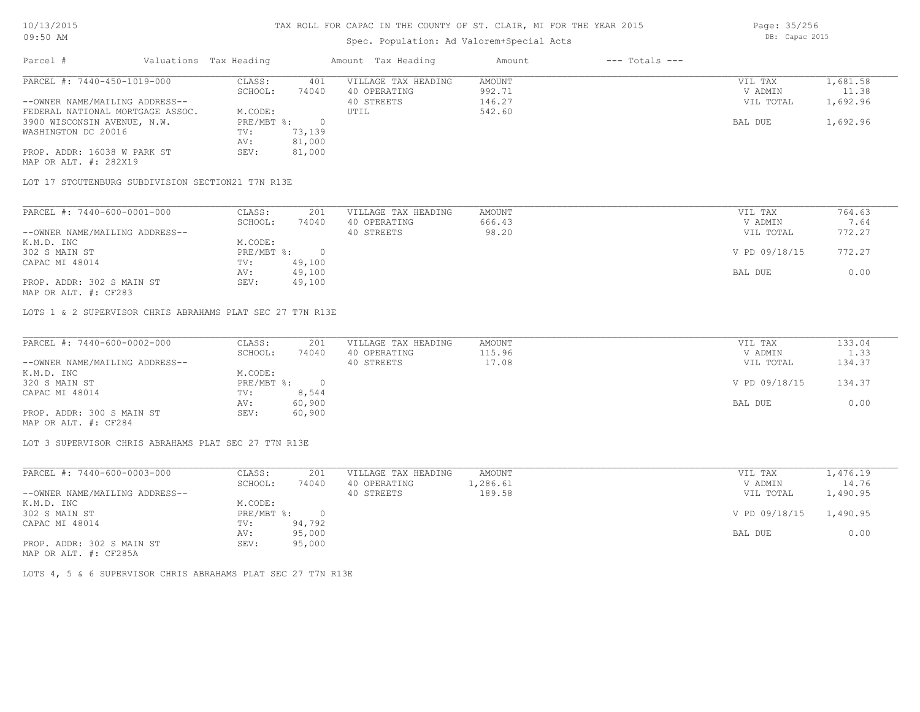## Spec. Population: Ad Valorem+Special Acts

Page: 35/256 DB: Capac 2015

| Parcel #                         | Valuations Tax Heading |        | Amount Tax Heading  | Amount | $---$ Totals $---$ |           |          |
|----------------------------------|------------------------|--------|---------------------|--------|--------------------|-----------|----------|
| PARCEL #: 7440-450-1019-000      | CLASS:                 | 401    | VILLAGE TAX HEADING | AMOUNT |                    | VIL TAX   | 1,681.58 |
|                                  | SCHOOL:                | 74040  | 40 OPERATING        | 992.71 |                    | V ADMIN   | 11.38    |
| --OWNER NAME/MAILING ADDRESS--   |                        |        | 40 STREETS          | 146.27 |                    | VIL TOTAL | 1,692.96 |
| FEDERAL NATIONAL MORTGAGE ASSOC. | M.CODE:                |        | UTIL                | 542.60 |                    |           |          |
| 3900 WISCONSIN AVENUE, N.W.      | $PRE/MBT$ %:           |        |                     |        |                    | BAL DUE   | 1,692.96 |
| WASHINGTON DC 20016              | TV:                    | 73,139 |                     |        |                    |           |          |
|                                  | AV:                    | 81,000 |                     |        |                    |           |          |
| PROP. ADDR: 16038 W PARK ST      | SEV:                   | 81,000 |                     |        |                    |           |          |
| MAP OR ALT. #: 282X19            |                        |        |                     |        |                    |           |          |

LOT 17 STOUTENBURG SUBDIVISION SECTION21 T7N R13E

| PARCEL #: 7440-600-0001-000    | CLASS:     | 201    | VILLAGE TAX HEADING | AMOUNT | VIL TAX       | 764.63 |
|--------------------------------|------------|--------|---------------------|--------|---------------|--------|
|                                | SCHOOL:    | 74040  | 40 OPERATING        | 666.43 | V ADMIN       | 7.64   |
| --OWNER NAME/MAILING ADDRESS-- |            |        | 40 STREETS          | 98.20  | VIL TOTAL     | 772.27 |
| K.M.D. INC                     | M.CODE:    |        |                     |        |               |        |
| 302 S MAIN ST                  | PRE/MBT %: |        |                     |        | V PD 09/18/15 | 772.27 |
| CAPAC MI 48014                 | TV:        | 49,100 |                     |        |               |        |
|                                | AV:        | 49,100 |                     |        | BAL DUE       | 0.00   |
| PROP. ADDR: 302 S MAIN ST      | SEV:       | 49,100 |                     |        |               |        |

MAP OR ALT. #: CF283

LOTS 1 & 2 SUPERVISOR CHRIS ABRAHAMS PLAT SEC 27 T7N R13E

| PARCEL #: 7440-600-0002-000    | CLASS:       | 201    | VILLAGE TAX HEADING | AMOUNT | VIL TAX       | 133.04 |
|--------------------------------|--------------|--------|---------------------|--------|---------------|--------|
|                                | SCHOOL:      | 74040  | 40 OPERATING        | 115.96 | V ADMIN       | 1.33   |
| --OWNER NAME/MAILING ADDRESS-- |              |        | 40 STREETS          | 17.08  | VIL TOTAL     | 134.37 |
| K.M.D. INC                     | M.CODE:      |        |                     |        |               |        |
| 320 S MAIN ST                  | $PRE/MBT$ %: |        |                     |        | V PD 09/18/15 | 134.37 |
| CAPAC MI 48014                 | TV:          | 8,544  |                     |        |               |        |
|                                | AV:          | 60,900 |                     |        | BAL DUE       | 0.00   |
| PROP. ADDR: 300 S MAIN ST      | SEV:         | 60,900 |                     |        |               |        |
| MAP OR ALT. #: CF284           |              |        |                     |        |               |        |

LOT 3 SUPERVISOR CHRIS ABRAHAMS PLAT SEC 27 T7N R13E

| PARCEL #: 7440-600-0003-000                                                        | CLASS:     | 201    | VILLAGE TAX HEADING | AMOUNT   | VIL TAX                | 1,476.19 |
|------------------------------------------------------------------------------------|------------|--------|---------------------|----------|------------------------|----------|
|                                                                                    | SCHOOL:    | 74040  | 40 OPERATING        | 1,286.61 | V ADMIN                | 14.76    |
| --OWNER NAME/MAILING ADDRESS--                                                     |            |        | 40 STREETS          | 189.58   | VIL TOTAL              | 1,490.95 |
| K.M.D. INC                                                                         | M.CODE:    |        |                     |          |                        |          |
| 302 S MAIN ST                                                                      | PRE/MBT %: |        |                     |          | V PD 09/18/15 1,490.95 |          |
| CAPAC MI 48014                                                                     | TV:        | 94,792 |                     |          |                        |          |
|                                                                                    | AV:        | 95,000 |                     |          | BAL DUE                | 0.00     |
| PROP. ADDR: 302 S MAIN ST<br>$\cdots$ $\cdots$ $\cdots$ $\cdots$ $\cdots$ $\cdots$ | SEV:       | 95,000 |                     |          |                        |          |

MAP OR ALT. #: CF285A

LOTS 4, 5 & 6 SUPERVISOR CHRIS ABRAHAMS PLAT SEC 27 T7N R13E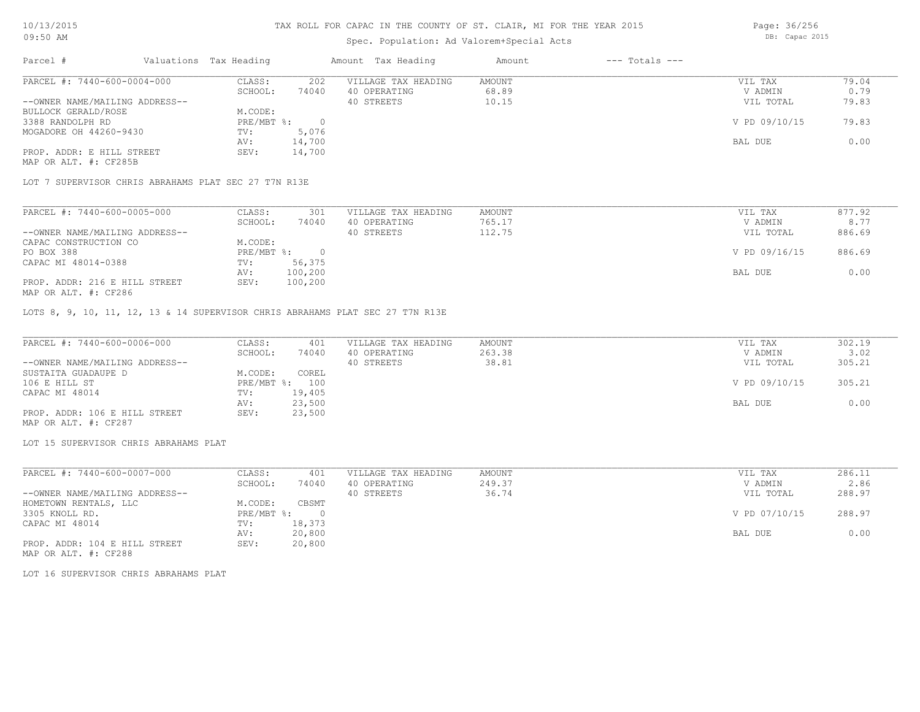## Spec. Population: Ad Valorem+Special Acts

Parcel # Valuations Tax Heading Amount Tax Heading Amount --- Totals ---PROP. ADDR: E HILL STREET SEV: 14,700 AV: 14,700 BAL DUE 0.00 MOGADORE OH 44260-9430 TV: 5,076<br>AV: 14,700 3388 RANDOLPH RD PRE/MBT %: 0 V PD 09/10/15 79.83 BULLOCK GERALD/ROSE M.CODE:<br>3388 RANDOLPH RD PRE/MBT %: --OWNER NAME/MAILING ADDRESS-- 40 STREETS 40 STREETS 10.15 10.15 VIL TOTAL 79.83 SCHOOL: 74040 40 OPERATING 68.89 V ADMIN 0.79 PARCEL #: 7440-600-0004-000 CLASS: 202 VILLAGE TAX HEADING AMOUNT VIL TAX VIL TAX 79.04 SCHOOL: 74040 40 OPERATING 68.89 V ADMIN 0.79  $\mathcal{L}_\mathcal{L} = \mathcal{L}_\mathcal{L} = \mathcal{L}_\mathcal{L} = \mathcal{L}_\mathcal{L} = \mathcal{L}_\mathcal{L} = \mathcal{L}_\mathcal{L} = \mathcal{L}_\mathcal{L} = \mathcal{L}_\mathcal{L} = \mathcal{L}_\mathcal{L} = \mathcal{L}_\mathcal{L} = \mathcal{L}_\mathcal{L} = \mathcal{L}_\mathcal{L} = \mathcal{L}_\mathcal{L} = \mathcal{L}_\mathcal{L} = \mathcal{L}_\mathcal{L} = \mathcal{L}_\mathcal{L} = \mathcal{L}_\mathcal{L}$ 

MAP OR ALT. #: CF285B

LOT 7 SUPERVISOR CHRIS ABRAHAMS PLAT SEC 27 T7N R13E

| PARCEL #: 7440-600-0005-000    | CLASS:     | 301     | VILLAGE TAX HEADING | AMOUNT | VIL TAX       | 877.92 |
|--------------------------------|------------|---------|---------------------|--------|---------------|--------|
|                                | SCHOOL:    | 74040   | 40 OPERATING        | 765.17 | V ADMIN       | 8.77   |
| --OWNER NAME/MAILING ADDRESS-- |            |         | 40 STREETS          | 112.75 | VIL TOTAL     | 886.69 |
| CAPAC CONSTRUCTION CO          | M.CODE:    |         |                     |        |               |        |
| PO BOX 388                     | PRE/MBT %: |         |                     |        | V PD 09/16/15 | 886.69 |
| CAPAC MI 48014-0388            | TV:        | 56,375  |                     |        |               |        |
|                                | AV:        | 100,200 |                     |        | BAL DUE       | 0.00   |
| PROP. ADDR: 216 E HILL STREET  | SEV:       | 100,200 |                     |        |               |        |
| MAP OR ALT. #: CF286           |            |         |                     |        |               |        |

LOTS 8, 9, 10, 11, 12, 13 & 14 SUPERVISOR CHRIS ABRAHAMS PLAT SEC 27 T7N R13E

| PARCEL #: 7440-600-0006-000    | CLASS:  | 401            | VILLAGE TAX HEADING | AMOUNT | VIL TAX       | 302.19 |
|--------------------------------|---------|----------------|---------------------|--------|---------------|--------|
|                                | SCHOOL: | 74040          | 40 OPERATING        | 263.38 | V ADMIN       | 3.02   |
| --OWNER NAME/MAILING ADDRESS-- |         |                | 40 STREETS          | 38.81  | VIL TOTAL     | 305.21 |
| SUSTAITA GUADAUPE D            | M.CODE: | COREL          |                     |        |               |        |
| 106 E HILL ST                  |         | PRE/MBT %: 100 |                     |        | V PD 09/10/15 | 305.21 |
| CAPAC MI 48014                 | TV:     | 19,405         |                     |        |               |        |
|                                | AV:     | 23,500         |                     |        | BAL DUE       | 0.00   |
| PROP. ADDR: 106 E HILL STREET  | SEV:    | 23,500         |                     |        |               |        |
| MAP OR ALT. #: CF287           |         |                |                     |        |               |        |

LOT 15 SUPERVISOR CHRIS ABRAHAMS PLAT

| PARCEL #: 7440-600-0007-000    | CLASS:     | 401    | VILLAGE TAX HEADING | AMOUNT | VIL TAX       | 286.11 |
|--------------------------------|------------|--------|---------------------|--------|---------------|--------|
|                                | SCHOOL:    | 74040  | 40 OPERATING        | 249.37 | V ADMIN       | 2.86   |
| --OWNER NAME/MAILING ADDRESS-- |            |        | 40 STREETS          | 36.74  | VIL TOTAL     | 288.97 |
| HOMETOWN RENTALS, LLC          | M.CODE:    | CBSMT  |                     |        |               |        |
| 3305 KNOLL RD.                 | PRE/MBT %: | $\Box$ |                     |        | V PD 07/10/15 | 288.97 |
| CAPAC MI 48014                 | TV:        | 18,373 |                     |        |               |        |
|                                | AV:        | 20,800 |                     |        | BAL DUE       | 0.00   |
| PROP. ADDR: 104 E HILL STREET  | SEV:       | 20,800 |                     |        |               |        |

MAP OR ALT. #: CF288

LOT 16 SUPERVISOR CHRIS ABRAHAMS PLAT

Page: 36/256 DB: Capac 2015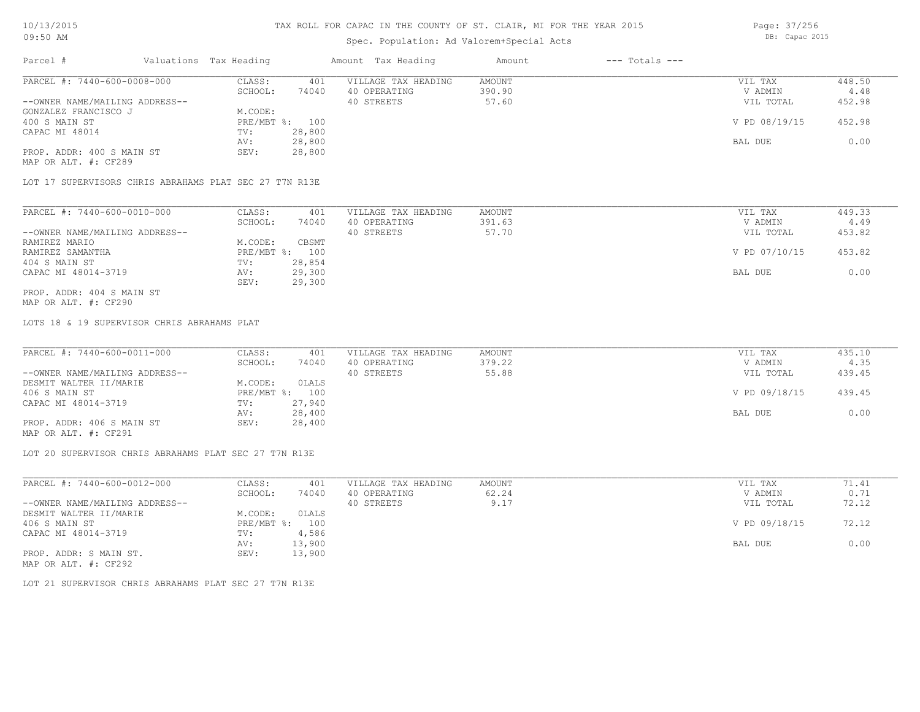# Spec. Population: Ad Valorem+Special Acts

| Parcel #                       | Valuations Tax Heading |                | Amount Tax Heading  | Amount | $---$ Totals $---$ |               |        |
|--------------------------------|------------------------|----------------|---------------------|--------|--------------------|---------------|--------|
| PARCEL #: 7440-600-0008-000    | CLASS:                 | 401            | VILLAGE TAX HEADING | AMOUNT |                    | VIL TAX       | 448.50 |
|                                | SCHOOL:                | 74040          | 40 OPERATING        | 390.90 |                    | V ADMIN       | 4.48   |
| --OWNER NAME/MAILING ADDRESS-- |                        |                | 40 STREETS          | 57.60  |                    | VIL TOTAL     | 452.98 |
| GONZALEZ FRANCISCO J           | M.CODE:                |                |                     |        |                    |               |        |
| 400 S MAIN ST                  |                        | PRE/MBT %: 100 |                     |        |                    | V PD 08/19/15 | 452.98 |
| CAPAC MI 48014                 | TV:                    | 28,800         |                     |        |                    |               |        |
|                                | AV:                    | 28,800         |                     |        |                    | BAL DUE       | 0.00   |
| PROP. ADDR: 400 S MAIN ST      | SEV:                   | 28,800         |                     |        |                    |               |        |
|                                |                        |                |                     |        |                    |               |        |

MAP OR ALT. #: CF289

LOT 17 SUPERVISORS CHRIS ABRAHAMS PLAT SEC 27 T7N R13E

| PARCEL #: 7440-600-0010-000    | CLASS:       | 401    | VILLAGE TAX HEADING | AMOUNT | VIL TAX       | 449.33 |
|--------------------------------|--------------|--------|---------------------|--------|---------------|--------|
|                                | SCHOOL:      | 74040  | 40 OPERATING        | 391.63 | V ADMIN       | 4.49   |
| --OWNER NAME/MAILING ADDRESS-- |              |        | 40 STREETS          | 57.70  | VIL TOTAL     | 453.82 |
| RAMIREZ MARIO                  | M.CODE:      | CBSMT  |                     |        |               |        |
| RAMIREZ SAMANTHA               | $PRE/MBT$ %: | 100    |                     |        | V PD 07/10/15 | 453.82 |
| 404 S MAIN ST                  | TV:          | 28,854 |                     |        |               |        |
| CAPAC MI 48014-3719            | AV:          | 29,300 |                     |        | BAL DUE       | 0.00   |
|                                | SEV:         | 29,300 |                     |        |               |        |
| PROP. ADDR: 404 S MAIN ST      |              |        |                     |        |               |        |

MAP OR ALT. #: CF290

LOTS 18 & 19 SUPERVISOR CHRIS ABRAHAMS PLAT

| PARCEL #: 7440-600-0011-000    | CLASS:  | 401            | VILLAGE TAX HEADING | AMOUNT | VIL TAX       | 435.10 |
|--------------------------------|---------|----------------|---------------------|--------|---------------|--------|
|                                | SCHOOL: | 74040          | 40 OPERATING        | 379.22 | V ADMIN       | 4.35   |
| --OWNER NAME/MAILING ADDRESS-- |         |                | 40 STREETS          | 55.88  | VIL TOTAL     | 439.45 |
| DESMIT WALTER II/MARIE         | M.CODE: | OLALS          |                     |        |               |        |
| 406 S MAIN ST                  |         | PRE/MBT %: 100 |                     |        | V PD 09/18/15 | 439.45 |
| CAPAC MI 48014-3719            | TV:     | 27,940         |                     |        |               |        |
|                                | AV:     | 28,400         |                     |        | BAL DUE       | 0.00   |
| PROP. ADDR: 406 S MAIN ST      | SEV:    | 28,400         |                     |        |               |        |
| MAP OR ALT. #: CF291           |         |                |                     |        |               |        |

LOT 20 SUPERVISOR CHRIS ABRAHAMS PLAT SEC 27 T7N R13E

| PARCEL #: 7440-600-0012-000    | CLASS:       | 401    | VILLAGE TAX HEADING | AMOUNT | VIL TAX       | 71.41 |
|--------------------------------|--------------|--------|---------------------|--------|---------------|-------|
|                                | SCHOOL:      | 74040  | 40 OPERATING        | 62.24  | V ADMIN       | 0.71  |
| --OWNER NAME/MAILING ADDRESS-- |              |        | 40 STREETS          | 9.17   | VIL TOTAL     | 72.12 |
| DESMIT WALTER II/MARIE         | M.CODE:      | OLALS  |                     |        |               |       |
| 406 S MAIN ST                  | $PRE/MBT$ %: | 100    |                     |        | V PD 09/18/15 | 72.12 |
| CAPAC MI 48014-3719            | TV:          | 4,586  |                     |        |               |       |
|                                | AV:          | 13,900 |                     |        | BAL DUE       | 0.00  |
| PROP. ADDR: S MAIN ST.         | SEV:         | 13,900 |                     |        |               |       |
| MAP OR ALT. #: CF292           |              |        |                     |        |               |       |

LOT 21 SUPERVISOR CHRIS ABRAHAMS PLAT SEC 27 T7N R13E

Page: 37/256 DB: Capac 2015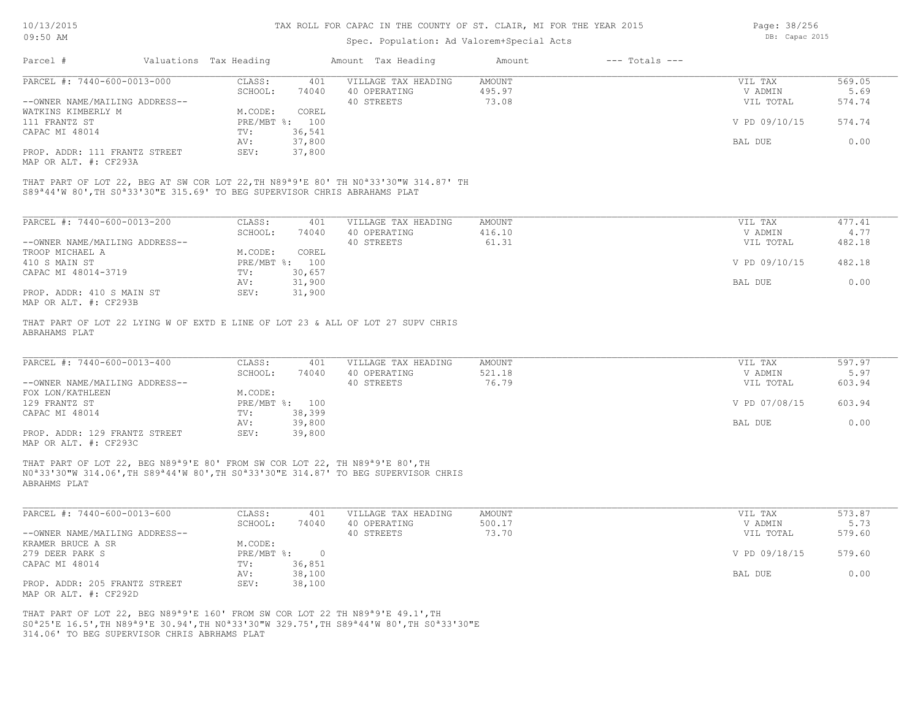| 10/13/2015                                                                                                                                                                                                |                        |                  | TAX ROLL FOR CAPAC IN THE COUNTY OF ST. CLAIR, MI FOR THE YEAR 2015 | Page: 38/256     |                    |                    |        |
|-----------------------------------------------------------------------------------------------------------------------------------------------------------------------------------------------------------|------------------------|------------------|---------------------------------------------------------------------|------------------|--------------------|--------------------|--------|
| 09:50 AM                                                                                                                                                                                                  |                        |                  | Spec. Population: Ad Valorem+Special Acts                           |                  |                    | DB: Capac 2015     |        |
| Parcel #                                                                                                                                                                                                  | Valuations Tax Heading |                  | Amount Tax Heading                                                  | Amount           | $---$ Totals $---$ |                    |        |
| PARCEL #: 7440-600-0013-000                                                                                                                                                                               | CLASS:                 | 401              | VILLAGE TAX HEADING                                                 | AMOUNT           |                    | VIL TAX            | 569.05 |
|                                                                                                                                                                                                           | SCHOOL:                | 74040            | 40 OPERATING                                                        | 495.97           |                    | V ADMIN            | 5.69   |
| --OWNER NAME/MAILING ADDRESS--                                                                                                                                                                            |                        |                  | 40 STREETS                                                          | 73.08            |                    | VIL TOTAL          | 574.74 |
| WATKINS KIMBERLY M                                                                                                                                                                                        | M.CODE:                | COREL            |                                                                     |                  |                    |                    |        |
| 111 FRANTZ ST                                                                                                                                                                                             | PRE/MBT %: 100         |                  |                                                                     |                  |                    | V PD 09/10/15      | 574.74 |
|                                                                                                                                                                                                           |                        | 36,541           |                                                                     |                  |                    |                    |        |
| CAPAC MI 48014                                                                                                                                                                                            | TV:                    |                  |                                                                     |                  |                    |                    | 0.00   |
| PROP. ADDR: 111 FRANTZ STREET                                                                                                                                                                             | AV:<br>SEV:            | 37,800<br>37,800 |                                                                     |                  |                    | BAL DUE            |        |
| MAP OR ALT. #: CF293A                                                                                                                                                                                     |                        |                  |                                                                     |                  |                    |                    |        |
| S89 <sup>ª</sup> 44'W 80', TH S0 <sup>ª</sup> 33'30"E 315.69' TO BEG SUPERVISOR CHRIS ABRAHAMS PLAT<br>PARCEL #: 7440-600-0013-200                                                                        | CLASS:                 |                  | VILLAGE TAX HEADING                                                 |                  |                    |                    | 477.41 |
|                                                                                                                                                                                                           | SCHOOL:                | 401<br>74040     | 40 OPERATING                                                        | AMOUNT<br>416.10 |                    | VIL TAX<br>V ADMIN | 4.77   |
| --OWNER NAME/MAILING ADDRESS--                                                                                                                                                                            |                        |                  | 40 STREETS                                                          | 61.31            |                    | VIL TOTAL          | 482.18 |
| TROOP MICHAEL A                                                                                                                                                                                           | M.CODE:                | COREL            |                                                                     |                  |                    |                    |        |
| 410 S MAIN ST                                                                                                                                                                                             | PRE/MBT %: 100         |                  |                                                                     |                  |                    | V PD 09/10/15      | 482.18 |
| CAPAC MI 48014-3719                                                                                                                                                                                       | TV:                    | 30,657           |                                                                     |                  |                    |                    |        |
|                                                                                                                                                                                                           | AV:                    | 31,900           |                                                                     |                  |                    | BAL DUE            | 0.00   |
| PROP. ADDR: 410 S MAIN ST                                                                                                                                                                                 | SEV:                   | 31,900           |                                                                     |                  |                    |                    |        |
| MAP OR ALT. #: CF293B                                                                                                                                                                                     |                        |                  |                                                                     |                  |                    |                    |        |
| THAT PART OF LOT 22 LYING W OF EXTD E LINE OF LOT 23 & ALL OF LOT 27 SUPV CHRIS<br>ABRAHAMS PLAT<br>PARCEL #: 7440-600-0013-400                                                                           | CLASS:                 | 401              | VILLAGE TAX HEADING                                                 | AMOUNT           |                    | VIL TAX            | 597.97 |
|                                                                                                                                                                                                           | SCHOOL:                | 74040            | 40 OPERATING                                                        | 521.18           |                    | V ADMIN            | 5.97   |
| --OWNER NAME/MAILING ADDRESS--                                                                                                                                                                            |                        |                  | 40 STREETS                                                          | 76.79            |                    | VIL TOTAL          | 603.94 |
| FOX LON/KATHLEEN                                                                                                                                                                                          | M.CODE:                |                  |                                                                     |                  |                    |                    |        |
| 129 FRANTZ ST                                                                                                                                                                                             | PRE/MBT %: 100         |                  |                                                                     |                  |                    | V PD 07/08/15      | 603.94 |
| CAPAC MI 48014                                                                                                                                                                                            | TV:                    | 38,399           |                                                                     |                  |                    |                    |        |
|                                                                                                                                                                                                           | AV:                    | 39,800           |                                                                     |                  |                    | BAL DUE            | 0.00   |
| PROP. ADDR: 129 FRANTZ STREET<br>MAP OR ALT. #: CF293C                                                                                                                                                    | SEV:                   | 39,800           |                                                                     |                  |                    |                    |        |
| THAT PART OF LOT 22, BEG N89 <sup>ª9'E</sup> 80' FROM SW COR LOT 22, TH N89 <sup>ª9'E</sup> 80', TH<br>NO*33'30"W 314.06', TH S89*44'W 80', TH S0*33'30"E 314.87' TO BEG SUPERVISOR CHRIS<br>ABRAHMS PLAT |                        |                  |                                                                     |                  |                    |                    |        |
| PARCEL #: 7440-600-0013-600                                                                                                                                                                               | CLASS:                 | 401              | VILLAGE TAX HEADING                                                 | AMOUNT           |                    | VIL TAX            | 573.87 |
|                                                                                                                                                                                                           | SCHOOL:                | 74040            | 40 OPERATING                                                        | 500.17           |                    | V ADMIN            | 5.73   |
| --OWNER NAME/MAILING ADDRESS--                                                                                                                                                                            |                        |                  | 40 STREETS                                                          | 73.70            |                    | VIL TOTAL          | 579.60 |
| KRAMER BRUCE A SR                                                                                                                                                                                         | M.CODE:                |                  |                                                                     |                  |                    |                    |        |
| 279 DEER PARK S                                                                                                                                                                                           | PRE/MBT %:             | $\overline{0}$   |                                                                     |                  |                    | V PD 09/18/15      | 579.60 |
| CAPAC MI 48014                                                                                                                                                                                            | TV:                    | 36,851           |                                                                     |                  |                    |                    |        |
|                                                                                                                                                                                                           | AV:                    | 38,100           |                                                                     |                  |                    | BAL DUE            | 0.00   |
| PROP. ADDR: 205 FRANTZ STREET                                                                                                                                                                             | SEV:                   | 38,100           |                                                                     |                  |                    |                    |        |
|                                                                                                                                                                                                           |                        |                  |                                                                     |                  |                    |                    |        |

MAP OR ALT. #: CF292D

314.06' TO BEG SUPERVISOR CHRIS ABRHAMS PLAT S0ª25'E 16.5',TH N89ª9'E 30.94',TH N0ª33'30"W 329.75',TH S89ª44'W 80',TH S0ª33'30"E THAT PART OF LOT 22, BEG N89ª9'E 160' FROM SW COR LOT 22 TH N89ª9'E 49.1',TH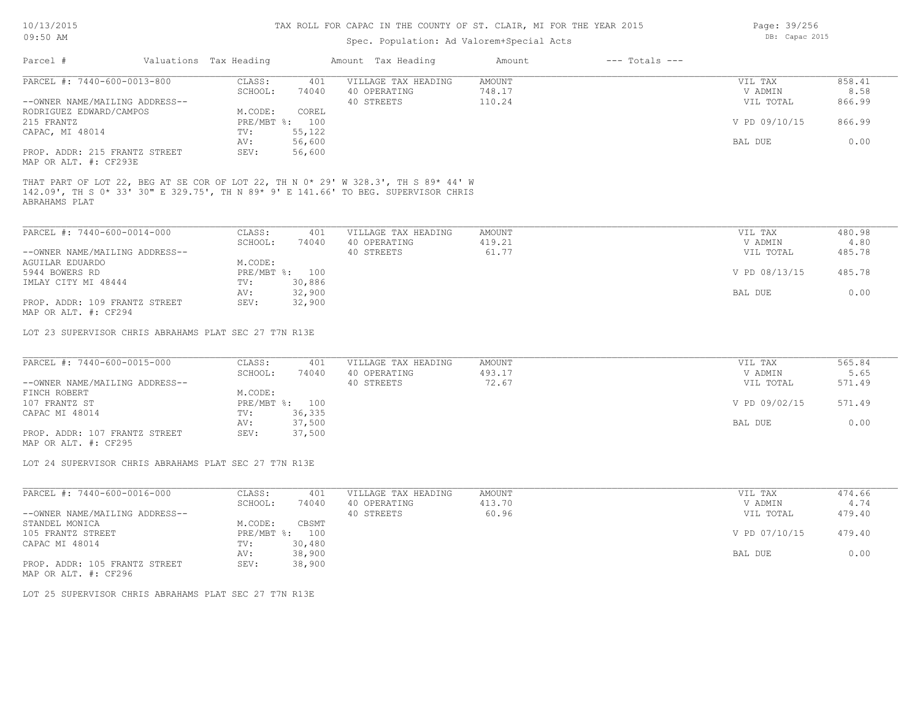| 09:50 AM                                                                                            |                           | Spec. Population: Ad Valorem+Special Acts | DB: Capac 2015 |                    |               |        |
|-----------------------------------------------------------------------------------------------------|---------------------------|-------------------------------------------|----------------|--------------------|---------------|--------|
| Parcel #                                                                                            | Valuations Tax Heading    | Amount Tax Heading                        | Amount         | $---$ Totals $---$ |               |        |
| PARCEL #: 7440-600-0013-800                                                                         | CLASS:                    | VILLAGE TAX HEADING<br>401                | <b>AMOUNT</b>  |                    | VIL TAX       | 858.41 |
|                                                                                                     | SCHOOL:<br>74040          | 40 OPERATING                              | 748.17         |                    | V ADMIN       | 8.58   |
| --OWNER NAME/MAILING ADDRESS--                                                                      |                           | 40 STREETS                                | 110.24         |                    | VIL TOTAL     | 866.99 |
| RODRIGUEZ EDWARD/CAMPOS                                                                             | M.CODE:<br>COREL          |                                           |                |                    |               |        |
| 215 FRANTZ                                                                                          | PRE/MBT %: 100            |                                           |                |                    | V PD 09/10/15 | 866.99 |
| CAPAC, MI 48014                                                                                     | 55,122<br>TV:             |                                           |                |                    |               |        |
|                                                                                                     | 56,600<br>AV:             |                                           |                |                    | BAL DUE       | 0.00   |
| PROP. ADDR: 215 FRANTZ STREET<br>MAP OR ALT. #: CF293E                                              | 56,600<br>SEV:            |                                           |                |                    |               |        |
| 142.09', TH S 0* 33' 30" E 329.75', TH N 89* 9' E 141.66' TO BEG. SUPERVISOR CHRIS<br>ABRAHAMS PLAT |                           |                                           |                |                    |               |        |
| PARCEL #: 7440-600-0014-000                                                                         | CLASS:                    | 401<br>VILLAGE TAX HEADING                | AMOUNT         |                    | VIL TAX       | 480.98 |
|                                                                                                     | SCHOOL:                   | 74040<br>40 OPERATING                     | 419.21         |                    | V ADMIN       | 4.80   |
| --OWNER NAME/MAILING ADDRESS--                                                                      |                           | 40 STREETS                                | 61.77          |                    | VIL TOTAL     | 485.78 |
| AGUILAR EDUARDO                                                                                     | M.CODE:                   |                                           |                |                    |               |        |
| 5944 BOWERS RD                                                                                      | PRE/MBT %: 100            |                                           |                |                    | V PD 08/13/15 | 485.78 |
| IMLAY CITY MI 48444                                                                                 | 30,886<br>$\texttt{TV}$ : |                                           |                |                    |               |        |
|                                                                                                     | 32,900<br>AV:             |                                           |                |                    | BAL DUE       | 0.00   |
| PROP. ADDR: 109 FRANTZ STREET<br>MAP OR ALT. #: CF294                                               | 32,900<br>SEV:            |                                           |                |                    |               |        |
| LOT 23 SUPERVISOR CHRIS ABRAHAMS PLAT SEC 27 T7N R13E                                               |                           |                                           |                |                    |               |        |
| PARCEL #: 7440-600-0015-000                                                                         | CLASS:                    | VILLAGE TAX HEADING<br>401                | AMOUNT         |                    | VIL TAX       | 565.84 |
|                                                                                                     | 74040<br>SCHOOL:          | 40 OPERATING                              | 493.17         |                    | V ADMIN       | 5.65   |
| --OWNER NAME/MAILING ADDRESS--                                                                      |                           | 40 STREETS                                | 72.67          |                    | VIL TOTAL     | 571.49 |
| FINCH ROBERT                                                                                        | M.CODE:                   |                                           |                |                    |               |        |
| 107 FRANTZ ST                                                                                       | PRE/MBT %: 100            |                                           |                |                    | V PD 09/02/15 | 571.49 |
| CAPAC MI 48014                                                                                      | 36,335<br>TV:             |                                           |                |                    |               |        |
|                                                                                                     | 37,500<br>AV:             |                                           |                |                    | BAL DUE       | 0.00   |
| PROP. ADDR: 107 FRANTZ STREET                                                                       | 37,500<br>SEV:            |                                           |                |                    |               |        |
| MAP OR ALT. #: CF295                                                                                |                           |                                           |                |                    |               |        |
|                                                                                                     |                           |                                           |                |                    |               |        |
|                                                                                                     |                           |                                           |                |                    |               |        |

LOT 24 SUPERVISOR CHRIS ABRAHAMS PLAT SEC 27 T7N R13E

| PARCEL #: 7440-600-0016-000    | CLASS:                    | 401    | VILLAGE TAX HEADING | AMOUNT | VIL TAX       | 474.66 |
|--------------------------------|---------------------------|--------|---------------------|--------|---------------|--------|
|                                | SCHOOL:                   | 74040  | 40 OPERATING        | 413.70 | V ADMIN       | 4.74   |
| --OWNER NAME/MAILING ADDRESS-- |                           |        | 40 STREETS          | 60.96  | VIL TOTAL     | 479.40 |
| STANDEL MONICA                 | M.CODE:                   | CBSMT  |                     |        |               |        |
| 105 FRANTZ STREET              | $PRE/MBT$ $\frac{1}{6}$ : | 100    |                     |        | V PD 07/10/15 | 479.40 |
| CAPAC MI 48014                 | TV:                       | 30,480 |                     |        |               |        |
|                                | AV:                       | 38,900 |                     |        | BAL DUE       | 0.00   |
| PROP. ADDR: 105 FRANTZ STREET  | SEV:                      | 38,900 |                     |        |               |        |
| MAP OR ALT. #: CF296           |                           |        |                     |        |               |        |

LOT 25 SUPERVISOR CHRIS ABRAHAMS PLAT SEC 27 T7N R13E

Page: 39/256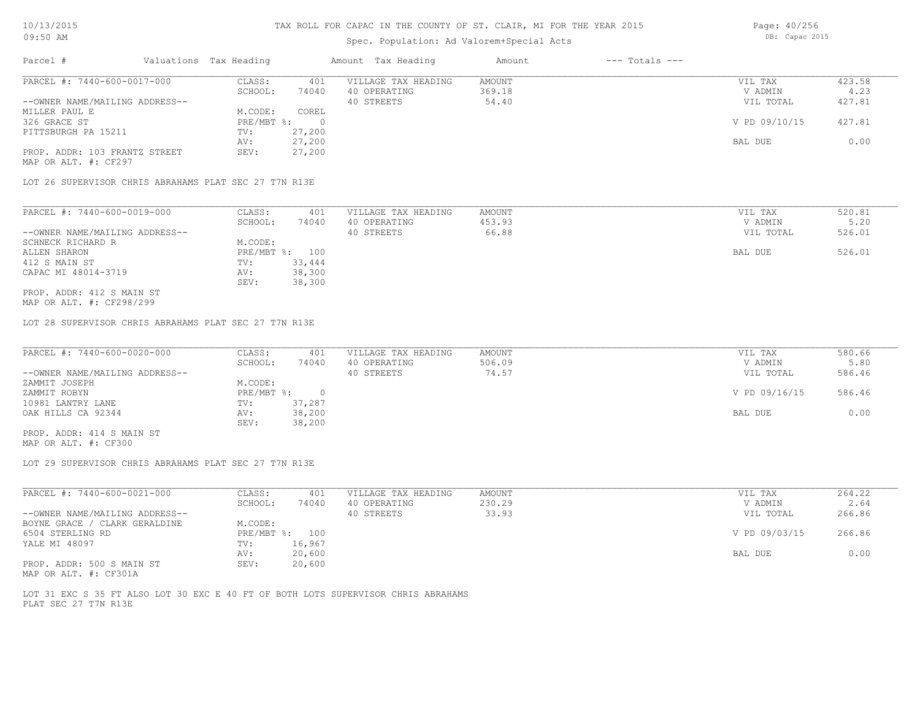# Spec. Population: Ad Valorem+Special Acts

| Parcel #                       | Valuations Tax Heading |        | Amount Tax Heading  | Amount | $---$ Totals $---$ |               |        |
|--------------------------------|------------------------|--------|---------------------|--------|--------------------|---------------|--------|
| PARCEL #: 7440-600-0017-000    | CLASS:                 | 401    | VILLAGE TAX HEADING | AMOUNT |                    | VIL TAX       | 423.58 |
|                                | SCHOOL:                | 74040  | 40 OPERATING        | 369.18 |                    | V ADMIN       | 4.23   |
| --OWNER NAME/MAILING ADDRESS-- |                        |        | 40 STREETS          | 54.40  |                    | VIL TOTAL     | 427.81 |
| MILLER PAUL E                  | M.CODE:                | COREL  |                     |        |                    |               |        |
| 326 GRACE ST                   | PRE/MBT %:             |        |                     |        |                    | V PD 09/10/15 | 427.81 |
| PITTSBURGH PA 15211            | TV:                    | 27,200 |                     |        |                    |               |        |
|                                | AV:                    | 27,200 |                     |        |                    | BAL DUE       | 0.00   |

MAP OR ALT. #: CF297 PROP. ADDR: 103 FRANTZ STREET SEV: 27,200

LOT 26 SUPERVISOR CHRIS ABRAHAMS PLAT SEC 27 T7N R13E

| PARCEL #: 7440-600-0019-000    | CLASS:  | 401            | VILLAGE TAX HEADING | AMOUNT | VIL TAX   | 520.81 |
|--------------------------------|---------|----------------|---------------------|--------|-----------|--------|
|                                | SCHOOL: | 74040          | 40 OPERATING        | 453.93 | V ADMIN   | 5.20   |
| --OWNER NAME/MAILING ADDRESS-- |         |                | 40 STREETS          | 66.88  | VIL TOTAL | 526.01 |
| SCHNECK RICHARD R              | M.CODE: |                |                     |        |           |        |
| ALLEN SHARON                   |         | PRE/MBT %: 100 |                     |        | BAL DUE   | 526.01 |
| 412 S MAIN ST                  | TV:     | 33,444         |                     |        |           |        |
| CAPAC MI 48014-3719            | AV:     | 38,300         |                     |        |           |        |
|                                | SEV:    | 38,300         |                     |        |           |        |
| PROP. ADDR: 412 S MAIN ST      |         |                |                     |        |           |        |

AV: 27,200 BAL DUE 0.00

MAP OR ALT. #: CF298/299

LOT 28 SUPERVISOR CHRIS ABRAHAMS PLAT SEC 27 T7N R13E

| PARCEL #: 7440-600-0020-000    | CLASS:     | 401    | VILLAGE TAX HEADING | AMOUNT | VIL TAX       | 580.66 |
|--------------------------------|------------|--------|---------------------|--------|---------------|--------|
|                                | SCHOOL:    | 74040  | 40 OPERATING        | 506.09 | V ADMIN       | 5.80   |
| --OWNER NAME/MAILING ADDRESS-- |            |        | 40 STREETS          | 74.57  | VIL TOTAL     | 586.46 |
| ZAMMIT JOSEPH                  | M.CODE:    |        |                     |        |               |        |
| ZAMMIT ROBYN                   | PRE/MBT %: |        |                     |        | V PD 09/16/15 | 586.46 |
| 10981 LANTRY LANE              | TV:        | 37,287 |                     |        |               |        |
| OAK HILLS CA 92344             | AV:        | 38,200 |                     |        | BAL DUE       | 0.00   |
|                                | SEV:       | 38,200 |                     |        |               |        |
| PROP. ADDR: 414 S MAIN ST      |            |        |                     |        |               |        |

MAP OR ALT. #: CF300

LOT 29 SUPERVISOR CHRIS ABRAHAMS PLAT SEC 27 T7N R13E

| PARCEL #: 7440-600-0021-000    | CLASS:     | 401    | VILLAGE TAX HEADING | AMOUNT | VIL TAX       | 264.22 |
|--------------------------------|------------|--------|---------------------|--------|---------------|--------|
|                                | SCHOOL:    | 74040  | 40 OPERATING        | 230.29 | V ADMIN       | 2.64   |
| --OWNER NAME/MAILING ADDRESS-- |            |        | 40 STREETS          | 33.93  | VIL TOTAL     | 266.86 |
| BOYNE GRACE / CLARK GERALDINE  | M.CODE:    |        |                     |        |               |        |
| 6504 STERLING RD               | PRE/MBT %: | 100    |                     |        | V PD 09/03/15 | 266.86 |
| YALE MI 48097                  | TV:        | 16,967 |                     |        |               |        |
|                                | AV:        | 20,600 |                     |        | BAL DUE       | 0.00   |
| PROP. ADDR: 500 S MAIN ST      | SEV:       | 20,600 |                     |        |               |        |

MAP OR ALT. #: CF301A

PLAT SEC 27 T7N R13E LOT 31 EXC S 35 FT ALSO LOT 30 EXC E 40 FT OF BOTH LOTS SUPERVISOR CHRIS ABRAHAMS Page: 40/256 DB: Capac 2015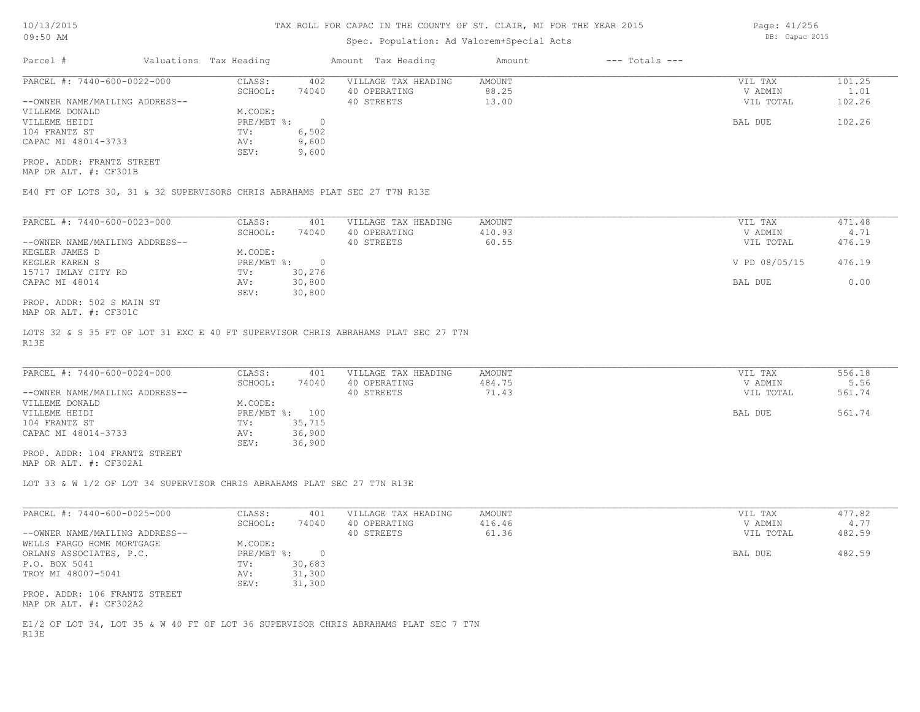## Spec. Population: Ad Valorem+Special Acts

| Parcel #                       | Valuations Tax Heading |       | Amount Tax Heading  | Amount | $---$ Totals $---$ |           |        |
|--------------------------------|------------------------|-------|---------------------|--------|--------------------|-----------|--------|
| PARCEL #: 7440-600-0022-000    | CLASS:                 | 402   | VILLAGE TAX HEADING | AMOUNT |                    | VIL TAX   | 101.25 |
|                                | SCHOOL:                | 74040 | 40 OPERATING        | 88.25  |                    | V ADMIN   | 1.01   |
| --OWNER NAME/MAILING ADDRESS-- |                        |       | 40 STREETS          | 13.00  |                    | VIL TOTAL | 102.26 |
| VILLEME DONALD                 | M.CODE:                |       |                     |        |                    |           |        |
| VILLEME HEIDI                  | PRE/MBT %:             |       |                     |        |                    | BAL DUE   | 102.26 |
| 104 FRANTZ ST                  | TV:                    | 6,502 |                     |        |                    |           |        |
| CAPAC MI 48014-3733            | AV:                    | 9,600 |                     |        |                    |           |        |
|                                | SEV:                   | 9,600 |                     |        |                    |           |        |

MAP OR ALT. #: CF301B PROP. ADDR: FRANTZ STREET

E40 FT OF LOTS 30, 31 & 32 SUPERVISORS CHRIS ABRAHAMS PLAT SEC 27 T7N R13E

| PARCEL #: 7440-600-0023-000    | CLASS:     | 401    | VILLAGE TAX HEADING | AMOUNT | VIL TAX       | 471.48 |
|--------------------------------|------------|--------|---------------------|--------|---------------|--------|
|                                | SCHOOL:    | 74040  | 40 OPERATING        | 410.93 | V ADMIN       | 4.71   |
| --OWNER NAME/MAILING ADDRESS-- |            |        | 40 STREETS          | 60.55  | VIL TOTAL     | 476.19 |
| KEGLER JAMES D                 | M.CODE:    |        |                     |        |               |        |
| KEGLER KAREN S                 | PRE/MBT %: |        |                     |        | V PD 08/05/15 | 476.19 |
| 15717 IMLAY CITY RD            | TV:        | 30,276 |                     |        |               |        |
| CAPAC MI 48014                 | AV:        | 30,800 |                     |        | BAL DUE       | 0.00   |
|                                | SEV:       | 30,800 |                     |        |               |        |
| PROP. ADDR: 502 S MAIN ST      |            |        |                     |        |               |        |

MAP OR ALT. #: CF301C

R13E LOTS 32 & S 35 FT OF LOT 31 EXC E 40 FT SUPERVISOR CHRIS ABRAHAMS PLAT SEC 27 T7N

| PARCEL #: 7440-600-0024-000    | CLASS:       | 401    | VILLAGE TAX HEADING | AMOUNT | VIL TAX   | 556.18 |
|--------------------------------|--------------|--------|---------------------|--------|-----------|--------|
|                                | SCHOOL:      | 74040  | 40 OPERATING        | 484.75 | V ADMIN   | 5.56   |
| --OWNER NAME/MAILING ADDRESS-- |              |        | 40 STREETS          | 71.43  | VIL TOTAL | 561.74 |
| VILLEME DONALD                 | M.CODE:      |        |                     |        |           |        |
| VILLEME HEIDI                  | $PRE/MBT$ %: | 100    |                     |        | BAL DUE   | 561.74 |
| 104 FRANTZ ST                  | TV:          | 35,715 |                     |        |           |        |
| CAPAC MI 48014-3733            | AV:          | 36,900 |                     |        |           |        |
|                                | SEV:         | 36,900 |                     |        |           |        |
| PROP. ADDR: 104 FRANTZ STREET  |              |        |                     |        |           |        |

MAP OR ALT. #: CF302A1

LOT 33 & W 1/2 OF LOT 34 SUPERVISOR CHRIS ABRAHAMS PLAT SEC 27 T7N R13E

| PARCEL #: 7440-600-0025-000                             | CLASS:       | 401    | VILLAGE TAX HEADING | AMOUNT | VIL TAX   | 477.82 |
|---------------------------------------------------------|--------------|--------|---------------------|--------|-----------|--------|
|                                                         | SCHOOL:      | 74040  | 40 OPERATING        | 416.46 | V ADMIN   | 4.77   |
| --OWNER NAME/MAILING ADDRESS--                          |              |        | 40 STREETS          | 61.36  | VIL TOTAL | 482.59 |
| WELLS FARGO HOME MORTGAGE                               | M.CODE:      |        |                     |        |           |        |
| ORLANS ASSOCIATES, P.C.                                 | $PRE/MBT$ %: | $\Box$ |                     |        | BAL DUE   | 482.59 |
| P.O. BOX 5041                                           | TV:          | 30,683 |                     |        |           |        |
| TROY MI 48007-5041                                      | AV:          | 31,300 |                     |        |           |        |
|                                                         | SEV:         | 31,300 |                     |        |           |        |
| PROP. ADDR: 106 FRANTZ STREET<br>MAP OR ALT. #: CF302A2 |              |        |                     |        |           |        |

R13E E1/2 OF LOT 34, LOT 35 & W 40 FT OF LOT 36 SUPERVISOR CHRIS ABRAHAMS PLAT SEC 7 T7N Page: 41/256 DB: Capac 2015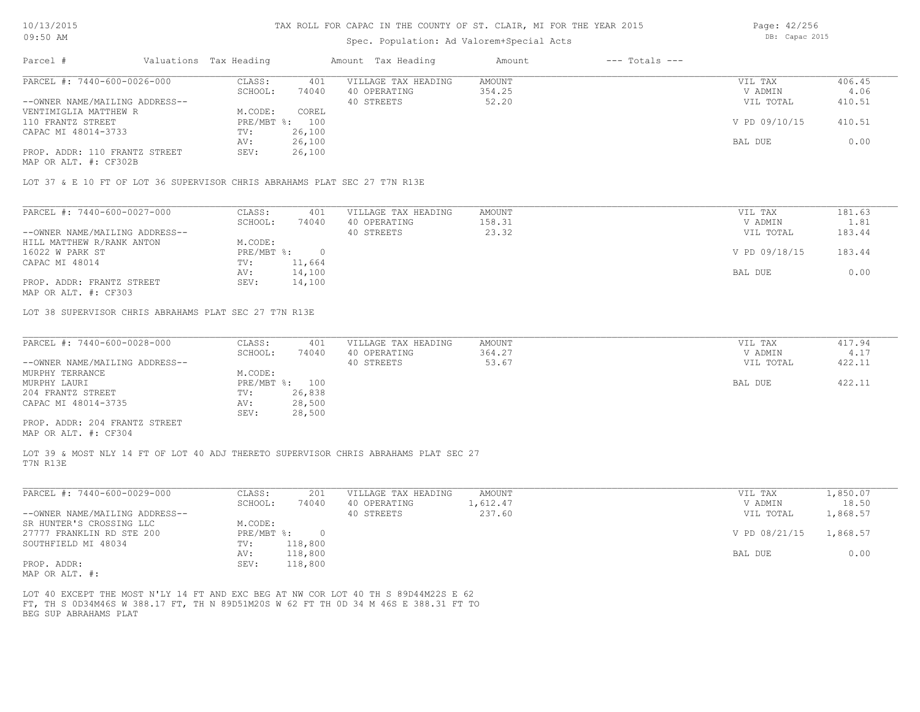## Spec. Population: Ad Valorem+Special Acts

| Parcel #                       | Valuations Tax Heading |        | Amount Tax Heading  | Amount | $---$ Totals $---$ |               |        |
|--------------------------------|------------------------|--------|---------------------|--------|--------------------|---------------|--------|
| PARCEL #: 7440-600-0026-000    | CLASS:                 | 401    | VILLAGE TAX HEADING | AMOUNT |                    | VIL TAX       | 406.45 |
|                                | SCHOOL:                | 74040  | 40 OPERATING        | 354.25 |                    | V ADMIN       | 4.06   |
| --OWNER NAME/MAILING ADDRESS-- |                        |        | 40 STREETS          | 52.20  |                    | VIL TOTAL     | 410.51 |
| VENTIMIGLIA MATTHEW R          | M.CODE:                | COREL  |                     |        |                    |               |        |
| 110 FRANTZ STREET              | PRE/MBT %: 100         |        |                     |        |                    | V PD 09/10/15 | 410.51 |
| CAPAC MI 48014-3733            | TV:                    | 26,100 |                     |        |                    |               |        |
|                                | AV:                    | 26,100 |                     |        |                    | BAL DUE       | 0.00   |
| PROP. ADDR: 110 FRANTZ STREET  | SEV:                   | 26,100 |                     |        |                    |               |        |
|                                |                        |        |                     |        |                    |               |        |

MAP OR ALT. #: CF302B

LOT 37 & E 10 FT OF LOT 36 SUPERVISOR CHRIS ABRAHAMS PLAT SEC 27 T7N R13E

| PARCEL #: 7440-600-0027-000    | CLASS:     | 401    | VILLAGE TAX HEADING | AMOUNT | VIL TAX       | 181.63 |
|--------------------------------|------------|--------|---------------------|--------|---------------|--------|
|                                | SCHOOL:    | 74040  | 40 OPERATING        | 158.31 | V ADMIN       | 1.81   |
| --OWNER NAME/MAILING ADDRESS-- |            |        | 40 STREETS          | 23.32  | VIL TOTAL     | 183.44 |
| HILL MATTHEW R/RANK ANTON      | M.CODE:    |        |                     |        |               |        |
| 16022 W PARK ST                | PRE/MBT %: |        |                     |        | V PD 09/18/15 | 183.44 |
| CAPAC MI 48014                 | TV:        | 11,664 |                     |        |               |        |
|                                | AV:        | 14,100 |                     |        | BAL DUE       | 0.00   |
| PROP. ADDR: FRANTZ STREET      | SEV:       | 14,100 |                     |        |               |        |

MAP OR ALT. #: CF303

LOT 38 SUPERVISOR CHRIS ABRAHAMS PLAT SEC 27 T7N R13E

| PARCEL #: 7440-600-0028-000    | CLASS:  | 401            | VILLAGE TAX HEADING | AMOUNT | VIL TAX   | 417.94 |
|--------------------------------|---------|----------------|---------------------|--------|-----------|--------|
|                                | SCHOOL: | 74040          | 40 OPERATING        | 364.27 | V ADMIN   | 4.17   |
| --OWNER NAME/MAILING ADDRESS-- |         |                | 40 STREETS          | 53.67  | VIL TOTAL | 422.11 |
| MURPHY TERRANCE                | M.CODE: |                |                     |        |           |        |
| MURPHY LAURI                   |         | PRE/MBT %: 100 |                     |        | BAL DUE   | 422.11 |
| 204 FRANTZ STREET              | TV:     | 26,838         |                     |        |           |        |
| CAPAC MI 48014-3735            | AV:     | 28,500         |                     |        |           |        |
|                                | SEV:    | 28,500         |                     |        |           |        |
| PROP. ADDR: 204 FRANTZ STREET  |         |                |                     |        |           |        |

MAP OR ALT. #: CF304

T7N R13E LOT 39 & MOST NLY 14 FT OF LOT 40 ADJ THERETO SUPERVISOR CHRIS ABRAHAMS PLAT SEC 27

| PARCEL #: 7440-600-0029-000    | CLASS:     | 201     | VILLAGE TAX HEADING | AMOUNT   | VIL TAX       | l,850.07 |
|--------------------------------|------------|---------|---------------------|----------|---------------|----------|
|                                | SCHOOL:    | 74040   | 40 OPERATING        | 1,612.47 | V ADMIN       | 18.50    |
| --OWNER NAME/MAILING ADDRESS-- |            |         | 40 STREETS          | 237.60   | VIL TOTAL     | 1,868.57 |
| SR HUNTER'S CROSSING LLC       | M.CODE:    |         |                     |          |               |          |
| 27777 FRANKLIN RD STE 200      | PRE/MBT %: |         |                     |          | V PD 08/21/15 | 1,868.57 |
| SOUTHFIELD MI 48034            | TV:        | 118,800 |                     |          |               |          |
|                                | AV:        | 118,800 |                     |          | BAL DUE       | 0.00     |
| PROP. ADDR:                    | SEV:       | 118,800 |                     |          |               |          |
| $\frac{1}{2}$                  |            |         |                     |          |               |          |

MAP OR ALT. #:

BEG SUP ABRAHAMS PLAT FT, TH S 0D34M46S W 388.17 FT, TH N 89D51M20S W 62 FT TH 0D 34 M 46S E 388.31 FT TO LOT 40 EXCEPT THE MOST N'LY 14 FT AND EXC BEG AT NW COR LOT 40 TH S 89D44M22S E 62

Page: 42/256 DB: Capac 2015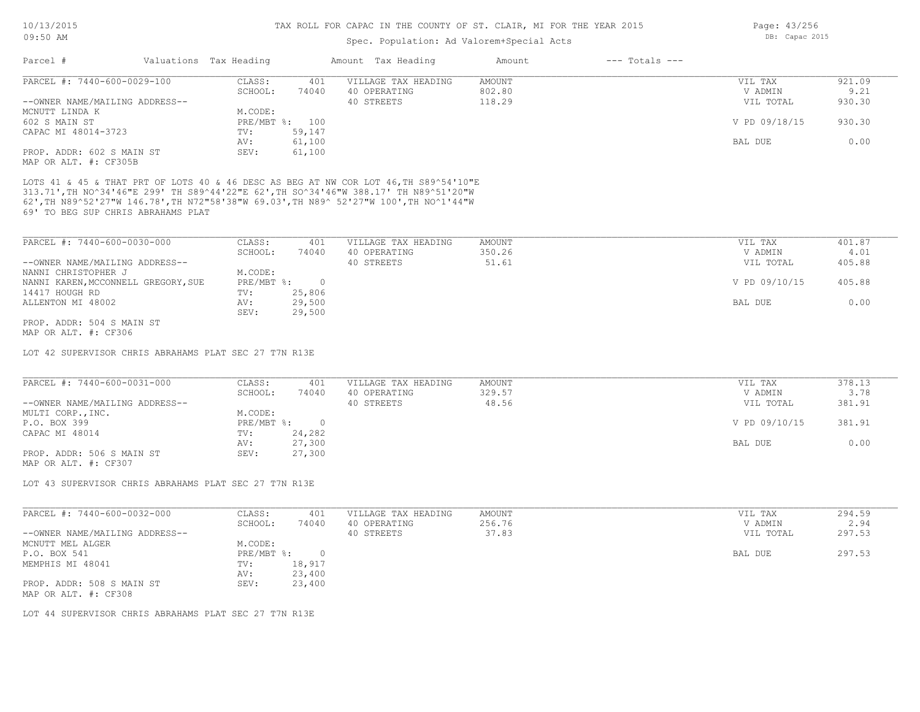# Spec. Population: Ad Valorem+Special Acts

| Parcel #                                                          | Valuations Tax Heading |                | Amount Tax Heading                                                                                                                                                           | Amount | $---$ Totals $---$ |               |        |
|-------------------------------------------------------------------|------------------------|----------------|------------------------------------------------------------------------------------------------------------------------------------------------------------------------------|--------|--------------------|---------------|--------|
| PARCEL #: 7440-600-0029-100                                       | CLASS:                 | 401            | VILLAGE TAX HEADING                                                                                                                                                          | AMOUNT |                    | VIL TAX       | 921.09 |
|                                                                   | SCHOOL:                | 74040          | 40 OPERATING                                                                                                                                                                 | 802.80 |                    | V ADMIN       | 9.21   |
| --OWNER NAME/MAILING ADDRESS--                                    |                        |                | 40 STREETS                                                                                                                                                                   | 118.29 |                    | VIL TOTAL     | 930.30 |
| MCNUTT LINDA K                                                    | M.CODE:                |                |                                                                                                                                                                              |        |                    |               |        |
| 602 S MAIN ST                                                     |                        | PRE/MBT %: 100 |                                                                                                                                                                              |        |                    | V PD 09/18/15 | 930.30 |
| CAPAC MI 48014-3723                                               | TV:                    | 59,147         |                                                                                                                                                                              |        |                    |               |        |
|                                                                   | AV:                    | 61,100         |                                                                                                                                                                              |        |                    | BAL DUE       | 0.00   |
| PROP. ADDR: 602 S MAIN ST                                         | SEV:                   | 61,100         |                                                                                                                                                                              |        |                    |               |        |
| MAP OR ALT. #: CF305B                                             |                        |                |                                                                                                                                                                              |        |                    |               |        |
|                                                                   |                        |                | LOTS 41 & 45 & THAT PRT OF LOTS 40 & 46 DESC AS BEG AT NW COR LOT 46, TH S89^54'10"E                                                                                         |        |                    |               |        |
|                                                                   |                        |                | 313.71',TH NO^34'46"E 299' TH S89^44'22"E 62',TH SO^34'46"W 388.17' TH N89^51'20"W<br>62', TH N89^52'27"W 146.78', TH N72"58'38"W 69.03', TH N89^ 52'27"W 100', TH NO^1'44"W |        |                    |               |        |
| 69' TO BEG SUP CHRIS ABRAHAMS PLAT<br>PARCEL #: 7440-600-0030-000 | CLASS:                 | 401            | VILLAGE TAX HEADING                                                                                                                                                          | AMOUNT |                    | VIL TAX       | 401.87 |
|                                                                   | SCHOOL:                | 74040          | 40 OPERATING                                                                                                                                                                 | 350.26 |                    | V ADMIN       | 4.01   |
| --OWNER NAME/MAILING ADDRESS--                                    |                        |                | 40 STREETS                                                                                                                                                                   | 51.61  |                    | VIL TOTAL     | 405.88 |
| NANNI CHRISTOPHER J                                               | M.CODE:                |                |                                                                                                                                                                              |        |                    |               |        |
| NANNI KAREN, MCCONNELL GREGORY, SUE                               | $PRE/MBT$ %:           | $\overline{0}$ |                                                                                                                                                                              |        |                    | V PD 09/10/15 | 405.88 |
| 14417 HOUGH RD                                                    | TV:                    | 25,806         |                                                                                                                                                                              |        |                    |               |        |

MAP OR ALT. #: CF306 PROP. ADDR: 504 S MAIN ST

LOT 42 SUPERVISOR CHRIS ABRAHAMS PLAT SEC 27 T7N R13E

SEV: 29,500

| PARCEL #: 7440-600-0031-000    | CLASS:     | 401    | VILLAGE TAX HEADING | AMOUNT | VIL TAX       | 378.13 |
|--------------------------------|------------|--------|---------------------|--------|---------------|--------|
|                                | SCHOOL:    | 74040  | 40 OPERATING        | 329.57 | V ADMIN       | 3.78   |
| --OWNER NAME/MAILING ADDRESS-- |            |        | 40 STREETS          | 48.56  | VIL TOTAL     | 381.91 |
| MULTI CORP., INC.              | M.CODE:    |        |                     |        |               |        |
| P.O. BOX 399                   | PRE/MBT %: |        |                     |        | V PD 09/10/15 | 381.91 |
| CAPAC MI 48014                 | TV:        | 24,282 |                     |        |               |        |
|                                | AV:        | 27,300 |                     |        | BAL DUE       | 0.00   |
| PROP. ADDR: 506 S MAIN ST      | SEV:       | 27,300 |                     |        |               |        |
|                                |            |        |                     |        |               |        |

MAP OR ALT. #: CF307

LOT 43 SUPERVISOR CHRIS ABRAHAMS PLAT SEC 27 T7N R13E

| PARCEL #: 7440-600-0032-000                       | CLASS:       | 401    | VILLAGE TAX HEADING | AMOUNT | VIL TAX   | 294.59 |
|---------------------------------------------------|--------------|--------|---------------------|--------|-----------|--------|
|                                                   | SCHOOL:      | 74040  | 40 OPERATING        | 256.76 | V ADMIN   | 2.94   |
| --OWNER NAME/MAILING ADDRESS--                    |              |        | 40 STREETS          | 37.83  | VIL TOTAL | 297.53 |
| MCNUTT MEL ALGER                                  | M.CODE:      |        |                     |        |           |        |
| P.O. BOX 541                                      | $PRE/MBT$ %: |        |                     |        | BAL DUE   | 297.53 |
| MEMPHIS MI 48041                                  | TV:          | 18,917 |                     |        |           |        |
|                                                   | AV:          | 23,400 |                     |        |           |        |
| PROP. ADDR: 508 S MAIN ST<br>MAP OR ALT. #: CF308 | SEV:         | 23,400 |                     |        |           |        |

LOT 44 SUPERVISOR CHRIS ABRAHAMS PLAT SEC 27 T7N R13E

Page: 43/256 DB: Capac 2015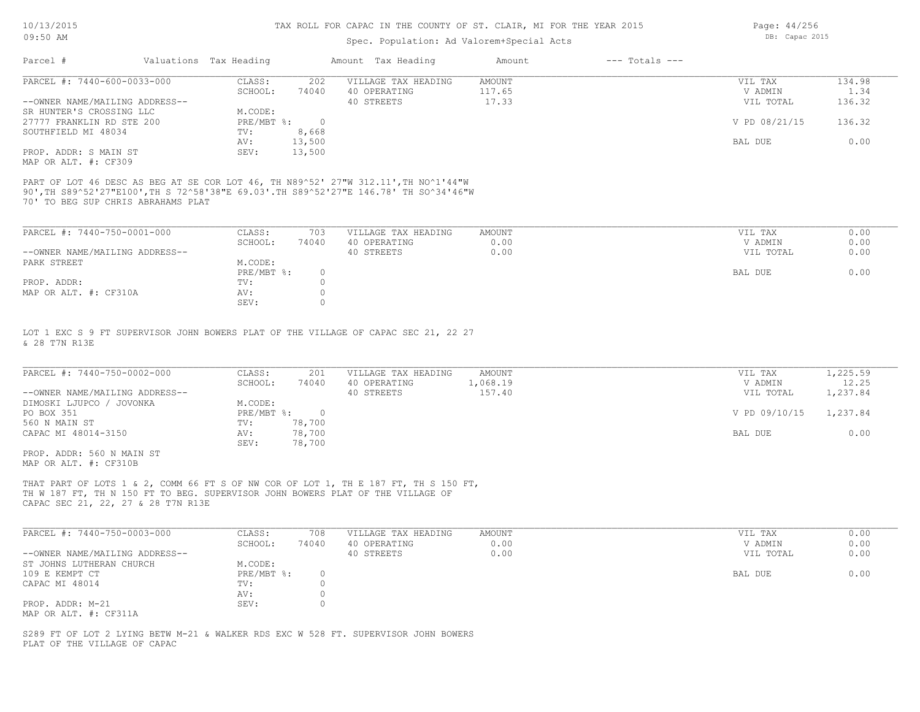## Spec. Population: Ad Valorem+Special Acts

| Parcel #                       | Valuations Tax Heading |        | Amount Tax Heading  | Amount | $---$ Totals $---$ |               |        |
|--------------------------------|------------------------|--------|---------------------|--------|--------------------|---------------|--------|
| PARCEL #: 7440-600-0033-000    | CLASS:                 | 202    | VILLAGE TAX HEADING | AMOUNT |                    | VIL TAX       | 134.98 |
|                                | SCHOOL:                | 74040  | 40 OPERATING        | 117.65 |                    | V ADMIN       | 1.34   |
| --OWNER NAME/MAILING ADDRESS-- |                        |        | 40 STREETS          | 17.33  |                    | VIL TOTAL     | 136.32 |
| SR HUNTER'S CROSSING LLC       | M.CODE:                |        |                     |        |                    |               |        |
| 27777 FRANKLIN RD STE 200      | PRE/MBT %:             |        |                     |        |                    | V PD 08/21/15 | 136.32 |
| SOUTHFIELD MI 48034            | TV:                    | 8,668  |                     |        |                    |               |        |
|                                | AV:                    | 13,500 |                     |        |                    | BAL DUE       | 0.00   |
| PROP. ADDR: S MAIN ST          | SEV:                   | 13,500 |                     |        |                    |               |        |
|                                |                        |        |                     |        |                    |               |        |

MAP OR ALT. #: CF309

70' TO BEG SUP CHRIS ABRAHAMS PLAT 90',TH S89^52'27"E100',TH S 72^58'38"E 69.03'.TH S89^52'27"E 146.78' TH SO^34'46"W PART OF LOT 46 DESC AS BEG AT SE COR LOT 46, TH N89^52' 27"W 312.11',TH NO^1'44"W

| PARCEL #: 7440-750-0001-000    | CLASS:     | 703   | VILLAGE TAX HEADING | AMOUNT | VIL TAX   | 0.00 |
|--------------------------------|------------|-------|---------------------|--------|-----------|------|
|                                | SCHOOL:    | 74040 | 40 OPERATING        | 0.00   | V ADMIN   | 0.00 |
| --OWNER NAME/MAILING ADDRESS-- |            |       | 40 STREETS          | 0.00   | VIL TOTAL | 0.00 |
| PARK STREET                    | M.CODE:    |       |                     |        |           |      |
|                                | PRE/MBT %: |       |                     |        | BAL DUE   | 0.00 |
| PROP. ADDR:                    | TV:        |       |                     |        |           |      |
| MAP OR ALT. #: CF310A          | AV:        |       |                     |        |           |      |
|                                | SEV:       |       |                     |        |           |      |

& 28 T7N R13E LOT 1 EXC S 9 FT SUPERVISOR JOHN BOWERS PLAT OF THE VILLAGE OF CAPAC SEC 21, 22 27

| PARCEL #: 7440-750-0002-000    | CLASS:     | 201    | VILLAGE TAX HEADING | AMOUNT   | VIL TAX       | 1,225.59 |
|--------------------------------|------------|--------|---------------------|----------|---------------|----------|
|                                | SCHOOL:    | 74040  | 40 OPERATING        | 1,068.19 | V ADMIN       | 12.25    |
| --OWNER NAME/MAILING ADDRESS-- |            |        | 40 STREETS          | 157.40   | VIL TOTAL     | 1,237.84 |
| DIMOSKI LJUPCO / JOVONKA       | M.CODE:    |        |                     |          |               |          |
| PO BOX 351                     | PRE/MBT %: |        |                     |          | V PD 09/10/15 | 1,237.84 |
| 560 N MAIN ST                  | TV:        | 78,700 |                     |          |               |          |
| CAPAC MI 48014-3150            | AV:        | 78,700 |                     |          | BAL DUE       | 0.00     |
|                                | SEV:       | 78,700 |                     |          |               |          |
| PROP. ADDR: 560 N MAIN ST      |            |        |                     |          |               |          |

MAP OR ALT. #: CF310B

CAPAC SEC 21, 22, 27 & 28 T7N R13E TH W 187 FT, TH N 150 FT TO BEG. SUPERVISOR JOHN BOWERS PLAT OF THE VILLAGE OF THAT PART OF LOTS 1 & 2, COMM 66 FT S OF NW COR OF LOT 1, TH E 187 FT, TH S 150 FT,

| PARCEL #: 7440-750-0003-000    | CLASS:     | 708      | VILLAGE TAX HEADING | AMOUNT | VIL TAX   | 0.00 |
|--------------------------------|------------|----------|---------------------|--------|-----------|------|
|                                | SCHOOL:    | 74040    | 40 OPERATING        | 0.00   | V ADMIN   | 0.00 |
| --OWNER NAME/MAILING ADDRESS-- |            |          | 40 STREETS          | 0.00   | VIL TOTAL | 0.00 |
| ST JOHNS LUTHERAN CHURCH       | M.CODE:    |          |                     |        |           |      |
| 109 E KEMPT CT                 | PRE/MBT %: | $\Omega$ |                     |        | BAL DUE   | 0.00 |
| CAPAC MI 48014                 | TV:        |          |                     |        |           |      |
|                                | AV:        |          |                     |        |           |      |
| PROP. ADDR: M-21               | SEV:       |          |                     |        |           |      |
| MAP OR ALT. #: CF311A          |            |          |                     |        |           |      |

 $\mathcal{L}_\mathcal{L} = \mathcal{L}_\mathcal{L} = \mathcal{L}_\mathcal{L} = \mathcal{L}_\mathcal{L} = \mathcal{L}_\mathcal{L} = \mathcal{L}_\mathcal{L} = \mathcal{L}_\mathcal{L} = \mathcal{L}_\mathcal{L} = \mathcal{L}_\mathcal{L} = \mathcal{L}_\mathcal{L} = \mathcal{L}_\mathcal{L} = \mathcal{L}_\mathcal{L} = \mathcal{L}_\mathcal{L} = \mathcal{L}_\mathcal{L} = \mathcal{L}_\mathcal{L} = \mathcal{L}_\mathcal{L} = \mathcal{L}_\mathcal{L}$ 

PLAT OF THE VILLAGE OF CAPAC S289 FT OF LOT 2 LYING BETW M-21 & WALKER RDS EXC W 528 FT. SUPERVISOR JOHN BOWERS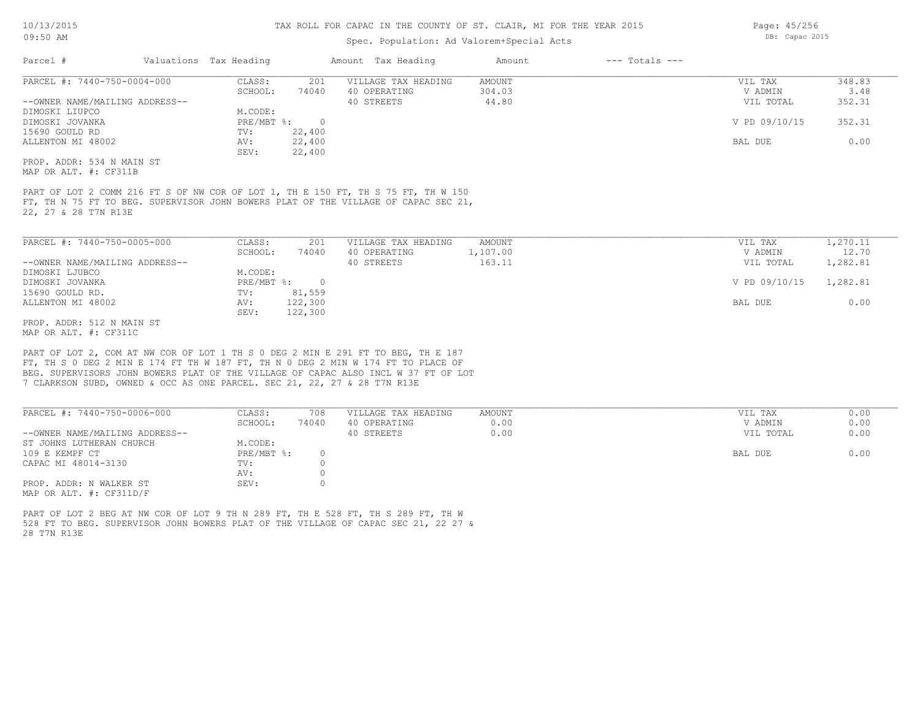## Spec. Population: Ad Valorem+Special Acts

| Parcel #                       | Valuations Tax Heading |        | Amount Tax Heading  | Amount | $---$ Totals $---$ |               |        |
|--------------------------------|------------------------|--------|---------------------|--------|--------------------|---------------|--------|
| PARCEL #: 7440-750-0004-000    | CLASS:                 | 201    | VILLAGE TAX HEADING | AMOUNT |                    | VIL TAX       | 348.83 |
|                                | SCHOOL:                | 74040  | 40 OPERATING        | 304.03 |                    | V ADMIN       | 3.48   |
| --OWNER NAME/MAILING ADDRESS-- |                        |        | 40 STREETS          | 44.80  |                    | VIL TOTAL     | 352.31 |
| DIMOSKI LIUPCO                 | M.CODE:                |        |                     |        |                    |               |        |
| DIMOSKI JOVANKA                | PRE/MBT %:             |        |                     |        |                    | V PD 09/10/15 | 352.31 |
| 15690 GOULD RD                 | TV:                    | 22,400 |                     |        |                    |               |        |
| ALLENTON MI 48002              | AV:                    | 22,400 |                     |        |                    | BAL DUE       | 0.00   |
|                                | SEV:                   | 22,400 |                     |        |                    |               |        |
| PROP. ADDR: 534 N MAIN ST      |                        |        |                     |        |                    |               |        |

MAP OR ALT. #: CF311B

22, 27 & 28 T7N R13E FT, TH N 75 FT TO BEG. SUPERVISOR JOHN BOWERS PLAT OF THE VILLAGE OF CAPAC SEC 21, PART OF LOT 2 COMM 216 FT S OF NW COR OF LOT 1, TH E 150 FT, TH S 75 FT, TH W 150

| PARCEL #: 7440-750-0005-000    | CLASS:     | 201     | VILLAGE TAX HEADING | AMOUNT   | VIL TAX       | 1,270.11 |
|--------------------------------|------------|---------|---------------------|----------|---------------|----------|
|                                | SCHOOL:    | 74040   | 40 OPERATING        | 1,107.00 | V ADMIN       | 12.70    |
| --OWNER NAME/MAILING ADDRESS-- |            |         | 40 STREETS          | 163.11   | VIL TOTAL     | 1,282.81 |
| DIMOSKI LJUBCO                 | M.CODE:    |         |                     |          |               |          |
| DIMOSKI JOVANKA                | PRE/MBT %: | $\cap$  |                     |          | V PD 09/10/15 | 1,282.81 |
| 15690 GOULD RD.                | TV:        | 81,559  |                     |          |               |          |
| ALLENTON MI 48002              | AV:        | 122,300 |                     |          | BAL DUE       | 0.00     |
|                                | SEV:       | 122,300 |                     |          |               |          |
| PROP. ADDR: 512 N MAIN ST      |            |         |                     |          |               |          |

MAP OR ALT. #: CF311C

7 CLARKSON SUBD, OWNED & OCC AS ONE PARCEL. SEC 21, 22, 27 & 28 T7N R13E BEG. SUPERVISORS JOHN BOWERS PLAT OF THE VILLAGE OF CAPAC ALSO INCL W 37 FT OF LOT FT, TH S 0 DEG 2 MIN E 174 FT TH W 187 FT, TH N 0 DEG 2 MIN W 174 FT TO PLACE OF PART OF LOT 2, COM AT NW COR OF LOT 1 TH S 0 DEG 2 MIN E 291 FT TO BEG, TH E 187

| PARCEL #: 7440-750-0006-000    | CLASS:     | 708   | VILLAGE TAX HEADING | AMOUNT | 0.00<br>VIL TAX   |
|--------------------------------|------------|-------|---------------------|--------|-------------------|
|                                | SCHOOL:    | 74040 | 40 OPERATING        | 0.00   | 0.00<br>V ADMIN   |
| --OWNER NAME/MAILING ADDRESS-- |            |       | 40 STREETS          | 0.00   | 0.00<br>VIL TOTAL |
| ST JOHNS LUTHERAN CHURCH       | M.CODE:    |       |                     |        |                   |
| 109 E KEMPF CT                 | PRE/MBT %: |       |                     |        | 0.00<br>BAL DUE   |
| CAPAC MI 48014-3130            | TV:        |       |                     |        |                   |
|                                | AV:        |       |                     |        |                   |
| PROP. ADDR: N WALKER ST        | SEV:       |       |                     |        |                   |
| MAP OR ALT. $\#$ : CF311D/F    |            |       |                     |        |                   |

28 T7N R13E 528 FT TO BEG. SUPERVISOR JOHN BOWERS PLAT OF THE VILLAGE OF CAPAC SEC 21, 22 27 & PART OF LOT 2 BEG AT NW COR OF LOT 9 TH N 289 FT, TH E 528 FT, TH S 289 FT, TH W

Page: 45/256 DB: Capac 2015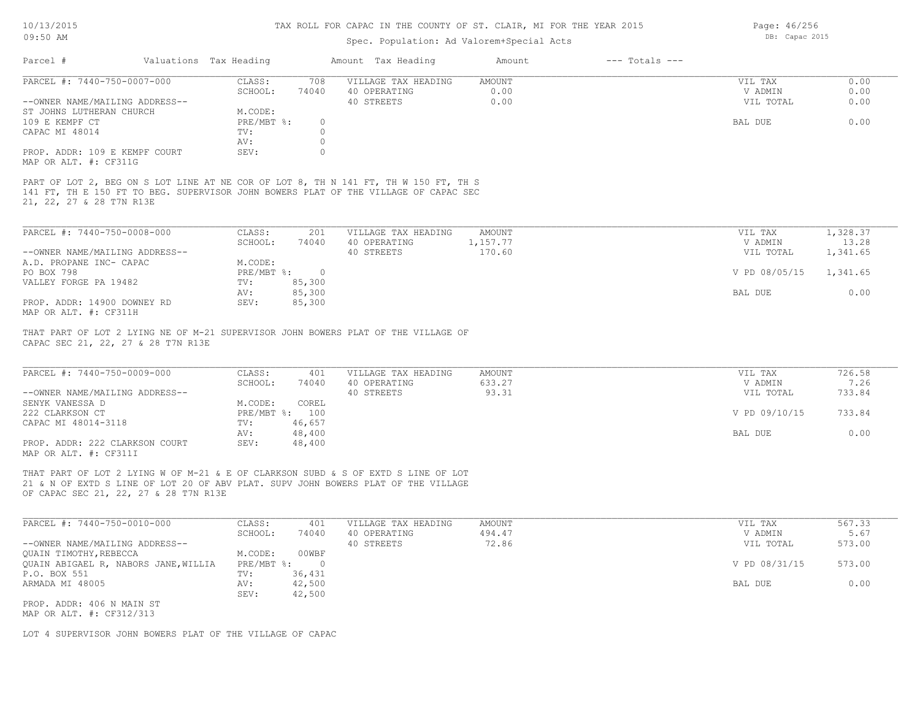## Spec. Population: Ad Valorem+Special Acts

Page: 46/256 DB: Capac 2015

| Parcel #                       | Valuations Tax Heading |       | Amount Tax Heading                                                                  | Amount | $---$ Totals $---$ |           |      |
|--------------------------------|------------------------|-------|-------------------------------------------------------------------------------------|--------|--------------------|-----------|------|
| PARCEL #: 7440-750-0007-000    | CLASS:                 | 708   | VILLAGE TAX HEADING                                                                 | AMOUNT |                    | VIL TAX   | 0.00 |
|                                | SCHOOL:                | 74040 | 40 OPERATING                                                                        | 0.00   |                    | V ADMIN   | 0.00 |
| --OWNER NAME/MAILING ADDRESS-- |                        |       | 40 STREETS                                                                          | 0.00   |                    | VIL TOTAL | 0.00 |
| ST JOHNS LUTHERAN CHURCH       | M.CODE:                |       |                                                                                     |        |                    |           |      |
| 109 E KEMPF CT                 | PRE/MBT %:             |       |                                                                                     |        |                    | BAL DUE   | 0.00 |
| CAPAC MI 48014                 | TV:                    |       |                                                                                     |        |                    |           |      |
|                                | AV:                    |       |                                                                                     |        |                    |           |      |
| PROP. ADDR: 109 E KEMPF COURT  | SEV:                   |       |                                                                                     |        |                    |           |      |
| MAP OR ALT. #: CF311G          |                        |       |                                                                                     |        |                    |           |      |
|                                |                        |       |                                                                                     |        |                    |           |      |
|                                |                        |       | PART OF LOT 2, BEG ON S LOT LINE AT NE COR OF LOT 8, TH N 141 FT, TH W 150 FT, TH S |        |                    |           |      |
|                                |                        |       | 141 FT, TH E 150 FT TO BEG. SUPERVISOR JOHN BOWERS PLAT OF THE VILLAGE OF CAPAC SEC |        |                    |           |      |
| 21, 22, 27 & 28 T7N R13E       |                        |       |                                                                                     |        |                    |           |      |

| PARCEL #: 7440-750-0008-000    | CLASS:     | 201    | VILLAGE TAX HEADING | AMOUNT   | VIL TAX       | 1,328.37 |
|--------------------------------|------------|--------|---------------------|----------|---------------|----------|
|                                | SCHOOL:    | 74040  | 40 OPERATING        | 1,157.77 | V ADMIN       | 13.28    |
| --OWNER NAME/MAILING ADDRESS-- |            |        | 40 STREETS          | 170.60   | VIL TOTAL     | 1,341.65 |
| A.D. PROPANE INC- CAPAC        | M.CODE:    |        |                     |          |               |          |
| PO BOX 798                     | PRE/MBT %: |        |                     |          | V PD 08/05/15 | 1,341.65 |
| VALLEY FORGE PA 19482          | TV:        | 85,300 |                     |          |               |          |
|                                | AV:        | 85,300 |                     |          | BAL DUE       | 0.00     |
| PROP. ADDR: 14900 DOWNEY RD    | SEV:       | 85,300 |                     |          |               |          |
| MAP OR ALT. #: CF311H          |            |        |                     |          |               |          |

CAPAC SEC 21, 22, 27 & 28 T7N R13E THAT PART OF LOT 2 LYING NE OF M-21 SUPERVISOR JOHN BOWERS PLAT OF THE VILLAGE OF

| PARCEL #: 7440-750-0009-000    | CLASS:       | 401    | VILLAGE TAX HEADING | AMOUNT | VIL TAX       | 726.58 |
|--------------------------------|--------------|--------|---------------------|--------|---------------|--------|
|                                | SCHOOL:      | 74040  | 40 OPERATING        | 633.27 | V ADMIN       | 7.26   |
| --OWNER NAME/MAILING ADDRESS-- |              |        | 40 STREETS          | 93.31  | VIL TOTAL     | 733.84 |
| SENYK VANESSA D                | M.CODE:      | COREL  |                     |        |               |        |
| 222 CLARKSON CT                | $PRE/MBT$ %: | 100    |                     |        | V PD 09/10/15 | 733.84 |
| CAPAC MI 48014-3118            | TV:          | 46,657 |                     |        |               |        |
|                                | AV:          | 48,400 |                     |        | BAL DUE       | 0.00   |
| PROP. ADDR: 222 CLARKSON COURT | SEV:         | 48,400 |                     |        |               |        |
| MAP OR ALT. #: CF311I          |              |        |                     |        |               |        |

 $\mathcal{L}_\mathcal{L} = \mathcal{L}_\mathcal{L} = \mathcal{L}_\mathcal{L} = \mathcal{L}_\mathcal{L} = \mathcal{L}_\mathcal{L} = \mathcal{L}_\mathcal{L} = \mathcal{L}_\mathcal{L} = \mathcal{L}_\mathcal{L} = \mathcal{L}_\mathcal{L} = \mathcal{L}_\mathcal{L} = \mathcal{L}_\mathcal{L} = \mathcal{L}_\mathcal{L} = \mathcal{L}_\mathcal{L} = \mathcal{L}_\mathcal{L} = \mathcal{L}_\mathcal{L} = \mathcal{L}_\mathcal{L} = \mathcal{L}_\mathcal{L}$ 

OF CAPAC SEC 21, 22, 27 & 28 T7N R13E 21 & N OF EXTD S LINE OF LOT 20 OF ABV PLAT. SUPV JOHN BOWERS PLAT OF THE VILLAGE THAT PART OF LOT 2 LYING W OF M-21 & E OF CLARKSON SUBD & S OF EXTD S LINE OF LOT

| PARCEL #: 7440-750-0010-000          | CLASS:     | 401    | VILLAGE TAX HEADING | AMOUNT | VIL TAX       | 567.33 |
|--------------------------------------|------------|--------|---------------------|--------|---------------|--------|
|                                      | SCHOOL:    | 74040  | 40 OPERATING        | 494.47 | V ADMIN       | 5.67   |
| --OWNER NAME/MAILING ADDRESS--       |            |        | 40 STREETS          | 72.86  | VIL TOTAL     | 573.00 |
| QUAIN TIMOTHY, REBECCA               | M.CODE:    | 00WBF  |                     |        |               |        |
| QUAIN ABIGAEL R, NABORS JANE, WILLIA | PRE/MBT %: |        |                     |        | V PD 08/31/15 | 573.00 |
| P.O. BOX 551                         | TV:        | 36,431 |                     |        |               |        |
| ARMADA MI 48005                      | AV:        | 42,500 |                     |        | BAL DUE       | 0.00   |
|                                      | SEV:       | 42,500 |                     |        |               |        |
| PROP. ADDR: 406 N MAIN ST            |            |        |                     |        |               |        |

MAP OR ALT. #: CF312/313

LOT 4 SUPERVISOR JOHN BOWERS PLAT OF THE VILLAGE OF CAPAC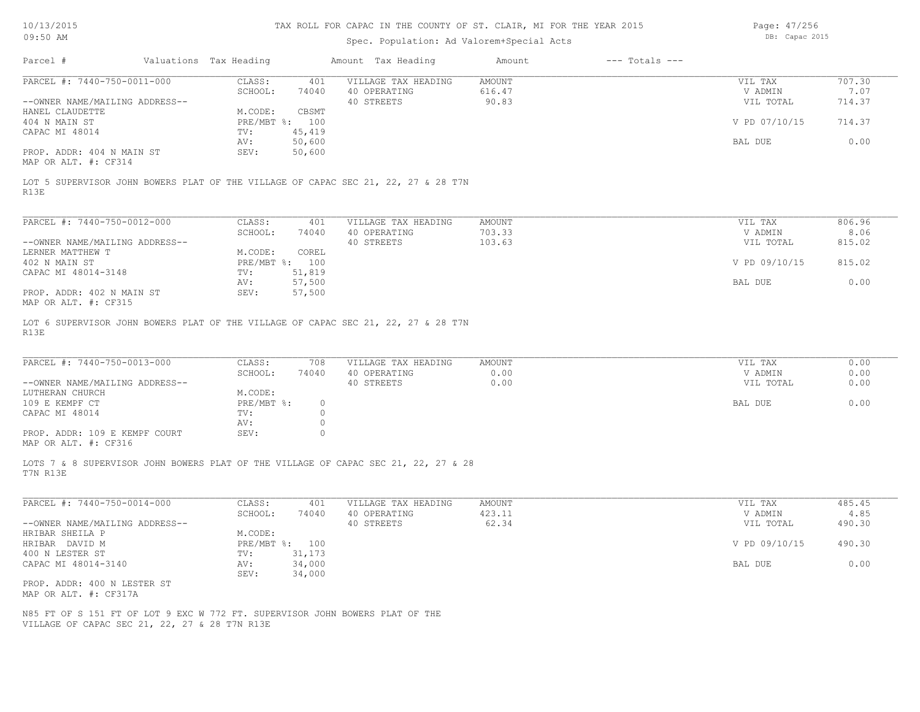# Spec. Population: Ad Valorem+Special Acts

Page: 47/256 DB: Capac 2015

| Parcel #                                                                                                                      | Valuations Tax Heading            | Amount Tax Heading  | Amount<br>$---$ Totals $---$ |               |        |
|-------------------------------------------------------------------------------------------------------------------------------|-----------------------------------|---------------------|------------------------------|---------------|--------|
| PARCEL #: 7440-750-0011-000                                                                                                   | CLASS:<br>401                     | VILLAGE TAX HEADING | <b>AMOUNT</b>                | VIL TAX       | 707.30 |
|                                                                                                                               | SCHOOL:<br>74040                  | 40 OPERATING        | 616.47                       | V ADMIN       | 7.07   |
| --OWNER NAME/MAILING ADDRESS--                                                                                                |                                   | 40 STREETS          | 90.83                        | VIL TOTAL     | 714.37 |
| HANEL CLAUDETTE                                                                                                               | M.CODE:<br>CBSMT                  |                     |                              |               |        |
| 404 N MAIN ST                                                                                                                 | PRE/MBT %: 100                    |                     |                              | V PD 07/10/15 | 714.37 |
| CAPAC MI 48014                                                                                                                | 45,419<br>TV:                     |                     |                              |               |        |
|                                                                                                                               | AV:<br>50,600<br>SEV:             |                     |                              | BAL DUE       | 0.00   |
| PROP. ADDR: 404 N MAIN ST<br>MAP OR ALT. #: CF314                                                                             | 50,600                            |                     |                              |               |        |
|                                                                                                                               |                                   |                     |                              |               |        |
| LOT 5 SUPERVISOR JOHN BOWERS PLAT OF THE VILLAGE OF CAPAC SEC 21, 22, 27 & 28 T7N<br>R13E                                     |                                   |                     |                              |               |        |
| PARCEL #: 7440-750-0012-000                                                                                                   | CLASS:<br>401                     | VILLAGE TAX HEADING | <b>AMOUNT</b>                | VIL TAX       | 806.96 |
|                                                                                                                               | SCHOOL:<br>74040                  | 40 OPERATING        | 703.33                       | V ADMIN       | 8.06   |
| --OWNER NAME/MAILING ADDRESS--                                                                                                |                                   | 40 STREETS          | 103.63                       | VIL TOTAL     | 815.02 |
| LERNER MATTHEW T                                                                                                              | M.CODE:<br>COREL                  |                     |                              |               |        |
| 402 N MAIN ST                                                                                                                 | PRE/MBT %: 100                    |                     |                              | V PD 09/10/15 | 815.02 |
| CAPAC MI 48014-3148                                                                                                           | 51,819<br>TV:                     |                     |                              |               |        |
|                                                                                                                               | AV:<br>57,500                     |                     |                              | BAL DUE       | 0.00   |
| PROP. ADDR: 402 N MAIN ST<br>MAP OR ALT. #: CF315                                                                             | SEV:<br>57,500                    |                     |                              |               |        |
| LOT 6 SUPERVISOR JOHN BOWERS PLAT OF THE VILLAGE OF CAPAC SEC 21, 22, 27 & 28 T7N<br>R13E                                     |                                   |                     |                              |               |        |
| PARCEL #: 7440-750-0013-000                                                                                                   | CLASS:<br>708                     | VILLAGE TAX HEADING | <b>AMOUNT</b>                | VIL TAX       | 0.00   |
|                                                                                                                               | SCHOOL:<br>74040                  | 40 OPERATING        | 0.00                         | V ADMIN       | 0.00   |
| --OWNER NAME/MAILING ADDRESS--                                                                                                |                                   | 40 STREETS          | 0.00                         | VIL TOTAL     | 0.00   |
| LUTHERAN CHURCH                                                                                                               | M.CODE:                           |                     |                              |               |        |
| 109 E KEMPF CT                                                                                                                | PRE/MBT %:<br>$\circ$             |                     |                              | BAL DUE       | 0.00   |
| CAPAC MI 48014                                                                                                                | $\circ$<br>TV:                    |                     |                              |               |        |
| PROP. ADDR: 109 E KEMPF COURT                                                                                                 | $\circ$<br>AV:<br>$\circ$<br>SEV: |                     |                              |               |        |
| MAP OR ALT. #: CF316                                                                                                          |                                   |                     |                              |               |        |
|                                                                                                                               |                                   |                     |                              |               |        |
| LOTS 7 & 8 SUPERVISOR JOHN BOWERS PLAT OF THE VILLAGE OF CAPAC SEC 21, 22, 27 & 28<br>T7N R13E                                |                                   |                     |                              |               |        |
| PARCEL #: 7440-750-0014-000                                                                                                   | CLASS:<br>401                     | VILLAGE TAX HEADING | <b>AMOUNT</b>                | VIL TAX       | 485.45 |
|                                                                                                                               | SCHOOL:<br>74040                  | 40 OPERATING        | 423.11                       | V ADMIN       | 4.85   |
| --OWNER NAME/MAILING ADDRESS--                                                                                                |                                   | 40 STREETS          | 62.34                        | VIL TOTAL     | 490.30 |
| HRIBAR SHEILA P                                                                                                               | M.CODE:                           |                     |                              |               |        |
| HRIBAR DAVID M                                                                                                                | PRE/MBT %: 100                    |                     |                              | V PD 09/10/15 | 490.30 |
| 400 N LESTER ST                                                                                                               | 31,173<br>TV:                     |                     |                              |               |        |
| CAPAC MI 48014-3140                                                                                                           | 34,000<br>AV:                     |                     |                              | BAL DUE       | 0.00   |
|                                                                                                                               | 34,000<br>SEV:                    |                     |                              |               |        |
| PROP. ADDR: 400 N LESTER ST<br>MAP OR ALT. #: CF317A                                                                          |                                   |                     |                              |               |        |
|                                                                                                                               |                                   |                     |                              |               |        |
| N85 FT OF S 151 FT OF LOT 9 EXC W 772 FT. SUPERVISOR JOHN BOWERS PLAT OF THE<br>VILLAGE OF CAPAC SEC 21, 22, 27 & 28 T7N R13E |                                   |                     |                              |               |        |
|                                                                                                                               |                                   |                     |                              |               |        |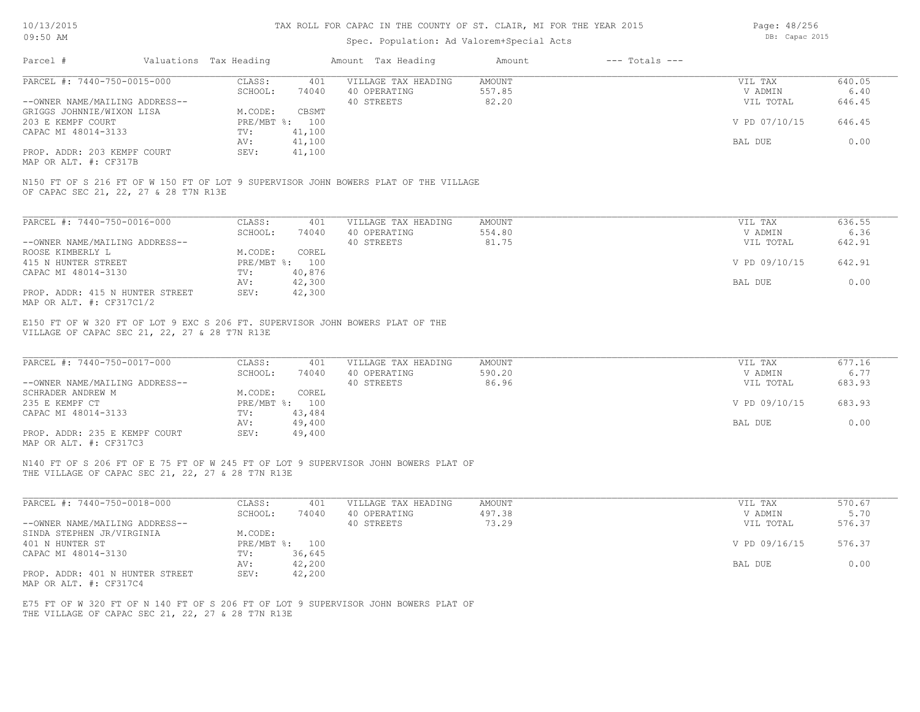Page: 48/256

| Parcel #<br>Valuations Tax Heading<br>Amount Tax Heading<br>$---$ Totals $---$<br>Amount<br>PARCEL #: 7440-750-0015-000<br>CLASS:<br><b>AMOUNT</b><br>401<br>VILLAGE TAX HEADING<br>VIL TAX<br>SCHOOL:<br>40 OPERATING<br>557.85<br>V ADMIN<br>74040<br>82.20<br>40 STREETS<br>--OWNER NAME/MAILING ADDRESS--<br>GRIGGS JOHNNIE/WIXON LISA<br>M.CODE:<br>CBSMT<br>203 E KEMPF COURT<br>PRE/MBT %: 100<br>41,100<br>CAPAC MI 48014-3133<br>TV:<br>AV:<br>41,100<br>BAL DUE<br>SEV:<br>PROP. ADDR: 203 KEMPF COURT<br>41,100<br>MAP OR ALT. #: CF317B<br>N150 FT OF S 216 FT OF W 150 FT OF LOT 9 SUPERVISOR JOHN BOWERS PLAT OF THE VILLAGE<br>OF CAPAC SEC 21, 22, 27 & 28 T7N R13E | 640.05<br>6.40<br>VIL TOTAL<br>646.45<br>V PD 07/10/15<br>646.45<br>0.00 |
|-------------------------------------------------------------------------------------------------------------------------------------------------------------------------------------------------------------------------------------------------------------------------------------------------------------------------------------------------------------------------------------------------------------------------------------------------------------------------------------------------------------------------------------------------------------------------------------------------------------------------------------------------------------------------------------|--------------------------------------------------------------------------|
|                                                                                                                                                                                                                                                                                                                                                                                                                                                                                                                                                                                                                                                                                     |                                                                          |
|                                                                                                                                                                                                                                                                                                                                                                                                                                                                                                                                                                                                                                                                                     |                                                                          |
|                                                                                                                                                                                                                                                                                                                                                                                                                                                                                                                                                                                                                                                                                     |                                                                          |
|                                                                                                                                                                                                                                                                                                                                                                                                                                                                                                                                                                                                                                                                                     |                                                                          |
|                                                                                                                                                                                                                                                                                                                                                                                                                                                                                                                                                                                                                                                                                     |                                                                          |
|                                                                                                                                                                                                                                                                                                                                                                                                                                                                                                                                                                                                                                                                                     |                                                                          |
|                                                                                                                                                                                                                                                                                                                                                                                                                                                                                                                                                                                                                                                                                     |                                                                          |
|                                                                                                                                                                                                                                                                                                                                                                                                                                                                                                                                                                                                                                                                                     |                                                                          |
|                                                                                                                                                                                                                                                                                                                                                                                                                                                                                                                                                                                                                                                                                     |                                                                          |
|                                                                                                                                                                                                                                                                                                                                                                                                                                                                                                                                                                                                                                                                                     |                                                                          |
|                                                                                                                                                                                                                                                                                                                                                                                                                                                                                                                                                                                                                                                                                     |                                                                          |
| PARCEL #: 7440-750-0016-000<br>CLASS:<br><b>AMOUNT</b><br>401<br>VILLAGE TAX HEADING<br>VIL TAX                                                                                                                                                                                                                                                                                                                                                                                                                                                                                                                                                                                     | 636.55                                                                   |
| SCHOOL:<br>40 OPERATING<br>554.80<br>V ADMIN<br>74040                                                                                                                                                                                                                                                                                                                                                                                                                                                                                                                                                                                                                               | 6.36                                                                     |
| --OWNER NAME/MAILING ADDRESS--<br>40 STREETS<br>81.75                                                                                                                                                                                                                                                                                                                                                                                                                                                                                                                                                                                                                               | VIL TOTAL<br>642.91                                                      |
| ROOSE KIMBERLY L<br>M.CODE:<br>COREL                                                                                                                                                                                                                                                                                                                                                                                                                                                                                                                                                                                                                                                |                                                                          |
| 415 N HUNTER STREET<br>PRE/MBT %: 100                                                                                                                                                                                                                                                                                                                                                                                                                                                                                                                                                                                                                                               | V PD 09/10/15<br>642.91                                                  |
| CAPAC MI 48014-3130<br>TV:<br>40,876                                                                                                                                                                                                                                                                                                                                                                                                                                                                                                                                                                                                                                                |                                                                          |
| 42,300<br>AV:<br>BAL DUE                                                                                                                                                                                                                                                                                                                                                                                                                                                                                                                                                                                                                                                            | 0.00                                                                     |
| PROP. ADDR: 415 N HUNTER STREET<br>SEV:<br>42,300                                                                                                                                                                                                                                                                                                                                                                                                                                                                                                                                                                                                                                   |                                                                          |
| MAP OR ALT. #: CF317C1/2                                                                                                                                                                                                                                                                                                                                                                                                                                                                                                                                                                                                                                                            |                                                                          |
| PARCEL #: 7440-750-0017-000<br>CLASS:<br>401<br>VILLAGE TAX HEADING<br><b>AMOUNT</b><br>VIL TAX                                                                                                                                                                                                                                                                                                                                                                                                                                                                                                                                                                                     | 677.16                                                                   |
| SCHOOL:<br>40 OPERATING<br>590.20<br>V ADMIN<br>74040                                                                                                                                                                                                                                                                                                                                                                                                                                                                                                                                                                                                                               | 6.77                                                                     |
| 86.96<br>40 STREETS<br>--OWNER NAME/MAILING ADDRESS--                                                                                                                                                                                                                                                                                                                                                                                                                                                                                                                                                                                                                               | 683.93<br>VIL TOTAL                                                      |
| SCHRADER ANDREW M<br>M.CODE:<br>COREL                                                                                                                                                                                                                                                                                                                                                                                                                                                                                                                                                                                                                                               |                                                                          |
| PRE/MBT %: 100<br>235 E KEMPF CT                                                                                                                                                                                                                                                                                                                                                                                                                                                                                                                                                                                                                                                    | 683.93<br>V PD 09/10/15                                                  |
| CAPAC MI 48014-3133<br>TV:<br>43,484                                                                                                                                                                                                                                                                                                                                                                                                                                                                                                                                                                                                                                                |                                                                          |
| AV:<br>49,400<br>BAL DUE                                                                                                                                                                                                                                                                                                                                                                                                                                                                                                                                                                                                                                                            | 0.00                                                                     |
| PROP. ADDR: 235 E KEMPF COURT<br>SEV:<br>49,400                                                                                                                                                                                                                                                                                                                                                                                                                                                                                                                                                                                                                                     |                                                                          |
|                                                                                                                                                                                                                                                                                                                                                                                                                                                                                                                                                                                                                                                                                     |                                                                          |
| MAP OR ALT. #: CF317C3<br>N140 FT OF S 206 FT OF E 75 FT OF W 245 FT OF LOT 9 SUPERVISOR JOHN BOWERS PLAT OF<br>THE VILLAGE OF CAPAC SEC 21, 22, 27 & 28 T7N R13E                                                                                                                                                                                                                                                                                                                                                                                                                                                                                                                   |                                                                          |
| CLASS:<br>VILLAGE TAX HEADING<br><b>AMOUNT</b><br>VIL TAX<br>401                                                                                                                                                                                                                                                                                                                                                                                                                                                                                                                                                                                                                    | 570.67                                                                   |
| SCHOOL:<br>40 OPERATING<br>497.38<br>V ADMIN<br>74040                                                                                                                                                                                                                                                                                                                                                                                                                                                                                                                                                                                                                               | 5.70                                                                     |
| 73.29<br>40 STREETS                                                                                                                                                                                                                                                                                                                                                                                                                                                                                                                                                                                                                                                                 |                                                                          |
|                                                                                                                                                                                                                                                                                                                                                                                                                                                                                                                                                                                                                                                                                     | VIL TOTAL<br>576.37                                                      |
| M.CODE:                                                                                                                                                                                                                                                                                                                                                                                                                                                                                                                                                                                                                                                                             |                                                                          |
| PRE/MBT %: 100                                                                                                                                                                                                                                                                                                                                                                                                                                                                                                                                                                                                                                                                      | V PD 09/16/15<br>576.37                                                  |
| PARCEL #: 7440-750-0018-000<br>--OWNER NAME/MAILING ADDRESS--<br>401 N HUNTER ST<br>36,645<br>TV:                                                                                                                                                                                                                                                                                                                                                                                                                                                                                                                                                                                   |                                                                          |
| SINDA STEPHEN JR/VIRGINIA<br>CAPAC MI 48014-3130<br>42,200<br>AV:<br>BAL DUE<br>PROP. ADDR: 401 N HUNTER STREET<br>SEV:<br>42,200                                                                                                                                                                                                                                                                                                                                                                                                                                                                                                                                                   | 0.00                                                                     |

THE VILLAGE OF CAPAC SEC 21, 22, 27 & 28 T7N R13E E75 FT OF W 320 FT OF N 140 FT OF S 206 FT OF LOT 9 SUPERVISOR JOHN BOWERS PLAT OF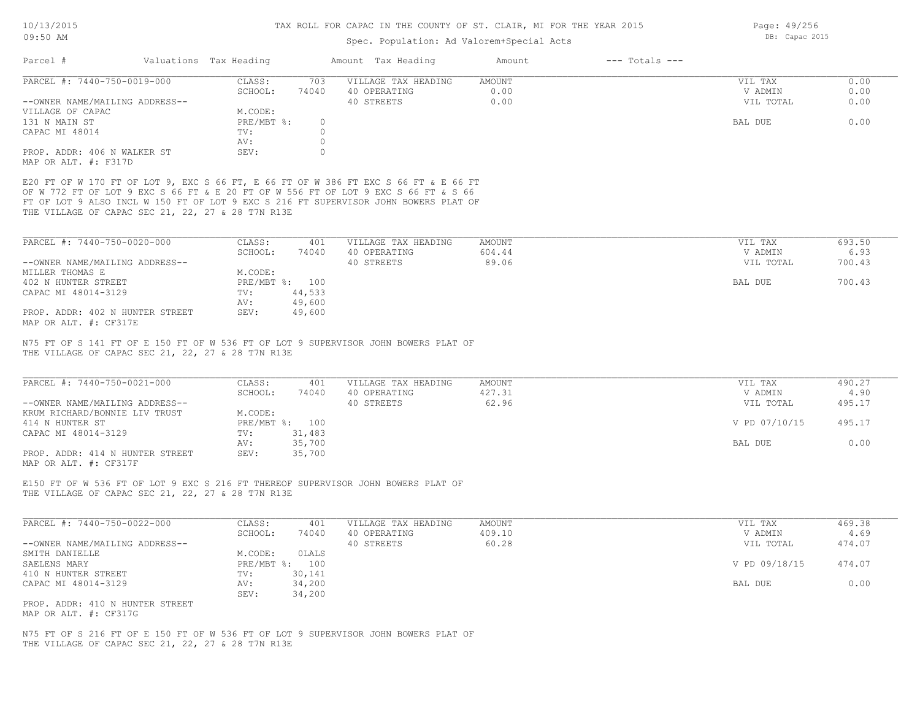| 09:50 AM                                          |                        |         | Spec. Population: Ad Valorem+Special Acts                                           | DB: Capac 2015 |                    |                |        |
|---------------------------------------------------|------------------------|---------|-------------------------------------------------------------------------------------|----------------|--------------------|----------------|--------|
| Parcel #                                          | Valuations Tax Heading |         | Amount Tax Heading                                                                  | Amount         | $---$ Totals $---$ |                |        |
| PARCEL #: 7440-750-0019-000                       | CLASS:                 | 703     | VILLAGE TAX HEADING                                                                 | AMOUNT         |                    | VIL TAX        | 0.00   |
|                                                   | SCHOOL:                | 74040   | 40 OPERATING                                                                        | 0.00           |                    | V ADMIN        | 0.00   |
| --OWNER NAME/MAILING ADDRESS--                    |                        |         | 40 STREETS                                                                          | 0.00           |                    | VIL TOTAL      | 0.00   |
| VILLAGE OF CAPAC                                  | M.CODE:                |         |                                                                                     |                |                    |                |        |
| 131 N MAIN ST                                     | PRE/MBT %:             | $\circ$ |                                                                                     |                |                    | BAL DUE        | 0.00   |
| CAPAC MI 48014                                    | TV:                    | $\circ$ |                                                                                     |                |                    |                |        |
|                                                   | AV:                    | $\circ$ |                                                                                     |                |                    |                |        |
| PROP. ADDR: 406 N WALKER ST                       | SEV:                   | $\circ$ |                                                                                     |                |                    |                |        |
| MAP OR ALT. #: F317D                              |                        |         |                                                                                     |                |                    |                |        |
|                                                   |                        |         | E20 FT OF W 170 FT OF LOT 9, EXC S 66 FT, E 66 FT OF W 386 FT EXC S 66 FT & E 66 FT |                |                    |                |        |
|                                                   |                        |         | OF W 772 FT OF LOT 9 EXC S 66 FT & E 20 FT OF W 556 FT OF LOT 9 EXC S 66 FT & S 66  |                |                    |                |        |
|                                                   |                        |         | FT OF LOT 9 ALSO INCL W 150 FT OF LOT 9 EXC S 216 FT SUPERVISOR JOHN BOWERS PLAT OF |                |                    |                |        |
| THE VILLAGE OF CAPAC SEC 21, 22, 27 & 28 T7N R13E |                        |         |                                                                                     |                |                    |                |        |
|                                                   |                        |         |                                                                                     |                |                    |                |        |
| PARCEL #: 7440-750-0020-000                       |                        | 401     |                                                                                     | AMOUNT         |                    |                | 693.50 |
|                                                   | CLASS:                 |         | VILLAGE TAX HEADING                                                                 |                |                    | VIL TAX        |        |
|                                                   | SCHOOL:                | 74040   | 40 OPERATING                                                                        | 604.44         |                    | V ADMIN        | 6.93   |
| --OWNER NAME/MAILING ADDRESS--                    |                        |         | 40 STREETS                                                                          | 89.06          |                    | VIL TOTAL      | 700.43 |
| MILLER THOMAS E                                   | M.CODE:                |         |                                                                                     |                |                    |                |        |
| 402 N HUNTER STREET                               | PRE/MBT %: 100         |         |                                                                                     |                |                    | BAL DUE        | 700.43 |
| CAPAC MI 48014-3129                               | TV:                    | 44,533  |                                                                                     |                |                    |                |        |
|                                                   | AV:                    | 49,600  |                                                                                     |                |                    |                |        |
| PROP. ADDR: 402 N HUNTER STREET                   | SEV:                   | 49,600  |                                                                                     |                |                    |                |        |
| MAP OR ALT. #: CF317E                             |                        |         |                                                                                     |                |                    |                |        |
|                                                   |                        |         |                                                                                     |                |                    |                |        |
| PARCEL #: 7440-750-0021-000                       | CLASS:                 | 401     | VILLAGE TAX HEADING                                                                 | AMOUNT         |                    | VIL TAX        | 490.27 |
|                                                   | SCHOOL:                | 74040   | 40 OPERATING                                                                        | 427.31         |                    | V ADMIN        | 4.90   |
| --OWNER NAME/MAILING ADDRESS--                    |                        |         | 40 STREETS                                                                          | 62.96          |                    | VIL TOTAL      | 495.17 |
| KRUM RICHARD/BONNIE LIV TRUST                     | M.CODE:                |         |                                                                                     |                |                    |                |        |
| 414 N HUNTER ST                                   | PRE/MBT %: 100         |         |                                                                                     |                |                    | V PD 07/10/15  | 495.17 |
| CAPAC MI 48014-3129                               | TV:                    | 31,483  |                                                                                     |                |                    |                |        |
|                                                   | AV:                    | 35,700  |                                                                                     |                |                    | <b>BAL DUE</b> | 0.00   |
| PROP. ADDR: 414 N HUNTER STREET                   | SEV:                   | 35,700  |                                                                                     |                |                    |                |        |
| MAP OR ALT. #: CF317F                             |                        |         |                                                                                     |                |                    |                |        |
| THE VILLAGE OF CAPAC SEC 21, 22, 27 & 28 T7N R13E |                        |         | E150 FT OF W 536 FT OF LOT 9 EXC S 216 FT THEREOF SUPERVISOR JOHN BOWERS PLAT OF    |                |                    |                |        |
|                                                   |                        |         |                                                                                     |                |                    |                |        |
| PARCEL #: 7440-750-0022-000                       | CLASS:                 | 401     | VILLAGE TAX HEADING                                                                 | <b>AMOUNT</b>  |                    | VIL TAX        | 469.38 |
|                                                   | SCHOOL:                | 74040   | 40 OPERATING                                                                        | 409.10         |                    | V ADMIN        | 4.69   |
| --OWNER NAME/MAILING ADDRESS--                    |                        |         | 40 STREETS                                                                          | 60.28          |                    | VIL TOTAL      | 474.07 |
| SMITH DANIELLE                                    | M.CODE:                | OLALS   |                                                                                     |                |                    |                |        |
| SAELENS MARY                                      | PRE/MBT %: 100         |         |                                                                                     |                |                    | V PD 09/18/15  | 474.07 |
|                                                   |                        | 30,141  |                                                                                     |                |                    |                |        |
| 410 N HUNTER STREET                               | TV:                    |         |                                                                                     |                |                    |                |        |
| CAPAC MI 48014-3129                               | AV:                    | 34,200  |                                                                                     |                |                    | BAL DUE        | 0.00   |
|                                                   | SEV:                   | 34,200  |                                                                                     |                |                    |                |        |
| PROP. ADDR: 410 N HUNTER STREET                   |                        |         |                                                                                     |                |                    |                |        |
| MAP OR ALT. #: CF317G                             |                        |         |                                                                                     |                |                    |                |        |
|                                                   |                        |         |                                                                                     |                |                    |                |        |
|                                                   |                        |         | N75 FT OF S 216 FT OF E 150 FT OF W 536 FT OF LOT 9 SUPERVISOR JOHN BOWERS PLAT OF  |                |                    |                |        |

THE VILLAGE OF CAPAC SEC 21, 22, 27 & 28 T7N R13E

Page: 49/256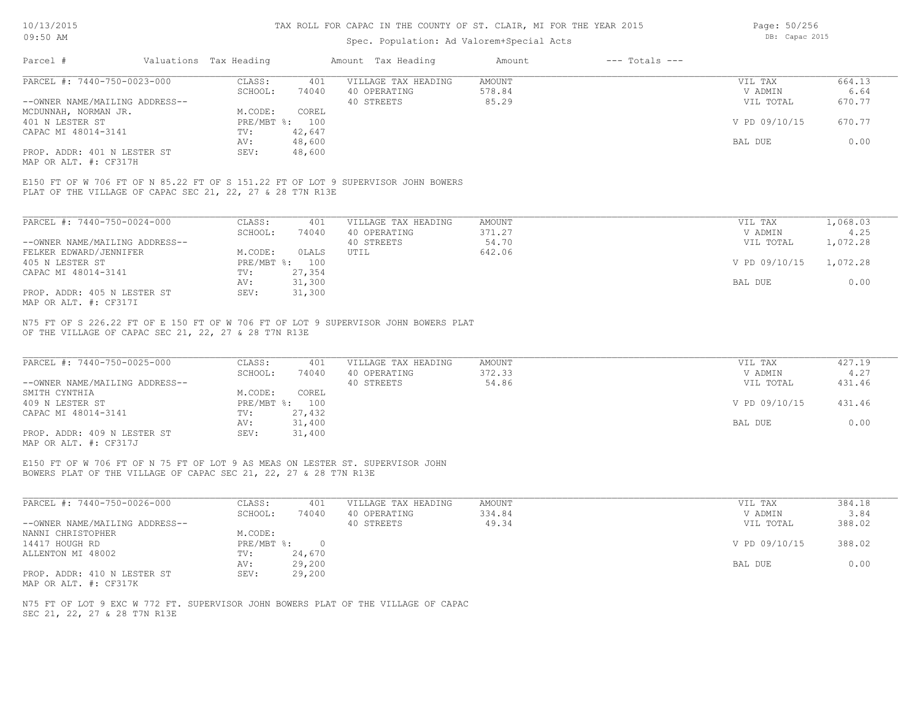## Spec. Population: Ad Valorem+Special Acts

Page: 50/256 DB: Capac 2015

| Parcel #                                     | Valuations Tax Heading |                | Amount Tax Heading  | Amount | $---$ Totals $---$ |               |        |
|----------------------------------------------|------------------------|----------------|---------------------|--------|--------------------|---------------|--------|
| PARCEL #: 7440-750-0023-000                  | CLASS:                 | 401            | VILLAGE TAX HEADING | AMOUNT |                    | VIL TAX       | 664.13 |
|                                              | SCHOOL:                | 74040          | 40 OPERATING        | 578.84 |                    | V ADMIN       | 6.64   |
| --OWNER NAME/MAILING ADDRESS--               |                        |                | 40 STREETS          | 85.29  |                    | VIL TOTAL     | 670.77 |
| MCDUNNAH, NORMAN JR.                         | M.CODE:                | COREL          |                     |        |                    |               |        |
| 401 N LESTER ST                              |                        | PRE/MBT %: 100 |                     |        |                    | V PD 09/10/15 | 670.77 |
| CAPAC MI 48014-3141                          | TV:                    | 42,647         |                     |        |                    |               |        |
|                                              | AV:                    | 48,600         |                     |        |                    | BAL DUE       | 0.00   |
| PROP. ADDR: 401 N LESTER ST                  | SEV:                   | 48,600         |                     |        |                    |               |        |
| $\cdots$ $\cdots$ $\cdots$ $\cdots$ $\cdots$ |                        |                |                     |        |                    |               |        |

MAP OR ALT. #: CF317H

PLAT OF THE VILLAGE OF CAPAC SEC 21, 22, 27 & 28 T7N R13E E150 FT OF W 706 FT OF N 85.22 FT OF S 151.22 FT OF LOT 9 SUPERVISOR JOHN BOWERS

| PARCEL #: 7440-750-0024-000    | CLASS:       | 401    | VILLAGE TAX HEADING | AMOUNT | VIL TAX       | 1,068.03 |
|--------------------------------|--------------|--------|---------------------|--------|---------------|----------|
|                                | SCHOOL:      | 74040  | 40 OPERATING        | 371.27 | V ADMIN       | 4.25     |
| --OWNER NAME/MAILING ADDRESS-- |              |        | 40 STREETS          | 54.70  | VIL TOTAL     | 1,072.28 |
| FELKER EDWARD/JENNIFER         | M.CODE:      | OLALS  | UTIL                | 642.06 |               |          |
| 405 N LESTER ST                | $PRE/MBT$ %: | 100    |                     |        | V PD 09/10/15 | 1,072.28 |
| CAPAC MI 48014-3141            | TV:          | 27,354 |                     |        |               |          |
|                                | AV:          | 31,300 |                     |        | BAL DUE       | 0.00     |
| PROP. ADDR: 405 N LESTER ST    | SEV:         | 31,300 |                     |        |               |          |
| MAP OR ALT. #: CF317I          |              |        |                     |        |               |          |

OF THE VILLAGE OF CAPAC SEC 21, 22, 27 & 28 T7N R13E N75 FT OF S 226.22 FT OF E 150 FT OF W 706 FT OF LOT 9 SUPERVISOR JOHN BOWERS PLAT

| PARCEL #: 7440-750-0025-000    | CLASS:  | 401            | VILLAGE TAX HEADING | AMOUNT | VIL TAX       | 427.19 |
|--------------------------------|---------|----------------|---------------------|--------|---------------|--------|
|                                | SCHOOL: | 74040          | 40 OPERATING        | 372.33 | V ADMIN       | 4.27   |
| --OWNER NAME/MAILING ADDRESS-- |         |                | 40 STREETS          | 54.86  | VIL TOTAL     | 431.46 |
| SMITH CYNTHIA                  | M.CODE: | COREL          |                     |        |               |        |
| 409 N LESTER ST                |         | PRE/MBT %: 100 |                     |        | V PD 09/10/15 | 431.46 |
| CAPAC MI 48014-3141            | TV:     | 27,432         |                     |        |               |        |
|                                | AV:     | 31,400         |                     |        | BAL DUE       | 0.00   |
| PROP. ADDR: 409 N LESTER ST    | SEV:    | 31,400         |                     |        |               |        |
|                                |         |                |                     |        |               |        |

MAP OR ALT. #: CF317J

BOWERS PLAT OF THE VILLAGE OF CAPAC SEC 21, 22, 27 & 28 T7N R13E E150 FT OF W 706 FT OF N 75 FT OF LOT 9 AS MEAS ON LESTER ST. SUPERVISOR JOHN

| PARCEL #: 7440-750-0026-000    | CLASS:     | 401    | VILLAGE TAX HEADING | AMOUNT | VIL TAX       | 384.18 |
|--------------------------------|------------|--------|---------------------|--------|---------------|--------|
|                                | SCHOOL:    | 74040  | 40 OPERATING        | 334.84 | V ADMIN       | 3.84   |
| --OWNER NAME/MAILING ADDRESS-- |            |        | 40 STREETS          | 49.34  | VIL TOTAL     | 388.02 |
| NANNI CHRISTOPHER              | M.CODE:    |        |                     |        |               |        |
| 14417 HOUGH RD                 | PRE/MBT %: |        |                     |        | V PD 09/10/15 | 388.02 |
| ALLENTON MI 48002              | TV:        | 24,670 |                     |        |               |        |
|                                | AV:        | 29,200 |                     |        | BAL DUE       | 0.00   |
| PROP. ADDR: 410 N LESTER ST    | SEV:       | 29,200 |                     |        |               |        |
| MAP OR ALT. #: CF317K          |            |        |                     |        |               |        |

SEC 21, 22, 27 & 28 T7N R13E N75 FT OF LOT 9 EXC W 772 FT. SUPERVISOR JOHN BOWERS PLAT OF THE VILLAGE OF CAPAC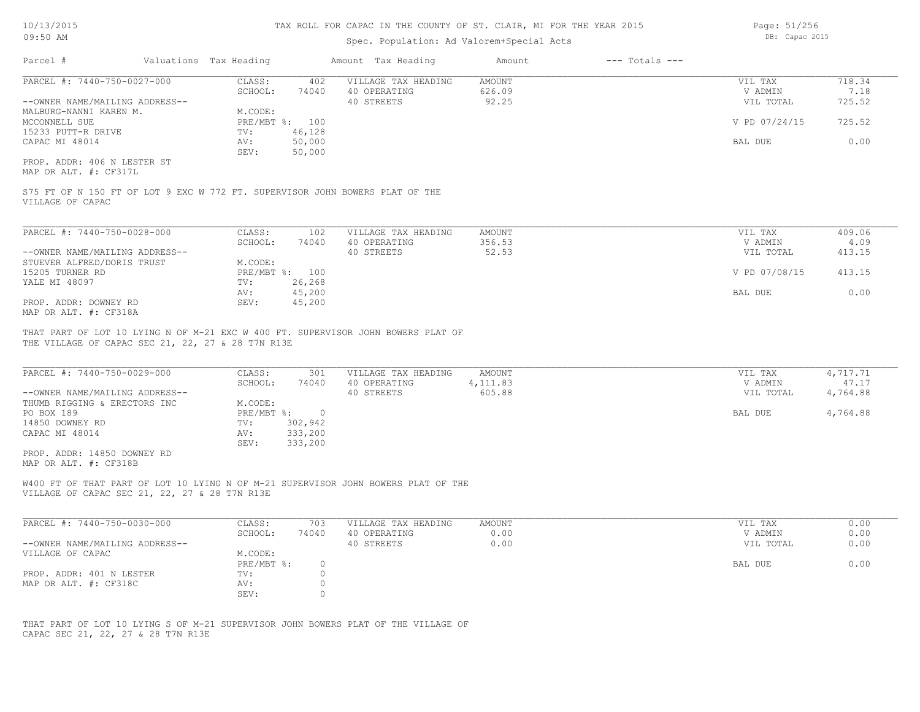## Spec. Population: Ad Valorem+Special Acts

| Parcel #                       | Valuations Tax Heading |        | Amount Tax Heading  | Amount | $---$ Totals $---$ |               |        |
|--------------------------------|------------------------|--------|---------------------|--------|--------------------|---------------|--------|
| PARCEL #: 7440-750-0027-000    | CLASS:                 | 402    | VILLAGE TAX HEADING | AMOUNT |                    | VIL TAX       | 718.34 |
|                                | SCHOOL:                | 74040  | 40 OPERATING        | 626.09 |                    | V ADMIN       | 7.18   |
| --OWNER NAME/MAILING ADDRESS-- |                        |        | 40 STREETS          | 92.25  |                    | VIL TOTAL     | 725.52 |
| MALBURG-NANNI KAREN M.         | M.CODE:                |        |                     |        |                    |               |        |
| MCCONNELL SUE                  | PRE/MBT %: 100         |        |                     |        |                    | V PD 07/24/15 | 725.52 |
| 15233 PUTT-R DRIVE             | TV:                    | 46,128 |                     |        |                    |               |        |
| CAPAC MI 48014                 | AV:                    | 50,000 |                     |        |                    | BAL DUE       | 0.00   |
|                                | SEV:                   | 50,000 |                     |        |                    |               |        |
| PROP. ADDR: 406 N LESTER ST    |                        |        |                     |        |                    |               |        |

MAP OR ALT. #: CF317L

VILLAGE OF CAPAC S75 FT OF N 150 FT OF LOT 9 EXC W 772 FT. SUPERVISOR JOHN BOWERS PLAT OF THE

| PARCEL #: 7440-750-0028-000    | CLASS:  | 102            | VILLAGE TAX HEADING | AMOUNT | VIL TAX       | 409.06 |
|--------------------------------|---------|----------------|---------------------|--------|---------------|--------|
|                                | SCHOOL: | 74040          | 40 OPERATING        | 356.53 | V ADMIN       | 4.09   |
| --OWNER NAME/MAILING ADDRESS-- |         |                | 40 STREETS          | 52.53  | VIL TOTAL     | 413.15 |
| STUEVER ALFRED/DORIS TRUST     | M.CODE: |                |                     |        |               |        |
| 15205 TURNER RD                |         | PRE/MBT %: 100 |                     |        | V PD 07/08/15 | 413.15 |
| YALE MI 48097                  | TV:     | 26,268         |                     |        |               |        |
|                                | AV:     | 45,200         |                     |        | BAL DUE       | 0.00   |
| PROP. ADDR: DOWNEY RD          | SEV:    | 45,200         |                     |        |               |        |
| MAP OR ALT. #: CF318A          |         |                |                     |        |               |        |

THE VILLAGE OF CAPAC SEC 21, 22, 27 & 28 T7N R13E THAT PART OF LOT 10 LYING N OF M-21 EXC W 400 FT. SUPERVISOR JOHN BOWERS PLAT OF

| PARCEL #: 7440-750-0029-000    | CLASS:     | 301     | VILLAGE TAX HEADING | AMOUNT     | VIL TAX   | 4,717.71 |
|--------------------------------|------------|---------|---------------------|------------|-----------|----------|
|                                | SCHOOL:    | 74040   | 40 OPERATING        | 4, 111, 83 | V ADMIN   | 47.17    |
| --OWNER NAME/MAILING ADDRESS-- |            |         | 40 STREETS          | 605.88     | VIL TOTAL | 4,764.88 |
| THUMB RIGGING & ERECTORS INC   | M.CODE:    |         |                     |            |           |          |
| PO BOX 189                     | PRE/MBT %: |         |                     |            | BAL DUE   | 4,764.88 |
| 14850 DOWNEY RD                | TV:        | 302,942 |                     |            |           |          |
| CAPAC MI 48014                 | AV:        | 333,200 |                     |            |           |          |
|                                | SEV:       | 333,200 |                     |            |           |          |
| PROP. ADDR: 14850 DOWNEY RD    |            |         |                     |            |           |          |
| MAP OR ALT. #: CF318B          |            |         |                     |            |           |          |

VILLAGE OF CAPAC SEC 21, 22, 27 & 28 T7N R13E W400 FT OF THAT PART OF LOT 10 LYING N OF M-21 SUPERVISOR JOHN BOWERS PLAT OF THE

| PARCEL #: 7440-750-0030-000    | CLASS:     | 703   | VILLAGE TAX HEADING | AMOUNT | VIL TAX   | 0.00 |
|--------------------------------|------------|-------|---------------------|--------|-----------|------|
|                                | SCHOOL:    | 74040 | 40 OPERATING        | 0.00   | V ADMIN   | 0.00 |
| --OWNER NAME/MAILING ADDRESS-- |            |       | 40 STREETS          | 0.00   | VIL TOTAL | 0.00 |
| VILLAGE OF CAPAC               | M.CODE:    |       |                     |        |           |      |
|                                | PRE/MBT %: |       |                     |        | BAL DUE   | 0.00 |
| PROP. ADDR: 401 N LESTER       | TV:        |       |                     |        |           |      |
| MAP OR ALT. #: CF318C          | AV:        |       |                     |        |           |      |
|                                | SEV:       |       |                     |        |           |      |

CAPAC SEC 21, 22, 27 & 28 T7N R13E THAT PART OF LOT 10 LYING S OF M-21 SUPERVISOR JOHN BOWERS PLAT OF THE VILLAGE OF Page: 51/256 DB: Capac 2015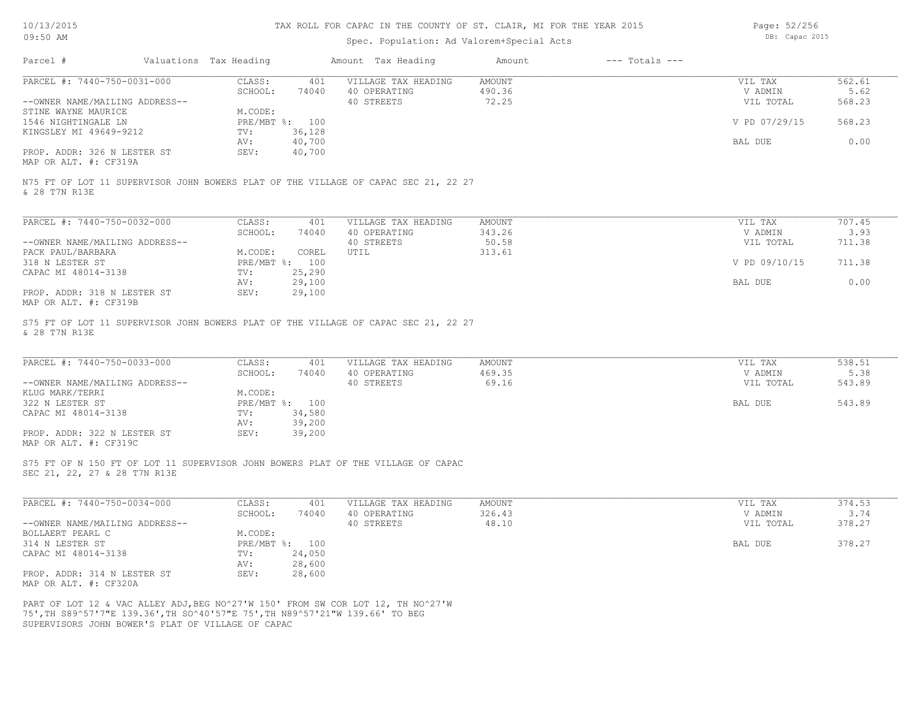# Spec. Population: Ad Valorem+Special Acts

Page: 52/256 DB: Capac 2015

|                                                                                                                  |                                                  | Amount Tax Heading                                | $---$ Totals $---$<br>Amount     |                                 |                          |
|------------------------------------------------------------------------------------------------------------------|--------------------------------------------------|---------------------------------------------------|----------------------------------|---------------------------------|--------------------------|
| PARCEL #: 7440-750-0031-000<br>--OWNER NAME/MAILING ADDRESS--                                                    | CLASS:<br>401<br>SCHOOL:<br>74040                | VILLAGE TAX HEADING<br>40 OPERATING<br>40 STREETS | <b>AMOUNT</b><br>490.36<br>72.25 | VIL TAX<br>V ADMIN<br>VIL TOTAL | 562.61<br>5.62<br>568.23 |
| STINE WAYNE MAURICE<br>1546 NIGHTINGALE LN                                                                       | M.CODE:<br>PRE/MBT %: 100                        |                                                   |                                  | V PD 07/29/15                   | 568.23                   |
| KINGSLEY MI 49649-9212                                                                                           | 36,128<br>TV:<br>40,700<br>AV:                   |                                                   |                                  | BAL DUE                         | 0.00                     |
| PROP. ADDR: 326 N LESTER ST<br>MAP OR ALT. #: CF319A                                                             | 40,700<br>SEV:                                   |                                                   |                                  |                                 |                          |
| N75 FT OF LOT 11 SUPERVISOR JOHN BOWERS PLAT OF THE VILLAGE OF CAPAC SEC 21, 22 27<br>& 28 T7N R13E              |                                                  |                                                   |                                  |                                 |                          |
| PARCEL #: 7440-750-0032-000                                                                                      | CLASS:<br>401                                    | VILLAGE TAX HEADING                               | AMOUNT                           | VIL TAX                         | 707.45                   |
| --OWNER NAME/MAILING ADDRESS--                                                                                   | SCHOOL:<br>74040                                 | 40 OPERATING<br>40 STREETS                        | 343.26<br>50.58                  | V ADMIN<br>VIL TOTAL            | 3.93<br>711.38           |
| PACK PAUL/BARBARA<br>318 N LESTER ST                                                                             | M.CODE:<br>COREL<br>PRE/MBT %: 100               | UTIL                                              | 313.61                           | V PD 09/10/15                   | 711.38                   |
| CAPAC MI 48014-3138<br>PROP. ADDR: 318 N LESTER ST                                                               | 25,290<br>TV:<br>29,100<br>AV:<br>29,100<br>SEV: |                                                   |                                  | BAL DUE                         | 0.00                     |
| MAP OR ALT. #: CF319B                                                                                            |                                                  |                                                   |                                  |                                 |                          |
| S75 FT OF LOT 11 SUPERVISOR JOHN BOWERS PLAT OF THE VILLAGE OF CAPAC SEC 21, 22 27<br>& 28 T7N R13E              |                                                  |                                                   |                                  |                                 |                          |
| PARCEL #: 7440-750-0033-000                                                                                      | CLASS:<br>401<br>SCHOOL:<br>74040                | VILLAGE TAX HEADING<br>40 OPERATING               | AMOUNT<br>469.35                 | VIL TAX<br>V ADMIN              | 538.51<br>5.38           |
| --OWNER NAME/MAILING ADDRESS--<br>KLUG MARK/TERRI                                                                | M.CODE:                                          | 40 STREETS                                        | 69.16                            | VIL TOTAL                       | 543.89                   |
| 322 N LESTER ST<br>CAPAC MI 48014-3138                                                                           | PRE/MBT %: 100<br>34,580<br>TV:                  |                                                   |                                  | BAL DUE                         | 543.89                   |
| PROP. ADDR: 322 N LESTER ST<br>MAP OR ALT. #: CF319C                                                             | AV:<br>39,200<br>SEV:<br>39,200                  |                                                   |                                  |                                 |                          |
| S75 FT OF N 150 FT OF LOT 11 SUPERVISOR JOHN BOWERS PLAT OF THE VILLAGE OF CAPAC<br>SEC 21, 22, 27 & 28 T7N R13E |                                                  |                                                   |                                  |                                 |                          |
|                                                                                                                  |                                                  |                                                   |                                  |                                 | 374.53                   |
| PARCEL #: 7440-750-0034-000                                                                                      | CLASS:<br>401                                    | VILLAGE TAX HEADING                               | AMOUNT                           | VIL TAX                         |                          |
| --OWNER NAME/MAILING ADDRESS--                                                                                   | SCHOOL:<br>74040                                 | 40 OPERATING<br>40 STREETS                        | 326.43<br>48.10                  | V ADMIN<br>VIL TOTAL            | 3.74<br>378.27           |
| BOLLAERT PEARL C<br>314 N LESTER ST                                                                              | M.CODE:<br>PRE/MBT %: 100                        |                                                   |                                  | BAL DUE                         | 378.27                   |
| CAPAC MI 48014-3138                                                                                              | 24,050<br>TV:<br>AV:<br>28,600                   |                                                   |                                  |                                 |                          |
| PROP. ADDR: 314 N LESTER ST<br>MAP OR ALT. #: CF320A                                                             | SEV:<br>28,600                                   |                                                   |                                  |                                 |                          |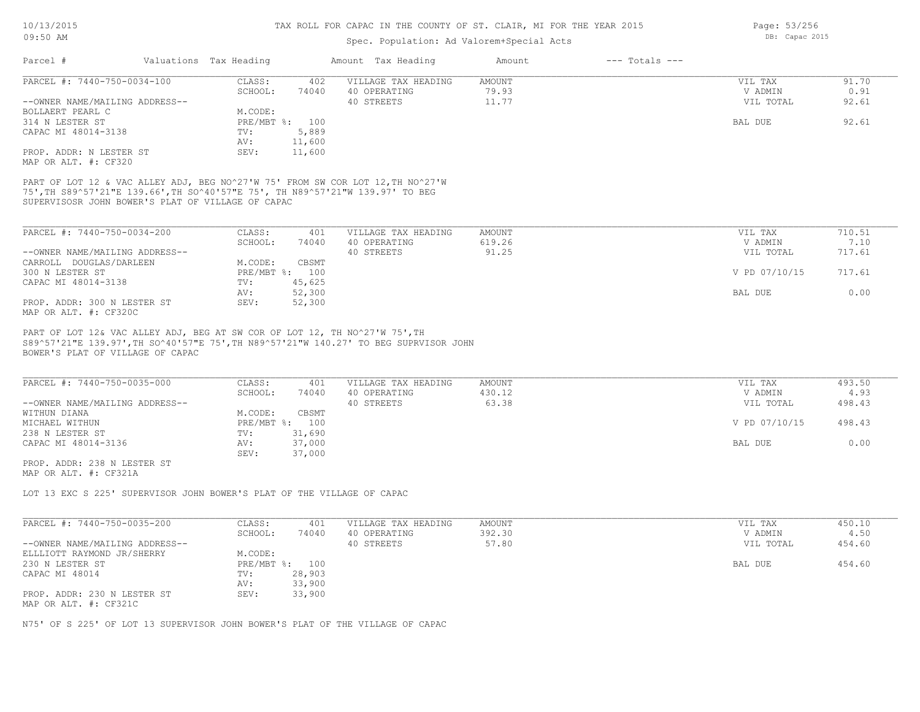# Spec. Population: Ad Valorem+Special Acts

| Parcel #                       | Valuations Tax Heading |        | Amount Tax Heading  | Amount | $---$ Totals $---$ |           |       |
|--------------------------------|------------------------|--------|---------------------|--------|--------------------|-----------|-------|
| PARCEL #: 7440-750-0034-100    | CLASS:                 | 402    | VILLAGE TAX HEADING | AMOUNT |                    | VIL TAX   | 91.70 |
|                                | SCHOOL:                | 74040  | 40 OPERATING        | 79.93  |                    | V ADMIN   | 0.91  |
| --OWNER NAME/MAILING ADDRESS-- |                        |        | 40 STREETS          | 11.77  |                    | VIL TOTAL | 92.61 |
| BOLLAERT PEARL C               | M.CODE:                |        |                     |        |                    |           |       |
| 314 N LESTER ST                | PRE/MBT %: 100         |        |                     |        |                    | BAL DUE   | 92.61 |
| CAPAC MI 48014-3138            | TV:                    | 5,889  |                     |        |                    |           |       |
|                                | AV:                    | 11,600 |                     |        |                    |           |       |
| PROP. ADDR: N LESTER ST        | SEV:                   | 11,600 |                     |        |                    |           |       |
| MAP OR ALT. #: CF320           |                        |        |                     |        |                    |           |       |

SUPERVISOSR JOHN BOWER'S PLAT OF VILLAGE OF CAPAC 75',TH S89^57'21"E 139.66',TH SO^40'57"E 75', TH N89^57'21"W 139.97' TO BEG PART OF LOT 12 & VAC ALLEY ADJ, BEG NO^27'W 75' FROM SW COR LOT 12,TH NO^27'W

| PARCEL #: 7440-750-0034-200    | CLASS:  | 401            | VILLAGE TAX HEADING | AMOUNT | VIL TAX       | 710.51 |
|--------------------------------|---------|----------------|---------------------|--------|---------------|--------|
|                                | SCHOOL: | 74040          | 40 OPERATING        | 619.26 | V ADMIN       | 7.10   |
| --OWNER NAME/MAILING ADDRESS-- |         |                | 40 STREETS          | 91.25  | VIL TOTAL     | 717.61 |
| CARROLL DOUGLAS/DARLEEN        | M.CODE: | CBSMT          |                     |        |               |        |
| 300 N LESTER ST                |         | PRE/MBT %: 100 |                     |        | V PD 07/10/15 | 717.61 |
| CAPAC MI 48014-3138            | TV:     | 45,625         |                     |        |               |        |
|                                | AV:     | 52,300         |                     |        | BAL DUE       | 0.00   |
| PROP. ADDR: 300 N LESTER ST    | SEV:    | 52,300         |                     |        |               |        |
| MAP OR ALT. #: CF320C          |         |                |                     |        |               |        |

BOWER'S PLAT OF VILLAGE OF CAPAC S89^57'21"E 139.97',TH SO^40'57"E 75',TH N89^57'21"W 140.27' TO BEG SUPRVISOR JOHN PART OF LOT 12& VAC ALLEY ADJ, BEG AT SW COR OF LOT 12, TH NO^27'W 75', TH

| PARCEL #: 7440-750-0035-000    | CLASS:         | 401    | VILLAGE TAX HEADING | AMOUNT | VIL TAX       | 493.50 |
|--------------------------------|----------------|--------|---------------------|--------|---------------|--------|
|                                | SCHOOL:        | 74040  | 40 OPERATING        | 430.12 | V ADMIN       | 4.93   |
| --OWNER NAME/MAILING ADDRESS-- |                |        | 40 STREETS          | 63.38  | VIL TOTAL     | 498.43 |
| WITHUN DIANA                   | M.CODE:        | CBSMT  |                     |        |               |        |
| MICHAEL WITHUN                 | PRE/MBT %: 100 |        |                     |        | V PD 07/10/15 | 498.43 |
| 238 N LESTER ST                | TV:            | 31,690 |                     |        |               |        |
| CAPAC MI 48014-3136            | AV:            | 37,000 |                     |        | BAL DUE       | 0.00   |
|                                | SEV:           | 37,000 |                     |        |               |        |

MAP OR ALT. #: CF321A PROP. ADDR: 238 N LESTER ST

LOT 13 EXC S 225' SUPERVISOR JOHN BOWER'S PLAT OF THE VILLAGE OF CAPAC

| PARCEL #: 7440-750-0035-200    | CLASS:       | 401    | VILLAGE TAX HEADING | AMOUNT | VIL TAX   | 450.10 |
|--------------------------------|--------------|--------|---------------------|--------|-----------|--------|
|                                | SCHOOL:      | 74040  | 40 OPERATING        | 392.30 | V ADMIN   | 4.50   |
| --OWNER NAME/MAILING ADDRESS-- |              |        | 40 STREETS          | 57.80  | VIL TOTAL | 454.60 |
| ELLLIOTT RAYMOND JR/SHERRY     | M.CODE:      |        |                     |        |           |        |
| 230 N LESTER ST                | $PRE/MBT$ %: | 100    |                     |        | BAL DUE   | 454.60 |
| CAPAC MI 48014                 | TV:          | 28,903 |                     |        |           |        |
|                                | AV:          | 33,900 |                     |        |           |        |
| PROP. ADDR: 230 N LESTER ST    | SEV:         | 33,900 |                     |        |           |        |
| MAP OR ALT. #: CF321C          |              |        |                     |        |           |        |

N75' OF S 225' OF LOT 13 SUPERVISOR JOHN BOWER'S PLAT OF THE VILLAGE OF CAPAC

Page: 53/256 DB: Capac 2015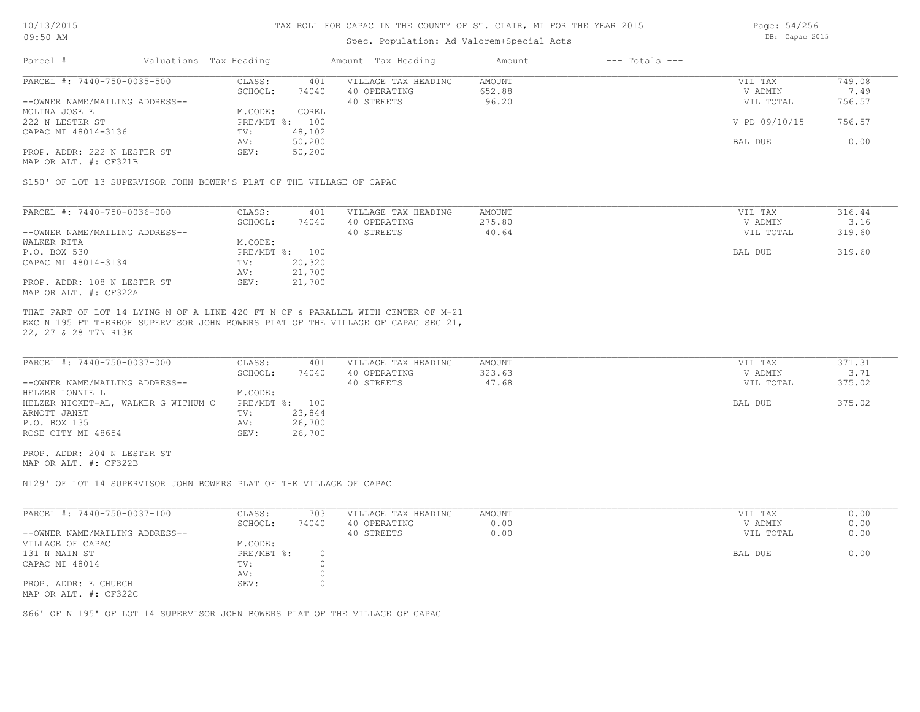## Spec. Population: Ad Valorem+Special Acts

| Parcel #                       | Valuations Tax Heading |        | Amount Tax Heading  | Amount | $---$ Totals $---$ |               |        |
|--------------------------------|------------------------|--------|---------------------|--------|--------------------|---------------|--------|
| PARCEL #: 7440-750-0035-500    | CLASS:                 | 401    | VILLAGE TAX HEADING | AMOUNT |                    | VIL TAX       | 749.08 |
|                                | SCHOOL:                | 74040  | 40 OPERATING        | 652.88 |                    | V ADMIN       | 7.49   |
| --OWNER NAME/MAILING ADDRESS-- |                        |        | 40 STREETS          | 96.20  |                    | VIL TOTAL     | 756.57 |
| MOLINA JOSE E                  | M.CODE:                | COREL  |                     |        |                    |               |        |
| 222 N LESTER ST                | PRE/MBT %: 100         |        |                     |        |                    | V PD 09/10/15 | 756.57 |
| CAPAC MI 48014-3136            | TV:                    | 48,102 |                     |        |                    |               |        |
|                                | AV:                    | 50,200 |                     |        |                    | BAL DUE       | 0.00   |
| PROP. ADDR: 222 N LESTER ST    | SEV:                   | 50,200 |                     |        |                    |               |        |
|                                |                        |        |                     |        |                    |               |        |

MAP OR ALT. #: CF321B

S150' OF LOT 13 SUPERVISOR JOHN BOWER'S PLAT OF THE VILLAGE OF CAPAC

| PARCEL #: 7440-750-0036-000    | CLASS:  | 401            | VILLAGE TAX HEADING | AMOUNT | VIL TAX   | 316.44 |
|--------------------------------|---------|----------------|---------------------|--------|-----------|--------|
|                                | SCHOOL: | 74040          | 40 OPERATING        | 275.80 | V ADMIN   | 3.16   |
| --OWNER NAME/MAILING ADDRESS-- |         |                | 40 STREETS          | 40.64  | VIL TOTAL | 319.60 |
| WALKER RITA                    | M.CODE: |                |                     |        |           |        |
| P.O. BOX 530                   |         | PRE/MBT %: 100 |                     |        | BAL DUE   | 319.60 |
| CAPAC MI 48014-3134            | TV:     | 20,320         |                     |        |           |        |
|                                | AV:     | 21,700         |                     |        |           |        |
| PROP. ADDR: 108 N LESTER ST    | SEV:    | 21,700         |                     |        |           |        |
| MAP OR ALT. #: CF322A          |         |                |                     |        |           |        |

22, 27 & 28 T7N R13E EXC N 195 FT THEREOF SUPERVISOR JOHN BOWERS PLAT OF THE VILLAGE OF CAPAC SEC 21, THAT PART OF LOT 14 LYING N OF A LINE 420 FT N OF & PARALLEL WITH CENTER OF M-21

| PARCEL #: 7440-750-0037-000         | CLASS:         | 401    | VILLAGE TAX HEADING | AMOUNT | VIL TAX   | 371.31 |
|-------------------------------------|----------------|--------|---------------------|--------|-----------|--------|
|                                     | SCHOOL:        | 74040  | 40 OPERATING        | 323.63 | V ADMIN   | 3.71   |
| --OWNER NAME/MAILING ADDRESS--      |                |        | 40 STREETS          | 47.68  | VIL TOTAL | 375.02 |
| HELZER LONNIE L                     | M.CODE:        |        |                     |        |           |        |
| HELZER NICKET-AL, WALKER G WITHUM C | PRE/MBT %: 100 |        |                     |        | BAL DUE   | 375.02 |
| ARNOTT JANET                        | TV:            | 23,844 |                     |        |           |        |
| P.O. BOX 135                        | AV:            | 26,700 |                     |        |           |        |
| ROSE CITY MI 48654                  | SEV:           | 26,700 |                     |        |           |        |

MAP OR ALT. #: CF322B PROP. ADDR: 204 N LESTER ST

N129' OF LOT 14 SUPERVISOR JOHN BOWERS PLAT OF THE VILLAGE OF CAPAC

| PARCEL #: 7440-750-0037-100    | CLASS:     | 703   | VILLAGE TAX HEADING | AMOUNT | VIL TAX   | 0.00 |
|--------------------------------|------------|-------|---------------------|--------|-----------|------|
|                                | SCHOOL:    | 74040 | 40 OPERATING        | 0.00   | V ADMIN   | 0.00 |
| --OWNER NAME/MAILING ADDRESS-- |            |       | 40 STREETS          | 0.00   | VIL TOTAL | 0.00 |
| VILLAGE OF CAPAC               | M.CODE:    |       |                     |        |           |      |
| 131 N MAIN ST                  | PRE/MBT %: |       |                     |        | BAL DUE   | 0.00 |
| CAPAC MI 48014                 | TV:        |       |                     |        |           |      |
|                                | AV:        |       |                     |        |           |      |
| PROP. ADDR: E CHURCH           | SEV:       |       |                     |        |           |      |
| MAP OR ALT. #: CF322C          |            |       |                     |        |           |      |

S66' OF N 195' OF LOT 14 SUPERVISOR JOHN BOWERS PLAT OF THE VILLAGE OF CAPAC

Page: 54/256 DB: Capac 2015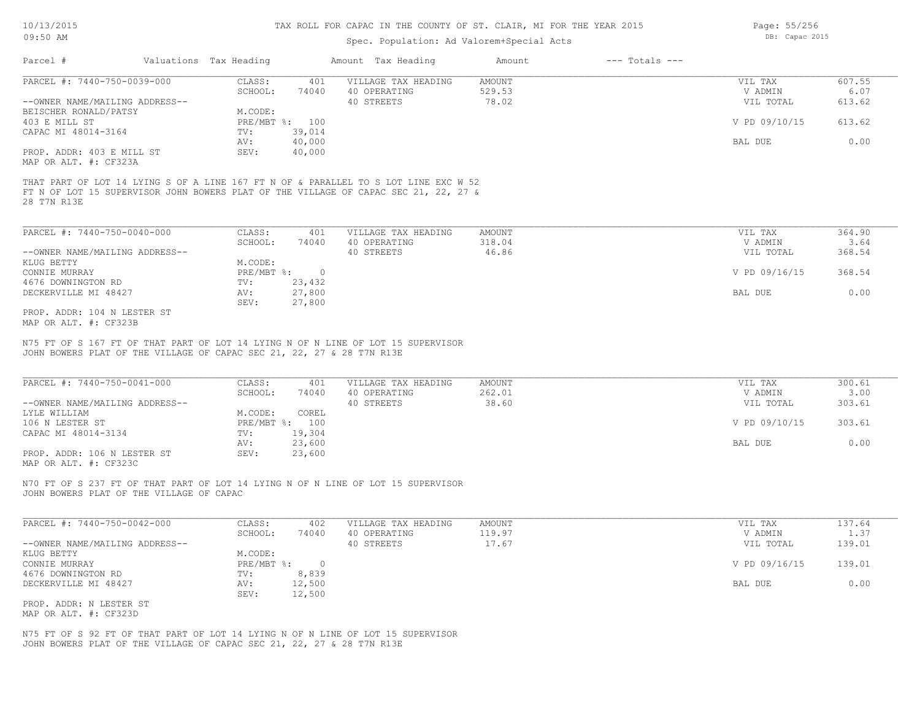## Spec. Population: Ad Valorem+Special Acts

| Parcel #                       | Valuations Tax Heading |                | Amount Tax Heading                                                                  | Amount | $---$ Totals $---$ |               |        |
|--------------------------------|------------------------|----------------|-------------------------------------------------------------------------------------|--------|--------------------|---------------|--------|
| PARCEL #: 7440-750-0039-000    | CLASS:                 | 401            | VILLAGE TAX HEADING                                                                 | AMOUNT |                    | VIL TAX       | 607.55 |
|                                | SCHOOL:                | 74040          | 40 OPERATING                                                                        | 529.53 |                    | V ADMIN       | 6.07   |
| --OWNER NAME/MAILING ADDRESS-- |                        |                | 40 STREETS                                                                          | 78.02  |                    | VIL TOTAL     | 613.62 |
| BEISCHER RONALD/PATSY          | M.CODE:                |                |                                                                                     |        |                    |               |        |
| 403 E MILL ST                  |                        | PRE/MBT %: 100 |                                                                                     |        |                    | V PD 09/10/15 | 613.62 |
| CAPAC MI 48014-3164            | TV:                    | 39,014         |                                                                                     |        |                    |               |        |
|                                | AV:                    | 40,000         |                                                                                     |        |                    | BAL DUE       | 0.00   |
| PROP. ADDR: 403 E MILL ST      | SEV:                   | 40,000         |                                                                                     |        |                    |               |        |
| MAP OR ALT. #: CF323A          |                        |                |                                                                                     |        |                    |               |        |
|                                |                        |                |                                                                                     |        |                    |               |        |
|                                |                        |                | THAT PART OF LOT 14 LYING S OF A LINE 167 FT N OF & PARALLEL TO S LOT LINE EXC W 52 |        |                    |               |        |
|                                |                        |                | FT N OF LOT 15 SUPERVISOR JOHN BOWERS PLAT OF THE VILLAGE OF CAPAC SEC 21, 22, 27 & |        |                    |               |        |
| 28 T7N R13E                    |                        |                |                                                                                     |        |                    |               |        |
|                                |                        |                |                                                                                     |        |                    |               |        |
|                                |                        |                |                                                                                     |        |                    |               |        |

| PARCEL #: 7440-750-0040-000    | CLASS:     | 401    | VILLAGE TAX HEADING | AMOUNT | VIL TAX       | 364.90 |  |
|--------------------------------|------------|--------|---------------------|--------|---------------|--------|--|
|                                | SCHOOL:    | 74040  | 40 OPERATING        | 318.04 | V ADMIN       | 3.64   |  |
| --OWNER NAME/MAILING ADDRESS-- |            |        | 40 STREETS          | 46.86  | VIL TOTAL     | 368.54 |  |
| KLUG BETTY                     | M.CODE:    |        |                     |        |               |        |  |
| CONNIE MURRAY                  | PRE/MBT %: | $\cap$ |                     |        | V PD 09/16/15 | 368.54 |  |
| 4676 DOWNINGTON RD             | TV:        | 23,432 |                     |        |               |        |  |
| DECKERVILLE MI 48427           | AV:        | 27,800 |                     |        | BAL DUE       | 0.00   |  |
|                                | SEV:       | 27,800 |                     |        |               |        |  |
| PROP. ADDR: 104 N LESTER ST    |            |        |                     |        |               |        |  |

MAP OR ALT. #: CF323B

JOHN BOWERS PLAT OF THE VILLAGE OF CAPAC SEC 21, 22, 27 & 28 T7N R13E N75 FT OF S 167 FT OF THAT PART OF LOT 14 LYING N OF N LINE OF LOT 15 SUPERVISOR

| PARCEL #: 7440-750-0041-000    | CLASS:  | 401            | VILLAGE TAX HEADING | AMOUNT | VIL TAX       | 300.61 |
|--------------------------------|---------|----------------|---------------------|--------|---------------|--------|
|                                | SCHOOL: | 74040          | 40 OPERATING        | 262.01 | V ADMIN       | 3.00   |
| --OWNER NAME/MAILING ADDRESS-- |         |                | 40 STREETS          | 38.60  | VIL TOTAL     | 303.61 |
| LYLE WILLIAM                   | M.CODE: | COREL          |                     |        |               |        |
| 106 N LESTER ST                |         | PRE/MBT %: 100 |                     |        | V PD 09/10/15 | 303.61 |
| CAPAC MI 48014-3134            | TV:     | 19,304         |                     |        |               |        |
|                                | AV:     | 23,600         |                     |        | BAL DUE       | 0.00   |
| PROP. ADDR: 106 N LESTER ST    | SEV:    | 23,600         |                     |        |               |        |
|                                |         |                |                     |        |               |        |

MAP OR ALT. #: CF323C

JOHN BOWERS PLAT OF THE VILLAGE OF CAPAC N70 FT OF S 237 FT OF THAT PART OF LOT 14 LYING N OF N LINE OF LOT 15 SUPERVISOR

| PARCEL #: 7440-750-0042-000    | CLASS:     | 402    | VILLAGE TAX HEADING | AMOUNT | VIL TAX       | 137.64 |
|--------------------------------|------------|--------|---------------------|--------|---------------|--------|
|                                | SCHOOL:    | 74040  | 40 OPERATING        | 119.97 | V ADMIN       | 1.37   |
| --OWNER NAME/MAILING ADDRESS-- |            |        | 40 STREETS          | 17.67  | VIL TOTAL     | 139.01 |
| KLUG BETTY                     | M.CODE:    |        |                     |        |               |        |
| CONNIE MURRAY                  | PRE/MBT %: |        |                     |        | V PD 09/16/15 | 139.01 |
| 4676 DOWNINGTON RD             | TV:        | 8,839  |                     |        |               |        |
| DECKERVILLE MI 48427           | AV:        | 12,500 |                     |        | BAL DUE       | 0.00   |
|                                | SEV:       | 12,500 |                     |        |               |        |
| PROP. ADDR: N LESTER ST        |            |        |                     |        |               |        |

MAP OR ALT. #: CF323D

JOHN BOWERS PLAT OF THE VILLAGE OF CAPAC SEC 21, 22, 27 & 28 T7N R13E N75 FT OF S 92 FT OF THAT PART OF LOT 14 LYING N OF N LINE OF LOT 15 SUPERVISOR Page: 55/256 DB: Capac 2015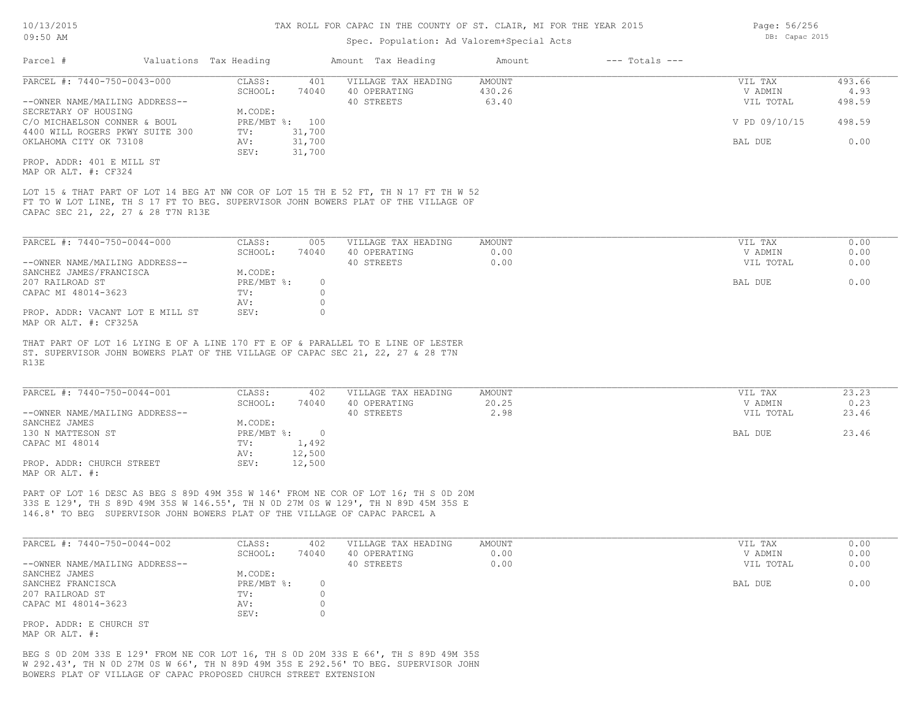Page: 56/256 DB: Capac 2015

# Spec. Population: Ad Valorem+Special Acts

| Parcel #                                                                                                                                                                                                        | Valuations Tax Heading |                             |         | Amount Tax Heading                                                                                                                                                      | Amount        | $---$ Totals $---$ |               |        |
|-----------------------------------------------------------------------------------------------------------------------------------------------------------------------------------------------------------------|------------------------|-----------------------------|---------|-------------------------------------------------------------------------------------------------------------------------------------------------------------------------|---------------|--------------------|---------------|--------|
| PARCEL #: 7440-750-0043-000                                                                                                                                                                                     |                        | CLASS:                      | 401     | VILLAGE TAX HEADING                                                                                                                                                     | <b>AMOUNT</b> |                    | VIL TAX       | 493.66 |
|                                                                                                                                                                                                                 |                        | SCHOOL:                     | 74040   | 40 OPERATING                                                                                                                                                            | 430.26        |                    | V ADMIN       | 4.93   |
| --OWNER NAME/MAILING ADDRESS--                                                                                                                                                                                  |                        |                             |         | 40 STREETS                                                                                                                                                              | 63.40         |                    | VIL TOTAL     | 498.59 |
| SECRETARY OF HOUSING                                                                                                                                                                                            |                        | M.CODE:                     |         |                                                                                                                                                                         |               |                    |               |        |
| C/O MICHAELSON CONNER & BOUL                                                                                                                                                                                    |                        | PRE/MBT %: 100              |         |                                                                                                                                                                         |               |                    | V PD 09/10/15 | 498.59 |
| 4400 WILL ROGERS PKWY SUITE 300                                                                                                                                                                                 |                        | TV:                         | 31,700  |                                                                                                                                                                         |               |                    |               |        |
| OKLAHOMA CITY OK 73108                                                                                                                                                                                          |                        | AV:                         | 31,700  |                                                                                                                                                                         |               |                    | BAL DUE       | 0.00   |
|                                                                                                                                                                                                                 |                        | SEV:                        | 31,700  |                                                                                                                                                                         |               |                    |               |        |
| PROP. ADDR: 401 E MILL ST<br>MAP OR ALT. #: CF324                                                                                                                                                               |                        |                             |         |                                                                                                                                                                         |               |                    |               |        |
| LOT 15 & THAT PART OF LOT 14 BEG AT NW COR OF LOT 15 TH E 52 FT, TH N 17 FT TH W 52<br>FT TO W LOT LINE, TH S 17 FT TO BEG. SUPERVISOR JOHN BOWERS PLAT OF THE VILLAGE OF<br>CAPAC SEC 21, 22, 27 & 28 T7N R13E |                        |                             |         |                                                                                                                                                                         |               |                    |               |        |
| PARCEL #: 7440-750-0044-000                                                                                                                                                                                     |                        | CLASS:                      | 005     | VILLAGE TAX HEADING                                                                                                                                                     | <b>AMOUNT</b> |                    | VIL TAX       | 0.00   |
|                                                                                                                                                                                                                 |                        | SCHOOL:                     | 74040   | 40 OPERATING                                                                                                                                                            | 0.00          |                    | V ADMIN       | 0.00   |
| --OWNER NAME/MAILING ADDRESS--                                                                                                                                                                                  |                        |                             |         | 40 STREETS                                                                                                                                                              | 0.00          |                    | VIL TOTAL     | 0.00   |
| SANCHEZ JAMES/FRANCISCA                                                                                                                                                                                         |                        | M.CODE:                     |         |                                                                                                                                                                         |               |                    |               |        |
| 207 RAILROAD ST                                                                                                                                                                                                 |                        | PRE/MBT %:                  | $\circ$ |                                                                                                                                                                         |               |                    | BAL DUE       | 0.00   |
| CAPAC MI 48014-3623                                                                                                                                                                                             |                        | TV:                         | $\circ$ |                                                                                                                                                                         |               |                    |               |        |
|                                                                                                                                                                                                                 |                        | AV:                         | $\circ$ |                                                                                                                                                                         |               |                    |               |        |
| PROP. ADDR: VACANT LOT E MILL ST<br>MAP OR ALT. #: CF325A                                                                                                                                                       |                        | SEV:                        | $\circ$ |                                                                                                                                                                         |               |                    |               |        |
| THAT PART OF LOT 16 LYING E OF A LINE 170 FT E OF & PARALLEL TO E LINE OF LESTER<br>ST. SUPERVISOR JOHN BOWERS PLAT OF THE VILLAGE OF CAPAC SEC 21, 22, 27 & 28 T7N<br>R13E                                     |                        |                             |         |                                                                                                                                                                         |               |                    |               |        |
| PARCEL #: 7440-750-0044-001                                                                                                                                                                                     |                        | CLASS:                      | 402     | VILLAGE TAX HEADING                                                                                                                                                     | <b>AMOUNT</b> |                    | VIL TAX       | 23.23  |
|                                                                                                                                                                                                                 |                        | SCHOOL:                     | 74040   | 40 OPERATING                                                                                                                                                            | 20.25         |                    | V ADMIN       | 0.23   |
| --OWNER NAME/MAILING ADDRESS--                                                                                                                                                                                  |                        |                             |         | 40 STREETS                                                                                                                                                              | 2.98          |                    | VIL TOTAL     | 23.46  |
| SANCHEZ JAMES                                                                                                                                                                                                   |                        | M.CODE:                     |         |                                                                                                                                                                         |               |                    |               |        |
| 130 N MATTESON ST                                                                                                                                                                                               |                        | $PRE/MBT$ $\frac{1}{6}$ : 0 |         |                                                                                                                                                                         |               |                    | BAL DUE       | 23.46  |
| CAPAC MI 48014                                                                                                                                                                                                  |                        | TV:                         | 1,492   |                                                                                                                                                                         |               |                    |               |        |
|                                                                                                                                                                                                                 |                        | AV:                         | 12,500  |                                                                                                                                                                         |               |                    |               |        |
| PROP. ADDR: CHURCH STREET<br>MAP OR ALT. #:                                                                                                                                                                     |                        | SEV:                        | 12,500  |                                                                                                                                                                         |               |                    |               |        |
| 146.8' TO BEG SUPERVISOR JOHN BOWERS PLAT OF THE VILLAGE OF CAPAC PARCEL A                                                                                                                                      |                        |                             |         | PART OF LOT 16 DESC AS BEG S 89D 49M 35S W 146' FROM NE COR OF LOT 16; TH S OD 20M<br>33S E 129', TH S 89D 49M 35S W 146.55', TH N OD 27M OS W 129', TH N 89D 45M 35S E |               |                    |               |        |
| PARCEL #: 7440-750-0044-002                                                                                                                                                                                     |                        | CLASS:                      | 402     | VILLAGE TAX HEADING                                                                                                                                                     | <b>AMOUNT</b> |                    | VIL TAX       | 0.00   |
|                                                                                                                                                                                                                 |                        | SCHOOL:                     | 74040   | 40 OPERATING                                                                                                                                                            | 0.00          |                    | V ADMIN       | 0.00   |
| --OWNER NAME/MAILING ADDRESS--                                                                                                                                                                                  |                        |                             |         | 40 STREETS                                                                                                                                                              | 0.00          |                    | VIL TOTAL     | 0.00   |
| SANCHEZ JAMES                                                                                                                                                                                                   |                        | M.CODE:                     |         |                                                                                                                                                                         |               |                    |               |        |
| SANCHEZ FRANCISCA                                                                                                                                                                                               |                        | PRE/MBT %:                  | $\circ$ |                                                                                                                                                                         |               |                    | BAL DUE       | 0.00   |
| 207 RAILROAD ST                                                                                                                                                                                                 |                        | TV:                         | $\circ$ |                                                                                                                                                                         |               |                    |               |        |
| CAPAC MI 48014-3623                                                                                                                                                                                             |                        | AV:                         | $\circ$ |                                                                                                                                                                         |               |                    |               |        |
| PROP. ADDR: E CHURCH ST                                                                                                                                                                                         |                        | SEV:                        | $\circ$ |                                                                                                                                                                         |               |                    |               |        |
| MAP OR ALT. #:                                                                                                                                                                                                  |                        |                             |         |                                                                                                                                                                         |               |                    |               |        |

BOWERS PLAT OF VILLAGE OF CAPAC PROPOSED CHURCH STREET EXTENSION W 292.43', TH N 0D 27M 0S W 66', TH N 89D 49M 35S E 292.56' TO BEG. SUPERVISOR JOHN BEG S 0D 20M 33S E 129' FROM NE COR LOT 16, TH S 0D 20M 33S E 66', TH S 89D 49M 35S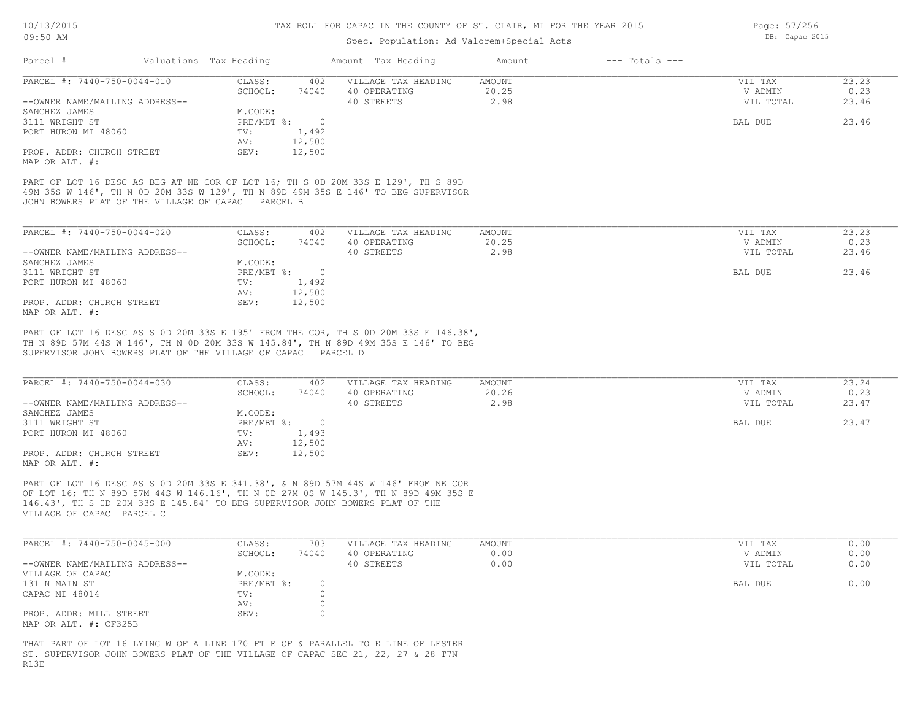## Spec. Population: Ad Valorem+Special Acts

| Parcel #                       | Valuations Tax Heading |        | Amount Tax Heading  | Amount | $---$ Totals $---$ |           |       |
|--------------------------------|------------------------|--------|---------------------|--------|--------------------|-----------|-------|
| PARCEL #: 7440-750-0044-010    | CLASS:                 | 402    | VILLAGE TAX HEADING | AMOUNT |                    | VIL TAX   | 23.23 |
|                                | SCHOOL:                | 74040  | 40 OPERATING        | 20.25  |                    | V ADMIN   | 0.23  |
| --OWNER NAME/MAILING ADDRESS-- |                        |        | 40 STREETS          | 2.98   |                    | VIL TOTAL | 23.46 |
| SANCHEZ JAMES                  | M.CODE:                |        |                     |        |                    |           |       |
| 3111 WRIGHT ST                 | PRE/MBT %:             |        |                     |        |                    | BAL DUE   | 23.46 |
| PORT HURON MI 48060            | TV:                    | 1,492  |                     |        |                    |           |       |
|                                | AV:                    | 12,500 |                     |        |                    |           |       |
| PROP. ADDR: CHURCH STREET      | SEV:                   | 12,500 |                     |        |                    |           |       |
| MAP OR ALT. #:                 |                        |        |                     |        |                    |           |       |

JOHN BOWERS PLAT OF THE VILLAGE OF CAPAC PARCEL B 49M 35S W 146', TH N 0D 20M 33S W 129', TH N 89D 49M 35S E 146' TO BEG SUPERVISOR PART OF LOT 16 DESC AS BEG AT NE COR OF LOT 16; TH S 0D 20M 33S E 129', TH S 89D

| PARCEL #: 7440-750-0044-020    | CLASS:     | 402    | VILLAGE TAX HEADING | AMOUNT | VIL TAX   | 23.23 |
|--------------------------------|------------|--------|---------------------|--------|-----------|-------|
|                                | SCHOOL:    | 74040  | 40 OPERATING        | 20.25  | V ADMIN   | 0.23  |
| --OWNER NAME/MAILING ADDRESS-- |            |        | 40 STREETS          | 2.98   | VIL TOTAL | 23.46 |
| SANCHEZ JAMES                  | M.CODE:    |        |                     |        |           |       |
| 3111 WRIGHT ST                 | PRE/MBT %: |        |                     |        | BAL DUE   | 23.46 |
| PORT HURON MI 48060            | TV:        | 1,492  |                     |        |           |       |
|                                | AV:        | 12,500 |                     |        |           |       |
| PROP. ADDR: CHURCH STREET      | SEV:       | 12,500 |                     |        |           |       |
| MAP OR ALT. #:                 |            |        |                     |        |           |       |

SUPERVISOR JOHN BOWERS PLAT OF THE VILLAGE OF CAPAC PARCEL D TH N 89D 57M 44S W 146', TH N 0D 20M 33S W 145.84', TH N 89D 49M 35S E 146' TO BEG PART OF LOT 16 DESC AS S 0D 20M 33S E 195' FROM THE COR, TH S 0D 20M 33S E 146.38',

| PARCEL #: 7440-750-0044-030    | CLASS:     | 402    | VILLAGE TAX HEADING | AMOUNT | VIL TAX   | 23.24 |
|--------------------------------|------------|--------|---------------------|--------|-----------|-------|
|                                | SCHOOL:    | 74040  | 40 OPERATING        | 20.26  | V ADMIN   | 0.23  |
| --OWNER NAME/MAILING ADDRESS-- |            |        | 40 STREETS          | 2.98   | VIL TOTAL | 23.47 |
| SANCHEZ JAMES                  | M.CODE:    |        |                     |        |           |       |
| 3111 WRIGHT ST                 | PRE/MBT %: |        |                     |        | BAL DUE   | 23.47 |
| PORT HURON MI 48060            | TV:        | 1,493  |                     |        |           |       |
|                                | AV:        | 12,500 |                     |        |           |       |
| PROP. ADDR: CHURCH STREET      | SEV:       | 12,500 |                     |        |           |       |
| MAP OR ALT. #:                 |            |        |                     |        |           |       |

VILLAGE OF CAPAC PARCEL C 146.43', TH S 0D 20M 33S E 145.84' TO BEG SUPERVISOR JOHN BOWERS PLAT OF THE OF LOT 16; TH N 89D 57M 44S W 146.16', TH N 0D 27M 0S W 145.3', TH N 89D 49M 35S E PART OF LOT 16 DESC AS S 0D 20M 33S E 341.38', & N 89D 57M 44S W 146' FROM NE COR

| PARCEL #: 7440-750-0045-000    | CLASS:     | 703   | VILLAGE TAX HEADING | AMOUNT | VIL TAX   | 0.00 |
|--------------------------------|------------|-------|---------------------|--------|-----------|------|
|                                | SCHOOL:    | 74040 | 40 OPERATING        | 0.00   | V ADMIN   | 0.00 |
| --OWNER NAME/MAILING ADDRESS-- |            |       | 40 STREETS          | 0.00   | VIL TOTAL | 0.00 |
| VILLAGE OF CAPAC               | M.CODE:    |       |                     |        |           |      |
| 131 N MAIN ST                  | PRE/MBT %: |       |                     |        | BAL DUE   | 0.00 |
| CAPAC MI 48014                 | TV:        |       |                     |        |           |      |
|                                | AV:        |       |                     |        |           |      |
| PROP. ADDR: MILL STREET        | SEV:       |       |                     |        |           |      |
| MAP OR ALT. #: CF325B          |            |       |                     |        |           |      |

R13E ST. SUPERVISOR JOHN BOWERS PLAT OF THE VILLAGE OF CAPAC SEC 21, 22, 27 & 28 T7N THAT PART OF LOT 16 LYING W OF A LINE 170 FT E OF & PARALLEL TO E LINE OF LESTER Page: 57/256 DB: Capac 2015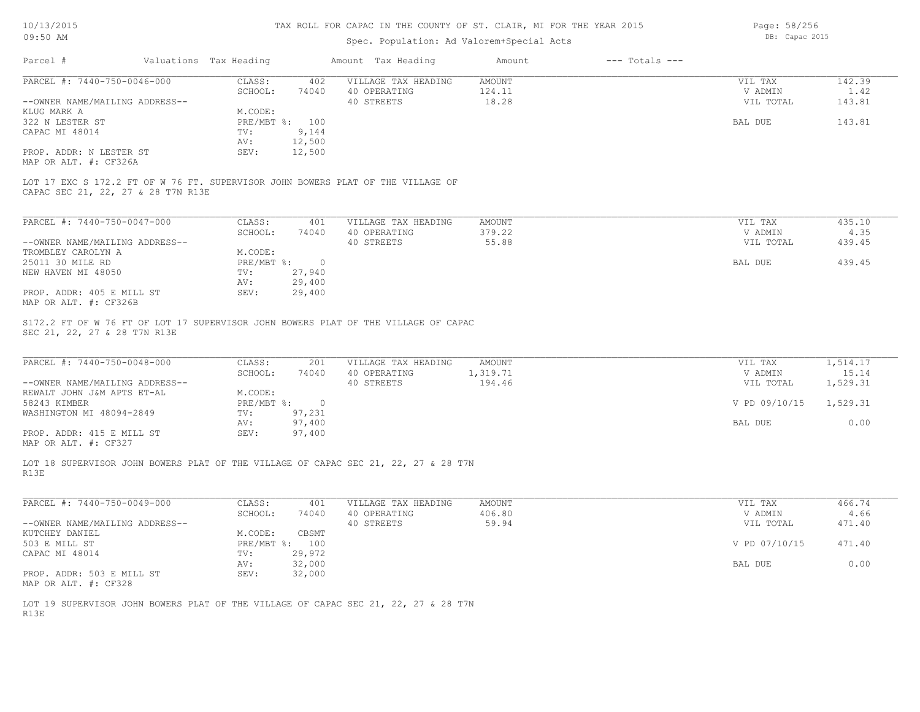# Spec. Population: Ad Valorem+Special Acts

Page: 58/256 DB: Capac 2015

| PARCEL #: 7440-750-0046-000                                                                                                                                                | CLASS:           | 402<br>VILLAGE TAX HEADING | AMOUNT        | VIL TAX       | 142.39   |
|----------------------------------------------------------------------------------------------------------------------------------------------------------------------------|------------------|----------------------------|---------------|---------------|----------|
|                                                                                                                                                                            | SCHOOL:<br>74040 | 40 OPERATING               | 124.11        | V ADMIN       | 1.42     |
| --OWNER NAME/MAILING ADDRESS--                                                                                                                                             |                  | 40 STREETS                 | 18.28         | VIL TOTAL     | 143.81   |
| KLUG MARK A                                                                                                                                                                | M.CODE:          |                            |               |               |          |
| 322 N LESTER ST                                                                                                                                                            | PRE/MBT %: 100   |                            |               | BAL DUE       | 143.81   |
| CAPAC MI 48014                                                                                                                                                             | 9,144<br>TV:     |                            |               |               |          |
|                                                                                                                                                                            | AV:<br>12,500    |                            |               |               |          |
| PROP. ADDR: N LESTER ST                                                                                                                                                    | SEV:<br>12,500   |                            |               |               |          |
| MAP OR ALT. #: CF326A                                                                                                                                                      |                  |                            |               |               |          |
| LOT 17 EXC S 172.2 FT OF W 76 FT. SUPERVISOR JOHN BOWERS PLAT OF THE VILLAGE OF<br>CAPAC SEC 21, 22, 27 & 28 T7N R13E                                                      |                  |                            |               |               |          |
| PARCEL #: 7440-750-0047-000                                                                                                                                                | CLASS:           | VILLAGE TAX HEADING<br>401 | AMOUNT        | VIL TAX       | 435.10   |
|                                                                                                                                                                            | SCHOOL:<br>74040 | 40 OPERATING               | 379.22        | V ADMIN       | 4.35     |
| --OWNER NAME/MAILING ADDRESS--                                                                                                                                             |                  | 40 STREETS                 | 55.88         | VIL TOTAL     | 439.45   |
| TROMBLEY CAROLYN A                                                                                                                                                         | M.CODE:          |                            |               |               |          |
| 25011 30 MILE RD                                                                                                                                                           | PRE/MBT %: 0     |                            |               | BAL DUE       | 439.45   |
| NEW HAVEN MI 48050                                                                                                                                                         | 27,940<br>TV:    |                            |               |               |          |
|                                                                                                                                                                            | 29,400<br>AV:    |                            |               |               |          |
| PROP. ADDR: 405 E MILL ST                                                                                                                                                  |                  |                            |               |               |          |
|                                                                                                                                                                            |                  |                            |               |               |          |
|                                                                                                                                                                            | 29,400<br>SEV:   |                            |               |               |          |
| MAP OR ALT. #: CF326B<br>S172.2 FT OF W 76 FT OF LOT 17 SUPERVISOR JOHN BOWERS PLAT OF THE VILLAGE OF CAPAC<br>SEC 21, 22, 27 & 28 T7N R13E<br>PARCEL #: 7440-750-0048-000 | CLASS:           | 201<br>VILLAGE TAX HEADING | <b>AMOUNT</b> | VIL TAX       | 1,514.17 |
|                                                                                                                                                                            | SCHOOL:<br>74040 | 40 OPERATING               | 1,319.71      | V ADMIN       | 15.14    |
| --OWNER NAME/MAILING ADDRESS--                                                                                                                                             |                  | 40 STREETS                 | 194.46        | VIL TOTAL     | 1,529.31 |
| REWALT JOHN J&M APTS ET-AL                                                                                                                                                 | M.CODE:          |                            |               |               |          |
|                                                                                                                                                                            | PRE/MBT %: 0     |                            |               | V PD 09/10/15 | 1,529.31 |
| 58243 KIMBER<br>WASHINGTON MI 48094-2849                                                                                                                                   | $TV$ :<br>97,231 |                            |               |               |          |
|                                                                                                                                                                            | 97,400<br>AV:    |                            |               | BAL DUE       | 0.00     |
|                                                                                                                                                                            | 97,400<br>SEV:   |                            |               |               |          |
| PROP. ADDR: 415 E MILL ST<br>MAP OR ALT. #: CF327<br>LOT 18 SUPERVISOR JOHN BOWERS PLAT OF THE VILLAGE OF CAPAC SEC 21, 22, 27 & 28 T7N<br>R13E                            |                  |                            |               |               |          |
|                                                                                                                                                                            |                  |                            |               |               |          |
|                                                                                                                                                                            | CLASS:<br>401    | VILLAGE TAX HEADING        | AMOUNT        | VIL TAX       | 466.74   |
|                                                                                                                                                                            | SCHOOL:<br>74040 | 40 OPERATING               | 406.80        | V ADMIN       | 4.66     |
|                                                                                                                                                                            |                  | 40 STREETS                 | 59.94         | VIL TOTAL     | 471.40   |
| PARCEL #: 7440-750-0049-000<br>--OWNER NAME/MAILING ADDRESS--<br>KUTCHEY DANIEL                                                                                            | M.CODE:<br>CBSMT |                            |               |               |          |
| 503 E MILL ST                                                                                                                                                              | PRE/MBT %: 100   |                            |               | V PD 07/10/15 | 471.40   |
| CAPAC MI 48014                                                                                                                                                             | 29,972<br>TV:    |                            |               |               |          |
|                                                                                                                                                                            | 32,000<br>AV:    |                            |               | BAL DUE       | 0.00     |
| PROP. ADDR: 503 E MILL ST                                                                                                                                                  | SEV:<br>32,000   |                            |               |               |          |

R13E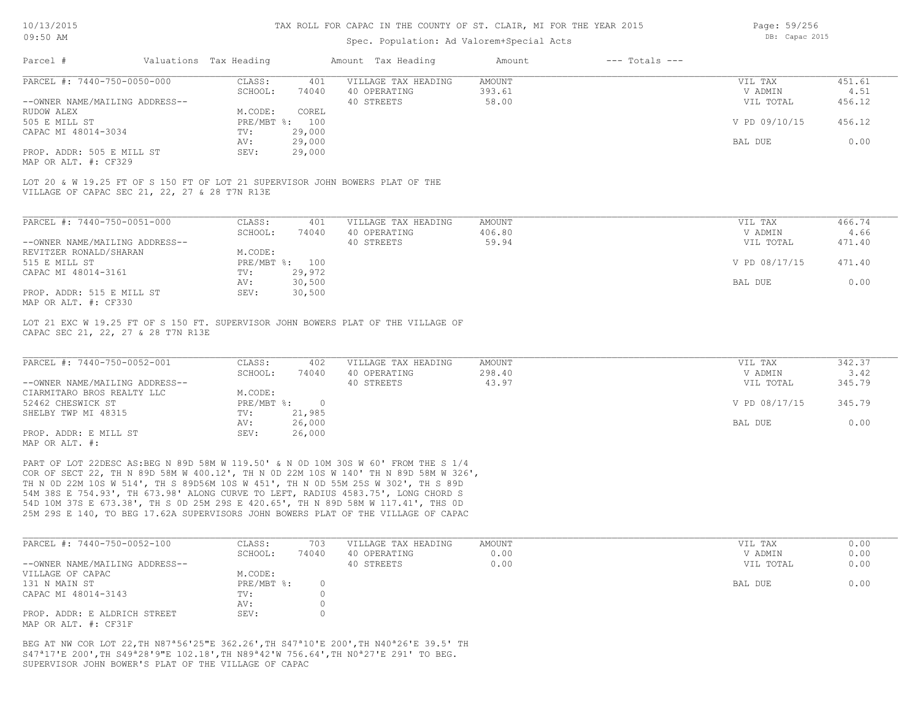## Spec. Population: Ad Valorem+Special Acts

Page: 59/256 DB: Capac 2015

| Parcel #                       | Valuations Tax Heading |        | Amount Tax Heading  | Amount | $---$ Totals $---$ |               |        |
|--------------------------------|------------------------|--------|---------------------|--------|--------------------|---------------|--------|
| PARCEL #: 7440-750-0050-000    | CLASS:                 | 401    | VILLAGE TAX HEADING | AMOUNT |                    | VIL TAX       | 451.61 |
|                                | SCHOOL:                | 74040  | 40 OPERATING        | 393.61 |                    | V ADMIN       | 4.51   |
| --OWNER NAME/MAILING ADDRESS-- |                        |        | 40 STREETS          | 58.00  |                    | VIL TOTAL     | 456.12 |
| RUDOW ALEX                     | M.CODE:                | COREL  |                     |        |                    |               |        |
| 505 E MILL ST                  | $PRE/MBT$ %:           | 100    |                     |        |                    | V PD 09/10/15 | 456.12 |
| CAPAC MI 48014-3034            | TV:                    | 29,000 |                     |        |                    |               |        |
|                                | AV:                    | 29,000 |                     |        |                    | BAL DUE       | 0.00   |
| PROP. ADDR: 505 E MILL ST      | SEV:                   | 29,000 |                     |        |                    |               |        |
| $\frac{1}{2}$                  |                        |        |                     |        |                    |               |        |

MAP OR ALT. #: CF329

VILLAGE OF CAPAC SEC 21, 22, 27 & 28 T7N R13E LOT 20 & W 19.25 FT OF S 150 FT OF LOT 21 SUPERVISOR JOHN BOWERS PLAT OF THE

| PARCEL #: 7440-750-0051-000    | CLASS:     | 401    | VILLAGE TAX HEADING | AMOUNT | 466.74<br>VIL TAX       |
|--------------------------------|------------|--------|---------------------|--------|-------------------------|
|                                | SCHOOL:    | 74040  | 40 OPERATING        | 406.80 | V ADMIN<br>4.66         |
| --OWNER NAME/MAILING ADDRESS-- |            |        | 40 STREETS          | 59.94  | 471.40<br>VIL TOTAL     |
| REVITZER RONALD/SHARAN         | M.CODE:    |        |                     |        |                         |
| 515 E MILL ST                  | PRE/MBT %: | 100    |                     |        | V PD 08/17/15<br>471.40 |
| CAPAC MI 48014-3161            | TV:        | 29,972 |                     |        |                         |
|                                | AV:        | 30,500 |                     |        | 0.00<br>BAL DUE         |
| PROP. ADDR: 515 E MILL ST      | SEV:       | 30,500 |                     |        |                         |
| MAP OR ALT. #: CF330           |            |        |                     |        |                         |

LOT 21 EXC W 19.25 FT OF S 150 FT. SUPERVISOR JOHN BOWERS PLAT OF THE VILLAGE OF

CAPAC SEC 21, 22, 27 & 28 T7N R13E

| PARCEL #: 7440-750-0052-001    | CLASS:     | 402    | VILLAGE TAX HEADING | AMOUNT | VIL TAX       | 342.37 |
|--------------------------------|------------|--------|---------------------|--------|---------------|--------|
|                                | SCHOOL:    | 74040  | 40 OPERATING        | 298.40 | V ADMIN       | 3.42   |
| --OWNER NAME/MAILING ADDRESS-- |            |        | 40 STREETS          | 43.97  | VIL TOTAL     | 345.79 |
| CIARMITARO BROS REALTY LLC     | M.CODE:    |        |                     |        |               |        |
| 52462 CHESWICK ST              | PRE/MBT %: |        |                     |        | V PD 08/17/15 | 345.79 |
| SHELBY TWP MI 48315            | TV:        | 21,985 |                     |        |               |        |
|                                | AV:        | 26,000 |                     |        | BAL DUE       | 0.00   |
| PROP. ADDR: E MILL ST          | SEV:       | 26,000 |                     |        |               |        |
| MAP OR ALT. #:                 |            |        |                     |        |               |        |

25M 29S E 140, TO BEG 17.62A SUPERVISORS JOHN BOWERS PLAT OF THE VILLAGE OF CAPAC 54D 10M 37S E 673.38', TH S 0D 25M 29S E 420.65', TH N 89D 58M W 117.41', THS 0D 54M 38S E 754.93', TH 673.98' ALONG CURVE TO LEFT, RADIUS 4583.75', LONG CHORD S TH N 0D 22M 10S W 514', TH S 89D56M 10S W 451', TH N 0D 55M 25S W 302', TH S 89D COR OF SECT 22, TH N 89D 58M W 400.12', TH N 0D 22M 10S W 140' TH N 89D 58M W 326', PART OF LOT 22DESC AS:BEG N 89D 58M W 119.50' & N 0D 10M 30S W 60' FROM THE S 1/4

| PARCEL #: 7440-750-0052-100    | CLASS:     | 703   | VILLAGE TAX HEADING | AMOUNT | VIL TAX   | 0.00 |
|--------------------------------|------------|-------|---------------------|--------|-----------|------|
|                                | SCHOOL:    | 74040 | 40 OPERATING        | 0.00   | V ADMIN   | 0.00 |
| --OWNER NAME/MAILING ADDRESS-- |            |       | 40 STREETS          | 0.00   | VIL TOTAL | 0.00 |
| VILLAGE OF CAPAC               | M.CODE:    |       |                     |        |           |      |
| 131 N MAIN ST                  | PRE/MBT %: |       |                     |        | BAL DUE   | 0.00 |
| CAPAC MI 48014-3143            | TV:        |       |                     |        |           |      |
|                                | AV:        |       |                     |        |           |      |
| PROP. ADDR: E ALDRICH STREET   | SEV:       |       |                     |        |           |      |
| MAP OR ALT. #: CF31F           |            |       |                     |        |           |      |

SUPERVISOR JOHN BOWER'S PLAT OF THE VILLAGE OF CAPAC S47ª17'E 200',TH S49ª28'9"E 102.18',TH N89ª42'W 756.64',TH N0ª27'E 291' TO BEG. BEG AT NW COR LOT 22,TH N87ª56'25"E 362.26',TH S47ª10'E 200',TH N40ª26'E 39.5' TH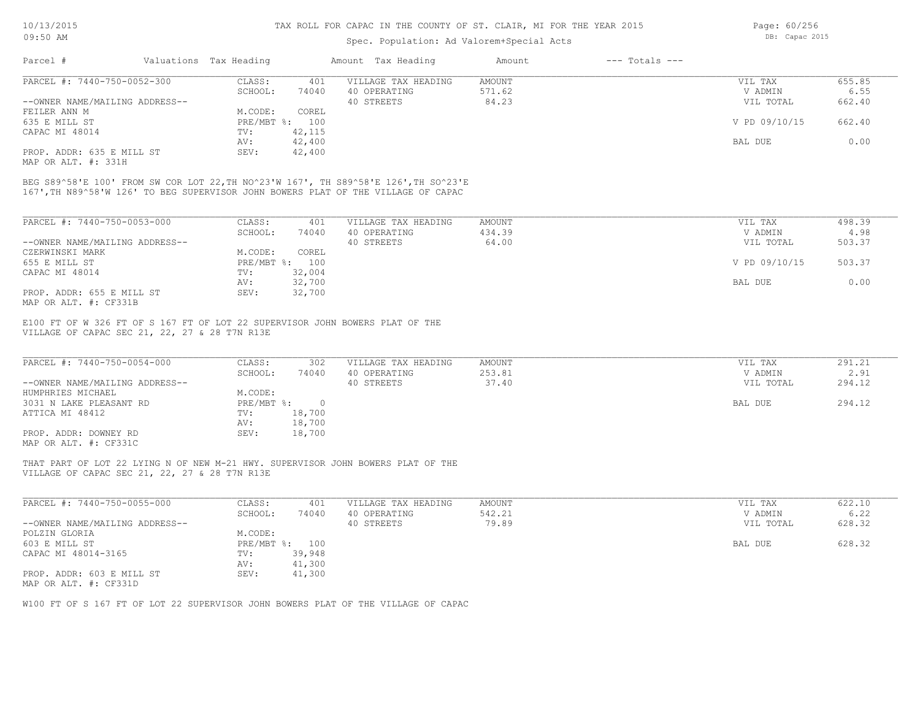# Spec. Population: Ad Valorem+Special Acts

| Parcel #                       | Valuations Tax Heading |        | Amount Tax Heading  | Amount | $---$ Totals $---$ |               |        |
|--------------------------------|------------------------|--------|---------------------|--------|--------------------|---------------|--------|
| PARCEL #: 7440-750-0052-300    | CLASS:                 | 401    | VILLAGE TAX HEADING | AMOUNT |                    | VIL TAX       | 655.85 |
|                                | SCHOOL:                | 74040  | 40 OPERATING        | 571.62 |                    | V ADMIN       | 6.55   |
| --OWNER NAME/MAILING ADDRESS-- |                        |        | 40 STREETS          | 84.23  |                    | VIL TOTAL     | 662.40 |
| FEILER ANN M                   | M.CODE:                | COREL  |                     |        |                    |               |        |
| 635 E MILL ST                  | PRE/MBT %: 100         |        |                     |        |                    | V PD 09/10/15 | 662.40 |
| CAPAC MI 48014                 | TV:                    | 42,115 |                     |        |                    |               |        |
|                                | AV:                    | 42,400 |                     |        |                    | BAL DUE       | 0.00   |

MAP OR ALT. #: 331H PROP. ADDR: 635 E MILL ST SEV: 42,400

167',TH N89^58'W 126' TO BEG SUPERVISOR JOHN BOWERS PLAT OF THE VILLAGE OF CAPAC BEG S89^58'E 100' FROM SW COR LOT 22,TH NO^23'W 167', TH S89^58'E 126',TH SO^23'E

| PARCEL #: 7440-750-0053-000    | CLASS:       | 401    | VILLAGE TAX HEADING | AMOUNT | VIL TAX       | 498.39 |
|--------------------------------|--------------|--------|---------------------|--------|---------------|--------|
|                                | SCHOOL:      | 74040  | 40 OPERATING        | 434.39 | V ADMIN       | 4.98   |
| --OWNER NAME/MAILING ADDRESS-- |              |        | 40 STREETS          | 64.00  | VIL TOTAL     | 503.37 |
| CZERWINSKI MARK                | M.CODE:      | COREL  |                     |        |               |        |
| 655 E MILL ST                  | $PRE/MBT$ %: | 100    |                     |        | V PD 09/10/15 | 503.37 |
| CAPAC MI 48014                 | TV:          | 32,004 |                     |        |               |        |
|                                | AV:          | 32,700 |                     |        | BAL DUE       | 0.00   |
| PROP. ADDR: 655 E MILL ST      | SEV:         | 32,700 |                     |        |               |        |
| MAP OR ALT. #: CF331B          |              |        |                     |        |               |        |

VILLAGE OF CAPAC SEC 21, 22, 27 & 28 T7N R13E E100 FT OF W 326 FT OF S 167 FT OF LOT 22 SUPERVISOR JOHN BOWERS PLAT OF THE

| PARCEL #: 7440-750-0054-000    | CLASS:       | 302    | VILLAGE TAX HEADING | AMOUNT | VIL TAX   | 291.21 |
|--------------------------------|--------------|--------|---------------------|--------|-----------|--------|
|                                | SCHOOL:      | 74040  | 40 OPERATING        | 253.81 | V ADMIN   | 2.91   |
| --OWNER NAME/MAILING ADDRESS-- |              |        | 40 STREETS          | 37.40  | VIL TOTAL | 294.12 |
| HUMPHRIES MICHAEL              | M.CODE:      |        |                     |        |           |        |
| 3031 N LAKE PLEASANT RD        | $PRE/MBT$ %: |        |                     |        | BAL DUE   | 294.12 |
| ATTICA MI 48412                | TV:          | 18,700 |                     |        |           |        |
|                                | AV:          | 18,700 |                     |        |           |        |
| PROP. ADDR: DOWNEY RD          | SEV:         | 18,700 |                     |        |           |        |
| MAP OR ALT. #: CF331C          |              |        |                     |        |           |        |

VILLAGE OF CAPAC SEC 21, 22, 27 & 28 T7N R13E THAT PART OF LOT 22 LYING N OF NEW M-21 HWY. SUPERVISOR JOHN BOWERS PLAT OF THE

| PARCEL #: 7440-750-0055-000    | CLASS:  | 401            | VILLAGE TAX HEADING | AMOUNT | VIL TAX   | 622.10 |
|--------------------------------|---------|----------------|---------------------|--------|-----------|--------|
|                                | SCHOOL: | 74040          | 40 OPERATING        | 542.21 | V ADMIN   | 6.22   |
| --OWNER NAME/MAILING ADDRESS-- |         |                | 40 STREETS          | 79.89  | VIL TOTAL | 628.32 |
| POLZIN GLORIA                  | M.CODE: |                |                     |        |           |        |
| 603 E MILL ST                  |         | PRE/MBT %: 100 |                     |        | BAL DUE   | 628.32 |
| CAPAC MI 48014-3165            | TV:     | 39,948         |                     |        |           |        |
|                                | AV:     | 41,300         |                     |        |           |        |
| PROP. ADDR: 603 E MILL ST      | SEV:    | 41,300         |                     |        |           |        |
| MAP OR ALT. #: CF331D          |         |                |                     |        |           |        |

W100 FT OF S 167 FT OF LOT 22 SUPERVISOR JOHN BOWERS PLAT OF THE VILLAGE OF CAPAC

Page: 60/256 DB: Capac 2015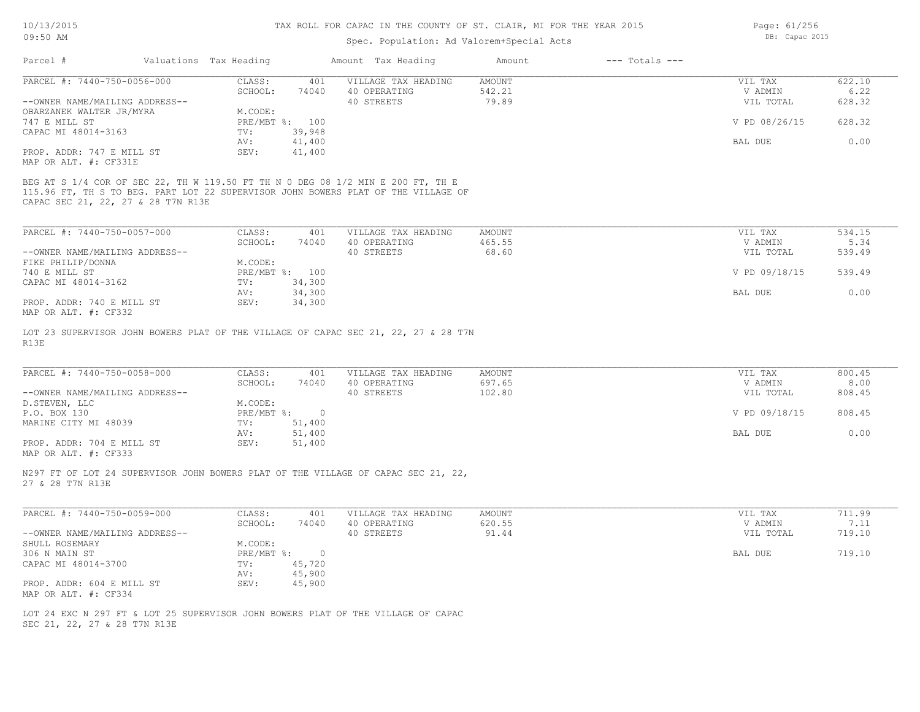# Spec. Population: Ad Valorem+Special Acts

| Parcel #                       | Valuations Tax Heading |                | Amount Tax Heading  | Amount | $---$ Totals $---$ |               |        |
|--------------------------------|------------------------|----------------|---------------------|--------|--------------------|---------------|--------|
| PARCEL #: 7440-750-0056-000    | CLASS:                 | 401            | VILLAGE TAX HEADING | AMOUNT |                    | VIL TAX       | 622.10 |
|                                | SCHOOL:                | 74040          | 40 OPERATING        | 542.21 |                    | V ADMIN       | 6.22   |
| --OWNER NAME/MAILING ADDRESS-- |                        |                | 40 STREETS          | 79.89  |                    | VIL TOTAL     | 628.32 |
| OBARZANEK WALTER JR/MYRA       | M.CODE:                |                |                     |        |                    |               |        |
| 747 E MILL ST                  |                        | PRE/MBT %: 100 |                     |        |                    | V PD 08/26/15 | 628.32 |
| CAPAC MI 48014-3163            | TV:                    | 39,948         |                     |        |                    |               |        |
|                                | AV:                    | 41,400         |                     |        |                    | BAL DUE       | 0.00   |
| PROP. ADDR: 747 E MILL ST      | SEV:                   | 41,400         |                     |        |                    |               |        |
| MAP OR ALT. #: CF331E          |                        |                |                     |        |                    |               |        |

CAPAC SEC 21, 22, 27 & 28 T7N R13E

| PARCEL #: 7440-750-0057-000    | CLASS:  | 401            | VILLAGE TAX HEADING | AMOUNT | VIL TAX       | 534.15 |
|--------------------------------|---------|----------------|---------------------|--------|---------------|--------|
|                                | SCHOOL: | 74040          | 40 OPERATING        | 465.55 | V ADMIN       | 5.34   |
| --OWNER NAME/MAILING ADDRESS-- |         |                | 40 STREETS          | 68.60  | VIL TOTAL     | 539.49 |
| FIKE PHILIP/DONNA              | M.CODE: |                |                     |        |               |        |
| 740 E MILL ST                  |         | PRE/MBT %: 100 |                     |        | V PD 09/18/15 | 539.49 |
| CAPAC MI 48014-3162            | TV:     | 34,300         |                     |        |               |        |
|                                | AV:     | 34,300         |                     |        | BAL DUE       | 0.00   |
| PROP. ADDR: 740 E MILL ST      | SEV:    | 34,300         |                     |        |               |        |
| MAP OR ALT. #: CF332           |         |                |                     |        |               |        |

R13E LOT 23 SUPERVISOR JOHN BOWERS PLAT OF THE VILLAGE OF CAPAC SEC 21, 22, 27 & 28 T7N

| PARCEL #: 7440-750-0058-000    | CLASS:     | 401      | VILLAGE TAX HEADING | AMOUNT | VIL TAX       | 800.45 |
|--------------------------------|------------|----------|---------------------|--------|---------------|--------|
|                                | SCHOOL:    | 74040    | 40 OPERATING        | 697.65 | V ADMIN       | 8.00   |
| --OWNER NAME/MAILING ADDRESS-- |            |          | 40 STREETS          | 102.80 | VIL TOTAL     | 808.45 |
| D.STEVEN, LLC                  | M.CODE:    |          |                     |        |               |        |
| P.O. BOX 130                   | PRE/MBT %: | $\Omega$ |                     |        | V PD 09/18/15 | 808.45 |
| MARINE CITY MI 48039           | TV:        | 51,400   |                     |        |               |        |
|                                | AV:        | 51,400   |                     |        | BAL DUE       | 0.00   |
| PROP. ADDR: 704 E MILL ST      | SEV:       | 51,400   |                     |        |               |        |

 $\mathcal{L}_\mathcal{L} = \mathcal{L}_\mathcal{L} = \mathcal{L}_\mathcal{L} = \mathcal{L}_\mathcal{L} = \mathcal{L}_\mathcal{L} = \mathcal{L}_\mathcal{L} = \mathcal{L}_\mathcal{L} = \mathcal{L}_\mathcal{L} = \mathcal{L}_\mathcal{L} = \mathcal{L}_\mathcal{L} = \mathcal{L}_\mathcal{L} = \mathcal{L}_\mathcal{L} = \mathcal{L}_\mathcal{L} = \mathcal{L}_\mathcal{L} = \mathcal{L}_\mathcal{L} = \mathcal{L}_\mathcal{L} = \mathcal{L}_\mathcal{L}$ 

MAP OR ALT. #: CF333

27 & 28 T7N R13E N297 FT OF LOT 24 SUPERVISOR JOHN BOWERS PLAT OF THE VILLAGE OF CAPAC SEC 21, 22,

| PARCEL #: 7440-750-0059-000    | CLASS:       | 401    | VILLAGE TAX HEADING | AMOUNT | VIL TAX   | 711.99 |
|--------------------------------|--------------|--------|---------------------|--------|-----------|--------|
|                                | SCHOOL:      | 74040  | 40 OPERATING        | 620.55 | V ADMIN   | 7.11   |
| --OWNER NAME/MAILING ADDRESS-- |              |        | 40 STREETS          | 91.44  | VIL TOTAL | 719.10 |
| SHULL ROSEMARY                 | M.CODE:      |        |                     |        |           |        |
| 306 N MAIN ST                  | $PRE/MBT$ %: |        |                     |        | BAL DUE   | 719.10 |
| CAPAC MI 48014-3700            | TV:          | 45,720 |                     |        |           |        |
|                                | AV:          | 45,900 |                     |        |           |        |
| PROP. ADDR: 604 E MILL ST      | SEV:         | 45,900 |                     |        |           |        |
| MAP OR ALT. #: CF334           |              |        |                     |        |           |        |

SEC 21, 22, 27 & 28 T7N R13E LOT 24 EXC N 297 FT & LOT 25 SUPERVISOR JOHN BOWERS PLAT OF THE VILLAGE OF CAPAC Page: 61/256 DB: Capac 2015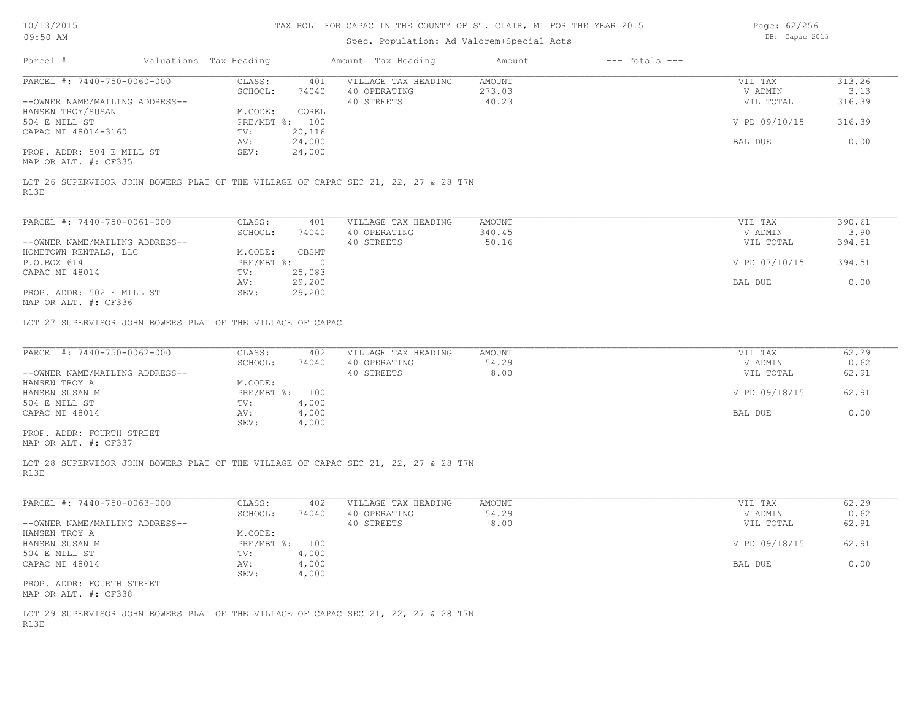| 10/13/2015                                        |                                                            |                        | TAX ROLL FOR CAPAC IN THE COUNTY OF ST. CLAIR, MI FOR THE YEAR 2015 | Page: 62/256                                                                       |                 |                    |                |        |
|---------------------------------------------------|------------------------------------------------------------|------------------------|---------------------------------------------------------------------|------------------------------------------------------------------------------------|-----------------|--------------------|----------------|--------|
| 09:50 AM                                          |                                                            |                        |                                                                     | Spec. Population: Ad Valorem+Special Acts                                          |                 |                    | DB: Capac 2015 |        |
| Parcel #                                          |                                                            | Valuations Tax Heading |                                                                     | Amount Tax Heading                                                                 | Amount          | $---$ Totals $---$ |                |        |
| PARCEL #: 7440-750-0060-000                       |                                                            |                        |                                                                     |                                                                                    |                 |                    |                | 313.26 |
|                                                   |                                                            | CLASS:                 | 401                                                                 | VILLAGE TAX HEADING                                                                | AMOUNT          |                    | VIL TAX        |        |
|                                                   |                                                            | SCHOOL:                | 74040                                                               | 40 OPERATING                                                                       | 273.03          |                    | V ADMIN        | 3.13   |
| --OWNER NAME/MAILING ADDRESS--                    |                                                            |                        |                                                                     | 40 STREETS                                                                         | 40.23           |                    | VIL TOTAL      | 316.39 |
| HANSEN TROY/SUSAN                                 |                                                            | M.CODE:                | COREL                                                               |                                                                                    |                 |                    |                |        |
| 504 E MILL ST                                     |                                                            |                        | PRE/MBT %: 100                                                      |                                                                                    |                 |                    | V PD 09/10/15  | 316.39 |
| CAPAC MI 48014-3160                               |                                                            | TV:                    | 20,116                                                              |                                                                                    |                 |                    |                |        |
|                                                   |                                                            | AV:                    | 24,000                                                              |                                                                                    |                 |                    | BAL DUE        | 0.00   |
| PROP. ADDR: 504 E MILL ST<br>MAP OR ALT. #: CF335 |                                                            | SEV:                   | 24,000                                                              |                                                                                    |                 |                    |                |        |
| R13E                                              |                                                            |                        |                                                                     | LOT 26 SUPERVISOR JOHN BOWERS PLAT OF THE VILLAGE OF CAPAC SEC 21, 22, 27 & 28 T7N |                 |                    |                |        |
| PARCEL #: 7440-750-0061-000                       |                                                            | CLASS:                 | 401                                                                 | VILLAGE TAX HEADING                                                                | AMOUNT          |                    | VIL TAX        | 390.61 |
|                                                   |                                                            |                        |                                                                     |                                                                                    |                 |                    | V ADMIN        | 3.90   |
|                                                   |                                                            | SCHOOL:                | 74040                                                               | 40 OPERATING<br>40 STREETS                                                         | 340.45<br>50.16 |                    |                |        |
| --OWNER NAME/MAILING ADDRESS--                    |                                                            |                        |                                                                     |                                                                                    |                 |                    | VIL TOTAL      | 394.51 |
| HOMETOWN RENTALS, LLC                             |                                                            | M.CODE:                | CBSMT                                                               |                                                                                    |                 |                    |                |        |
| P.O.BOX 614                                       |                                                            | $PRE/MBT$ $\div$       | $\overline{0}$                                                      |                                                                                    |                 |                    | V PD 07/10/15  | 394.51 |
| CAPAC MI 48014                                    |                                                            | TV:                    | 25,083                                                              |                                                                                    |                 |                    |                |        |
|                                                   |                                                            | AV:                    | 29,200                                                              |                                                                                    |                 |                    | BAL DUE        | 0.00   |
| PROP. ADDR: 502 E MILL ST<br>MAP OR ALT. #: CF336 |                                                            | SEV:                   | 29,200                                                              |                                                                                    |                 |                    |                |        |
|                                                   | LOT 27 SUPERVISOR JOHN BOWERS PLAT OF THE VILLAGE OF CAPAC |                        |                                                                     |                                                                                    |                 |                    |                |        |
| PARCEL #: 7440-750-0062-000                       |                                                            | CLASS:                 | 402                                                                 | VILLAGE TAX HEADING                                                                | AMOUNT          |                    | VIL TAX        | 62.29  |
|                                                   |                                                            | SCHOOL:                | 74040                                                               | 40 OPERATING                                                                       | 54.29           |                    | V ADMIN        | 0.62   |
| --OWNER NAME/MAILING ADDRESS--                    |                                                            |                        |                                                                     | 40 STREETS                                                                         | 8.00            |                    | VIL TOTAL      | 62.91  |
| HANSEN TROY A                                     |                                                            | M.CODE:                |                                                                     |                                                                                    |                 |                    |                |        |
| HANSEN SUSAN M                                    |                                                            |                        | PRE/MBT %: 100                                                      |                                                                                    |                 |                    | V PD 09/18/15  | 62.91  |
| 504 E MILL ST                                     |                                                            | TV:                    | 4,000                                                               |                                                                                    |                 |                    |                |        |
| CAPAC MI 48014                                    |                                                            |                        | 4,000                                                               |                                                                                    |                 |                    | BAL DUE        | 0.00   |
|                                                   |                                                            | AV:                    |                                                                     |                                                                                    |                 |                    |                |        |
|                                                   |                                                            | SEV:                   | 4,000                                                               |                                                                                    |                 |                    |                |        |
| PROP. ADDR: FOURTH STREET<br>MAP OR ALT. #: CF337 |                                                            |                        |                                                                     |                                                                                    |                 |                    |                |        |
| R13E                                              |                                                            |                        |                                                                     | LOT 28 SUPERVISOR JOHN BOWERS PLAT OF THE VILLAGE OF CAPAC SEC 21, 22, 27 & 28 T7N |                 |                    |                |        |
| PARCEL #: 7440-750-0063-000                       |                                                            | CLASS:                 | 402                                                                 | VILLAGE TAX HEADING                                                                | AMOUNT          |                    | VIL TAX        | 62.29  |
|                                                   |                                                            | $SCHONT$ :             | 74040                                                               | 40 OPERATING                                                                       | 54.29           |                    | V ADMIN        | 0.62   |

|                                | SCHOOL:    | 74040 | 40 OPERATING | 54.29 | V ADMIN       | 0.62  |
|--------------------------------|------------|-------|--------------|-------|---------------|-------|
| --OWNER NAME/MAILING ADDRESS-- |            |       | 40 STREETS   | 8.00  | VIL TOTAL     | 62.91 |
| HANSEN TROY A                  | M.CODE:    |       |              |       |               |       |
| HANSEN SUSAN M                 | PRE/MBT %: | 100   |              |       | V PD 09/18/15 | 62.91 |
| 504 E MILL ST                  | TV:        | 4,000 |              |       |               |       |
| CAPAC MI 48014                 | AV:        | 4,000 |              |       | BAL DUE       | 0.00  |
|                                | SEV:       | 4,000 |              |       |               |       |
| PROP. ADDR: FOURTH STREET      |            |       |              |       |               |       |

MAP OR ALT. #: CF338

R13E LOT 29 SUPERVISOR JOHN BOWERS PLAT OF THE VILLAGE OF CAPAC SEC 21, 22, 27 & 28 T7N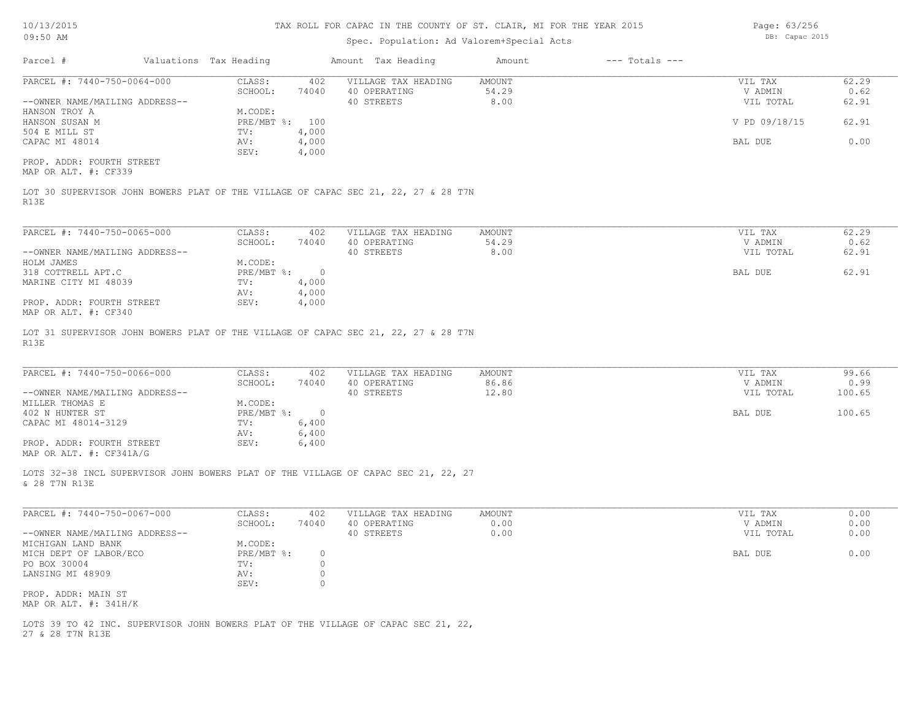Page: 63/256 DB: Capac 2015

| US: JU AIM                                                                                 |                        | pp. capac zuru |                     |               |                    |                |        |
|--------------------------------------------------------------------------------------------|------------------------|----------------|---------------------|---------------|--------------------|----------------|--------|
| Parcel #                                                                                   | Valuations Tax Heading |                | Amount Tax Heading  | Amount        | $---$ Totals $---$ |                |        |
| PARCEL #: 7440-750-0064-000                                                                | CLASS:                 | 402            | VILLAGE TAX HEADING | AMOUNT        |                    | VIL TAX        | 62.29  |
|                                                                                            | SCHOOL:                | 74040          | 40 OPERATING        | 54.29         |                    | V ADMIN        | 0.62   |
| --OWNER NAME/MAILING ADDRESS--                                                             |                        |                | 40 STREETS          | 8.00          |                    | VIL TOTAL      | 62.91  |
| HANSON TROY A                                                                              | M.CODE:                |                |                     |               |                    |                |        |
| HANSON SUSAN M                                                                             | PRE/MBT %: 100         |                |                     |               |                    | V PD 09/18/15  | 62.91  |
| 504 E MILL ST                                                                              | TV:                    | 4,000          |                     |               |                    |                |        |
| CAPAC MI 48014                                                                             | AV:                    | 4,000          |                     |               |                    | BAL DUE        | 0.00   |
|                                                                                            | SEV:                   | 4,000          |                     |               |                    |                |        |
| PROP. ADDR: FOURTH STREET                                                                  |                        |                |                     |               |                    |                |        |
| MAP OR ALT. #: CF339                                                                       |                        |                |                     |               |                    |                |        |
| LOT 30 SUPERVISOR JOHN BOWERS PLAT OF THE VILLAGE OF CAPAC SEC 21, 22, 27 & 28 T7N<br>R13E |                        |                |                     |               |                    |                |        |
| PARCEL #: 7440-750-0065-000                                                                | CLASS:                 | 402            | VILLAGE TAX HEADING | <b>AMOUNT</b> |                    | VIL TAX        | 62.29  |
|                                                                                            | SCHOOL:                | 74040          | 40 OPERATING        | 54.29         |                    | V ADMIN        | 0.62   |
| --OWNER NAME/MAILING ADDRESS--                                                             |                        |                | 40 STREETS          | 8.00          |                    | VIL TOTAL      | 62.91  |
| HOLM JAMES                                                                                 | M.CODE:                |                |                     |               |                    |                |        |
| 318 COTTRELL APT.C                                                                         | PRE/MBT %:             | $\overline{0}$ |                     |               |                    | <b>BAL DUE</b> | 62.91  |
| MARINE CITY MI 48039                                                                       | TV:                    | 4,000          |                     |               |                    |                |        |
|                                                                                            | AV:                    | 4,000          |                     |               |                    |                |        |
| PROP. ADDR: FOURTH STREET                                                                  | SEV:                   | 4,000          |                     |               |                    |                |        |
| MAP OR ALT. #: CF340                                                                       |                        |                |                     |               |                    |                |        |
| LOT 31 SUPERVISOR JOHN BOWERS PLAT OF THE VILLAGE OF CAPAC SEC 21, 22, 27 & 28 T7N<br>R13E |                        |                |                     |               |                    |                |        |
|                                                                                            |                        |                |                     |               |                    |                |        |
| PARCEL #: 7440-750-0066-000                                                                | CLASS:                 | 402            | VILLAGE TAX HEADING | AMOUNT        |                    | VIL TAX        | 99.66  |
|                                                                                            | SCHOOL:                | 74040          | 40 OPERATING        | 86.86         |                    | V ADMIN        | 0.99   |
| --OWNER NAME/MAILING ADDRESS--                                                             |                        |                | 40 STREETS          | 12.80         |                    | VIL TOTAL      | 100.65 |
| MILLER THOMAS E                                                                            | M.CODE:                |                |                     |               |                    |                |        |

| 402 N HUNTER ST     | PRE/MBT %:    | BAL DUE |
|---------------------|---------------|---------|
|                     |               |         |
|                     | ,400<br>TV:   |         |
|                     | 5,400<br>AV:  |         |
| ADDR: FOURTH STREET | 5,400<br>SEV: |         |

& 28 T7N R13E LOTS 32-38 INCL SUPERVISOR JOHN BOWERS PLAT OF THE VILLAGE OF CAPAC SEC 21, 22, 27

| PARCEL #: 7440-750-0067-000    | CLASS:     | 402   | VILLAGE TAX HEADING | AMOUNT | VIL TAX   | 0.00 |
|--------------------------------|------------|-------|---------------------|--------|-----------|------|
|                                | SCHOOL:    | 74040 | 40 OPERATING        | 0.00   | V ADMIN   | 0.00 |
| --OWNER NAME/MAILING ADDRESS-- |            |       | 40 STREETS          | 0.00   | VIL TOTAL | 0.00 |
| MICHIGAN LAND BANK             | M.CODE:    |       |                     |        |           |      |
| MICH DEPT OF LABOR/ECO         | PRE/MBT %: |       |                     |        | BAL DUE   | 0.00 |
| PO BOX 30004                   | TV:        |       |                     |        |           |      |
| LANSING MI 48909               | AV:        |       |                     |        |           |      |
|                                | SEV:       |       |                     |        |           |      |
| PROP. ADDR: MAIN ST            |            |       |                     |        |           |      |
| MAP OR ALT. #: 341H/K          |            |       |                     |        |           |      |

27 & 28 T7N R13E LOTS 39 TO 42 INC. SUPERVISOR JOHN BOWERS PLAT OF THE VILLAGE OF CAPAC SEC 21, 22,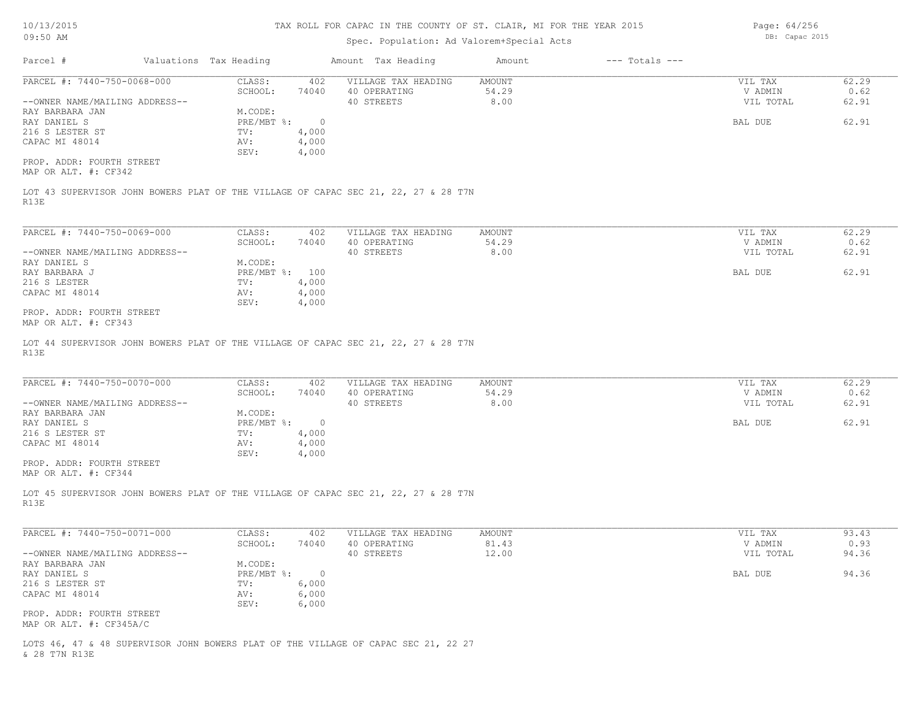10/13/2015 09:50 AM

#### TAX ROLL FOR CAPAC IN THE COUNTY OF ST. CLAIR, MI FOR THE YEAR 2015

# Spec. Population: Ad Valorem+Special Acts

Parcel # Valuations Tax Heading Amount Tax Heading Amount --- Totals ---R13E LOT 43 SUPERVISOR JOHN BOWERS PLAT OF THE VILLAGE OF CAPAC SEC 21, 22, 27 & 28 T7N MAP OR ALT. #: CF342 PROP. ADDR: FOURTH STREET SEV: 4,000 CAPAC MI 48014 **AV:** 4,000 216 S LESTER ST TV: 4,000 RAY DANIEL S PRE/MBT %: 0 BAL DUE 62.91 RAY BARBARA JAN MODE: M.CODE: RAY DANIEL S --OWNER NAME/MAILING ADDRESS-- 40 STREETS 8.00 VIL TOTAL 62.91 SCHOOL: 74040 40 OPERATING 54.29 V ADMIN 0.62 PARCEL #: 7440-750-0068-000 CLASS: 402 VILLAGE TAX HEADING AMOUNT AUGUST AND VIL TAX 62.29<br>SCHOOL: 74040 40 OPERATING 54.29 9 VADMIN 0.62  $\mathcal{L}_\mathcal{L} = \mathcal{L}_\mathcal{L} = \mathcal{L}_\mathcal{L} = \mathcal{L}_\mathcal{L} = \mathcal{L}_\mathcal{L} = \mathcal{L}_\mathcal{L} = \mathcal{L}_\mathcal{L} = \mathcal{L}_\mathcal{L} = \mathcal{L}_\mathcal{L} = \mathcal{L}_\mathcal{L} = \mathcal{L}_\mathcal{L} = \mathcal{L}_\mathcal{L} = \mathcal{L}_\mathcal{L} = \mathcal{L}_\mathcal{L} = \mathcal{L}_\mathcal{L} = \mathcal{L}_\mathcal{L} = \mathcal{L}_\mathcal{L}$ R13E LOT 44 SUPERVISOR JOHN BOWERS PLAT OF THE VILLAGE OF CAPAC SEC 21, 22, 27 & 28 T7N MAP OR ALT. #: CF343 PROP. ADDR: FOURTH STREET SEV: 4,000 CAPAC MI 48014 <br>CAPAC MI 48014 <br>SEV: 4,000 216 S LESTER TV: 4,000 RAY BARBARA J PRE/MBT %: 100 BAL DUE 62.91 RAY DANIEL S<br>
RAY BARBARA J<br>
RAY BARBARA J<br>
M.CODE: NO PRE/MBT %: 100 --OWNER NAME/MAILING ADDRESS-- 40 STREETS 8.00 VIL TOTAL 62.91 SCHOOL: 74040 40 OPERATING 54.29 V ADMIN 0.62 PARCEL #: 7440-750-0069-000 CLASS: 402 VILLAGE TAX HEADING AMOUNT VIL TAX VIL TAX 62.29<br>SCHOOL: 74040 40 OPERATING 54.29 VADMIN 0.62  $\mathcal{L}_\mathcal{L} = \mathcal{L}_\mathcal{L} = \mathcal{L}_\mathcal{L} = \mathcal{L}_\mathcal{L} = \mathcal{L}_\mathcal{L} = \mathcal{L}_\mathcal{L} = \mathcal{L}_\mathcal{L} = \mathcal{L}_\mathcal{L} = \mathcal{L}_\mathcal{L} = \mathcal{L}_\mathcal{L} = \mathcal{L}_\mathcal{L} = \mathcal{L}_\mathcal{L} = \mathcal{L}_\mathcal{L} = \mathcal{L}_\mathcal{L} = \mathcal{L}_\mathcal{L} = \mathcal{L}_\mathcal{L} = \mathcal{L}_\mathcal{L}$ R13E LOT 45 SUPERVISOR JOHN BOWERS PLAT OF THE VILLAGE OF CAPAC SEC 21, 22, 27 & 28 T7N MAP OR ALT. #: CF344 PROP. ADDR: FOURTH STREET SEV: 4,000 CAPAC MI 48014 <br>CAPAC MI 48014 <br>SEV: 4,000 216 S LESTER ST TV: 4,000 RAY DANIEL S PRE/MBT %: 0 BAL DUE 62.91 RAY BARBARA JAN M.CODE: --OWNER NAME/MAILING ADDRESS-- 40 STREETS 8.00 VIL TOTAL 62.91 SCHOOL: 74040 40 OPERATING 54.29 V ADMIN 0.62 PARCEL #: 7440-750-0070-000 CLASS: 402 VILLAGE TAX HEADING AMOUNT AMOUNT VIL TAX VIL TAX 62.29<br>SCHOOL: 74040 40 OPERATING 54.29 9 VADMIN 0.62  $\mathcal{L}_\mathcal{L} = \mathcal{L}_\mathcal{L} = \mathcal{L}_\mathcal{L} = \mathcal{L}_\mathcal{L} = \mathcal{L}_\mathcal{L} = \mathcal{L}_\mathcal{L} = \mathcal{L}_\mathcal{L} = \mathcal{L}_\mathcal{L} = \mathcal{L}_\mathcal{L} = \mathcal{L}_\mathcal{L} = \mathcal{L}_\mathcal{L} = \mathcal{L}_\mathcal{L} = \mathcal{L}_\mathcal{L} = \mathcal{L}_\mathcal{L} = \mathcal{L}_\mathcal{L} = \mathcal{L}_\mathcal{L} = \mathcal{L}_\mathcal{L}$ MAP OR ALT. #: CF345A/C PROP. ADDR: FOURTH STREET SEV: 6,000 CAPAC MI 48014 <br>CAPAC MI 48014 <br>SEV: 6,000 216 S LESTER ST TV: 6,000 RAY DANIEL S PRE/MBT %: 0 BAL DUE 94.36 RAY BARBARA JAN M.CODE: --OWNER NAME/MAILING ADDRESS-- 40 STREETS 12.00 VIL TOTAL 94.36 SCHOOL: 74040 40 OPERATING 81.43 V ADMIN 0.93 PARCEL #: 7440-750-0071-000 CLASS: 402 VILLAGE TAX HEADING AMOUNT VIL TAX VIL TAX 93.43<br>SCHOOL: 74040 40 OPERATING 81.43 VADMIN 0.93  $\mathcal{L}_\mathcal{L} = \mathcal{L}_\mathcal{L} = \mathcal{L}_\mathcal{L} = \mathcal{L}_\mathcal{L} = \mathcal{L}_\mathcal{L} = \mathcal{L}_\mathcal{L} = \mathcal{L}_\mathcal{L} = \mathcal{L}_\mathcal{L} = \mathcal{L}_\mathcal{L} = \mathcal{L}_\mathcal{L} = \mathcal{L}_\mathcal{L} = \mathcal{L}_\mathcal{L} = \mathcal{L}_\mathcal{L} = \mathcal{L}_\mathcal{L} = \mathcal{L}_\mathcal{L} = \mathcal{L}_\mathcal{L} = \mathcal{L}_\mathcal{L}$ 

& 28 T7N R13E LOTS 46, 47 & 48 SUPERVISOR JOHN BOWERS PLAT OF THE VILLAGE OF CAPAC SEC 21, 22 27 Page: 64/256 DB: Capac 2015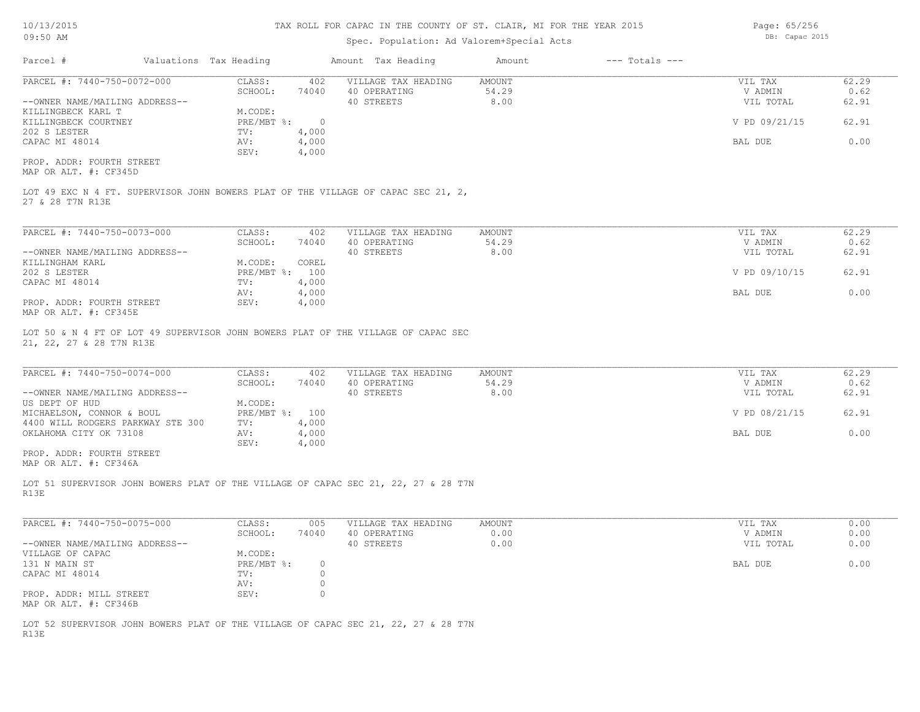# Spec. Population: Ad Valorem+Special Acts

Parcel # Valuations Tax Heading Amount Tax Heading Amount --- Totals ---PROP. ADDR: FOURTH STREET SEV: 4,000 CAPAC MI 48014 AV: 4,000 BAL DUE 0.00 202 S LESTER TV: 4,000<br>
CAPAC MI 48014 AV: 4,000 KILLINGBECK COURTNEY **PRE/MBT %:** 0 0 09/21/15 92.91 0 09/21/15 92.91 KILLINGBECK KARL T M.CODE: --OWNER NAME/MAILING ADDRESS-- 40 STREETS 8.00 VIL TOTAL 62.91 SCHOOL: 74040 40 OPERATING 54.29 V ADMIN 0.62 PARCEL #: 7440-750-0072-000 CLASS: 402 VILLAGE TAX HEADING AMOUNT VIL TAX 62.29  $\mathcal{L}_\mathcal{L} = \mathcal{L}_\mathcal{L} = \mathcal{L}_\mathcal{L} = \mathcal{L}_\mathcal{L} = \mathcal{L}_\mathcal{L} = \mathcal{L}_\mathcal{L} = \mathcal{L}_\mathcal{L} = \mathcal{L}_\mathcal{L} = \mathcal{L}_\mathcal{L} = \mathcal{L}_\mathcal{L} = \mathcal{L}_\mathcal{L} = \mathcal{L}_\mathcal{L} = \mathcal{L}_\mathcal{L} = \mathcal{L}_\mathcal{L} = \mathcal{L}_\mathcal{L} = \mathcal{L}_\mathcal{L} = \mathcal{L}_\mathcal{L}$ 

MAP OR ALT. #: CF345D

27 & 28 T7N R13E LOT 49 EXC N 4 FT. SUPERVISOR JOHN BOWERS PLAT OF THE VILLAGE OF CAPAC SEC 21, 2,

| PARCEL #: 7440-750-0073-000    | CLASS:         | 402   | VILLAGE TAX HEADING | AMOUNT | VIL TAX       | 62.29 |
|--------------------------------|----------------|-------|---------------------|--------|---------------|-------|
|                                | SCHOOL:        | 74040 | 40 OPERATING        | 54.29  | V ADMIN       | 0.62  |
| --OWNER NAME/MAILING ADDRESS-- |                |       | 40 STREETS          | 8.00   | VIL TOTAL     | 62.91 |
| KILLINGHAM KARL                | M.CODE:        | COREL |                     |        |               |       |
| 202 S LESTER                   | PRE/MBT %: 100 |       |                     |        | V PD 09/10/15 | 62.91 |
| CAPAC MI 48014                 | TV:            | 4,000 |                     |        |               |       |
|                                | AV:            | 4,000 |                     |        | BAL DUE       | 0.00  |
| PROP. ADDR: FOURTH STREET      | SEV:           | 4,000 |                     |        |               |       |
| $\frac{1}{2}$                  |                |       |                     |        |               |       |

MAP OR ALT. #: CF345E

21, 22, 27 & 28 T7N R13E LOT 50 & N 4 FT OF LOT 49 SUPERVISOR JOHN BOWERS PLAT OF THE VILLAGE OF CAPAC SEC

| PARCEL #: 7440-750-0074-000       | CLASS:         | 402   | VILLAGE TAX HEADING | AMOUNT | VIL TAX       | 62.29 |
|-----------------------------------|----------------|-------|---------------------|--------|---------------|-------|
|                                   | SCHOOL:        | 74040 | 40 OPERATING        | 54.29  | V ADMIN       | 0.62  |
| --OWNER NAME/MAILING ADDRESS--    |                |       | 40 STREETS          | 8.00   | VIL TOTAL     | 62.91 |
| US DEPT OF HUD                    | M.CODE:        |       |                     |        |               |       |
| MICHAELSON, CONNOR & BOUL         | PRE/MBT %: 100 |       |                     |        | V PD 08/21/15 | 62.91 |
| 4400 WILL RODGERS PARKWAY STE 300 | TV:            | 4,000 |                     |        |               |       |
| OKLAHOMA CITY OK 73108            | AV:            | 4,000 |                     |        | BAL DUE       | 0.00  |
|                                   | SEV:           | 4,000 |                     |        |               |       |
| PROP, ADDR: FOURTH STREET         |                |       |                     |        |               |       |

MAP OR ALT. #: CF346A

R13E LOT 51 SUPERVISOR JOHN BOWERS PLAT OF THE VILLAGE OF CAPAC SEC 21, 22, 27 & 28 T7N

| PARCEL #: 7440-750-0075-000    | CLASS:     | 005   | VILLAGE TAX HEADING | AMOUNT | VIL TAX   | 0.00 |
|--------------------------------|------------|-------|---------------------|--------|-----------|------|
|                                | SCHOOL:    | 74040 | 40 OPERATING        | 0.00   | V ADMIN   | 0.00 |
| --OWNER NAME/MAILING ADDRESS-- |            |       | 40 STREETS          | 0.00   | VIL TOTAL | 0.00 |
| VILLAGE OF CAPAC               | M.CODE:    |       |                     |        |           |      |
| 131 N MAIN ST                  | PRE/MBT %: |       |                     |        | BAL DUE   | 0.00 |
| CAPAC MI 48014                 | TV:        |       |                     |        |           |      |
|                                | AV:        |       |                     |        |           |      |
| PROP. ADDR: MILL STREET        | SEV:       |       |                     |        |           |      |
| MAP OR ALT. #: CF346B          |            |       |                     |        |           |      |

R13E LOT 52 SUPERVISOR JOHN BOWERS PLAT OF THE VILLAGE OF CAPAC SEC 21, 22, 27 & 28 T7N Page: 65/256 DB: Capac 2015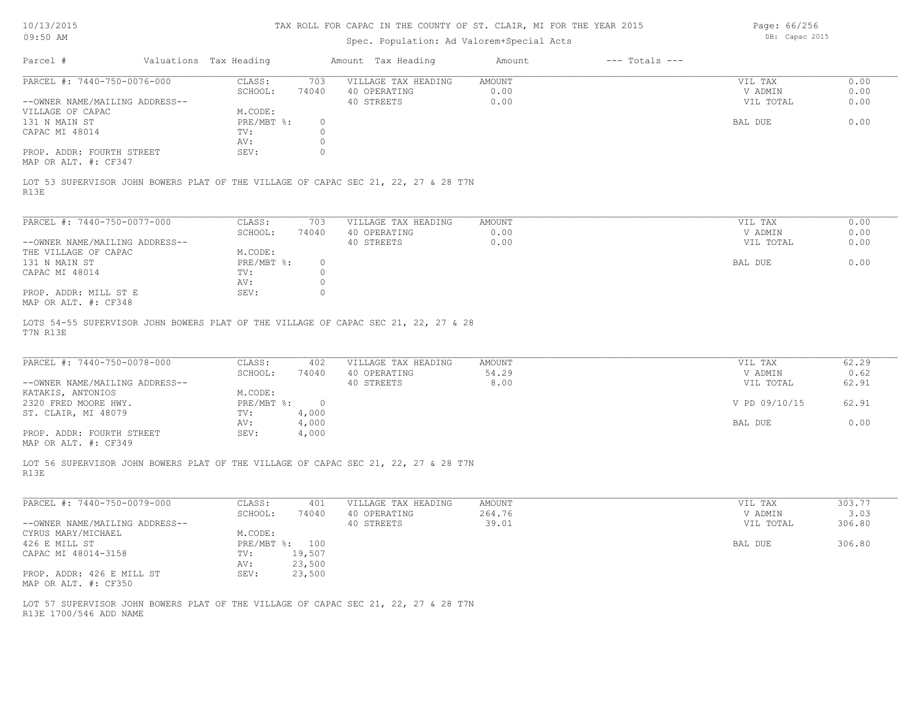Parcel # Valuations Tax Heading Amount Tax Heading Amount --- Totals ---Spec. Population: Ad Valorem+Special Acts DB: Capac 2015 09:50 AM R13E LOT 53 SUPERVISOR JOHN BOWERS PLAT OF THE VILLAGE OF CAPAC SEC 21, 22, 27 & 28 T7N MAP OR ALT. #: CF347 PROP. ADDR: FOURTH STREET SEV: SEV: 0 AV: 0 CAPAC MI 48014 TV: 0<br>
AV: 0 131 N MAIN ST PRE/MBT %: 0 BAL DUE 0.00 VILLAGE OF CAPAC M.CODE: M.CODE: 131 N MAIN ST --OWNER NAME/MAILING ADDRESS-- 40 STREETS 0.00 VIL TOTAL 0.00 SCHOOL: 74040 40 OPERATING 0.00 V ADMIN 0.00 PARCEL #: 7440-750-0076-000 CLASS: 703 VILLAGE TAX HEADING AMOUNT AMOUNT VIL TAX VIL TAX 0.00  $\mathcal{L}_\mathcal{L} = \mathcal{L}_\mathcal{L} = \mathcal{L}_\mathcal{L} = \mathcal{L}_\mathcal{L} = \mathcal{L}_\mathcal{L} = \mathcal{L}_\mathcal{L} = \mathcal{L}_\mathcal{L} = \mathcal{L}_\mathcal{L} = \mathcal{L}_\mathcal{L} = \mathcal{L}_\mathcal{L} = \mathcal{L}_\mathcal{L} = \mathcal{L}_\mathcal{L} = \mathcal{L}_\mathcal{L} = \mathcal{L}_\mathcal{L} = \mathcal{L}_\mathcal{L} = \mathcal{L}_\mathcal{L} = \mathcal{L}_\mathcal{L}$ T7N R13E LOTS 54-55 SUPERVISOR JOHN BOWERS PLAT OF THE VILLAGE OF CAPAC SEC 21, 22, 27 & 28 MAP OR ALT. #: CF348 PROP. ADDR: MILL ST E SEV: 0 AV: 0 CAPAC MI 48014 TV: 0<br>
AV: 0 131 N MAIN ST PRE/MBT %: 0 BAL DUE 0.00 THE VILLAGE OF CAPAC M.CODE: M.CODE: 131 N MAIN ST --OWNER NAME/MAILING ADDRESS-- 40 STREETS 0.00 VIL TOTAL 0.00 SCHOOL: 74040 40 OPERATING 0.00 V ADMIN 0.00 PARCEL #: 7440-750-0077-000 CLASS: 703 VILLAGE TAX HEADING AMOUNT VIL TAX 0.00 PARCEL #: 7440-750-0078-000 CLASS: 402 VILLAGE TAX HEADING AMOUNT VIL TAX VIL TAX 62.29  $\mathcal{L}_\mathcal{L} = \mathcal{L}_\mathcal{L} = \mathcal{L}_\mathcal{L} = \mathcal{L}_\mathcal{L} = \mathcal{L}_\mathcal{L} = \mathcal{L}_\mathcal{L} = \mathcal{L}_\mathcal{L} = \mathcal{L}_\mathcal{L} = \mathcal{L}_\mathcal{L} = \mathcal{L}_\mathcal{L} = \mathcal{L}_\mathcal{L} = \mathcal{L}_\mathcal{L} = \mathcal{L}_\mathcal{L} = \mathcal{L}_\mathcal{L} = \mathcal{L}_\mathcal{L} = \mathcal{L}_\mathcal{L} = \mathcal{L}_\mathcal{L}$ 

|                                | SCHOOL:    | 74040  | 40 OPERATING | 54.29 | V ADMIN       | 0.62  |
|--------------------------------|------------|--------|--------------|-------|---------------|-------|
| --OWNER NAME/MAILING ADDRESS-- |            |        | 40 STREETS   | 8.00  | VIL TOTAL     | 62.91 |
| KATAKIS, ANTONIOS              | M.CODE:    |        |              |       |               |       |
| 2320 FRED MOORE HWY.           | PRE/MBT %: | $\cap$ |              |       | V PD 09/10/15 | 62.91 |
| ST. CLAIR, MI 48079            | TV:        | ,000   |              |       |               |       |
|                                | AV:        | 4,000  |              |       | BAL DUE       | 0.00  |
| PROP. ADDR: FOURTH STREET      | SEV:       | 4,000  |              |       |               |       |

MAP OR ALT. #: CF349

R13E LOT 56 SUPERVISOR JOHN BOWERS PLAT OF THE VILLAGE OF CAPAC SEC 21, 22, 27 & 28 T7N

| PARCEL #: 7440-750-0079-000    | CLASS:       | 401    | VILLAGE TAX HEADING | AMOUNT | VIL TAX   | 303.77 |
|--------------------------------|--------------|--------|---------------------|--------|-----------|--------|
|                                | SCHOOL:      | 74040  | 40 OPERATING        | 264.76 | V ADMIN   | 3.03   |
| --OWNER NAME/MAILING ADDRESS-- |              |        | 40 STREETS          | 39.01  | VIL TOTAL | 306.80 |
| CYRUS MARY/MICHAEL             | M.CODE:      |        |                     |        |           |        |
| 426 E MILL ST                  | $PRE/MBT$ %: | 100    |                     |        | BAL DUE   | 306.80 |
| CAPAC MI 48014-3158            | TV:          | 19,507 |                     |        |           |        |
|                                | AV:          | 23,500 |                     |        |           |        |
| PROP. ADDR: 426 E MILL ST      | SEV:         | 23,500 |                     |        |           |        |
| MAP OR ALT. #: CF350           |              |        |                     |        |           |        |

 $\mathcal{L}_\mathcal{L} = \mathcal{L}_\mathcal{L} = \mathcal{L}_\mathcal{L} = \mathcal{L}_\mathcal{L} = \mathcal{L}_\mathcal{L} = \mathcal{L}_\mathcal{L} = \mathcal{L}_\mathcal{L} = \mathcal{L}_\mathcal{L} = \mathcal{L}_\mathcal{L} = \mathcal{L}_\mathcal{L} = \mathcal{L}_\mathcal{L} = \mathcal{L}_\mathcal{L} = \mathcal{L}_\mathcal{L} = \mathcal{L}_\mathcal{L} = \mathcal{L}_\mathcal{L} = \mathcal{L}_\mathcal{L} = \mathcal{L}_\mathcal{L}$ 

R13E 1700/546 ADD NAME LOT 57 SUPERVISOR JOHN BOWERS PLAT OF THE VILLAGE OF CAPAC SEC 21, 22, 27 & 28 T7N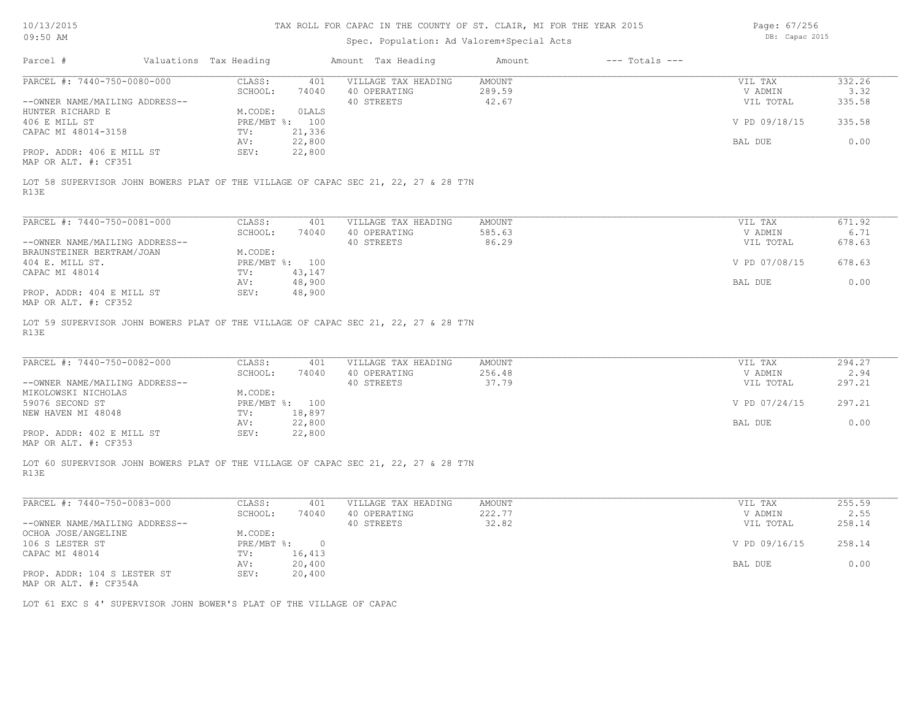Page: 67/256

| 09:50 AM                                              |                                                                                    |                                                     | Spec. Population: Ad Valorem+Special Acts |                    |                      |                |  |  |
|-------------------------------------------------------|------------------------------------------------------------------------------------|-----------------------------------------------------|-------------------------------------------|--------------------|----------------------|----------------|--|--|
| Parcel #                                              | Valuations Tax Heading                                                             | Amount Tax Heading                                  | Amount                                    | $---$ Totals $---$ |                      |                |  |  |
| PARCEL #: 7440-750-0080-000                           | CLASS:<br>SCHOOL:                                                                  | VILLAGE TAX HEADING<br>401<br>74040<br>40 OPERATING | AMOUNT<br>289.59                          |                    | VIL TAX<br>V ADMIN   | 332.26<br>3.32 |  |  |
| --OWNER NAME/MAILING ADDRESS--<br>HUNTER RICHARD E    | M.CODE:                                                                            | 40 STREETS<br>OLALS                                 | 42.67                                     |                    | VIL TOTAL            | 335.58         |  |  |
| 406 E MILL ST<br>CAPAC MI 48014-3158                  | PRE/MBT %: 100<br>21,336<br>TV:                                                    |                                                     |                                           |                    | V PD 09/18/15        | 335.58         |  |  |
| PROP. ADDR: 406 E MILL ST                             | 22,800<br>AV:<br>SEV:<br>22,800                                                    |                                                     |                                           |                    | BAL DUE              | 0.00           |  |  |
| MAP OR ALT. #: CF351<br>R13E                          | LOT 58 SUPERVISOR JOHN BOWERS PLAT OF THE VILLAGE OF CAPAC SEC 21, 22, 27 & 28 T7N |                                                     |                                           |                    |                      |                |  |  |
|                                                       |                                                                                    |                                                     |                                           |                    |                      |                |  |  |
| PARCEL #: 7440-750-0081-000                           | CLASS:                                                                             | 401<br>VILLAGE TAX HEADING                          | AMOUNT                                    |                    | VIL TAX              | 671.92<br>6.71 |  |  |
| --OWNER NAME/MAILING ADDRESS--                        | SCHOOL:                                                                            | 40 OPERATING<br>74040<br>40 STREETS                 | 585.63<br>86.29                           |                    | V ADMIN<br>VIL TOTAL | 678.63         |  |  |
| BRAUNSTEINER BERTRAM/JOAN<br>404 E. MILL ST.          | M.CODE:<br>PRE/MBT %: 100                                                          |                                                     |                                           |                    | V PD 07/08/15        | 678.63         |  |  |
| CAPAC MI 48014                                        | TV:<br>43,147<br>48,900<br>AV:                                                     |                                                     |                                           |                    | BAL DUE              | 0.00           |  |  |
| PROP. ADDR: 404 E MILL ST<br>MAP OR ALT. #: CF352     | 48,900<br>SEV:                                                                     |                                                     |                                           |                    |                      |                |  |  |
| R13E                                                  | LOT 59 SUPERVISOR JOHN BOWERS PLAT OF THE VILLAGE OF CAPAC SEC 21, 22, 27 & 28 T7N |                                                     |                                           |                    |                      |                |  |  |
| PARCEL #: 7440-750-0082-000                           | CLASS:                                                                             | 401<br>VILLAGE TAX HEADING                          | AMOUNT                                    |                    | VIL TAX              | 294.27         |  |  |
| --OWNER NAME/MAILING ADDRESS--                        | SCHOOL:                                                                            | 74040<br>40 OPERATING<br>40 STREETS                 | 256.48<br>37.79                           |                    | V ADMIN<br>VIL TOTAL | 2.94<br>297.21 |  |  |
| MIKOLOWSKI NICHOLAS<br>59076 SECOND ST                | M.CODE:<br>PRE/MBT %: 100                                                          |                                                     |                                           |                    | V PD 07/24/15        | 297.21         |  |  |
| NEW HAVEN MI 48048                                    | 18,897<br>$\text{TV}$ :<br>22,800<br>AV:                                           |                                                     |                                           |                    | BAL DUE              | 0.00           |  |  |
| PROP. ADDR: 402 E MILL ST<br>MAP OR ALT. #: CF353     | SEV:<br>22,800                                                                     |                                                     |                                           |                    |                      |                |  |  |
| R13E                                                  | LOT 60 SUPERVISOR JOHN BOWERS PLAT OF THE VILLAGE OF CAPAC SEC 21, 22, 27 & 28 T7N |                                                     |                                           |                    |                      |                |  |  |
| PARCEL #: 7440-750-0083-000                           | CLASS:                                                                             | VILLAGE TAX HEADING<br>401                          | AMOUNT                                    |                    | VIL TAX              | 255.59         |  |  |
|                                                       | SCHOOL:                                                                            | 74040<br>40 OPERATING                               | 222.77                                    |                    | V ADMIN              | 2.55           |  |  |
| --OWNER NAME/MAILING ADDRESS--<br>OCHOA JOSE/ANGELINE | M.CODE:                                                                            | 40 STREETS                                          | 32.82                                     |                    | VIL TOTAL            | 258.14         |  |  |
| 106 S LESTER ST<br>CAPAC MI 48014                     | $PRE/MBT$ $\div$ :<br>TV: 16,413                                                   | $\circ$                                             |                                           |                    | V PD 09/16/15        | 258.14         |  |  |
| PROP. ADDR: 104 S LESTER ST                           | 20,400<br>AV:<br>SEV:<br>20,400                                                    |                                                     |                                           |                    | BAL DUE              | 0.00           |  |  |
| MAP OR ALT. #: CF354A                                 |                                                                                    |                                                     |                                           |                    |                      |                |  |  |
|                                                       | LOT 61 EXC S 4' SUPERVISOR JOHN BOWER'S PLAT OF THE VILLAGE OF CAPAC               |                                                     |                                           |                    |                      |                |  |  |
|                                                       |                                                                                    |                                                     |                                           |                    |                      |                |  |  |
|                                                       |                                                                                    |                                                     |                                           |                    |                      |                |  |  |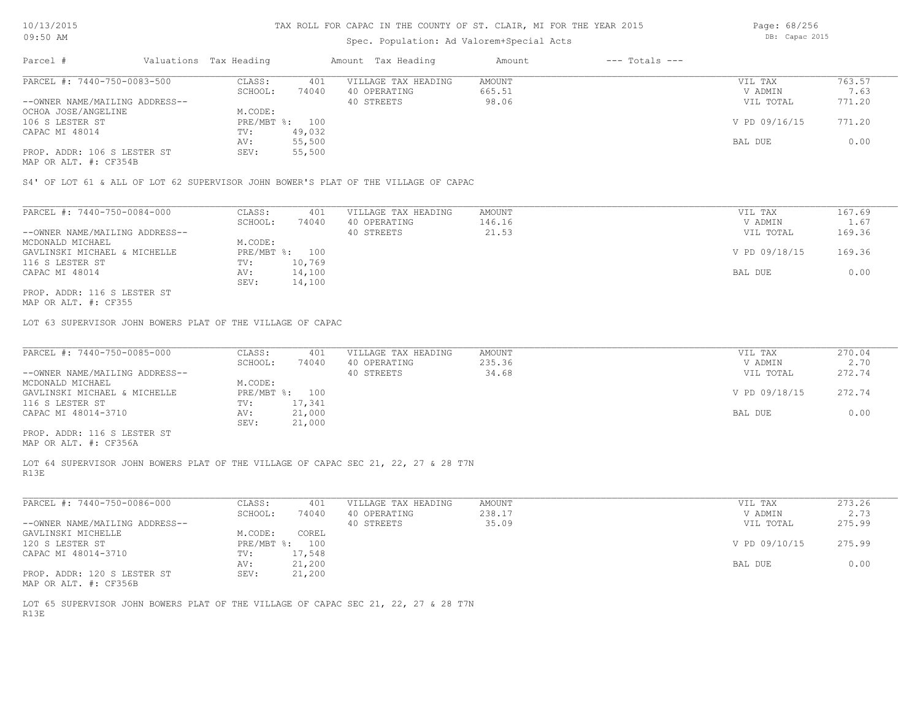## Spec. Population: Ad Valorem+Special Acts

Page: 68/256 DB: Capac 2015

| Parcel #                       |        | Valuations Tax Heading |                     | Amount Tax Heading | Amount | $---$ Totals $---$ |               |        |
|--------------------------------|--------|------------------------|---------------------|--------------------|--------|--------------------|---------------|--------|
| PARCEL #: 7440-750-0083-500    | CLASS: | 401                    | VILLAGE TAX HEADING | AMOUNT             |        | VIL TAX            | 763.57        |        |
|                                |        | SCHOOL:                | 74040               | 40 OPERATING       | 665.51 |                    | V ADMIN       | 7.63   |
| --OWNER NAME/MAILING ADDRESS-- |        |                        |                     | 40 STREETS         | 98.06  |                    | VIL TOTAL     | 771.20 |
| OCHOA JOSE/ANGELINE            |        | M.CODE:                |                     |                    |        |                    |               |        |
| 106 S LESTER ST                |        | PRE/MBT %: 100         |                     |                    |        |                    | V PD 09/16/15 | 771.20 |
| CAPAC MI 48014                 |        | TV:                    | 49,032              |                    |        |                    |               |        |
|                                |        | AV:                    | 55,500              |                    |        |                    | BAL DUE       | 0.00   |
| PROP. ADDR: 106 S LESTER ST    |        | SEV:                   | 55,500              |                    |        |                    |               |        |
|                                |        |                        |                     |                    |        |                    |               |        |

MAP OR ALT. #: CF354B

S4' OF LOT 61 & ALL OF LOT 62 SUPERVISOR JOHN BOWER'S PLAT OF THE VILLAGE OF CAPAC

| PARCEL #: 7440-750-0084-000    | CLASS:  | 401            | VILLAGE TAX HEADING | AMOUNT | VIL TAX       | 167.69 |
|--------------------------------|---------|----------------|---------------------|--------|---------------|--------|
|                                | SCHOOL: | 74040          | 40 OPERATING        | 146.16 | V ADMIN       | 1.67   |
| --OWNER NAME/MAILING ADDRESS-- |         |                | 40 STREETS          | 21.53  | VIL TOTAL     | 169.36 |
| MCDONALD MICHAEL               | M.CODE: |                |                     |        |               |        |
| GAVLINSKI MICHAEL & MICHELLE   |         | PRE/MBT %: 100 |                     |        | V PD 09/18/15 | 169.36 |
| 116 S LESTER ST                | TV:     | 10,769         |                     |        |               |        |
| CAPAC MI 48014                 | AV:     | 14,100         |                     |        | BAL DUE       | 0.00   |
|                                | SEV:    | 14,100         |                     |        |               |        |
| PROP. ADDR: 116 S LESTER ST    |         |                |                     |        |               |        |

MAP OR ALT. #: CF355

LOT 63 SUPERVISOR JOHN BOWERS PLAT OF THE VILLAGE OF CAPAC

| PARCEL #: 7440-750-0085-000    | CLASS:  | 401            | VILLAGE TAX HEADING | AMOUNT | VIL TAX       | 270.04 |
|--------------------------------|---------|----------------|---------------------|--------|---------------|--------|
|                                | SCHOOL: | 74040          | 40 OPERATING        | 235.36 | V ADMIN       | 2.70   |
| --OWNER NAME/MAILING ADDRESS-- |         |                | 40 STREETS          | 34.68  | VIL TOTAL     | 272.74 |
| MCDONALD MICHAEL               | M.CODE: |                |                     |        |               |        |
| GAVLINSKI MICHAEL & MICHELLE   |         | PRE/MBT %: 100 |                     |        | V PD 09/18/15 | 272.74 |
| 116 S LESTER ST                | TV:     | 17,341         |                     |        |               |        |
| CAPAC MI 48014-3710            | AV:     | 21,000         |                     |        | BAL DUE       | 0.00   |
|                                | SEV:    | 21,000         |                     |        |               |        |
| PROP. ADDR: 116 S LESTER ST    |         |                |                     |        |               |        |

MAP OR ALT. #: CF356A

R13E LOT 64 SUPERVISOR JOHN BOWERS PLAT OF THE VILLAGE OF CAPAC SEC 21, 22, 27 & 28 T7N

| PARCEL #: 7440-750-0086-000    | CLASS:       | 401    | VILLAGE TAX HEADING | AMOUNT | VIL TAX       | 273.26 |
|--------------------------------|--------------|--------|---------------------|--------|---------------|--------|
|                                | SCHOOL:      | 74040  | 40 OPERATING        | 238.17 | V ADMIN       | 2.73   |
| --OWNER NAME/MAILING ADDRESS-- |              |        | 40 STREETS          | 35.09  | VIL TOTAL     | 275.99 |
| GAVLINSKI MICHELLE             | M.CODE:      | COREL  |                     |        |               |        |
| 120 S LESTER ST                | $PRE/MBT$ %: | 100    |                     |        | V PD 09/10/15 | 275.99 |
| CAPAC MI 48014-3710            | TV:          | 17,548 |                     |        |               |        |
|                                | AV:          | 21,200 |                     |        | BAL DUE       | 0.00   |
| PROP. ADDR: 120 S LESTER ST    | SEV:         | 21,200 |                     |        |               |        |
| MAP OR ALT. #: CF356B          |              |        |                     |        |               |        |

R13E LOT 65 SUPERVISOR JOHN BOWERS PLAT OF THE VILLAGE OF CAPAC SEC 21, 22, 27 & 28 T7N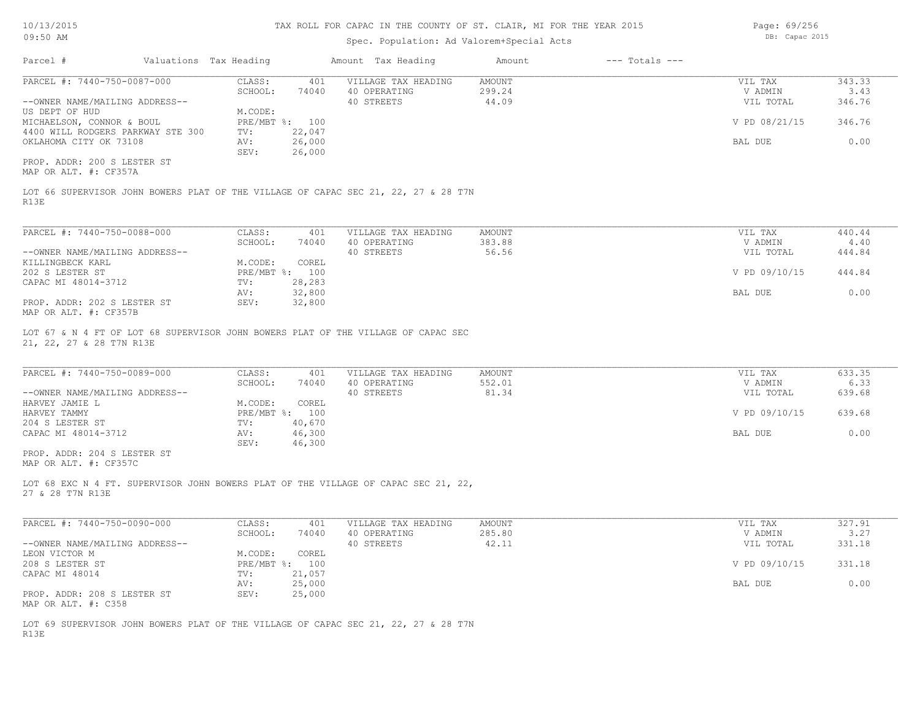## Spec. Population: Ad Valorem+Special Acts

Parcel # Valuations Tax Heading Amount Tax Heading Amount --- Totals ---MAP OR ALT. #: CF357A PROP. ADDR: 200 S LESTER ST SEV: 26,000 OKLAHOMA CITY OK 73108 AV: 26,000 BAL DUE 0.00 4400 WILL RODGERS PARKWAY STE 300 TV: 22,047 MICHAELSON, CONNOR & BOUL PRE/MBT %: 100 CONNOR AND PRE/MBT %: 100 V PD 08/21/15 346.76 US DEPT OF HUD M.CODE: --OWNER NAME/MAILING ADDRESS-- 40 STREETS 44.09 VIL TOTAL 346.76 SCHOOL: 74040 40 OPERATING 299.24 200 V ADMIN 3.43 PARCEL #: 7440-750-0087-000 CLASS: 401 VILLAGE TAX HEADING AMOUNT VIL TAX VIL TAX 343.33<br>SCHOOL: 74040 40 OPERATING 299.24 VADMIN 3.43  $\mathcal{L}_\mathcal{L} = \mathcal{L}_\mathcal{L} = \mathcal{L}_\mathcal{L} = \mathcal{L}_\mathcal{L} = \mathcal{L}_\mathcal{L} = \mathcal{L}_\mathcal{L} = \mathcal{L}_\mathcal{L} = \mathcal{L}_\mathcal{L} = \mathcal{L}_\mathcal{L} = \mathcal{L}_\mathcal{L} = \mathcal{L}_\mathcal{L} = \mathcal{L}_\mathcal{L} = \mathcal{L}_\mathcal{L} = \mathcal{L}_\mathcal{L} = \mathcal{L}_\mathcal{L} = \mathcal{L}_\mathcal{L} = \mathcal{L}_\mathcal{L}$ 

R13E LOT 66 SUPERVISOR JOHN BOWERS PLAT OF THE VILLAGE OF CAPAC SEC 21, 22, 27 & 28 T7N

| PARCEL #: 7440-750-0088-000    | CLASS:  | 401            | VILLAGE TAX HEADING | AMOUNT | VIL TAX       | 440.44 |
|--------------------------------|---------|----------------|---------------------|--------|---------------|--------|
|                                | SCHOOL: | 74040          | 40 OPERATING        | 383.88 | V ADMIN       | 4.40   |
| --OWNER NAME/MAILING ADDRESS-- |         |                | 40 STREETS          | 56.56  | VIL TOTAL     | 444.84 |
| KILLINGBECK KARL               | M.CODE: | COREL          |                     |        |               |        |
| 202 S LESTER ST                |         | PRE/MBT %: 100 |                     |        | V PD 09/10/15 | 444.84 |
| CAPAC MI 48014-3712            | TV:     | 28,283         |                     |        |               |        |
|                                | AV:     | 32,800         |                     |        | BAL DUE       | 0.00   |
| PROP. ADDR: 202 S LESTER ST    | SEV:    | 32,800         |                     |        |               |        |
| MAP OR ALT. #: CF357B          |         |                |                     |        |               |        |

21, 22, 27 & 28 T7N R13E LOT 67 & N 4 FT OF LOT 68 SUPERVISOR JOHN BOWERS PLAT OF THE VILLAGE OF CAPAC SEC

| PARCEL #: 7440-750-0089-000    | CLASS:  | 401            | VILLAGE TAX HEADING | AMOUNT | VIL TAX       | 633.35 |
|--------------------------------|---------|----------------|---------------------|--------|---------------|--------|
|                                | SCHOOL: | 74040          | 40 OPERATING        | 552.01 | V ADMIN       | 6.33   |
| --OWNER NAME/MAILING ADDRESS-- |         |                | 40 STREETS          | 81.34  | VIL TOTAL     | 639.68 |
| HARVEY JAMIE L                 | M.CODE: | COREL          |                     |        |               |        |
| HARVEY TAMMY                   |         | PRE/MBT %: 100 |                     |        | V PD 09/10/15 | 639.68 |
| 204 S LESTER ST                | TV:     | 40,670         |                     |        |               |        |
| CAPAC MI 48014-3712            | AV:     | 46,300         |                     |        | BAL DUE       | 0.00   |
|                                | SEV:    | 46,300         |                     |        |               |        |
| PROP. ADDR: 204 S LESTER ST    |         |                |                     |        |               |        |

MAP OR ALT. #: CF357C

27 & 28 T7N R13E LOT 68 EXC N 4 FT. SUPERVISOR JOHN BOWERS PLAT OF THE VILLAGE OF CAPAC SEC 21, 22,

| PARCEL #: 7440-750-0090-000    | CLASS:     | 401    | VILLAGE TAX HEADING | AMOUNT | VIL TAX       | 327.91 |
|--------------------------------|------------|--------|---------------------|--------|---------------|--------|
|                                | SCHOOL:    | 74040  | 40 OPERATING        | 285.80 | V ADMIN       | 3.27   |
| --OWNER NAME/MAILING ADDRESS-- |            |        | 40 STREETS          | 42.11  | VIL TOTAL     | 331.18 |
| LEON VICTOR M                  | M.CODE:    | COREL  |                     |        |               |        |
| 208 S LESTER ST                | PRE/MBT %: | 100    |                     |        | V PD 09/10/15 | 331.18 |
| CAPAC MI 48014                 | TV:        | 21,057 |                     |        |               |        |
|                                | AV:        | 25,000 |                     |        | BAL DUE       | 0.00   |
| PROP. ADDR: 208 S LESTER ST    | SEV:       | 25,000 |                     |        |               |        |
| MAP OR ALT. #: C358            |            |        |                     |        |               |        |

R13E LOT 69 SUPERVISOR JOHN BOWERS PLAT OF THE VILLAGE OF CAPAC SEC 21, 22, 27 & 28 T7N Page: 69/256 DB: Capac 2015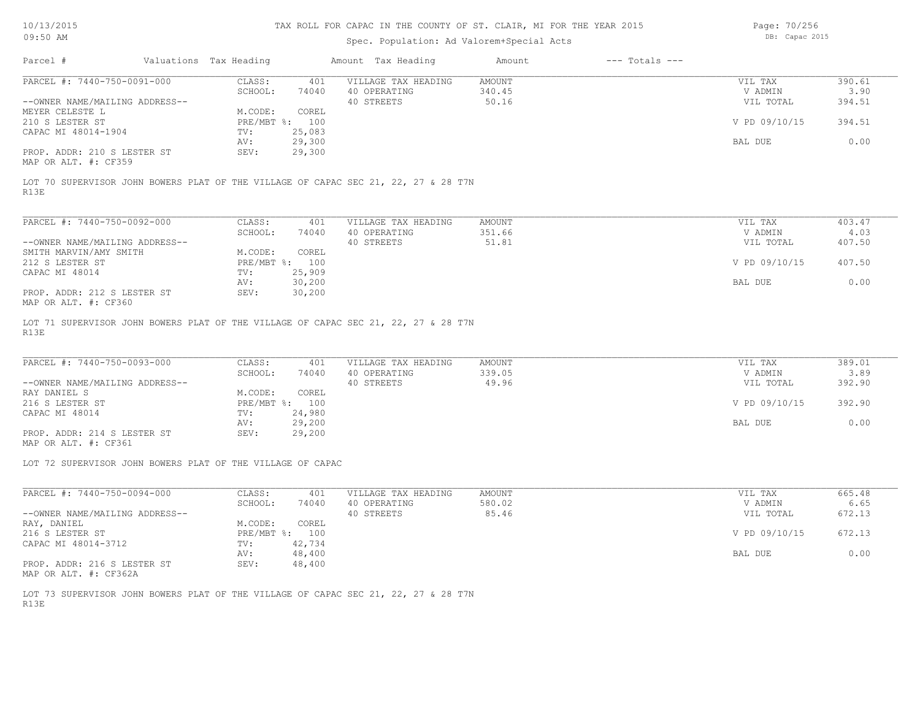## Spec. Population: Ad Valorem+Special Acts

Page: 70/256 DB: Capac 2015

| Parcel #                                              | Valuations Tax Heading |        | Amount Tax Heading  | Amount | $---$ Totals $---$ |               |        |
|-------------------------------------------------------|------------------------|--------|---------------------|--------|--------------------|---------------|--------|
| PARCEL #: 7440-750-0091-000                           | CLASS:                 | 401    | VILLAGE TAX HEADING | AMOUNT |                    | VIL TAX       | 390.61 |
|                                                       | SCHOOL:                | 74040  | 40 OPERATING        | 340.45 |                    | V ADMIN       | 3.90   |
| --OWNER NAME/MAILING ADDRESS--                        |                        |        | 40 STREETS          | 50.16  |                    | VIL TOTAL     | 394.51 |
| MEYER CELESTE L                                       | M.CODE:                | COREL  |                     |        |                    |               |        |
| 210 S LESTER ST                                       | PRE/MBT %: 100         |        |                     |        |                    | V PD 09/10/15 | 394.51 |
| CAPAC MI 48014-1904                                   | TV:                    | 25,083 |                     |        |                    |               |        |
|                                                       | AV:                    | 29,300 |                     |        |                    | BAL DUE       | 0.00   |
| PROP. ADDR: 210 S LESTER ST                           | SEV:                   | 29,300 |                     |        |                    |               |        |
| $\cdots$ $\cdots$ $\cdots$ $\cdots$ $\cdots$ $\cdots$ |                        |        |                     |        |                    |               |        |

MAP OR ALT. #: CF359

R13E LOT 70 SUPERVISOR JOHN BOWERS PLAT OF THE VILLAGE OF CAPAC SEC 21, 22, 27 & 28 T7N

| PARCEL #: 7440-750-0092-000                                   | CLASS:     | 401    | VILLAGE TAX HEADING | AMOUNT | VIL TAX       | 403.47 |
|---------------------------------------------------------------|------------|--------|---------------------|--------|---------------|--------|
|                                                               | SCHOOL:    | 74040  | 40 OPERATING        | 351.66 | V ADMIN       | 4.03   |
| --OWNER NAME/MAILING ADDRESS--                                |            |        | 40 STREETS          | 51.81  | VIL TOTAL     | 407.50 |
| SMITH MARVIN/AMY SMITH                                        | M.CODE:    | COREL  |                     |        |               |        |
| 212 S LESTER ST                                               | PRE/MBT %: | 100    |                     |        | V PD 09/10/15 | 407.50 |
| CAPAC MI 48014                                                | TV:        | 25,909 |                     |        |               |        |
|                                                               | AV:        | 30,200 |                     |        | BAL DUE       | 0.00   |
| PROP. ADDR: 212 S LESTER ST<br>$MAD$ $CD$ $ATM$ $H$ , $CDQCD$ | SEV:       | 30,200 |                     |        |               |        |

MAP OR ALT. #: CF360

R13E LOT 71 SUPERVISOR JOHN BOWERS PLAT OF THE VILLAGE OF CAPAC SEC 21, 22, 27 & 28 T7N

| PARCEL #: 7440-750-0093-000    | CLASS:  | 401            | VILLAGE TAX HEADING | AMOUNT | VIL TAX       | 389.01 |
|--------------------------------|---------|----------------|---------------------|--------|---------------|--------|
|                                | SCHOOL: | 74040          | 40 OPERATING        | 339.05 | V ADMIN       | 3.89   |
| --OWNER NAME/MAILING ADDRESS-- |         |                | 40 STREETS          | 49.96  | VIL TOTAL     | 392.90 |
| RAY DANIEL S                   | M.CODE: | COREL          |                     |        |               |        |
| 216 S LESTER ST                |         | PRE/MBT %: 100 |                     |        | V PD 09/10/15 | 392.90 |
| CAPAC MI 48014                 | TV:     | 24,980         |                     |        |               |        |
|                                | AV:     | 29,200         |                     |        | BAL DUE       | 0.00   |
| PROP. ADDR: 214 S LESTER ST    | SEV:    | 29,200         |                     |        |               |        |

MAP OR ALT. #: CF361

LOT 72 SUPERVISOR JOHN BOWERS PLAT OF THE VILLAGE OF CAPAC

| PARCEL #: 7440-750-0094-000    | CLASS:       | 401    | VILLAGE TAX HEADING | AMOUNT | VIL TAX       | 665.48 |
|--------------------------------|--------------|--------|---------------------|--------|---------------|--------|
|                                | SCHOOL:      | 74040  | 40 OPERATING        | 580.02 | V ADMIN       | 6.65   |
| --OWNER NAME/MAILING ADDRESS-- |              |        | 40 STREETS          | 85.46  | VIL TOTAL     | 672.13 |
| RAY, DANIEL                    | M.CODE:      | COREL  |                     |        |               |        |
| 216 S LESTER ST                | $PRE/MBT$ %: | 100    |                     |        | V PD 09/10/15 | 672.13 |
| CAPAC MI 48014-3712            | TV:          | 42,734 |                     |        |               |        |
|                                | AV:          | 48,400 |                     |        | BAL DUE       | 0.00   |
| PROP. ADDR: 216 S LESTER ST    | SEV:         | 48,400 |                     |        |               |        |

MAP OR ALT. #: CF362A

R13E LOT 73 SUPERVISOR JOHN BOWERS PLAT OF THE VILLAGE OF CAPAC SEC 21, 22, 27 & 28 T7N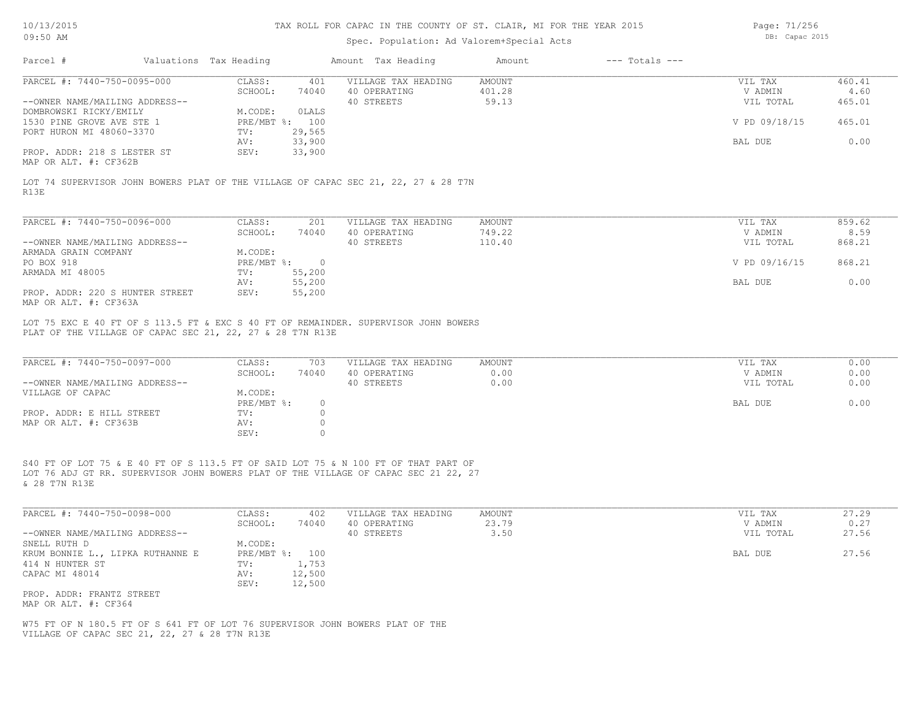# Spec. Population: Ad Valorem+Special Acts

Page: 71/256 DB: Capac 2015

| Parcel #                                                                      | Valuations Tax Heading |                           |                               | Amount Tax Heading                                                                                                                                                        | Amount                    | $---$ Totals $---$ |                                 |                          |
|-------------------------------------------------------------------------------|------------------------|---------------------------|-------------------------------|---------------------------------------------------------------------------------------------------------------------------------------------------------------------------|---------------------------|--------------------|---------------------------------|--------------------------|
| PARCEL #: 7440-750-0095-000<br>--OWNER NAME/MAILING ADDRESS--                 |                        | CLASS:<br>SCHOOL:         | 401<br>74040                  | VILLAGE TAX HEADING<br>40 OPERATING<br>40 STREETS                                                                                                                         | AMOUNT<br>401.28<br>59.13 |                    | VIL TAX<br>V ADMIN<br>VIL TOTAL | 460.41<br>4.60<br>465.01 |
| DOMBROWSKI RICKY/EMILY<br>1530 PINE GROVE AVE STE 1                           |                        | M.CODE:<br>PRE/MBT %: 100 | OLALS                         |                                                                                                                                                                           |                           |                    | V PD 09/18/15                   | 465.01                   |
| PORT HURON MI 48060-3370                                                      |                        | TV:<br>AV:                | 29,565<br>33,900              |                                                                                                                                                                           |                           |                    | BAL DUE                         | 0.00                     |
| PROP. ADDR: 218 S LESTER ST<br>MAP OR ALT. #: CF362B                          |                        | SEV:                      | 33,900                        |                                                                                                                                                                           |                           |                    |                                 |                          |
| R13E                                                                          |                        |                           |                               | LOT 74 SUPERVISOR JOHN BOWERS PLAT OF THE VILLAGE OF CAPAC SEC 21, 22, 27 & 28 T7N                                                                                        |                           |                    |                                 |                          |
| PARCEL #: 7440-750-0096-000                                                   |                        | CLASS:                    | 201                           | VILLAGE TAX HEADING                                                                                                                                                       | <b>AMOUNT</b>             |                    | VIL TAX                         | 859.62                   |
| --OWNER NAME/MAILING ADDRESS--                                                |                        | SCHOOL:                   | 74040                         | 40 OPERATING<br>40 STREETS                                                                                                                                                | 749.22<br>110.40          |                    | V ADMIN<br>VIL TOTAL            | 8.59<br>868.21           |
| ARMADA GRAIN COMPANY                                                          |                        | M.CODE:                   |                               |                                                                                                                                                                           |                           |                    |                                 |                          |
| PO BOX 918                                                                    |                        | $PRE/MBT$ %:              | $\overline{0}$                |                                                                                                                                                                           |                           |                    | V PD 09/16/15                   | 868.21                   |
| ARMADA MI 48005                                                               |                        | TV:                       | 55,200                        |                                                                                                                                                                           |                           |                    |                                 |                          |
|                                                                               |                        | AV:                       | 55,200                        |                                                                                                                                                                           |                           |                    | BAL DUE                         | 0.00                     |
| PROP. ADDR: 220 S HUNTER STREET<br>MAP OR ALT. #: CF363A                      |                        | SEV:                      | 55,200                        |                                                                                                                                                                           |                           |                    |                                 |                          |
| PLAT OF THE VILLAGE OF CAPAC SEC 21, 22, 27 & 28 T7N R13E                     |                        |                           |                               | LOT 75 EXC E 40 FT OF S 113.5 FT & EXC S 40 FT OF REMAINDER. SUPERVISOR JOHN BOWERS                                                                                       |                           |                    |                                 |                          |
| PARCEL #: 7440-750-0097-000                                                   |                        | CLASS:                    | 703                           | VILLAGE TAX HEADING                                                                                                                                                       | <b>AMOUNT</b>             |                    | VIL TAX                         | 0.00                     |
| --OWNER NAME/MAILING ADDRESS--                                                |                        | SCHOOL:                   | 74040                         | 40 OPERATING<br>40 STREETS                                                                                                                                                | 0.00<br>0.00              |                    | V ADMIN<br>VIL TOTAL            | 0.00<br>0.00             |
| VILLAGE OF CAPAC                                                              |                        | M.CODE:                   |                               |                                                                                                                                                                           |                           |                    |                                 |                          |
|                                                                               |                        | PRE/MBT %:                | $\circ$                       |                                                                                                                                                                           |                           |                    | BAL DUE                         | 0.00                     |
| PROP. ADDR: E HILL STREET<br>MAP OR ALT. #: CF363B                            |                        | TV:<br>AV:<br>SEV:        | $\circ$<br>$\circ$<br>$\circ$ |                                                                                                                                                                           |                           |                    |                                 |                          |
| & 28 T7N R13E                                                                 |                        |                           |                               | S40 FT OF LOT 75 & E 40 FT OF S 113.5 FT OF SAID LOT 75 & N 100 FT OF THAT PART OF<br>LOT 76 ADJ GT RR. SUPERVISOR JOHN BOWERS PLAT OF THE VILLAGE OF CAPAC SEC 21 22, 27 |                           |                    |                                 |                          |
| PARCEL #: 7440-750-0098-000                                                   |                        | CLASS:                    | 402                           | VILLAGE TAX HEADING                                                                                                                                                       | AMOUNT                    |                    | VIL TAX                         | 27.29                    |
| --OWNER NAME/MAILING ADDRESS--                                                |                        | SCHOOL:                   | 74040                         | 40 OPERATING<br>40 STREETS                                                                                                                                                | 23.79<br>3.50             |                    | V ADMIN<br>VIL TOTAL            | 0.27<br>27.56            |
| SNELL RUTH D                                                                  |                        | M.CODE:                   |                               |                                                                                                                                                                           |                           |                    |                                 |                          |
| KRUM BONNIE L., LIPKA RUTHANNE E                                              |                        | PRE/MBT %: 100            |                               |                                                                                                                                                                           |                           |                    | BAL DUE                         | 27.56                    |
| 414 N HUNTER ST<br>CAPAC MI 48014                                             |                        | TV:<br>AV:<br>SEV:        | 1,753<br>12,500<br>12,500     |                                                                                                                                                                           |                           |                    |                                 |                          |
| PROP. ADDR: FRANTZ STREET<br>MAP OR ALT. #: CF364                             |                        |                           |                               |                                                                                                                                                                           |                           |                    |                                 |                          |
| W75 FT OF N 180.5 FT OF S 641 FT OF LOT 76 SUPERVISOR JOHN BOWERS PLAT OF THE |                        |                           |                               |                                                                                                                                                                           |                           |                    |                                 |                          |

VILLAGE OF CAPAC SEC 21, 22, 27 & 28 T7N R13E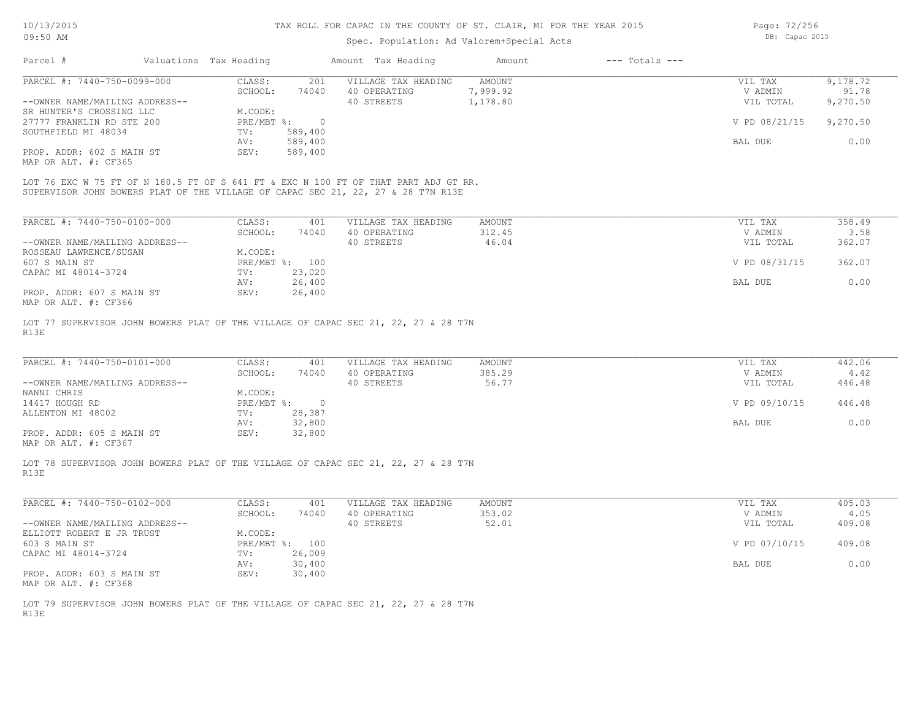## Spec. Population: Ad Valorem+Special Acts

Page: 72/256 DB: Capac 2015

| Parcel #                       | Valuations Tax Heading |          | Amount Tax Heading                                                                  | Amount   | $---$ Totals $---$ |               |          |
|--------------------------------|------------------------|----------|-------------------------------------------------------------------------------------|----------|--------------------|---------------|----------|
| PARCEL #: 7440-750-0099-000    | CLASS:                 | 201      | VILLAGE TAX HEADING                                                                 | AMOUNT   |                    | VIL TAX       | 9,178.72 |
|                                | SCHOOL:                | 74040    | 40 OPERATING                                                                        | 7,999.92 |                    | V ADMIN       | 91.78    |
| --OWNER NAME/MAILING ADDRESS-- |                        |          | 40 STREETS                                                                          | 1,178.80 |                    | VIL TOTAL     | 9,270.50 |
| SR HUNTER'S CROSSING LLC       | M.CODE:                |          |                                                                                     |          |                    |               |          |
| 27777 FRANKLIN RD STE 200      | PRE/MBT %:             | $\Omega$ |                                                                                     |          |                    | V PD 08/21/15 | 9,270.50 |
| SOUTHFIELD MI 48034            | TV:                    | 589,400  |                                                                                     |          |                    |               |          |
|                                | AV:                    | 589,400  |                                                                                     |          |                    | BAL DUE       | 0.00     |
| PROP. ADDR: 602 S MAIN ST      | SEV:                   | 589,400  |                                                                                     |          |                    |               |          |
| MAP OR ALT. #: CF365           |                        |          |                                                                                     |          |                    |               |          |
|                                |                        |          |                                                                                     |          |                    |               |          |
|                                |                        |          | LOT 76 EXC W 75 FT OF N 180.5 FT OF S 641 FT & EXC N 100 FT OF THAT PART ADJ GT RR. |          |                    |               |          |
|                                |                        |          | SUPERVISOR JOHN BOWERS PLAT OF THE VILLAGE OF CAPAC SEC 21, 22, 27 & 28 T7N R13E    |          |                    |               |          |
|                                |                        |          |                                                                                     |          |                    |               |          |

| PARCEL #: 7440-750-0100-000    | CLASS:     | 401    | VILLAGE TAX HEADING | AMOUNT | 358.49<br>VIL TAX       |
|--------------------------------|------------|--------|---------------------|--------|-------------------------|
|                                | SCHOOL:    | 74040  | 40 OPERATING        | 312.45 | 3.58<br>V ADMIN         |
| --OWNER NAME/MAILING ADDRESS-- |            |        | 40 STREETS          | 46.04  | 362.07<br>VIL TOTAL     |
| ROSSEAU LAWRENCE/SUSAN         | M.CODE:    |        |                     |        |                         |
| 607 S MAIN ST                  | PRE/MBT %: | 100    |                     |        | V PD 08/31/15<br>362.07 |
| CAPAC MI 48014-3724            | TV:        | 23,020 |                     |        |                         |
|                                | AV:        | 26,400 |                     |        | 0.00<br>BAL DUE         |
| PROP. ADDR: 607 S MAIN ST      | SEV:       | 26,400 |                     |        |                         |
| MAP OR ALT. #: CF366           |            |        |                     |        |                         |

R13E LOT 77 SUPERVISOR JOHN BOWERS PLAT OF THE VILLAGE OF CAPAC SEC 21, 22, 27 & 28 T7N

| PARCEL #: 7440-750-0101-000    | CLASS:     | 401    | VILLAGE TAX HEADING | AMOUNT | VIL TAX       | 442.06 |
|--------------------------------|------------|--------|---------------------|--------|---------------|--------|
|                                | SCHOOL:    | 74040  | 40 OPERATING        | 385.29 | V ADMIN       | 4.42   |
| --OWNER NAME/MAILING ADDRESS-- |            |        | 40 STREETS          | 56.77  | VIL TOTAL     | 446.48 |
| NANNI CHRIS                    | M.CODE:    |        |                     |        |               |        |
| 14417 HOUGH RD                 | PRE/MBT %: |        |                     |        | V PD 09/10/15 | 446.48 |
| ALLENTON MI 48002              | TV:        | 28,387 |                     |        |               |        |
|                                | AV:        | 32,800 |                     |        | BAL DUE       | 0.00   |
| PROP. ADDR: 605 S MAIN ST      | SEV:       | 32,800 |                     |        |               |        |
|                                |            |        |                     |        |               |        |

MAP OR ALT. #: CF367

R13E LOT 78 SUPERVISOR JOHN BOWERS PLAT OF THE VILLAGE OF CAPAC SEC 21, 22, 27 & 28 T7N

| PARCEL #: 7440-750-0102-000    | CLASS:       | 401    | VILLAGE TAX HEADING | AMOUNT | VIL TAX       | 405.03 |
|--------------------------------|--------------|--------|---------------------|--------|---------------|--------|
|                                | SCHOOL:      | 74040  | 40 OPERATING        | 353.02 | V ADMIN       | 4.05   |
| --OWNER NAME/MAILING ADDRESS-- |              |        | 40 STREETS          | 52.01  | VIL TOTAL     | 409.08 |
| ELLIOTT ROBERT E JR TRUST      | M.CODE:      |        |                     |        |               |        |
| 603 S MAIN ST                  | $PRE/MBT$ %: | 100    |                     |        | V PD 07/10/15 | 409.08 |
| CAPAC MI 48014-3724            | TV:          | 26,009 |                     |        |               |        |
|                                | AV:          | 30,400 |                     |        | BAL DUE       | 0.00   |
| PROP. ADDR: 603 S MAIN ST      | SEV:         | 30,400 |                     |        |               |        |
| MAP OR ALT. #: CF368           |              |        |                     |        |               |        |

 $\mathcal{L}_\mathcal{L} = \mathcal{L}_\mathcal{L} = \mathcal{L}_\mathcal{L} = \mathcal{L}_\mathcal{L} = \mathcal{L}_\mathcal{L} = \mathcal{L}_\mathcal{L} = \mathcal{L}_\mathcal{L} = \mathcal{L}_\mathcal{L} = \mathcal{L}_\mathcal{L} = \mathcal{L}_\mathcal{L} = \mathcal{L}_\mathcal{L} = \mathcal{L}_\mathcal{L} = \mathcal{L}_\mathcal{L} = \mathcal{L}_\mathcal{L} = \mathcal{L}_\mathcal{L} = \mathcal{L}_\mathcal{L} = \mathcal{L}_\mathcal{L}$ 

R13E LOT 79 SUPERVISOR JOHN BOWERS PLAT OF THE VILLAGE OF CAPAC SEC 21, 22, 27 & 28 T7N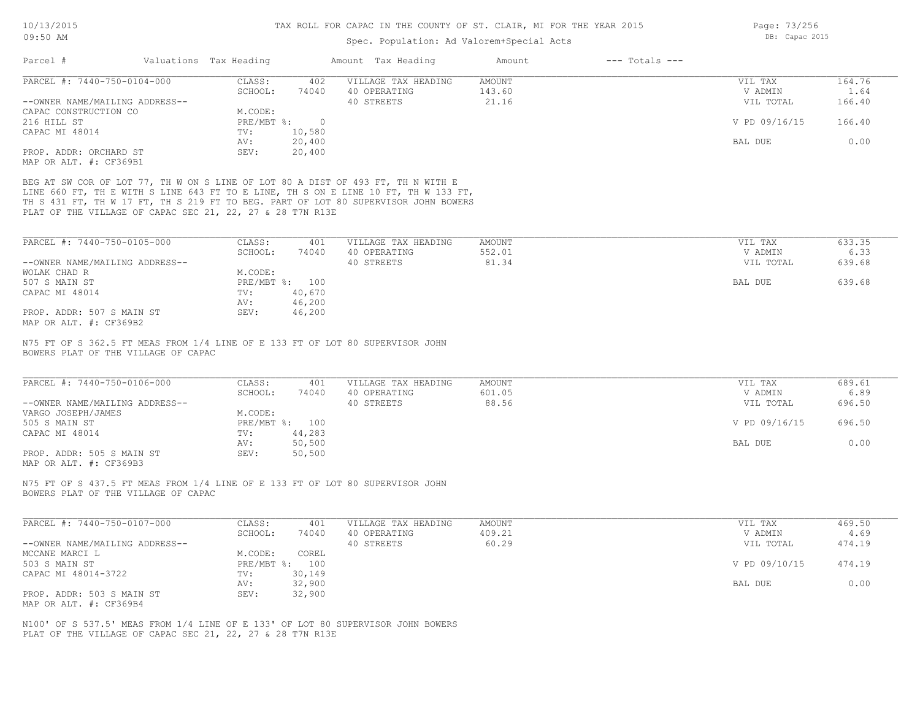# Spec. Population: Ad Valorem+Special Acts

| Page: 73/256 |                |  |
|--------------|----------------|--|
|              | DB: Capac 2015 |  |

|                                                                                                                      | Valuations Tax Heading |                   |                    | Amount Tax Heading                                                                                                                                                                                                                                          | Amount                  | $---$ Totals $---$ |                    |                |
|----------------------------------------------------------------------------------------------------------------------|------------------------|-------------------|--------------------|-------------------------------------------------------------------------------------------------------------------------------------------------------------------------------------------------------------------------------------------------------------|-------------------------|--------------------|--------------------|----------------|
| PARCEL #: 7440-750-0104-000                                                                                          |                        | CLASS:            | 402                | VILLAGE TAX HEADING                                                                                                                                                                                                                                         | AMOUNT                  |                    | VIL TAX            | 164.76         |
|                                                                                                                      |                        | SCHOOL:           | 74040              | 40 OPERATING                                                                                                                                                                                                                                                | 143.60                  |                    | V ADMIN            | 1.64           |
| --OWNER NAME/MAILING ADDRESS--                                                                                       |                        |                   |                    | 40 STREETS                                                                                                                                                                                                                                                  | 21.16                   |                    | VIL TOTAL          | 166.40         |
| CAPAC CONSTRUCTION CO                                                                                                |                        | M.CODE:           |                    |                                                                                                                                                                                                                                                             |                         |                    |                    |                |
| 216 HILL ST                                                                                                          |                        | TV:               | $PRE/MBT$ $\div$ 0 |                                                                                                                                                                                                                                                             |                         |                    | V PD 09/16/15      | 166.40         |
| CAPAC MI 48014                                                                                                       |                        | AV:               | 10,580<br>20,400   |                                                                                                                                                                                                                                                             |                         |                    | BAL DUE            | 0.00           |
| PROP. ADDR: ORCHARD ST                                                                                               |                        | SEV:              | 20,400             |                                                                                                                                                                                                                                                             |                         |                    |                    |                |
| MAP OR ALT. #: CF369B1                                                                                               |                        |                   |                    |                                                                                                                                                                                                                                                             |                         |                    |                    |                |
|                                                                                                                      |                        |                   |                    |                                                                                                                                                                                                                                                             |                         |                    |                    |                |
| PLAT OF THE VILLAGE OF CAPAC SEC 21, 22, 27 & 28 T7N R13E                                                            |                        |                   |                    | BEG AT SW COR OF LOT 77, TH W ON S LINE OF LOT 80 A DIST OF 493 FT, TH N WITH E<br>LINE 660 FT, TH E WITH S LINE 643 FT TO E LINE, TH S ON E LINE 10 FT, TH W 133 FT,<br>TH S 431 FT, TH W 17 FT, TH S 219 FT TO BEG. PART OF LOT 80 SUPERVISOR JOHN BOWERS |                         |                    |                    |                |
|                                                                                                                      |                        |                   |                    |                                                                                                                                                                                                                                                             |                         |                    |                    |                |
| PARCEL #: 7440-750-0105-000                                                                                          |                        | CLASS:<br>SCHOOL: | 401<br>74040       | VILLAGE TAX HEADING<br>40 OPERATING                                                                                                                                                                                                                         | <b>AMOUNT</b><br>552.01 |                    | VIL TAX<br>V ADMIN | 633.35<br>6.33 |
| --OWNER NAME/MAILING ADDRESS--                                                                                       |                        |                   |                    | 40 STREETS                                                                                                                                                                                                                                                  | 81.34                   |                    | VIL TOTAL          | 639.68         |
| WOLAK CHAD R                                                                                                         |                        | M.CODE:           |                    |                                                                                                                                                                                                                                                             |                         |                    |                    |                |
| 507 S MAIN ST                                                                                                        |                        |                   | PRE/MBT %: 100     |                                                                                                                                                                                                                                                             |                         |                    | BAL DUE            | 639.68         |
| CAPAC MI 48014                                                                                                       |                        | TV:               | 40,670             |                                                                                                                                                                                                                                                             |                         |                    |                    |                |
|                                                                                                                      |                        | AV:               | 46,200             |                                                                                                                                                                                                                                                             |                         |                    |                    |                |
| PROP. ADDR: 507 S MAIN ST                                                                                            |                        | SEV:              | 46,200             |                                                                                                                                                                                                                                                             |                         |                    |                    |                |
| MAP OR ALT. #: CF369B2                                                                                               |                        |                   |                    |                                                                                                                                                                                                                                                             |                         |                    |                    |                |
| N75 FT OF S 362.5 FT MEAS FROM 1/4 LINE OF E 133 FT OF LOT 80 SUPERVISOR JOHN<br>BOWERS PLAT OF THE VILLAGE OF CAPAC |                        |                   |                    |                                                                                                                                                                                                                                                             |                         |                    |                    |                |
| PARCEL #: 7440-750-0106-000                                                                                          |                        | CLASS:<br>SCHOOL: | 401<br>74040       | VILLAGE TAX HEADING<br>40 OPERATING                                                                                                                                                                                                                         | AMOUNT<br>601.05        |                    | VIL TAX<br>V ADMIN | 689.61<br>6.89 |
| --OWNER NAME/MAILING ADDRESS--                                                                                       |                        |                   |                    | 40 STREETS                                                                                                                                                                                                                                                  | 88.56                   |                    | VIL TOTAL          | 696.50         |
| VARGO JOSEPH/JAMES                                                                                                   |                        | M.CODE:           |                    |                                                                                                                                                                                                                                                             |                         |                    |                    |                |
| 505 S MAIN ST                                                                                                        |                        |                   | PRE/MBT %: 100     |                                                                                                                                                                                                                                                             |                         |                    | V PD 09/16/15      | 696.50         |
| CAPAC MI 48014                                                                                                       |                        | $\text{TV}$ :     | 44,283             |                                                                                                                                                                                                                                                             |                         |                    |                    |                |
| PROP. ADDR: 505 S MAIN ST<br>MAP OR ALT. #: CF369B3                                                                  |                        | AV:<br>SEV:       | 50,500<br>50,500   |                                                                                                                                                                                                                                                             |                         |                    | BAL DUE            | 0.00           |
| N75 FT OF S 437.5 FT MEAS FROM 1/4 LINE OF E 133 FT OF LOT 80 SUPERVISOR JOHN<br>BOWERS PLAT OF THE VILLAGE OF CAPAC |                        |                   |                    |                                                                                                                                                                                                                                                             |                         |                    |                    |                |
|                                                                                                                      |                        |                   |                    |                                                                                                                                                                                                                                                             |                         |                    |                    |                |
| PARCEL #: 7440-750-0107-000                                                                                          |                        | CLASS:            | 401                | VILLAGE TAX HEADING                                                                                                                                                                                                                                         | <b>AMOUNT</b>           |                    | VIL TAX            | 469.50         |
|                                                                                                                      |                        | SCHOOL:           | 74040              | 40 OPERATING                                                                                                                                                                                                                                                | 409.21                  |                    | V ADMIN            | 4.69           |
| --OWNER NAME/MAILING ADDRESS--                                                                                       |                        |                   |                    | 40 STREETS                                                                                                                                                                                                                                                  | 60.29                   |                    | VIL TOTAL          | 474.19         |
| MCCANE MARCI L                                                                                                       |                        | M.CODE:           | COREL              |                                                                                                                                                                                                                                                             |                         |                    |                    |                |
| 503 S MAIN ST                                                                                                        |                        |                   | PRE/MBT %: 100     |                                                                                                                                                                                                                                                             |                         |                    | V PD 09/10/15      | 474.19         |
| CAPAC MI 48014-3722                                                                                                  |                        | TV:               | 30,149             |                                                                                                                                                                                                                                                             |                         |                    | BAL DUE            |                |
| PROP. ADDR: 503 S MAIN ST                                                                                            |                        | AV:<br>SEV:       | 32,900<br>32,900   |                                                                                                                                                                                                                                                             |                         |                    |                    | 0.00           |
| MAP OR ALT. #: CF369B4                                                                                               |                        |                   |                    |                                                                                                                                                                                                                                                             |                         |                    |                    |                |

PLAT OF THE VILLAGE OF CAPAC SEC 21, 22, 27 & 28 T7N R13E N100' OF S 537.5' MEAS FROM 1/4 LINE OF E 133' OF LOT 80 SUPERVISOR JOHN BOWERS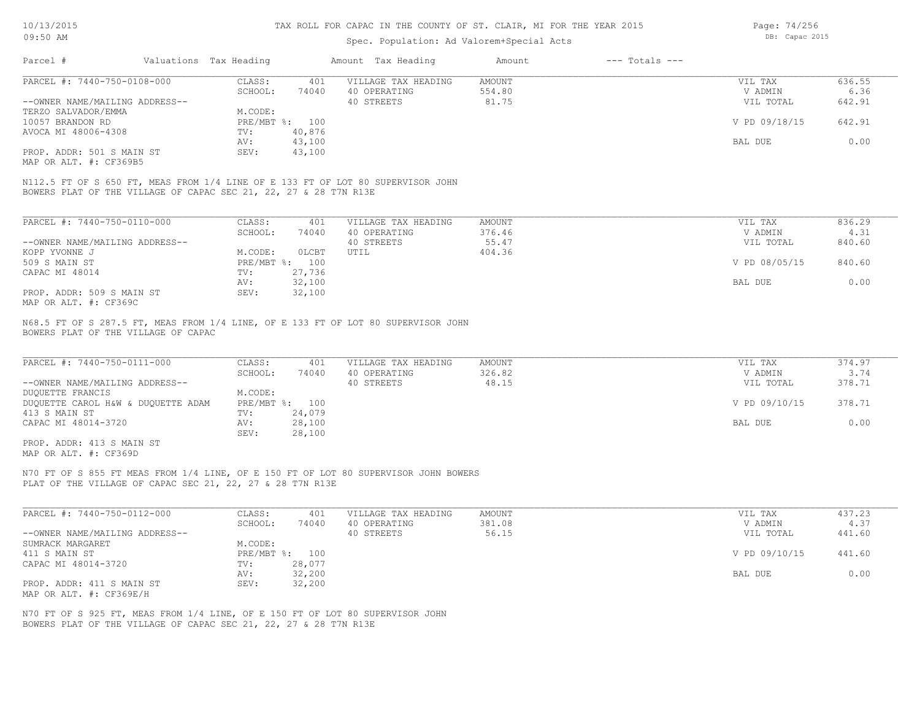### Spec. Population: Ad Valorem+Special Acts

Page: 74/256 DB: Capac 2015

| Parcel #                       | Valuations Tax Heading |                | Amount Tax Heading  | Amount | $---$ Totals $---$ |               |        |
|--------------------------------|------------------------|----------------|---------------------|--------|--------------------|---------------|--------|
| PARCEL #: 7440-750-0108-000    | CLASS:                 | 401            | VILLAGE TAX HEADING | AMOUNT |                    | VIL TAX       | 636.55 |
|                                | SCHOOL:                | 74040          | 40 OPERATING        | 554.80 |                    | V ADMIN       | 6.36   |
| --OWNER NAME/MAILING ADDRESS-- |                        |                | 40 STREETS          | 81.75  |                    | VIL TOTAL     | 642.91 |
| TERZO SALVADOR/EMMA            | M.CODE:                |                |                     |        |                    |               |        |
| 10057 BRANDON RD               |                        | PRE/MBT %: 100 |                     |        |                    | V PD 09/18/15 | 642.91 |
| AVOCA MI 48006-4308            | TV:                    | 40,876         |                     |        |                    |               |        |
|                                | AV:                    | 43,100         |                     |        |                    | BAL DUE       | 0.00   |
| PROP. ADDR: 501 S MAIN ST      | SEV:                   | 43,100         |                     |        |                    |               |        |
| MAP OR ALT. #: CF369B5         |                        |                |                     |        |                    |               |        |

BOWERS PLAT OF THE VILLAGE OF CAPAC SEC 21, 22, 27 & 28 T7N R13E N112.5 FT OF S 650 FT, MEAS FROM 1/4 LINE OF E 133 FT OF LOT 80 SUPERVISOR JOHN

| PARCEL #: 7440-750-0110-000    | CLASS:       | 401    | VILLAGE TAX HEADING | AMOUNT | VIL TAX       | 836.29 |
|--------------------------------|--------------|--------|---------------------|--------|---------------|--------|
|                                | SCHOOL:      | 74040  | 40 OPERATING        | 376.46 | V ADMIN       | 4.31   |
| --OWNER NAME/MAILING ADDRESS-- |              |        | 40 STREETS          | 55.47  | VIL TOTAL     | 840.60 |
| KOPP YVONNE J                  | M.CODE:      | OLCBT  | UTIL                | 404.36 |               |        |
| 509 S MAIN ST                  | $PRE/MBT$ %: | 100    |                     |        | V PD 08/05/15 | 840.60 |
| CAPAC MI 48014                 | TV:          | 27,736 |                     |        |               |        |
|                                | AV:          | 32,100 |                     |        | BAL DUE       | 0.00   |
| PROP. ADDR: 509 S MAIN ST      | SEV:         | 32,100 |                     |        |               |        |
| MAP OR ALT. #: CF369C          |              |        |                     |        |               |        |

BOWERS PLAT OF THE VILLAGE OF CAPAC N68.5 FT OF S 287.5 FT, MEAS FROM 1/4 LINE, OF E 133 FT OF LOT 80 SUPERVISOR JOHN

| PARCEL #: 7440-750-0111-000        | CLASS:         | 401    | VILLAGE TAX HEADING | AMOUNT | VIL TAX       | 374.97 |
|------------------------------------|----------------|--------|---------------------|--------|---------------|--------|
|                                    | SCHOOL:        | 74040  | 40 OPERATING        | 326.82 | V ADMIN       | 3.74   |
| --OWNER NAME/MAILING ADDRESS--     |                |        | 40 STREETS          | 48.15  | VIL TOTAL     | 378.71 |
| DUQUETTE FRANCIS                   | M.CODE:        |        |                     |        |               |        |
| DUQUETTE CAROL H&W & DUQUETTE ADAM | PRE/MBT %: 100 |        |                     |        | V PD 09/10/15 | 378.71 |
| 413 S MAIN ST                      | TV:            | 24,079 |                     |        |               |        |
| CAPAC MI 48014-3720                | AV:            | 28,100 |                     |        | BAL DUE       | 0.00   |
|                                    | SEV:           | 28,100 |                     |        |               |        |

MAP OR ALT. #: CF369D PROP. ADDR: 413 S MAIN ST

PLAT OF THE VILLAGE OF CAPAC SEC 21, 22, 27 & 28 T7N R13E N70 FT OF S 855 FT MEAS FROM 1/4 LINE, OF E 150 FT OF LOT 80 SUPERVISOR JOHN BOWERS

| PARCEL #: 7440-750-0112-000    | CLASS:  | 401            | VILLAGE TAX HEADING | AMOUNT | VIL TAX       | 437.23 |
|--------------------------------|---------|----------------|---------------------|--------|---------------|--------|
|                                | SCHOOL: | 74040          | 40 OPERATING        | 381.08 | V ADMIN       | 4.37   |
| --OWNER NAME/MAILING ADDRESS-- |         |                | 40 STREETS          | 56.15  | VIL TOTAL     | 441.60 |
| SUMRACK MARGARET               | M.CODE: |                |                     |        |               |        |
| 411 S MAIN ST                  |         | PRE/MBT %: 100 |                     |        | V PD 09/10/15 | 441.60 |
| CAPAC MI 48014-3720            | TV:     | 28,077         |                     |        |               |        |
|                                | AV:     | 32,200         |                     |        | BAL DUE       | 0.00   |
| PROP. ADDR: 411 S MAIN ST      | SEV:    | 32,200         |                     |        |               |        |
| MAP OR ALT. #: CF369E/H        |         |                |                     |        |               |        |

BOWERS PLAT OF THE VILLAGE OF CAPAC SEC 21, 22, 27 & 28 T7N R13E N70 FT OF S 925 FT, MEAS FROM 1/4 LINE, OF E 150 FT OF LOT 80 SUPERVISOR JOHN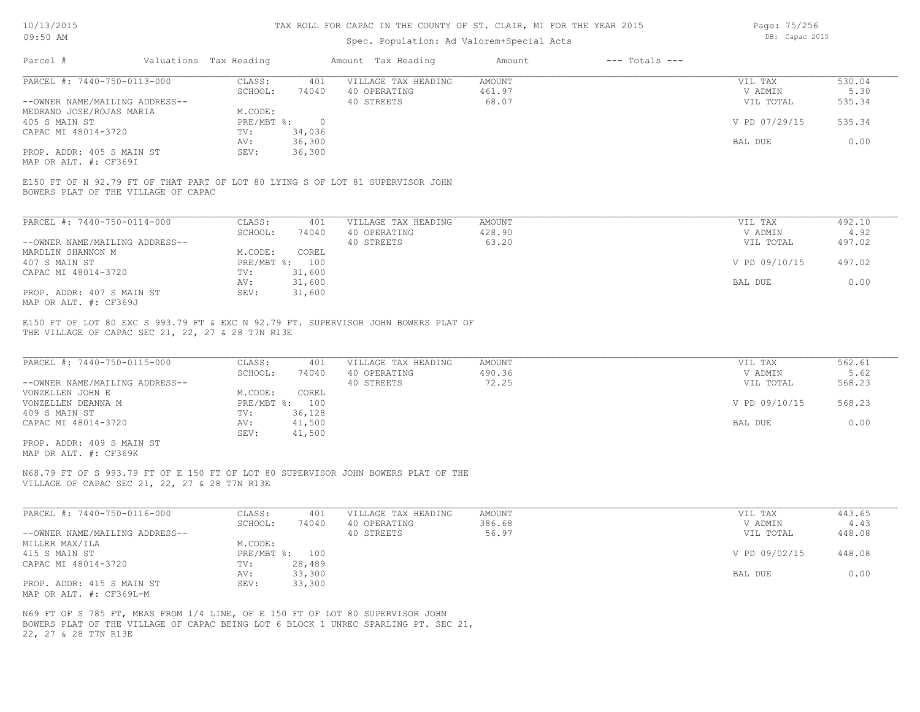Page: 75/256 DB: Capac 2015

| US: JU AM                                                                                                                               |                        |                | pp. capac zuru<br>Spec. Population: Ad Valorem+Special Acts |               |                    |               |        |
|-----------------------------------------------------------------------------------------------------------------------------------------|------------------------|----------------|-------------------------------------------------------------|---------------|--------------------|---------------|--------|
| Parcel #                                                                                                                                | Valuations Tax Heading |                | Amount Tax Heading                                          | Amount        | $---$ Totals $---$ |               |        |
| PARCEL #: 7440-750-0113-000                                                                                                             | CLASS:                 | 401            | VILLAGE TAX HEADING                                         | <b>AMOUNT</b> |                    | VIL TAX       | 530.04 |
|                                                                                                                                         | SCHOOL:                | 74040          | 40 OPERATING                                                | 461.97        |                    | V ADMIN       | 5.30   |
| --OWNER NAME/MAILING ADDRESS--                                                                                                          |                        |                | 40 STREETS                                                  | 68.07         |                    | VIL TOTAL     | 535.34 |
| MEDRANO JOSE/ROJAS MARIA                                                                                                                | M.CODE:                |                |                                                             |               |                    |               |        |
| 405 S MAIN ST                                                                                                                           | PRE/MBT %:             | $\overline{0}$ |                                                             |               |                    | V PD 07/29/15 | 535.34 |
| CAPAC MI 48014-3720                                                                                                                     | $\text{TV}$ :          | 34,036         |                                                             |               |                    |               |        |
|                                                                                                                                         | AV:                    | 36,300         |                                                             |               |                    | BAL DUE       | 0.00   |
| PROP. ADDR: 405 S MAIN ST<br>MAP OR ALT. #: CF369I                                                                                      | SEV:                   | 36,300         |                                                             |               |                    |               |        |
| E150 FT OF N 92.79 FT OF THAT PART OF LOT 80 LYING S OF LOT 81 SUPERVISOR JOHN<br>BOWERS PLAT OF THE VILLAGE OF CAPAC                   |                        |                |                                                             |               |                    |               |        |
| PARCEL #: 7440-750-0114-000                                                                                                             | CLASS:                 | 401            | VILLAGE TAX HEADING                                         | <b>AMOUNT</b> |                    | VIL TAX       | 492.10 |
|                                                                                                                                         | SCHOOL:                | 74040          | 40 OPERATING                                                | 428.90        |                    | V ADMIN       | 4.92   |
| --OWNER NAME/MAILING ADDRESS--                                                                                                          |                        |                | 40 STREETS                                                  | 63.20         |                    | VIL TOTAL     | 497.02 |
| MARDLIN SHANNON M                                                                                                                       | M.CODE:                | COREL          |                                                             |               |                    |               |        |
| 407 S MAIN ST                                                                                                                           | PRE/MBT %: 100         |                |                                                             |               |                    | V PD 09/10/15 | 497.02 |
| CAPAC MI 48014-3720                                                                                                                     | TV:                    | 31,600         |                                                             |               |                    |               |        |
|                                                                                                                                         | AV:                    | 31,600         |                                                             |               |                    | BAL DUE       | 0.00   |
| PROP. ADDR: 407 S MAIN ST<br>MAP OR ALT. #: CF369J                                                                                      | SEV:                   | 31,600         |                                                             |               |                    |               |        |
| E150 FT OF LOT 80 EXC S 993.79 FT & EXC N 92.79 FT. SUPERVISOR JOHN BOWERS PLAT OF<br>THE VILLAGE OF CAPAC SEC 21, 22, 27 & 28 T7N R13E |                        |                |                                                             |               |                    |               |        |
| PARCEL #: 7440-750-0115-000                                                                                                             | CLASS:                 | 401            | VILLAGE TAX HEADING                                         | <b>AMOUNT</b> |                    | VIL TAX       | 562.61 |
|                                                                                                                                         | SCHOOL:                | 74040          | 40 OPERATING                                                | 490.36        |                    | V ADMIN       | 5.62   |
| --OWNER NAME/MAILING ADDRESS--                                                                                                          |                        |                | 40 STREETS                                                  | 72.25         |                    | VIL TOTAL     | 568.23 |
| VONZELLEN JOHN E                                                                                                                        | M.CODE:                | COREL          |                                                             |               |                    |               |        |
| VONZELLEN DEANNA M                                                                                                                      | PRE/MBT %: 100         |                |                                                             |               |                    | V PD 09/10/15 | 568.23 |
| 409 S MAIN ST                                                                                                                           | TV:                    | 36,128         |                                                             |               |                    |               |        |
| CAPAC MI 48014-3720                                                                                                                     | AV:                    | 41,500         |                                                             |               |                    | BAL DUE       | 0.00   |
|                                                                                                                                         | SEV:                   | 41,500         |                                                             |               |                    |               |        |

MAP OR ALT. #: CF369K PROP. ADDR: 409 S MAIN ST

VILLAGE OF CAPAC SEC 21, 22, 27 & 28 T7N R13E N68.79 FT OF S 993.79 FT OF E 150 FT OF LOT 80 SUPERVISOR JOHN BOWERS PLAT OF THE

| PARCEL #: 7440-750-0116-000    | CLASS:  | 401            | VILLAGE TAX HEADING | AMOUNT | VIL TAX       | 443.65 |
|--------------------------------|---------|----------------|---------------------|--------|---------------|--------|
|                                | SCHOOL: | 74040          | 40 OPERATING        | 386.68 | V ADMIN       | 4.43   |
| --OWNER NAME/MAILING ADDRESS-- |         |                | 40 STREETS          | 56.97  | VIL TOTAL     | 448.08 |
| MILLER MAX/ILA                 | M.CODE: |                |                     |        |               |        |
| 415 S MAIN ST                  |         | PRE/MBT %: 100 |                     |        | V PD 09/02/15 | 448.08 |
| CAPAC MI 48014-3720            | TV:     | 28,489         |                     |        |               |        |
|                                | AV:     | 33,300         |                     |        | BAL DUE       | 0.00   |
| PROP. ADDR: 415 S MAIN ST      | SEV:    | 33,300         |                     |        |               |        |
| MAP OR ALT. #: CF369L-M        |         |                |                     |        |               |        |

22, 27 & 28 T7N R13E BOWERS PLAT OF THE VILLAGE OF CAPAC BEING LOT 6 BLOCK 1 UNREC SPARLING PT. SEC 21, N69 FT OF S 785 FT, MEAS FROM 1/4 LINE, OF E 150 FT OF LOT 80 SUPERVISOR JOHN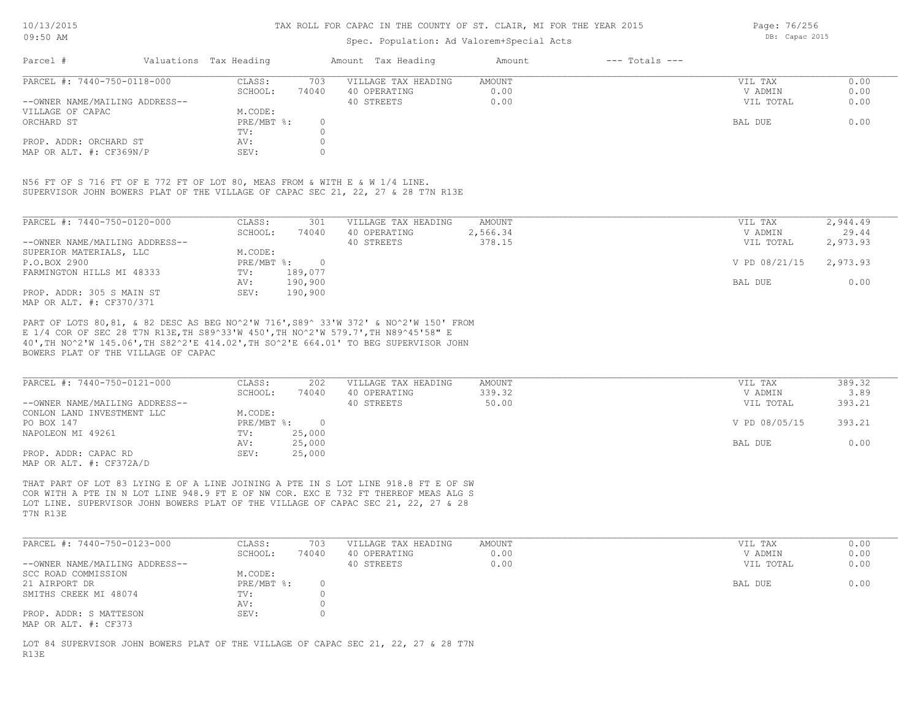## Spec. Population: Ad Valorem+Special Acts

Page: 76/256 DB: Capac 2015

| Parcel #                       |        | Valuations Tax Heading |                     | Amount Tax Heading | Amount | $---$ Totals $---$ |           |      |
|--------------------------------|--------|------------------------|---------------------|--------------------|--------|--------------------|-----------|------|
| PARCEL #: 7440-750-0118-000    | CLASS: | 703                    | VILLAGE TAX HEADING | AMOUNT             |        | VIL TAX            | 0.00      |      |
|                                |        | SCHOOL:                | 74040               | 40 OPERATING       | 0.00   |                    | V ADMIN   | 0.00 |
| --OWNER NAME/MAILING ADDRESS-- |        |                        |                     | 40 STREETS         | 0.00   |                    | VIL TOTAL | 0.00 |
| VILLAGE OF CAPAC               |        | M.CODE:                |                     |                    |        |                    |           |      |
| ORCHARD ST                     |        | PRE/MBT %:             |                     |                    |        |                    | BAL DUE   | 0.00 |
|                                |        | TV:                    |                     |                    |        |                    |           |      |
| PROP. ADDR: ORCHARD ST         |        | AV:                    |                     |                    |        |                    |           |      |
| MAP OR ALT. $\#$ : CF369N/P    |        | SEV:                   |                     |                    |        |                    |           |      |

SUPERVISOR JOHN BOWERS PLAT OF THE VILLAGE OF CAPAC SEC 21, 22, 27 & 28 T7N R13E N56 FT OF S 716 FT OF E 772 FT OF LOT 80, MEAS FROM & WITH E & W 1/4 LINE.

| PARCEL #: 7440-750-0120-000    | CLASS:     | 301     | VILLAGE TAX HEADING | AMOUNT   | 2,944.49<br>VIL TAX       |
|--------------------------------|------------|---------|---------------------|----------|---------------------------|
|                                | SCHOOL:    | 74040   | 40 OPERATING        | 2,566.34 | 29.44<br>V ADMIN          |
| --OWNER NAME/MAILING ADDRESS-- |            |         | 40 STREETS          | 378.15   | 2,973.93<br>VIL TOTAL     |
| SUPERIOR MATERIALS, LLC        | M.CODE:    |         |                     |          |                           |
| P.O.BOX 2900                   | PRE/MBT %: | $\cap$  |                     |          | 2,973.93<br>V PD 08/21/15 |
| FARMINGTON HILLS MI 48333      | TV:        | 189,077 |                     |          |                           |
|                                | AV:        | 190,900 |                     |          | 0.00<br>BAL DUE           |
| PROP. ADDR: 305 S MAIN ST      | SEV:       | 190,900 |                     |          |                           |
| MAP OR ALT. #: CF370/371       |            |         |                     |          |                           |

BOWERS PLAT OF THE VILLAGE OF CAPAC 40',TH NO^2'W 145.06',TH S82^2'E 414.02',TH SO^2'E 664.01' TO BEG SUPERVISOR JOHN E 1/4 COR OF SEC 28 T7N R13E,TH S89^33'W 450',TH NO^2'W 579.7',TH N89^45'58" E PART OF LOTS 80,81, & 82 DESC AS BEG NO^2'W 716',S89^ 33'W 372' & NO^2'W 150' FROM

| PARCEL #: 7440-750-0121-000    | CLASS:     | 202    | VILLAGE TAX HEADING | AMOUNT | VIL TAX       | 389.32 |
|--------------------------------|------------|--------|---------------------|--------|---------------|--------|
|                                | SCHOOL:    | 74040  | 40 OPERATING        | 339.32 | V ADMIN       | 3.89   |
| --OWNER NAME/MAILING ADDRESS-- |            |        | 40 STREETS          | 50.00  | VIL TOTAL     | 393.21 |
| CONLON LAND INVESTMENT LLC     | M.CODE:    |        |                     |        |               |        |
| PO BOX 147                     | PRE/MBT %: |        |                     |        | V PD 08/05/15 | 393.21 |
| NAPOLEON MI 49261              | TV:        | 25,000 |                     |        |               |        |
|                                | AV:        | 25,000 |                     |        | BAL DUE       | 0.00   |
| PROP. ADDR: CAPAC RD           | SEV:       | 25,000 |                     |        |               |        |
| MAP OR ALT. #: CF372A/D        |            |        |                     |        |               |        |

T7N R13E LOT LINE. SUPERVISOR JOHN BOWERS PLAT OF THE VILLAGE OF CAPAC SEC 21, 22, 27 & 28 COR WITH A PTE IN N LOT LINE 948.9 FT E OF NW COR. EXC E 732 FT THEREOF MEAS ALG S THAT PART OF LOT 83 LYING E OF A LINE JOINING A PTE IN S LOT LINE 918.8 FT E OF SW

| PARCEL #: 7440-750-0123-000    | CLASS:       | 703   | VILLAGE TAX HEADING | AMOUNT | VIL TAX   | 0.00 |
|--------------------------------|--------------|-------|---------------------|--------|-----------|------|
|                                | SCHOOL:      | 74040 | 40 OPERATING        | 0.00   | V ADMIN   | 0.00 |
| --OWNER NAME/MAILING ADDRESS-- |              |       | 40 STREETS          | 0.00   | VIL TOTAL | 0.00 |
| SCC ROAD COMMISSION            | M.CODE:      |       |                     |        |           |      |
| 21 AIRPORT DR                  | $PRE/MBT$ %: |       |                     |        | BAL DUE   | 0.00 |
| SMITHS CREEK MI 48074          | TV:          |       |                     |        |           |      |
|                                | AV:          |       |                     |        |           |      |
| PROP. ADDR: S MATTESON         | SEV:         |       |                     |        |           |      |
| MAP OR ALT. #: CF373           |              |       |                     |        |           |      |

R13E LOT 84 SUPERVISOR JOHN BOWERS PLAT OF THE VILLAGE OF CAPAC SEC 21, 22, 27 & 28 T7N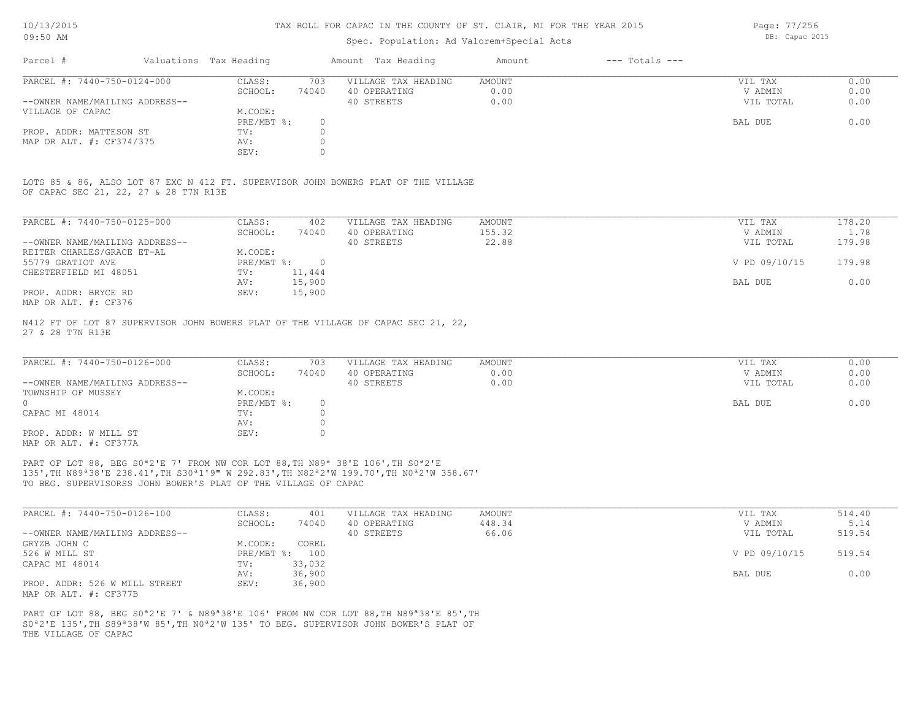## Spec. Population: Ad Valorem+Special Acts

| Parcel #                       | Valuations Tax Heading |       | Amount Tax Heading  | Amount | $---$ Totals $---$ |           |      |
|--------------------------------|------------------------|-------|---------------------|--------|--------------------|-----------|------|
| PARCEL #: 7440-750-0124-000    | CLASS:                 | 703   | VILLAGE TAX HEADING | AMOUNT |                    | VIL TAX   | 0.00 |
|                                | SCHOOL:                | 74040 | 40 OPERATING        | 0.00   |                    | V ADMIN   | 0.00 |
| --OWNER NAME/MAILING ADDRESS-- |                        |       | 40 STREETS          | 0.00   |                    | VIL TOTAL | 0.00 |
| VILLAGE OF CAPAC               | M.CODE:                |       |                     |        |                    |           |      |
|                                | PRE/MBT %:             |       |                     |        |                    | BAL DUE   | 0.00 |
| PROP. ADDR: MATTESON ST        | TV:                    |       |                     |        |                    |           |      |
| MAP OR ALT. #: CF374/375       | AV:                    |       |                     |        |                    |           |      |
|                                | SEV:                   |       |                     |        |                    |           |      |

OF CAPAC SEC 21, 22, 27 & 28 T7N R13E LOTS 85 & 86, ALSO LOT 87 EXC N 412 FT. SUPERVISOR JOHN BOWERS PLAT OF THE VILLAGE

| PARCEL #: 7440-750-0125-000    | CLASS:     | 402      | VILLAGE TAX HEADING | AMOUNT | 178.20<br>VIL TAX       |
|--------------------------------|------------|----------|---------------------|--------|-------------------------|
|                                | SCHOOL:    | 74040    | 40 OPERATING        | 155.32 | 1.78<br>V ADMIN         |
| --OWNER NAME/MAILING ADDRESS-- |            |          | 40 STREETS          | 22.88  | 179.98<br>VIL TOTAL     |
| REITER CHARLES/GRACE ET-AL     | M.CODE:    |          |                     |        |                         |
| 55779 GRATIOT AVE              | PRE/MBT %: | $\Omega$ |                     |        | V PD 09/10/15<br>179.98 |
| CHESTERFIELD MI 48051          | TV:        | 11,444   |                     |        |                         |
|                                | AV:        | 15,900   |                     |        | 0.00<br>BAL DUE         |
| PROP. ADDR: BRYCE RD           | SEV:       | 15,900   |                     |        |                         |
| MAP OR ALT. #: CF376           |            |          |                     |        |                         |

27 & 28 T7N R13E N412 FT OF LOT 87 SUPERVISOR JOHN BOWERS PLAT OF THE VILLAGE OF CAPAC SEC 21, 22,

| PARCEL #: 7440-750-0126-000    | CLASS:       | 703   | VILLAGE TAX HEADING | AMOUNT | VIL TAX   | 0.00 |
|--------------------------------|--------------|-------|---------------------|--------|-----------|------|
|                                | SCHOOL:      | 74040 | 40 OPERATING        | 0.00   | V ADMIN   | 0.00 |
| --OWNER NAME/MAILING ADDRESS-- |              |       | 40 STREETS          | 0.00   | VIL TOTAL | 0.00 |
| TOWNSHIP OF MUSSEY             | M.CODE:      |       |                     |        |           |      |
|                                | $PRE/MBT$ %: |       |                     |        | BAL DUE   | 0.00 |
| CAPAC MI 48014                 | TV:          |       |                     |        |           |      |
|                                | AV:          |       |                     |        |           |      |
| PROP. ADDR: W MILL ST          | SEV:         |       |                     |        |           |      |
| MAP OR ALT. #: CF377A          |              |       |                     |        |           |      |

TO BEG. SUPERVISORSS JOHN BOWER'S PLAT OF THE VILLAGE OF CAPAC 135',TH N89ª38'E 238.41',TH S30ª1'9" W 292.83',TH N82ª2'W 199.70',TH N0ª2'W 358.67' PART OF LOT 88, BEG S0<sup>ª2'E</sup> 7' FROM NW COR LOT 88, TH N89<sup>ª</sup> 38'E 106', TH S0<sup>ª2'E</sup>

| PARCEL #: 7440-750-0126-100    | CLASS:  | 401            | VILLAGE TAX HEADING | AMOUNT | VIL TAX       | 514.40 |
|--------------------------------|---------|----------------|---------------------|--------|---------------|--------|
|                                | SCHOOL: | 74040          | 40 OPERATING        | 448.34 | V ADMIN       | 5.14   |
| --OWNER NAME/MAILING ADDRESS-- |         |                | 40 STREETS          | 66.06  | VIL TOTAL     | 519.54 |
| GRYZB JOHN C                   | M.CODE: | COREL          |                     |        |               |        |
| 526 W MILL ST                  |         | PRE/MBT %: 100 |                     |        | V PD 09/10/15 | 519.54 |
| CAPAC MI 48014                 | TV:     | 33,032         |                     |        |               |        |
|                                | AV:     | 36,900         |                     |        | BAL DUE       | 0.00   |
| PROP. ADDR: 526 W MILL STREET  | SEV:    | 36,900         |                     |        |               |        |
| MAP OR ALT. #: CF377B          |         |                |                     |        |               |        |

THE VILLAGE OF CAPAC S0ª2'E 135',TH S89ª38'W 85',TH N0ª2'W 135' TO BEG. SUPERVISOR JOHN BOWER'S PLAT OF PART OF LOT 88, BEG S0ª2'E 7' & N89ª38'E 106' FROM NW COR LOT 88,TH N89ª38'E 85',TH Page: 77/256 DB: Capac 2015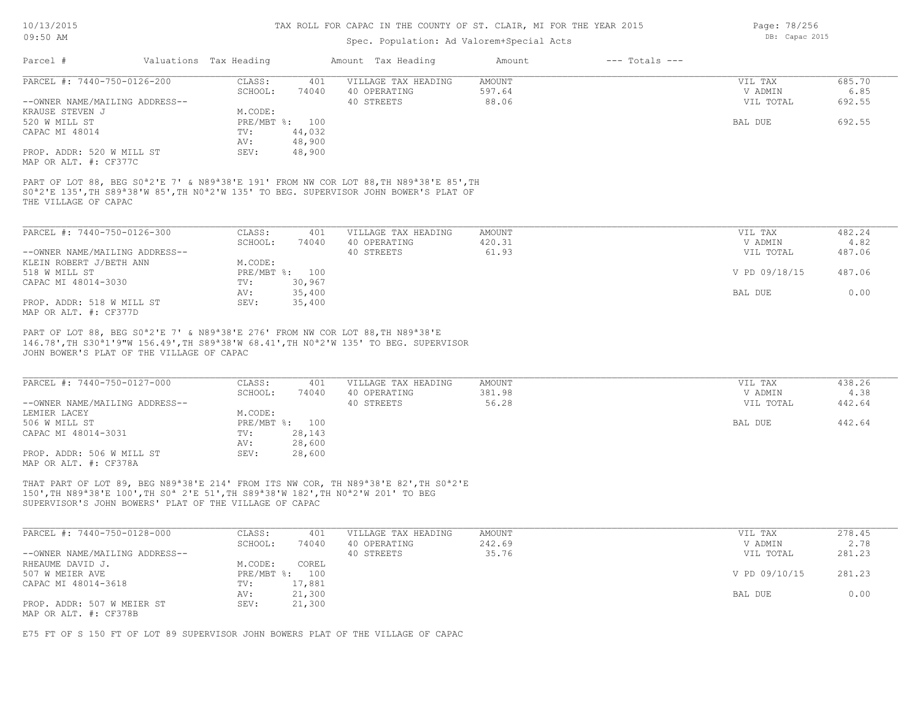## Spec. Population: Ad Valorem+Special Acts

| Parcel #                                                                                                                                                                                                                                                                            | Valuations Tax Heading |        | Amount Tax Heading  | Amount        | $---$ Totals $---$ |               |        |
|-------------------------------------------------------------------------------------------------------------------------------------------------------------------------------------------------------------------------------------------------------------------------------------|------------------------|--------|---------------------|---------------|--------------------|---------------|--------|
| PARCEL #: 7440-750-0126-200                                                                                                                                                                                                                                                         | CLASS:                 | 401    | VILLAGE TAX HEADING | <b>AMOUNT</b> |                    | VIL TAX       | 685.70 |
|                                                                                                                                                                                                                                                                                     | SCHOOL:                | 74040  | 40 OPERATING        | 597.64        |                    | V ADMIN       | 6.85   |
| --OWNER NAME/MAILING ADDRESS--                                                                                                                                                                                                                                                      |                        |        | 40 STREETS          | 88.06         |                    | VIL TOTAL     | 692.55 |
| KRAUSE STEVEN J                                                                                                                                                                                                                                                                     | M.CODE:                |        |                     |               |                    |               |        |
| 520 W MILL ST                                                                                                                                                                                                                                                                       | PRE/MBT %: 100         |        |                     |               |                    | BAL DUE       | 692.55 |
| CAPAC MI 48014                                                                                                                                                                                                                                                                      | TV:                    | 44,032 |                     |               |                    |               |        |
|                                                                                                                                                                                                                                                                                     | AV:                    | 48,900 |                     |               |                    |               |        |
| PROP. ADDR: 520 W MILL ST<br>MAP OR ALT. #: CF377C                                                                                                                                                                                                                                  | SEV:                   | 48,900 |                     |               |                    |               |        |
| PART OF LOT 88, BEG S0 <sup>a</sup> 2'E 7' & N89 <sup>a</sup> 38'E 191' FROM NW COR LOT 88, TH N89 <sup>a</sup> 38'E 85', TH<br>SO <sup>a</sup> 2'E 135', TH S89 <sup>a</sup> 38'W 85', TH NO <sup>a</sup> 2'W 135' TO BEG. SUPERVISOR JOHN BOWER'S PLAT OF<br>THE VILLAGE OF CAPAC |                        |        |                     |               |                    |               |        |
| PARCEL #: 7440-750-0126-300                                                                                                                                                                                                                                                         | CLASS:                 | 401    | VILLAGE TAX HEADING | <b>AMOUNT</b> |                    | VIL TAX       | 482.24 |
|                                                                                                                                                                                                                                                                                     | SCHOOL:                | 74040  | 40 OPERATING        | 420.31        |                    | V ADMIN       | 4.82   |
| --OWNER NAME/MAILING ADDRESS--                                                                                                                                                                                                                                                      |                        |        | 40 STREETS          | 61.93         |                    | VIL TOTAL     | 487.06 |
| KLEIN ROBERT J/BETH ANN                                                                                                                                                                                                                                                             | M.CODE:                |        |                     |               |                    |               |        |
| 518 W MILL ST                                                                                                                                                                                                                                                                       | PRE/MBT %: 100         |        |                     |               |                    | V PD 09/18/15 | 487.06 |
| CAPAC MI 48014-3030                                                                                                                                                                                                                                                                 | TV:                    | 30,967 |                     |               |                    |               |        |
|                                                                                                                                                                                                                                                                                     | AV:                    | 35,400 |                     |               |                    | BAL DUE       | 0.00   |
| PROP. ADDR: 518 W MILL ST<br>MAP OR ALT. #: CF377D                                                                                                                                                                                                                                  | SEV:                   | 35,400 |                     |               |                    |               |        |
| JOHN BOWER'S PLAT OF THE VILLAGE OF CAPAC                                                                                                                                                                                                                                           |                        |        |                     |               |                    |               |        |
| PARCEL #: 7440-750-0127-000                                                                                                                                                                                                                                                         | CLASS:                 | 401    | VILLAGE TAX HEADING | <b>AMOUNT</b> |                    | VIL TAX       | 438.26 |
|                                                                                                                                                                                                                                                                                     | SCHOOL:                | 74040  | 40 OPERATING        | 381.98        |                    | V ADMIN       | 4.38   |
| --OWNER NAME/MAILING ADDRESS--                                                                                                                                                                                                                                                      |                        |        | 40 STREETS          | 56.28         |                    | VIL TOTAL     | 442.64 |
| LEMIER LACEY                                                                                                                                                                                                                                                                        | M.CODE:                |        |                     |               |                    |               |        |
| 506 W MILL ST                                                                                                                                                                                                                                                                       | PRE/MBT %: 100         |        |                     |               |                    | BAL DUE       | 442.64 |
| CAPAC MI 48014-3031                                                                                                                                                                                                                                                                 | TV:                    | 28,143 |                     |               |                    |               |        |
|                                                                                                                                                                                                                                                                                     | AV:<br>SEV:            | 28,600 |                     |               |                    |               |        |
| PROP. ADDR: 506 W MILL ST<br>MAP OR ALT. #: CF378A                                                                                                                                                                                                                                  |                        | 28,600 |                     |               |                    |               |        |
| THAT PART OF LOT 89, BEG N89 <sup>ª</sup> 38'E 214' FROM ITS NW COR, TH N89 <sup>ª</sup> 38'E 82', TH S0 <sup>ª</sup> 2'E                                                                                                                                                           |                        |        |                     |               |                    |               |        |
| 150', TH N89 <sup>a</sup> 38'E 100', TH S0 <sup>a</sup> 2'E 51', TH S89 <sup>a</sup> 38'W 182', TH N0 <sup>a</sup> 2'W 201' TO BEG                                                                                                                                                  |                        |        |                     |               |                    |               |        |
| SUPERVISOR'S JOHN BOWERS' PLAT OF THE VILLAGE OF CAPAC                                                                                                                                                                                                                              |                        |        |                     |               |                    |               |        |
| PARCEL #: 7440-750-0128-000                                                                                                                                                                                                                                                         | CLASS:                 | 401    | VILLAGE TAX HEADING | <b>AMOUNT</b> |                    | VIL TAX       | 278.45 |
|                                                                                                                                                                                                                                                                                     | SCHOOL:                | 74040  | 40 OPERATING        | 242.69        |                    | V ADMIN       | 2.78   |
| --OWNER NAME/MAILING ADDRESS--                                                                                                                                                                                                                                                      |                        |        | 40 STREETS          | 35.76         |                    | VIL TOTAL     | 281.23 |
| RHEAUME DAVID J.                                                                                                                                                                                                                                                                    | M.CODE:                | COREL  |                     |               |                    |               |        |
| 507 W MEIER AVE                                                                                                                                                                                                                                                                     | PRE/MBT %: 100         |        |                     |               |                    | V PD 09/10/15 | 281.23 |
| CAPAC MI 48014-3618                                                                                                                                                                                                                                                                 | TV:                    | 17,881 |                     |               |                    |               |        |
|                                                                                                                                                                                                                                                                                     | AV:                    | 21,300 |                     |               |                    | BAL DUE       | 0.00   |
| PROP. ADDR: 507 W MEIER ST                                                                                                                                                                                                                                                          | SEV:                   | 21,300 |                     |               |                    |               |        |
| MAP OR ALT. #: CF378B                                                                                                                                                                                                                                                               |                        |        |                     |               |                    |               |        |
|                                                                                                                                                                                                                                                                                     |                        |        |                     |               |                    |               |        |

E75 FT OF S 150 FT OF LOT 89 SUPERVISOR JOHN BOWERS PLAT OF THE VILLAGE OF CAPAC

Page: 78/256 DB: Capac 2015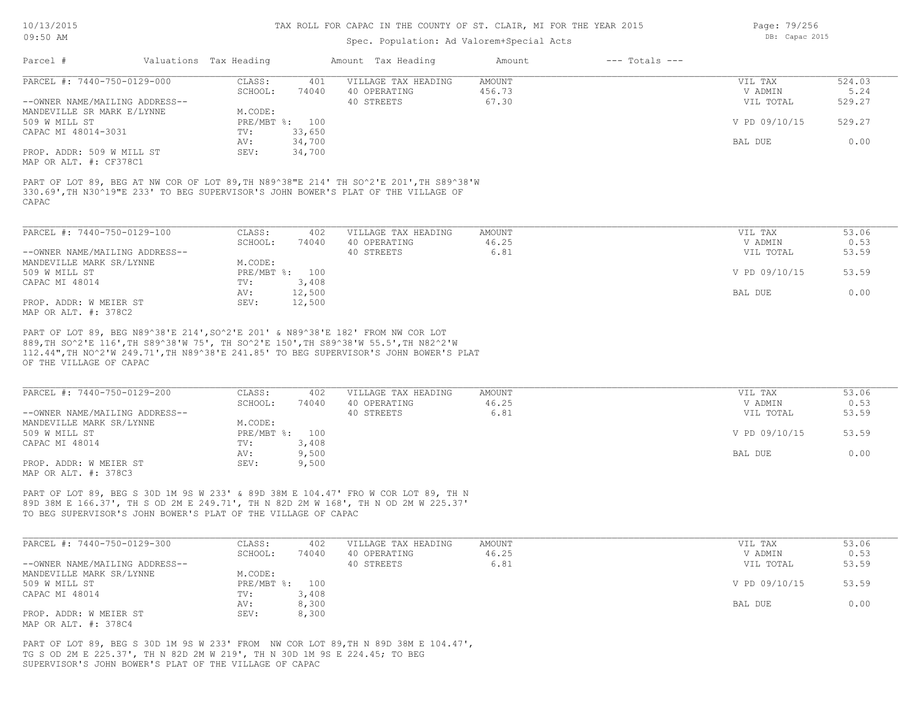## Spec. Population: Ad Valorem+Special Acts

| YEAR 2015 | Page: 79/256   |  |  |
|-----------|----------------|--|--|
|           | DB: Capac 2015 |  |  |
|           |                |  |  |

| Parcel #                       | Valuations Tax Heading |        | Amount Tax Heading  | Amount | $---$ Totals $---$ |               |        |
|--------------------------------|------------------------|--------|---------------------|--------|--------------------|---------------|--------|
| PARCEL #: 7440-750-0129-000    | CLASS:                 | 401    | VILLAGE TAX HEADING | AMOUNT |                    | VIL TAX       | 524.03 |
|                                | SCHOOL:                | 74040  | 40 OPERATING        | 456.73 |                    | V ADMIN       | 5.24   |
| --OWNER NAME/MAILING ADDRESS-- |                        |        | 40 STREETS          | 67.30  |                    | VIL TOTAL     | 529.27 |
| MANDEVILLE SR MARK E/LYNNE     | M.CODE:                |        |                     |        |                    |               |        |
| 509 W MILL ST                  | $PRE/MBT$ %:           | 100    |                     |        |                    | V PD 09/10/15 | 529.27 |
| CAPAC MI 48014-3031            | TV:                    | 33,650 |                     |        |                    |               |        |
|                                | AV:                    | 34,700 |                     |        |                    | BAL DUE       | 0.00   |
| PROP. ADDR: 509 W MILL ST      | SEV:                   | 34,700 |                     |        |                    |               |        |
| MAP OR ALT. #: CF378C1         |                        |        |                     |        |                    |               |        |

CAPAC 330.69',TH N30^19"E 233' TO BEG SUPERVISOR'S JOHN BOWER'S PLAT OF THE VILLAGE OF PART OF LOT 89, BEG AT NW COR OF LOT 89,TH N89^38"E 214' TH SO^2'E 201',TH S89^38'W

| PARCEL #: 7440-750-0129-100    | CLASS:     | 402    | VILLAGE TAX HEADING | AMOUNT | VIL TAX       | 53.06 |
|--------------------------------|------------|--------|---------------------|--------|---------------|-------|
|                                | SCHOOL:    | 74040  | 40 OPERATING        | 46.25  | V ADMIN       | 0.53  |
| --OWNER NAME/MAILING ADDRESS-- |            |        | 40 STREETS          | 6.81   | VIL TOTAL     | 53.59 |
| MANDEVILLE MARK SR/LYNNE       | M.CODE:    |        |                     |        |               |       |
| 509 W MILL ST                  | PRE/MBT %: | 100    |                     |        | V PD 09/10/15 | 53.59 |
| CAPAC MI 48014                 | TV:        | 3,408  |                     |        |               |       |
|                                | AV:        | 12,500 |                     |        | BAL DUE       | 0.00  |
| PROP. ADDR: W MEIER ST         | SEV:       | 12,500 |                     |        |               |       |
| MAP OR ALT. #: 378C2           |            |        |                     |        |               |       |

OF THE VILLAGE OF CAPAC 112.44",TH NO^2'W 249.71',TH N89^38'E 241.85' TO BEG SUPERVISOR'S JOHN BOWER'S PLAT 889,TH SO^2'E 116',TH S89^38'W 75', TH SO^2'E 150',TH S89^38'W 55.5',TH N82^2'W PART OF LOT 89, BEG N89^38'E 214',SO^2'E 201' & N89^38'E 182' FROM NW COR LOT

| PARCEL #: 7440-750-0129-200    | CLASS:  | 402            | VILLAGE TAX HEADING | AMOUNT | VIL TAX       | 53.06 |
|--------------------------------|---------|----------------|---------------------|--------|---------------|-------|
|                                | SCHOOL: | 74040          | 40 OPERATING        | 46.25  | V ADMIN       | 0.53  |
| --OWNER NAME/MAILING ADDRESS-- |         |                | 40 STREETS          | 6.81   | VIL TOTAL     | 53.59 |
| MANDEVILLE MARK SR/LYNNE       | M.CODE: |                |                     |        |               |       |
| 509 W MILL ST                  |         | PRE/MBT %: 100 |                     |        | V PD 09/10/15 | 53.59 |
| CAPAC MI 48014                 | TV:     | 3,408          |                     |        |               |       |
|                                | AV:     | 9,500          |                     |        | BAL DUE       | 0.00  |
| PROP. ADDR: W MEIER ST         | SEV:    | 9,500          |                     |        |               |       |
| MAP OR ALT. #: 378C3           |         |                |                     |        |               |       |

TO BEG SUPERVISOR'S JOHN BOWER'S PLAT OF THE VILLAGE OF CAPAC 89D 38M E 166.37', TH S OD 2M E 249.71', TH N 82D 2M W 168', TH N OD 2M W 225.37' PART OF LOT 89, BEG S 30D 1M 9S W 233' & 89D 38M E 104.47' FRO W COR LOT 89, TH N

| PARCEL #: 7440-750-0129-300    | CLASS:         | 402   | VILLAGE TAX HEADING | AMOUNT | VIL TAX       | 53.06 |
|--------------------------------|----------------|-------|---------------------|--------|---------------|-------|
|                                | SCHOOL:        | 74040 | 40 OPERATING        | 46.25  | V ADMIN       | 0.53  |
| --OWNER NAME/MAILING ADDRESS-- |                |       | 40 STREETS          | 6.81   | VIL TOTAL     | 53.59 |
| MANDEVILLE MARK SR/LYNNE       | M.CODE:        |       |                     |        |               |       |
| 509 W MILL ST                  | PRE/MBT %: 100 |       |                     |        | V PD 09/10/15 | 53.59 |
| CAPAC MI 48014                 | TV:            | 3,408 |                     |        |               |       |
|                                | AV:            | 8,300 |                     |        | BAL DUE       | 0.00  |
| PROP. ADDR: W MEIER ST         | SEV:           | 8,300 |                     |        |               |       |
| MAP OR ALT. #: 378C4           |                |       |                     |        |               |       |

SUPERVISOR'S JOHN BOWER'S PLAT OF THE VILLAGE OF CAPAC TG S OD 2M E 225.37', TH N 82D 2M W 219', TH N 30D 1M 9S E 224.45; TO BEG PART OF LOT 89, BEG S 30D 1M 9S W 233' FROM NW COR LOT 89,TH N 89D 38M E 104.47',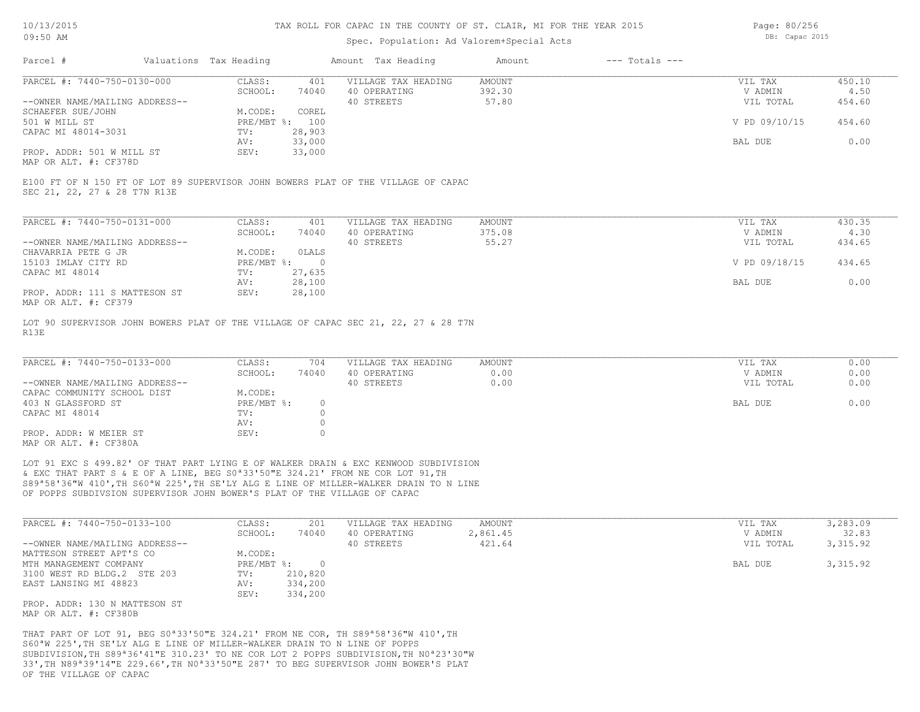## Spec. Population: Ad Valorem+Special Acts

Page: 80/256 DB: Capac 2015

| Parcel #                       | Valuations Tax Heading |        | Amount Tax Heading  | Amount | $---$ Totals $---$ |               |        |
|--------------------------------|------------------------|--------|---------------------|--------|--------------------|---------------|--------|
| PARCEL #: 7440-750-0130-000    | CLASS:                 | 401    | VILLAGE TAX HEADING | AMOUNT |                    | VIL TAX       | 450.10 |
|                                | SCHOOL:                | 74040  | 40 OPERATING        | 392.30 |                    | V ADMIN       | 4.50   |
| --OWNER NAME/MAILING ADDRESS-- |                        |        | 40 STREETS          | 57.80  |                    | VIL TOTAL     | 454.60 |
| SCHAEFER SUE/JOHN              | M.CODE:                | COREL  |                     |        |                    |               |        |
| 501 W MILL ST                  | $PRE/MBT$ %:           | 100    |                     |        |                    | V PD 09/10/15 | 454.60 |
| CAPAC MI 48014-3031            | TV:                    | 28,903 |                     |        |                    |               |        |
|                                | AV:                    | 33,000 |                     |        |                    | BAL DUE       | 0.00   |
| PROP. ADDR: 501 W MILL ST      | SEV:                   | 33,000 |                     |        |                    |               |        |
|                                |                        |        |                     |        |                    |               |        |

MAP OR ALT. #: CF378D

SEC 21, 22, 27 & 28 T7N R13E E100 FT OF N 150 FT OF LOT 89 SUPERVISOR JOHN BOWERS PLAT OF THE VILLAGE OF CAPAC

| PARCEL #: 7440-750-0131-000    | CLASS:     | 401    | VILLAGE TAX HEADING | AMOUNT | VIL TAX       | 430.35 |
|--------------------------------|------------|--------|---------------------|--------|---------------|--------|
|                                | SCHOOL:    | 74040  | 40 OPERATING        | 375.08 | V ADMIN       | 4.30   |
| --OWNER NAME/MAILING ADDRESS-- |            |        | 40 STREETS          | 55.27  | VIL TOTAL     | 434.65 |
| CHAVARRIA PETE G JR            | M.CODE:    | OLALS  |                     |        |               |        |
| 15103 IMLAY CITY RD            | PRE/MBT %: |        |                     |        | V PD 09/18/15 | 434.65 |
| CAPAC MI 48014                 | TV:        | 27,635 |                     |        |               |        |
|                                | AV:        | 28,100 |                     |        | BAL DUE       | 0.00   |
| PROP. ADDR: 111 S MATTESON ST  | SEV:       | 28,100 |                     |        |               |        |
| MAP OR ALT. #: CF379           |            |        |                     |        |               |        |

R13E LOT 90 SUPERVISOR JOHN BOWERS PLAT OF THE VILLAGE OF CAPAC SEC 21, 22, 27 & 28 T7N

| PARCEL #: 7440-750-0133-000    | CLASS:     | 704   | VILLAGE TAX HEADING | AMOUNT | VIL TAX   | 0.00 |
|--------------------------------|------------|-------|---------------------|--------|-----------|------|
|                                | SCHOOL:    | 74040 | 40 OPERATING        | 0.00   | V ADMIN   | 0.00 |
| --OWNER NAME/MAILING ADDRESS-- |            |       | 40 STREETS          | 0.00   | VIL TOTAL | 0.00 |
| CAPAC COMMUNITY SCHOOL DIST    | M.CODE:    |       |                     |        |           |      |
| 403 N GLASSFORD ST             | PRE/MBT %: |       |                     |        | BAL DUE   | 0.00 |
| CAPAC MI 48014                 | TV:        |       |                     |        |           |      |
|                                | AV:        |       |                     |        |           |      |
| PROP. ADDR: W MEIER ST         | SEV:       |       |                     |        |           |      |
| MAP OR ALT. #: CF380A          |            |       |                     |        |           |      |

OF POPPS SUBDIVSION SUPERVISOR JOHN BOWER'S PLAT OF THE VILLAGE OF CAPAC S89ª58'36"W 410',TH S60ªW 225',TH SE'LY ALG E LINE OF MILLER-WALKER DRAIN TO N LINE & EXC THAT PART S & E OF A LINE, BEG S0ª33'50"E 324.21' FROM NE COR LOT 91,TH LOT 91 EXC S 499.82' OF THAT PART LYING E OF WALKER DRAIN & EXC KENWOOD SUBDIVISION

| PARCEL #: 7440-750-0133-100    | CLASS:       | 201     | VILLAGE TAX HEADING | AMOUNT   | VIL TAX   | 3,283.09 |
|--------------------------------|--------------|---------|---------------------|----------|-----------|----------|
|                                | SCHOOL:      | 74040   | 40 OPERATING        | 2,861.45 | V ADMIN   | 32.83    |
| --OWNER NAME/MAILING ADDRESS-- |              |         | 40 STREETS          | 421.64   | VIL TOTAL | 3,315.92 |
| MATTESON STREET APT'S CO       | M.CODE:      |         |                     |          |           |          |
| MTH MANAGEMENT COMPANY         | $PRE/MBT$ %: |         |                     |          | BAL DUE   | 3,315.92 |
| 3100 WEST RD BLDG.2 STE 203    | TV:          | 210,820 |                     |          |           |          |
| EAST LANSING MI 48823          | AV:          | 334,200 |                     |          |           |          |
|                                | SEV:         | 334,200 |                     |          |           |          |
| PROP. ADDR: 130 N MATTESON ST  |              |         |                     |          |           |          |
|                                |              |         |                     |          |           |          |

MAP OR ALT. #: CF380B

OF THE VILLAGE OF CAPAC 33',TH N89ª39'14"E 229.66',TH N0ª33'50"E 287' TO BEG SUPERVISOR JOHN BOWER'S PLAT SUBDIVISION,TH S89ª36'41"E 310.23' TO NE COR LOT 2 POPPS SUBDIVISION,TH N0ª23'30"W S60ªW 225',TH SE'LY ALG E LINE OF MILLER-WALKER DRAIN TO N LINE OF POPPS THAT PART OF LOT 91, BEG S0ª33'50"E 324.21' FROM NE COR, TH S89ª58'36"W 410',TH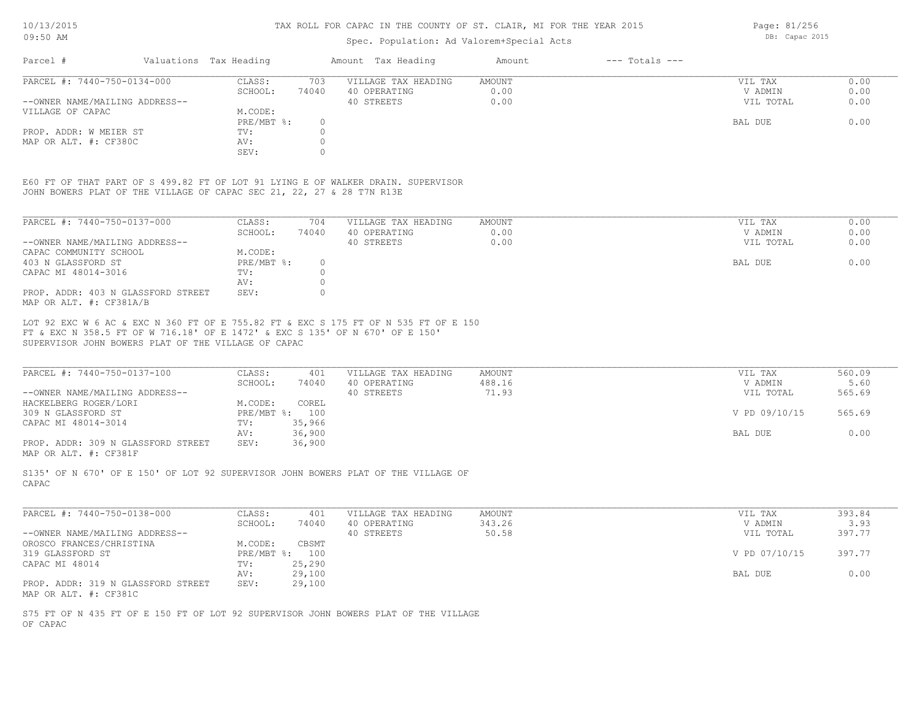## Spec. Population: Ad Valorem+Special Acts

Parcel # Valuations Tax Heading Amount Tax Heading Amount --- Totals ---SEV: 0 MAP OR ALT. #: CF380C AV: 0 PROP. ADDR: W MEIER ST TV: 0 PRE/MBT  $\text{\$:}\quad \quad 0\quad \quad$ VILLAGE OF CAPAC M.CODE: M.CODE: PRE/MBT %: --OWNER NAME/MAILING ADDRESS-- 40 STREETS 0.00 VIL TOTAL 0.00 SCHOOL: 74040 40 OPERATING 0.00 V ADMIN 0.00 PARCEL #: 7440-750-0134-000 CLASS: 703 VILLAGE TAX HEADING AMOUNT AMOUNT VIL TAX 0.00<br>SCHOOL: 74040 40 OPERATING 0.00 0.00 VADMIN 0.00  $\mathcal{L}_\mathcal{L} = \mathcal{L}_\mathcal{L} = \mathcal{L}_\mathcal{L} = \mathcal{L}_\mathcal{L} = \mathcal{L}_\mathcal{L} = \mathcal{L}_\mathcal{L} = \mathcal{L}_\mathcal{L} = \mathcal{L}_\mathcal{L} = \mathcal{L}_\mathcal{L} = \mathcal{L}_\mathcal{L} = \mathcal{L}_\mathcal{L} = \mathcal{L}_\mathcal{L} = \mathcal{L}_\mathcal{L} = \mathcal{L}_\mathcal{L} = \mathcal{L}_\mathcal{L} = \mathcal{L}_\mathcal{L} = \mathcal{L}_\mathcal{L}$ 

JOHN BOWERS PLAT OF THE VILLAGE OF CAPAC SEC 21, 22, 27 & 28 T7N R13E E60 FT OF THAT PART OF S 499.82 FT OF LOT 91 LYING E OF WALKER DRAIN. SUPERVISOR

| PARCEL #: 7440-750-0137-000                                   | CLASS:     | 704   | VILLAGE TAX HEADING | AMOUNT | VIL TAX   | 0.00 |
|---------------------------------------------------------------|------------|-------|---------------------|--------|-----------|------|
|                                                               | SCHOOL:    | 74040 | 40 OPERATING        | 0.00   | V ADMIN   | 0.00 |
| --OWNER NAME/MAILING ADDRESS--                                |            |       | 40 STREETS          | 0.00   | VIL TOTAL | 0.00 |
| CAPAC COMMUNITY SCHOOL                                        | M.CODE:    |       |                     |        |           |      |
| 403 N GLASSFORD ST                                            | PRE/MBT %: |       |                     |        | BAL DUE   | 0.00 |
| CAPAC MI 48014-3016                                           | TV:        |       |                     |        |           |      |
|                                                               | AV:        |       |                     |        |           |      |
| PROP. ADDR: 403 N GLASSFORD STREET<br>MAP OR ALT. #: CF381A/B | SEV:       |       |                     |        |           |      |

SUPERVISOR JOHN BOWERS PLAT OF THE VILLAGE OF CAPAC FT & EXC N 358.5 FT OF W 716.18' OF E 1472' & EXC S 135' OF N 670' OF E 150' LOT 92 EXC W 6 AC & EXC N 360 FT OF E 755.82 FT & EXC S 175 FT OF N 535 FT OF E 150

| PARCEL #: 7440-750-0137-100        | CLASS:  | 401            | VILLAGE TAX HEADING | AMOUNT | VIL TAX       | 560.09 |
|------------------------------------|---------|----------------|---------------------|--------|---------------|--------|
|                                    | SCHOOL: | 74040          | 40 OPERATING        | 488.16 | V ADMIN       | 5.60   |
| --OWNER NAME/MAILING ADDRESS--     |         |                | 40 STREETS          | 71.93  | VIL TOTAL     | 565.69 |
| HACKELBERG ROGER/LORI              | M.CODE: | COREL          |                     |        |               |        |
| 309 N GLASSFORD ST                 |         | PRE/MBT %: 100 |                     |        | V PD 09/10/15 | 565.69 |
| CAPAC MI 48014-3014                | TV:     | 35,966         |                     |        |               |        |
|                                    | AV:     | 36,900         |                     |        | BAL DUE       | 0.00   |
| PROP. ADDR: 309 N GLASSFORD STREET | SEV:    | 36,900         |                     |        |               |        |
|                                    |         |                |                     |        |               |        |

MAP OR ALT. #: CF381F

CAPAC S135' OF N 670' OF E 150' OF LOT 92 SUPERVISOR JOHN BOWERS PLAT OF THE VILLAGE OF

| PARCEL #: 7440-750-0138-000        | CLASS:  | 401            | VILLAGE TAX HEADING | AMOUNT | VIL TAX       | 393.84 |
|------------------------------------|---------|----------------|---------------------|--------|---------------|--------|
|                                    | SCHOOL: | 74040          | 40 OPERATING        | 343.26 | V ADMIN       | 3.93   |
| --OWNER NAME/MAILING ADDRESS--     |         |                | 40 STREETS          | 50.58  | VIL TOTAL     | 397.77 |
| OROSCO FRANCES/CHRISTINA           | M.CODE: | CBSMT          |                     |        |               |        |
| 319 GLASSFORD ST                   |         | PRE/MBT %: 100 |                     |        | V PD 07/10/15 | 397.77 |
| CAPAC MI 48014                     | TV:     | 25,290         |                     |        |               |        |
|                                    | AV:     | 29,100         |                     |        | BAL DUE       | 0.00   |
| PROP. ADDR: 319 N GLASSFORD STREET | SEV:    | 29,100         |                     |        |               |        |
| MAP OR ALT. #: CF381C              |         |                |                     |        |               |        |

OF CAPAC S75 FT OF N 435 FT OF E 150 FT OF LOT 92 SUPERVISOR JOHN BOWERS PLAT OF THE VILLAGE Page: 81/256 DB: Capac 2015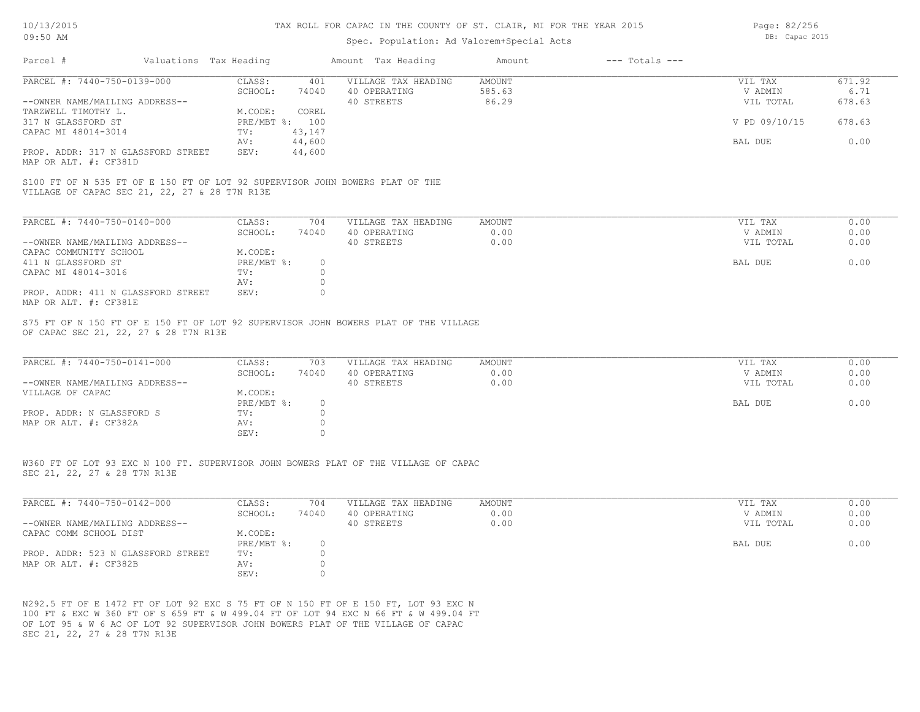### Spec. Population: Ad Valorem+Special Acts

Page: 82/256 DB: Capac 2015

| Parcel #                                                                                                                      | Valuations Tax Heading |          | Amount Tax Heading  | Amount        | $---$ Totals $---$ |                |        |
|-------------------------------------------------------------------------------------------------------------------------------|------------------------|----------|---------------------|---------------|--------------------|----------------|--------|
| PARCEL #: 7440-750-0139-000                                                                                                   | CLASS:                 | 401      | VILLAGE TAX HEADING | AMOUNT        |                    | VIL TAX        | 671.92 |
|                                                                                                                               | SCHOOL:                | 74040    | 40 OPERATING        | 585.63        |                    | V ADMIN        | 6.71   |
| --OWNER NAME/MAILING ADDRESS--                                                                                                |                        |          | 40 STREETS          | 86.29         |                    | VIL TOTAL      | 678.63 |
| TARZWELL TIMOTHY L.                                                                                                           | M.CODE:                | COREL    |                     |               |                    |                |        |
| 317 N GLASSFORD ST                                                                                                            | PRE/MBT %:             | 100      |                     |               |                    | V PD 09/10/15  | 678.63 |
| CAPAC MI 48014-3014                                                                                                           | TV:                    | 43,147   |                     |               |                    |                |        |
|                                                                                                                               | AV:                    | 44,600   |                     |               |                    | BAL DUE        | 0.00   |
| PROP. ADDR: 317 N GLASSFORD STREET<br>MAP OR ALT. #: CF381D                                                                   | SEV:                   | 44,600   |                     |               |                    |                |        |
| S100 FT OF N 535 FT OF E 150 FT OF LOT 92 SUPERVISOR JOHN BOWERS PLAT OF THE<br>VILLAGE OF CAPAC SEC 21, 22, 27 & 28 T7N R13E |                        |          |                     |               |                    |                |        |
| PARCEL #: 7440-750-0140-000                                                                                                   | CLASS:                 | 704      | VILLAGE TAX HEADING | AMOUNT        |                    | VIL TAX        | 0.00   |
|                                                                                                                               | SCHOOL:                | 74040    | 40 OPERATING        | 0.00          |                    | V ADMIN        | 0.00   |
| --OWNER NAME/MAILING ADDRESS--                                                                                                |                        |          | 40 STREETS          | 0.00          |                    | VIL TOTAL      | 0.00   |
| CAPAC COMMUNITY SCHOOL                                                                                                        | M.CODE:                |          |                     |               |                    |                |        |
| 411 N GLASSFORD ST                                                                                                            | PRE/MBT %:             | $\circ$  |                     |               |                    | <b>BAL DUE</b> | 0.00   |
| CAPAC MI 48014-3016                                                                                                           | TV:                    | $\circ$  |                     |               |                    |                |        |
|                                                                                                                               | AV:                    | $\circ$  |                     |               |                    |                |        |
| PROP. ADDR: 411 N GLASSFORD STREET<br>MAP OR ALT. #: CF381E                                                                   | SEV:                   | $\Omega$ |                     |               |                    |                |        |
| S75 FT OF N 150 FT OF E 150 FT OF LOT 92 SUPERVISOR JOHN BOWERS PLAT OF THE VILLAGE<br>OF CAPAC SEC 21, 22, 27 & 28 T7N R13E  |                        |          |                     |               |                    |                |        |
|                                                                                                                               |                        |          |                     |               |                    |                |        |
| PARCEL #: 7440-750-0141-000                                                                                                   | CLASS:                 | 703      | VILLAGE TAX HEADING | <b>AMOUNT</b> |                    | VIL TAX        | 0.00   |
|                                                                                                                               | SCHOOL:                | 74040    | 40 OPERATING        | 0.00          |                    | V ADMIN        | 0.00   |
| --OWNER NAME/MAILING ADDRESS--                                                                                                |                        |          | 40 STREETS          | 0.00          |                    | VIL TOTAL      | 0.00   |
| $\overline{U}$                                                                                                                | M CODE.                |          |                     |               |                    |                |        |

| VILLAGE OF CAPAC          | M.CODE:    |  |         |      |
|---------------------------|------------|--|---------|------|
|                           | PRE/MBT %: |  | BAL DUE | J.OO |
| PROP. ADDR: N GLASSFORD S | TV:        |  |         |      |
| MAP OR ALT. #: CF382A     | AV:        |  |         |      |
|                           | SEV:       |  |         |      |

SEC 21, 22, 27 & 28 T7N R13E W360 FT OF LOT 93 EXC N 100 FT. SUPERVISOR JOHN BOWERS PLAT OF THE VILLAGE OF CAPAC

| PARCEL #: 7440-750-0142-000        | CLASS:     | 704   | VILLAGE TAX HEADING | AMOUNT | VIL TAX   | 0.00 |
|------------------------------------|------------|-------|---------------------|--------|-----------|------|
|                                    | SCHOOL:    | 74040 | 40 OPERATING        | . 00   | V ADMIN   | 0.00 |
| --OWNER NAME/MAILING ADDRESS--     |            |       | 40 STREETS          | J.OO   | VIL TOTAL | 0.00 |
| CAPAC COMM SCHOOL DIST             | M.CODE:    |       |                     |        |           |      |
|                                    | PRE/MBT %: |       |                     |        | BAL DUE   | 0.00 |
| PROP. ADDR: 523 N GLASSFORD STREET | TV:        |       |                     |        |           |      |
| MAP OR ALT. #: CF382B              | AV:        |       |                     |        |           |      |
|                                    | SEV:       |       |                     |        |           |      |

 $\mathcal{L}_\mathcal{L} = \mathcal{L}_\mathcal{L} = \mathcal{L}_\mathcal{L} = \mathcal{L}_\mathcal{L} = \mathcal{L}_\mathcal{L} = \mathcal{L}_\mathcal{L} = \mathcal{L}_\mathcal{L} = \mathcal{L}_\mathcal{L} = \mathcal{L}_\mathcal{L} = \mathcal{L}_\mathcal{L} = \mathcal{L}_\mathcal{L} = \mathcal{L}_\mathcal{L} = \mathcal{L}_\mathcal{L} = \mathcal{L}_\mathcal{L} = \mathcal{L}_\mathcal{L} = \mathcal{L}_\mathcal{L} = \mathcal{L}_\mathcal{L}$ 

SEC 21, 22, 27 & 28 T7N R13E OF LOT 95 & W 6 AC OF LOT 92 SUPERVISOR JOHN BOWERS PLAT OF THE VILLAGE OF CAPAC 100 FT & EXC W 360 FT OF S 659 FT & W 499.04 FT OF LOT 94 EXC N 66 FT & W 499.04 FT N292.5 FT OF E 1472 FT OF LOT 92 EXC S 75 FT OF N 150 FT OF E 150 FT, LOT 93 EXC N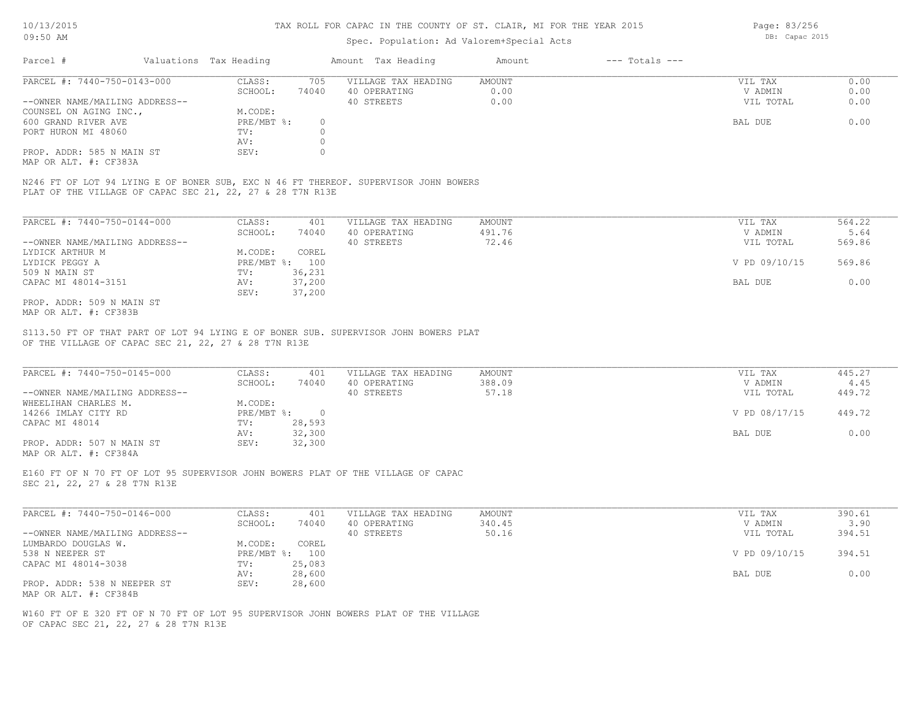## Spec. Population: Ad Valorem+Special Acts

| Parcel #                       | Valuations Tax Heading |       | Amount Tax Heading  | Amount | $---$ Totals $---$ |           |      |
|--------------------------------|------------------------|-------|---------------------|--------|--------------------|-----------|------|
| PARCEL #: 7440-750-0143-000    | CLASS:                 | 705   | VILLAGE TAX HEADING | AMOUNT |                    | VIL TAX   | 0.00 |
|                                | SCHOOL:                | 74040 | 40 OPERATING        | 0.00   |                    | V ADMIN   | 0.00 |
| --OWNER NAME/MAILING ADDRESS-- |                        |       | 40 STREETS          | 0.00   |                    | VIL TOTAL | 0.00 |
| COUNSEL ON AGING INC.,         | M.CODE:                |       |                     |        |                    |           |      |
| 600 GRAND RIVER AVE            | PRE/MBT %:             |       |                     |        |                    | BAL DUE   | 0.00 |
| PORT HURON MI 48060            | TV:                    |       |                     |        |                    |           |      |
|                                | AV:                    |       |                     |        |                    |           |      |
| PROP. ADDR: 585 N MAIN ST      | SEV:                   |       |                     |        |                    |           |      |
|                                |                        |       |                     |        |                    |           |      |

MAP OR ALT. #: CF383A

PLAT OF THE VILLAGE OF CAPAC SEC 21, 22, 27 & 28 T7N R13E N246 FT OF LOT 94 LYING E OF BONER SUB, EXC N 46 FT THEREOF. SUPERVISOR JOHN BOWERS

| PARCEL #: 7440-750-0144-000    | CLASS:       | 401    | VILLAGE TAX HEADING | AMOUNT | VIL TAX       | 564.22 |
|--------------------------------|--------------|--------|---------------------|--------|---------------|--------|
|                                | SCHOOL:      | 74040  | 40 OPERATING        | 491.76 | V ADMIN       | 5.64   |
| --OWNER NAME/MAILING ADDRESS-- |              |        | 40 STREETS          | 72.46  | VIL TOTAL     | 569.86 |
| LYDICK ARTHUR M                | M.CODE:      | COREL  |                     |        |               |        |
| LYDICK PEGGY A                 | $PRE/MBT$ %: | 100    |                     |        | V PD 09/10/15 | 569.86 |
| 509 N MAIN ST                  | TV:          | 36,231 |                     |        |               |        |
| CAPAC MI 48014-3151            | AV:          | 37,200 |                     |        | BAL DUE       | 0.00   |
|                                | SEV:         | 37,200 |                     |        |               |        |
| PROP. ADDR: 509 N MAIN ST      |              |        |                     |        |               |        |

MAP OR ALT. #: CF383B

OF THE VILLAGE OF CAPAC SEC 21, 22, 27 & 28 T7N R13E S113.50 FT OF THAT PART OF LOT 94 LYING E OF BONER SUB. SUPERVISOR JOHN BOWERS PLAT

| PARCEL #: 7440-750-0145-000    | CLASS:     | 401    | VILLAGE TAX HEADING | AMOUNT | VIL TAX       | 445.27 |
|--------------------------------|------------|--------|---------------------|--------|---------------|--------|
|                                | SCHOOL:    | 74040  | 40 OPERATING        | 388.09 | V ADMIN       | 4.45   |
| --OWNER NAME/MAILING ADDRESS-- |            |        | 40 STREETS          | 57.18  | VIL TOTAL     | 449.72 |
| WHEELIHAN CHARLES M.           | M.CODE:    |        |                     |        |               |        |
| 14266 IMLAY CITY RD            | PRE/MBT %: |        |                     |        | V PD 08/17/15 | 449.72 |
| CAPAC MI 48014                 | TV:        | 28,593 |                     |        |               |        |
|                                | AV:        | 32,300 |                     |        | BAL DUE       | 0.00   |
| PROP. ADDR: 507 N MAIN ST      | SEV:       | 32,300 |                     |        |               |        |
| MAP OR ALT. #: CF384A          |            |        |                     |        |               |        |

 $\mathcal{L}_\mathcal{L} = \mathcal{L}_\mathcal{L} = \mathcal{L}_\mathcal{L} = \mathcal{L}_\mathcal{L} = \mathcal{L}_\mathcal{L} = \mathcal{L}_\mathcal{L} = \mathcal{L}_\mathcal{L} = \mathcal{L}_\mathcal{L} = \mathcal{L}_\mathcal{L} = \mathcal{L}_\mathcal{L} = \mathcal{L}_\mathcal{L} = \mathcal{L}_\mathcal{L} = \mathcal{L}_\mathcal{L} = \mathcal{L}_\mathcal{L} = \mathcal{L}_\mathcal{L} = \mathcal{L}_\mathcal{L} = \mathcal{L}_\mathcal{L}$ 

E160 FT OF N 70 FT OF LOT 95 SUPERVISOR JOHN BOWERS PLAT OF THE VILLAGE OF CAPAC

SEC 21, 22, 27 & 28 T7N R13E

| PARCEL #: 7440-750-0146-000    | CLASS:  | 401            | VILLAGE TAX HEADING | AMOUNT | VIL TAX       | 390.61 |
|--------------------------------|---------|----------------|---------------------|--------|---------------|--------|
|                                | SCHOOL: | 74040          | 40 OPERATING        | 340.45 | V ADMIN       | 3.90   |
| --OWNER NAME/MAILING ADDRESS-- |         |                | 40 STREETS          | 50.16  | VIL TOTAL     | 394.51 |
| LUMBARDO DOUGLAS W.            | M.CODE: | COREL          |                     |        |               |        |
| 538 N NEEPER ST                |         | PRE/MBT %: 100 |                     |        | V PD 09/10/15 | 394.51 |
| CAPAC MI 48014-3038            | TV:     | 25,083         |                     |        |               |        |
|                                | AV:     | 28,600         |                     |        | BAL DUE       | 0.00   |
| PROP. ADDR: 538 N NEEPER ST    | SEV:    | 28,600         |                     |        |               |        |
| MAP OR ALT. #: CF384B          |         |                |                     |        |               |        |

OF CAPAC SEC 21, 22, 27 & 28 T7N R13E W160 FT OF E 320 FT OF N 70 FT OF LOT 95 SUPERVISOR JOHN BOWERS PLAT OF THE VILLAGE Page: 83/256 DB: Capac 2015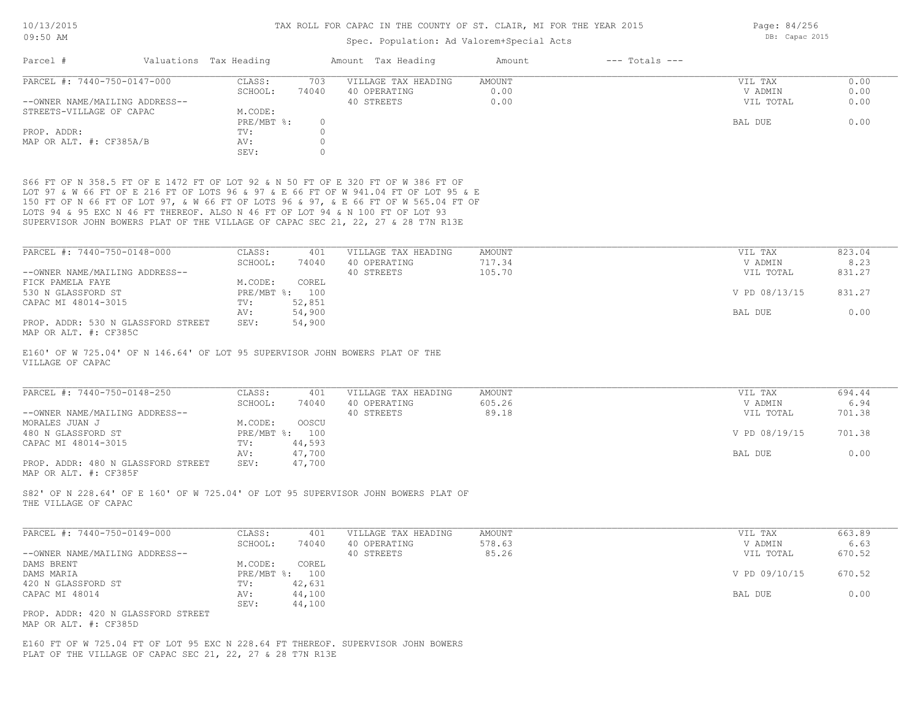### Spec. Population: Ad Valorem+Special Acts

Parcel # Valuations Tax Heading Amount Tax Heading Amount --- Totals ---SEV: 0 MAP OR ALT. #: CF385A/B AV: 0 PROP. ADDR: 0 PRE/MBT  $\text{\$:}\quad \quad 0\quad \quad$ STREETS-VILLAGE OF CAPAC M.CODE: M.CODE: PRE/MBT %: --OWNER NAME/MAILING ADDRESS-- 40 STREETS 0.00 VIL TOTAL 0.00 SCHOOL: 74040 40 OPERATING 0.00 V ADMIN 0.00 PARCEL #: 7440-750-0147-000 CLASS: 703 VILLAGE TAX HEADING AMOUNT AMOUNT VIL TAX 0.00<br>SCHOOL: 74040 40 OPERATING 0.00 000 VADMIN 0.00  $\mathcal{L}_\mathcal{L} = \mathcal{L}_\mathcal{L} = \mathcal{L}_\mathcal{L} = \mathcal{L}_\mathcal{L} = \mathcal{L}_\mathcal{L} = \mathcal{L}_\mathcal{L} = \mathcal{L}_\mathcal{L} = \mathcal{L}_\mathcal{L} = \mathcal{L}_\mathcal{L} = \mathcal{L}_\mathcal{L} = \mathcal{L}_\mathcal{L} = \mathcal{L}_\mathcal{L} = \mathcal{L}_\mathcal{L} = \mathcal{L}_\mathcal{L} = \mathcal{L}_\mathcal{L} = \mathcal{L}_\mathcal{L} = \mathcal{L}_\mathcal{L}$ 

SUPERVISOR JOHN BOWERS PLAT OF THE VILLAGE OF CAPAC SEC 21, 22, 27 & 28 T7N R13E LOTS 94 & 95 EXC N 46 FT THEREOF. ALSO N 46 FT OF LOT 94 & N 100 FT OF LOT 93 150 FT OF N 66 FT OF LOT 97, & W 66 FT OF LOTS 96 & 97, & E 66 FT OF W 565.04 FT OF LOT 97 & W 66 FT OF E 216 FT OF LOTS 96 & 97 & E 66 FT OF W 941.04 FT OF LOT 95 & E S66 FT OF N 358.5 FT OF E 1472 FT OF LOT 92 & N 50 FT OF E 320 FT OF W 386 FT OF

| PARCEL #: 7440-750-0148-000        | CLASS:     | 401    | VILLAGE TAX HEADING | AMOUNT | VIL TAX       | 823.04 |
|------------------------------------|------------|--------|---------------------|--------|---------------|--------|
|                                    | SCHOOL:    | 74040  | 40 OPERATING        | 717.34 | V ADMIN       | 8.23   |
| --OWNER NAME/MAILING ADDRESS--     |            |        | 40 STREETS          | 105.70 | VIL TOTAL     | 831.27 |
| FICK PAMELA FAYE                   | M.CODE:    | COREL  |                     |        |               |        |
| 530 N GLASSFORD ST                 | PRE/MBT %: | 100    |                     |        | V PD 08/13/15 | 831.27 |
| CAPAC MI 48014-3015                | TV:        | 52,851 |                     |        |               |        |
|                                    | AV:        | 54,900 |                     |        | BAL DUE       | 0.00   |
| PROP. ADDR: 530 N GLASSFORD STREET | SEV:       | 54,900 |                     |        |               |        |

MAP OR ALT. #: CF385C

VILLAGE OF CAPAC E160' OF W 725.04' OF N 146.64' OF LOT 95 SUPERVISOR JOHN BOWERS PLAT OF THE

| PARCEL #: 7440-750-0148-250        | CLASS:  | 401            | VILLAGE TAX HEADING | AMOUNT | VIL TAX       | 694.44 |
|------------------------------------|---------|----------------|---------------------|--------|---------------|--------|
|                                    | SCHOOL: | 74040          | 40 OPERATING        | 605.26 | V ADMIN       | 6.94   |
| --OWNER NAME/MAILING ADDRESS--     |         |                | 40 STREETS          | 89.18  | VIL TOTAL     | 701.38 |
| MORALES JUAN J                     | M.CODE: | OOSCU          |                     |        |               |        |
| 480 N GLASSFORD ST                 |         | PRE/MBT %: 100 |                     |        | V PD 08/19/15 | 701.38 |
| CAPAC MI 48014-3015                | TV:     | 44,593         |                     |        |               |        |
|                                    | AV:     | 47,700         |                     |        | BAL DUE       | 0.00   |
| PROP. ADDR: 480 N GLASSFORD STREET | SEV:    | 47,700         |                     |        |               |        |
| MAP OR ALT. #: CF385F              |         |                |                     |        |               |        |

THE VILLAGE OF CAPAC S82' OF N 228.64' OF E 160' OF W 725.04' OF LOT 95 SUPERVISOR JOHN BOWERS PLAT OF

| PARCEL #: 7440-750-0149-000        | CLASS:         | 401    | VILLAGE TAX HEADING | AMOUNT | VIL TAX       | 663.89 |
|------------------------------------|----------------|--------|---------------------|--------|---------------|--------|
|                                    | SCHOOL:        | 74040  | 40 OPERATING        | 578.63 | V ADMIN       | 6.63   |
| --OWNER NAME/MAILING ADDRESS--     |                |        | 40 STREETS          | 85.26  | VIL TOTAL     | 670.52 |
| DAMS BRENT                         | M.CODE:        | COREL  |                     |        |               |        |
| DAMS MARIA                         | PRE/MBT %: 100 |        |                     |        | V PD 09/10/15 | 670.52 |
| 420 N GLASSFORD ST                 | TV:            | 42,631 |                     |        |               |        |
| CAPAC MI 48014                     | AV:            | 44,100 |                     |        | BAL DUE       | 0.00   |
|                                    | SEV:           | 44,100 |                     |        |               |        |
| PROP. ADDR: 420 N GLASSFORD STREET |                |        |                     |        |               |        |
|                                    |                |        |                     |        |               |        |

MAP OR ALT. #: CF385D

PLAT OF THE VILLAGE OF CAPAC SEC 21, 22, 27 & 28 T7N R13E E160 FT OF W 725.04 FT OF LOT 95 EXC N 228.64 FT THEREOF. SUPERVISOR JOHN BOWERS Page: 84/256 DB: Capac 2015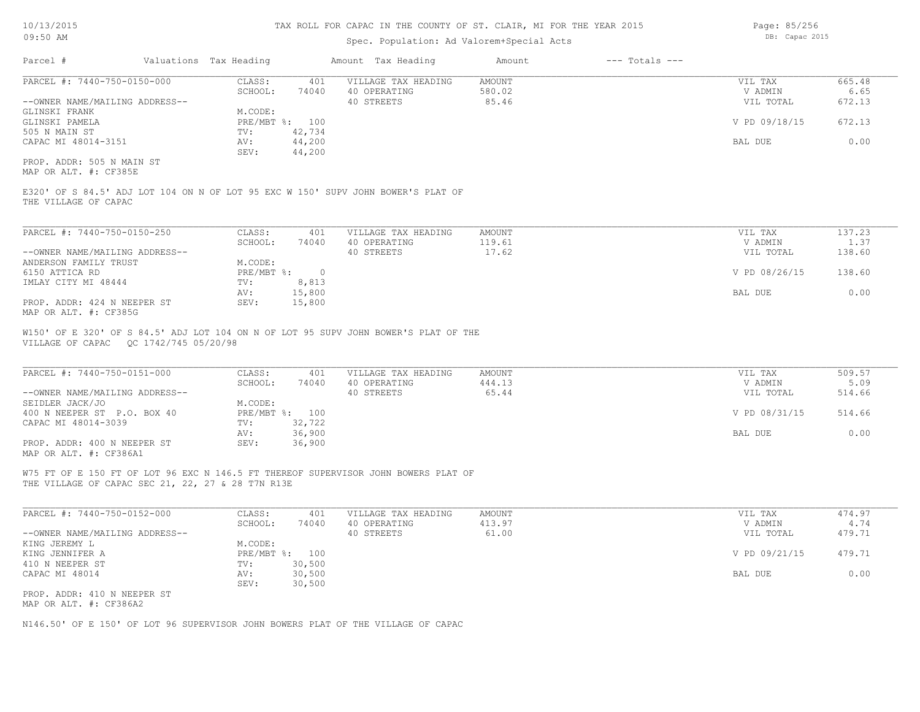## Spec. Population: Ad Valorem+Special Acts

Parcel # Valuations Tax Heading Amount Tax Heading Amount --- Totals ---PROP. ADDR: 505 N MAIN ST SEV: 44,200 CAPAC MI 48014-3151 **AV:** 44,200 **BAL DUE** 0.00 505 N MAIN ST TV: 42,734 GLINSKI PAMELA PRE/MBT %: 100 V PD 09/18/15 672.13 GLINSKI FRANK M.CODE:<br>GLINSKI PAMELA MEXICALLY PRE/MBT %: 100 --OWNER NAME/MAILING ADDRESS-- 40 STREETS 85.46 VIL TOTAL 672.13 SCHOOL: 74040 40 OPERATING 580.02 V ADMIN 6.65 PARCEL #: 7440-750-0150-000 CLASS: 401 VILLAGE TAX HEADING AMOUNT AMOUNT VIL TAX 665.48<br>SCHOOL: 74040 40 OPERATING 580.02 VADMIN 6.65  $\mathcal{L}_\mathcal{L} = \mathcal{L}_\mathcal{L} = \mathcal{L}_\mathcal{L} = \mathcal{L}_\mathcal{L} = \mathcal{L}_\mathcal{L} = \mathcal{L}_\mathcal{L} = \mathcal{L}_\mathcal{L} = \mathcal{L}_\mathcal{L} = \mathcal{L}_\mathcal{L} = \mathcal{L}_\mathcal{L} = \mathcal{L}_\mathcal{L} = \mathcal{L}_\mathcal{L} = \mathcal{L}_\mathcal{L} = \mathcal{L}_\mathcal{L} = \mathcal{L}_\mathcal{L} = \mathcal{L}_\mathcal{L} = \mathcal{L}_\mathcal{L}$ 

MAP OR ALT. #: CF385E

THE VILLAGE OF CAPAC E320' OF S 84.5' ADJ LOT 104 ON N OF LOT 95 EXC W 150' SUPV JOHN BOWER'S PLAT OF

| PARCEL #: 7440-750-0150-250    | CLASS:     | 401    | VILLAGE TAX HEADING | AMOUNT | VIL TAX       | 137.23 |
|--------------------------------|------------|--------|---------------------|--------|---------------|--------|
|                                | SCHOOL:    | 74040  | 40 OPERATING        | 119.61 | V ADMIN       | 1.37   |
| --OWNER NAME/MAILING ADDRESS-- |            |        | 40 STREETS          | 17.62  | VIL TOTAL     | 138.60 |
| ANDERSON FAMILY TRUST          | M.CODE:    |        |                     |        |               |        |
| 6150 ATTICA RD                 | PRE/MBT %: |        |                     |        | V PD 08/26/15 | 138.60 |
| IMLAY CITY MI 48444            | TV:        | 8,813  |                     |        |               |        |
|                                | AV:        | 15,800 |                     |        | BAL DUE       | 0.00   |
| PROP. ADDR: 424 N NEEPER ST    | SEV:       | 15,800 |                     |        |               |        |
| MAP OR ALT. #: CF385G          |            |        |                     |        |               |        |

 $\mathcal{L}_\mathcal{L} = \mathcal{L}_\mathcal{L} = \mathcal{L}_\mathcal{L} = \mathcal{L}_\mathcal{L} = \mathcal{L}_\mathcal{L} = \mathcal{L}_\mathcal{L} = \mathcal{L}_\mathcal{L} = \mathcal{L}_\mathcal{L} = \mathcal{L}_\mathcal{L} = \mathcal{L}_\mathcal{L} = \mathcal{L}_\mathcal{L} = \mathcal{L}_\mathcal{L} = \mathcal{L}_\mathcal{L} = \mathcal{L}_\mathcal{L} = \mathcal{L}_\mathcal{L} = \mathcal{L}_\mathcal{L} = \mathcal{L}_\mathcal{L}$ 

 $\mathcal{L}_\mathcal{L} = \mathcal{L}_\mathcal{L} = \mathcal{L}_\mathcal{L} = \mathcal{L}_\mathcal{L} = \mathcal{L}_\mathcal{L} = \mathcal{L}_\mathcal{L} = \mathcal{L}_\mathcal{L} = \mathcal{L}_\mathcal{L} = \mathcal{L}_\mathcal{L} = \mathcal{L}_\mathcal{L} = \mathcal{L}_\mathcal{L} = \mathcal{L}_\mathcal{L} = \mathcal{L}_\mathcal{L} = \mathcal{L}_\mathcal{L} = \mathcal{L}_\mathcal{L} = \mathcal{L}_\mathcal{L} = \mathcal{L}_\mathcal{L}$ 

VILLAGE OF CAPAC QC 1742/745 05/20/98 W150' OF E 320' OF S 84.5' ADJ LOT 104 ON N OF LOT 95 SUPV JOHN BOWER'S PLAT OF THE

| PARCEL #: 7440-750-0151-000    | CLASS:       | 401    | VILLAGE TAX HEADING | AMOUNT | VIL TAX       | 509.57 |
|--------------------------------|--------------|--------|---------------------|--------|---------------|--------|
|                                | SCHOOL:      | 74040  | 40 OPERATING        | 444.13 | V ADMIN       | 5.09   |
| --OWNER NAME/MAILING ADDRESS-- |              |        | 40 STREETS          | 65.44  | VIL TOTAL     | 514.66 |
| SEIDLER JACK/JO                | M.CODE:      |        |                     |        |               |        |
| 400 N NEEPER ST P.O. BOX 40    | $PRE/MBT$ %: | 100    |                     |        | V PD 08/31/15 | 514.66 |
| CAPAC MI 48014-3039            | TV:          | 32,722 |                     |        |               |        |
|                                | AV:          | 36,900 |                     |        | BAL DUE       | 0.00   |
| PROP. ADDR: 400 N NEEPER ST    | SEV:         | 36,900 |                     |        |               |        |
| MAP OR ALT. #: CF386A1         |              |        |                     |        |               |        |

THE VILLAGE OF CAPAC SEC 21, 22, 27 & 28 T7N R13E W75 FT OF E 150 FT OF LOT 96 EXC N 146.5 FT THEREOF SUPERVISOR JOHN BOWERS PLAT OF

| PARCEL #: 7440-750-0152-000    | CLASS:  | 401            | VILLAGE TAX HEADING | AMOUNT | VIL TAX       | 474.97 |
|--------------------------------|---------|----------------|---------------------|--------|---------------|--------|
|                                | SCHOOL: | 74040          | 40 OPERATING        | 413.97 | V ADMIN       | 4.74   |
| --OWNER NAME/MAILING ADDRESS-- |         |                | 40 STREETS          | 61.00  | VIL TOTAL     | 479.71 |
| KING JEREMY L                  | M.CODE: |                |                     |        |               |        |
| KING JENNIFER A                |         | PRE/MBT %: 100 |                     |        | V PD 09/21/15 | 479.71 |
| 410 N NEEPER ST                | TV:     | 30,500         |                     |        |               |        |
| CAPAC MI 48014                 | AV:     | 30,500         |                     |        | BAL DUE       | 0.00   |
|                                | SEV:    | 30,500         |                     |        |               |        |
| PROP. ADDR: 410 N NEEPER ST    |         |                |                     |        |               |        |
| MAP OR ALT. #: CF386A2         |         |                |                     |        |               |        |

N146.50' OF E 150' OF LOT 96 SUPERVISOR JOHN BOWERS PLAT OF THE VILLAGE OF CAPAC

Page: 85/256 DB: Capac 2015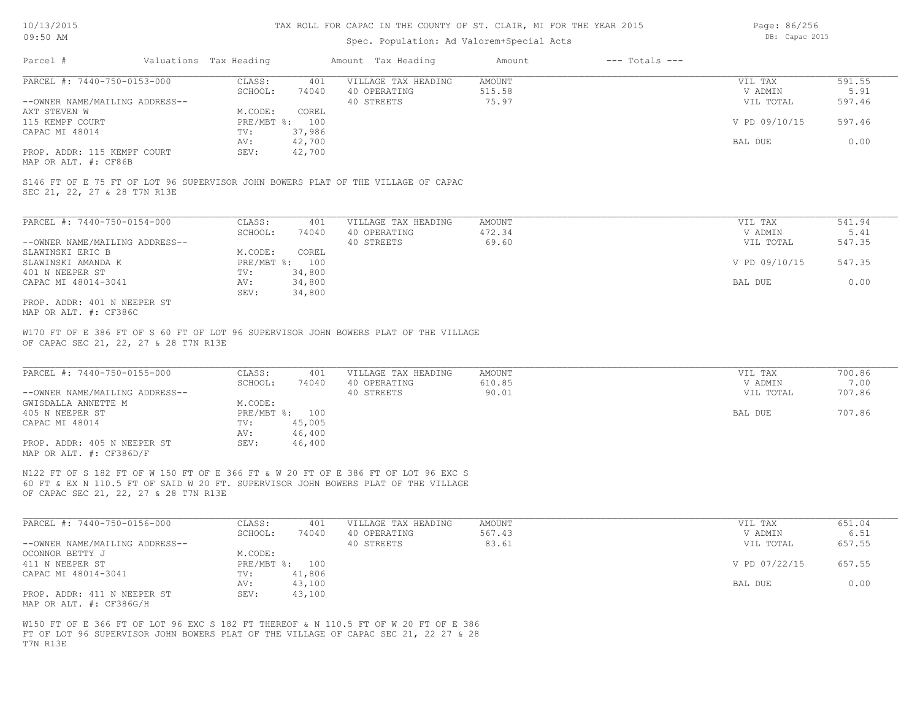## Spec. Population: Ad Valorem+Special Acts

Page: 86/256 DB: Capac 2015

| Parcel #                       |         | Valuations Tax Heading |              | Amount Tax Heading  | Amount | $---$ Totals $---$ |               |        |
|--------------------------------|---------|------------------------|--------------|---------------------|--------|--------------------|---------------|--------|
| PARCEL #: 7440-750-0153-000    |         | CLASS:                 | 401          | VILLAGE TAX HEADING | AMOUNT |                    | VIL TAX       | 591.55 |
|                                | SCHOOL: | 74040                  | 40 OPERATING | 515.58              |        | V ADMIN            | 5.91          |        |
| --OWNER NAME/MAILING ADDRESS-- |         |                        |              | 40 STREETS          | 75.97  |                    | VIL TOTAL     | 597.46 |
| AXT STEVEN W                   |         | M.CODE:                | COREL        |                     |        |                    |               |        |
| 115 KEMPF COURT                |         | PRE/MBT %: 100         |              |                     |        |                    | V PD 09/10/15 | 597.46 |
| CAPAC MI 48014                 |         | TV:                    | 37,986       |                     |        |                    |               |        |
|                                |         | AV:                    | 42,700       |                     |        |                    | BAL DUE       | 0.00   |
| PROP. ADDR: 115 KEMPF COURT    |         | SEV:                   | 42,700       |                     |        |                    |               |        |
|                                |         |                        |              |                     |        |                    |               |        |

MAP OR ALT. #: CF86B

SEC 21, 22, 27 & 28 T7N R13E S146 FT OF E 75 FT OF LOT 96 SUPERVISOR JOHN BOWERS PLAT OF THE VILLAGE OF CAPAC

| PARCEL #: 7440-750-0154-000    | CLASS:       | 401    | VILLAGE TAX HEADING | AMOUNT | VIL TAX       | 541.94 |
|--------------------------------|--------------|--------|---------------------|--------|---------------|--------|
|                                | SCHOOL:      | 74040  | 40 OPERATING        | 472.34 | V ADMIN       | 5.41   |
| --OWNER NAME/MAILING ADDRESS-- |              |        | 40 STREETS          | 69.60  | VIL TOTAL     | 547.35 |
| SLAWINSKI ERIC B               | M.CODE:      | COREL  |                     |        |               |        |
| SLAWINSKI AMANDA K             | $PRE/MBT$ %: | 100    |                     |        | V PD 09/10/15 | 547.35 |
| 401 N NEEPER ST                | TV:          | 34,800 |                     |        |               |        |
| CAPAC MI 48014-3041            | AV:          | 34,800 |                     |        | BAL DUE       | 0.00   |
|                                | SEV:         | 34,800 |                     |        |               |        |
| PROP. ADDR: 401 N NEEPER ST    |              |        |                     |        |               |        |

MAP OR ALT. #: CF386C

OF CAPAC SEC 21, 22, 27 & 28 T7N R13E W170 FT OF E 386 FT OF S 60 FT OF LOT 96 SUPERVISOR JOHN BOWERS PLAT OF THE VILLAGE

| PARCEL #: 7440-750-0155-000    | CLASS:     | 401    | VILLAGE TAX HEADING | AMOUNT | VIL TAX   | 700.86 |
|--------------------------------|------------|--------|---------------------|--------|-----------|--------|
|                                | SCHOOL:    | 74040  | 40 OPERATING        | 610.85 | V ADMIN   | 7.00   |
| --OWNER NAME/MAILING ADDRESS-- |            |        | 40 STREETS          | 90.01  | VIL TOTAL | 707.86 |
| GWISDALLA ANNETTE M            | M.CODE:    |        |                     |        |           |        |
| 405 N NEEPER ST                | PRE/MBT %: | 100    |                     |        | BAL DUE   | 707.86 |
| CAPAC MI 48014                 | TV:        | 45,005 |                     |        |           |        |
|                                | AV:        | 46,400 |                     |        |           |        |
| PROP. ADDR: 405 N NEEPER ST    | SEV:       | 46,400 |                     |        |           |        |
| MAP OR ALT. $\#$ : CF386D/F    |            |        |                     |        |           |        |

 $\mathcal{L}_\mathcal{L} = \mathcal{L}_\mathcal{L} = \mathcal{L}_\mathcal{L} = \mathcal{L}_\mathcal{L} = \mathcal{L}_\mathcal{L} = \mathcal{L}_\mathcal{L} = \mathcal{L}_\mathcal{L} = \mathcal{L}_\mathcal{L} = \mathcal{L}_\mathcal{L} = \mathcal{L}_\mathcal{L} = \mathcal{L}_\mathcal{L} = \mathcal{L}_\mathcal{L} = \mathcal{L}_\mathcal{L} = \mathcal{L}_\mathcal{L} = \mathcal{L}_\mathcal{L} = \mathcal{L}_\mathcal{L} = \mathcal{L}_\mathcal{L}$ 

OF CAPAC SEC 21, 22, 27 & 28 T7N R13E 60 FT & EX N 110.5 FT OF SAID W 20 FT. SUPERVISOR JOHN BOWERS PLAT OF THE VILLAGE N122 FT OF S 182 FT OF W 150 FT OF E 366 FT & W 20 FT OF E 386 FT OF LOT 96 EXC S

| PARCEL #: 7440-750-0156-000    | CLASS:  | 401            | VILLAGE TAX HEADING | AMOUNT | VIL TAX       | 651.04 |
|--------------------------------|---------|----------------|---------------------|--------|---------------|--------|
|                                | SCHOOL: | 74040          | 40 OPERATING        | 567.43 | V ADMIN       | 6.51   |
| --OWNER NAME/MAILING ADDRESS-- |         |                | 40 STREETS          | 83.61  | VIL TOTAL     | 657.55 |
| OCONNOR BETTY J                | M.CODE: |                |                     |        |               |        |
| 411 N NEEPER ST                |         | PRE/MBT %: 100 |                     |        | V PD 07/22/15 | 657.55 |
| CAPAC MI 48014-3041            | TV:     | 41,806         |                     |        |               |        |
|                                | AV:     | 43,100         |                     |        | BAL DUE       | 0.00   |
| PROP. ADDR: 411 N NEEPER ST    | SEV:    | 43,100         |                     |        |               |        |
| MAP OR ALT. #: CF386G/H        |         |                |                     |        |               |        |

T7N R13E FT OF LOT 96 SUPERVISOR JOHN BOWERS PLAT OF THE VILLAGE OF CAPAC SEC 21, 22 27 & 28 W150 FT OF E 366 FT OF LOT 96 EXC S 182 FT THEREOF & N 110.5 FT OF W 20 FT OF E 386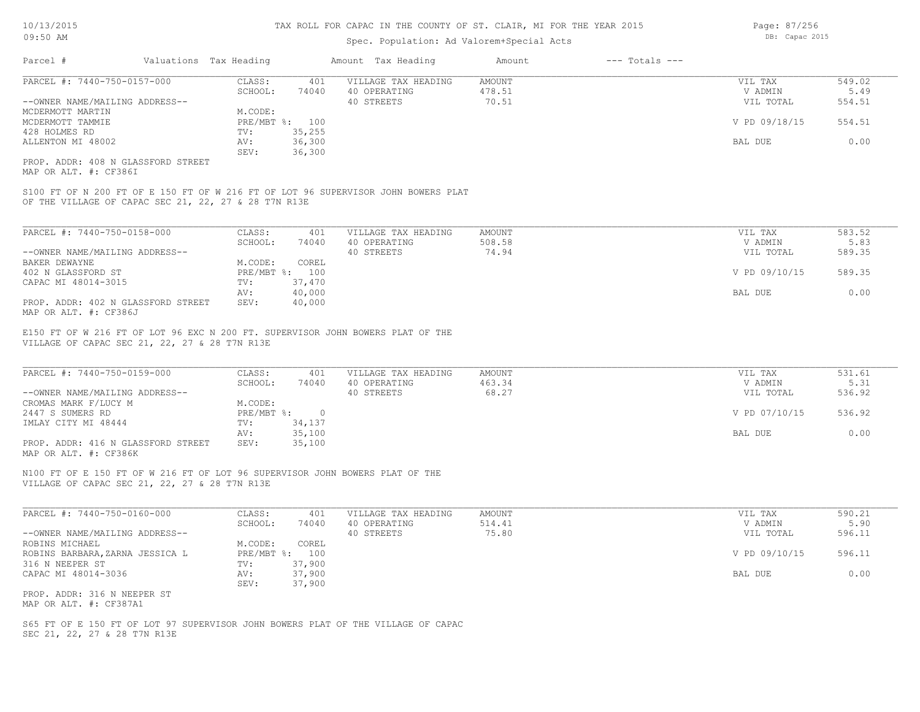## Spec. Population: Ad Valorem+Special Acts

| Parcel #                       | Valuations Tax Heading |                | Amount Tax Heading  | Amount | $---$ Totals $---$ |               |        |
|--------------------------------|------------------------|----------------|---------------------|--------|--------------------|---------------|--------|
| PARCEL #: 7440-750-0157-000    | CLASS:                 | 401            | VILLAGE TAX HEADING | AMOUNT |                    | VIL TAX       | 549.02 |
|                                | SCHOOL:                | 74040          | 40 OPERATING        | 478.51 |                    | V ADMIN       | 5.49   |
| --OWNER NAME/MAILING ADDRESS-- |                        |                | 40 STREETS          | 70.51  |                    | VIL TOTAL     | 554.51 |
| MCDERMOTT MARTIN               | M.CODE:                |                |                     |        |                    |               |        |
| MCDERMOTT TAMMIE               |                        | PRE/MBT %: 100 |                     |        |                    | V PD 09/18/15 | 554.51 |
| 428 HOLMES RD                  | TV:                    | 35,255         |                     |        |                    |               |        |
| ALLENTON MI 48002              | AV:                    | 36,300         |                     |        |                    | BAL DUE       | 0.00   |
|                                | SEV:                   | 36,300         |                     |        |                    |               |        |
|                                |                        |                |                     |        |                    |               |        |

MAP OR ALT. #: CF386I PROP. ADDR: 408 N GLASSFORD STREET

OF THE VILLAGE OF CAPAC SEC 21, 22, 27 & 28 T7N R13E S100 FT OF N 200 FT OF E 150 FT OF W 216 FT OF LOT 96 SUPERVISOR JOHN BOWERS PLAT

| PARCEL #: 7440-750-0158-000        | CLASS:  | 401            | VILLAGE TAX HEADING | AMOUNT | VIL TAX       | 583.52 |
|------------------------------------|---------|----------------|---------------------|--------|---------------|--------|
|                                    | SCHOOL: | 74040          | 40 OPERATING        | 508.58 | V ADMIN       | 5.83   |
| --OWNER NAME/MAILING ADDRESS--     |         |                | 40 STREETS          | 74.94  | VIL TOTAL     | 589.35 |
| BAKER DEWAYNE                      | M.CODE: | COREL          |                     |        |               |        |
| 402 N GLASSFORD ST                 |         | PRE/MBT %: 100 |                     |        | V PD 09/10/15 | 589.35 |
| CAPAC MI 48014-3015                | TV:     | 37,470         |                     |        |               |        |
|                                    | AV:     | 40,000         |                     |        | BAL DUE       | 0.00   |
| PROP. ADDR: 402 N GLASSFORD STREET | SEV:    | 40,000         |                     |        |               |        |
| MAP OR ALT. #: CF386J              |         |                |                     |        |               |        |

VILLAGE OF CAPAC SEC 21, 22, 27 & 28 T7N R13E E150 FT OF W 216 FT OF LOT 96 EXC N 200 FT. SUPERVISOR JOHN BOWERS PLAT OF THE

| PARCEL #: 7440-750-0159-000        | CLASS:     | 401    | VILLAGE TAX HEADING | AMOUNT | VIL TAX       | 531.61 |
|------------------------------------|------------|--------|---------------------|--------|---------------|--------|
|                                    | SCHOOL:    | 74040  | 40 OPERATING        | 463.34 | V ADMIN       | 5.31   |
| --OWNER NAME/MAILING ADDRESS--     |            |        | 40 STREETS          | 68.27  | VIL TOTAL     | 536.92 |
| CROMAS MARK F/LUCY M               | M.CODE:    |        |                     |        |               |        |
| 2447 S SUMERS RD                   | PRE/MBT %: |        |                     |        | V PD 07/10/15 | 536.92 |
| IMLAY CITY MI 48444                | TV:        | 34,137 |                     |        |               |        |
|                                    | AV:        | 35,100 |                     |        | BAL DUE       | 0.00   |
| PROP. ADDR: 416 N GLASSFORD STREET | SEV:       | 35,100 |                     |        |               |        |
| MAP OR ALT. #: CF386K              |            |        |                     |        |               |        |

 $\mathcal{L}_\mathcal{L} = \mathcal{L}_\mathcal{L} = \mathcal{L}_\mathcal{L} = \mathcal{L}_\mathcal{L} = \mathcal{L}_\mathcal{L} = \mathcal{L}_\mathcal{L} = \mathcal{L}_\mathcal{L} = \mathcal{L}_\mathcal{L} = \mathcal{L}_\mathcal{L} = \mathcal{L}_\mathcal{L} = \mathcal{L}_\mathcal{L} = \mathcal{L}_\mathcal{L} = \mathcal{L}_\mathcal{L} = \mathcal{L}_\mathcal{L} = \mathcal{L}_\mathcal{L} = \mathcal{L}_\mathcal{L} = \mathcal{L}_\mathcal{L}$ 

VILLAGE OF CAPAC SEC 21, 22, 27 & 28 T7N R13E N100 FT OF E 150 FT OF W 216 FT OF LOT 96 SUPERVISOR JOHN BOWERS PLAT OF THE

| PARCEL #: 7440-750-0160-000     | CLASS:       | 401    | VILLAGE TAX HEADING | AMOUNT | VIL TAX       | 590.21 |
|---------------------------------|--------------|--------|---------------------|--------|---------------|--------|
|                                 | SCHOOL:      | 74040  | 40 OPERATING        | 514.41 | V ADMIN       | 5.90   |
| --OWNER NAME/MAILING ADDRESS--  |              |        | 40 STREETS          | 75.80  | VIL TOTAL     | 596.11 |
| ROBINS MICHAEL                  | M.CODE:      | COREL  |                     |        |               |        |
| ROBINS BARBARA, ZARNA JESSICA L | $PRE/MBT$ %: | 100    |                     |        | V PD 09/10/15 | 596.11 |
| 316 N NEEPER ST                 | TV:          | 37,900 |                     |        |               |        |
| CAPAC MI 48014-3036             | AV:          | 37,900 |                     |        | BAL DUE       | 0.00   |
|                                 | SEV:         | 37,900 |                     |        |               |        |
| PROP. ADDR: 316 N NEEPER ST     |              |        |                     |        |               |        |

MAP OR ALT. #: CF387A1

SEC 21, 22, 27 & 28 T7N R13E S65 FT OF E 150 FT OF LOT 97 SUPERVISOR JOHN BOWERS PLAT OF THE VILLAGE OF CAPAC Page: 87/256 DB: Capac 2015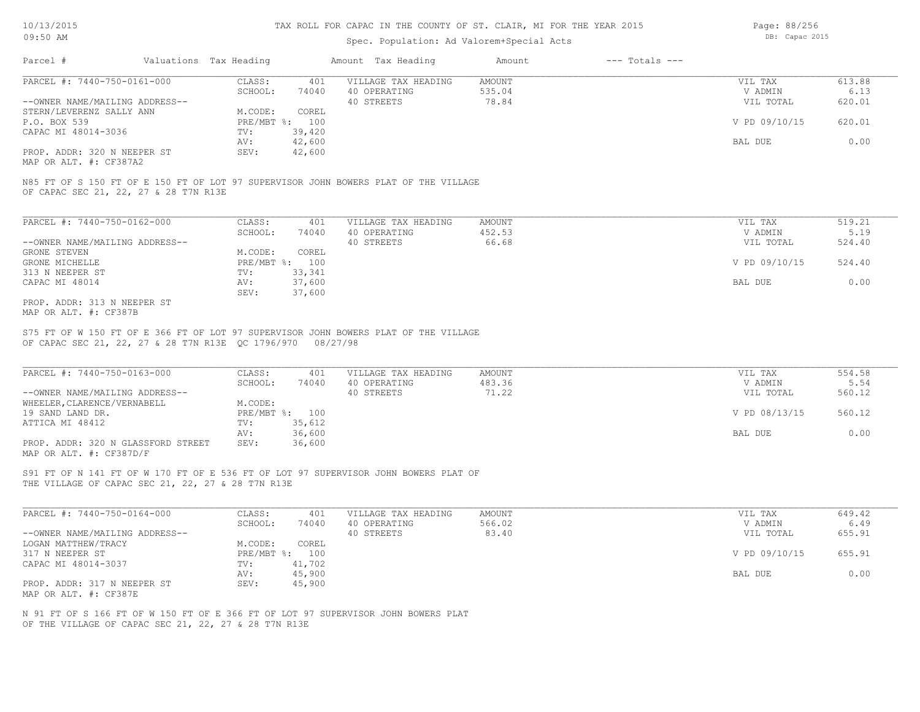## Spec. Population: Ad Valorem+Special Acts

Page: 88/256 DB: Capac 2015

| Parcel #                       | Valuations Tax Heading |        | Amount Tax Heading  | Amount | $---$ Totals $---$ |               |        |
|--------------------------------|------------------------|--------|---------------------|--------|--------------------|---------------|--------|
| PARCEL #: 7440-750-0161-000    | CLASS:                 | 401    | VILLAGE TAX HEADING | AMOUNT |                    | VIL TAX       | 613.88 |
|                                | SCHOOL:                | 74040  | 40 OPERATING        | 535.04 |                    | V ADMIN       | 6.13   |
| --OWNER NAME/MAILING ADDRESS-- |                        |        | 40 STREETS          | 78.84  |                    | VIL TOTAL     | 620.01 |
| STERN/LEVERENZ SALLY ANN       | M.CODE:                | COREL  |                     |        |                    |               |        |
| P.O. BOX 539                   | PRE/MBT %: 100         |        |                     |        |                    | V PD 09/10/15 | 620.01 |
| CAPAC MI 48014-3036            | TV:                    | 39,420 |                     |        |                    |               |        |
|                                | AV:                    | 42,600 |                     |        |                    | BAL DUE       | 0.00   |
| PROP. ADDR: 320 N NEEPER ST    | SEV:                   | 42,600 |                     |        |                    |               |        |

MAP OR ALT. #: CF387A2

OF CAPAC SEC 21, 22, 27 & 28 T7N R13E N85 FT OF S 150 FT OF E 150 FT OF LOT 97 SUPERVISOR JOHN BOWERS PLAT OF THE VILLAGE

| PARCEL #: 7440-750-0162-000    | CLASS:       | 401    | VILLAGE TAX HEADING | AMOUNT | VIL TAX       | 519.21 |
|--------------------------------|--------------|--------|---------------------|--------|---------------|--------|
|                                | SCHOOL:      | 74040  | 40 OPERATING        | 452.53 | V ADMIN       | 5.19   |
| --OWNER NAME/MAILING ADDRESS-- |              |        | 40 STREETS          | 66.68  | VIL TOTAL     | 524.40 |
| GRONE STEVEN                   | M.CODE:      | COREL  |                     |        |               |        |
| GRONE MICHELLE                 | $PRE/MBT$ %: | 100    |                     |        | V PD 09/10/15 | 524.40 |
| 313 N NEEPER ST                | TV:          | 33,341 |                     |        |               |        |
| CAPAC MI 48014                 | AV:          | 37,600 |                     |        | BAL DUE       | 0.00   |
|                                | SEV:         | 37,600 |                     |        |               |        |
| PROP. ADDR: 313 N NEEPER ST    |              |        |                     |        |               |        |

MAP OR ALT. #: CF387B

OF CAPAC SEC 21, 22, 27 & 28 T7N R13E QC 1796/970 08/27/98 S75 FT OF W 150 FT OF E 366 FT OF LOT 97 SUPERVISOR JOHN BOWERS PLAT OF THE VILLAGE

| PARCEL #: 7440-750-0163-000        | CLASS:       | 401    | VILLAGE TAX HEADING | AMOUNT | VIL TAX       | 554.58 |
|------------------------------------|--------------|--------|---------------------|--------|---------------|--------|
|                                    | SCHOOL:      | 74040  | 40 OPERATING        | 483.36 | V ADMIN       | 5.54   |
| --OWNER NAME/MAILING ADDRESS--     |              |        | 40 STREETS          | 71.22  | VIL TOTAL     | 560.12 |
| WHEELER, CLARENCE/VERNABELL        | M.CODE:      |        |                     |        |               |        |
| 19 SAND LAND DR.                   | $PRE/MBT$ %: | 100    |                     |        | V PD 08/13/15 | 560.12 |
| ATTICA MI 48412                    | TV:          | 35,612 |                     |        |               |        |
|                                    | AV:          | 36,600 |                     |        | BAL DUE       | 0.00   |
| PROP. ADDR: 320 N GLASSFORD STREET | SEV:         | 36,600 |                     |        |               |        |
| MAP OR ALT. #: CF387D/F            |              |        |                     |        |               |        |

 $\mathcal{L}_\mathcal{L} = \mathcal{L}_\mathcal{L} = \mathcal{L}_\mathcal{L} = \mathcal{L}_\mathcal{L} = \mathcal{L}_\mathcal{L} = \mathcal{L}_\mathcal{L} = \mathcal{L}_\mathcal{L} = \mathcal{L}_\mathcal{L} = \mathcal{L}_\mathcal{L} = \mathcal{L}_\mathcal{L} = \mathcal{L}_\mathcal{L} = \mathcal{L}_\mathcal{L} = \mathcal{L}_\mathcal{L} = \mathcal{L}_\mathcal{L} = \mathcal{L}_\mathcal{L} = \mathcal{L}_\mathcal{L} = \mathcal{L}_\mathcal{L}$ 

THE VILLAGE OF CAPAC SEC 21, 22, 27 & 28 T7N R13E S91 FT OF N 141 FT OF W 170 FT OF E 536 FT OF LOT 97 SUPERVISOR JOHN BOWERS PLAT OF

| PARCEL #: 7440-750-0164-000    | CLASS:  | 401            | VILLAGE TAX HEADING | AMOUNT | VIL TAX       | 649.42 |
|--------------------------------|---------|----------------|---------------------|--------|---------------|--------|
|                                | SCHOOL: | 74040          | 40 OPERATING        | 566.02 | V ADMIN       | 6.49   |
| --OWNER NAME/MAILING ADDRESS-- |         |                | 40 STREETS          | 83.40  | VIL TOTAL     | 655.91 |
| LOGAN MATTHEW/TRACY            | M.CODE: | COREL          |                     |        |               |        |
| 317 N NEEPER ST                |         | PRE/MBT %: 100 |                     |        | V PD 09/10/15 | 655.91 |
| CAPAC MI 48014-3037            | TV:     | 41,702         |                     |        |               |        |
|                                | AV:     | 45,900         |                     |        | BAL DUE       | 0.00   |
| PROP. ADDR: 317 N NEEPER ST    | SEV:    | 45,900         |                     |        |               |        |
| MAP OR ALT. #: CF387E          |         |                |                     |        |               |        |

OF THE VILLAGE OF CAPAC SEC 21, 22, 27 & 28 T7N R13E N 91 FT OF S 166 FT OF W 150 FT OF E 366 FT OF LOT 97 SUPERVISOR JOHN BOWERS PLAT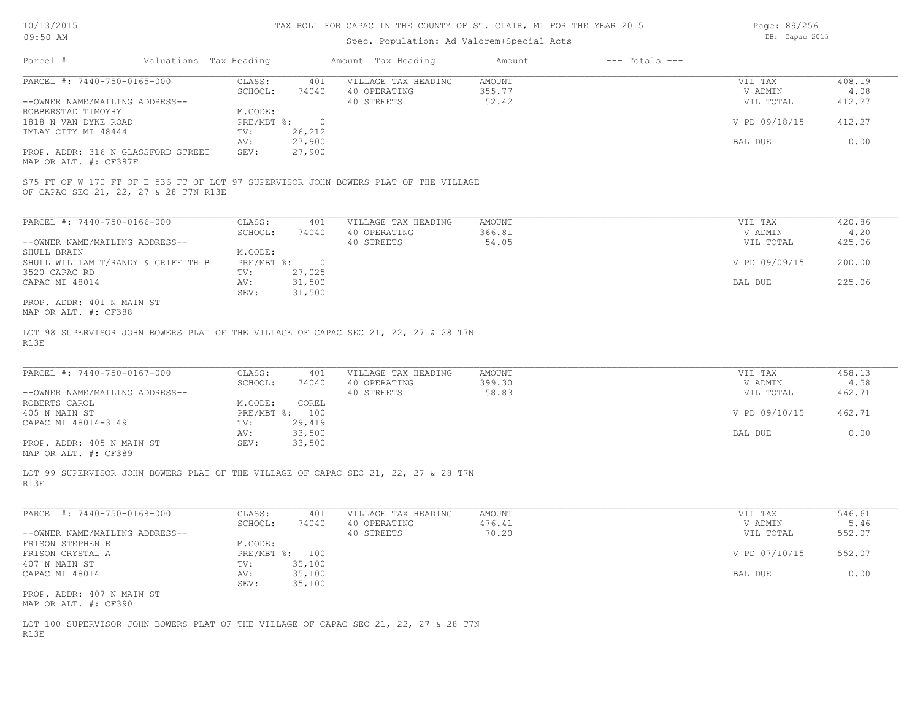## Spec. Population: Ad Valorem+Special Acts

Page: 89/256 DB: Capac 2015

| Parcel #                                                    | Valuations Tax Heading |        | Amount Tax Heading  | Amount | $---$ Totals $---$ |               |        |
|-------------------------------------------------------------|------------------------|--------|---------------------|--------|--------------------|---------------|--------|
| PARCEL #: 7440-750-0165-000                                 | CLASS:                 | 401    | VILLAGE TAX HEADING | AMOUNT |                    | VIL TAX       | 408.19 |
|                                                             | SCHOOL:                | 74040  | 40 OPERATING        | 355.77 |                    | V ADMIN       | 4.08   |
| --OWNER NAME/MAILING ADDRESS--                              |                        |        | 40 STREETS          | 52.42  |                    | VIL TOTAL     | 412.27 |
| ROBBERSTAD TIMOYHY                                          | M.CODE:                |        |                     |        |                    |               |        |
| 1818 N VAN DYKE ROAD                                        | $PRE/MBT$ %:           |        |                     |        |                    | V PD 09/18/15 | 412.27 |
| IMLAY CITY MI 48444                                         | TV:                    | 26,212 |                     |        |                    |               |        |
|                                                             | AV:                    | 27,900 |                     |        |                    | BAL DUE       | 0.00   |
| PROP. ADDR: 316 N GLASSFORD STREET<br>MAP OR ALT. #: CF387F | SEV:                   | 27,900 |                     |        |                    |               |        |

OF CAPAC SEC 21, 22, 27 & 28 T7N R13E S75 FT OF W 170 FT OF E 536 FT OF LOT 97 SUPERVISOR JOHN BOWERS PLAT OF THE VILLAGE

| PARCEL #: 7440-750-0166-000        | CLASS:       | 401      | VILLAGE TAX HEADING | AMOUNT | VIL TAX       | 420.86 |
|------------------------------------|--------------|----------|---------------------|--------|---------------|--------|
|                                    | SCHOOL:      | 74040    | 40 OPERATING        | 366.81 | V ADMIN       | 4.20   |
| --OWNER NAME/MAILING ADDRESS--     |              |          | 40 STREETS          | 54.05  | VIL TOTAL     | 425.06 |
| SHULL BRAIN                        | M.CODE:      |          |                     |        |               |        |
| SHULL WILLIAM T/RANDY & GRIFFITH B | $PRE/MBT$ %: | $\Omega$ |                     |        | V PD 09/09/15 | 200.00 |
| 3520 CAPAC RD                      | TV:          | 27,025   |                     |        |               |        |
| CAPAC MI 48014                     | AV:          | 31,500   |                     |        | BAL DUE       | 225.06 |
|                                    | SEV:         | 31,500   |                     |        |               |        |
| PROP. ADDR: 401 N MAIN ST          |              |          |                     |        |               |        |

MAP OR ALT. #: CF388

R13E LOT 98 SUPERVISOR JOHN BOWERS PLAT OF THE VILLAGE OF CAPAC SEC 21, 22, 27 & 28 T7N

| PARCEL #: 7440-750-0167-000    | CLASS:  | 401            | VILLAGE TAX HEADING | AMOUNT | VIL TAX       | 458.13 |
|--------------------------------|---------|----------------|---------------------|--------|---------------|--------|
|                                | SCHOOL: | 74040          | 40 OPERATING        | 399.30 | V ADMIN       | 4.58   |
| --OWNER NAME/MAILING ADDRESS-- |         |                | 40 STREETS          | 58.83  | VIL TOTAL     | 462.71 |
| ROBERTS CAROL                  | M.CODE: | COREL          |                     |        |               |        |
| 405 N MAIN ST                  |         | PRE/MBT %: 100 |                     |        | V PD 09/10/15 | 462.71 |
| CAPAC MI 48014-3149            | TV:     | 29,419         |                     |        |               |        |
|                                | AV:     | 33,500         |                     |        | BAL DUE       | 0.00   |
| PROP. ADDR: 405 N MAIN ST      | SEV:    | 33,500         |                     |        |               |        |
|                                |         |                |                     |        |               |        |

MAP OR ALT. #: CF389

R13E LOT 99 SUPERVISOR JOHN BOWERS PLAT OF THE VILLAGE OF CAPAC SEC 21, 22, 27 & 28 T7N

| PARCEL #: 7440-750-0168-000    | CLASS:  | 401            | VILLAGE TAX HEADING | AMOUNT | VIL TAX       | 546.61 |
|--------------------------------|---------|----------------|---------------------|--------|---------------|--------|
|                                | SCHOOL: | 74040          | 40 OPERATING        | 476.41 | V ADMIN       | 5.46   |
| --OWNER NAME/MAILING ADDRESS-- |         |                | 40 STREETS          | 70.20  | VIL TOTAL     | 552.07 |
| FRISON STEPHEN E               | M.CODE: |                |                     |        |               |        |
| FRISON CRYSTAL A               |         | PRE/MBT %: 100 |                     |        | V PD 07/10/15 | 552.07 |
| 407 N MAIN ST                  | TV:     | 35,100         |                     |        |               |        |
| CAPAC MI 48014                 | AV:     | 35,100         |                     |        | BAL DUE       | 0.00   |
|                                | SEV:    | 35,100         |                     |        |               |        |
| PROP. ADDR: 407 N MAIN ST      |         |                |                     |        |               |        |
| MAP OR ALT. #: CF390           |         |                |                     |        |               |        |

R13E LOT 100 SUPERVISOR JOHN BOWERS PLAT OF THE VILLAGE OF CAPAC SEC 21, 22, 27 & 28 T7N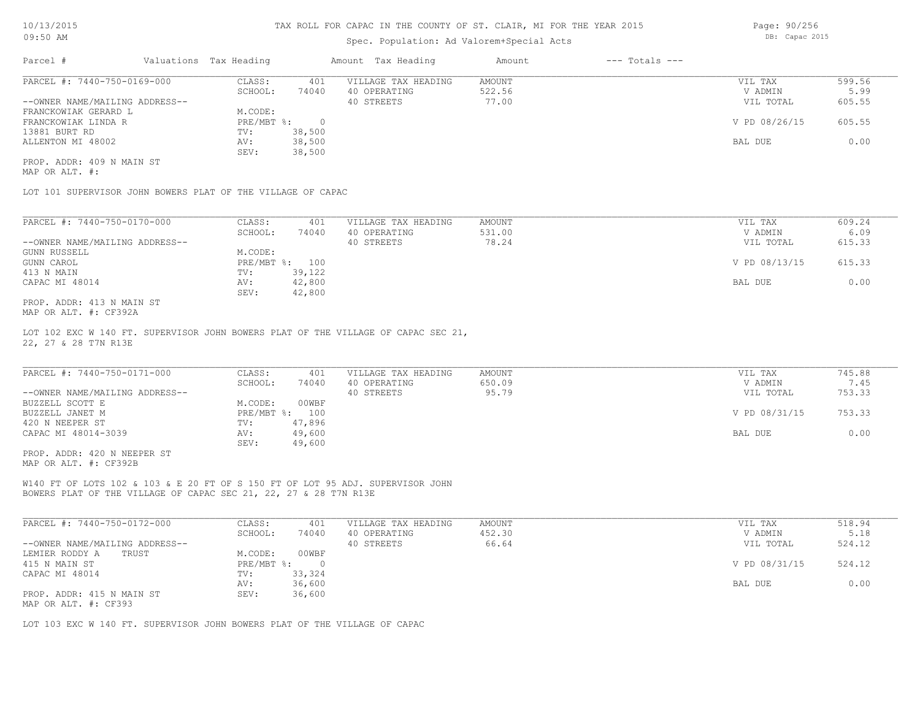## Spec. Population: Ad Valorem+Special Acts

| Parcel #                       | Valuations Tax Heading |        | Amount Tax Heading  | Amount | $---$ Totals $---$ |               |        |
|--------------------------------|------------------------|--------|---------------------|--------|--------------------|---------------|--------|
| PARCEL #: 7440-750-0169-000    | CLASS:                 | 401    | VILLAGE TAX HEADING | AMOUNT |                    | VIL TAX       | 599.56 |
|                                | SCHOOL:                | 74040  | 40 OPERATING        | 522.56 |                    | V ADMIN       | 5.99   |
| --OWNER NAME/MAILING ADDRESS-- |                        |        | 40 STREETS          | 77.00  |                    | VIL TOTAL     | 605.55 |
| FRANCKOWIAK GERARD L           | M.CODE:                |        |                     |        |                    |               |        |
| FRANCKOWIAK LINDA R            | PRE/MBT %:             |        |                     |        |                    | V PD 08/26/15 | 605.55 |
| 13881 BURT RD                  | TV:                    | 38,500 |                     |        |                    |               |        |
| ALLENTON MI 48002              | AV:                    | 38,500 |                     |        |                    | BAL DUE       | 0.00   |
|                                | SEV:                   | 38,500 |                     |        |                    |               |        |
|                                |                        |        |                     |        |                    |               |        |

MAP OR ALT. #: PROP. ADDR: 409 N MAIN ST

LOT 101 SUPERVISOR JOHN BOWERS PLAT OF THE VILLAGE OF CAPAC

| PARCEL #: 7440-750-0170-000    | CLASS:       | 401    | VILLAGE TAX HEADING | AMOUNT | VIL TAX       | 609.24 |
|--------------------------------|--------------|--------|---------------------|--------|---------------|--------|
|                                | SCHOOL:      | 74040  | 40 OPERATING        | 531.00 | V ADMIN       | 6.09   |
| --OWNER NAME/MAILING ADDRESS-- |              |        | 40 STREETS          | 78.24  | VIL TOTAL     | 615.33 |
| GUNN RUSSELL                   | M.CODE:      |        |                     |        |               |        |
| GUNN CAROL                     | $PRE/MBT$ %: | 100    |                     |        | V PD 08/13/15 | 615.33 |
| 413 N MAIN                     | TV:          | 39,122 |                     |        |               |        |
| CAPAC MI 48014                 | AV:          | 42,800 |                     |        | BAL DUE       | 0.00   |
|                                | SEV:         | 42,800 |                     |        |               |        |
| PROP. ADDR: 413 N MAIN ST      |              |        |                     |        |               |        |

MAP OR ALT. #: CF392A

22, 27 & 28 T7N R13E LOT 102 EXC W 140 FT. SUPERVISOR JOHN BOWERS PLAT OF THE VILLAGE OF CAPAC SEC 21,

| PARCEL #: 7440-750-0171-000    | CLASS:  | 401            | VILLAGE TAX HEADING | AMOUNT | VIL TAX       | 745.88 |
|--------------------------------|---------|----------------|---------------------|--------|---------------|--------|
|                                | SCHOOL: | 74040          | 40 OPERATING        | 650.09 | V ADMIN       | 7.45   |
| --OWNER NAME/MAILING ADDRESS-- |         |                | 40 STREETS          | 95.79  | VIL TOTAL     | 753.33 |
| BUZZELL SCOTT E                | M.CODE: | 00WBF          |                     |        |               |        |
| BUZZELL JANET M                |         | PRE/MBT %: 100 |                     |        | V PD 08/31/15 | 753.33 |
| 420 N NEEPER ST                | TV:     | 47,896         |                     |        |               |        |
| CAPAC MI 48014-3039            | AV:     | 49,600         |                     |        | BAL DUE       | 0.00   |
|                                | SEV:    | 49,600         |                     |        |               |        |
| PROP. ADDR: 420 N NEEPER ST    |         |                |                     |        |               |        |

MAP OR ALT. #: CF392B

BOWERS PLAT OF THE VILLAGE OF CAPAC SEC 21, 22, 27 & 28 T7N R13E W140 FT OF LOTS 102 & 103 & E 20 FT OF S 150 FT OF LOT 95 ADJ. SUPERVISOR JOHN

| PARCEL #: 7440-750-0172-000    | CLASS:       | 401    | VILLAGE TAX HEADING | AMOUNT | VIL TAX       | 518.94 |
|--------------------------------|--------------|--------|---------------------|--------|---------------|--------|
|                                | SCHOOL:      | 74040  | 40 OPERATING        | 452.30 | V ADMIN       | 5.18   |
| --OWNER NAME/MAILING ADDRESS-- |              |        | 40 STREETS          | 66.64  | VIL TOTAL     | 524.12 |
| LEMIER RODDY A<br>TRUST        | M.CODE:      | 00WBF  |                     |        |               |        |
| 415 N MAIN ST                  | $PRE/MBT$ %: |        |                     |        | V PD 08/31/15 | 524.12 |
| CAPAC MI 48014                 | TV:          | 33,324 |                     |        |               |        |
|                                | AV:          | 36,600 |                     |        | BAL DUE       | 0.00   |
| PROP. ADDR: 415 N MAIN ST      | SEV:         | 36,600 |                     |        |               |        |
| MAP OR ALT. #: CF393           |              |        |                     |        |               |        |

LOT 103 EXC W 140 FT. SUPERVISOR JOHN BOWERS PLAT OF THE VILLAGE OF CAPAC

Page: 90/256 DB: Capac 2015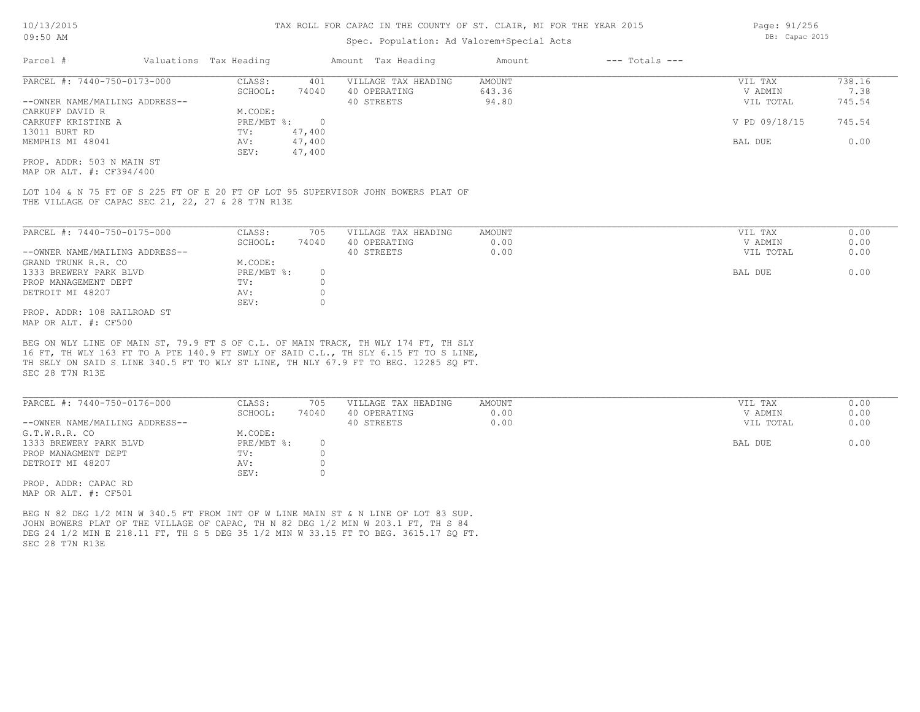### Spec. Population: Ad Valorem+Special Acts

| Parcel #                       | Valuations Tax Heading |        | Amount Tax Heading  | Amount | $---$ Totals $---$ |               |        |
|--------------------------------|------------------------|--------|---------------------|--------|--------------------|---------------|--------|
| PARCEL #: 7440-750-0173-000    | CLASS:                 | 401    | VILLAGE TAX HEADING | AMOUNT |                    | VIL TAX       | 738.16 |
|                                | SCHOOL:                | 74040  | 40 OPERATING        | 643.36 |                    | V ADMIN       | 7.38   |
| --OWNER NAME/MAILING ADDRESS-- |                        |        | 40 STREETS          | 94.80  |                    | VIL TOTAL     | 745.54 |
| CARKUFF DAVID R                | M.CODE:                |        |                     |        |                    |               |        |
| CARKUFF KRISTINE A             | PRE/MBT %:             |        |                     |        |                    | V PD 09/18/15 | 745.54 |
| 13011 BURT RD                  | TV:                    | 47,400 |                     |        |                    |               |        |
| MEMPHIS MI 48041               | AV:                    | 47,400 |                     |        |                    | BAL DUE       | 0.00   |
|                                | SEV:                   | 47,400 |                     |        |                    |               |        |
| PROP. ADDR: 503 N MAIN ST      |                        |        |                     |        |                    |               |        |

MAP OR ALT. #: CF394/400

THE VILLAGE OF CAPAC SEC 21, 22, 27 & 28 T7N R13E LOT 104 & N 75 FT OF S 225 FT OF E 20 FT OF LOT 95 SUPERVISOR JOHN BOWERS PLAT OF

| PARCEL #: 7440-750-0175-000    | CLASS:     | 705   | VILLAGE TAX HEADING | AMOUNT | VIL TAX   | 0.00 |
|--------------------------------|------------|-------|---------------------|--------|-----------|------|
|                                | SCHOOL:    | 74040 | 40 OPERATING        | 0.00   | V ADMIN   | 0.00 |
| --OWNER NAME/MAILING ADDRESS-- |            |       | 40 STREETS          | 0.00   | VIL TOTAL | 0.00 |
| GRAND TRUNK R.R. CO            | M.CODE:    |       |                     |        |           |      |
| 1333 BREWERY PARK BLVD         | PRE/MBT %: |       |                     |        | BAL DUE   | 0.00 |
| PROP MANAGEMENT DEPT           | TV:        |       |                     |        |           |      |
| DETROIT MI 48207               | AV:        |       |                     |        |           |      |
|                                | SEV:       |       |                     |        |           |      |
| PROP. ADDR: 108 RAILROAD ST    |            |       |                     |        |           |      |
|                                |            |       |                     |        |           |      |

MAP OR ALT. #: CF500

SEC 28 T7N R13E TH SELY ON SAID S LINE 340.5 FT TO WLY ST LINE, TH NLY 67.9 FT TO BEG. 12285 SQ FT. 16 FT, TH WLY 163 FT TO A PTE 140.9 FT SWLY OF SAID C.L., TH SLY 6.15 FT TO S LINE, BEG ON WLY LINE OF MAIN ST, 79.9 FT S OF C.L. OF MAIN TRACK, TH WLY 174 FT, TH SLY

| PARCEL #: 7440-750-0176-000    | CLASS:     | 705   | VILLAGE TAX HEADING | AMOUNT | VIL TAX   | 0.00 |
|--------------------------------|------------|-------|---------------------|--------|-----------|------|
|                                | SCHOOL:    | 74040 | 40 OPERATING        | 0.00   | V ADMIN   | 0.00 |
| --OWNER NAME/MAILING ADDRESS-- |            |       | 40 STREETS          | 0.00   | VIL TOTAL | 0.00 |
| G.T.W.R.R. CO                  | M.CODE:    |       |                     |        |           |      |
| 1333 BREWERY PARK BLVD         | PRE/MBT %: |       |                     |        | BAL DUE   | 0.00 |
| PROP MANAGMENT DEPT            | TV:        |       |                     |        |           |      |
| DETROIT MI 48207               | AV:        |       |                     |        |           |      |
|                                | SEV:       |       |                     |        |           |      |
| PROP. ADDR: CAPAC RD           |            |       |                     |        |           |      |

MAP OR ALT. #: CF501

SEC 28 T7N R13E DEG 24 1/2 MIN E 218.11 FT, TH S 5 DEG 35 1/2 MIN W 33.15 FT TO BEG. 3615.17 SO FT. JOHN BOWERS PLAT OF THE VILLAGE OF CAPAC, TH N 82 DEG 1/2 MIN W 203.1 FT, TH S 84 BEG N 82 DEG 1/2 MIN W 340.5 FT FROM INT OF W LINE MAIN ST & N LINE OF LOT 83 SUP.

Page: 91/256 DB: Capac 2015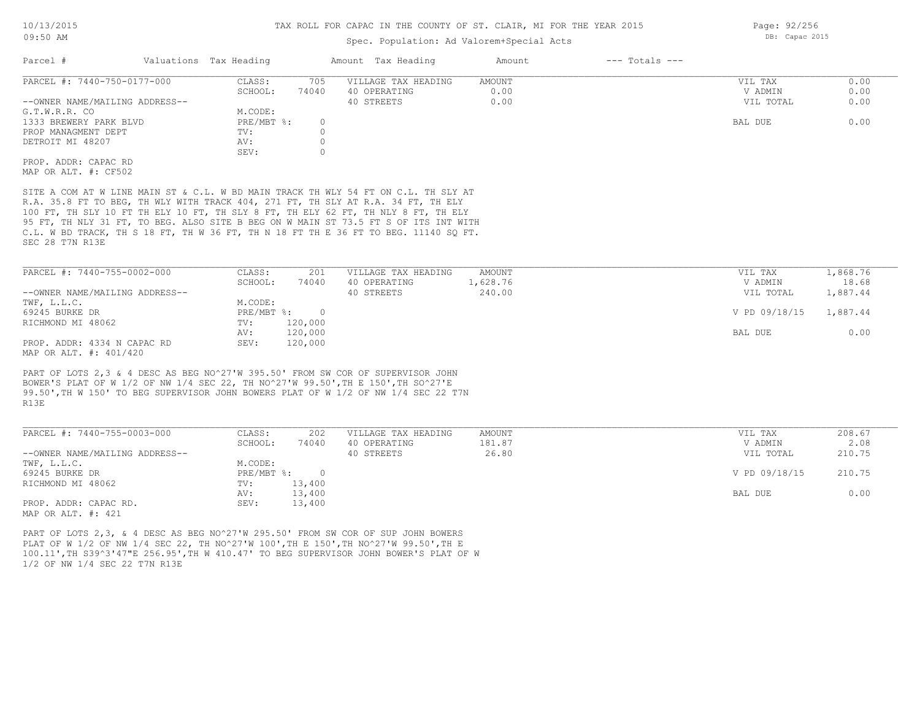## Spec. Population: Ad Valorem+Special Acts

| Parcel #                       | Valuations Tax Heading |       | Amount Tax Heading  | Amount | $---$ Totals $---$ |           |      |
|--------------------------------|------------------------|-------|---------------------|--------|--------------------|-----------|------|
| PARCEL #: 7440-750-0177-000    | CLASS:                 | 705   | VILLAGE TAX HEADING | AMOUNT |                    | VIL TAX   | 0.00 |
|                                | SCHOOL:                | 74040 | 40 OPERATING        | 0.00   |                    | V ADMIN   | 0.00 |
| --OWNER NAME/MAILING ADDRESS-- |                        |       | 40 STREETS          | 0.00   |                    | VIL TOTAL | 0.00 |
| G.T.W.R.R. CO                  | M.CODE:                |       |                     |        |                    |           |      |
| 1333 BREWERY PARK BLVD         | $PRE/MBT$ %:           |       |                     |        |                    | BAL DUE   | 0.00 |
| PROP MANAGMENT DEPT            | TV:                    |       |                     |        |                    |           |      |
| DETROIT MI 48207               | AV:                    |       |                     |        |                    |           |      |
|                                | SEV:                   |       |                     |        |                    |           |      |
| PROP. ADDR: CAPAC RD           |                        |       |                     |        |                    |           |      |
| MAP OR ALT. #: CF502           |                        |       |                     |        |                    |           |      |
|                                |                        |       |                     |        |                    |           |      |

SEC 28 T7N R13E C.L. W BD TRACK, TH S 18 FT, TH W 36 FT, TH N 18 FT TH E 36 FT TO BEG. 11140 SQ FT. 95 FT, TH NLY 31 FT, TO BEG. ALSO SITE B BEG ON W MAIN ST 73.5 FT S OF ITS INT WITH 100 FT, TH SLY 10 FT TH ELY 10 FT, TH SLY 8 FT, TH ELY 62 FT, TH NLY 8 FT, TH ELY R.A. 35.8 FT TO BEG, TH WLY WITH TRACK 404, 271 FT, TH SLY AT R.A. 34 FT, TH ELY SITE A COM AT W LINE MAIN ST & C.L. W BD MAIN TRACK TH WLY 54 FT ON C.L. TH SLY AT

| PARCEL #: 7440-755-0002-000    | CLASS:       | 201     | VILLAGE TAX HEADING | AMOUNT   | VIL TAX       | 1,868.76 |
|--------------------------------|--------------|---------|---------------------|----------|---------------|----------|
|                                | SCHOOL:      | 74040   | 40 OPERATING        | 1,628.76 | V ADMIN       | 18.68    |
| --OWNER NAME/MAILING ADDRESS-- |              |         | 40 STREETS          | 240.00   | VIL TOTAL     | 1,887.44 |
| TWF, L.L.C.                    | M.CODE:      |         |                     |          |               |          |
| 69245 BURKE DR                 | $PRE/MBT$ %: |         |                     |          | V PD 09/18/15 | 1,887.44 |
| RICHMOND MI 48062              | TV:          | 120,000 |                     |          |               |          |
|                                | AV:          | 120,000 |                     |          | BAL DUE       | 0.00     |
| PROP. ADDR: 4334 N CAPAC RD    | SEV:         | 120,000 |                     |          |               |          |
| MAP OR ALT. #: 401/420         |              |         |                     |          |               |          |

R13E 99.50',TH W 150' TO BEG SUPERVISOR JOHN BOWERS PLAT OF W 1/2 OF NW 1/4 SEC 22 T7N BOWER'S PLAT OF W 1/2 OF NW 1/4 SEC 22, TH NO^27'W 99.50',TH E 150',TH SO^27'E PART OF LOTS 2,3 & 4 DESC AS BEG NO^27'W 395.50' FROM SW COR OF SUPERVISOR JOHN

| PARCEL #: 7440-755-0003-000    | CLASS:     | 202    | VILLAGE TAX HEADING | AMOUNT | VIL TAX       | 208.67 |  |
|--------------------------------|------------|--------|---------------------|--------|---------------|--------|--|
|                                | SCHOOL:    | 74040  | 40 OPERATING        | 181.87 | V ADMIN       | 2.08   |  |
| --OWNER NAME/MAILING ADDRESS-- |            |        | 40 STREETS          | 26.80  | VIL TOTAL     | 210.75 |  |
| TWF, L.L.C.                    | M.CODE:    |        |                     |        |               |        |  |
| 69245 BURKE DR                 | PRE/MBT %: | $\cap$ |                     |        | V PD 09/18/15 | 210.75 |  |
| RICHMOND MI 48062              | TV:        | 13,400 |                     |        |               |        |  |
|                                | AV:        | 13,400 |                     |        | BAL DUE       | 0.00   |  |
| PROP. ADDR: CAPAC RD.          | SEV:       | 13,400 |                     |        |               |        |  |
| MAD OD 3TH 4. 401              |            |        |                     |        |               |        |  |

MAP OR ALT. #: 421

1/2 OF NW 1/4 SEC 22 T7N R13E 100.11',TH S39^3'47"E 256.95',TH W 410.47' TO BEG SUPERVISOR JOHN BOWER'S PLAT OF W PLAT OF W 1/2 OF NW 1/4 SEC 22, TH NO^27'W 100',TH E 150',TH NO^27'W 99.50',TH E PART OF LOTS 2,3, & 4 DESC AS BEG NO^27'W 295.50' FROM SW COR OF SUP JOHN BOWERS

Page: 92/256 DB: Capac 2015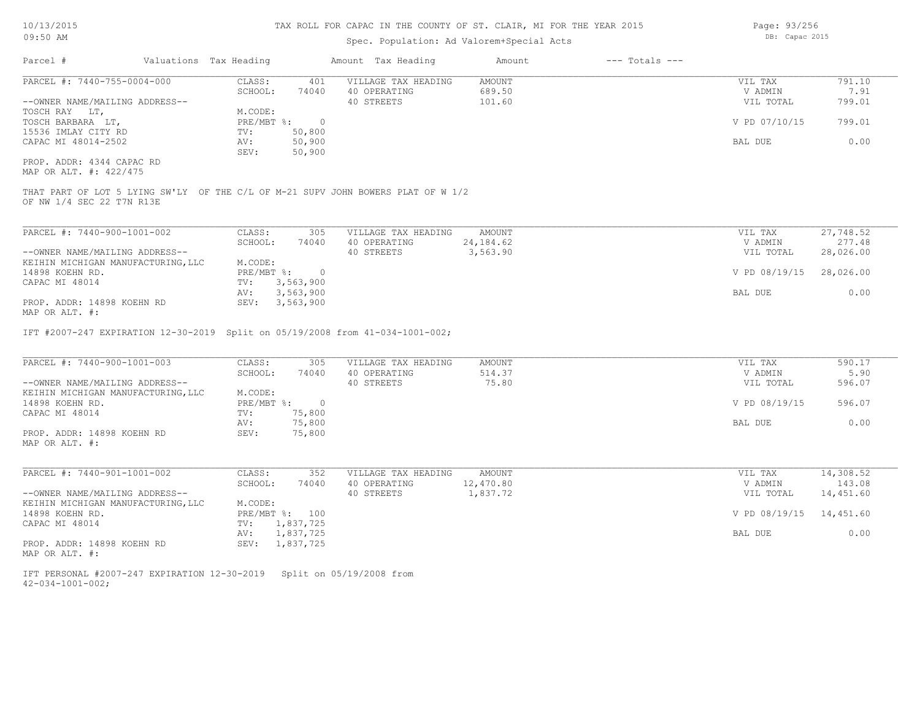# Spec. Population: Ad Valorem+Special Acts

Parcel # Valuations Tax Heading Amount Tax Heading Amount --- Totals ---

| Page: 93/256 |                |  |
|--------------|----------------|--|
|              | DB: Capac 2015 |  |

|                                                                                                                                                                                       | CLASS:<br>401                      | VILLAGE TAX HEADING<br>AMOUNT                  | 791.10<br>VIL TAX                      |
|---------------------------------------------------------------------------------------------------------------------------------------------------------------------------------------|------------------------------------|------------------------------------------------|----------------------------------------|
| --OWNER NAME/MAILING ADDRESS--                                                                                                                                                        | SCHOOL:<br>74040                   | 689.50<br>40 OPERATING<br>40 STREETS<br>101.60 | 7.91<br>V ADMIN<br>799.01<br>VIL TOTAL |
| TOSCH RAY LT,                                                                                                                                                                         | M.CODE:                            |                                                |                                        |
| TOSCH BARBARA LT,                                                                                                                                                                     | $PRE/MBT$ $\div$ 0                 |                                                | V PD 07/10/15<br>799.01                |
| 15536 IMLAY CITY RD                                                                                                                                                                   | 50,800<br>TV:                      |                                                |                                        |
| CAPAC MI 48014-2502                                                                                                                                                                   | 50,900<br>AV:                      |                                                | BAL DUE<br>0.00                        |
|                                                                                                                                                                                       | SEV:<br>50,900                     |                                                |                                        |
| PROP. ADDR: 4344 CAPAC RD                                                                                                                                                             |                                    |                                                |                                        |
| MAP OR ALT. #: 422/475                                                                                                                                                                |                                    |                                                |                                        |
| THAT PART OF LOT 5 LYING SW'LY OF THE C/L OF M-21 SUPV JOHN BOWERS PLAT OF W 1/2<br>OF NW 1/4 SEC 22 T7N R13E                                                                         |                                    |                                                |                                        |
| PARCEL #: 7440-900-1001-002                                                                                                                                                           | CLASS:<br>305                      | VILLAGE TAX HEADING<br>AMOUNT                  | 27,748.52<br>VIL TAX                   |
|                                                                                                                                                                                       | SCHOOL:<br>74040                   | 40 OPERATING<br>24,184.62                      | 277.48<br>V ADMIN                      |
| --OWNER NAME/MAILING ADDRESS--                                                                                                                                                        |                                    | 40 STREETS<br>3,563.90                         | 28,026.00<br>VIL TOTAL                 |
| KEIHIN MICHIGAN MANUFACTURING, LLC                                                                                                                                                    | M.CODE:                            |                                                |                                        |
| 14898 KOEHN RD.                                                                                                                                                                       | PRE/MBT %:<br>$\overline{0}$       |                                                | V PD 08/19/15<br>28,026.00             |
| CAPAC MI 48014                                                                                                                                                                        | 3,563,900<br>TV:                   |                                                |                                        |
|                                                                                                                                                                                       | 3,563,900<br>AV:                   |                                                | BAL DUE<br>0.00                        |
| PROP. ADDR: 14898 KOEHN RD                                                                                                                                                            | SEV: 3,563,900                     |                                                |                                        |
|                                                                                                                                                                                       |                                    |                                                |                                        |
| IFT #2007-247 EXPIRATION 12-30-2019 Split on 05/19/2008 from 41-034-1001-002;                                                                                                         |                                    |                                                |                                        |
|                                                                                                                                                                                       | CLASS:<br>305                      | AMOUNT<br>VILLAGE TAX HEADING                  | 590.17<br>VIL TAX                      |
|                                                                                                                                                                                       | SCHOOL:<br>74040                   | 40 OPERATING<br>514.37                         | 5.90<br>V ADMIN                        |
|                                                                                                                                                                                       |                                    | 40 STREETS<br>75.80                            | VIL TOTAL<br>596.07                    |
|                                                                                                                                                                                       | M.CODE:                            |                                                |                                        |
|                                                                                                                                                                                       | $PRE/MBT$ $\div$ 0                 |                                                | V PD 08/19/15<br>596.07                |
|                                                                                                                                                                                       | 75,800<br>TV:                      |                                                |                                        |
|                                                                                                                                                                                       | 75,800<br>AV:<br>75,800<br>SEV:    |                                                | 0.00<br>BAL DUE                        |
| PARCEL #: 7440-901-1001-002                                                                                                                                                           | CLASS:<br>352                      | VILLAGE TAX HEADING<br>AMOUNT                  | 14,308.52<br>VIL TAX                   |
|                                                                                                                                                                                       | SCHOOL:<br>74040                   | 40 OPERATING<br>12,470.80                      | V ADMIN<br>143.08                      |
|                                                                                                                                                                                       |                                    | 1,837.72<br>40 STREETS                         | 14,451.60<br>VIL TOTAL                 |
|                                                                                                                                                                                       | M.CODE:                            |                                                |                                        |
| PARCEL #: 7440-900-1001-003<br>--OWNER NAME/MAILING ADDRESS--<br>KEIHIN MICHIGAN MANUFACTURING, LLC<br>CAPAC MI 48014<br>PROP. ADDR: 14898 KOEHN RD<br>--OWNER NAME/MAILING ADDRESS-- | PRE/MBT %: 100                     |                                                | V PD 08/19/15                          |
| MAP OR ALT. #:<br>14898 KOEHN RD.<br>MAP OR ALT. #:<br>KEIHIN MICHIGAN MANUFACTURING, LLC<br>14898 KOEHN RD.<br>CAPAC MI 48014                                                        | TV: 1,837,725                      |                                                | 14,451.60                              |
| PROP. ADDR: 14898 KOEHN RD                                                                                                                                                            | 1,837,725<br>AV:<br>SEV: 1,837,725 |                                                | 0.00<br>BAL DUE                        |

42-034-1001-002; IFT PERSONAL #2007-247 EXPIRATION 12-30-2019 Split on 05/19/2008 from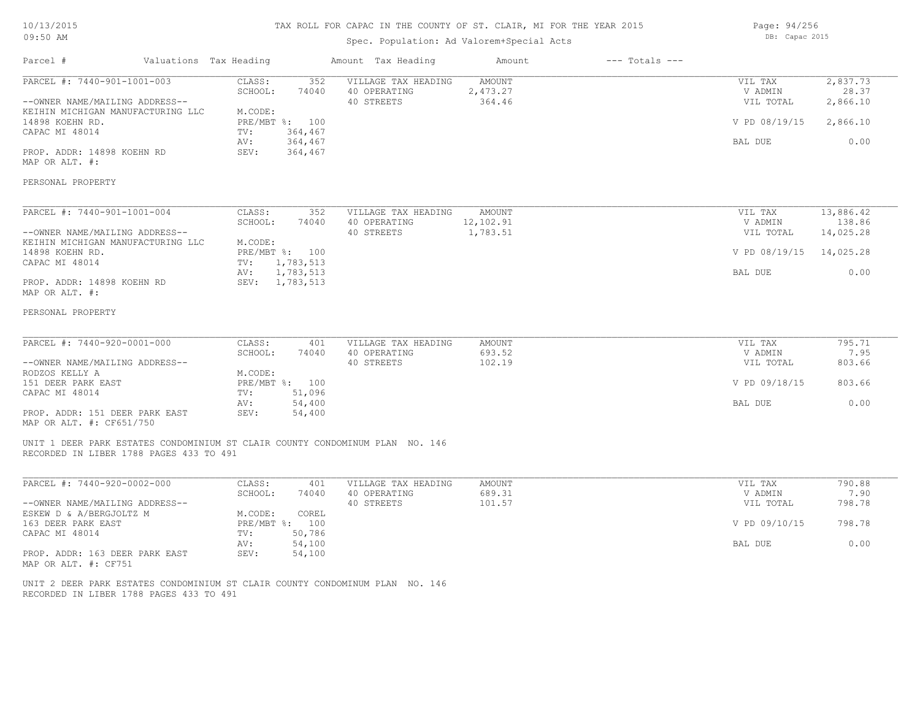## 10/13/2015 09:50 AM

### TAX ROLL FOR CAPAC IN THE COUNTY OF ST. CLAIR, MI FOR THE YEAR 2015

## Spec. Population: Ad Valorem+Special Acts

Page: 94/256 DB: Capac 2015

| Parcel #                                                                                                                                                                                                                         | Valuations Tax Heading                                                                                                      | Amount Tax Heading                                                                                                                | Amount                              | $---$ Totals $---$ |                                                             |                                                       |
|----------------------------------------------------------------------------------------------------------------------------------------------------------------------------------------------------------------------------------|-----------------------------------------------------------------------------------------------------------------------------|-----------------------------------------------------------------------------------------------------------------------------------|-------------------------------------|--------------------|-------------------------------------------------------------|-------------------------------------------------------|
| PARCEL #: 7440-901-1001-003<br>--OWNER NAME/MAILING ADDRESS--<br>KEIHIN MICHIGAN MANUFACTURING LLC<br>14898 KOEHN RD.<br>CAPAC MI 48014<br>PROP. ADDR: 14898 KOEHN RD<br>MAP OR ALT. #:<br>PERSONAL PROPERTY                     | CLASS:<br>352<br>SCHOOL:<br>74040<br>M.CODE:<br>PRE/MBT %: 100<br>TV:<br>364,467<br>364,467<br>AV:<br>SEV:<br>364,467       | VILLAGE TAX HEADING<br>40 OPERATING<br>40 STREETS                                                                                 | <b>AMOUNT</b><br>2,473.27<br>364.46 |                    | VIL TAX<br>V ADMIN<br>VIL TOTAL<br>V PD 08/19/15<br>BAL DUE | 2,837.73<br>28.37<br>2,866.10<br>2,866.10<br>0.00     |
| PARCEL #: 7440-901-1001-004<br>--OWNER NAME/MAILING ADDRESS--<br>KEIHIN MICHIGAN MANUFACTURING LLC<br>14898 KOEHN RD.<br>CAPAC MI 48014<br>PROP. ADDR: 14898 KOEHN RD<br>MAP OR ALT. #:<br>PERSONAL PROPERTY                     | CLASS:<br>352<br>SCHOOL:<br>74040<br>M.CODE:<br>PRE/MBT %: 100<br>TV:<br>1,783,513<br>1,783,513<br>AV:<br>SEV: 1,783,513    | VILLAGE TAX HEADING<br>40 OPERATING<br>40 STREETS                                                                                 | AMOUNT<br>12,102.91<br>1,783.51     |                    | VIL TAX<br>V ADMIN<br>VIL TOTAL<br>V PD 08/19/15<br>BAL DUE | 13,886.42<br>138.86<br>14,025.28<br>14,025.28<br>0.00 |
| PARCEL #: 7440-920-0001-000<br>--OWNER NAME/MAILING ADDRESS--<br>RODZOS KELLY A<br>151 DEER PARK EAST<br>CAPAC MI 48014<br>PROP. ADDR: 151 DEER PARK EAST<br>MAP OR ALT. #: CF651/750<br>RECORDED IN LIBER 1788 PAGES 433 TO 491 | CLASS:<br>401<br>SCHOOL:<br>74040<br>M.CODE:<br>PRE/MBT %: 100<br>51,096<br>TV:<br>54,400<br>AV:<br>SEV:<br>54,400          | VILLAGE TAX HEADING<br>40 OPERATING<br>40 STREETS<br>UNIT 1 DEER PARK ESTATES CONDOMINIUM ST CLAIR COUNTY CONDOMINUM PLAN NO. 146 | <b>AMOUNT</b><br>693.52<br>102.19   |                    | VIL TAX<br>V ADMIN<br>VIL TOTAL<br>V PD 09/18/15<br>BAL DUE | 795.71<br>7.95<br>803.66<br>803.66<br>0.00            |
| PARCEL #: 7440-920-0002-000<br>--OWNER NAME/MAILING ADDRESS--<br>ESKEW D & A/BERGJOLTZ M<br>163 DEER PARK EAST<br>CAPAC MI 48014<br>PROP. ADDR: 163 DEER PARK EAST<br>MAP OR ALT. #: CF751                                       | CLASS:<br>401<br>SCHOOL:<br>74040<br>M.CODE:<br>COREL<br>PRE/MBT %: 100<br>50,786<br>TV:<br>54,100<br>AV:<br>SEV:<br>54,100 | VILLAGE TAX HEADING<br>40 OPERATING<br>40 STREETS                                                                                 | <b>AMOUNT</b><br>689.31<br>101.57   |                    | VIL TAX<br>V ADMIN<br>VIL TOTAL<br>V PD 09/10/15<br>BAL DUE | 790.88<br>7.90<br>798.78<br>798.78<br>0.00            |

RECORDED IN LIBER 1788 PAGES 433 TO 491 UNIT 2 DEER PARK ESTATES CONDOMINIUM ST CLAIR COUNTY CONDOMINUM PLAN NO. 146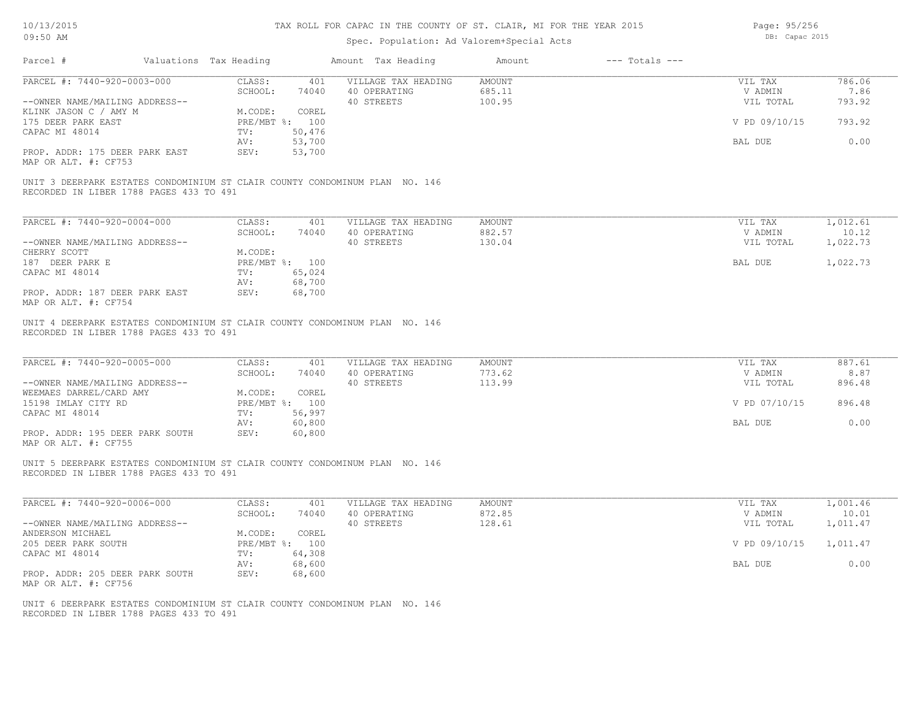# Spec. Population: Ad Valorem+Special Acts

Page: 95/256 DB: Capac 2015

| Parcel #                                                                                                               | Valuations Tax Heading |                         | Amount Tax Heading                                | Amount                            | $---$ Totals $---$ |                                 |                          |
|------------------------------------------------------------------------------------------------------------------------|------------------------|-------------------------|---------------------------------------------------|-----------------------------------|--------------------|---------------------------------|--------------------------|
| PARCEL #: 7440-920-0003-000<br>--OWNER NAME/MAILING ADDRESS--                                                          | CLASS:<br>SCHOOL:      | 401<br>74040            | VILLAGE TAX HEADING<br>40 OPERATING<br>40 STREETS | <b>AMOUNT</b><br>685.11<br>100.95 |                    | VIL TAX<br>V ADMIN<br>VIL TOTAL | 786.06<br>7.86<br>793.92 |
| KLINK JASON C / AMY M<br>175 DEER PARK EAST                                                                            | M.CODE:                | COREL<br>PRE/MBT %: 100 |                                                   |                                   |                    | V PD 09/10/15                   | 793.92                   |
| CAPAC MI 48014                                                                                                         | TV:<br>AV:             | 50,476<br>53,700        |                                                   |                                   |                    | BAL DUE                         | 0.00                     |
| PROP. ADDR: 175 DEER PARK EAST<br>MAP OR ALT. #: CF753                                                                 | SEV:                   | 53,700                  |                                                   |                                   |                    |                                 |                          |
| UNIT 3 DEERPARK ESTATES CONDOMINIUM ST CLAIR COUNTY CONDOMINUM PLAN NO. 146<br>RECORDED IN LIBER 1788 PAGES 433 TO 491 |                        |                         |                                                   |                                   |                    |                                 |                          |
| PARCEL #: 7440-920-0004-000                                                                                            | CLASS:<br>SCHOOL:      | 401<br>74040            | VILLAGE TAX HEADING<br>40 OPERATING               | <b>AMOUNT</b><br>882.57           |                    | VIL TAX<br>V ADMIN              | 1,012.61<br>10.12        |
| --OWNER NAME/MAILING ADDRESS--                                                                                         |                        |                         | 40 STREETS                                        | 130.04                            |                    | VIL TOTAL                       | 1,022.73                 |
| CHERRY SCOTT                                                                                                           | M.CODE:                |                         |                                                   |                                   |                    |                                 |                          |
| 187 DEER PARK E                                                                                                        |                        | PRE/MBT %: 100          |                                                   |                                   |                    | BAL DUE                         | 1,022.73                 |
| CAPAC MI 48014                                                                                                         | TV:<br>AV:             | 65,024<br>68,700        |                                                   |                                   |                    |                                 |                          |
| PROP. ADDR: 187 DEER PARK EAST<br>MAP OR ALT. #: CF754                                                                 | SEV:                   | 68,700                  |                                                   |                                   |                    |                                 |                          |
| PARCEL #: 7440-920-0005-000<br>--OWNER NAME/MAILING ADDRESS--                                                          | CLASS:<br>SCHOOL:      | 401<br>74040            | VILLAGE TAX HEADING<br>40 OPERATING<br>40 STREETS | <b>AMOUNT</b><br>773.62<br>113.99 |                    | VIL TAX<br>V ADMIN<br>VIL TOTAL | 887.61<br>8.87<br>896.48 |
| WEEMAES DARREL/CARD AMY<br>15198 IMLAY CITY RD                                                                         | M.CODE:                | COREL<br>PRE/MBT %: 100 |                                                   |                                   |                    | V PD 07/10/15                   | 896.48                   |
| CAPAC MI 48014                                                                                                         | TV:<br>AV:             | 56,997<br>60,800        |                                                   |                                   |                    | BAL DUE                         | 0.00                     |
| PROP. ADDR: 195 DEER PARK SOUTH<br>MAP OR ALT. #: CF755                                                                | SEV:                   | 60,800                  |                                                   |                                   |                    |                                 |                          |
| UNIT 5 DEERPARK ESTATES CONDOMINIUM ST CLAIR COUNTY CONDOMINUM PLAN NO. 146<br>RECORDED IN LIBER 1788 PAGES 433 TO 491 |                        |                         |                                                   |                                   |                    |                                 |                          |
| PARCEL #: 7440-920-0006-000                                                                                            | CLASS:<br>SCHOOL:      | 401<br>74040            | VILLAGE TAX HEADING<br>40 OPERATING               | <b>AMOUNT</b><br>872.85           |                    | VIL TAX<br>V ADMIN              | 1,001.46<br>10.01        |
| --OWNER NAME/MAILING ADDRESS--                                                                                         |                        |                         | 40 STREETS                                        | 128.61                            |                    | VIL TOTAL                       | 1,011.47                 |
| ANDERSON MICHAEL<br>205 DEER PARK SOUTH                                                                                | M.CODE:                | COREL<br>PRE/MBT %: 100 |                                                   |                                   |                    | V PD 09/10/15                   | 1,011.47                 |
| CAPAC MI 48014                                                                                                         | TV:                    | 64,308                  |                                                   |                                   |                    |                                 |                          |
|                                                                                                                        | AV:                    | 68,600                  |                                                   |                                   |                    | BAL DUE                         | 0.00                     |
| PROP. ADDR: 205 DEER PARK SOUTH<br>MAP OR ALT. #: CF756                                                                | SEV:                   | 68,600                  |                                                   |                                   |                    |                                 |                          |
| UNIT 6 DEERPARK ESTATES CONDOMINIUM ST CLAIR COUNTY CONDOMINUM PLAN NO. 146<br>RECORDED IN LIBER 1788 PAGES 433 TO 491 |                        |                         |                                                   |                                   |                    |                                 |                          |
|                                                                                                                        |                        |                         |                                                   |                                   |                    |                                 |                          |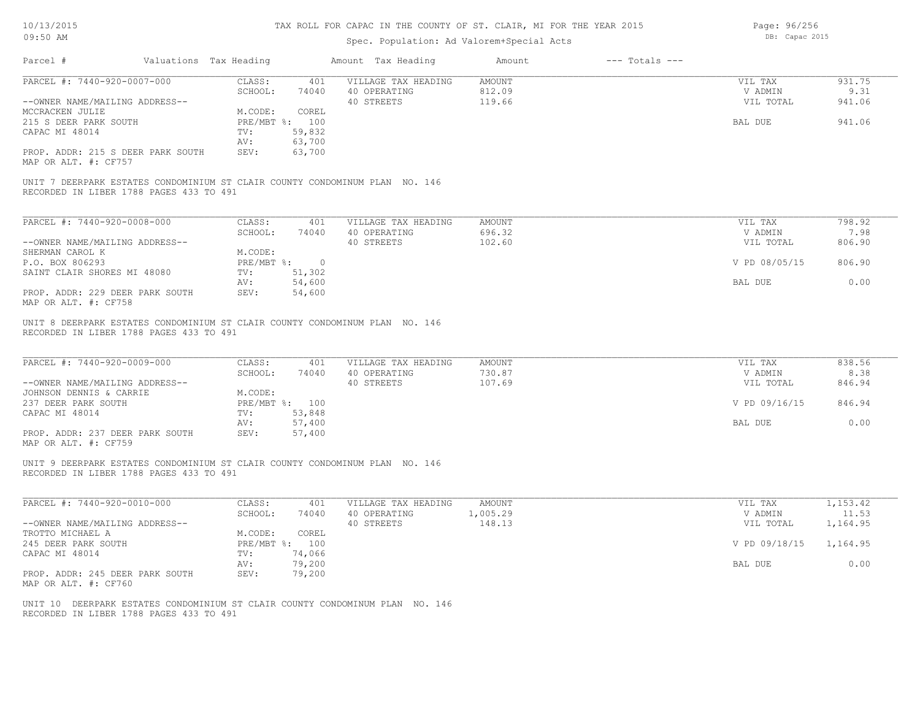# Spec. Population: Ad Valorem+Special Acts

Page: 96/256 DB: Capac 2015

|                                                                                                                        | Valuations Tax Heading |                  | Amount Tax Heading                                | Amount                     | $---$ Totals $---$ |                                 |                          |
|------------------------------------------------------------------------------------------------------------------------|------------------------|------------------|---------------------------------------------------|----------------------------|--------------------|---------------------------------|--------------------------|
| PARCEL #: 7440-920-0007-000                                                                                            | CLASS:<br>SCHOOL:      | 401<br>74040     | VILLAGE TAX HEADING<br>40 OPERATING               | AMOUNT<br>812.09           |                    | VIL TAX<br>V ADMIN              | 931.75<br>9.31           |
| --OWNER NAME/MAILING ADDRESS--                                                                                         |                        |                  | 40 STREETS                                        | 119.66                     |                    | VIL TOTAL                       | 941.06                   |
| MCCRACKEN JULIE                                                                                                        | M.CODE:                | COREL            |                                                   |                            |                    |                                 |                          |
| 215 S DEER PARK SOUTH                                                                                                  |                        | PRE/MBT %: 100   |                                                   |                            |                    | BAL DUE                         | 941.06                   |
| CAPAC MI 48014                                                                                                         | TV:                    | 59,832           |                                                   |                            |                    |                                 |                          |
|                                                                                                                        | AV:                    | 63,700           |                                                   |                            |                    |                                 |                          |
| PROP. ADDR: 215 S DEER PARK SOUTH<br>MAP OR ALT. #: CF757                                                              | SEV:                   | 63,700           |                                                   |                            |                    |                                 |                          |
| UNIT 7 DEERPARK ESTATES CONDOMINIUM ST CLAIR COUNTY CONDOMINUM PLAN NO. 146<br>RECORDED IN LIBER 1788 PAGES 433 TO 491 |                        |                  |                                                   |                            |                    |                                 |                          |
| PARCEL #: 7440-920-0008-000                                                                                            | CLASS:                 | 401              | VILLAGE TAX HEADING                               | <b>AMOUNT</b>              |                    | VIL TAX                         | 798.92                   |
|                                                                                                                        | SCHOOL:                | 74040            | 40 OPERATING                                      | 696.32                     |                    | V ADMIN                         | 7.98                     |
| --OWNER NAME/MAILING ADDRESS--                                                                                         |                        |                  | 40 STREETS                                        | 102.60                     |                    | VIL TOTAL                       | 806.90                   |
| SHERMAN CAROL K                                                                                                        | M.CODE:                |                  |                                                   |                            |                    |                                 |                          |
| P.O. BOX 806293                                                                                                        |                        | PRE/MBT %: 0     |                                                   |                            |                    | V PD 08/05/15                   | 806.90                   |
| SAINT CLAIR SHORES MI 48080                                                                                            | TV:                    | 51,302           |                                                   |                            |                    |                                 |                          |
|                                                                                                                        | AV:                    | 54,600           |                                                   |                            |                    | BAL DUE                         | 0.00                     |
| PROP. ADDR: 229 DEER PARK SOUTH<br>MAP OR ALT. #: CF758                                                                | SEV:                   | 54,600           |                                                   |                            |                    |                                 |                          |
| PARCEL #: 7440-920-0009-000<br>--OWNER NAME/MAILING ADDRESS--                                                          | CLASS:<br>SCHOOL:      | 401<br>74040     | VILLAGE TAX HEADING<br>40 OPERATING<br>40 STREETS | AMOUNT<br>730.87<br>107.69 |                    | VIL TAX<br>V ADMIN<br>VIL TOTAL | 838.56<br>8.38<br>846.94 |
|                                                                                                                        |                        |                  |                                                   |                            |                    |                                 |                          |
|                                                                                                                        |                        |                  |                                                   |                            |                    |                                 |                          |
| JOHNSON DENNIS & CARRIE<br>237 DEER PARK SOUTH                                                                         | M.CODE:                | PRE/MBT %: 100   |                                                   |                            |                    | V PD 09/16/15                   | 846.94                   |
| CAPAC MI 48014                                                                                                         | TV:                    | 53,848           |                                                   |                            |                    |                                 |                          |
|                                                                                                                        | AV:                    | 57,400           |                                                   |                            |                    | BAL DUE                         | 0.00                     |
| PROP. ADDR: 237 DEER PARK SOUTH                                                                                        | SEV:                   | 57,400           |                                                   |                            |                    |                                 |                          |
| MAP OR ALT. #: CF759                                                                                                   |                        |                  |                                                   |                            |                    |                                 |                          |
| UNIT 9 DEERPARK ESTATES CONDOMINIUM ST CLAIR COUNTY CONDOMINUM PLAN NO. 146<br>RECORDED IN LIBER 1788 PAGES 433 TO 491 |                        |                  |                                                   |                            |                    |                                 |                          |
| PARCEL #: 7440-920-0010-000                                                                                            | CLASS:                 | 401              | VILLAGE TAX HEADING                               | AMOUNT                     |                    | VIL TAX                         | 1,153.42                 |
|                                                                                                                        | SCHOOL:                | 74040            | 40 OPERATING                                      | 1,005.29                   |                    | V ADMIN                         | 11.53                    |
| --OWNER NAME/MAILING ADDRESS--                                                                                         |                        |                  | 40 STREETS                                        | 148.13                     |                    | VIL TOTAL                       | 1,164.95                 |
| TROTTO MICHAEL A                                                                                                       | M.CODE:                | COREL            |                                                   |                            |                    |                                 |                          |
| 245 DEER PARK SOUTH                                                                                                    |                        | PRE/MBT %: 100   |                                                   |                            |                    | V PD 09/18/15                   | 1,164.95                 |
| CAPAC MI 48014                                                                                                         | TV:                    | 74,066           |                                                   |                            |                    |                                 |                          |
| PROP. ADDR: 245 DEER PARK SOUTH<br>MAP OR ALT. #: CF760                                                                | AV:<br>SEV:            | 79,200<br>79,200 |                                                   |                            |                    | BAL DUE                         | 0.00                     |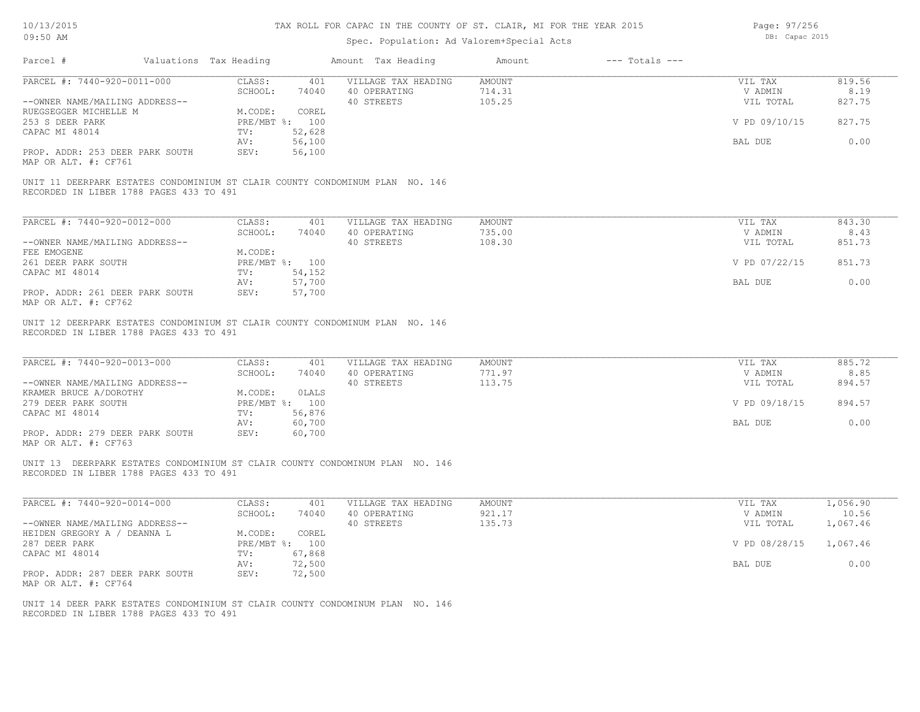# Spec. Population: Ad Valorem+Special Acts

Page: 97/256 DB: Capac 2015

| Parcel #                                                      | Valuations Tax Heading |                          | Amount Tax Heading                                                            | Amount                            | $---$ Totals $---$ |                                 |                          |
|---------------------------------------------------------------|------------------------|--------------------------|-------------------------------------------------------------------------------|-----------------------------------|--------------------|---------------------------------|--------------------------|
| PARCEL #: 7440-920-0011-000<br>--OWNER NAME/MAILING ADDRESS-- | CLASS:<br>SCHOOL:      | 401<br>74040             | VILLAGE TAX HEADING<br>40 OPERATING<br>40 STREETS                             | <b>AMOUNT</b><br>714.31<br>105.25 |                    | VIL TAX<br>V ADMIN<br>VIL TOTAL | 819.56<br>8.19<br>827.75 |
| RUEGSEGGER MICHELLE M                                         | M.CODE:                | COREL                    |                                                                               |                                   |                    |                                 |                          |
| 253 S DEER PARK<br>CAPAC MI 48014                             | TV:                    | PRE/MBT %: 100<br>52,628 |                                                                               |                                   |                    | V PD 09/10/15                   | 827.75                   |
| PROP. ADDR: 253 DEER PARK SOUTH                               | AV:<br>SEV:            | 56,100<br>56,100         |                                                                               |                                   |                    | BAL DUE                         | 0.00                     |
| MAP OR ALT. #: CF761                                          |                        |                          |                                                                               |                                   |                    |                                 |                          |
| RECORDED IN LIBER 1788 PAGES 433 TO 491                       |                        |                          | UNIT 11 DEERPARK ESTATES CONDOMINIUM ST CLAIR COUNTY CONDOMINUM PLAN NO. 146  |                                   |                    |                                 |                          |
| PARCEL #: 7440-920-0012-000                                   | CLASS:                 | 401                      | VILLAGE TAX HEADING                                                           | AMOUNT                            |                    | VIL TAX                         | 843.30                   |
|                                                               | SCHOOL:                | 74040                    | 40 OPERATING                                                                  | 735.00                            |                    | V ADMIN                         | 8.43                     |
| --OWNER NAME/MAILING ADDRESS--<br>FEE EMOGENE                 | M.CODE:                |                          | 40 STREETS                                                                    | 108.30                            |                    | VIL TOTAL                       | 851.73                   |
| 261 DEER PARK SOUTH                                           |                        | PRE/MBT %: 100           |                                                                               |                                   |                    | V PD 07/22/15                   | 851.73                   |
| CAPAC MI 48014                                                | TV:                    | 54,152                   |                                                                               |                                   |                    |                                 |                          |
| PROP. ADDR: 261 DEER PARK SOUTH                               | AV:<br>SEV:            | 57,700<br>57,700         |                                                                               |                                   |                    | BAL DUE                         | 0.00                     |
| MAP OR ALT. #: CF762                                          |                        |                          |                                                                               |                                   |                    |                                 |                          |
| PARCEL #: 7440-920-0013-000<br>--OWNER NAME/MAILING ADDRESS-- | CLASS:<br>SCHOOL:      | 401<br>74040             | VILLAGE TAX HEADING<br>40 OPERATING<br>40 STREETS                             | <b>AMOUNT</b><br>771.97<br>113.75 |                    | VIL TAX<br>V ADMIN<br>VIL TOTAL | 885.72<br>8.85<br>894.57 |
| KRAMER BRUCE A/DOROTHY                                        | M.CODE:                | OLALS                    |                                                                               |                                   |                    |                                 |                          |
| 279 DEER PARK SOUTH<br>CAPAC MI 48014                         | TV:                    | PRE/MBT %: 100<br>56,876 |                                                                               |                                   |                    | V PD 09/18/15                   | 894.57                   |
|                                                               | AV:                    | 60,700                   |                                                                               |                                   |                    | BAL DUE                         | 0.00                     |
| PROP. ADDR: 279 DEER PARK SOUTH<br>MAP OR ALT. #: CF763       | SEV:                   | 60,700                   |                                                                               |                                   |                    |                                 |                          |
| RECORDED IN LIBER 1788 PAGES 433 TO 491                       |                        |                          | UNIT 13 DEERPARK ESTATES CONDOMINIUM ST CLAIR COUNTY CONDOMINUM PLAN NO. 146  |                                   |                    |                                 |                          |
| PARCEL #: 7440-920-0014-000                                   | CLASS:                 | 401                      | VILLAGE TAX HEADING                                                           | <b>AMOUNT</b>                     |                    | VIL TAX                         | 1,056.90                 |
|                                                               | SCHOOL:                | 74040                    | 40 OPERATING                                                                  | 921.17                            |                    | V ADMIN                         | 10.56                    |
| --OWNER NAME/MAILING ADDRESS--<br>HEIDEN GREGORY A / DEANNA L | M.CODE:                | COREL                    | 40 STREETS                                                                    | 135.73                            |                    | VIL TOTAL                       | 1,067.46                 |
| 287 DEER PARK                                                 |                        | PRE/MBT %: 100           |                                                                               |                                   |                    | V PD 08/28/15                   | 1,067.46                 |
| CAPAC MI 48014                                                | TV:                    | 67,868                   |                                                                               |                                   |                    |                                 |                          |
| PROP. ADDR: 287 DEER PARK SOUTH<br>MAP OR ALT. #: CF764       | AV:<br>SEV:            | 72,500<br>72,500         |                                                                               |                                   |                    | BAL DUE                         | 0.00                     |
| RECORDED IN LIBER 1788 PAGES 433 TO 491                       |                        |                          | UNIT 14 DEER PARK ESTATES CONDOMINIUM ST CLAIR COUNTY CONDOMINUM PLAN NO. 146 |                                   |                    |                                 |                          |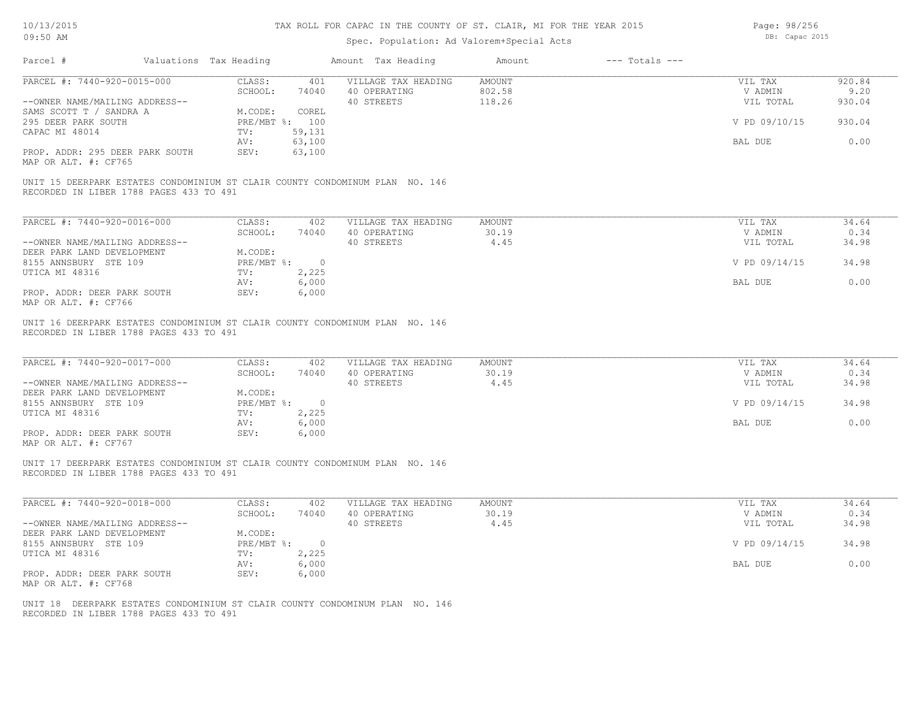# Spec. Population: Ad Valorem+Special Acts

Page: 98/256 DB: Capac 2015

| Parcel #                                                                                    | Valuations Tax Heading       |                         | Amount Tax Heading                                                           | Amount                         | $---$ Totals $---$ |                                 |                        |
|---------------------------------------------------------------------------------------------|------------------------------|-------------------------|------------------------------------------------------------------------------|--------------------------------|--------------------|---------------------------------|------------------------|
| PARCEL #: 7440-920-0015-000                                                                 | CLASS:                       | 401                     | VILLAGE TAX HEADING                                                          | <b>AMOUNT</b>                  |                    | VIL TAX                         | 920.84                 |
| --OWNER NAME/MAILING ADDRESS--                                                              | SCHOOL:                      | 74040                   | 40 OPERATING<br>40 STREETS                                                   | 802.58<br>118.26               |                    | V ADMIN<br>VIL TOTAL            | 9.20<br>930.04         |
| SAMS SCOTT T / SANDRA A                                                                     | M.CODE:                      | COREL                   |                                                                              |                                |                    |                                 |                        |
| 295 DEER PARK SOUTH                                                                         | PRE/MBT %: 100               |                         |                                                                              |                                |                    | V PD 09/10/15                   | 930.04                 |
| CAPAC MI 48014                                                                              | TV:                          | 59,131                  |                                                                              |                                |                    |                                 |                        |
|                                                                                             | AV:                          | 63,100                  |                                                                              |                                |                    | BAL DUE                         | 0.00                   |
| PROP. ADDR: 295 DEER PARK SOUTH<br>MAP OR ALT. #: CF765                                     | SEV:                         | 63,100                  |                                                                              |                                |                    |                                 |                        |
| RECORDED IN LIBER 1788 PAGES 433 TO 491                                                     |                              |                         | UNIT 15 DEERPARK ESTATES CONDOMINIUM ST CLAIR COUNTY CONDOMINUM PLAN NO. 146 |                                |                    |                                 |                        |
| PARCEL #: 7440-920-0016-000                                                                 | CLASS:                       | 402                     | VILLAGE TAX HEADING                                                          | <b>AMOUNT</b>                  |                    | VIL TAX                         | 34.64                  |
|                                                                                             | SCHOOL:                      | 74040                   | 40 OPERATING                                                                 | 30.19                          |                    | V ADMIN                         | 0.34                   |
| --OWNER NAME/MAILING ADDRESS--                                                              |                              |                         | 40 STREETS                                                                   | 4.45                           |                    | VIL TOTAL                       | 34.98                  |
| DEER PARK LAND DEVELOPMENT                                                                  | M.CODE:                      |                         |                                                                              |                                |                    |                                 |                        |
| 8155 ANNSBURY STE 109                                                                       | PRE/MBT %: 0                 |                         |                                                                              |                                |                    | V PD 09/14/15                   | 34.98                  |
| UTICA MI 48316                                                                              | TV:                          | 2,225                   |                                                                              |                                |                    |                                 |                        |
|                                                                                             | AV:                          | 6,000                   |                                                                              |                                |                    | BAL DUE                         | 0.00                   |
| PROP. ADDR: DEER PARK SOUTH<br>MAP OR ALT. #: CF766                                         | SEV:                         | 6,000                   |                                                                              |                                |                    |                                 |                        |
| PARCEL #: 7440-920-0017-000<br>--OWNER NAME/MAILING ADDRESS--<br>DEER PARK LAND DEVELOPMENT | CLASS:<br>SCHOOL:<br>M.CODE: | 402<br>74040            | VILLAGE TAX HEADING<br>40 OPERATING<br>40 STREETS                            | <b>AMOUNT</b><br>30.19<br>4.45 |                    | VIL TAX<br>V ADMIN<br>VIL TOTAL | 34.64<br>0.34<br>34.98 |
| 8155 ANNSBURY STE 109<br>UTICA MI 48316                                                     | $PRE/MBT$ %:<br>TV:          | $\overline{0}$<br>2,225 |                                                                              |                                |                    | V PD 09/14/15                   | 34.98                  |
|                                                                                             | AV:                          | 6,000                   |                                                                              |                                |                    | BAL DUE                         | 0.00                   |
| PROP. ADDR: DEER PARK SOUTH<br>MAP OR ALT. #: CF767                                         | SEV:                         | 6,000                   |                                                                              |                                |                    |                                 |                        |
| RECORDED IN LIBER 1788 PAGES 433 TO 491                                                     |                              |                         | UNIT 17 DEERPARK ESTATES CONDOMINIUM ST CLAIR COUNTY CONDOMINUM PLAN NO. 146 |                                |                    |                                 |                        |
| PARCEL #: 7440-920-0018-000                                                                 | CLASS:                       | 402                     | VILLAGE TAX HEADING                                                          | <b>AMOUNT</b>                  |                    | VIL TAX                         | 34.64                  |
|                                                                                             | SCHOOL:                      | 74040                   | 40 OPERATING                                                                 | 30.19                          |                    | V ADMIN                         | 0.34                   |
| --OWNER NAME/MAILING ADDRESS--                                                              |                              |                         | 40 STREETS                                                                   | 4.45                           |                    | VIL TOTAL                       | 34.98                  |
| DEER PARK LAND DEVELOPMENT                                                                  | M.CODE:                      |                         |                                                                              |                                |                    | V PD 09/14/15                   | 34.98                  |
| 8155 ANNSBURY STE 109<br>UTICA MI 48316                                                     | PRE/MBT %: 0<br>TV:          | 2,225                   |                                                                              |                                |                    |                                 |                        |
|                                                                                             | AV:                          | 6,000                   |                                                                              |                                |                    | BAL DUE                         | 0.00                   |
| PROP. ADDR: DEER PARK SOUTH<br>MAP OR ALT. #: CF768                                         | SEV:                         | 6,000                   |                                                                              |                                |                    |                                 |                        |
| RECORDED IN LIBER 1788 PAGES 433 TO 491                                                     |                              |                         | UNIT 18 DEERPARK ESTATES CONDOMINIUM ST CLAIR COUNTY CONDOMINUM PLAN NO. 146 |                                |                    |                                 |                        |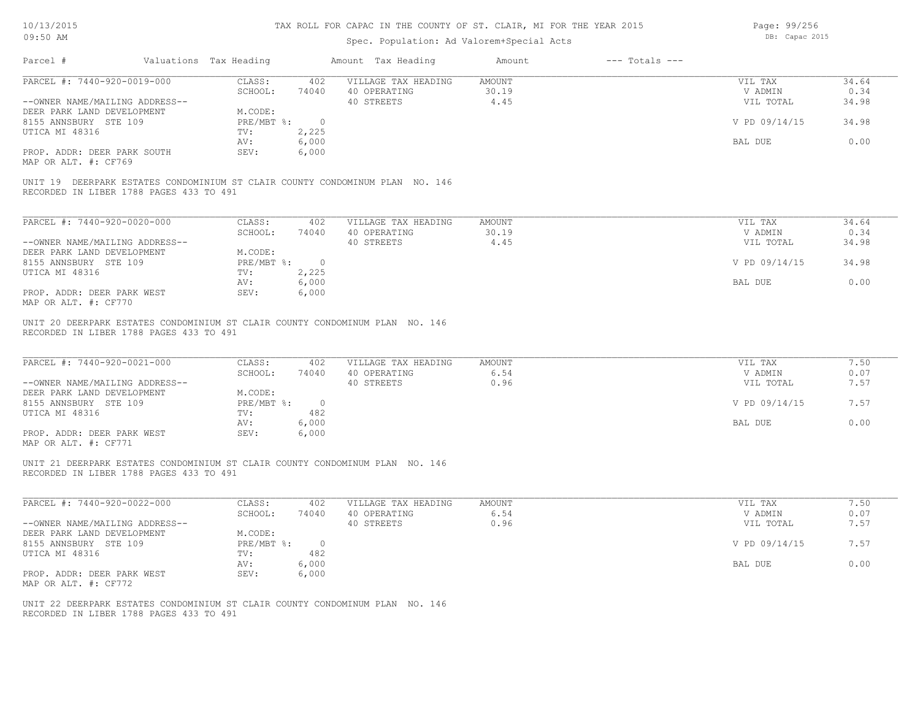# Spec. Population: Ad Valorem+Special Acts

Page: 99/256 DB: Capac 2015

| Parcel #                                                                                                                                                             | Valuations Tax Heading                                           |                                                         | Amount Tax Heading                                                           | Amount                        | $---$ Totals $---$ |                                                             |                                      |
|----------------------------------------------------------------------------------------------------------------------------------------------------------------------|------------------------------------------------------------------|---------------------------------------------------------|------------------------------------------------------------------------------|-------------------------------|--------------------|-------------------------------------------------------------|--------------------------------------|
| PARCEL #: 7440-920-0019-000                                                                                                                                          | CLASS:<br>SCHOOL:                                                | 402<br>74040                                            | VILLAGE TAX HEADING<br>40 OPERATING                                          | <b>AMOUNT</b><br>30.19        |                    | VIL TAX<br>V ADMIN                                          | 34.64<br>0.34                        |
| --OWNER NAME/MAILING ADDRESS--<br>DEER PARK LAND DEVELOPMENT                                                                                                         | M.CODE:                                                          |                                                         | 40 STREETS                                                                   | 4.45                          |                    | VIL TOTAL                                                   | 34.98                                |
| 8155 ANNSBURY STE 109                                                                                                                                                | PRE/MBT %:                                                       | $\overline{\phantom{0}}$                                |                                                                              |                               |                    | V PD 09/14/15                                               | 34.98                                |
| UTICA MI 48316                                                                                                                                                       | TV:<br>AV:                                                       | 2,225<br>6,000                                          |                                                                              |                               |                    | BAL DUE                                                     | 0.00                                 |
| PROP. ADDR: DEER PARK SOUTH<br>MAP OR ALT. #: CF769                                                                                                                  | SEV:                                                             | 6,000                                                   |                                                                              |                               |                    |                                                             |                                      |
| RECORDED IN LIBER 1788 PAGES 433 TO 491                                                                                                                              |                                                                  |                                                         | UNIT 19 DEERPARK ESTATES CONDOMINIUM ST CLAIR COUNTY CONDOMINUM PLAN NO. 146 |                               |                    |                                                             |                                      |
| PARCEL #: 7440-920-0020-000                                                                                                                                          | CLASS:                                                           | 402                                                     | VILLAGE TAX HEADING                                                          | <b>AMOUNT</b>                 |                    | VIL TAX                                                     | 34.64                                |
|                                                                                                                                                                      | SCHOOL:                                                          | 74040                                                   | 40 OPERATING                                                                 | 30.19                         |                    | V ADMIN                                                     | 0.34                                 |
| --OWNER NAME/MAILING ADDRESS--<br>DEER PARK LAND DEVELOPMENT                                                                                                         | M.CODE:                                                          |                                                         | 40 STREETS                                                                   | 4.45                          |                    | VIL TOTAL                                                   | 34.98                                |
| 8155 ANNSBURY STE 109                                                                                                                                                | PRE/MBT %:                                                       | $\overline{0}$                                          |                                                                              |                               |                    | V PD 09/14/15                                               | 34.98                                |
| UTICA MI 48316                                                                                                                                                       | TV:                                                              | 2,225                                                   |                                                                              |                               |                    |                                                             |                                      |
|                                                                                                                                                                      | AV:                                                              | 6,000                                                   |                                                                              |                               |                    | BAL DUE                                                     | 0.00                                 |
| PROP. ADDR: DEER PARK WEST<br>MAP OR ALT. #: CF770                                                                                                                   | SEV:                                                             | 6,000                                                   |                                                                              |                               |                    |                                                             |                                      |
| PARCEL #: 7440-920-0021-000<br>--OWNER NAME/MAILING ADDRESS--<br>DEER PARK LAND DEVELOPMENT<br>8155 ANNSBURY STE 109<br>UTICA MI 48316<br>PROP. ADDR: DEER PARK WEST | CLASS:<br>SCHOOL:<br>M.CODE:<br>PRE/MBT %:<br>TV:<br>AV:<br>SEV: | 402<br>74040<br>$\overline{0}$<br>482<br>6,000<br>6,000 | VILLAGE TAX HEADING<br>40 OPERATING<br>40 STREETS                            | <b>AMOUNT</b><br>6.54<br>0.96 |                    | VIL TAX<br>V ADMIN<br>VIL TOTAL<br>V PD 09/14/15<br>BAL DUE | 7.50<br>0.07<br>7.57<br>7.57<br>0.00 |
| MAP OR ALT. #: CF771<br>RECORDED IN LIBER 1788 PAGES 433 TO 491                                                                                                      |                                                                  |                                                         | UNIT 21 DEERPARK ESTATES CONDOMINIUM ST CLAIR COUNTY CONDOMINUM PLAN NO. 146 |                               |                    |                                                             |                                      |
| PARCEL #: 7440-920-0022-000                                                                                                                                          | CLASS:<br>SCHOOL:                                                | 402<br>74040                                            | VILLAGE TAX HEADING<br>40 OPERATING                                          | <b>AMOUNT</b><br>6.54         |                    | VIL TAX<br>V ADMIN                                          | 7.50<br>0.07                         |
| --OWNER NAME/MAILING ADDRESS--                                                                                                                                       |                                                                  |                                                         | 40 STREETS                                                                   | 0.96                          |                    | VIL TOTAL                                                   | 7.57                                 |
| DEER PARK LAND DEVELOPMENT                                                                                                                                           | M.CODE:                                                          |                                                         |                                                                              |                               |                    |                                                             |                                      |
| 8155 ANNSBURY STE 109<br>UTICA MI 48316                                                                                                                              | $PRE/MBT$ $\div$<br>TV:                                          | $\overline{0}$<br>482                                   |                                                                              |                               |                    | V PD 09/14/15                                               | 7.57                                 |
|                                                                                                                                                                      | AV:                                                              | 6,000                                                   |                                                                              |                               |                    | BAL DUE                                                     | 0.00                                 |
| PROP. ADDR: DEER PARK WEST<br>MAP OR ALT. #: CF772                                                                                                                   | SEV:                                                             | 6,000                                                   |                                                                              |                               |                    |                                                             |                                      |
| RECORDED IN LIBER 1788 PAGES 433 TO 491                                                                                                                              |                                                                  |                                                         | UNIT 22 DEERPARK ESTATES CONDOMINIUM ST CLAIR COUNTY CONDOMINUM PLAN NO. 146 |                               |                    |                                                             |                                      |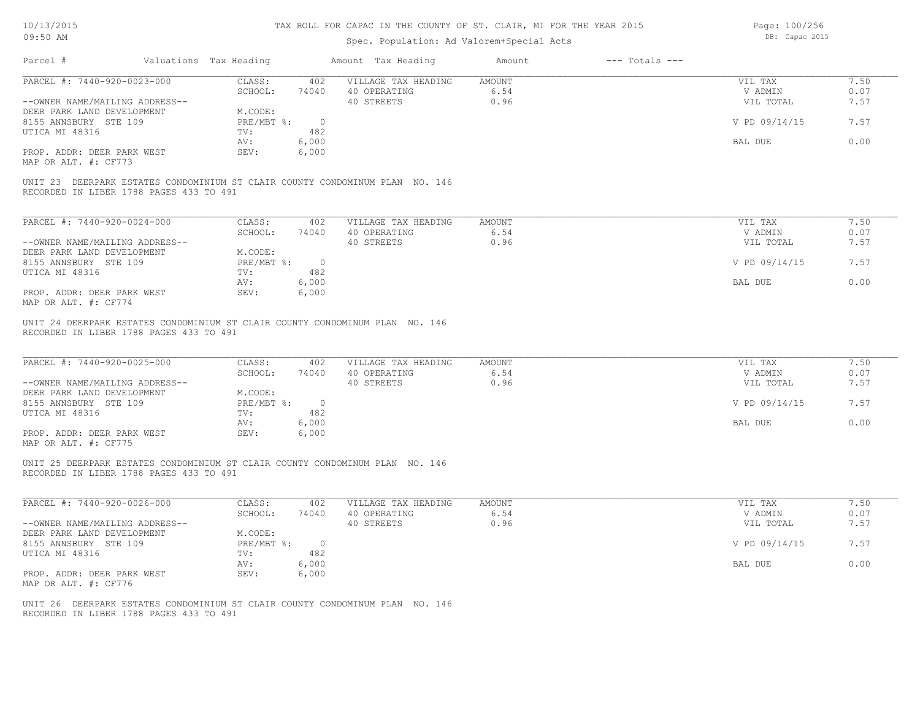# Spec. Population: Ad Valorem+Special Acts

Page: 100/256 DB: Capac 2015

| Parcel #                                                                                                                                                             | Valuations Tax Heading                                           |                                                         | Amount Tax Heading                                                           | Amount                        | $---$ Totals $---$ |                                                             |                                      |
|----------------------------------------------------------------------------------------------------------------------------------------------------------------------|------------------------------------------------------------------|---------------------------------------------------------|------------------------------------------------------------------------------|-------------------------------|--------------------|-------------------------------------------------------------|--------------------------------------|
| PARCEL #: 7440-920-0023-000<br>--OWNER NAME/MAILING ADDRESS--                                                                                                        | CLASS:<br>SCHOOL:                                                | 402<br>74040                                            | VILLAGE TAX HEADING<br>40 OPERATING<br>40 STREETS                            | <b>AMOUNT</b><br>6.54<br>0.96 |                    | VIL TAX<br>V ADMIN<br>VIL TOTAL                             | 7.50<br>0.07<br>7.57                 |
| DEER PARK LAND DEVELOPMENT<br>8155 ANNSBURY STE 109<br>UTICA MI 48316                                                                                                | M.CODE:<br>$PRE/MBT$ $\div$<br>TV:                               | $\overline{0}$<br>482                                   |                                                                              |                               |                    | V PD 09/14/15                                               | 7.57                                 |
|                                                                                                                                                                      | AV:                                                              | 6,000                                                   |                                                                              |                               |                    | BAL DUE                                                     | 0.00                                 |
| PROP. ADDR: DEER PARK WEST<br>MAP OR ALT. #: CF773                                                                                                                   | SEV:                                                             | 6,000                                                   |                                                                              |                               |                    |                                                             |                                      |
| RECORDED IN LIBER 1788 PAGES 433 TO 491                                                                                                                              |                                                                  |                                                         | UNIT 23 DEERPARK ESTATES CONDOMINIUM ST CLAIR COUNTY CONDOMINUM PLAN NO. 146 |                               |                    |                                                             |                                      |
| PARCEL #: 7440-920-0024-000                                                                                                                                          | CLASS:                                                           | 402                                                     | VILLAGE TAX HEADING                                                          | AMOUNT                        |                    | VIL TAX                                                     | 7.50                                 |
|                                                                                                                                                                      | SCHOOL:                                                          | 74040                                                   | 40 OPERATING                                                                 | 6.54                          |                    | V ADMIN                                                     | 0.07                                 |
| --OWNER NAME/MAILING ADDRESS--<br>DEER PARK LAND DEVELOPMENT                                                                                                         | M.CODE:                                                          |                                                         | 40 STREETS                                                                   | 0.96                          |                    | VIL TOTAL                                                   | 7.57                                 |
| 8155 ANNSBURY STE 109                                                                                                                                                | PRE/MBT %:                                                       | $\overline{0}$                                          |                                                                              |                               |                    | V PD 09/14/15                                               | 7.57                                 |
| UTICA MI 48316                                                                                                                                                       | TV:                                                              | 482                                                     |                                                                              |                               |                    |                                                             |                                      |
|                                                                                                                                                                      | AV:                                                              | 6,000                                                   |                                                                              |                               |                    | BAL DUE                                                     | 0.00                                 |
| PROP. ADDR: DEER PARK WEST<br>MAP OR ALT. #: CF774                                                                                                                   | SEV:                                                             | 6,000                                                   |                                                                              |                               |                    |                                                             |                                      |
| PARCEL #: 7440-920-0025-000<br>--OWNER NAME/MAILING ADDRESS--<br>DEER PARK LAND DEVELOPMENT<br>8155 ANNSBURY STE 109<br>UTICA MI 48316<br>PROP. ADDR: DEER PARK WEST | CLASS:<br>SCHOOL:<br>M.CODE:<br>PRE/MBT %:<br>TV:<br>AV:<br>SEV: | 402<br>74040<br>$\overline{0}$<br>482<br>6,000<br>6,000 | VILLAGE TAX HEADING<br>40 OPERATING<br>40 STREETS                            | AMOUNT<br>6.54<br>0.96        |                    | VIL TAX<br>V ADMIN<br>VIL TOTAL<br>V PD 09/14/15<br>BAL DUE | 7.50<br>0.07<br>7.57<br>7.57<br>0.00 |
| MAP OR ALT. #: CF775<br>UNIT 25 DEERPARK ESTATES CONDOMINIUM ST CLAIR COUNTY CONDOMINUM PLAN NO. 146<br>RECORDED IN LIBER 1788 PAGES 433 TO 491                      |                                                                  |                                                         |                                                                              |                               |                    |                                                             |                                      |
| PARCEL #: 7440-920-0026-000                                                                                                                                          | CLASS:                                                           | 402                                                     | VILLAGE TAX HEADING                                                          | <b>AMOUNT</b>                 |                    | VIL TAX                                                     | 7.50                                 |
|                                                                                                                                                                      | SCHOOL:                                                          | 74040                                                   | 40 OPERATING<br>40 STREETS                                                   | 6.54<br>0.96                  |                    | V ADMIN                                                     | 0.07<br>7.57                         |
| --OWNER NAME/MAILING ADDRESS--<br>DEER PARK LAND DEVELOPMENT                                                                                                         | M.CODE:                                                          |                                                         |                                                                              |                               |                    | VIL TOTAL                                                   |                                      |
| 8155 ANNSBURY STE 109<br>UTICA MI 48316                                                                                                                              | PRE/MBT %:<br>TV:                                                | $\overline{0}$<br>482                                   |                                                                              |                               |                    | V PD 09/14/15                                               | 7.57                                 |
|                                                                                                                                                                      | AV:                                                              | 6,000                                                   |                                                                              |                               |                    | <b>BAL DUE</b>                                              | 0.00                                 |
| PROP. ADDR: DEER PARK WEST<br>MAP OR ALT. #: CF776                                                                                                                   | SEV:                                                             | 6,000                                                   |                                                                              |                               |                    |                                                             |                                      |
| RECORDED IN LIBER 1788 PAGES 433 TO 491                                                                                                                              |                                                                  |                                                         | UNIT 26 DEERPARK ESTATES CONDOMINIUM ST CLAIR COUNTY CONDOMINUM PLAN NO. 146 |                               |                    |                                                             |                                      |
|                                                                                                                                                                      |                                                                  |                                                         |                                                                              |                               |                    |                                                             |                                      |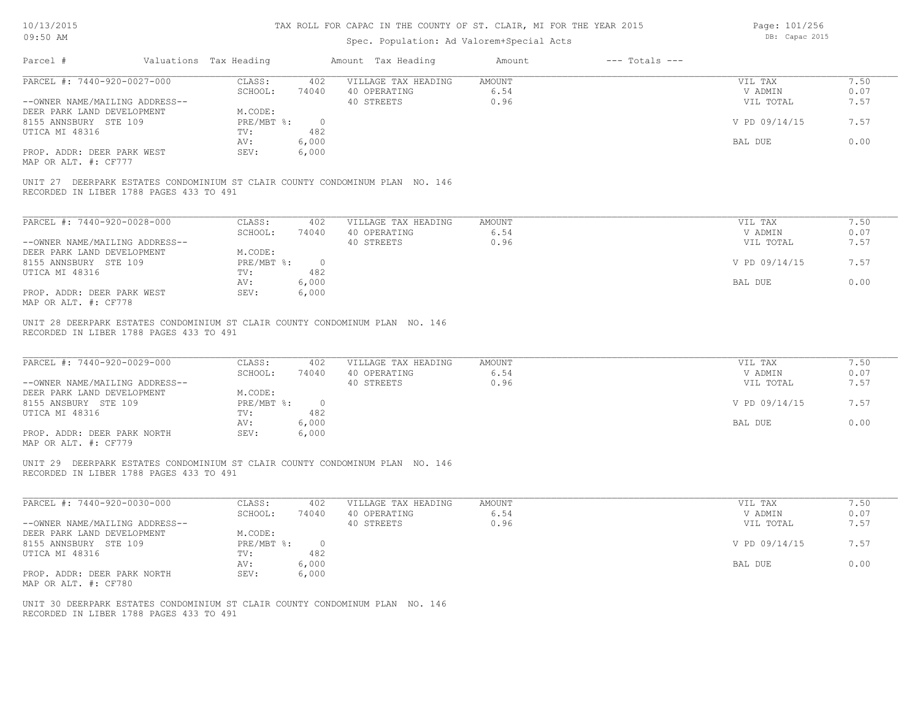# Spec. Population: Ad Valorem+Special Acts

Page: 101/256 DB: Capac 2015

| Parcel #                                                      | Valuations Tax Heading  |                       | Amount Tax Heading                                                           | Amount                        | $---$ Totals $---$ |                                 |                      |
|---------------------------------------------------------------|-------------------------|-----------------------|------------------------------------------------------------------------------|-------------------------------|--------------------|---------------------------------|----------------------|
| PARCEL #: 7440-920-0027-000                                   | CLASS:<br>SCHOOL:       | 402<br>74040          | VILLAGE TAX HEADING<br>40 OPERATING                                          | AMOUNT<br>6.54                |                    | VIL TAX<br>V ADMIN              | 7.50<br>0.07         |
| --OWNER NAME/MAILING ADDRESS--<br>DEER PARK LAND DEVELOPMENT  | M.CODE:                 |                       | 40 STREETS                                                                   | 0.96                          |                    | VIL TOTAL                       | 7.57                 |
| 8155 ANNSBURY STE 109<br>UTICA MI 48316                       | PRE/MBT %:<br>TV:       | $\overline{0}$<br>482 |                                                                              |                               |                    | V PD 09/14/15                   | 7.57                 |
|                                                               | AV:                     | 6,000                 |                                                                              |                               |                    | BAL DUE                         | 0.00                 |
| PROP. ADDR: DEER PARK WEST<br>MAP OR ALT. #: CF777            | SEV:                    | 6,000                 |                                                                              |                               |                    |                                 |                      |
| RECORDED IN LIBER 1788 PAGES 433 TO 491                       |                         |                       | UNIT 27 DEERPARK ESTATES CONDOMINIUM ST CLAIR COUNTY CONDOMINUM PLAN NO. 146 |                               |                    |                                 |                      |
| PARCEL #: 7440-920-0028-000                                   | CLASS:                  | 402                   | VILLAGE TAX HEADING                                                          | <b>AMOUNT</b>                 |                    | VIL TAX                         | 7.50                 |
| --OWNER NAME/MAILING ADDRESS--                                | SCHOOL:                 | 74040                 | 40 OPERATING<br>40 STREETS                                                   | 6.54<br>0.96                  |                    | V ADMIN<br>VIL TOTAL            | 0.07<br>7.57         |
| DEER PARK LAND DEVELOPMENT                                    | M.CODE:                 |                       |                                                                              |                               |                    |                                 |                      |
| 8155 ANNSBURY STE 109                                         | $PRE/MBT$ %:            | $\sim$ 0              |                                                                              |                               |                    | V PD 09/14/15                   | 7.57                 |
| UTICA MI 48316                                                | TV:<br>AV:              | 482<br>6,000          |                                                                              |                               |                    | BAL DUE                         | 0.00                 |
| PROP. ADDR: DEER PARK WEST<br>MAP OR ALT. #: CF778            | SEV:                    | 6,000                 |                                                                              |                               |                    |                                 |                      |
| PARCEL #: 7440-920-0029-000<br>--OWNER NAME/MAILING ADDRESS-- | CLASS:<br>SCHOOL:       | 402<br>74040          | VILLAGE TAX HEADING<br>40 OPERATING<br>40 STREETS                            | <b>AMOUNT</b><br>6.54<br>0.96 |                    | VIL TAX<br>V ADMIN<br>VIL TOTAL | 7.50<br>0.07<br>7.57 |
| DEER PARK LAND DEVELOPMENT<br>8155 ANSBURY STE 109            | M.CODE:<br>PRE/MBT %: 0 |                       |                                                                              |                               |                    | V PD 09/14/15                   | 7.57                 |
| UTICA MI 48316                                                | TV:<br>AV:              | 482<br>6,000          |                                                                              |                               |                    | BAL DUE                         | 0.00                 |
| PROP. ADDR: DEER PARK NORTH<br>MAP OR ALT. #: CF779           | SEV:                    | 6,000                 |                                                                              |                               |                    |                                 |                      |
| RECORDED IN LIBER 1788 PAGES 433 TO 491                       |                         |                       | UNIT 29 DEERPARK ESTATES CONDOMINIUM ST CLAIR COUNTY CONDOMINUM PLAN NO. 146 |                               |                    |                                 |                      |
| PARCEL #: 7440-920-0030-000                                   | CLASS:                  | 402                   | VILLAGE TAX HEADING                                                          | AMOUNT                        |                    | VIL TAX                         | 7.50                 |
| --OWNER NAME/MAILING ADDRESS--                                | SCHOOL:                 | 74040                 | 40 OPERATING<br>40 STREETS                                                   | 6.54<br>0.96                  |                    | V ADMIN<br>VIL TOTAL            | 0.07<br>7.57         |
| DEER PARK LAND DEVELOPMENT<br>8155 ANNSBURY STE 109           | M.CODE:<br>PRE/MBT %:   | $\overline{0}$        |                                                                              |                               |                    | V PD 09/14/15                   | 7.57                 |
| UTICA MI 48316                                                | TV:                     | 482                   |                                                                              |                               |                    |                                 |                      |
| PROP. ADDR: DEER PARK NORTH<br>MAP OR ALT. #: CF780           | AV:<br>SEV:             | 6,000<br>6,000        |                                                                              |                               |                    | BAL DUE                         | 0.00                 |
| RECORDED IN LIBER 1788 PAGES 433 TO 491                       |                         |                       | UNIT 30 DEERPARK ESTATES CONDOMINIUM ST CLAIR COUNTY CONDOMINUM PLAN NO. 146 |                               |                    |                                 |                      |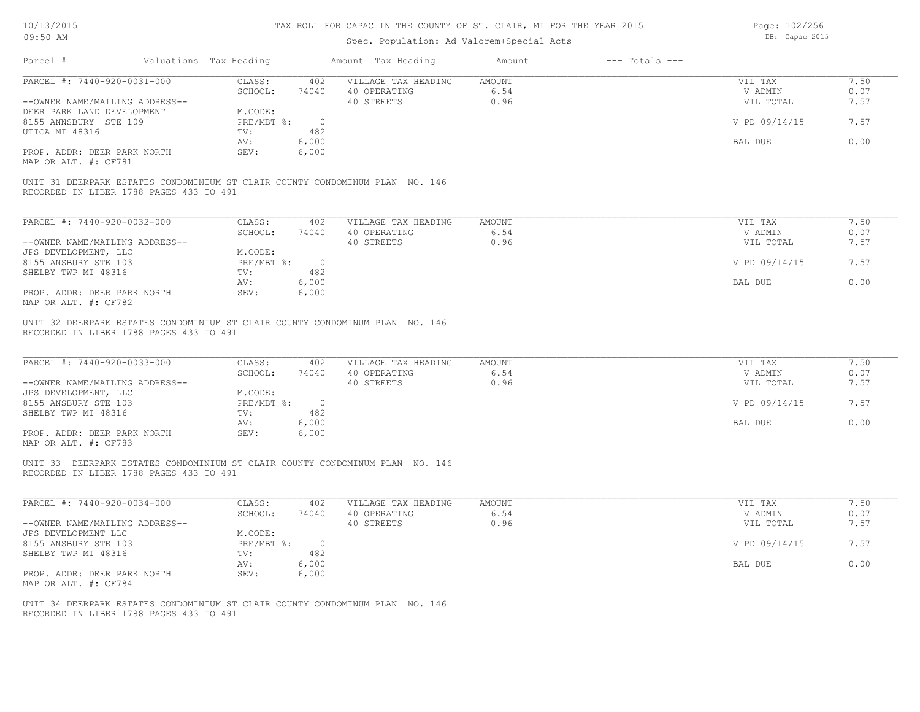# Spec. Population: Ad Valorem+Special Acts

Page: 102/256 DB: Capac 2015

| Parcel #<br>Valuations Tax Heading                                                                                      |                                   | Amount Tax Heading                                | Amount<br>$---$ Totals $---$  |                                 |                      |
|-------------------------------------------------------------------------------------------------------------------------|-----------------------------------|---------------------------------------------------|-------------------------------|---------------------------------|----------------------|
| PARCEL #: 7440-920-0031-000                                                                                             | CLASS:<br>402                     | VILLAGE TAX HEADING                               | AMOUNT                        | VIL TAX                         | 7.50                 |
|                                                                                                                         | SCHOOL:<br>74040                  | 40 OPERATING                                      | 6.54                          | V ADMIN                         | 0.07                 |
| --OWNER NAME/MAILING ADDRESS--                                                                                          |                                   | 40 STREETS                                        | 0.96                          | VIL TOTAL                       | 7.57                 |
| DEER PARK LAND DEVELOPMENT                                                                                              | M.CODE:<br>PRE/MBT %: 0           |                                                   |                               | V PD 09/14/15                   | 7.57                 |
| 8155 ANNSBURY STE 109                                                                                                   | 482                               |                                                   |                               |                                 |                      |
| UTICA MI 48316                                                                                                          | $\text{TV}$ :<br>6,000<br>AV:     |                                                   |                               | BAL DUE                         | 0.00                 |
| PROP. ADDR: DEER PARK NORTH                                                                                             | SEV:<br>6,000                     |                                                   |                               |                                 |                      |
| MAP OR ALT. #: CF781                                                                                                    |                                   |                                                   |                               |                                 |                      |
| UNIT 31 DEERPARK ESTATES CONDOMINIUM ST CLAIR COUNTY CONDOMINUM PLAN NO. 146<br>RECORDED IN LIBER 1788 PAGES 433 TO 491 |                                   |                                                   |                               |                                 |                      |
|                                                                                                                         |                                   |                                                   |                               |                                 |                      |
| PARCEL #: 7440-920-0032-000                                                                                             | CLASS: 402                        | VILLAGE TAX HEADING                               | <b>AMOUNT</b>                 | VIL TAX                         | 7.50                 |
|                                                                                                                         | SCHOOL:<br>74040                  | 40 OPERATING                                      | 6.54                          | V ADMIN                         | 0.07                 |
| --OWNER NAME/MAILING ADDRESS--                                                                                          |                                   | 40 STREETS                                        | 0.96                          | VIL TOTAL                       | 7.57                 |
| JPS DEVELOPMENT, LLC                                                                                                    | M.CODE:                           |                                                   |                               |                                 |                      |
| 8155 ANSBURY STE 103                                                                                                    | PRE/MBT %: 0                      |                                                   |                               | V PD 09/14/15                   | 7.57                 |
| SHELBY TWP MI 48316                                                                                                     | 482<br>$\text{TV}$ :              |                                                   |                               |                                 |                      |
|                                                                                                                         | 6,000<br>AV:                      |                                                   |                               | BAL DUE                         | 0.00                 |
| PROP. ADDR: DEER PARK NORTH<br>MAP OR ALT. #: CF782                                                                     | SEV:<br>6,000                     |                                                   |                               |                                 |                      |
| PARCEL #: 7440-920-0033-000<br>--OWNER NAME/MAILING ADDRESS--                                                           | CLASS:<br>402<br>SCHOOL:<br>74040 | VILLAGE TAX HEADING<br>40 OPERATING<br>40 STREETS | <b>AMOUNT</b><br>6.54<br>0.96 | VIL TAX<br>V ADMIN<br>VIL TOTAL | 7.50<br>0.07<br>7.57 |
| JPS DEVELOPMENT, LLC<br>8155 ANSBURY STE 103                                                                            | M.CODE:<br>PRE/MBT %: 0           |                                                   |                               | V PD 09/14/15                   | 7.57                 |
| SHELBY TWP MI 48316                                                                                                     | TV:<br>482                        |                                                   |                               |                                 |                      |
|                                                                                                                         | 6,000<br>AV:                      |                                                   |                               | BAL DUE                         | 0.00                 |
| PROP. ADDR: DEER PARK NORTH                                                                                             | SEV:<br>6,000                     |                                                   |                               |                                 |                      |
| MAP OR ALT. #: CF783                                                                                                    |                                   |                                                   |                               |                                 |                      |
| UNIT 33 DEERPARK ESTATES CONDOMINIUM ST CLAIR COUNTY CONDOMINUM PLAN NO. 146<br>RECORDED IN LIBER 1788 PAGES 433 TO 491 |                                   |                                                   |                               |                                 |                      |
| PARCEL #: 7440-920-0034-000                                                                                             | CLASS:<br>402                     | VILLAGE TAX HEADING                               | AMOUNT                        | VIL TAX                         | 7.50                 |
|                                                                                                                         | SCHOOL:<br>74040                  | 40 OPERATING                                      | 6.54                          | V ADMIN                         | 0.07                 |
| --OWNER NAME/MAILING ADDRESS--                                                                                          |                                   | 40 STREETS                                        | 0.96                          | VIL TOTAL                       | 7.57                 |
| JPS DEVELOPMENT LLC                                                                                                     | M.CODE:                           |                                                   |                               |                                 |                      |
| 8155 ANSBURY STE 103                                                                                                    | PRE/MBT %: 0                      |                                                   |                               | V PD 09/14/15                   | 7.57                 |
| SHELBY TWP MI 48316                                                                                                     | 482<br>$\text{TV}$ :              |                                                   |                               |                                 |                      |
|                                                                                                                         | 6,000<br>AV:                      |                                                   |                               | BAL DUE                         | 0.00                 |
| PROP. ADDR: DEER PARK NORTH                                                                                             | 6,000<br>SEV:                     |                                                   |                               |                                 |                      |
|                                                                                                                         |                                   |                                                   |                               |                                 |                      |
| MAP OR ALT. #: CF784                                                                                                    |                                   |                                                   |                               |                                 |                      |
|                                                                                                                         |                                   |                                                   |                               |                                 |                      |
| UNIT 34 DEERPARK ESTATES CONDOMINIUM ST CLAIR COUNTY CONDOMINUM PLAN NO. 146                                            |                                   |                                                   |                               |                                 |                      |
| RECORDED IN LIBER 1788 PAGES 433 TO 491                                                                                 |                                   |                                                   |                               |                                 |                      |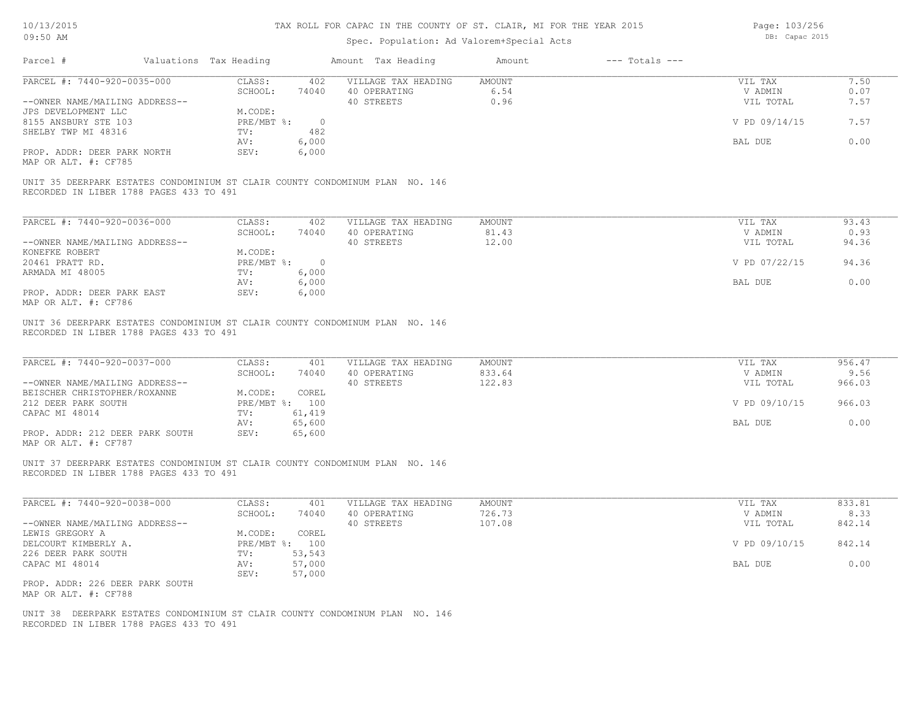# Spec. Population: Ad Valorem+Special Acts

Page: 103/256 DB: Capac 2015

| Parcel #                                                                                                                                               | Valuations Tax Heading |                             |                  | Amount Tax Heading                                | Amount                        | $---$ Totals $---$ |                                 |                      |
|--------------------------------------------------------------------------------------------------------------------------------------------------------|------------------------|-----------------------------|------------------|---------------------------------------------------|-------------------------------|--------------------|---------------------------------|----------------------|
| PARCEL #: 7440-920-0035-000<br>--OWNER NAME/MAILING ADDRESS--                                                                                          |                        | CLASS:<br>SCHOOL:           | 402<br>74040     | VILLAGE TAX HEADING<br>40 OPERATING<br>40 STREETS | <b>AMOUNT</b><br>6.54<br>0.96 |                    | VIL TAX<br>V ADMIN<br>VIL TOTAL | 7.50<br>0.07<br>7.57 |
| JPS DEVELOPMENT LLC<br>8155 ANSBURY STE 103                                                                                                            |                        | M.CODE:<br>$PRE/MBT$ $\div$ | $\circ$          |                                                   |                               |                    | V PD 09/14/15                   | 7.57                 |
| SHELBY TWP MI 48316                                                                                                                                    |                        | TV:<br>AV:                  | 482<br>6,000     |                                                   |                               |                    | BAL DUE                         | 0.00                 |
| PROP. ADDR: DEER PARK NORTH<br>MAP OR ALT. #: CF785                                                                                                    |                        | SEV:                        | 6,000            |                                                   |                               |                    |                                 |                      |
| UNIT 35 DEERPARK ESTATES CONDOMINIUM ST CLAIR COUNTY CONDOMINUM PLAN NO. 146<br>RECORDED IN LIBER 1788 PAGES 433 TO 491                                |                        |                             |                  |                                                   |                               |                    |                                 |                      |
| PARCEL #: 7440-920-0036-000                                                                                                                            |                        | CLASS:                      | 402              | VILLAGE TAX HEADING                               | <b>AMOUNT</b>                 |                    | VIL TAX                         | 93.43                |
|                                                                                                                                                        |                        | SCHOOL:                     | 74040            | 40 OPERATING                                      | 81.43                         |                    | V ADMIN                         | 0.93                 |
| --OWNER NAME/MAILING ADDRESS--<br>KONEFKE ROBERT                                                                                                       |                        | M.CODE:                     |                  | 40 STREETS                                        | 12.00                         |                    | VIL TOTAL                       | 94.36                |
| 20461 PRATT RD.                                                                                                                                        |                        | PRE/MBT %: 0                |                  |                                                   |                               |                    | V PD 07/22/15                   | 94.36                |
| ARMADA MI 48005                                                                                                                                        |                        | TV:                         | 6,000            |                                                   |                               |                    |                                 | 0.00                 |
| PROP. ADDR: DEER PARK EAST<br>MAP OR ALT. #: CF786                                                                                                     |                        | AV:<br>SEV:                 | 6,000<br>6,000   |                                                   |                               |                    | <b>BAL DUE</b>                  |                      |
| UNIT 36 DEERPARK ESTATES CONDOMINIUM ST CLAIR COUNTY CONDOMINUM PLAN NO. 146<br>RECORDED IN LIBER 1788 PAGES 433 TO 491<br>PARCEL #: 7440-920-0037-000 |                        | CLASS:                      | 401              | VILLAGE TAX HEADING                               | AMOUNT                        |                    | VIL TAX                         | 956.47               |
| --OWNER NAME/MAILING ADDRESS--                                                                                                                         |                        | SCHOOL:                     | 74040            | 40 OPERATING<br>40 STREETS                        | 833.64<br>122.83              |                    | V ADMIN<br>VIL TOTAL            | 9.56<br>966.03       |
| BEISCHER CHRISTOPHER/ROXANNE<br>212 DEER PARK SOUTH                                                                                                    |                        | M.CODE:<br>PRE/MBT %: 100   | COREL            |                                                   |                               |                    | V PD 09/10/15                   | 966.03               |
| CAPAC MI 48014                                                                                                                                         |                        | TV:                         | 61,419           |                                                   |                               |                    |                                 |                      |
| PROP. ADDR: 212 DEER PARK SOUTH<br>MAP OR ALT. #: CF787                                                                                                |                        | AV:<br>SEV:                 | 65,600<br>65,600 |                                                   |                               |                    | BAL DUE                         | 0.00                 |
| UNIT 37 DEERPARK ESTATES CONDOMINIUM ST CLAIR COUNTY CONDOMINUM PLAN NO. 146<br>RECORDED IN LIBER 1788 PAGES 433 TO 491                                |                        |                             |                  |                                                   |                               |                    |                                 |                      |
| PARCEL #: 7440-920-0038-000                                                                                                                            |                        | CLASS:                      | 401              | VILLAGE TAX HEADING                               | <b>AMOUNT</b>                 |                    | VIL TAX                         | 833.81               |
| --OWNER NAME/MAILING ADDRESS--                                                                                                                         |                        | SCHOOL:                     | 74040            | 40 OPERATING<br>40 STREETS                        | 726.73<br>107.08              |                    | V ADMIN<br>VIL TOTAL            | 8.33<br>842.14       |
| LEWIS GREGORY A                                                                                                                                        |                        | M.CODE:                     | COREL            |                                                   |                               |                    |                                 |                      |
| DELCOURT KIMBERLY A.                                                                                                                                   |                        | PRE/MBT %: 100              |                  |                                                   |                               |                    | V PD 09/10/15                   | 842.14               |
| 226 DEER PARK SOUTH<br>CAPAC MI 48014                                                                                                                  |                        | TV:<br>AV:                  | 53,543<br>57,000 |                                                   |                               |                    | BAL DUE                         | 0.00                 |
| PROP. ADDR: 226 DEER PARK SOUTH<br>MAP OR ALT. #: CF788                                                                                                |                        | SEV:                        | 57,000           |                                                   |                               |                    |                                 |                      |
| UNIT 38 DEERPARK ESTATES CONDOMINIUM ST CLAIR COUNTY CONDOMINUM PLAN NO. 146<br>RECORDED IN LIBER 1788 PAGES 433 TO 491                                |                        |                             |                  |                                                   |                               |                    |                                 |                      |
|                                                                                                                                                        |                        |                             |                  |                                                   |                               |                    |                                 |                      |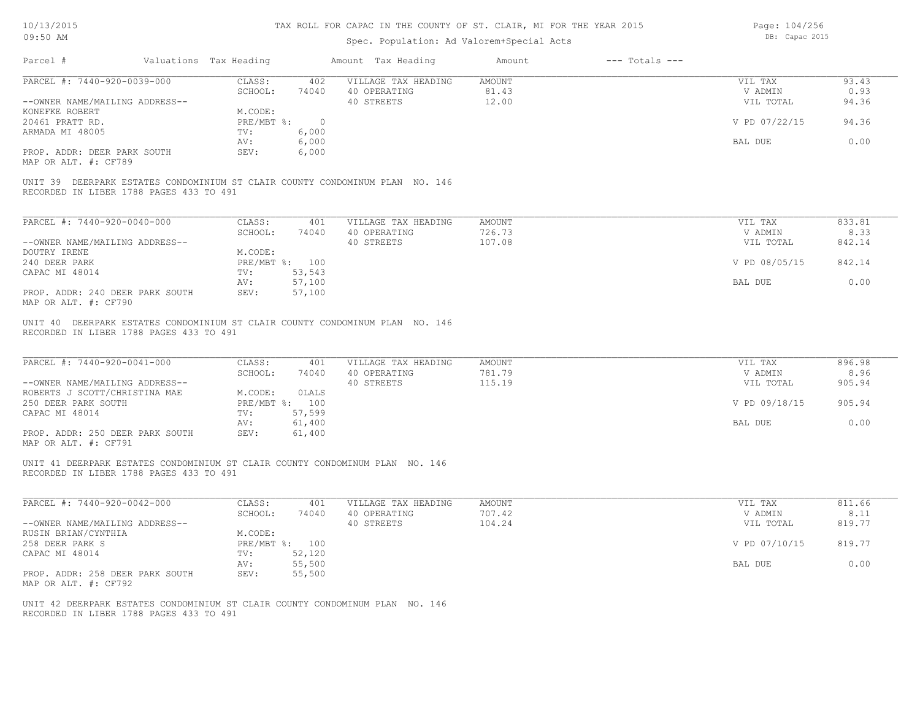# Spec. Population: Ad Valorem+Special Acts

Page: 104/256 DB: Capac 2015

| Parcel #                                                      | Valuations Tax Heading |                | Amount Tax Heading                                                           | Amount                     | $---$ Totals $---$ |                                 |                          |
|---------------------------------------------------------------|------------------------|----------------|------------------------------------------------------------------------------|----------------------------|--------------------|---------------------------------|--------------------------|
| PARCEL #: 7440-920-0039-000                                   | CLASS:                 | 402            | VILLAGE TAX HEADING                                                          | <b>AMOUNT</b>              |                    | VIL TAX                         | 93.43                    |
|                                                               | SCHOOL:                | 74040          | 40 OPERATING                                                                 | 81.43                      |                    | V ADMIN                         | 0.93                     |
| --OWNER NAME/MAILING ADDRESS--                                |                        |                | 40 STREETS                                                                   | 12.00                      |                    | VIL TOTAL                       | 94.36                    |
| KONEFKE ROBERT                                                | M.CODE:                |                |                                                                              |                            |                    |                                 |                          |
| 20461 PRATT RD.                                               | $PRE/MBT$ $\div$       | $\overline{0}$ |                                                                              |                            |                    | V PD 07/22/15                   | 94.36                    |
| ARMADA MI 48005                                               | TV:                    | 6,000          |                                                                              |                            |                    |                                 |                          |
|                                                               | AV:                    | 6,000          |                                                                              |                            |                    | BAL DUE                         | 0.00                     |
| PROP. ADDR: DEER PARK SOUTH                                   | SEV:                   | 6,000          |                                                                              |                            |                    |                                 |                          |
| MAP OR ALT. #: CF789                                          |                        |                |                                                                              |                            |                    |                                 |                          |
| RECORDED IN LIBER 1788 PAGES 433 TO 491                       |                        |                | UNIT 39 DEERPARK ESTATES CONDOMINIUM ST CLAIR COUNTY CONDOMINUM PLAN NO. 146 |                            |                    |                                 |                          |
| PARCEL #: 7440-920-0040-000                                   | CLASS:                 | 401            | VILLAGE TAX HEADING                                                          | <b>AMOUNT</b>              |                    | VIL TAX                         | 833.81                   |
|                                                               | SCHOOL:                | 74040          | 40 OPERATING                                                                 | 726.73                     |                    | V ADMIN                         | 8.33                     |
|                                                               |                        |                |                                                                              |                            |                    |                                 |                          |
| --OWNER NAME/MAILING ADDRESS--                                |                        |                | 40 STREETS                                                                   | 107.08                     |                    | VIL TOTAL                       | 842.14                   |
| DOUTRY IRENE                                                  | M.CODE:                |                |                                                                              |                            |                    |                                 |                          |
| 240 DEER PARK                                                 | PRE/MBT %: 100         |                |                                                                              |                            |                    | V PD 08/05/15                   | 842.14                   |
| CAPAC MI 48014                                                | TV:                    | 53,543         |                                                                              |                            |                    |                                 |                          |
|                                                               | AV:                    | 57,100         |                                                                              |                            |                    | BAL DUE                         | 0.00                     |
| PROP. ADDR: 240 DEER PARK SOUTH<br>MAP OR ALT. #: CF790       | SEV:                   | 57,100         |                                                                              |                            |                    |                                 |                          |
| PARCEL #: 7440-920-0041-000<br>--OWNER NAME/MAILING ADDRESS-- | CLASS:<br>SCHOOL:      | 401<br>74040   | VILLAGE TAX HEADING<br>40 OPERATING<br>40 STREETS                            | AMOUNT<br>781.79<br>115.19 |                    | VIL TAX<br>V ADMIN<br>VIL TOTAL | 896.98<br>8.96<br>905.94 |
| ROBERTS J SCOTT/CHRISTINA MAE                                 | M.CODE:                | OLALS          |                                                                              |                            |                    |                                 |                          |
| 250 DEER PARK SOUTH                                           | PRE/MBT %: 100         |                |                                                                              |                            |                    | V PD 09/18/15                   | 905.94                   |
| CAPAC MI 48014                                                | TV:                    | 57,599         |                                                                              |                            |                    |                                 |                          |
|                                                               | AV:                    | 61,400         |                                                                              |                            |                    | BAL DUE                         | 0.00                     |
| PROP. ADDR: 250 DEER PARK SOUTH<br>MAP OR ALT. #: CF791       | SEV:                   | 61,400         |                                                                              |                            |                    |                                 |                          |
| RECORDED IN LIBER 1788 PAGES 433 TO 491                       |                        |                | UNIT 41 DEERPARK ESTATES CONDOMINIUM ST CLAIR COUNTY CONDOMINUM PLAN NO. 146 |                            |                    |                                 |                          |
| PARCEL #: 7440-920-0042-000                                   | CLASS:                 | 401            | VILLAGE TAX HEADING                                                          | <b>AMOUNT</b>              |                    | VIL TAX                         | 811.66                   |
|                                                               | SCHOOL:                | 74040          | 40 OPERATING                                                                 | 707.42                     |                    | V ADMIN                         | 8.11                     |
| --OWNER NAME/MAILING ADDRESS--                                |                        |                | 40 STREETS                                                                   | 104.24                     |                    | VIL TOTAL                       | 819.77                   |
| RUSIN BRIAN/CYNTHIA                                           | M.CODE:                |                |                                                                              |                            |                    |                                 |                          |
| 258 DEER PARK S                                               | PRE/MBT %: 100         |                |                                                                              |                            |                    | V PD 07/10/15                   | 819.77                   |
| CAPAC MI 48014                                                | TV:                    | 52,120         |                                                                              |                            |                    |                                 |                          |
|                                                               |                        |                |                                                                              |                            |                    |                                 |                          |
|                                                               | AV:                    | 55,500         |                                                                              |                            |                    | BAL DUE                         | 0.00                     |
| PROP. ADDR: 258 DEER PARK SOUTH<br>MAP OR ALT. #: CF792       | SEV:                   | 55,500         |                                                                              |                            |                    |                                 |                          |
| RECORDED IN LIBER 1788 PAGES 433 TO 491                       |                        |                | UNIT 42 DEERPARK ESTATES CONDOMINIUM ST CLAIR COUNTY CONDOMINUM PLAN NO. 146 |                            |                    |                                 |                          |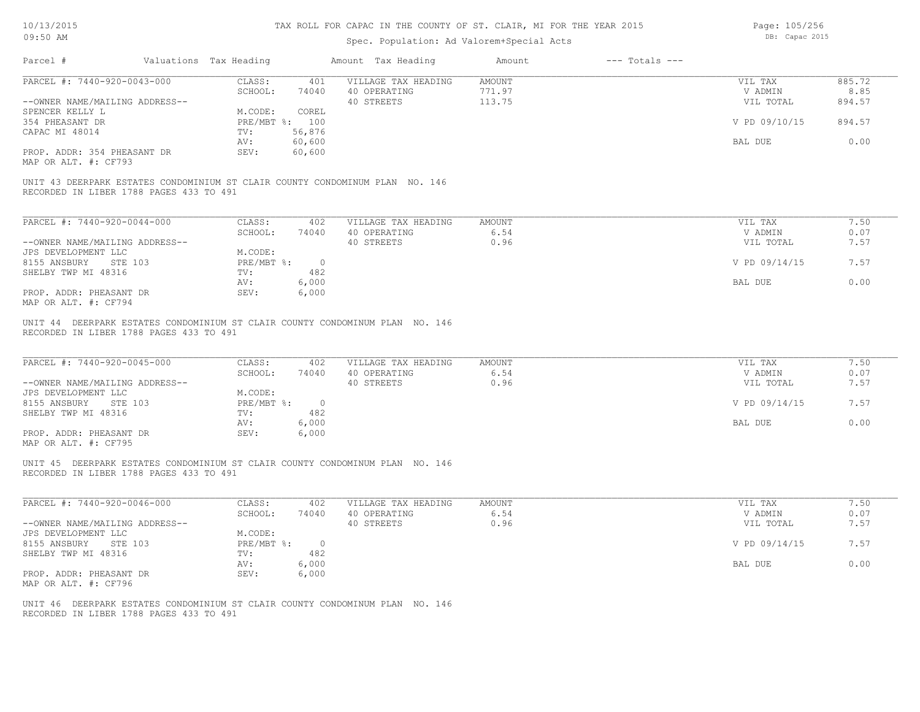## Spec. Population: Ad Valorem+Special Acts

Page: 105/256 DB: Capac 2015

| Parcel #                                                                                                                | Valuations Tax Heading            | Amount Tax Heading                  | Amount         | $---$ Totals $---$ |                    |              |
|-------------------------------------------------------------------------------------------------------------------------|-----------------------------------|-------------------------------------|----------------|--------------------|--------------------|--------------|
| PARCEL #: 7440-920-0043-000                                                                                             | CLASS:<br>401                     | VILLAGE TAX HEADING                 | AMOUNT         |                    | VIL TAX            | 885.72       |
|                                                                                                                         | SCHOOL:<br>74040                  | 40 OPERATING                        | 771.97         |                    | V ADMIN            | 8.85         |
| --OWNER NAME/MAILING ADDRESS--                                                                                          |                                   | 40 STREETS                          | 113.75         |                    | VIL TOTAL          | 894.57       |
| SPENCER KELLY L                                                                                                         | M.CODE:<br>COREL                  |                                     |                |                    |                    |              |
| 354 PHEASANT DR                                                                                                         | PRE/MBT %: 100                    |                                     |                |                    | V PD 09/10/15      | 894.57       |
| CAPAC MI 48014                                                                                                          | 56,876<br>$TV$ :                  |                                     |                |                    |                    |              |
|                                                                                                                         | AV:<br>60,600                     |                                     |                |                    | BAL DUE            | 0.00         |
| PROP. ADDR: 354 PHEASANT DR<br>MAP OR ALT. #: CF793                                                                     | SEV:<br>60,600                    |                                     |                |                    |                    |              |
| UNIT 43 DEERPARK ESTATES CONDOMINIUM ST CLAIR COUNTY CONDOMINUM PLAN NO. 146<br>RECORDED IN LIBER 1788 PAGES 433 TO 491 |                                   |                                     |                |                    |                    |              |
| PARCEL #: 7440-920-0044-000                                                                                             | CLASS:<br>402                     | VILLAGE TAX HEADING                 | AMOUNT         |                    | VIL TAX            | 7.50         |
|                                                                                                                         | SCHOOL:<br>74040                  | 40 OPERATING                        | 6.54           |                    | V ADMIN            | 0.07         |
| --OWNER NAME/MAILING ADDRESS--                                                                                          |                                   | 40 STREETS                          | 0.96           |                    | VIL TOTAL          | 7.57         |
| JPS DEVELOPMENT LLC                                                                                                     | M.CODE:                           |                                     |                |                    |                    |              |
| 8155 ANSBURY STE 103                                                                                                    | PRE/MBT %: 0                      |                                     |                |                    | V PD 09/14/15      | 7.57         |
| SHELBY TWP MI 48316                                                                                                     | TV:<br>482                        |                                     |                |                    |                    |              |
|                                                                                                                         | 6,000<br>AV:                      |                                     |                |                    | BAL DUE            | 0.00         |
| PROP. ADDR: PHEASANT DR                                                                                                 | SEV:<br>6,000                     |                                     |                |                    |                    |              |
| MAP OR ALT. #: CF794                                                                                                    |                                   |                                     |                |                    |                    |              |
| PARCEL #: 7440-920-0045-000                                                                                             | CLASS:<br>402<br>SCHOOL:<br>74040 | VILLAGE TAX HEADING<br>40 OPERATING | AMOUNT<br>6.54 |                    | VIL TAX<br>V ADMIN | 7.50<br>0.07 |
| --OWNER NAME/MAILING ADDRESS--                                                                                          |                                   | 40 STREETS                          | 0.96           |                    | VIL TOTAL          | 7.57         |
| JPS DEVELOPMENT LLC                                                                                                     | M.CODE:                           |                                     |                |                    |                    |              |
| 8155 ANSBURY STE 103                                                                                                    | PRE/MBT %: 0                      |                                     |                |                    | V PD 09/14/15      | 7.57         |
| SHELBY TWP MI 48316                                                                                                     | TV:<br>482                        |                                     |                |                    |                    |              |
|                                                                                                                         | 6,000<br>AV:                      |                                     |                |                    | BAL DUE            | 0.00         |
| PROP. ADDR: PHEASANT DR<br>MAP OR ALT. #: CF795                                                                         | 6,000<br>SEV:                     |                                     |                |                    |                    |              |
| UNIT 45 DEERPARK ESTATES CONDOMINIUM ST CLAIR COUNTY CONDOMINUM PLAN NO. 146<br>RECORDED IN LIBER 1788 PAGES 433 TO 491 |                                   |                                     |                |                    |                    |              |
| PARCEL #: 7440-920-0046-000                                                                                             | CLASS:<br>402                     | VILLAGE TAX HEADING                 | AMOUNT         |                    | VIL TAX            | 7.50         |
|                                                                                                                         | SCHOOL:<br>74040                  | 40 OPERATING                        | 6.54           |                    | V ADMIN            | 0.07         |
| --OWNER NAME/MAILING ADDRESS--                                                                                          |                                   | 40 STREETS                          | 0.96           |                    | VIL TOTAL          | 7.57         |
| JPS DEVELOPMENT LLC                                                                                                     | M.CODE:                           |                                     |                |                    |                    |              |
| 8155 ANSBURY STE 103                                                                                                    | PRE/MBT %: 0                      |                                     |                |                    | V PD 09/14/15      | 7.57         |
| SHELBY TWP MI 48316                                                                                                     | TV:<br>482                        |                                     |                |                    |                    |              |
|                                                                                                                         | 6,000<br>AV:                      |                                     |                |                    | BAL DUE            | 0.00         |
| PROP. ADDR: PHEASANT DR                                                                                                 | SEV:<br>6,000                     |                                     |                |                    |                    |              |
| MAP OR ALT. #: CF796                                                                                                    |                                   |                                     |                |                    |                    |              |
|                                                                                                                         |                                   |                                     |                |                    |                    |              |
| UNIT 46 DEERPARK ESTATES CONDOMINIUM ST CLAIR COUNTY CONDOMINUM PLAN NO. 146<br>RECORDED IN LIBER 1788 PAGES 433 TO 491 |                                   |                                     |                |                    |                    |              |
|                                                                                                                         |                                   |                                     |                |                    |                    |              |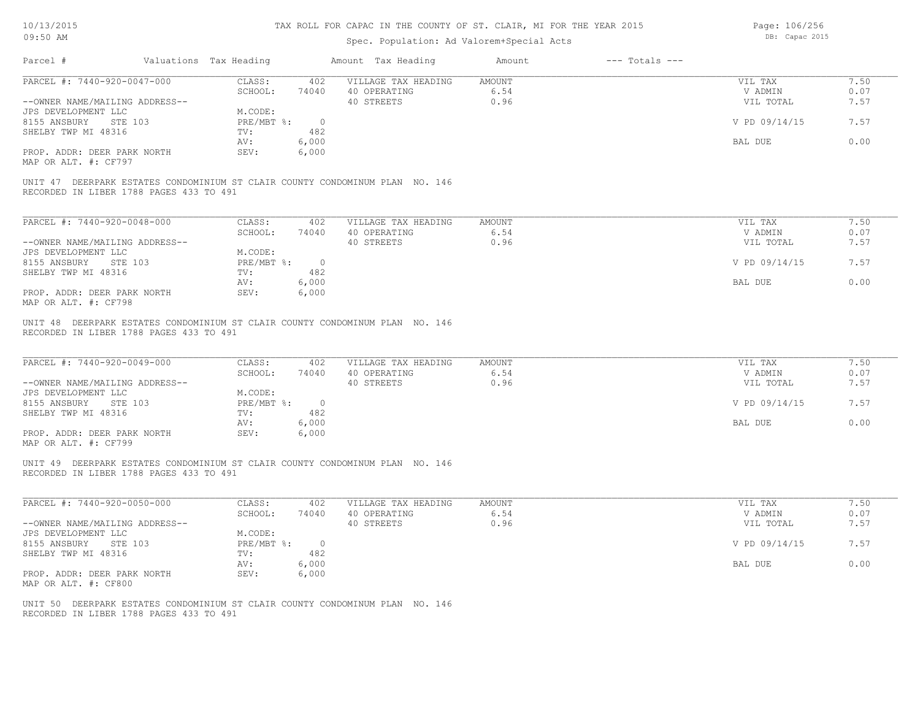# Spec. Population: Ad Valorem+Special Acts

Page: 106/256 DB: Capac 2015

| Parcel #                                                                                                                | Valuations Tax Heading               |                       | Amount Tax Heading  | Amount        | $---$ Totals $---$ |               |              |
|-------------------------------------------------------------------------------------------------------------------------|--------------------------------------|-----------------------|---------------------|---------------|--------------------|---------------|--------------|
| PARCEL #: 7440-920-0047-000                                                                                             | CLASS:                               | 402                   | VILLAGE TAX HEADING | AMOUNT        |                    | VIL TAX       | 7.50         |
|                                                                                                                         | SCHOOL:                              | 74040                 | 40 OPERATING        | 6.54          |                    | V ADMIN       | 0.07         |
| --OWNER NAME/MAILING ADDRESS--                                                                                          |                                      |                       | 40 STREETS          | 0.96          |                    | VIL TOTAL     | 7.57         |
| JPS DEVELOPMENT LLC                                                                                                     | M.CODE:                              |                       |                     |               |                    |               |              |
| 8155 ANSBURY<br>STE 103<br>SHELBY TWP MI 48316                                                                          | PRE/MBT %:<br>TV:                    | $\overline{0}$<br>482 |                     |               |                    | V PD 09/14/15 | 7.57         |
|                                                                                                                         | AV:                                  | 6,000                 |                     |               |                    | BAL DUE       | 0.00         |
| PROP. ADDR: DEER PARK NORTH                                                                                             | SEV:                                 | 6,000                 |                     |               |                    |               |              |
| MAP OR ALT. #: CF797                                                                                                    |                                      |                       |                     |               |                    |               |              |
| UNIT 47 DEERPARK ESTATES CONDOMINIUM ST CLAIR COUNTY CONDOMINUM PLAN NO. 146<br>RECORDED IN LIBER 1788 PAGES 433 TO 491 |                                      |                       |                     |               |                    |               |              |
|                                                                                                                         |                                      |                       |                     |               |                    |               |              |
| PARCEL #: 7440-920-0048-000                                                                                             | CLASS:                               | 402                   | VILLAGE TAX HEADING | AMOUNT        |                    | VIL TAX       | 7.50         |
| --OWNER NAME/MAILING ADDRESS--                                                                                          | SCHOOL:                              | 74040                 | 40 OPERATING        | 6.54<br>0.96  |                    | V ADMIN       | 0.07<br>7.57 |
| JPS DEVELOPMENT LLC                                                                                                     | M.CODE:                              |                       | 40 STREETS          |               |                    | VIL TOTAL     |              |
| 8155 ANSBURY<br>STE 103                                                                                                 | $PRE/MBT$ %:                         | $\circ$               |                     |               |                    | V PD 09/14/15 | 7.57         |
| SHELBY TWP MI 48316                                                                                                     | TV:                                  | 482                   |                     |               |                    |               |              |
|                                                                                                                         | AV:                                  | 6,000                 |                     |               |                    | BAL DUE       | 0.00         |
| PROP. ADDR: DEER PARK NORTH<br>MAP OR ALT. #: CF798                                                                     | SEV:                                 | 6,000                 |                     |               |                    |               |              |
| PARCEL #: 7440-920-0049-000                                                                                             | CLASS:                               | 402                   | VILLAGE TAX HEADING | <b>AMOUNT</b> |                    | VIL TAX       | 7.50         |
|                                                                                                                         | SCHOOL:                              | 74040                 | 40 OPERATING        | 6.54          |                    | V ADMIN       | 0.07         |
| --OWNER NAME/MAILING ADDRESS--                                                                                          |                                      |                       | 40 STREETS          | 0.96          |                    | VIL TOTAL     | 7.57         |
| JPS DEVELOPMENT LLC<br>8155 ANSBURY<br>STE 103                                                                          | M.CODE:<br>$PRE/MBT$ $\frac{1}{6}$ : | $\overline{0}$        |                     |               |                    | V PD 09/14/15 | 7.57         |
| SHELBY TWP MI 48316                                                                                                     | TV:                                  | 482                   |                     |               |                    |               |              |
|                                                                                                                         | AV:                                  | 6,000                 |                     |               |                    | BAL DUE       | 0.00         |
| PROP. ADDR: DEER PARK NORTH<br>MAP OR ALT. #: CF799                                                                     | SEV:                                 | 6,000                 |                     |               |                    |               |              |
| UNIT 49 DEERPARK ESTATES CONDOMINIUM ST CLAIR COUNTY CONDOMINUM PLAN NO. 146<br>RECORDED IN LIBER 1788 PAGES 433 TO 491 |                                      |                       |                     |               |                    |               |              |
| PARCEL #: 7440-920-0050-000                                                                                             | CLASS:                               | 402                   | VILLAGE TAX HEADING | AMOUNT        |                    | VIL TAX       | 7.50         |
|                                                                                                                         | SCHOOL:                              | 74040                 | 40 OPERATING        | 6.54          |                    | V ADMIN       | 0.07         |
| --OWNER NAME/MAILING ADDRESS--                                                                                          |                                      |                       | 40 STREETS          | 0.96          |                    | VIL TOTAL     | 7.57         |
| JPS DEVELOPMENT LLC                                                                                                     | M.CODE:                              |                       |                     |               |                    |               |              |
| 8155 ANSBURY<br>STE 103                                                                                                 | PRE/MBT %:                           | $\overline{0}$        |                     |               |                    | V PD 09/14/15 | 7.57         |
| SHELBY TWP MI 48316                                                                                                     | TV:                                  | 482                   |                     |               |                    |               |              |
| PROP. ADDR: DEER PARK NORTH                                                                                             | AV:<br>SEV:                          | 6,000<br>6,000        |                     |               |                    | BAL DUE       | 0.00         |
| MAP OR ALT. #: CF800                                                                                                    |                                      |                       |                     |               |                    |               |              |
| UNIT 50 DEERPARK ESTATES CONDOMINIUM ST CLAIR COUNTY CONDOMINUM PLAN NO. 146<br>RECORDED IN LIBER 1788 PAGES 433 TO 491 |                                      |                       |                     |               |                    |               |              |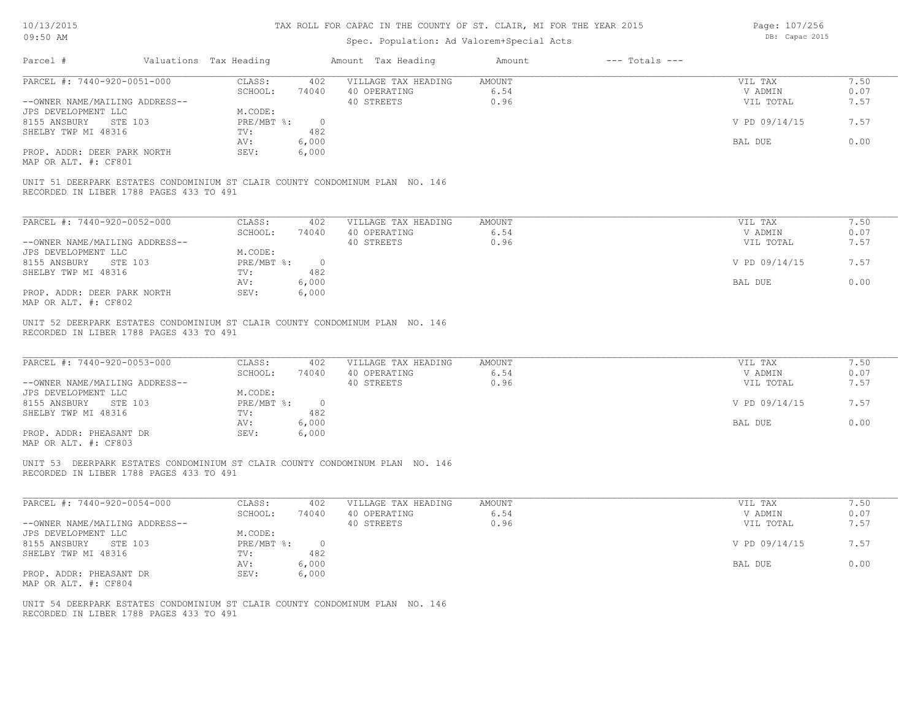# Spec. Population: Ad Valorem+Special Acts

Page: 107/256 DB: Capac 2015

| Parcel #                                                                                                                | Valuations Tax Heading |                                    |                       | Amount Tax Heading                                | Amount                        | $---$ Totals $---$ |                                 |                      |
|-------------------------------------------------------------------------------------------------------------------------|------------------------|------------------------------------|-----------------------|---------------------------------------------------|-------------------------------|--------------------|---------------------------------|----------------------|
| PARCEL #: 7440-920-0051-000<br>--OWNER NAME/MAILING ADDRESS--                                                           |                        | CLASS:<br>SCHOOL:                  | 402<br>74040          | VILLAGE TAX HEADING<br>40 OPERATING<br>40 STREETS | <b>AMOUNT</b><br>6.54<br>0.96 |                    | VIL TAX<br>V ADMIN<br>VIL TOTAL | 7.50<br>0.07<br>7.57 |
| JPS DEVELOPMENT LLC<br>8155 ANSBURY<br>STE 103<br>SHELBY TWP MI 48316                                                   |                        | M.CODE:<br>$PRE/MBT$ $\div$<br>TV: | $\circ$<br>482        |                                                   |                               |                    | V PD 09/14/15                   | 7.57                 |
|                                                                                                                         |                        | AV:                                | 6,000                 |                                                   |                               |                    | BAL DUE                         | 0.00                 |
| PROP. ADDR: DEER PARK NORTH<br>MAP OR ALT. #: CF801                                                                     |                        | SEV:                               | 6,000                 |                                                   |                               |                    |                                 |                      |
| UNIT 51 DEERPARK ESTATES CONDOMINIUM ST CLAIR COUNTY CONDOMINUM PLAN NO. 146<br>RECORDED IN LIBER 1788 PAGES 433 TO 491 |                        |                                    |                       |                                                   |                               |                    |                                 |                      |
| PARCEL #: 7440-920-0052-000                                                                                             |                        | CLASS:<br>SCHOOL:                  | 402<br>74040          | VILLAGE TAX HEADING<br>40 OPERATING               | <b>AMOUNT</b><br>6.54         |                    | VIL TAX<br>V ADMIN              | 7.50<br>0.07         |
| --OWNER NAME/MAILING ADDRESS--                                                                                          |                        |                                    |                       | 40 STREETS                                        | 0.96                          |                    | VIL TOTAL                       | 7.57                 |
| JPS DEVELOPMENT LLC<br>8155 ANSBURY<br>STE 103                                                                          |                        | M.CODE:<br>PRE/MBT %:              | $\overline{0}$        |                                                   |                               |                    | V PD 09/14/15                   | 7.57                 |
| SHELBY TWP MI 48316                                                                                                     |                        | TV:<br>AV:                         | 482<br>6,000          |                                                   |                               |                    | BAL DUE                         | 0.00                 |
| PROP. ADDR: DEER PARK NORTH<br>MAP OR ALT. #: CF802                                                                     |                        | SEV:                               | 6,000                 |                                                   |                               |                    |                                 |                      |
| RECORDED IN LIBER 1788 PAGES 433 TO 491<br>PARCEL #: 7440-920-0053-000<br>--OWNER NAME/MAILING ADDRESS--                |                        | CLASS:<br>SCHOOL:                  | 402<br>74040          | VILLAGE TAX HEADING<br>40 OPERATING<br>40 STREETS | <b>AMOUNT</b><br>6.54<br>0.96 |                    | VIL TAX<br>V ADMIN<br>VIL TOTAL | 7.50<br>0.07<br>7.57 |
| JPS DEVELOPMENT LLC<br>8155 ANSBURY<br>STE 103                                                                          |                        | M.CODE:<br>PRE/MBT %:              | $\sim$ 0              |                                                   |                               |                    | V PD 09/14/15                   | 7.57                 |
| SHELBY TWP MI 48316<br>PROP. ADDR: PHEASANT DR<br>MAP OR ALT. #: CF803                                                  |                        | TV:<br>AV:<br>SEV:                 | 482<br>6,000<br>6,000 |                                                   |                               |                    | BAL DUE                         | 0.00                 |
| UNIT 53 DEERPARK ESTATES CONDOMINIUM ST CLAIR COUNTY CONDOMINUM PLAN NO. 146<br>RECORDED IN LIBER 1788 PAGES 433 TO 491 |                        |                                    |                       |                                                   |                               |                    |                                 |                      |
| PARCEL #: 7440-920-0054-000                                                                                             |                        | CLASS:<br>SCHOOL:                  | 402<br>74040          | VILLAGE TAX HEADING<br>40 OPERATING               | <b>AMOUNT</b><br>6.54         |                    | VIL TAX<br>V ADMIN              | 7.50<br>0.07         |
| --OWNER NAME/MAILING ADDRESS--<br>JPS DEVELOPMENT LLC                                                                   |                        | M.CODE:                            |                       | 40 STREETS                                        | 0.96                          |                    | VIL TOTAL                       | 7.57                 |
| 8155 ANSBURY<br>STE 103                                                                                                 |                        | PRE/MBT %:<br>TV:                  | $\overline{0}$<br>482 |                                                   |                               |                    | V PD 09/14/15                   | 7.57                 |
| SHELBY TWP MI 48316<br>PROP. ADDR: PHEASANT DR                                                                          |                        | AV:<br>SEV:                        | 6,000<br>6,000        |                                                   |                               |                    | BAL DUE                         | 0.00                 |
| MAP OR ALT. #: CF804                                                                                                    |                        |                                    |                       |                                                   |                               |                    |                                 |                      |
| UNIT 54 DEERPARK ESTATES CONDOMINIUM ST CLAIR COUNTY CONDOMINUM PLAN NO. 146<br>RECORDED IN LIBER 1788 PAGES 433 TO 491 |                        |                                    |                       |                                                   |                               |                    |                                 |                      |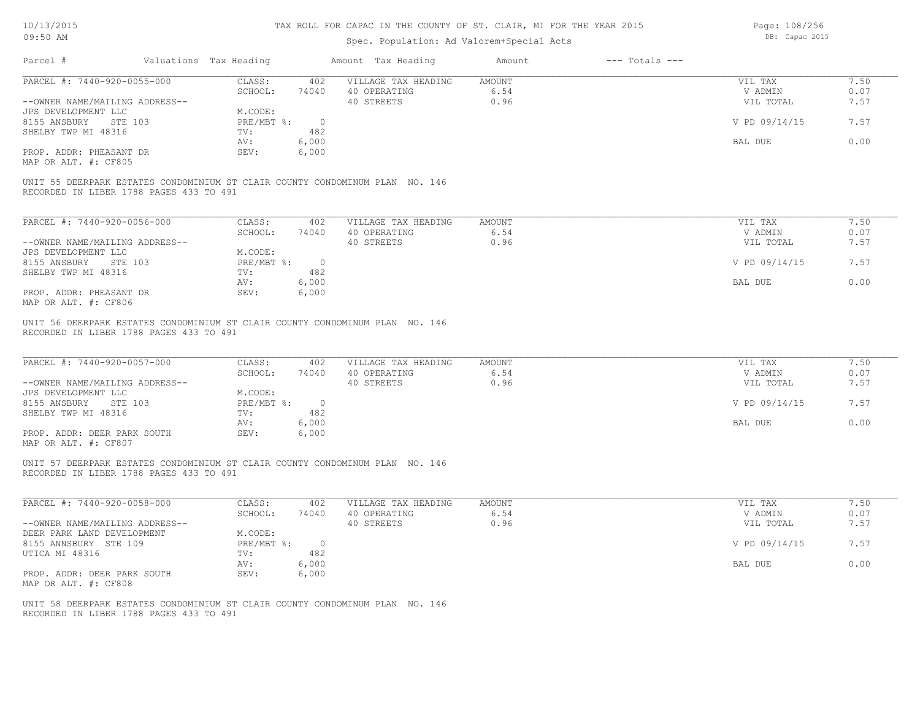# Spec. Population: Ad Valorem+Special Acts

Page: 108/256 DB: Capac 2015

|                                                                                                                                        |                                       | Amount Tax Heading                                | $---$ Totals $---$<br>Amount  |                                 |                      |
|----------------------------------------------------------------------------------------------------------------------------------------|---------------------------------------|---------------------------------------------------|-------------------------------|---------------------------------|----------------------|
| PARCEL #: 7440-920-0055-000                                                                                                            | CLASS:                                | 402 VILLAGE TAX HEADING AMOUNT                    |                               | VIL TAX                         | 7.50                 |
|                                                                                                                                        | SCHOOL:                               | 74040 40 OPERATING                                | 6.54                          | V ADMIN                         | 0.07                 |
| --OWNER NAME/MAILING ADDRESS--                                                                                                         |                                       | 40 STREETS                                        | 0.96                          | VIL TOTAL                       | 7.57                 |
| JPS DEVELOPMENT LLC                                                                                                                    | M.CODE:                               |                                                   |                               |                                 |                      |
| 8155 ANSBURY STE 103                                                                                                                   | PRE/MBT %: 0                          |                                                   |                               | V PD 09/14/15                   | 7.57                 |
| SHELBY TWP MI 48316                                                                                                                    | TV:<br>482                            |                                                   |                               |                                 |                      |
|                                                                                                                                        | 6,000<br>AV:                          |                                                   |                               | BAL DUE                         | 0.00                 |
| PROP. ADDR: PHEASANT DR<br>MAP OR ALT. #: CF805                                                                                        | SEV:<br>6,000                         |                                                   |                               |                                 |                      |
| UNIT 55 DEERPARK ESTATES CONDOMINIUM ST CLAIR COUNTY CONDOMINUM PLAN NO. 146<br>RECORDED IN LIBER 1788 PAGES 433 TO 491                |                                       |                                                   |                               |                                 |                      |
| PARCEL #: 7440-920-0056-000                                                                                                            |                                       |                                                   | <b>AMOUNT</b>                 |                                 | 7.50                 |
|                                                                                                                                        | CLASS:<br>402                         | VILLAGE TAX HEADING                               | 6.54                          | VIL TAX                         |                      |
|                                                                                                                                        | SCHOOL:<br>74040                      | 40 OPERATING                                      | 0.96                          | V ADMIN                         | 0.07<br>7.57         |
| --OWNER NAME/MAILING ADDRESS--                                                                                                         |                                       | 40 STREETS                                        |                               | VIL TOTAL                       |                      |
| JPS DEVELOPMENT LLC                                                                                                                    | M.CODE:                               |                                                   |                               |                                 |                      |
| 8155 ANSBURY STE 103                                                                                                                   | $PRE/MBT$ $\div$ 0                    |                                                   |                               | V PD 09/14/15                   | 7.57                 |
| SHELBY TWP MI 48316                                                                                                                    | 482<br>TV:                            |                                                   |                               |                                 |                      |
|                                                                                                                                        | 6,000<br>AV:                          |                                                   |                               | BAL DUE                         | 0.00                 |
| PROP. ADDR: PHEASANT DR<br>MAP OR ALT. #: CF806                                                                                        | SEV:<br>6,000                         |                                                   |                               |                                 |                      |
|                                                                                                                                        |                                       |                                                   |                               |                                 |                      |
| PARCEL #: 7440-920-0057-000<br>--OWNER NAME/MAILING ADDRESS--                                                                          | CLASS:<br>402<br>SCHOOL:<br>74040     | VILLAGE TAX HEADING<br>40 OPERATING<br>40 STREETS | <b>AMOUNT</b><br>6.54<br>0.96 | VIL TAX<br>V ADMIN<br>VIL TOTAL | 7.50<br>0.07<br>7.57 |
| JPS DEVELOPMENT LLC<br>8155 ANSBURY STE 103<br>SHELBY TWP MI 48316                                                                     | M.CODE:<br>PRE/MBT %: 0<br>TV:<br>482 |                                                   |                               | V PD 09/14/15                   | 7.57                 |
|                                                                                                                                        | 6,000<br>AV:                          |                                                   |                               | BAL DUE                         | 0.00                 |
|                                                                                                                                        | SEV:<br>6,000                         |                                                   |                               |                                 |                      |
|                                                                                                                                        |                                       |                                                   |                               |                                 |                      |
| PROP. ADDR: DEER PARK SOUTH<br>MAP OR ALT. #: CF807                                                                                    |                                       |                                                   |                               |                                 |                      |
| UNIT 57 DEERPARK ESTATES CONDOMINIUM ST CLAIR COUNTY CONDOMINUM PLAN NO. 146<br>RECORDED IN LIBER 1788 PAGES 433 TO 491                |                                       |                                                   |                               |                                 |                      |
|                                                                                                                                        | CLASS:<br>402                         | VILLAGE TAX HEADING                               | AMOUNT                        | VIL TAX                         | 7.50                 |
|                                                                                                                                        | SCHOOL:<br>74040                      | 40 OPERATING                                      | 6.54                          | V ADMIN                         | 0.07                 |
|                                                                                                                                        |                                       | 40 STREETS                                        | 0.96                          | VIL TOTAL                       | 7.57                 |
|                                                                                                                                        | M.CODE:                               |                                                   |                               |                                 |                      |
|                                                                                                                                        | PRE/MBT %: 0                          |                                                   |                               | V PD 09/14/15                   | 7.57                 |
|                                                                                                                                        | 482<br>TV:                            |                                                   |                               |                                 |                      |
| PARCEL #: 7440-920-0058-000<br>--OWNER NAME/MAILING ADDRESS--<br>DEER PARK LAND DEVELOPMENT<br>8155 ANNSBURY STE 109<br>UTICA MI 48316 | AV:<br>6,000                          |                                                   |                               | BAL DUE                         | 0.00                 |
| PROP. ADDR: DEER PARK SOUTH                                                                                                            | SEV:<br>6,000                         |                                                   |                               |                                 |                      |
| MAP OR ALT. #: CF808                                                                                                                   |                                       |                                                   |                               |                                 |                      |
|                                                                                                                                        |                                       |                                                   |                               |                                 |                      |
| UNIT 58 DEERPARK ESTATES CONDOMINIUM ST CLAIR COUNTY CONDOMINUM PLAN NO. 146<br>RECORDED IN LIBER 1788 PAGES 433 TO 491                |                                       |                                                   |                               |                                 |                      |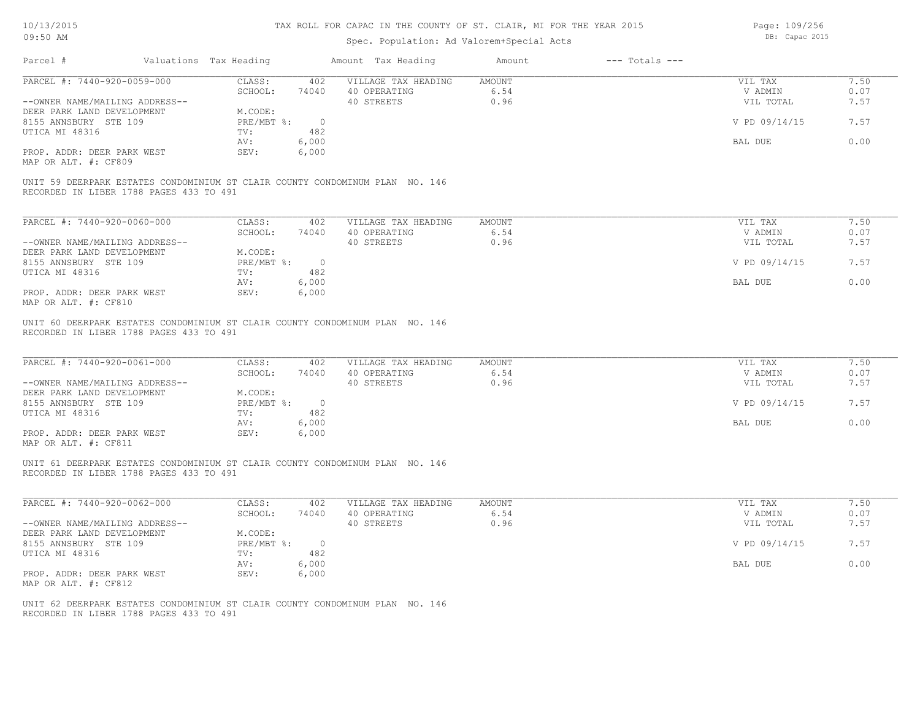## Spec. Population: Ad Valorem+Special Acts

Page: 109/256 DB: Capac 2015

| PARCEL #: 7440-920-0059-000                                                                                             |                                        | Amount Tax Heading                            | Amount<br>$---$ Totals $---$ |                    |              |
|-------------------------------------------------------------------------------------------------------------------------|----------------------------------------|-----------------------------------------------|------------------------------|--------------------|--------------|
|                                                                                                                         | CLASS:<br>SCHOOL:                      | 402 VILLAGE TAX HEADING<br>74040 40 OPERATING | AMOUNT<br>6.54               | VIL TAX<br>V ADMIN | 7.50<br>0.07 |
| --OWNER NAME/MAILING ADDRESS--                                                                                          |                                        | 40 STREETS                                    | 0.96                         | VIL TOTAL          | 7.57         |
| DEER PARK LAND DEVELOPMENT<br>8155 ANNSBURY STE 109                                                                     | M.CODE:<br>$PRE/MBT$ $\frac{1}{6}$ : 0 |                                               |                              | V PD 09/14/15      | 7.57         |
| UTICA MI 48316                                                                                                          | 482<br>$\text{TV}$ :<br>6,000<br>AV:   |                                               |                              | BAL DUE            | 0.00         |
| PROP. ADDR: DEER PARK WEST<br>MAP OR ALT. #: CF809                                                                      | 6,000<br>SEV:                          |                                               |                              |                    |              |
| UNIT 59 DEERPARK ESTATES CONDOMINIUM ST CLAIR COUNTY CONDOMINUM PLAN NO. 146<br>RECORDED IN LIBER 1788 PAGES 433 TO 491 |                                        |                                               |                              |                    |              |
| PARCEL #: 7440-920-0060-000                                                                                             | CLASS:<br>402                          | VILLAGE TAX HEADING                           | AMOUNT                       | VIL TAX            | 7.50         |
|                                                                                                                         | SCHOOL:                                | 74040 40 OPERATING                            | 6.54                         | V ADMIN            | 0.07         |
| --OWNER NAME/MAILING ADDRESS--<br>DEER PARK LAND DEVELOPMENT                                                            | M.CODE:                                | 40 STREETS                                    | 0.96                         | VIL TOTAL          | 7.57         |
| 8155 ANNSBURY STE 109<br>UTICA MI 48316                                                                                 | PRE/MBT %: 0<br>482<br>TV:             |                                               |                              | V PD 09/14/15      | 7.57         |
|                                                                                                                         | 6,000<br>AV:                           |                                               |                              | BAL DUE            | 0.00         |
| PROP. ADDR: DEER PARK WEST<br>MAP OR ALT. #: CF810                                                                      | SEV:<br>6,000                          |                                               |                              |                    |              |
| UNIT 60 DEERPARK ESTATES CONDOMINIUM ST CLAIR COUNTY CONDOMINUM PLAN NO. 146<br>RECORDED IN LIBER 1788 PAGES 433 TO 491 |                                        |                                               |                              |                    |              |
| PARCEL #: 7440-920-0061-000                                                                                             | CLASS:<br>402<br>SCHOOL:<br>74040      | VILLAGE TAX HEADING<br>40 OPERATING           | <b>AMOUNT</b><br>6.54        | VIL TAX<br>V ADMIN | 7.50<br>0.07 |
| --OWNER NAME/MAILING ADDRESS--<br>DEER PARK LAND DEVELOPMENT                                                            | M.CODE:                                | 40 STREETS                                    | 0.96                         | VIL TOTAL          | 7.57         |
| 8155 ANNSBURY STE 109<br>UTICA MI 48316                                                                                 | PRE/MBT %: 0<br>482<br>TV:             |                                               |                              | V PD 09/14/15      | 7.57         |
|                                                                                                                         | 6,000<br>AV:                           |                                               |                              | BAL DUE            | 0.00         |
|                                                                                                                         | 6,000<br>SEV:                          |                                               |                              |                    |              |
| PROP. ADDR: DEER PARK WEST<br>MAP OR ALT. #: CF811                                                                      |                                        |                                               |                              |                    |              |
| UNIT 61 DEERPARK ESTATES CONDOMINIUM ST CLAIR COUNTY CONDOMINUM PLAN NO. 146<br>RECORDED IN LIBER 1788 PAGES 433 TO 491 |                                        |                                               |                              |                    |              |
| PARCEL #: 7440-920-0062-000                                                                                             | CLASS:<br>402                          | VILLAGE TAX HEADING                           | AMOUNT                       | VIL TAX            | 7.50         |
|                                                                                                                         | SCHOOL:<br>74040                       | 40 OPERATING                                  | 6.54                         | V ADMIN            | 0.07         |
| --OWNER NAME/MAILING ADDRESS--<br>DEER PARK LAND DEVELOPMENT                                                            | M.CODE:                                | 40 STREETS                                    | 0.96                         | VIL TOTAL          | 7.57         |
| 8155 ANNSBURY STE 109                                                                                                   | PRE/MBT %: 0                           |                                               |                              | V PD 09/14/15      | 7.57         |
| UTICA MI 48316                                                                                                          | 482<br>TV:<br>6,000<br>AV:             |                                               |                              | BAL DUE            | 0.00         |
| PROP. ADDR: DEER PARK WEST<br>MAP OR ALT. #: CF812                                                                      | 6,000<br>SEV:                          |                                               |                              |                    |              |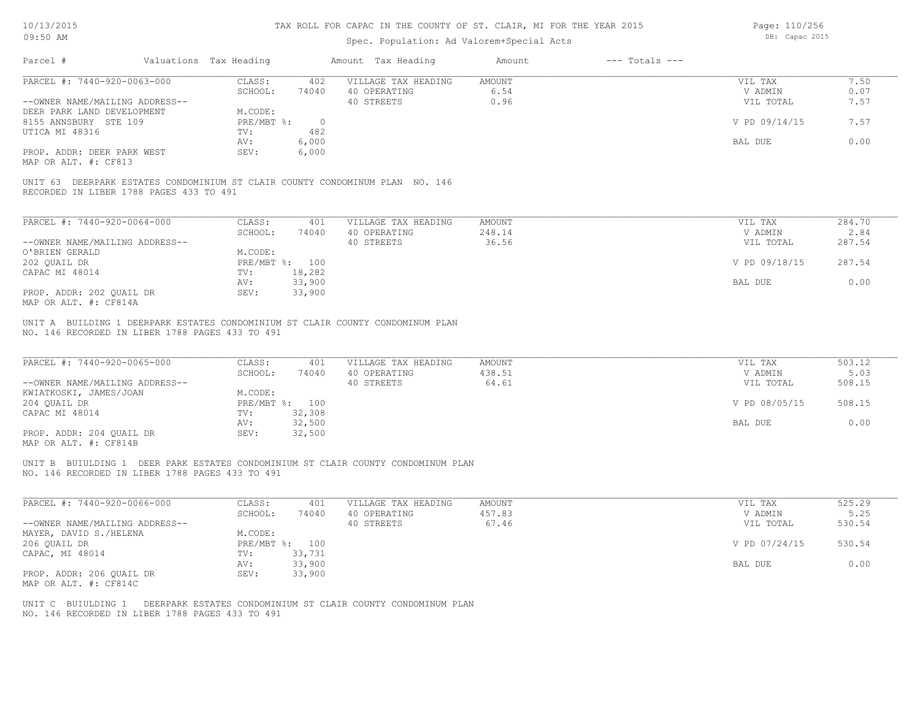# Spec. Population: Ad Valorem+Special Acts

Page: 110/256 DB: Capac 2015

|                                                                                                                         | Valuations Tax Heading      |                          | Amount Tax Heading                                                               | Amount        | $---$ Totals $---$ |               |        |
|-------------------------------------------------------------------------------------------------------------------------|-----------------------------|--------------------------|----------------------------------------------------------------------------------|---------------|--------------------|---------------|--------|
| PARCEL #: 7440-920-0063-000                                                                                             | CLASS:                      | 402                      | VILLAGE TAX HEADING                                                              | <b>AMOUNT</b> |                    | VIL TAX       | 7.50   |
|                                                                                                                         | SCHOOL:                     | 74040                    | 40 OPERATING                                                                     | 6.54          |                    | V ADMIN       | 0.07   |
| --OWNER NAME/MAILING ADDRESS--                                                                                          |                             |                          | 40 STREETS                                                                       | 0.96          |                    | VIL TOTAL     | 7.57   |
| DEER PARK LAND DEVELOPMENT<br>8155 ANNSBURY STE 109                                                                     | M.CODE:<br>$PRE/MBT$ $\div$ | $\overline{0}$           |                                                                                  |               |                    | V PD 09/14/15 | 7.57   |
| UTICA MI 48316                                                                                                          | TV:                         | 482                      |                                                                                  |               |                    |               |        |
|                                                                                                                         | AV:                         | 6,000                    |                                                                                  |               |                    | BAL DUE       | 0.00   |
| PROP. ADDR: DEER PARK WEST<br>MAP OR ALT. #: CF813                                                                      | SEV:                        | 6,000                    |                                                                                  |               |                    |               |        |
| UNIT 63 DEERPARK ESTATES CONDOMINIUM ST CLAIR COUNTY CONDOMINUM PLAN NO. 146<br>RECORDED IN LIBER 1788 PAGES 433 TO 491 |                             |                          |                                                                                  |               |                    |               |        |
| PARCEL #: 7440-920-0064-000                                                                                             | CLASS:                      | 401                      | VILLAGE TAX HEADING                                                              | <b>AMOUNT</b> |                    | VIL TAX       | 284.70 |
|                                                                                                                         | SCHOOL:                     | 74040                    | 40 OPERATING                                                                     | 248.14        |                    | V ADMIN       | 2.84   |
| --OWNER NAME/MAILING ADDRESS--                                                                                          |                             |                          | 40 STREETS                                                                       | 36.56         |                    | VIL TOTAL     | 287.54 |
| O'BRIEN GERALD                                                                                                          | M.CODE:                     |                          |                                                                                  |               |                    |               |        |
| 202 QUAIL DR<br>CAPAC MI 48014                                                                                          | TV:                         | PRE/MBT %: 100<br>18,282 |                                                                                  |               |                    | V PD 09/18/15 | 287.54 |
|                                                                                                                         | AV:                         | 33,900                   |                                                                                  |               |                    | BAL DUE       | 0.00   |
| PROP. ADDR: 202 QUAIL DR<br>MAP OR ALT. #: CF814A                                                                       | SEV:                        | 33,900                   |                                                                                  |               |                    |               |        |
| PARCEL #: 7440-920-0065-000                                                                                             | CLASS:                      | 401                      | VILLAGE TAX HEADING                                                              | AMOUNT        |                    | VIL TAX       |        |
|                                                                                                                         |                             |                          |                                                                                  |               |                    |               | 503.12 |
|                                                                                                                         | SCHOOL:                     | 74040                    | 40 OPERATING                                                                     | 438.51        |                    | V ADMIN       | 5.03   |
| --OWNER NAME/MAILING ADDRESS--                                                                                          |                             |                          | 40 STREETS                                                                       | 64.61         |                    | VIL TOTAL     | 508.15 |
| KWIATKOSKI, JAMES/JOAN                                                                                                  | M.CODE:                     |                          |                                                                                  |               |                    |               |        |
| 204 QUAIL DR                                                                                                            | TV:                         | PRE/MBT %: 100           |                                                                                  |               |                    | V PD 08/05/15 | 508.15 |
| CAPAC MI 48014                                                                                                          | AV:                         | 32,308<br>32,500         |                                                                                  |               |                    | BAL DUE       | 0.00   |
| PROP. ADDR: 204 QUAIL DR<br>MAP OR ALT. #: CF814B                                                                       | SEV:                        | 32,500                   |                                                                                  |               |                    |               |        |
| NO. 146 RECORDED IN LIBER 1788 PAGES 433 TO 491                                                                         |                             |                          | UNIT B BUIULDING 1 DEER PARK ESTATES CONDOMINIUM ST CLAIR COUNTY CONDOMINUM PLAN |               |                    |               |        |
| PARCEL #: 7440-920-0066-000                                                                                             | CLASS:                      | 401                      | VILLAGE TAX HEADING                                                              | <b>AMOUNT</b> |                    | VIL TAX       | 525.29 |
|                                                                                                                         | SCHOOL:                     | 74040                    | 40 OPERATING                                                                     | 457.83        |                    | V ADMIN       | 5.25   |
| --OWNER NAME/MAILING ADDRESS--                                                                                          |                             |                          | 40 STREETS                                                                       | 67.46         |                    | VIL TOTAL     | 530.54 |
| MAYER, DAVID S./HELENA                                                                                                  | M.CODE:                     |                          |                                                                                  |               |                    |               |        |
| 206 QUAIL DR                                                                                                            |                             | PRE/MBT %: 100           |                                                                                  |               |                    | V PD 07/24/15 | 530.54 |
| CAPAC, MI 48014                                                                                                         | TV:                         | 33,731                   |                                                                                  |               |                    |               |        |
| PROP. ADDR: 206 OUAIL DR<br>MAP OR ALT. #: CF814C                                                                       | AV:<br>SEV:                 | 33,900<br>33,900         |                                                                                  |               |                    | BAL DUE       | 0.00   |

NO. 146 RECORDED IN LIBER 1788 PAGES 433 TO 491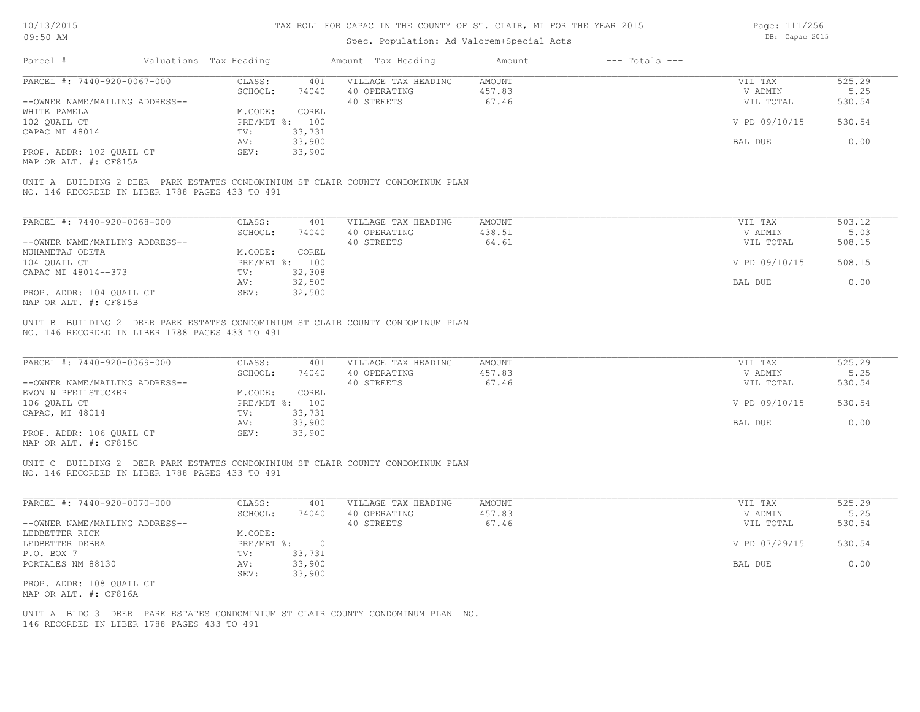Page: 111/256

| 09:50 AM                                          |                                                 |                           |              | Spec. Population: Ad Valorem+Special Acts                                       |                         |                    | DB: Capac 2015     |                |
|---------------------------------------------------|-------------------------------------------------|---------------------------|--------------|---------------------------------------------------------------------------------|-------------------------|--------------------|--------------------|----------------|
| Parcel #                                          | Valuations Tax Heading                          |                           |              | Amount Tax Heading                                                              | Amount                  | $---$ Totals $---$ |                    |                |
| PARCEL #: 7440-920-0067-000                       |                                                 | CLASS:<br>SCHOOL:         | 401<br>74040 | VILLAGE TAX HEADING<br>40 OPERATING                                             | <b>AMOUNT</b><br>457.83 |                    | VIL TAX<br>V ADMIN | 525.29<br>5.25 |
| --OWNER NAME/MAILING ADDRESS--                    |                                                 |                           |              | 40 STREETS                                                                      | 67.46                   |                    | VIL TOTAL          | 530.54         |
| WHITE PAMELA<br>102 OUAIL CT                      |                                                 | M.CODE:<br>PRE/MBT %: 100 | COREL        |                                                                                 |                         |                    | V PD 09/10/15      | 530.54         |
| CAPAC MI 48014                                    |                                                 | TV:                       | 33,731       |                                                                                 |                         |                    |                    |                |
|                                                   |                                                 | AV:                       | 33,900       |                                                                                 |                         |                    | BAL DUE            | 0.00           |
| PROP. ADDR: 102 QUAIL CT<br>MAP OR ALT. #: CF815A |                                                 | SEV:                      | 33,900       |                                                                                 |                         |                    |                    |                |
|                                                   |                                                 |                           |              | UNIT A BUILDING 2 DEER PARK ESTATES CONDOMINIUM ST CLAIR COUNTY CONDOMINUM PLAN |                         |                    |                    |                |
|                                                   | NO. 146 RECORDED IN LIBER 1788 PAGES 433 TO 491 |                           |              |                                                                                 |                         |                    |                    |                |
|                                                   |                                                 |                           |              |                                                                                 |                         |                    |                    |                |
| PARCEL #: 7440-920-0068-000                       |                                                 | CLASS:                    | 401          | VILLAGE TAX HEADING                                                             | <b>AMOUNT</b>           |                    | VIL TAX            | 503.12         |
|                                                   |                                                 | SCHOOL:                   | 74040        | 40 OPERATING                                                                    | 438.51                  |                    | V ADMIN            | 5.03           |
| --OWNER NAME/MAILING ADDRESS--                    |                                                 | M.CODE:                   |              | 40 STREETS                                                                      | 64.61                   |                    | VIL TOTAL          | 508.15         |
| MUHAMETAJ ODETA<br>104 QUAIL CT                   |                                                 | PRE/MBT %:                | COREL<br>100 |                                                                                 |                         |                    | V PD 09/10/15      | 508.15         |
| CAPAC MI 48014--373                               |                                                 | TV:                       | 32,308       |                                                                                 |                         |                    |                    |                |
|                                                   |                                                 | AV:                       | 32,500       |                                                                                 |                         |                    | BAL DUE            | 0.00           |
| PROP. ADDR: 104 QUAIL CT                          |                                                 | SEV:                      | 32,500       |                                                                                 |                         |                    |                    |                |
| MAP OR ALT. #: CF815B                             |                                                 |                           |              |                                                                                 |                         |                    |                    |                |
|                                                   |                                                 |                           |              |                                                                                 |                         |                    |                    |                |
|                                                   | NO. 146 RECORDED IN LIBER 1788 PAGES 433 TO 491 |                           |              | UNIT B BUILDING 2 DEER PARK ESTATES CONDOMINIUM ST CLAIR COUNTY CONDOMINUM PLAN |                         |                    |                    |                |
|                                                   |                                                 |                           |              |                                                                                 |                         |                    |                    |                |
| PARCEL #: 7440-920-0069-000                       |                                                 | CLASS:                    | 401          | VILLAGE TAX HEADING                                                             | <b>AMOUNT</b>           |                    | VIL TAX            | 525.29         |
|                                                   |                                                 | SCHOOL:                   | 74040        | 40 OPERATING                                                                    | 457.83                  |                    | V ADMIN            | 5.25           |
| --OWNER NAME/MAILING ADDRESS--                    |                                                 |                           |              | 40 STREETS                                                                      | 67.46                   |                    | VIL TOTAL          | 530.54         |
| EVON N PFEILSTUCKER                               |                                                 | M.CODE:                   | COREL        |                                                                                 |                         |                    |                    |                |
| 106 OUAIL CT                                      |                                                 | PRE/MBT %: 100            |              |                                                                                 |                         |                    | V PD 09/10/15      | 530.54         |
| CAPAC, MI 48014                                   |                                                 | TV:                       | 33,731       |                                                                                 |                         |                    |                    |                |
|                                                   |                                                 | AV:                       | 33,900       |                                                                                 |                         |                    | BAL DUE            | 0.00           |
| PROP. ADDR: 106 OUAIL CT                          |                                                 | SEV:                      | 33,900       |                                                                                 |                         |                    |                    |                |
| MAP OR ALT. #: CF815C                             |                                                 |                           |              |                                                                                 |                         |                    |                    |                |
|                                                   |                                                 |                           |              | UNIT C BUILDING 2 DEER PARK ESTATES CONDOMINIUM ST CLAIR COUNTY CONDOMINUM PLAN |                         |                    |                    |                |
|                                                   |                                                 |                           |              |                                                                                 |                         |                    |                    |                |

NO. 146 RECORDED IN LIBER 1788 PAGES 433 TO 491

| PARCEL #: 7440-920-0070-000    | CLASS:     | 401    | VILLAGE TAX HEADING | AMOUNT | VIL TAX       | 525.29 |
|--------------------------------|------------|--------|---------------------|--------|---------------|--------|
|                                | SCHOOL:    | 74040  | 40 OPERATING        | 457.83 | V ADMIN       | 5.25   |
| --OWNER NAME/MAILING ADDRESS-- |            |        | 40 STREETS          | 67.46  | VIL TOTAL     | 530.54 |
| LEDBETTER RICK                 | M.CODE:    |        |                     |        |               |        |
| LEDBETTER DEBRA                | PRE/MBT %: |        |                     |        | V PD 07/29/15 | 530.54 |
| P.O. BOX 7                     | TV:        | 33,731 |                     |        |               |        |
| PORTALES NM 88130              | AV:        | 33,900 |                     |        | BAL DUE       | 0.00   |
|                                | SEV:       | 33,900 |                     |        |               |        |
| PROP. ADDR: 108 OUAIL CT       |            |        |                     |        |               |        |
| MAP OR ALT. #: CF816A          |            |        |                     |        |               |        |

 $\mathcal{L}_\mathcal{L} = \mathcal{L}_\mathcal{L} = \mathcal{L}_\mathcal{L} = \mathcal{L}_\mathcal{L} = \mathcal{L}_\mathcal{L} = \mathcal{L}_\mathcal{L} = \mathcal{L}_\mathcal{L} = \mathcal{L}_\mathcal{L} = \mathcal{L}_\mathcal{L} = \mathcal{L}_\mathcal{L} = \mathcal{L}_\mathcal{L} = \mathcal{L}_\mathcal{L} = \mathcal{L}_\mathcal{L} = \mathcal{L}_\mathcal{L} = \mathcal{L}_\mathcal{L} = \mathcal{L}_\mathcal{L} = \mathcal{L}_\mathcal{L}$ 

146 RECORDED IN LIBER 1788 PAGES 433 TO 491 UNIT A BLDG 3 DEER PARK ESTATES CONDOMINIUM ST CLAIR COUNTY CONDOMINUM PLAN NO.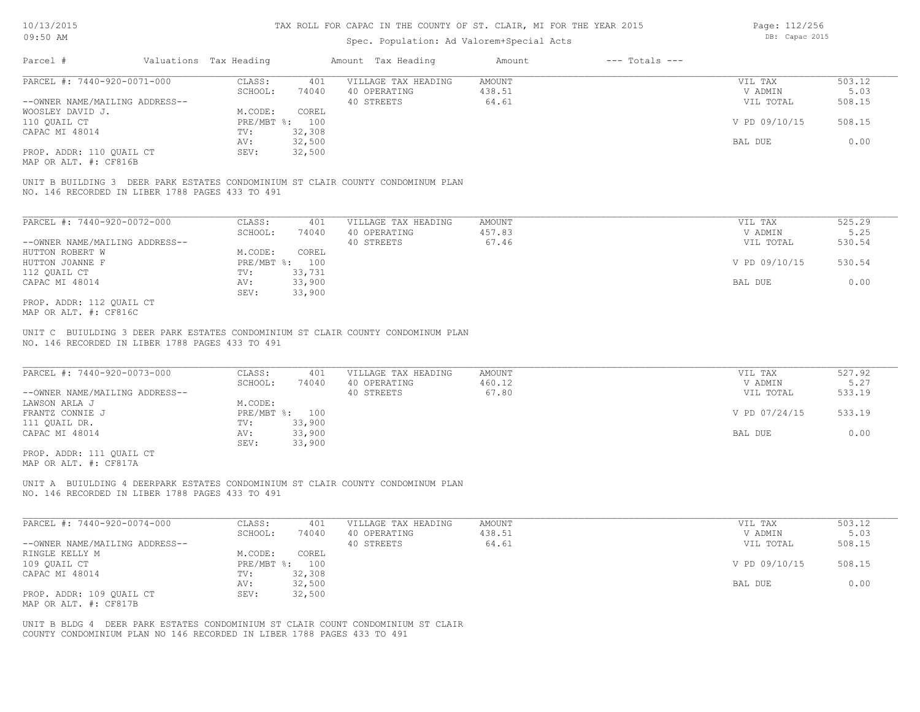### Spec. Population: Ad Valorem+Special Acts

Page: 112/256 DB: Capac 2015

| Parcel #                       | Valuations Tax Heading |        | Amount Tax Heading  | Amount | $---$ Totals $---$ |               |        |
|--------------------------------|------------------------|--------|---------------------|--------|--------------------|---------------|--------|
| PARCEL #: 7440-920-0071-000    | CLASS:                 | 401    | VILLAGE TAX HEADING | AMOUNT |                    | VIL TAX       | 503.12 |
|                                | SCHOOL:                | 74040  | 40 OPERATING        | 438.51 |                    | V ADMIN       | 5.03   |
| --OWNER NAME/MAILING ADDRESS-- |                        |        | 40 STREETS          | 64.61  |                    | VIL TOTAL     | 508.15 |
| WOOSLEY DAVID J.               | M.CODE:                | COREL  |                     |        |                    |               |        |
| 110 OUAIL CT                   | PRE/MBT %: 100         |        |                     |        |                    | V PD 09/10/15 | 508.15 |
| CAPAC MI 48014                 | TV:                    | 32,308 |                     |        |                    |               |        |
|                                | AV:                    | 32,500 |                     |        |                    | BAL DUE       | 0.00   |
| PROP. ADDR: 110 QUAIL CT       | SEV:                   | 32,500 |                     |        |                    |               |        |
|                                |                        |        |                     |        |                    |               |        |

MAP OR ALT. #: CF816B

NO. 146 RECORDED IN LIBER 1788 PAGES 433 TO 491 UNIT B BUILDING 3 DEER PARK ESTATES CONDOMINIUM ST CLAIR COUNTY CONDOMINUM PLAN

| PARCEL #: 7440-920-0072-000    | CLASS:       | 401    | VILLAGE TAX HEADING | AMOUNT | VIL TAX       | 525.29 |
|--------------------------------|--------------|--------|---------------------|--------|---------------|--------|
|                                | SCHOOL:      | 74040  | 40 OPERATING        | 457.83 | V ADMIN       | 5.25   |
| --OWNER NAME/MAILING ADDRESS-- |              |        | 40 STREETS          | 67.46  | VIL TOTAL     | 530.54 |
| HUTTON ROBERT W                | M.CODE:      | COREL  |                     |        |               |        |
| HUTTON JOANNE F                | $PRE/MBT$ %: | 100    |                     |        | V PD 09/10/15 | 530.54 |
| 112 QUAIL CT                   | TV:          | 33,731 |                     |        |               |        |
| CAPAC MI 48014                 | AV:          | 33,900 |                     |        | BAL DUE       | 0.00   |
|                                | SEV:         | 33,900 |                     |        |               |        |
| PROP. ADDR: 112 QUAIL CT       |              |        |                     |        |               |        |

MAP OR ALT. #: CF816C

NO. 146 RECORDED IN LIBER 1788 PAGES 433 TO 491 UNIT C BUIULDING 3 DEER PARK ESTATES CONDOMINIUM ST CLAIR COUNTY CONDOMINUM PLAN

| PARCEL #: 7440-920-0073-000    | CLASS:  | 401            | VILLAGE TAX HEADING | AMOUNT | VIL TAX       | 527.92 |
|--------------------------------|---------|----------------|---------------------|--------|---------------|--------|
|                                | SCHOOL: | 74040          | 40 OPERATING        | 460.12 | V ADMIN       | 5.27   |
| --OWNER NAME/MAILING ADDRESS-- |         |                | 40 STREETS          | 67.80  | VIL TOTAL     | 533.19 |
| LAWSON ARLA J                  | M.CODE: |                |                     |        |               |        |
| FRANTZ CONNIE J                |         | PRE/MBT %: 100 |                     |        | V PD 07/24/15 | 533.19 |
| 111 QUAIL DR.                  | TV:     | 33,900         |                     |        |               |        |
| CAPAC MI 48014                 | AV:     | 33,900         |                     |        | BAL DUE       | 0.00   |
|                                | SEV:    | 33,900         |                     |        |               |        |
| PROP. ADDR: 111 OUAIL CT       |         |                |                     |        |               |        |

MAP OR ALT. #: CF817A

NO. 146 RECORDED IN LIBER 1788 PAGES 433 TO 491 UNIT A BUIULDING 4 DEERPARK ESTATES CONDOMINIUM ST CLAIR COUNTY CONDOMINUM PLAN

| PARCEL #: 7440-920-0074-000    | CLASS:     | 401    | VILLAGE TAX HEADING | AMOUNT | VIL TAX       | 503.12 |
|--------------------------------|------------|--------|---------------------|--------|---------------|--------|
|                                | SCHOOL:    | 74040  | 40 OPERATING        | 438.51 | V ADMIN       | 5.03   |
| --OWNER NAME/MAILING ADDRESS-- |            |        | 40 STREETS          | 64.61  | VIL TOTAL     | 508.15 |
| RINGLE KELLY M                 | M.CODE:    | COREL  |                     |        |               |        |
| 109 OUAIL CT                   | PRE/MBT %: | 100    |                     |        | V PD 09/10/15 | 508.15 |
| CAPAC MI 48014                 | TV:        | 32,308 |                     |        |               |        |
|                                | AV:        | 32,500 |                     |        | BAL DUE       | 0.00   |
| PROP. ADDR: 109 QUAIL CT       | SEV:       | 32,500 |                     |        |               |        |
| MAP OR ALT. #: CF817B          |            |        |                     |        |               |        |

COUNTY CONDOMINIUM PLAN NO 146 RECORDED IN LIBER 1788 PAGES 433 TO 491 UNIT B BLDG 4 DEER PARK ESTATES CONDOMINIUM ST CLAIR COUNT CONDOMINIUM ST CLAIR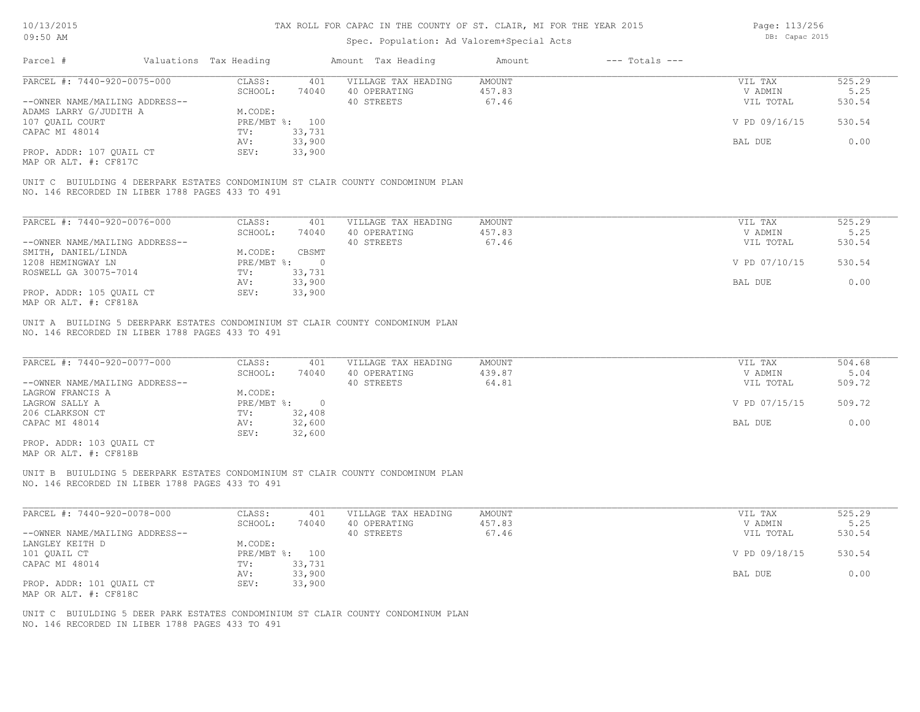Page: 113/256 DB: Capac 2015

| Parcel #<br>Valuations Tax Heading<br>Amount Tax Heading<br>$---$ Totals $---$<br>Amount<br>PARCEL #: 7440-920-0075-000<br>525.29<br>CLASS:<br>401<br>VILLAGE TAX HEADING<br>AMOUNT<br>VIL TAX<br>457.83<br>SCHOOL:<br>74040<br>40 OPERATING<br>V ADMIN<br>67.46<br>--OWNER NAME/MAILING ADDRESS--<br>40 STREETS<br>VIL TOTAL<br>M.CODE:<br>ADAMS LARRY G/JUDITH A<br>530.54<br>107 QUAIL COURT<br>PRE/MBT %: 100<br>V PD 09/16/15<br>CAPAC MI 48014<br>33,731<br>TV:<br>33,900<br>BAL DUE<br>AV:<br>PROP. ADDR: 107 QUAIL CT<br>33,900<br>SEV:<br>MAP OR ALT. #: CF817C<br>UNIT C BUIULDING 4 DEERPARK ESTATES CONDOMINIUM ST CLAIR COUNTY CONDOMINUM PLAN<br>NO. 146 RECORDED IN LIBER 1788 PAGES 433 TO 491<br>PARCEL #: 7440-920-0076-000<br>CLASS:<br>401<br>VILLAGE TAX HEADING<br>AMOUNT<br>VIL TAX<br>457.83<br>SCHOOL:<br>74040<br>40 OPERATING<br>V ADMIN<br>40 STREETS<br>67.46<br>--OWNER NAME/MAILING ADDRESS--<br>VIL TOTAL<br>SMITH, DANIEL/LINDA<br>M.CODE:<br>CBSMT<br>530.54<br>1208 HEMINGWAY LN<br>$PRE/MBT$ %:<br>V PD 07/10/15<br>$\circ$<br>ROSWELL GA 30075-7014<br>33,731<br>TV:<br>33,900<br>BAL DUE<br>0.00<br>AV:<br>PROP. ADDR: 105 QUAIL CT<br>33,900<br>SEV:<br>MAP OR ALT. #: CF818A<br>UNIT A BUILDING 5 DEERPARK ESTATES CONDOMINIUM ST CLAIR COUNTY CONDOMINUM PLAN<br>NO. 146 RECORDED IN LIBER 1788 PAGES 433 TO 491<br>PARCEL #: 7440-920-0077-000<br>CLASS:<br>VILLAGE TAX HEADING<br>401<br>AMOUNT<br>VIL TAX<br>40 OPERATING<br>439.87<br>SCHOOL:<br>74040<br>V ADMIN<br>64.81<br>--OWNER NAME/MAILING ADDRESS--<br>40 STREETS<br>VIL TOTAL<br>LAGROW FRANCIS A<br>M.CODE:<br>LAGROW SALLY A<br>$PRE/MBT$ $\div$<br>$\overline{0}$<br>V PD 07/15/15<br>32,408<br>206 CLARKSON CT<br>TV:<br>CAPAC MI 48014<br>32,600<br>BAL DUE<br>AV:<br>32,600<br>SEV:<br>PROP. ADDR: 103 QUAIL CT<br>MAP OR ALT. #: CF818B<br>UNIT B BUIULDING 5 DEERPARK ESTATES CONDOMINIUM ST CLAIR COUNTY CONDOMINUM PLAN<br>NO. 146 RECORDED IN LIBER 1788 PAGES 433 TO 491<br>PARCEL #: 7440-920-0078-000<br>VILLAGE TAX HEADING<br>CLASS:<br>401<br>AMOUNT<br>VIL TAX<br>SCHOOL:<br>74040<br>40 OPERATING<br>457.83<br>V ADMIN<br>40 STREETS<br>67.46<br>530.54<br>--OWNER NAME/MAILING ADDRESS--<br>VIL TOTAL<br>M.CODE:<br>LANGLEY KEITH D<br>101 QUAIL CT<br>$PRE/MBT$ $\div$<br>100<br>V PD 09/18/15<br>530.54<br>33,731<br>CAPAC MI 48014<br>TV:<br>33,900<br>AV:<br>BAL DUE<br>33,900<br>PROP. ADDR: 101 QUAIL CT<br>SEV:<br>MAP OR ALT. #: CF818C<br>UNIT C BUIULDING 5 DEER PARK ESTATES CONDOMINIUM ST CLAIR COUNTY CONDOMINUM PLAN<br>NO. 146 RECORDED IN LIBER 1788 PAGES 433 TO 491 | UY: JU AM |  | Spec. Population: Ad Valorem+Special Acts |  | DD. Capac ZUIJ |        |
|-------------------------------------------------------------------------------------------------------------------------------------------------------------------------------------------------------------------------------------------------------------------------------------------------------------------------------------------------------------------------------------------------------------------------------------------------------------------------------------------------------------------------------------------------------------------------------------------------------------------------------------------------------------------------------------------------------------------------------------------------------------------------------------------------------------------------------------------------------------------------------------------------------------------------------------------------------------------------------------------------------------------------------------------------------------------------------------------------------------------------------------------------------------------------------------------------------------------------------------------------------------------------------------------------------------------------------------------------------------------------------------------------------------------------------------------------------------------------------------------------------------------------------------------------------------------------------------------------------------------------------------------------------------------------------------------------------------------------------------------------------------------------------------------------------------------------------------------------------------------------------------------------------------------------------------------------------------------------------------------------------------------------------------------------------------------------------------------------------------------------------------------------------------------------------------------------------------------------------------------------------------------------------------------------------------------------------------------------------------------------------------------------------------------------------------------------------------------------------------------------------------------------------------------------------------------------------------------------------------------|-----------|--|-------------------------------------------|--|----------------|--------|
|                                                                                                                                                                                                                                                                                                                                                                                                                                                                                                                                                                                                                                                                                                                                                                                                                                                                                                                                                                                                                                                                                                                                                                                                                                                                                                                                                                                                                                                                                                                                                                                                                                                                                                                                                                                                                                                                                                                                                                                                                                                                                                                                                                                                                                                                                                                                                                                                                                                                                                                                                                                                                   |           |  |                                           |  |                |        |
|                                                                                                                                                                                                                                                                                                                                                                                                                                                                                                                                                                                                                                                                                                                                                                                                                                                                                                                                                                                                                                                                                                                                                                                                                                                                                                                                                                                                                                                                                                                                                                                                                                                                                                                                                                                                                                                                                                                                                                                                                                                                                                                                                                                                                                                                                                                                                                                                                                                                                                                                                                                                                   |           |  |                                           |  |                |        |
| 0.00<br>530.54<br>504.68<br>509.72<br>0.00<br>525.29<br>0.00                                                                                                                                                                                                                                                                                                                                                                                                                                                                                                                                                                                                                                                                                                                                                                                                                                                                                                                                                                                                                                                                                                                                                                                                                                                                                                                                                                                                                                                                                                                                                                                                                                                                                                                                                                                                                                                                                                                                                                                                                                                                                                                                                                                                                                                                                                                                                                                                                                                                                                                                                      |           |  |                                           |  |                | 5.25   |
| 525.29<br>5.25<br>5.04<br>509.72<br>5.25                                                                                                                                                                                                                                                                                                                                                                                                                                                                                                                                                                                                                                                                                                                                                                                                                                                                                                                                                                                                                                                                                                                                                                                                                                                                                                                                                                                                                                                                                                                                                                                                                                                                                                                                                                                                                                                                                                                                                                                                                                                                                                                                                                                                                                                                                                                                                                                                                                                                                                                                                                          |           |  |                                           |  |                | 530.54 |
|                                                                                                                                                                                                                                                                                                                                                                                                                                                                                                                                                                                                                                                                                                                                                                                                                                                                                                                                                                                                                                                                                                                                                                                                                                                                                                                                                                                                                                                                                                                                                                                                                                                                                                                                                                                                                                                                                                                                                                                                                                                                                                                                                                                                                                                                                                                                                                                                                                                                                                                                                                                                                   |           |  |                                           |  |                |        |
|                                                                                                                                                                                                                                                                                                                                                                                                                                                                                                                                                                                                                                                                                                                                                                                                                                                                                                                                                                                                                                                                                                                                                                                                                                                                                                                                                                                                                                                                                                                                                                                                                                                                                                                                                                                                                                                                                                                                                                                                                                                                                                                                                                                                                                                                                                                                                                                                                                                                                                                                                                                                                   |           |  |                                           |  |                |        |
|                                                                                                                                                                                                                                                                                                                                                                                                                                                                                                                                                                                                                                                                                                                                                                                                                                                                                                                                                                                                                                                                                                                                                                                                                                                                                                                                                                                                                                                                                                                                                                                                                                                                                                                                                                                                                                                                                                                                                                                                                                                                                                                                                                                                                                                                                                                                                                                                                                                                                                                                                                                                                   |           |  |                                           |  |                |        |
|                                                                                                                                                                                                                                                                                                                                                                                                                                                                                                                                                                                                                                                                                                                                                                                                                                                                                                                                                                                                                                                                                                                                                                                                                                                                                                                                                                                                                                                                                                                                                                                                                                                                                                                                                                                                                                                                                                                                                                                                                                                                                                                                                                                                                                                                                                                                                                                                                                                                                                                                                                                                                   |           |  |                                           |  |                |        |
|                                                                                                                                                                                                                                                                                                                                                                                                                                                                                                                                                                                                                                                                                                                                                                                                                                                                                                                                                                                                                                                                                                                                                                                                                                                                                                                                                                                                                                                                                                                                                                                                                                                                                                                                                                                                                                                                                                                                                                                                                                                                                                                                                                                                                                                                                                                                                                                                                                                                                                                                                                                                                   |           |  |                                           |  |                |        |
|                                                                                                                                                                                                                                                                                                                                                                                                                                                                                                                                                                                                                                                                                                                                                                                                                                                                                                                                                                                                                                                                                                                                                                                                                                                                                                                                                                                                                                                                                                                                                                                                                                                                                                                                                                                                                                                                                                                                                                                                                                                                                                                                                                                                                                                                                                                                                                                                                                                                                                                                                                                                                   |           |  |                                           |  |                |        |
|                                                                                                                                                                                                                                                                                                                                                                                                                                                                                                                                                                                                                                                                                                                                                                                                                                                                                                                                                                                                                                                                                                                                                                                                                                                                                                                                                                                                                                                                                                                                                                                                                                                                                                                                                                                                                                                                                                                                                                                                                                                                                                                                                                                                                                                                                                                                                                                                                                                                                                                                                                                                                   |           |  |                                           |  |                |        |
|                                                                                                                                                                                                                                                                                                                                                                                                                                                                                                                                                                                                                                                                                                                                                                                                                                                                                                                                                                                                                                                                                                                                                                                                                                                                                                                                                                                                                                                                                                                                                                                                                                                                                                                                                                                                                                                                                                                                                                                                                                                                                                                                                                                                                                                                                                                                                                                                                                                                                                                                                                                                                   |           |  |                                           |  |                |        |
|                                                                                                                                                                                                                                                                                                                                                                                                                                                                                                                                                                                                                                                                                                                                                                                                                                                                                                                                                                                                                                                                                                                                                                                                                                                                                                                                                                                                                                                                                                                                                                                                                                                                                                                                                                                                                                                                                                                                                                                                                                                                                                                                                                                                                                                                                                                                                                                                                                                                                                                                                                                                                   |           |  |                                           |  |                |        |
|                                                                                                                                                                                                                                                                                                                                                                                                                                                                                                                                                                                                                                                                                                                                                                                                                                                                                                                                                                                                                                                                                                                                                                                                                                                                                                                                                                                                                                                                                                                                                                                                                                                                                                                                                                                                                                                                                                                                                                                                                                                                                                                                                                                                                                                                                                                                                                                                                                                                                                                                                                                                                   |           |  |                                           |  |                |        |
|                                                                                                                                                                                                                                                                                                                                                                                                                                                                                                                                                                                                                                                                                                                                                                                                                                                                                                                                                                                                                                                                                                                                                                                                                                                                                                                                                                                                                                                                                                                                                                                                                                                                                                                                                                                                                                                                                                                                                                                                                                                                                                                                                                                                                                                                                                                                                                                                                                                                                                                                                                                                                   |           |  |                                           |  |                |        |
|                                                                                                                                                                                                                                                                                                                                                                                                                                                                                                                                                                                                                                                                                                                                                                                                                                                                                                                                                                                                                                                                                                                                                                                                                                                                                                                                                                                                                                                                                                                                                                                                                                                                                                                                                                                                                                                                                                                                                                                                                                                                                                                                                                                                                                                                                                                                                                                                                                                                                                                                                                                                                   |           |  |                                           |  |                |        |
|                                                                                                                                                                                                                                                                                                                                                                                                                                                                                                                                                                                                                                                                                                                                                                                                                                                                                                                                                                                                                                                                                                                                                                                                                                                                                                                                                                                                                                                                                                                                                                                                                                                                                                                                                                                                                                                                                                                                                                                                                                                                                                                                                                                                                                                                                                                                                                                                                                                                                                                                                                                                                   |           |  |                                           |  |                |        |
|                                                                                                                                                                                                                                                                                                                                                                                                                                                                                                                                                                                                                                                                                                                                                                                                                                                                                                                                                                                                                                                                                                                                                                                                                                                                                                                                                                                                                                                                                                                                                                                                                                                                                                                                                                                                                                                                                                                                                                                                                                                                                                                                                                                                                                                                                                                                                                                                                                                                                                                                                                                                                   |           |  |                                           |  |                |        |
|                                                                                                                                                                                                                                                                                                                                                                                                                                                                                                                                                                                                                                                                                                                                                                                                                                                                                                                                                                                                                                                                                                                                                                                                                                                                                                                                                                                                                                                                                                                                                                                                                                                                                                                                                                                                                                                                                                                                                                                                                                                                                                                                                                                                                                                                                                                                                                                                                                                                                                                                                                                                                   |           |  |                                           |  |                |        |
|                                                                                                                                                                                                                                                                                                                                                                                                                                                                                                                                                                                                                                                                                                                                                                                                                                                                                                                                                                                                                                                                                                                                                                                                                                                                                                                                                                                                                                                                                                                                                                                                                                                                                                                                                                                                                                                                                                                                                                                                                                                                                                                                                                                                                                                                                                                                                                                                                                                                                                                                                                                                                   |           |  |                                           |  |                |        |
|                                                                                                                                                                                                                                                                                                                                                                                                                                                                                                                                                                                                                                                                                                                                                                                                                                                                                                                                                                                                                                                                                                                                                                                                                                                                                                                                                                                                                                                                                                                                                                                                                                                                                                                                                                                                                                                                                                                                                                                                                                                                                                                                                                                                                                                                                                                                                                                                                                                                                                                                                                                                                   |           |  |                                           |  |                |        |
|                                                                                                                                                                                                                                                                                                                                                                                                                                                                                                                                                                                                                                                                                                                                                                                                                                                                                                                                                                                                                                                                                                                                                                                                                                                                                                                                                                                                                                                                                                                                                                                                                                                                                                                                                                                                                                                                                                                                                                                                                                                                                                                                                                                                                                                                                                                                                                                                                                                                                                                                                                                                                   |           |  |                                           |  |                |        |
|                                                                                                                                                                                                                                                                                                                                                                                                                                                                                                                                                                                                                                                                                                                                                                                                                                                                                                                                                                                                                                                                                                                                                                                                                                                                                                                                                                                                                                                                                                                                                                                                                                                                                                                                                                                                                                                                                                                                                                                                                                                                                                                                                                                                                                                                                                                                                                                                                                                                                                                                                                                                                   |           |  |                                           |  |                |        |
|                                                                                                                                                                                                                                                                                                                                                                                                                                                                                                                                                                                                                                                                                                                                                                                                                                                                                                                                                                                                                                                                                                                                                                                                                                                                                                                                                                                                                                                                                                                                                                                                                                                                                                                                                                                                                                                                                                                                                                                                                                                                                                                                                                                                                                                                                                                                                                                                                                                                                                                                                                                                                   |           |  |                                           |  |                |        |
|                                                                                                                                                                                                                                                                                                                                                                                                                                                                                                                                                                                                                                                                                                                                                                                                                                                                                                                                                                                                                                                                                                                                                                                                                                                                                                                                                                                                                                                                                                                                                                                                                                                                                                                                                                                                                                                                                                                                                                                                                                                                                                                                                                                                                                                                                                                                                                                                                                                                                                                                                                                                                   |           |  |                                           |  |                |        |
|                                                                                                                                                                                                                                                                                                                                                                                                                                                                                                                                                                                                                                                                                                                                                                                                                                                                                                                                                                                                                                                                                                                                                                                                                                                                                                                                                                                                                                                                                                                                                                                                                                                                                                                                                                                                                                                                                                                                                                                                                                                                                                                                                                                                                                                                                                                                                                                                                                                                                                                                                                                                                   |           |  |                                           |  |                |        |
|                                                                                                                                                                                                                                                                                                                                                                                                                                                                                                                                                                                                                                                                                                                                                                                                                                                                                                                                                                                                                                                                                                                                                                                                                                                                                                                                                                                                                                                                                                                                                                                                                                                                                                                                                                                                                                                                                                                                                                                                                                                                                                                                                                                                                                                                                                                                                                                                                                                                                                                                                                                                                   |           |  |                                           |  |                |        |
|                                                                                                                                                                                                                                                                                                                                                                                                                                                                                                                                                                                                                                                                                                                                                                                                                                                                                                                                                                                                                                                                                                                                                                                                                                                                                                                                                                                                                                                                                                                                                                                                                                                                                                                                                                                                                                                                                                                                                                                                                                                                                                                                                                                                                                                                                                                                                                                                                                                                                                                                                                                                                   |           |  |                                           |  |                |        |
|                                                                                                                                                                                                                                                                                                                                                                                                                                                                                                                                                                                                                                                                                                                                                                                                                                                                                                                                                                                                                                                                                                                                                                                                                                                                                                                                                                                                                                                                                                                                                                                                                                                                                                                                                                                                                                                                                                                                                                                                                                                                                                                                                                                                                                                                                                                                                                                                                                                                                                                                                                                                                   |           |  |                                           |  |                |        |
|                                                                                                                                                                                                                                                                                                                                                                                                                                                                                                                                                                                                                                                                                                                                                                                                                                                                                                                                                                                                                                                                                                                                                                                                                                                                                                                                                                                                                                                                                                                                                                                                                                                                                                                                                                                                                                                                                                                                                                                                                                                                                                                                                                                                                                                                                                                                                                                                                                                                                                                                                                                                                   |           |  |                                           |  |                |        |
|                                                                                                                                                                                                                                                                                                                                                                                                                                                                                                                                                                                                                                                                                                                                                                                                                                                                                                                                                                                                                                                                                                                                                                                                                                                                                                                                                                                                                                                                                                                                                                                                                                                                                                                                                                                                                                                                                                                                                                                                                                                                                                                                                                                                                                                                                                                                                                                                                                                                                                                                                                                                                   |           |  |                                           |  |                |        |
|                                                                                                                                                                                                                                                                                                                                                                                                                                                                                                                                                                                                                                                                                                                                                                                                                                                                                                                                                                                                                                                                                                                                                                                                                                                                                                                                                                                                                                                                                                                                                                                                                                                                                                                                                                                                                                                                                                                                                                                                                                                                                                                                                                                                                                                                                                                                                                                                                                                                                                                                                                                                                   |           |  |                                           |  |                |        |
|                                                                                                                                                                                                                                                                                                                                                                                                                                                                                                                                                                                                                                                                                                                                                                                                                                                                                                                                                                                                                                                                                                                                                                                                                                                                                                                                                                                                                                                                                                                                                                                                                                                                                                                                                                                                                                                                                                                                                                                                                                                                                                                                                                                                                                                                                                                                                                                                                                                                                                                                                                                                                   |           |  |                                           |  |                |        |
|                                                                                                                                                                                                                                                                                                                                                                                                                                                                                                                                                                                                                                                                                                                                                                                                                                                                                                                                                                                                                                                                                                                                                                                                                                                                                                                                                                                                                                                                                                                                                                                                                                                                                                                                                                                                                                                                                                                                                                                                                                                                                                                                                                                                                                                                                                                                                                                                                                                                                                                                                                                                                   |           |  |                                           |  |                |        |
|                                                                                                                                                                                                                                                                                                                                                                                                                                                                                                                                                                                                                                                                                                                                                                                                                                                                                                                                                                                                                                                                                                                                                                                                                                                                                                                                                                                                                                                                                                                                                                                                                                                                                                                                                                                                                                                                                                                                                                                                                                                                                                                                                                                                                                                                                                                                                                                                                                                                                                                                                                                                                   |           |  |                                           |  |                |        |
|                                                                                                                                                                                                                                                                                                                                                                                                                                                                                                                                                                                                                                                                                                                                                                                                                                                                                                                                                                                                                                                                                                                                                                                                                                                                                                                                                                                                                                                                                                                                                                                                                                                                                                                                                                                                                                                                                                                                                                                                                                                                                                                                                                                                                                                                                                                                                                                                                                                                                                                                                                                                                   |           |  |                                           |  |                |        |
|                                                                                                                                                                                                                                                                                                                                                                                                                                                                                                                                                                                                                                                                                                                                                                                                                                                                                                                                                                                                                                                                                                                                                                                                                                                                                                                                                                                                                                                                                                                                                                                                                                                                                                                                                                                                                                                                                                                                                                                                                                                                                                                                                                                                                                                                                                                                                                                                                                                                                                                                                                                                                   |           |  |                                           |  |                |        |
|                                                                                                                                                                                                                                                                                                                                                                                                                                                                                                                                                                                                                                                                                                                                                                                                                                                                                                                                                                                                                                                                                                                                                                                                                                                                                                                                                                                                                                                                                                                                                                                                                                                                                                                                                                                                                                                                                                                                                                                                                                                                                                                                                                                                                                                                                                                                                                                                                                                                                                                                                                                                                   |           |  |                                           |  |                |        |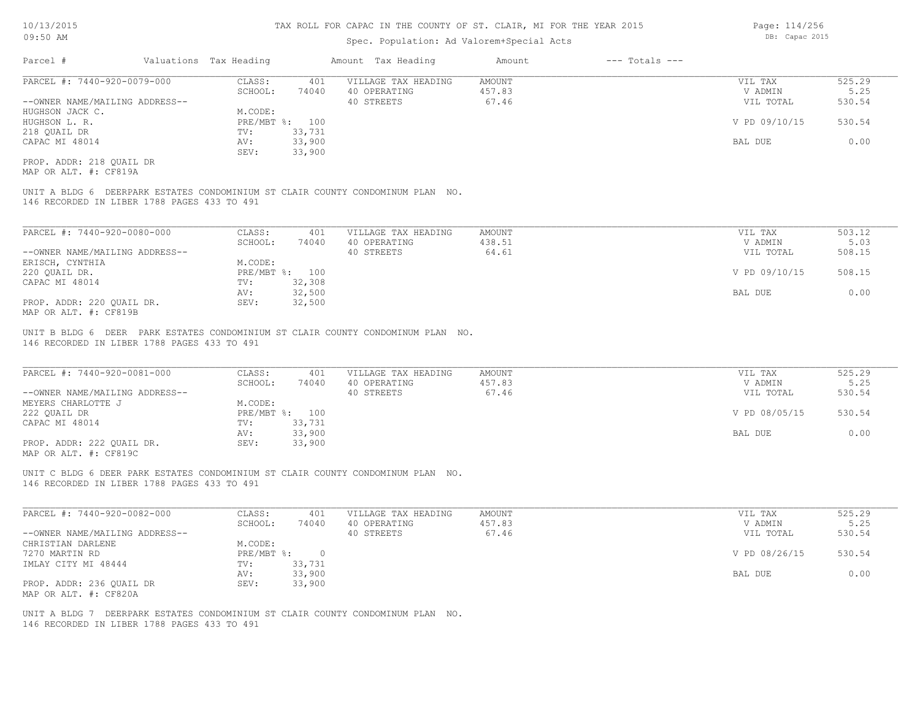### Spec. Population: Ad Valorem+Special Acts

| Parcel #                       | Valuations Tax Heading |        | Amount Tax Heading  | Amount | $---$ Totals $---$ |               |        |
|--------------------------------|------------------------|--------|---------------------|--------|--------------------|---------------|--------|
| PARCEL #: 7440-920-0079-000    | CLASS:                 | 401    | VILLAGE TAX HEADING | AMOUNT |                    | VIL TAX       | 525.29 |
|                                | SCHOOL:                | 74040  | 40 OPERATING        | 457.83 |                    | V ADMIN       | 5.25   |
| --OWNER NAME/MAILING ADDRESS-- |                        |        | 40 STREETS          | 67.46  |                    | VIL TOTAL     | 530.54 |
| HUGHSON JACK C.                | M.CODE:                |        |                     |        |                    |               |        |
| HUGHSON L. R.                  | PRE/MBT %: 100         |        |                     |        |                    | V PD 09/10/15 | 530.54 |
| 218 QUAIL DR                   | TV:                    | 33,731 |                     |        |                    |               |        |
| CAPAC MI 48014                 | AV:                    | 33,900 |                     |        |                    | BAL DUE       | 0.00   |
|                                | SEV:                   | 33,900 |                     |        |                    |               |        |
| PROP. ADDR: 218 OUAIL DR       |                        |        |                     |        |                    |               |        |

MAP OR ALT. #: CF819A

146 RECORDED IN LIBER 1788 PAGES 433 TO 491 UNIT A BLDG 6 DEERPARK ESTATES CONDOMINIUM ST CLAIR COUNTY CONDOMINUM PLAN NO.

| PARCEL #: 7440-920-0080-000    | CLASS:  | 401            | VILLAGE TAX HEADING | AMOUNT | VIL TAX       | 503.12 |
|--------------------------------|---------|----------------|---------------------|--------|---------------|--------|
|                                | SCHOOL: | 74040          | 40 OPERATING        | 438.51 | V ADMIN       | 5.03   |
| --OWNER NAME/MAILING ADDRESS-- |         |                | 40 STREETS          | 64.61  | VIL TOTAL     | 508.15 |
| ERISCH, CYNTHIA                | M.CODE: |                |                     |        |               |        |
| 220 OUAIL DR.                  |         | PRE/MBT %: 100 |                     |        | V PD 09/10/15 | 508.15 |
| CAPAC MI 48014                 | TV:     | 32,308         |                     |        |               |        |
|                                | AV:     | 32,500         |                     |        | BAL DUE       | 0.00   |
| PROP. ADDR: 220 QUAIL DR.      | SEV:    | 32,500         |                     |        |               |        |
| MAP OR ALT. #: CF819B          |         |                |                     |        |               |        |

UNIT B BLDG 6 DEER PARK ESTATES CONDOMINIUM ST CLAIR COUNTY CONDOMINUM PLAN NO.

146 RECORDED IN LIBER 1788 PAGES 433 TO 491

| PARCEL #: 7440-920-0081-000                                             | CLASS:       | 401    | VILLAGE TAX HEADING | AMOUNT | VIL TAX       | 525.29 |
|-------------------------------------------------------------------------|--------------|--------|---------------------|--------|---------------|--------|
|                                                                         | SCHOOL:      | 74040  | 40 OPERATING        | 457.83 | V ADMIN       | 5.25   |
| --OWNER NAME/MAILING ADDRESS--                                          |              |        | 40 STREETS          | 67.46  | VIL TOTAL     | 530.54 |
| MEYERS CHARLOTTE J                                                      | M.CODE:      |        |                     |        |               |        |
| 222 OUAIL DR                                                            | $PRE/MBT$ %: | 100    |                     |        | V PD 08/05/15 | 530.54 |
| CAPAC MI 48014                                                          | TV:          | 33,731 |                     |        |               |        |
|                                                                         | AV:          | 33,900 |                     |        | BAL DUE       | 0.00   |
| PROP. ADDR: 222 OUAIL DR.                                               | SEV:         | 33,900 |                     |        |               |        |
| $\cdots$ $\cdots$ $\cdots$ $\cdots$ $\cdots$ $\cdots$ $\cdots$ $\cdots$ |              |        |                     |        |               |        |

 $\mathcal{L}_\mathcal{L} = \mathcal{L}_\mathcal{L} = \mathcal{L}_\mathcal{L} = \mathcal{L}_\mathcal{L} = \mathcal{L}_\mathcal{L} = \mathcal{L}_\mathcal{L} = \mathcal{L}_\mathcal{L} = \mathcal{L}_\mathcal{L} = \mathcal{L}_\mathcal{L} = \mathcal{L}_\mathcal{L} = \mathcal{L}_\mathcal{L} = \mathcal{L}_\mathcal{L} = \mathcal{L}_\mathcal{L} = \mathcal{L}_\mathcal{L} = \mathcal{L}_\mathcal{L} = \mathcal{L}_\mathcal{L} = \mathcal{L}_\mathcal{L}$ 

MAP OR ALT. #: CF819C

146 RECORDED IN LIBER 1788 PAGES 433 TO 491 UNIT C BLDG 6 DEER PARK ESTATES CONDOMINIUM ST CLAIR COUNTY CONDOMINUM PLAN NO.

| PARCEL #: 7440-920-0082-000    | CLASS:       | 401    | VILLAGE TAX HEADING | AMOUNT | VIL TAX       | 525.29 |
|--------------------------------|--------------|--------|---------------------|--------|---------------|--------|
|                                | SCHOOL:      | 74040  | 40 OPERATING        | 457.83 | V ADMIN       | 5.25   |
| --OWNER NAME/MAILING ADDRESS-- |              |        | 40 STREETS          | 67.46  | VIL TOTAL     | 530.54 |
| CHRISTIAN DARLENE              | M.CODE:      |        |                     |        |               |        |
| 7270 MARTIN RD                 | $PRE/MBT$ %: |        |                     |        | V PD 08/26/15 | 530.54 |
| IMLAY CITY MI 48444            | TV:          | 33,731 |                     |        |               |        |
|                                | AV:          | 33,900 |                     |        | BAL DUE       | 0.00   |
| PROP. ADDR: 236 OUAIL DR       | SEV:         | 33,900 |                     |        |               |        |
| MAP OR ALT. #: CF820A          |              |        |                     |        |               |        |

146 RECORDED IN LIBER 1788 PAGES 433 TO 491 UNIT A BLDG 7 DEERPARK ESTATES CONDOMINIUM ST CLAIR COUNTY CONDOMINUM PLAN NO. Page: 114/256 DB: Capac 2015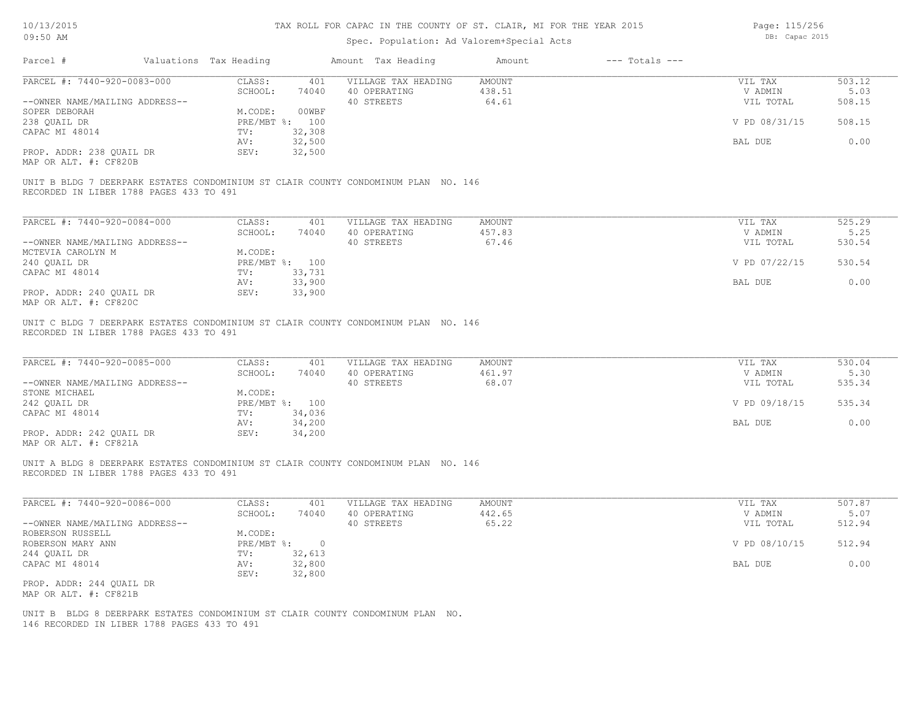# Spec. Population: Ad Valorem+Special Acts

Page: 115/256 DB: Capac 2015

| Parcel #                                                      | Valuations Tax Heading |                  | Amount Tax Heading                                                                 | Amount                    | $---$ Totals $---$ |                                 |                          |
|---------------------------------------------------------------|------------------------|------------------|------------------------------------------------------------------------------------|---------------------------|--------------------|---------------------------------|--------------------------|
| PARCEL #: 7440-920-0083-000                                   | CLASS:<br>SCHOOL:      | 401<br>74040     | VILLAGE TAX HEADING<br>40 OPERATING                                                | <b>AMOUNT</b><br>438.51   |                    | VIL TAX<br>V ADMIN              | 503.12<br>5.03           |
| --OWNER NAME/MAILING ADDRESS--                                |                        |                  | 40 STREETS                                                                         | 64.61                     |                    | VIL TOTAL                       | 508.15                   |
| SOPER DEBORAH                                                 | M.CODE:                | 00WBF            |                                                                                    |                           |                    |                                 |                          |
| 238 QUAIL DR                                                  |                        | PRE/MBT %: 100   |                                                                                    |                           |                    | V PD 08/31/15                   | 508.15                   |
| CAPAC MI 48014                                                | TV:                    | 32,308           |                                                                                    |                           |                    |                                 |                          |
|                                                               | AV:                    | 32,500           |                                                                                    |                           |                    | BAL DUE                         | 0.00                     |
| PROP. ADDR: 238 QUAIL DR<br>MAP OR ALT. #: CF820B             | SEV:                   | 32,500           |                                                                                    |                           |                    |                                 |                          |
| RECORDED IN LIBER 1788 PAGES 433 TO 491                       |                        |                  | UNIT B BLDG 7 DEERPARK ESTATES CONDOMINIUM ST CLAIR COUNTY CONDOMINUM PLAN NO. 146 |                           |                    |                                 |                          |
| PARCEL #: 7440-920-0084-000                                   | CLASS:                 | 401              | VILLAGE TAX HEADING                                                                | <b>AMOUNT</b>             |                    | VIL TAX                         | 525.29                   |
|                                                               | SCHOOL:                | 74040            | 40 OPERATING                                                                       | 457.83                    |                    | V ADMIN                         | 5.25                     |
| --OWNER NAME/MAILING ADDRESS--                                |                        |                  | 40 STREETS                                                                         | 67.46                     |                    | VIL TOTAL                       | 530.54                   |
| MCTEVIA CAROLYN M                                             | M.CODE:                |                  |                                                                                    |                           |                    |                                 |                          |
| 240 QUAIL DR                                                  |                        | PRE/MBT %: 100   |                                                                                    |                           |                    | V PD 07/22/15                   | 530.54                   |
| CAPAC MI 48014                                                | TV:                    | 33,731           |                                                                                    |                           |                    |                                 |                          |
|                                                               | AV:                    | 33,900           |                                                                                    |                           |                    | BAL DUE                         | 0.00                     |
| PROP. ADDR: 240 QUAIL DR<br>MAP OR ALT. #: CF820C             | SEV:                   | 33,900           |                                                                                    |                           |                    |                                 |                          |
| PARCEL #: 7440-920-0085-000<br>--OWNER NAME/MAILING ADDRESS-- | CLASS:<br>SCHOOL:      | 401<br>74040     | VILLAGE TAX HEADING<br>40 OPERATING<br>40 STREETS                                  | AMOUNT<br>461.97<br>68.07 |                    | VIL TAX<br>V ADMIN<br>VIL TOTAL | 530.04<br>5.30<br>535.34 |
| STONE MICHAEL                                                 | M.CODE:                |                  |                                                                                    |                           |                    |                                 |                          |
| 242 QUAIL DR                                                  |                        | PRE/MBT %: 100   |                                                                                    |                           |                    | V PD 09/18/15                   | 535.34                   |
| CAPAC MI 48014                                                | TV:                    | 34,036           |                                                                                    |                           |                    |                                 |                          |
|                                                               | AV:                    | 34,200           |                                                                                    |                           |                    | BAL DUE                         | 0.00                     |
| PROP. ADDR: 242 QUAIL DR<br>MAP OR ALT. #: CF821A             | SEV:                   | 34,200           |                                                                                    |                           |                    |                                 |                          |
| RECORDED IN LIBER 1788 PAGES 433 TO 491                       |                        |                  | UNIT A BLDG 8 DEERPARK ESTATES CONDOMINIUM ST CLAIR COUNTY CONDOMINUM PLAN NO. 146 |                           |                    |                                 |                          |
| PARCEL #: 7440-920-0086-000                                   | CLASS:                 | 401              | VILLAGE TAX HEADING                                                                | <b>AMOUNT</b>             |                    | VIL TAX                         | 507.87                   |
|                                                               | SCHOOL:                | 74040            | 40 OPERATING                                                                       | 442.65                    |                    | V ADMIN                         | 5.07                     |
| --OWNER NAME/MAILING ADDRESS--                                |                        |                  | 40 STREETS                                                                         | 65.22                     |                    | VIL TOTAL                       | 512.94                   |
| ROBERSON RUSSELL                                              | M.CODE:                |                  |                                                                                    |                           |                    |                                 |                          |
| ROBERSON MARY ANN                                             |                        | PRE/MBT %: 0     |                                                                                    |                           |                    | V PD 08/10/15                   | 512.94                   |
| 244 QUAIL DR                                                  | TV:                    | 32,613           |                                                                                    |                           |                    |                                 |                          |
| CAPAC MI 48014                                                | AV:<br>SEV:            | 32,800<br>32,800 |                                                                                    |                           |                    | BAL DUE                         | 0.00                     |
| PROP. ADDR: 244 QUAIL DR<br>MAP OR ALT. #: CF821B             |                        |                  |                                                                                    |                           |                    |                                 |                          |
|                                                               |                        |                  | UNIT B BLDG 8 DEERPARK ESTATES CONDOMINIUM ST CLAIR COUNTY CONDOMINUM PLAN NO.     |                           |                    |                                 |                          |

146 RECORDED IN LIBER 1788 PAGES 433 TO 491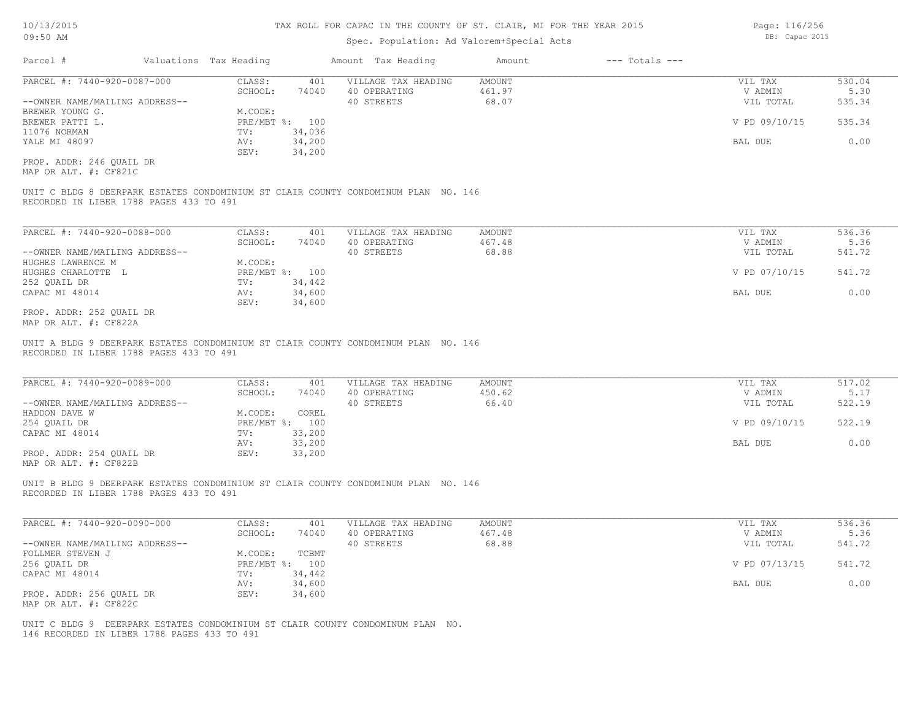### Spec. Population: Ad Valorem+Special Acts

Parcel # Valuations Tax Heading Amount Tax Heading Amount --- Totals ---MAP OR ALT. #: CF821C PROP. ADDR: 246 QUAIL DR SEV: 34,200 YALE MI 48097 AV: 34,200 BAL DUE 0.00 11076 NORMAN TV: 34,036 BREWER PATTI L. SALL SOMET STRE/MBT \$: 100 CONTROLLED TO PREVIOUS CONTROLLED AND V PD 09/10/15 535.34 BREWER YOUNG G.<br>BREWER PATTI L. M. STRE/MBT %: 100 --OWNER NAME/MAILING ADDRESS-- 40 STREETS 68.07 VIL TOTAL 535.34 SCHOOL: 74040 40 OPERATING 461.97 (1999) 461.97 (1999) 461.97 (1999) 47 M M M M S.30 PARCEL #: 7440-920-0087-000 CLASS: 401 VILLAGE TAX HEADING AMOUNT AMOUNT VIL TAX 530.04<br>SCHOOL: 74040 40 OPERATING 461.97 VADMIN 5.30  $\mathcal{L}_\mathcal{L} = \mathcal{L}_\mathcal{L} = \mathcal{L}_\mathcal{L} = \mathcal{L}_\mathcal{L} = \mathcal{L}_\mathcal{L} = \mathcal{L}_\mathcal{L} = \mathcal{L}_\mathcal{L} = \mathcal{L}_\mathcal{L} = \mathcal{L}_\mathcal{L} = \mathcal{L}_\mathcal{L} = \mathcal{L}_\mathcal{L} = \mathcal{L}_\mathcal{L} = \mathcal{L}_\mathcal{L} = \mathcal{L}_\mathcal{L} = \mathcal{L}_\mathcal{L} = \mathcal{L}_\mathcal{L} = \mathcal{L}_\mathcal{L}$ 

RECORDED IN LIBER 1788 PAGES 433 TO 491 UNIT C BLDG 8 DEERPARK ESTATES CONDOMINIUM ST CLAIR COUNTY CONDOMINUM PLAN NO. 146

| PARCEL #: 7440-920-0088-000    | CLASS:       | 401    | VILLAGE TAX HEADING | AMOUNT | VIL TAX       | 536.36 |
|--------------------------------|--------------|--------|---------------------|--------|---------------|--------|
|                                | SCHOOL:      | 74040  | 40 OPERATING        | 467.48 | V ADMIN       | 5.36   |
| --OWNER NAME/MAILING ADDRESS-- |              |        | 40 STREETS          | 68.88  | VIL TOTAL     | 541.72 |
| HUGHES LAWRENCE M              | M.CODE:      |        |                     |        |               |        |
| HUGHES CHARLOTTE L             | $PRE/MBT$ %: | 100    |                     |        | V PD 07/10/15 | 541.72 |
| 252 QUAIL DR                   | TV:          | 34,442 |                     |        |               |        |
| CAPAC MI 48014                 | AV:          | 34,600 |                     |        | BAL DUE       | 0.00   |
|                                | SEV:         | 34,600 |                     |        |               |        |
| PROP. ADDR: 252 OUAIL DR       |              |        |                     |        |               |        |

 $\mathcal{L}_\mathcal{L} = \mathcal{L}_\mathcal{L} = \mathcal{L}_\mathcal{L} = \mathcal{L}_\mathcal{L} = \mathcal{L}_\mathcal{L} = \mathcal{L}_\mathcal{L} = \mathcal{L}_\mathcal{L} = \mathcal{L}_\mathcal{L} = \mathcal{L}_\mathcal{L} = \mathcal{L}_\mathcal{L} = \mathcal{L}_\mathcal{L} = \mathcal{L}_\mathcal{L} = \mathcal{L}_\mathcal{L} = \mathcal{L}_\mathcal{L} = \mathcal{L}_\mathcal{L} = \mathcal{L}_\mathcal{L} = \mathcal{L}_\mathcal{L}$ 

MAP OR ALT. #: CF822A

RECORDED IN LIBER 1788 PAGES 433 TO 491 UNIT A BLDG 9 DEERPARK ESTATES CONDOMINIUM ST CLAIR COUNTY CONDOMINUM PLAN NO. 146

| PARCEL #: 7440-920-0089-000    | CLASS:  | 401            | VILLAGE TAX HEADING | AMOUNT | VIL TAX       | 517.02 |
|--------------------------------|---------|----------------|---------------------|--------|---------------|--------|
|                                | SCHOOL: | 74040          | 40 OPERATING        | 450.62 | V ADMIN       | 5.17   |
| --OWNER NAME/MAILING ADDRESS-- |         |                | 40 STREETS          | 66.40  | VIL TOTAL     | 522.19 |
| HADDON DAVE W                  | M.CODE: | COREL          |                     |        |               |        |
| 254 QUAIL DR                   |         | PRE/MBT %: 100 |                     |        | V PD 09/10/15 | 522.19 |
| CAPAC MI 48014                 | TV:     | 33,200         |                     |        |               |        |
|                                | AV:     | 33,200         |                     |        | BAL DUE       | 0.00   |
| PROP. ADDR: 254 QUAIL DR       | SEV:    | 33,200         |                     |        |               |        |
|                                |         |                |                     |        |               |        |

MAP OR ALT. #: CF822B

RECORDED IN LIBER 1788 PAGES 433 TO 491 UNIT B BLDG 9 DEERPARK ESTATES CONDOMINIUM ST CLAIR COUNTY CONDOMINUM PLAN NO. 146

| PARCEL #: 7440-920-0090-000    | CLASS:  | 401            | VILLAGE TAX HEADING | AMOUNT | VIL TAX       | 536.36 |
|--------------------------------|---------|----------------|---------------------|--------|---------------|--------|
|                                | SCHOOL: | 74040          | 40 OPERATING        | 467.48 | V ADMIN       | 5.36   |
| --OWNER NAME/MAILING ADDRESS-- |         |                | 40 STREETS          | 68.88  | VIL TOTAL     | 541.72 |
| FOLLMER STEVEN J               | M.CODE: | TCBMT          |                     |        |               |        |
| 256 QUAIL DR                   |         | PRE/MBT %: 100 |                     |        | V PD 07/13/15 | 541.72 |
| CAPAC MI 48014                 | TV:     | 34,442         |                     |        |               |        |
|                                | AV:     | 34,600         |                     |        | BAL DUE       | 0.00   |
| PROP. ADDR: 256 QUAIL DR       | SEV:    | 34,600         |                     |        |               |        |
| MAP OR ALT. #: CF822C          |         |                |                     |        |               |        |

146 RECORDED IN LIBER 1788 PAGES 433 TO 491 UNIT C BLDG 9 DEERPARK ESTATES CONDOMINIUM ST CLAIR COUNTY CONDOMINUM PLAN NO. Page: 116/256 DB: Capac 2015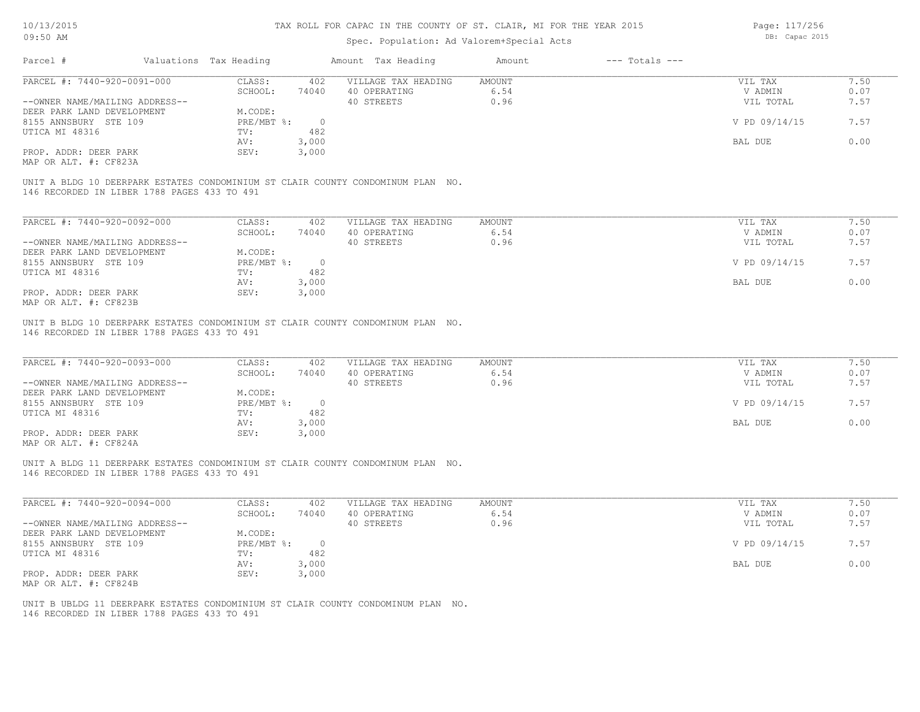### Spec. Population: Ad Valorem+Special Acts

Page: 117/256 DB: Capac 2015

| Parcel #                                                                                                                       | Valuations Tax Heading | Amount Tax Heading         | $---$ Totals $---$<br>Amount |               |      |
|--------------------------------------------------------------------------------------------------------------------------------|------------------------|----------------------------|------------------------------|---------------|------|
| PARCEL #: 7440-920-0091-000                                                                                                    | CLASS:                 | 402<br>VILLAGE TAX HEADING | AMOUNT                       | VIL TAX       | 7.50 |
|                                                                                                                                | 74040<br>SCHOOL:       | 40 OPERATING               | 6.54                         | V ADMIN       | 0.07 |
| --OWNER NAME/MAILING ADDRESS--                                                                                                 |                        | 40 STREETS                 | 0.96                         | VIL TOTAL     | 7.57 |
| DEER PARK LAND DEVELOPMENT                                                                                                     | M.CODE:                |                            |                              |               |      |
| 8155 ANNSBURY STE 109                                                                                                          | PRE/MBT %:             | $\circ$                    |                              | V PD 09/14/15 | 7.57 |
| UTICA MI 48316                                                                                                                 | 482<br>TV:             |                            |                              |               |      |
|                                                                                                                                | 3,000<br>AV:           |                            |                              | BAL DUE       | 0.00 |
| PROP. ADDR: DEER PARK                                                                                                          | SEV:<br>3,000          |                            |                              |               |      |
| MAP OR ALT. #: CF823A                                                                                                          |                        |                            |                              |               |      |
|                                                                                                                                |                        |                            |                              |               |      |
| UNIT A BLDG 10 DEERPARK ESTATES CONDOMINIUM ST CLAIR COUNTY CONDOMINUM PLAN NO.<br>146 RECORDED IN LIBER 1788 PAGES 433 TO 491 |                        |                            |                              |               |      |
| PARCEL #: 7440-920-0092-000                                                                                                    | CLASS:                 | 402<br>VILLAGE TAX HEADING | AMOUNT                       | VIL TAX       | 7.50 |
|                                                                                                                                | 74040<br>SCHOOL:       | 40 OPERATING               | 6.54                         | V ADMIN       | 0.07 |
| --OWNER NAME/MAILING ADDRESS--                                                                                                 |                        | 40 STREETS                 | 0.96                         | VIL TOTAL     | 7.57 |
| DEER PARK LAND DEVELOPMENT                                                                                                     | M.CODE:                |                            |                              |               |      |
| 8155 ANNSBURY STE 109                                                                                                          | PRE/MBT %:             | $\overline{0}$             |                              | V PD 09/14/15 | 7.57 |
| UTICA MI 48316                                                                                                                 | 482<br>TV:             |                            |                              |               |      |
|                                                                                                                                | 3,000<br>AV:           |                            |                              | BAL DUE       | 0.00 |

MAP OR ALT. #: CF823B

146 RECORDED IN LIBER 1788 PAGES 433 TO 491 UNIT B BLDG 10 DEERPARK ESTATES CONDOMINIUM ST CLAIR COUNTY CONDOMINUM PLAN NO.

| PARCEL #: 7440-920-0093-000                  | CLASS:     | 402    | VILLAGE TAX HEADING | AMOUNT | VIL TAX       | 7.50 |
|----------------------------------------------|------------|--------|---------------------|--------|---------------|------|
|                                              | SCHOOL:    | 74040  | 40 OPERATING        | 6.54   | V ADMIN       | 0.07 |
| --OWNER NAME/MAILING ADDRESS--               |            |        | 40 STREETS          | 0.96   | VIL TOTAL     | 7.57 |
| DEER PARK LAND DEVELOPMENT                   | M.CODE:    |        |                     |        |               |      |
| 8155 ANNSBURY STE 109                        | PRE/MBT %: | $\cap$ |                     |        | V PD 09/14/15 | 7.57 |
| UTICA MI 48316                               | TV:        | 482    |                     |        |               |      |
|                                              | AV:        | 3,000  |                     |        | BAL DUE       | 0.00 |
| PROP. ADDR: DEER PARK                        | SEV:       | 3,000  |                     |        |               |      |
| $\cdots$ $\cdots$ $\cdots$ $\cdots$ $\cdots$ |            |        |                     |        |               |      |

 $\mathcal{L}_\mathcal{L} = \mathcal{L}_\mathcal{L} = \mathcal{L}_\mathcal{L} = \mathcal{L}_\mathcal{L} = \mathcal{L}_\mathcal{L} = \mathcal{L}_\mathcal{L} = \mathcal{L}_\mathcal{L} = \mathcal{L}_\mathcal{L} = \mathcal{L}_\mathcal{L} = \mathcal{L}_\mathcal{L} = \mathcal{L}_\mathcal{L} = \mathcal{L}_\mathcal{L} = \mathcal{L}_\mathcal{L} = \mathcal{L}_\mathcal{L} = \mathcal{L}_\mathcal{L} = \mathcal{L}_\mathcal{L} = \mathcal{L}_\mathcal{L}$ 

 $\mathcal{L}_\mathcal{L} = \mathcal{L}_\mathcal{L} = \mathcal{L}_\mathcal{L} = \mathcal{L}_\mathcal{L} = \mathcal{L}_\mathcal{L} = \mathcal{L}_\mathcal{L} = \mathcal{L}_\mathcal{L} = \mathcal{L}_\mathcal{L} = \mathcal{L}_\mathcal{L} = \mathcal{L}_\mathcal{L} = \mathcal{L}_\mathcal{L} = \mathcal{L}_\mathcal{L} = \mathcal{L}_\mathcal{L} = \mathcal{L}_\mathcal{L} = \mathcal{L}_\mathcal{L} = \mathcal{L}_\mathcal{L} = \mathcal{L}_\mathcal{L}$ 

MAP OR ALT. #: CF824A

146 RECORDED IN LIBER 1788 PAGES 433 TO 491 UNIT A BLDG 11 DEERPARK ESTATES CONDOMINIUM ST CLAIR COUNTY CONDOMINUM PLAN NO.

| PARCEL #: 7440-920-0094-000    | CLASS:     | 402      | VILLAGE TAX HEADING | AMOUNT | VIL TAX       | 7.50 |
|--------------------------------|------------|----------|---------------------|--------|---------------|------|
|                                | SCHOOL:    | 74040    | 40 OPERATING        | 6.54   | V ADMIN       | 0.07 |
| --OWNER NAME/MAILING ADDRESS-- |            |          | 40 STREETS          | 0.96   | VIL TOTAL     | 7.57 |
| DEER PARK LAND DEVELOPMENT     | M.CODE:    |          |                     |        |               |      |
| 8155 ANNSBURY STE 109          | PRE/MBT %: | $\Omega$ |                     |        | V PD 09/14/15 | 7.57 |
| UTICA MI 48316                 | TV:        | 482      |                     |        |               |      |
|                                | AV:        | 3,000    |                     |        | BAL DUE       | 0.00 |
| PROP. ADDR: DEER PARK          | SEV:       | 3,000    |                     |        |               |      |
| MAP OR ALT. #: CF824B          |            |          |                     |        |               |      |

146 RECORDED IN LIBER 1788 PAGES 433 TO 491 UNIT B UBLDG 11 DEERPARK ESTATES CONDOMINIUM ST CLAIR COUNTY CONDOMINUM PLAN NO.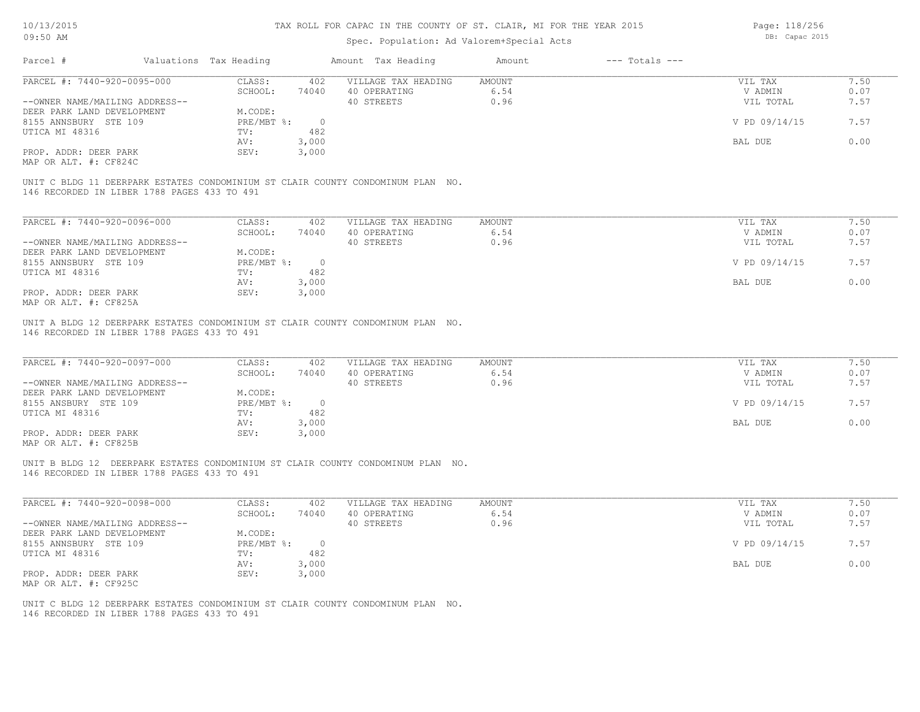| 10/13/2015                                     | TAX ROLL FOR CAPAC IN THE COUNTY OF ST. CLAIR, MI FOR THE YEAR 2015 |                        |                |                                                                                 |                |                    | Page: 118/256<br>DB: Capac 2015 |              |  |
|------------------------------------------------|---------------------------------------------------------------------|------------------------|----------------|---------------------------------------------------------------------------------|----------------|--------------------|---------------------------------|--------------|--|
| 09:50 AM                                       |                                                                     |                        |                | Spec. Population: Ad Valorem+Special Acts                                       |                |                    |                                 |              |  |
| Parcel #                                       |                                                                     | Valuations Tax Heading |                | Amount Tax Heading                                                              | Amount         | $---$ Totals $---$ |                                 |              |  |
| PARCEL #: 7440-920-0095-000                    |                                                                     | CLASS:                 | 402            | VILLAGE TAX HEADING                                                             | AMOUNT         |                    | VIL TAX                         | 7.50         |  |
|                                                |                                                                     | SCHOOL:                | 74040          | 40 OPERATING                                                                    | 6.54           |                    | V ADMIN                         | 0.07         |  |
| --OWNER NAME/MAILING ADDRESS--                 |                                                                     |                        |                | 40 STREETS                                                                      | 0.96           |                    | VIL TOTAL                       | 7.57         |  |
| DEER PARK LAND DEVELOPMENT                     |                                                                     | M.CODE:                |                |                                                                                 |                |                    |                                 |              |  |
| 8155 ANNSBURY STE 109                          |                                                                     | $PRE/MBT$ $\div$       | $\circ$        |                                                                                 |                |                    | V PD 09/14/15                   | 7.57         |  |
| UTICA MI 48316                                 |                                                                     | TV:                    | 482            |                                                                                 |                |                    |                                 |              |  |
|                                                |                                                                     | AV:                    | 3,000          |                                                                                 |                |                    | BAL DUE                         | 0.00         |  |
| PROP. ADDR: DEER PARK<br>MAP OR ALT. #: CF824C |                                                                     | SEV:                   | 3,000          |                                                                                 |                |                    |                                 |              |  |
| 146 RECORDED IN LIBER 1788 PAGES 433 TO 491    |                                                                     |                        |                | UNIT C BLDG 11 DEERPARK ESTATES CONDOMINIUM ST CLAIR COUNTY CONDOMINUM PLAN NO. |                |                    |                                 |              |  |
| PARCEL #: 7440-920-0096-000                    |                                                                     | CLASS:                 | 402            | VILLAGE TAX HEADING                                                             | AMOUNT         |                    | VIL TAX                         | 7.50         |  |
|                                                |                                                                     | SCHOOL:                | 74040          | 40 OPERATING                                                                    | 6.54           |                    | V ADMIN                         | 0.07         |  |
| --OWNER NAME/MAILING ADDRESS--                 |                                                                     |                        |                | 40 STREETS                                                                      | 0.96           |                    | VIL TOTAL                       | 7.57         |  |
| DEER PARK LAND DEVELOPMENT                     |                                                                     | M.CODE:                |                |                                                                                 |                |                    |                                 |              |  |
| 8155 ANNSBURY STE 109                          |                                                                     | PRE/MBT %:             | $\overline{0}$ |                                                                                 |                |                    | V PD 09/14/15                   | 7.57         |  |
| UTICA MI 48316                                 |                                                                     | TV:                    | 482            |                                                                                 |                |                    |                                 |              |  |
|                                                |                                                                     | AV:                    | 3,000          |                                                                                 |                |                    | BAL DUE                         | 0.00         |  |
| PROP. ADDR: DEER PARK                          |                                                                     | SEV:                   | 3,000          |                                                                                 |                |                    |                                 |              |  |
| MAP OR ALT. #: CF825A                          |                                                                     |                        |                |                                                                                 |                |                    |                                 |              |  |
| PARCEL #: 7440-920-0097-000                    |                                                                     | CLASS:<br>SCHOOL:      | 402<br>74040   | VILLAGE TAX HEADING<br>40 OPERATING                                             | AMOUNT<br>6.54 |                    | VIL TAX<br>V ADMIN              | 7.50<br>0.07 |  |
| --OWNER NAME/MAILING ADDRESS--                 |                                                                     |                        |                | 40 STREETS                                                                      | 0.96           |                    | VIL TOTAL                       | 7.57         |  |
| DEER PARK LAND DEVELOPMENT                     |                                                                     | M.CODE:                |                |                                                                                 |                |                    |                                 |              |  |
| 8155 ANSBURY STE 109                           |                                                                     | PRE/MBT %:             | $\overline{0}$ |                                                                                 |                |                    | V PD 09/14/15                   | 7.57         |  |
| UTICA MI 48316                                 |                                                                     | TV:                    | 482            |                                                                                 |                |                    |                                 |              |  |
|                                                |                                                                     | AV:                    | 3,000          |                                                                                 |                |                    | BAL DUE                         | 0.00         |  |
| PROP. ADDR: DEER PARK                          |                                                                     | SEV:                   | 3,000          |                                                                                 |                |                    |                                 |              |  |
| MAP OR ALT. #: CF825B                          |                                                                     |                        |                |                                                                                 |                |                    |                                 |              |  |
| 146 RECORDED IN LIBER 1788 PAGES 433 TO 491    |                                                                     |                        |                | UNIT B BLDG 12 DEERPARK ESTATES CONDOMINIUM ST CLAIR COUNTY CONDOMINUM PLAN NO. |                |                    |                                 |              |  |
| PARCEL #: 7440-920-0098-000                    |                                                                     | CLASS:                 | 402            | VILLAGE TAX HEADING                                                             | AMOUNT         |                    | VIL TAX                         | 7.50         |  |
|                                                |                                                                     | SCHOOL:                | 74040          | 40 OPERATING                                                                    | 6.54           |                    | V ADMIN                         | 0.07         |  |
| --OWNER NAME/MAILING ADDRESS--                 |                                                                     |                        |                | 40 STREETS                                                                      | 0.96           |                    | VIL TOTAL                       | 7.57         |  |
| DEER PARK LAND DEVELOPMENT                     |                                                                     | M.CODE:                |                |                                                                                 |                |                    |                                 |              |  |
| 8155 ANNSBURY STE 109                          |                                                                     | $PRE/MBT$ $\div$       | $\overline{0}$ |                                                                                 |                |                    | V PD 09/14/15                   | 7.57         |  |
| UTICA MI 48316                                 |                                                                     | TV:                    | 482            |                                                                                 |                |                    |                                 |              |  |
|                                                |                                                                     | AV:                    | 3,000          |                                                                                 |                |                    | BAL DUE                         | 0.00         |  |
| PROP. ADDR: DEER PARK                          |                                                                     | SEV:                   | 3,000          |                                                                                 |                |                    |                                 |              |  |
| MAP OR ALT. #: CF925C                          |                                                                     |                        |                |                                                                                 |                |                    |                                 |              |  |
|                                                |                                                                     |                        |                | UNIT C BLDG 12 DEERPARK ESTATES CONDOMINIUM ST CLAIR COUNTY CONDOMINUM PLAN NO. |                |                    |                                 |              |  |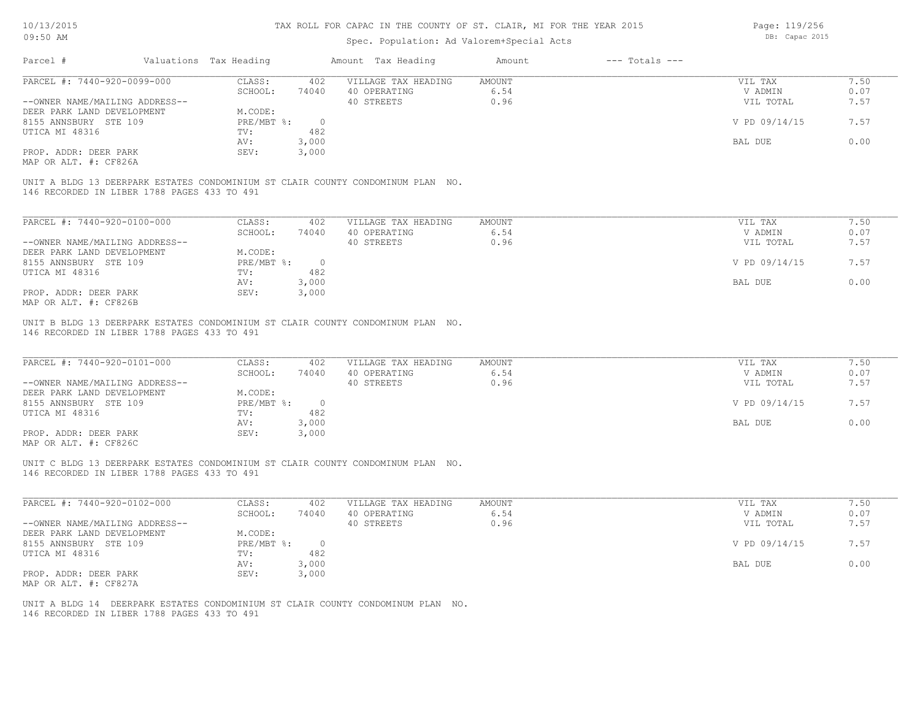### Spec. Population: Ad Valorem+Special Acts

Page: 119/256 DB: Capac 2015

| Parcel #                                    | Valuations Tax Heading |            | Amount Tax Heading                                                              | Amount | $---$ Totals $---$ |               |      |
|---------------------------------------------|------------------------|------------|---------------------------------------------------------------------------------|--------|--------------------|---------------|------|
| PARCEL #: 7440-920-0099-000                 | CLASS:                 | 402        | VILLAGE TAX HEADING                                                             | AMOUNT |                    | VIL TAX       | 7.50 |
|                                             | SCHOOL:                | 74040      | 40 OPERATING                                                                    | 6.54   |                    | V ADMIN       | 0.07 |
| --OWNER NAME/MAILING ADDRESS--              |                        |            | 40 STREETS                                                                      | 0.96   |                    | VIL TOTAL     | 7.57 |
| DEER PARK LAND DEVELOPMENT                  | M.CODE:                |            |                                                                                 |        |                    |               |      |
| 8155 ANNSBURY STE 109                       | PRE/MBT %:             | $\bigcirc$ |                                                                                 |        |                    | V PD 09/14/15 | 7.57 |
| UTICA MI 48316                              | TV:                    | 482        |                                                                                 |        |                    |               |      |
|                                             | AV:                    | 3,000      |                                                                                 |        |                    | BAL DUE       | 0.00 |
| PROP. ADDR: DEER PARK                       | SEV:                   | 3,000      |                                                                                 |        |                    |               |      |
| MAP OR ALT. #: CF826A                       |                        |            |                                                                                 |        |                    |               |      |
| 146 RECORDED IN LIBER 1788 PAGES 433 TO 491 |                        |            | UNIT A BLDG 13 DEERPARK ESTATES CONDOMINIUM ST CLAIR COUNTY CONDOMINUM PLAN NO. |        |                    |               |      |
| PARCEL #: 7440-920-0100-000                 | CLASS:                 | 402        | VILLAGE TAX HEADING                                                             | AMOUNT |                    | VIL TAX       | 7.50 |
|                                             | SCHOOL:                | 74040      | 40 OPERATING                                                                    | 6.54   |                    | V ADMIN       | 0.07 |
| --OWNER NAME/MAILING ADDRESS--              |                        |            | 40 STREETS                                                                      | 0.96   |                    | VIL TOTAL     | 7.57 |

| DEER PARK LAND DEVELOPMENT | M.CODE:    |       |               |      |
|----------------------------|------------|-------|---------------|------|
| 8155 ANNSBURY STE 109      | PRE/MBT %: |       | V PD 09/14/15 | 7.57 |
| UTICA MI 48316             | TV:        | 482   |               |      |
|                            | AV:        | 000,  | BAL DUE       | 0.00 |
| PROP. ADDR: DEER PARK      | SEV:       | 3,000 |               |      |
| MAP OR ALT. #: CF826B      |            |       |               |      |

UNIT B BLDG 13 DEERPARK ESTATES CONDOMINIUM ST CLAIR COUNTY CONDOMINUM PLAN NO.

146 RECORDED IN LIBER 1788 PAGES 433 TO 491

| PARCEL #: 7440-920-0101-000    | CLASS:     | 402   | VILLAGE TAX HEADING | AMOUNT | VIL TAX       | 1.50 |
|--------------------------------|------------|-------|---------------------|--------|---------------|------|
|                                | SCHOOL:    | 74040 | 40 OPERATING        | 6.54   | V ADMIN       | 0.07 |
| --OWNER NAME/MAILING ADDRESS-- |            |       | 40 STREETS          | 0.96   | VIL TOTAL     | 7.57 |
| DEER PARK LAND DEVELOPMENT     | M.CODE:    |       |                     |        |               |      |
| 8155 ANNSBURY STE 109          | PRE/MBT %: |       |                     |        | V PD 09/14/15 | 7.57 |
| UTICA MI 48316                 | TV:        | 482   |                     |        |               |      |
|                                | AV:        | 3,000 |                     |        | BAL DUE       | 0.00 |
| PROP. ADDR: DEER PARK          | SEV:       | 3,000 |                     |        |               |      |
| $\cdots$                       |            |       |                     |        |               |      |

MAP OR ALT. #: CF826C

146 RECORDED IN LIBER 1788 PAGES 433 TO 491 UNIT C BLDG 13 DEERPARK ESTATES CONDOMINIUM ST CLAIR COUNTY CONDOMINUM PLAN NO.

| PARCEL #: 7440-920-0102-000    | CLASS:     | 402   | VILLAGE TAX HEADING | AMOUNT | VIL TAX       | 7.50 |
|--------------------------------|------------|-------|---------------------|--------|---------------|------|
|                                | SCHOOL:    | 74040 | 40 OPERATING        | 6.54   | V ADMIN       | 0.07 |
| --OWNER NAME/MAILING ADDRESS-- |            |       | 40 STREETS          | 0.96   | VIL TOTAL     | 7.57 |
| DEER PARK LAND DEVELOPMENT     | M.CODE:    |       |                     |        |               |      |
| 8155 ANNSBURY STE 109          | PRE/MBT %: |       |                     |        | V PD 09/14/15 | 7.57 |
| UTICA MI 48316                 | TV:        | 482   |                     |        |               |      |
|                                | AV:        | 3,000 |                     |        | BAL DUE       | 0.00 |
| PROP. ADDR: DEER PARK          | SEV:       | 3,000 |                     |        |               |      |
| MAP OR ALT. #: CF827A          |            |       |                     |        |               |      |

 $\mathcal{L}_\mathcal{L} = \mathcal{L}_\mathcal{L} = \mathcal{L}_\mathcal{L} = \mathcal{L}_\mathcal{L} = \mathcal{L}_\mathcal{L} = \mathcal{L}_\mathcal{L} = \mathcal{L}_\mathcal{L} = \mathcal{L}_\mathcal{L} = \mathcal{L}_\mathcal{L} = \mathcal{L}_\mathcal{L} = \mathcal{L}_\mathcal{L} = \mathcal{L}_\mathcal{L} = \mathcal{L}_\mathcal{L} = \mathcal{L}_\mathcal{L} = \mathcal{L}_\mathcal{L} = \mathcal{L}_\mathcal{L} = \mathcal{L}_\mathcal{L}$ 

146 RECORDED IN LIBER 1788 PAGES 433 TO 491 UNIT A BLDG 14 DEERPARK ESTATES CONDOMINIUM ST CLAIR COUNTY CONDOMINUM PLAN NO.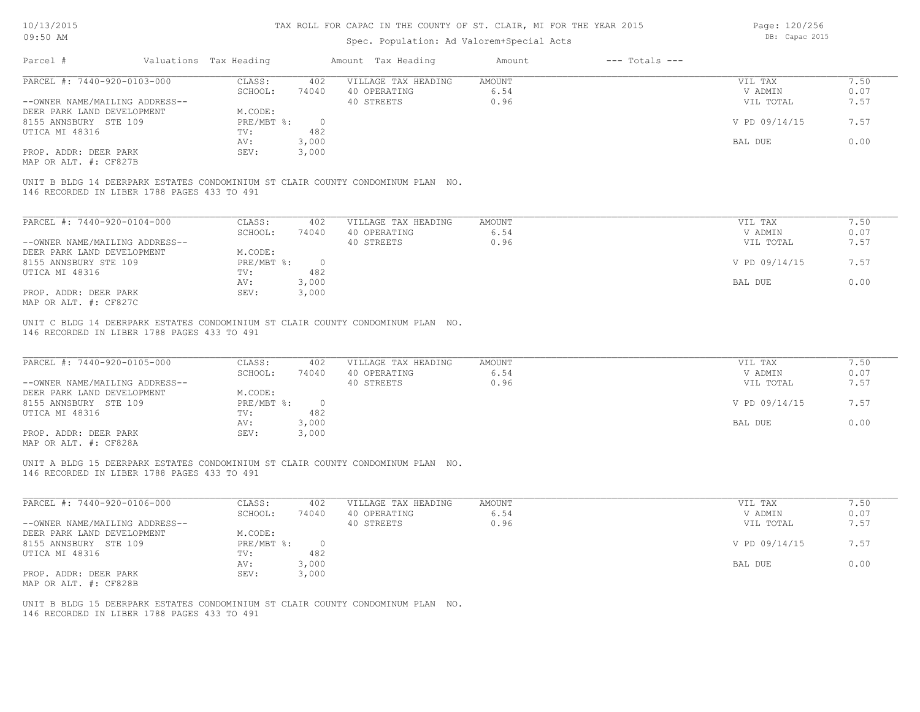### Spec. Population: Ad Valorem+Special Acts

Page: 120/256 DB: Capac 2015

| Parcel #                       | Valuations Tax Heading |       | Amount Tax Heading                                                              | Amount | $---$ Totals $---$ |               |      |
|--------------------------------|------------------------|-------|---------------------------------------------------------------------------------|--------|--------------------|---------------|------|
| PARCEL #: 7440-920-0103-000    | CLASS:                 | 402   | VILLAGE TAX HEADING                                                             | AMOUNT |                    | VIL TAX       | 7.50 |
|                                | SCHOOL:                | 74040 | 40 OPERATING                                                                    | 6.54   |                    | V ADMIN       | 0.07 |
| --OWNER NAME/MAILING ADDRESS-- |                        |       | 40 STREETS                                                                      | 0.96   |                    | VIL TOTAL     | 7.57 |
| DEER PARK LAND DEVELOPMENT     | M.CODE:                |       |                                                                                 |        |                    |               |      |
| 8155 ANNSBURY STE 109          | $PRE/MBT$ $\div$       |       |                                                                                 |        |                    | V PD 09/14/15 | 7.57 |
| UTICA MI 48316                 | TV:                    | 482   |                                                                                 |        |                    |               |      |
|                                | AV:                    | 3,000 |                                                                                 |        |                    | BAL DUE       | 0.00 |
| PROP. ADDR: DEER PARK          | SEV:                   | 3,000 |                                                                                 |        |                    |               |      |
| MAP OR ALT. #: CF827B          |                        |       |                                                                                 |        |                    |               |      |
|                                |                        |       |                                                                                 |        |                    |               |      |
|                                |                        |       | UNIT B BLDG 14 DEERPARK ESTATES CONDOMINIUM ST CLAIR COUNTY CONDOMINUM PLAN NO. |        |                    |               |      |

146 RECORDED IN LIBER 1788 PAGES 433 TO 491

| PARCEL #: 7440-920-0104-000    | CLASS:     | 402   | VILLAGE TAX HEADING | AMOUNT | VIL TAX | 7.50                  |
|--------------------------------|------------|-------|---------------------|--------|---------|-----------------------|
|                                | SCHOOL:    | 74040 | 40 OPERATING        | 6.54   | V ADMIN | 0.07                  |
| --OWNER NAME/MAILING ADDRESS-- |            |       | 40 STREETS          | 0.96   |         | 7.57<br>VIL TOTAL     |
| DEER PARK LAND DEVELOPMENT     | M.CODE:    |       |                     |        |         |                       |
| 8155 ANNSBURY STE 109          | PRE/MBT %: |       |                     |        |         | V PD 09/14/15<br>7.57 |
| UTICA MI 48316                 | TV:        | 482   |                     |        |         |                       |
|                                | AV:        | 3,000 |                     |        | BAL DUE | 0.00                  |
| PROP. ADDR: DEER PARK          | SEV:       | 3,000 |                     |        |         |                       |
| MAP OR ALT. #: CF827C          |            |       |                     |        |         |                       |

146 RECORDED IN LIBER 1788 PAGES 433 TO 491 UNIT C BLDG 14 DEERPARK ESTATES CONDOMINIUM ST CLAIR COUNTY CONDOMINUM PLAN NO.

| PARCEL #: 7440-920-0105-000                           | CLASS:     | 402   | VILLAGE TAX HEADING | AMOUNT | VIL TAX       | 7.50 |
|-------------------------------------------------------|------------|-------|---------------------|--------|---------------|------|
|                                                       | SCHOOL:    | 74040 | 40 OPERATING        | 6.54   | V ADMIN       | 0.07 |
| --OWNER NAME/MAILING ADDRESS--                        |            |       | 40 STREETS          | 0.96   | VIL TOTAL     | 7.57 |
| DEER PARK LAND DEVELOPMENT                            | M.CODE:    |       |                     |        |               |      |
| 8155 ANNSBURY STE 109                                 | PRE/MBT %: |       |                     |        | V PD 09/14/15 | 7.57 |
| UTICA MI 48316                                        | TV:        | 482   |                     |        |               |      |
|                                                       | AV:        | 3,000 |                     |        | BAL DUE       | 0.00 |
| PROP. ADDR: DEER PARK                                 | SEV:       | 3,000 |                     |        |               |      |
| $\cdots$ $\cdots$ $\cdots$ $\cdots$ $\cdots$ $\cdots$ |            |       |                     |        |               |      |

MAP OR ALT. #: CF828A

146 RECORDED IN LIBER 1788 PAGES 433 TO 491 UNIT A BLDG 15 DEERPARK ESTATES CONDOMINIUM ST CLAIR COUNTY CONDOMINUM PLAN NO.

| PARCEL #: 7440-920-0106-000    | CLASS:     | 402   | VILLAGE TAX HEADING | AMOUNT | VIL TAX       | 7.50 |
|--------------------------------|------------|-------|---------------------|--------|---------------|------|
|                                | SCHOOL:    | 74040 | 40 OPERATING        | 6.54   | V ADMIN       | 0.07 |
| --OWNER NAME/MAILING ADDRESS-- |            |       | 40 STREETS          | 0.96   | VIL TOTAL     | 7.57 |
| DEER PARK LAND DEVELOPMENT     | M.CODE:    |       |                     |        |               |      |
| 8155 ANNSBURY STE 109          | PRE/MBT %: |       |                     |        | V PD 09/14/15 | 7.57 |
| UTICA MI 48316                 | TV:        | 482   |                     |        |               |      |
|                                | AV:        | 3,000 |                     |        | BAL DUE       | 0.00 |
| PROP. ADDR: DEER PARK          | SEV:       | 3,000 |                     |        |               |      |
| MAP OR ALT. #: CF828B          |            |       |                     |        |               |      |

 $\mathcal{L}_\mathcal{L} = \mathcal{L}_\mathcal{L} = \mathcal{L}_\mathcal{L} = \mathcal{L}_\mathcal{L} = \mathcal{L}_\mathcal{L} = \mathcal{L}_\mathcal{L} = \mathcal{L}_\mathcal{L} = \mathcal{L}_\mathcal{L} = \mathcal{L}_\mathcal{L} = \mathcal{L}_\mathcal{L} = \mathcal{L}_\mathcal{L} = \mathcal{L}_\mathcal{L} = \mathcal{L}_\mathcal{L} = \mathcal{L}_\mathcal{L} = \mathcal{L}_\mathcal{L} = \mathcal{L}_\mathcal{L} = \mathcal{L}_\mathcal{L}$ 

146 RECORDED IN LIBER 1788 PAGES 433 TO 491 UNIT B BLDG 15 DEERPARK ESTATES CONDOMINIUM ST CLAIR COUNTY CONDOMINUM PLAN NO.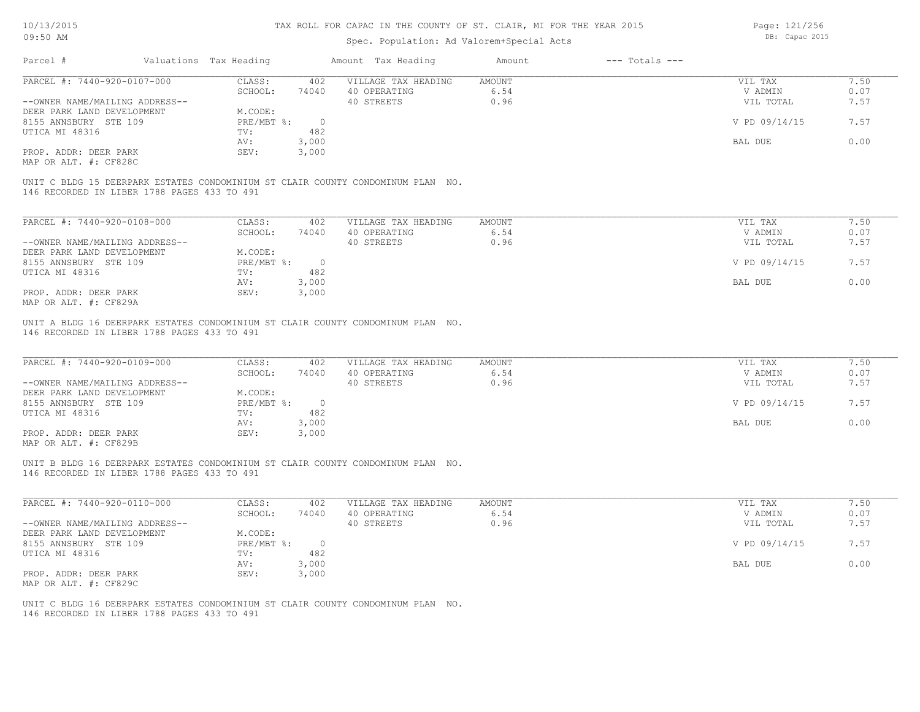Page: 121/256 DB: Capac 2015

| 10/10/2010<br>09:50 AM                              |                                             |                        |                       | IAA AUDD FUA CAFAC IN IAB CUUNII UF 91, CBAIA, MI FUA IAB IBAA 2019<br>Spec. Population: Ad Valorem+Special Acts |               |                    | raye. IZI/ZJ0<br>DB: Capac 2015 |      |
|-----------------------------------------------------|---------------------------------------------|------------------------|-----------------------|------------------------------------------------------------------------------------------------------------------|---------------|--------------------|---------------------------------|------|
| Parcel #                                            |                                             | Valuations Tax Heading |                       | Amount Tax Heading                                                                                               | Amount        | $---$ Totals $---$ |                                 |      |
| PARCEL #: 7440-920-0107-000                         |                                             | CLASS:                 | 402                   | VILLAGE TAX HEADING                                                                                              | <b>AMOUNT</b> |                    | VIL TAX                         | 7.50 |
|                                                     |                                             | SCHOOL:                | 74040                 | 40 OPERATING                                                                                                     | 6.54          |                    | V ADMIN                         | 0.07 |
| --OWNER NAME/MAILING ADDRESS--                      |                                             |                        |                       | 40 STREETS                                                                                                       | 0.96          |                    | VIL TOTAL                       | 7.57 |
| DEER PARK LAND DEVELOPMENT<br>8155 ANNSBURY STE 109 |                                             | M.CODE:                |                       |                                                                                                                  |               |                    |                                 | 7.57 |
| UTICA MI 48316                                      |                                             | PRE/MBT %:<br>TV:      | $\overline{0}$<br>482 |                                                                                                                  |               |                    | V PD 09/14/15                   |      |
|                                                     |                                             | AV:                    | 3,000                 |                                                                                                                  |               |                    | BAL DUE                         | 0.00 |
| PROP. ADDR: DEER PARK                               |                                             | SEV:                   | 3,000                 |                                                                                                                  |               |                    |                                 |      |
| MAP OR ALT. #: CF828C                               |                                             |                        |                       |                                                                                                                  |               |                    |                                 |      |
|                                                     |                                             |                        |                       |                                                                                                                  |               |                    |                                 |      |
|                                                     |                                             |                        |                       | UNIT C BLDG 15 DEERPARK ESTATES CONDOMINIUM ST CLAIR COUNTY CONDOMINUM PLAN NO.                                  |               |                    |                                 |      |
|                                                     | 146 RECORDED IN LIBER 1788 PAGES 433 TO 491 |                        |                       |                                                                                                                  |               |                    |                                 |      |
|                                                     |                                             |                        |                       |                                                                                                                  |               |                    |                                 |      |
| PARCEL #: 7440-920-0108-000                         |                                             | CLASS:                 | 402                   | VILLAGE TAX HEADING                                                                                              | <b>AMOUNT</b> |                    | VIL TAX                         | 7.50 |
|                                                     |                                             | SCHOOL:                | 74040                 | 40 OPERATING                                                                                                     | 6.54          |                    | V ADMIN                         | 0.07 |
| --OWNER NAME/MAILING ADDRESS--                      |                                             |                        |                       | 40 STREETS                                                                                                       | 0.96          |                    | VIL TOTAL                       | 7.57 |
| DEER PARK LAND DEVELOPMENT                          |                                             | M.CODE:                |                       |                                                                                                                  |               |                    |                                 |      |
| 8155 ANNSBURY STE 109                               |                                             | PRE/MBT %:             | $\overline{0}$        |                                                                                                                  |               |                    | V PD 09/14/15                   | 7.57 |
| UTICA MI 48316                                      |                                             | TV:                    | 482                   |                                                                                                                  |               |                    |                                 |      |
|                                                     |                                             | AV:                    | 3,000                 |                                                                                                                  |               |                    | BAL DUE                         | 0.00 |
| PROP. ADDR: DEER PARK                               |                                             | SEV:                   | 3,000                 |                                                                                                                  |               |                    |                                 |      |
| MAP OR ALT. #: CF829A                               |                                             |                        |                       |                                                                                                                  |               |                    |                                 |      |
|                                                     |                                             |                        |                       |                                                                                                                  |               |                    |                                 |      |
|                                                     | 146 RECORDED IN LIBER 1788 PAGES 433 TO 491 |                        |                       | UNIT A BLDG 16 DEERPARK ESTATES CONDOMINIUM ST CLAIR COUNTY CONDOMINUM PLAN NO.                                  |               |                    |                                 |      |
|                                                     |                                             |                        |                       |                                                                                                                  |               |                    |                                 |      |
|                                                     |                                             |                        |                       |                                                                                                                  |               |                    |                                 |      |
| PARCEL #: 7440-920-0109-000                         |                                             | CLASS:                 | 402                   | VILLAGE TAX HEADING                                                                                              | <b>AMOUNT</b> |                    | VIL TAX                         | 7.50 |
|                                                     |                                             | SCHOOL:                | 74040                 | 40 OPERATING                                                                                                     | 6.54          |                    | V ADMIN                         | 0.07 |
| --OWNER NAME/MAILING ADDRESS--                      |                                             |                        |                       | 40 STREETS                                                                                                       | 0.96          |                    | VIL TOTAL                       | 7.57 |
| DEER PARK LAND DEVELOPMENT                          |                                             | M.CODE:                |                       |                                                                                                                  |               |                    |                                 |      |
| 8155 ANNSBURY STE 109                               |                                             | PRE/MBT %:             | $\overline{0}$        |                                                                                                                  |               |                    | V PD 09/14/15                   | 7.57 |
| UTICA MI 48316                                      |                                             | TV:                    | 482                   |                                                                                                                  |               |                    |                                 |      |
|                                                     |                                             | AV:                    | 3,000                 |                                                                                                                  |               |                    | BAL DUE                         | 0.00 |
| PROP. ADDR: DEER PARK                               |                                             | SEV:                   | 3,000                 |                                                                                                                  |               |                    |                                 |      |
| MAP OR ALT. #: CF829B                               |                                             |                        |                       |                                                                                                                  |               |                    |                                 |      |
|                                                     |                                             |                        |                       |                                                                                                                  |               |                    |                                 |      |

146 RECORDED IN LIBER 1788 PAGES 433 TO 491 UNIT B BLDG 16 DEERPARK ESTATES CONDOMINIUM ST CLAIR COUNTY CONDOMINUM PLAN NO.

| PARCEL #: 7440-920-0110-000    | CLASS:     | 402   | VILLAGE TAX HEADING | AMOUNT | VIL TAX       | 7.50 |
|--------------------------------|------------|-------|---------------------|--------|---------------|------|
|                                | SCHOOL:    | 74040 | 40 OPERATING        | 6.54   | V ADMIN       | 0.07 |
| --OWNER NAME/MAILING ADDRESS-- |            |       | 40 STREETS          | 0.96   | VIL TOTAL     | 7.57 |
| DEER PARK LAND DEVELOPMENT     | M.CODE:    |       |                     |        |               |      |
| 8155 ANNSBURY STE 109          | PRE/MBT %: |       |                     |        | V PD 09/14/15 | 7.57 |
| UTICA MI 48316                 | TV:        | 482   |                     |        |               |      |
|                                | AV:        | 3,000 |                     |        | BAL DUE       | 0.00 |
| PROP. ADDR: DEER PARK          | SEV:       | 3,000 |                     |        |               |      |
| MAP OR ALT. #: CF829C          |            |       |                     |        |               |      |

 $\mathcal{L}_\mathcal{L} = \mathcal{L}_\mathcal{L} = \mathcal{L}_\mathcal{L} = \mathcal{L}_\mathcal{L} = \mathcal{L}_\mathcal{L} = \mathcal{L}_\mathcal{L} = \mathcal{L}_\mathcal{L} = \mathcal{L}_\mathcal{L} = \mathcal{L}_\mathcal{L} = \mathcal{L}_\mathcal{L} = \mathcal{L}_\mathcal{L} = \mathcal{L}_\mathcal{L} = \mathcal{L}_\mathcal{L} = \mathcal{L}_\mathcal{L} = \mathcal{L}_\mathcal{L} = \mathcal{L}_\mathcal{L} = \mathcal{L}_\mathcal{L}$ 

146 RECORDED IN LIBER 1788 PAGES 433 TO 491 UNIT C BLDG 16 DEERPARK ESTATES CONDOMINIUM ST CLAIR COUNTY CONDOMINUM PLAN NO.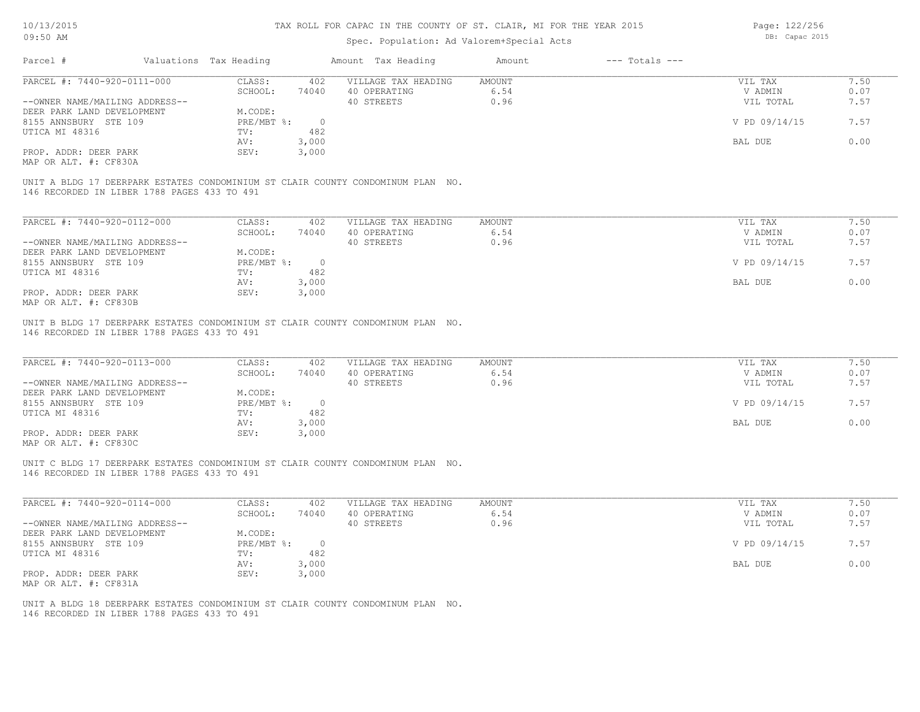### Spec. Population: Ad Valorem+Special Acts

Page: 122/256 DB: Capac 2015

| Parcel #                                                                                                                       | Valuations Tax Heading | Amount Tax Heading         | Amount | $---$ Totals $---$ |               |      |
|--------------------------------------------------------------------------------------------------------------------------------|------------------------|----------------------------|--------|--------------------|---------------|------|
| PARCEL #: 7440-920-0111-000                                                                                                    | CLASS:                 | 402<br>VILLAGE TAX HEADING | AMOUNT |                    | VIL TAX       | 7.50 |
|                                                                                                                                | SCHOOL:                | 40 OPERATING<br>74040      | 6.54   |                    | V ADMIN       | 0.07 |
| --OWNER NAME/MAILING ADDRESS--                                                                                                 |                        | 40 STREETS                 | 0.96   |                    | VIL TOTAL     | 7.57 |
| DEER PARK LAND DEVELOPMENT                                                                                                     | M.CODE:                |                            |        |                    |               |      |
| 8155 ANNSBURY STE 109                                                                                                          | PRE/MBT %:             | $\overline{0}$             |        |                    | V PD 09/14/15 | 7.57 |
| UTICA MI 48316                                                                                                                 | TV:                    | 482                        |        |                    |               |      |
|                                                                                                                                | AV:                    | 3,000                      |        |                    | BAL DUE       | 0.00 |
| PROP. ADDR: DEER PARK                                                                                                          | SEV:                   | 3,000                      |        |                    |               |      |
| MAP OR ALT. #: CF830A                                                                                                          |                        |                            |        |                    |               |      |
| UNIT A BLDG 17 DEERPARK ESTATES CONDOMINIUM ST CLAIR COUNTY CONDOMINUM PLAN NO.<br>146 RECORDED IN LIBER 1788 PAGES 433 TO 491 |                        |                            |        |                    |               |      |
|                                                                                                                                |                        |                            |        |                    |               |      |
| PARCEL #: 7440-920-0112-000                                                                                                    | CLASS:                 | 402<br>VILLAGE TAX HEADING | AMOUNT |                    | VIL TAX       | 7.50 |
|                                                                                                                                | SCHOOL:                | 40 OPERATING<br>74040      | 6.54   |                    | V ADMIN       | 0.07 |
| --OWNER NAME/MAILING ADDRESS--                                                                                                 |                        | 40 STREETS                 | 0.96   |                    | VIL TOTAL     | 7.57 |
| DEER PARK LAND DEVELOPMENT                                                                                                     | M.CODE:                |                            |        |                    |               |      |
| 8155 ANNSBURY STE 109                                                                                                          | PRE/MBT %:             | $\circ$                    |        |                    | V PD 09/14/15 | 7.57 |
| UTICA MI 48316                                                                                                                 | TV:                    | 482                        |        |                    |               |      |
| PROP. ADDR: DEER PARK                                                                                                          | AV:<br>SEV:            | 3,000<br>3,000             |        |                    | BAL DUE       | 0.00 |

146 RECORDED IN LIBER 1788 PAGES 433 TO 491 UNIT B BLDG 17 DEERPARK ESTATES CONDOMINIUM ST CLAIR COUNTY CONDOMINUM PLAN NO.

| PARCEL #: 7440-920-0113-000     | CLASS:     | 402   | VILLAGE TAX HEADING | AMOUNT |         | VIL TAX       | 7.50 |
|---------------------------------|------------|-------|---------------------|--------|---------|---------------|------|
|                                 | SCHOOL:    | 74040 | 40 OPERATING        | 6.54   |         | V ADMIN       | 0.07 |
| --OWNER NAME/MAILING ADDRESS--  |            |       | 40 STREETS          | 0.96   |         | VIL TOTAL     | 7.57 |
| DEER PARK LAND DEVELOPMENT      | M.CODE:    |       |                     |        |         |               |      |
| 8155 ANNSBURY STE 109           | PRE/MBT %: |       |                     |        |         | V PD 09/14/15 | 7.57 |
| UTICA MI 48316                  | TV:        | 482   |                     |        |         |               |      |
|                                 | AV:        | 3,000 |                     |        | BAL DUE |               | 0.00 |
| PROP. ADDR: DEER PARK           | SEV:       | 3,000 |                     |        |         |               |      |
| $MAD$ $CD$ $ATH$ $H$ , $CDQ200$ |            |       |                     |        |         |               |      |

 $\mathcal{L}_\mathcal{L} = \mathcal{L}_\mathcal{L} = \mathcal{L}_\mathcal{L} = \mathcal{L}_\mathcal{L} = \mathcal{L}_\mathcal{L} = \mathcal{L}_\mathcal{L} = \mathcal{L}_\mathcal{L} = \mathcal{L}_\mathcal{L} = \mathcal{L}_\mathcal{L} = \mathcal{L}_\mathcal{L} = \mathcal{L}_\mathcal{L} = \mathcal{L}_\mathcal{L} = \mathcal{L}_\mathcal{L} = \mathcal{L}_\mathcal{L} = \mathcal{L}_\mathcal{L} = \mathcal{L}_\mathcal{L} = \mathcal{L}_\mathcal{L}$ 

 $\mathcal{L}_\mathcal{L} = \mathcal{L}_\mathcal{L} = \mathcal{L}_\mathcal{L} = \mathcal{L}_\mathcal{L} = \mathcal{L}_\mathcal{L} = \mathcal{L}_\mathcal{L} = \mathcal{L}_\mathcal{L} = \mathcal{L}_\mathcal{L} = \mathcal{L}_\mathcal{L} = \mathcal{L}_\mathcal{L} = \mathcal{L}_\mathcal{L} = \mathcal{L}_\mathcal{L} = \mathcal{L}_\mathcal{L} = \mathcal{L}_\mathcal{L} = \mathcal{L}_\mathcal{L} = \mathcal{L}_\mathcal{L} = \mathcal{L}_\mathcal{L}$ 

MAP OR ALT. #: CF830C

146 RECORDED IN LIBER 1788 PAGES 433 TO 491 UNIT C BLDG 17 DEERPARK ESTATES CONDOMINIUM ST CLAIR COUNTY CONDOMINUM PLAN NO.

| PARCEL #: 7440-920-0114-000    | CLASS:     | 402      | VILLAGE TAX HEADING | AMOUNT | 7.50<br>VIL TAX       |  |
|--------------------------------|------------|----------|---------------------|--------|-----------------------|--|
|                                | SCHOOL:    | 74040    | 40 OPERATING        | 6.54   | 0.07<br>V ADMIN       |  |
| --OWNER NAME/MAILING ADDRESS-- |            |          | 40 STREETS          | 0.96   | 7.57<br>VIL TOTAL     |  |
| DEER PARK LAND DEVELOPMENT     | M.CODE:    |          |                     |        |                       |  |
| 8155 ANNSBURY STE 109          | PRE/MBT %: | $\Omega$ |                     |        | V PD 09/14/15<br>7.57 |  |
| UTICA MI 48316                 | TV:        | 482      |                     |        |                       |  |
|                                | AV:        | 3,000    |                     |        | 0.00<br>BAL DUE       |  |
| PROP. ADDR: DEER PARK          | SEV:       | 3,000    |                     |        |                       |  |
| MAP OR ALT. #: CF831A          |            |          |                     |        |                       |  |

146 RECORDED IN LIBER 1788 PAGES 433 TO 491 UNIT A BLDG 18 DEERPARK ESTATES CONDOMINIUM ST CLAIR COUNTY CONDOMINUM PLAN NO.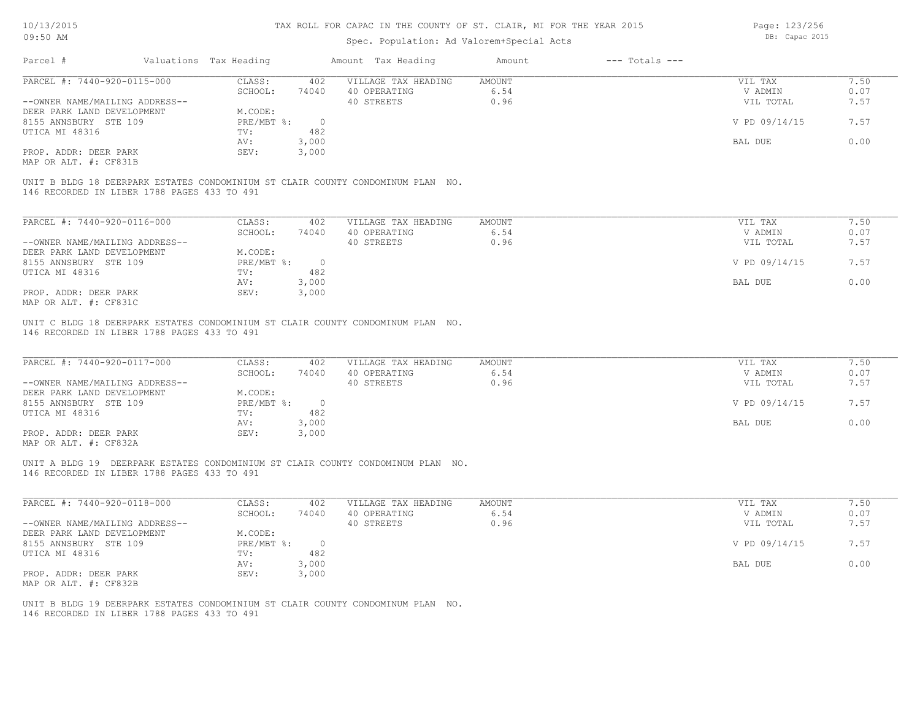| 10/13/2015                                                                      |                        |                  |                          | TAX ROLL FOR CAPAC IN THE COUNTY OF ST. CLAIR, MI FOR THE YEAR 2015 | Page: 123/256 |                    |                |      |
|---------------------------------------------------------------------------------|------------------------|------------------|--------------------------|---------------------------------------------------------------------|---------------|--------------------|----------------|------|
| 09:50 AM                                                                        |                        |                  |                          | Spec. Population: Ad Valorem+Special Acts                           |               |                    | DB: Capac 2015 |      |
| Parcel #                                                                        | Valuations Tax Heading |                  |                          | Amount Tax Heading                                                  | Amount        | $---$ Totals $---$ |                |      |
| PARCEL #: 7440-920-0115-000                                                     |                        | CLASS:           | 402                      | VILLAGE TAX HEADING                                                 | <b>AMOUNT</b> |                    | VIL TAX        | 7.50 |
|                                                                                 |                        | SCHOOL:          | 74040                    | 40 OPERATING                                                        | 6.54          |                    | V ADMIN        | 0.07 |
| --OWNER NAME/MAILING ADDRESS--                                                  |                        |                  |                          | 40 STREETS                                                          | 0.96          |                    | VIL TOTAL      | 7.57 |
| DEER PARK LAND DEVELOPMENT                                                      |                        | M.CODE:          |                          |                                                                     |               |                    |                |      |
| 8155 ANNSBURY STE 109                                                           |                        | PRE/MBT %:       | $\overline{0}$           |                                                                     |               |                    | V PD 09/14/15  | 7.57 |
| UTICA MI 48316                                                                  | TV:                    |                  | 482                      |                                                                     |               |                    |                |      |
|                                                                                 | AV:                    |                  | 3,000                    |                                                                     |               |                    | BAL DUE        | 0.00 |
| PROP. ADDR: DEER PARK                                                           | SEV:                   |                  | 3,000                    |                                                                     |               |                    |                |      |
| MAP OR ALT. #: CF831B                                                           |                        |                  |                          |                                                                     |               |                    |                |      |
| UNIT B BLDG 18 DEERPARK ESTATES CONDOMINIUM ST CLAIR COUNTY CONDOMINUM PLAN NO. |                        |                  |                          |                                                                     |               |                    |                |      |
| 146 RECORDED IN LIBER 1788 PAGES 433 TO 491                                     |                        |                  |                          |                                                                     |               |                    |                |      |
|                                                                                 |                        |                  |                          |                                                                     |               |                    |                |      |
|                                                                                 |                        |                  |                          |                                                                     |               |                    |                |      |
| PARCEL #: $7440-920-0116-000$                                                   |                        | CLASS:           | 402                      | VILLAGE TAX HEADING                                                 | <b>AMOUNT</b> |                    | VIL TAX        | 7.50 |
|                                                                                 |                        | SCHOOL:          | 74040                    | 40 OPERATING                                                        | 6.54          |                    | V ADMIN        | 0.07 |
| --OWNER NAME/MAILING ADDRESS--                                                  |                        |                  |                          | 40 STREETS                                                          | 0.96          |                    | VIL TOTAL      | 7.57 |
| DEER PARK LAND DEVELOPMENT                                                      |                        | M.CODE:          |                          |                                                                     |               |                    |                |      |
| 8155 ANNSBURY STE 109                                                           |                        | $PRE/MBT$ $\div$ | $\overline{0}$           |                                                                     |               |                    | V PD 09/14/15  | 7.57 |
| UTICA MI 48316                                                                  | TV:                    |                  | 482                      |                                                                     |               |                    |                |      |
|                                                                                 | AV:                    |                  | 3,000                    |                                                                     |               |                    | BAL DUE        | 0.00 |
| PROP. ADDR: DEER PARK                                                           | SEV:                   |                  | 3,000                    |                                                                     |               |                    |                |      |
| MAP OR ALT. #: CF831C                                                           |                        |                  |                          |                                                                     |               |                    |                |      |
| UNIT C BLDG 18 DEERPARK ESTATES CONDOMINIUM ST CLAIR COUNTY CONDOMINUM PLAN NO. |                        |                  |                          |                                                                     |               |                    |                |      |
| 146 RECORDED IN LIBER 1788 PAGES 433 TO 491                                     |                        |                  |                          |                                                                     |               |                    |                |      |
|                                                                                 |                        |                  |                          |                                                                     |               |                    |                |      |
| PARCEL #: 7440-920-0117-000                                                     |                        | CLASS:           | 402                      | VILLAGE TAX HEADING                                                 | <b>AMOUNT</b> |                    | VIL TAX        | 7.50 |
|                                                                                 |                        | SCHOOL:          | 74040                    | 40 OPERATING                                                        | 6.54          |                    | V ADMIN        | 0.07 |
| --OWNER NAME/MAILING ADDRESS--                                                  |                        |                  |                          | 40 STREETS                                                          | 0.96          |                    | VIL TOTAL      | 7.57 |
| DEER PARK LAND DEVELOPMENT                                                      |                        | M.CODE:          |                          |                                                                     |               |                    |                |      |
| 8155 ANNSBURY STE 109                                                           |                        | $PRE/MBT$ $\div$ | $\overline{\phantom{0}}$ |                                                                     |               |                    | V PD 09/14/15  | 7.57 |
| UTICA MI 48316                                                                  | TV:                    |                  | 482                      |                                                                     |               |                    |                |      |
|                                                                                 | AV:                    |                  | 3,000                    |                                                                     |               |                    | <b>BAL DUE</b> | 0.00 |
| PROP. ADDR: DEER PARK                                                           | SEV:                   |                  | 3,000                    |                                                                     |               |                    |                |      |
| MAP OR ALT. #: CF832A                                                           |                        |                  |                          |                                                                     |               |                    |                |      |
|                                                                                 |                        |                  |                          |                                                                     |               |                    |                |      |
| UNIT A BLDG 19 DEERPARK ESTATES CONDOMINIUM ST CLAIR COUNTY CONDOMINUM PLAN NO. |                        |                  |                          |                                                                     |               |                    |                |      |
| 146 RECORDED IN LIBER 1788 PAGES 433 TO 491                                     |                        |                  |                          |                                                                     |               |                    |                |      |
|                                                                                 |                        |                  |                          |                                                                     |               |                    |                |      |
| PARCEL #: 7440-920-0118-000                                                     | CLASS:                 |                  | 402                      | VILLAGE TAX HEADING                                                 | <b>AMOUNT</b> |                    | VIL TAX        | 7.50 |

|                                | ------     | ---   |              | -------- | .<br>.                |  |
|--------------------------------|------------|-------|--------------|----------|-----------------------|--|
|                                | SCHOOL:    | 74040 | 40 OPERATING | 6.54     | 0.07<br>V ADMIN       |  |
| --OWNER NAME/MAILING ADDRESS-- |            |       | 40 STREETS   | 0.96     | 7.57<br>VIL TOTAL     |  |
| DEER PARK LAND DEVELOPMENT     | M.CODE:    |       |              |          |                       |  |
| 8155 ANNSBURY STE 109          | PRE/MBT %: |       |              |          | V PD 09/14/15<br>7.57 |  |
| UTICA MI 48316                 | TV:        | 482   |              |          |                       |  |
|                                | AV:        | 3,000 |              |          | 0.00<br>BAL DUE       |  |
| PROP. ADDR: DEER PARK          | SEV:       | 3,000 |              |          |                       |  |
| MAP OR ALT. #: CF832B          |            |       |              |          |                       |  |

146 RECORDED IN LIBER 1788 PAGES 433 TO 491 UNIT B BLDG 19 DEERPARK ESTATES CONDOMINIUM ST CLAIR COUNTY CONDOMINUM PLAN NO.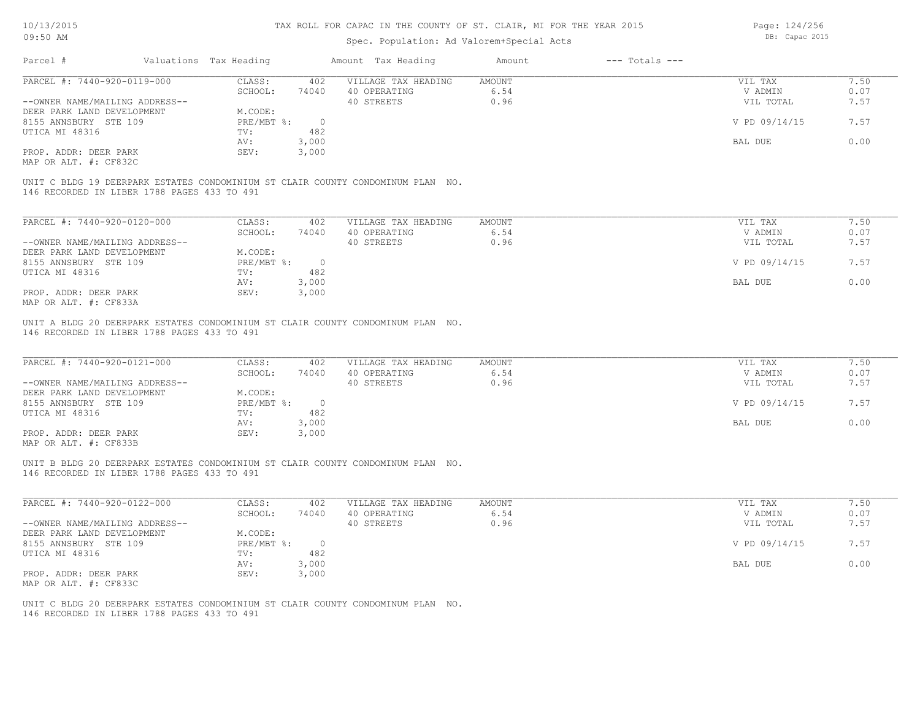### Spec. Population: Ad Valorem+Special Acts

Page: 124/256 DB: Capac 2015

| Parcel #                                    | Valuations Tax Heading             |              | Amount Tax Heading                                                              | Amount               | $---$ Totals $---$ |                   |               |
|---------------------------------------------|------------------------------------|--------------|---------------------------------------------------------------------------------|----------------------|--------------------|-------------------|---------------|
| PARCEL #: 7440-920-0119-000                 | CLASS:                             | 402          | VILLAGE TAX HEADING                                                             | AMOUNT               |                    | VIL TAX           | 7.50          |
|                                             | SCHOOL:                            | 74040        | 40 OPERATING                                                                    | 6.54                 |                    | V ADMIN           | 0.07          |
| --OWNER NAME/MAILING ADDRESS--              |                                    |              | 40 STREETS                                                                      | 0.96                 |                    | VIL TOTAL         | 7.57          |
| DEER PARK LAND DEVELOPMENT                  | M.CODE:                            |              |                                                                                 |                      |                    |                   |               |
| 8155 ANNSBURY STE 109                       | $PRE/MBT$ %:                       | - 0          |                                                                                 |                      |                    | V PD 09/14/15     | 7.57          |
| UTICA MI 48316                              | TV:                                | 482          |                                                                                 |                      |                    |                   |               |
|                                             | AV:                                | 3,000        |                                                                                 |                      |                    | BAL DUE           | 0.00          |
| PROP. ADDR: DEER PARK                       | SEV:                               | 3,000        |                                                                                 |                      |                    |                   |               |
| MAP OR ALT. #: CF832C                       |                                    |              |                                                                                 |                      |                    |                   |               |
| 146 RECORDED IN LIBER 1788 PAGES 433 TO 491 |                                    |              | UNIT C BLDG 19 DEERPARK ESTATES CONDOMINIUM ST CLAIR COUNTY CONDOMINUM PLAN NO. |                      |                    |                   |               |
|                                             |                                    |              |                                                                                 |                      |                    |                   |               |
| PARCEL #: 7440-920-0120-000                 | CLASS:                             | 402          | VILLAGE TAX HEADING                                                             | AMOUNT               |                    | VIL TAX           | 7.50          |
|                                             | $\sim$ $\sim$ $\sim$ $\sim$ $\sim$ | <b>PAQAQ</b> | 10.0                                                                            | $\sim$ $\sim$ $\sim$ |                    | $\cdots$ $\cdots$ | $\sim$ $\sim$ |

|                                | -------    | ---    |              |      | .             | .    |  |
|--------------------------------|------------|--------|--------------|------|---------------|------|--|
|                                | SCHOOL:    | 74040  | 40 OPERATING | 6.54 | V ADMIN       | 0.07 |  |
| --OWNER NAME/MAILING ADDRESS-- |            |        | 40 STREETS   | 0.96 | VIL TOTAL     | 7.57 |  |
| DEER PARK LAND DEVELOPMENT     | M.CODE:    |        |              |      |               |      |  |
| 8155 ANNSBURY STE 109          | PRE/MBT %: | $\cap$ |              |      | V PD 09/14/15 | 7.57 |  |
| UTICA MI 48316                 | TV:        | 482    |              |      |               |      |  |
|                                | AV:        | 3,000  |              |      | BAL DUE       | 0.00 |  |
| PROP. ADDR: DEER PARK          | SEV:       | 3,000  |              |      |               |      |  |
| MAD OD ATHL 4. CHOODA          |            |        |              |      |               |      |  |

MAP OR ALT. #: CF833A

146 RECORDED IN LIBER 1788 PAGES 433 TO 491 UNIT A BLDG 20 DEERPARK ESTATES CONDOMINIUM ST CLAIR COUNTY CONDOMINUM PLAN NO.

| PARCEL #: 7440-920-0121-000                           | CLASS:     | 402   | VILLAGE TAX HEADING | AMOUNT | VIL TAX       | 7.50 |
|-------------------------------------------------------|------------|-------|---------------------|--------|---------------|------|
|                                                       | SCHOOL:    | 74040 | 40 OPERATING        | 6.54   | V ADMIN       | 0.07 |
| --OWNER NAME/MAILING ADDRESS--                        |            |       | 40 STREETS          | 0.96   | VIL TOTAL     | 7.57 |
| DEER PARK LAND DEVELOPMENT                            | M.CODE:    |       |                     |        |               |      |
| 8155 ANNSBURY STE 109                                 | PRE/MBT %: |       |                     |        | V PD 09/14/15 | 7.57 |
| UTICA MI 48316                                        | TV:        | 482   |                     |        |               |      |
|                                                       | AV:        | 3,000 |                     |        | BAL DUE       | 0.00 |
| PROP. ADDR: DEER PARK                                 | SEV:       | 3,000 |                     |        |               |      |
| $\cdots$ $\cdots$ $\cdots$ $\cdots$ $\cdots$ $\cdots$ |            |       |                     |        |               |      |

MAP OR ALT. #: CF833B

146 RECORDED IN LIBER 1788 PAGES 433 TO 491 UNIT B BLDG 20 DEERPARK ESTATES CONDOMINIUM ST CLAIR COUNTY CONDOMINUM PLAN NO.

| PARCEL #: 7440-920-0122-000    | CLASS:     | 402   | VILLAGE TAX HEADING | AMOUNT | VIL TAX       | 7.50 |
|--------------------------------|------------|-------|---------------------|--------|---------------|------|
|                                | SCHOOL:    | 74040 | 40 OPERATING        | 6.54   | V ADMIN       | 0.07 |
| --OWNER NAME/MAILING ADDRESS-- |            |       | 40 STREETS          | 0.96   | VIL TOTAL     | 7.57 |
| DEER PARK LAND DEVELOPMENT     | M.CODE:    |       |                     |        |               |      |
| 8155 ANNSBURY STE 109          | PRE/MBT %: |       |                     |        | V PD 09/14/15 | 7.57 |
| UTICA MI 48316                 | TV:        | 482   |                     |        |               |      |
|                                | AV:        | 3,000 |                     |        | BAL DUE       | 0.00 |
| PROP. ADDR: DEER PARK          | SEV:       | 3,000 |                     |        |               |      |
| MAP OR ALT. #: CF833C          |            |       |                     |        |               |      |

 $\mathcal{L}_\mathcal{L} = \mathcal{L}_\mathcal{L} = \mathcal{L}_\mathcal{L} = \mathcal{L}_\mathcal{L} = \mathcal{L}_\mathcal{L} = \mathcal{L}_\mathcal{L} = \mathcal{L}_\mathcal{L} = \mathcal{L}_\mathcal{L} = \mathcal{L}_\mathcal{L} = \mathcal{L}_\mathcal{L} = \mathcal{L}_\mathcal{L} = \mathcal{L}_\mathcal{L} = \mathcal{L}_\mathcal{L} = \mathcal{L}_\mathcal{L} = \mathcal{L}_\mathcal{L} = \mathcal{L}_\mathcal{L} = \mathcal{L}_\mathcal{L}$ 

146 RECORDED IN LIBER 1788 PAGES 433 TO 491 UNIT C BLDG 20 DEERPARK ESTATES CONDOMINIUM ST CLAIR COUNTY CONDOMINUM PLAN NO.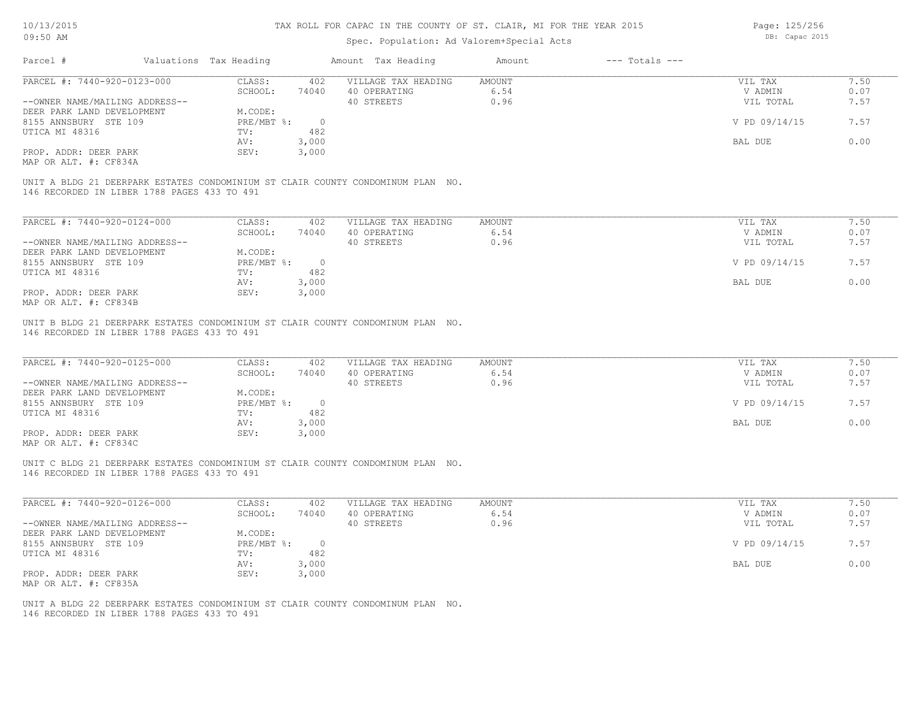### Spec. Population: Ad Valorem+Special Acts

Page: 125/256 DB: Capac 2015

| Parcel #                       | Valuations Tax Heading |        | Amount Tax Heading                                                              | Amount | $---$ Totals $---$ |               |      |
|--------------------------------|------------------------|--------|---------------------------------------------------------------------------------|--------|--------------------|---------------|------|
| PARCEL #: 7440-920-0123-000    | CLASS:                 | 402    | VILLAGE TAX HEADING                                                             | AMOUNT |                    | VIL TAX       | 7.50 |
|                                | SCHOOL:                | 74040  | 40 OPERATING                                                                    | 6.54   |                    | V ADMIN       | 0.07 |
| --OWNER NAME/MAILING ADDRESS-- |                        |        | 40 STREETS                                                                      | 0.96   |                    | VIL TOTAL     | 7.57 |
| DEER PARK LAND DEVELOPMENT     | M.CODE:                |        |                                                                                 |        |                    |               |      |
| 8155 ANNSBURY STE 109          | $PRE/MBT$ $\div$       | $\cap$ |                                                                                 |        |                    | V PD 09/14/15 | 7.57 |
| UTICA MI 48316                 | TV:                    | 482    |                                                                                 |        |                    |               |      |
|                                | AV:                    | 3,000  |                                                                                 |        |                    | BAL DUE       | 0.00 |
| PROP. ADDR: DEER PARK          | SEV:                   | 3,000  |                                                                                 |        |                    |               |      |
|                                |                        |        |                                                                                 |        |                    |               |      |
| MAP OR ALT. #: CF834A          |                        |        | UNIT A BLDG 21 DEERPARK ESTATES CONDOMINIUM ST CLAIR COUNTY CONDOMINUM PLAN NO. |        |                    |               |      |

| PARCEL #: 7440-920-0124-000    | CLASS:     | 402    | VILLAGE TAX HEADING | AMOUNT | VIL TAX       | 7.50 |
|--------------------------------|------------|--------|---------------------|--------|---------------|------|
|                                | SCHOOL:    | 74040  | 40 OPERATING        | 6.54   | V ADMIN       | 0.07 |
| --OWNER NAME/MAILING ADDRESS-- |            |        | 40 STREETS          | 0.96   | VIL TOTAL     | 7.57 |
| DEER PARK LAND DEVELOPMENT     | M.CODE:    |        |                     |        |               |      |
| 8155 ANNSBURY STE 109          | PRE/MBT %: | $\cap$ |                     |        | V PD 09/14/15 | 7.57 |
| UTICA MI 48316                 | TV:        | 482    |                     |        |               |      |
|                                | AV:        | 3,000  |                     |        | BAL DUE       | 0.00 |
| PROP. ADDR: DEER PARK          | SEV:       | 3,000  |                     |        |               |      |
| MAP OR ALT. #: CF834B          |            |        |                     |        |               |      |

146 RECORDED IN LIBER 1788 PAGES 433 TO 491 UNIT B BLDG 21 DEERPARK ESTATES CONDOMINIUM ST CLAIR COUNTY CONDOMINUM PLAN NO.

| PARCEL #: 7440-920-0125-000                  | CLASS:     | 402   | VILLAGE TAX HEADING | AMOUNT | VIL TAX       | 7.50 |
|----------------------------------------------|------------|-------|---------------------|--------|---------------|------|
|                                              | SCHOOL:    | 74040 | 40 OPERATING        | 6.54   | V ADMIN       | 0.07 |
| --OWNER NAME/MAILING ADDRESS--               |            |       | 40 STREETS          | 0.96   | VIL TOTAL     | 7.57 |
| DEER PARK LAND DEVELOPMENT                   | M.CODE:    |       |                     |        |               |      |
| 8155 ANNSBURY STE 109                        | PRE/MBT %: |       |                     |        | V PD 09/14/15 | 7.57 |
| UTICA MI 48316                               | TV:        | 482   |                     |        |               |      |
|                                              | AV:        | 3,000 |                     |        | BAL DUE       | 0.00 |
| PROP. ADDR: DEER PARK                        | SEV:       | 3,000 |                     |        |               |      |
| $\cdots$ $\cdots$ $\cdots$ $\cdots$ $\cdots$ |            |       |                     |        |               |      |

MAP OR ALT. #: CF834C

146 RECORDED IN LIBER 1788 PAGES 433 TO 491 UNIT C BLDG 21 DEERPARK ESTATES CONDOMINIUM ST CLAIR COUNTY CONDOMINUM PLAN NO.

| PARCEL #: 7440-920-0126-000    | CLASS:     | 402   | VILLAGE TAX HEADING | AMOUNT | 7.50<br>VIL TAX       |  |
|--------------------------------|------------|-------|---------------------|--------|-----------------------|--|
|                                | SCHOOL:    | 74040 | 40 OPERATING        | 6.54   | 0.07<br>V ADMIN       |  |
| --OWNER NAME/MAILING ADDRESS-- |            |       | 40 STREETS          | 0.96   | 7.57<br>VIL TOTAL     |  |
| DEER PARK LAND DEVELOPMENT     | M.CODE:    |       |                     |        |                       |  |
| 8155 ANNSBURY STE 109          | PRE/MBT %: |       |                     |        | V PD 09/14/15<br>7.57 |  |
| UTICA MI 48316                 | TV:        | 482   |                     |        |                       |  |
|                                | AV:        | 3,000 |                     |        | 0.00<br>BAL DUE       |  |
| PROP. ADDR: DEER PARK          | SEV:       | 3,000 |                     |        |                       |  |
| MAP OR ALT. #: CF835A          |            |       |                     |        |                       |  |

 $\mathcal{L}_\mathcal{L} = \mathcal{L}_\mathcal{L} = \mathcal{L}_\mathcal{L} = \mathcal{L}_\mathcal{L} = \mathcal{L}_\mathcal{L} = \mathcal{L}_\mathcal{L} = \mathcal{L}_\mathcal{L} = \mathcal{L}_\mathcal{L} = \mathcal{L}_\mathcal{L} = \mathcal{L}_\mathcal{L} = \mathcal{L}_\mathcal{L} = \mathcal{L}_\mathcal{L} = \mathcal{L}_\mathcal{L} = \mathcal{L}_\mathcal{L} = \mathcal{L}_\mathcal{L} = \mathcal{L}_\mathcal{L} = \mathcal{L}_\mathcal{L}$ 

146 RECORDED IN LIBER 1788 PAGES 433 TO 491 UNIT A BLDG 22 DEERPARK ESTATES CONDOMINIUM ST CLAIR COUNTY CONDOMINUM PLAN NO.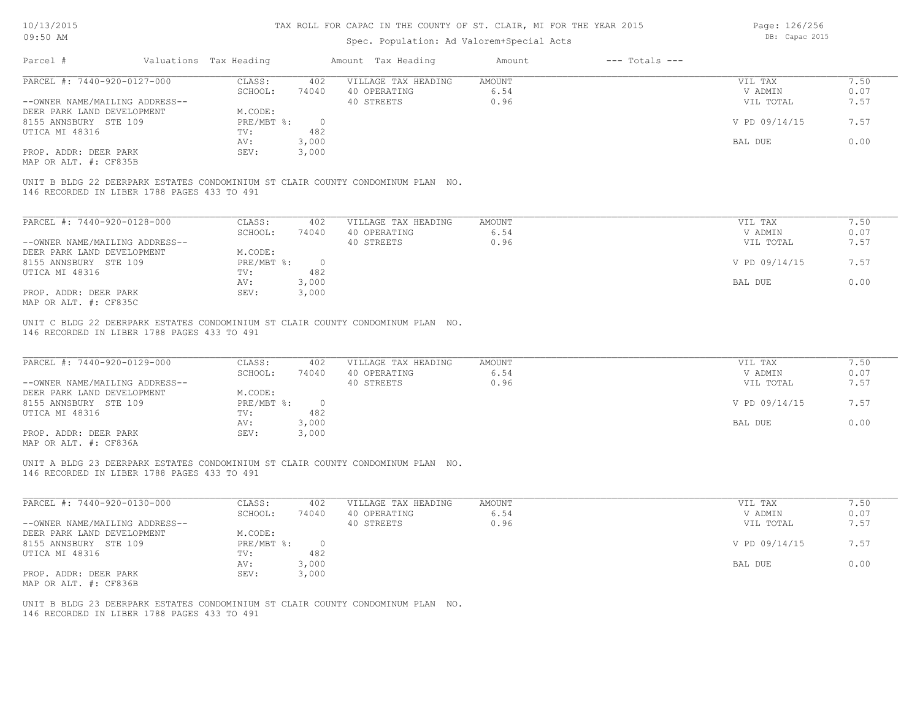### Spec. Population: Ad Valorem+Special Acts

Page: 126/256 DB: Capac 2015

| Parcel #                       |                                             | Valuations Tax Heading |       | Amount Tax Heading                                                              | Amount | $---$ Totals $---$ |               |      |
|--------------------------------|---------------------------------------------|------------------------|-------|---------------------------------------------------------------------------------|--------|--------------------|---------------|------|
| PARCEL #: 7440-920-0127-000    |                                             | CLASS:                 | 402   | VILLAGE TAX HEADING                                                             | AMOUNT |                    | VIL TAX       | 7.50 |
|                                |                                             | SCHOOL:                | 74040 | 40 OPERATING                                                                    | 6.54   |                    | V ADMIN       | 0.07 |
| --OWNER NAME/MAILING ADDRESS-- |                                             |                        |       | 40 STREETS                                                                      | 0.96   |                    | VIL TOTAL     | 7.57 |
| DEER PARK LAND DEVELOPMENT     |                                             | M.CODE:                |       |                                                                                 |        |                    |               |      |
| 8155 ANNSBURY STE 109          |                                             | PRE/MBT %:             |       |                                                                                 |        |                    | V PD 09/14/15 | 7.57 |
| UTICA MI 48316                 |                                             | TV:                    | 482   |                                                                                 |        |                    |               |      |
|                                |                                             | AV:                    | 3,000 |                                                                                 |        |                    | BAL DUE       | 0.00 |
| PROP. ADDR: DEER PARK          |                                             | SEV:                   | 3,000 |                                                                                 |        |                    |               |      |
| MAP OR ALT. #: CF835B          |                                             |                        |       |                                                                                 |        |                    |               |      |
|                                |                                             |                        |       |                                                                                 |        |                    |               |      |
|                                |                                             |                        |       | UNIT B BLDG 22 DEERPARK ESTATES CONDOMINIUM ST CLAIR COUNTY CONDOMINUM PLAN NO. |        |                    |               |      |
|                                | 146 RECORDED IN LIBER 1788 PAGES 433 TO 491 |                        |       |                                                                                 |        |                    |               |      |

PROP. ADDR: DEER PARK SEV: 3,000 AV: 3,000 BAL DUE 0.00 UTICA MI 48316 TV: 482<br>
AV: 3,000 8155 ANNSBURY STE 109 PRE/MBT %: 0 V PD 09/14/15 7.57 DEER PARK LAND DEVELOPMENT M.CODE: --OWNER NAME/MAILING ADDRESS-- 40 STREETS 40 STREETS 0.96 0.96 VIL TOTAL 7.57 SCHOOL: 74040 40 OPERATING 6.54 6.54 V ADMIN 0.07 PARCEL #: 7440-920-0128-000 CLASS: 402 VILLAGE TAX HEADING AMOUNT VIL TAX VIL TAX 7.50<br>SCHOOL: 74040 40 OPERATING 6.54 VADMIN 0.07

MAP OR ALT. #: CF835C

146 RECORDED IN LIBER 1788 PAGES 433 TO 491 UNIT C BLDG 22 DEERPARK ESTATES CONDOMINIUM ST CLAIR COUNTY CONDOMINUM PLAN NO.

| PARCEL #: 7440-920-0129-000                  | CLASS:     | 402   | VILLAGE TAX HEADING | AMOUNT | VIL TAX       | 7.50 |
|----------------------------------------------|------------|-------|---------------------|--------|---------------|------|
|                                              | SCHOOL:    | 74040 | 40 OPERATING        | 6.54   | V ADMIN       | 0.07 |
| --OWNER NAME/MAILING ADDRESS--               |            |       | 40 STREETS          | 0.96   | VIL TOTAL     | 7.57 |
| DEER PARK LAND DEVELOPMENT                   | M.CODE:    |       |                     |        |               |      |
| 8155 ANNSBURY STE 109                        | PRE/MBT %: |       |                     |        | V PD 09/14/15 | 7.57 |
| UTICA MI 48316                               | TV:        | 482   |                     |        |               |      |
|                                              | AV:        | 3,000 |                     |        | BAL DUE       | 0.00 |
| PROP. ADDR: DEER PARK                        | SEV:       | 3,000 |                     |        |               |      |
| $\cdots$ $\cdots$ $\cdots$ $\cdots$ $\cdots$ |            |       |                     |        |               |      |

MAP OR ALT. #: CF836A

146 RECORDED IN LIBER 1788 PAGES 433 TO 491 UNIT A BLDG 23 DEERPARK ESTATES CONDOMINIUM ST CLAIR COUNTY CONDOMINUM PLAN NO.

| PARCEL #: 7440-920-0130-000    | CLASS:     | 402   | VILLAGE TAX HEADING | AMOUNT | VIL TAX       | 7.50 |
|--------------------------------|------------|-------|---------------------|--------|---------------|------|
|                                | SCHOOL:    | 74040 | 40 OPERATING        | 6.54   | V ADMIN       | 0.07 |
| --OWNER NAME/MAILING ADDRESS-- |            |       | 40 STREETS          | 0.96   | VIL TOTAL     | 7.57 |
| DEER PARK LAND DEVELOPMENT     | M.CODE:    |       |                     |        |               |      |
| 8155 ANNSBURY STE 109          | PRE/MBT %: |       |                     |        | V PD 09/14/15 | 7.57 |
| UTICA MI 48316                 | TV:        | 482   |                     |        |               |      |
|                                | AV:        | 3,000 |                     |        | BAL DUE       | 0.00 |
| PROP. ADDR: DEER PARK          | SEV:       | 3,000 |                     |        |               |      |
| MAP OR ALT. #: CF836B          |            |       |                     |        |               |      |

 $\mathcal{L}_\mathcal{L} = \mathcal{L}_\mathcal{L} = \mathcal{L}_\mathcal{L} = \mathcal{L}_\mathcal{L} = \mathcal{L}_\mathcal{L} = \mathcal{L}_\mathcal{L} = \mathcal{L}_\mathcal{L} = \mathcal{L}_\mathcal{L} = \mathcal{L}_\mathcal{L} = \mathcal{L}_\mathcal{L} = \mathcal{L}_\mathcal{L} = \mathcal{L}_\mathcal{L} = \mathcal{L}_\mathcal{L} = \mathcal{L}_\mathcal{L} = \mathcal{L}_\mathcal{L} = \mathcal{L}_\mathcal{L} = \mathcal{L}_\mathcal{L}$ 

146 RECORDED IN LIBER 1788 PAGES 433 TO 491 UNIT B BLDG 23 DEERPARK ESTATES CONDOMINIUM ST CLAIR COUNTY CONDOMINUM PLAN NO.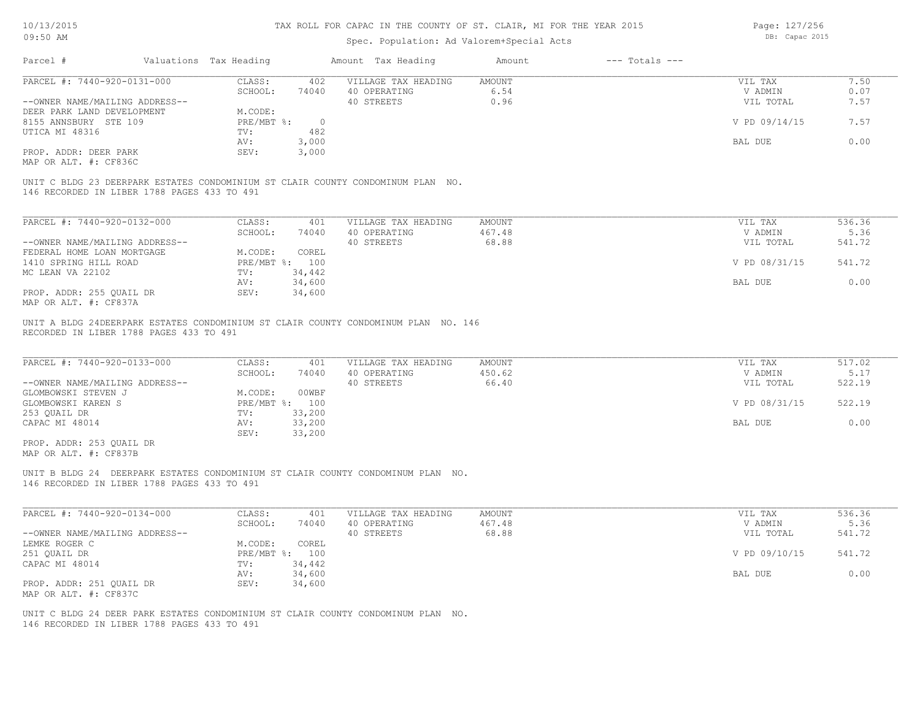Page: 127/256

| 10/13/2015                                        |                        |                | TAX ROLL FOR CAPAC IN THE COUNTY OF ST. CLAIR, MI FOR THE YEAR 2015              |               |                    | Page: 127/256  |        |
|---------------------------------------------------|------------------------|----------------|----------------------------------------------------------------------------------|---------------|--------------------|----------------|--------|
| 09:50 AM                                          |                        |                | Spec. Population: Ad Valorem+Special Acts                                        |               |                    | DB: Capac 2015 |        |
| Parcel #                                          | Valuations Tax Heading |                | Amount Tax Heading                                                               | Amount        | $---$ Totals $---$ |                |        |
| PARCEL #: 7440-920-0131-000                       | CLASS:                 | 402            | VILLAGE TAX HEADING                                                              | AMOUNT        |                    | VIL TAX        | 7.50   |
|                                                   | SCHOOL:                | 74040          | 40 OPERATING                                                                     | 6.54          |                    | V ADMIN        | 0.07   |
| --OWNER NAME/MAILING ADDRESS--                    |                        |                | 40 STREETS                                                                       | 0.96          |                    | VIL TOTAL      | 7.57   |
|                                                   |                        |                |                                                                                  |               |                    |                |        |
| DEER PARK LAND DEVELOPMENT                        | M.CODE:                |                |                                                                                  |               |                    |                |        |
| 8155 ANNSBURY STE 109                             | $PRE/MBT$ $\div$       | $\overline{0}$ |                                                                                  |               |                    | V PD 09/14/15  | 7.57   |
| UTICA MI 48316                                    | TV:                    | 482            |                                                                                  |               |                    |                |        |
|                                                   | AV:                    | 3,000          |                                                                                  |               |                    | BAL DUE        | 0.00   |
| PROP. ADDR: DEER PARK                             | SEV:                   | 3,000          |                                                                                  |               |                    |                |        |
| MAP OR ALT. #: CF836C                             |                        |                |                                                                                  |               |                    |                |        |
| 146 RECORDED IN LIBER 1788 PAGES 433 TO 491       |                        |                | UNIT C BLDG 23 DEERPARK ESTATES CONDOMINIUM ST CLAIR COUNTY CONDOMINUM PLAN NO.  |               |                    |                |        |
| PARCEL #: 7440-920-0132-000                       | CLASS:                 | 401            | VILLAGE TAX HEADING                                                              | <b>AMOUNT</b> |                    | VIL TAX        | 536.36 |
|                                                   | SCHOOL:                | 74040          | 40 OPERATING                                                                     | 467.48        |                    | V ADMIN        | 5.36   |
| --OWNER NAME/MAILING ADDRESS--                    |                        |                | 40 STREETS                                                                       | 68.88         |                    | VIL TOTAL      | 541.72 |
|                                                   |                        |                |                                                                                  |               |                    |                |        |
| FEDERAL HOME LOAN MORTGAGE                        | M.CODE:                | COREL          |                                                                                  |               |                    |                |        |
| 1410 SPRING HILL ROAD                             |                        | PRE/MBT %: 100 |                                                                                  |               |                    | V PD 08/31/15  | 541.72 |
| MC LEAN VA 22102                                  | TV:                    | 34,442         |                                                                                  |               |                    |                |        |
|                                                   | AV:                    | 34,600         |                                                                                  |               |                    | BAL DUE        | 0.00   |
| PROP. ADDR: 255 QUAIL DR                          | SEV:                   | 34,600         |                                                                                  |               |                    |                |        |
| MAP OR ALT. #: CF837A                             |                        |                |                                                                                  |               |                    |                |        |
| PARCEL #: 7440-920-0133-000                       | CLASS:                 | 401            | VILLAGE TAX HEADING                                                              | AMOUNT        |                    | VIL TAX        | 517.02 |
|                                                   | SCHOOL:                | 74040          | 40 OPERATING                                                                     | 450.62        |                    | V ADMIN        | 5.17   |
| --OWNER NAME/MAILING ADDRESS--                    |                        |                | 40 STREETS                                                                       | 66.40         |                    | VIL TOTAL      | 522.19 |
| GLOMBOWSKI STEVEN J                               | M.CODE:                | 00WBF          |                                                                                  |               |                    |                |        |
| GLOMBOWSKI KAREN S                                |                        | PRE/MBT %: 100 |                                                                                  |               |                    | V PD 08/31/15  | 522.19 |
| 253 QUAIL DR                                      | TV:                    | 33,200         |                                                                                  |               |                    |                |        |
| CAPAC MI 48014                                    | AV:                    | 33,200         |                                                                                  |               |                    | BAL DUE        | 0.00   |
|                                                   | SEV:                   | 33,200         |                                                                                  |               |                    |                |        |
| PROP. ADDR: 253 QUAIL DR<br>MAP OR ALT. #: CF837B |                        |                |                                                                                  |               |                    |                |        |
| 146 RECORDED IN LIBER 1788 PAGES 433 TO 491       |                        |                | UNIT B BLDG 24 DEERPARK ESTATES CONDOMINIUM ST CLAIR COUNTY CONDOMINUM PLAN NO.  |               |                    |                |        |
| PARCEL #: 7440-920-0134-000                       | CLASS:                 | 401            | VILLAGE TAX HEADING                                                              | AMOUNT        |                    | VIL TAX        | 536.36 |
|                                                   | SCHOOL:                | 74040          | 40 OPERATING                                                                     | 467.48        |                    | V ADMIN        | 5.36   |
| --OWNER NAME/MAILING ADDRESS--                    |                        |                | 40 STREETS                                                                       | 68.88         |                    | VIL TOTAL      | 541.72 |
| LEMKE ROGER C                                     | M.CODE:                | COREL          |                                                                                  |               |                    |                |        |
| 251 QUAIL DR                                      |                        | PRE/MBT %: 100 |                                                                                  |               |                    | V PD 09/10/15  | 541.72 |
| CAPAC MI 48014                                    | TV:                    | 34,442         |                                                                                  |               |                    |                |        |
|                                                   |                        |                |                                                                                  |               |                    | BAL DUE        |        |
|                                                   | AV:                    | 34,600         |                                                                                  |               |                    |                | 0.00   |
| PROP. ADDR: 251 QUAIL DR                          | SEV:                   | 34,600         |                                                                                  |               |                    |                |        |
| MAP OR ALT. #: CF837C                             |                        |                |                                                                                  |               |                    |                |        |
|                                                   |                        |                |                                                                                  |               |                    |                |        |
|                                                   |                        |                | UNIT C BLDG 24 DEER PARK ESTATES CONDOMINIUM ST CLAIR COUNTY CONDOMINUM PLAN NO. |               |                    |                |        |
| 146 RECORDED IN LIBER 1788 PAGES 433 TO 491       |                        |                |                                                                                  |               |                    |                |        |
|                                                   |                        |                |                                                                                  |               |                    |                |        |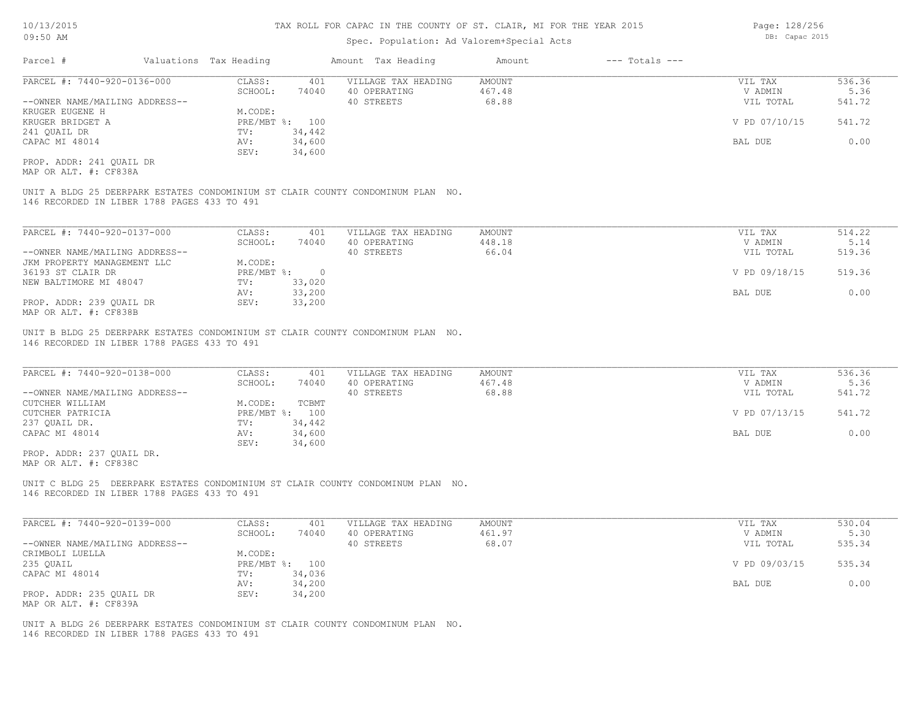### Spec. Population: Ad Valorem+Special Acts

| Parcel #                       | Valuations Tax Heading |        | Amount Tax Heading  | Amount | $---$ Totals $---$ |               |        |
|--------------------------------|------------------------|--------|---------------------|--------|--------------------|---------------|--------|
| PARCEL #: 7440-920-0136-000    | CLASS:                 | 401    | VILLAGE TAX HEADING | AMOUNT |                    | VIL TAX       | 536.36 |
|                                | SCHOOL:                | 74040  | 40 OPERATING        | 467.48 |                    | V ADMIN       | 5.36   |
| --OWNER NAME/MAILING ADDRESS-- |                        |        | 40 STREETS          | 68.88  |                    | VIL TOTAL     | 541.72 |
| KRUGER EUGENE H                | M.CODE:                |        |                     |        |                    |               |        |
| KRUGER BRIDGET A               | PRE/MBT %: 100         |        |                     |        |                    | V PD 07/10/15 | 541.72 |
| 241 OUAIL DR                   | TV:                    | 34,442 |                     |        |                    |               |        |
| CAPAC MI 48014                 | AV:                    | 34,600 |                     |        |                    | BAL DUE       | 0.00   |
|                                | SEV:                   | 34,600 |                     |        |                    |               |        |
| PROP. ADDR: 241 OUAIL DR       |                        |        |                     |        |                    |               |        |

MAP OR ALT. #: CF838A

146 RECORDED IN LIBER 1788 PAGES 433 TO 491 UNIT A BLDG 25 DEERPARK ESTATES CONDOMINIUM ST CLAIR COUNTY CONDOMINUM PLAN NO.

| PARCEL #: 7440-920-0137-000    | CLASS:       | 401    | VILLAGE TAX HEADING | AMOUNT | VIL TAX       | 514.22 |
|--------------------------------|--------------|--------|---------------------|--------|---------------|--------|
|                                | SCHOOL:      | 74040  | 40 OPERATING        | 448.18 | V ADMIN       | 5.14   |
| --OWNER NAME/MAILING ADDRESS-- |              |        | 40 STREETS          | 66.04  | VIL TOTAL     | 519.36 |
| JKM PROPERTY MANAGEMENT LLC    | M.CODE:      |        |                     |        |               |        |
| 36193 ST CLAIR DR              | $PRE/MBT$ %: |        |                     |        | V PD 09/18/15 | 519.36 |
| NEW BALTIMORE MI 48047         | TV:          | 33,020 |                     |        |               |        |
|                                | AV:          | 33,200 |                     |        | BAL DUE       | 0.00   |
| PROP. ADDR: 239 OUAIL DR       | SEV:         | 33,200 |                     |        |               |        |
| MAP OR ALT. #: CF838B          |              |        |                     |        |               |        |

146 RECORDED IN LIBER 1788 PAGES 433 TO 491 UNIT B BLDG 25 DEERPARK ESTATES CONDOMINIUM ST CLAIR COUNTY CONDOMINUM PLAN NO.

| PARCEL #: 7440-920-0138-000    | CLASS:  | 401            | VILLAGE TAX HEADING | AMOUNT | VIL TAX       | 536.36 |
|--------------------------------|---------|----------------|---------------------|--------|---------------|--------|
|                                | SCHOOL: | 74040          | 40 OPERATING        | 467.48 | V ADMIN       | 5.36   |
| --OWNER NAME/MAILING ADDRESS-- |         |                | 40 STREETS          | 68.88  | VIL TOTAL     | 541.72 |
| CUTCHER WILLIAM                | M.CODE: | TCBMT          |                     |        |               |        |
| CUTCHER PATRICIA               |         | PRE/MBT %: 100 |                     |        | V PD 07/13/15 | 541.72 |
| 237 QUAIL DR.                  | TV:     | 34,442         |                     |        |               |        |
| CAPAC MI 48014                 | AV:     | 34,600         |                     |        | BAL DUE       | 0.00   |
|                                | SEV:    | 34,600         |                     |        |               |        |
| PROP. ADDR: 237 OUAIL DR.      |         |                |                     |        |               |        |

MAP OR ALT. #: CF838C

146 RECORDED IN LIBER 1788 PAGES 433 TO 491 UNIT C BLDG 25 DEERPARK ESTATES CONDOMINIUM ST CLAIR COUNTY CONDOMINUM PLAN NO.

| PARCEL #: 7440-920-0139-000    | CLASS:  | 401            | VILLAGE TAX HEADING | AMOUNT | VIL TAX       | 530.04 |
|--------------------------------|---------|----------------|---------------------|--------|---------------|--------|
|                                | SCHOOL: | 74040          | 40 OPERATING        | 461.97 | V ADMIN       | 5.30   |
| --OWNER NAME/MAILING ADDRESS-- |         |                | 40 STREETS          | 68.07  | VIL TOTAL     | 535.34 |
| CRIMBOLI LUELLA                | M.CODE: |                |                     |        |               |        |
| 235 QUAIL                      |         | PRE/MBT %: 100 |                     |        | V PD 09/03/15 | 535.34 |
| CAPAC MI 48014                 | TV:     | 34,036         |                     |        |               |        |
|                                | AV:     | 34,200         |                     |        | BAL DUE       | 0.00   |
| PROP. ADDR: 235 QUAIL DR       | SEV:    | 34,200         |                     |        |               |        |
| MAP OR ALT. #: CF839A          |         |                |                     |        |               |        |

146 RECORDED IN LIBER 1788 PAGES 433 TO 491 UNIT A BLDG 26 DEERPARK ESTATES CONDOMINIUM ST CLAIR COUNTY CONDOMINUM PLAN NO. Page: 128/256 DB: Capac 2015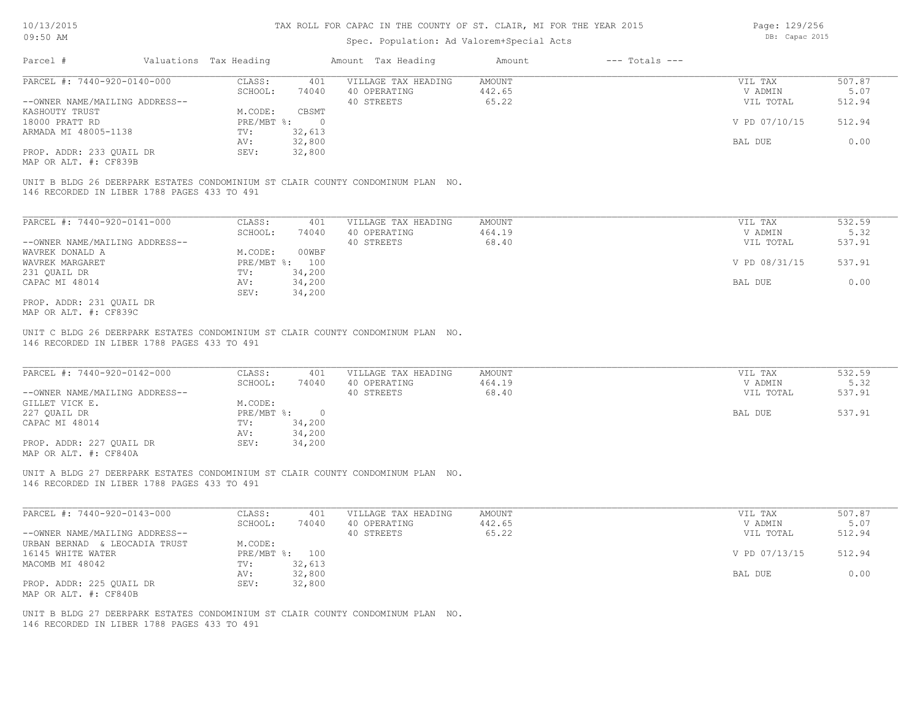### Spec. Population: Ad Valorem+Special Acts

Page: 129/256 DB: Capac 2015

| Parcel #                       | Valuations Tax Heading |        | Amount Tax Heading  | Amount | $---$ Totals $---$ |               |        |
|--------------------------------|------------------------|--------|---------------------|--------|--------------------|---------------|--------|
| PARCEL #: 7440-920-0140-000    | CLASS:                 | 401    | VILLAGE TAX HEADING | AMOUNT |                    | VIL TAX       | 507.87 |
|                                | SCHOOL:                | 74040  | 40 OPERATING        | 442.65 |                    | V ADMIN       | 5.07   |
| --OWNER NAME/MAILING ADDRESS-- |                        |        | 40 STREETS          | 65.22  |                    | VIL TOTAL     | 512.94 |
| KASHOUTY TRUST                 | M.CODE:                | CBSMT  |                     |        |                    |               |        |
| 18000 PRATT RD                 | $PRE/MBT$ %:           |        |                     |        |                    | V PD 07/10/15 | 512.94 |
| ARMADA MI 48005-1138           | TV:                    | 32,613 |                     |        |                    |               |        |
|                                | AV:                    | 32,800 |                     |        |                    | BAL DUE       | 0.00   |
| PROP. ADDR: 233 QUAIL DR       | SEV:                   | 32,800 |                     |        |                    |               |        |
|                                |                        |        |                     |        |                    |               |        |

MAP OR ALT. #: CF839B

146 RECORDED IN LIBER 1788 PAGES 433 TO 491 UNIT B BLDG 26 DEERPARK ESTATES CONDOMINIUM ST CLAIR COUNTY CONDOMINUM PLAN NO.

| PARCEL #: 7440-920-0141-000    | CLASS:           | 401    | VILLAGE TAX HEADING | AMOUNT | VIL TAX       | 532.59 |
|--------------------------------|------------------|--------|---------------------|--------|---------------|--------|
|                                | SCHOOL:          | 74040  | 40 OPERATING        | 464.19 | V ADMIN       | 5.32   |
| --OWNER NAME/MAILING ADDRESS-- |                  |        | 40 STREETS          | 68.40  | VIL TOTAL     | 537.91 |
| WAVREK DONALD A                | M.CODE:          | 00WBF  |                     |        |               |        |
| WAVREK MARGARET                | $PRE/MBT$ $\div$ | 100    |                     |        | V PD 08/31/15 | 537.91 |
| 231 OUAIL DR                   | TV:              | 34,200 |                     |        |               |        |
| CAPAC MI 48014                 | AV:              | 34,200 |                     |        | BAL DUE       | 0.00   |
|                                | SEV:             | 34,200 |                     |        |               |        |
| PROP. ADDR: 231 OUAIL DR       |                  |        |                     |        |               |        |

MAP OR ALT. #: CF839C

146 RECORDED IN LIBER 1788 PAGES 433 TO 491 UNIT C BLDG 26 DEERPARK ESTATES CONDOMINIUM ST CLAIR COUNTY CONDOMINUM PLAN NO.

| PARCEL #: 7440-920-0142-000    | CLASS:     | 401    | VILLAGE TAX HEADING | AMOUNT | VIL TAX   | 532.59 |
|--------------------------------|------------|--------|---------------------|--------|-----------|--------|
|                                | SCHOOL:    | 74040  | 40 OPERATING        | 464.19 | V ADMIN   | 5.32   |
| --OWNER NAME/MAILING ADDRESS-- |            |        | 40 STREETS          | 68.40  | VIL TOTAL | 537.91 |
| GILLET VICK E.                 | M.CODE:    |        |                     |        |           |        |
| 227 OUAIL DR                   | PRE/MBT %: | $\cap$ |                     |        | BAL DUE   | 537.91 |
| CAPAC MI 48014                 | TV:        | 34,200 |                     |        |           |        |
|                                | AV:        | 34,200 |                     |        |           |        |
| PROP. ADDR: 227 QUAIL DR       | SEV:       | 34,200 |                     |        |           |        |
| MAP OR ALT. #: CF840A          |            |        |                     |        |           |        |

 $\mathcal{L}_\mathcal{L} = \mathcal{L}_\mathcal{L} = \mathcal{L}_\mathcal{L} = \mathcal{L}_\mathcal{L} = \mathcal{L}_\mathcal{L} = \mathcal{L}_\mathcal{L} = \mathcal{L}_\mathcal{L} = \mathcal{L}_\mathcal{L} = \mathcal{L}_\mathcal{L} = \mathcal{L}_\mathcal{L} = \mathcal{L}_\mathcal{L} = \mathcal{L}_\mathcal{L} = \mathcal{L}_\mathcal{L} = \mathcal{L}_\mathcal{L} = \mathcal{L}_\mathcal{L} = \mathcal{L}_\mathcal{L} = \mathcal{L}_\mathcal{L}$ 

146 RECORDED IN LIBER 1788 PAGES 433 TO 491 UNIT A BLDG 27 DEERPARK ESTATES CONDOMINIUM ST CLAIR COUNTY CONDOMINUM PLAN NO.

| PARCEL #: 7440-920-0143-000    | CLASS:  | 401            | VILLAGE TAX HEADING | AMOUNT | VIL TAX       | 507.87 |
|--------------------------------|---------|----------------|---------------------|--------|---------------|--------|
|                                | SCHOOL: | 74040          | 40 OPERATING        | 442.65 | V ADMIN       | 5.07   |
| --OWNER NAME/MAILING ADDRESS-- |         |                | 40 STREETS          | 65.22  | VIL TOTAL     | 512.94 |
| URBAN BERNAD & LEOCADIA TRUST  | M.CODE: |                |                     |        |               |        |
| 16145 WHITE WATER              |         | PRE/MBT %: 100 |                     |        | V PD 07/13/15 | 512.94 |
| MACOMB MI 48042                | TV:     | 32,613         |                     |        |               |        |
|                                | AV:     | 32,800         |                     |        | BAL DUE       | 0.00   |
| PROP. ADDR: 225 OUAIL DR       | SEV:    | 32,800         |                     |        |               |        |
| MAP OR ALT. #: CF840B          |         |                |                     |        |               |        |

146 RECORDED IN LIBER 1788 PAGES 433 TO 491 UNIT B BLDG 27 DEERPARK ESTATES CONDOMINIUM ST CLAIR COUNTY CONDOMINUM PLAN NO.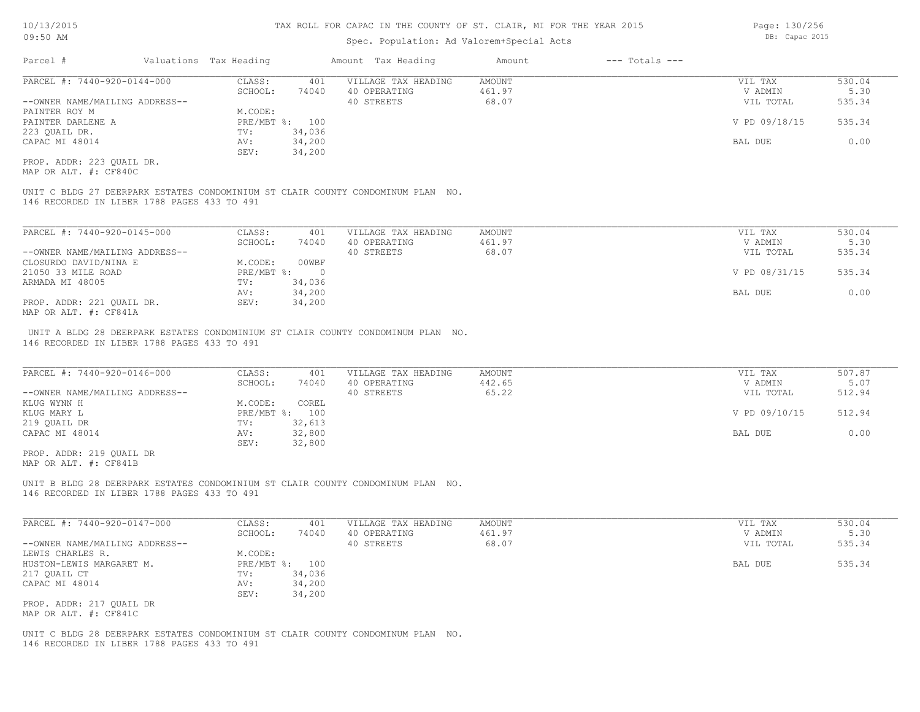## Spec. Population: Ad Valorem+Special Acts

| Parcel #                       | Valuations Tax Heading |        | Amount Tax Heading  | Amount | $---$ Totals $---$ |               |        |
|--------------------------------|------------------------|--------|---------------------|--------|--------------------|---------------|--------|
| PARCEL #: 7440-920-0144-000    | CLASS:                 | 401    | VILLAGE TAX HEADING | AMOUNT |                    | VIL TAX       | 530.04 |
|                                | SCHOOL:                | 74040  | 40 OPERATING        | 461.97 |                    | V ADMIN       | 5.30   |
| --OWNER NAME/MAILING ADDRESS-- |                        |        | 40 STREETS          | 68.07  |                    | VIL TOTAL     | 535.34 |
| PAINTER ROY M                  | M.CODE:                |        |                     |        |                    |               |        |
| PAINTER DARLENE A              | PRE/MBT %: 100         |        |                     |        |                    | V PD 09/18/15 | 535.34 |
| 223 OUAIL DR.                  | TV:                    | 34,036 |                     |        |                    |               |        |
| CAPAC MI 48014                 | AV:                    | 34,200 |                     |        |                    | BAL DUE       | 0.00   |
|                                | SEV:                   | 34,200 |                     |        |                    |               |        |
|                                |                        |        |                     |        |                    |               |        |

MAP OR ALT. #: CF840C PROP. ADDR: 223 QUAIL DR.

146 RECORDED IN LIBER 1788 PAGES 433 TO 491 UNIT C BLDG 27 DEERPARK ESTATES CONDOMINIUM ST CLAIR COUNTY CONDOMINUM PLAN NO.

| PARCEL #: 7440-920-0145-000    | CLASS:     | 401    | VILLAGE TAX HEADING | AMOUNT | VIL TAX       | 530.04 |
|--------------------------------|------------|--------|---------------------|--------|---------------|--------|
|                                | SCHOOL:    | 74040  | 40 OPERATING        | 461.97 | V ADMIN       | 5.30   |
| --OWNER NAME/MAILING ADDRESS-- |            |        | 40 STREETS          | 68.07  | VIL TOTAL     | 535.34 |
| CLOSURDO DAVID/NINA E          | M.CODE:    | 00WBF  |                     |        |               |        |
| 21050 33 MILE ROAD             | PRE/MBT %: |        |                     |        | V PD 08/31/15 | 535.34 |
| ARMADA MI 48005                | TV:        | 34,036 |                     |        |               |        |
|                                | AV:        | 34,200 |                     |        | BAL DUE       | 0.00   |
| PROP. ADDR: 221 OUAIL DR.      | SEV:       | 34,200 |                     |        |               |        |
| MAP OR ALT. #: CF841A          |            |        |                     |        |               |        |

146 RECORDED IN LIBER 1788 PAGES 433 TO 491 UNIT A BLDG 28 DEERPARK ESTATES CONDOMINIUM ST CLAIR COUNTY CONDOMINUM PLAN NO.

| PARCEL #: 7440-920-0146-000    | CLASS:  | 401            | VILLAGE TAX HEADING | AMOUNT | VIL TAX       | 507.87 |
|--------------------------------|---------|----------------|---------------------|--------|---------------|--------|
|                                | SCHOOL: | 74040          | 40 OPERATING        | 442.65 | V ADMIN       | 5.07   |
| --OWNER NAME/MAILING ADDRESS-- |         |                | 40 STREETS          | 65.22  | VIL TOTAL     | 512.94 |
| KLUG WYNN H                    | M.CODE: | COREL          |                     |        |               |        |
| KLUG MARY L                    |         | PRE/MBT %: 100 |                     |        | V PD 09/10/15 | 512.94 |
| 219 QUAIL DR                   | TV:     | 32,613         |                     |        |               |        |
| CAPAC MI 48014                 | AV:     | 32,800         |                     |        | BAL DUE       | 0.00   |
|                                | SEV:    | 32,800         |                     |        |               |        |
| PROP. ADDR: 219 OUAIL DR       |         |                |                     |        |               |        |

MAP OR ALT. #: CF841B

146 RECORDED IN LIBER 1788 PAGES 433 TO 491 UNIT B BLDG 28 DEERPARK ESTATES CONDOMINIUM ST CLAIR COUNTY CONDOMINUM PLAN NO.

| PARCEL #: 7440-920-0147-000    | CLASS:     | 401    | VILLAGE TAX HEADING | AMOUNT | VIL TAX   | 530.04 |
|--------------------------------|------------|--------|---------------------|--------|-----------|--------|
|                                | SCHOOL:    | 74040  | 40 OPERATING        | 461.97 | V ADMIN   | 5.30   |
| --OWNER NAME/MAILING ADDRESS-- |            |        | 40 STREETS          | 68.07  | VIL TOTAL | 535.34 |
| LEWIS CHARLES R.               | M.CODE:    |        |                     |        |           |        |
| HUSTON-LEWIS MARGARET M.       | PRE/MBT %: | 100    |                     |        | BAL DUE   | 535.34 |
| 217 QUAIL CT                   | TV:        | 34,036 |                     |        |           |        |
| CAPAC MI 48014                 | AV:        | 34,200 |                     |        |           |        |
|                                | SEV:       | 34,200 |                     |        |           |        |
| PROP. ADDR: 217 OUAIL DR       |            |        |                     |        |           |        |
| MAP OR ALT. #: CF841C          |            |        |                     |        |           |        |

146 RECORDED IN LIBER 1788 PAGES 433 TO 491 UNIT C BLDG 28 DEERPARK ESTATES CONDOMINIUM ST CLAIR COUNTY CONDOMINUM PLAN NO. Page: 130/256 DB: Capac 2015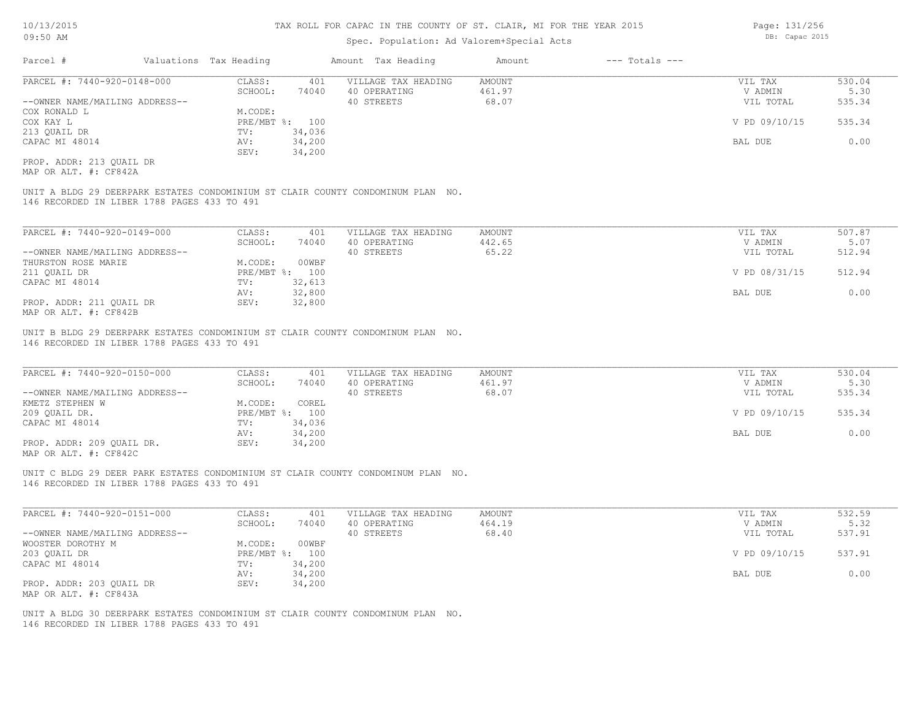### Spec. Population: Ad Valorem+Special Acts

| Parcel #                       | Valuations Tax Heading |        | Amount Tax Heading  | Amount | $---$ Totals $---$ |               |        |
|--------------------------------|------------------------|--------|---------------------|--------|--------------------|---------------|--------|
| PARCEL #: 7440-920-0148-000    | CLASS:                 | 401    | VILLAGE TAX HEADING | AMOUNT |                    | VIL TAX       | 530.04 |
|                                | SCHOOL:                | 74040  | 40 OPERATING        | 461.97 |                    | V ADMIN       | 5.30   |
| --OWNER NAME/MAILING ADDRESS-- |                        |        | 40 STREETS          | 68.07  |                    | VIL TOTAL     | 535.34 |
| COX RONALD L                   | M.CODE:                |        |                     |        |                    |               |        |
| COX KAY L                      | PRE/MBT %: 100         |        |                     |        |                    | V PD 09/10/15 | 535.34 |
| 213 OUAIL DR                   | TV:                    | 34,036 |                     |        |                    |               |        |
| CAPAC MI 48014                 | AV:                    | 34,200 |                     |        |                    | BAL DUE       | 0.00   |
|                                | SEV:                   | 34,200 |                     |        |                    |               |        |
|                                |                        |        |                     |        |                    |               |        |

MAP OR ALT. #: CF842A PROP. ADDR: 213 QUAIL DR

146 RECORDED IN LIBER 1788 PAGES 433 TO 491 UNIT A BLDG 29 DEERPARK ESTATES CONDOMINIUM ST CLAIR COUNTY CONDOMINUM PLAN NO.

| PARCEL #: 7440-920-0149-000    | CLASS:  | 401            | VILLAGE TAX HEADING | AMOUNT | VIL TAX       | 507.87 |
|--------------------------------|---------|----------------|---------------------|--------|---------------|--------|
|                                | SCHOOL: | 74040          | 40 OPERATING        | 442.65 | V ADMIN       | 5.07   |
| --OWNER NAME/MAILING ADDRESS-- |         |                | 40 STREETS          | 65.22  | VIL TOTAL     | 512.94 |
| THURSTON ROSE MARIE            | M.CODE: | 00WBF          |                     |        |               |        |
| 211 QUAIL DR                   |         | PRE/MBT %: 100 |                     |        | V PD 08/31/15 | 512.94 |
| CAPAC MI 48014                 | TV:     | 32,613         |                     |        |               |        |
|                                | AV:     | 32,800         |                     |        | BAL DUE       | 0.00   |
| PROP. ADDR: 211 OUAIL DR       | SEV:    | 32,800         |                     |        |               |        |
| $\frac{1}{2}$                  |         |                |                     |        |               |        |

MAP OR ALT. #: CF842B

146 RECORDED IN LIBER 1788 PAGES 433 TO 491 UNIT B BLDG 29 DEERPARK ESTATES CONDOMINIUM ST CLAIR COUNTY CONDOMINUM PLAN NO.

| PARCEL #: 7440-920-0150-000           | CLASS:       | 401    | VILLAGE TAX HEADING | AMOUNT | VIL TAX       | 530.04 |
|---------------------------------------|--------------|--------|---------------------|--------|---------------|--------|
|                                       | SCHOOL:      | 74040  | 40 OPERATING        | 461.97 | V ADMIN       | 5.30   |
| --OWNER NAME/MAILING ADDRESS--        |              |        | 40 STREETS          | 68.07  | VIL TOTAL     | 535.34 |
| KMETZ STEPHEN W                       | M.CODE:      | COREL  |                     |        |               |        |
| 209 OUAIL DR.                         | $PRE/MBT$ %: | 100    |                     |        | V PD 09/10/15 | 535.34 |
| CAPAC MI 48014                        | TV:          | 34,036 |                     |        |               |        |
|                                       | AV:          | 34,200 |                     |        | BAL DUE       | 0.00   |
| PROP. ADDR: 209 OUAIL DR.<br>$\cdots$ | SEV:         | 34,200 |                     |        |               |        |

 $\mathcal{L}_\mathcal{L} = \mathcal{L}_\mathcal{L} = \mathcal{L}_\mathcal{L} = \mathcal{L}_\mathcal{L} = \mathcal{L}_\mathcal{L} = \mathcal{L}_\mathcal{L} = \mathcal{L}_\mathcal{L} = \mathcal{L}_\mathcal{L} = \mathcal{L}_\mathcal{L} = \mathcal{L}_\mathcal{L} = \mathcal{L}_\mathcal{L} = \mathcal{L}_\mathcal{L} = \mathcal{L}_\mathcal{L} = \mathcal{L}_\mathcal{L} = \mathcal{L}_\mathcal{L} = \mathcal{L}_\mathcal{L} = \mathcal{L}_\mathcal{L}$ 

MAP OR ALT. #: CF842C

146 RECORDED IN LIBER 1788 PAGES 433 TO 491 UNIT C BLDG 29 DEER PARK ESTATES CONDOMINIUM ST CLAIR COUNTY CONDOMINUM PLAN NO.

| PARCEL #: 7440-920-0151-000    | CLASS:     | 401    | VILLAGE TAX HEADING | AMOUNT | VIL TAX       | 532.59 |
|--------------------------------|------------|--------|---------------------|--------|---------------|--------|
|                                | SCHOOL:    | 74040  | 40 OPERATING        | 464.19 | V ADMIN       | 5.32   |
| --OWNER NAME/MAILING ADDRESS-- |            |        | 40 STREETS          | 68.40  | VIL TOTAL     | 537.91 |
| WOOSTER DOROTHY M              | M.CODE:    | 00WBF  |                     |        |               |        |
| 203 QUAIL DR                   | PRE/MBT %: | 100    |                     |        | V PD 09/10/15 | 537.91 |
| CAPAC MI 48014                 | TV:        | 34,200 |                     |        |               |        |
|                                | AV:        | 34,200 |                     |        | BAL DUE       | 0.00   |
| PROP. ADDR: 203 OUAIL DR       | SEV:       | 34,200 |                     |        |               |        |
| MAP OR ALT. #: CF843A          |            |        |                     |        |               |        |

146 RECORDED IN LIBER 1788 PAGES 433 TO 491 UNIT A BLDG 30 DEERPARK ESTATES CONDOMINIUM ST CLAIR COUNTY CONDOMINUM PLAN NO. Page: 131/256 DB: Capac 2015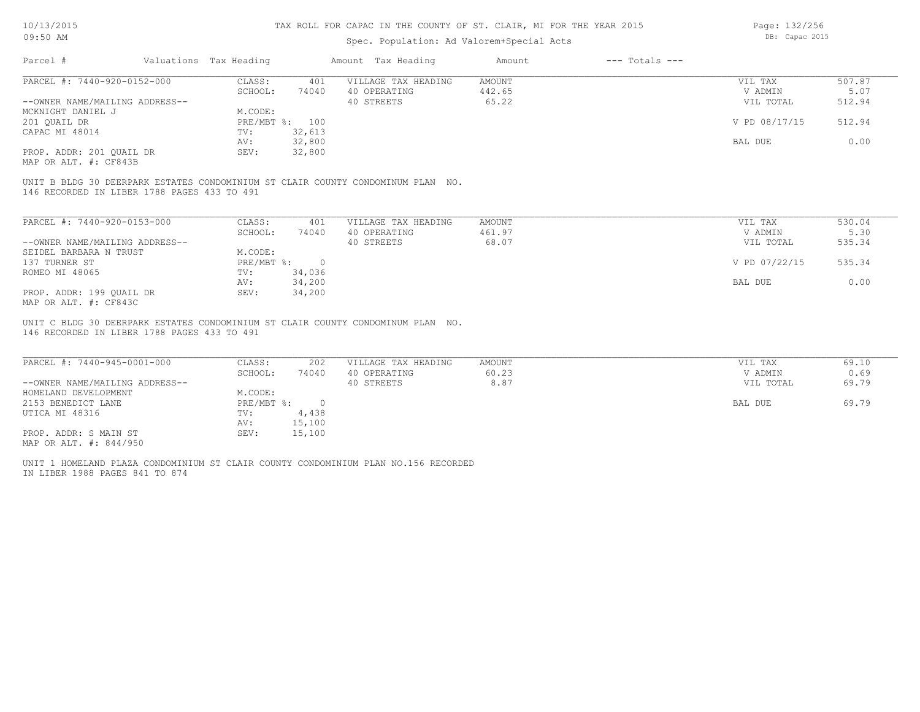### Spec. Population: Ad Valorem+Special Acts

Page: 132/256 DB: Capac 2015

| Parcel #                       | Valuations Tax Heading |        | Amount Tax Heading  | Amount | $---$ Totals $---$ |               |        |
|--------------------------------|------------------------|--------|---------------------|--------|--------------------|---------------|--------|
| PARCEL #: 7440-920-0152-000    | CLASS:                 | 401    | VILLAGE TAX HEADING | AMOUNT |                    | VIL TAX       | 507.87 |
|                                | SCHOOL:                | 74040  | 40 OPERATING        | 442.65 |                    | V ADMIN       | 5.07   |
| --OWNER NAME/MAILING ADDRESS-- |                        |        | 40 STREETS          | 65.22  |                    | VIL TOTAL     | 512.94 |
| MCKNIGHT DANIEL J              | M.CODE:                |        |                     |        |                    |               |        |
| 201 OUAIL DR                   | PRE/MBT %: 100         |        |                     |        |                    | V PD 08/17/15 | 512.94 |
| CAPAC MI 48014                 | TV:                    | 32,613 |                     |        |                    |               |        |
|                                | AV:                    | 32,800 |                     |        |                    | BAL DUE       | 0.00   |
| PROP. ADDR: 201 QUAIL DR       | SEV:                   | 32,800 |                     |        |                    |               |        |
|                                |                        |        |                     |        |                    |               |        |

MAP OR ALT. #: CF843B

146 RECORDED IN LIBER 1788 PAGES 433 TO 491 UNIT B BLDG 30 DEERPARK ESTATES CONDOMINIUM ST CLAIR COUNTY CONDOMINUM PLAN NO.

| PARCEL #: 7440-920-0153-000    | CLASS:     | 401      | VILLAGE TAX HEADING | AMOUNT | VIL TAX       | 530.04 |
|--------------------------------|------------|----------|---------------------|--------|---------------|--------|
|                                | SCHOOL:    | 74040    | 40 OPERATING        | 461.97 | V ADMIN       | 5.30   |
| --OWNER NAME/MAILING ADDRESS-- |            |          | 40 STREETS          | 68.07  | VIL TOTAL     | 535.34 |
| SEIDEL BARBARA N TRUST         | M.CODE:    |          |                     |        |               |        |
| 137 TURNER ST                  | PRE/MBT %: | $\Omega$ |                     |        | V PD 07/22/15 | 535.34 |
| ROMEO MI 48065                 | TV:        | 34,036   |                     |        |               |        |
|                                | AV:        | 34,200   |                     |        | BAL DUE       | 0.00   |
| PROP. ADDR: 199 OUAIL DR       | SEV:       | 34,200   |                     |        |               |        |
| MAP OR ALT. #: CF843C          |            |          |                     |        |               |        |

146 RECORDED IN LIBER 1788 PAGES 433 TO 491 UNIT C BLDG 30 DEERPARK ESTATES CONDOMINIUM ST CLAIR COUNTY CONDOMINUM PLAN NO.

| PARCEL #: 7440-945-0001-000    | CLASS:     | 202    | VILLAGE TAX HEADING | AMOUNT | VIL TAX   | 69.10 |
|--------------------------------|------------|--------|---------------------|--------|-----------|-------|
|                                | SCHOOL:    | 74040  | 40 OPERATING        | 60.23  | V ADMIN   | 0.69  |
| --OWNER NAME/MAILING ADDRESS-- |            |        | 40 STREETS          | 8.87   | VIL TOTAL | 69.79 |
| HOMELAND DEVELOPMENT           | M.CODE:    |        |                     |        |           |       |
| 2153 BENEDICT LANE             | PRE/MBT %: |        |                     |        | BAL DUE   | 69.79 |
| UTICA MI 48316                 | TV:        | 4,438  |                     |        |           |       |
|                                | AV:        | 15,100 |                     |        |           |       |
| PROP. ADDR: S MAIN ST          | SEV:       | 15,100 |                     |        |           |       |
| MAP OR ALT. #: 844/950         |            |        |                     |        |           |       |

IN LIBER 1988 PAGES 841 TO 874 UNIT 1 HOMELAND PLAZA CONDOMINIUM ST CLAIR COUNTY CONDOMINIUM PLAN NO.156 RECORDED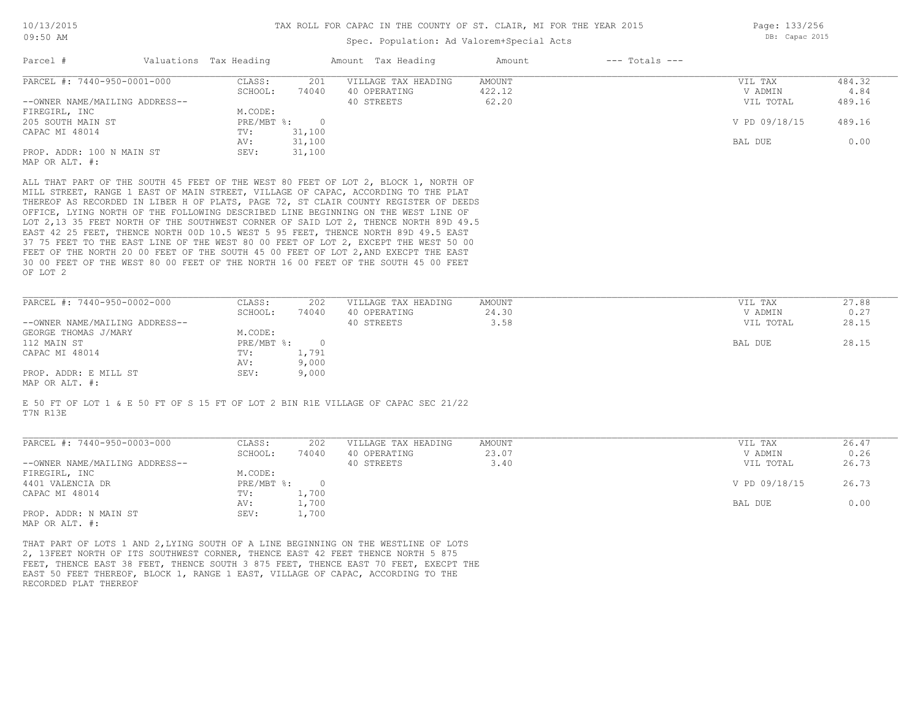### Spec. Population: Ad Valorem+Special Acts

Page: 133/256 DB: Capac 2015

| Parcel #                       | Valuations Tax Heading |        | Amount Tax Heading  | Amount | $---$ Totals $---$ |               |        |
|--------------------------------|------------------------|--------|---------------------|--------|--------------------|---------------|--------|
| PARCEL #: 7440-950-0001-000    | CLASS:                 | 201    | VILLAGE TAX HEADING | AMOUNT |                    | VIL TAX       | 484.32 |
|                                | SCHOOL:                | 74040  | 40 OPERATING        | 422.12 |                    | V ADMIN       | 4.84   |
| --OWNER NAME/MAILING ADDRESS-- |                        |        | 40 STREETS          | 62.20  |                    | VIL TOTAL     | 489.16 |
| FIREGIRL, INC                  | M.CODE:                |        |                     |        |                    |               |        |
| 205 SOUTH MAIN ST              | $PRE/MBT$ %:           |        |                     |        |                    | V PD 09/18/15 | 489.16 |
| CAPAC MI 48014                 | TV:                    | 31,100 |                     |        |                    |               |        |
|                                | AV:                    | 31,100 |                     |        |                    | BAL DUE       | 0.00   |
| PROP. ADDR: 100 N MAIN ST      | SEV:                   | 31,100 |                     |        |                    |               |        |
| MAP OR ALT. #:                 |                        |        |                     |        |                    |               |        |

OF LOT 2 30 00 FEET OF THE WEST 80 00 FEET OF THE NORTH 16 00 FEET OF THE SOUTH 45 00 FEET FEET OF THE NORTH 20 00 FEET OF THE SOUTH 45 00 FEET OF LOT 2, AND EXECPT THE EAST 37 75 FEET TO THE EAST LINE OF THE WEST 80 00 FEET OF LOT 2, EXCEPT THE WEST 50 00 EAST 42 25 FEET, THENCE NORTH 00D 10.5 WEST 5 95 FEET, THENCE NORTH 89D 49.5 EAST LOT 2,13 35 FEET NORTH OF THE SOUTHWEST CORNER OF SAID LOT 2, THENCE NORTH 89D 49.5 OFFICE, LYING NORTH OF THE FOLLOWING DESCRIBED LINE BEGINNING ON THE WEST LINE OF THEREOF AS RECORDED IN LIBER H OF PLATS, PAGE 72, ST CLAIR COUNTY REGISTER OF DEEDS MILL STREET, RANGE 1 EAST OF MAIN STREET, VILLAGE OF CAPAC, ACCORDING TO THE PLAT

| PARCEL #: 7440-950-0002-000         | CLASS:     | 202   | VILLAGE TAX HEADING | AMOUNT | VIL TAX   | 27.88 |
|-------------------------------------|------------|-------|---------------------|--------|-----------|-------|
|                                     | SCHOOL:    | 74040 | 40 OPERATING        | 24.30  | V ADMIN   | 0.27  |
| --OWNER NAME/MAILING ADDRESS--      |            |       | 40 STREETS          | 3.58   | VIL TOTAL | 28.15 |
| GEORGE THOMAS J/MARY                | M.CODE:    |       |                     |        |           |       |
| 112 MAIN ST                         | PRE/MBT %: |       |                     |        | BAL DUE   | 28.15 |
| CAPAC MI 48014                      | TV:        | 1,791 |                     |        |           |       |
|                                     | AV:        | 9,000 |                     |        |           |       |
| PROP. ADDR: E MILL ST               | SEV:       | 9,000 |                     |        |           |       |
| $\cdots$ $\cdots$ $\cdots$ $\cdots$ |            |       |                     |        |           |       |

MAP OR ALT. #:

T7N R13E E 50 FT OF LOT 1 & E 50 FT OF S 15 FT OF LOT 2 BIN R1E VILLAGE OF CAPAC SEC 21/22

| PARCEL #: 7440-950-0003-000    | CLASS:     | 202   | VILLAGE TAX HEADING | AMOUNT | VIL TAX       | 26.47 |
|--------------------------------|------------|-------|---------------------|--------|---------------|-------|
|                                | SCHOOL:    | 74040 | 40 OPERATING        | 23.07  | V ADMIN       | 0.26  |
| --OWNER NAME/MAILING ADDRESS-- |            |       | 40 STREETS          | 3.40   | VIL TOTAL     | 26.73 |
| FIREGIRL, INC                  | M.CODE:    |       |                     |        |               |       |
| 4401 VALENCIA DR               | PRE/MBT %: |       |                     |        | V PD 09/18/15 | 26.73 |
| CAPAC MI 48014                 | TV:        | 1,700 |                     |        |               |       |
|                                | AV:        | 1,700 |                     |        | BAL DUE       | 0.00  |
| PROP. ADDR: N MAIN ST          | SEV:       | 1,700 |                     |        |               |       |
| MAP OR ALT. #:                 |            |       |                     |        |               |       |

 $\mathcal{L}_\mathcal{L} = \mathcal{L}_\mathcal{L} = \mathcal{L}_\mathcal{L} = \mathcal{L}_\mathcal{L} = \mathcal{L}_\mathcal{L} = \mathcal{L}_\mathcal{L} = \mathcal{L}_\mathcal{L} = \mathcal{L}_\mathcal{L} = \mathcal{L}_\mathcal{L} = \mathcal{L}_\mathcal{L} = \mathcal{L}_\mathcal{L} = \mathcal{L}_\mathcal{L} = \mathcal{L}_\mathcal{L} = \mathcal{L}_\mathcal{L} = \mathcal{L}_\mathcal{L} = \mathcal{L}_\mathcal{L} = \mathcal{L}_\mathcal{L}$ 

RECORDED PLAT THEREOF EAST 50 FEET THEREOF, BLOCK 1, RANGE 1 EAST, VILLAGE OF CAPAC, ACCORDING TO THE FEET, THENCE EAST 38 FEET, THENCE SOUTH 3 875 FEET, THENCE EAST 70 FEET, EXECPT THE 2, 13FEET NORTH OF ITS SOUTHWEST CORNER, THENCE EAST 42 FEET THENCE NORTH 5 875 THAT PART OF LOTS 1 AND 2,LYING SOUTH OF A LINE BEGINNING ON THE WESTLINE OF LOTS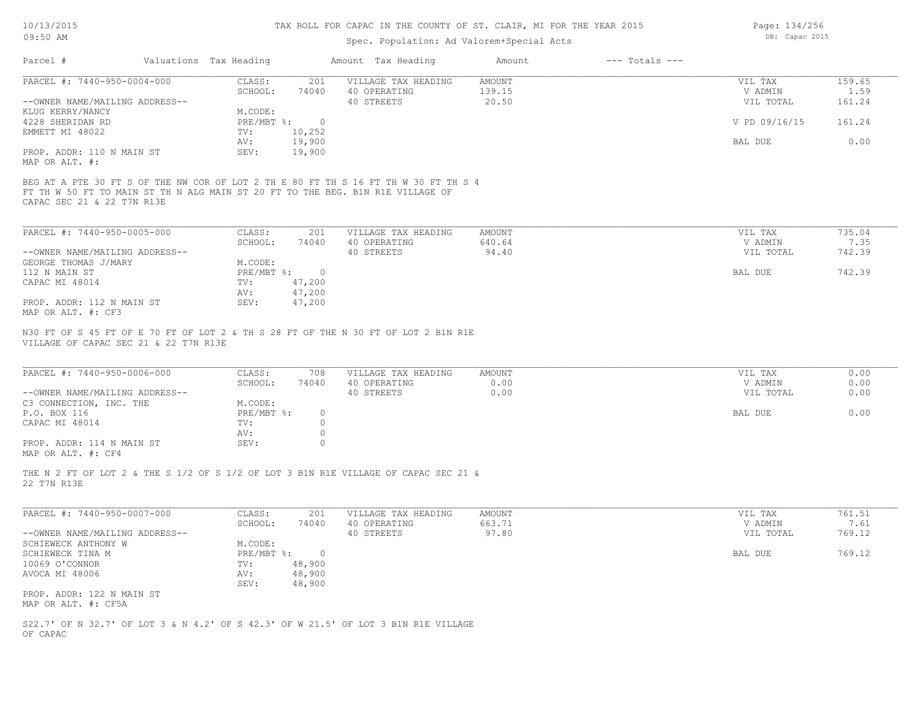### Spec. Population: Ad Valorem+Special Acts

Page: 134/256 DB: Capac 2015

| PARCEL #: 7440-950-0004-000<br>CLASS:<br>201<br>AMOUNT<br>VILLAGE TAX HEADING       | VIL TAX       | 159.65 |
|-------------------------------------------------------------------------------------|---------------|--------|
| SCHOOL:<br>74040<br>40 OPERATING<br>139.15                                          | V ADMIN       | 1.59   |
| --OWNER NAME/MAILING ADDRESS--<br>20.50<br>40 STREETS                               | VIL TOTAL     | 161.24 |
| KLUG KERRY/NANCY<br>M.CODE:                                                         |               |        |
| $PRE/MBT$ $\div$<br>4228 SHERIDAN RD                                                | V PD 09/16/15 | 161.24 |
| 10,252<br>EMMETT MI 48022<br>TV:                                                    |               |        |
| 19,900<br>AV:                                                                       | BAL DUE       | 0.00   |
| PROP. ADDR: 110 N MAIN ST<br>19,900<br>SEV:                                         |               |        |
| MAP OR ALT. #:                                                                      |               |        |
| BEG AT A PTE 30 FT S OF THE NW COR OF LOT 2 TH E 80 FT TH S 16 FT TH W 30 FT TH S 4 |               |        |

CAPAC SEC 21 & 22 T7N R13E FT TH W 50 FT TO MAIN ST TH N ALG MAIN ST 20 FT TO THE BEG. B1N R1E VILLAGE OF

| PARCEL #: 7440-950-0005-000    | CLASS:     | 201    | VILLAGE TAX HEADING | AMOUNT | VIL TAX   | 735.04 |
|--------------------------------|------------|--------|---------------------|--------|-----------|--------|
|                                | SCHOOL:    | 74040  | 40 OPERATING        | 640.64 | V ADMIN   | 7.35   |
| --OWNER NAME/MAILING ADDRESS-- |            |        | 40 STREETS          | 94.40  | VIL TOTAL | 742.39 |
| GEORGE THOMAS J/MARY           | M.CODE:    |        |                     |        |           |        |
| 112 N MAIN ST                  | PRE/MBT %: |        |                     |        | BAL DUE   | 742.39 |
| CAPAC MI 48014                 | TV:        | 47,200 |                     |        |           |        |
|                                | AV:        | 47,200 |                     |        |           |        |
| PROP. ADDR: 112 N MAIN ST      | SEV:       | 47,200 |                     |        |           |        |
| MAP OR ALT. #: CF3             |            |        |                     |        |           |        |

VILLAGE OF CAPAC SEC 21 & 22 T7N R13E N30 FT OF S 45 FT OF E 70 FT OF LOT 2 & TH S 28 FT OF THE N 30 FT OF LOT 2 B1N R1E

| PARCEL #: 7440-950-0006-000                  | CLASS:     | 708   | VILLAGE TAX HEADING | AMOUNT | VIL TAX   | 0.00 |
|----------------------------------------------|------------|-------|---------------------|--------|-----------|------|
|                                              | SCHOOL:    | 74040 | 40 OPERATING        | 0.00   | V ADMIN   | 0.00 |
| --OWNER NAME/MAILING ADDRESS--               |            |       | 40 STREETS          | 0.00   | VIL TOTAL | 0.00 |
| C3 CONNECTION, INC. THE                      | M.CODE:    |       |                     |        |           |      |
| P.O. BOX 116                                 | PRE/MBT %: |       |                     |        | BAL DUE   | 0.00 |
| CAPAC MI 48014                               | TV:        |       |                     |        |           |      |
|                                              | AV:        |       |                     |        |           |      |
| PROP. ADDR: 114 N MAIN ST                    | SEV:       |       |                     |        |           |      |
| $\cdots$ $\cdots$ $\cdots$ $\cdots$ $\cdots$ |            |       |                     |        |           |      |

 $\mathcal{L}_\mathcal{L} = \mathcal{L}_\mathcal{L} = \mathcal{L}_\mathcal{L} = \mathcal{L}_\mathcal{L} = \mathcal{L}_\mathcal{L} = \mathcal{L}_\mathcal{L} = \mathcal{L}_\mathcal{L} = \mathcal{L}_\mathcal{L} = \mathcal{L}_\mathcal{L} = \mathcal{L}_\mathcal{L} = \mathcal{L}_\mathcal{L} = \mathcal{L}_\mathcal{L} = \mathcal{L}_\mathcal{L} = \mathcal{L}_\mathcal{L} = \mathcal{L}_\mathcal{L} = \mathcal{L}_\mathcal{L} = \mathcal{L}_\mathcal{L}$ 

MAP OR ALT. #: CF4

22 T7N R13E THE N 2 FT OF LOT 2 & THE S 1/2 OF S 1/2 OF LOT 3 B1N R1E VILLAGE OF CAPAC SEC 21 &

| PARCEL #: 7440-950-0007-000    | CLASS:       | 201    | VILLAGE TAX HEADING | AMOUNT | VIL TAX   | 761.51 |
|--------------------------------|--------------|--------|---------------------|--------|-----------|--------|
|                                | SCHOOL:      | 74040  | 40 OPERATING        | 663.71 | V ADMIN   | 7.61   |
| --OWNER NAME/MAILING ADDRESS-- |              |        | 40 STREETS          | 97.80  | VIL TOTAL | 769.12 |
| SCHIEWECK ANTHONY W            | M.CODE:      |        |                     |        |           |        |
| SCHIEWECK TINA M               | $PRE/MBT$ %: |        |                     |        | BAL DUE   | 769.12 |
| 10069 O'CONNOR                 | TV:          | 48,900 |                     |        |           |        |
| AVOCA MI 48006                 | AV:          | 48,900 |                     |        |           |        |
|                                | SEV:         | 48,900 |                     |        |           |        |
| PROP. ADDR: 122 N MAIN ST      |              |        |                     |        |           |        |
| MAP OR ALT. #: CF5A            |              |        |                     |        |           |        |

OF CAPAC S22.7' OF N 32.7' OF LOT 3 & N 4.2' OF S 42.3' OF W 21.5' OF LOT 3 B1N R1E VILLAGE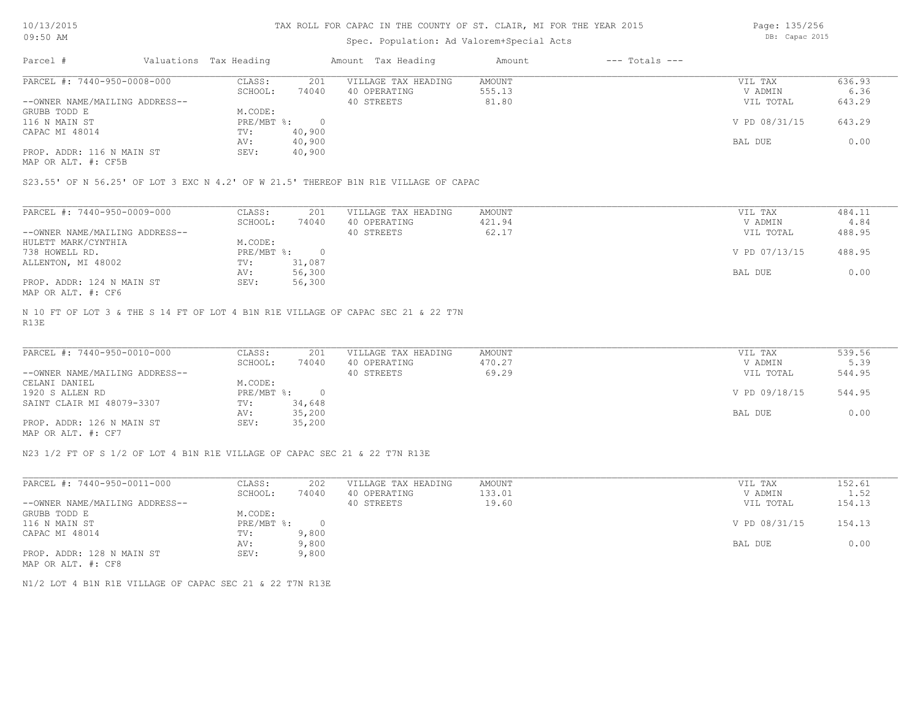10/13/2015 09:50 AM

#### TAX ROLL FOR CAPAC IN THE COUNTY OF ST. CLAIR, MI FOR THE YEAR 2015

## Spec. Population: Ad Valorem+Special Acts

Page: 135/256 DB: Capac 2015

| Parcel #                       | Valuations Tax Heading |        | Amount Tax Heading  | Amount | $---$ Totals $---$ |               |        |
|--------------------------------|------------------------|--------|---------------------|--------|--------------------|---------------|--------|
| PARCEL #: 7440-950-0008-000    | CLASS:                 | 201    | VILLAGE TAX HEADING | AMOUNT |                    | VIL TAX       | 636.93 |
|                                | SCHOOL:                | 74040  | 40 OPERATING        | 555.13 |                    | V ADMIN       | 6.36   |
| --OWNER NAME/MAILING ADDRESS-- |                        |        | 40 STREETS          | 81.80  |                    | VIL TOTAL     | 643.29 |
| GRUBB TODD E                   | M.CODE:                |        |                     |        |                    |               |        |
| 116 N MAIN ST                  | PRE/MBT %:             |        |                     |        |                    | V PD 08/31/15 | 643.29 |
| CAPAC MI 48014                 | TV:                    | 40,900 |                     |        |                    |               |        |
|                                | AV:                    | 40,900 |                     |        |                    | BAL DUE       | 0.00   |
| PROP. ADDR: 116 N MAIN ST      | SEV:                   | 40,900 |                     |        |                    |               |        |
|                                |                        |        |                     |        |                    |               |        |

MAP OR ALT. #: CF5B

S23.55' OF N 56.25' OF LOT 3 EXC N 4.2' OF W 21.5' THEREOF B1N R1E VILLAGE OF CAPAC

| PARCEL #: 7440-950-0009-000    | CLASS:     | 201    | VILLAGE TAX HEADING | AMOUNT | VIL TAX       | 484.11 |
|--------------------------------|------------|--------|---------------------|--------|---------------|--------|
|                                | SCHOOL:    | 74040  | 40 OPERATING        | 421.94 | V ADMIN       | 4.84   |
| --OWNER NAME/MAILING ADDRESS-- |            |        | 40 STREETS          | 62.17  | VIL TOTAL     | 488.95 |
| HULETT MARK/CYNTHIA            | M.CODE:    |        |                     |        |               |        |
| 738 HOWELL RD.                 | PRE/MBT %: |        |                     |        | V PD 07/13/15 | 488.95 |
| ALLENTON, MI 48002             | TV:        | 31,087 |                     |        |               |        |
|                                | AV:        | 56,300 |                     |        | BAL DUE       | 0.00   |
| PROP. ADDR: 124 N MAIN ST      | SEV:       | 56,300 |                     |        |               |        |
| MAP OR ALT. #: CF6             |            |        |                     |        |               |        |

R13E N 10 FT OF LOT 3 & THE S 14 FT OF LOT 4 B1N R1E VILLAGE OF CAPAC SEC 21 & 22 T7N

| PARCEL #: 7440-950-0010-000    | CLASS:     | 201    | VILLAGE TAX HEADING | AMOUNT | VIL TAX       | 539.56 |
|--------------------------------|------------|--------|---------------------|--------|---------------|--------|
|                                | SCHOOL:    | 74040  | 40 OPERATING        | 470.27 | V ADMIN       | 5.39   |
| --OWNER NAME/MAILING ADDRESS-- |            |        | 40 STREETS          | 69.29  | VIL TOTAL     | 544.95 |
| CELANI DANIEL                  | M.CODE:    |        |                     |        |               |        |
| 1920 S ALLEN RD                | PRE/MBT %: |        |                     |        | V PD 09/18/15 | 544.95 |
| SAINT CLAIR MI 48079-3307      | TV:        | 34,648 |                     |        |               |        |
|                                | AV:        | 35,200 |                     |        | BAL DUE       | 0.00   |
| PROP. ADDR: 126 N MAIN ST      | SEV:       | 35,200 |                     |        |               |        |
| MAP OR ALT. #: CF7             |            |        |                     |        |               |        |

 $\mathcal{L}_\mathcal{L} = \mathcal{L}_\mathcal{L} = \mathcal{L}_\mathcal{L} = \mathcal{L}_\mathcal{L} = \mathcal{L}_\mathcal{L} = \mathcal{L}_\mathcal{L} = \mathcal{L}_\mathcal{L} = \mathcal{L}_\mathcal{L} = \mathcal{L}_\mathcal{L} = \mathcal{L}_\mathcal{L} = \mathcal{L}_\mathcal{L} = \mathcal{L}_\mathcal{L} = \mathcal{L}_\mathcal{L} = \mathcal{L}_\mathcal{L} = \mathcal{L}_\mathcal{L} = \mathcal{L}_\mathcal{L} = \mathcal{L}_\mathcal{L}$ 

N23 1/2 FT OF S 1/2 OF LOT 4 B1N R1E VILLAGE OF CAPAC SEC 21 & 22 T7N R13E

| PARCEL #: 7440-950-0011-000    | CLASS:       | 202   | VILLAGE TAX HEADING | AMOUNT | VIL TAX       | 152.61 |
|--------------------------------|--------------|-------|---------------------|--------|---------------|--------|
|                                | SCHOOL:      | 74040 | 40 OPERATING        | 133.01 | V ADMIN       | 1.52   |
| --OWNER NAME/MAILING ADDRESS-- |              |       | 40 STREETS          | 19.60  | VIL TOTAL     | 154.13 |
| GRUBB TODD E                   | M.CODE:      |       |                     |        |               |        |
| 116 N MAIN ST                  | $PRE/MBT$ %: |       |                     |        | V PD 08/31/15 | 154.13 |
| CAPAC MI 48014                 | TV:          | 9,800 |                     |        |               |        |
|                                | AV:          | 9,800 |                     |        | BAL DUE       | 0.00   |
| PROP. ADDR: 128 N MAIN ST      | SEV:         | 9,800 |                     |        |               |        |
| MAP OR ALT. #: CF8             |              |       |                     |        |               |        |

N1/2 LOT 4 B1N R1E VILLAGE OF CAPAC SEC 21 & 22 T7N R13E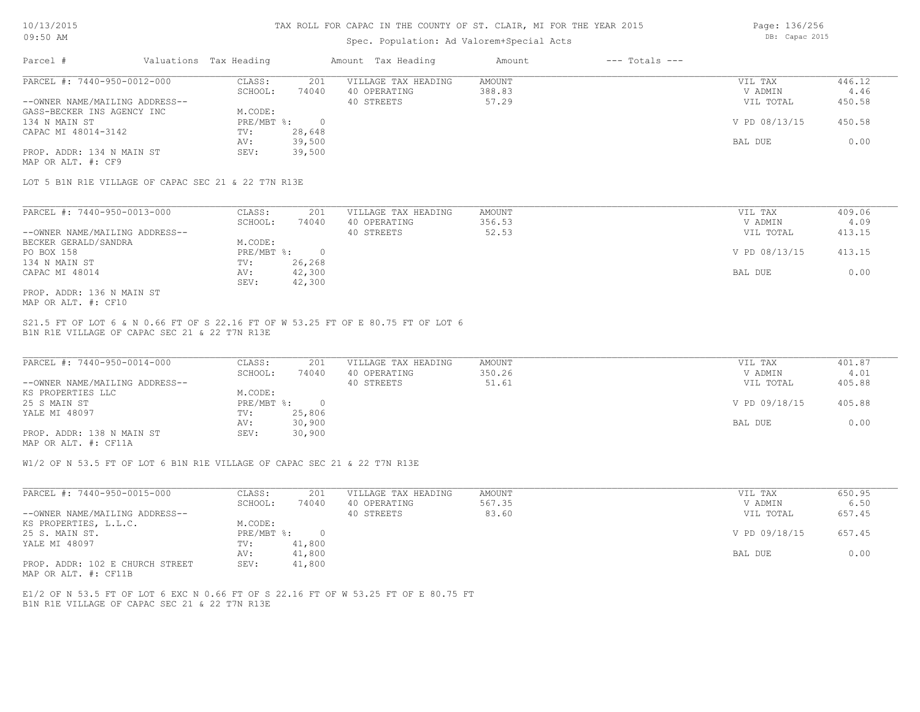### Spec. Population: Ad Valorem+Special Acts

Page: 136/256 DB: Capac 2015

| Parcel #                       | Valuations Tax Heading |        | Amount Tax Heading  | Amount | $---$ Totals $---$ |               |        |
|--------------------------------|------------------------|--------|---------------------|--------|--------------------|---------------|--------|
| PARCEL #: 7440-950-0012-000    | CLASS:                 | 201    | VILLAGE TAX HEADING | AMOUNT |                    | VIL TAX       | 446.12 |
|                                | SCHOOL:                | 74040  | 40 OPERATING        | 388.83 |                    | V ADMIN       | 4.46   |
| --OWNER NAME/MAILING ADDRESS-- |                        |        | 40 STREETS          | 57.29  |                    | VIL TOTAL     | 450.58 |
| GASS-BECKER INS AGENCY INC     | M.CODE:                |        |                     |        |                    |               |        |
| 134 N MAIN ST                  | PRE/MBT %:             |        |                     |        |                    | V PD 08/13/15 | 450.58 |
| CAPAC MI 48014-3142            | TV:                    | 28,648 |                     |        |                    |               |        |
|                                | AV:                    | 39,500 |                     |        |                    | BAL DUE       | 0.00   |
| PROP. ADDR: 134 N MAIN ST      | SEV:                   | 39,500 |                     |        |                    |               |        |
| MAP OR ALT. #: CF9             |                        |        |                     |        |                    |               |        |

LOT 5 B1N R1E VILLAGE OF CAPAC SEC 21 & 22 T7N R13E

| PARCEL #: 7440-950-0013-000    | CLASS:     | 201    | VILLAGE TAX HEADING | AMOUNT | VIL TAX       | 409.06 |
|--------------------------------|------------|--------|---------------------|--------|---------------|--------|
|                                | SCHOOL:    | 74040  | 40 OPERATING        | 356.53 | V ADMIN       | 4.09   |
| --OWNER NAME/MAILING ADDRESS-- |            |        | 40 STREETS          | 52.53  | VIL TOTAL     | 413.15 |
| BECKER GERALD/SANDRA           | M.CODE:    |        |                     |        |               |        |
| PO BOX 158                     | PRE/MBT %: |        |                     |        | V PD 08/13/15 | 413.15 |
| 134 N MAIN ST                  | TV:        | 26,268 |                     |        |               |        |
| CAPAC MI 48014                 | AV:        | 42,300 |                     |        | BAL DUE       | 0.00   |
|                                | SEV:       | 42,300 |                     |        |               |        |
| PROP. ADDR: 136 N MAIN ST      |            |        |                     |        |               |        |

MAP OR ALT. #: CF10

B1N R1E VILLAGE OF CAPAC SEC 21 & 22 T7N R13E S21.5 FT OF LOT 6 & N 0.66 FT OF S 22.16 FT OF W 53.25 FT OF E 80.75 FT OF LOT 6

| PARCEL #: 7440-950-0014-000    | CLASS:     | 201    | VILLAGE TAX HEADING | AMOUNT | VIL TAX       | 401.87 |
|--------------------------------|------------|--------|---------------------|--------|---------------|--------|
|                                | SCHOOL:    | 74040  | 40 OPERATING        | 350.26 | V ADMIN       | 4.01   |
| --OWNER NAME/MAILING ADDRESS-- |            |        | 40 STREETS          | 51.61  | VIL TOTAL     | 405.88 |
| KS PROPERTIES LLC              | M.CODE:    |        |                     |        |               |        |
| 25 S MAIN ST                   | PRE/MBT %: |        |                     |        | V PD 09/18/15 | 405.88 |
| YALE MI 48097                  | TV:        | 25,806 |                     |        |               |        |
|                                | AV:        | 30,900 |                     |        | BAL DUE       | 0.00   |
| PROP. ADDR: 138 N MAIN ST      | SEV:       | 30,900 |                     |        |               |        |
|                                |            |        |                     |        |               |        |

MAP OR ALT. #: CF11A

W1/2 OF N 53.5 FT OF LOT 6 B1N R1E VILLAGE OF CAPAC SEC 21 & 22 T7N R13E

| PARCEL #: 7440-950-0015-000     | CLASS:     | 201    | VILLAGE TAX HEADING | AMOUNT | VIL TAX       | 650.95 |
|---------------------------------|------------|--------|---------------------|--------|---------------|--------|
|                                 | SCHOOL:    | 74040  | 40 OPERATING        | 567.35 | V ADMIN       | 6.50   |
| --OWNER NAME/MAILING ADDRESS--  |            |        | 40 STREETS          | 83.60  | VIL TOTAL     | 657.45 |
| KS PROPERTIES, L.L.C.           | M.CODE:    |        |                     |        |               |        |
| 25 S. MAIN ST.                  | PRE/MBT %: |        |                     |        | V PD 09/18/15 | 657.45 |
| YALE MI 48097                   | TV:        | 41,800 |                     |        |               |        |
|                                 | AV:        | 41,800 |                     |        | BAL DUE       | 0.00   |
| PROP. ADDR: 102 E CHURCH STREET | SEV:       | 41,800 |                     |        |               |        |

MAP OR ALT. #: CF11B

B1N R1E VILLAGE OF CAPAC SEC 21 & 22 T7N R13E E1/2 OF N 53.5 FT OF LOT 6 EXC N 0.66 FT OF S 22.16 FT OF W 53.25 FT OF E 80.75 FT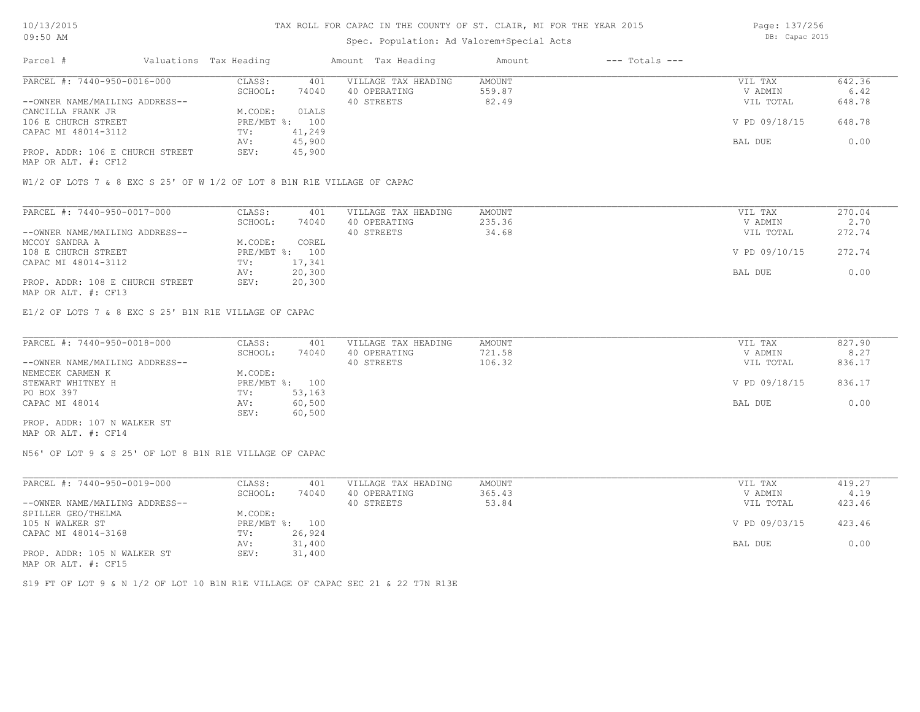## Spec. Population: Ad Valorem+Special Acts

| Parcel #                        | Valuations Tax Heading |        | Amount Tax Heading  | Amount | $---$ Totals $---$ |               |        |
|---------------------------------|------------------------|--------|---------------------|--------|--------------------|---------------|--------|
| PARCEL #: 7440-950-0016-000     | CLASS:                 | 401    | VILLAGE TAX HEADING | AMOUNT |                    | VIL TAX       | 642.36 |
|                                 | SCHOOL:                | 74040  | 40 OPERATING        | 559.87 |                    | V ADMIN       | 6.42   |
| --OWNER NAME/MAILING ADDRESS--  |                        |        | 40 STREETS          | 82.49  |                    | VIL TOTAL     | 648.78 |
| CANCILLA FRANK JR               | M.CODE:                | 0LALS  |                     |        |                    |               |        |
| 106 E CHURCH STREET             | $PRE/MBT$ %:           | 100    |                     |        |                    | V PD 09/18/15 | 648.78 |
| CAPAC MI 48014-3112             | TV:                    | 41,249 |                     |        |                    |               |        |
|                                 | AV:                    | 45,900 |                     |        |                    | BAL DUE       | 0.00   |
| PROP. ADDR: 106 E CHURCH STREET | SEV:                   | 45,900 |                     |        |                    |               |        |
|                                 |                        |        |                     |        |                    |               |        |

MAP OR ALT. #: CF12

W1/2 OF LOTS 7 & 8 EXC S 25' OF W 1/2 OF LOT 8 B1N R1E VILLAGE OF CAPAC

| PARCEL #: 7440-950-0017-000     | CLASS:  | 401            | VILLAGE TAX HEADING | AMOUNT | VIL TAX       | 270.04 |
|---------------------------------|---------|----------------|---------------------|--------|---------------|--------|
|                                 | SCHOOL: | 74040          | 40 OPERATING        | 235.36 | V ADMIN       | 2.70   |
| --OWNER NAME/MAILING ADDRESS--  |         |                | 40 STREETS          | 34.68  | VIL TOTAL     | 272.74 |
| MCCOY SANDRA A                  | M.CODE: | COREL          |                     |        |               |        |
| 108 E CHURCH STREET             |         | PRE/MBT %: 100 |                     |        | V PD 09/10/15 | 272.74 |
| CAPAC MI 48014-3112             | TV:     | 17,341         |                     |        |               |        |
|                                 | AV:     | 20,300         |                     |        | BAL DUE       | 0.00   |
| PROP. ADDR: 108 E CHURCH STREET | SEV:    | 20,300         |                     |        |               |        |
| MAP OR ALT. #: CF13             |         |                |                     |        |               |        |

E1/2 OF LOTS 7 & 8 EXC S 25' B1N R1E VILLAGE OF CAPAC

| PARCEL #: 7440-950-0018-000    | CLASS:  | 401            | VILLAGE TAX HEADING | AMOUNT | VIL TAX       | 827.90 |
|--------------------------------|---------|----------------|---------------------|--------|---------------|--------|
|                                | SCHOOL: | 74040          | 40 OPERATING        | 721.58 | V ADMIN       | 8.27   |
| --OWNER NAME/MAILING ADDRESS-- |         |                | 40 STREETS          | 106.32 | VIL TOTAL     | 836.17 |
| NEMECEK CARMEN K               | M.CODE: |                |                     |        |               |        |
| STEWART WHITNEY H              |         | PRE/MBT %: 100 |                     |        | V PD 09/18/15 | 836.17 |
| PO BOX 397                     | TV:     | 53,163         |                     |        |               |        |
| CAPAC MI 48014                 | AV:     | 60,500         |                     |        | BAL DUE       | 0.00   |
|                                | SEV:    | 60,500         |                     |        |               |        |
| PROP. ADDR: 107 N WALKER ST    |         |                |                     |        |               |        |

MAP OR ALT. #: CF14

N56' OF LOT 9 & S 25' OF LOT 8 B1N R1E VILLAGE OF CAPAC

| PARCEL #: 7440-950-0019-000    | CLASS:  | 401            | VILLAGE TAX HEADING | AMOUNT | VIL TAX       | 419.27 |
|--------------------------------|---------|----------------|---------------------|--------|---------------|--------|
|                                | SCHOOL: | 74040          | 40 OPERATING        | 365.43 | V ADMIN       | 4.19   |
| --OWNER NAME/MAILING ADDRESS-- |         |                | 40 STREETS          | 53.84  | VIL TOTAL     | 423.46 |
| SPILLER GEO/THELMA             | M.CODE: |                |                     |        |               |        |
| 105 N WALKER ST                |         | PRE/MBT %: 100 |                     |        | V PD 09/03/15 | 423.46 |
| CAPAC MI 48014-3168            | TV:     | 26,924         |                     |        |               |        |
|                                | AV:     | 31,400         |                     |        | BAL DUE       | 0.00   |
| PROP. ADDR: 105 N WALKER ST    | SEV:    | 31,400         |                     |        |               |        |
| MAP OR ALT. #: CF15            |         |                |                     |        |               |        |

S19 FT OF LOT 9 & N 1/2 OF LOT 10 B1N R1E VILLAGE OF CAPAC SEC 21 & 22 T7N R13E

Page: 137/256 DB: Capac 2015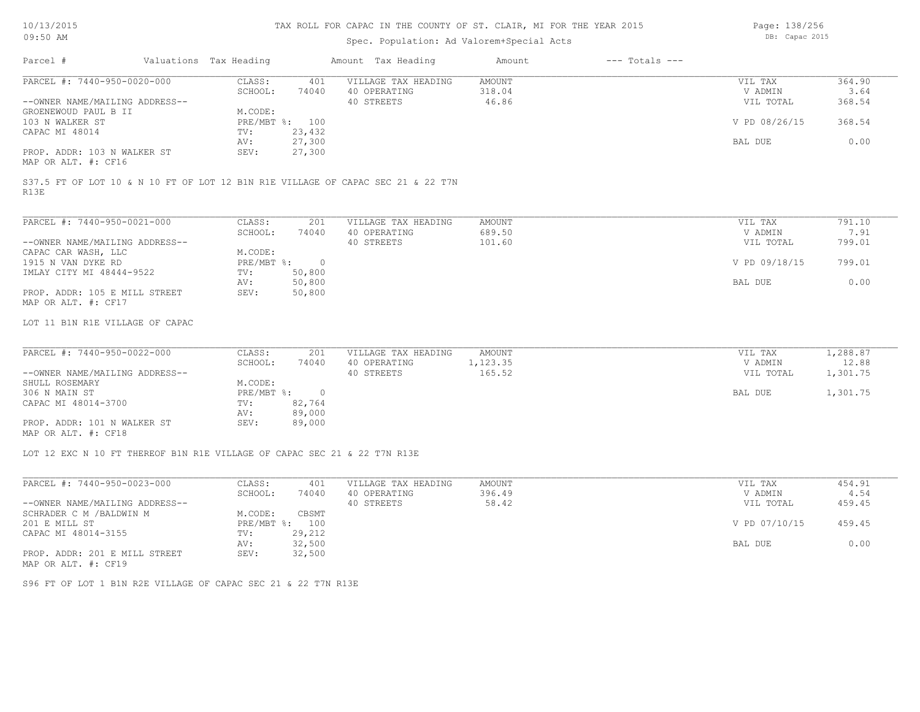Page: 138/256

| Parcel #<br>PARCEL #: 7440-950-0020-000                                         | Valuations Tax Heading |                       |                |                     | Spec. Population: Ad Valorem+Special Acts |                    |               |          |  |  |
|---------------------------------------------------------------------------------|------------------------|-----------------------|----------------|---------------------|-------------------------------------------|--------------------|---------------|----------|--|--|
|                                                                                 |                        |                       |                | Amount Tax Heading  | Amount                                    | $---$ Totals $---$ |               |          |  |  |
|                                                                                 |                        | CLASS:                | 401            | VILLAGE TAX HEADING | <b>AMOUNT</b>                             |                    | VIL TAX       | 364.90   |  |  |
|                                                                                 |                        | SCHOOL:               | 74040          | 40 OPERATING        | 318.04                                    |                    | V ADMIN       | 3.64     |  |  |
| --OWNER NAME/MAILING ADDRESS--                                                  |                        |                       |                | 40 STREETS          | 46.86                                     |                    | VIL TOTAL     | 368.54   |  |  |
| GROENEWOUD PAUL B II                                                            |                        | M.CODE:               |                |                     |                                           |                    |               |          |  |  |
| 103 N WALKER ST                                                                 |                        |                       | PRE/MBT %: 100 |                     |                                           |                    | V PD 08/26/15 | 368.54   |  |  |
| CAPAC MI 48014                                                                  |                        | TV:                   | 23,432         |                     |                                           |                    |               |          |  |  |
|                                                                                 |                        | AV:                   | 27,300         |                     |                                           |                    | BAL DUE       | 0.00     |  |  |
| PROP. ADDR: 103 N WALKER ST                                                     |                        | SEV:                  | 27,300         |                     |                                           |                    |               |          |  |  |
| MAP OR ALT. #: CF16                                                             |                        |                       |                |                     |                                           |                    |               |          |  |  |
| S37.5 FT OF LOT 10 & N 10 FT OF LOT 12 B1N R1E VILLAGE OF CAPAC SEC 21 & 22 T7N |                        |                       |                |                     |                                           |                    |               |          |  |  |
| R13E                                                                            |                        |                       |                |                     |                                           |                    |               |          |  |  |
| PARCEL #: 7440-950-0021-000                                                     |                        | CLASS:                | 201            | VILLAGE TAX HEADING | AMOUNT                                    |                    | VIL TAX       | 791.10   |  |  |
|                                                                                 |                        | SCHOOL:               | 74040          | 40 OPERATING        | 689.50                                    |                    | V ADMIN       | 7.91     |  |  |
| --OWNER NAME/MAILING ADDRESS--                                                  |                        |                       |                | 40 STREETS          | 101.60                                    |                    | VIL TOTAL     | 799.01   |  |  |
|                                                                                 |                        |                       |                |                     |                                           |                    |               |          |  |  |
| CAPAC CAR WASH, LLC<br>1915 N VAN DYKE RD                                       |                        | M.CODE:<br>PRE/MBT %: |                |                     |                                           |                    | V PD 09/18/15 | 799.01   |  |  |
|                                                                                 |                        |                       | $\overline{0}$ |                     |                                           |                    |               |          |  |  |
| IMLAY CITY MI 48444-9522                                                        |                        | TV:                   | 50,800         |                     |                                           |                    |               |          |  |  |
|                                                                                 |                        | AV:                   | 50,800         |                     |                                           |                    | BAL DUE       | 0.00     |  |  |
| PROP. ADDR: 105 E MILL STREET                                                   |                        | SEV:                  | 50,800         |                     |                                           |                    |               |          |  |  |
| MAP OR ALT. #: CF17                                                             |                        |                       |                |                     |                                           |                    |               |          |  |  |
| LOT 11 B1N R1E VILLAGE OF CAPAC                                                 |                        |                       |                |                     |                                           |                    |               |          |  |  |
| PARCEL #: 7440-950-0022-000                                                     |                        |                       |                | VILLAGE TAX HEADING |                                           |                    |               |          |  |  |
|                                                                                 |                        | CLASS:                | 201            |                     | AMOUNT                                    |                    | VIL TAX       | 1,288.87 |  |  |
| --OWNER NAME/MAILING ADDRESS--                                                  |                        | SCHOOL:               | 74040          | 40 OPERATING        | 1,123.35<br>165.52                        |                    | V ADMIN       | 12.88    |  |  |
|                                                                                 |                        |                       |                | 40 STREETS          |                                           |                    | VIL TOTAL     | 1,301.75 |  |  |
| SHULL ROSEMARY                                                                  |                        | M.CODE:               |                |                     |                                           |                    |               |          |  |  |
| 306 N MAIN ST                                                                   |                        | PRE/MBT %:            | $\overline{0}$ |                     |                                           |                    | BAL DUE       | 1,301.75 |  |  |
| CAPAC MI 48014-3700                                                             |                        | TV:                   | 82,764         |                     |                                           |                    |               |          |  |  |
|                                                                                 |                        | AV:                   | 89,000         |                     |                                           |                    |               |          |  |  |
| PROP. ADDR: 101 N WALKER ST                                                     |                        | SEV:                  | 89,000         |                     |                                           |                    |               |          |  |  |
| MAP OR ALT. #: CF18                                                             |                        |                       |                |                     |                                           |                    |               |          |  |  |
|                                                                                 |                        |                       |                |                     |                                           |                    |               |          |  |  |
| LOT 12 EXC N 10 FT THEREOF B1N R1E VILLAGE OF CAPAC SEC 21 & 22 T7N R13E        |                        |                       |                |                     |                                           |                    |               |          |  |  |

| PARCEL #: 7440-950-0023-000    | CLASS:  | 401            | VILLAGE TAX HEADING | AMOUNT | VIL TAX       | 454.91 |
|--------------------------------|---------|----------------|---------------------|--------|---------------|--------|
|                                | SCHOOL: | 74040          | 40 OPERATING        | 396.49 | V ADMIN       | 4.54   |
| --OWNER NAME/MAILING ADDRESS-- |         |                | 40 STREETS          | 58.42  | VIL TOTAL     | 459.45 |
| SCHRADER C M /BALDWIN M        | M.CODE: | CBSMT          |                     |        |               |        |
| 201 E MILL ST                  |         | PRE/MBT %: 100 |                     |        | V PD 07/10/15 | 459.45 |
| CAPAC MI 48014-3155            | TV:     | 29,212         |                     |        |               |        |
|                                | AV:     | 32,500         |                     |        | BAL DUE       | 0.00   |
| PROP. ADDR: 201 E MILL STREET  | SEV:    | 32,500         |                     |        |               |        |
| MAP OR ALT. #: CF19            |         |                |                     |        |               |        |

S96 FT OF LOT 1 B1N R2E VILLAGE OF CAPAC SEC 21 & 22 T7N R13E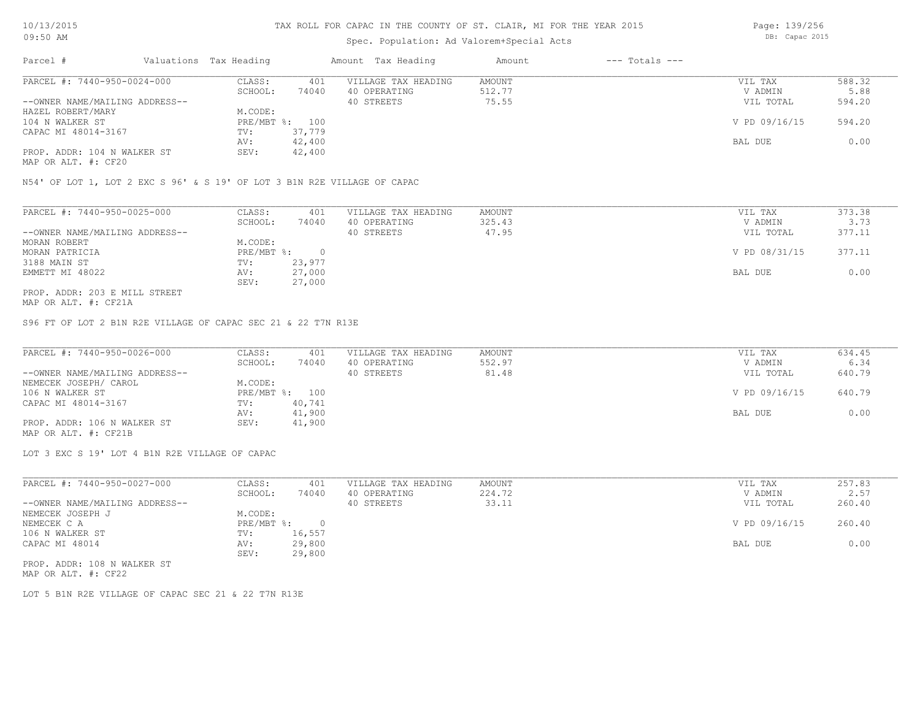## Spec. Population: Ad Valorem+Special Acts

| Parcel #                       | Valuations Tax Heading |                | Amount Tax Heading  | Amount | $---$ Totals $---$ |               |        |
|--------------------------------|------------------------|----------------|---------------------|--------|--------------------|---------------|--------|
| PARCEL #: 7440-950-0024-000    | CLASS:                 | 401            | VILLAGE TAX HEADING | AMOUNT |                    | VIL TAX       | 588.32 |
|                                | SCHOOL:                | 74040          | 40 OPERATING        | 512.77 |                    | V ADMIN       | 5.88   |
| --OWNER NAME/MAILING ADDRESS-- |                        |                | 40 STREETS          | 75.55  |                    | VIL TOTAL     | 594.20 |
| HAZEL ROBERT/MARY              | M.CODE:                |                |                     |        |                    |               |        |
| 104 N WALKER ST                |                        | PRE/MBT %: 100 |                     |        |                    | V PD 09/16/15 | 594.20 |
| CAPAC MI 48014-3167            | TV:                    | 37,779         |                     |        |                    |               |        |
|                                | AV:                    | 42,400         |                     |        |                    | BAL DUE       | 0.00   |
| PROP. ADDR: 104 N WALKER ST    | SEV:                   | 42,400         |                     |        |                    |               |        |
|                                |                        |                |                     |        |                    |               |        |

MAP OR ALT. #: CF20

N54' OF LOT 1, LOT 2 EXC S 96' & S 19' OF LOT 3 B1N R2E VILLAGE OF CAPAC

| PARCEL #: 7440-950-0025-000    | CLASS:     | 401    | VILLAGE TAX HEADING | AMOUNT | VIL TAX       | 373.38 |
|--------------------------------|------------|--------|---------------------|--------|---------------|--------|
|                                | SCHOOL:    | 74040  | 40 OPERATING        | 325.43 | V ADMIN       | 3.73   |
| --OWNER NAME/MAILING ADDRESS-- |            |        | 40 STREETS          | 47.95  | VIL TOTAL     | 377.11 |
| MORAN ROBERT                   | M.CODE:    |        |                     |        |               |        |
| MORAN PATRICIA                 | PRE/MBT %: |        |                     |        | V PD 08/31/15 | 377.11 |
| 3188 MAIN ST                   | TV:        | 23,977 |                     |        |               |        |
| EMMETT MI 48022                | AV:        | 27,000 |                     |        | BAL DUE       | 0.00   |
|                                | SEV:       | 27,000 |                     |        |               |        |
| PROP. ADDR: 203 E MILL STREET  |            |        |                     |        |               |        |

MAP OR ALT. #: CF21A

S96 FT OF LOT 2 B1N R2E VILLAGE OF CAPAC SEC 21 & 22 T7N R13E

| PARCEL #: 7440-950-0026-000    | CLASS:  | 401            | VILLAGE TAX HEADING | AMOUNT | VIL TAX       | 634.45 |
|--------------------------------|---------|----------------|---------------------|--------|---------------|--------|
|                                | SCHOOL: | 74040          | 40 OPERATING        | 552.97 | V ADMIN       | 6.34   |
| --OWNER NAME/MAILING ADDRESS-- |         |                | 40 STREETS          | 81.48  | VIL TOTAL     | 640.79 |
| NEMECEK JOSEPH/ CAROL          | M.CODE: |                |                     |        |               |        |
| 106 N WALKER ST                |         | PRE/MBT %: 100 |                     |        | V PD 09/16/15 | 640.79 |
| CAPAC MI 48014-3167            | TV:     | 40,741         |                     |        |               |        |
|                                | AV:     | 41,900         |                     |        | BAL DUE       | 0.00   |
| PROP. ADDR: 106 N WALKER ST    | SEV:    | 41,900         |                     |        |               |        |
| MAP OR ALT. #: CF21B           |         |                |                     |        |               |        |

LOT 3 EXC S 19' LOT 4 B1N R2E VILLAGE OF CAPAC

| PARCEL #: 7440-950-0027-000    | CLASS:     | 401    | VILLAGE TAX HEADING | AMOUNT | VIL TAX       | 257.83 |
|--------------------------------|------------|--------|---------------------|--------|---------------|--------|
|                                | SCHOOL:    | 74040  | 40 OPERATING        | 224.72 | V ADMIN       | 2.57   |
| --OWNER NAME/MAILING ADDRESS-- |            |        | 40 STREETS          | 33.11  | VIL TOTAL     | 260.40 |
| NEMECEK JOSEPH J               | M.CODE:    |        |                     |        |               |        |
| NEMECEK C A                    | PRE/MBT %: |        |                     |        | V PD 09/16/15 | 260.40 |
| 106 N WALKER ST                | TV:        | 16,557 |                     |        |               |        |
| CAPAC MI 48014                 | AV:        | 29,800 |                     |        | BAL DUE       | 0.00   |
|                                | SEV:       | 29,800 |                     |        |               |        |
|                                |            |        |                     |        |               |        |

MAP OR ALT. #: CF22 PROP. ADDR: 108 N WALKER ST

LOT 5 B1N R2E VILLAGE OF CAPAC SEC 21 & 22 T7N R13E

Page: 139/256 DB: Capac 2015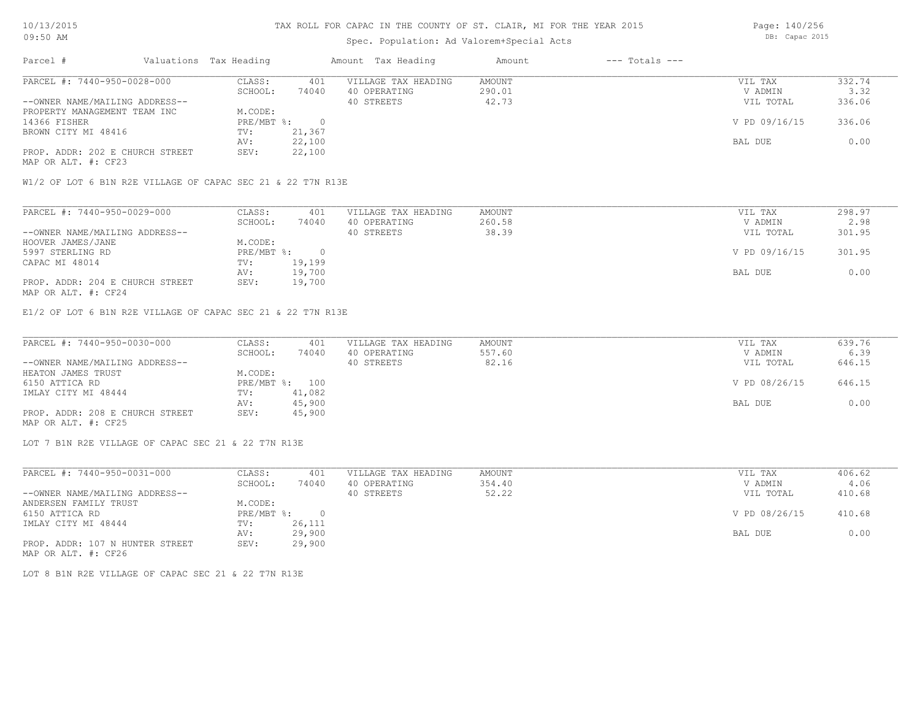## Spec. Population: Ad Valorem+Special Acts

| Parcel #                        | Valuations Tax Heading    |        | Amount Tax Heading  | Amount | $---$ Totals $---$ |               |        |
|---------------------------------|---------------------------|--------|---------------------|--------|--------------------|---------------|--------|
| PARCEL #: 7440-950-0028-000     | CLASS:                    | 401    | VILLAGE TAX HEADING | AMOUNT |                    | VIL TAX       | 332.74 |
|                                 | SCHOOL:                   | 74040  | 40 OPERATING        | 290.01 |                    | V ADMIN       | 3.32   |
| --OWNER NAME/MAILING ADDRESS--  |                           |        | 40 STREETS          | 42.73  |                    | VIL TOTAL     | 336.06 |
| PROPERTY MANAGEMENT TEAM INC    | M.CODE:                   |        |                     |        |                    |               |        |
| 14366 FISHER                    | $PRE/MBT$ $\frac{1}{6}$ : |        |                     |        |                    | V PD 09/16/15 | 336.06 |
| BROWN CITY MI 48416             | TV:                       | 21,367 |                     |        |                    |               |        |
|                                 | AV:                       | 22,100 |                     |        |                    | BAL DUE       | 0.00   |
| PROP. ADDR: 202 E CHURCH STREET | SEV:                      | 22,100 |                     |        |                    |               |        |
|                                 |                           |        |                     |        |                    |               |        |

MAP OR ALT. #: CF23

W1/2 OF LOT 6 B1N R2E VILLAGE OF CAPAC SEC 21 & 22 T7N R13E

| PARCEL #: 7440-950-0029-000     | CLASS:     | 401    | VILLAGE TAX HEADING | AMOUNT | VIL TAX       | 298.97 |
|---------------------------------|------------|--------|---------------------|--------|---------------|--------|
|                                 | SCHOOL:    | 74040  | 40 OPERATING        | 260.58 | V ADMIN       | 2.98   |
| --OWNER NAME/MAILING ADDRESS--  |            |        | 40 STREETS          | 38.39  | VIL TOTAL     | 301.95 |
| HOOVER JAMES/JANE               | M.CODE:    |        |                     |        |               |        |
| 5997 STERLING RD                | PRE/MBT %: |        |                     |        | V PD 09/16/15 | 301.95 |
| CAPAC MI 48014                  | TV:        | 19,199 |                     |        |               |        |
|                                 | AV:        | 19,700 |                     |        | BAL DUE       | 0.00   |
| PROP. ADDR: 204 E CHURCH STREET | SEV:       | 19,700 |                     |        |               |        |
| MAP OR ALT. #: CF24             |            |        |                     |        |               |        |

E1/2 OF LOT 6 B1N R2E VILLAGE OF CAPAC SEC 21 & 22 T7N R13E

| PARCEL #: 7440-950-0030-000     | CLASS:  | 401            | VILLAGE TAX HEADING | AMOUNT | VIL TAX       | 639.76 |
|---------------------------------|---------|----------------|---------------------|--------|---------------|--------|
|                                 | SCHOOL: | 74040          | 40 OPERATING        | 557.60 | V ADMIN       | 6.39   |
| --OWNER NAME/MAILING ADDRESS--  |         |                | 40 STREETS          | 82.16  | VIL TOTAL     | 646.15 |
| HEATON JAMES TRUST              | M.CODE: |                |                     |        |               |        |
| 6150 ATTICA RD                  |         | PRE/MBT %: 100 |                     |        | V PD 08/26/15 | 646.15 |
| IMLAY CITY MI 48444             | TV:     | 41,082         |                     |        |               |        |
|                                 | AV:     | 45,900         |                     |        | BAL DUE       | 0.00   |
| PROP. ADDR: 208 E CHURCH STREET | SEV:    | 45,900         |                     |        |               |        |
| MAP OR ALT. #: CF25             |         |                |                     |        |               |        |

LOT 7 B1N R2E VILLAGE OF CAPAC SEC 21 & 22 T7N R13E

| PARCEL #: 7440-950-0031-000     | CLASS:     | 401      | VILLAGE TAX HEADING | AMOUNT | VIL TAX       | 406.62 |
|---------------------------------|------------|----------|---------------------|--------|---------------|--------|
|                                 | SCHOOL:    | 74040    | 40 OPERATING        | 354.40 | V ADMIN       | 4.06   |
| --OWNER NAME/MAILING ADDRESS--  |            |          | 40 STREETS          | 52.22  | VIL TOTAL     | 410.68 |
| ANDERSEN FAMILY TRUST           | M.CODE:    |          |                     |        |               |        |
| 6150 ATTICA RD                  | PRE/MBT %: | $\Omega$ |                     |        | V PD 08/26/15 | 410.68 |
| IMLAY CITY MI 48444             | TV:        | 26,111   |                     |        |               |        |
|                                 | AV:        | 29,900   |                     |        | BAL DUE       | 0.00   |
| PROP. ADDR: 107 N HUNTER STREET | SEV:       | 29,900   |                     |        |               |        |
| MAP OR ALT. #: CF26             |            |          |                     |        |               |        |

LOT 8 B1N R2E VILLAGE OF CAPAC SEC 21 & 22 T7N R13E

Page: 140/256 DB: Capac 2015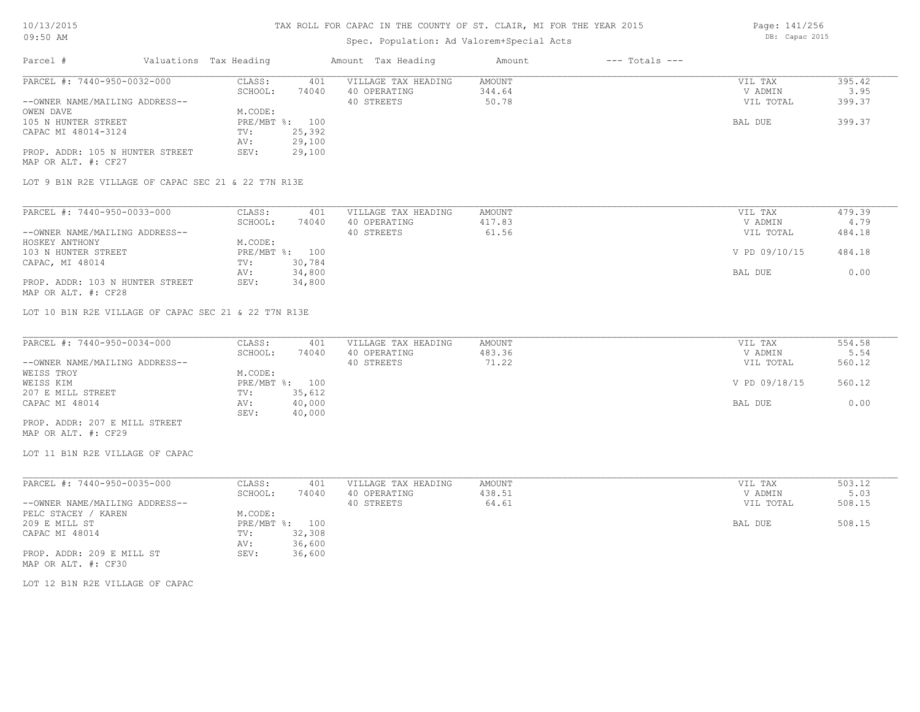## Spec. Population: Ad Valorem+Special Acts

Parcel # Valuations Tax Heading Amount Tax Heading Amount --- Totals ---MAP OR ALT. #: CF27 PROP. ADDR: 105 N HUNTER STREET SEV: 29,100 AV: 29,100 CAPAC MI 48014-3124 TV: 25,392<br>AV: 29,100 105 N HUNTER STREET THE PRE/MBT %: 100 BAL DUE 399.37 OWEN DAVE MUSIC CODE: --OWNER NAME/MAILING ADDRESS-- 40 STREETS 50.78 VIL TOTAL 399.37 SCHOOL: 74040 40 OPERATING 344.64 344.64 V ADMIN 3.95 PARCEL #: 7440-950-0032-000 CLASS: 401 VILLAGE TAX HEADING AMOUNT VIL TAX VIL TAX 395.42<br>SCHOOL: 74040 40 OPERATING 344.64 VADMIN 3.95  $\mathcal{L}_\mathcal{L} = \mathcal{L}_\mathcal{L} = \mathcal{L}_\mathcal{L} = \mathcal{L}_\mathcal{L} = \mathcal{L}_\mathcal{L} = \mathcal{L}_\mathcal{L} = \mathcal{L}_\mathcal{L} = \mathcal{L}_\mathcal{L} = \mathcal{L}_\mathcal{L} = \mathcal{L}_\mathcal{L} = \mathcal{L}_\mathcal{L} = \mathcal{L}_\mathcal{L} = \mathcal{L}_\mathcal{L} = \mathcal{L}_\mathcal{L} = \mathcal{L}_\mathcal{L} = \mathcal{L}_\mathcal{L} = \mathcal{L}_\mathcal{L}$ 

LOT 9 B1N R2E VILLAGE OF CAPAC SEC 21 & 22 T7N R13E

| PARCEL #: 7440-950-0033-000     | CLASS:     | 401    | VILLAGE TAX HEADING | AMOUNT | VIL TAX       | 479.39 |
|---------------------------------|------------|--------|---------------------|--------|---------------|--------|
|                                 | SCHOOL:    | 74040  | 40 OPERATING        | 417.83 | V ADMIN       | 4.79   |
| --OWNER NAME/MAILING ADDRESS--  |            |        | 40 STREETS          | 61.56  | VIL TOTAL     | 484.18 |
| HOSKEY ANTHONY                  | M.CODE:    |        |                     |        |               |        |
| 103 N HUNTER STREET             | PRE/MBT %: | 100    |                     |        | V PD 09/10/15 | 484.18 |
| CAPAC, MI 48014                 | TV:        | 30,784 |                     |        |               |        |
|                                 | AV:        | 34,800 |                     |        | BAL DUE       | 0.00   |
| PROP. ADDR: 103 N HUNTER STREET | SEV:       | 34,800 |                     |        |               |        |
| MAP OR ALT. #: CF28             |            |        |                     |        |               |        |

LOT 10 B1N R2E VILLAGE OF CAPAC SEC 21 & 22 T7N R13E

| PARCEL #: 7440-950-0034-000    | CLASS:  | 401            | VILLAGE TAX HEADING | AMOUNT | VIL TAX       | 554.58 |
|--------------------------------|---------|----------------|---------------------|--------|---------------|--------|
|                                | SCHOOL: | 74040          | 40 OPERATING        | 483.36 | V ADMIN       | 5.54   |
| --OWNER NAME/MAILING ADDRESS-- |         |                | 40 STREETS          | 71.22  | VIL TOTAL     | 560.12 |
| WEISS TROY                     | M.CODE: |                |                     |        |               |        |
| WEISS KIM                      |         | PRE/MBT %: 100 |                     |        | V PD 09/18/15 | 560.12 |
| 207 E MILL STREET              | TV:     | 35,612         |                     |        |               |        |
| CAPAC MI 48014                 | AV:     | 40,000         |                     |        | BAL DUE       | 0.00   |
|                                | SEV:    | 40,000         |                     |        |               |        |
| PROP. ADDR: 207 E MILL STREET  |         |                |                     |        |               |        |

MAP OR ALT. #: CF29

LOT 11 B1N R2E VILLAGE OF CAPAC

| PARCEL #: 7440-950-0035-000    | CLASS:  | 401            | VILLAGE TAX HEADING | AMOUNT | VIL TAX   | 503.12 |
|--------------------------------|---------|----------------|---------------------|--------|-----------|--------|
|                                | SCHOOL: | 74040          | 40 OPERATING        | 438.51 | V ADMIN   | 5.03   |
| --OWNER NAME/MAILING ADDRESS-- |         |                | 40 STREETS          | 64.61  | VIL TOTAL | 508.15 |
| PELC STACEY / KAREN            | M.CODE: |                |                     |        |           |        |
| 209 E MILL ST                  |         | PRE/MBT %: 100 |                     |        | BAL DUE   | 508.15 |
| CAPAC MI 48014                 | TV:     | 32,308         |                     |        |           |        |
|                                | AV:     | 36,600         |                     |        |           |        |
| PROP. ADDR: 209 E MILL ST      | SEV:    | 36,600         |                     |        |           |        |
| MAP OR ALT. #: CF30            |         |                |                     |        |           |        |

LOT 12 B1N R2E VILLAGE OF CAPAC

Page: 141/256 DB: Capac 2015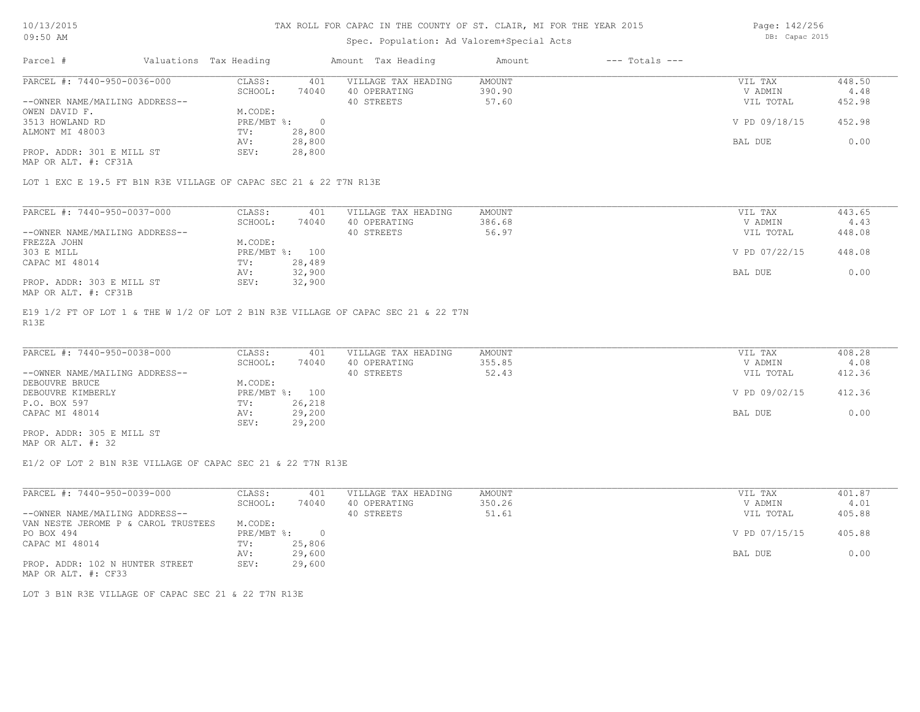## Spec. Population: Ad Valorem+Special Acts

Page: 142/256 DB: Capac 2015

| Parcel #                       | Valuations Tax Heading |        | Amount Tax Heading  | Amount | $---$ Totals $---$ |               |        |
|--------------------------------|------------------------|--------|---------------------|--------|--------------------|---------------|--------|
| PARCEL #: 7440-950-0036-000    | CLASS:                 | 401    | VILLAGE TAX HEADING | AMOUNT |                    | VIL TAX       | 448.50 |
|                                | SCHOOL:                | 74040  | 40 OPERATING        | 390.90 |                    | V ADMIN       | 4.48   |
| --OWNER NAME/MAILING ADDRESS-- |                        |        | 40 STREETS          | 57.60  |                    | VIL TOTAL     | 452.98 |
| OWEN DAVID F.                  | M.CODE:                |        |                     |        |                    |               |        |
| 3513 HOWLAND RD                | PRE/MBT %:             |        |                     |        |                    | V PD 09/18/15 | 452.98 |
| ALMONT MI 48003                | TV:                    | 28,800 |                     |        |                    |               |        |
|                                | AV:                    | 28,800 |                     |        |                    | BAL DUE       | 0.00   |
| PROP. ADDR: 301 E MILL ST      | SEV:                   | 28,800 |                     |        |                    |               |        |
|                                |                        |        |                     |        |                    |               |        |

MAP OR ALT. #: CF31A

LOT 1 EXC E 19.5 FT B1N R3E VILLAGE OF CAPAC SEC 21 & 22 T7N R13E

| PARCEL #: 7440-950-0037-000    | CLASS:  | 401            | VILLAGE TAX HEADING | AMOUNT | VIL TAX       | 443.65 |
|--------------------------------|---------|----------------|---------------------|--------|---------------|--------|
|                                | SCHOOL: | 74040          | 40 OPERATING        | 386.68 | V ADMIN       | 4.43   |
| --OWNER NAME/MAILING ADDRESS-- |         |                | 40 STREETS          | 56.97  | VIL TOTAL     | 448.08 |
| FREZZA JOHN                    | M.CODE: |                |                     |        |               |        |
| 303 E MILL                     |         | PRE/MBT %: 100 |                     |        | V PD 07/22/15 | 448.08 |
| CAPAC MI 48014                 | TV:     | 28,489         |                     |        |               |        |
|                                | AV:     | 32,900         |                     |        | BAL DUE       | 0.00   |
| PROP. ADDR: 303 E MILL ST      | SEV:    | 32,900         |                     |        |               |        |
| MAP OR ALT. #: CF31B           |         |                |                     |        |               |        |

R13E E19 1/2 FT OF LOT 1 & THE W 1/2 OF LOT 2 B1N R3E VILLAGE OF CAPAC SEC 21 & 22 T7N

| PARCEL #: 7440-950-0038-000    | CLASS:  | 401            | VILLAGE TAX HEADING | AMOUNT | VIL TAX       | 408.28 |
|--------------------------------|---------|----------------|---------------------|--------|---------------|--------|
|                                | SCHOOL: | 74040          | 40 OPERATING        | 355.85 | V ADMIN       | 4.08   |
| --OWNER NAME/MAILING ADDRESS-- |         |                | 40 STREETS          | 52.43  | VIL TOTAL     | 412.36 |
| DEBOUVRE BRUCE                 | M.CODE: |                |                     |        |               |        |
| DEBOUVRE KIMBERLY              |         | PRE/MBT %: 100 |                     |        | V PD 09/02/15 | 412.36 |
| P.O. BOX 597                   | TV:     | 26,218         |                     |        |               |        |
| CAPAC MI 48014                 | AV:     | 29,200         |                     |        | BAL DUE       | 0.00   |
|                                | SEV:    | 29,200         |                     |        |               |        |
| PROP. ADDR: 305 E MILL ST      |         |                |                     |        |               |        |

MAP OR ALT. #: 32

E1/2 OF LOT 2 B1N R3E VILLAGE OF CAPAC SEC 21 & 22 T7N R13E

| PARCEL #: 7440-950-0039-000         | CLASS:     | 401    | VILLAGE TAX HEADING | AMOUNT | VIL TAX       | 401.87 |
|-------------------------------------|------------|--------|---------------------|--------|---------------|--------|
|                                     | SCHOOL:    | 74040  | 40 OPERATING        | 350.26 | V ADMIN       | 4.01   |
| --OWNER NAME/MAILING ADDRESS--      |            |        | 40 STREETS          | 51.61  | VIL TOTAL     | 405.88 |
| VAN NESTE JEROME P & CAROL TRUSTEES | M.CODE:    |        |                     |        |               |        |
| PO BOX 494                          | PRE/MBT %: |        |                     |        | V PD 07/15/15 | 405.88 |
| CAPAC MI 48014                      | TV:        | 25,806 |                     |        |               |        |
|                                     | AV:        | 29,600 |                     |        | BAL DUE       | 0.00   |
| PROP. ADDR: 102 N HUNTER STREET     | SEV:       | 29,600 |                     |        |               |        |
| MAP OR ALT. #: CF33                 |            |        |                     |        |               |        |

LOT 3 B1N R3E VILLAGE OF CAPAC SEC 21 & 22 T7N R13E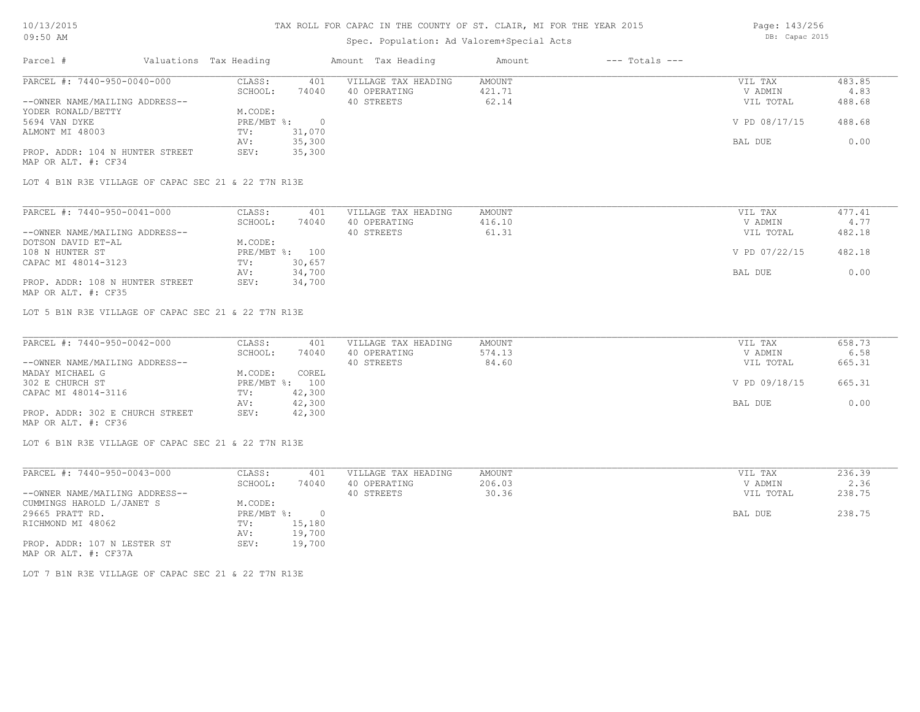## Spec. Population: Ad Valorem+Special Acts

| Parcel #                        | Valuations Tax Heading |        | Amount Tax Heading  | Amount | $---$ Totals $---$ |               |        |
|---------------------------------|------------------------|--------|---------------------|--------|--------------------|---------------|--------|
| PARCEL #: 7440-950-0040-000     | CLASS:                 | 401    | VILLAGE TAX HEADING | AMOUNT |                    | VIL TAX       | 483.85 |
|                                 | SCHOOL:                | 74040  | 40 OPERATING        | 421.71 |                    | V ADMIN       | 4.83   |
| --OWNER NAME/MAILING ADDRESS--  |                        |        | 40 STREETS          | 62.14  |                    | VIL TOTAL     | 488.68 |
| YODER RONALD/BETTY              | M.CODE:                |        |                     |        |                    |               |        |
| 5694 VAN DYKE                   | PRE/MBT %:             |        |                     |        |                    | V PD 08/17/15 | 488.68 |
| ALMONT MI 48003                 | TV:                    | 31,070 |                     |        |                    |               |        |
|                                 | AV:                    | 35,300 |                     |        |                    | BAL DUE       | 0.00   |
| PROP. ADDR: 104 N HUNTER STREET | SEV:                   | 35,300 |                     |        |                    |               |        |
|                                 |                        |        |                     |        |                    |               |        |

MAP OR ALT. #: CF34

LOT 4 B1N R3E VILLAGE OF CAPAC SEC 21 & 22 T7N R13E

| PARCEL #: 7440-950-0041-000     | CLASS:  | 401            | VILLAGE TAX HEADING | AMOUNT | VIL TAX       | 477.41 |
|---------------------------------|---------|----------------|---------------------|--------|---------------|--------|
|                                 | SCHOOL: | 74040          | 40 OPERATING        | 416.10 | V ADMIN       | 4.77   |
| --OWNER NAME/MAILING ADDRESS--  |         |                | 40 STREETS          | 61.31  | VIL TOTAL     | 482.18 |
| DOTSON DAVID ET-AL              | M.CODE: |                |                     |        |               |        |
| 108 N HUNTER ST                 |         | PRE/MBT %: 100 |                     |        | V PD 07/22/15 | 482.18 |
| CAPAC MI 48014-3123             | TV:     | 30,657         |                     |        |               |        |
|                                 | AV:     | 34,700         |                     |        | BAL DUE       | 0.00   |
| PROP. ADDR: 108 N HUNTER STREET | SEV:    | 34,700         |                     |        |               |        |
| MAP OR ALT. #: CF35             |         |                |                     |        |               |        |

LOT 5 B1N R3E VILLAGE OF CAPAC SEC 21 & 22 T7N R13E

| PARCEL #: 7440-950-0042-000     | CLASS:  | 401            | VILLAGE TAX HEADING | AMOUNT | VIL TAX       | 658.73 |
|---------------------------------|---------|----------------|---------------------|--------|---------------|--------|
|                                 | SCHOOL: | 74040          | 40 OPERATING        | 574.13 | V ADMIN       | 6.58   |
| --OWNER NAME/MAILING ADDRESS--  |         |                | 40 STREETS          | 84.60  | VIL TOTAL     | 665.31 |
| MADAY MICHAEL G                 | M.CODE: | COREL          |                     |        |               |        |
| 302 E CHURCH ST                 |         | PRE/MBT %: 100 |                     |        | V PD 09/18/15 | 665.31 |
| CAPAC MI 48014-3116             | TV:     | 42,300         |                     |        |               |        |
|                                 | AV:     | 42,300         |                     |        | BAL DUE       | 0.00   |
| PROP. ADDR: 302 E CHURCH STREET | SEV:    | 42,300         |                     |        |               |        |
| MAP OR ALT. #: CF36             |         |                |                     |        |               |        |

LOT 6 B1N R3E VILLAGE OF CAPAC SEC 21 & 22 T7N R13E

| PARCEL #: 7440-950-0043-000    | CLASS:     | 401      | VILLAGE TAX HEADING | AMOUNT | 236.39<br>VIL TAX   |
|--------------------------------|------------|----------|---------------------|--------|---------------------|
|                                | SCHOOL:    | 74040    | 40 OPERATING        | 206.03 | 2.36<br>V ADMIN     |
| --OWNER NAME/MAILING ADDRESS-- |            |          | 40 STREETS          | 30.36  | 238.75<br>VIL TOTAL |
| CUMMINGS HAROLD L/JANET S      | M.CODE:    |          |                     |        |                     |
| 29665 PRATT RD.                | PRE/MBT %: | $\Omega$ |                     |        | 238.75<br>BAL DUE   |
| RICHMOND MI 48062              | TV:        | 15,180   |                     |        |                     |
|                                | AV:        | 19,700   |                     |        |                     |
| PROP. ADDR: 107 N LESTER ST    | SEV:       | 19,700   |                     |        |                     |
| MAP OR ALT. #: CF37A           |            |          |                     |        |                     |

LOT 7 B1N R3E VILLAGE OF CAPAC SEC 21 & 22 T7N R13E

Page: 143/256 DB: Capac 2015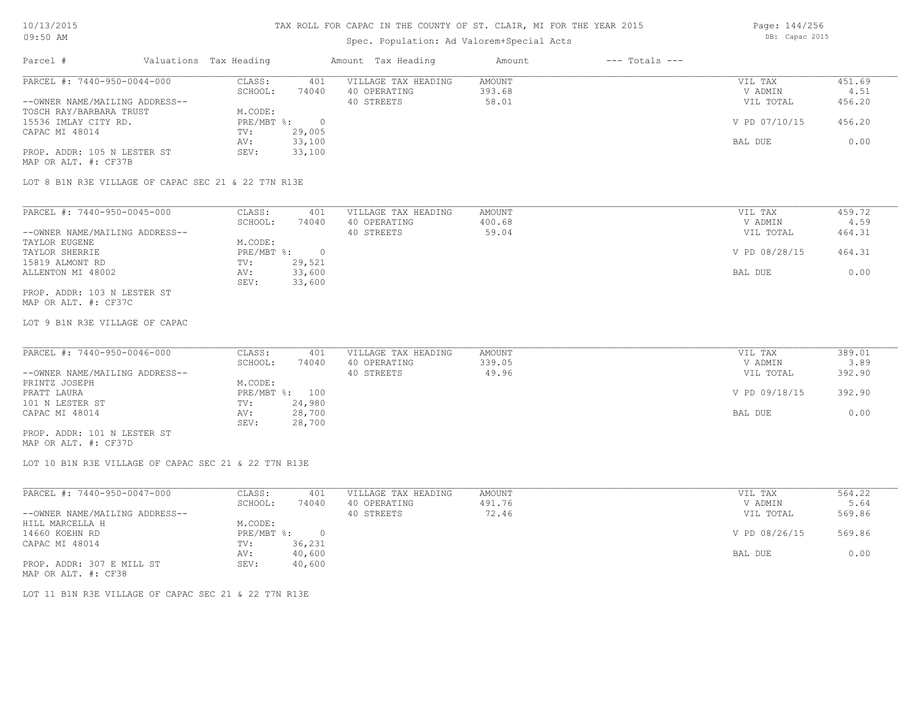### Spec. Population: Ad Valorem+Special Acts

Parcel # Valuations Tax Heading Amount Tax Heading Amount --- Totals ---PROP. ADDR: 105 N LESTER ST SEV: 33,100 AV: 33,100 BAL DUE 0.00 CAPAC MI 48014 TV: 29,005<br>
AV: 33,100 15536 IMLAY CITY RD. PRE/MBT %: 0 V PD 07/10/15 456.20 TOSCH RAY/BARBARA TRUST M.CODE:<br>15536 IMLAY CITY RD. RESANDER PRE/MBT %: --OWNER NAME/MAILING ADDRESS-- 40 STREETS 58.01 VIL TOTAL 456.20 SCHOOL: 74040 40 OPERATING 393.68 393.68 V ADMIN 4.51 PARCEL #: 7440-950-0044-000 CLASS: 401 VILLAGE TAX HEADING AMOUNT NUMBER ON THE VIL TAX 451.69<br>SCHOOL: 74040 40 OPERATING 393.68 393.68 VADMIN 4.51  $\mathcal{L}_\mathcal{L} = \mathcal{L}_\mathcal{L} = \mathcal{L}_\mathcal{L} = \mathcal{L}_\mathcal{L} = \mathcal{L}_\mathcal{L} = \mathcal{L}_\mathcal{L} = \mathcal{L}_\mathcal{L} = \mathcal{L}_\mathcal{L} = \mathcal{L}_\mathcal{L} = \mathcal{L}_\mathcal{L} = \mathcal{L}_\mathcal{L} = \mathcal{L}_\mathcal{L} = \mathcal{L}_\mathcal{L} = \mathcal{L}_\mathcal{L} = \mathcal{L}_\mathcal{L} = \mathcal{L}_\mathcal{L} = \mathcal{L}_\mathcal{L}$ 

MAP OR ALT. #: CF37B

LOT 8 B1N R3E VILLAGE OF CAPAC SEC 21 & 22 T7N R13E

| PARCEL #: 7440-950-0045-000    | CLASS:     | 401    | VILLAGE TAX HEADING | AMOUNT | VIL TAX       | 459.72 |
|--------------------------------|------------|--------|---------------------|--------|---------------|--------|
|                                | SCHOOL:    | 74040  | 40 OPERATING        | 400.68 | V ADMIN       | 4.59   |
| --OWNER NAME/MAILING ADDRESS-- |            |        | 40 STREETS          | 59.04  | VIL TOTAL     | 464.31 |
| TAYLOR EUGENE                  | M.CODE:    |        |                     |        |               |        |
| TAYLOR SHERRIE                 | PRE/MBT %: |        |                     |        | V PD 08/28/15 | 464.31 |
| 15819 ALMONT RD                | TV:        | 29,521 |                     |        |               |        |
| ALLENTON MI 48002              | AV:        | 33,600 |                     |        | BAL DUE       | 0.00   |
|                                | SEV:       | 33,600 |                     |        |               |        |
| PROP. ADDR: 103 N LESTER ST    |            |        |                     |        |               |        |

MAP OR ALT. #: CF37C

LOT 9 B1N R3E VILLAGE OF CAPAC

| PARCEL #: 7440-950-0046-000    | CLASS:  | 401            | VILLAGE TAX HEADING | AMOUNT | VIL TAX       | 389.01 |
|--------------------------------|---------|----------------|---------------------|--------|---------------|--------|
|                                | SCHOOL: | 74040          | 40 OPERATING        | 339.05 | V ADMIN       | 3.89   |
| --OWNER NAME/MAILING ADDRESS-- |         |                | 40 STREETS          | 49.96  | VIL TOTAL     | 392.90 |
| PRINTZ JOSEPH                  | M.CODE: |                |                     |        |               |        |
| PRATT LAURA                    |         | PRE/MBT %: 100 |                     |        | V PD 09/18/15 | 392.90 |
| 101 N LESTER ST                | TV:     | 24,980         |                     |        |               |        |
| CAPAC MI 48014                 | AV:     | 28,700         |                     |        | BAL DUE       | 0.00   |
|                                | SEV:    | 28,700         |                     |        |               |        |
| PROP. ADDR: 101 N LESTER ST    |         |                |                     |        |               |        |

MAP OR ALT. #: CF37D

LOT 10 B1N R3E VILLAGE OF CAPAC SEC 21 & 22 T7N R13E

| PARCEL #: 7440-950-0047-000    | CLASS:     | 401    | VILLAGE TAX HEADING | AMOUNT        | VIL TAX   | 564.22 |
|--------------------------------|------------|--------|---------------------|---------------|-----------|--------|
|                                | SCHOOL:    | 74040  | 40 OPERATING        | 491.76        | V ADMIN   | 5.64   |
| --OWNER NAME/MAILING ADDRESS-- |            |        | 40 STREETS          | 72.46         | VIL TOTAL | 569.86 |
| HILL MARCELLA H                | M.CODE:    |        |                     |               |           |        |
| 14660 KOEHN RD                 | PRE/MBT %: | ∩      |                     | V PD 08/26/15 | 569.86    |        |
| CAPAC MI 48014                 | TV:        | 36,231 |                     |               |           |        |
|                                | AV:        | 40,600 |                     |               | BAL DUE   | 0.00   |
| PROP. ADDR: 307 E MILL ST      | SEV:       | 40,600 |                     |               |           |        |
|                                |            |        |                     |               |           |        |

MAP OR ALT. #: CF38

LOT 11 B1N R3E VILLAGE OF CAPAC SEC 21 & 22 T7N R13E

Page: 144/256 DB: Capac 2015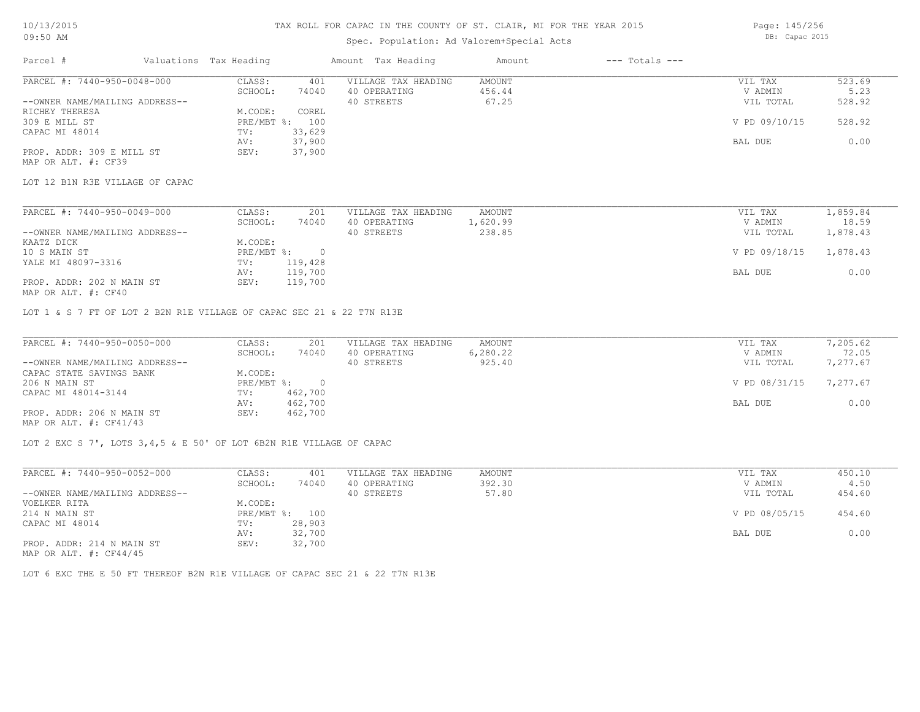## Spec. Population: Ad Valorem+Special Acts

Page: 145/256 DB: Capac 2015

| Parcel #                       | Valuations Tax Heading |        | Amount Tax Heading  | Amount | $---$ Totals $---$ |               |        |
|--------------------------------|------------------------|--------|---------------------|--------|--------------------|---------------|--------|
| PARCEL #: 7440-950-0048-000    | CLASS:                 | 401    | VILLAGE TAX HEADING | AMOUNT |                    | VIL TAX       | 523.69 |
|                                | SCHOOL:                | 74040  | 40 OPERATING        | 456.44 |                    | V ADMIN       | 5.23   |
| --OWNER NAME/MAILING ADDRESS-- |                        |        | 40 STREETS          | 67.25  |                    | VIL TOTAL     | 528.92 |
| RICHEY THERESA                 | M.CODE:                | COREL  |                     |        |                    |               |        |
| 309 E MILL ST                  | $PRE/MBT$ %:           | 100    |                     |        |                    | V PD 09/10/15 | 528.92 |
| CAPAC MI 48014                 | TV:                    | 33,629 |                     |        |                    |               |        |
|                                | AV:                    | 37,900 |                     |        |                    | BAL DUE       | 0.00   |
| PROP. ADDR: 309 E MILL ST      | SEV:                   | 37,900 |                     |        |                    |               |        |
| MAP OR ALT. #: CF39            |                        |        |                     |        |                    |               |        |

LOT 12 B1N R3E VILLAGE OF CAPAC

| PARCEL #: 7440-950-0049-000    | CLASS:     | 201     | VILLAGE TAX HEADING | AMOUNT   | VIL TAX       | 1,859.84 |
|--------------------------------|------------|---------|---------------------|----------|---------------|----------|
|                                | SCHOOL:    | 74040   | 40 OPERATING        | l,620.99 | V ADMIN       | 18.59    |
| --OWNER NAME/MAILING ADDRESS-- |            |         | 40 STREETS          | 238.85   | VIL TOTAL     | 1,878.43 |
| KAATZ DICK                     | M.CODE:    |         |                     |          |               |          |
| 10 S MAIN ST                   | PRE/MBT %: |         |                     |          | V PD 09/18/15 | 1,878.43 |
| YALE MI 48097-3316             | TV:        | 119,428 |                     |          |               |          |
|                                | AV:        | 119,700 |                     |          | BAL DUE       | 0.00     |
| PROP. ADDR: 202 N MAIN ST      | SEV:       | 119,700 |                     |          |               |          |
|                                |            |         |                     |          |               |          |

MAP OR ALT. #: CF40

LOT 1 & S 7 FT OF LOT 2 B2N R1E VILLAGE OF CAPAC SEC 21 & 22 T7N R13E

| PARCEL #: 7440-950-0050-000    | CLASS:     | 201     | VILLAGE TAX HEADING | AMOUNT   | VIL TAX       | 7,205.62 |
|--------------------------------|------------|---------|---------------------|----------|---------------|----------|
|                                | SCHOOL:    | 74040   | 40 OPERATING        | 6,280.22 | V ADMIN       | 72.05    |
| --OWNER NAME/MAILING ADDRESS-- |            |         | 40 STREETS          | 925.40   | VIL TOTAL     | 7,277.67 |
| CAPAC STATE SAVINGS BANK       | M.CODE:    |         |                     |          |               |          |
| 206 N MAIN ST                  | PRE/MBT %: |         |                     |          | V PD 08/31/15 | 7,277.67 |
| CAPAC MI 48014-3144            | TV:        | 462,700 |                     |          |               |          |
|                                | AV:        | 462,700 |                     |          | BAL DUE       | 0.00     |
| PROP. ADDR: 206 N MAIN ST      | SEV:       | 462,700 |                     |          |               |          |
| MAP OR ALT. $\#$ : CF41/43     |            |         |                     |          |               |          |

LOT 2 EXC S 7', LOTS 3,4,5 & E 50' OF LOT 6B2N R1E VILLAGE OF CAPAC

| PARCEL #: 7440-950-0052-000                | CLASS:  | 401            | VILLAGE TAX HEADING | AMOUNT | VIL TAX       | 450.10 |
|--------------------------------------------|---------|----------------|---------------------|--------|---------------|--------|
|                                            | SCHOOL: | 74040          | 40 OPERATING        | 392.30 | V ADMIN       | 4.50   |
| --OWNER NAME/MAILING ADDRESS--             |         |                | 40 STREETS          | 57.80  | VIL TOTAL     | 454.60 |
| VOELKER RITA                               | M.CODE: |                |                     |        |               |        |
| 214 N MAIN ST                              |         | PRE/MBT %: 100 |                     |        | V PD 08/05/15 | 454.60 |
| CAPAC MI 48014                             | TV:     | 28,903         |                     |        |               |        |
|                                            | AV:     | 32,700         |                     |        | BAL DUE       | 0.00   |
| PROP. ADDR: 214 N MAIN ST<br>$\frac{1}{2}$ | SEV:    | 32,700         |                     |        |               |        |

MAP OR ALT. #: CF44/45

LOT 6 EXC THE E 50 FT THEREOF B2N R1E VILLAGE OF CAPAC SEC 21 & 22 T7N R13E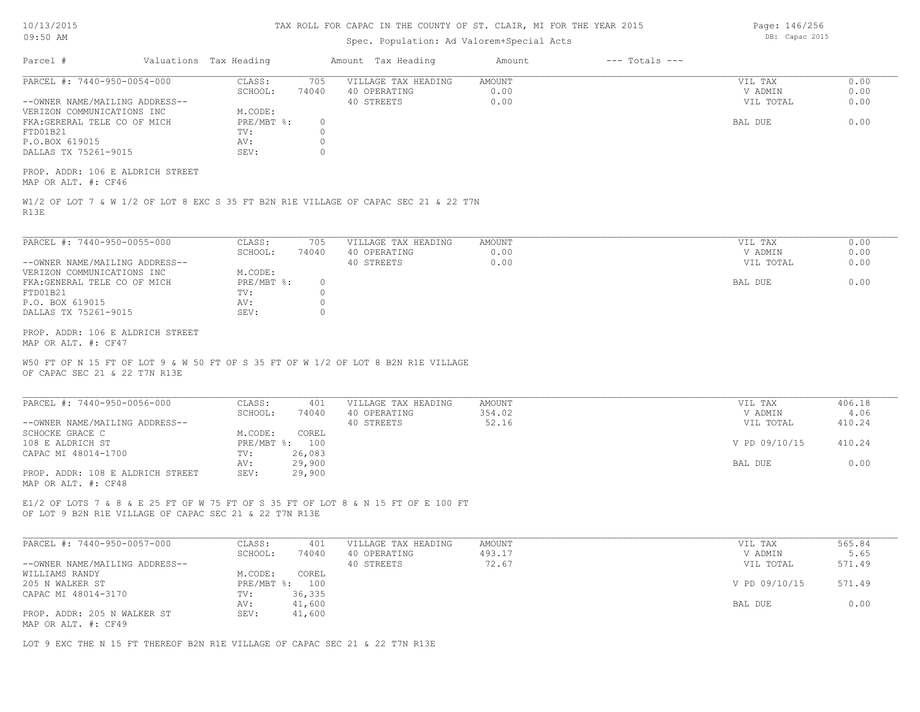| 10/13/2015 |  |
|------------|--|
| 09:50 AM   |  |

### Spec. Population: Ad Valorem+Special Acts

Parcel # Valuations Tax Heading Amount Tax Heading Amount --- Totals ---R13E W1/2 OF LOT 7 & W 1/2 OF LOT 8 EXC S 35 FT B2N R1E VILLAGE OF CAPAC SEC 21 & 22 T7N MAP OR ALT. #: CF46 PROP. ADDR: 106 E ALDRICH STREET DALLAS TX 75261-9015 SEV: 0 P.O.BOX 619015 AV: 0 FTD01B21 TV: 0 FKA:GERERAL TELE CO OF MICH PRE/MBT %: 0 BAL DUE 0.00 VERIZON COMMUNICATIONS INC M.CODE: --OWNER NAME/MAILING ADDRESS-- 40 STREETS 0.00 VIL TOTAL 0.00 SCHOOL: 74040 40 OPERATING 0.00 V ADMIN 0.00 PARCEL #: 7440-950-0054-000 CLASS: 705 VILLAGE TAX HEADING AMOUNT WIL TAX VIL TAX 0.00<br>CCHOOL: 74040 40 OPERATING 0.00 0.00 VADMIN 0.00  $\mathcal{L}_\mathcal{L} = \mathcal{L}_\mathcal{L} = \mathcal{L}_\mathcal{L} = \mathcal{L}_\mathcal{L} = \mathcal{L}_\mathcal{L} = \mathcal{L}_\mathcal{L} = \mathcal{L}_\mathcal{L} = \mathcal{L}_\mathcal{L} = \mathcal{L}_\mathcal{L} = \mathcal{L}_\mathcal{L} = \mathcal{L}_\mathcal{L} = \mathcal{L}_\mathcal{L} = \mathcal{L}_\mathcal{L} = \mathcal{L}_\mathcal{L} = \mathcal{L}_\mathcal{L} = \mathcal{L}_\mathcal{L} = \mathcal{L}_\mathcal{L}$ OF CAPAC SEC 21 & 22 T7N R13E W50 FT OF N 15 FT OF LOT 9 & W 50 FT OF S 35 FT OF W 1/2 OF LOT 8 B2N R1E VILLAGE MAP OR ALT. #: CF47 PROP. ADDR: 106 E ALDRICH STREET DALLAS TX 75261-9015 SEV: 0 P.O. BOX 619015 AV: 0 FTD01B21 TV: 0 FKA:GENERAL TELE CO OF MICH PRE/MBT %: 0<br>FTD01B21 BAL DUE 0.00 PRE/MBT %: 0 BAL DUE 0.00 VERIZON COMMUNICATIONS INC M.CODE: --OWNER NAME/MAILING ADDRESS-- 40 STREETS 0.00 VIL TOTAL 0.00 SCHOOL: 74040 40 OPERATING 0.00 V ADMIN 0.00 PARCEL #: 7440-950-0055-000 CLASS: 705 VILLAGE TAX HEADING AMOUNT WIL TAX VIL TAX 0.00<br>CCHOOL: 74040 40 OPERATING 0.00 0.00 VADMIN 0.00 OF LOT 9 B2N R1E VILLAGE OF CAPAC SEC 21 & 22 T7N R13E E1/2 OF LOTS 7 & 8 & E 25 FT OF W 75 FT OF S 35 FT OF LOT 8 & N 15 FT OF E 100 FT MAP OR ALT. #: CF48 PROP. ADDR: 108 E ALDRICH STREET SEV: 29,900 AV: 29,900 BAL DUE 0.00 CAPAC MI 48014-1700 TV: 26,083 108 E ALDRICH ST PRE/MBT %: 100 V PD 09/10/15 410.24 SCHOCKE GRACE C<br>
M.CODE: COREL --OWNER NAME/MAILING ADDRESS-- 40 STREETS 52.16 VIL TOTAL 410.24 SCHOOL: 74040 40 OPERATING 354.02 V ADMIN 4.06 PARCEL #: 7440-950-0056-000 CLASS: 401 VILLAGE TAX HEADING AMOUNT VIL TAX VIL TAX 406.18<br>SCHOOL: 74040 40 OPERATING 354.02 VADMIN 4.06  $\mathcal{L}_\mathcal{L} = \mathcal{L}_\mathcal{L} = \mathcal{L}_\mathcal{L} = \mathcal{L}_\mathcal{L} = \mathcal{L}_\mathcal{L} = \mathcal{L}_\mathcal{L} = \mathcal{L}_\mathcal{L} = \mathcal{L}_\mathcal{L} = \mathcal{L}_\mathcal{L} = \mathcal{L}_\mathcal{L} = \mathcal{L}_\mathcal{L} = \mathcal{L}_\mathcal{L} = \mathcal{L}_\mathcal{L} = \mathcal{L}_\mathcal{L} = \mathcal{L}_\mathcal{L} = \mathcal{L}_\mathcal{L} = \mathcal{L}_\mathcal{L}$ MAP OR ALT. #: CF49 PROP. ADDR: 205 N WALKER ST SEV: 41,600 AV: 41,600 AV: 41,600 AV: 41,600 BAL DUE 0.00 CAPAC MI 48014-3170 TV: 36,335<br>AV: 41,600 205 N WALKER ST PRE/MBT %: 100 V PD 09/10/15 571.49 WILLIAMS RANDY **M.CODE:** COREL 205 N WALKER ST --OWNER NAME/MAILING ADDRESS-- 40 STREETS 72.67 VIL TOTAL 571.49 SCHOOL: 74040 40 OPERATING 493.17 40 ADMIN 5.65 PARCEL #: 7440-950-0057-000 CLASS: 401 VILLAGE TAX HEADING AMOUNT AMOUNT VIL TAX 565.84<br>565.84 SCHOOL: 74040 40 OPERATING 493.17 VADMIN 5.65  $\mathcal{L}_\mathcal{L} = \mathcal{L}_\mathcal{L} = \mathcal{L}_\mathcal{L} = \mathcal{L}_\mathcal{L} = \mathcal{L}_\mathcal{L} = \mathcal{L}_\mathcal{L} = \mathcal{L}_\mathcal{L} = \mathcal{L}_\mathcal{L} = \mathcal{L}_\mathcal{L} = \mathcal{L}_\mathcal{L} = \mathcal{L}_\mathcal{L} = \mathcal{L}_\mathcal{L} = \mathcal{L}_\mathcal{L} = \mathcal{L}_\mathcal{L} = \mathcal{L}_\mathcal{L} = \mathcal{L}_\mathcal{L} = \mathcal{L}_\mathcal{L}$ 

LOT 9 EXC THE N 15 FT THEREOF B2N R1E VILLAGE OF CAPAC SEC 21 & 22 T7N R13E

Page: 146/256

DB: Capac 2015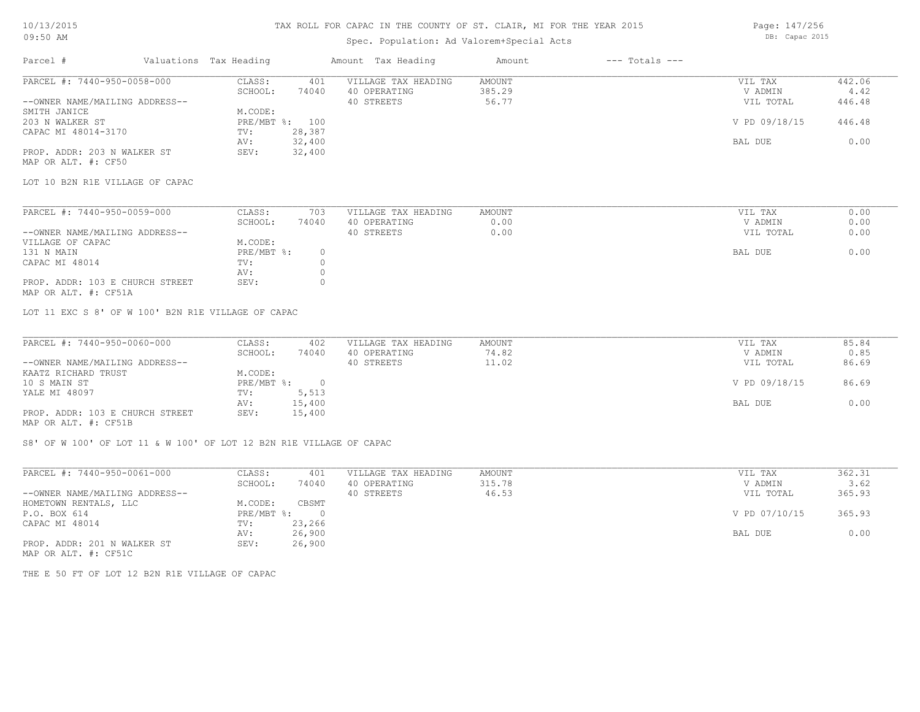## 10/13/2015 09:50 AM

### TAX ROLL FOR CAPAC IN THE COUNTY OF ST. CLAIR, MI FOR THE YEAR 2015

Spec. Population: Ad Valorem+Special Acts

| Parcel #                       | Valuations Tax Heading |                | Amount Tax Heading  | Amount | $---$ Totals $---$ |               |        |
|--------------------------------|------------------------|----------------|---------------------|--------|--------------------|---------------|--------|
| PARCEL #: 7440-950-0058-000    | CLASS:                 | 401            | VILLAGE TAX HEADING | AMOUNT |                    | VIL TAX       | 442.06 |
|                                | SCHOOL:                | 74040          | 40 OPERATING        | 385.29 |                    | V ADMIN       | 4.42   |
| --OWNER NAME/MAILING ADDRESS-- |                        |                | 40 STREETS          | 56.77  |                    | VIL TOTAL     | 446.48 |
| SMITH JANICE                   | M.CODE:                |                |                     |        |                    |               |        |
| 203 N WALKER ST                |                        | PRE/MBT %: 100 |                     |        |                    | V PD 09/18/15 | 446.48 |
| CAPAC MI 48014-3170            | TV:                    | 28,387         |                     |        |                    |               |        |
|                                | AV:                    | 32,400         |                     |        |                    | BAL DUE       | 0.00   |
| PROP. ADDR: 203 N WALKER ST    | SEV:                   | 32,400         |                     |        |                    |               |        |
|                                |                        |                |                     |        |                    |               |        |

MAP OR ALT. #: CF50

LOT 10 B2N R1E VILLAGE OF CAPAC

| PARCEL #: 7440-950-0059-000                                                                                     | CLASS:     | 703   | VILLAGE TAX HEADING | AMOUNT | VIL TAX   | 0.00 |
|-----------------------------------------------------------------------------------------------------------------|------------|-------|---------------------|--------|-----------|------|
|                                                                                                                 | SCHOOL:    | 74040 | 40 OPERATING        | 0.00   | V ADMIN   | 0.00 |
| --OWNER NAME/MAILING ADDRESS--                                                                                  |            |       | 40 STREETS          | 0.00   | VIL TOTAL | 0.00 |
| VILLAGE OF CAPAC                                                                                                | M.CODE:    |       |                     |        |           |      |
| 131 N MAIN                                                                                                      | PRE/MBT %: |       |                     |        | BAL DUE   | 0.00 |
| CAPAC MI 48014                                                                                                  | TV:        |       |                     |        |           |      |
|                                                                                                                 | AV:        |       |                     |        |           |      |
| PROP. ADDR: 103 E CHURCH STREET                                                                                 | SEV:       |       |                     |        |           |      |
| the contract of the contract of the contract of the contract of the contract of the contract of the contract of |            |       |                     |        |           |      |

MAP OR ALT. #: CF51A

LOT 11 EXC S 8' OF W 100' B2N R1E VILLAGE OF CAPAC

| PARCEL #: 7440-950-0060-000     | CLASS:     | 402    | VILLAGE TAX HEADING | AMOUNT | VIL TAX       | 85.84 |
|---------------------------------|------------|--------|---------------------|--------|---------------|-------|
|                                 | SCHOOL:    | 74040  | 40 OPERATING        | 74.82  | V ADMIN       | 0.85  |
| --OWNER NAME/MAILING ADDRESS--  |            |        | 40 STREETS          | 11.02  | VIL TOTAL     | 86.69 |
| KAATZ RICHARD TRUST             | M.CODE:    |        |                     |        |               |       |
| 10 S MAIN ST                    | PRE/MBT %: |        |                     |        | V PD 09/18/15 | 86.69 |
| YALE MI 48097                   | TV:        | 5,513  |                     |        |               |       |
|                                 | AV:        | 15,400 |                     |        | BAL DUE       | 0.00  |
| PROP. ADDR: 103 E CHURCH STREET | SEV:       | 15,400 |                     |        |               |       |
| MAP OR ALT. #: CF51B            |            |        |                     |        |               |       |

S8' OF W 100' OF LOT 11 & W 100' OF LOT 12 B2N R1E VILLAGE OF CAPAC

| PARCEL #: 7440-950-0061-000                                                                                                                    | CLASS:     | 401    | VILLAGE TAX HEADING | AMOUNT | VIL TAX       | 362.31 |
|------------------------------------------------------------------------------------------------------------------------------------------------|------------|--------|---------------------|--------|---------------|--------|
|                                                                                                                                                | SCHOOL:    | 74040  | 40 OPERATING        | 315.78 | V ADMIN       | 3.62   |
| --OWNER NAME/MAILING ADDRESS--                                                                                                                 |            |        | 40 STREETS          | 46.53  | VIL TOTAL     | 365.93 |
| HOMETOWN RENTALS, LLC                                                                                                                          | M.CODE:    | CBSMT  |                     |        |               |        |
| P.O. BOX 614                                                                                                                                   | PRE/MBT %: |        |                     |        | V PD 07/10/15 | 365.93 |
| CAPAC MI 48014                                                                                                                                 | TV:        | 23,266 |                     |        |               |        |
|                                                                                                                                                | AV:        | 26,900 |                     |        | BAL DUE       | 0.00   |
| PROP. ADDR: 201 N WALKER ST<br>the contract of the contract of the contract of the contract of the contract of the contract of the contract of | SEV:       | 26,900 |                     |        |               |        |

MAP OR ALT. #: CF51C

THE E 50 FT OF LOT 12 B2N R1E VILLAGE OF CAPAC

Page: 147/256 DB: Capac 2015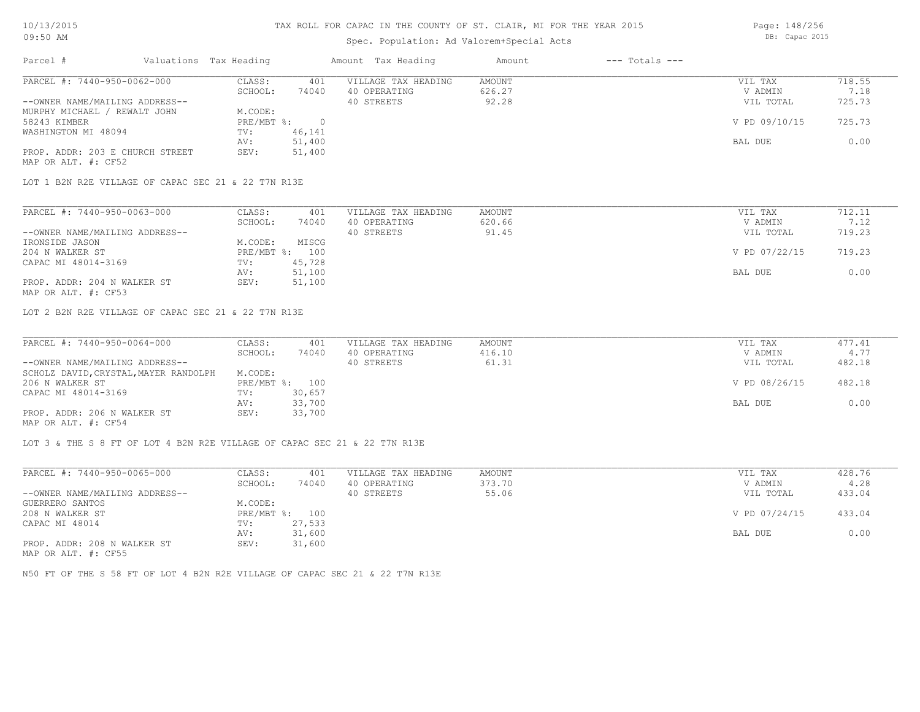### Spec. Population: Ad Valorem+Special Acts

Page: 148/256 DB: Capac 2015

| Parcel #                        |  | Valuations Tax Heading |        | Amount Tax Heading  | Amount | $---$ Totals $---$ |               |        |
|---------------------------------|--|------------------------|--------|---------------------|--------|--------------------|---------------|--------|
| PARCEL #: 7440-950-0062-000     |  | CLASS:                 | 401    | VILLAGE TAX HEADING | AMOUNT |                    | VIL TAX       | 718.55 |
|                                 |  | SCHOOL:                | 74040  | 40 OPERATING        | 626.27 |                    | V ADMIN       | 7.18   |
| --OWNER NAME/MAILING ADDRESS--  |  |                        |        | 40 STREETS          | 92.28  |                    | VIL TOTAL     | 725.73 |
| MURPHY MICHAEL / REWALT JOHN    |  | M.CODE:                |        |                     |        |                    |               |        |
| 58243 KIMBER                    |  | $PRE/MBT$ %:           |        |                     |        |                    | V PD 09/10/15 | 725.73 |
| WASHINGTON MI 48094             |  | TV:                    | 46,141 |                     |        |                    |               |        |
|                                 |  | AV:                    | 51,400 |                     |        |                    | BAL DUE       | 0.00   |
| PROP. ADDR: 203 E CHURCH STREET |  | SEV:                   | 51,400 |                     |        |                    |               |        |
| MAP OR ALT. #: CF52             |  |                        |        |                     |        |                    |               |        |

LOT 1 B2N R2E VILLAGE OF CAPAC SEC 21 & 22 T7N R13E

| PARCEL #: 7440-950-0063-000    | CLASS:  | 401            | VILLAGE TAX HEADING | AMOUNT | VIL TAX       | 712.11 |
|--------------------------------|---------|----------------|---------------------|--------|---------------|--------|
|                                | SCHOOL: | 74040          | 40 OPERATING        | 620.66 | V ADMIN       | 7.12   |
| --OWNER NAME/MAILING ADDRESS-- |         |                | 40 STREETS          | 91.45  | VIL TOTAL     | 719.23 |
| IRONSIDE JASON                 | M.CODE: | MISCG          |                     |        |               |        |
| 204 N WALKER ST                |         | PRE/MBT %: 100 |                     |        | V PD 07/22/15 | 719.23 |
| CAPAC MI 48014-3169            | TV:     | 45,728         |                     |        |               |        |
|                                | AV:     | 51,100         |                     |        | BAL DUE       | 0.00   |
| PROP. ADDR: 204 N WALKER ST    | SEV:    | 51,100         |                     |        |               |        |
| MAP OR ALT. #: CF53            |         |                |                     |        |               |        |

LOT 2 B2N R2E VILLAGE OF CAPAC SEC 21 & 22 T7N R13E

| PARCEL #: 7440-950-0064-000           | CLASS:  | 401            | VILLAGE TAX HEADING | AMOUNT | VIL TAX       | 477.41 |
|---------------------------------------|---------|----------------|---------------------|--------|---------------|--------|
|                                       | SCHOOL: | 74040          | 40 OPERATING        | 416.10 | V ADMIN       | 4.77   |
| --OWNER NAME/MAILING ADDRESS--        |         |                | 40 STREETS          | 61.31  | VIL TOTAL     | 482.18 |
| SCHOLZ DAVID, CRYSTAL, MAYER RANDOLPH | M.CODE: |                |                     |        |               |        |
| 206 N WALKER ST                       |         | PRE/MBT %: 100 |                     |        | V PD 08/26/15 | 482.18 |
| CAPAC MI 48014-3169                   | TV:     | 30,657         |                     |        |               |        |
|                                       | AV:     | 33,700         |                     |        | BAL DUE       | 0.00   |
| PROP. ADDR: 206 N WALKER ST           | SEV:    | 33,700         |                     |        |               |        |
| MAP OR ALT. #: CF54                   |         |                |                     |        |               |        |

LOT 3 & THE S 8 FT OF LOT 4 B2N R2E VILLAGE OF CAPAC SEC 21 & 22 T7N R13E

| PARCEL #: 7440-950-0065-000                        | CLASS:         | 401    | VILLAGE TAX HEADING | AMOUNT | VIL TAX       | 428.76 |
|----------------------------------------------------|----------------|--------|---------------------|--------|---------------|--------|
|                                                    | SCHOOL:        | 74040  | 40 OPERATING        | 373.70 | V ADMIN       | 4.28   |
| --OWNER NAME/MAILING ADDRESS--                     |                |        | 40 STREETS          | 55.06  | VIL TOTAL     | 433.04 |
| GUERRERO SANTOS                                    | M.CODE:        |        |                     |        |               |        |
| 208 N WALKER ST                                    | PRE/MBT %: 100 |        |                     |        | V PD 07/24/15 | 433.04 |
| CAPAC MI 48014                                     | TV:            | 27,533 |                     |        |               |        |
|                                                    | AV:            | 31,600 |                     |        | BAL DUE       | 0.00   |
| PROP. ADDR: 208 N WALKER ST<br>MAD OD ATHL 4. ODEE | SEV:           | 31,600 |                     |        |               |        |

MAP OR ALT. #: CF55

N50 FT OF THE S 58 FT OF LOT 4 B2N R2E VILLAGE OF CAPAC SEC 21 & 22 T7N R13E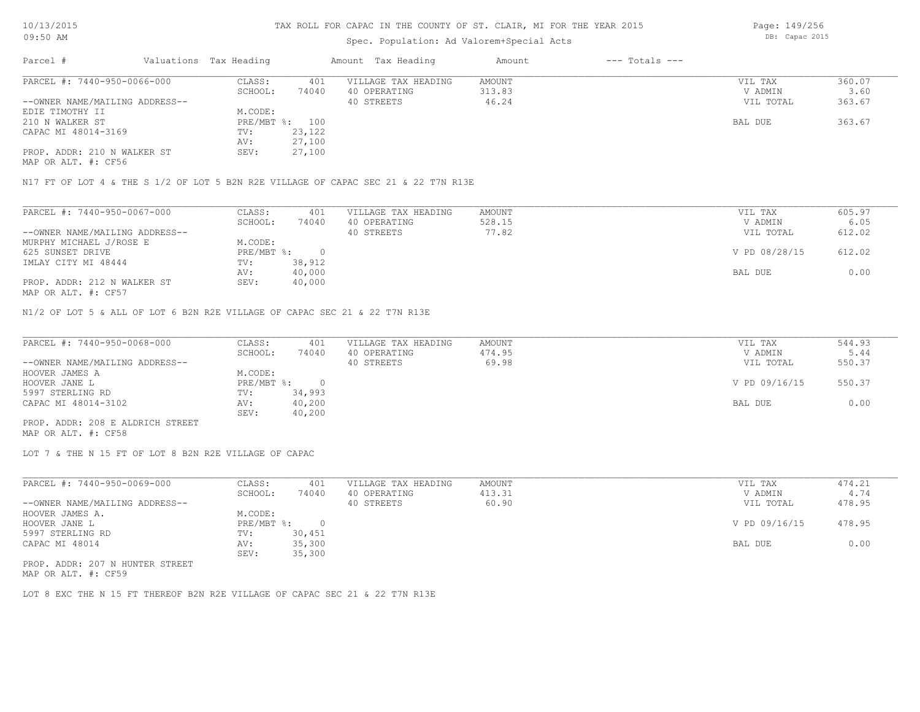### Spec. Population: Ad Valorem+Special Acts

| Parcel #                       | Valuations Tax Heading |                | Amount Tax Heading  | Amount | $---$ Totals $---$ |           |        |
|--------------------------------|------------------------|----------------|---------------------|--------|--------------------|-----------|--------|
| PARCEL #: 7440-950-0066-000    | CLASS:                 | 401            | VILLAGE TAX HEADING | AMOUNT |                    | VIL TAX   | 360.07 |
|                                | SCHOOL:                | 74040          | 40 OPERATING        | 313.83 |                    | V ADMIN   | 3.60   |
| --OWNER NAME/MAILING ADDRESS-- |                        |                | 40 STREETS          | 46.24  |                    | VIL TOTAL | 363.67 |
| EDIE TIMOTHY II                | M.CODE:                |                |                     |        |                    |           |        |
| 210 N WALKER ST                |                        | PRE/MBT %: 100 |                     |        |                    | BAL DUE   | 363.67 |
| CAPAC MI 48014-3169            | TV:                    | 23,122         |                     |        |                    |           |        |
|                                | AV:                    | 27,100         |                     |        |                    |           |        |
| PROP. ADDR: 210 N WALKER ST    | SEV:                   | 27,100         |                     |        |                    |           |        |
|                                |                        |                |                     |        |                    |           |        |

MAP OR ALT. #: CF56

N17 FT OF LOT 4 & THE S 1/2 OF LOT 5 B2N R2E VILLAGE OF CAPAC SEC 21 & 22 T7N R13E

| PARCEL #: 7440-950-0067-000    | CLASS:     | 401    | VILLAGE TAX HEADING | AMOUNT | VIL TAX       | 605.97 |
|--------------------------------|------------|--------|---------------------|--------|---------------|--------|
|                                | SCHOOL:    | 74040  | 40 OPERATING        | 528.15 | V ADMIN       | 6.05   |
| --OWNER NAME/MAILING ADDRESS-- |            |        | 40 STREETS          | 77.82  | VIL TOTAL     | 612.02 |
| MURPHY MICHAEL J/ROSE E        | M.CODE:    |        |                     |        |               |        |
| 625 SUNSET DRIVE               | PRE/MBT %: |        |                     |        | V PD 08/28/15 | 612.02 |
| IMLAY CITY MI 48444            | TV:        | 38,912 |                     |        |               |        |
|                                | AV:        | 40,000 |                     |        | BAL DUE       | 0.00   |
| PROP. ADDR: 212 N WALKER ST    | SEV:       | 40,000 |                     |        |               |        |
| MAP OR ALT. #: CF57            |            |        |                     |        |               |        |

N1/2 OF LOT 5 & ALL OF LOT 6 B2N R2E VILLAGE OF CAPAC SEC 21 & 22 T7N R13E

| PARCEL #: 7440-950-0068-000      | CLASS:     | 401    | VILLAGE TAX HEADING | AMOUNT | VIL TAX       | 544.93 |
|----------------------------------|------------|--------|---------------------|--------|---------------|--------|
|                                  | SCHOOL:    | 74040  | 40 OPERATING        | 474.95 | V ADMIN       | 5.44   |
| --OWNER NAME/MAILING ADDRESS--   |            |        | 40 STREETS          | 69.98  | VIL TOTAL     | 550.37 |
| HOOVER JAMES A                   | M.CODE:    |        |                     |        |               |        |
| HOOVER JANE L                    | PRE/MBT %: |        |                     |        | V PD 09/16/15 | 550.37 |
| 5997 STERLING RD                 | TV:        | 34,993 |                     |        |               |        |
| CAPAC MI 48014-3102              | AV:        | 40,200 |                     |        | BAL DUE       | 0.00   |
|                                  | SEV:       | 40,200 |                     |        |               |        |
| PROP. ADDR: 208 E ALDRICH STREET |            |        |                     |        |               |        |

MAP OR ALT. #: CF58

LOT 7 & THE N 15 FT OF LOT 8 B2N R2E VILLAGE OF CAPAC

| PARCEL #: 7440-950-0069-000     | CLASS:       | 401    | VILLAGE TAX HEADING | AMOUNT | VIL TAX       | 474.21 |
|---------------------------------|--------------|--------|---------------------|--------|---------------|--------|
|                                 | SCHOOL:      | 74040  | 40 OPERATING        | 413.31 | V ADMIN       | 4.74   |
| --OWNER NAME/MAILING ADDRESS--  |              |        | 40 STREETS          | 60.90  | VIL TOTAL     | 478.95 |
| HOOVER JAMES A.                 | M.CODE:      |        |                     |        |               |        |
| HOOVER JANE L                   | $PRE/MBT$ %: |        |                     |        | V PD 09/16/15 | 478.95 |
| 5997 STERLING RD                | TV:          | 30,451 |                     |        |               |        |
| CAPAC MI 48014                  | AV:          | 35,300 |                     |        | BAL DUE       | 0.00   |
|                                 | SEV:         | 35,300 |                     |        |               |        |
| PROP. ADDR: 207 N HUNTER STREET |              |        |                     |        |               |        |

MAP OR ALT. #: CF59

LOT 8 EXC THE N 15 FT THEREOF B2N R2E VILLAGE OF CAPAC SEC 21 & 22 T7N R13E

Page: 149/256 DB: Capac 2015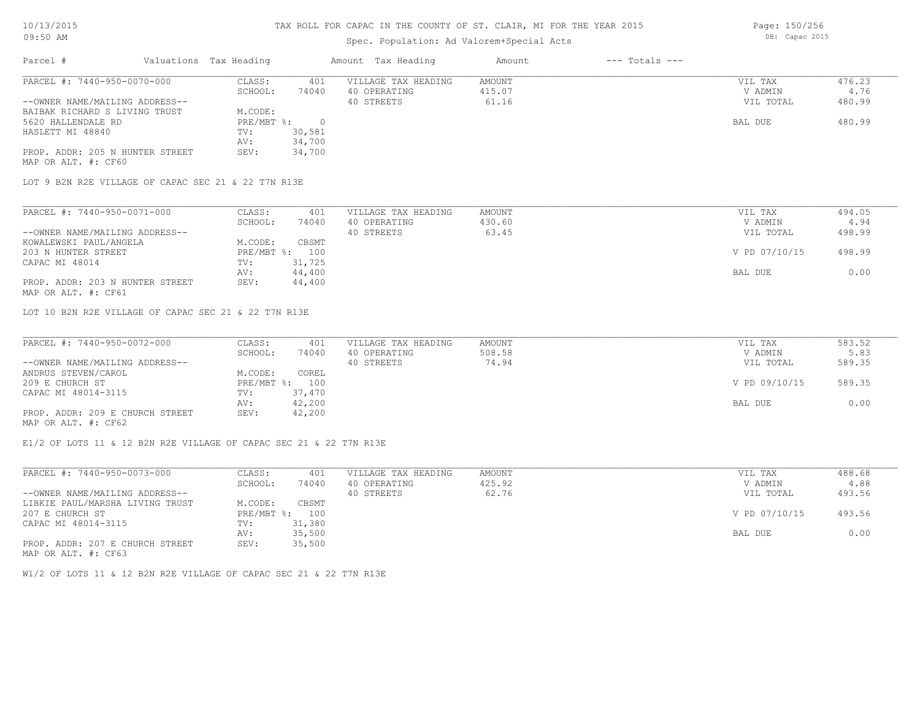## Spec. Population: Ad Valorem+Special Acts

Parcel # Valuations Tax Heading Amount Tax Heading Amount --- Totals ---MAP OR ALT. #: CF60 PROP. ADDR: 205 N HUNTER STREET SEV: 34,700 AV: 34,700 HASLETT MI 48840 TV: 30,581 5620 HALLENDALE RD PRE/MBT %: 0 BAL DUE 480.99 BAIBAK RICHARD S LIVING TRUST M.CODE: --OWNER NAME/MAILING ADDRESS-- 40 STREETS 61.16 VIL TOTAL 480.99 SCHOOL: 74040 40 OPERATING 415.07 415.07 ADMIN 4.76 PARCEL #: 7440-950-0070-000 CLASS: 401 VILLAGE TAX HEADING AMOUNT VIL TAX VIL TAX 476.23<br>SCHOOL: 74040 40 OPERATING 415.07 VADMIN 4.76  $\mathcal{L}_\mathcal{L} = \mathcal{L}_\mathcal{L} = \mathcal{L}_\mathcal{L} = \mathcal{L}_\mathcal{L} = \mathcal{L}_\mathcal{L} = \mathcal{L}_\mathcal{L} = \mathcal{L}_\mathcal{L} = \mathcal{L}_\mathcal{L} = \mathcal{L}_\mathcal{L} = \mathcal{L}_\mathcal{L} = \mathcal{L}_\mathcal{L} = \mathcal{L}_\mathcal{L} = \mathcal{L}_\mathcal{L} = \mathcal{L}_\mathcal{L} = \mathcal{L}_\mathcal{L} = \mathcal{L}_\mathcal{L} = \mathcal{L}_\mathcal{L}$ 

LOT 9 B2N R2E VILLAGE OF CAPAC SEC 21 & 22 T7N R13E

| PARCEL #: 7440-950-0071-000     | CLASS:  | 401            | VILLAGE TAX HEADING | AMOUNT | VIL TAX       | 494.05 |
|---------------------------------|---------|----------------|---------------------|--------|---------------|--------|
|                                 | SCHOOL: | 74040          | 40 OPERATING        | 430.60 | V ADMIN       | 4.94   |
| --OWNER NAME/MAILING ADDRESS--  |         |                | 40 STREETS          | 63.45  | VIL TOTAL     | 498.99 |
| KOWALEWSKI PAUL/ANGELA          | M.CODE: | CBSMT          |                     |        |               |        |
| 203 N HUNTER STREET             |         | PRE/MBT %: 100 |                     |        | V PD 07/10/15 | 498.99 |
| CAPAC MI 48014                  | TV:     | 31,725         |                     |        |               |        |
|                                 | AV:     | 44,400         |                     |        | BAL DUE       | 0.00   |
| PROP. ADDR: 203 N HUNTER STREET | SEV:    | 44,400         |                     |        |               |        |
| MAP OR ALT. #: CF61             |         |                |                     |        |               |        |

LOT 10 B2N R2E VILLAGE OF CAPAC SEC 21 & 22 T7N R13E

| PARCEL #: 7440-950-0072-000     | CLASS:  | 401            | VILLAGE TAX HEADING | AMOUNT | VIL TAX       | 583.52 |
|---------------------------------|---------|----------------|---------------------|--------|---------------|--------|
|                                 | SCHOOL: | 74040          | 40 OPERATING        | 508.58 | V ADMIN       | 5.83   |
| --OWNER NAME/MAILING ADDRESS--  |         |                | 40 STREETS          | 74.94  | VIL TOTAL     | 589.35 |
| ANDRUS STEVEN/CAROL             | M.CODE: | COREL          |                     |        |               |        |
| 209 E CHURCH ST                 |         | PRE/MBT %: 100 |                     |        | V PD 09/10/15 | 589.35 |
| CAPAC MI 48014-3115             | TV:     | 37,470         |                     |        |               |        |
|                                 | AV:     | 42,200         |                     |        | BAL DUE       | 0.00   |
| PROP. ADDR: 209 E CHURCH STREET | SEV:    | 42,200         |                     |        |               |        |
| MAP OR ALT. #: CF62             |         |                |                     |        |               |        |

E1/2 OF LOTS 11 & 12 B2N R2E VILLAGE OF CAPAC SEC 21 & 22 T7N R13E

| PARCEL #: 7440-950-0073-000     | CLASS:       | 401    | VILLAGE TAX HEADING | AMOUNT | VIL TAX       | 488.68 |
|---------------------------------|--------------|--------|---------------------|--------|---------------|--------|
|                                 | SCHOOL:      | 74040  | 40 OPERATING        | 425.92 | V ADMIN       | 4.88   |
| --OWNER NAME/MAILING ADDRESS--  |              |        | 40 STREETS          | 62.76  | VIL TOTAL     | 493.56 |
| LIBKIE PAUL/MARSHA LIVING TRUST | M.CODE:      | CBSMT  |                     |        |               |        |
| 207 E CHURCH ST                 | $PRE/MBT$ %: | 100    |                     |        | V PD 07/10/15 | 493.56 |
| CAPAC MI 48014-3115             | TV:          | 31,380 |                     |        |               |        |
|                                 | AV:          | 35,500 |                     |        | BAL DUE       | 0.00   |
| PROP. ADDR: 207 E CHURCH STREET | SEV:         | 35,500 |                     |        |               |        |
| MAP OR ALT. #: CF63             |              |        |                     |        |               |        |

W1/2 OF LOTS 11 & 12 B2N R2E VILLAGE OF CAPAC SEC 21 & 22 T7N R13E

Page: 150/256

DB: Capac 2015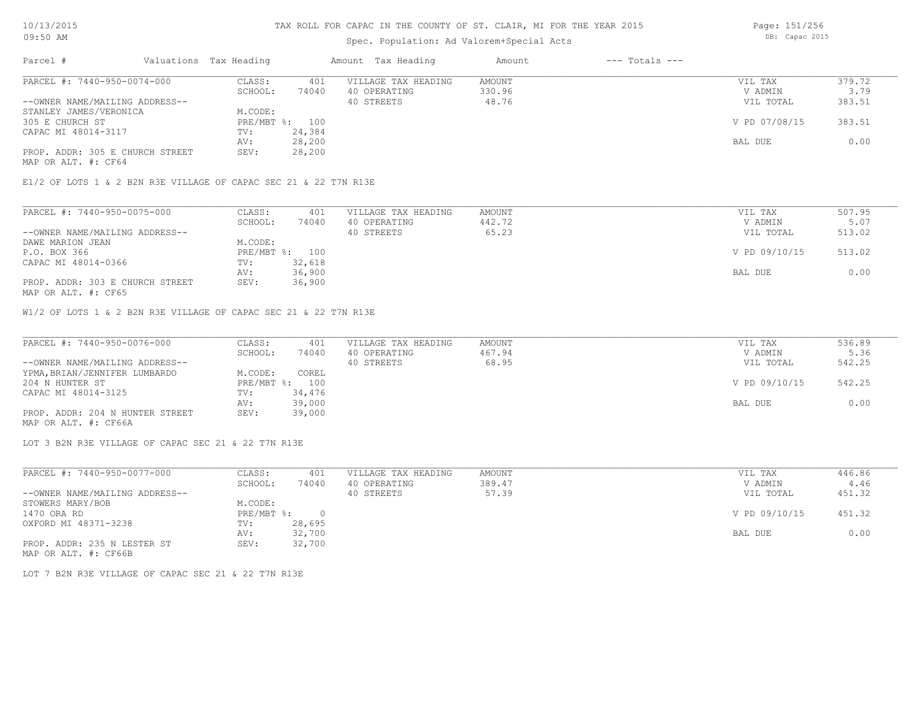# Spec. Population: Ad Valorem+Special Acts

| Parcel #                        | Valuations Tax Heading |                | Amount Tax Heading  | Amount | $---$ Totals $---$ |               |        |
|---------------------------------|------------------------|----------------|---------------------|--------|--------------------|---------------|--------|
| PARCEL #: 7440-950-0074-000     | CLASS:                 | 401            | VILLAGE TAX HEADING | AMOUNT |                    | VIL TAX       | 379.72 |
|                                 | SCHOOL:                | 74040          | 40 OPERATING        | 330.96 |                    | V ADMIN       | 3.79   |
| --OWNER NAME/MAILING ADDRESS--  |                        |                | 40 STREETS          | 48.76  |                    | VIL TOTAL     | 383.51 |
| STANLEY JAMES/VERONICA          | M.CODE:                |                |                     |        |                    |               |        |
| 305 E CHURCH ST                 |                        | PRE/MBT %: 100 |                     |        |                    | V PD 07/08/15 | 383.51 |
| CAPAC MI 48014-3117             | TV:                    | 24,384         |                     |        |                    |               |        |
|                                 | AV:                    | 28,200         |                     |        |                    | BAL DUE       | 0.00   |
| PROP. ADDR: 305 E CHURCH STREET | SEV:                   | 28,200         |                     |        |                    |               |        |
|                                 |                        |                |                     |        |                    |               |        |

MAP OR ALT. #: CF64

E1/2 OF LOTS 1 & 2 B2N R3E VILLAGE OF CAPAC SEC 21 & 22 T7N R13E

| PARCEL #: 7440-950-0075-000     | CLASS:  | 401            | VILLAGE TAX HEADING | AMOUNT | VIL TAX       | 507.95 |
|---------------------------------|---------|----------------|---------------------|--------|---------------|--------|
|                                 | SCHOOL: | 74040          | 40 OPERATING        | 442.72 | V ADMIN       | 5.07   |
| --OWNER NAME/MAILING ADDRESS--  |         |                | 40 STREETS          | 65.23  | VIL TOTAL     | 513.02 |
| DAWE MARION JEAN                | M.CODE: |                |                     |        |               |        |
| P.O. BOX 366                    |         | PRE/MBT %: 100 |                     |        | V PD 09/10/15 | 513.02 |
| CAPAC MI 48014-0366             | TV:     | 32,618         |                     |        |               |        |
|                                 | AV:     | 36,900         |                     |        | BAL DUE       | 0.00   |
| PROP. ADDR: 303 E CHURCH STREET | SEV:    | 36,900         |                     |        |               |        |
| MAP OR ALT. #: CF65             |         |                |                     |        |               |        |

W1/2 OF LOTS 1 & 2 B2N R3E VILLAGE OF CAPAC SEC 21 & 22 T7N R13E

| PARCEL #: 7440-950-0076-000     | CLASS:  | 401            | VILLAGE TAX HEADING | AMOUNT | VIL TAX       | 536.89 |
|---------------------------------|---------|----------------|---------------------|--------|---------------|--------|
|                                 | SCHOOL: | 74040          | 40 OPERATING        | 467.94 | V ADMIN       | 5.36   |
| --OWNER NAME/MAILING ADDRESS--  |         |                | 40 STREETS          | 68.95  | VIL TOTAL     | 542.25 |
| YPMA, BRIAN/JENNIFER LUMBARDO   | M.CODE: | COREL          |                     |        |               |        |
| 204 N HUNTER ST                 |         | PRE/MBT %: 100 |                     |        | V PD 09/10/15 | 542.25 |
| CAPAC MI 48014-3125             | TV:     | 34,476         |                     |        |               |        |
|                                 | AV:     | 39,000         |                     |        | BAL DUE       | 0.00   |
| PROP. ADDR: 204 N HUNTER STREET | SEV:    | 39,000         |                     |        |               |        |
| MAP OR ALT. #: CF66A            |         |                |                     |        |               |        |

LOT 3 B2N R3E VILLAGE OF CAPAC SEC 21 & 22 T7N R13E

| PARCEL #: 7440-950-0077-000    | CLASS:     | 401    | VILLAGE TAX HEADING | AMOUNT | VIL TAX       | 446.86 |
|--------------------------------|------------|--------|---------------------|--------|---------------|--------|
|                                | SCHOOL:    | 74040  | 40 OPERATING        | 389.47 | V ADMIN       | 4.46   |
| --OWNER NAME/MAILING ADDRESS-- |            |        | 40 STREETS          | 57.39  | VIL TOTAL     | 451.32 |
| STOWERS MARY/BOB               | M.CODE:    |        |                     |        |               |        |
| 1470 ORA RD                    | PRE/MBT %: |        |                     |        | V PD 09/10/15 | 451.32 |
| OXFORD MI 48371-3238           | TV:        | 28,695 |                     |        |               |        |
|                                | AV:        | 32,700 |                     |        | BAL DUE       | 0.00   |
| PROP. ADDR: 235 N LESTER ST    | SEV:       | 32,700 |                     |        |               |        |
| MAP OR ALT. #: CF66B           |            |        |                     |        |               |        |

LOT 7 B2N R3E VILLAGE OF CAPAC SEC 21 & 22 T7N R13E

Page: 151/256 DB: Capac 2015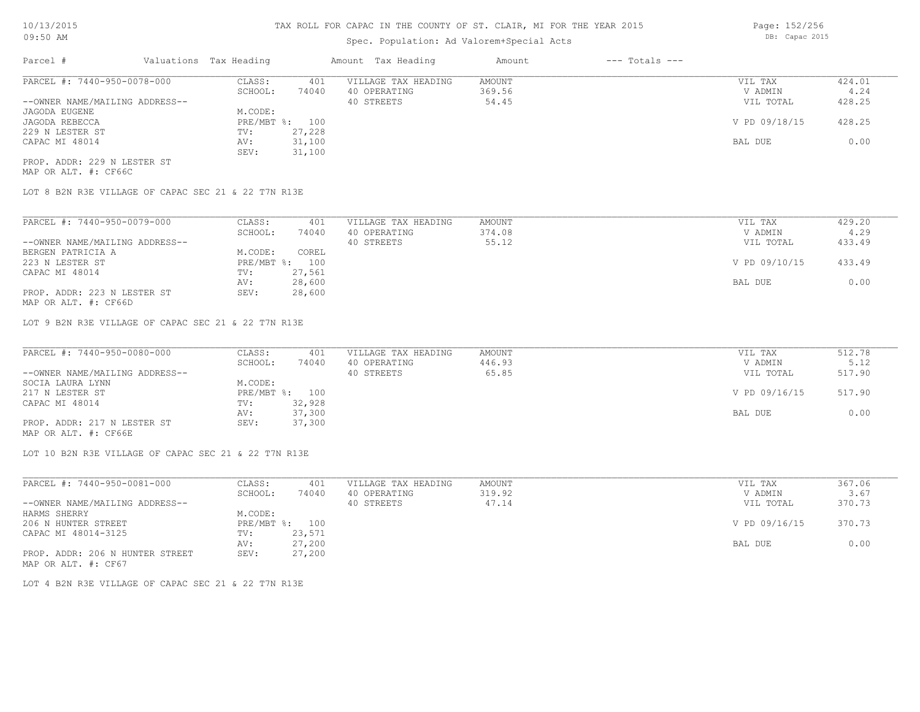# Spec. Population: Ad Valorem+Special Acts

| Parcel #                       | Valuations Tax Heading |        | Amount Tax Heading  | Amount | $---$ Totals $---$ |               |        |
|--------------------------------|------------------------|--------|---------------------|--------|--------------------|---------------|--------|
| PARCEL #: 7440-950-0078-000    | CLASS:                 | 401    | VILLAGE TAX HEADING | AMOUNT |                    | VIL TAX       | 424.01 |
|                                | SCHOOL:                | 74040  | 40 OPERATING        | 369.56 |                    | V ADMIN       | 4.24   |
| --OWNER NAME/MAILING ADDRESS-- |                        |        | 40 STREETS          | 54.45  |                    | VIL TOTAL     | 428.25 |
| JAGODA EUGENE                  | M.CODE:                |        |                     |        |                    |               |        |
| JAGODA REBECCA                 | PRE/MBT %: 100         |        |                     |        |                    | V PD 09/18/15 | 428.25 |
| 229 N LESTER ST                | TV:                    | 27,228 |                     |        |                    |               |        |
| CAPAC MI 48014                 | AV:                    | 31,100 |                     |        |                    | BAL DUE       | 0.00   |
|                                | SEV:                   | 31,100 |                     |        |                    |               |        |
| PROP. ADDR: 229 N LESTER ST    |                        |        |                     |        |                    |               |        |

MAP OR ALT. #: CF66C

LOT 8 B2N R3E VILLAGE OF CAPAC SEC 21 & 22 T7N R13E

| PARCEL #: 7440-950-0079-000    | CLASS:         | 401    | VILLAGE TAX HEADING | AMOUNT | VIL TAX       | 429.20 |
|--------------------------------|----------------|--------|---------------------|--------|---------------|--------|
|                                | SCHOOL:        | 74040  | 40 OPERATING        | 374.08 | V ADMIN       | 4.29   |
| --OWNER NAME/MAILING ADDRESS-- |                |        | 40 STREETS          | 55.12  | VIL TOTAL     | 433.49 |
| BERGEN PATRICIA A              | M.CODE:        | COREL  |                     |        |               |        |
| 223 N LESTER ST                | PRE/MBT %: 100 |        |                     |        | V PD 09/10/15 | 433.49 |
| CAPAC MI 48014                 | TV:            | 27,561 |                     |        |               |        |
|                                | AV:            | 28,600 |                     |        | BAL DUE       | 0.00   |
| PROP. ADDR: 223 N LESTER ST    | SEV:           | 28,600 |                     |        |               |        |

MAP OR ALT. #: CF66D

LOT 9 B2N R3E VILLAGE OF CAPAC SEC 21 & 22 T7N R13E

| PARCEL #: 7440-950-0080-000    | CLASS:         | 401    | VILLAGE TAX HEADING | AMOUNT | VIL TAX       | 512.78 |
|--------------------------------|----------------|--------|---------------------|--------|---------------|--------|
|                                | SCHOOL:        | 74040  | 40 OPERATING        | 446.93 | V ADMIN       | 5.12   |
| --OWNER NAME/MAILING ADDRESS-- |                |        | 40 STREETS          | 65.85  | VIL TOTAL     | 517.90 |
| SOCIA LAURA LYNN               | M.CODE:        |        |                     |        |               |        |
| 217 N LESTER ST                | PRE/MBT %: 100 |        |                     |        | V PD 09/16/15 | 517.90 |
| CAPAC MI 48014                 | TV:            | 32,928 |                     |        |               |        |
|                                | AV:            | 37,300 |                     |        | BAL DUE       | 0.00   |
| PROP. ADDR: 217 N LESTER ST    | SEV:           | 37,300 |                     |        |               |        |
|                                |                |        |                     |        |               |        |

MAP OR ALT. #: CF66E

LOT 10 B2N R3E VILLAGE OF CAPAC SEC 21 & 22 T7N R13E

| PARCEL #: 7440-950-0081-000     | CLASS:  | 401            | VILLAGE TAX HEADING | AMOUNT | VIL TAX       | 367.06 |
|---------------------------------|---------|----------------|---------------------|--------|---------------|--------|
|                                 | SCHOOL: | 74040          | 40 OPERATING        | 319.92 | V ADMIN       | 3.67   |
| --OWNER NAME/MAILING ADDRESS--  |         |                | 40 STREETS          | 47.14  | VIL TOTAL     | 370.73 |
| HARMS SHERRY                    | M.CODE: |                |                     |        |               |        |
| 206 N HUNTER STREET             |         | PRE/MBT %: 100 |                     |        | V PD 09/16/15 | 370.73 |
| CAPAC MI 48014-3125             | TV:     | 23,571         |                     |        |               |        |
|                                 | AV:     | 27,200         |                     |        | BAL DUE       | 0.00   |
| PROP. ADDR: 206 N HUNTER STREET | SEV:    | 27,200         |                     |        |               |        |
| MAP OR ALT. #: CF67             |         |                |                     |        |               |        |

LOT 4 B2N R3E VILLAGE OF CAPAC SEC 21 & 22 T7N R13E

Page: 152/256 DB: Capac 2015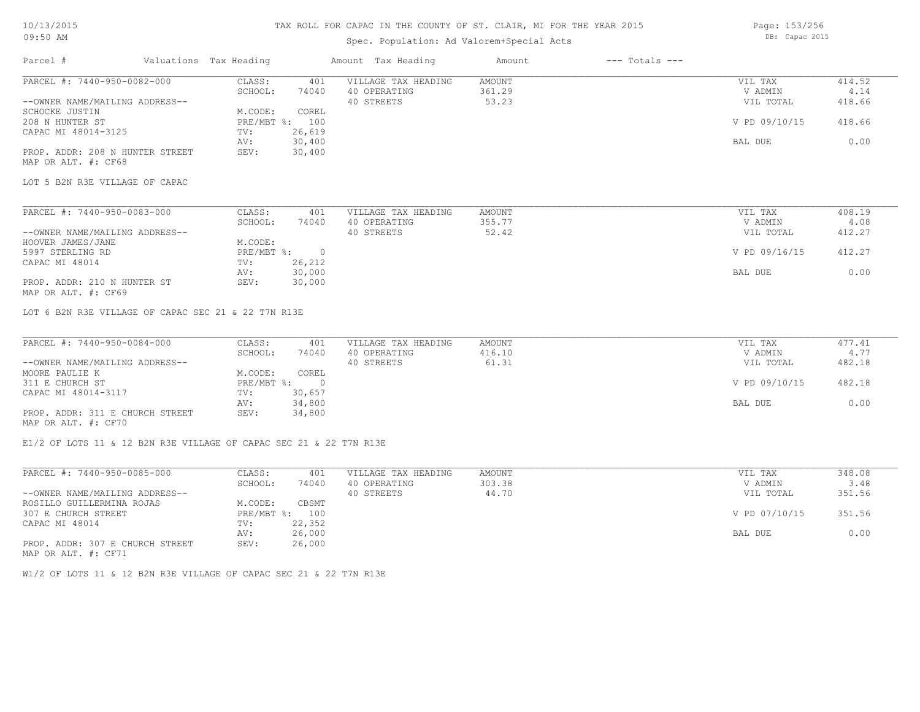## Spec. Population: Ad Valorem+Special Acts

Page: 153/256 DB: Capac 2015

| Parcel #                        | Valuations Tax Heading |                | Amount Tax Heading  | Amount | $---$ Totals $---$ |               |        |
|---------------------------------|------------------------|----------------|---------------------|--------|--------------------|---------------|--------|
| PARCEL #: 7440-950-0082-000     | CLASS:                 | 401            | VILLAGE TAX HEADING | AMOUNT |                    | VIL TAX       | 414.52 |
|                                 | SCHOOL:                | 74040          | 40 OPERATING        | 361.29 |                    | V ADMIN       | 4.14   |
| --OWNER NAME/MAILING ADDRESS--  |                        |                | 40 STREETS          | 53.23  |                    | VIL TOTAL     | 418.66 |
| SCHOCKE JUSTIN                  | M.CODE:                | COREL          |                     |        |                    |               |        |
| 208 N HUNTER ST                 |                        | PRE/MBT %: 100 |                     |        |                    | V PD 09/10/15 | 418.66 |
| CAPAC MI 48014-3125             | TV:                    | 26,619         |                     |        |                    |               |        |
|                                 | AV:                    | 30,400         |                     |        |                    | BAL DUE       | 0.00   |
| PROP. ADDR: 208 N HUNTER STREET | SEV:                   | 30,400         |                     |        |                    |               |        |
| MAP OR ALT. #: CF68             |                        |                |                     |        |                    |               |        |
| LOT 5 B2N R3E VILLAGE OF CAPAC  |                        |                |                     |        |                    |               |        |
|                                 |                        |                |                     |        |                    |               |        |

| PARCEL #: 7440-950-0083-000    | CLASS:     | 401    | VILLAGE TAX HEADING | AMOUNT | VIL TAX       | 408.19 |
|--------------------------------|------------|--------|---------------------|--------|---------------|--------|
|                                | SCHOOL:    | 74040  | 40 OPERATING        | 355.77 | V ADMIN       | 4.08   |
| --OWNER NAME/MAILING ADDRESS-- |            |        | 40 STREETS          | 52.42  | VIL TOTAL     | 412.27 |
| HOOVER JAMES/JANE              | M.CODE:    |        |                     |        |               |        |
| 5997 STERLING RD               | PRE/MBT %: |        |                     |        | V PD 09/16/15 | 412.27 |
| CAPAC MI 48014                 | TV:        | 26,212 |                     |        |               |        |
|                                | AV:        | 30,000 |                     |        | BAL DUE       | 0.00   |
| PROP. ADDR: 210 N HUNTER ST    | SEV:       | 30,000 |                     |        |               |        |
| MAP OR ALT. #: CF69            |            |        |                     |        |               |        |

LOT 6 B2N R3E VILLAGE OF CAPAC SEC 21 & 22 T7N R13E

| PARCEL #: 7440-950-0084-000     | CLASS:     | 401    | VILLAGE TAX HEADING | AMOUNT | VIL TAX       | 477.41 |
|---------------------------------|------------|--------|---------------------|--------|---------------|--------|
|                                 | SCHOOL:    | 74040  | 40 OPERATING        | 416.10 | V ADMIN       | 4.77   |
| --OWNER NAME/MAILING ADDRESS--  |            |        | 40 STREETS          | 61.31  | VIL TOTAL     | 482.18 |
| MOORE PAULIE K                  | M.CODE:    | COREL  |                     |        |               |        |
| 311 E CHURCH ST                 | PRE/MBT %: |        |                     |        | V PD 09/10/15 | 482.18 |
| CAPAC MI 48014-3117             | TV:        | 30,657 |                     |        |               |        |
|                                 | AV:        | 34,800 |                     |        | BAL DUE       | 0.00   |
| PROP. ADDR: 311 E CHURCH STREET | SEV:       | 34,800 |                     |        |               |        |
| MAP OR ALT. #: CF70             |            |        |                     |        |               |        |

E1/2 OF LOTS 11 & 12 B2N R3E VILLAGE OF CAPAC SEC 21 & 22 T7N R13E

| PARCEL #: 7440-950-0085-000                      | CLASS:     | 401    | VILLAGE TAX HEADING | AMOUNT | VIL TAX       | 348.08 |
|--------------------------------------------------|------------|--------|---------------------|--------|---------------|--------|
|                                                  | SCHOOL:    | 74040  | 40 OPERATING        | 303.38 | V ADMIN       | 3.48   |
| --OWNER NAME/MAILING ADDRESS--                   |            |        | 40 STREETS          | 44.70  | VIL TOTAL     | 351.56 |
| ROSILLO GUILLERMINA ROJAS                        | M.CODE:    | CBSMT  |                     |        |               |        |
| 307 E CHURCH STREET                              | PRE/MBT %: | 100    |                     |        | V PD 07/10/15 | 351.56 |
| CAPAC MI 48014                                   | TV:        | 22,352 |                     |        |               |        |
|                                                  | AV:        | 26,000 |                     |        | BAL DUE       | 0.00   |
| PROP. ADDR: 307 E CHURCH STREET<br>$\frac{1}{2}$ | SEV:       | 26,000 |                     |        |               |        |

MAP OR ALT. #: CF71

W1/2 OF LOTS 11 & 12 B2N R3E VILLAGE OF CAPAC SEC 21 & 22 T7N R13E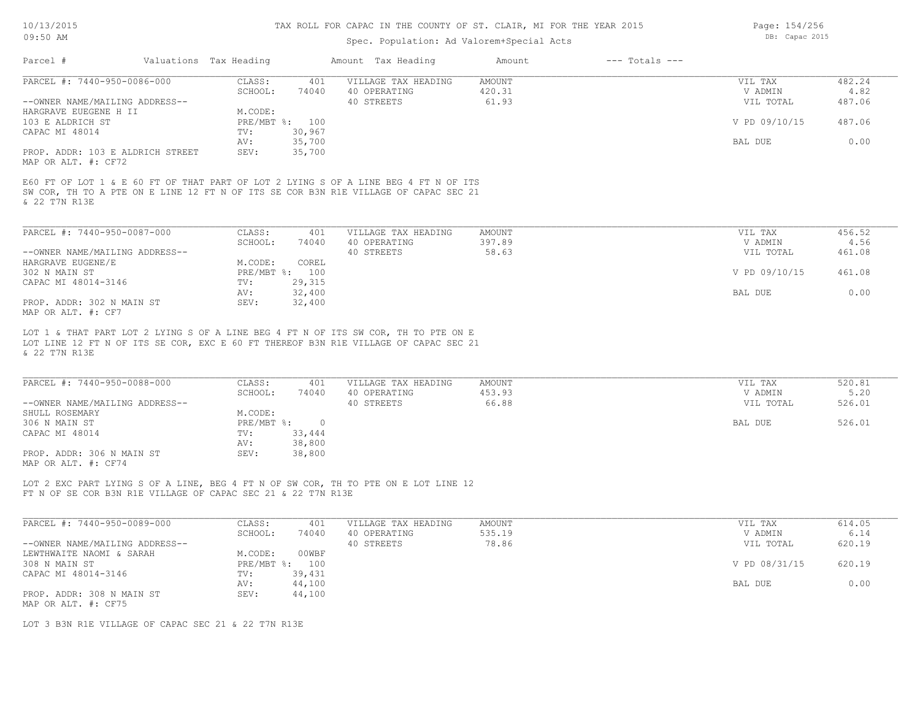# Spec. Population: Ad Valorem+Special Acts

|                                                         |                        |                | Open. Lopalacion. Na valorem openial need                                                                                                                                 |        |                    |               |        |
|---------------------------------------------------------|------------------------|----------------|---------------------------------------------------------------------------------------------------------------------------------------------------------------------------|--------|--------------------|---------------|--------|
| Parcel #                                                | Valuations Tax Heading |                | Amount Tax Heading                                                                                                                                                        | Amount | $---$ Totals $---$ |               |        |
| PARCEL #: 7440-950-0086-000                             | CLASS:                 | 401            | VILLAGE TAX HEADING                                                                                                                                                       | AMOUNT |                    | VIL TAX       | 482.24 |
|                                                         | SCHOOL:                | 74040          | 40 OPERATING                                                                                                                                                              | 420.31 |                    | V ADMIN       | 4.82   |
| --OWNER NAME/MAILING ADDRESS--                          |                        |                | 40 STREETS                                                                                                                                                                | 61.93  |                    | VIL TOTAL     | 487.06 |
| HARGRAVE EUEGENE H II                                   | M.CODE:                |                |                                                                                                                                                                           |        |                    |               |        |
| 103 E ALDRICH ST                                        |                        | PRE/MBT %: 100 |                                                                                                                                                                           |        |                    | V PD 09/10/15 | 487.06 |
| CAPAC MI 48014                                          | TV:                    | 30,967         |                                                                                                                                                                           |        |                    |               |        |
|                                                         | AV:                    | 35,700         |                                                                                                                                                                           |        |                    | BAL DUE       | 0.00   |
| PROP. ADDR: 103 E ALDRICH STREET<br>MAP OR ALT. #: CF72 | SEV:                   | 35,700         |                                                                                                                                                                           |        |                    |               |        |
| & 22 T7N R13E                                           |                        |                | SW COR, TH TO A PTE ON E LINE 12 FT N OF ITS SE COR B3N R1E VILLAGE OF CAPAC SEC 21                                                                                       |        |                    |               |        |
| PARCEL #: 7440-950-0087-000                             | CLASS:                 | 401            | VILLAGE TAX HEADING                                                                                                                                                       | AMOUNT |                    | VIL TAX       | 456.52 |
|                                                         | SCHOOL:                | 74040          | 40 OPERATING                                                                                                                                                              | 397.89 |                    | V ADMIN       | 4.56   |
| --OWNER NAME/MAILING ADDRESS--                          |                        |                | 40 STREETS                                                                                                                                                                | 58.63  |                    | VIL TOTAL     | 461.08 |
| HARGRAVE EUGENE/E                                       | M.CODE:                | COREL          |                                                                                                                                                                           |        |                    |               |        |
| 302 N MAIN ST                                           |                        | PRE/MBT %: 100 |                                                                                                                                                                           |        |                    | V PD 09/10/15 | 461.08 |
| CAPAC MI 48014-3146                                     | TV:                    | 29,315         |                                                                                                                                                                           |        |                    |               |        |
|                                                         | AV:                    | 32,400         |                                                                                                                                                                           |        |                    | BAL DUE       | 0.00   |
| PROP. ADDR: 302 N MAIN ST                               | SEV:                   | 32,400         |                                                                                                                                                                           |        |                    |               |        |
| MAP OR ALT. #: CF7                                      |                        |                |                                                                                                                                                                           |        |                    |               |        |
| & 22 T7N R13E                                           |                        |                | LOT 1 & THAT PART LOT 2 LYING S OF A LINE BEG 4 FT N OF ITS SW COR, TH TO PTE ON E<br>LOT LINE 12 FT N OF ITS SE COR, EXC E 60 FT THEREOF B3N R1E VILLAGE OF CAPAC SEC 21 |        |                    |               |        |
| PARCEL #: 7440-950-0088-000                             | CLASS:                 | 401            | VILLAGE TAX HEADING                                                                                                                                                       | AMOUNT |                    | VIL TAX       | 520.81 |
|                                                         | SCHOOL:                | 74040          | 40 OPERATING                                                                                                                                                              | 453.93 |                    | V ADMIN       | 5.20   |
| --OWNER NAME/MAILING ADDRESS--                          |                        |                | 40 STREETS                                                                                                                                                                | 66.88  |                    | VIL TOTAL     | 526.01 |
| SHULL ROSEMARY                                          | M.CODE:                |                |                                                                                                                                                                           |        |                    |               |        |
| 306 N MAIN ST                                           |                        | PRE/MBT %: 0   |                                                                                                                                                                           |        |                    | BAL DUE       | 526.01 |
| CAPAC MI 48014                                          | TV:                    | 33,444         |                                                                                                                                                                           |        |                    |               |        |
|                                                         | AV:                    | 38,800         |                                                                                                                                                                           |        |                    |               |        |
| PROP. ADDR: 306 N MAIN ST<br>MAP OR ALT. #: CF74        | SEV:                   | 38,800         |                                                                                                                                                                           |        |                    |               |        |

FT N OF SE COR B3N R1E VILLAGE OF CAPAC SEC 21 & 22 T7N R13E LOT 2 EXC PART LYING S OF A LINE, BEG 4 FT N OF SW COR, TH TO PTE ON E LOT LINE 12

| PARCEL #: 7440-950-0089-000    | CLASS:       | 401    | VILLAGE TAX HEADING | AMOUNT | VIL TAX       | 614.05 |
|--------------------------------|--------------|--------|---------------------|--------|---------------|--------|
|                                | SCHOOL:      | 74040  | 40 OPERATING        | 535.19 | V ADMIN       | 6.14   |
| --OWNER NAME/MAILING ADDRESS-- |              |        | 40 STREETS          | 78.86  | VIL TOTAL     | 620.19 |
| LEWTHWAITE NAOMI & SARAH       | M.CODE:      | 00WBF  |                     |        |               |        |
| 308 N MAIN ST                  | $PRE/MBT$ %: | 100    |                     |        | V PD 08/31/15 | 620.19 |
| CAPAC MI 48014-3146            | TV:          | 39,431 |                     |        |               |        |
|                                | AV:          | 44,100 |                     |        | BAL DUE       | 0.00   |
| PROP. ADDR: 308 N MAIN ST      | SEV:         | 44,100 |                     |        |               |        |
| MAP OR ALT. #: CF75            |              |        |                     |        |               |        |

LOT 3 B3N R1E VILLAGE OF CAPAC SEC 21 & 22 T7N R13E

Page: 154/256 DB: Capac 2015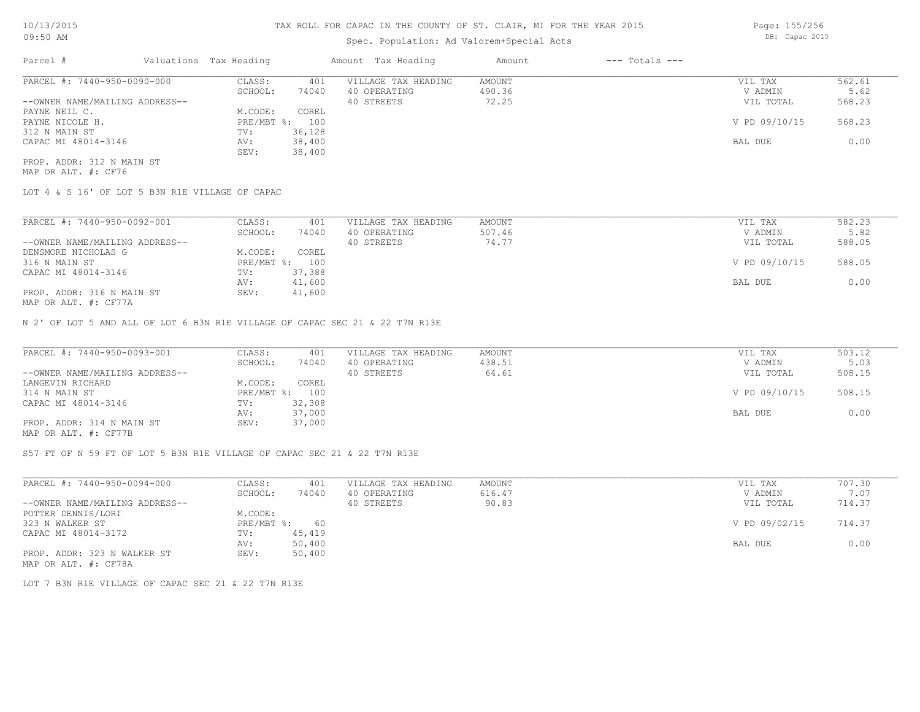# Spec. Population: Ad Valorem+Special Acts

| Parcel #                       | Valuations Tax Heading |        | Amount Tax Heading  | Amount | $---$ Totals $---$ |               |        |
|--------------------------------|------------------------|--------|---------------------|--------|--------------------|---------------|--------|
| PARCEL #: 7440-950-0090-000    | CLASS:                 | 401    | VILLAGE TAX HEADING | AMOUNT |                    | VIL TAX       | 562.61 |
|                                | SCHOOL:                | 74040  | 40 OPERATING        | 490.36 |                    | V ADMIN       | 5.62   |
| --OWNER NAME/MAILING ADDRESS-- |                        |        | 40 STREETS          | 72.25  |                    | VIL TOTAL     | 568.23 |
| PAYNE NEIL C.                  | M.CODE:                | COREL  |                     |        |                    |               |        |
| PAYNE NICOLE H.                | $PRE/MBT$ %:           | 100    |                     |        |                    | V PD 09/10/15 | 568.23 |
| 312 N MAIN ST                  | TV:                    | 36,128 |                     |        |                    |               |        |
| CAPAC MI 48014-3146            | AV:                    | 38,400 |                     |        |                    | BAL DUE       | 0.00   |
|                                | SEV:                   | 38,400 |                     |        |                    |               |        |
| PROP. ADDR: 312 N MAIN ST      |                        |        |                     |        |                    |               |        |

MAP OR ALT. #: CF76

LOT 4 & S 16' OF LOT 5 B3N R1E VILLAGE OF CAPAC

| PARCEL #: 7440-950-0092-001                                                                                                                                                                    | CLASS:     | 401    | VILLAGE TAX HEADING | AMOUNT | VIL TAX       | 582.23 |
|------------------------------------------------------------------------------------------------------------------------------------------------------------------------------------------------|------------|--------|---------------------|--------|---------------|--------|
|                                                                                                                                                                                                | SCHOOL:    | 74040  | 40 OPERATING        | 507.46 | V ADMIN       | 5.82   |
| --OWNER NAME/MAILING ADDRESS--                                                                                                                                                                 |            |        | 40 STREETS          | 74.77  | VIL TOTAL     | 588.05 |
| DENSMORE NICHOLAS G                                                                                                                                                                            | M.CODE:    | COREL  |                     |        |               |        |
| 316 N MAIN ST                                                                                                                                                                                  | PRE/MBT %: | 100    |                     |        | V PD 09/10/15 | 588.05 |
| CAPAC MI 48014-3146                                                                                                                                                                            | TV:        | 37,388 |                     |        |               |        |
|                                                                                                                                                                                                | AV:        | 41,600 |                     |        | BAL DUE       | 0.00   |
| PROP. ADDR: 316 N MAIN ST<br>$\overline{1110}$ $\overline{25}$ $\overline{25}$ $\overline{25}$ $\overline{21}$ $\overline{21}$ $\overline{21}$ $\overline{21}$ $\overline{21}$ $\overline{21}$ | SEV:       | 41,600 |                     |        |               |        |

MAP OR ALT. #: CF77A

N 2' OF LOT 5 AND ALL OF LOT 6 B3N R1E VILLAGE OF CAPAC SEC 21 & 22 T7N R13E

| PARCEL #: 7440-950-0093-001                           | CLASS:  | 401            | VILLAGE TAX HEADING | AMOUNT | VIL TAX       | 503.12 |
|-------------------------------------------------------|---------|----------------|---------------------|--------|---------------|--------|
|                                                       | SCHOOL: | 74040          | 40 OPERATING        | 438.51 | V ADMIN       | 5.03   |
| --OWNER NAME/MAILING ADDRESS--                        |         |                | 40 STREETS          | 64.61  | VIL TOTAL     | 508.15 |
| LANGEVIN RICHARD                                      | M.CODE: | COREL          |                     |        |               |        |
| 314 N MAIN ST                                         |         | PRE/MBT %: 100 |                     |        | V PD 09/10/15 | 508.15 |
| CAPAC MI 48014-3146                                   | TV:     | 32,308         |                     |        |               |        |
|                                                       | AV:     | 37,000         |                     |        | BAL DUE       | 0.00   |
| PROP. ADDR: 314 N MAIN ST                             | SEV:    | 37,000         |                     |        |               |        |
| $\cdots$ $\cdots$ $\cdots$ $\cdots$ $\cdots$ $\cdots$ |         |                |                     |        |               |        |

MAP OR ALT. #: CF77B

S57 FT OF N 59 FT OF LOT 5 B3N R1E VILLAGE OF CAPAC SEC 21 & 22 T7N R13E

| PARCEL #: 7440-950-0094-000    | CLASS:       | 401    | VILLAGE TAX HEADING | AMOUNT | VIL TAX       | 707.30 |
|--------------------------------|--------------|--------|---------------------|--------|---------------|--------|
|                                | SCHOOL:      | 74040  | 40 OPERATING        | 616.47 | V ADMIN       | 7.07   |
| --OWNER NAME/MAILING ADDRESS-- |              |        | 40 STREETS          | 90.83  | VIL TOTAL     | 714.37 |
| POTTER DENNIS/LORI             | M.CODE:      |        |                     |        |               |        |
| 323 N WALKER ST                | $PRE/MBT$ %: | 60     |                     |        | V PD 09/02/15 | 714.37 |
| CAPAC MI 48014-3172            | TV:          | 45,419 |                     |        |               |        |
|                                | AV:          | 50,400 |                     |        | BAL DUE       | 0.00   |
| PROP. ADDR: 323 N WALKER ST    | SEV:         | 50,400 |                     |        |               |        |
| MAP OR ALT. #: CF78A           |              |        |                     |        |               |        |

LOT 7 B3N R1E VILLAGE OF CAPAC SEC 21 & 22 T7N R13E

Page: 155/256 DB: Capac 2015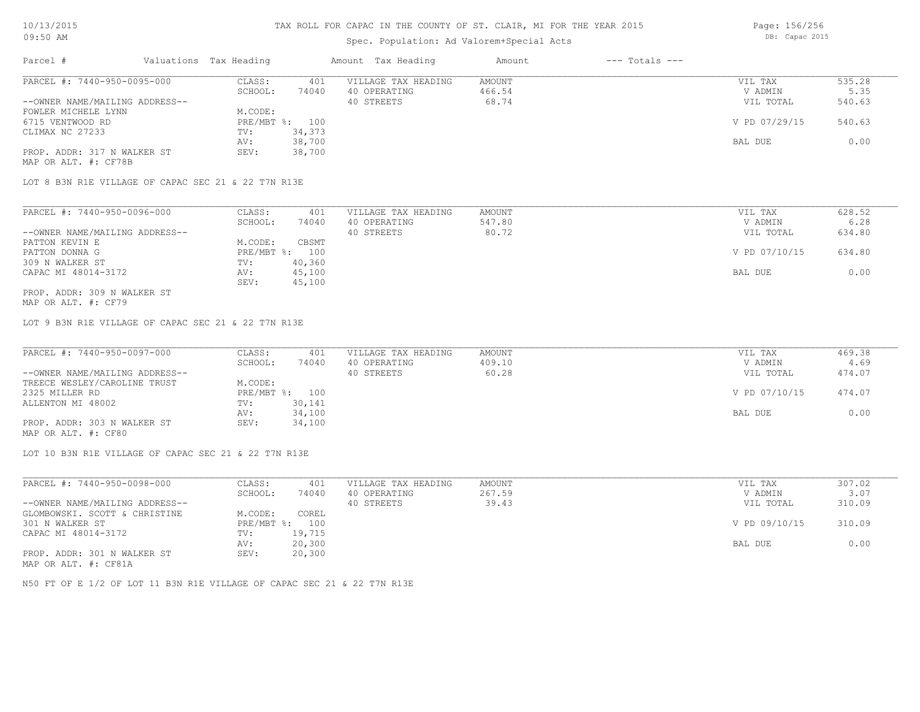# Spec. Population: Ad Valorem+Special Acts

|                                |         |                        |                     | Amount             | $---$ Totals $---$ |               |        |
|--------------------------------|---------|------------------------|---------------------|--------------------|--------------------|---------------|--------|
| PARCEL #: 7440-950-0095-000    | CLASS:  | 401                    | VILLAGE TAX HEADING | AMOUNT             |                    | VIL TAX       | 535.28 |
|                                | SCHOOL: | 74040                  | 40 OPERATING        | 466.54             |                    | V ADMIN       | 5.35   |
| --OWNER NAME/MAILING ADDRESS-- |         |                        | 40 STREETS          | 68.74              |                    | VIL TOTAL     | 540.63 |
| FOWLER MICHELE LYNN            | M.CODE: |                        |                     |                    |                    |               |        |
|                                |         |                        |                     |                    |                    | V PD 07/29/15 | 540.63 |
|                                | TV:     | 34,373                 |                     |                    |                    |               |        |
|                                | AV:     | 38,700                 |                     |                    |                    | BAL DUE       | 0.00   |
|                                |         | Valuations Tax Heading | PRE/MBT %: 100      | Amount Tax Heading |                    |               |        |

LOT 8 B3N R1E VILLAGE OF CAPAC SEC 21 & 22 T7N R13E

PROP. ADDR: 317 N WALKER ST SEV: 38,700

| PARCEL #: 7440-950-0096-000    | CLASS:  | 401            | VILLAGE TAX HEADING | AMOUNT | VIL TAX       | 628.52 |
|--------------------------------|---------|----------------|---------------------|--------|---------------|--------|
|                                | SCHOOL: | 74040          | 40 OPERATING        | 547.80 | V ADMIN       | 6.28   |
| --OWNER NAME/MAILING ADDRESS-- |         |                | 40 STREETS          | 80.72  | VIL TOTAL     | 634.80 |
| PATTON KEVIN E                 | M.CODE: | CBSMT          |                     |        |               |        |
| PATTON DONNA G                 |         | PRE/MBT %: 100 |                     |        | V PD 07/10/15 | 634.80 |
| 309 N WALKER ST                | TV:     | 40,360         |                     |        |               |        |
| CAPAC MI 48014-3172            | AV:     | 45,100         |                     |        | BAL DUE       | 0.00   |
|                                | SEV:    | 45,100         |                     |        |               |        |
| PROP. ADDR: 309 N WALKER ST    |         |                |                     |        |               |        |

MAP OR ALT. #: CF79

MAP OR ALT. #: CF78B

LOT 9 B3N R1E VILLAGE OF CAPAC SEC 21 & 22 T7N R13E

| PARCEL #: 7440-950-0097-000    | CLASS:  | 401            | VILLAGE TAX HEADING | AMOUNT | VIL TAX       | 469.38 |
|--------------------------------|---------|----------------|---------------------|--------|---------------|--------|
|                                | SCHOOL: | 74040          | 40 OPERATING        | 409.10 | V ADMIN       | 4.69   |
| --OWNER NAME/MAILING ADDRESS-- |         |                | 40 STREETS          | 60.28  | VIL TOTAL     | 474.07 |
| TREECE WESLEY/CAROLINE TRUST   | M.CODE: |                |                     |        |               |        |
| 2325 MILLER RD                 |         | PRE/MBT %: 100 |                     |        | V PD 07/10/15 | 474.07 |
| ALLENTON MI 48002              | TV:     | 30,141         |                     |        |               |        |
|                                | AV:     | 34,100         |                     |        | BAL DUE       | 0.00   |
| PROP. ADDR: 303 N WALKER ST    | SEV:    | 34,100         |                     |        |               |        |
| MAP OR ALT. #: CF80            |         |                |                     |        |               |        |

LOT 10 B3N R1E VILLAGE OF CAPAC SEC 21 & 22 T7N R13E

| PARCEL #: 7440-950-0098-000    | CLASS:  | 401            | VILLAGE TAX HEADING | AMOUNT | VIL TAX       | 307.02 |
|--------------------------------|---------|----------------|---------------------|--------|---------------|--------|
|                                | SCHOOL: | 74040          | 40 OPERATING        | 267.59 | V ADMIN       | 3.07   |
| --OWNER NAME/MAILING ADDRESS-- |         |                | 40 STREETS          | 39.43  | VIL TOTAL     | 310.09 |
| GLOMBOWSKI. SCOTT & CHRISTINE  | M.CODE: | COREL          |                     |        |               |        |
| 301 N WALKER ST                |         | PRE/MBT %: 100 |                     |        | V PD 09/10/15 | 310.09 |
| CAPAC MI 48014-3172            | TV:     | 19,715         |                     |        |               |        |
|                                | AV:     | 20,300         |                     |        | BAL DUE       | 0.00   |
| PROP. ADDR: 301 N WALKER ST    | SEV:    | 20,300         |                     |        |               |        |
| MAP OR ALT. #: CF81A           |         |                |                     |        |               |        |

N50 FT OF E 1/2 OF LOT 11 B3N R1E VILLAGE OF CAPAC SEC 21 & 22 T7N R13E

Page: 156/256 DB: Capac 2015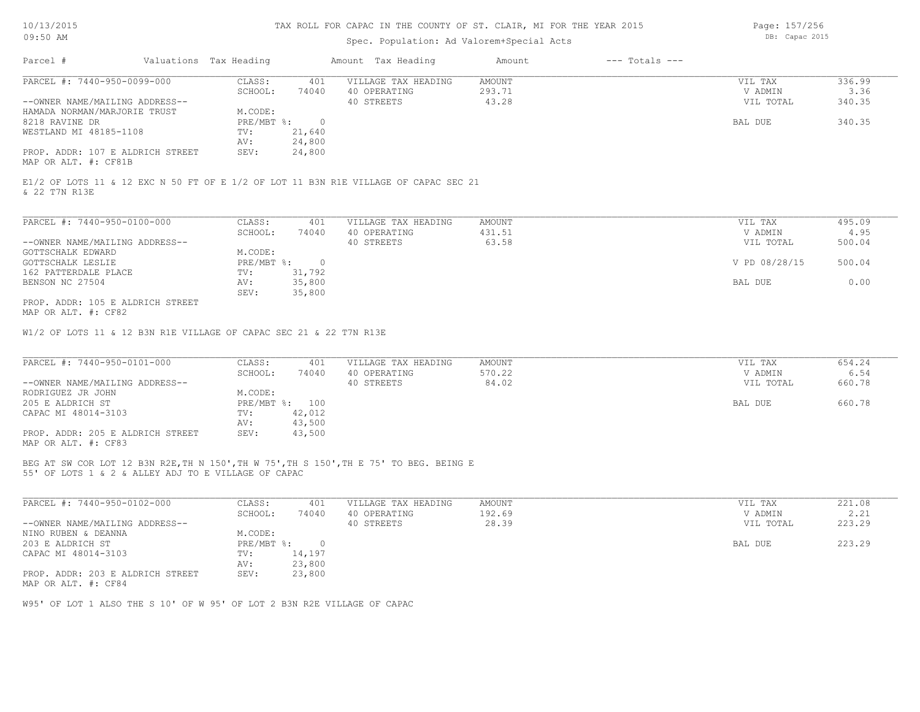# Spec. Population: Ad Valorem+Special Acts

Page: 157/256 DB: Capac 2015

| Parcel #                         | Valuations Tax Heading |        | Amount Tax Heading  | Amount | $---$ Totals $---$ |           |        |
|----------------------------------|------------------------|--------|---------------------|--------|--------------------|-----------|--------|
| PARCEL #: 7440-950-0099-000      | CLASS:                 | 401    | VILLAGE TAX HEADING | AMOUNT |                    | VIL TAX   | 336.99 |
|                                  | SCHOOL:                | 74040  | 40 OPERATING        | 293.71 |                    | V ADMIN   | 3.36   |
| --OWNER NAME/MAILING ADDRESS--   |                        |        | 40 STREETS          | 43.28  |                    | VIL TOTAL | 340.35 |
| HAMADA NORMAN/MARJORIE TRUST     | M.CODE:                |        |                     |        |                    |           |        |
| 8218 RAVINE DR                   | PRE/MBT %:             |        |                     |        |                    | BAL DUE   | 340.35 |
| WESTLAND MI 48185-1108           | TV:                    | 21,640 |                     |        |                    |           |        |
|                                  | AV:                    | 24,800 |                     |        |                    |           |        |
| PROP. ADDR: 107 E ALDRICH STREET | SEV:                   | 24,800 |                     |        |                    |           |        |
| MAP OR ALT. #: CF81B             |                        |        |                     |        |                    |           |        |

& 22 T7N R13E E1/2 OF LOTS 11 & 12 EXC N 50 FT OF E 1/2 OF LOT 11 B3N R1E VILLAGE OF CAPAC SEC 21

| PARCEL #: 7440-950-0100-000      | CLASS:     | 401    | VILLAGE TAX HEADING | AMOUNT | VIL TAX       | 495.09 |
|----------------------------------|------------|--------|---------------------|--------|---------------|--------|
|                                  | SCHOOL:    | 74040  | 40 OPERATING        | 431.51 | V ADMIN       | 4.95   |
| --OWNER NAME/MAILING ADDRESS--   |            |        | 40 STREETS          | 63.58  | VIL TOTAL     | 500.04 |
| GOTTSCHALK EDWARD                | M.CODE:    |        |                     |        |               |        |
| GOTTSCHALK LESLIE                | PRE/MBT %: |        |                     |        | V PD 08/28/15 | 500.04 |
| 162 PATTERDALE PLACE             | TV:        | 31,792 |                     |        |               |        |
| BENSON NC 27504                  | AV:        | 35,800 |                     |        | BAL DUE       | 0.00   |
|                                  | SEV:       | 35,800 |                     |        |               |        |
| PROP. ADDR: 105 E ALDRICH STREET |            |        |                     |        |               |        |

MAP OR ALT. #: CF82

W1/2 OF LOTS 11 & 12 B3N R1E VILLAGE OF CAPAC SEC 21 & 22 T7N R13E

| PARCEL #: 7440-950-0101-000      | CLASS:  | 401            | VILLAGE TAX HEADING | AMOUNT | VIL TAX   | 654.24 |
|----------------------------------|---------|----------------|---------------------|--------|-----------|--------|
|                                  | SCHOOL: | 74040          | 40 OPERATING        | 570.22 | V ADMIN   | 6.54   |
| --OWNER NAME/MAILING ADDRESS--   |         |                | 40 STREETS          | 84.02  | VIL TOTAL | 660.78 |
| RODRIGUEZ JR JOHN                | M.CODE: |                |                     |        |           |        |
| 205 E ALDRICH ST                 |         | PRE/MBT %: 100 |                     |        | BAL DUE   | 660.78 |
| CAPAC MI 48014-3103              | TV:     | 42,012         |                     |        |           |        |
|                                  | AV:     | 43,500         |                     |        |           |        |
| PROP. ADDR: 205 E ALDRICH STREET | SEV:    | 43,500         |                     |        |           |        |
| MAP OR ALT. #: CF83              |         |                |                     |        |           |        |

55' OF LOTS 1 & 2 & ALLEY ADJ TO E VILLAGE OF CAPAC BEG AT SW COR LOT 12 B3N R2E,TH N 150',TH W 75',TH S 150',TH E 75' TO BEG. BEING E

| PARCEL #: 7440-950-0102-000      | CLASS:       | 401    | VILLAGE TAX HEADING | AMOUNT | VIL TAX   | 221.08 |
|----------------------------------|--------------|--------|---------------------|--------|-----------|--------|
|                                  | SCHOOL:      | 74040  | 40 OPERATING        | 192.69 | V ADMIN   | 2.21   |
| --OWNER NAME/MAILING ADDRESS--   |              |        | 40 STREETS          | 28.39  | VIL TOTAL | 223.29 |
| NINO RUBEN & DEANNA              | M.CODE:      |        |                     |        |           |        |
| 203 E ALDRICH ST                 | $PRE/MBT$ %: |        |                     |        | BAL DUE   | 223.29 |
| CAPAC MI 48014-3103              | TV:          | 14,197 |                     |        |           |        |
|                                  | AV:          | 23,800 |                     |        |           |        |
| PROP. ADDR: 203 E ALDRICH STREET | SEV:         | 23,800 |                     |        |           |        |
| MAP OR ALT. #: CF84              |              |        |                     |        |           |        |

W95' OF LOT 1 ALSO THE S 10' OF W 95' OF LOT 2 B3N R2E VILLAGE OF CAPAC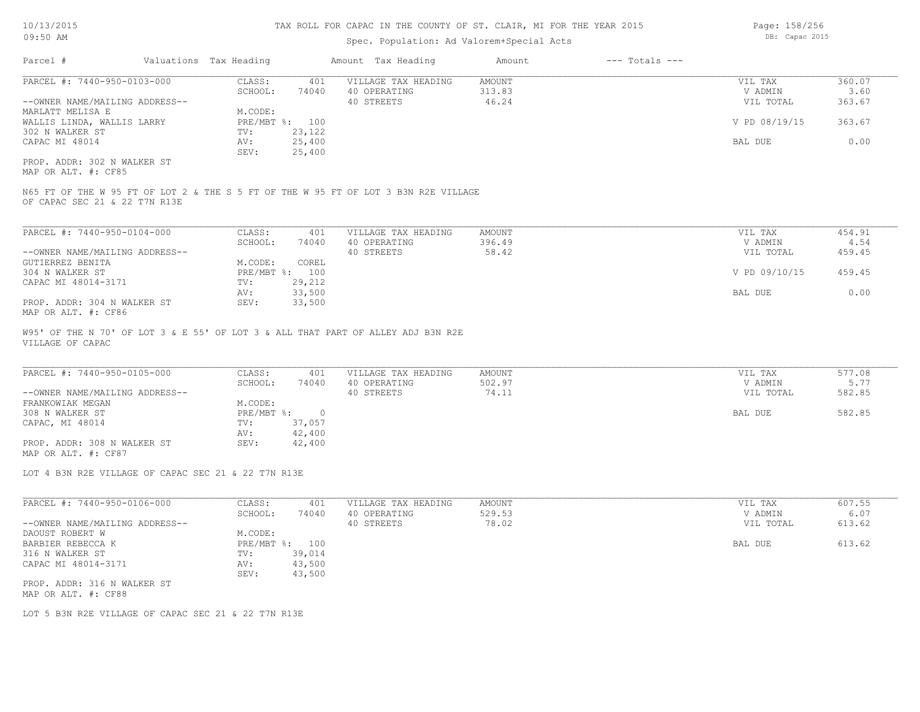Parcel # Valuations Tax Heading Amount Tax Heading Amount --- Totals ---Spec. Population: Ad Valorem+Special Acts  $\mathcal{L}_\mathcal{L} = \mathcal{L}_\mathcal{L} = \mathcal{L}_\mathcal{L} = \mathcal{L}_\mathcal{L} = \mathcal{L}_\mathcal{L} = \mathcal{L}_\mathcal{L} = \mathcal{L}_\mathcal{L} = \mathcal{L}_\mathcal{L} = \mathcal{L}_\mathcal{L} = \mathcal{L}_\mathcal{L} = \mathcal{L}_\mathcal{L} = \mathcal{L}_\mathcal{L} = \mathcal{L}_\mathcal{L} = \mathcal{L}_\mathcal{L} = \mathcal{L}_\mathcal{L} = \mathcal{L}_\mathcal{L} = \mathcal{L}_\mathcal{L}$ 

| PARCEL #: 7440-950-0103-000    | CLASS:       | 401    | VILLAGE TAX HEADING | AMOUNT | VIL TAX       | 360.07 |
|--------------------------------|--------------|--------|---------------------|--------|---------------|--------|
|                                | SCHOOL:      | 74040  | 40 OPERATING        | 313.83 | V ADMIN       | 3.60   |
| --OWNER NAME/MAILING ADDRESS-- |              |        | 40 STREETS          | 46.24  | VIL TOTAL     | 363.67 |
| MARLATT MELISA E               | M.CODE:      |        |                     |        |               |        |
| WALLIS LINDA, WALLIS LARRY     | $PRE/MBT$ %: | 100    |                     |        | V PD 08/19/15 | 363.67 |
| 302 N WALKER ST                | TV:          | 23,122 |                     |        |               |        |
| CAPAC MI 48014                 | AV:          | 25,400 |                     |        | BAL DUE       | 0.00   |
|                                | SEV:         | 25,400 |                     |        |               |        |
| PROP. ADDR: 302 N WALKER ST    |              |        |                     |        |               |        |

MAP OR ALT. #: CF85

OF CAPAC SEC 21 & 22 T7N R13E N65 FT OF THE W 95 FT OF LOT 2 & THE S 5 FT OF THE W 95 FT OF LOT 3 B3N R2E VILLAGE

| PARCEL #: 7440-950-0104-000    | CLASS:  | 401            | VILLAGE TAX HEADING | AMOUNT | VIL TAX       | 454.91 |
|--------------------------------|---------|----------------|---------------------|--------|---------------|--------|
|                                | SCHOOL: | 74040          | 40 OPERATING        | 396.49 | V ADMIN       | 4.54   |
| --OWNER NAME/MAILING ADDRESS-- |         |                | 40 STREETS          | 58.42  | VIL TOTAL     | 459.45 |
| GUTIERREZ BENITA               | M.CODE: | COREL          |                     |        |               |        |
| 304 N WALKER ST                |         | PRE/MBT %: 100 |                     |        | V PD 09/10/15 | 459.45 |
| CAPAC MI 48014-3171            | TV:     | 29,212         |                     |        |               |        |
|                                | AV:     | 33,500         |                     |        | BAL DUE       | 0.00   |
| PROP. ADDR: 304 N WALKER ST    | SEV:    | 33,500         |                     |        |               |        |
| MAP OR ALT. #: CF86            |         |                |                     |        |               |        |

VILLAGE OF CAPAC W95' OF THE N 70' OF LOT 3 & E 55' OF LOT 3 & ALL THAT PART OF ALLEY ADJ B3N R2E

| PARCEL #: 7440-950-0105-000    | CLASS:       | 401    | VILLAGE TAX HEADING | AMOUNT | VIL TAX   | 577.08 |
|--------------------------------|--------------|--------|---------------------|--------|-----------|--------|
|                                | SCHOOL:      | 74040  | 40 OPERATING        | 502.97 | V ADMIN   | 5.77   |
| --OWNER NAME/MAILING ADDRESS-- |              |        | 40 STREETS          | 74.11  | VIL TOTAL | 582.85 |
| FRANKOWIAK MEGAN               | M.CODE:      |        |                     |        |           |        |
| 308 N WALKER ST                | $PRE/MBT$ %: | $\Box$ |                     |        | BAL DUE   | 582.85 |
| CAPAC, MI 48014                | TV:          | 37,057 |                     |        |           |        |
|                                | AV:          | 42,400 |                     |        |           |        |
| PROP. ADDR: 308 N WALKER ST    | SEV:         | 42,400 |                     |        |           |        |
| MAP OR ALT. #: CF87            |              |        |                     |        |           |        |

 $\mathcal{L}_\mathcal{L} = \mathcal{L}_\mathcal{L} = \mathcal{L}_\mathcal{L} = \mathcal{L}_\mathcal{L} = \mathcal{L}_\mathcal{L} = \mathcal{L}_\mathcal{L} = \mathcal{L}_\mathcal{L} = \mathcal{L}_\mathcal{L} = \mathcal{L}_\mathcal{L} = \mathcal{L}_\mathcal{L} = \mathcal{L}_\mathcal{L} = \mathcal{L}_\mathcal{L} = \mathcal{L}_\mathcal{L} = \mathcal{L}_\mathcal{L} = \mathcal{L}_\mathcal{L} = \mathcal{L}_\mathcal{L} = \mathcal{L}_\mathcal{L}$ 

LOT 4 B3N R2E VILLAGE OF CAPAC SEC 21 & 22 T7N R13E

| PARCEL #: 7440-950-0106-000                        | CLASS:     | 401    | VILLAGE TAX HEADING | AMOUNT | VIL TAX   | 607.55 |
|----------------------------------------------------|------------|--------|---------------------|--------|-----------|--------|
|                                                    | SCHOOL:    | 74040  | 40 OPERATING        | 529.53 | V ADMIN   | 6.07   |
| --OWNER NAME/MAILING ADDRESS--                     |            |        | 40 STREETS          | 78.02  | VIL TOTAL | 613.62 |
| DAOUST ROBERT W                                    | M.CODE:    |        |                     |        |           |        |
| BARBIER REBECCA K                                  | PRE/MBT %: | 100    |                     |        | BAL DUE   | 613.62 |
| 316 N WALKER ST                                    | TV:        | 39,014 |                     |        |           |        |
| CAPAC MI 48014-3171                                | AV:        | 43,500 |                     |        |           |        |
|                                                    | SEV:       | 43,500 |                     |        |           |        |
| PROP. ADDR: 316 N WALKER ST<br>MAP OR ALT. #: CF88 |            |        |                     |        |           |        |

LOT 5 B3N R2E VILLAGE OF CAPAC SEC 21 & 22 T7N R13E

Page: 158/256 DB: Capac 2015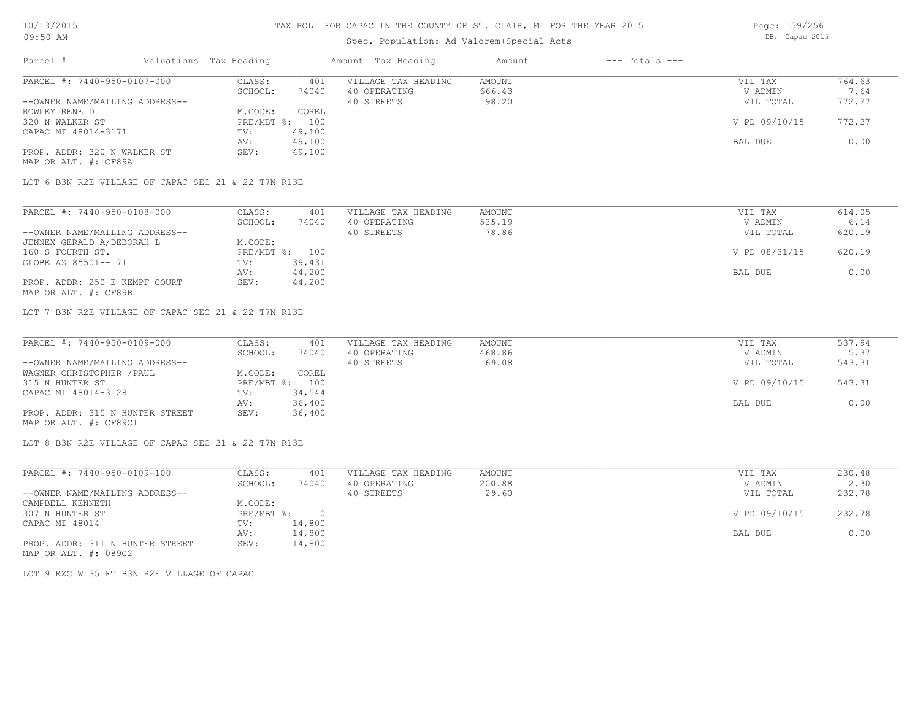### Spec. Population: Ad Valorem+Special Acts

DB: Capac 2015

| Parcel #                       | Valuations Tax Heading |        | Amount Tax Heading  | Amount | $---$ Totals $---$ |               |        |
|--------------------------------|------------------------|--------|---------------------|--------|--------------------|---------------|--------|
| PARCEL #: 7440-950-0107-000    | CLASS:                 | 401    | VILLAGE TAX HEADING | AMOUNT |                    | VIL TAX       | 764.63 |
|                                | SCHOOL:                | 74040  | 40 OPERATING        | 666.43 |                    | V ADMIN       | 7.64   |
| --OWNER NAME/MAILING ADDRESS-- |                        |        | 40 STREETS          | 98.20  |                    | VIL TOTAL     | 772.27 |
| ROWLEY RENE D                  | M.CODE:                | COREL  |                     |        |                    |               |        |
| 320 N WALKER ST                | $PRE/MBT$ %:           | 100    |                     |        |                    | V PD 09/10/15 | 772.27 |
| CAPAC MI 48014-3171            | TV:                    | 49,100 |                     |        |                    |               |        |
|                                | AV:                    | 49,100 |                     |        |                    | BAL DUE       | 0.00   |
| PROP. ADDR: 320 N WALKER ST    | SEV:                   | 49,100 |                     |        |                    |               |        |
| MAP OR ALT. #: CF89A           |                        |        |                     |        |                    |               |        |

LOT 6 B3N R2E VILLAGE OF CAPAC SEC 21 & 22 T7N R13E

| PARCEL #: 7440-950-0108-000    | CLASS:  | 401            | VILLAGE TAX HEADING | AMOUNT | VIL TAX       | 614.05 |
|--------------------------------|---------|----------------|---------------------|--------|---------------|--------|
|                                | SCHOOL: | 74040          | 40 OPERATING        | 535.19 | V ADMIN       | 6.14   |
| --OWNER NAME/MAILING ADDRESS-- |         |                | 40 STREETS          | 78.86  | VIL TOTAL     | 620.19 |
| JENNEX GERALD A/DEBORAH L      | M.CODE: |                |                     |        |               |        |
| 160 S FOURTH ST.               |         | PRE/MBT %: 100 |                     |        | V PD 08/31/15 | 620.19 |
| GLOBE AZ 85501--171            | TV:     | 39,431         |                     |        |               |        |
|                                | AV:     | 44,200         |                     |        | BAL DUE       | 0.00   |
| PROP. ADDR: 250 E KEMPF COURT  | SEV:    | 44,200         |                     |        |               |        |
| MAP OR ALT. #: CF89B           |         |                |                     |        |               |        |

LOT 7 B3N R2E VILLAGE OF CAPAC SEC 21 & 22 T7N R13E

| PARCEL #: 7440-950-0109-000     | CLASS:  | 401            | VILLAGE TAX HEADING | AMOUNT | VIL TAX       | 537.94 |
|---------------------------------|---------|----------------|---------------------|--------|---------------|--------|
|                                 | SCHOOL: | 74040          | 40 OPERATING        | 468.86 | V ADMIN       | 5.37   |
| --OWNER NAME/MAILING ADDRESS--  |         |                | 40 STREETS          | 69.08  | VIL TOTAL     | 543.31 |
| WAGNER CHRISTOPHER / PAUL       | M.CODE: | COREL          |                     |        |               |        |
| 315 N HUNTER ST                 |         | PRE/MBT %: 100 |                     |        | V PD 09/10/15 | 543.31 |
| CAPAC MI 48014-3128             | TV:     | 34,544         |                     |        |               |        |
|                                 | AV:     | 36,400         |                     |        | BAL DUE       | 0.00   |
| PROP. ADDR: 315 N HUNTER STREET | SEV:    | 36,400         |                     |        |               |        |
| MAP OR ALT. #: CF89C1           |         |                |                     |        |               |        |

LOT 8 B3N R2E VILLAGE OF CAPAC SEC 21 & 22 T7N R13E

| PARCEL #: 7440-950-0109-100     | CLASS:     | 401      | VILLAGE TAX HEADING | AMOUNT | VIL TAX       | 230.48 |
|---------------------------------|------------|----------|---------------------|--------|---------------|--------|
|                                 | SCHOOL:    | 74040    | 40 OPERATING        | 200.88 | V ADMIN       | 2.30   |
| --OWNER NAME/MAILING ADDRESS--  |            |          | 40 STREETS          | 29.60  | VIL TOTAL     | 232.78 |
| CAMPBELL KENNETH                | M.CODE:    |          |                     |        |               |        |
| 307 N HUNTER ST                 | PRE/MBT %: | $\Omega$ |                     |        | V PD 09/10/15 | 232.78 |
| CAPAC MI 48014                  | TV:        | 14,800   |                     |        |               |        |
|                                 | AV:        | 14,800   |                     |        | BAL DUE       | 0.00   |
| PROP. ADDR: 311 N HUNTER STREET | SEV:       | 14,800   |                     |        |               |        |

MAP OR ALT. #: 089C2

LOT 9 EXC W 35 FT B3N R2E VILLAGE OF CAPAC

Page: 159/256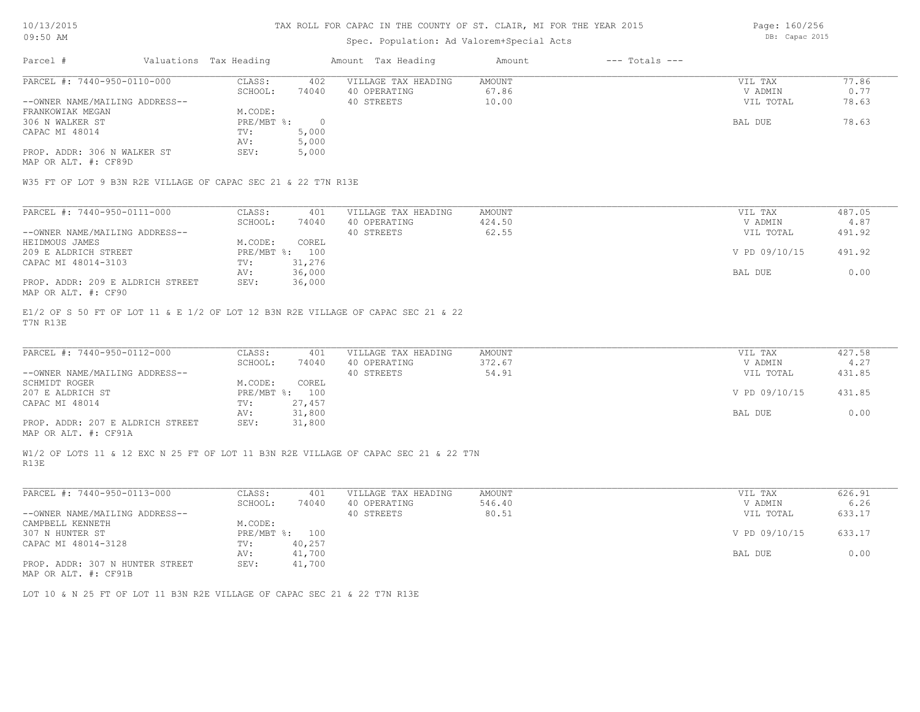### Spec. Population: Ad Valorem+Special Acts

Parcel # Valuations Tax Heading Amount Tax Heading Amount --- Totals ---MAP OR ALT. #: CF89D PROP. ADDR: 306 N WALKER ST SEV: 5,000 AV: 5,000 CAPAC MI 48014 TV: 5,000<br>
AV: 5,000 306 N WALKER ST PRE/MBT %: 0 BAL DUE 78.63 FRANKOWIAK MEGAN MEGAN M.CODE:<br>306 N WALKER ST METRE/MBT %: --OWNER NAME/MAILING ADDRESS-- 40 STREETS 10.00 VIL TOTAL 78.63 SCHOOL: 74040 40 OPERATING 67.86 V ADMIN 0.77 PARCEL #: 7440-950-0110-000 CLASS: 402 VILLAGE TAX HEADING AMOUNT VIL TAX VIL TAX 77.86<br>SCHOOL: 74040 40 OPERATING 67.86 VADMIN 0.77  $\mathcal{L}_\mathcal{L} = \mathcal{L}_\mathcal{L} = \mathcal{L}_\mathcal{L} = \mathcal{L}_\mathcal{L} = \mathcal{L}_\mathcal{L} = \mathcal{L}_\mathcal{L} = \mathcal{L}_\mathcal{L} = \mathcal{L}_\mathcal{L} = \mathcal{L}_\mathcal{L} = \mathcal{L}_\mathcal{L} = \mathcal{L}_\mathcal{L} = \mathcal{L}_\mathcal{L} = \mathcal{L}_\mathcal{L} = \mathcal{L}_\mathcal{L} = \mathcal{L}_\mathcal{L} = \mathcal{L}_\mathcal{L} = \mathcal{L}_\mathcal{L}$ 

W35 FT OF LOT 9 B3N R2E VILLAGE OF CAPAC SEC 21 & 22 T7N R13E

| PARCEL #: 7440-950-0111-000      | CLASS:       | 401    | VILLAGE TAX HEADING | AMOUNT | VIL TAX       | 487.05 |
|----------------------------------|--------------|--------|---------------------|--------|---------------|--------|
|                                  | SCHOOL:      | 74040  | 40 OPERATING        | 424.50 | V ADMIN       | 4.87   |
| --OWNER NAME/MAILING ADDRESS--   |              |        | 40 STREETS          | 62.55  | VIL TOTAL     | 491.92 |
| HEIDMOUS JAMES                   | M.CODE:      | COREL  |                     |        |               |        |
| 209 E ALDRICH STREET             | $PRE/MBT$ %: | 100    |                     |        | V PD 09/10/15 | 491.92 |
| CAPAC MI 48014-3103              | TV:          | 31,276 |                     |        |               |        |
|                                  | AV:          | 36,000 |                     |        | BAL DUE       | 0.00   |
| PROP. ADDR: 209 E ALDRICH STREET | SEV:         | 36,000 |                     |        |               |        |
| MAP OR ALT. #: CF90              |              |        |                     |        |               |        |

T7N R13E E1/2 OF S 50 FT OF LOT 11 & E 1/2 OF LOT 12 B3N R2E VILLAGE OF CAPAC SEC 21 & 22

| PARCEL #: 7440-950-0112-000      | CLASS:       | 401    | VILLAGE TAX HEADING | AMOUNT | VIL TAX       | 427.58 |
|----------------------------------|--------------|--------|---------------------|--------|---------------|--------|
|                                  | SCHOOL:      | 74040  | 40 OPERATING        | 372.67 | V ADMIN       | 4.27   |
| --OWNER NAME/MAILING ADDRESS--   |              |        | 40 STREETS          | 54.91  | VIL TOTAL     | 431.85 |
| SCHMIDT ROGER                    | M.CODE:      | COREL  |                     |        |               |        |
| 207 E ALDRICH ST                 | $PRE/MBT$ %: | 100    |                     |        | V PD 09/10/15 | 431.85 |
| CAPAC MI 48014                   | TV:          | 27,457 |                     |        |               |        |
|                                  | AV:          | 31,800 |                     |        | BAL DUE       | 0.00   |
| PROP. ADDR: 207 E ALDRICH STREET | SEV:         | 31,800 |                     |        |               |        |
|                                  |              |        |                     |        |               |        |

 $\mathcal{L}_\mathcal{L} = \mathcal{L}_\mathcal{L} = \mathcal{L}_\mathcal{L} = \mathcal{L}_\mathcal{L} = \mathcal{L}_\mathcal{L} = \mathcal{L}_\mathcal{L} = \mathcal{L}_\mathcal{L} = \mathcal{L}_\mathcal{L} = \mathcal{L}_\mathcal{L} = \mathcal{L}_\mathcal{L} = \mathcal{L}_\mathcal{L} = \mathcal{L}_\mathcal{L} = \mathcal{L}_\mathcal{L} = \mathcal{L}_\mathcal{L} = \mathcal{L}_\mathcal{L} = \mathcal{L}_\mathcal{L} = \mathcal{L}_\mathcal{L}$ 

MAP OR ALT. #: CF91A

R13E W1/2 OF LOTS 11 & 12 EXC N 25 FT OF LOT 11 B3N R2E VILLAGE OF CAPAC SEC 21 & 22 T7N

| PARCEL #: 7440-950-0113-000                      | CLASS:     | 401    | VILLAGE TAX HEADING | AMOUNT | VIL TAX       | 626.91 |
|--------------------------------------------------|------------|--------|---------------------|--------|---------------|--------|
|                                                  | SCHOOL:    | 74040  | 40 OPERATING        | 546.40 | V ADMIN       | 6.26   |
| --OWNER NAME/MAILING ADDRESS--                   |            |        | 40 STREETS          | 80.51  | VIL TOTAL     | 633.17 |
| CAMPBELL KENNETH                                 | M.CODE:    |        |                     |        |               |        |
| 307 N HUNTER ST                                  | PRE/MBT %: | 100    |                     |        | V PD 09/10/15 | 633.17 |
| CAPAC MI 48014-3128                              | TV:        | 40,257 |                     |        |               |        |
|                                                  | AV:        | 41,700 |                     |        | BAL DUE       | 0.00   |
| PROP. ADDR: 307 N HUNTER STREET<br>$\frac{1}{2}$ | SEV:       | 41,700 |                     |        |               |        |

MAP OR ALT. #: CF91B

LOT 10 & N 25 FT OF LOT 11 B3N R2E VILLAGE OF CAPAC SEC 21 & 22 T7N R13E

Page: 160/256 DB: Capac 2015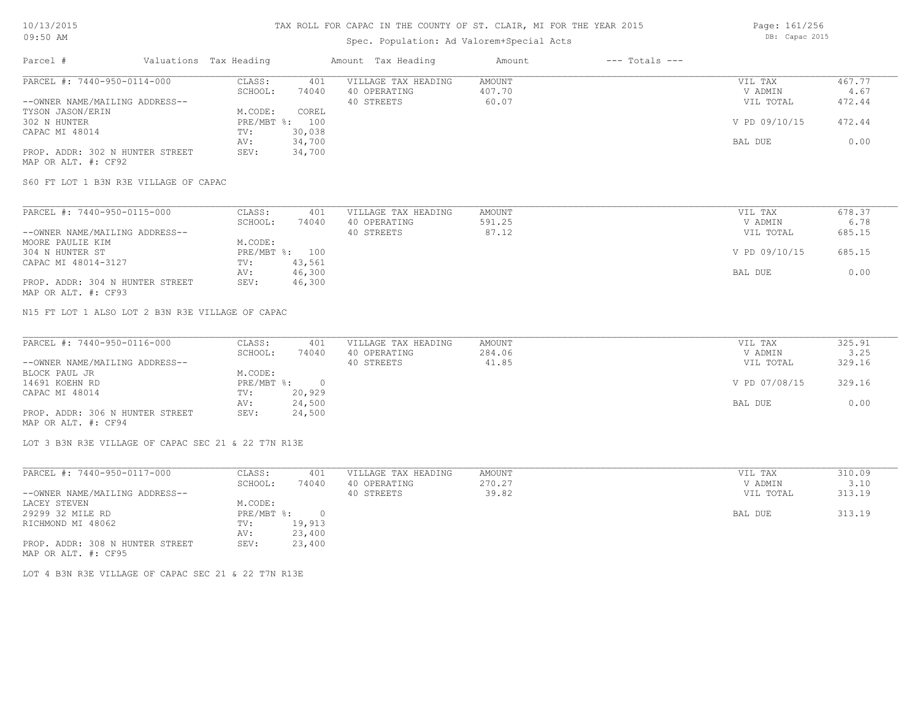# Spec. Population: Ad Valorem+Special Acts

Page: 161/256 DB: Capac 2015

| Parcel #                        | Valuations Tax Heading |        | Amount Tax Heading  | Amount | $---$ Totals $---$ |               |        |
|---------------------------------|------------------------|--------|---------------------|--------|--------------------|---------------|--------|
| PARCEL #: 7440-950-0114-000     | CLASS:                 | 401    | VILLAGE TAX HEADING | AMOUNT |                    | VIL TAX       | 467.77 |
|                                 | SCHOOL:                | 74040  | 40 OPERATING        | 407.70 |                    | V ADMIN       | 4.67   |
| --OWNER NAME/MAILING ADDRESS--  |                        |        | 40 STREETS          | 60.07  |                    | VIL TOTAL     | 472.44 |
| TYSON JASON/ERIN                | M.CODE:                | COREL  |                     |        |                    |               |        |
| 302 N HUNTER                    | $PRE/MBT$ %:           | 100    |                     |        |                    | V PD 09/10/15 | 472.44 |
| CAPAC MI 48014                  | TV:                    | 30,038 |                     |        |                    |               |        |
|                                 | AV:                    | 34,700 |                     |        |                    | BAL DUE       | 0.00   |
| PROP. ADDR: 302 N HUNTER STREET | SEV:                   | 34,700 |                     |        |                    |               |        |
| MAP OR ALT. #: CF92             |                        |        |                     |        |                    |               |        |

S60 FT LOT 1 B3N R3E VILLAGE OF CAPAC

| PARCEL #: 7440-950-0115-000     | CLASS:  | 401            | VILLAGE TAX HEADING | AMOUNT | VIL TAX       | 678.37 |
|---------------------------------|---------|----------------|---------------------|--------|---------------|--------|
|                                 | SCHOOL: | 74040          | 40 OPERATING        | 591.25 | V ADMIN       | 6.78   |
| --OWNER NAME/MAILING ADDRESS--  |         |                | 40 STREETS          | 87.12  | VIL TOTAL     | 685.15 |
| MOORE PAULIE KIM                | M.CODE: |                |                     |        |               |        |
| 304 N HUNTER ST                 |         | PRE/MBT %: 100 |                     |        | V PD 09/10/15 | 685.15 |
| CAPAC MI 48014-3127             | TV:     | 43,561         |                     |        |               |        |
|                                 | AV:     | 46,300         |                     |        | BAL DUE       | 0.00   |
| PROP. ADDR: 304 N HUNTER STREET | SEV:    | 46,300         |                     |        |               |        |
| MAP OR ALT. #: CF93             |         |                |                     |        |               |        |

N15 FT LOT 1 ALSO LOT 2 B3N R3E VILLAGE OF CAPAC

| PARCEL #: 7440-950-0116-000     | CLASS:     | 401    | VILLAGE TAX HEADING | AMOUNT | VIL TAX       | 325.91 |
|---------------------------------|------------|--------|---------------------|--------|---------------|--------|
|                                 | SCHOOL:    | 74040  | 40 OPERATING        | 284.06 | V ADMIN       | 3.25   |
| --OWNER NAME/MAILING ADDRESS--  |            |        | 40 STREETS          | 41.85  | VIL TOTAL     | 329.16 |
| BLOCK PAUL JR                   | M.CODE:    |        |                     |        |               |        |
| 14691 KOEHN RD                  | PRE/MBT %: |        |                     |        | V PD 07/08/15 | 329.16 |
| CAPAC MI 48014                  | TV:        | 20,929 |                     |        |               |        |
|                                 | AV:        | 24,500 |                     |        | BAL DUE       | 0.00   |
| PROP. ADDR: 306 N HUNTER STREET | SEV:       | 24,500 |                     |        |               |        |
| MAP OR ALT. #: CF94             |            |        |                     |        |               |        |

LOT 3 B3N R3E VILLAGE OF CAPAC SEC 21 & 22 T7N R13E

| PARCEL #: 7440-950-0117-000     | CLASS:     | 401    | VILLAGE TAX HEADING | AMOUNT | VIL TAX   | 310.09 |
|---------------------------------|------------|--------|---------------------|--------|-----------|--------|
|                                 | SCHOOL:    | 74040  | 40 OPERATING        | 270.27 | V ADMIN   | 3.10   |
| --OWNER NAME/MAILING ADDRESS--  |            |        | 40 STREETS          | 39.82  | VIL TOTAL | 313.19 |
| LACEY STEVEN                    | M.CODE:    |        |                     |        |           |        |
| 29299 32 MILE RD                | PRE/MBT %: |        |                     |        | BAL DUE   | 313.19 |
| RICHMOND MI 48062               | TV:        | 19,913 |                     |        |           |        |
|                                 | AV:        | 23,400 |                     |        |           |        |
| PROP. ADDR: 308 N HUNTER STREET | SEV:       | 23,400 |                     |        |           |        |
| MAP OR ALT. #: CF95             |            |        |                     |        |           |        |

LOT 4 B3N R3E VILLAGE OF CAPAC SEC 21 & 22 T7N R13E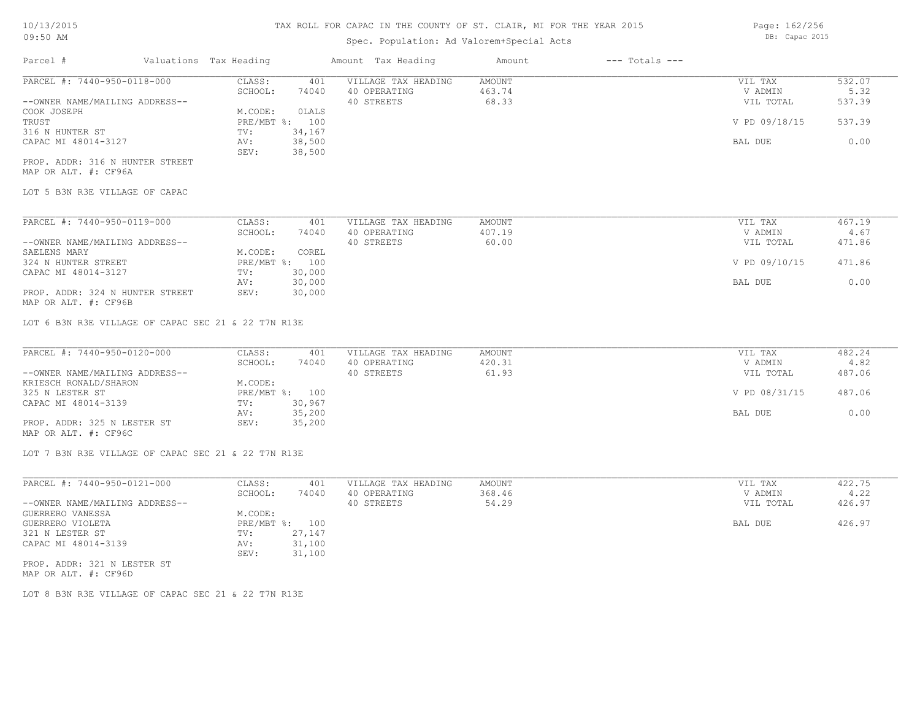# Spec. Population: Ad Valorem+Special Acts

| Parcel #                       | Valuations Tax Heading |        | Amount Tax Heading  | Amount | $---$ Totals $---$ |               |        |
|--------------------------------|------------------------|--------|---------------------|--------|--------------------|---------------|--------|
| PARCEL #: 7440-950-0118-000    | CLASS:                 | 401    | VILLAGE TAX HEADING | AMOUNT |                    | VIL TAX       | 532.07 |
|                                | SCHOOL:                | 74040  | 40 OPERATING        | 463.74 |                    | V ADMIN       | 5.32   |
| --OWNER NAME/MAILING ADDRESS-- |                        |        | 40 STREETS          | 68.33  |                    | VIL TOTAL     | 537.39 |
| COOK JOSEPH                    | M.CODE:                | OLALS  |                     |        |                    |               |        |
| TRUST                          | PRE/MBT %: 100         |        |                     |        |                    | V PD 09/18/15 | 537.39 |
| 316 N HUNTER ST                | TV:                    | 34,167 |                     |        |                    |               |        |
| CAPAC MI 48014-3127            | AV:                    | 38,500 |                     |        |                    | BAL DUE       | 0.00   |
|                                | SEV:                   | 38,500 |                     |        |                    |               |        |
|                                |                        |        |                     |        |                    |               |        |

MAP OR ALT. #: CF96A PROP. ADDR: 316 N HUNTER STREET

LOT 5 B3N R3E VILLAGE OF CAPAC

| PARCEL #: 7440-950-0119-000     | CLASS:       | 401    | VILLAGE TAX HEADING | AMOUNT | VIL TAX       | 467.19 |
|---------------------------------|--------------|--------|---------------------|--------|---------------|--------|
|                                 | SCHOOL:      | 74040  | 40 OPERATING        | 407.19 | V ADMIN       | 4.67   |
| --OWNER NAME/MAILING ADDRESS--  |              |        | 40 STREETS          | 60.00  | VIL TOTAL     | 471.86 |
| SAELENS MARY                    | M.CODE:      | COREL  |                     |        |               |        |
| 324 N HUNTER STREET             | $PRE/MBT$ %: | 100    |                     |        | V PD 09/10/15 | 471.86 |
| CAPAC MI 48014-3127             | TV:          | 30,000 |                     |        |               |        |
|                                 | AV:          | 30,000 |                     |        | BAL DUE       | 0.00   |
| PROP. ADDR: 324 N HUNTER STREET | SEV:         | 30,000 |                     |        |               |        |

MAP OR ALT. #: CF96B

LOT 6 B3N R3E VILLAGE OF CAPAC SEC 21 & 22 T7N R13E

| PARCEL #: 7440-950-0120-000    | CLASS:  | 401            | VILLAGE TAX HEADING | AMOUNT | VIL TAX       | 482.24 |
|--------------------------------|---------|----------------|---------------------|--------|---------------|--------|
|                                | SCHOOL: | 74040          | 40 OPERATING        | 420.31 | V ADMIN       | 4.82   |
| --OWNER NAME/MAILING ADDRESS-- |         |                | 40 STREETS          | 61.93  | VIL TOTAL     | 487.06 |
| KRIESCH RONALD/SHARON          | M.CODE: |                |                     |        |               |        |
| 325 N LESTER ST                |         | PRE/MBT %: 100 |                     |        | V PD 08/31/15 | 487.06 |
| CAPAC MI 48014-3139            | TV:     | 30,967         |                     |        |               |        |
|                                | AV:     | 35,200         |                     |        | BAL DUE       | 0.00   |
| PROP. ADDR: 325 N LESTER ST    | SEV:    | 35,200         |                     |        |               |        |
| MAP OR ALT. #: CF96C           |         |                |                     |        |               |        |

LOT 7 B3N R3E VILLAGE OF CAPAC SEC 21 & 22 T7N R13E

| PARCEL #: 7440-950-0121-000    | CLASS:       | 401    | VILLAGE TAX HEADING | AMOUNT | VIL TAX   | 422.75 |
|--------------------------------|--------------|--------|---------------------|--------|-----------|--------|
|                                | SCHOOL:      | 74040  | 40 OPERATING        | 368.46 | V ADMIN   | 4.22   |
| --OWNER NAME/MAILING ADDRESS-- |              |        | 40 STREETS          | 54.29  | VIL TOTAL | 426.97 |
| GUERRERO VANESSA               | M.CODE:      |        |                     |        |           |        |
| GUERRERO VIOLETA               | $PRE/MBT$ %: | 100    |                     |        | BAL DUE   | 426.97 |
| 321 N LESTER ST                | TV:          | 27,147 |                     |        |           |        |
| CAPAC MI 48014-3139            | AV:          | 31,100 |                     |        |           |        |
|                                | SEV:         | 31,100 |                     |        |           |        |
| PROP. ADDR: 321 N LESTER ST    |              |        |                     |        |           |        |

MAP OR ALT. #: CF96D

LOT 8 B3N R3E VILLAGE OF CAPAC SEC 21 & 22 T7N R13E

Page: 162/256 DB: Capac 2015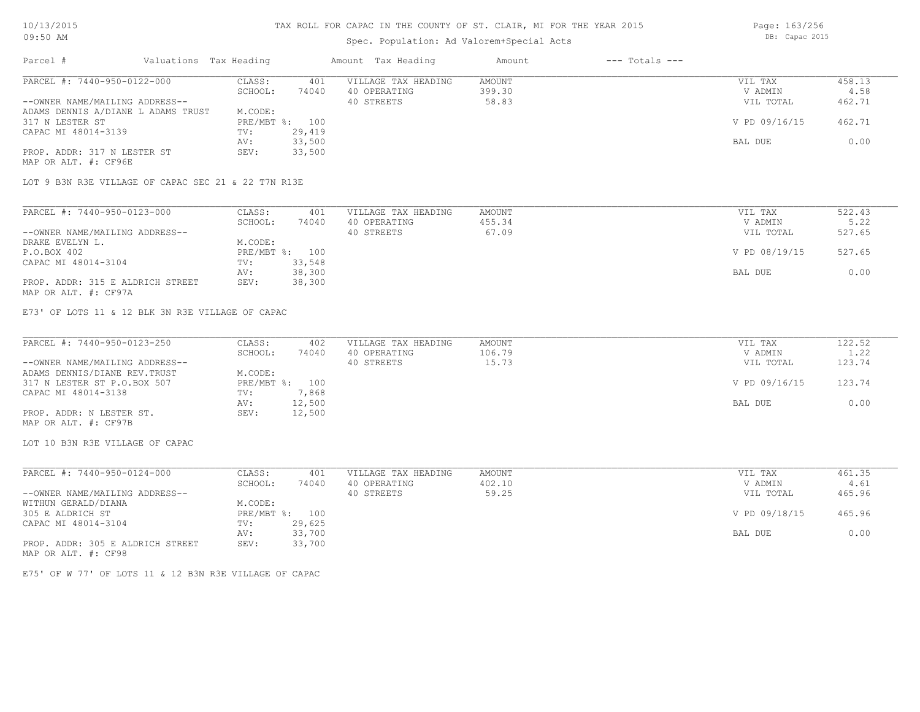## Spec. Population: Ad Valorem+Special Acts

Page: 163/256 DB: Capac 2015

| Parcel #                           | Valuations Tax Heading |        | Amount Tax Heading  | Amount | $---$ Totals $---$ |               |        |
|------------------------------------|------------------------|--------|---------------------|--------|--------------------|---------------|--------|
| PARCEL #: 7440-950-0122-000        | CLASS:                 | 401    | VILLAGE TAX HEADING | AMOUNT |                    | VIL TAX       | 458.13 |
|                                    | SCHOOL:                | 74040  | 40 OPERATING        | 399.30 |                    | V ADMIN       | 4.58   |
| --OWNER NAME/MAILING ADDRESS--     |                        |        | 40 STREETS          | 58.83  |                    | VIL TOTAL     | 462.71 |
| ADAMS DENNIS A/DIANE L ADAMS TRUST | M.CODE:                |        |                     |        |                    |               |        |
| 317 N LESTER ST                    | PRE/MBT %: 100         |        |                     |        |                    | V PD 09/16/15 | 462.71 |
| CAPAC MI 48014-3139                | TV:                    | 29,419 |                     |        |                    |               |        |
|                                    | AV:                    | 33,500 |                     |        |                    | BAL DUE       | 0.00   |
| PROP. ADDR: 317 N LESTER ST        | SEV:                   | 33,500 |                     |        |                    |               |        |
| MAP OR ALT. #: CF96E               |                        |        |                     |        |                    |               |        |

LOT 9 B3N R3E VILLAGE OF CAPAC SEC 21 & 22 T7N R13E

| PARCEL #: 7440-950-0123-000      | CLASS:  | 401            | VILLAGE TAX HEADING | AMOUNT | VIL TAX       | 522.43 |
|----------------------------------|---------|----------------|---------------------|--------|---------------|--------|
|                                  | SCHOOL: | 74040          | 40 OPERATING        | 455.34 | V ADMIN       | 5.22   |
| --OWNER NAME/MAILING ADDRESS--   |         |                | 40 STREETS          | 67.09  | VIL TOTAL     | 527.65 |
| DRAKE EVELYN L.                  | M.CODE: |                |                     |        |               |        |
| P.O.BOX 402                      |         | PRE/MBT %: 100 |                     |        | V PD 08/19/15 | 527.65 |
| CAPAC MI 48014-3104              | TV:     | 33,548         |                     |        |               |        |
|                                  | AV:     | 38,300         |                     |        | BAL DUE       | 0.00   |
| PROP. ADDR: 315 E ALDRICH STREET | SEV:    | 38,300         |                     |        |               |        |
| MAP OR ALT. #: CF97A             |         |                |                     |        |               |        |

E73' OF LOTS 11 & 12 BLK 3N R3E VILLAGE OF CAPAC

| PARCEL #: 7440-950-0123-250    | CLASS:         | 402    | VILLAGE TAX HEADING | AMOUNT | VIL TAX       | 122.52 |
|--------------------------------|----------------|--------|---------------------|--------|---------------|--------|
|                                | SCHOOL:        | 74040  | 40 OPERATING        | 106.79 | V ADMIN       | 1.22   |
| --OWNER NAME/MAILING ADDRESS-- |                |        | 40 STREETS          | 15.73  | VIL TOTAL     | 123.74 |
| ADAMS DENNIS/DIANE REV. TRUST  | M.CODE:        |        |                     |        |               |        |
| 317 N LESTER ST P.O.BOX 507    | PRE/MBT %: 100 |        |                     |        | V PD 09/16/15 | 123.74 |
| CAPAC MI 48014-3138            | TV:            | 7,868  |                     |        |               |        |
|                                | AV:            | 12,500 |                     |        | BAL DUE       | 0.00   |
| PROP. ADDR: N LESTER ST.       | SEV:           | 12,500 |                     |        |               |        |
| MAP OR ALT. #: CF97B           |                |        |                     |        |               |        |

LOT 10 B3N R3E VILLAGE OF CAPAC

| PARCEL #: 7440-950-0124-000      | CLASS:       | 401    | VILLAGE TAX HEADING | AMOUNT | VIL TAX       | 461.35 |
|----------------------------------|--------------|--------|---------------------|--------|---------------|--------|
|                                  | SCHOOL:      | 74040  | 40 OPERATING        | 402.10 | V ADMIN       | 4.61   |
| --OWNER NAME/MAILING ADDRESS--   |              |        | 40 STREETS          | 59.25  | VIL TOTAL     | 465.96 |
| WITHUN GERALD/DIANA              | M.CODE:      |        |                     |        |               |        |
| 305 E ALDRICH ST                 | $PRE/MBT$ %: | 100    |                     |        | V PD 09/18/15 | 465.96 |
| CAPAC MI 48014-3104              | TV:          | 29,625 |                     |        |               |        |
|                                  | AV:          | 33,700 |                     |        | BAL DUE       | 0.00   |
| PROP. ADDR: 305 E ALDRICH STREET | SEV:         | 33,700 |                     |        |               |        |
| MAP OR ALT. #: CF98              |              |        |                     |        |               |        |

E75' OF W 77' OF LOTS 11 & 12 B3N R3E VILLAGE OF CAPAC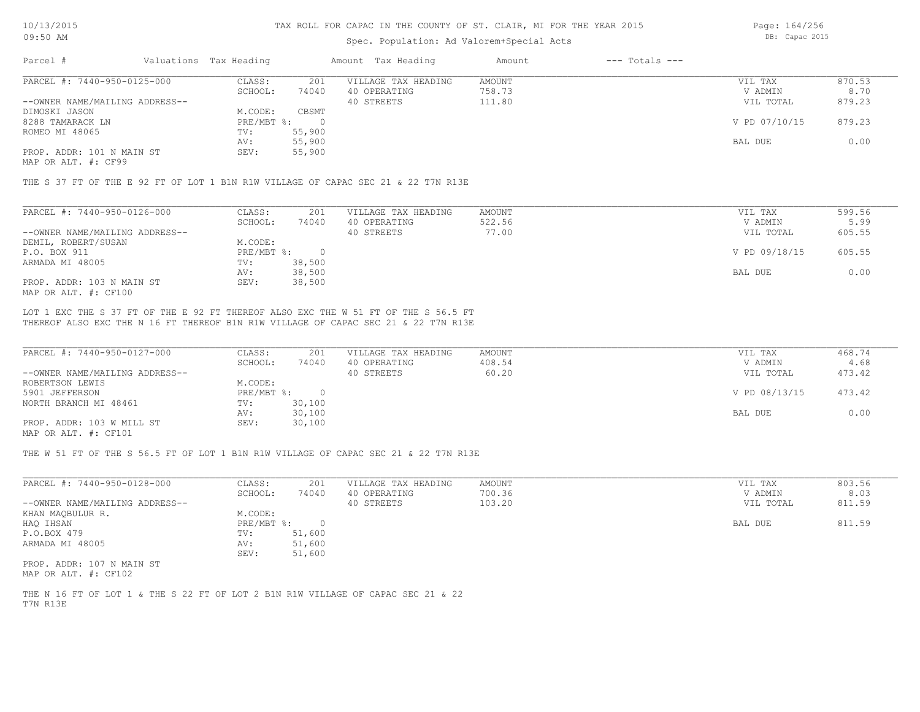### Spec. Population: Ad Valorem+Special Acts

Page: 164/256 DB: Capac 2015

| Parcel #                       | Valuations Tax Heading |        | Amount Tax Heading  | Amount | $---$ Totals $---$ |               |        |
|--------------------------------|------------------------|--------|---------------------|--------|--------------------|---------------|--------|
| PARCEL #: 7440-950-0125-000    | CLASS:                 | 201    | VILLAGE TAX HEADING | AMOUNT |                    | VIL TAX       | 870.53 |
|                                | SCHOOL:                | 74040  | 40 OPERATING        | 758.73 |                    | V ADMIN       | 8.70   |
| --OWNER NAME/MAILING ADDRESS-- |                        |        | 40 STREETS          | 111.80 |                    | VIL TOTAL     | 879.23 |
| DIMOSKI JASON                  | M.CODE:                | CBSMT  |                     |        |                    |               |        |
| 8288 TAMARACK LN               | $PRE/MBT$ %:           |        |                     |        |                    | V PD 07/10/15 | 879.23 |
| ROMEO MI 48065                 | TV:                    | 55,900 |                     |        |                    |               |        |
|                                | AV:                    | 55,900 |                     |        |                    | BAL DUE       | 0.00   |
| PROP. ADDR: 101 N MAIN ST      | SEV:                   | 55,900 |                     |        |                    |               |        |
|                                |                        |        |                     |        |                    |               |        |

MAP OR ALT. #: CF99

THE S 37 FT OF THE E 92 FT OF LOT 1 B1N R1W VILLAGE OF CAPAC SEC 21 & 22 T7N R13E

| PARCEL #: 7440-950-0126-000    | CLASS:     | 201    | VILLAGE TAX HEADING | AMOUNT | VIL TAX       | 599.56 |
|--------------------------------|------------|--------|---------------------|--------|---------------|--------|
|                                | SCHOOL:    | 74040  | 40 OPERATING        | 522.56 | V ADMIN       | 5.99   |
| --OWNER NAME/MAILING ADDRESS-- |            |        | 40 STREETS          | 77.00  | VIL TOTAL     | 605.55 |
| DEMIL, ROBERT/SUSAN            | M.CODE:    |        |                     |        |               |        |
| P.O. BOX 911                   | PRE/MBT %: |        |                     |        | V PD 09/18/15 | 605.55 |
| ARMADA MI 48005                | TV:        | 38,500 |                     |        |               |        |
|                                | AV:        | 38,500 |                     |        | BAL DUE       | 0.00   |
| PROP. ADDR: 103 N MAIN ST      | SEV:       | 38,500 |                     |        |               |        |
| MAP OR ALT. #: CF100           |            |        |                     |        |               |        |

THEREOF ALSO EXC THE N 16 FT THEREOF B1N R1W VILLAGE OF CAPAC SEC 21 & 22 T7N R13E LOT 1 EXC THE S 37 FT OF THE E 92 FT THEREOF ALSO EXC THE W 51 FT OF THE S 56.5 FT

| PARCEL #: 7440-950-0127-000    | CLASS:     | 201    | VILLAGE TAX HEADING | AMOUNT | VIL TAX       | 468.74 |
|--------------------------------|------------|--------|---------------------|--------|---------------|--------|
|                                | SCHOOL:    | 74040  | 40 OPERATING        | 408.54 | V ADMIN       | 4.68   |
| --OWNER NAME/MAILING ADDRESS-- |            |        | 40 STREETS          | 60.20  | VIL TOTAL     | 473.42 |
| ROBERTSON LEWIS                | M.CODE:    |        |                     |        |               |        |
| 5901 JEFFERSON                 | PRE/MBT %: |        |                     |        | V PD 08/13/15 | 473.42 |
| NORTH BRANCH MI 48461          | TV:        | 30,100 |                     |        |               |        |
|                                | AV:        | 30,100 |                     |        | BAL DUE       | 0.00   |
| PROP. ADDR: 103 W MILL ST      | SEV:       | 30,100 |                     |        |               |        |
| $\frac{1}{2}$                  |            |        |                     |        |               |        |

MAP OR ALT. #: CF101

THE W 51 FT OF THE S 56.5 FT OF LOT 1 B1N R1W VILLAGE OF CAPAC SEC 21 & 22 T7N R13E

| PARCEL #: 7440-950-0128-000    | CLASS:     | 201    | VILLAGE TAX HEADING | AMOUNT | VIL TAX   | 803.56 |
|--------------------------------|------------|--------|---------------------|--------|-----------|--------|
|                                | SCHOOL:    | 74040  | 40 OPERATING        | 700.36 | V ADMIN   | 8.03   |
| --OWNER NAME/MAILING ADDRESS-- |            |        | 40 STREETS          | 103.20 | VIL TOTAL | 811.59 |
| KHAN MAOBULUR R.               | M.CODE:    |        |                     |        |           |        |
| HAQ IHSAN                      | PRE/MBT %: |        |                     |        | BAL DUE   | 811.59 |
| P.O.BOX 479                    | TV:        | 51,600 |                     |        |           |        |
| ARMADA MI 48005                | AV:        | 51,600 |                     |        |           |        |
|                                | SEV:       | 51,600 |                     |        |           |        |
| PROP. ADDR: 107 N MAIN ST      |            |        |                     |        |           |        |

MAP OR ALT. #: CF102

T7N R13E THE N 16 FT OF LOT 1 & THE S 22 FT OF LOT 2 B1N R1W VILLAGE OF CAPAC SEC 21 & 22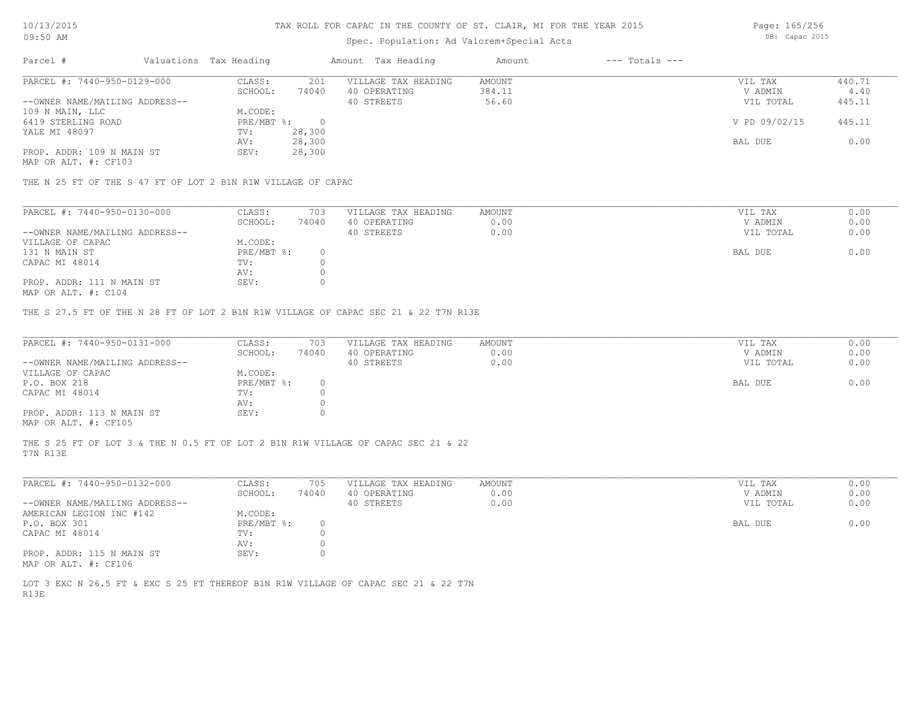### Spec. Population: Ad Valorem+Special Acts

Page: 165/256 DB: Capac 2015

| Parcel #                       | Valuations Tax Heading |        | Amount Tax Heading  | Amount | $---$ Totals $---$ |               |        |
|--------------------------------|------------------------|--------|---------------------|--------|--------------------|---------------|--------|
| PARCEL #: 7440-950-0129-000    | CLASS:                 | 201    | VILLAGE TAX HEADING | AMOUNT |                    | VIL TAX       | 440.71 |
|                                | SCHOOL:                | 74040  | 40 OPERATING        | 384.11 |                    | V ADMIN       | 4.40   |
| --OWNER NAME/MAILING ADDRESS-- |                        |        | 40 STREETS          | 56.60  |                    | VIL TOTAL     | 445.11 |
| 109 N MAIN, LLC                | M.CODE:                |        |                     |        |                    |               |        |
| 6419 STERLING ROAD             | PRE/MBT %:             |        |                     |        |                    | V PD 09/02/15 | 445.11 |
| YALE MI 48097                  | TV:                    | 28,300 |                     |        |                    |               |        |
|                                | AV:                    | 28,300 |                     |        |                    | BAL DUE       | 0.00   |
| PROP. ADDR: 109 N MAIN ST      | SEV:                   | 28,300 |                     |        |                    |               |        |

MAP OR ALT. #: CF103

THE N 25 FT OF THE S 47 FT OF LOT 2 B1N R1W VILLAGE OF CAPAC

| PARCEL #: 7440-950-0130-000    | CLASS:     | 703   | VILLAGE TAX HEADING | AMOUNT | VIL TAX   | 0.00 |
|--------------------------------|------------|-------|---------------------|--------|-----------|------|
|                                | SCHOOL:    | 74040 | 40 OPERATING        | 0.00   | V ADMIN   | 0.00 |
| --OWNER NAME/MAILING ADDRESS-- |            |       | 40 STREETS          | 0.00   | VIL TOTAL | 0.00 |
| VILLAGE OF CAPAC               | M.CODE:    |       |                     |        |           |      |
| 131 N MAIN ST                  | PRE/MBT %: |       |                     |        | BAL DUE   | 0.00 |
| CAPAC MI 48014                 | TV:        |       |                     |        |           |      |
|                                | AV:        |       |                     |        |           |      |
| PROP. ADDR: 111 N MAIN ST      | SEV:       |       |                     |        |           |      |
|                                |            |       |                     |        |           |      |

MAP OR ALT. #: C104

THE S 27.5 FT OF THE N 28 FT OF LOT 2 B1N R1W VILLAGE OF CAPAC SEC 21 & 22 T7N R13E

| PARCEL #: 7440-950-0131-000    | CLASS:       | 703   | VILLAGE TAX HEADING | AMOUNT | VIL TAX   | 0.00 |
|--------------------------------|--------------|-------|---------------------|--------|-----------|------|
|                                | SCHOOL:      | 74040 | 40 OPERATING        | 0.00   | V ADMIN   | 0.00 |
| --OWNER NAME/MAILING ADDRESS-- |              |       | 40 STREETS          | 0.00   | VIL TOTAL | 0.00 |
| VILLAGE OF CAPAC               | M.CODE:      |       |                     |        |           |      |
| P.O. BOX 218                   | $PRE/MBT$ %: |       |                     |        | BAL DUE   | 0.00 |
| CAPAC MI 48014                 | TV:          |       |                     |        |           |      |
|                                | AV:          |       |                     |        |           |      |
| PROP. ADDR: 113 N MAIN ST      | SEV:         |       |                     |        |           |      |
| MAP OR ALT. #: CF105           |              |       |                     |        |           |      |

T7N R13E THE S 25 FT OF LOT 3 & THE N 0.5 FT OF LOT 2 B1N R1W VILLAGE OF CAPAC SEC 21 & 22

| PARCEL #: 7440-950-0132-000    | CLASS:       | 705   | VILLAGE TAX HEADING | AMOUNT | VIL TAX   | 0.00 |
|--------------------------------|--------------|-------|---------------------|--------|-----------|------|
|                                | SCHOOL:      | 74040 | 40 OPERATING        | 0.00   | V ADMIN   | 0.00 |
| --OWNER NAME/MAILING ADDRESS-- |              |       | 40 STREETS          | 0.00   | VIL TOTAL | 0.00 |
| AMERICAN LEGION INC #142       | M.CODE:      |       |                     |        |           |      |
| P.O. BOX 301                   | $PRE/MBT$ %: |       |                     |        | BAL DUE   | 0.00 |
| CAPAC MI 48014                 | TV:          |       |                     |        |           |      |
|                                | AV:          |       |                     |        |           |      |
| PROP. ADDR: 115 N MAIN ST      | SEV:         |       |                     |        |           |      |
| MAP OR ALT. #: CF106           |              |       |                     |        |           |      |

R13E LOT 3 EXC N 26.5 FT & EXC S 25 FT THEREOF B1N R1W VILLAGE OF CAPAC SEC 21 & 22 T7N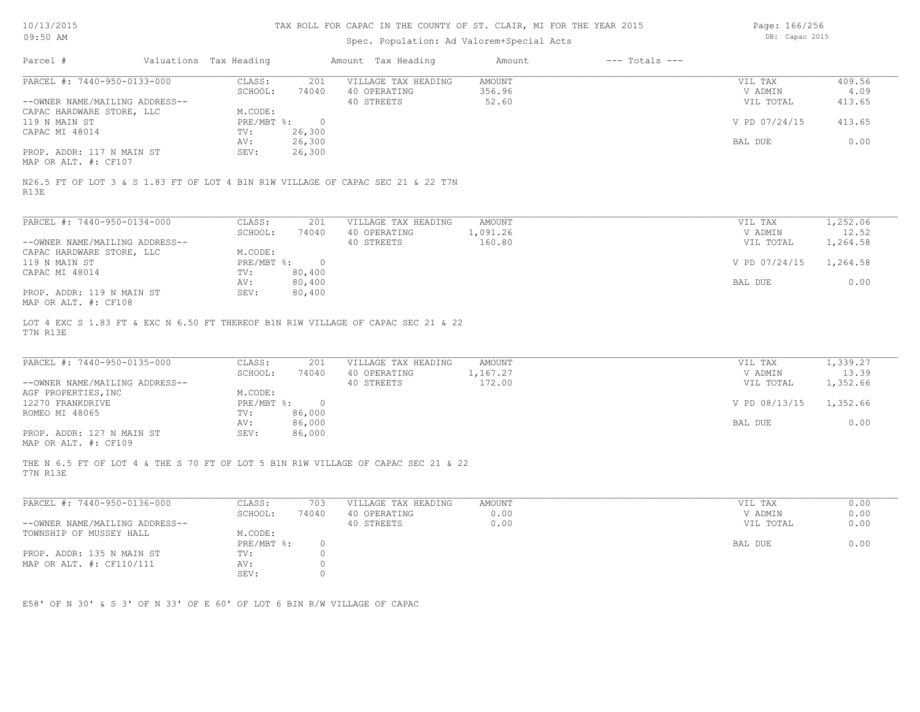# Spec. Population: Ad Valorem+Special Acts

Page: 166/256 DB: Capac 2015

| PARCEL #: 7440-950-0133-000                                                                                                                                                                                                                                                                                | CLASS:<br>201                            | VILLAGE TAX HEADING        | AMOUNT          | VIL TAX              | 409.56   |
|------------------------------------------------------------------------------------------------------------------------------------------------------------------------------------------------------------------------------------------------------------------------------------------------------------|------------------------------------------|----------------------------|-----------------|----------------------|----------|
| --OWNER NAME/MAILING ADDRESS--                                                                                                                                                                                                                                                                             | SCHOOL:<br>74040                         | 40 OPERATING<br>40 STREETS | 356.96<br>52.60 | V ADMIN<br>VIL TOTAL | 4.09     |
| CAPAC HARDWARE STORE, LLC                                                                                                                                                                                                                                                                                  | M.CODE:                                  |                            |                 |                      | 413.65   |
| 119 N MAIN ST                                                                                                                                                                                                                                                                                              | PRE/MBT %: 0                             |                            |                 | V PD 07/24/15        | 413.65   |
| CAPAC MI 48014                                                                                                                                                                                                                                                                                             | 26,300<br>TV:                            |                            |                 |                      |          |
|                                                                                                                                                                                                                                                                                                            | 26,300<br>AV:                            |                            |                 | BAL DUE              | 0.00     |
| PROP. ADDR: 117 N MAIN ST<br>MAP OR ALT. #: CF107                                                                                                                                                                                                                                                          | 26,300<br>SEV:                           |                            |                 |                      |          |
| N26.5 FT OF LOT 3 & S 1.83 FT OF LOT 4 B1N R1W VILLAGE OF CAPAC SEC 21 & 22 T7N<br>R13E                                                                                                                                                                                                                    |                                          |                            |                 |                      |          |
| PARCEL #: 7440-950-0134-000                                                                                                                                                                                                                                                                                | CLASS:<br>201                            | VILLAGE TAX HEADING        | AMOUNT          | VIL TAX              | 1,252.06 |
|                                                                                                                                                                                                                                                                                                            | SCHOOL:<br>74040                         | 40 OPERATING               | 1,091.26        | V ADMIN              | 12.52    |
| --OWNER NAME/MAILING ADDRESS--                                                                                                                                                                                                                                                                             |                                          | 40 STREETS                 | 160.80          | VIL TOTAL            | 1,264.58 |
| CAPAC HARDWARE STORE, LLC                                                                                                                                                                                                                                                                                  | M.CODE:                                  |                            |                 |                      |          |
| 119 N MAIN ST                                                                                                                                                                                                                                                                                              | PRE/MBT %: 0                             |                            |                 | V PD 07/24/15        | 1,264.58 |
| CAPAC MI 48014                                                                                                                                                                                                                                                                                             | 80,400<br>TV:                            |                            |                 |                      |          |
|                                                                                                                                                                                                                                                                                                            | 80,400<br>AV:                            |                            |                 | BAL DUE              | 0.00     |
|                                                                                                                                                                                                                                                                                                            |                                          |                            |                 |                      |          |
|                                                                                                                                                                                                                                                                                                            | 80,400<br>SEV:                           |                            |                 |                      |          |
| PROP. ADDR: 119 N MAIN ST<br>PARCEL #: 7440-950-0135-000                                                                                                                                                                                                                                                   | CLASS:<br>201                            | VILLAGE TAX HEADING        | <b>AMOUNT</b>   | VIL TAX              | 1,339.27 |
|                                                                                                                                                                                                                                                                                                            | SCHOOL:<br>74040                         | 40 OPERATING               | 1,167.27        | V ADMIN              | 13.39    |
| --OWNER NAME/MAILING ADDRESS--                                                                                                                                                                                                                                                                             |                                          | 40 STREETS                 | 172.00          | VIL TOTAL            | 1,352.66 |
|                                                                                                                                                                                                                                                                                                            | M.CODE:                                  |                            |                 |                      |          |
|                                                                                                                                                                                                                                                                                                            | $PRE/MBT$ %:<br>$\overline{\phantom{0}}$ |                            |                 | V PD 08/13/15        | 1,352.66 |
|                                                                                                                                                                                                                                                                                                            | 86,000<br>TV:                            |                            |                 |                      |          |
|                                                                                                                                                                                                                                                                                                            | 86,000<br>AV:                            |                            |                 | BAL DUE              | 0.00     |
| PROP. ADDR: 127 N MAIN ST                                                                                                                                                                                                                                                                                  | SEV:<br>86,000                           |                            |                 |                      |          |
| MAP OR ALT. #: CF108<br>LOT 4 EXC S 1.83 FT & EXC N 6.50 FT THEREOF B1N R1W VILLAGE OF CAPAC SEC 21 & 22<br>T7N R13E<br>AGF PROPERTIES, INC<br>12270 FRANKDRIVE<br>ROMEO MI 48065<br>MAP OR ALT. #: CF109<br>THE N 6.5 FT OF LOT 4 & THE S 70 FT OF LOT 5 B1N R1W VILLAGE OF CAPAC SEC 21 & 22<br>T7N R13E |                                          |                            |                 |                      |          |
| PARCEL #: 7440-950-0136-000                                                                                                                                                                                                                                                                                | CLASS:<br>703                            | VILLAGE TAX HEADING        | <b>AMOUNT</b>   | VIL TAX              | 0.00     |
|                                                                                                                                                                                                                                                                                                            | SCHOOL:<br>74040                         | 40 OPERATING               | 0.00            | V ADMIN              | 0.00     |
|                                                                                                                                                                                                                                                                                                            |                                          | 40 STREETS                 | 0.00            | VIL TOTAL            | 0.00     |
|                                                                                                                                                                                                                                                                                                            | M.CODE:                                  |                            |                 |                      |          |
| --OWNER NAME/MAILING ADDRESS--<br>TOWNSHIP OF MUSSEY HALL                                                                                                                                                                                                                                                  | PRE/MBT %:<br>$\circ$                    |                            |                 | BAL DUE              | 0.00     |
| PROP. ADDR: 135 N MAIN ST<br>MAP OR ALT. #: CF110/111                                                                                                                                                                                                                                                      | $\circ$<br>TV:<br>$\circ$<br>AV:         |                            |                 |                      |          |

E58' OF N 30' & S 3' OF N 33' OF E 60' OF LOT 6 BIN R/W VILLAGE OF CAPAC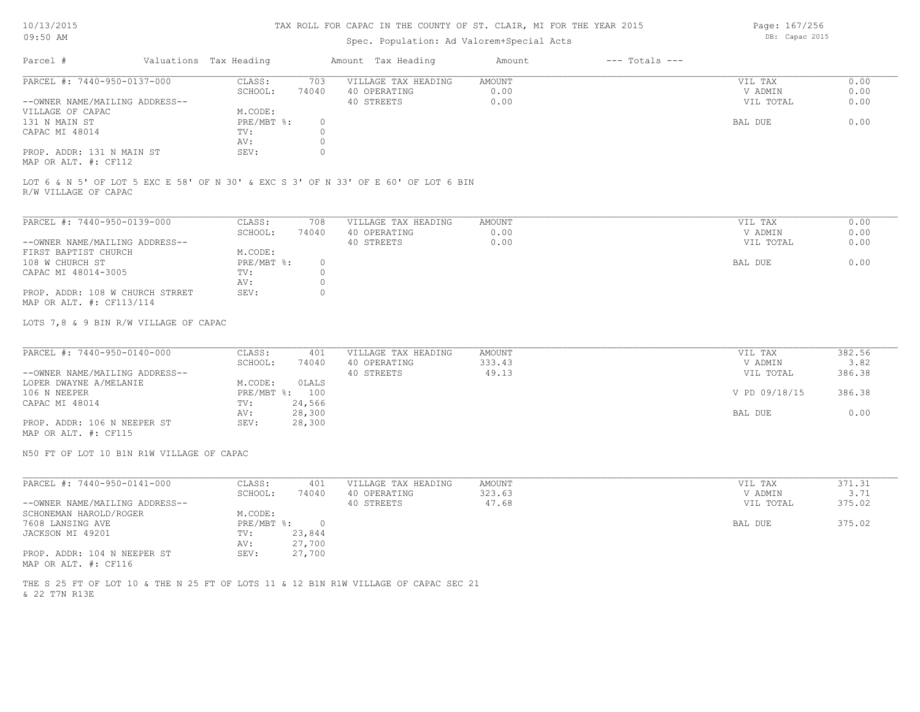# Spec. Population: Ad Valorem+Special Acts

| Parcel #                       | Valuations Tax Heading |       | Amount Tax Heading  | Amount | --- Totals --- |           |      |
|--------------------------------|------------------------|-------|---------------------|--------|----------------|-----------|------|
| PARCEL #: 7440-950-0137-000    | CLASS:                 | 703   | VILLAGE TAX HEADING | AMOUNT |                | VIL TAX   | 0.00 |
|                                | SCHOOL:                | 74040 | 40 OPERATING        | 0.00   |                | V ADMIN   | 0.00 |
| --OWNER NAME/MAILING ADDRESS-- |                        |       | 40 STREETS          | 0.00   |                | VIL TOTAL | 0.00 |
| VILLAGE OF CAPAC               | M.CODE:                |       |                     |        |                |           |      |
| 131 N MAIN ST                  | PRE/MBT %:             |       |                     |        |                | BAL DUE   | 0.00 |
| CAPAC MI 48014                 | TV:                    |       |                     |        |                |           |      |
|                                | AV:                    |       |                     |        |                |           |      |
| PROP. ADDR: 131 N MAIN ST      | SEV:                   |       |                     |        |                |           |      |
|                                |                        |       |                     |        |                |           |      |

MAP OR ALT. #: CF112

R/W VILLAGE OF CAPAC LOT 6 & N 5' OF LOT 5 EXC E 58' OF N 30' & EXC S 3' OF N 33' OF E 60' OF LOT 6 BIN

| PARCEL #: 7440-950-0139-000     | CLASS:     | 708   | VILLAGE TAX HEADING | AMOUNT | VIL TAX   | 0.00 |
|---------------------------------|------------|-------|---------------------|--------|-----------|------|
|                                 | SCHOOL:    | 74040 | 40 OPERATING        | 0.00   | V ADMIN   | 0.00 |
| --OWNER NAME/MAILING ADDRESS--  |            |       | 40 STREETS          | 0.00   | VIL TOTAL | 0.00 |
| FIRST BAPTIST CHURCH            | M.CODE:    |       |                     |        |           |      |
| 108 W CHURCH ST                 | PRE/MBT %: |       |                     |        | BAL DUE   | 0.00 |
| CAPAC MI 48014-3005             | TV:        |       |                     |        |           |      |
|                                 | AV:        |       |                     |        |           |      |
| PROP. ADDR: 108 W CHURCH STRRET | SEV:       |       |                     |        |           |      |
| MAP OR ALT. #: CF113/114        |            |       |                     |        |           |      |

LOTS 7,8 & 9 BIN R/W VILLAGE OF CAPAC

| PARCEL #: 7440-950-0140-000    | CLASS:       | 401    | VILLAGE TAX HEADING | AMOUNT | VIL TAX       | 382.56 |
|--------------------------------|--------------|--------|---------------------|--------|---------------|--------|
|                                | SCHOOL:      | 74040  | 40 OPERATING        | 333.43 | V ADMIN       | 3.82   |
| --OWNER NAME/MAILING ADDRESS-- |              |        | 40 STREETS          | 49.13  | VIL TOTAL     | 386.38 |
| LOPER DWAYNE A/MELANIE         | M.CODE:      | OLALS  |                     |        |               |        |
| 106 N NEEPER                   | $PRE/MBT$ %: | 100    |                     |        | V PD 09/18/15 | 386.38 |
| CAPAC MI 48014                 | TV:          | 24,566 |                     |        |               |        |
|                                | AV:          | 28,300 |                     |        | BAL DUE       | 0.00   |
| PROP. ADDR: 106 N NEEPER ST    | SEV:         | 28,300 |                     |        |               |        |
|                                |              |        |                     |        |               |        |

MAP OR ALT. #: CF115

N50 FT OF LOT 10 B1N R1W VILLAGE OF CAPAC

| PARCEL #: 7440-950-0141-000    | CLASS:       | 401    | VILLAGE TAX HEADING | AMOUNT | VIL TAX   | 371.31 |
|--------------------------------|--------------|--------|---------------------|--------|-----------|--------|
|                                | SCHOOL:      | 74040  | 40 OPERATING        | 323.63 | V ADMIN   | 3.71   |
| --OWNER NAME/MAILING ADDRESS-- |              |        | 40 STREETS          | 47.68  | VIL TOTAL | 375.02 |
| SCHONEMAN HAROLD/ROGER         | M.CODE:      |        |                     |        |           |        |
| 7608 LANSING AVE               | $PRE/MBT$ %: |        |                     |        | BAL DUE   | 375.02 |
| JACKSON MI 49201               | TV:          | 23,844 |                     |        |           |        |
|                                | AV:          | 27,700 |                     |        |           |        |
| PROP. ADDR: 104 N NEEPER ST    | SEV:         | 27,700 |                     |        |           |        |
| MAP OR ALT. #: CF116           |              |        |                     |        |           |        |

& 22 T7N R13E THE S 25 FT OF LOT 10 & THE N 25 FT OF LOTS 11 & 12 B1N R1W VILLAGE OF CAPAC SEC 21 Page: 167/256 DB: Capac 2015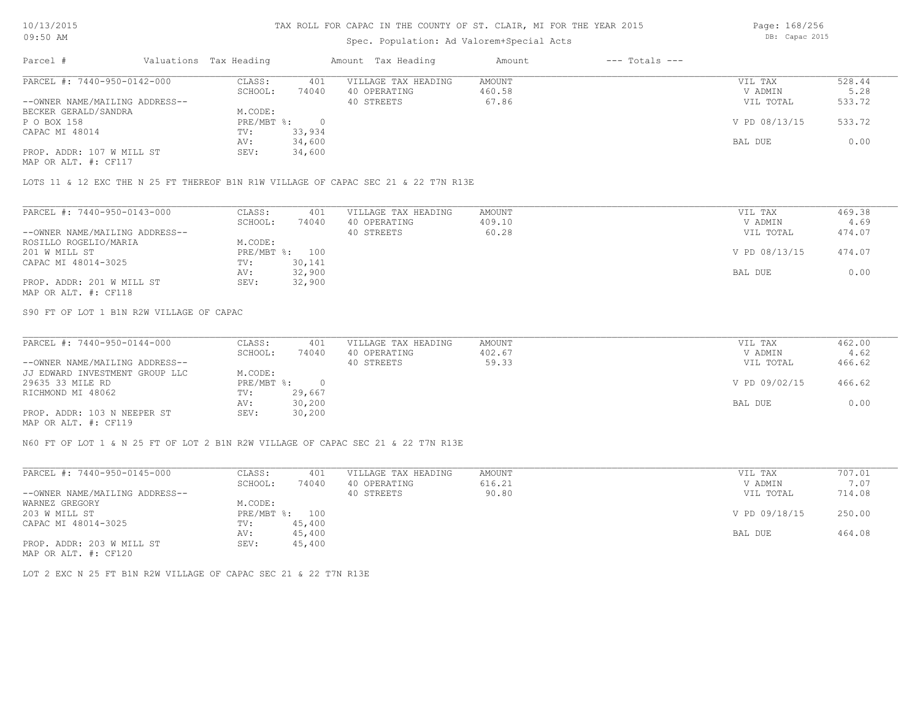## Spec. Population: Ad Valorem+Special Acts

Page: 168/256 DB: Capac 2015

| Parcel #                       | Valuations Tax Heading |        | Amount Tax Heading  | Amount | $---$ Totals $---$ |               |        |
|--------------------------------|------------------------|--------|---------------------|--------|--------------------|---------------|--------|
| PARCEL #: 7440-950-0142-000    | CLASS:                 | 401    | VILLAGE TAX HEADING | AMOUNT |                    | VIL TAX       | 528.44 |
|                                | SCHOOL:                | 74040  | 40 OPERATING        | 460.58 |                    | V ADMIN       | 5.28   |
| --OWNER NAME/MAILING ADDRESS-- |                        |        | 40 STREETS          | 67.86  |                    | VIL TOTAL     | 533.72 |
| BECKER GERALD/SANDRA           | M.CODE:                |        |                     |        |                    |               |        |
| P O BOX 158                    | PRE/MBT %:             |        |                     |        |                    | V PD 08/13/15 | 533.72 |
| CAPAC MI 48014                 | TV:                    | 33,934 |                     |        |                    |               |        |
|                                | AV:                    | 34,600 |                     |        |                    | BAL DUE       | 0.00   |
| PROP. ADDR: 107 W MILL ST      | SEV:                   | 34,600 |                     |        |                    |               |        |
| MAP OR ALT. #: CF117           |                        |        |                     |        |                    |               |        |

LOTS 11 & 12 EXC THE N 25 FT THEREOF B1N R1W VILLAGE OF CAPAC SEC 21 & 22 T7N R13E

| PARCEL #: 7440-950-0143-000    | CLASS:     | 401    | VILLAGE TAX HEADING | AMOUNT | VIL TAX       | 469.38 |
|--------------------------------|------------|--------|---------------------|--------|---------------|--------|
|                                | SCHOOL:    | 74040  | 40 OPERATING        | 409.10 | V ADMIN       | 4.69   |
| --OWNER NAME/MAILING ADDRESS-- |            |        | 40 STREETS          | 60.28  | VIL TOTAL     | 474.07 |
| ROSILLO ROGELIO/MARIA          | M.CODE:    |        |                     |        |               |        |
| 201 W MILL ST                  | PRE/MBT %: | 100    |                     |        | V PD 08/13/15 | 474.07 |
| CAPAC MI 48014-3025            | TV:        | 30,141 |                     |        |               |        |
|                                | AV:        | 32,900 |                     |        | BAL DUE       | 0.00   |
| PROP. ADDR: 201 W MILL ST      | SEV:       | 32,900 |                     |        |               |        |
| MAP OR ALT. #: CF118           |            |        |                     |        |               |        |

S90 FT OF LOT 1 B1N R2W VILLAGE OF CAPAC

| PARCEL #: 7440-950-0144-000    | CLASS:     | 401    | VILLAGE TAX HEADING | AMOUNT | VIL TAX       | 462.00 |
|--------------------------------|------------|--------|---------------------|--------|---------------|--------|
|                                | SCHOOL:    | 74040  | 40 OPERATING        | 402.67 | V ADMIN       | 4.62   |
| --OWNER NAME/MAILING ADDRESS-- |            |        | 40 STREETS          | 59.33  | VIL TOTAL     | 466.62 |
| JJ EDWARD INVESTMENT GROUP LLC | M.CODE:    |        |                     |        |               |        |
| 29635 33 MILE RD               | PRE/MBT %: |        |                     |        | V PD 09/02/15 | 466.62 |
| RICHMOND MI 48062              | TV:        | 29,667 |                     |        |               |        |
|                                | AV:        | 30,200 |                     |        | BAL DUE       | 0.00   |
| PROP. ADDR: 103 N NEEPER ST    | SEV:       | 30,200 |                     |        |               |        |
| MAP OR ALT. #: CF119           |            |        |                     |        |               |        |

N60 FT OF LOT 1 & N 25 FT OF LOT 2 B1N R2W VILLAGE OF CAPAC SEC 21 & 22 T7N R13E

| PARCEL #: 7440-950-0145-000    | CLASS:       | 401    | VILLAGE TAX HEADING | AMOUNT | VIL TAX       | 707.01 |
|--------------------------------|--------------|--------|---------------------|--------|---------------|--------|
|                                | SCHOOL:      | 74040  | 40 OPERATING        | 616.21 | V ADMIN       | 7.07   |
| --OWNER NAME/MAILING ADDRESS-- |              |        | 40 STREETS          | 90.80  | VIL TOTAL     | 714.08 |
| WARNEZ GREGORY                 | M.CODE:      |        |                     |        |               |        |
| 203 W MILL ST                  | $PRE/MBT$ %: | 100    |                     |        | V PD 09/18/15 | 250.00 |
| CAPAC MI 48014-3025            | TV:          | 45,400 |                     |        |               |        |
|                                | AV:          | 45,400 |                     |        | BAL DUE       | 464.08 |
| PROP. ADDR: 203 W MILL ST      | SEV:         | 45,400 |                     |        |               |        |
| MAP OR ALT. #: CF120           |              |        |                     |        |               |        |

LOT 2 EXC N 25 FT B1N R2W VILLAGE OF CAPAC SEC 21 & 22 T7N R13E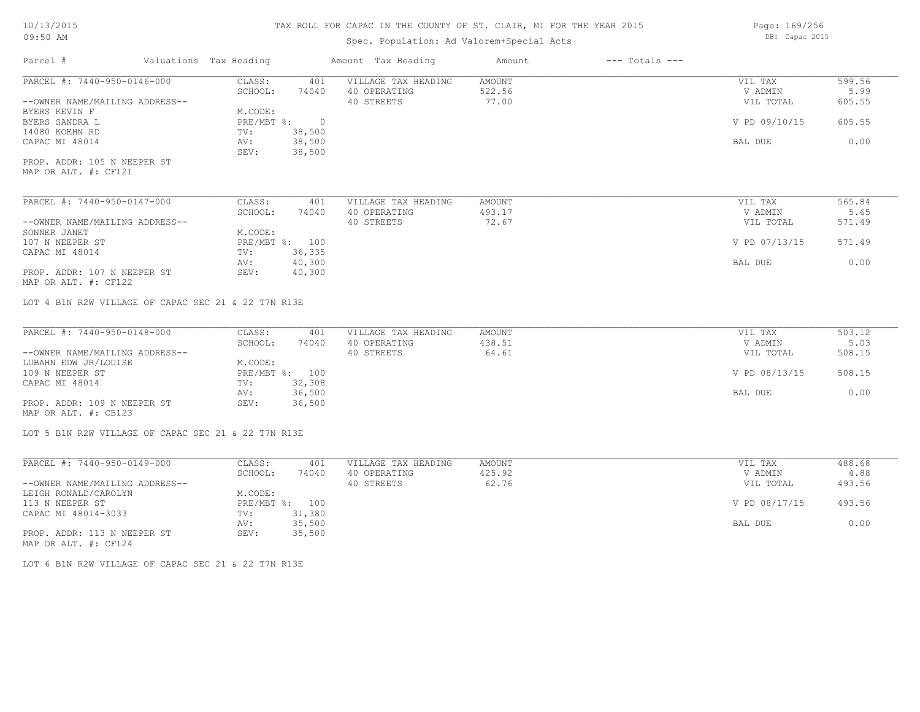## Spec. Population: Ad Valorem+Special Acts

Page: 169/256 DB: Capac 2015

| Parcel #                                            | Valuations Tax Heading |                  | Amount Tax Heading  | Amount | $---$ Totals $---$ |               |        |
|-----------------------------------------------------|------------------------|------------------|---------------------|--------|--------------------|---------------|--------|
| PARCEL #: 7440-950-0146-000                         | CLASS:                 | 401              | VILLAGE TAX HEADING | AMOUNT |                    | VIL TAX       | 599.56 |
|                                                     | SCHOOL:                | 74040            | 40 OPERATING        | 522.56 |                    | V ADMIN       | 5.99   |
| --OWNER NAME/MAILING ADDRESS--                      |                        |                  | 40 STREETS          | 77.00  |                    | VIL TOTAL     | 605.55 |
| BYERS KEVIN F                                       | M.CODE:                |                  |                     |        |                    |               |        |
| BYERS SANDRA L                                      | PRE/MBT %:             | $\overline{0}$   |                     |        |                    | V PD 09/10/15 | 605.55 |
| 14080 KOEHN RD                                      | TV:                    | 38,500           |                     |        |                    |               |        |
| CAPAC MI 48014                                      | AV:<br>SEV:            | 38,500<br>38,500 |                     |        |                    | BAL DUE       | 0.00   |
| PROP. ADDR: 105 N NEEPER ST                         |                        |                  |                     |        |                    |               |        |
| MAP OR ALT. #: CF121                                |                        |                  |                     |        |                    |               |        |
| PARCEL #: 7440-950-0147-000                         | CLASS:                 | 401              | VILLAGE TAX HEADING | AMOUNT |                    | VIL TAX       | 565.84 |
|                                                     | SCHOOL:                | 74040            | 40 OPERATING        | 493.17 |                    | V ADMIN       | 5.65   |
| --OWNER NAME/MAILING ADDRESS--                      |                        |                  | 40 STREETS          | 72.67  |                    | VIL TOTAL     | 571.49 |
| SONNER JANET                                        | M.CODE:                |                  |                     |        |                    |               |        |
| 107 N NEEPER ST                                     |                        | PRE/MBT %: 100   |                     |        |                    | V PD 07/13/15 | 571.49 |
| CAPAC MI 48014                                      | TV:                    | 36,335           |                     |        |                    |               |        |
|                                                     | AV:                    | 40,300           |                     |        |                    | BAL DUE       | 0.00   |
| PROP. ADDR: 107 N NEEPER ST<br>MAP OR ALT. #: CF122 | SEV:                   | 40,300           |                     |        |                    |               |        |
| LOT 4 B1N R2W VILLAGE OF CAPAC SEC 21 & 22 T7N R13E |                        |                  |                     |        |                    |               |        |
| PARCEL #: 7440-950-0148-000                         | CLASS:                 | 401              | VILLAGE TAX HEADING | AMOUNT |                    | VIL TAX       | 503.12 |
|                                                     | SCHOOL:                | 74040            | 40 OPERATING        | 438.51 |                    | V ADMIN       | 5.03   |
| --OWNER NAME/MAILING ADDRESS--                      |                        |                  | 40 STREETS          | 64.61  |                    | VIL TOTAL     | 508.15 |
| LUBAHN EDW JR/LOUISE                                | M.CODE:                |                  |                     |        |                    |               |        |
| 109 N NEEPER ST                                     |                        | PRE/MBT %: 100   |                     |        |                    | V PD 08/13/15 | 508.15 |
| CAPAC MI 48014                                      | TV:                    | 32,308           |                     |        |                    |               |        |
|                                                     | AV:                    | 36,500           |                     |        |                    | BAL DUE       | 0.00   |
| PROP. ADDR: 109 N NEEPER ST                         | SEV:                   | 36,500           |                     |        |                    |               |        |
| MAP OR ALT. #: CB123                                |                        |                  |                     |        |                    |               |        |
| LOT 5 B1N R2W VILLAGE OF CAPAC SEC 21 & 22 T7N R13E |                        |                  |                     |        |                    |               |        |
| PARCEL #: 7440-950-0149-000                         | CLASS:                 | 401              | VILLAGE TAX HEADING | AMOUNT |                    | VIL TAX       | 488.68 |
|                                                     | SCHOOL:                | 74040            | 40 OPERATING        | 425.92 |                    | V ADMIN       | 4.88   |
| --OWNER NAME/MAILING ADDRESS--                      |                        |                  | 40 STREETS          | 62.76  |                    | VIL TOTAL     | 493.56 |
| LEIGH RONALD/CAROLYN                                | M.CODE:                |                  |                     |        |                    |               |        |
| 113 N NEEPER ST                                     |                        | PRE/MBT %: 100   |                     |        |                    | V PD 08/17/15 | 493.56 |
| CAPAC MI 48014-3033                                 | TV:                    | 31,380           |                     |        |                    |               |        |
|                                                     |                        |                  |                     |        |                    |               |        |

AV: 35,500 BAL DUE 0.00

LOT 6 B1N R2W VILLAGE OF CAPAC SEC 21 & 22 T7N R13E

PROP. ADDR: 113 N NEEPER ST SEV: 35,500

MAP OR ALT. #: CF124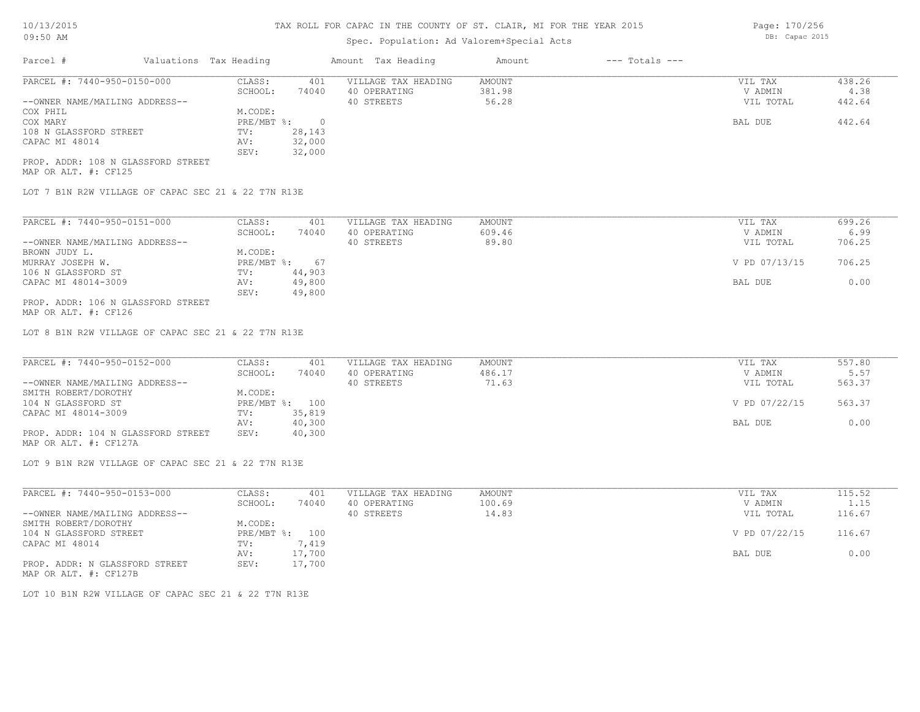# Spec. Population: Ad Valorem+Special Acts

| Parcel #                           | Valuations Tax Heading |        | Amount Tax Heading  | Amount | $---$ Totals $---$ |           |        |
|------------------------------------|------------------------|--------|---------------------|--------|--------------------|-----------|--------|
| PARCEL #: 7440-950-0150-000        | CLASS:                 | 401    | VILLAGE TAX HEADING | AMOUNT |                    | VIL TAX   | 438.26 |
|                                    | SCHOOL:                | 74040  | 40 OPERATING        | 381.98 |                    | V ADMIN   | 4.38   |
| --OWNER NAME/MAILING ADDRESS--     |                        |        | 40 STREETS          | 56.28  |                    | VIL TOTAL | 442.64 |
| COX PHIL                           | M.CODE:                |        |                     |        |                    |           |        |
| COX MARY                           | PRE/MBT %:             |        |                     |        |                    | BAL DUE   | 442.64 |
| 108 N GLASSFORD STREET             | TV:                    | 28,143 |                     |        |                    |           |        |
| CAPAC MI 48014                     | AV:                    | 32,000 |                     |        |                    |           |        |
|                                    | SEV:                   | 32,000 |                     |        |                    |           |        |
| PROP. ADDR: 108 N GLASSFORD STREET |                        |        |                     |        |                    |           |        |

MAP OR ALT. #: CF125

LOT 7 B1N R2W VILLAGE OF CAPAC SEC 21 & 22 T7N R13E

| PARCEL #: 7440-950-0151-000        | CLASS:     | 401    | VILLAGE TAX HEADING | AMOUNT | 699.26<br>VIL TAX       |
|------------------------------------|------------|--------|---------------------|--------|-------------------------|
|                                    | SCHOOL:    | 74040  | 40 OPERATING        | 609.46 | 6.99<br>V ADMIN         |
| --OWNER NAME/MAILING ADDRESS--     |            |        | 40 STREETS          | 89.80  | 706.25<br>VIL TOTAL     |
| BROWN JUDY L.                      | M.CODE:    |        |                     |        |                         |
| MURRAY JOSEPH W.                   | PRE/MBT %: | 67     |                     |        | V PD 07/13/15<br>706.25 |
| 106 N GLASSFORD ST                 | TV:        | 44,903 |                     |        |                         |
| CAPAC MI 48014-3009                | AV:        | 49,800 |                     |        | 0.00<br>BAL DUE         |
|                                    | SEV:       | 49,800 |                     |        |                         |
| PROP. ADDR: 106 N GLASSFORD STREET |            |        |                     |        |                         |

MAP OR ALT. #: CF126

LOT 8 B1N R2W VILLAGE OF CAPAC SEC 21 & 22 T7N R13E

| PARCEL #: 7440-950-0152-000        | CLASS:  | 401            | VILLAGE TAX HEADING | AMOUNT | VIL TAX       | 557.80 |
|------------------------------------|---------|----------------|---------------------|--------|---------------|--------|
|                                    | SCHOOL: | 74040          | 40 OPERATING        | 486.17 | V ADMIN       | 5.57   |
| --OWNER NAME/MAILING ADDRESS--     |         |                | 40 STREETS          | 71.63  | VIL TOTAL     | 563.37 |
| SMITH ROBERT/DOROTHY               | M.CODE: |                |                     |        |               |        |
| 104 N GLASSFORD ST                 |         | PRE/MBT %: 100 |                     |        | V PD 07/22/15 | 563.37 |
| CAPAC MI 48014-3009                | TV:     | 35,819         |                     |        |               |        |
|                                    | AV:     | 40,300         |                     |        | BAL DUE       | 0.00   |
| PROP. ADDR: 104 N GLASSFORD STREET | SEV:    | 40,300         |                     |        |               |        |

MAP OR ALT. #: CF127A

LOT 9 B1N R2W VILLAGE OF CAPAC SEC 21 & 22 T7N R13E

| PARCEL #: 7440-950-0153-000    | CLASS:     | 401    | VILLAGE TAX HEADING | AMOUNT | VIL TAX       | 115.52 |
|--------------------------------|------------|--------|---------------------|--------|---------------|--------|
|                                | SCHOOL:    | 74040  | 40 OPERATING        | 100.69 | V ADMIN       | 1.15   |
| --OWNER NAME/MAILING ADDRESS-- |            |        | 40 STREETS          | 14.83  | VIL TOTAL     | 116.67 |
| SMITH ROBERT/DOROTHY           | M.CODE:    |        |                     |        |               |        |
| 104 N GLASSFORD STREET         | PRE/MBT %: | 100    |                     |        | V PD 07/22/15 | 116.67 |
| CAPAC MI 48014                 | TV:        | 7,419  |                     |        |               |        |
|                                | AV:        | 17,700 |                     |        | BAL DUE       | 0.00   |
| PROP. ADDR: N GLASSFORD STREET | SEV:       | 17,700 |                     |        |               |        |
| MAP OR ALT. #: CF127B          |            |        |                     |        |               |        |

LOT 10 B1N R2W VILLAGE OF CAPAC SEC 21 & 22 T7N R13E

Page: 170/256 DB: Capac 2015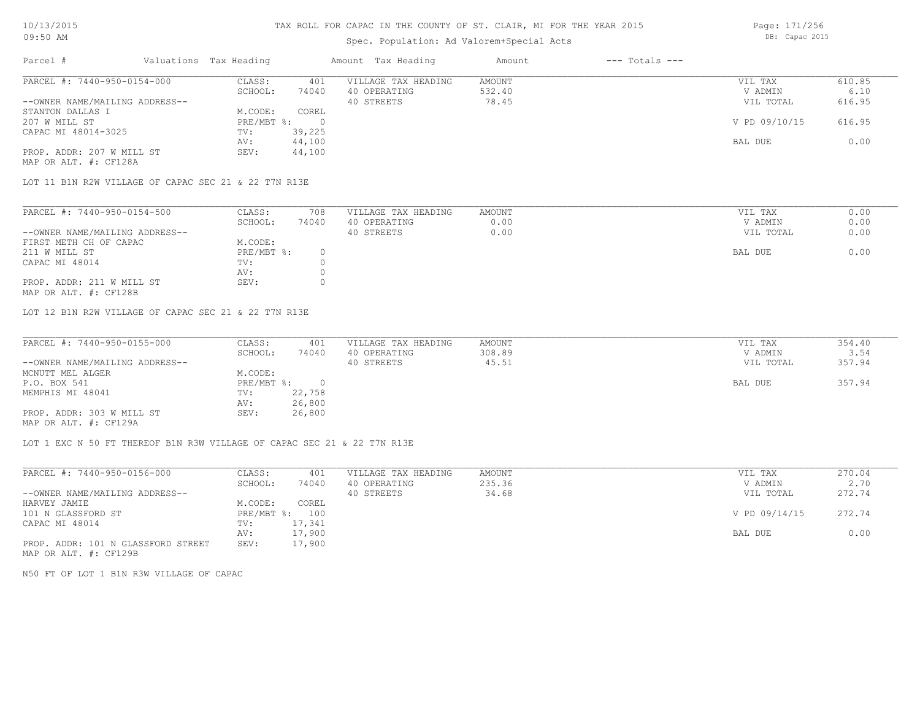# Spec. Population: Ad Valorem+Special Acts

Page: 171/256 DB: Capac 2015

| Parcel #                       | Valuations Tax Heading |        | Amount Tax Heading  | Amount | $---$ Totals $---$ |               |        |
|--------------------------------|------------------------|--------|---------------------|--------|--------------------|---------------|--------|
| PARCEL #: 7440-950-0154-000    | CLASS:                 | 401    | VILLAGE TAX HEADING | AMOUNT |                    | VIL TAX       | 610.85 |
|                                | SCHOOL:                | 74040  | 40 OPERATING        | 532.40 |                    | V ADMIN       | 6.10   |
| --OWNER NAME/MAILING ADDRESS-- |                        |        | 40 STREETS          | 78.45  |                    | VIL TOTAL     | 616.95 |
| STANTON DALLAS I               | M.CODE:                | COREL  |                     |        |                    |               |        |
| 207 W MILL ST                  | $PRE/MBT$ %:           |        |                     |        |                    | V PD 09/10/15 | 616.95 |
| CAPAC MI 48014-3025            | TV:                    | 39,225 |                     |        |                    |               |        |
|                                | AV:                    | 44,100 |                     |        |                    | BAL DUE       | 0.00   |
| PROP. ADDR: 207 W MILL ST      | SEV:                   | 44,100 |                     |        |                    |               |        |
| MAP OR ALT. #: CF128A          |                        |        |                     |        |                    |               |        |

LOT 11 B1N R2W VILLAGE OF CAPAC SEC 21 & 22 T7N R13E

| PARCEL #: 7440-950-0154-500    | CLASS:     | 708   | VILLAGE TAX HEADING | AMOUNT | VIL TAX   | 0.00 |
|--------------------------------|------------|-------|---------------------|--------|-----------|------|
|                                | SCHOOL:    | 74040 | 40 OPERATING        | 0.00   | V ADMIN   | 0.00 |
| --OWNER NAME/MAILING ADDRESS-- |            |       | 40 STREETS          | 0.00   | VIL TOTAL | 0.00 |
| FIRST METH CH OF CAPAC         | M.CODE:    |       |                     |        |           |      |
| 211 W MILL ST                  | PRE/MBT %: |       |                     |        | BAL DUE   | 0.00 |
| CAPAC MI 48014                 | TV:        |       |                     |        |           |      |
|                                | AV:        |       |                     |        |           |      |
| PROP. ADDR: 211 W MILL ST      | SEV:       |       |                     |        |           |      |

MAP OR ALT. #: CF128B

LOT 12 B1N R2W VILLAGE OF CAPAC SEC 21 & 22 T7N R13E

| PARCEL #: 7440-950-0155-000    | CLASS:     | 401    | VILLAGE TAX HEADING | AMOUNT | VIL TAX   | 354.40 |
|--------------------------------|------------|--------|---------------------|--------|-----------|--------|
|                                | SCHOOL:    | 74040  | 40 OPERATING        | 308.89 | V ADMIN   | 3.54   |
| --OWNER NAME/MAILING ADDRESS-- |            |        | 40 STREETS          | 45.51  | VIL TOTAL | 357.94 |
| MCNUTT MEL ALGER               | M.CODE:    |        |                     |        |           |        |
| P.O. BOX 541                   | PRE/MBT %: |        |                     |        | BAL DUE   | 357.94 |
| MEMPHIS MI 48041               | TV:        | 22,758 |                     |        |           |        |
|                                | AV:        | 26,800 |                     |        |           |        |
| PROP. ADDR: 303 W MILL ST      | SEV:       | 26,800 |                     |        |           |        |
| MAP OR ALT. #: CF129A          |            |        |                     |        |           |        |

 $\mathcal{L}_\mathcal{L} = \mathcal{L}_\mathcal{L} = \mathcal{L}_\mathcal{L} = \mathcal{L}_\mathcal{L} = \mathcal{L}_\mathcal{L} = \mathcal{L}_\mathcal{L} = \mathcal{L}_\mathcal{L} = \mathcal{L}_\mathcal{L} = \mathcal{L}_\mathcal{L} = \mathcal{L}_\mathcal{L} = \mathcal{L}_\mathcal{L} = \mathcal{L}_\mathcal{L} = \mathcal{L}_\mathcal{L} = \mathcal{L}_\mathcal{L} = \mathcal{L}_\mathcal{L} = \mathcal{L}_\mathcal{L} = \mathcal{L}_\mathcal{L}$ 

LOT 1 EXC N 50 FT THEREOF B1N R3W VILLAGE OF CAPAC SEC 21 & 22 T7N R13E

| PARCEL #: 7440-950-0156-000        | CLASS:       | 401    | VILLAGE TAX HEADING | AMOUNT | VIL TAX       | 270.04 |
|------------------------------------|--------------|--------|---------------------|--------|---------------|--------|
|                                    | SCHOOL:      | 74040  | 40 OPERATING        | 235.36 | V ADMIN       | 2.70   |
| --OWNER NAME/MAILING ADDRESS--     |              |        | 40 STREETS          | 34.68  | VIL TOTAL     | 272.74 |
| HARVEY JAMIE                       | M.CODE:      | COREL  |                     |        |               |        |
| 101 N GLASSFORD ST                 | $PRE/MBT$ %: | 100    |                     |        | V PD 09/14/15 | 272.74 |
| CAPAC MI 48014                     | TV:          | 17,341 |                     |        |               |        |
|                                    | AV:          | 17,900 |                     |        | BAL DUE       | 0.00   |
| PROP. ADDR: 101 N GLASSFORD STREET | SEV:         | 17,900 |                     |        |               |        |

MAP OR ALT. #: CF129B

N50 FT OF LOT 1 B1N R3W VILLAGE OF CAPAC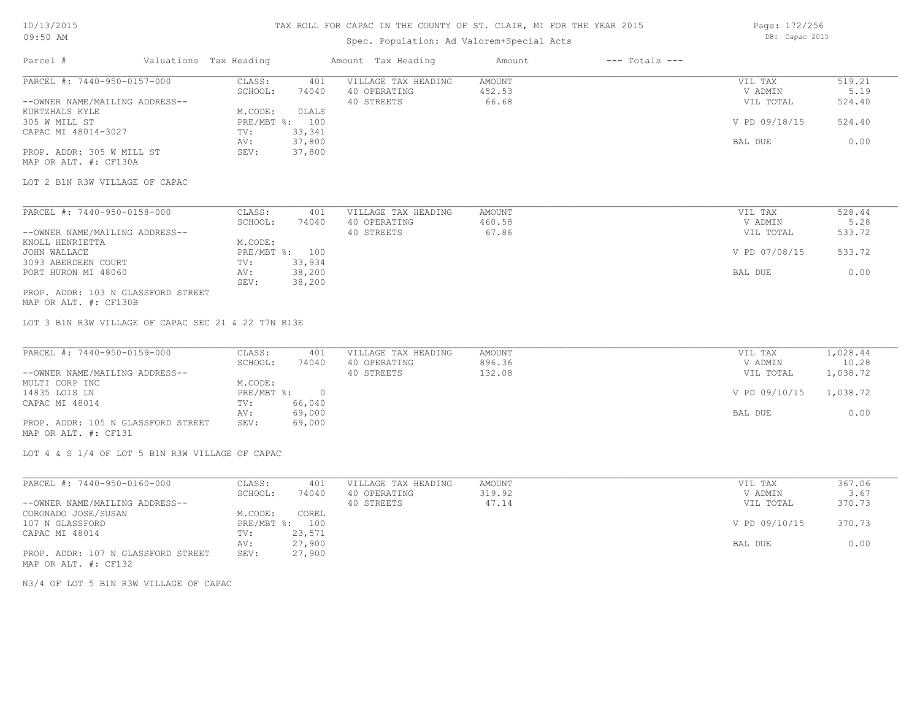# Spec. Population: Ad Valorem+Special Acts

Page: 172/256 DB: Capac 2015

| Parcel #                                                                           | Valuations Tax Heading             | Amount Tax Heading                  | Amount | $---$ Totals $---$ |               |                |
|------------------------------------------------------------------------------------|------------------------------------|-------------------------------------|--------|--------------------|---------------|----------------|
| PARCEL #: 7440-950-0157-000                                                        | CLASS:<br>401                      | VILLAGE TAX HEADING                 | AMOUNT |                    | VIL TAX       | 519.21         |
|                                                                                    | SCHOOL:<br>74040                   | 40 OPERATING                        | 452.53 |                    | V ADMIN       | 5.19           |
| --OWNER NAME/MAILING ADDRESS--                                                     |                                    | 40 STREETS                          | 66.68  |                    | VIL TOTAL     | 524.40         |
| KURTZHALS KYLE                                                                     | M.CODE:<br>OLALS                   |                                     |        |                    |               |                |
| 305 W MILL ST                                                                      | PRE/MBT %: 100                     |                                     |        |                    | V PD 09/18/15 | 524.40         |
| CAPAC MI 48014-3027                                                                | 33,341<br>TV:                      |                                     |        |                    |               |                |
|                                                                                    | 37,800<br>AV:                      |                                     |        |                    | BAL DUE       | 0.00           |
| PROP. ADDR: 305 W MILL ST                                                          | 37,800<br>SEV:                     |                                     |        |                    |               |                |
| MAP OR ALT. #: CF130A                                                              |                                    |                                     |        |                    |               |                |
| LOT 2 B1N R3W VILLAGE OF CAPAC                                                     |                                    |                                     |        |                    |               |                |
|                                                                                    |                                    |                                     |        |                    |               |                |
| PARCEL #: 7440-950-0158-000                                                        | CLASS:<br>401                      | VILLAGE TAX HEADING<br>40 OPERATING | AMOUNT |                    | VIL TAX       | 528.44<br>5.28 |
|                                                                                    | SCHOOL:<br>74040                   |                                     | 460.58 |                    | V ADMIN       |                |
| --OWNER NAME/MAILING ADDRESS--                                                     |                                    | 40 STREETS                          | 67.86  |                    | VIL TOTAL     | 533.72         |
| KNOLL HENRIETTA                                                                    | M.CODE:                            |                                     |        |                    |               |                |
| JOHN WALLACE                                                                       | PRE/MBT %: 100                     |                                     |        |                    | V PD 07/08/15 | 533.72         |
| 3093 ABERDEEN COURT                                                                | 33,934<br>TV:                      |                                     |        |                    |               |                |
| PORT HURON MI 48060                                                                | 38,200<br>AV:<br>38,200<br>SEV:    |                                     |        |                    | BAL DUE       | 0.00           |
| PROP. ADDR: 103 N GLASSFORD STREET                                                 |                                    |                                     |        |                    |               |                |
| MAP OR ALT. #: CF130B                                                              |                                    |                                     |        |                    |               |                |
| LOT 3 B1N R3W VILLAGE OF CAPAC SEC 21 & 22 T7N R13E<br>PARCEL #: 7440-950-0159-000 | CLASS:<br>401                      | VILLAGE TAX HEADING                 | AMOUNT |                    | VIL TAX       | 1,028.44       |
|                                                                                    | SCHOOL:<br>74040                   | 40 OPERATING                        | 896.36 |                    | V ADMIN       | 10.28          |
| --OWNER NAME/MAILING ADDRESS--                                                     |                                    | 40 STREETS                          | 132.08 |                    | VIL TOTAL     | 1,038.72       |
|                                                                                    | M.CODE:                            |                                     |        |                    |               |                |
| MULTI CORP INC                                                                     |                                    |                                     |        |                    |               |                |
| 14835 LOIS LN                                                                      | $PRE/MBT$ $\div$<br>$\overline{0}$ |                                     |        |                    | V PD 09/10/15 | 1,038.72       |
| CAPAC MI 48014                                                                     | 66,040<br>TV:                      |                                     |        |                    |               |                |
|                                                                                    | 69,000<br>AV:                      |                                     |        |                    | BAL DUE       | 0.00           |
| PROP. ADDR: 105 N GLASSFORD STREET<br>MAP OR ALT. #: CF131                         | 69,000<br>SEV:                     |                                     |        |                    |               |                |
| LOT 4 & S 1/4 OF LOT 5 B1N R3W VILLAGE OF CAPAC                                    |                                    |                                     |        |                    |               |                |
| PARCEL #: 7440-950-0160-000                                                        | CLASS:<br>401                      | VILLAGE TAX HEADING                 | AMOUNT |                    | VIL TAX       | 367.06         |
|                                                                                    | SCHOOL:<br>74040                   | 40 OPERATING                        | 319.92 |                    | V ADMIN       | 3.67           |
| --OWNER NAME/MAILING ADDRESS--                                                     |                                    | 40 STREETS                          | 47.14  |                    | VIL TOTAL     | 370.73         |
| CORONADO JOSE/SUSAN                                                                | M.CODE:<br>COREL                   |                                     |        |                    |               |                |
| 107 N GLASSFORD                                                                    | PRE/MBT %: 100                     |                                     |        |                    | V PD 09/10/15 | 370.73         |
|                                                                                    | 23,571<br>TV:                      |                                     |        |                    |               |                |
| CAPAC MI 48014                                                                     |                                    |                                     |        |                    |               |                |

AV: 27,900 BAL DUE 0.00

N3/4 OF LOT 5 B1N R3W VILLAGE OF CAPAC

PROP. ADDR: 107 N GLASSFORD STREET SEV: 27,900

MAP OR ALT. #: CF132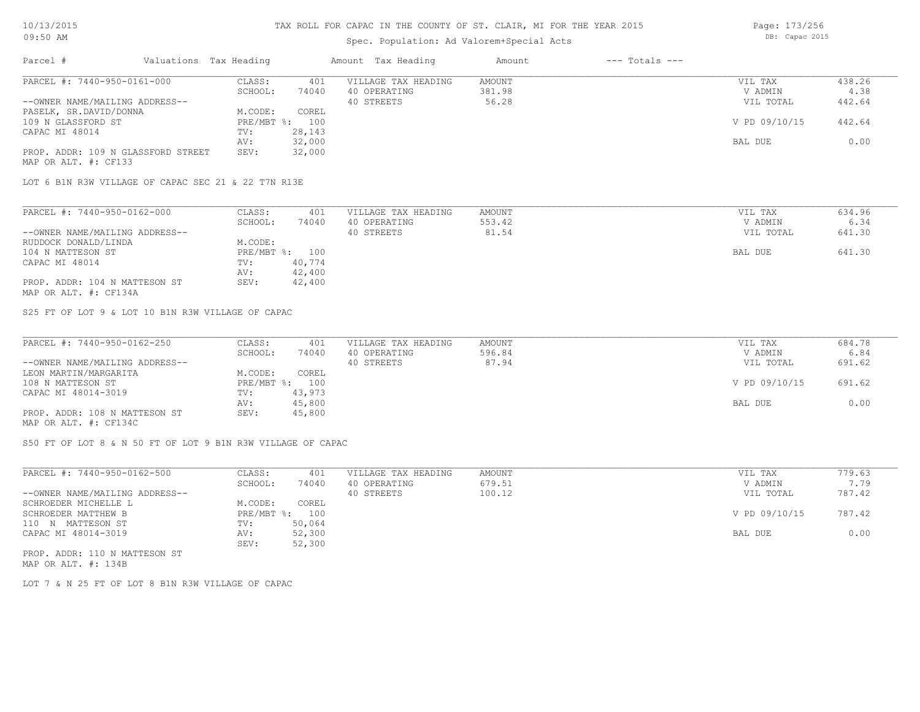## Spec. Population: Ad Valorem+Special Acts

| Parcel #                           | Valuations Tax Heading |        | Amount Tax Heading  | Amount | $---$ Totals $---$ |               |        |
|------------------------------------|------------------------|--------|---------------------|--------|--------------------|---------------|--------|
| PARCEL #: 7440-950-0161-000        | CLASS:                 | 401    | VILLAGE TAX HEADING | AMOUNT |                    | VIL TAX       | 438.26 |
|                                    | SCHOOL:                | 74040  | 40 OPERATING        | 381.98 |                    | V ADMIN       | 4.38   |
| --OWNER NAME/MAILING ADDRESS--     |                        |        | 40 STREETS          | 56.28  |                    | VIL TOTAL     | 442.64 |
| PASELK, SR.DAVID/DONNA             | M.CODE:                | COREL  |                     |        |                    |               |        |
| 109 N GLASSFORD ST                 | PRE/MBT %: 100         |        |                     |        |                    | V PD 09/10/15 | 442.64 |
| CAPAC MI 48014                     | TV:                    | 28,143 |                     |        |                    |               |        |
|                                    | AV:                    | 32,000 |                     |        |                    | BAL DUE       | 0.00   |
| PROP. ADDR: 109 N GLASSFORD STREET | SEV:                   | 32,000 |                     |        |                    |               |        |
|                                    |                        |        |                     |        |                    |               |        |

MAP OR ALT. #: CF133

LOT 6 B1N R3W VILLAGE OF CAPAC SEC 21 & 22 T7N R13E

| PARCEL #: 7440-950-0162-000    | CLASS:  | 401            | VILLAGE TAX HEADING | AMOUNT | VIL TAX   | 634.96 |
|--------------------------------|---------|----------------|---------------------|--------|-----------|--------|
|                                | SCHOOL: | 74040          | 40 OPERATING        | 553.42 | V ADMIN   | 6.34   |
| --OWNER NAME/MAILING ADDRESS-- |         |                | 40 STREETS          | 81.54  | VIL TOTAL | 641.30 |
| RUDDOCK DONALD/LINDA           | M.CODE: |                |                     |        |           |        |
| 104 N MATTESON ST              |         | PRE/MBT %: 100 |                     |        | BAL DUE   | 641.30 |
| CAPAC MI 48014                 | TV:     | 40,774         |                     |        |           |        |
|                                | AV:     | 42,400         |                     |        |           |        |
| PROP. ADDR: 104 N MATTESON ST  | SEV:    | 42,400         |                     |        |           |        |
| MAP OR ALT. #: CF134A          |         |                |                     |        |           |        |

S25 FT OF LOT 9 & LOT 10 B1N R3W VILLAGE OF CAPAC

| PARCEL #: 7440-950-0162-250    | CLASS:  | 401            | VILLAGE TAX HEADING | AMOUNT | VIL TAX       | 684.78 |
|--------------------------------|---------|----------------|---------------------|--------|---------------|--------|
|                                | SCHOOL: | 74040          | 40 OPERATING        | 596.84 | V ADMIN       | 6.84   |
| --OWNER NAME/MAILING ADDRESS-- |         |                | 40 STREETS          | 87.94  | VIL TOTAL     | 691.62 |
| LEON MARTIN/MARGARITA          | M.CODE: | COREL          |                     |        |               |        |
| 108 N MATTESON ST              |         | PRE/MBT %: 100 |                     |        | V PD 09/10/15 | 691.62 |
| CAPAC MI 48014-3019            | TV:     | 43,973         |                     |        |               |        |
|                                | AV:     | 45,800         |                     |        | BAL DUE       | 0.00   |
| PROP. ADDR: 108 N MATTESON ST  | SEV:    | 45,800         |                     |        |               |        |
| MAP OR ALT. #: CF134C          |         |                |                     |        |               |        |

S50 FT OF LOT 8 & N 50 FT OF LOT 9 B1N R3W VILLAGE OF CAPAC

| PARCEL #: 7440-950-0162-500    | CLASS:       | 401    | VILLAGE TAX HEADING | AMOUNT | VIL TAX       | 779.63 |
|--------------------------------|--------------|--------|---------------------|--------|---------------|--------|
|                                | SCHOOL:      | 74040  | 40 OPERATING        | 679.51 | V ADMIN       | 7.79   |
| --OWNER NAME/MAILING ADDRESS-- |              |        | 40 STREETS          | 100.12 | VIL TOTAL     | 787.42 |
| SCHROEDER MICHELLE L           | M.CODE:      | COREL  |                     |        |               |        |
| SCHROEDER MATTHEW B            | $PRE/MBT$ %: | 100    |                     |        | V PD 09/10/15 | 787.42 |
| 110 N MATTESON ST              | TV:          | 50,064 |                     |        |               |        |
| CAPAC MI 48014-3019            | AV:          | 52,300 |                     |        | BAL DUE       | 0.00   |
|                                | SEV:         | 52,300 |                     |        |               |        |
| PROP. ADDR: 110 N MATTESON ST  |              |        |                     |        |               |        |

MAP OR ALT. #: 134B

LOT 7 & N 25 FT OF LOT 8 B1N R3W VILLAGE OF CAPAC

Page: 173/256 DB: Capac 2015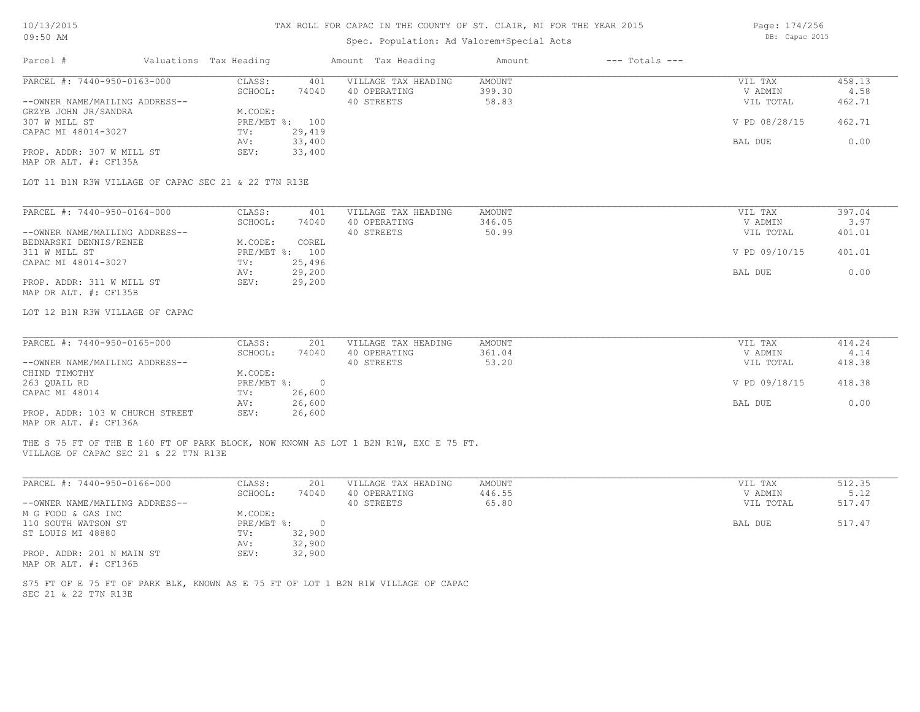# Spec. Population: Ad Valorem+Special Acts

Page: 174/256 DB: Capac 2015

| Parcel #<br>Valuations Tax Heading                                                                                                                     |                              | Amount Tax Heading         | $---$ Totals $---$<br>Amount |                      |                |
|--------------------------------------------------------------------------------------------------------------------------------------------------------|------------------------------|----------------------------|------------------------------|----------------------|----------------|
| PARCEL #: 7440-950-0163-000                                                                                                                            | CLASS:<br>401                | VILLAGE TAX HEADING        | <b>AMOUNT</b>                | VIL TAX              | 458.13         |
| --OWNER NAME/MAILING ADDRESS--                                                                                                                         | SCHOOL:<br>74040             | 40 OPERATING<br>40 STREETS | 399.30<br>58.83              | V ADMIN<br>VIL TOTAL | 4.58<br>462.71 |
| GRZYB JOHN JR/SANDRA                                                                                                                                   | M.CODE:                      |                            |                              |                      |                |
| 307 W MILL ST                                                                                                                                          | PRE/MBT %: 100               |                            |                              | V PD 08/28/15        | 462.71         |
| CAPAC MI 48014-3027                                                                                                                                    | 29,419<br>TV:                |                            |                              |                      |                |
|                                                                                                                                                        | 33,400<br>AV:                |                            |                              | BAL DUE              | 0.00           |
| PROP. ADDR: 307 W MILL ST                                                                                                                              | SEV:<br>33,400               |                            |                              |                      |                |
| MAP OR ALT. #: CF135A                                                                                                                                  |                              |                            |                              |                      |                |
| LOT 11 B1N R3W VILLAGE OF CAPAC SEC 21 & 22 T7N R13E                                                                                                   |                              |                            |                              |                      |                |
| PARCEL #: 7440-950-0164-000                                                                                                                            | CLASS:<br>401                | VILLAGE TAX HEADING        | <b>AMOUNT</b>                | VIL TAX              | 397.04         |
|                                                                                                                                                        | SCHOOL:<br>74040             | 40 OPERATING               | 346.05                       | V ADMIN              | 3.97           |
| --OWNER NAME/MAILING ADDRESS--                                                                                                                         |                              | 40 STREETS                 | 50.99                        | VIL TOTAL            | 401.01         |
| BEDNARSKI DENNIS/RENEE                                                                                                                                 | M.CODE:<br>COREL             |                            |                              |                      |                |
| 311 W MILL ST                                                                                                                                          | PRE/MBT %: 100               |                            |                              | V PD 09/10/15        | 401.01         |
| CAPAC MI 48014-3027                                                                                                                                    | 25,496<br>TV:                |                            |                              |                      |                |
|                                                                                                                                                        | 29,200<br>AV:                |                            |                              | BAL DUE              | 0.00           |
| PROP. ADDR: 311 W MILL ST                                                                                                                              | SEV:<br>29,200               |                            |                              |                      |                |
| MAP OR ALT. #: CF135B                                                                                                                                  |                              |                            |                              |                      |                |
| LOT 12 B1N R3W VILLAGE OF CAPAC                                                                                                                        |                              |                            |                              |                      |                |
|                                                                                                                                                        |                              |                            |                              |                      |                |
| PARCEL #: 7440-950-0165-000                                                                                                                            | CLASS:<br>201                | VILLAGE TAX HEADING        | AMOUNT                       | VIL TAX              | 414.24         |
|                                                                                                                                                        | SCHOOL:<br>74040             | 40 OPERATING               | 361.04                       | V ADMIN              | 4.14           |
| --OWNER NAME/MAILING ADDRESS--                                                                                                                         |                              | 40 STREETS                 | 53.20                        | VIL TOTAL            | 418.38         |
| CHIND TIMOTHY                                                                                                                                          | M.CODE:                      |                            |                              |                      |                |
| 263 QUAIL RD                                                                                                                                           | PRE/MBT %:<br>$\overline{0}$ |                            |                              | V PD 09/18/15        | 418.38         |
| CAPAC MI 48014                                                                                                                                         | 26,600<br>TV:                |                            |                              |                      |                |
|                                                                                                                                                        | 26,600<br>AV:                |                            |                              | BAL DUE              | 0.00           |
| PROP. ADDR: 103 W CHURCH STREET<br>MAP OR ALT. #: CF136A                                                                                               | SEV:<br>26,600               |                            |                              |                      |                |
| THE S 75 FT OF THE E 160 FT OF PARK BLOCK, NOW KNOWN AS LOT 1 B2N R1W, EXC E 75 FT.                                                                    |                              |                            |                              |                      |                |
| VILLAGE OF CAPAC SEC 21 & 22 T7N R13E                                                                                                                  |                              |                            |                              |                      |                |
| PARCEL #: 7440-950-0166-000                                                                                                                            | CLASS:<br>201                | VILLAGE TAX HEADING        | AMOUNT                       | VIL TAX              | 512.35         |
|                                                                                                                                                        | SCHOOL:<br>74040             | 40 OPERATING               | 446.55                       | V ADMIN              | 5.12           |
|                                                                                                                                                        |                              |                            | 65.80                        | VIL TOTAL            | 517.47         |
|                                                                                                                                                        |                              | 40 STREETS                 |                              |                      |                |
|                                                                                                                                                        | M.CODE:                      |                            |                              |                      |                |
|                                                                                                                                                        | PRE/MBT %:<br>$\circ$        |                            |                              | BAL DUE              | 517.47         |
|                                                                                                                                                        | 32,900<br>TV:                |                            |                              |                      |                |
|                                                                                                                                                        | 32,900<br>AV:                |                            |                              |                      |                |
| --OWNER NAME/MAILING ADDRESS--<br>M G FOOD & GAS INC<br>110 SOUTH WATSON ST<br>ST LOUIS MI 48880<br>PROP. ADDR: 201 N MAIN ST<br>MAP OR ALT. #: CF136B | 32,900<br>SEV:               |                            |                              |                      |                |
| S75 FT OF E 75 FT OF PARK BLK, KNOWN AS E 75 FT OF LOT 1 B2N R1W VILLAGE OF CAPAC                                                                      |                              |                            |                              |                      |                |
| SEC 21 & 22 T7N R13E                                                                                                                                   |                              |                            |                              |                      |                |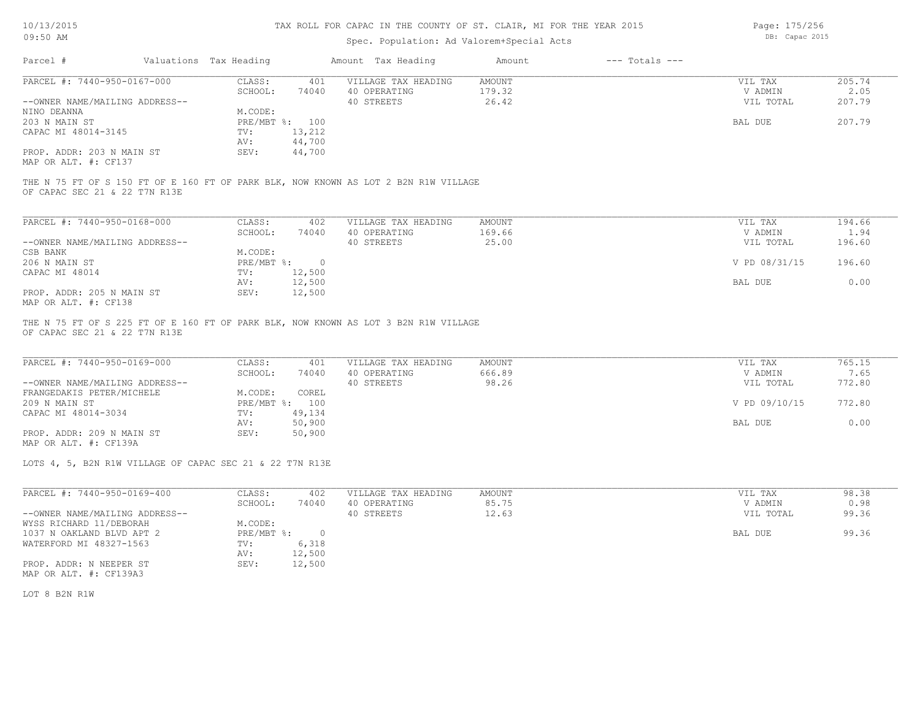# Spec. Population: Ad Valorem+Special Acts

Page: 175/256 DB: Capac 2015

| Parcel #                       | Valuations Tax Heading |                | Amount Tax Heading  | Amount | $---$ Totals $---$ |           |        |
|--------------------------------|------------------------|----------------|---------------------|--------|--------------------|-----------|--------|
| PARCEL #: 7440-950-0167-000    | CLASS:                 | 401            | VILLAGE TAX HEADING | AMOUNT |                    | VIL TAX   | 205.74 |
|                                | SCHOOL:                | 74040          | 40 OPERATING        | 179.32 |                    | V ADMIN   | 2.05   |
| --OWNER NAME/MAILING ADDRESS-- |                        |                | 40 STREETS          | 26.42  |                    | VIL TOTAL | 207.79 |
| NINO DEANNA                    | M.CODE:                |                |                     |        |                    |           |        |
| 203 N MAIN ST                  |                        | PRE/MBT %: 100 |                     |        |                    | BAL DUE   | 207.79 |
| CAPAC MI 48014-3145            | TV:                    | 13,212         |                     |        |                    |           |        |
|                                | AV:                    | 44,700         |                     |        |                    |           |        |
| PROP. ADDR: 203 N MAIN ST      | SEV:                   | 44,700         |                     |        |                    |           |        |
| MAP OR ALT. #: CF137           |                        |                |                     |        |                    |           |        |
|                                |                        |                |                     |        |                    |           |        |

OF CAPAC SEC 21 & 22 T7N R13E THE N 75 FT OF S 150 FT OF E 160 FT OF PARK BLK, NOW KNOWN AS LOT 2 B2N R1W VILLAGE

| PARCEL #: 7440-950-0168-000    | CLASS:     | 402    | VILLAGE TAX HEADING | AMOUNT | VIL TAX       | 194.66 |
|--------------------------------|------------|--------|---------------------|--------|---------------|--------|
|                                | SCHOOL:    | 74040  | 40 OPERATING        | 169.66 | V ADMIN       | 1.94   |
| --OWNER NAME/MAILING ADDRESS-- |            |        | 40 STREETS          | 25.00  | VIL TOTAL     | 196.60 |
| CSB BANK                       | M.CODE:    |        |                     |        |               |        |
| 206 N MAIN ST                  | PRE/MBT %: |        |                     |        | V PD 08/31/15 | 196.60 |
| CAPAC MI 48014                 | TV:        | 12,500 |                     |        |               |        |
|                                | AV:        | 12,500 |                     |        | BAL DUE       | 0.00   |
| PROP. ADDR: 205 N MAIN ST      | SEV:       | 12,500 |                     |        |               |        |
| MAP OR ALT. #: CF138           |            |        |                     |        |               |        |

OF CAPAC SEC 21 & 22 T7N R13E THE N 75 FT OF S 225 FT OF E 160 FT OF PARK BLK, NOW KNOWN AS LOT 3 B2N R1W VILLAGE

| PARCEL #: 7440-950-0169-000    | CLASS:  | 401            | VILLAGE TAX HEADING | AMOUNT | VIL TAX       | 765.15 |
|--------------------------------|---------|----------------|---------------------|--------|---------------|--------|
|                                | SCHOOL: | 74040          | 40 OPERATING        | 666.89 | V ADMIN       | 7.65   |
| --OWNER NAME/MAILING ADDRESS-- |         |                | 40 STREETS          | 98.26  | VIL TOTAL     | 772.80 |
| FRANGEDAKIS PETER/MICHELE      | M.CODE: | COREL          |                     |        |               |        |
| 209 N MAIN ST                  |         | PRE/MBT %: 100 |                     |        | V PD 09/10/15 | 772.80 |
| CAPAC MI 48014-3034            | TV:     | 49,134         |                     |        |               |        |
|                                | AV:     | 50,900         |                     |        | BAL DUE       | 0.00   |
| PROP. ADDR: 209 N MAIN ST      | SEV:    | 50,900         |                     |        |               |        |
| MAP OR ALT. #: CF139A          |         |                |                     |        |               |        |

LOTS 4, 5, B2N R1W VILLAGE OF CAPAC SEC 21 & 22 T7N R13E

| PARCEL #: 7440-950-0169-400    | CLASS:     | 402    | VILLAGE TAX HEADING | AMOUNT | VIL TAX   | 98.38 |
|--------------------------------|------------|--------|---------------------|--------|-----------|-------|
|                                | SCHOOL:    | 74040  | 40 OPERATING        | 85.75  | V ADMIN   | 0.98  |
| --OWNER NAME/MAILING ADDRESS-- |            |        | 40 STREETS          | 12.63  | VIL TOTAL | 99.36 |
| WYSS RICHARD 11/DEBORAH        | M.CODE:    |        |                     |        |           |       |
| 1037 N OAKLAND BLVD APT 2      | PRE/MBT %: |        |                     |        | BAL DUE   | 99.36 |
| WATERFORD MI 48327-1563        | TV:        | 6,318  |                     |        |           |       |
|                                | AV:        | 12,500 |                     |        |           |       |
| PROP. ADDR: N NEEPER ST        | SEV:       | 12,500 |                     |        |           |       |
| MAP OR ALT. #: CF139A3         |            |        |                     |        |           |       |

LOT 8 B2N R1W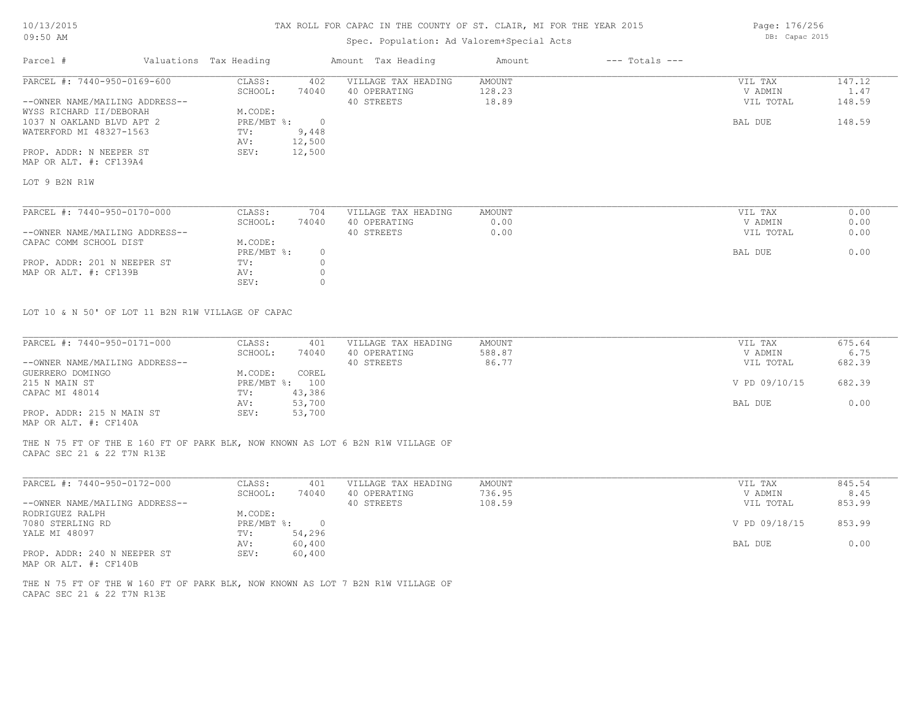# Spec. Population: Ad Valorem+Special Acts

| Parcel #                       | Valuations Tax Heading |            | Amount Tax Heading  | Amount | $---$ Totals $---$ |           |        |
|--------------------------------|------------------------|------------|---------------------|--------|--------------------|-----------|--------|
| PARCEL #: 7440-950-0169-600    | CLASS:                 | 402        | VILLAGE TAX HEADING | AMOUNT |                    | VIL TAX   | 147.12 |
|                                | SCHOOL:                | 74040      | 40 OPERATING        | 128.23 |                    | V ADMIN   | 1.47   |
| --OWNER NAME/MAILING ADDRESS-- |                        |            | 40 STREETS          | 18.89  |                    | VIL TOTAL | 148.59 |
| WYSS RICHARD II/DEBORAH        | M.CODE:                |            |                     |        |                    |           |        |
| 1037 N OAKLAND BLVD APT 2      | PRE/MBT %:             | $\bigcirc$ |                     |        |                    | BAL DUE   | 148.59 |
| WATERFORD MI 48327-1563        | TV:                    | 9,448      |                     |        |                    |           |        |
|                                | AV:                    | 12,500     |                     |        |                    |           |        |
| PROP. ADDR: N NEEPER ST        | SEV:                   | 12,500     |                     |        |                    |           |        |
| MAP OR ALT. #: CF139A4         |                        |            |                     |        |                    |           |        |
| LOT 9 B2N R1W                  |                        |            |                     |        |                    |           |        |
|                                |                        |            |                     |        |                    |           |        |
| PARCEL #: 7440-950-0170-000    | CLASS:                 | 704        | VILLAGE TAX HEADING | AMOUNT |                    | VIL TAX   | 0.00   |
|                                | SCHOOL:                | 74040      | 40 OPERATING        | 0.00   |                    | V ADMIN   | 0.00   |
| --OWNER NAME/MAILING ADDRESS-- |                        |            | 40 STREETS          | 0.00   |                    | VIL TOTAL | 0.00   |

| CAPAC COMM SCHOOL DIST      | M.CODE:    |  |         |      |
|-----------------------------|------------|--|---------|------|
|                             | PRE/MBT %: |  | BAL DUE | 0.00 |
| PROP. ADDR: 201 N NEEPER ST | TV:        |  |         |      |
| MAP OR ALT. #: CF139B       | AV:        |  |         |      |
|                             | SEV:       |  |         |      |

LOT 10 & N 50' OF LOT 11 B2N R1W VILLAGE OF CAPAC

| PARCEL #: 7440-950-0171-000    | CLASS:         | 401    | VILLAGE TAX HEADING | AMOUNT | VIL TAX       | 675.64 |
|--------------------------------|----------------|--------|---------------------|--------|---------------|--------|
|                                | SCHOOL:        | 74040  | 40 OPERATING        | 588.87 | V ADMIN       | 6.75   |
| --OWNER NAME/MAILING ADDRESS-- |                |        | 40 STREETS          | 86.77  | VIL TOTAL     | 682.39 |
| GUERRERO DOMINGO               | M.CODE:        | COREL  |                     |        |               |        |
| 215 N MAIN ST                  | PRE/MBT %: 100 |        |                     |        | V PD 09/10/15 | 682.39 |
| CAPAC MI 48014                 | TV:            | 43,386 |                     |        |               |        |
|                                | AV:            | 53,700 |                     |        | BAL DUE       | 0.00   |
| PROP. ADDR: 215 N MAIN ST      | SEV:           | 53,700 |                     |        |               |        |
| MAP OR ALT. #: CF140A          |                |        |                     |        |               |        |

CAPAC SEC 21 & 22 T7N R13E THE N 75 FT OF THE E 160 FT OF PARK BLK, NOW KNOWN AS LOT 6 B2N R1W VILLAGE OF

| PARCEL #: 7440-950-0172-000    | CLASS:     | 401    | VILLAGE TAX HEADING | AMOUNT | VIL TAX       | 845.54 |
|--------------------------------|------------|--------|---------------------|--------|---------------|--------|
|                                | SCHOOL:    | 74040  | 40 OPERATING        | 736.95 | V ADMIN       | 8.45   |
| --OWNER NAME/MAILING ADDRESS-- |            |        | 40 STREETS          | 108.59 | VIL TOTAL     | 853.99 |
| RODRIGUEZ RALPH                | M.CODE:    |        |                     |        |               |        |
| 7080 STERLING RD               | PRE/MBT %: | n.     |                     |        | V PD 09/18/15 | 853.99 |
| YALE MI 48097                  | TV:        | 54,296 |                     |        |               |        |
|                                | AV:        | 60,400 |                     |        | BAL DUE       | 0.00   |
| PROP. ADDR: 240 N NEEPER ST    | SEV:       | 60,400 |                     |        |               |        |
| MAP OR ALT. #: CF140B          |            |        |                     |        |               |        |

 $\mathcal{L}_\mathcal{L} = \mathcal{L}_\mathcal{L} = \mathcal{L}_\mathcal{L} = \mathcal{L}_\mathcal{L} = \mathcal{L}_\mathcal{L} = \mathcal{L}_\mathcal{L} = \mathcal{L}_\mathcal{L} = \mathcal{L}_\mathcal{L} = \mathcal{L}_\mathcal{L} = \mathcal{L}_\mathcal{L} = \mathcal{L}_\mathcal{L} = \mathcal{L}_\mathcal{L} = \mathcal{L}_\mathcal{L} = \mathcal{L}_\mathcal{L} = \mathcal{L}_\mathcal{L} = \mathcal{L}_\mathcal{L} = \mathcal{L}_\mathcal{L}$ 

CAPAC SEC 21 & 22 T7N R13E THE N 75 FT OF THE W 160 FT OF PARK BLK, NOW KNOWN AS LOT 7 B2N R1W VILLAGE OF Page: 176/256 DB: Capac 2015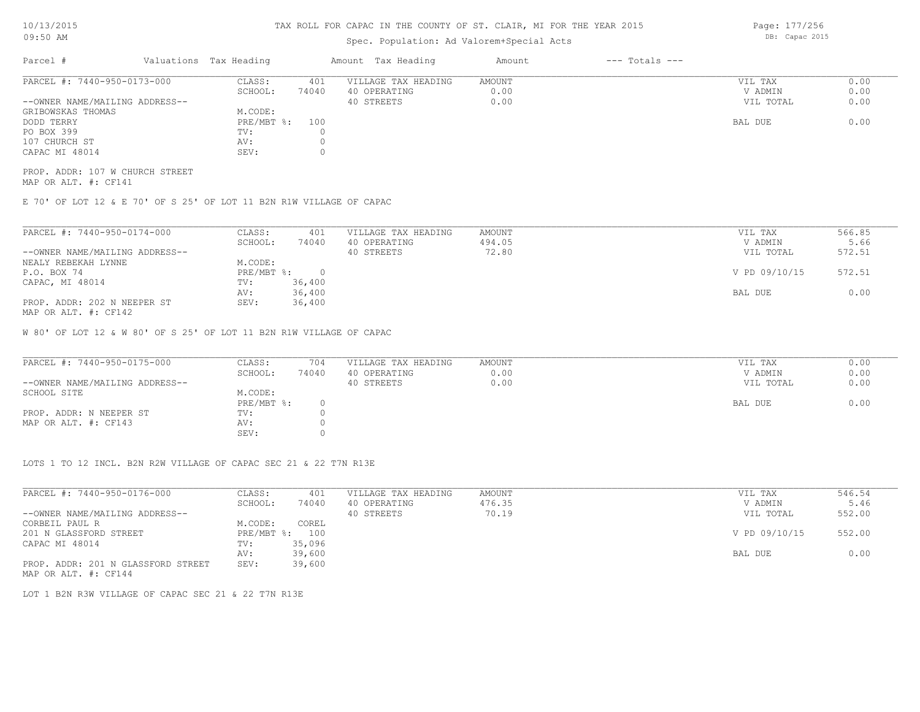# Spec. Population: Ad Valorem+Special Acts

| Parcel #                       | Valuations Tax Heading |       | Amount Tax Heading  | Amount | $---$ Totals $---$ |           |      |
|--------------------------------|------------------------|-------|---------------------|--------|--------------------|-----------|------|
| PARCEL #: 7440-950-0173-000    | CLASS:                 | 401   | VILLAGE TAX HEADING | AMOUNT |                    | VIL TAX   | 0.00 |
|                                | SCHOOL:                | 74040 | 40 OPERATING        | 0.00   |                    | V ADMIN   | 0.00 |
| --OWNER NAME/MAILING ADDRESS-- |                        |       | 40 STREETS          | 0.00   |                    | VIL TOTAL | 0.00 |
| GRIBOWSKAS THOMAS              | M.CODE:                |       |                     |        |                    |           |      |
| DODD TERRY                     | $PRE/MBT$ %:           | 100   |                     |        |                    | BAL DUE   | 0.00 |
| PO BOX 399                     | TV:                    |       |                     |        |                    |           |      |
| 107 CHURCH ST                  | AV:                    |       |                     |        |                    |           |      |
| CAPAC MI 48014                 | SEV:                   |       |                     |        |                    |           |      |
|                                |                        |       |                     |        |                    |           |      |

MAP OR ALT. #: CF141 PROP. ADDR: 107 W CHURCH STREET

E 70' OF LOT 12 & E 70' OF S 25' OF LOT 11 B2N R1W VILLAGE OF CAPAC

| PARCEL #: 7440-950-0174-000    | CLASS:       | 401    | VILLAGE TAX HEADING | AMOUNT | VIL TAX       | 566.85 |
|--------------------------------|--------------|--------|---------------------|--------|---------------|--------|
|                                | SCHOOL:      | 74040  | 40 OPERATING        | 494.05 | V ADMIN       | 5.66   |
| --OWNER NAME/MAILING ADDRESS-- |              |        | 40 STREETS          | 72.80  | VIL TOTAL     | 572.51 |
| NEALY REBEKAH LYNNE            | M.CODE:      |        |                     |        |               |        |
| P.O. BOX 74                    | $PRE/MBT$ %: |        |                     |        | V PD 09/10/15 | 572.51 |
| CAPAC, MI 48014                | TV:          | 36,400 |                     |        |               |        |
|                                | AV:          | 36,400 |                     |        | BAL DUE       | 0.00   |
| PROP. ADDR: 202 N NEEPER ST    | SEV:         | 36,400 |                     |        |               |        |
| MAP OR ALT. #: CF142           |              |        |                     |        |               |        |

W 80' OF LOT 12 & W 80' OF S 25' OF LOT 11 B2N R1W VILLAGE OF CAPAC

| PARCEL #: 7440-950-0175-000    | CLASS:       | 704   | VILLAGE TAX HEADING | AMOUNT | VIL TAX   | 0.00 |
|--------------------------------|--------------|-------|---------------------|--------|-----------|------|
|                                | SCHOOL:      | 74040 | 40 OPERATING        | 0.00   | V ADMIN   | 0.00 |
| --OWNER NAME/MAILING ADDRESS-- |              |       | 40 STREETS          | 0.00   | VIL TOTAL | 0.00 |
| SCHOOL SITE                    | M.CODE:      |       |                     |        |           |      |
|                                | $PRE/MBT$ %: |       |                     |        | BAL DUE   | 0.00 |
| PROP. ADDR: N NEEPER ST        | TV:          |       |                     |        |           |      |
| MAP OR ALT. #: CF143           | AV:          |       |                     |        |           |      |
|                                | SEV:         |       |                     |        |           |      |

LOTS 1 TO 12 INCL. B2N R2W VILLAGE OF CAPAC SEC 21 & 22 T7N R13E

| PARCEL #: 7440-950-0176-000        | CLASS:       | 401    | VILLAGE TAX HEADING | AMOUNT | VIL TAX       | 546.54 |
|------------------------------------|--------------|--------|---------------------|--------|---------------|--------|
|                                    | SCHOOL:      | 74040  | 40 OPERATING        | 476.35 | V ADMIN       | 5.46   |
| --OWNER NAME/MAILING ADDRESS--     |              |        | 40 STREETS          | 70.19  | VIL TOTAL     | 552.00 |
| CORBEIL PAUL R                     | M.CODE:      | COREL  |                     |        |               |        |
| 201 N GLASSFORD STREET             | $PRE/MBT$ %: | 100    |                     |        | V PD 09/10/15 | 552.00 |
| CAPAC MI 48014                     | TV:          | 35,096 |                     |        |               |        |
|                                    | AV:          | 39,600 |                     |        | BAL DUE       | 0.00   |
| PROP. ADDR: 201 N GLASSFORD STREET | SEV:         | 39,600 |                     |        |               |        |
| MAP OR ALT. #: CF144               |              |        |                     |        |               |        |

LOT 1 B2N R3W VILLAGE OF CAPAC SEC 21 & 22 T7N R13E

Page: 177/256 DB: Capac 2015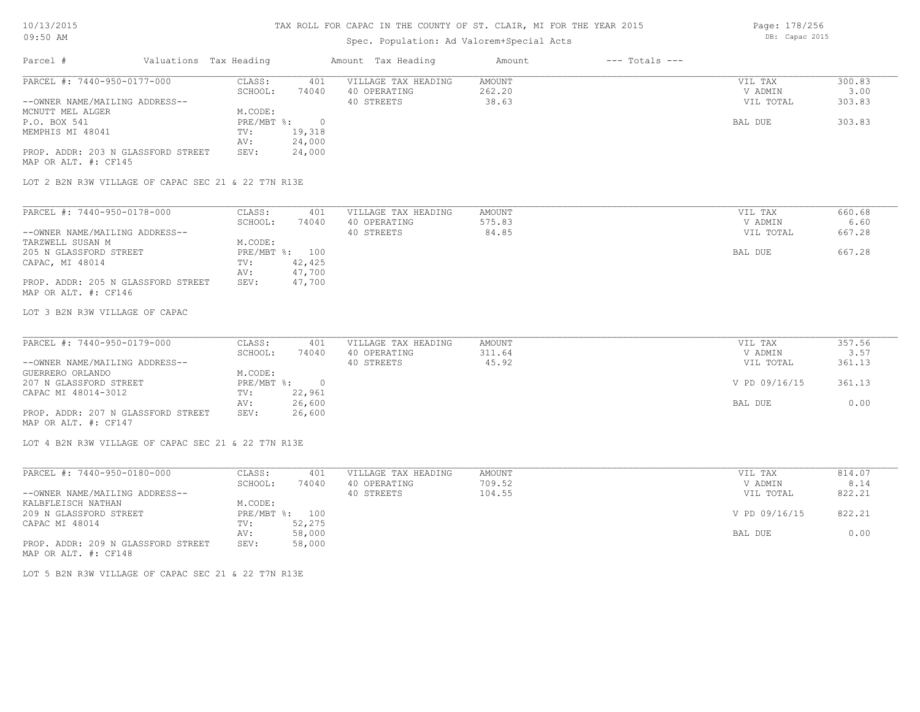# Spec. Population: Ad Valorem+Special Acts

| Parcel #                           | Valuations Tax Heading |        | Amount Tax Heading  | Amount | $---$ Totals $---$ |           |        |
|------------------------------------|------------------------|--------|---------------------|--------|--------------------|-----------|--------|
| PARCEL #: 7440-950-0177-000        | CLASS:                 | 401    | VILLAGE TAX HEADING | AMOUNT |                    | VIL TAX   | 300.83 |
|                                    | SCHOOL:                | 74040  | 40 OPERATING        | 262.20 |                    | V ADMIN   | 3.00   |
| --OWNER NAME/MAILING ADDRESS--     |                        |        | 40 STREETS          | 38.63  |                    | VIL TOTAL | 303.83 |
| MCNUTT MEL ALGER                   | M.CODE:                |        |                     |        |                    |           |        |
| P.O. BOX 541                       | PRE/MBT %:             |        |                     |        |                    | BAL DUE   | 303.83 |
| MEMPHIS MI 48041                   | TV:                    | 19,318 |                     |        |                    |           |        |
|                                    | AV:                    | 24,000 |                     |        |                    |           |        |
| PROP. ADDR: 203 N GLASSFORD STREET | SEV:                   | 24,000 |                     |        |                    |           |        |
| MAP OR ALT. #: CF145               |                        |        |                     |        |                    |           |        |

LOT 2 B2N R3W VILLAGE OF CAPAC SEC 21 & 22 T7N R13E

| PARCEL #: 7440-950-0178-000        | CLASS:  | 401            | VILLAGE TAX HEADING | AMOUNT | VIL TAX   | 660.68 |
|------------------------------------|---------|----------------|---------------------|--------|-----------|--------|
|                                    | SCHOOL: | 74040          | 40 OPERATING        | 575.83 | V ADMIN   | 6.60   |
| --OWNER NAME/MAILING ADDRESS--     |         |                | 40 STREETS          | 84.85  | VIL TOTAL | 667.28 |
| TARZWELL SUSAN M                   | M.CODE: |                |                     |        |           |        |
| 205 N GLASSFORD STREET             |         | PRE/MBT %: 100 |                     |        | BAL DUE   | 667.28 |
| CAPAC, MI 48014                    | TV:     | 42,425         |                     |        |           |        |
|                                    | AV:     | 47,700         |                     |        |           |        |
| PROP. ADDR: 205 N GLASSFORD STREET | SEV:    | 47,700         |                     |        |           |        |
| MAP OR ALT. #: CF146               |         |                |                     |        |           |        |

LOT 3 B2N R3W VILLAGE OF CAPAC

| PARCEL #: 7440-950-0179-000        | CLASS:     | 401    | VILLAGE TAX HEADING | AMOUNT | VIL TAX       | 357.56 |
|------------------------------------|------------|--------|---------------------|--------|---------------|--------|
|                                    | SCHOOL:    | 74040  | 40 OPERATING        | 311.64 | V ADMIN       | 3.57   |
| --OWNER NAME/MAILING ADDRESS--     |            |        | 40 STREETS          | 45.92  | VIL TOTAL     | 361.13 |
| GUERRERO ORLANDO                   | M.CODE:    |        |                     |        |               |        |
| 207 N GLASSFORD STREET             | PRE/MBT %: |        |                     |        | V PD 09/16/15 | 361.13 |
| CAPAC MI 48014-3012                | TV:        | 22,961 |                     |        |               |        |
|                                    | AV:        | 26,600 |                     |        | BAL DUE       | 0.00   |
| PROP. ADDR: 207 N GLASSFORD STREET | SEV:       | 26,600 |                     |        |               |        |
| MAP OR ALT. #: CF147               |            |        |                     |        |               |        |

 $\mathcal{L}_\mathcal{L} = \mathcal{L}_\mathcal{L} = \mathcal{L}_\mathcal{L} = \mathcal{L}_\mathcal{L} = \mathcal{L}_\mathcal{L} = \mathcal{L}_\mathcal{L} = \mathcal{L}_\mathcal{L} = \mathcal{L}_\mathcal{L} = \mathcal{L}_\mathcal{L} = \mathcal{L}_\mathcal{L} = \mathcal{L}_\mathcal{L} = \mathcal{L}_\mathcal{L} = \mathcal{L}_\mathcal{L} = \mathcal{L}_\mathcal{L} = \mathcal{L}_\mathcal{L} = \mathcal{L}_\mathcal{L} = \mathcal{L}_\mathcal{L}$ 

LOT 4 B2N R3W VILLAGE OF CAPAC SEC 21 & 22 T7N R13E

| PARCEL #: 7440-950-0180-000        | CLASS:     | 401    | VILLAGE TAX HEADING | AMOUNT | VIL TAX       | 814.07 |
|------------------------------------|------------|--------|---------------------|--------|---------------|--------|
|                                    | SCHOOL:    | 74040  | 40 OPERATING        | 709.52 | V ADMIN       | 8.14   |
| --OWNER NAME/MAILING ADDRESS--     |            |        | 40 STREETS          | 104.55 | VIL TOTAL     | 822.21 |
| KALBFLEISCH NATHAN                 | M.CODE:    |        |                     |        |               |        |
| 209 N GLASSFORD STREET             | PRE/MBT %: | 100    |                     |        | V PD 09/16/15 | 822.21 |
| CAPAC MI 48014                     | TV:        | 52,275 |                     |        |               |        |
|                                    | AV:        | 58,000 |                     |        | BAL DUE       | 0.00   |
| PROP. ADDR: 209 N GLASSFORD STREET | SEV:       | 58,000 |                     |        |               |        |
| MAP OR ALT. #: CF148               |            |        |                     |        |               |        |

LOT 5 B2N R3W VILLAGE OF CAPAC SEC 21 & 22 T7N R13E

Page: 178/256 DB: Capac 2015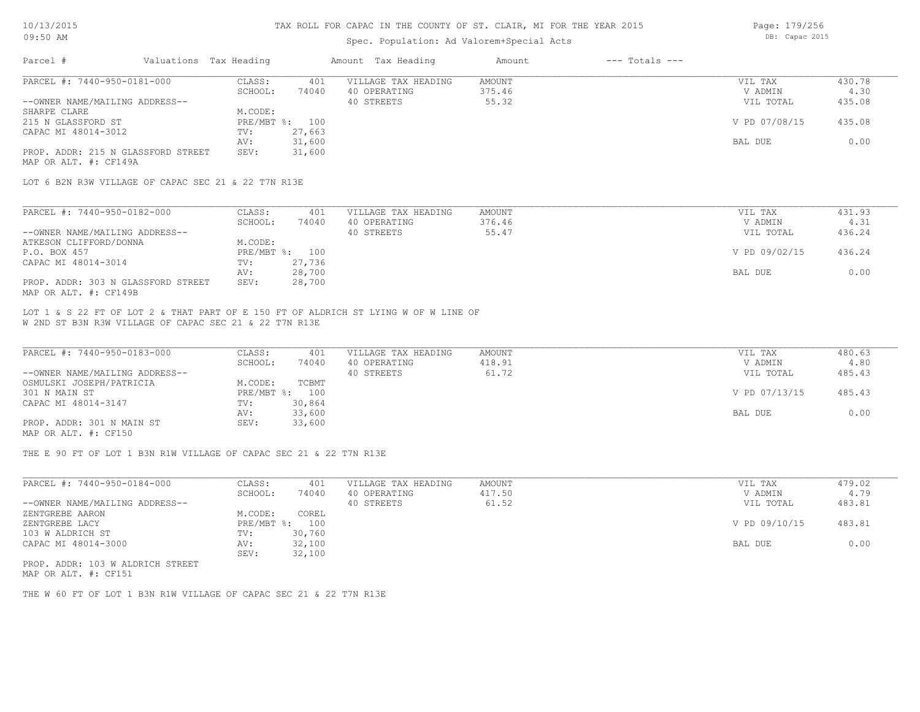### Spec. Population: Ad Valorem+Special Acts

Parcel # Valuations Tax Heading Amount Tax Heading Amount --- Totals ---PROP. ADDR: 215 N GLASSFORD STREET SEV: 31,600 AV: 31,600 BAL DUE 0.00 CAPAC MI 48014-3012 TV: 27,663<br>
AV: 31,600 215 N GLASSFORD ST PRE/MBT %: 100 V PD 07/08/15 435.08 SHARPE CLARE M.CODE: --OWNER NAME/MAILING ADDRESS-- 40 STREETS 55.32 VIL TOTAL 435.08 SCHOOL: 74040 40 OPERATING 375.46 30 V ADMIN 4.30 PARCEL #: 7440-950-0181-000 CLASS: 401 VILLAGE TAX HEADING AMOUNT VIL TAX VIL TAX 430.78<br>SCHOOL: 74040 40 OPERATING 375.46 VADMIN 4.30  $\mathcal{L}_\mathcal{L} = \mathcal{L}_\mathcal{L} = \mathcal{L}_\mathcal{L} = \mathcal{L}_\mathcal{L} = \mathcal{L}_\mathcal{L} = \mathcal{L}_\mathcal{L} = \mathcal{L}_\mathcal{L} = \mathcal{L}_\mathcal{L} = \mathcal{L}_\mathcal{L} = \mathcal{L}_\mathcal{L} = \mathcal{L}_\mathcal{L} = \mathcal{L}_\mathcal{L} = \mathcal{L}_\mathcal{L} = \mathcal{L}_\mathcal{L} = \mathcal{L}_\mathcal{L} = \mathcal{L}_\mathcal{L} = \mathcal{L}_\mathcal{L}$ 

MAP OR ALT. #: CF149A

LOT 6 B2N R3W VILLAGE OF CAPAC SEC 21 & 22 T7N R13E

| PARCEL #: 7440-950-0182-000        | CLASS:  | 401            | VILLAGE TAX HEADING | AMOUNT | VIL TAX       | 431.93 |
|------------------------------------|---------|----------------|---------------------|--------|---------------|--------|
|                                    | SCHOOL: | 74040          | 40 OPERATING        | 376.46 | V ADMIN       | 4.31   |
| --OWNER NAME/MAILING ADDRESS--     |         |                | 40 STREETS          | 55.47  | VIL TOTAL     | 436.24 |
| ATKESON CLIFFORD/DONNA             | M.CODE: |                |                     |        |               |        |
| P.O. BOX 457                       |         | PRE/MBT %: 100 |                     |        | V PD 09/02/15 | 436.24 |
| CAPAC MI 48014-3014                | TV:     | 27,736         |                     |        |               |        |
|                                    | AV:     | 28,700         |                     |        | BAL DUE       | 0.00   |
| PROP. ADDR: 303 N GLASSFORD STREET | SEV:    | 28,700         |                     |        |               |        |
| MAP OR ALT. #: CF149B              |         |                |                     |        |               |        |

W 2ND ST B3N R3W VILLAGE OF CAPAC SEC 21 & 22 T7N R13E LOT 1 & S 22 FT OF LOT 2 & THAT PART OF E 150 FT OF ALDRICH ST LYING W OF W LINE OF

| PARCEL #: 7440-950-0183-000    | CLASS:  | 401            | VILLAGE TAX HEADING | AMOUNT | VIL TAX       | 480.63 |
|--------------------------------|---------|----------------|---------------------|--------|---------------|--------|
|                                | SCHOOL: | 74040          | 40 OPERATING        | 418.91 | V ADMIN       | 4.80   |
| --OWNER NAME/MAILING ADDRESS-- |         |                | 40 STREETS          | 61.72  | VIL TOTAL     | 485.43 |
| OSMULSKI JOSEPH/PATRICIA       | M.CODE: | TCBMT          |                     |        |               |        |
| 301 N MAIN ST                  |         | PRE/MBT %: 100 |                     |        | V PD 07/13/15 | 485.43 |
| CAPAC MI 48014-3147            | TV:     | 30,864         |                     |        |               |        |
|                                | AV:     | 33,600         |                     |        | BAL DUE       | 0.00   |
| PROP. ADDR: 301 N MAIN ST      | SEV:    | 33,600         |                     |        |               |        |
| MAP OR ALT. #: CF150           |         |                |                     |        |               |        |

THE E 90 FT OF LOT 1 B3N R1W VILLAGE OF CAPAC SEC 21 & 22 T7N R13E

| PARCEL #: 7440-950-0184-000      | CLASS:       | 401    | VILLAGE TAX HEADING | AMOUNT | VIL TAX       | 479.02 |
|----------------------------------|--------------|--------|---------------------|--------|---------------|--------|
|                                  | SCHOOL:      | 74040  | 40 OPERATING        | 417.50 | V ADMIN       | 4.79   |
| --OWNER NAME/MAILING ADDRESS--   |              |        | 40 STREETS          | 61.52  | VIL TOTAL     | 483.81 |
| ZENTGREBE AARON                  | M.CODE:      | COREL  |                     |        |               |        |
| ZENTGREBE LACY                   | $PRE/MBT$ %: | 100    |                     |        | V PD 09/10/15 | 483.81 |
| 103 W ALDRICH ST                 | TV:          | 30,760 |                     |        |               |        |
| CAPAC MI 48014-3000              | AV:          | 32,100 |                     |        | BAL DUE       | 0.00   |
|                                  | SEV:         | 32,100 |                     |        |               |        |
| PROP. ADDR: 103 W ALDRICH STREET |              |        |                     |        |               |        |

MAP OR ALT. #: CF151

THE W 60 FT OF LOT 1 B3N R1W VILLAGE OF CAPAC SEC 21 & 22 T7N R13E

Page: 179/256 DB: Capac 2015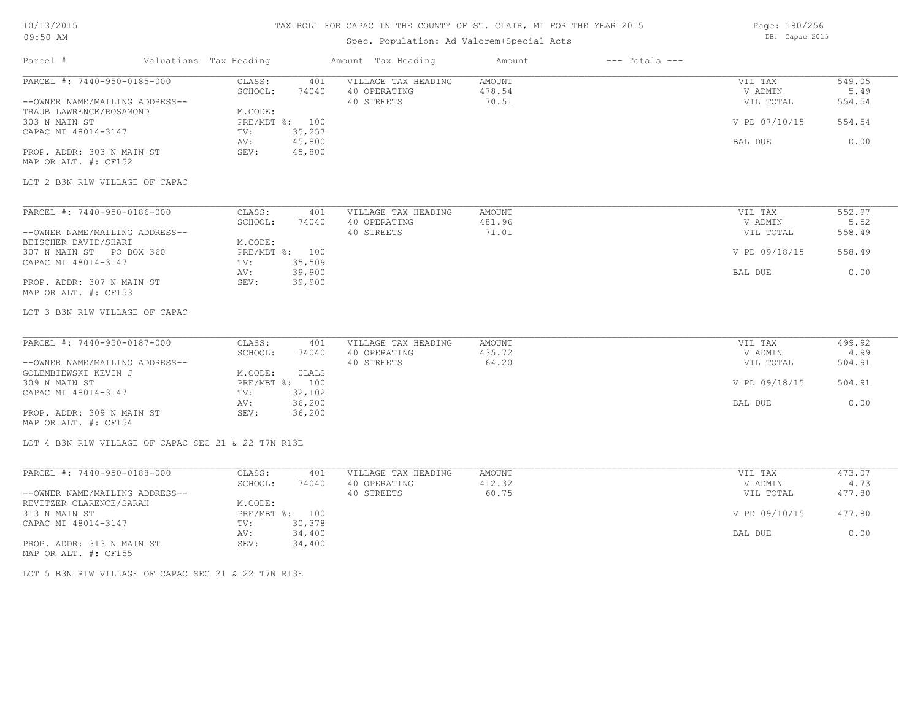## 10/13/2015 09:50 AM

# TAX ROLL FOR CAPAC IN THE COUNTY OF ST. CLAIR, MI FOR THE YEAR 2015

# Spec. Population: Ad Valorem+Special Acts

Page: 180/256 DB: Capac 2015

| Parcel #                                                                                 | Valuations Tax Heading |                                  |                  | Amount Tax Heading                                | Amount                           | $---$ Totals $---$ |                                 |                          |
|------------------------------------------------------------------------------------------|------------------------|----------------------------------|------------------|---------------------------------------------------|----------------------------------|--------------------|---------------------------------|--------------------------|
| PARCEL #: 7440-950-0185-000<br>--OWNER NAME/MAILING ADDRESS--<br>TRAUB LAWRENCE/ROSAMOND |                        | CLASS:<br>SCHOOL:<br>M.CODE:     | 401<br>74040     | VILLAGE TAX HEADING<br>40 OPERATING<br>40 STREETS | <b>AMOUNT</b><br>478.54<br>70.51 |                    | VIL TAX<br>V ADMIN<br>VIL TOTAL | 549.05<br>5.49<br>554.54 |
| 303 N MAIN ST<br>CAPAC MI 48014-3147                                                     |                        | PRE/MBT %: 100<br>TV:<br>AV:     | 35,257<br>45,800 |                                                   |                                  |                    | V PD 07/10/15<br>BAL DUE        | 554.54<br>0.00           |
| PROP. ADDR: 303 N MAIN ST<br>MAP OR ALT. #: CF152                                        |                        | SEV:                             | 45,800           |                                                   |                                  |                    |                                 |                          |
| LOT 2 B3N R1W VILLAGE OF CAPAC                                                           |                        |                                  |                  |                                                   |                                  |                    |                                 |                          |
| PARCEL #: 7440-950-0186-000                                                              |                        | CLASS:                           | 401              | VILLAGE TAX HEADING                               | <b>AMOUNT</b>                    |                    | VIL TAX                         | 552.97                   |
| --OWNER NAME/MAILING ADDRESS--                                                           |                        | SCHOOL:                          | 74040            | 40 OPERATING<br>40 STREETS                        | 481.96<br>71.01                  |                    | V ADMIN<br>VIL TOTAL            | 5.52<br>558.49           |
| BEISCHER DAVID/SHARI<br>307 N MAIN ST PO BOX 360<br>CAPAC MI 48014-3147                  |                        | M.CODE:<br>PRE/MBT %: 100<br>TV: | 35,509           |                                                   |                                  |                    | V PD 09/18/15                   | 558.49                   |
| PROP. ADDR: 307 N MAIN ST<br>MAP OR ALT. #: CF153                                        | AV:                    | SEV:                             | 39,900<br>39,900 |                                                   |                                  |                    | BAL DUE                         | 0.00                     |
| LOT 3 B3N R1W VILLAGE OF CAPAC                                                           |                        |                                  |                  |                                                   |                                  |                    |                                 |                          |
| PARCEL #: 7440-950-0187-000                                                              |                        | CLASS:<br>SCHOOL:                | 401<br>74040     | VILLAGE TAX HEADING<br>40 OPERATING               | AMOUNT<br>435.72                 |                    | VIL TAX<br>V ADMIN              | 499.92<br>4.99           |
| --OWNER NAME/MAILING ADDRESS--<br>GOLEMBIEWSKI KEVIN J                                   |                        | M.CODE:                          | OLALS            | 40 STREETS                                        | 64.20                            |                    | VIL TOTAL                       | 504.91                   |
| 309 N MAIN ST<br>CAPAC MI 48014-3147                                                     |                        | PRE/MBT %: 100<br>TV:            | 32,102           |                                                   |                                  |                    | V PD 09/18/15                   | 504.91                   |
| PROP. ADDR: 309 N MAIN ST<br>MAP OR ALT. #: CF154                                        | AV:                    | SEV:                             | 36,200<br>36,200 |                                                   |                                  |                    | BAL DUE                         | 0.00                     |
| LOT 4 B3N R1W VILLAGE OF CAPAC SEC 21 & 22 T7N R13E                                      |                        |                                  |                  |                                                   |                                  |                    |                                 |                          |
| PARCEL #: 7440-950-0188-000                                                              |                        | CLASS:                           | 401              | VILLAGE TAX HEADING                               | <b>AMOUNT</b>                    |                    | VIL TAX                         | 473.07                   |
| --OWNER NAME/MAILING ADDRESS--                                                           |                        | SCHOOL:                          | 74040            | 40 OPERATING<br>40 STREETS                        | 412.32<br>60.75                  |                    | V ADMIN<br>VIL TOTAL            | 4.73<br>477.80           |
| REVITZER CLARENCE/SARAH                                                                  |                        | M.CODE:                          |                  |                                                   |                                  |                    |                                 |                          |
| 313 N MAIN ST                                                                            |                        | PRE/MBT %: 100                   |                  |                                                   |                                  |                    | V PD 09/10/15                   | 477.80                   |
| CAPAC MI 48014-3147                                                                      |                        | TV:<br>AV:                       | 30,378<br>34,400 |                                                   |                                  |                    | BAL DUE                         | 0.00                     |
| PROP. ADDR: 313 N MAIN ST                                                                |                        | SEV:                             | 34,400           |                                                   |                                  |                    |                                 |                          |

MAP OR ALT. #: CF155

LOT 5 B3N R1W VILLAGE OF CAPAC SEC 21 & 22 T7N R13E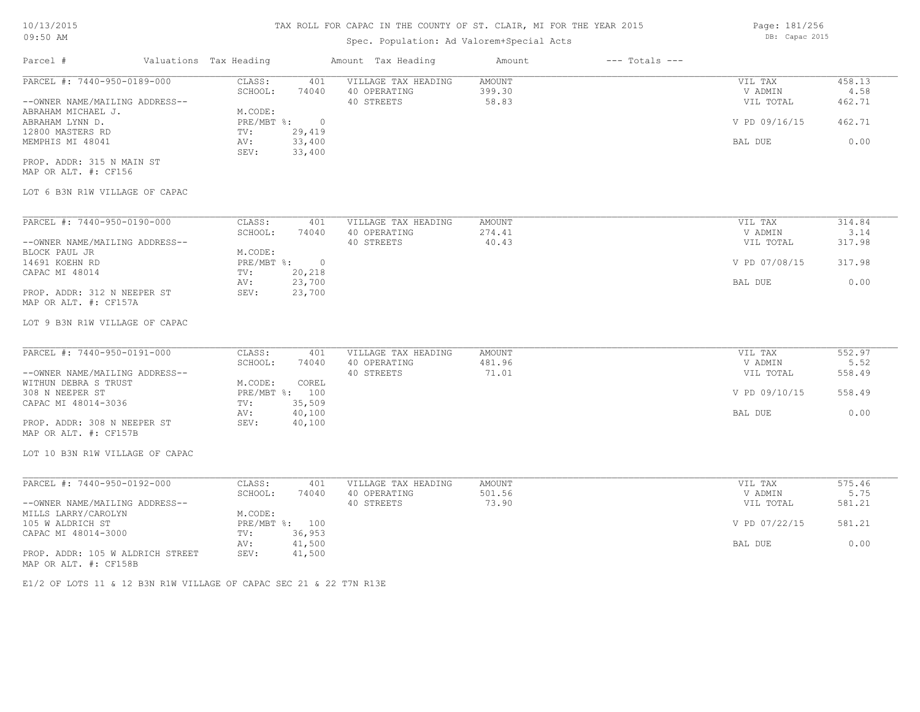## Spec. Population: Ad Valorem+Special Acts

Parcel # Valuations Tax Heading Amount Tax Heading Amount --- Totals ---LOT 6 B3N R1W VILLAGE OF CAPAC MAP OR ALT. #: CF156 PROP. ADDR: 315 N MAIN ST SEV: 33,400 MEMPHIS MI 48041 AV: 33,400 BAL DUE 0.00 12800 MASTERS RD TV: 29,419<br>MEMPHIS MI 48041 AV: 33,400 ABRAHAM LYNN D. PRE/MBT %: 0 V PD 09/16/15 462.71 ABRAHAM MICHAEL J. M.CODE: --OWNER NAME/MAILING ADDRESS-- 40 STREETS 58.83 VIL TOTAL 462.71 SCHOOL: 74040 40 OPERATING 399.30 V ADMIN 4.58 PARCEL #: 7440-950-0189-000 CLASS: 401 VILLAGE TAX HEADING AMOUNT VIL TAX VIL TAX 458.13<br>SCHOOL: 74040 40 OPERATING 399.30 VADMIN 4.58  $\mathcal{L}_\mathcal{L} = \mathcal{L}_\mathcal{L} = \mathcal{L}_\mathcal{L} = \mathcal{L}_\mathcal{L} = \mathcal{L}_\mathcal{L} = \mathcal{L}_\mathcal{L} = \mathcal{L}_\mathcal{L} = \mathcal{L}_\mathcal{L} = \mathcal{L}_\mathcal{L} = \mathcal{L}_\mathcal{L} = \mathcal{L}_\mathcal{L} = \mathcal{L}_\mathcal{L} = \mathcal{L}_\mathcal{L} = \mathcal{L}_\mathcal{L} = \mathcal{L}_\mathcal{L} = \mathcal{L}_\mathcal{L} = \mathcal{L}_\mathcal{L}$ 

| PARCEL #: 7440-950-0190-000    | CLASS:     | 401    | VILLAGE TAX HEADING | AMOUNT | VIL TAX       | 314.84 |
|--------------------------------|------------|--------|---------------------|--------|---------------|--------|
|                                | SCHOOL:    | 74040  | 40 OPERATING        | 274.41 | V ADMIN       | 3.14   |
| --OWNER NAME/MAILING ADDRESS-- |            |        | 40 STREETS          | 40.43  | VIL TOTAL     | 317.98 |
| BLOCK PAUL JR                  | M.CODE:    |        |                     |        |               |        |
| 14691 KOEHN RD                 | PRE/MBT %: | $\Box$ |                     |        | V PD 07/08/15 | 317.98 |
| CAPAC MI 48014                 | TV:        | 20,218 |                     |        |               |        |
|                                | AV:        | 23,700 |                     |        | BAL DUE       | 0.00   |
| PROP. ADDR: 312 N NEEPER ST    | SEV:       | 23,700 |                     |        |               |        |
| MAP OR ALT. #: CF157A          |            |        |                     |        |               |        |

#### LOT 9 B3N R1W VILLAGE OF CAPAC

| PARCEL #: 7440-950-0191-000    | CLASS:  | 401            | VILLAGE TAX HEADING | AMOUNT | VIL TAX       | 552.97 |
|--------------------------------|---------|----------------|---------------------|--------|---------------|--------|
|                                | SCHOOL: | 74040          | 40 OPERATING        | 481.96 | V ADMIN       | 5.52   |
| --OWNER NAME/MAILING ADDRESS-- |         |                | 40 STREETS          | 71.01  | VIL TOTAL     | 558.49 |
| WITHUN DEBRA S TRUST           | M.CODE: | COREL          |                     |        |               |        |
| 308 N NEEPER ST                |         | PRE/MBT %: 100 |                     |        | V PD 09/10/15 | 558.49 |
| CAPAC MI 48014-3036            | TV:     | 35,509         |                     |        |               |        |
|                                | AV:     | 40,100         |                     |        | BAL DUE       | 0.00   |
| PROP. ADDR: 308 N NEEPER ST    | SEV:    | 40,100         |                     |        |               |        |
| MAP OR ALT. #: CF157B          |         |                |                     |        |               |        |

# LOT 10 B3N R1W VILLAGE OF CAPAC

| PARCEL #: 7440-950-0192-000      | CLASS:  | 401            | VILLAGE TAX HEADING | AMOUNT | VIL TAX       | 575.46 |
|----------------------------------|---------|----------------|---------------------|--------|---------------|--------|
|                                  | SCHOOL: | 74040          | 40 OPERATING        | 501.56 | V ADMIN       | 5.75   |
| --OWNER NAME/MAILING ADDRESS--   |         |                | 40 STREETS          | 73.90  | VIL TOTAL     | 581.21 |
| MILLS LARRY/CAROLYN              | M.CODE: |                |                     |        |               |        |
| 105 W ALDRICH ST                 |         | PRE/MBT %: 100 |                     |        | V PD 07/22/15 | 581.21 |
| CAPAC MI 48014-3000              | TV:     | 36,953         |                     |        |               |        |
|                                  | AV:     | 41,500         |                     |        | BAL DUE       | 0.00   |
| PROP. ADDR: 105 W ALDRICH STREET | SEV:    | 41,500         |                     |        |               |        |
| MAP OR ALT. #: CF158B            |         |                |                     |        |               |        |

E1/2 OF LOTS 11 & 12 B3N R1W VILLAGE OF CAPAC SEC 21 & 22 T7N R13E

Page: 181/256 DB: Capac 2015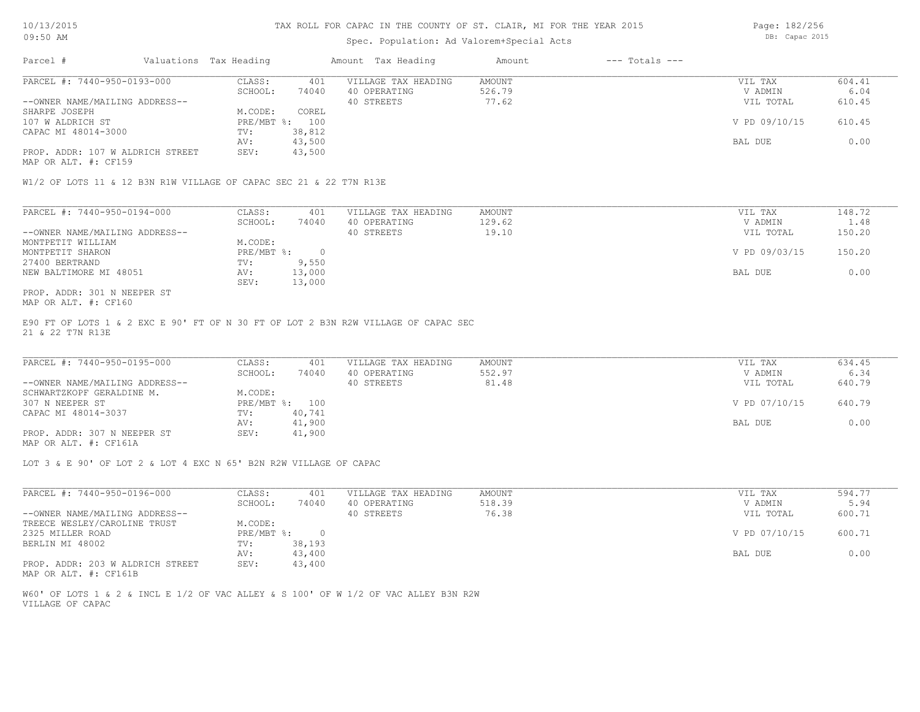### Spec. Population: Ad Valorem+Special Acts

Parcel # Valuations Tax Heading Amount Tax Heading Amount --- Totals --- AV: 43,500 BAL DUE 0.00 CAPAC MI 48014-3000 TV: 38,812<br>AV: 43,500 107 W ALDRICH ST PRE/MBT %: 100 V PD 09/10/15 610.45 SHARPE JOSEPH M.CODE: COREL (107 W ALDRICH ST --OWNER NAME/MAILING ADDRESS-- 40 STREETS 77.62 VIL TOTAL 610.45 SCHOOL: 74040 40 OPERATING 526.79 526.79 V ADMIN 6.04 PARCEL #: 7440-950-0193-000 CLASS: 401 VILLAGE TAX HEADING AMOUNT AMOUNT VIL TAX 604.41 604.41<br>SCHOOL: 74040 40 OPERATING 526.79 74040 7 ADMIN 6.04  $\mathcal{L}_\mathcal{L} = \mathcal{L}_\mathcal{L} = \mathcal{L}_\mathcal{L} = \mathcal{L}_\mathcal{L} = \mathcal{L}_\mathcal{L} = \mathcal{L}_\mathcal{L} = \mathcal{L}_\mathcal{L} = \mathcal{L}_\mathcal{L} = \mathcal{L}_\mathcal{L} = \mathcal{L}_\mathcal{L} = \mathcal{L}_\mathcal{L} = \mathcal{L}_\mathcal{L} = \mathcal{L}_\mathcal{L} = \mathcal{L}_\mathcal{L} = \mathcal{L}_\mathcal{L} = \mathcal{L}_\mathcal{L} = \mathcal{L}_\mathcal{L}$ 

MAP OR ALT. #: CF159

PROP. ADDR: 107 W ALDRICH STREET SEV: 43,500

W1/2 OF LOTS 11 & 12 B3N R1W VILLAGE OF CAPAC SEC 21 & 22 T7N R13E

| PARCEL #: 7440-950-0194-000    | CLASS:     | 401    | VILLAGE TAX HEADING | AMOUNT | VIL TAX       | 148.72 |
|--------------------------------|------------|--------|---------------------|--------|---------------|--------|
|                                | SCHOOL:    | 74040  | 40 OPERATING        | 129.62 | V ADMIN       | 1.48   |
| --OWNER NAME/MAILING ADDRESS-- |            |        | 40 STREETS          | 19.10  | VIL TOTAL     | 150.20 |
| MONTPETIT WILLIAM              | M.CODE:    |        |                     |        |               |        |
| MONTPETIT SHARON               | PRE/MBT %: |        |                     |        | V PD 09/03/15 | 150.20 |
| 27400 BERTRAND                 | TV:        | 9,550  |                     |        |               |        |
| NEW BALTIMORE MI 48051         | AV:        | 13,000 |                     |        | BAL DUE       | 0.00   |
|                                | SEV:       | 13,000 |                     |        |               |        |
| PROP. ADDR: 301 N NEEPER ST    |            |        |                     |        |               |        |

MAP OR ALT. #: CF160

21 & 22 T7N R13E E90 FT OF LOTS 1 & 2 EXC E 90' FT OF N 30 FT OF LOT 2 B3N R2W VILLAGE OF CAPAC SEC

| PARCEL #: 7440-950-0195-000    | CLASS:  | 401            | VILLAGE TAX HEADING | AMOUNT | VIL TAX       | 634.45 |
|--------------------------------|---------|----------------|---------------------|--------|---------------|--------|
|                                | SCHOOL: | 74040          | 40 OPERATING        | 552.97 | V ADMIN       | 6.34   |
| --OWNER NAME/MAILING ADDRESS-- |         |                | 40 STREETS          | 81.48  | VIL TOTAL     | 640.79 |
| SCHWARTZKOPF GERALDINE M.      | M.CODE: |                |                     |        |               |        |
| 307 N NEEPER ST                |         | PRE/MBT %: 100 |                     |        | V PD 07/10/15 | 640.79 |
| CAPAC MI 48014-3037            | TV:     | 40,741         |                     |        |               |        |
|                                | AV:     | 41,900         |                     |        | BAL DUE       | 0.00   |
| PROP. ADDR: 307 N NEEPER ST    | SEV:    | 41,900         |                     |        |               |        |
|                                |         |                |                     |        |               |        |

MAP OR ALT. #: CF161A

LOT 3 & E 90' OF LOT 2 & LOT 4 EXC N 65' B2N R2W VILLAGE OF CAPAC

| PARCEL #: 7440-950-0196-000      | CLASS:     | 401    | VILLAGE TAX HEADING | AMOUNT | VIL TAX       | 594.77 |
|----------------------------------|------------|--------|---------------------|--------|---------------|--------|
|                                  | SCHOOL:    | 74040  | 40 OPERATING        | 518.39 | V ADMIN       | 5.94   |
| --OWNER NAME/MAILING ADDRESS--   |            |        | 40 STREETS          | 76.38  | VIL TOTAL     | 600.71 |
| TREECE WESLEY/CAROLINE TRUST     | M.CODE:    |        |                     |        |               |        |
| 2325 MILLER ROAD                 | PRE/MBT %: |        |                     |        | V PD 07/10/15 | 600.71 |
| BERLIN MI 48002                  | TV:        | 38,193 |                     |        |               |        |
|                                  | AV:        | 43,400 |                     |        | BAL DUE       | 0.00   |
| PROP. ADDR: 203 W ALDRICH STREET | SEV:       | 43,400 |                     |        |               |        |

MAP OR ALT. #: CF161B

VILLAGE OF CAPAC W60' OF LOTS 1 & 2 & INCL E 1/2 OF VAC ALLEY & S 100' OF W 1/2 OF VAC ALLEY B3N R2W Page: 182/256

DB: Capac 2015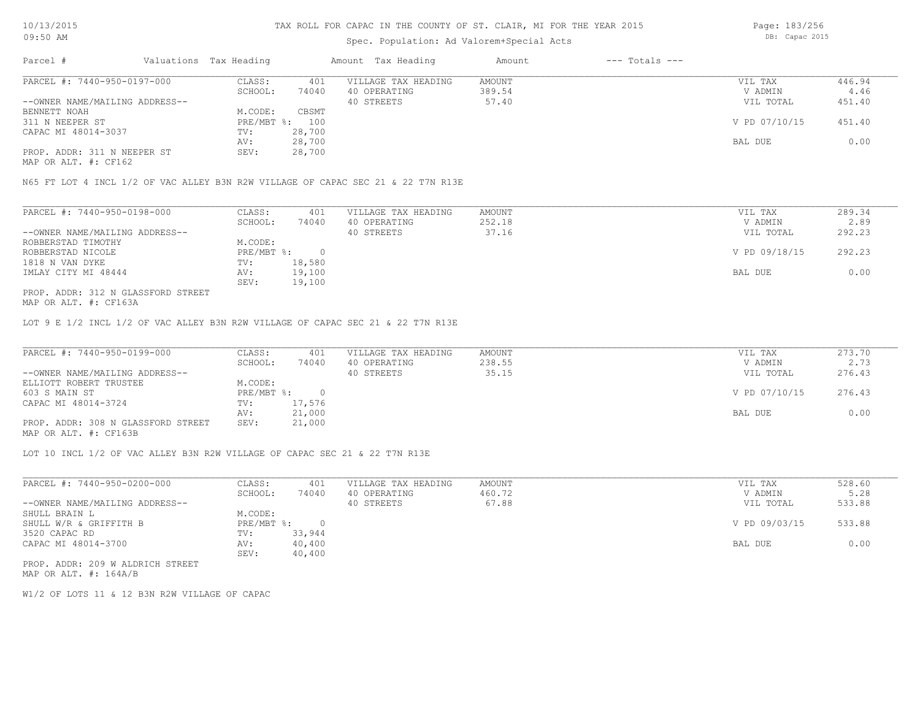## Spec. Population: Ad Valorem+Special Acts

Page: 183/256 DB: Capac 2015

| Parcel #                       | Valuations Tax Heading |        | Amount Tax Heading  | Amount | $---$ Totals $---$ |               |        |
|--------------------------------|------------------------|--------|---------------------|--------|--------------------|---------------|--------|
| PARCEL #: 7440-950-0197-000    | CLASS:                 | 401    | VILLAGE TAX HEADING | AMOUNT |                    | VIL TAX       | 446.94 |
|                                | SCHOOL:                | 74040  | 40 OPERATING        | 389.54 |                    | V ADMIN       | 4.46   |
| --OWNER NAME/MAILING ADDRESS-- |                        |        | 40 STREETS          | 57.40  |                    | VIL TOTAL     | 451.40 |
| BENNETT NOAH                   | M.CODE:                | CBSMT  |                     |        |                    |               |        |
| 311 N NEEPER ST                | PRE/MBT %: 100         |        |                     |        |                    | V PD 07/10/15 | 451.40 |
| CAPAC MI 48014-3037            | TV:                    | 28,700 |                     |        |                    |               |        |
|                                | AV:                    | 28,700 |                     |        |                    | BAL DUE       | 0.00   |
| PROP. ADDR: 311 N NEEPER ST    | SEV:                   | 28,700 |                     |        |                    |               |        |
|                                |                        |        |                     |        |                    |               |        |

MAP OR ALT. #: CF162

N65 FT LOT 4 INCL 1/2 OF VAC ALLEY B3N R2W VILLAGE OF CAPAC SEC 21 & 22 T7N R13E

| PARCEL #: 7440-950-0198-000        | CLASS:     | 401    | VILLAGE TAX HEADING | AMOUNT | VIL TAX       | 289.34 |
|------------------------------------|------------|--------|---------------------|--------|---------------|--------|
|                                    | SCHOOL:    | 74040  | 40 OPERATING        | 252.18 | V ADMIN       | 2.89   |
| --OWNER NAME/MAILING ADDRESS--     |            |        | 40 STREETS          | 37.16  | VIL TOTAL     | 292.23 |
| ROBBERSTAD TIMOTHY                 | M.CODE:    |        |                     |        |               |        |
| ROBBERSTAD NICOLE                  | PRE/MBT %: |        |                     |        | V PD 09/18/15 | 292.23 |
| 1818 N VAN DYKE                    | TV:        | 18,580 |                     |        |               |        |
| IMLAY CITY MI 48444                | AV:        | 19,100 |                     |        | BAL DUE       | 0.00   |
|                                    | SEV:       | 19,100 |                     |        |               |        |
| PROP. ADDR: 312 N GLASSFORD STREET |            |        |                     |        |               |        |

MAP OR ALT. #: CF163A

LOT 9 E 1/2 INCL 1/2 OF VAC ALLEY B3N R2W VILLAGE OF CAPAC SEC 21 & 22 T7N R13E

| PARCEL #: 7440-950-0199-000        | CLASS:       | 401    | VILLAGE TAX HEADING | AMOUNT | VIL TAX       | 273.70 |
|------------------------------------|--------------|--------|---------------------|--------|---------------|--------|
|                                    | SCHOOL:      | 74040  | 40 OPERATING        | 238.55 | V ADMIN       | 2.73   |
| --OWNER NAME/MAILING ADDRESS--     |              |        | 40 STREETS          | 35.15  | VIL TOTAL     | 276.43 |
| ELLIOTT ROBERT TRUSTEE             | M.CODE:      |        |                     |        |               |        |
| 603 S MAIN ST                      | $PRE/MBT$ %: |        |                     |        | V PD 07/10/15 | 276.43 |
| CAPAC MI 48014-3724                | TV:          | 17,576 |                     |        |               |        |
|                                    | AV:          | 21,000 |                     |        | BAL DUE       | 0.00   |
| PROP. ADDR: 308 N GLASSFORD STREET | SEV:         | 21,000 |                     |        |               |        |
| MAP OR ALT. #: CF163B              |              |        |                     |        |               |        |

LOT 10 INCL 1/2 OF VAC ALLEY B3N R2W VILLAGE OF CAPAC SEC 21 & 22 T7N R13E

| PARCEL #: 7440-950-0200-000      | CLASS:     | 401    | VILLAGE TAX HEADING | AMOUNT | VIL TAX       | 528.60 |
|----------------------------------|------------|--------|---------------------|--------|---------------|--------|
|                                  | SCHOOL:    | 74040  | 40 OPERATING        | 460.72 | V ADMIN       | 5.28   |
| --OWNER NAME/MAILING ADDRESS--   |            |        | 40 STREETS          | 67.88  | VIL TOTAL     | 533.88 |
| SHULL BRAIN L                    | M.CODE:    |        |                     |        |               |        |
| SHULL W/R & GRIFFITH B           | PRE/MBT %: |        |                     |        | V PD 09/03/15 | 533.88 |
| 3520 CAPAC RD                    | TV:        | 33,944 |                     |        |               |        |
| CAPAC MI 48014-3700              | AV:        | 40,400 |                     |        | BAL DUE       | 0.00   |
|                                  | SEV:       | 40,400 |                     |        |               |        |
| PROP. ADDR: 209 W ALDRICH STREET |            |        |                     |        |               |        |

MAP OR ALT. #: 164A/B

W1/2 OF LOTS 11 & 12 B3N R2W VILLAGE OF CAPAC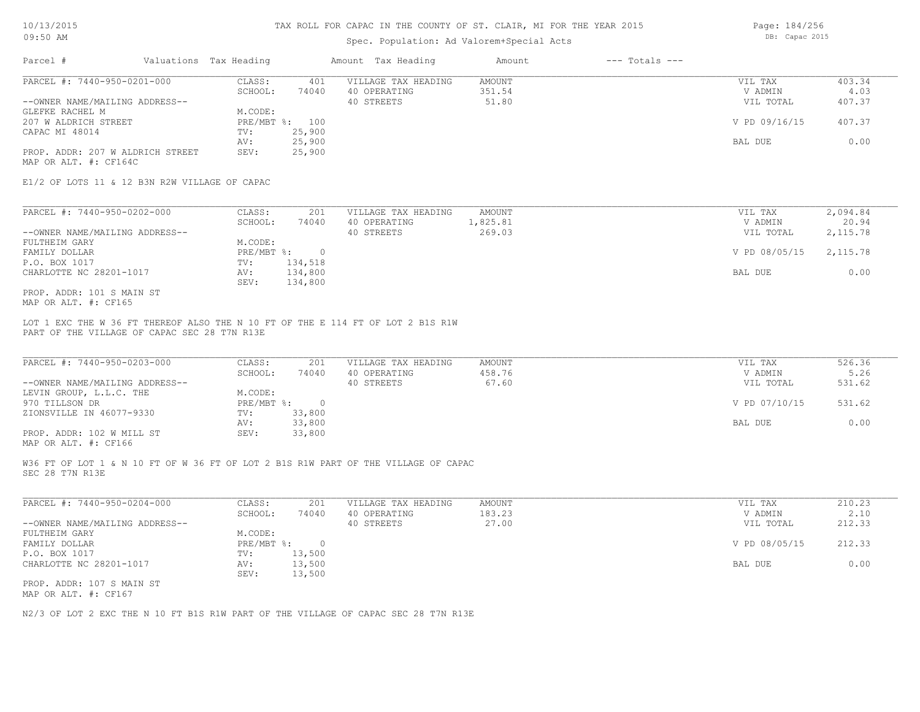### Spec. Population: Ad Valorem+Special Acts

Page: 184/256 DB: Capac 2015

| Parcel #                         | Valuations Tax Heading |        | Amount Tax Heading  | Amount | $---$ Totals $---$ |               |        |
|----------------------------------|------------------------|--------|---------------------|--------|--------------------|---------------|--------|
| PARCEL #: 7440-950-0201-000      | CLASS:                 | 401    | VILLAGE TAX HEADING | AMOUNT |                    | VIL TAX       | 403.34 |
|                                  | SCHOOL:                | 74040  | 40 OPERATING        | 351.54 |                    | V ADMIN       | 4.03   |
| --OWNER NAME/MAILING ADDRESS--   |                        |        | 40 STREETS          | 51.80  |                    | VIL TOTAL     | 407.37 |
| GLEFKE RACHEL M                  | M.CODE:                |        |                     |        |                    |               |        |
| 207 W ALDRICH STREET             | PRE/MBT %: 100         |        |                     |        |                    | V PD 09/16/15 | 407.37 |
| CAPAC MI 48014                   | TV:                    | 25,900 |                     |        |                    |               |        |
|                                  | AV:                    | 25,900 |                     |        |                    | BAL DUE       | 0.00   |
| PROP. ADDR: 207 W ALDRICH STREET | SEV:                   | 25,900 |                     |        |                    |               |        |
| MAP OR ALT. #: CF164C            |                        |        |                     |        |                    |               |        |

E1/2 OF LOTS 11 & 12 B3N R2W VILLAGE OF CAPAC

| PARCEL #: 7440-950-0202-000    | CLASS:     | 201     | VILLAGE TAX HEADING | AMOUNT   | VIL TAX       | 2,094.84  |
|--------------------------------|------------|---------|---------------------|----------|---------------|-----------|
|                                | SCHOOL:    | 74040   | 40 OPERATING        | 1,825.81 | V ADMIN       | 20.94     |
| --OWNER NAME/MAILING ADDRESS-- |            |         | 40 STREETS          | 269.03   | VIL TOTAL     | 2,115.78  |
| FULTHEIM GARY                  | M.CODE:    |         |                     |          |               |           |
| FAMILY DOLLAR                  | PRE/MBT %: |         |                     |          | V PD 08/05/15 | 2, 115.78 |
| P.O. BOX 1017                  | TV:        | 134,518 |                     |          |               |           |
| CHARLOTTE NC 28201-1017        | AV:        | 134,800 |                     |          | BAL DUE       | 0.00      |
|                                | SEV:       | 134,800 |                     |          |               |           |
| PROP. ADDR: 101 S MAIN ST      |            |         |                     |          |               |           |

MAP OR ALT. #: CF165

PART OF THE VILLAGE OF CAPAC SEC 28 T7N R13E LOT 1 EXC THE W 36 FT THEREOF ALSO THE N 10 FT OF THE E 114 FT OF LOT 2 B1S R1W

| PARCEL #: 7440-950-0203-000    | CLASS:       | 201    | VILLAGE TAX HEADING | AMOUNT | VIL TAX       | 526.36 |
|--------------------------------|--------------|--------|---------------------|--------|---------------|--------|
|                                | SCHOOL:      | 74040  | 40 OPERATING        | 458.76 | V ADMIN       | 5.26   |
| --OWNER NAME/MAILING ADDRESS-- |              |        | 40 STREETS          | 67.60  | VIL TOTAL     | 531.62 |
| LEVIN GROUP, L.L.C. THE        | M.CODE:      |        |                     |        |               |        |
| 970 TILLSON DR                 | $PRE/MBT$ %: |        |                     |        | V PD 07/10/15 | 531.62 |
| ZIONSVILLE IN 46077-9330       | TV:          | 33,800 |                     |        |               |        |
|                                | AV:          | 33,800 |                     |        | BAL DUE       | 0.00   |
| PROP. ADDR: 102 W MILL ST      | SEV:         | 33,800 |                     |        |               |        |
|                                |              |        |                     |        |               |        |

MAP OR ALT. #: CF166

SEC 28 T7N R13E W36 FT OF LOT 1 & N 10 FT OF W 36 FT OF LOT 2 B1S R1W PART OF THE VILLAGE OF CAPAC

| PARCEL #: 7440-950-0204-000    | CLASS:       | 201    | VILLAGE TAX HEADING | AMOUNT | VIL TAX       | 210.23 |
|--------------------------------|--------------|--------|---------------------|--------|---------------|--------|
|                                | SCHOOL:      | 74040  | 40 OPERATING        | 183.23 | V ADMIN       | 2.10   |
| --OWNER NAME/MAILING ADDRESS-- |              |        | 40 STREETS          | 27.00  | VIL TOTAL     | 212.33 |
| FULTHEIM GARY                  | M.CODE:      |        |                     |        |               |        |
| FAMILY DOLLAR                  | $PRE/MBT$ %: |        |                     |        | V PD 08/05/15 | 212.33 |
| P.O. BOX 1017                  | TV:          | 13,500 |                     |        |               |        |
| CHARLOTTE NC 28201-1017        | AV:          | 13,500 |                     |        | BAL DUE       | 0.00   |
|                                | SEV:         | 13,500 |                     |        |               |        |
| PROP. ADDR: 107 S MAIN ST      |              |        |                     |        |               |        |
|                                |              |        |                     |        |               |        |

MAP OR ALT. #: CF167

N2/3 OF LOT 2 EXC THE N 10 FT B1S R1W PART OF THE VILLAGE OF CAPAC SEC 28 T7N R13E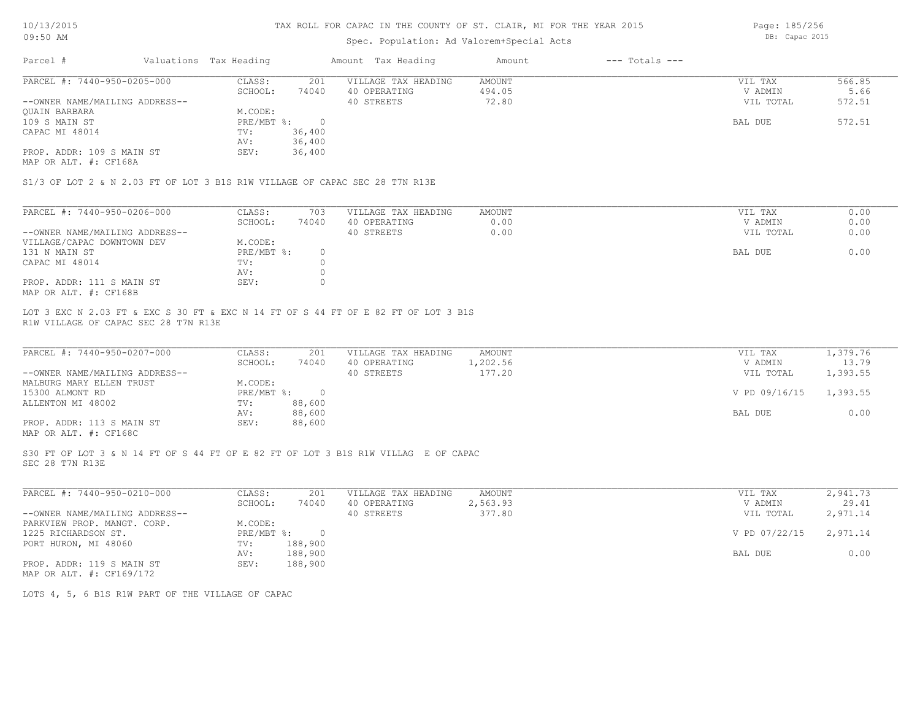### Spec. Population: Ad Valorem+Special Acts

Page: 185/256 DB: Capac 2015

| Parcel #                       | Valuations Tax Heading |        | Amount Tax Heading  | Amount | $---$ Totals $---$ |           |        |
|--------------------------------|------------------------|--------|---------------------|--------|--------------------|-----------|--------|
| PARCEL #: 7440-950-0205-000    | CLASS:                 | 201    | VILLAGE TAX HEADING | AMOUNT |                    | VIL TAX   | 566.85 |
|                                | SCHOOL:                | 74040  | 40 OPERATING        | 494.05 |                    | V ADMIN   | 5.66   |
| --OWNER NAME/MAILING ADDRESS-- |                        |        | 40 STREETS          | 72.80  |                    | VIL TOTAL | 572.51 |
| <b>OUAIN BARBARA</b>           | M.CODE:                |        |                     |        |                    |           |        |
| 109 S MAIN ST                  | PRE/MBT %:             |        |                     |        |                    | BAL DUE   | 572.51 |
| CAPAC MI 48014                 | TV:                    | 36,400 |                     |        |                    |           |        |
|                                | AV:                    | 36,400 |                     |        |                    |           |        |
| PROP. ADDR: 109 S MAIN ST      | SEV:                   | 36,400 |                     |        |                    |           |        |

MAP OR ALT. #: CF168A

S1/3 OF LOT 2 & N 2.03 FT OF LOT 3 B1S R1W VILLAGE OF CAPAC SEC 28 T7N R13E

| PARCEL #: 7440-950-0206-000    | CLASS:     | 703   | VILLAGE TAX HEADING | AMOUNT | VIL TAX   | 0.00 |
|--------------------------------|------------|-------|---------------------|--------|-----------|------|
|                                | SCHOOL:    | 74040 | 40 OPERATING        | 0.00   | V ADMIN   | 0.00 |
| --OWNER NAME/MAILING ADDRESS-- |            |       | 40 STREETS          | 0.00   | VIL TOTAL | 0.00 |
| VILLAGE/CAPAC DOWNTOWN DEV     | M.CODE:    |       |                     |        |           |      |
| 131 N MAIN ST                  | PRE/MBT %: |       |                     |        | BAL DUE   | 0.00 |
| CAPAC MI 48014                 | TV:        |       |                     |        |           |      |
|                                | AV:        |       |                     |        |           |      |
| PROP. ADDR: 111 S MAIN ST      | SEV:       |       |                     |        |           |      |
| MAP OR ALT. #: CF168B          |            |       |                     |        |           |      |

R1W VILLAGE OF CAPAC SEC 28 T7N R13E LOT 3 EXC N 2.03 FT & EXC S 30 FT & EXC N 14 FT OF S 44 FT OF E 82 FT OF LOT 3 B1S

| PARCEL #: 7440-950-0207-000                           | CLASS:     | 201    | VILLAGE TAX HEADING | AMOUNT   | VIL TAX       | 1,379.76 |
|-------------------------------------------------------|------------|--------|---------------------|----------|---------------|----------|
|                                                       | SCHOOL:    | 74040  | 40 OPERATING        | 1,202.56 | V ADMIN       | 13.79    |
| --OWNER NAME/MAILING ADDRESS--                        |            |        | 40 STREETS          | 177.20   | VIL TOTAL     | 1,393.55 |
| MALBURG MARY ELLEN TRUST                              | M.CODE:    |        |                     |          |               |          |
| 15300 ALMONT RD                                       | PRE/MBT %: |        |                     |          | V PD 09/16/15 | 1,393.55 |
| ALLENTON MI 48002                                     | TV:        | 88,600 |                     |          |               |          |
|                                                       | AV:        | 88,600 |                     |          | BAL DUE       | 0.00     |
| PROP. ADDR: 113 S MAIN ST                             | SEV:       | 88,600 |                     |          |               |          |
| $\cdots$ $\cdots$ $\cdots$ $\cdots$ $\cdots$ $\cdots$ |            |        |                     |          |               |          |

 $\mathcal{L}_\mathcal{L} = \mathcal{L}_\mathcal{L} = \mathcal{L}_\mathcal{L} = \mathcal{L}_\mathcal{L} = \mathcal{L}_\mathcal{L} = \mathcal{L}_\mathcal{L} = \mathcal{L}_\mathcal{L} = \mathcal{L}_\mathcal{L} = \mathcal{L}_\mathcal{L} = \mathcal{L}_\mathcal{L} = \mathcal{L}_\mathcal{L} = \mathcal{L}_\mathcal{L} = \mathcal{L}_\mathcal{L} = \mathcal{L}_\mathcal{L} = \mathcal{L}_\mathcal{L} = \mathcal{L}_\mathcal{L} = \mathcal{L}_\mathcal{L}$ 

MAP OR ALT. #: CF168C

SEC 28 T7N R13E S30 FT OF LOT 3 & N 14 FT OF S 44 FT OF E 82 FT OF LOT 3 B1S R1W VILLAG E OF CAPAC

| PARCEL #: 7440-950-0210-000    | CLASS:     | 201     | VILLAGE TAX HEADING | AMOUNT   | VIL TAX                | 2,941.73 |
|--------------------------------|------------|---------|---------------------|----------|------------------------|----------|
|                                | SCHOOL:    | 74040   | 40 OPERATING        | 2,563.93 | V ADMIN                | 29.41    |
| --OWNER NAME/MAILING ADDRESS-- |            |         | 40 STREETS          | 377.80   | VIL TOTAL              | 2,971.14 |
| PARKVIEW PROP. MANGT. CORP.    | M.CODE:    |         |                     |          |                        |          |
| 1225 RICHARDSON ST.            | PRE/MBT %: | $\cap$  |                     |          | V PD 07/22/15 2,971.14 |          |
| PORT HURON, MI 48060           | TV:        | 188,900 |                     |          |                        |          |
|                                | AV:        | 188,900 |                     |          | BAL DUE                | 0.00     |
| PROP. ADDR: 119 S MAIN ST      | SEV:       | 188,900 |                     |          |                        |          |
| MAP OR ALT. #: CF169/172       |            |         |                     |          |                        |          |

LOTS 4, 5, 6 B1S R1W PART OF THE VILLAGE OF CAPAC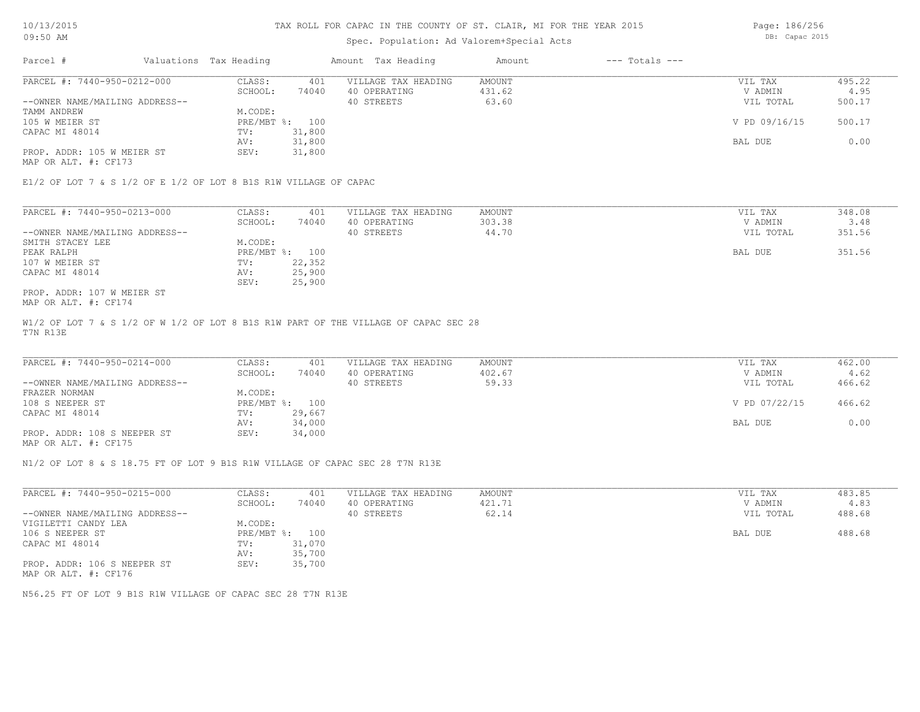## Spec. Population: Ad Valorem+Special Acts

Page: 186/256 DB: Capac 2015

| Parcel #                       | Valuations Tax Heading |        | Amount Tax Heading  | Amount | $---$ Totals $---$ |               |        |
|--------------------------------|------------------------|--------|---------------------|--------|--------------------|---------------|--------|
| PARCEL #: 7440-950-0212-000    | CLASS:                 | 401    | VILLAGE TAX HEADING | AMOUNT |                    | VIL TAX       | 495.22 |
|                                | SCHOOL:                | 74040  | 40 OPERATING        | 431.62 |                    | V ADMIN       | 4.95   |
| --OWNER NAME/MAILING ADDRESS-- |                        |        | 40 STREETS          | 63.60  |                    | VIL TOTAL     | 500.17 |
| TAMM ANDREW                    | M.CODE:                |        |                     |        |                    |               |        |
| 105 W MEIER ST                 | PRE/MBT %: 100         |        |                     |        |                    | V PD 09/16/15 | 500.17 |
| CAPAC MI 48014                 | TV:                    | 31,800 |                     |        |                    |               |        |
|                                | AV:                    | 31,800 |                     |        |                    | BAL DUE       | 0.00   |
| PROP. ADDR: 105 W MEIER ST     | SEV:                   | 31,800 |                     |        |                    |               |        |
|                                |                        |        |                     |        |                    |               |        |

MAP OR ALT. #: CF173

E1/2 OF LOT 7 & S 1/2 OF E 1/2 OF LOT 8 B1S R1W VILLAGE OF CAPAC

| PARCEL #: 7440-950-0213-000    | CLASS:  | 401            | VILLAGE TAX HEADING | AMOUNT | VIL TAX   | 348.08 |
|--------------------------------|---------|----------------|---------------------|--------|-----------|--------|
|                                | SCHOOL: | 74040          | 40 OPERATING        | 303.38 | V ADMIN   | 3.48   |
| --OWNER NAME/MAILING ADDRESS-- |         |                | 40 STREETS          | 44.70  | VIL TOTAL | 351.56 |
| SMITH STACEY LEE               | M.CODE: |                |                     |        |           |        |
| PEAK RALPH                     |         | PRE/MBT %: 100 |                     |        | BAL DUE   | 351.56 |
| 107 W MEIER ST                 | TV:     | 22,352         |                     |        |           |        |
| CAPAC MI 48014                 | AV:     | 25,900         |                     |        |           |        |
|                                | SEV:    | 25,900         |                     |        |           |        |
| PROP. ADDR: 107 W MEIER ST     |         |                |                     |        |           |        |

MAP OR ALT. #: CF174

T7N R13E W1/2 OF LOT 7 & S 1/2 OF W 1/2 OF LOT 8 B1S R1W PART OF THE VILLAGE OF CAPAC SEC 28

| PARCEL #: 7440-950-0214-000    | CLASS:  | 401            | VILLAGE TAX HEADING | AMOUNT | VIL TAX       | 462.00 |
|--------------------------------|---------|----------------|---------------------|--------|---------------|--------|
|                                | SCHOOL: | 74040          | 40 OPERATING        | 402.67 | V ADMIN       | 4.62   |
| --OWNER NAME/MAILING ADDRESS-- |         |                | 40 STREETS          | 59.33  | VIL TOTAL     | 466.62 |
| FRAZER NORMAN                  | M.CODE: |                |                     |        |               |        |
| 108 S NEEPER ST                |         | PRE/MBT %: 100 |                     |        | V PD 07/22/15 | 466.62 |
| CAPAC MI 48014                 | TV:     | 29,667         |                     |        |               |        |
|                                | AV:     | 34,000         |                     |        | BAL DUE       | 0.00   |
| PROP. ADDR: 108 S NEEPER ST    | SEV:    | 34,000         |                     |        |               |        |
|                                |         |                |                     |        |               |        |

MAP OR ALT. #: CF175

N1/2 OF LOT 8 & S 18.75 FT OF LOT 9 B1S R1W VILLAGE OF CAPAC SEC 28 T7N R13E

| PARCEL #: 7440-950-0215-000                         | CLASS:       | 401    | VILLAGE TAX HEADING | AMOUNT | 483.85<br>VIL TAX   |
|-----------------------------------------------------|--------------|--------|---------------------|--------|---------------------|
|                                                     | SCHOOL:      | 74040  | 40 OPERATING        | 421.71 | 4.83<br>V ADMIN     |
| --OWNER NAME/MAILING ADDRESS--                      |              |        | 40 STREETS          | 62.14  | 488.68<br>VIL TOTAL |
| VIGILETTI CANDY LEA                                 | M.CODE:      |        |                     |        |                     |
| 106 S NEEPER ST                                     | $PRE/MBT$ %: | 100    |                     |        | 488.68<br>BAL DUE   |
| CAPAC MI 48014                                      | TV:          | 31,070 |                     |        |                     |
|                                                     | AV:          | 35,700 |                     |        |                     |
| PROP. ADDR: 106 S NEEPER ST<br>MAP OR ALT. #: CF176 | SEV:         | 35,700 |                     |        |                     |

N56.25 FT OF LOT 9 B1S R1W VILLAGE OF CAPAC SEC 28 T7N R13E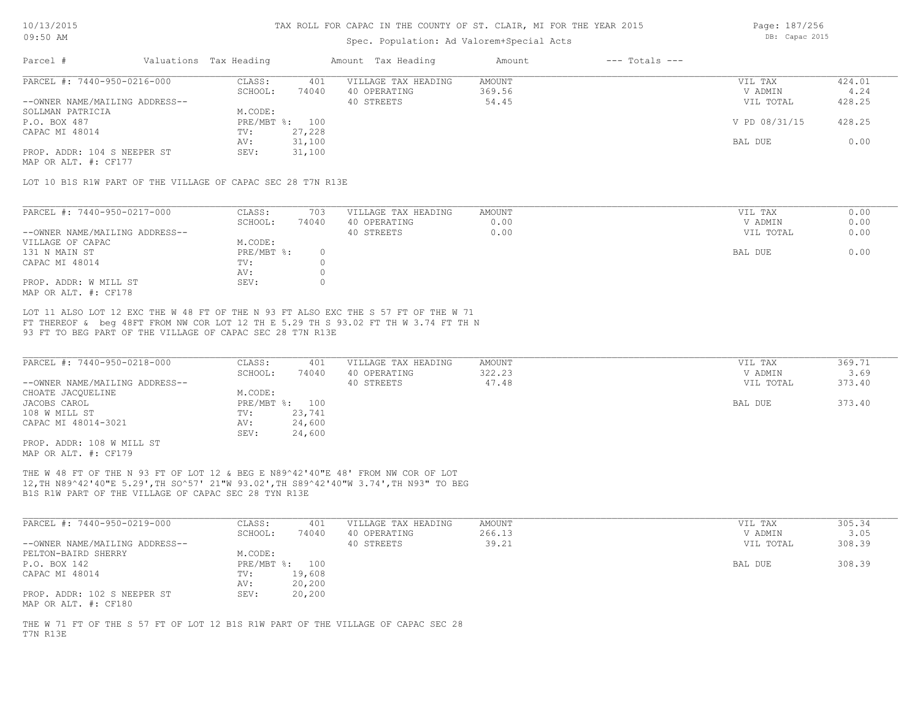### Spec. Population: Ad Valorem+Special Acts

Page: 187/256 DB: Capac 2015

| Parcel #                       | Valuations Tax Heading |        | Amount Tax Heading  | Amount | $---$ Totals $---$ |               |        |
|--------------------------------|------------------------|--------|---------------------|--------|--------------------|---------------|--------|
| PARCEL #: 7440-950-0216-000    | CLASS:                 | 401    | VILLAGE TAX HEADING | AMOUNT |                    | VIL TAX       | 424.01 |
|                                | SCHOOL:                | 74040  | 40 OPERATING        | 369.56 |                    | V ADMIN       | 4.24   |
| --OWNER NAME/MAILING ADDRESS-- |                        |        | 40 STREETS          | 54.45  |                    | VIL TOTAL     | 428.25 |
| SOLLMAN PATRICIA               | M.CODE:                |        |                     |        |                    |               |        |
| P.O. BOX 487                   | PRE/MBT %: 100         |        |                     |        |                    | V PD 08/31/15 | 428.25 |
| CAPAC MI 48014                 | TV:                    | 27,228 |                     |        |                    |               |        |
|                                | AV:                    | 31,100 |                     |        |                    | BAL DUE       | 0.00   |
| PROP. ADDR: 104 S NEEPER ST    | SEV:                   | 31,100 |                     |        |                    |               |        |
|                                |                        |        |                     |        |                    |               |        |

MAP OR ALT. #: CF177

LOT 10 B1S R1W PART OF THE VILLAGE OF CAPAC SEC 28 T7N R13E

| PARCEL #: 7440-950-0217-000    | CLASS:     | 703   | VILLAGE TAX HEADING | AMOUNT | VIL TAX   | 0.00 |
|--------------------------------|------------|-------|---------------------|--------|-----------|------|
|                                | SCHOOL:    | 74040 | 40 OPERATING        | 0.00   | V ADMIN   | 0.00 |
| --OWNER NAME/MAILING ADDRESS-- |            |       | 40 STREETS          | 0.00   | VIL TOTAL | 0.00 |
| VILLAGE OF CAPAC               | M.CODE:    |       |                     |        |           |      |
| 131 N MAIN ST                  | PRE/MBT %: |       |                     |        | BAL DUE   | 0.00 |
| CAPAC MI 48014                 | TV:        |       |                     |        |           |      |
|                                | AV:        |       |                     |        |           |      |
| PROP. ADDR: W MILL ST          | SEV:       |       |                     |        |           |      |
| MAP OR ALT. #: CF178           |            |       |                     |        |           |      |

93 FT TO BEG PART OF THE VILLAGE OF CAPAC SEC 28 T7N R13E FT THEREOF & beg 48FT FROM NW COR LOT 12 TH E 5.29 TH S 93.02 FT TH W 3.74 FT TH N LOT 11 ALSO LOT 12 EXC THE W 48 FT OF THE N 93 FT ALSO EXC THE S 57 FT OF THE W 71

| PARCEL #: 7440-950-0218-000    | CLASS:       | 401    | VILLAGE TAX HEADING | AMOUNT | VIL TAX   | 369.71 |
|--------------------------------|--------------|--------|---------------------|--------|-----------|--------|
|                                | SCHOOL:      | 74040  | 40 OPERATING        | 322.23 | V ADMIN   | 3.69   |
| --OWNER NAME/MAILING ADDRESS-- |              |        | 40 STREETS          | 47.48  | VIL TOTAL | 373.40 |
| CHOATE JACQUELINE              | M.CODE:      |        |                     |        |           |        |
| JACOBS CAROL                   | $PRE/MBT$ %: | 100    |                     |        | BAL DUE   | 373.40 |
| 108 W MILL ST                  | TV:          | 23,741 |                     |        |           |        |
| CAPAC MI 48014-3021            | AV:          | 24,600 |                     |        |           |        |
|                                | SEV:         | 24,600 |                     |        |           |        |
| PROP. ADDR: 108 W MILL ST      |              |        |                     |        |           |        |

MAP OR ALT. #: CF179

B1S R1W PART OF THE VILLAGE OF CAPAC SEC 28 TYN R13E 12,TH N89^42'40"E 5.29',TH SO^57' 21"W 93.02',TH S89^42'40"W 3.74',TH N93" TO BEG THE W 48 FT OF THE N 93 FT OF LOT 12 & BEG E N89^42'40"E 48' FROM NW COR OF LOT

| PARCEL #: 7440-950-0219-000                         | CLASS:  | 401            | VILLAGE TAX HEADING | AMOUNT | VIL TAX   | 305.34 |
|-----------------------------------------------------|---------|----------------|---------------------|--------|-----------|--------|
|                                                     | SCHOOL: | 74040          | 40 OPERATING        | 266.13 | V ADMIN   | 3.05   |
| --OWNER NAME/MAILING ADDRESS--                      |         |                | 40 STREETS          | 39.21  | VIL TOTAL | 308.39 |
| PELTON-BAIRD SHERRY                                 | M.CODE: |                |                     |        |           |        |
| P.O. BOX 142                                        |         | PRE/MBT %: 100 |                     |        | BAL DUE   | 308.39 |
| CAPAC MI 48014                                      | TV:     | 19,608         |                     |        |           |        |
|                                                     | AV:     | 20,200         |                     |        |           |        |
| PROP. ADDR: 102 S NEEPER ST<br>MAP OR ALT. #: CF180 | SEV:    | 20,200         |                     |        |           |        |

T7N R13E THE W 71 FT OF THE S 57 FT OF LOT 12 B1S R1W PART OF THE VILLAGE OF CAPAC SEC 28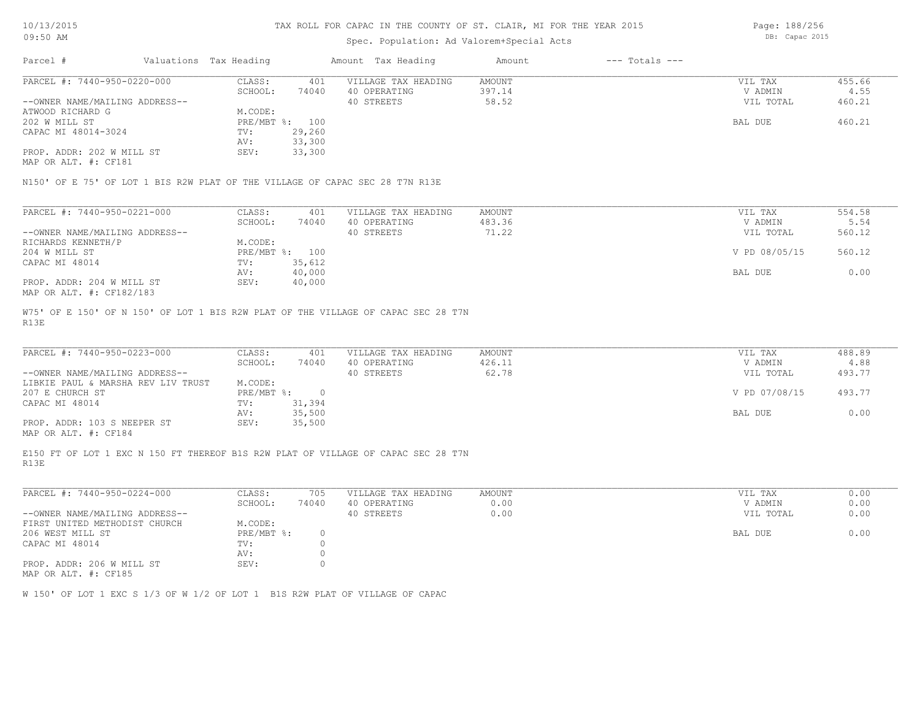### Spec. Population: Ad Valorem+Special Acts

Parcel # Valuations Tax Heading Amount Tax Heading Amount --- Totals ---MAP OR ALT. #: CF181 PROP. ADDR: 202 W MILL ST SEV: 33,300 AV: 33,300 CAPAC MI 48014-3024 TV: 29,260<br>AV: 33,300 202 W MILL ST PRE/MBT %: 100 BAL DUE 460.21 ATWOOD RICHARD G<br>
202 W MILL ST
202 W MILL ST
202 W MILL ST
202 W MILL ST
202 W MILL ST
202 W MILL ST
202 W MILL ST
202 W MILL ST
202 W MILL ST
202 W MILL ST
202 W MILL ST
202 W MILL ST
202 W MILL ST
202 W MILL ST
202 W MI --OWNER NAME/MAILING ADDRESS-- 40 STREETS 58.52 VIL TOTAL 460.21 SCHOOL: 74040 40 OPERATING 397.14 397.14 V ADMIN 4.55 PARCEL #: 7440-950-0220-000 CLASS: 401 VILLAGE TAX HEADING AMOUNT VIL TAX VIL TAX 455.66<br>SCHOOL: 74040 40 OPERATING 397.14 VADMIN 4.55  $\mathcal{L}_\mathcal{L} = \mathcal{L}_\mathcal{L} = \mathcal{L}_\mathcal{L} = \mathcal{L}_\mathcal{L} = \mathcal{L}_\mathcal{L} = \mathcal{L}_\mathcal{L} = \mathcal{L}_\mathcal{L} = \mathcal{L}_\mathcal{L} = \mathcal{L}_\mathcal{L} = \mathcal{L}_\mathcal{L} = \mathcal{L}_\mathcal{L} = \mathcal{L}_\mathcal{L} = \mathcal{L}_\mathcal{L} = \mathcal{L}_\mathcal{L} = \mathcal{L}_\mathcal{L} = \mathcal{L}_\mathcal{L} = \mathcal{L}_\mathcal{L}$ 

N150' OF E 75' OF LOT 1 BIS R2W PLAT OF THE VILLAGE OF CAPAC SEC 28 T7N R13E

| PARCEL #: 7440-950-0221-000    | CLASS:  | 401            | VILLAGE TAX HEADING | AMOUNT | VIL TAX       | 554.58 |
|--------------------------------|---------|----------------|---------------------|--------|---------------|--------|
|                                | SCHOOL: | 74040          | 40 OPERATING        | 483.36 | V ADMIN       | 5.54   |
| --OWNER NAME/MAILING ADDRESS-- |         |                | 40 STREETS          | 71.22  | VIL TOTAL     | 560.12 |
| RICHARDS KENNETH/P             | M.CODE: |                |                     |        |               |        |
| 204 W MILL ST                  |         | PRE/MBT %: 100 |                     |        | V PD 08/05/15 | 560.12 |
| CAPAC MI 48014                 | TV:     | 35,612         |                     |        |               |        |
|                                | AV:     | 40,000         |                     |        | BAL DUE       | 0.00   |
| PROP. ADDR: 204 W MILL ST      | SEV:    | 40,000         |                     |        |               |        |
| MAP OR ALT. #: CF182/183       |         |                |                     |        |               |        |

R13E W75' OF E 150' OF N 150' OF LOT 1 BIS R2W PLAT OF THE VILLAGE OF CAPAC SEC 28 T7N

| PARCEL #: 7440-950-0223-000        | CLASS:     | 401    | VILLAGE TAX HEADING | AMOUNT | VIL TAX       | 488.89 |
|------------------------------------|------------|--------|---------------------|--------|---------------|--------|
|                                    | SCHOOL:    | 74040  | 40 OPERATING        | 426.11 | V ADMIN       | 4.88   |
| --OWNER NAME/MAILING ADDRESS--     |            |        | 40 STREETS          | 62.78  | VIL TOTAL     | 493.77 |
| LIBKIE PAUL & MARSHA REV LIV TRUST | M.CODE:    |        |                     |        |               |        |
| 207 E CHURCH ST                    | PRE/MBT %: |        |                     |        | V PD 07/08/15 | 493.77 |
| CAPAC MI 48014                     | TV:        | 31,394 |                     |        |               |        |
|                                    | AV:        | 35,500 |                     |        | BAL DUE       | 0.00   |
| PROP. ADDR: 103 S NEEPER ST        | SEV:       | 35,500 |                     |        |               |        |
|                                    |            |        |                     |        |               |        |

MAP OR ALT. #: CF184

R13E E150 FT OF LOT 1 EXC N 150 FT THEREOF B1S R2W PLAT OF VILLAGE OF CAPAC SEC 28 T7N

| PARCEL #: 7440-950-0224-000    | CLASS:     | 705   | VILLAGE TAX HEADING | AMOUNT | VIL TAX   | 0.00 |
|--------------------------------|------------|-------|---------------------|--------|-----------|------|
|                                | SCHOOL:    | 74040 | 40 OPERATING        | 0.00   | V ADMIN   | 0.00 |
| --OWNER NAME/MAILING ADDRESS-- |            |       | 40 STREETS          | 0.00   | VIL TOTAL | 0.00 |
| FIRST UNITED METHODIST CHURCH  | M.CODE:    |       |                     |        |           |      |
| 206 WEST MILL ST               | PRE/MBT %: |       |                     |        | BAL DUE   | 0.00 |
| CAPAC MI 48014                 | TV:        |       |                     |        |           |      |
|                                | AV:        |       |                     |        |           |      |
| PROP. ADDR: 206 W MILL ST      | SEV:       |       |                     |        |           |      |
|                                |            |       |                     |        |           |      |

MAP OR ALT. #: CF185

W 150' OF LOT 1 EXC S 1/3 OF W 1/2 OF LOT 1 B1S R2W PLAT OF VILLAGE OF CAPAC

Page: 188/256 DB: Capac 2015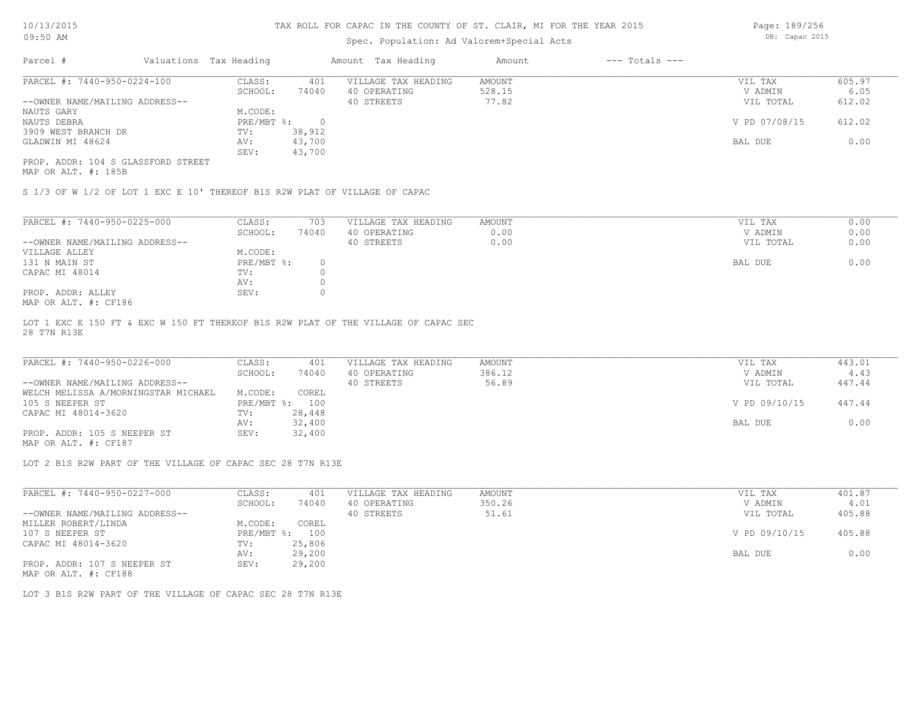# Spec. Population: Ad Valorem+Special Acts

Page: 189/256 DB: Capac 2015

| Parcel #                           |  | Valuations Tax Heading |        | Amount Tax Heading  | Amount | $---$ Totals $---$ |               |        |
|------------------------------------|--|------------------------|--------|---------------------|--------|--------------------|---------------|--------|
| PARCEL #: 7440-950-0224-100        |  | CLASS:                 | 401    | VILLAGE TAX HEADING | AMOUNT |                    | VIL TAX       | 605.97 |
|                                    |  | SCHOOL:                | 74040  | 40 OPERATING        | 528.15 |                    | V ADMIN       | 6.05   |
| --OWNER NAME/MAILING ADDRESS--     |  |                        |        | 40 STREETS          | 77.82  |                    | VIL TOTAL     | 612.02 |
| NAUTS GARY                         |  | M.CODE:                |        |                     |        |                    |               |        |
| NAUTS DEBRA                        |  | PRE/MBT %:             |        |                     |        |                    | V PD 07/08/15 | 612.02 |
| 3909 WEST BRANCH DR                |  | TV:                    | 38,912 |                     |        |                    |               |        |
| GLADWIN MI 48624                   |  | AV:                    | 43,700 |                     |        |                    | BAL DUE       | 0.00   |
|                                    |  | SEV:                   | 43,700 |                     |        |                    |               |        |
| PROP. ADDR: 104 S GLASSFORD STREET |  |                        |        |                     |        |                    |               |        |

MAP OR ALT. #: 185B

S 1/3 OF W 1/2 OF LOT 1 EXC E 10' THEREOF B1S R2W PLAT OF VILLAGE OF CAPAC

| PARCEL #: 7440-950-0225-000                             | CLASS:     | 703   | VILLAGE TAX HEADING | AMOUNT | 0.00<br>VIL TAX   |  |
|---------------------------------------------------------|------------|-------|---------------------|--------|-------------------|--|
|                                                         | SCHOOL:    | 74040 | 40 OPERATING        | 0.00   | 0.00<br>V ADMIN   |  |
| --OWNER NAME/MAILING ADDRESS--                          |            |       | 40 STREETS          | 0.00   | 0.00<br>VIL TOTAL |  |
| VILLAGE ALLEY                                           | M.CODE:    |       |                     |        |                   |  |
| 131 N MAIN ST                                           | PRE/MBT %: |       |                     |        | 0.00<br>BAL DUE   |  |
| CAPAC MI 48014                                          | TV:        |       |                     |        |                   |  |
|                                                         | AV:        |       |                     |        |                   |  |
| PROP. ADDR: ALLEY                                       | SEV:       |       |                     |        |                   |  |
| $M \land D$ $\land T$ $m$ $\#$ , $\land T$ 10 $\land C$ |            |       |                     |        |                   |  |

MAP OR ALT. #: CF186

28 T7N R13E LOT 1 EXC E 150 FT & EXC W 150 FT THEREOF B1S R2W PLAT OF THE VILLAGE OF CAPAC SEC

| PARCEL #: 7440-950-0226-000         | CLASS:         | 401    | VILLAGE TAX HEADING | AMOUNT | VIL TAX       | 443.01 |
|-------------------------------------|----------------|--------|---------------------|--------|---------------|--------|
|                                     | SCHOOL:        | 74040  | 40 OPERATING        | 386.12 | V ADMIN       | 4.43   |
| --OWNER NAME/MAILING ADDRESS--      |                |        | 40 STREETS          | 56.89  | VIL TOTAL     | 447.44 |
| WELCH MELISSA A/MORNINGSTAR MICHAEL | M.CODE:        | COREL  |                     |        |               |        |
| 105 S NEEPER ST                     | PRE/MBT %: 100 |        |                     |        | V PD 09/10/15 | 447.44 |
| CAPAC MI 48014-3620                 | TV:            | 28,448 |                     |        |               |        |
|                                     | AV:            | 32,400 |                     |        | BAL DUE       | 0.00   |
| PROP. ADDR: 105 S NEEPER ST         | SEV:           | 32,400 |                     |        |               |        |

MAP OR ALT. #: CF187

LOT 2 B1S R2W PART OF THE VILLAGE OF CAPAC SEC 28 T7N R13E

| PARCEL #: 7440-950-0227-000                                                                                                                    | CLASS:     | 401    | VILLAGE TAX HEADING | AMOUNT | VIL TAX       | 401.87 |
|------------------------------------------------------------------------------------------------------------------------------------------------|------------|--------|---------------------|--------|---------------|--------|
|                                                                                                                                                | SCHOOL:    | 74040  | 40 OPERATING        | 350.26 | V ADMIN       | 4.01   |
| --OWNER NAME/MAILING ADDRESS--                                                                                                                 |            |        | 40 STREETS          | 51.61  | VIL TOTAL     | 405.88 |
| MILLER ROBERT/LINDA                                                                                                                            | M.CODE:    | COREL  |                     |        |               |        |
| 107 S NEEPER ST                                                                                                                                | PRE/MBT %: | 100    |                     |        | V PD 09/10/15 | 405.88 |
| CAPAC MI 48014-3620                                                                                                                            | TV:        | 25,806 |                     |        |               |        |
|                                                                                                                                                | AV:        | 29,200 |                     |        | BAL DUE       | 0.00   |
| PROP. ADDR: 107 S NEEPER ST<br>the contract of the contract of the contract of the contract of the contract of the contract of the contract of | SEV:       | 29,200 |                     |        |               |        |

MAP OR ALT. #: CF188

LOT 3 B1S R2W PART OF THE VILLAGE OF CAPAC SEC 28 T7N R13E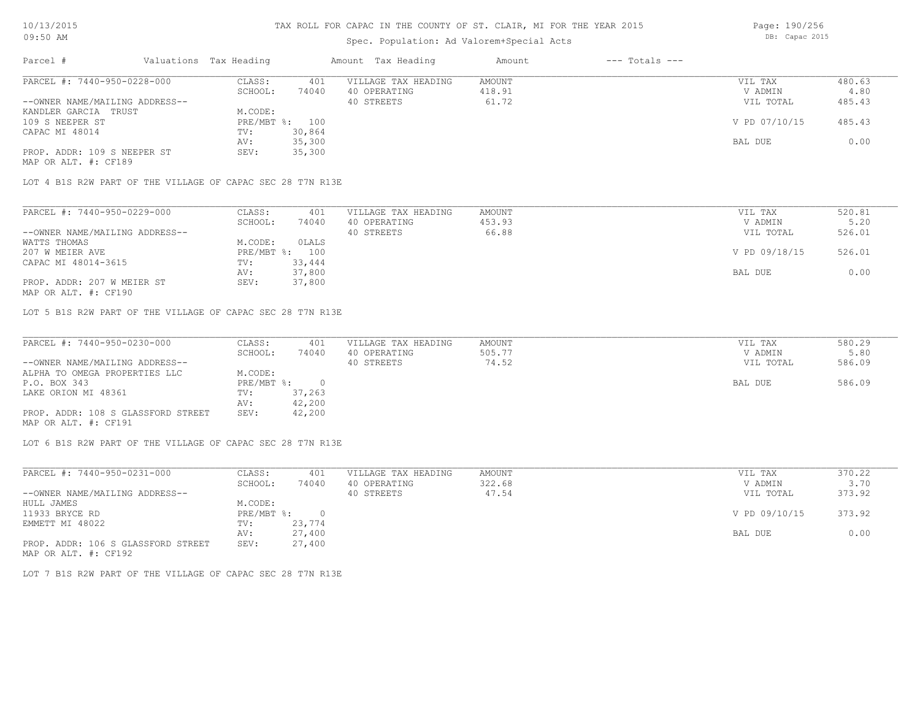## Spec. Population: Ad Valorem+Special Acts

| Parcel #                       |        | Valuations Tax Heading |                     | Amount Tax Heading | Amount | $---$ Totals $---$ |               |        |  |
|--------------------------------|--------|------------------------|---------------------|--------------------|--------|--------------------|---------------|--------|--|
| PARCEL #: 7440-950-0228-000    | CLASS: | 401                    | VILLAGE TAX HEADING | AMOUNT             |        | VIL TAX            | 480.63        |        |  |
|                                |        | SCHOOL:                | 74040               | 40 OPERATING       | 418.91 |                    | V ADMIN       | 4.80   |  |
| --OWNER NAME/MAILING ADDRESS-- |        |                        |                     | 40 STREETS         | 61.72  |                    | VIL TOTAL     | 485.43 |  |
| KANDLER GARCIA TRUST           |        | M.CODE:                |                     |                    |        |                    |               |        |  |
| 109 S NEEPER ST                |        |                        | PRE/MBT %: 100      |                    |        |                    | V PD 07/10/15 | 485.43 |  |
| CAPAC MI 48014                 |        | TV:                    | 30,864              |                    |        |                    |               |        |  |
|                                |        | AV:                    | 35,300              |                    |        |                    | BAL DUE       | 0.00   |  |
| PROP. ADDR: 109 S NEEPER ST    |        | SEV:                   | 35,300              |                    |        |                    |               |        |  |
|                                |        |                        |                     |                    |        |                    |               |        |  |

MAP OR ALT. #: CF189

LOT 4 B1S R2W PART OF THE VILLAGE OF CAPAC SEC 28 T7N R13E

| PARCEL #: 7440-950-0229-000    | CLASS:  | 401            | VILLAGE TAX HEADING | AMOUNT | VIL TAX       | 520.81 |
|--------------------------------|---------|----------------|---------------------|--------|---------------|--------|
|                                | SCHOOL: | 74040          | 40 OPERATING        | 453.93 | V ADMIN       | 5.20   |
| --OWNER NAME/MAILING ADDRESS-- |         |                | 40 STREETS          | 66.88  | VIL TOTAL     | 526.01 |
| WATTS THOMAS                   | M.CODE: | OLALS          |                     |        |               |        |
| 207 W MEIER AVE                |         | PRE/MBT %: 100 |                     |        | V PD 09/18/15 | 526.01 |
| CAPAC MI 48014-3615            | TV:     | 33,444         |                     |        |               |        |
|                                | AV:     | 37,800         |                     |        | BAL DUE       | 0.00   |
| PROP. ADDR: 207 W MEIER ST     | SEV:    | 37,800         |                     |        |               |        |
|                                |         |                |                     |        |               |        |

MAP OR ALT. #: CF190

LOT 5 B1S R2W PART OF THE VILLAGE OF CAPAC SEC 28 T7N R13E

| PARCEL #: 7440-950-0230-000        | CLASS:       | 401    | VILLAGE TAX HEADING | AMOUNT | VIL TAX   | 580.29 |
|------------------------------------|--------------|--------|---------------------|--------|-----------|--------|
|                                    | SCHOOL:      | 74040  | 40 OPERATING        | 505.77 | V ADMIN   | 5.80   |
| --OWNER NAME/MAILING ADDRESS--     |              |        | 40 STREETS          | 74.52  | VIL TOTAL | 586.09 |
| ALPHA TO OMEGA PROPERTIES LLC      | M.CODE:      |        |                     |        |           |        |
| P.O. BOX 343                       | $PRE/MBT$ %: |        |                     |        | BAL DUE   | 586.09 |
| LAKE ORION MI 48361                | TV:          | 37,263 |                     |        |           |        |
|                                    | AV:          | 42,200 |                     |        |           |        |
| PROP. ADDR: 108 S GLASSFORD STREET | SEV:         | 42,200 |                     |        |           |        |
| MAP OR ALT. #: CF191               |              |        |                     |        |           |        |

LOT 6 B1S R2W PART OF THE VILLAGE OF CAPAC SEC 28 T7N R13E

| PARCEL #: 7440-950-0231-000        | CLASS:     | 401       | VILLAGE TAX HEADING | AMOUNT | VIL TAX       | 370.22 |
|------------------------------------|------------|-----------|---------------------|--------|---------------|--------|
|                                    | SCHOOL:    | 74040     | 40 OPERATING        | 322.68 | V ADMIN       | 3.70   |
| --OWNER NAME/MAILING ADDRESS--     |            |           | 40 STREETS          | 47.54  | VIL TOTAL     | 373.92 |
| HULL JAMES                         | M.CODE:    |           |                     |        |               |        |
| 11933 BRYCE RD                     | PRE/MBT %: | $\bigcap$ |                     |        | V PD 09/10/15 | 373.92 |
| EMMETT MI 48022                    | TV:        | 23,774    |                     |        |               |        |
|                                    | AV:        | 27,400    |                     |        | BAL DUE       | 0.00   |
| PROP. ADDR: 106 S GLASSFORD STREET | SEV:       | 27,400    |                     |        |               |        |
| MAP OR ALT. #: CF192               |            |           |                     |        |               |        |

LOT 7 B1S R2W PART OF THE VILLAGE OF CAPAC SEC 28 T7N R13E

Page: 190/256 DB: Capac 2015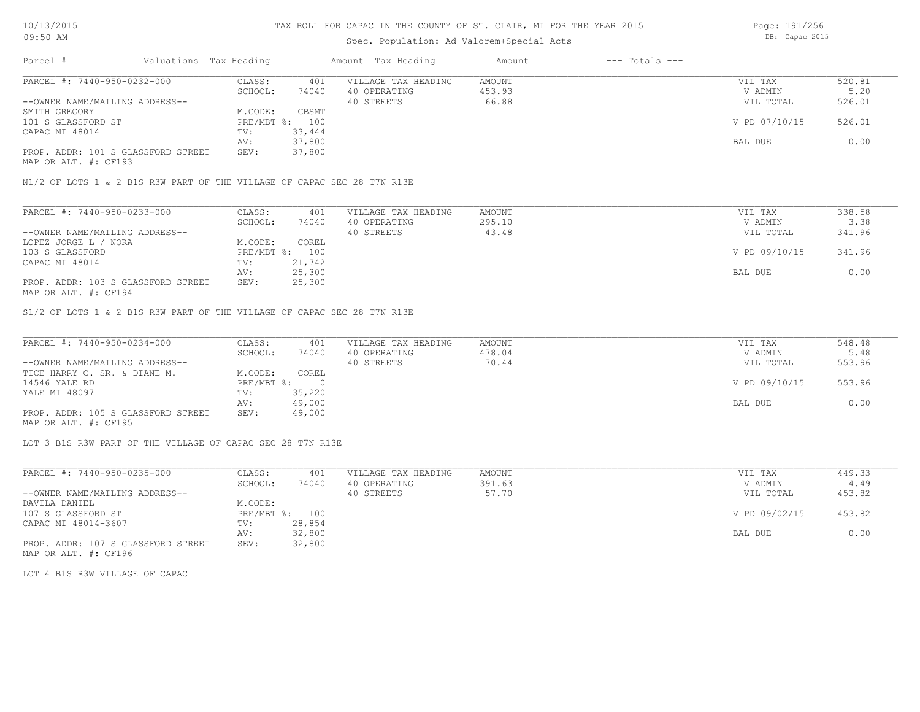## Spec. Population: Ad Valorem+Special Acts

Page: 191/256 DB: Capac 2015

| Parcel #                           | Valuations Tax Heading |        | Amount Tax Heading  | Amount | $---$ Totals $---$ |               |        |
|------------------------------------|------------------------|--------|---------------------|--------|--------------------|---------------|--------|
| PARCEL #: 7440-950-0232-000        | CLASS:                 | 401    | VILLAGE TAX HEADING | AMOUNT |                    | VIL TAX       | 520.81 |
|                                    | SCHOOL:                | 74040  | 40 OPERATING        | 453.93 |                    | V ADMIN       | 5.20   |
| --OWNER NAME/MAILING ADDRESS--     |                        |        | 40 STREETS          | 66.88  |                    | VIL TOTAL     | 526.01 |
| SMITH GREGORY                      | M.CODE:                | CBSMT  |                     |        |                    |               |        |
| 101 S GLASSFORD ST                 | PRE/MBT %: 100         |        |                     |        |                    | V PD 07/10/15 | 526.01 |
| CAPAC MI 48014                     | TV:                    | 33,444 |                     |        |                    |               |        |
|                                    | AV:                    | 37,800 |                     |        |                    | BAL DUE       | 0.00   |
| PROP. ADDR: 101 S GLASSFORD STREET | SEV:                   | 37,800 |                     |        |                    |               |        |
|                                    |                        |        |                     |        |                    |               |        |

MAP OR ALT. #: CF193

N1/2 OF LOTS 1 & 2 B1S R3W PART OF THE VILLAGE OF CAPAC SEC 28 T7N R13E

| PARCEL #: 7440-950-0233-000        | CLASS:  | 401            | VILLAGE TAX HEADING | AMOUNT | VIL TAX       | 338.58 |
|------------------------------------|---------|----------------|---------------------|--------|---------------|--------|
|                                    | SCHOOL: | 74040          | 40 OPERATING        | 295.10 | V ADMIN       | 3.38   |
| --OWNER NAME/MAILING ADDRESS--     |         |                | 40 STREETS          | 43.48  | VIL TOTAL     | 341.96 |
| LOPEZ JORGE L / NORA               | M.CODE: | COREL          |                     |        |               |        |
| 103 S GLASSFORD                    |         | PRE/MBT %: 100 |                     |        | V PD 09/10/15 | 341.96 |
| CAPAC MI 48014                     | TV:     | 21,742         |                     |        |               |        |
|                                    | AV:     | 25,300         |                     |        | BAL DUE       | 0.00   |
| PROP. ADDR: 103 S GLASSFORD STREET | SEV:    | 25,300         |                     |        |               |        |
| MAP OR ALT. #: CF194               |         |                |                     |        |               |        |

S1/2 OF LOTS 1 & 2 B1S R3W PART OF THE VILLAGE OF CAPAC SEC 28 T7N R13E

| PARCEL #: 7440-950-0234-000        | CLASS:     | 401    | VILLAGE TAX HEADING | AMOUNT | VIL TAX       | 548.48 |
|------------------------------------|------------|--------|---------------------|--------|---------------|--------|
|                                    | SCHOOL:    | 74040  | 40 OPERATING        | 478.04 | V ADMIN       | 5.48   |
| --OWNER NAME/MAILING ADDRESS--     |            |        | 40 STREETS          | 70.44  | VIL TOTAL     | 553.96 |
| TICE HARRY C. SR. & DIANE M.       | M.CODE:    | COREL  |                     |        |               |        |
| 14546 YALE RD                      | PRE/MBT %: |        |                     |        | V PD 09/10/15 | 553.96 |
| YALE MI 48097                      | TV:        | 35,220 |                     |        |               |        |
|                                    | AV:        | 49,000 |                     |        | BAL DUE       | 0.00   |
| PROP. ADDR: 105 S GLASSFORD STREET | SEV:       | 49,000 |                     |        |               |        |
| MAP OR ALT. #: CF195               |            |        |                     |        |               |        |

LOT 3 B1S R3W PART OF THE VILLAGE OF CAPAC SEC 28 T7N R13E

| PARCEL #: 7440-950-0235-000        | CLASS:  | 401            | VILLAGE TAX HEADING | AMOUNT | VIL TAX       | 449.33 |
|------------------------------------|---------|----------------|---------------------|--------|---------------|--------|
|                                    | SCHOOL: | 74040          | 40 OPERATING        | 391.63 | V ADMIN       | 4.49   |
| --OWNER NAME/MAILING ADDRESS--     |         |                | 40 STREETS          | 57.70  | VIL TOTAL     | 453.82 |
| DAVILA DANIEL                      | M.CODE: |                |                     |        |               |        |
| 107 S GLASSFORD ST                 |         | PRE/MBT %: 100 |                     |        | V PD 09/02/15 | 453.82 |
| CAPAC MI 48014-3607                | TV:     | 28,854         |                     |        |               |        |
|                                    | AV:     | 32,800         |                     |        | BAL DUE       | 0.00   |
| PROP. ADDR: 107 S GLASSFORD STREET | SEV:    | 32,800         |                     |        |               |        |

MAP OR ALT. #: CF196

LOT 4 B1S R3W VILLAGE OF CAPAC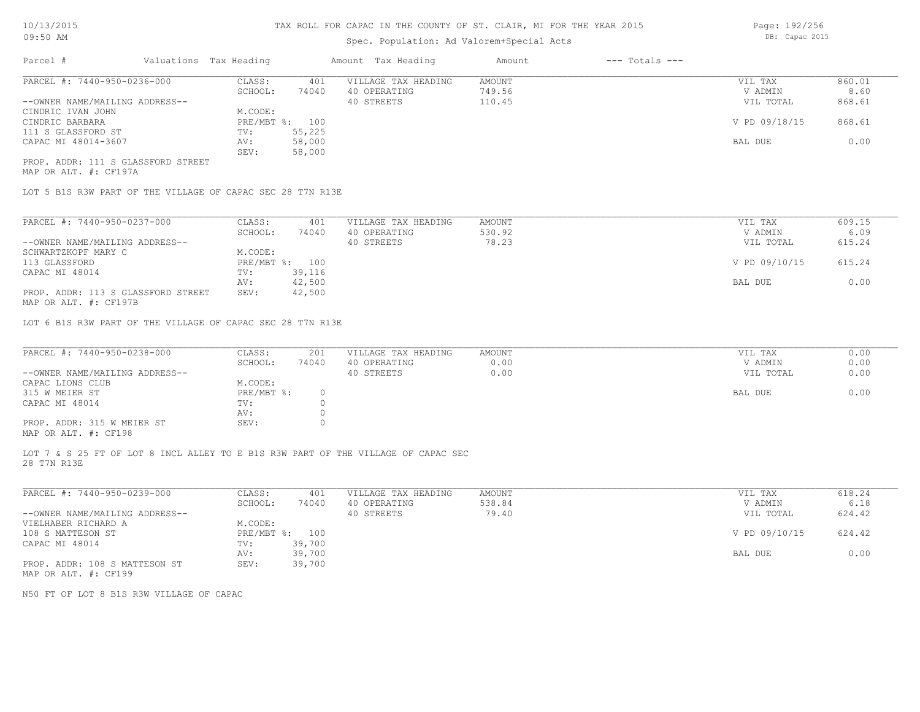# Spec. Population: Ad Valorem+Special Acts

| Parcel #                           | Valuations Tax Heading |        | Amount Tax Heading  | Amount | $---$ Totals $---$ |               |        |
|------------------------------------|------------------------|--------|---------------------|--------|--------------------|---------------|--------|
| PARCEL #: 7440-950-0236-000        | CLASS:                 | 401    | VILLAGE TAX HEADING | AMOUNT |                    | VIL TAX       | 860.01 |
|                                    | SCHOOL:                | 74040  | 40 OPERATING        | 749.56 |                    | V ADMIN       | 8.60   |
| --OWNER NAME/MAILING ADDRESS--     |                        |        | 40 STREETS          | 110.45 |                    | VIL TOTAL     | 868.61 |
| CINDRIC IVAN JOHN                  | M.CODE:                |        |                     |        |                    |               |        |
| CINDRIC BARBARA                    | PRE/MBT %: 100         |        |                     |        |                    | V PD 09/18/15 | 868.61 |
| 111 S GLASSFORD ST                 | TV:                    | 55,225 |                     |        |                    |               |        |
| CAPAC MI 48014-3607                | AV:                    | 58,000 |                     |        |                    | BAL DUE       | 0.00   |
|                                    | SEV:                   | 58,000 |                     |        |                    |               |        |
| PROP. ADDR: 111 S GLASSFORD STREET |                        |        |                     |        |                    |               |        |

MAP OR ALT. #: CF197A

LOT 5 B1S R3W PART OF THE VILLAGE OF CAPAC SEC 28 T7N R13E

| PARCEL #: 7440-950-0237-000                                    | CLASS:  | 401            | VILLAGE TAX HEADING | AMOUNT | VIL TAX       | 609.15 |
|----------------------------------------------------------------|---------|----------------|---------------------|--------|---------------|--------|
|                                                                | SCHOOL: | 74040          | 40 OPERATING        | 530.92 | V ADMIN       | 6.09   |
| --OWNER NAME/MAILING ADDRESS--                                 |         |                | 40 STREETS          | 78.23  | VIL TOTAL     | 615.24 |
| SCHWARTZKOPF MARY C                                            | M.CODE: |                |                     |        |               |        |
| 113 GLASSFORD                                                  |         | PRE/MBT %: 100 |                     |        | V PD 09/10/15 | 615.24 |
| CAPAC MI 48014                                                 | TV:     | 39,116         |                     |        |               |        |
|                                                                | AV:     | 42,500         |                     |        | BAL DUE       | 0.00   |
| PROP. ADDR: 113 S GLASSFORD STREET                             | SEV:    | 42,500         |                     |        |               |        |
| $\cdots$ $\cdots$ $\cdots$ $\cdots$ $\cdots$ $\cdots$ $\cdots$ |         |                |                     |        |               |        |

MAP OR ALT. #: CF197B

LOT 6 B1S R3W PART OF THE VILLAGE OF CAPAC SEC 28 T7N R13E

| PARCEL #: 7440-950-0238-000    | CLASS:     | 201   | VILLAGE TAX HEADING | AMOUNT | VIL TAX   | 0.00 |
|--------------------------------|------------|-------|---------------------|--------|-----------|------|
|                                | SCHOOL:    | 74040 | 40 OPERATING        | 0.00   | V ADMIN   | 0.00 |
| --OWNER NAME/MAILING ADDRESS-- |            |       | 40 STREETS          | 0.00   | VIL TOTAL | 0.00 |
| CAPAC LIONS CLUB               | M.CODE:    |       |                     |        |           |      |
| 315 W MEIER ST                 | PRE/MBT %: |       |                     |        | BAL DUE   | 0.00 |
| CAPAC MI 48014                 | TV:        |       |                     |        |           |      |
|                                | AV:        |       |                     |        |           |      |
| PROP. ADDR: 315 W MEIER ST     | SEV:       |       |                     |        |           |      |
|                                |            |       |                     |        |           |      |

MAP OR ALT. #: CF198

28 T7N R13E LOT 7 & S 25 FT OF LOT 8 INCL ALLEY TO E B1S R3W PART OF THE VILLAGE OF CAPAC SEC

| PARCEL #: 7440-950-0239-000    | CLASS:     | 401    | VILLAGE TAX HEADING | AMOUNT | VIL TAX       | 618.24 |
|--------------------------------|------------|--------|---------------------|--------|---------------|--------|
|                                | SCHOOL:    | 74040  | 40 OPERATING        | 538.84 | V ADMIN       | 6.18   |
| --OWNER NAME/MAILING ADDRESS-- |            |        | 40 STREETS          | 79.40  | VIL TOTAL     | 624.42 |
| VIELHABER RICHARD A            | M.CODE:    |        |                     |        |               |        |
| 108 S MATTESON ST              | PRE/MBT %: | 100    |                     |        | V PD 09/10/15 | 624.42 |
| CAPAC MI 48014                 | TV:        | 39,700 |                     |        |               |        |
|                                | AV:        | 39,700 |                     |        | BAL DUE       | 0.00   |
| PROP. ADDR: 108 S MATTESON ST  | SEV:       | 39,700 |                     |        |               |        |
| MAP OR ALT. #: CF199           |            |        |                     |        |               |        |

N50 FT OF LOT 8 B1S R3W VILLAGE OF CAPAC

Page: 192/256 DB: Capac 2015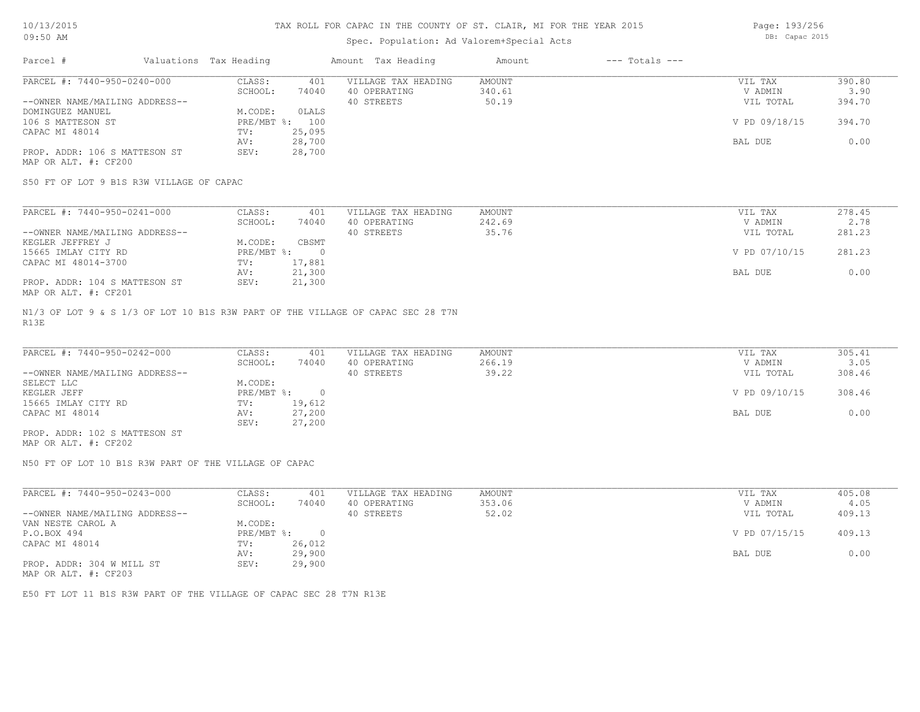## Spec. Population: Ad Valorem+Special Acts

Page: 193/256 DB: Capac 2015

| Parcel #                       | Valuations Tax Heading |        | Amount Tax Heading  | Amount | $---$ Totals $---$ |               |        |
|--------------------------------|------------------------|--------|---------------------|--------|--------------------|---------------|--------|
| PARCEL #: 7440-950-0240-000    | CLASS:                 | 401    | VILLAGE TAX HEADING | AMOUNT |                    | VIL TAX       | 390.80 |
|                                | SCHOOL:                | 74040  | 40 OPERATING        | 340.61 |                    | V ADMIN       | 3.90   |
| --OWNER NAME/MAILING ADDRESS-- |                        |        | 40 STREETS          | 50.19  |                    | VIL TOTAL     | 394.70 |
| DOMINGUEZ MANUEL               | M.CODE:                | OLALS  |                     |        |                    |               |        |
| 106 S MATTESON ST              | PRE/MBT %: 100         |        |                     |        |                    | V PD 09/18/15 | 394.70 |
| CAPAC MI 48014                 | TV:                    | 25,095 |                     |        |                    |               |        |
|                                | AV:                    | 28,700 |                     |        |                    | BAL DUE       | 0.00   |
| PROP. ADDR: 106 S MATTESON ST  | SEV:                   | 28,700 |                     |        |                    |               |        |
|                                |                        |        |                     |        |                    |               |        |

MAP OR ALT. #: CF200

S50 FT OF LOT 9 B1S R3W VILLAGE OF CAPAC

| PARCEL #: 7440-950-0241-000    | CLASS:     | 401    | VILLAGE TAX HEADING | AMOUNT | VIL TAX       | 278.45 |
|--------------------------------|------------|--------|---------------------|--------|---------------|--------|
|                                | SCHOOL:    | 74040  | 40 OPERATING        | 242.69 | V ADMIN       | 2.78   |
| --OWNER NAME/MAILING ADDRESS-- |            |        | 40 STREETS          | 35.76  | VIL TOTAL     | 281.23 |
| KEGLER JEFFREY J               | M.CODE:    | CBSMT  |                     |        |               |        |
| 15665 IMLAY CITY RD            | PRE/MBT %: |        |                     |        | V PD 07/10/15 | 281.23 |
| CAPAC MI 48014-3700            | TV:        | 17,881 |                     |        |               |        |
|                                | AV:        | 21,300 |                     |        | BAL DUE       | 0.00   |
| PROP. ADDR: 104 S MATTESON ST  | SEV:       | 21,300 |                     |        |               |        |
| MAP OR ALT. #: CF201           |            |        |                     |        |               |        |

R13E N1/3 OF LOT 9 & S 1/3 OF LOT 10 B1S R3W PART OF THE VILLAGE OF CAPAC SEC 28 T7N

| PARCEL #: 7440-950-0242-000    | CLASS:     | 401    | VILLAGE TAX HEADING | AMOUNT | VIL TAX       | 305.41 |
|--------------------------------|------------|--------|---------------------|--------|---------------|--------|
|                                | SCHOOL:    | 74040  | 40 OPERATING        | 266.19 | V ADMIN       | 3.05   |
| --OWNER NAME/MAILING ADDRESS-- |            |        | 40 STREETS          | 39.22  | VIL TOTAL     | 308.46 |
| SELECT LLC                     | M.CODE:    |        |                     |        |               |        |
| KEGLER JEFF                    | PRE/MBT %: |        |                     |        | V PD 09/10/15 | 308.46 |
| 15665 IMLAY CITY RD            | TV:        | 19,612 |                     |        |               |        |
| CAPAC MI 48014                 | AV:        | 27,200 |                     |        | BAL DUE       | 0.00   |
|                                | SEV:       | 27,200 |                     |        |               |        |
| PROP. ADDR: 102 S MATTESON ST  |            |        |                     |        |               |        |

MAP OR ALT. #: CF202

N50 FT OF LOT 10 B1S R3W PART OF THE VILLAGE OF CAPAC

| PARCEL #: 7440-950-0243-000                           | CLASS:     | 401    | VILLAGE TAX HEADING | AMOUNT | VIL TAX       | 405.08 |
|-------------------------------------------------------|------------|--------|---------------------|--------|---------------|--------|
|                                                       | SCHOOL:    | 74040  | 40 OPERATING        | 353.06 | V ADMIN       | 4.05   |
| --OWNER NAME/MAILING ADDRESS--                        |            |        | 40 STREETS          | 52.02  | VIL TOTAL     | 409.13 |
| VAN NESTE CAROL A                                     | M.CODE:    |        |                     |        |               |        |
| P.O.BOX 494                                           | PRE/MBT %: |        |                     |        | V PD 07/15/15 | 409.13 |
| CAPAC MI 48014                                        | TV:        | 26,012 |                     |        |               |        |
|                                                       | AV:        | 29,900 |                     |        | BAL DUE       | 0.00   |
| PROP. ADDR: 304 W MILL ST                             | SEV:       | 29,900 |                     |        |               |        |
| $\cdots$ $\cdots$ $\cdots$ $\cdots$ $\cdots$ $\cdots$ |            |        |                     |        |               |        |

MAP OR ALT. #: CF203

E50 FT LOT 11 B1S R3W PART OF THE VILLAGE OF CAPAC SEC 28 T7N R13E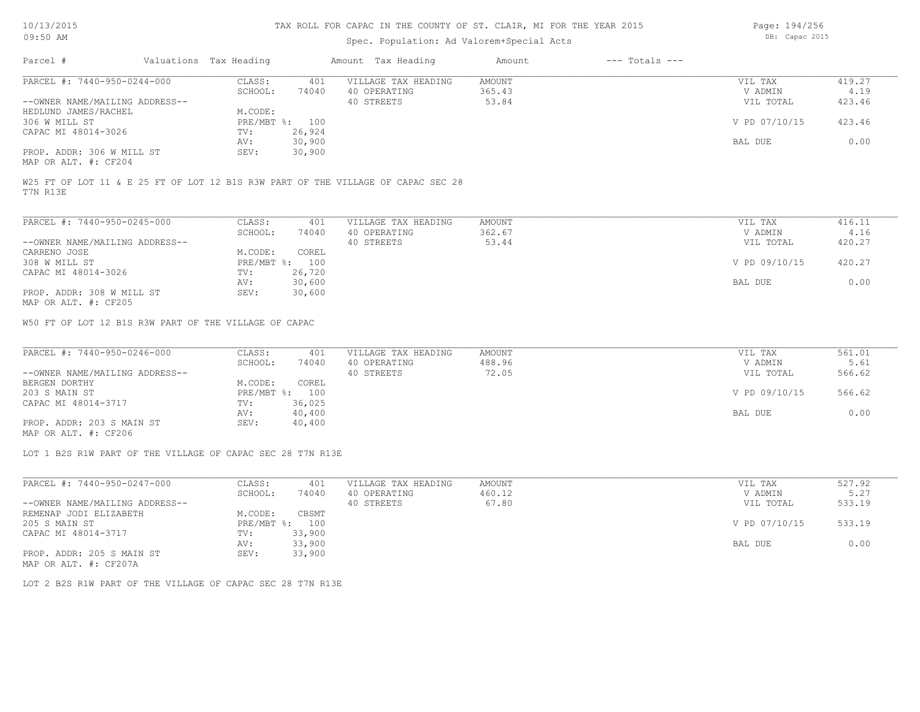## Spec. Population: Ad Valorem+Special Acts

Parcel # Valuations Tax Heading Amount Tax Heading Amount --- Totals -----OWNER NAME/MAILING ADDRESS-- 40 STREETS 53.84 VIL TOTAL 423.46 SCHOOL: 74040 40 OPERATING 365.43 V ADMIN 4.19 PARCEL #: 7440-950-0244-000 CLASS: 401 VILLAGE TAX HEADING AMOUNT VIL TAX VIL TAX 419.27<br>SCHOOL: 74040 40 OPERATING 365.43 VADMIN 4.19  $\mathcal{L}_\mathcal{L} = \mathcal{L}_\mathcal{L} = \mathcal{L}_\mathcal{L} = \mathcal{L}_\mathcal{L} = \mathcal{L}_\mathcal{L} = \mathcal{L}_\mathcal{L} = \mathcal{L}_\mathcal{L} = \mathcal{L}_\mathcal{L} = \mathcal{L}_\mathcal{L} = \mathcal{L}_\mathcal{L} = \mathcal{L}_\mathcal{L} = \mathcal{L}_\mathcal{L} = \mathcal{L}_\mathcal{L} = \mathcal{L}_\mathcal{L} = \mathcal{L}_\mathcal{L} = \mathcal{L}_\mathcal{L} = \mathcal{L}_\mathcal{L}$ 

| --OWNER NAME/MAILING ADDRESS--               |         |                | 40 STREETS | 53.84 | VIL TOTAL     | 423.46 |
|----------------------------------------------|---------|----------------|------------|-------|---------------|--------|
| HEDLUND JAMES/RACHEL                         | M.CODE: |                |            |       |               |        |
| 306 W MILL ST                                |         | PRE/MBT %: 100 |            |       | V PD 07/10/15 | 423.46 |
| CAPAC MI 48014-3026                          | TV:     | 26,924         |            |       |               |        |
|                                              | AV:     | 30,900         |            |       | BAL DUE       | 0.00   |
| PROP. ADDR: 306 W MILL ST                    | SEV:    | 30,900         |            |       |               |        |
| $\cdots$ $\cdots$ $\cdots$ $\cdots$ $\cdots$ |         |                |            |       |               |        |

MAP OR ALT. #: CF204

T7N R13E W25 FT OF LOT 11 & E 25 FT OF LOT 12 B1S R3W PART OF THE VILLAGE OF CAPAC SEC 28

| PARCEL #: 7440-950-0245-000    | CLASS:     | 401    | VILLAGE TAX HEADING | AMOUNT | VIL TAX       | 416.11 |
|--------------------------------|------------|--------|---------------------|--------|---------------|--------|
|                                | SCHOOL:    | 74040  | 40 OPERATING        | 362.67 | V ADMIN       | 4.16   |
| --OWNER NAME/MAILING ADDRESS-- |            |        | 40 STREETS          | 53.44  | VIL TOTAL     | 420.27 |
| CARRENO JOSE                   | M.CODE:    | COREL  |                     |        |               |        |
| 308 W MILL ST                  | PRE/MBT %: | 100    |                     |        | V PD 09/10/15 | 420.27 |
| CAPAC MI 48014-3026            | TV:        | 26,720 |                     |        |               |        |
|                                | AV:        | 30,600 |                     |        | BAL DUE       | 0.00   |
| PROP. ADDR: 308 W MILL ST      | SEV:       | 30,600 |                     |        |               |        |
| MAP OR ALT. #: CF205           |            |        |                     |        |               |        |

W50 FT OF LOT 12 B1S R3W PART OF THE VILLAGE OF CAPAC

| PARCEL #: 7440-950-0246-000    | CLASS:  | 401            | VILLAGE TAX HEADING | AMOUNT | VIL TAX       | 561.01 |
|--------------------------------|---------|----------------|---------------------|--------|---------------|--------|
|                                | SCHOOL: | 74040          | 40 OPERATING        | 488.96 | V ADMIN       | 5.61   |
| --OWNER NAME/MAILING ADDRESS-- |         |                | 40 STREETS          | 72.05  | VIL TOTAL     | 566.62 |
| BERGEN DORTHY                  | M.CODE: | COREL          |                     |        |               |        |
| 203 S MAIN ST                  |         | PRE/MBT %: 100 |                     |        | V PD 09/10/15 | 566.62 |
| CAPAC MI 48014-3717            | TV:     | 36,025         |                     |        |               |        |
|                                | AV:     | 40,400         |                     |        | BAL DUE       | 0.00   |
| PROP. ADDR: 203 S MAIN ST      | SEV:    | 40,400         |                     |        |               |        |
|                                |         |                |                     |        |               |        |

MAP OR ALT. #: CF206

LOT 1 B2S R1W PART OF THE VILLAGE OF CAPAC SEC 28 T7N R13E

| PARCEL #: 7440-950-0247-000    | CLASS:     | 401    | VILLAGE TAX HEADING | AMOUNT | VIL TAX       | 527.92 |
|--------------------------------|------------|--------|---------------------|--------|---------------|--------|
|                                | SCHOOL:    | 74040  | 40 OPERATING        | 460.12 | V ADMIN       | 5.27   |
| --OWNER NAME/MAILING ADDRESS-- |            |        | 40 STREETS          | 67.80  | VIL TOTAL     | 533.19 |
| REMENAP JODI ELIZABETH         | M.CODE:    | CBSMT  |                     |        |               |        |
| 205 S MAIN ST                  | PRE/MBT %: | 100    |                     |        | V PD 07/10/15 | 533.19 |
| CAPAC MI 48014-3717            | TV:        | 33,900 |                     |        |               |        |
|                                | AV:        | 33,900 |                     |        | BAL DUE       | 0.00   |
| PROP. ADDR: 205 S MAIN ST      | SEV:       | 33,900 |                     |        |               |        |
| MAP OR ALT. #: CF207A          |            |        |                     |        |               |        |

LOT 2 B2S R1W PART OF THE VILLAGE OF CAPAC SEC 28 T7N R13E

Page: 194/256 DB: Capac 2015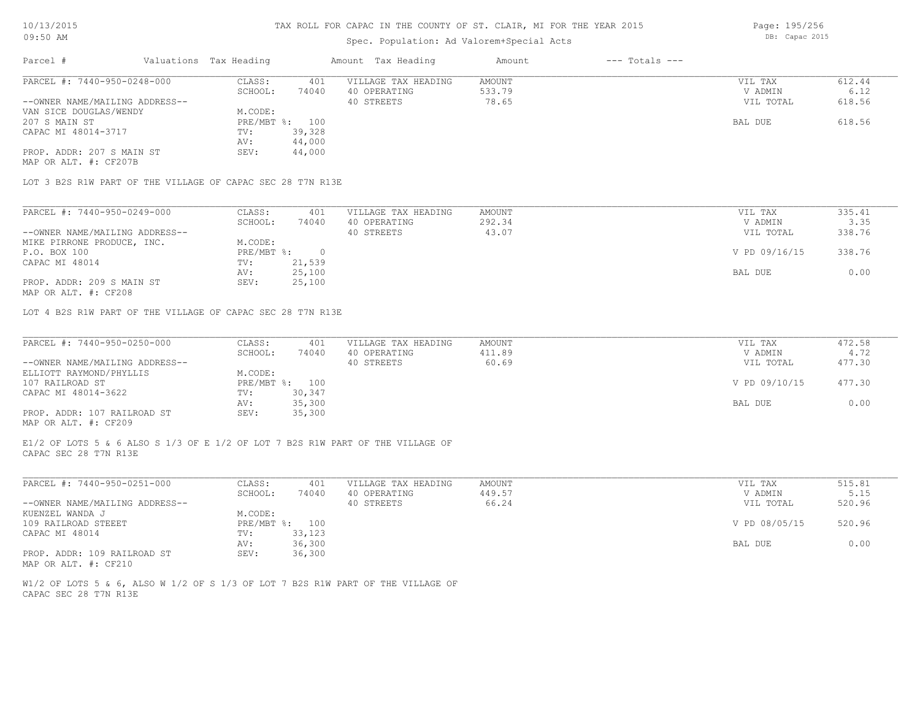## Spec. Population: Ad Valorem+Special Acts

Parcel # Valuations Tax Heading Amount Tax Heading Amount --- Totals ---MAP OR ALT. #: CF207B PROP. ADDR: 207 S MAIN ST SEV: 44,000 AV: 44,000 CAPAC MI 48014-3717 TV: 39,328 207 S MAIN ST PRE/MBT %: 100 BAL DUE 618.56 VAN SICE DOUGLAS/WENDY M.CODE:<br>207 S MAIN ST PRE/MBT %: 100 --OWNER NAME/MAILING ADDRESS-- 40 STREETS 78.65 VIL TOTAL 618.56 SCHOOL: 74040 40 OPERATING 533.79 V ADMIN 6.12 PARCEL #: 7440-950-0248-000 CLASS: 401 VILLAGE TAX HEADING AMOUNT VIL TAX VIL TAX 612.44<br>SCHOOL: 74040 40 OPERATING 533.79 7 VADMIN 6.12  $\mathcal{L}_\mathcal{L} = \mathcal{L}_\mathcal{L} = \mathcal{L}_\mathcal{L} = \mathcal{L}_\mathcal{L} = \mathcal{L}_\mathcal{L} = \mathcal{L}_\mathcal{L} = \mathcal{L}_\mathcal{L} = \mathcal{L}_\mathcal{L} = \mathcal{L}_\mathcal{L} = \mathcal{L}_\mathcal{L} = \mathcal{L}_\mathcal{L} = \mathcal{L}_\mathcal{L} = \mathcal{L}_\mathcal{L} = \mathcal{L}_\mathcal{L} = \mathcal{L}_\mathcal{L} = \mathcal{L}_\mathcal{L} = \mathcal{L}_\mathcal{L}$ 

LOT 3 B2S R1W PART OF THE VILLAGE OF CAPAC SEC 28 T7N R13E

| PARCEL #: 7440-950-0249-000    | CLASS:     | 401    | VILLAGE TAX HEADING | AMOUNT | VIL TAX       | 335.41 |
|--------------------------------|------------|--------|---------------------|--------|---------------|--------|
|                                | SCHOOL:    | 74040  | 40 OPERATING        | 292.34 | V ADMIN       | 3.35   |
| --OWNER NAME/MAILING ADDRESS-- |            |        | 40 STREETS          | 43.07  | VIL TOTAL     | 338.76 |
| MIKE PIRRONE PRODUCE, INC.     | M.CODE:    |        |                     |        |               |        |
| P.O. BOX 100                   | PRE/MBT %: |        |                     |        | V PD 09/16/15 | 338.76 |
| CAPAC MI 48014                 | TV:        | 21,539 |                     |        |               |        |
|                                | AV:        | 25,100 |                     |        | BAL DUE       | 0.00   |
| PROP. ADDR: 209 S MAIN ST      | SEV:       | 25,100 |                     |        |               |        |
|                                |            |        |                     |        |               |        |

MAP OR ALT. #: CF208

LOT 4 B2S R1W PART OF THE VILLAGE OF CAPAC SEC 28 T7N R13E

| PARCEL #: 7440-950-0250-000    | CLASS:  | 401            | VILLAGE TAX HEADING | AMOUNT | VIL TAX       | 472.58 |
|--------------------------------|---------|----------------|---------------------|--------|---------------|--------|
|                                | SCHOOL: | 74040          | 40 OPERATING        | 411.89 | V ADMIN       | 4.72   |
| --OWNER NAME/MAILING ADDRESS-- |         |                | 40 STREETS          | 60.69  | VIL TOTAL     | 477.30 |
| ELLIOTT RAYMOND/PHYLLIS        | M.CODE: |                |                     |        |               |        |
| 107 RAILROAD ST                |         | PRE/MBT %: 100 |                     |        | V PD 09/10/15 | 477.30 |
| CAPAC MI 48014-3622            | TV:     | 30,347         |                     |        |               |        |
|                                | AV:     | 35,300         |                     |        | BAL DUE       | 0.00   |
| PROP. ADDR: 107 RAILROAD ST    | SEV:    | 35,300         |                     |        |               |        |
| MAP OR ALT. #: CF209           |         |                |                     |        |               |        |

CAPAC SEC 28 T7N R13E E1/2 OF LOTS 5 & 6 ALSO S 1/3 OF E 1/2 OF LOT 7 B2S R1W PART OF THE VILLAGE OF

| PARCEL #: 7440-950-0251-000    | CLASS:  | 401            | VILLAGE TAX HEADING | AMOUNT | VIL TAX       | 515.81 |
|--------------------------------|---------|----------------|---------------------|--------|---------------|--------|
|                                | SCHOOL: | 74040          | 40 OPERATING        | 449.57 | V ADMIN       | 5.15   |
| --OWNER NAME/MAILING ADDRESS-- |         |                | 40 STREETS          | 66.24  | VIL TOTAL     | 520.96 |
| KUENZEL WANDA J                | M.CODE: |                |                     |        |               |        |
| 109 RAILROAD STEEET            |         | PRE/MBT %: 100 |                     |        | V PD 08/05/15 | 520.96 |
| CAPAC MI 48014                 | TV:     | 33,123         |                     |        |               |        |
|                                | AV:     | 36,300         |                     |        | BAL DUE       | 0.00   |
| PROP. ADDR: 109 RAILROAD ST    | SEV:    | 36,300         |                     |        |               |        |
| MAP OR ALT. #: CF210           |         |                |                     |        |               |        |

CAPAC SEC 28 T7N R13E W1/2 OF LOTS 5 & 6, ALSO W 1/2 OF S 1/3 OF LOT 7 B2S R1W PART OF THE VILLAGE OF Page: 195/256

DB: Capac 2015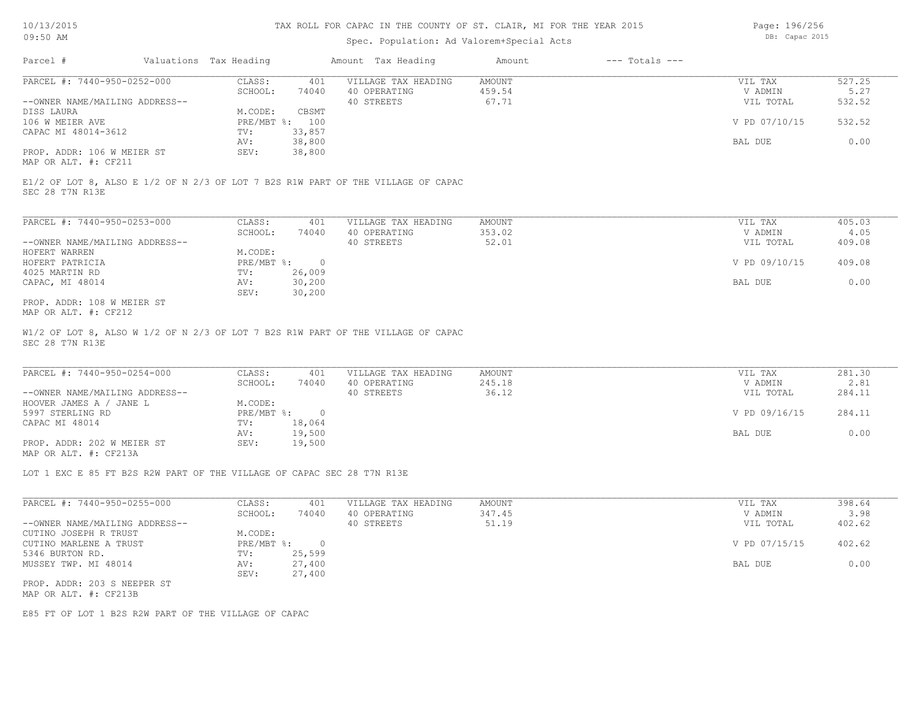### Spec. Population: Ad Valorem+Special Acts

Page: 196/256 DB: Capac 2015

| Parcel #                       | Valuations Tax Heading |        | Amount Tax Heading  | Amount | $---$ Totals $---$ |               |        |
|--------------------------------|------------------------|--------|---------------------|--------|--------------------|---------------|--------|
| PARCEL #: 7440-950-0252-000    | CLASS:                 | 401    | VILLAGE TAX HEADING | AMOUNT |                    | VIL TAX       | 527.25 |
|                                | SCHOOL:                | 74040  | 40 OPERATING        | 459.54 |                    | V ADMIN       | 5.27   |
| --OWNER NAME/MAILING ADDRESS-- |                        |        | 40 STREETS          | 67.71  |                    | VIL TOTAL     | 532.52 |
| DISS LAURA                     | M.CODE:                | CBSMT  |                     |        |                    |               |        |
| 106 W MEIER AVE                | PRE/MBT %: 100         |        |                     |        |                    | V PD 07/10/15 | 532.52 |
| CAPAC MI 48014-3612            | TV:                    | 33,857 |                     |        |                    |               |        |
|                                | AV:                    | 38,800 |                     |        |                    | BAL DUE       | 0.00   |
| PROP. ADDR: 106 W MEIER ST     | SEV:                   | 38,800 |                     |        |                    |               |        |
| $\frac{1}{2}$                  |                        |        |                     |        |                    |               |        |

MAP OR ALT. #: CF211

SEC 28 T7N R13E E1/2 OF LOT 8, ALSO E 1/2 OF N 2/3 OF LOT 7 B2S R1W PART OF THE VILLAGE OF CAPAC

| PARCEL #: 7440-950-0253-000    | CLASS:     | 401    | VILLAGE TAX HEADING | AMOUNT | VIL TAX       | 405.03 |
|--------------------------------|------------|--------|---------------------|--------|---------------|--------|
|                                | SCHOOL:    | 74040  | 40 OPERATING        | 353.02 | V ADMIN       | 4.05   |
| --OWNER NAME/MAILING ADDRESS-- |            |        | 40 STREETS          | 52.01  | VIL TOTAL     | 409.08 |
| HOFERT WARREN                  | M.CODE:    |        |                     |        |               |        |
| HOFERT PATRICIA                | PRE/MBT %: |        |                     |        | V PD 09/10/15 | 409.08 |
| 4025 MARTIN RD                 | TV:        | 26,009 |                     |        |               |        |
| CAPAC, MI 48014                | AV:        | 30,200 |                     |        | BAL DUE       | 0.00   |
|                                | SEV:       | 30,200 |                     |        |               |        |
| PROP. ADDR: 108 W MEIER ST     |            |        |                     |        |               |        |

MAP OR ALT. #: CF212

SEC 28 T7N R13E W1/2 OF LOT 8, ALSO W 1/2 OF N 2/3 OF LOT 7 B2S R1W PART OF THE VILLAGE OF CAPAC

| PARCEL #: 7440-950-0254-000    | CLASS:     | 401    | VILLAGE TAX HEADING | AMOUNT | VIL TAX       | 281.30 |
|--------------------------------|------------|--------|---------------------|--------|---------------|--------|
|                                | SCHOOL:    | 74040  | 40 OPERATING        | 245.18 | V ADMIN       | 2.81   |
| --OWNER NAME/MAILING ADDRESS-- |            |        | 40 STREETS          | 36.12  | VIL TOTAL     | 284.11 |
| HOOVER JAMES A / JANE L        | M.CODE:    |        |                     |        |               |        |
| 5997 STERLING RD               | PRE/MBT %: | $\cap$ |                     |        | V PD 09/16/15 | 284.11 |
| CAPAC MI 48014                 | TV:        | 18,064 |                     |        |               |        |
|                                | AV:        | 19,500 |                     |        | BAL DUE       | 0.00   |
| PROP. ADDR: 202 W MEIER ST     | SEV:       | 19,500 |                     |        |               |        |
| MAP OR ALT. #: CF213A          |            |        |                     |        |               |        |

 $\mathcal{L}_\mathcal{L} = \mathcal{L}_\mathcal{L} = \mathcal{L}_\mathcal{L} = \mathcal{L}_\mathcal{L} = \mathcal{L}_\mathcal{L} = \mathcal{L}_\mathcal{L} = \mathcal{L}_\mathcal{L} = \mathcal{L}_\mathcal{L} = \mathcal{L}_\mathcal{L} = \mathcal{L}_\mathcal{L} = \mathcal{L}_\mathcal{L} = \mathcal{L}_\mathcal{L} = \mathcal{L}_\mathcal{L} = \mathcal{L}_\mathcal{L} = \mathcal{L}_\mathcal{L} = \mathcal{L}_\mathcal{L} = \mathcal{L}_\mathcal{L}$ 

LOT 1 EXC E 85 FT B2S R2W PART OF THE VILLAGE OF CAPAC SEC 28 T7N R13E

| PARCEL #: 7440-950-0255-000    | CLASS:     | 401    | VILLAGE TAX HEADING | AMOUNT | VIL TAX       | 398.64 |
|--------------------------------|------------|--------|---------------------|--------|---------------|--------|
|                                | SCHOOL:    | 74040  | 40 OPERATING        | 347.45 | V ADMIN       | 3.98   |
| --OWNER NAME/MAILING ADDRESS-- |            |        | 40 STREETS          | 51.19  | VIL TOTAL     | 402.62 |
| CUTINO JOSEPH R TRUST          | M.CODE:    |        |                     |        |               |        |
| CUTINO MARLENE A TRUST         | PRE/MBT %: |        |                     |        | V PD 07/15/15 | 402.62 |
| 5346 BURTON RD.                | TV:        | 25,599 |                     |        |               |        |
| MUSSEY TWP. MI 48014           | AV:        | 27,400 |                     |        | BAL DUE       | 0.00   |
|                                | SEV:       | 27,400 |                     |        |               |        |
| PROP. ADDR: 203 S NEEPER ST    |            |        |                     |        |               |        |
|                                |            |        |                     |        |               |        |

MAP OR ALT. #: CF213B

E85 FT OF LOT 1 B2S R2W PART OF THE VILLAGE OF CAPAC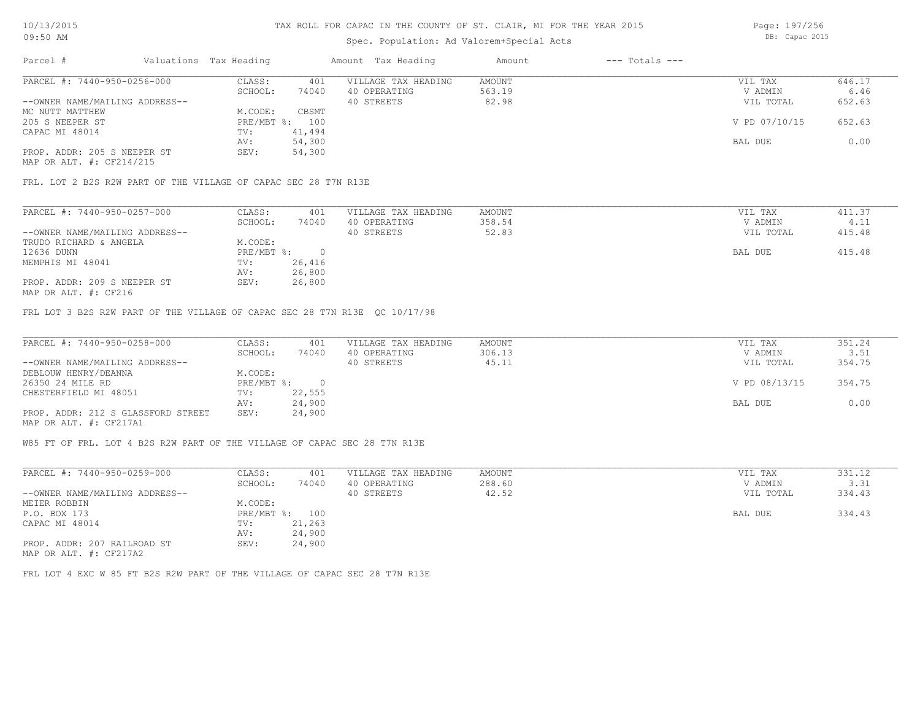## Spec. Population: Ad Valorem+Special Acts

Page: 197/256 DB: Capac 2015

| Parcel #                       | Valuations Tax Heading |        | Amount Tax Heading  | Amount | $---$ Totals $---$ |               |        |
|--------------------------------|------------------------|--------|---------------------|--------|--------------------|---------------|--------|
| PARCEL #: 7440-950-0256-000    | CLASS:                 | 401    | VILLAGE TAX HEADING | AMOUNT |                    | VIL TAX       | 646.17 |
|                                | SCHOOL:                | 74040  | 40 OPERATING        | 563.19 |                    | V ADMIN       | 6.46   |
| --OWNER NAME/MAILING ADDRESS-- |                        |        | 40 STREETS          | 82.98  |                    | VIL TOTAL     | 652.63 |
| MC NUTT MATTHEW                | M.CODE:                | CBSMT  |                     |        |                    |               |        |
| 205 S NEEPER ST                | PRE/MBT %: 100         |        |                     |        |                    | V PD 07/10/15 | 652.63 |
| CAPAC MI 48014                 | TV:                    | 41,494 |                     |        |                    |               |        |
|                                | AV:                    | 54,300 |                     |        |                    | BAL DUE       | 0.00   |
| PROP. ADDR: 205 S NEEPER ST    | SEV:                   | 54,300 |                     |        |                    |               |        |
|                                |                        |        |                     |        |                    |               |        |

MAP OR ALT. #: CF214/215

FRL. LOT 2 B2S R2W PART OF THE VILLAGE OF CAPAC SEC 28 T7N R13E

| PARCEL #: 7440-950-0257-000    | CLASS:     | 401    | VILLAGE TAX HEADING | AMOUNT | VIL TAX   | 411.37 |
|--------------------------------|------------|--------|---------------------|--------|-----------|--------|
|                                | SCHOOL:    | 74040  | 40 OPERATING        | 358.54 | V ADMIN   | 4.11   |
| --OWNER NAME/MAILING ADDRESS-- |            |        | 40 STREETS          | 52.83  | VIL TOTAL | 415.48 |
| TRUDO RICHARD & ANGELA         | M.CODE:    |        |                     |        |           |        |
| 12636 DUNN                     | PRE/MBT %: |        |                     |        | BAL DUE   | 415.48 |
| MEMPHIS MI 48041               | TV:        | 26,416 |                     |        |           |        |
|                                | AV:        | 26,800 |                     |        |           |        |
| PROP. ADDR: 209 S NEEPER ST    | SEV:       | 26,800 |                     |        |           |        |
|                                |            |        |                     |        |           |        |

MAP OR ALT. #: CF216

FRL LOT 3 B2S R2W PART OF THE VILLAGE OF CAPAC SEC 28 T7N R13E QC 10/17/98

| PARCEL #: 7440-950-0258-000        | CLASS:       | 401    | VILLAGE TAX HEADING | AMOUNT | VIL TAX       | 351.24 |
|------------------------------------|--------------|--------|---------------------|--------|---------------|--------|
|                                    | SCHOOL:      | 74040  | 40 OPERATING        | 306.13 | V ADMIN       | 3.51   |
| --OWNER NAME/MAILING ADDRESS--     |              |        | 40 STREETS          | 45.11  | VIL TOTAL     | 354.75 |
| DEBLOUW HENRY/DEANNA               | M.CODE:      |        |                     |        |               |        |
| 26350 24 MILE RD                   | $PRE/MBT$ %: |        |                     |        | V PD 08/13/15 | 354.75 |
| CHESTERFIELD MI 48051              | TV:          | 22,555 |                     |        |               |        |
|                                    | AV:          | 24,900 |                     |        | BAL DUE       | 0.00   |
| PROP. ADDR: 212 S GLASSFORD STREET | SEV:         | 24,900 |                     |        |               |        |
| MAP OR ALT. #: CF217A1             |              |        |                     |        |               |        |

W85 FT OF FRL. LOT 4 B2S R2W PART OF THE VILLAGE OF CAPAC SEC 28 T7N R13E

| PARCEL #: 7440-950-0259-000    | CLASS:     | 401    | VILLAGE TAX HEADING | AMOUNT | VIL TAX   | 331.12 |
|--------------------------------|------------|--------|---------------------|--------|-----------|--------|
|                                | SCHOOL:    | 74040  | 40 OPERATING        | 288.60 | V ADMIN   | 3.31   |
| --OWNER NAME/MAILING ADDRESS-- |            |        | 40 STREETS          | 42.52  | VIL TOTAL | 334.43 |
| MEIER ROBBIN                   | M.CODE:    |        |                     |        |           |        |
| P.O. BOX 173                   | PRE/MBT %: | 100    |                     |        | BAL DUE   | 334.43 |
| CAPAC MI 48014                 | TV:        | 21,263 |                     |        |           |        |
|                                | AV:        | 24,900 |                     |        |           |        |
| PROP. ADDR: 207 RAILROAD ST    | SEV:       | 24,900 |                     |        |           |        |
| MAP OR ALT. #: CF217A2         |            |        |                     |        |           |        |

FRL LOT 4 EXC W 85 FT B2S R2W PART OF THE VILLAGE OF CAPAC SEC 28 T7N R13E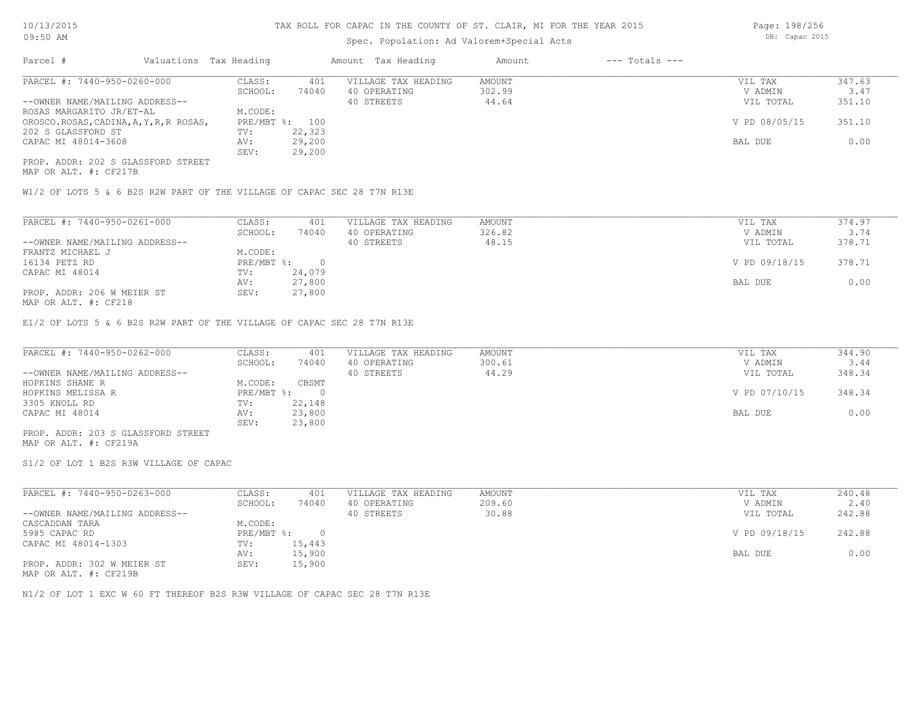## Spec. Population: Ad Valorem+Special Acts

Page: 198/256 DB: Capac 2015

| Parcel #                                | Valuations Tax Heading |                | Amount Tax Heading  | Amount | $---$ Totals $---$ |               |        |
|-----------------------------------------|------------------------|----------------|---------------------|--------|--------------------|---------------|--------|
| PARCEL #: 7440-950-0260-000             | CLASS:                 | 401            | VILLAGE TAX HEADING | AMOUNT |                    | VIL TAX       | 347.63 |
|                                         | SCHOOL:                | 74040          | 40 OPERATING        | 302.99 |                    | V ADMIN       | 3.47   |
| --OWNER NAME/MAILING ADDRESS--          |                        |                | 40 STREETS          | 44.64  |                    | VIL TOTAL     | 351.10 |
| ROSAS MARGARITO JR/ET-AL                | M.CODE:                |                |                     |        |                    |               |        |
| OROSCO.ROSAS, CADINA, A, Y, R, R ROSAS, |                        | PRE/MBT %: 100 |                     |        |                    | V PD 08/05/15 | 351.10 |
| 202 S GLASSFORD ST                      | TV:                    | 22,323         |                     |        |                    |               |        |
| CAPAC MI 48014-3608                     | AV:                    | 29,200         |                     |        |                    | BAL DUE       | 0.00   |
|                                         | SEV:                   | 29,200         |                     |        |                    |               |        |
| PROP. ADDR: 202 S GLASSFORD STREET      |                        |                |                     |        |                    |               |        |

MAP OR ALT. #: CF217B

W1/2 OF LOTS 5 & 6 B2S R2W PART OF THE VILLAGE OF CAPAC SEC 28 T7N R13E

| PARCEL #: 7440-950-0261-000    | CLASS:     | 401    | VILLAGE TAX HEADING | AMOUNT | VIL TAX       | 374.97 |  |
|--------------------------------|------------|--------|---------------------|--------|---------------|--------|--|
|                                | SCHOOL:    | 74040  | 40 OPERATING        | 326.82 | V ADMIN       | 3.74   |  |
| --OWNER NAME/MAILING ADDRESS-- |            |        | 40 STREETS          | 48.15  | VIL TOTAL     | 378.71 |  |
| FRANTZ MICHAEL J               | M.CODE:    |        |                     |        |               |        |  |
| 16134 PETZ RD                  | PRE/MBT %: | $\cap$ |                     |        | V PD 09/18/15 | 378.71 |  |
| CAPAC MI 48014                 | TV:        | 24,079 |                     |        |               |        |  |
|                                | AV:        | 27,800 |                     |        | BAL DUE       | 0.00   |  |
| PROP. ADDR: 206 W MEIER ST     | SEV:       | 27,800 |                     |        |               |        |  |
| $MAD$ $CD$ $ATM$ $H$ , $CDQ1Q$ |            |        |                     |        |               |        |  |

MAP OR ALT. #: CF218

E1/2 OF LOTS 5 & 6 B2S R2W PART OF THE VILLAGE OF CAPAC SEC 28 T7N R13E

| PARCEL #: 7440-950-0262-000        | CLASS:     | 401    | VILLAGE TAX HEADING | AMOUNT | VIL TAX       | 344.90 |
|------------------------------------|------------|--------|---------------------|--------|---------------|--------|
|                                    | SCHOOL:    | 74040  | 40 OPERATING        | 300.61 | V ADMIN       | 3.44   |
| --OWNER NAME/MAILING ADDRESS--     |            |        | 40 STREETS          | 44.29  | VIL TOTAL     | 348.34 |
| HOPKINS SHANE R                    | M.CODE:    | CBSMT  |                     |        |               |        |
| HOPKINS MELISSA R                  | PRE/MBT %: |        |                     |        | V PD 07/10/15 | 348.34 |
| 3305 KNOLL RD                      | TV:        | 22,148 |                     |        |               |        |
| CAPAC MI 48014                     | AV:        | 23,800 |                     |        | BAL DUE       | 0.00   |
|                                    | SEV:       | 23,800 |                     |        |               |        |
| PROP. ADDR: 203 S GLASSFORD STREET |            |        |                     |        |               |        |

MAP OR ALT. #: CF219A

S1/2 OF LOT 1 B2S R3W VILLAGE OF CAPAC

| PARCEL #: 7440-950-0263-000    | CLASS:     | 401    | VILLAGE TAX HEADING | AMOUNT | VIL TAX       | 240.48 |
|--------------------------------|------------|--------|---------------------|--------|---------------|--------|
|                                | SCHOOL:    | 74040  | 40 OPERATING        | 209.60 | V ADMIN       | 2.40   |
| --OWNER NAME/MAILING ADDRESS-- |            |        | 40 STREETS          | 30.88  | VIL TOTAL     | 242.88 |
| CASCADDAN TARA                 | M.CODE:    |        |                     |        |               |        |
| 5985 CAPAC RD                  | PRE/MBT %: |        |                     |        | V PD 09/18/15 | 242.88 |
| CAPAC MI 48014-1303            | TV:        | 15,443 |                     |        |               |        |
|                                | AV:        | 15,900 |                     |        | BAL DUE       | 0.00   |
| PROP. ADDR: 302 W MEIER ST     | SEV:       | 15,900 |                     |        |               |        |

MAP OR ALT. #: CF219B

N1/2 OF LOT 1 EXC W 60 FT THEREOF B2S R3W VILLAGE OF CAPAC SEC 28 T7N R13E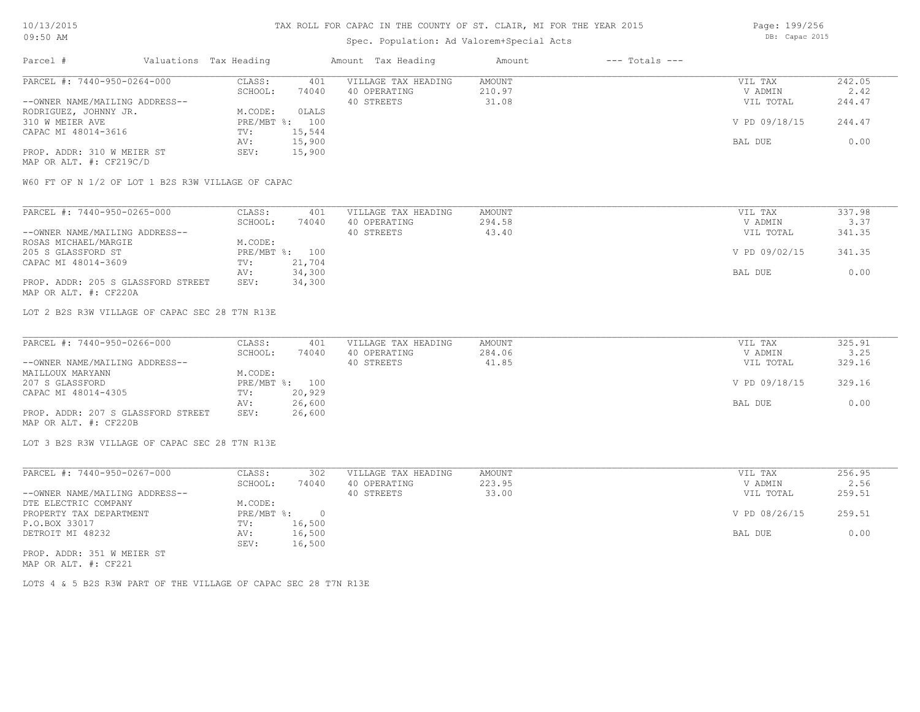# Spec. Population: Ad Valorem+Special Acts

Page: 199/256 DB: Capac 2015

| Parcel #                       | Valuations Tax Heading |        | Amount Tax Heading  | Amount | $---$ Totals $---$ |               |        |
|--------------------------------|------------------------|--------|---------------------|--------|--------------------|---------------|--------|
| PARCEL #: 7440-950-0264-000    | CLASS:                 | 401    | VILLAGE TAX HEADING | AMOUNT |                    | VIL TAX       | 242.05 |
|                                | SCHOOL:                | 74040  | 40 OPERATING        | 210.97 |                    | V ADMIN       | 2.42   |
| --OWNER NAME/MAILING ADDRESS-- |                        |        | 40 STREETS          | 31.08  |                    | VIL TOTAL     | 244.47 |
| RODRIGUEZ, JOHNNY JR.          | M.CODE:                | OLALS  |                     |        |                    |               |        |
| 310 W MEIER AVE                | PRE/MBT %: 100         |        |                     |        |                    | V PD 09/18/15 | 244.47 |
| CAPAC MI 48014-3616            | TV:                    | 15,544 |                     |        |                    |               |        |
|                                | AV:                    | 15,900 |                     |        |                    | BAL DUE       | 0.00   |
| PROP. ADDR: 310 W MEIER ST     | SEV:                   | 15,900 |                     |        |                    |               |        |
| MAP OR ALT. #: CF219C/D        |                        |        |                     |        |                    |               |        |

W60 FT OF N 1/2 OF LOT 1 B2S R3W VILLAGE OF CAPAC

| PARCEL #: 7440-950-0265-000        | CLASS:  | 401            | VILLAGE TAX HEADING | AMOUNT | VIL TAX       | 337.98 |
|------------------------------------|---------|----------------|---------------------|--------|---------------|--------|
|                                    | SCHOOL: | 74040          | 40 OPERATING        | 294.58 | V ADMIN       | 3.37   |
| --OWNER NAME/MAILING ADDRESS--     |         |                | 40 STREETS          | 43.40  | VIL TOTAL     | 341.35 |
| ROSAS MICHAEL/MARGIE               | M.CODE: |                |                     |        |               |        |
| 205 S GLASSFORD ST                 |         | PRE/MBT %: 100 |                     |        | V PD 09/02/15 | 341.35 |
| CAPAC MI 48014-3609                | TV:     | 21,704         |                     |        |               |        |
|                                    | AV:     | 34,300         |                     |        | BAL DUE       | 0.00   |
| PROP. ADDR: 205 S GLASSFORD STREET | SEV:    | 34,300         |                     |        |               |        |
| MAP OR ALT. #: CF220A              |         |                |                     |        |               |        |

LOT 2 B2S R3W VILLAGE OF CAPAC SEC 28 T7N R13E

| PARCEL #: 7440-950-0266-000        | CLASS:  | 401            | VILLAGE TAX HEADING | AMOUNT | VIL TAX       | 325.91 |
|------------------------------------|---------|----------------|---------------------|--------|---------------|--------|
|                                    | SCHOOL: | 74040          | 40 OPERATING        | 284.06 | V ADMIN       | 3.25   |
| --OWNER NAME/MAILING ADDRESS--     |         |                | 40 STREETS          | 41.85  | VIL TOTAL     | 329.16 |
| MAILLOUX MARYANN                   | M.CODE: |                |                     |        |               |        |
| 207 S GLASSFORD                    |         | PRE/MBT %: 100 |                     |        | V PD 09/18/15 | 329.16 |
| CAPAC MI 48014-4305                | TV:     | 20,929         |                     |        |               |        |
|                                    | AV:     | 26,600         |                     |        | BAL DUE       | 0.00   |
| PROP. ADDR: 207 S GLASSFORD STREET | SEV:    | 26,600         |                     |        |               |        |
| MAP OR ALT. #: CF220B              |         |                |                     |        |               |        |

LOT 3 B2S R3W VILLAGE OF CAPAC SEC 28 T7N R13E

| PARCEL #: 7440-950-0267-000    | CLASS:       | 302    | VILLAGE TAX HEADING | AMOUNT | VIL TAX       | 256.95 |
|--------------------------------|--------------|--------|---------------------|--------|---------------|--------|
|                                | SCHOOL:      | 74040  | 40 OPERATING        | 223.95 | V ADMIN       | 2.56   |
| --OWNER NAME/MAILING ADDRESS-- |              |        | 40 STREETS          | 33.00  | VIL TOTAL     | 259.51 |
| DTE ELECTRIC COMPANY           | M.CODE:      |        |                     |        |               |        |
| PROPERTY TAX DEPARTMENT        | $PRE/MBT$ %: |        |                     |        | V PD 08/26/15 | 259.51 |
| P.O.BOX 33017                  | TV:          | 16,500 |                     |        |               |        |
| DETROIT MI 48232               | AV:          | 16,500 |                     |        | BAL DUE       | 0.00   |
|                                | SEV:         | 16,500 |                     |        |               |        |
| PROP. ADDR: 351 W MEIER ST     |              |        |                     |        |               |        |

MAP OR ALT. #: CF221

LOTS 4 & 5 B2S R3W PART OF THE VILLAGE OF CAPAC SEC 28 T7N R13E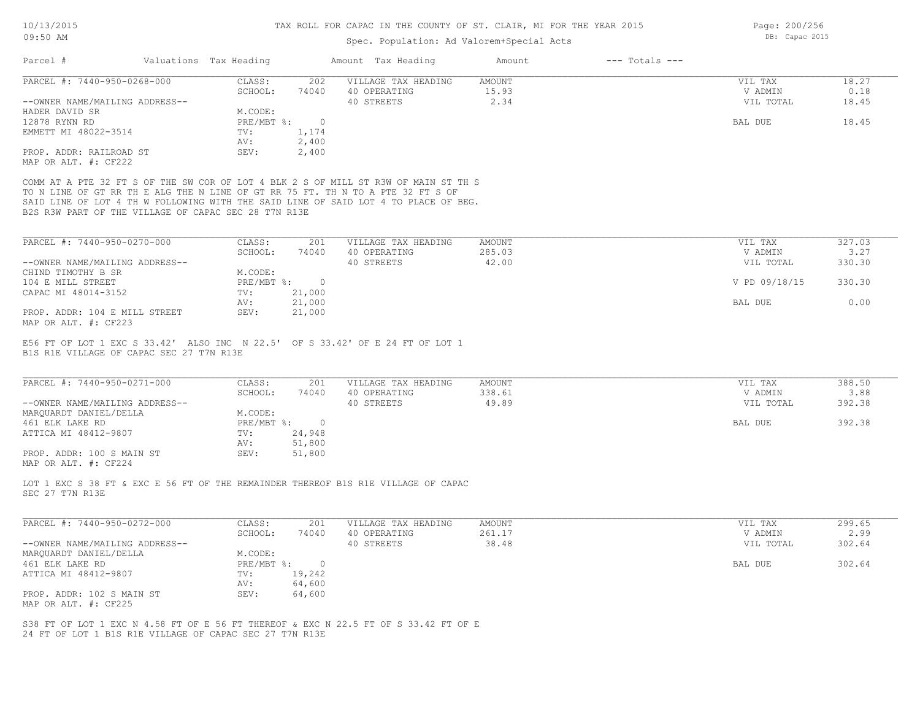Page: 200/256 DB: Capac 2015

# Spec. Population: Ad Valorem+Special Acts

| PARCEL #: 7440-950-0268-000<br><b>AMOUNT</b><br>CLASS:<br>202<br>VILLAGE TAX HEADING<br>VIL TAX<br>SCHOOL:<br>40 OPERATING<br>15.93<br>V ADMIN<br>74040<br>2.34<br>40 STREETS<br>VIL TOTAL<br>--OWNER NAME/MAILING ADDRESS--<br>HADER DAVID SR<br>M.CODE:<br>12878 RYNN RD<br>PRE/MBT %:<br>$\circ$<br>BAL DUE<br>EMMETT MI 48022-3514<br>1,174<br>TV:<br>2,400<br>AV:<br>PROP. ADDR: RAILROAD ST<br>2,400<br>SEV:<br>MAP OR ALT. #: CF222<br>COMM AT A PTE 32 FT S OF THE SW COR OF LOT 4 BLK 2 S OF MILL ST R3W OF MAIN ST TH S<br>TO N LINE OF GT RR TH E ALG THE N LINE OF GT RR 75 FT. TH N TO A PTE 32 FT S OF<br>SAID LINE OF LOT 4 TH W FOLLOWING WITH THE SAID LINE OF SAID LOT 4 TO PLACE OF BEG.<br>B2S R3W PART OF THE VILLAGE OF CAPAC SEC 28 T7N R13E<br>PARCEL #: 7440-950-0270-000<br>CLASS:<br>VILLAGE TAX HEADING<br>AMOUNT<br>VIL TAX<br>201<br>285.03<br>SCHOOL:<br>74040<br>40 OPERATING<br>V ADMIN<br>40 STREETS<br>42.00<br>--OWNER NAME/MAILING ADDRESS--<br>VIL TOTAL<br>CHIND TIMOTHY B SR<br>M.CODE:<br>104 E MILL STREET<br>$PRE/MBT$ $\div$<br>$\circ$<br>V PD 09/18/15<br>21,000<br>CAPAC MI 48014-3152<br>TV:<br>21,000<br>AV:<br>BAL DUE<br>PROP. ADDR: 104 E MILL STREET<br>SEV:<br>21,000<br>E56 FT OF LOT 1 EXC S 33.42' ALSO INC N 22.5' OF S 33.42' OF E 24 FT OF LOT 1<br>B1S R1E VILLAGE OF CAPAC SEC 27 T7N R13E<br>PARCEL #: 7440-950-0271-000<br>CLASS:<br>201<br>VILLAGE TAX HEADING<br>AMOUNT<br>VIL TAX<br>SCHOOL:<br>74040<br>40 OPERATING<br>338.61<br>V ADMIN<br>49.89<br>--OWNER NAME/MAILING ADDRESS--<br>40 STREETS<br>VIL TOTAL<br>MARQUARDT DANIEL/DELLA<br>M.CODE:<br>461 ELK LAKE RD<br>$PRE/MBT$ $\div$<br>$\overline{0}$<br>BAL DUE<br>24,948<br>ATTICA MI 48412-9807<br>TV:<br>51,800<br>AV:<br>51,800<br>PROP. ADDR: 100 S MAIN ST<br>SEV:<br>LOT 1 EXC S 38 FT & EXC E 56 FT OF THE REMAINDER THEREOF B1S R1E VILLAGE OF CAPAC<br>SEC 27 T7N R13E<br>PARCEL #: 7440-950-0272-000<br>CLASS:<br>201<br>VILLAGE TAX HEADING<br>AMOUNT<br>VIL TAX<br>261.17<br>SCHOOL:<br>74040<br>40 OPERATING<br>V ADMIN<br>40 STREETS<br>38.48<br>--OWNER NAME/MAILING ADDRESS--<br>VIL TOTAL<br>M.CODE:<br>MARQUARDT DANIEL/DELLA<br>461 ELK LAKE RD<br>$PRE/MBT$ $\div$<br>$\overline{0}$<br>BAL DUE |        |
|---------------------------------------------------------------------------------------------------------------------------------------------------------------------------------------------------------------------------------------------------------------------------------------------------------------------------------------------------------------------------------------------------------------------------------------------------------------------------------------------------------------------------------------------------------------------------------------------------------------------------------------------------------------------------------------------------------------------------------------------------------------------------------------------------------------------------------------------------------------------------------------------------------------------------------------------------------------------------------------------------------------------------------------------------------------------------------------------------------------------------------------------------------------------------------------------------------------------------------------------------------------------------------------------------------------------------------------------------------------------------------------------------------------------------------------------------------------------------------------------------------------------------------------------------------------------------------------------------------------------------------------------------------------------------------------------------------------------------------------------------------------------------------------------------------------------------------------------------------------------------------------------------------------------------------------------------------------------------------------------------------------------------------------------------------------------------------------------------------------------------------------------------------------------------------------------------------------------------------------------------|--------|
| MAP OR ALT. #: CF223<br>MAP OR ALT. #: CF224                                                                                                                                                                                                                                                                                                                                                                                                                                                                                                                                                                                                                                                                                                                                                                                                                                                                                                                                                                                                                                                                                                                                                                                                                                                                                                                                                                                                                                                                                                                                                                                                                                                                                                                                                                                                                                                                                                                                                                                                                                                                                                                                                                                                      | 18.27  |
|                                                                                                                                                                                                                                                                                                                                                                                                                                                                                                                                                                                                                                                                                                                                                                                                                                                                                                                                                                                                                                                                                                                                                                                                                                                                                                                                                                                                                                                                                                                                                                                                                                                                                                                                                                                                                                                                                                                                                                                                                                                                                                                                                                                                                                                   | 0.18   |
|                                                                                                                                                                                                                                                                                                                                                                                                                                                                                                                                                                                                                                                                                                                                                                                                                                                                                                                                                                                                                                                                                                                                                                                                                                                                                                                                                                                                                                                                                                                                                                                                                                                                                                                                                                                                                                                                                                                                                                                                                                                                                                                                                                                                                                                   | 18.45  |
|                                                                                                                                                                                                                                                                                                                                                                                                                                                                                                                                                                                                                                                                                                                                                                                                                                                                                                                                                                                                                                                                                                                                                                                                                                                                                                                                                                                                                                                                                                                                                                                                                                                                                                                                                                                                                                                                                                                                                                                                                                                                                                                                                                                                                                                   |        |
|                                                                                                                                                                                                                                                                                                                                                                                                                                                                                                                                                                                                                                                                                                                                                                                                                                                                                                                                                                                                                                                                                                                                                                                                                                                                                                                                                                                                                                                                                                                                                                                                                                                                                                                                                                                                                                                                                                                                                                                                                                                                                                                                                                                                                                                   | 18.45  |
|                                                                                                                                                                                                                                                                                                                                                                                                                                                                                                                                                                                                                                                                                                                                                                                                                                                                                                                                                                                                                                                                                                                                                                                                                                                                                                                                                                                                                                                                                                                                                                                                                                                                                                                                                                                                                                                                                                                                                                                                                                                                                                                                                                                                                                                   |        |
|                                                                                                                                                                                                                                                                                                                                                                                                                                                                                                                                                                                                                                                                                                                                                                                                                                                                                                                                                                                                                                                                                                                                                                                                                                                                                                                                                                                                                                                                                                                                                                                                                                                                                                                                                                                                                                                                                                                                                                                                                                                                                                                                                                                                                                                   |        |
|                                                                                                                                                                                                                                                                                                                                                                                                                                                                                                                                                                                                                                                                                                                                                                                                                                                                                                                                                                                                                                                                                                                                                                                                                                                                                                                                                                                                                                                                                                                                                                                                                                                                                                                                                                                                                                                                                                                                                                                                                                                                                                                                                                                                                                                   |        |
|                                                                                                                                                                                                                                                                                                                                                                                                                                                                                                                                                                                                                                                                                                                                                                                                                                                                                                                                                                                                                                                                                                                                                                                                                                                                                                                                                                                                                                                                                                                                                                                                                                                                                                                                                                                                                                                                                                                                                                                                                                                                                                                                                                                                                                                   |        |
|                                                                                                                                                                                                                                                                                                                                                                                                                                                                                                                                                                                                                                                                                                                                                                                                                                                                                                                                                                                                                                                                                                                                                                                                                                                                                                                                                                                                                                                                                                                                                                                                                                                                                                                                                                                                                                                                                                                                                                                                                                                                                                                                                                                                                                                   |        |
|                                                                                                                                                                                                                                                                                                                                                                                                                                                                                                                                                                                                                                                                                                                                                                                                                                                                                                                                                                                                                                                                                                                                                                                                                                                                                                                                                                                                                                                                                                                                                                                                                                                                                                                                                                                                                                                                                                                                                                                                                                                                                                                                                                                                                                                   |        |
|                                                                                                                                                                                                                                                                                                                                                                                                                                                                                                                                                                                                                                                                                                                                                                                                                                                                                                                                                                                                                                                                                                                                                                                                                                                                                                                                                                                                                                                                                                                                                                                                                                                                                                                                                                                                                                                                                                                                                                                                                                                                                                                                                                                                                                                   |        |
|                                                                                                                                                                                                                                                                                                                                                                                                                                                                                                                                                                                                                                                                                                                                                                                                                                                                                                                                                                                                                                                                                                                                                                                                                                                                                                                                                                                                                                                                                                                                                                                                                                                                                                                                                                                                                                                                                                                                                                                                                                                                                                                                                                                                                                                   |        |
|                                                                                                                                                                                                                                                                                                                                                                                                                                                                                                                                                                                                                                                                                                                                                                                                                                                                                                                                                                                                                                                                                                                                                                                                                                                                                                                                                                                                                                                                                                                                                                                                                                                                                                                                                                                                                                                                                                                                                                                                                                                                                                                                                                                                                                                   |        |
|                                                                                                                                                                                                                                                                                                                                                                                                                                                                                                                                                                                                                                                                                                                                                                                                                                                                                                                                                                                                                                                                                                                                                                                                                                                                                                                                                                                                                                                                                                                                                                                                                                                                                                                                                                                                                                                                                                                                                                                                                                                                                                                                                                                                                                                   | 327.03 |
|                                                                                                                                                                                                                                                                                                                                                                                                                                                                                                                                                                                                                                                                                                                                                                                                                                                                                                                                                                                                                                                                                                                                                                                                                                                                                                                                                                                                                                                                                                                                                                                                                                                                                                                                                                                                                                                                                                                                                                                                                                                                                                                                                                                                                                                   | 3.27   |
|                                                                                                                                                                                                                                                                                                                                                                                                                                                                                                                                                                                                                                                                                                                                                                                                                                                                                                                                                                                                                                                                                                                                                                                                                                                                                                                                                                                                                                                                                                                                                                                                                                                                                                                                                                                                                                                                                                                                                                                                                                                                                                                                                                                                                                                   | 330.30 |
|                                                                                                                                                                                                                                                                                                                                                                                                                                                                                                                                                                                                                                                                                                                                                                                                                                                                                                                                                                                                                                                                                                                                                                                                                                                                                                                                                                                                                                                                                                                                                                                                                                                                                                                                                                                                                                                                                                                                                                                                                                                                                                                                                                                                                                                   |        |
|                                                                                                                                                                                                                                                                                                                                                                                                                                                                                                                                                                                                                                                                                                                                                                                                                                                                                                                                                                                                                                                                                                                                                                                                                                                                                                                                                                                                                                                                                                                                                                                                                                                                                                                                                                                                                                                                                                                                                                                                                                                                                                                                                                                                                                                   | 330.30 |
|                                                                                                                                                                                                                                                                                                                                                                                                                                                                                                                                                                                                                                                                                                                                                                                                                                                                                                                                                                                                                                                                                                                                                                                                                                                                                                                                                                                                                                                                                                                                                                                                                                                                                                                                                                                                                                                                                                                                                                                                                                                                                                                                                                                                                                                   |        |
|                                                                                                                                                                                                                                                                                                                                                                                                                                                                                                                                                                                                                                                                                                                                                                                                                                                                                                                                                                                                                                                                                                                                                                                                                                                                                                                                                                                                                                                                                                                                                                                                                                                                                                                                                                                                                                                                                                                                                                                                                                                                                                                                                                                                                                                   | 0.00   |
|                                                                                                                                                                                                                                                                                                                                                                                                                                                                                                                                                                                                                                                                                                                                                                                                                                                                                                                                                                                                                                                                                                                                                                                                                                                                                                                                                                                                                                                                                                                                                                                                                                                                                                                                                                                                                                                                                                                                                                                                                                                                                                                                                                                                                                                   |        |
|                                                                                                                                                                                                                                                                                                                                                                                                                                                                                                                                                                                                                                                                                                                                                                                                                                                                                                                                                                                                                                                                                                                                                                                                                                                                                                                                                                                                                                                                                                                                                                                                                                                                                                                                                                                                                                                                                                                                                                                                                                                                                                                                                                                                                                                   |        |
|                                                                                                                                                                                                                                                                                                                                                                                                                                                                                                                                                                                                                                                                                                                                                                                                                                                                                                                                                                                                                                                                                                                                                                                                                                                                                                                                                                                                                                                                                                                                                                                                                                                                                                                                                                                                                                                                                                                                                                                                                                                                                                                                                                                                                                                   |        |
|                                                                                                                                                                                                                                                                                                                                                                                                                                                                                                                                                                                                                                                                                                                                                                                                                                                                                                                                                                                                                                                                                                                                                                                                                                                                                                                                                                                                                                                                                                                                                                                                                                                                                                                                                                                                                                                                                                                                                                                                                                                                                                                                                                                                                                                   | 388.50 |
|                                                                                                                                                                                                                                                                                                                                                                                                                                                                                                                                                                                                                                                                                                                                                                                                                                                                                                                                                                                                                                                                                                                                                                                                                                                                                                                                                                                                                                                                                                                                                                                                                                                                                                                                                                                                                                                                                                                                                                                                                                                                                                                                                                                                                                                   | 3.88   |
|                                                                                                                                                                                                                                                                                                                                                                                                                                                                                                                                                                                                                                                                                                                                                                                                                                                                                                                                                                                                                                                                                                                                                                                                                                                                                                                                                                                                                                                                                                                                                                                                                                                                                                                                                                                                                                                                                                                                                                                                                                                                                                                                                                                                                                                   | 392.38 |
|                                                                                                                                                                                                                                                                                                                                                                                                                                                                                                                                                                                                                                                                                                                                                                                                                                                                                                                                                                                                                                                                                                                                                                                                                                                                                                                                                                                                                                                                                                                                                                                                                                                                                                                                                                                                                                                                                                                                                                                                                                                                                                                                                                                                                                                   |        |
|                                                                                                                                                                                                                                                                                                                                                                                                                                                                                                                                                                                                                                                                                                                                                                                                                                                                                                                                                                                                                                                                                                                                                                                                                                                                                                                                                                                                                                                                                                                                                                                                                                                                                                                                                                                                                                                                                                                                                                                                                                                                                                                                                                                                                                                   | 392.38 |
|                                                                                                                                                                                                                                                                                                                                                                                                                                                                                                                                                                                                                                                                                                                                                                                                                                                                                                                                                                                                                                                                                                                                                                                                                                                                                                                                                                                                                                                                                                                                                                                                                                                                                                                                                                                                                                                                                                                                                                                                                                                                                                                                                                                                                                                   |        |
|                                                                                                                                                                                                                                                                                                                                                                                                                                                                                                                                                                                                                                                                                                                                                                                                                                                                                                                                                                                                                                                                                                                                                                                                                                                                                                                                                                                                                                                                                                                                                                                                                                                                                                                                                                                                                                                                                                                                                                                                                                                                                                                                                                                                                                                   |        |
|                                                                                                                                                                                                                                                                                                                                                                                                                                                                                                                                                                                                                                                                                                                                                                                                                                                                                                                                                                                                                                                                                                                                                                                                                                                                                                                                                                                                                                                                                                                                                                                                                                                                                                                                                                                                                                                                                                                                                                                                                                                                                                                                                                                                                                                   |        |
|                                                                                                                                                                                                                                                                                                                                                                                                                                                                                                                                                                                                                                                                                                                                                                                                                                                                                                                                                                                                                                                                                                                                                                                                                                                                                                                                                                                                                                                                                                                                                                                                                                                                                                                                                                                                                                                                                                                                                                                                                                                                                                                                                                                                                                                   |        |
|                                                                                                                                                                                                                                                                                                                                                                                                                                                                                                                                                                                                                                                                                                                                                                                                                                                                                                                                                                                                                                                                                                                                                                                                                                                                                                                                                                                                                                                                                                                                                                                                                                                                                                                                                                                                                                                                                                                                                                                                                                                                                                                                                                                                                                                   |        |
|                                                                                                                                                                                                                                                                                                                                                                                                                                                                                                                                                                                                                                                                                                                                                                                                                                                                                                                                                                                                                                                                                                                                                                                                                                                                                                                                                                                                                                                                                                                                                                                                                                                                                                                                                                                                                                                                                                                                                                                                                                                                                                                                                                                                                                                   |        |
|                                                                                                                                                                                                                                                                                                                                                                                                                                                                                                                                                                                                                                                                                                                                                                                                                                                                                                                                                                                                                                                                                                                                                                                                                                                                                                                                                                                                                                                                                                                                                                                                                                                                                                                                                                                                                                                                                                                                                                                                                                                                                                                                                                                                                                                   |        |
|                                                                                                                                                                                                                                                                                                                                                                                                                                                                                                                                                                                                                                                                                                                                                                                                                                                                                                                                                                                                                                                                                                                                                                                                                                                                                                                                                                                                                                                                                                                                                                                                                                                                                                                                                                                                                                                                                                                                                                                                                                                                                                                                                                                                                                                   | 299.65 |
|                                                                                                                                                                                                                                                                                                                                                                                                                                                                                                                                                                                                                                                                                                                                                                                                                                                                                                                                                                                                                                                                                                                                                                                                                                                                                                                                                                                                                                                                                                                                                                                                                                                                                                                                                                                                                                                                                                                                                                                                                                                                                                                                                                                                                                                   | 2.99   |
|                                                                                                                                                                                                                                                                                                                                                                                                                                                                                                                                                                                                                                                                                                                                                                                                                                                                                                                                                                                                                                                                                                                                                                                                                                                                                                                                                                                                                                                                                                                                                                                                                                                                                                                                                                                                                                                                                                                                                                                                                                                                                                                                                                                                                                                   | 302.64 |
|                                                                                                                                                                                                                                                                                                                                                                                                                                                                                                                                                                                                                                                                                                                                                                                                                                                                                                                                                                                                                                                                                                                                                                                                                                                                                                                                                                                                                                                                                                                                                                                                                                                                                                                                                                                                                                                                                                                                                                                                                                                                                                                                                                                                                                                   |        |
|                                                                                                                                                                                                                                                                                                                                                                                                                                                                                                                                                                                                                                                                                                                                                                                                                                                                                                                                                                                                                                                                                                                                                                                                                                                                                                                                                                                                                                                                                                                                                                                                                                                                                                                                                                                                                                                                                                                                                                                                                                                                                                                                                                                                                                                   | 302.64 |
| 19,242<br>ATTICA MI 48412-9807<br>TV:                                                                                                                                                                                                                                                                                                                                                                                                                                                                                                                                                                                                                                                                                                                                                                                                                                                                                                                                                                                                                                                                                                                                                                                                                                                                                                                                                                                                                                                                                                                                                                                                                                                                                                                                                                                                                                                                                                                                                                                                                                                                                                                                                                                                             |        |
| AV:<br>64,600                                                                                                                                                                                                                                                                                                                                                                                                                                                                                                                                                                                                                                                                                                                                                                                                                                                                                                                                                                                                                                                                                                                                                                                                                                                                                                                                                                                                                                                                                                                                                                                                                                                                                                                                                                                                                                                                                                                                                                                                                                                                                                                                                                                                                                     |        |
| PROP. ADDR: 102 S MAIN ST<br>SEV:<br>64,600                                                                                                                                                                                                                                                                                                                                                                                                                                                                                                                                                                                                                                                                                                                                                                                                                                                                                                                                                                                                                                                                                                                                                                                                                                                                                                                                                                                                                                                                                                                                                                                                                                                                                                                                                                                                                                                                                                                                                                                                                                                                                                                                                                                                       |        |
| MAP OR ALT. #: CF225                                                                                                                                                                                                                                                                                                                                                                                                                                                                                                                                                                                                                                                                                                                                                                                                                                                                                                                                                                                                                                                                                                                                                                                                                                                                                                                                                                                                                                                                                                                                                                                                                                                                                                                                                                                                                                                                                                                                                                                                                                                                                                                                                                                                                              |        |
|                                                                                                                                                                                                                                                                                                                                                                                                                                                                                                                                                                                                                                                                                                                                                                                                                                                                                                                                                                                                                                                                                                                                                                                                                                                                                                                                                                                                                                                                                                                                                                                                                                                                                                                                                                                                                                                                                                                                                                                                                                                                                                                                                                                                                                                   |        |
| S38 FT OF LOT 1 EXC N 4.58 FT OF E 56 FT THEREOF & EXC N 22.5 FT OF S 33.42 FT OF E                                                                                                                                                                                                                                                                                                                                                                                                                                                                                                                                                                                                                                                                                                                                                                                                                                                                                                                                                                                                                                                                                                                                                                                                                                                                                                                                                                                                                                                                                                                                                                                                                                                                                                                                                                                                                                                                                                                                                                                                                                                                                                                                                               |        |
| 24 FT OF LOT 1 B1S R1E VILLAGE OF CAPAC SEC 27 T7N R13E                                                                                                                                                                                                                                                                                                                                                                                                                                                                                                                                                                                                                                                                                                                                                                                                                                                                                                                                                                                                                                                                                                                                                                                                                                                                                                                                                                                                                                                                                                                                                                                                                                                                                                                                                                                                                                                                                                                                                                                                                                                                                                                                                                                           |        |
|                                                                                                                                                                                                                                                                                                                                                                                                                                                                                                                                                                                                                                                                                                                                                                                                                                                                                                                                                                                                                                                                                                                                                                                                                                                                                                                                                                                                                                                                                                                                                                                                                                                                                                                                                                                                                                                                                                                                                                                                                                                                                                                                                                                                                                                   |        |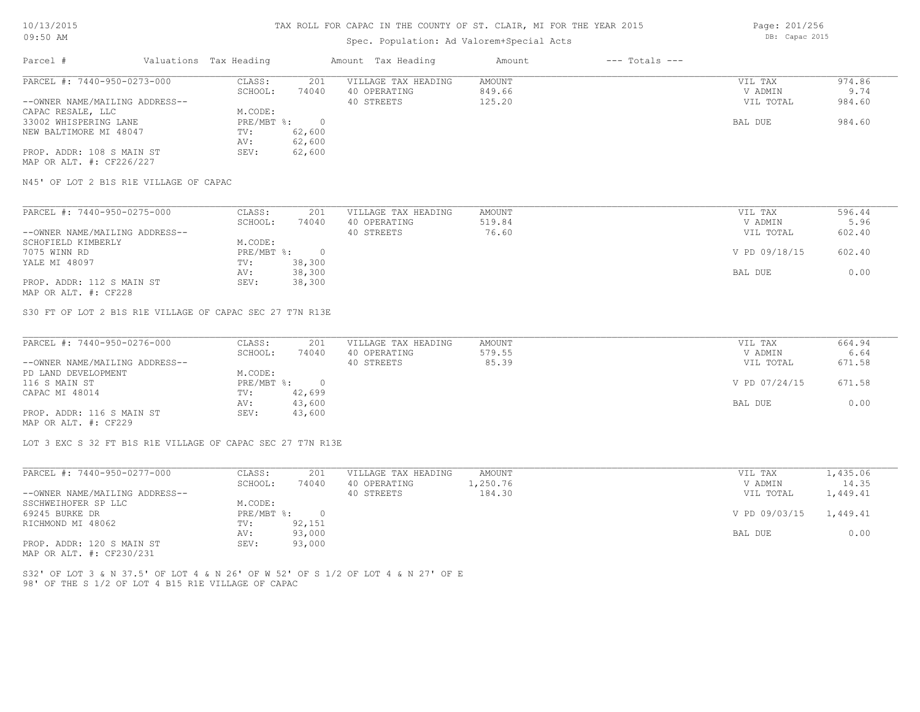## Spec. Population: Ad Valorem+Special Acts

Page: 201/256 DB: Capac 2015

| Parcel #                       | Valuations Tax Heading |        | Amount Tax Heading  | Amount | $---$ Totals $---$ |           |        |
|--------------------------------|------------------------|--------|---------------------|--------|--------------------|-----------|--------|
| PARCEL #: 7440-950-0273-000    | CLASS:                 | 201    | VILLAGE TAX HEADING | AMOUNT |                    | VIL TAX   | 974.86 |
|                                | SCHOOL:                | 74040  | 40 OPERATING        | 849.66 |                    | V ADMIN   | 9.74   |
| --OWNER NAME/MAILING ADDRESS-- |                        |        | 40 STREETS          | 125.20 |                    | VIL TOTAL | 984.60 |
| CAPAC RESALE, LLC              | M.CODE:                |        |                     |        |                    |           |        |
| 33002 WHISPERING LANE          | PRE/MBT %:             |        |                     |        |                    | BAL DUE   | 984.60 |
| NEW BALTIMORE MI 48047         | TV:                    | 62,600 |                     |        |                    |           |        |
|                                | AV:                    | 62,600 |                     |        |                    |           |        |
| PROP. ADDR: 108 S MAIN ST      | SEV:                   | 62,600 |                     |        |                    |           |        |
| MAP OR ALT. #: CF226/227       |                        |        |                     |        |                    |           |        |

N45' OF LOT 2 B1S R1E VILLAGE OF CAPAC

| PARCEL #: 7440-950-0275-000    | CLASS:     | 201    | VILLAGE TAX HEADING | AMOUNT | VIL TAX       | 596.44 |
|--------------------------------|------------|--------|---------------------|--------|---------------|--------|
|                                | SCHOOL:    | 74040  | 40 OPERATING        | 519.84 | V ADMIN       | 5.96   |
| --OWNER NAME/MAILING ADDRESS-- |            |        | 40 STREETS          | 76.60  | VIL TOTAL     | 602.40 |
| SCHOFIELD KIMBERLY             | M.CODE:    |        |                     |        |               |        |
| 7075 WINN RD                   | PRE/MBT %: |        |                     |        | V PD 09/18/15 | 602.40 |
| YALE MI 48097                  | TV:        | 38,300 |                     |        |               |        |
|                                | AV:        | 38,300 |                     |        | BAL DUE       | 0.00   |
| PROP. ADDR: 112 S MAIN ST      | SEV:       | 38,300 |                     |        |               |        |
| MAP OR ALT. #: CF228           |            |        |                     |        |               |        |

S30 FT OF LOT 2 B1S R1E VILLAGE OF CAPAC SEC 27 T7N R13E

| PARCEL #: 7440-950-0276-000    | CLASS:     | 201    | VILLAGE TAX HEADING | AMOUNT | VIL TAX       | 664.94 |
|--------------------------------|------------|--------|---------------------|--------|---------------|--------|
|                                | SCHOOL:    | 74040  | 40 OPERATING        | 579.55 | V ADMIN       | 6.64   |
| --OWNER NAME/MAILING ADDRESS-- |            |        | 40 STREETS          | 85.39  | VIL TOTAL     | 671.58 |
| PD LAND DEVELOPMENT            | M.CODE:    |        |                     |        |               |        |
| 116 S MAIN ST                  | PRE/MBT %: |        |                     |        | V PD 07/24/15 | 671.58 |
| CAPAC MI 48014                 | TV:        | 42,699 |                     |        |               |        |
|                                | AV:        | 43,600 |                     |        | BAL DUE       | 0.00   |
| PROP. ADDR: 116 S MAIN ST      | SEV:       | 43,600 |                     |        |               |        |
| MAP OR ALT. #: CF229           |            |        |                     |        |               |        |

LOT 3 EXC S 32 FT B1S R1E VILLAGE OF CAPAC SEC 27 T7N R13E

| PARCEL #: 7440-950-0277-000    | CLASS:     | 201    | VILLAGE TAX HEADING | AMOUNT   | VIL TAX                | 1,435.06 |
|--------------------------------|------------|--------|---------------------|----------|------------------------|----------|
|                                | SCHOOL:    | 74040  | 40 OPERATING        | 1,250.76 | V ADMIN                | 14.35    |
| --OWNER NAME/MAILING ADDRESS-- |            |        | 40 STREETS          | 184.30   | VIL TOTAL              | 1,449.41 |
| SSCHWEIHOFER SP LLC            | M.CODE:    |        |                     |          |                        |          |
| 69245 BURKE DR                 | PRE/MBT %: |        |                     |          | V PD 09/03/15 1,449.41 |          |
| RICHMOND MI 48062              | TV:        | 92,151 |                     |          |                        |          |
|                                | AV:        | 93,000 |                     |          | BAL DUE                | 0.00     |
| PROP. ADDR: 120 S MAIN ST      | SEV:       | 93,000 |                     |          |                        |          |

MAP OR ALT. #: CF230/231

98' OF THE S 1/2 OF LOT 4 B15 R1E VILLAGE OF CAPAC S32' OF LOT 3 & N 37.5' OF LOT 4 & N 26' OF W 52' OF S 1/2 OF LOT 4 & N 27' OF E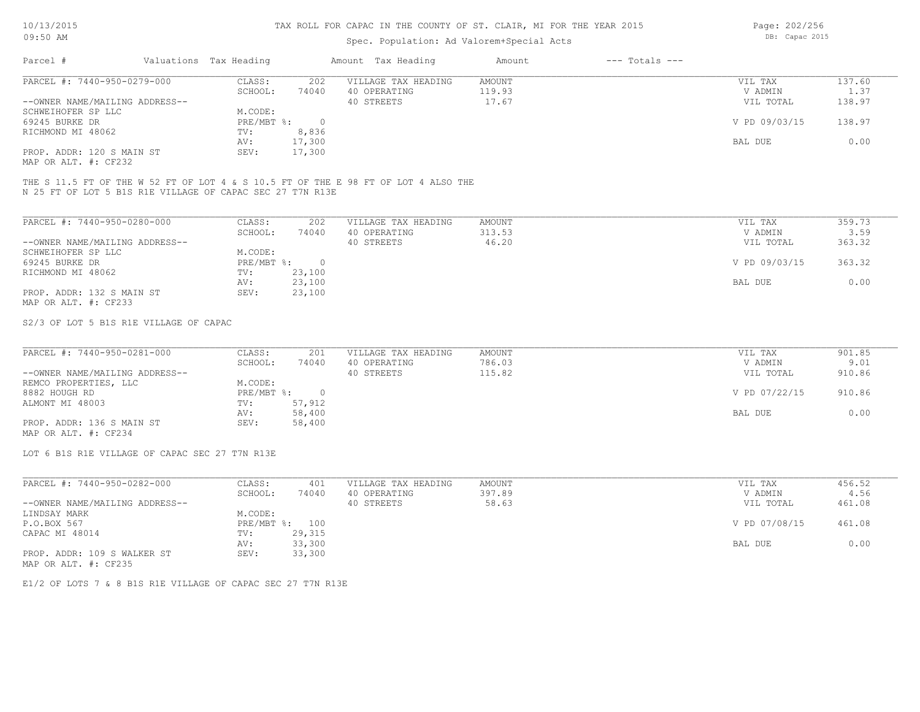## Spec. Population: Ad Valorem+Special Acts

Page: 202/256 DB: Capac 2015

| Parcel #                       | Valuations Tax Heading |        | Amount Tax Heading  | Amount | $---$ Totals $---$ |               |        |
|--------------------------------|------------------------|--------|---------------------|--------|--------------------|---------------|--------|
| PARCEL #: 7440-950-0279-000    | CLASS:                 | 202    | VILLAGE TAX HEADING | AMOUNT |                    | VIL TAX       | 137.60 |
|                                | SCHOOL:                | 74040  | 40 OPERATING        | 119.93 |                    | V ADMIN       | 1.37   |
| --OWNER NAME/MAILING ADDRESS-- |                        |        | 40 STREETS          | 17.67  |                    | VIL TOTAL     | 138.97 |
| SCHWEIHOFER SP LLC             | M.CODE:                |        |                     |        |                    |               |        |
| 69245 BURKE DR                 | PRE/MBT %:             |        |                     |        |                    | V PD 09/03/15 | 138.97 |
| RICHMOND MI 48062              | TV:                    | 8,836  |                     |        |                    |               |        |
|                                | AV:                    | 17,300 |                     |        |                    | BAL DUE       | 0.00   |
| PROP. ADDR: 120 S MAIN ST      | SEV:                   | 17,300 |                     |        |                    |               |        |
|                                |                        |        |                     |        |                    |               |        |

MAP OR ALT. #: CF232

N 25 FT OF LOT 5 B1S R1E VILLAGE OF CAPAC SEC 27 T7N R13E THE S 11.5 FT OF THE W 52 FT OF LOT 4 & S 10.5 FT OF THE E 98 FT OF LOT 4 ALSO THE

| PARCEL #: 7440-950-0280-000    | CLASS:     | 202    | VILLAGE TAX HEADING | AMOUNT | 359.73<br>VIL TAX       |
|--------------------------------|------------|--------|---------------------|--------|-------------------------|
|                                | SCHOOL:    | 74040  | 40 OPERATING        | 313.53 | 3.59<br>V ADMIN         |
| --OWNER NAME/MAILING ADDRESS-- |            |        | 40 STREETS          | 46.20  | 363.32<br>VIL TOTAL     |
| SCHWEIHOFER SP LLC             | M.CODE:    |        |                     |        |                         |
| 69245 BURKE DR                 | PRE/MBT %: | $\cap$ |                     |        | V PD 09/03/15<br>363.32 |
| RICHMOND MI 48062              | TV:        | 23,100 |                     |        |                         |
|                                | AV:        | 23,100 |                     |        | 0.00<br>BAL DUE         |
| PROP. ADDR: 132 S MAIN ST      | SEV:       | 23,100 |                     |        |                         |
| MAP OR ALT. #: CF233           |            |        |                     |        |                         |

#### S2/3 OF LOT 5 B1S R1E VILLAGE OF CAPAC

| PARCEL #: 7440-950-0281-000    | CLASS:     | 201    | VILLAGE TAX HEADING | AMOUNT | VIL TAX       | 901.85 |
|--------------------------------|------------|--------|---------------------|--------|---------------|--------|
|                                | SCHOOL:    | 74040  | 40 OPERATING        | 786.03 | V ADMIN       | 9.01   |
| --OWNER NAME/MAILING ADDRESS-- |            |        | 40 STREETS          | 115.82 | VIL TOTAL     | 910.86 |
| REMCO PROPERTIES, LLC          | M.CODE:    |        |                     |        |               |        |
| 8882 HOUGH RD                  | PRE/MBT %: |        |                     |        | V PD 07/22/15 | 910.86 |
| ALMONT MI 48003                | TV:        | 57,912 |                     |        |               |        |
|                                | AV:        | 58,400 |                     |        | BAL DUE       | 0.00   |
| PROP. ADDR: 136 S MAIN ST      | SEV:       | 58,400 |                     |        |               |        |
| MAP OR ALT. #: CF234           |            |        |                     |        |               |        |

LOT 6 B1S R1E VILLAGE OF CAPAC SEC 27 T7N R13E

| PARCEL #: 7440-950-0282-000    | CLASS:  | 401            | VILLAGE TAX HEADING | AMOUNT | VIL TAX       | 456.52 |
|--------------------------------|---------|----------------|---------------------|--------|---------------|--------|
|                                | SCHOOL: | 74040          | 40 OPERATING        | 397.89 | V ADMIN       | 4.56   |
| --OWNER NAME/MAILING ADDRESS-- |         |                | 40 STREETS          | 58.63  | VIL TOTAL     | 461.08 |
| LINDSAY MARK                   | M.CODE: |                |                     |        |               |        |
| P.O.BOX 567                    |         | PRE/MBT %: 100 |                     |        | V PD 07/08/15 | 461.08 |
| CAPAC MI 48014                 | TV:     | 29,315         |                     |        |               |        |
|                                | AV:     | 33,300         |                     |        | BAL DUE       | 0.00   |
| PROP. ADDR: 109 S WALKER ST    | SEV:    | 33,300         |                     |        |               |        |
| MAP OR ALT. #: CF235           |         |                |                     |        |               |        |

E1/2 OF LOTS 7 & 8 B1S R1E VILLAGE OF CAPAC SEC 27 T7N R13E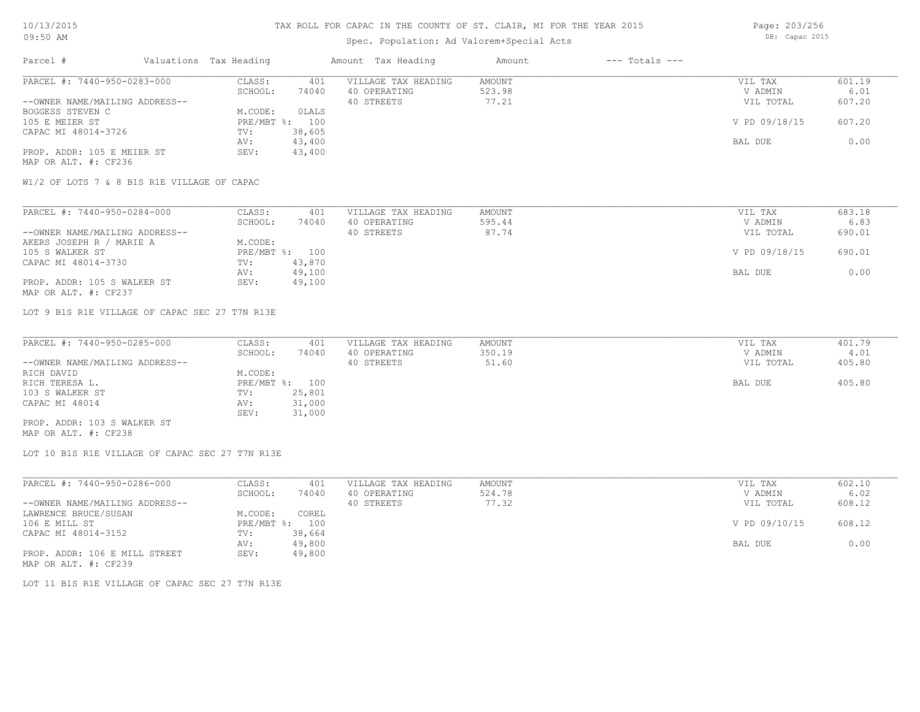## Spec. Population: Ad Valorem+Special Acts

Parcel # Valuations Tax Heading Amount Tax Heading Amount --- Totals ---Page: 203/256 DB: Capac 2015

| PARCEL #: 7440-950-0283-000    | CLASS:       | 401    | VILLAGE TAX HEADING | AMOUNT | VIL TAX       | 601.19 |
|--------------------------------|--------------|--------|---------------------|--------|---------------|--------|
|                                | SCHOOL:      | 74040  | 40 OPERATING        | 523.98 | V ADMIN       | 6.01   |
| --OWNER NAME/MAILING ADDRESS-- |              |        | 40 STREETS          | 77.21  | VIL TOTAL     | 607.20 |
| BOGGESS STEVEN C               | M.CODE:      | OLALS  |                     |        |               |        |
| 105 E MEIER ST                 | $PRE/MBT$ %: | 100    |                     |        | V PD 09/18/15 | 607.20 |
| CAPAC MI 48014-3726            | TV:          | 38,605 |                     |        |               |        |
|                                | AV:          | 43,400 |                     |        | BAL DUE       | 0.00   |
| PROP. ADDR: 105 E MEIER ST     | SEV:         | 43,400 |                     |        |               |        |
| MAP OR ALT. #: CF236           |              |        |                     |        |               |        |

W1/2 OF LOTS 7 & 8 B1S R1E VILLAGE OF CAPAC

| PARCEL #: 7440-950-0284-000    | CLASS:  | 401            | VILLAGE TAX HEADING | AMOUNT | VIL TAX       | 683.18 |
|--------------------------------|---------|----------------|---------------------|--------|---------------|--------|
|                                | SCHOOL: | 74040          | 40 OPERATING        | 595.44 | V ADMIN       | 6.83   |
| --OWNER NAME/MAILING ADDRESS-- |         |                | 40 STREETS          | 87.74  | VIL TOTAL     | 690.01 |
| AKERS JOSEPH R / MARIE A       | M.CODE: |                |                     |        |               |        |
| 105 S WALKER ST                |         | PRE/MBT %: 100 |                     |        | V PD 09/18/15 | 690.01 |
| CAPAC MI 48014-3730            | TV:     | 43,870         |                     |        |               |        |
|                                | AV:     | 49,100         |                     |        | BAL DUE       | 0.00   |
| PROP. ADDR: 105 S WALKER ST    | SEV:    | 49,100         |                     |        |               |        |
| MAP OR ALT. #: CF237           |         |                |                     |        |               |        |

LOT 9 B1S R1E VILLAGE OF CAPAC SEC 27 T7N R13E

| PARCEL #: 7440-950-0285-000    | CLASS:  | 401            | VILLAGE TAX HEADING | AMOUNT | VIL TAX   | 401.79 |
|--------------------------------|---------|----------------|---------------------|--------|-----------|--------|
|                                | SCHOOL: | 74040          | 40 OPERATING        | 350.19 | V ADMIN   | 4.01   |
| --OWNER NAME/MAILING ADDRESS-- |         |                | 40 STREETS          | 51.60  | VIL TOTAL | 405.80 |
| RICH DAVID                     | M.CODE: |                |                     |        |           |        |
| RICH TERESA L.                 |         | PRE/MBT %: 100 |                     |        | BAL DUE   | 405.80 |
| 103 S WALKER ST                | TV:     | 25,801         |                     |        |           |        |
| CAPAC MI 48014                 | AV:     | 31,000         |                     |        |           |        |
|                                | SEV:    | 31,000         |                     |        |           |        |
| PROP. ADDR: 103 S WALKER ST    |         |                |                     |        |           |        |

MAP OR ALT. #: CF238

LOT 10 B1S R1E VILLAGE OF CAPAC SEC 27 T7N R13E

| PARCEL #: 7440-950-0286-000    | CLASS:     | 401    | VILLAGE TAX HEADING | AMOUNT | VIL TAX       | 602.10 |
|--------------------------------|------------|--------|---------------------|--------|---------------|--------|
|                                | SCHOOL:    | 74040  | 40 OPERATING        | 524.78 | V ADMIN       | 6.02   |
| --OWNER NAME/MAILING ADDRESS-- |            |        | 40 STREETS          | 77.32  | VIL TOTAL     | 608.12 |
| LAWRENCE BRUCE/SUSAN           | M.CODE:    | COREL  |                     |        |               |        |
| 106 E MILL ST                  | PRE/MBT %: | 100    |                     |        | V PD 09/10/15 | 608.12 |
| CAPAC MI 48014-3152            | TV:        | 38,664 |                     |        |               |        |
|                                | AV:        | 49,800 |                     |        | BAL DUE       | 0.00   |
| PROP. ADDR: 106 E MILL STREET  | SEV:       | 49,800 |                     |        |               |        |
| MAP OR ALT. #: CF239           |            |        |                     |        |               |        |

LOT 11 B1S R1E VILLAGE OF CAPAC SEC 27 T7N R13E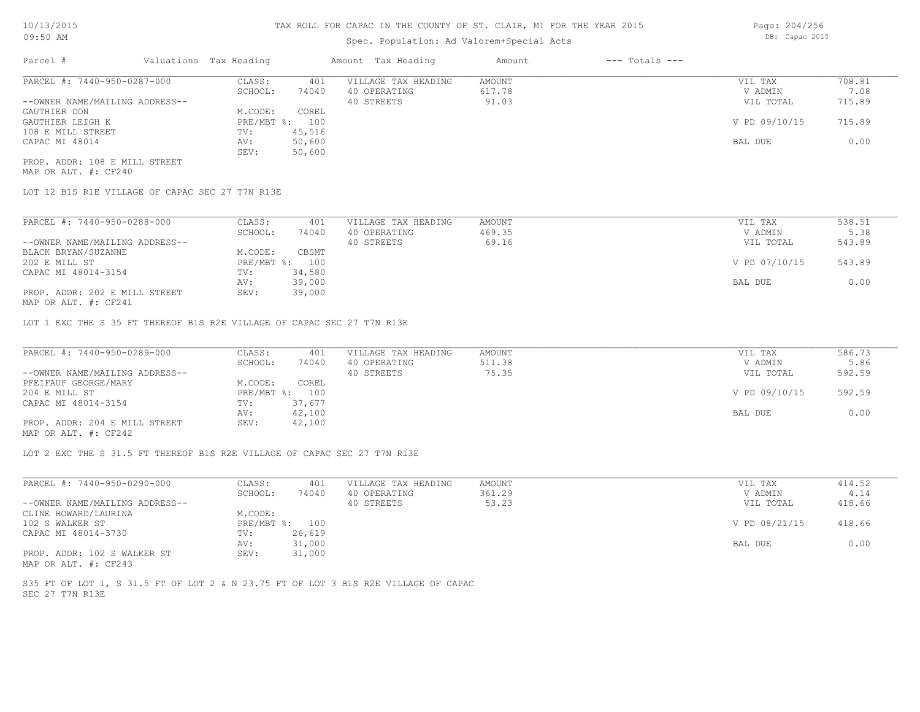## Spec. Population: Ad Valorem+Special Acts

| Parcel #                       | Valuations Tax Heading |        | Amount Tax Heading  | Amount | $---$ Totals $---$ |               |        |
|--------------------------------|------------------------|--------|---------------------|--------|--------------------|---------------|--------|
| PARCEL #: 7440-950-0287-000    | CLASS:                 | 401    | VILLAGE TAX HEADING | AMOUNT |                    | VIL TAX       | 708.81 |
|                                | SCHOOL:                | 74040  | 40 OPERATING        | 617.78 |                    | V ADMIN       | 7.08   |
| --OWNER NAME/MAILING ADDRESS-- |                        |        | 40 STREETS          | 91.03  |                    | VIL TOTAL     | 715.89 |
| GAUTHIER DON                   | M.CODE:                | COREL  |                     |        |                    |               |        |
| GAUTHIER LEIGH K               | PRE/MBT %: 100         |        |                     |        |                    | V PD 09/10/15 | 715.89 |
| 108 E MILL STREET              | TV:                    | 45,516 |                     |        |                    |               |        |
| CAPAC MI 48014                 | AV:                    | 50,600 |                     |        |                    | BAL DUE       | 0.00   |
|                                | SEV:                   | 50,600 |                     |        |                    |               |        |

MAP OR ALT. #: CF240 PROP. ADDR: 108 E MILL STREET

LOT 12 B1S R1E VILLAGE OF CAPAC SEC 27 T7N R13E

| PARCEL #: 7440-950-0288-000                  | CLASS:       | 401    | VILLAGE TAX HEADING | AMOUNT | VIL TAX       | 538.51 |
|----------------------------------------------|--------------|--------|---------------------|--------|---------------|--------|
|                                              | SCHOOL:      | 74040  | 40 OPERATING        | 469.35 | V ADMIN       | 5.38   |
| --OWNER NAME/MAILING ADDRESS--               |              |        | 40 STREETS          | 69.16  | VIL TOTAL     | 543.89 |
| BLACK BRYAN/SUZANNE                          | M.CODE:      | CBSMT  |                     |        |               |        |
| 202 E MILL ST                                | $PRE/MBT$ %: | 100    |                     |        | V PD 07/10/15 | 543.89 |
| CAPAC MI 48014-3154                          | TV:          | 34,580 |                     |        |               |        |
|                                              | AV:          | 39,000 |                     |        | BAL DUE       | 0.00   |
| PROP. ADDR: 202 E MILL STREET                | SEV:         | 39,000 |                     |        |               |        |
| $\cdots$ $\cdots$ $\cdots$ $\cdots$ $\cdots$ |              |        |                     |        |               |        |

MAP OR ALT. #: CF241

LOT 1 EXC THE S 35 FT THEREOF B1S R2E VILLAGE OF CAPAC SEC 27 T7N R13E

| PARCEL #: 7440-950-0289-000    | CLASS:     | 401    | VILLAGE TAX HEADING | AMOUNT | VIL TAX       | 586.73 |
|--------------------------------|------------|--------|---------------------|--------|---------------|--------|
|                                | SCHOOL:    | 74040  | 40 OPERATING        | 511.38 | V ADMIN       | 5.86   |
| --OWNER NAME/MAILING ADDRESS-- |            |        | 40 STREETS          | 75.35  | VIL TOTAL     | 592.59 |
| PFEIFAUF GEORGE/MARY           | M.CODE:    | COREL  |                     |        |               |        |
| 204 E MILL ST                  | PRE/MBT %: | 100    |                     |        | V PD 09/10/15 | 592.59 |
| CAPAC MI 48014-3154            | TV:        | 37,677 |                     |        |               |        |
|                                | AV:        | 42,100 |                     |        | BAL DUE       | 0.00   |
| PROP. ADDR: 204 E MILL STREET  | SEV:       | 42,100 |                     |        |               |        |
| $\cdots$                       |            |        |                     |        |               |        |

MAP OR ALT. #: CF242

LOT 2 EXC THE S 31.5 FT THEREOF B1S R2E VILLAGE OF CAPAC SEC 27 T7N R13E

| PARCEL #: 7440-950-0290-000    | CLASS:  | 401            | VILLAGE TAX HEADING | AMOUNT | VIL TAX       | 414.52 |
|--------------------------------|---------|----------------|---------------------|--------|---------------|--------|
|                                | SCHOOL: | 74040          | 40 OPERATING        | 361.29 | V ADMIN       | 4.14   |
| --OWNER NAME/MAILING ADDRESS-- |         |                | 40 STREETS          | 53.23  | VIL TOTAL     | 418.66 |
| CLINE HOWARD/LAURINA           | M.CODE: |                |                     |        |               |        |
| 102 S WALKER ST                |         | PRE/MBT %: 100 |                     |        | V PD 08/21/15 | 418.66 |
| CAPAC MI 48014-3730            | TV:     | 26,619         |                     |        |               |        |
|                                | AV:     | 31,000         |                     |        | BAL DUE       | 0.00   |
| PROP. ADDR: 102 S WALKER ST    | SEV:    | 31,000         |                     |        |               |        |
| MAP OR ALT. #: CF243           |         |                |                     |        |               |        |

SEC 27 T7N R13E S35 FT OF LOT 1, S 31.5 FT OF LOT 2 & N 23.75 FT OF LOT 3 B1S R2E VILLAGE OF CAPAC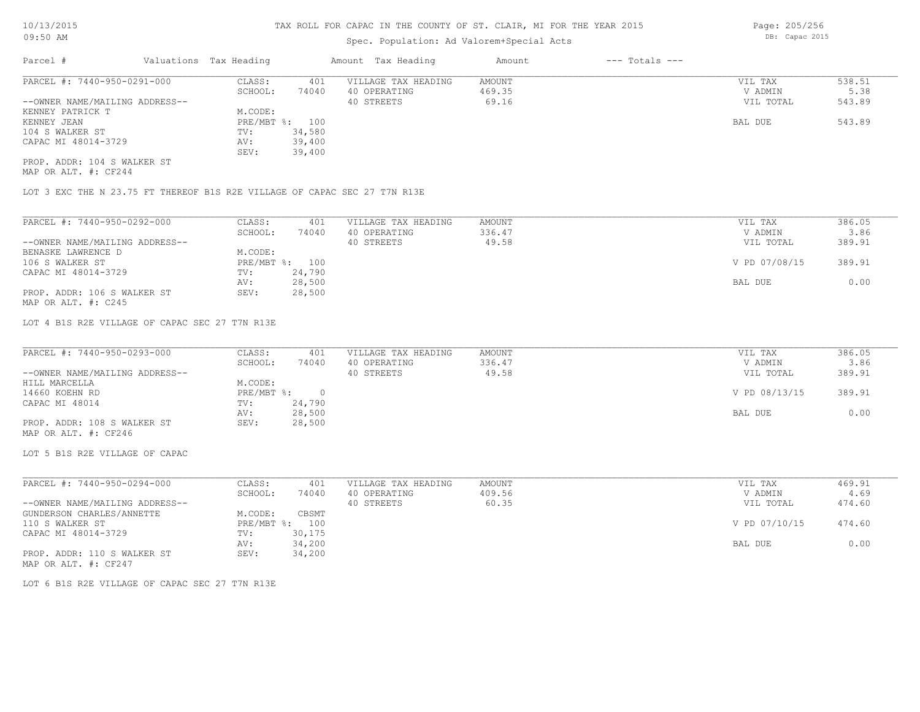# Spec. Population: Ad Valorem+Special Acts

| Parcel #                       | Valuations Tax Heading |        | Amount Tax Heading  | Amount | $---$ Totals $---$ |           |        |
|--------------------------------|------------------------|--------|---------------------|--------|--------------------|-----------|--------|
| PARCEL #: 7440-950-0291-000    | CLASS:                 | 401    | VILLAGE TAX HEADING | AMOUNT |                    | VIL TAX   | 538.51 |
|                                | SCHOOL:                | 74040  | 40 OPERATING        | 469.35 |                    | V ADMIN   | 5.38   |
| --OWNER NAME/MAILING ADDRESS-- |                        |        | 40 STREETS          | 69.16  |                    | VIL TOTAL | 543.89 |
| KENNEY PATRICK T               | M.CODE:                |        |                     |        |                    |           |        |
| KENNEY JEAN                    | PRE/MBT %: 100         |        |                     |        |                    | BAL DUE   | 543.89 |
| 104 S WALKER ST                | TV:                    | 34,580 |                     |        |                    |           |        |
| CAPAC MI 48014-3729            | AV:                    | 39,400 |                     |        |                    |           |        |
|                                | SEV:                   | 39,400 |                     |        |                    |           |        |
| PROP. ADDR: 104 S WALKER ST    |                        |        |                     |        |                    |           |        |

MAP OR ALT. #: CF244

LOT 3 EXC THE N 23.75 FT THEREOF B1S R2E VILLAGE OF CAPAC SEC 27 T7N R13E

| PARCEL #: 7440-950-0292-000    | CLASS:     | 401    | VILLAGE TAX HEADING | AMOUNT | VIL TAX       | 386.05 |
|--------------------------------|------------|--------|---------------------|--------|---------------|--------|
|                                | SCHOOL:    | 74040  | 40 OPERATING        | 336.47 | V ADMIN       | 3.86   |
| --OWNER NAME/MAILING ADDRESS-- |            |        | 40 STREETS          | 49.58  | VIL TOTAL     | 389.91 |
| BENASKE LAWRENCE D             | M.CODE:    |        |                     |        |               |        |
| 106 S WALKER ST                | PRE/MBT %: | 100    |                     |        | V PD 07/08/15 | 389.91 |
| CAPAC MI 48014-3729            | TV:        | 24,790 |                     |        |               |        |
|                                | AV:        | 28,500 |                     |        | BAL DUE       | 0.00   |
| PROP. ADDR: 106 S WALKER ST    | SEV:       | 28,500 |                     |        |               |        |
| MAP OR ALT. #: C245            |            |        |                     |        |               |        |

LOT 4 B1S R2E VILLAGE OF CAPAC SEC 27 T7N R13E

| PARCEL #: 7440-950-0293-000    | CLASS:       | 401    | VILLAGE TAX HEADING | AMOUNT | VIL TAX       | 386.05 |
|--------------------------------|--------------|--------|---------------------|--------|---------------|--------|
|                                | SCHOOL:      | 74040  | 40 OPERATING        | 336.47 | V ADMIN       | 3.86   |
| --OWNER NAME/MAILING ADDRESS-- |              |        | 40 STREETS          | 49.58  | VIL TOTAL     | 389.91 |
| HILL MARCELLA                  | M.CODE:      |        |                     |        |               |        |
| 14660 KOEHN RD                 | $PRE/MBT$ %: |        |                     |        | V PD 08/13/15 | 389.91 |
| CAPAC MI 48014                 | TV:          | 24,790 |                     |        |               |        |
|                                | AV:          | 28,500 |                     |        | BAL DUE       | 0.00   |
| PROP. ADDR: 108 S WALKER ST    | SEV:         | 28,500 |                     |        |               |        |
| MAP OR ALT. #: CF246           |              |        |                     |        |               |        |

LOT 5 B1S R2E VILLAGE OF CAPAC

| PARCEL #: 7440-950-0294-000    | CLASS:       | 401    | VILLAGE TAX HEADING | AMOUNT | VIL TAX       | 469.91 |
|--------------------------------|--------------|--------|---------------------|--------|---------------|--------|
|                                | SCHOOL:      | 74040  | 40 OPERATING        | 409.56 | V ADMIN       | 4.69   |
| --OWNER NAME/MAILING ADDRESS-- |              |        | 40 STREETS          | 60.35  | VIL TOTAL     | 474.60 |
| GUNDERSON CHARLES/ANNETTE      | M.CODE:      | CBSMT  |                     |        |               |        |
| 110 S WALKER ST                | $PRE/MBT$ %: | 100    |                     |        | V PD 07/10/15 | 474.60 |
| CAPAC MI 48014-3729            | TV:          | 30,175 |                     |        |               |        |
|                                | AV:          | 34,200 |                     |        | BAL DUE       | 0.00   |
| PROP. ADDR: 110 S WALKER ST    | SEV:         | 34,200 |                     |        |               |        |
| MAP OR ALT. #: CF247           |              |        |                     |        |               |        |

LOT 6 B1S R2E VILLAGE OF CAPAC SEC 27 T7N R13E

Page: 205/256

DB: Capac 2015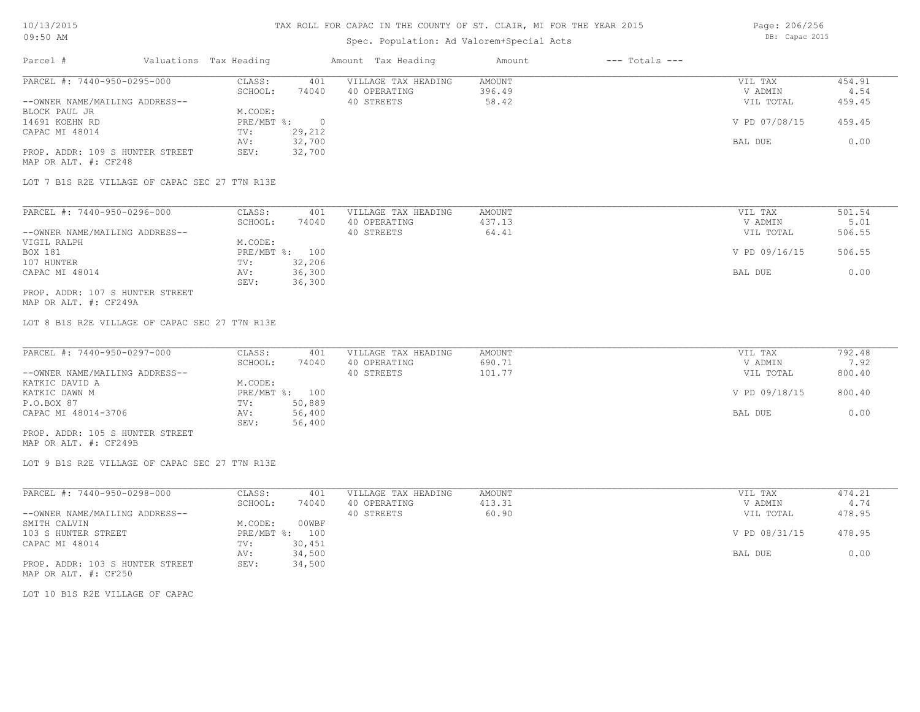## Spec. Population: Ad Valorem+Special Acts

Page: 206/256 DB: Capac 2015

| Parcel #                        | Valuations Tax Heading |        | Amount Tax Heading  | Amount | $---$ Totals $---$ |               |        |
|---------------------------------|------------------------|--------|---------------------|--------|--------------------|---------------|--------|
| PARCEL #: 7440-950-0295-000     | CLASS:                 | 401    | VILLAGE TAX HEADING | AMOUNT |                    | VIL TAX       | 454.91 |
|                                 | SCHOOL:                | 74040  | 40 OPERATING        | 396.49 |                    | V ADMIN       | 4.54   |
| --OWNER NAME/MAILING ADDRESS--  |                        |        | 40 STREETS          | 58.42  |                    | VIL TOTAL     | 459.45 |
| BLOCK PAUL JR                   | M.CODE:                |        |                     |        |                    |               |        |
| 14691 KOEHN RD                  | $PRE/MBT$ %:           |        |                     |        |                    | V PD 07/08/15 | 459.45 |
| CAPAC MI 48014                  | TV:                    | 29,212 |                     |        |                    |               |        |
|                                 | AV:                    | 32,700 |                     |        |                    | BAL DUE       | 0.00   |
| PROP. ADDR: 109 S HUNTER STREET | SEV:                   | 32,700 |                     |        |                    |               |        |
| MAP OR ALT. #: CF248            |                        |        |                     |        |                    |               |        |

LOT 7 B1S R2E VILLAGE OF CAPAC SEC 27 T7N R13E

| PARCEL #: 7440-950-0296-000     | CLASS:  | 401            | VILLAGE TAX HEADING | AMOUNT | VIL TAX       | 501.54 |
|---------------------------------|---------|----------------|---------------------|--------|---------------|--------|
|                                 | SCHOOL: | 74040          | 40 OPERATING        | 437.13 | V ADMIN       | 5.01   |
| --OWNER NAME/MAILING ADDRESS--  |         |                | 40 STREETS          | 64.41  | VIL TOTAL     | 506.55 |
| VIGIL RALPH                     | M.CODE: |                |                     |        |               |        |
| BOX 181                         |         | PRE/MBT %: 100 |                     |        | V PD 09/16/15 | 506.55 |
| 107 HUNTER                      | TV:     | 32,206         |                     |        |               |        |
| CAPAC MI 48014                  | AV:     | 36,300         |                     |        | BAL DUE       | 0.00   |
|                                 | SEV:    | 36,300         |                     |        |               |        |
| PROP. ADDR: 107 S HUNTER STREET |         |                |                     |        |               |        |

MAP OR ALT. #: CF249A

LOT 8 B1S R2E VILLAGE OF CAPAC SEC 27 T7N R13E

| PARCEL #: 7440-950-0297-000     | CLASS:  | 401            | VILLAGE TAX HEADING | AMOUNT | VIL TAX       | 792.48 |
|---------------------------------|---------|----------------|---------------------|--------|---------------|--------|
|                                 | SCHOOL: | 74040          | 40 OPERATING        | 690.71 | V ADMIN       | 7.92   |
| --OWNER NAME/MAILING ADDRESS--  |         |                | 40 STREETS          | 101.77 | VIL TOTAL     | 800.40 |
| KATKIC DAVID A                  | M.CODE: |                |                     |        |               |        |
| KATKIC DAWN M                   |         | PRE/MBT %: 100 |                     |        | V PD 09/18/15 | 800.40 |
| P.O.BOX 87                      | TV:     | 50,889         |                     |        |               |        |
| CAPAC MI 48014-3706             | AV:     | 56,400         |                     |        | BAL DUE       | 0.00   |
|                                 | SEV:    | 56,400         |                     |        |               |        |
| PROP. ADDR: 105 S HUNTER STREET |         |                |                     |        |               |        |

MAP OR ALT. #: CF249B

LOT 9 B1S R2E VILLAGE OF CAPAC SEC 27 T7N R13E

| PARCEL #: 7440-950-0298-000     | CLASS:       | 401    | VILLAGE TAX HEADING | AMOUNT | VIL TAX       | 474.21 |
|---------------------------------|--------------|--------|---------------------|--------|---------------|--------|
|                                 | SCHOOL:      | 74040  | 40 OPERATING        | 413.31 | V ADMIN       | 4.74   |
| --OWNER NAME/MAILING ADDRESS--  |              |        | 40 STREETS          | 60.90  | VIL TOTAL     | 478.95 |
| SMITH CALVIN                    | M.CODE:      | 00WBF  |                     |        |               |        |
| 103 S HUNTER STREET             | $PRE/MBT$ %: | 100    |                     |        | V PD 08/31/15 | 478.95 |
| CAPAC MI 48014                  | TV:          | 30,451 |                     |        |               |        |
|                                 | AV:          | 34,500 |                     |        | BAL DUE       | 0.00   |
| PROP. ADDR: 103 S HUNTER STREET | SEV:         | 34,500 |                     |        |               |        |
| MAP OR ALT. #: CF250            |              |        |                     |        |               |        |

LOT 10 B1S R2E VILLAGE OF CAPAC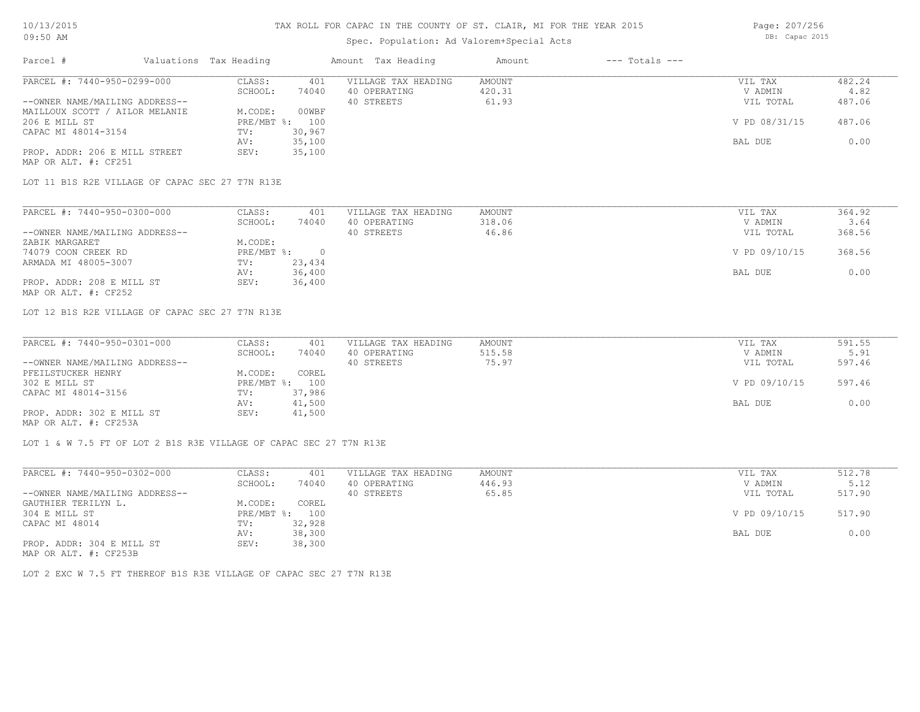## Spec. Population: Ad Valorem+Special Acts

Page: 207/256 DB: Capac 2015

| Parcel #                       | Valuations Tax Heading |                | Amount Tax Heading  | Amount | $---$ Totals $---$ |               |        |
|--------------------------------|------------------------|----------------|---------------------|--------|--------------------|---------------|--------|
| PARCEL #: 7440-950-0299-000    | CLASS:                 | 401            | VILLAGE TAX HEADING | AMOUNT |                    | VIL TAX       | 482.24 |
|                                | SCHOOL:                | 74040          | 40 OPERATING        | 420.31 |                    | V ADMIN       | 4.82   |
| --OWNER NAME/MAILING ADDRESS-- |                        |                | 40 STREETS          | 61.93  |                    | VIL TOTAL     | 487.06 |
| MAILLOUX SCOTT / AILOR MELANIE | M.CODE:                | 00WBF          |                     |        |                    |               |        |
| 206 E MILL ST                  |                        | PRE/MBT %: 100 |                     |        |                    | V PD 08/31/15 | 487.06 |
| CAPAC MI 48014-3154            | TV:                    | 30,967         |                     |        |                    |               |        |
|                                | AV:                    | 35,100         |                     |        |                    | BAL DUE       | 0.00   |
| PROP. ADDR: 206 E MILL STREET  | SEV:                   | 35,100         |                     |        |                    |               |        |
| MAP OR ALT. #: CF251           |                        |                |                     |        |                    |               |        |

LOT 11 B1S R2E VILLAGE OF CAPAC SEC 27 T7N R13E

| PARCEL #: 7440-950-0300-000    | CLASS:     | 401    | VILLAGE TAX HEADING | AMOUNT | VIL TAX       | 364.92 |
|--------------------------------|------------|--------|---------------------|--------|---------------|--------|
|                                | SCHOOL:    | 74040  | 40 OPERATING        | 318.06 | V ADMIN       | 3.64   |
| --OWNER NAME/MAILING ADDRESS-- |            |        | 40 STREETS          | 46.86  | VIL TOTAL     | 368.56 |
| ZABIK MARGARET                 | M.CODE:    |        |                     |        |               |        |
| 74079 COON CREEK RD            | PRE/MBT %: |        |                     |        | V PD 09/10/15 | 368.56 |
| ARMADA MI 48005-3007           | TV:        | 23,434 |                     |        |               |        |
|                                | AV:        | 36,400 |                     |        | BAL DUE       | 0.00   |
| PROP. ADDR: 208 E MILL ST      | SEV:       | 36,400 |                     |        |               |        |
| MAP OR ALT. #: CF252           |            |        |                     |        |               |        |

LOT 12 B1S R2E VILLAGE OF CAPAC SEC 27 T7N R13E

| PARCEL #: 7440-950-0301-000    | CLASS:  | 401            | VILLAGE TAX HEADING | AMOUNT | VIL TAX       | 591.55 |
|--------------------------------|---------|----------------|---------------------|--------|---------------|--------|
|                                | SCHOOL: | 74040          | 40 OPERATING        | 515.58 | V ADMIN       | 5.91   |
| --OWNER NAME/MAILING ADDRESS-- |         |                | 40 STREETS          | 75.97  | VIL TOTAL     | 597.46 |
| PFEILSTUCKER HENRY             | M.CODE: | COREL          |                     |        |               |        |
| 302 E MILL ST                  |         | PRE/MBT %: 100 |                     |        | V PD 09/10/15 | 597.46 |
| CAPAC MI 48014-3156            | TV:     | 37,986         |                     |        |               |        |
|                                | AV:     | 41,500         |                     |        | BAL DUE       | 0.00   |
| PROP. ADDR: 302 E MILL ST      | SEV:    | 41,500         |                     |        |               |        |
| MAP OR ALT. #: CF253A          |         |                |                     |        |               |        |

LOT 1 & W 7.5 FT OF LOT 2 B1S R3E VILLAGE OF CAPAC SEC 27 T7N R13E

| PARCEL #: 7440-950-0302-000                                                                                          | CLASS:       | 401    | VILLAGE TAX HEADING | AMOUNT | VIL TAX       | 512.78 |
|----------------------------------------------------------------------------------------------------------------------|--------------|--------|---------------------|--------|---------------|--------|
|                                                                                                                      | SCHOOL:      | 74040  | 40 OPERATING        | 446.93 | V ADMIN       | 5.12   |
| --OWNER NAME/MAILING ADDRESS--                                                                                       |              |        | 40 STREETS          | 65.85  | VIL TOTAL     | 517.90 |
| GAUTHIER TERILYN L.                                                                                                  | M.CODE:      | COREL  |                     |        |               |        |
| 304 E MILL ST                                                                                                        | $PRE/MBT$ %: | 100    |                     |        | V PD 09/10/15 | 517.90 |
| CAPAC MI 48014                                                                                                       | TV:          | 32,928 |                     |        |               |        |
|                                                                                                                      | AV:          | 38,300 |                     |        | BAL DUE       | 0.00   |
| PROP. ADDR: 304 E MILL ST<br>$\overline{1000}$ $\overline{200}$ $\overline{250}$ $\overline{2100}$ $\overline{2100}$ | SEV:         | 38,300 |                     |        |               |        |

MAP OR ALT. #: CF253B

LOT 2 EXC W 7.5 FT THEREOF B1S R3E VILLAGE OF CAPAC SEC 27 T7N R13E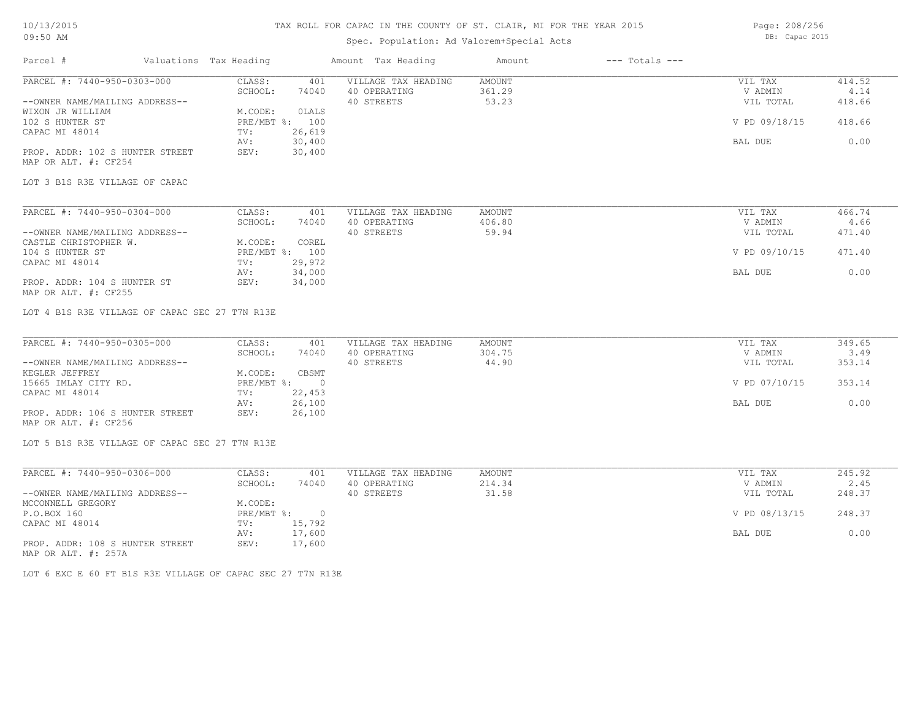# Spec. Population: Ad Valorem+Special Acts

Page: 208/256 DB: Capac 2015

| Parcel #                                       | Valuations Tax Heading       | Amount Tax Heading         | Amount<br>$---$ Totals $---$ |                |        |
|------------------------------------------------|------------------------------|----------------------------|------------------------------|----------------|--------|
| PARCEL #: 7440-950-0303-000                    | CLASS:<br>401                | VILLAGE TAX HEADING        | <b>AMOUNT</b>                | VIL TAX        | 414.52 |
|                                                | SCHOOL:<br>74040             | 40 OPERATING               | 361.29                       | V ADMIN        | 4.14   |
| --OWNER NAME/MAILING ADDRESS--                 |                              | 40 STREETS                 | 53.23                        | VIL TOTAL      | 418.66 |
| WIXON JR WILLIAM                               | M.CODE:<br><b>OLALS</b>      |                            |                              |                |        |
| 102 S HUNTER ST                                | PRE/MBT %: 100               |                            |                              | V PD 09/18/15  | 418.66 |
| CAPAC MI 48014                                 | 26,619<br>TV:                |                            |                              |                |        |
|                                                | 30,400<br>AV:                |                            |                              | BAL DUE        | 0.00   |
| PROP. ADDR: 102 S HUNTER STREET                | 30,400<br>SEV:               |                            |                              |                |        |
| MAP OR ALT. #: CF254                           |                              |                            |                              |                |        |
|                                                |                              |                            |                              |                |        |
| LOT 3 B1S R3E VILLAGE OF CAPAC                 |                              |                            |                              |                |        |
|                                                |                              |                            |                              |                |        |
| PARCEL #: 7440-950-0304-000                    | CLASS:<br>401                | VILLAGE TAX HEADING        | <b>AMOUNT</b>                | VIL TAX        | 466.74 |
|                                                | SCHOOL:<br>74040             | 40 OPERATING               | 406.80                       | V ADMIN        | 4.66   |
| --OWNER NAME/MAILING ADDRESS--                 |                              | 40 STREETS                 | 59.94                        | VIL TOTAL      | 471.40 |
| CASTLE CHRISTOPHER W.                          | M.CODE:<br>COREL             |                            |                              |                |        |
| 104 S HUNTER ST                                | PRE/MBT %: 100               |                            |                              | V PD 09/10/15  | 471.40 |
| CAPAC MI 48014                                 | 29,972<br>TV:                |                            |                              |                |        |
|                                                | 34,000<br>AV:                |                            |                              | <b>BAL DUE</b> | 0.00   |
| PROP. ADDR: 104 S HUNTER ST                    | 34,000<br>SEV:               |                            |                              |                |        |
| MAP OR ALT. #: CF255                           |                              |                            |                              |                |        |
|                                                |                              |                            |                              |                |        |
| LOT 4 B1S R3E VILLAGE OF CAPAC SEC 27 T7N R13E |                              |                            |                              |                |        |
|                                                |                              |                            |                              |                |        |
| PARCEL #: 7440-950-0305-000                    | CLASS:<br>401                | VILLAGE TAX HEADING        | <b>AMOUNT</b>                | VIL TAX        | 349.65 |
|                                                | SCHOOL:<br>74040             | 40 OPERATING               | 304.75                       | V ADMIN        | 3.49   |
| --OWNER NAME/MAILING ADDRESS--                 |                              | 40 STREETS                 | 44.90                        | VIL TOTAL      | 353.14 |
| KEGLER JEFFREY                                 | CBSMT<br>M.CODE:             |                            |                              |                |        |
| 15665 IMLAY CITY RD.                           | PRE/MBT %:<br>$\overline{0}$ |                            |                              | V PD 07/10/15  | 353.14 |
| CAPAC MI 48014                                 | 22,453<br>TV:                |                            |                              |                |        |
|                                                | 26,100                       |                            |                              | BAL DUE        | 0.00   |
|                                                | AV:                          |                            |                              |                |        |
| PROP. ADDR: 106 S HUNTER STREET                | 26,100<br>SEV:               |                            |                              |                |        |
| MAP OR ALT. #: CF256                           |                              |                            |                              |                |        |
| LOT 5 B1S R3E VILLAGE OF CAPAC SEC 27 T7N R13E |                              |                            |                              |                |        |
| PARCEL #: 7440-950-0306-000                    | CLASS:<br>401                | VILLAGE TAX HEADING        |                              |                | 245.92 |
|                                                |                              |                            | AMOUNT                       | VIL TAX        |        |
|                                                | SCHOOL:<br>74040             | 40 OPERATING<br>40 STREETS | 214.34                       | V ADMIN        | 2.45   |
| --OWNER NAME/MAILING ADDRESS--                 |                              |                            | 31.58                        | VIL TOTAL      | 248.37 |

| --OWNER NAME/MAILING ADDRESS--  |              |           | 40 STREETS | 31.58 | VIL TOTAL     | 248.37 |
|---------------------------------|--------------|-----------|------------|-------|---------------|--------|
| MCCONNELL GREGORY               | M.CODE:      |           |            |       |               |        |
| P.O.BOX 160                     | $PRE/MBT$ %: | $\bigcap$ |            |       | V PD 08/13/15 | 248.37 |
| CAPAC MI 48014                  | TV:          | 15,792    |            |       |               |        |
|                                 | AV:          | 17,600    |            |       | BAL DUE       | 0.00   |
| PROP. ADDR: 108 S HUNTER STREET | SEV:         | 17,600    |            |       |               |        |
| MAP OR ALT. #: 257A             |              |           |            |       |               |        |

LOT 6 EXC E 60 FT B1S R3E VILLAGE OF CAPAC SEC 27 T7N R13E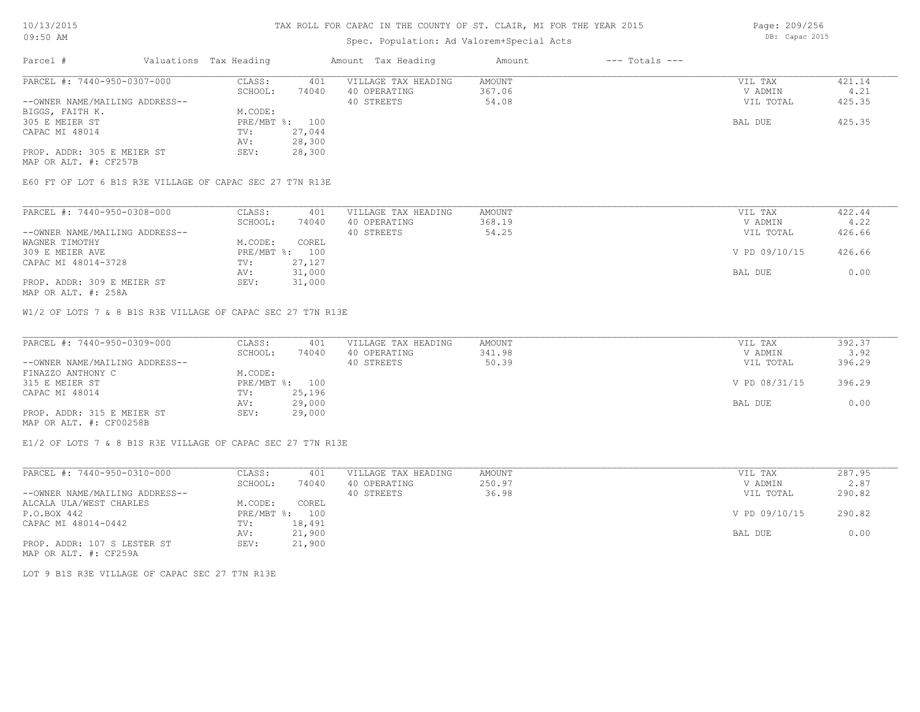### Spec. Population: Ad Valorem+Special Acts

Parcel # Valuations Tax Heading Amount Tax Heading Amount --- Totals ---PROP. ADDR: 305 E MEIER ST SEV: 28,300 AV: 28,300 CAPAC MI 48014 TV: 27,044 305 E MEIER ST PRE/MBT %: 100 BAL DUE 425.35 BIGGS, FAITH K.<br>
305 E MEIER ST<br>
305 E MEIER ST<br>
A MODEL PRE/MBT %: 100 --OWNER NAME/MAILING ADDRESS-- 40 STREETS 54.08 VIL TOTAL 425.35 SCHOOL: 74040 40 OPERATING 367.06 367.06 V ADMIN 4.21 PARCEL #: 7440-950-0307-000 CLASS: 401 VILLAGE TAX HEADING AMOUNT VIL TAX VIL TAX 421.14<br>SCHOOL: 74040 40 OPERATING 367.06 VADMIN 4.21  $\mathcal{L}_\mathcal{L} = \mathcal{L}_\mathcal{L} = \mathcal{L}_\mathcal{L} = \mathcal{L}_\mathcal{L} = \mathcal{L}_\mathcal{L} = \mathcal{L}_\mathcal{L} = \mathcal{L}_\mathcal{L} = \mathcal{L}_\mathcal{L} = \mathcal{L}_\mathcal{L} = \mathcal{L}_\mathcal{L} = \mathcal{L}_\mathcal{L} = \mathcal{L}_\mathcal{L} = \mathcal{L}_\mathcal{L} = \mathcal{L}_\mathcal{L} = \mathcal{L}_\mathcal{L} = \mathcal{L}_\mathcal{L} = \mathcal{L}_\mathcal{L}$ 

MAP OR ALT. #: CF257B

E60 FT OF LOT 6 B1S R3E VILLAGE OF CAPAC SEC 27 T7N R13E

| PARCEL #: 7440-950-0308-000    | CLASS:  | 401            | VILLAGE TAX HEADING | AMOUNT | VIL TAX       | 422.44 |
|--------------------------------|---------|----------------|---------------------|--------|---------------|--------|
|                                | SCHOOL: | 74040          | 40 OPERATING        | 368.19 | V ADMIN       | 4.22   |
| --OWNER NAME/MAILING ADDRESS-- |         |                | 40 STREETS          | 54.25  | VIL TOTAL     | 426.66 |
| WAGNER TIMOTHY                 | M.CODE: | COREL          |                     |        |               |        |
| 309 E MEIER AVE                |         | PRE/MBT %: 100 |                     |        | V PD 09/10/15 | 426.66 |
| CAPAC MI 48014-3728            | TV:     | 27,127         |                     |        |               |        |
|                                | AV:     | 31,000         |                     |        | BAL DUE       | 0.00   |
| PROP. ADDR: 309 E MEIER ST     | SEV:    | 31,000         |                     |        |               |        |
|                                |         |                |                     |        |               |        |

MAP OR ALT. #: 258A

W1/2 OF LOTS 7 & 8 B1S R3E VILLAGE OF CAPAC SEC 27 T7N R13E

| PARCEL #: 7440-950-0309-000    | CLASS:  | 401            | VILLAGE TAX HEADING | AMOUNT | VIL TAX       | 392.37 |
|--------------------------------|---------|----------------|---------------------|--------|---------------|--------|
|                                | SCHOOL: | 74040          | 40 OPERATING        | 341.98 | V ADMIN       | 3.92   |
| --OWNER NAME/MAILING ADDRESS-- |         |                | 40 STREETS          | 50.39  | VIL TOTAL     | 396.29 |
| FINAZZO ANTHONY C              | M.CODE: |                |                     |        |               |        |
| 315 E MEIER ST                 |         | PRE/MBT %: 100 |                     |        | V PD 08/31/15 | 396.29 |
| CAPAC MI 48014                 | TV:     | 25,196         |                     |        |               |        |
|                                | AV:     | 29,000         |                     |        | BAL DUE       | 0.00   |
| PROP. ADDR: 315 E MEIER ST     | SEV:    | 29,000         |                     |        |               |        |
| MAP OR ALT. #: CF00258B        |         |                |                     |        |               |        |

E1/2 OF LOTS 7 & 8 B1S R3E VILLAGE OF CAPAC SEC 27 T7N R13E

| PARCEL #: 7440-950-0310-000    | CLASS:       | 401    | VILLAGE TAX HEADING | AMOUNT | VIL TAX       | 287.95 |
|--------------------------------|--------------|--------|---------------------|--------|---------------|--------|
|                                | SCHOOL:      | 74040  | 40 OPERATING        | 250.97 | V ADMIN       | 2.87   |
| --OWNER NAME/MAILING ADDRESS-- |              |        | 40 STREETS          | 36.98  | VIL TOTAL     | 290.82 |
| ALCALA ULA/WEST CHARLES        | M.CODE:      | COREL  |                     |        |               |        |
| P.O.BOX 442                    | $PRE/MBT$ %: | 100    |                     |        | V PD 09/10/15 | 290.82 |
| CAPAC MI 48014-0442            | TV:          | 18,491 |                     |        |               |        |
|                                | AV:          | 21,900 |                     |        | BAL DUE       | 0.00   |
| PROP. ADDR: 107 S LESTER ST    | SEV:         | 21,900 |                     |        |               |        |

MAP OR ALT. #: CF259A

LOT 9 B1S R3E VILLAGE OF CAPAC SEC 27 T7N R13E

Page: 209/256 DB: Capac 2015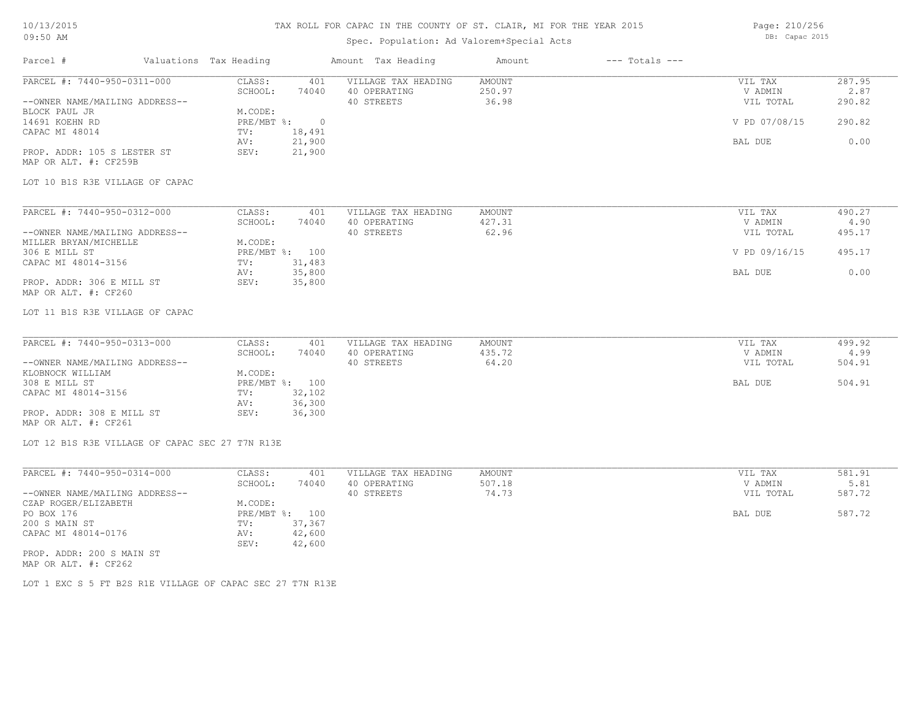## 10/13/2015 09:50 AM

# TAX ROLL FOR CAPAC IN THE COUNTY OF ST. CLAIR, MI FOR THE YEAR 2015

# Spec. Population: Ad Valorem+Special Acts

Page: 210/256 DB: Capac 2015

| Parcel #                                          | Valuations Tax Heading                        | Amount Tax Heading                  | Amount                  | $---$ Totals $---$ |                    |                |
|---------------------------------------------------|-----------------------------------------------|-------------------------------------|-------------------------|--------------------|--------------------|----------------|
| PARCEL #: 7440-950-0311-000                       | CLASS:<br>401<br>SCHOOL:<br>74040             | VILLAGE TAX HEADING<br>40 OPERATING | <b>AMOUNT</b><br>250.97 |                    | VIL TAX<br>V ADMIN | 287.95<br>2.87 |
| --OWNER NAME/MAILING ADDRESS--<br>BLOCK PAUL JR   | M.CODE:                                       | 40 STREETS                          | 36.98                   |                    | VIL TOTAL          | 290.82         |
| 14691 KOEHN RD<br>CAPAC MI 48014                  | PRE/MBT %:<br>$\overline{0}$<br>18,491<br>TV: |                                     |                         |                    | V PD 07/08/15      | 290.82         |
| PROP. ADDR: 105 S LESTER ST                       | 21,900<br>AV:<br>SEV:<br>21,900               |                                     |                         |                    | BAL DUE            | 0.00           |
| MAP OR ALT. #: CF259B                             |                                               |                                     |                         |                    |                    |                |
| LOT 10 B1S R3E VILLAGE OF CAPAC                   |                                               |                                     |                         |                    |                    |                |
| PARCEL #: 7440-950-0312-000                       | CLASS:<br>401                                 | VILLAGE TAX HEADING                 | <b>AMOUNT</b>           |                    | VIL TAX            | 490.27         |
|                                                   | SCHOOL:<br>74040                              | 40 OPERATING                        | 427.31                  |                    | V ADMIN            | 4.90           |
| --OWNER NAME/MAILING ADDRESS--                    |                                               | 40 STREETS                          | 62.96                   |                    | VIL TOTAL          | 495.17         |
| MILLER BRYAN/MICHELLE                             | M.CODE:                                       |                                     |                         |                    |                    |                |
| 306 E MILL ST                                     | PRE/MBT %: 100                                |                                     |                         |                    | V PD 09/16/15      | 495.17         |
| CAPAC MI 48014-3156                               | TV:<br>31,483                                 |                                     |                         |                    |                    |                |
| PROP. ADDR: 306 E MILL ST                         | 35,800<br>AV:<br>35,800<br>SEV:               |                                     |                         |                    | BAL DUE            | 0.00           |
| MAP OR ALT. #: CF260                              |                                               |                                     |                         |                    |                    |                |
| LOT 11 B1S R3E VILLAGE OF CAPAC                   |                                               |                                     |                         |                    |                    |                |
| PARCEL #: 7440-950-0313-000                       | CLASS:<br>401                                 | VILLAGE TAX HEADING                 | AMOUNT                  |                    | VIL TAX            | 499.92         |
|                                                   | SCHOOL:<br>74040                              | 40 OPERATING                        | 435.72                  |                    | V ADMIN            | 4.99           |
| --OWNER NAME/MAILING ADDRESS--                    |                                               | 40 STREETS                          | 64.20                   |                    | VIL TOTAL          | 504.91         |
| KLOBNOCK WILLIAM                                  | M.CODE:                                       |                                     |                         |                    |                    |                |
| 308 E MILL ST                                     | PRE/MBT %: 100                                |                                     |                         |                    | BAL DUE            | 504.91         |
| CAPAC MI 48014-3156                               | 32,102<br>TV:                                 |                                     |                         |                    |                    |                |
|                                                   | 36,300<br>AV:                                 |                                     |                         |                    |                    |                |
| PROP. ADDR: 308 E MILL ST<br>MAP OR ALT. #: CF261 | SEV:<br>36,300                                |                                     |                         |                    |                    |                |
| LOT 12 B1S R3E VILLAGE OF CAPAC SEC 27 T7N R13E   |                                               |                                     |                         |                    |                    |                |
|                                                   |                                               |                                     |                         |                    |                    |                |
| PARCEL #: 7440-950-0314-000                       | CLASS:<br>401                                 | VILLAGE TAX HEADING                 | <b>AMOUNT</b>           |                    | VIL TAX            | 581.91         |
|                                                   | SCHOOL:<br>74040                              | 40 OPERATING                        | 507.18                  |                    | V ADMIN            | 5.81           |
| --OWNER NAME/MAILING ADDRESS--                    |                                               | 40 STREETS                          | 74.73                   |                    | VIL TOTAL          | 587.72         |
| CZAP ROGER/ELIZABETH                              | M.CODE:                                       |                                     |                         |                    |                    |                |
| PO BOX 176                                        | PRE/MBT %: 100                                |                                     |                         |                    | BAL DUE            | 587.72         |
| 200 S MAIN ST                                     | 37,367<br>TV:                                 |                                     |                         |                    |                    |                |
| CAPAC MI 48014-0176                               | 42,600<br>AV:<br>42,600<br>SEV:               |                                     |                         |                    |                    |                |
| PROP. ADDR: 200 S MAIN ST                         |                                               |                                     |                         |                    |                    |                |
| MAP OR ALT. #: CF262                              |                                               |                                     |                         |                    |                    |                |

LOT 1 EXC S 5 FT B2S R1E VILLAGE OF CAPAC SEC 27 T7N R13E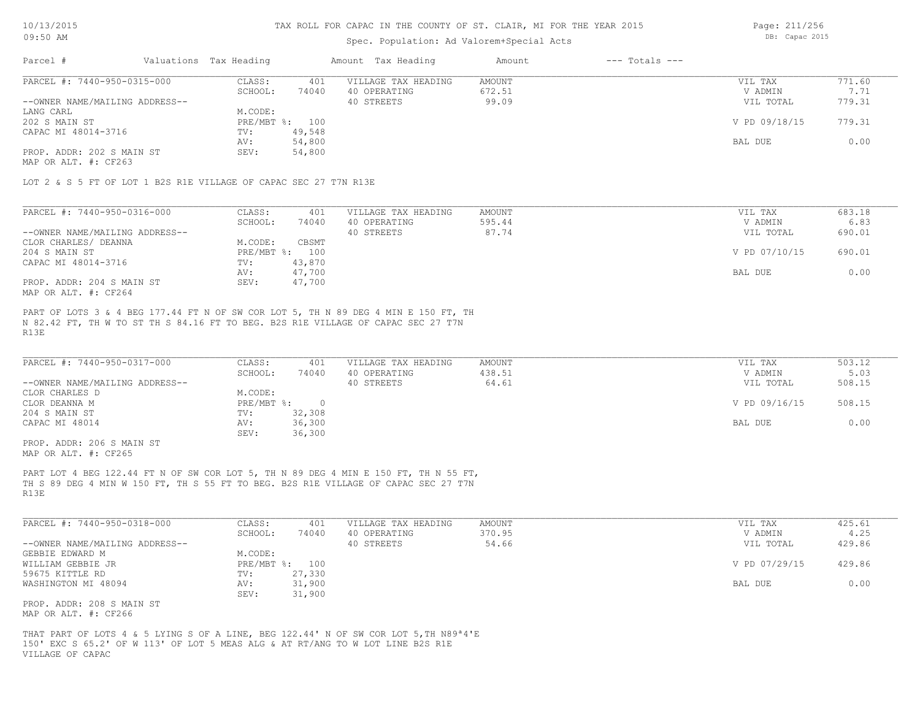### Spec. Population: Ad Valorem+Special Acts

Page: 211/256 DB: Capac 2015

| Parcel #                       | Valuations Tax Heading |        | Amount Tax Heading  | Amount | $---$ Totals $---$ |               |        |
|--------------------------------|------------------------|--------|---------------------|--------|--------------------|---------------|--------|
| PARCEL #: 7440-950-0315-000    | CLASS:                 | 401    | VILLAGE TAX HEADING | AMOUNT |                    | VIL TAX       | 771.60 |
|                                | SCHOOL:                | 74040  | 40 OPERATING        | 672.51 |                    | V ADMIN       | 7.71   |
| --OWNER NAME/MAILING ADDRESS-- |                        |        | 40 STREETS          | 99.09  |                    | VIL TOTAL     | 779.31 |
| LANG CARL                      | M.CODE:                |        |                     |        |                    |               |        |
| 202 S MAIN ST                  | PRE/MBT %: 100         |        |                     |        |                    | V PD 09/18/15 | 779.31 |
| CAPAC MI 48014-3716            | TV:                    | 49,548 |                     |        |                    |               |        |
|                                | AV:                    | 54,800 |                     |        |                    | BAL DUE       | 0.00   |
| PROP. ADDR: 202 S MAIN ST      | SEV:                   | 54,800 |                     |        |                    |               |        |
|                                |                        |        |                     |        |                    |               |        |

MAP OR ALT. #: CF263

LOT 2 & S 5 FT OF LOT 1 B2S R1E VILLAGE OF CAPAC SEC 27 T7N R13E

| PARCEL #: 7440-950-0316-000    | CLASS:     | 401    | VILLAGE TAX HEADING | AMOUNT | VIL TAX       | 683.18 |
|--------------------------------|------------|--------|---------------------|--------|---------------|--------|
|                                | SCHOOL:    | 74040  | 40 OPERATING        | 595.44 | V ADMIN       | 6.83   |
| --OWNER NAME/MAILING ADDRESS-- |            |        | 40 STREETS          | 87.74  | VIL TOTAL     | 690.01 |
| CLOR CHARLES/ DEANNA           | M.CODE:    | CBSMT  |                     |        |               |        |
| 204 S MAIN ST                  | PRE/MBT %: | 100    |                     |        | V PD 07/10/15 | 690.01 |
| CAPAC MI 48014-3716            | TV:        | 43,870 |                     |        |               |        |
|                                | AV:        | 47,700 |                     |        | BAL DUE       | 0.00   |
| PROP. ADDR: 204 S MAIN ST      | SEV:       | 47,700 |                     |        |               |        |
| MAP OR ALT. #: CF264           |            |        |                     |        |               |        |

R13E N 82.42 FT, TH W TO ST TH S 84.16 FT TO BEG. B2S R1E VILLAGE OF CAPAC SEC 27 T7N PART OF LOTS 3 & 4 BEG 177.44 FT N OF SW COR LOT 5, TH N 89 DEG 4 MIN E 150 FT, TH

| PARCEL #: 7440-950-0317-000    | CLASS:       | 401    | VILLAGE TAX HEADING | AMOUNT | VIL TAX       | 503.12 |
|--------------------------------|--------------|--------|---------------------|--------|---------------|--------|
|                                | SCHOOL:      | 74040  | 40 OPERATING        | 438.51 | V ADMIN       | 5.03   |
| --OWNER NAME/MAILING ADDRESS-- |              |        | 40 STREETS          | 64.61  | VIL TOTAL     | 508.15 |
| CLOR CHARLES D                 | M.CODE:      |        |                     |        |               |        |
| CLOR DEANNA M                  | $PRE/MBT$ %: |        |                     |        | V PD 09/16/15 | 508.15 |
| 204 S MAIN ST                  | TV:          | 32,308 |                     |        |               |        |
| CAPAC MI 48014                 | AV:          | 36,300 |                     |        | BAL DUE       | 0.00   |
|                                | SEV:         | 36,300 |                     |        |               |        |

MAP OR ALT. #: CF265 PROP. ADDR: 206 S MAIN ST

R13E TH S 89 DEG 4 MIN W 150 FT, TH S 55 FT TO BEG. B2S R1E VILLAGE OF CAPAC SEC 27 T7N PART LOT 4 BEG 122.44 FT N OF SW COR LOT 5, TH N 89 DEG 4 MIN E 150 FT, TH N 55 FT,

| PARCEL #: 7440-950-0318-000    | CLASS:     | 401    | VILLAGE TAX HEADING | AMOUNT | VIL TAX       | 425.61 |
|--------------------------------|------------|--------|---------------------|--------|---------------|--------|
|                                | SCHOOL:    | 74040  | 40 OPERATING        | 370.95 | V ADMIN       | 4.25   |
| --OWNER NAME/MAILING ADDRESS-- |            |        | 40 STREETS          | 54.66  | VIL TOTAL     | 429.86 |
| GEBBIE EDWARD M                | M.CODE:    |        |                     |        |               |        |
| WILLIAM GEBBIE JR              | PRE/MBT %: | 100    |                     |        | V PD 07/29/15 | 429.86 |
| 59675 KITTLE RD                | TV:        | 27,330 |                     |        |               |        |
| WASHINGTON MI 48094            | AV:        | 31,900 |                     |        | BAL DUE       | 0.00   |
|                                | SEV:       | 31,900 |                     |        |               |        |
| PROP. ADDR: 208 S MAIN ST      |            |        |                     |        |               |        |

MAP OR ALT. #: CF266

VILLAGE OF CAPAC 150' EXC S 65.2' OF W 113' OF LOT 5 MEAS ALG & AT RT/ANG TO W LOT LINE B2S R1E THAT PART OF LOTS 4 & 5 LYING S OF A LINE, BEG 122.44' N OF SW COR LOT 5,TH N89ª4'E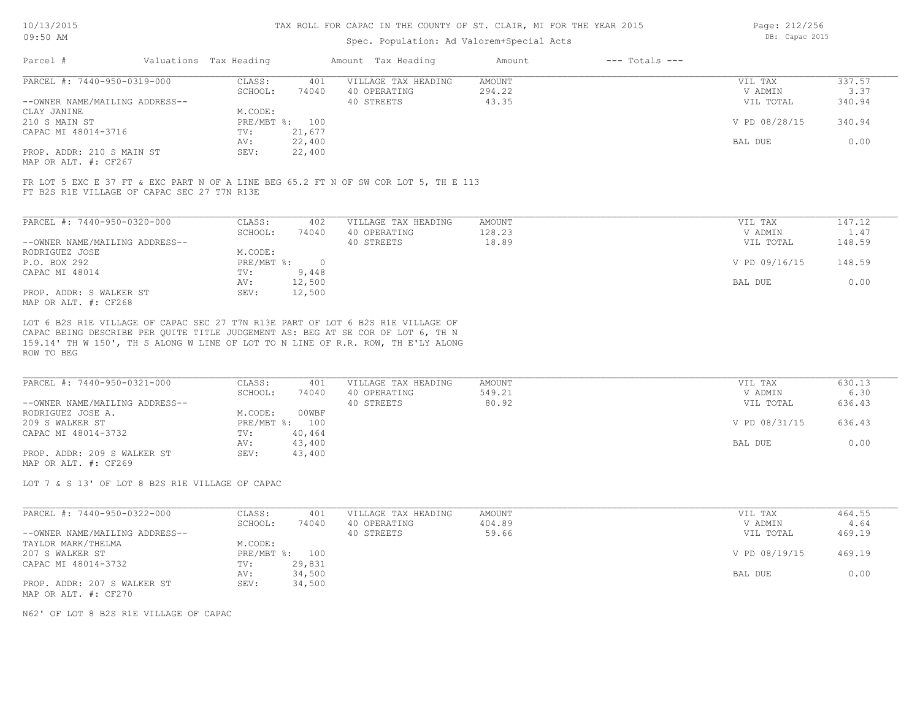### Spec. Population: Ad Valorem+Special Acts

Page: 212/256 DB: Capac 2015

| Parcel #                       | Valuations Tax Heading |        | Amount Tax Heading  | Amount | $---$ Totals $---$ |               |        |
|--------------------------------|------------------------|--------|---------------------|--------|--------------------|---------------|--------|
| PARCEL #: 7440-950-0319-000    | CLASS:                 | 401    | VILLAGE TAX HEADING | AMOUNT |                    | VIL TAX       | 337.57 |
|                                | SCHOOL:                | 74040  | 40 OPERATING        | 294.22 |                    | V ADMIN       | 3.37   |
| --OWNER NAME/MAILING ADDRESS-- |                        |        | 40 STREETS          | 43.35  |                    | VIL TOTAL     | 340.94 |
| CLAY JANINE                    | M.CODE:                |        |                     |        |                    |               |        |
| 210 S MAIN ST                  | PRE/MBT %: 100         |        |                     |        |                    | V PD 08/28/15 | 340.94 |
| CAPAC MI 48014-3716            | TV:                    | 21,677 |                     |        |                    |               |        |
|                                | AV:                    | 22,400 |                     |        |                    | BAL DUE       | 0.00   |
| PROP. ADDR: 210 S MAIN ST      | SEV:                   | 22,400 |                     |        |                    |               |        |
| $\cdots$                       |                        |        |                     |        |                    |               |        |

MAP OR ALT. #: CF267

FT B2S R1E VILLAGE OF CAPAC SEC 27 T7N R13E FR LOT 5 EXC E 37 FT & EXC PART N OF A LINE BEG 65.2 FT N OF SW COR LOT 5, TH E 113

| PARCEL #: 7440-950-0320-000    | CLASS:     | 402    | VILLAGE TAX HEADING | AMOUNT | VIL TAX       | 147.12 |
|--------------------------------|------------|--------|---------------------|--------|---------------|--------|
|                                | SCHOOL:    | 74040  | 40 OPERATING        | 128.23 | V ADMIN       | 1.47   |
| --OWNER NAME/MAILING ADDRESS-- |            |        | 40 STREETS          | 18.89  | VIL TOTAL     | 148.59 |
| RODRIGUEZ JOSE                 | M.CODE:    |        |                     |        |               |        |
| P.O. BOX 292                   | PRE/MBT %: |        |                     |        | V PD 09/16/15 | 148.59 |
| CAPAC MI 48014                 | TV:        | 9,448  |                     |        |               |        |
|                                | AV:        | 12,500 |                     |        | BAL DUE       | 0.00   |
| PROP. ADDR: S WALKER ST        | SEV:       | 12,500 |                     |        |               |        |
| MAP OR ALT. #: CF268           |            |        |                     |        |               |        |

ROW TO BEG 159.14' TH W 150', TH S ALONG W LINE OF LOT TO N LINE OF R.R. ROW, TH E'LY ALONG CAPAC BEING DESCRIBE PER QUITE TITLE JUDGEMENT AS: BEG AT SE COR OF LOT 6, TH N LOT 6 B2S R1E VILLAGE OF CAPAC SEC 27 T7N R13E PART OF LOT 6 B2S R1E VILLAGE OF

| PARCEL #: 7440-950-0321-000    | CLASS:  | 401            | VILLAGE TAX HEADING | AMOUNT | VIL TAX       | 630.13 |
|--------------------------------|---------|----------------|---------------------|--------|---------------|--------|
|                                | SCHOOL: | 74040          | 40 OPERATING        | 549.21 | V ADMIN       | 6.30   |
| --OWNER NAME/MAILING ADDRESS-- |         |                | 40 STREETS          | 80.92  | VIL TOTAL     | 636.43 |
| RODRIGUEZ JOSE A.              | M.CODE: | 00WBF          |                     |        |               |        |
| 209 S WALKER ST                |         | PRE/MBT %: 100 |                     |        | V PD 08/31/15 | 636.43 |
| CAPAC MI 48014-3732            | TV:     | 40,464         |                     |        |               |        |
|                                | AV:     | 43,400         |                     |        | BAL DUE       | 0.00   |
| PROP. ADDR: 209 S WALKER ST    | SEV:    | 43,400         |                     |        |               |        |
| MAP OR ALT. #: CF269           |         |                |                     |        |               |        |

LOT 7 & S 13' OF LOT 8 B2S R1E VILLAGE OF CAPAC

| PARCEL #: 7440-950-0322-000    | CLASS:  | 401            | VILLAGE TAX HEADING | AMOUNT | VIL TAX       | 464.55 |
|--------------------------------|---------|----------------|---------------------|--------|---------------|--------|
|                                | SCHOOL: | 74040          | 40 OPERATING        | 404.89 | V ADMIN       | 4.64   |
| --OWNER NAME/MAILING ADDRESS-- |         |                | 40 STREETS          | 59.66  | VIL TOTAL     | 469.19 |
| TAYLOR MARK/THELMA             | M.CODE: |                |                     |        |               |        |
| 207 S WALKER ST                |         | PRE/MBT %: 100 |                     |        | V PD 08/19/15 | 469.19 |
| CAPAC MI 48014-3732            | TV:     | 29,831         |                     |        |               |        |
|                                | AV:     | 34,500         |                     |        | BAL DUE       | 0.00   |
| PROP. ADDR: 207 S WALKER ST    | SEV:    | 34,500         |                     |        |               |        |
| MAP OR ALT. #: CF270           |         |                |                     |        |               |        |

N62' OF LOT 8 B2S R1E VILLAGE OF CAPAC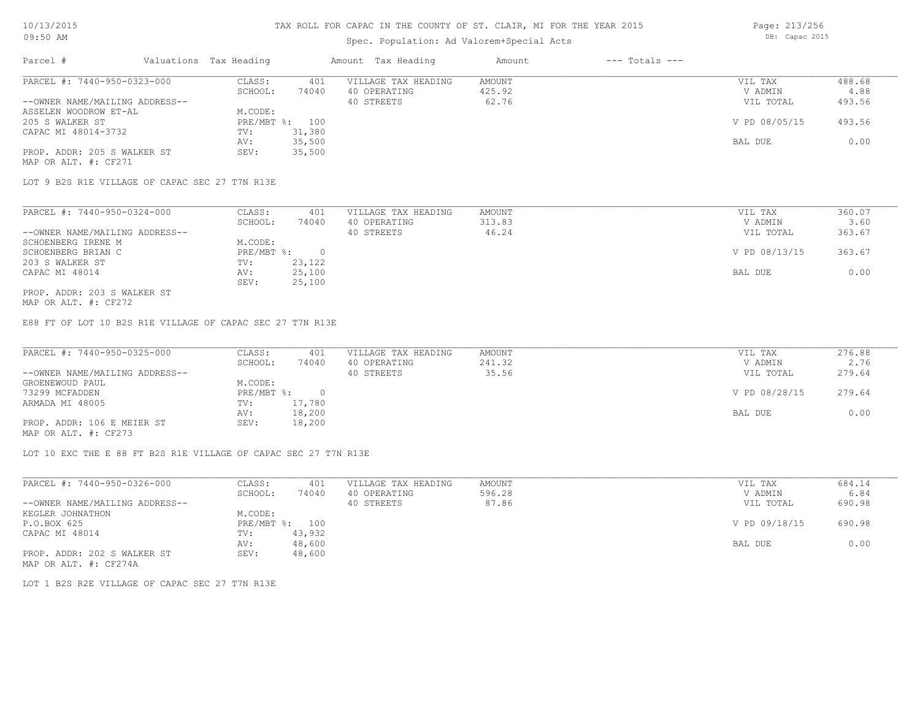## Spec. Population: Ad Valorem+Special Acts

Page: 213/256 DB: Capac 2015

| Parcel #                       | Valuations Tax Heading |        | Amount Tax Heading  | Amount | $---$ Totals $---$ |               |        |
|--------------------------------|------------------------|--------|---------------------|--------|--------------------|---------------|--------|
| PARCEL #: 7440-950-0323-000    | CLASS:                 | 401    | VILLAGE TAX HEADING | AMOUNT |                    | VIL TAX       | 488.68 |
|                                | SCHOOL:                | 74040  | 40 OPERATING        | 425.92 |                    | V ADMIN       | 4.88   |
| --OWNER NAME/MAILING ADDRESS-- |                        |        | 40 STREETS          | 62.76  |                    | VIL TOTAL     | 493.56 |
| ASSELEN WOODROW ET-AL          | M.CODE:                |        |                     |        |                    |               |        |
| 205 S WALKER ST                | PRE/MBT %: 100         |        |                     |        |                    | V PD 08/05/15 | 493.56 |
| CAPAC MI 48014-3732            | TV:                    | 31,380 |                     |        |                    |               |        |
|                                | AV:                    | 35,500 |                     |        |                    | BAL DUE       | 0.00   |
| PROP. ADDR: 205 S WALKER ST    | SEV:                   | 35,500 |                     |        |                    |               |        |
| MAP OR ALT. #: CF271           |                        |        |                     |        |                    |               |        |

LOT 9 B2S R1E VILLAGE OF CAPAC SEC 27 T7N R13E

PROP. ADDR: 203 S WALKER ST SEV: 25,100 CAPAC MI 48014 AV: 25,100 BAL DUE 0.00 203 S WALKER ST TV: 23,122 SCHOENBERG BRIAN C PRE/MBT %: 0 V PD 08/13/15 363.67 SCHOENBERG IRENE M M.CODE: --OWNER NAME/MAILING ADDRESS-- 40 STREETS 46.24 VIL TOTAL 363.67 SCHOOL: 74040 40 OPERATING 313.83 313.83 V ADMIN 3.60 PARCEL #: 7440-950-0324-000 CLASS: 401 VILLAGE TAX HEADING AMOUNT VIL TAX VIL TAX 360.07<br>360.07 SCHOOL: 74040 40 OPERATING 313.83 33.360 VADMIN 3.60  $\mathcal{L}_\mathcal{L} = \mathcal{L}_\mathcal{L} = \mathcal{L}_\mathcal{L} = \mathcal{L}_\mathcal{L} = \mathcal{L}_\mathcal{L} = \mathcal{L}_\mathcal{L} = \mathcal{L}_\mathcal{L} = \mathcal{L}_\mathcal{L} = \mathcal{L}_\mathcal{L} = \mathcal{L}_\mathcal{L} = \mathcal{L}_\mathcal{L} = \mathcal{L}_\mathcal{L} = \mathcal{L}_\mathcal{L} = \mathcal{L}_\mathcal{L} = \mathcal{L}_\mathcal{L} = \mathcal{L}_\mathcal{L} = \mathcal{L}_\mathcal{L}$ 

MAP OR ALT. #: CF272

E88 FT OF LOT 10 B2S R1E VILLAGE OF CAPAC SEC 27 T7N R13E

| PARCEL #: 7440-950-0325-000    | CLASS:     | 401    | VILLAGE TAX HEADING | AMOUNT | VIL TAX       | 276.88 |
|--------------------------------|------------|--------|---------------------|--------|---------------|--------|
|                                | SCHOOL:    | 74040  | 40 OPERATING        | 241.32 | V ADMIN       | 2.76   |
| --OWNER NAME/MAILING ADDRESS-- |            |        | 40 STREETS          | 35.56  | VIL TOTAL     | 279.64 |
| GROENEWOUD PAUL                | M.CODE:    |        |                     |        |               |        |
| 73299 MCFADDEN                 | PRE/MBT %: |        |                     |        | V PD 08/28/15 | 279.64 |
| ARMADA MI 48005                | TV:        | 17,780 |                     |        |               |        |
|                                | AV:        | 18,200 |                     |        | BAL DUE       | 0.00   |
| PROP. ADDR: 106 E MEIER ST     | SEV:       | 18,200 |                     |        |               |        |
| MAP OR ALT. #: CF273           |            |        |                     |        |               |        |

LOT 10 EXC THE E 88 FT B2S R1E VILLAGE OF CAPAC SEC 27 T7N R13E

| PARCEL #: 7440-950-0326-000    | CLASS:  | 401            | VILLAGE TAX HEADING | AMOUNT | VIL TAX       | 684.14 |
|--------------------------------|---------|----------------|---------------------|--------|---------------|--------|
|                                | SCHOOL: | 74040          | 40 OPERATING        | 596.28 | V ADMIN       | 6.84   |
| --OWNER NAME/MAILING ADDRESS-- |         |                | 40 STREETS          | 87.86  | VIL TOTAL     | 690.98 |
| KEGLER JOHNATHON               | M.CODE: |                |                     |        |               |        |
| P.O.BOX 625                    |         | PRE/MBT %: 100 |                     |        | V PD 09/18/15 | 690.98 |
| CAPAC MI 48014                 | TV:     | 43,932         |                     |        |               |        |
|                                | AV:     | 48,600         |                     |        | BAL DUE       | 0.00   |
| PROP. ADDR: 202 S WALKER ST    | SEV:    | 48,600         |                     |        |               |        |
| MAP OR ALT. #: CF274A          |         |                |                     |        |               |        |

LOT 1 B2S R2E VILLAGE OF CAPAC SEC 27 T7N R13E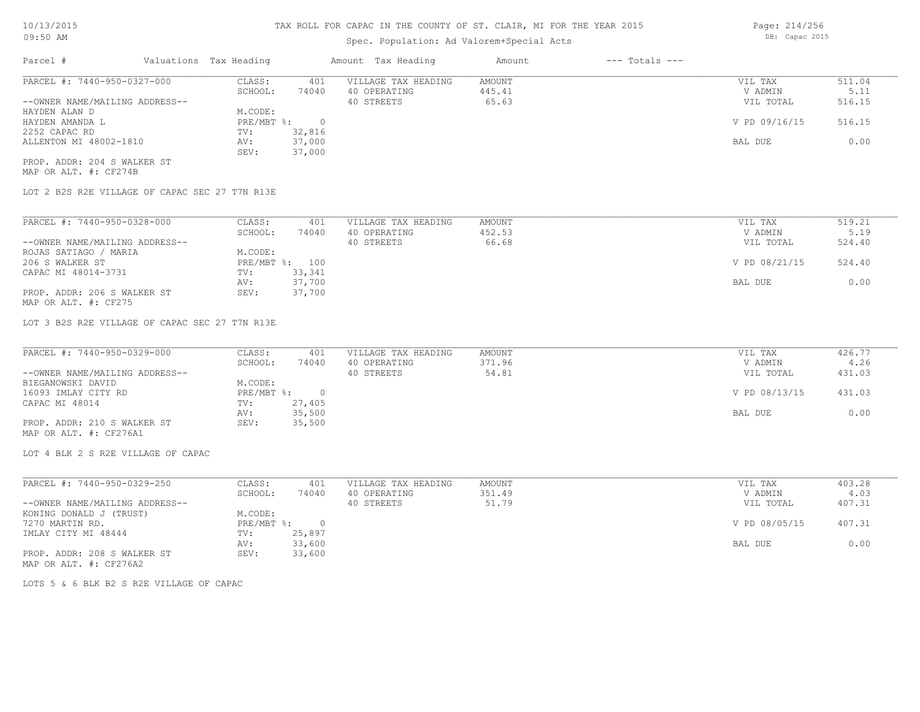# Spec. Population: Ad Valorem+Special Acts

| Parcel #                       | Valuations Tax Heading |        | Amount Tax Heading  | Amount | $---$ Totals $---$ |               |        |
|--------------------------------|------------------------|--------|---------------------|--------|--------------------|---------------|--------|
| PARCEL #: 7440-950-0327-000    | CLASS:                 | 401    | VILLAGE TAX HEADING | AMOUNT |                    | VIL TAX       | 511.04 |
|                                | SCHOOL:                | 74040  | 40 OPERATING        | 445.41 |                    | V ADMIN       | 5.11   |
| --OWNER NAME/MAILING ADDRESS-- |                        |        | 40 STREETS          | 65.63  |                    | VIL TOTAL     | 516.15 |
| HAYDEN ALAN D                  | M.CODE:                |        |                     |        |                    |               |        |
| HAYDEN AMANDA L                | PRE/MBT %:             |        |                     |        |                    | V PD 09/16/15 | 516.15 |
| 2252 CAPAC RD                  | TV:                    | 32,816 |                     |        |                    |               |        |
| ALLENTON MI 48002-1810         | AV:                    | 37,000 |                     |        |                    | BAL DUE       | 0.00   |
|                                | SEV:                   | 37,000 |                     |        |                    |               |        |
| PROP. ADDR: 204 S WALKER ST    |                        |        |                     |        |                    |               |        |

MAP OR ALT. #: CF274B

LOT 2 B2S R2E VILLAGE OF CAPAC SEC 27 T7N R13E

| PARCEL #: 7440-950-0328-000    | CLASS:  | 401            | VILLAGE TAX HEADING | AMOUNT | VIL TAX       | 519.21 |
|--------------------------------|---------|----------------|---------------------|--------|---------------|--------|
|                                | SCHOOL: | 74040          | 40 OPERATING        | 452.53 | V ADMIN       | 5.19   |
| --OWNER NAME/MAILING ADDRESS-- |         |                | 40 STREETS          | 66.68  | VIL TOTAL     | 524.40 |
| ROJAS SATIAGO / MARIA          | M.CODE: |                |                     |        |               |        |
| 206 S WALKER ST                |         | PRE/MBT %: 100 |                     |        | V PD 08/21/15 | 524.40 |
| CAPAC MI 48014-3731            | TV:     | 33,341         |                     |        |               |        |
|                                | AV:     | 37,700         |                     |        | BAL DUE       | 0.00   |
| PROP. ADDR: 206 S WALKER ST    | SEV:    | 37,700         |                     |        |               |        |
| MAP OR ALT. #: CF275           |         |                |                     |        |               |        |

LOT 3 B2S R2E VILLAGE OF CAPAC SEC 27 T7N R13E

| PARCEL #: 7440-950-0329-000    | CLASS:     | 401    | VILLAGE TAX HEADING | AMOUNT | VIL TAX       | 426.77 |
|--------------------------------|------------|--------|---------------------|--------|---------------|--------|
|                                | SCHOOL:    | 74040  | 40 OPERATING        | 371.96 | V ADMIN       | 4.26   |
| --OWNER NAME/MAILING ADDRESS-- |            |        | 40 STREETS          | 54.81  | VIL TOTAL     | 431.03 |
| BIEGANOWSKI DAVID              | M.CODE:    |        |                     |        |               |        |
| 16093 IMLAY CITY RD            | PRE/MBT %: |        |                     |        | V PD 08/13/15 | 431.03 |
| CAPAC MI 48014                 | TV:        | 27,405 |                     |        |               |        |
|                                | AV:        | 35,500 |                     |        | BAL DUE       | 0.00   |
| PROP. ADDR: 210 S WALKER ST    | SEV:       | 35,500 |                     |        |               |        |
| MAP OR ALT. #: CF276A1         |            |        |                     |        |               |        |

LOT 4 BLK 2 S R2E VILLAGE OF CAPAC

| PARCEL #: 7440-950-0329-250    | CLASS:     | 401    | VILLAGE TAX HEADING | AMOUNT | VIL TAX       | 403.28 |
|--------------------------------|------------|--------|---------------------|--------|---------------|--------|
|                                | SCHOOL:    | 74040  | 40 OPERATING        | 351.49 | V ADMIN       | 4.03   |
| --OWNER NAME/MAILING ADDRESS-- |            |        | 40 STREETS          | 51.79  | VIL TOTAL     | 407.31 |
| KONING DONALD J (TRUST)        | M.CODE:    |        |                     |        |               |        |
| 7270 MARTIN RD.                | PRE/MBT %: |        |                     |        | V PD 08/05/15 | 407.31 |
| IMLAY CITY MI 48444            | TV:        | 25,897 |                     |        |               |        |
|                                | AV:        | 33,600 |                     |        | BAL DUE       | 0.00   |
| PROP. ADDR: 208 S WALKER ST    | SEV:       | 33,600 |                     |        |               |        |
| MAP OR ALT. #: CF276A2         |            |        |                     |        |               |        |

LOTS 5 & 6 BLK B2 S R2E VILLAGE OF CAPAC

Page: 214/256 DB: Capac 2015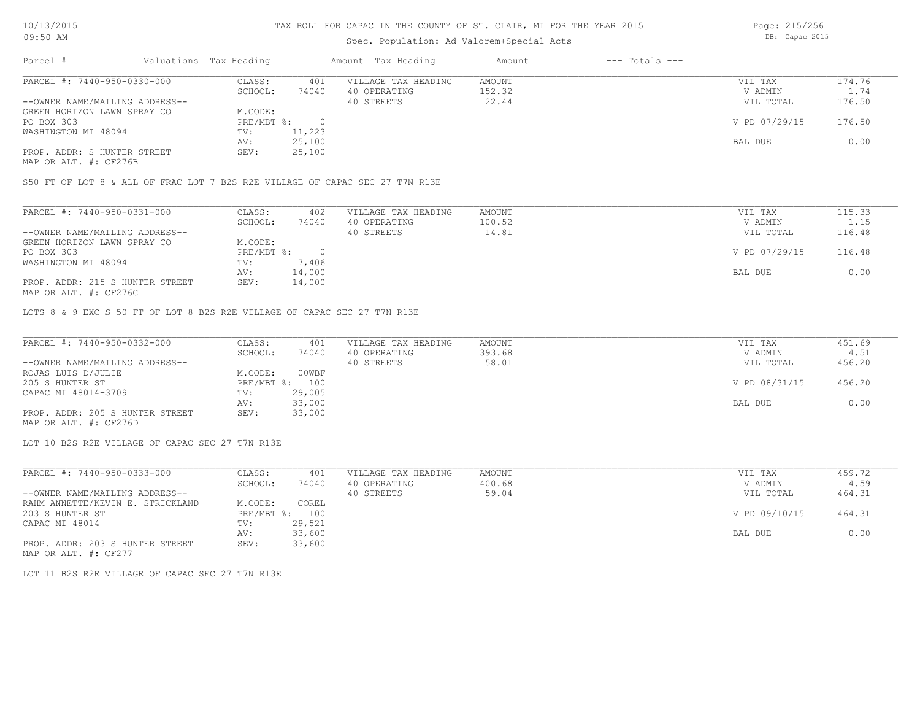# Spec. Population: Ad Valorem+Special Acts

Page: 215/256 DB: Capac 2015

| Parcel #                       | Valuations Tax Heading |        | Amount Tax Heading  | Amount | $---$ Totals $---$ |               |        |
|--------------------------------|------------------------|--------|---------------------|--------|--------------------|---------------|--------|
| PARCEL #: 7440-950-0330-000    | CLASS:                 | 401    | VILLAGE TAX HEADING | AMOUNT |                    | VIL TAX       | 174.76 |
|                                | SCHOOL:                | 74040  | 40 OPERATING        | 152.32 |                    | V ADMIN       | 1.74   |
| --OWNER NAME/MAILING ADDRESS-- |                        |        | 40 STREETS          | 22.44  |                    | VIL TOTAL     | 176.50 |
| GREEN HORIZON LAWN SPRAY CO    | M.CODE:                |        |                     |        |                    |               |        |
| PO BOX 303                     | PRE/MBT %:             |        |                     |        |                    | V PD 07/29/15 | 176.50 |
| WASHINGTON MI 48094            | TV:                    | 11,223 |                     |        |                    |               |        |
|                                | AV:                    | 25,100 |                     |        |                    | BAL DUE       | 0.00   |
| PROP. ADDR: S HUNTER STREET    | SEV:                   | 25,100 |                     |        |                    |               |        |
|                                |                        |        |                     |        |                    |               |        |

MAP OR ALT. #: CF276B

S50 FT OF LOT 8 & ALL OF FRAC LOT 7 B2S R2E VILLAGE OF CAPAC SEC 27 T7N R13E

| PARCEL #: 7440-950-0331-000     | CLASS:     | 402    | VILLAGE TAX HEADING | AMOUNT | VIL TAX       | 115.33 |
|---------------------------------|------------|--------|---------------------|--------|---------------|--------|
|                                 | SCHOOL:    | 74040  | 40 OPERATING        | 100.52 | V ADMIN       | 1.15   |
| --OWNER NAME/MAILING ADDRESS--  |            |        | 40 STREETS          | 14.81  | VIL TOTAL     | 116.48 |
| GREEN HORIZON LAWN SPRAY CO     | M.CODE:    |        |                     |        |               |        |
| PO BOX 303                      | PRE/MBT %: |        |                     |        | V PD 07/29/15 | 116.48 |
| WASHINGTON MI 48094             | TV:        | 7,406  |                     |        |               |        |
|                                 | AV:        | 14,000 |                     |        | BAL DUE       | 0.00   |
| PROP. ADDR: 215 S HUNTER STREET | SEV:       | 14,000 |                     |        |               |        |
| MAP OR ALT. #: CF276C           |            |        |                     |        |               |        |

LOTS 8 & 9 EXC S 50 FT OF LOT 8 B2S R2E VILLAGE OF CAPAC SEC 27 T7N R13E

| PARCEL #: 7440-950-0332-000     | CLASS:  | 401            | VILLAGE TAX HEADING | AMOUNT | VIL TAX       | 451.69 |
|---------------------------------|---------|----------------|---------------------|--------|---------------|--------|
|                                 | SCHOOL: | 74040          | 40 OPERATING        | 393.68 | V ADMIN       | 4.51   |
| --OWNER NAME/MAILING ADDRESS--  |         |                | 40 STREETS          | 58.01  | VIL TOTAL     | 456.20 |
| ROJAS LUIS D/JULIE              | M.CODE: | 00WBF          |                     |        |               |        |
| 205 S HUNTER ST                 |         | PRE/MBT %: 100 |                     |        | V PD 08/31/15 | 456.20 |
| CAPAC MI 48014-3709             | TV:     | 29,005         |                     |        |               |        |
|                                 | AV:     | 33,000         |                     |        | BAL DUE       | 0.00   |
| PROP. ADDR: 205 S HUNTER STREET | SEV:    | 33,000         |                     |        |               |        |
| MAP OR ALT. #: CF276D           |         |                |                     |        |               |        |

LOT 10 B2S R2E VILLAGE OF CAPAC SEC 27 T7N R13E

| PARCEL #: 7440-950-0333-000      | CLASS:       | 401    | VILLAGE TAX HEADING | AMOUNT | VIL TAX       | 459.72 |
|----------------------------------|--------------|--------|---------------------|--------|---------------|--------|
|                                  | SCHOOL:      | 74040  | 40 OPERATING        | 400.68 | V ADMIN       | 4.59   |
| --OWNER NAME/MAILING ADDRESS--   |              |        | 40 STREETS          | 59.04  | VIL TOTAL     | 464.31 |
| RAHM ANNETTE/KEVIN E. STRICKLAND | M.CODE:      | COREL  |                     |        |               |        |
| 203 S HUNTER ST                  | $PRE/MBT$ %: | 100    |                     |        | V PD 09/10/15 | 464.31 |
| CAPAC MI 48014                   | TV:          | 29,521 |                     |        |               |        |
|                                  | AV:          | 33,600 |                     |        | BAL DUE       | 0.00   |
| PROP. ADDR: 203 S HUNTER STREET  | SEV:         | 33,600 |                     |        |               |        |

MAP OR ALT. #: CF277

LOT 11 B2S R2E VILLAGE OF CAPAC SEC 27 T7N R13E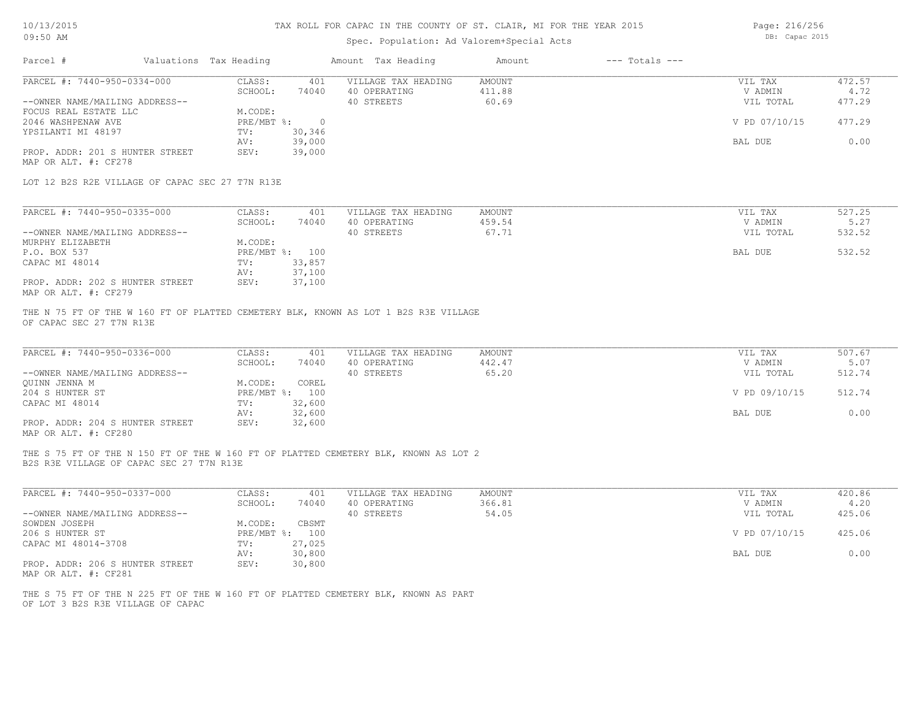# Spec. Population: Ad Valorem+Special Acts

Page: 216/256 DB: Capac 2015

| Parcel #                                                      | Valuations Tax Heading |                   |                          | Amount Tax Heading                                                                  | Amount                    | $---$ Totals $---$ |                                 |                          |
|---------------------------------------------------------------|------------------------|-------------------|--------------------------|-------------------------------------------------------------------------------------|---------------------------|--------------------|---------------------------------|--------------------------|
| PARCEL #: 7440-950-0334-000<br>--OWNER NAME/MAILING ADDRESS-- |                        | CLASS:<br>SCHOOL: | 401<br>74040             | VILLAGE TAX HEADING<br>40 OPERATING<br>40 STREETS                                   | AMOUNT<br>411.88<br>60.69 |                    | VIL TAX<br>V ADMIN<br>VIL TOTAL | 472.57<br>4.72<br>477.29 |
| FOCUS REAL ESTATE LLC<br>2046 WASHPENAW AVE                   |                        | M.CODE:           | PRE/MBT %: 0             |                                                                                     |                           |                    | V PD 07/10/15                   | 477.29                   |
| YPSILANTI MI 48197                                            |                        | TV:<br>AV:        | 30,346<br>39,000         |                                                                                     |                           |                    | BAL DUE                         | 0.00                     |
| PROP. ADDR: 201 S HUNTER STREET<br>MAP OR ALT. #: CF278       |                        | SEV:              | 39,000                   |                                                                                     |                           |                    |                                 |                          |
| LOT 12 B2S R2E VILLAGE OF CAPAC SEC 27 T7N R13E               |                        |                   |                          |                                                                                     |                           |                    |                                 |                          |
| PARCEL #: 7440-950-0335-000                                   |                        | CLASS:            | 401                      | VILLAGE TAX HEADING                                                                 | AMOUNT                    |                    | VIL TAX                         | 527.25                   |
| --OWNER NAME/MAILING ADDRESS--                                |                        | SCHOOL:           | 74040                    | 40 OPERATING<br>40 STREETS                                                          | 459.54<br>67.71           |                    | V ADMIN<br>VIL TOTAL            | 5.27<br>532.52           |
| MURPHY ELIZABETH                                              |                        | M.CODE:           |                          |                                                                                     |                           |                    |                                 |                          |
| P.O. BOX 537<br>CAPAC MI 48014                                |                        | TV:               | PRE/MBT %: 100<br>33,857 |                                                                                     |                           |                    | BAL DUE                         | 532.52                   |
|                                                               |                        | AV:               | 37,100                   |                                                                                     |                           |                    |                                 |                          |
| PROP. ADDR: 202 S HUNTER STREET<br>MAP OR ALT. #: CF279       |                        | SEV:              | 37,100                   |                                                                                     |                           |                    |                                 |                          |
| PARCEL #: 7440-950-0336-000                                   |                        | CLASS:            | 401                      | VILLAGE TAX HEADING                                                                 | <b>AMOUNT</b>             |                    | VIL TAX                         | 507.67                   |
| --OWNER NAME/MAILING ADDRESS--                                |                        | SCHOOL:           | 74040                    | 40 OPERATING<br>40 STREETS                                                          | 442.47<br>65.20           |                    | V ADMIN<br>VIL TOTAL            | 5.07<br>512.74           |
| OUINN JENNA M                                                 |                        | M.CODE:           | COREL                    |                                                                                     |                           |                    |                                 |                          |
| 204 S HUNTER ST                                               |                        |                   | PRE/MBT %: 100           |                                                                                     |                           |                    | V PD 09/10/15                   | 512.74                   |
| CAPAC MI 48014                                                |                        | TV:<br>AV:        | 32,600<br>32,600         |                                                                                     |                           |                    | BAL DUE                         | 0.00                     |
| PROP. ADDR: 204 S HUNTER STREET<br>MAP OR ALT. #: CF280       |                        | SEV:              | 32,600                   |                                                                                     |                           |                    |                                 |                          |
| B2S R3E VILLAGE OF CAPAC SEC 27 T7N R13E                      |                        |                   |                          | THE S 75 FT OF THE N 150 FT OF THE W 160 FT OF PLATTED CEMETERY BLK, KNOWN AS LOT 2 |                           |                    |                                 |                          |
|                                                               |                        |                   |                          |                                                                                     |                           |                    |                                 |                          |
| PARCEL #: 7440-950-0337-000                                   |                        | CLASS:<br>SCHOOL: | 401<br>74040             | VILLAGE TAX HEADING<br>40 OPERATING                                                 | <b>AMOUNT</b><br>366.81   |                    | VIL TAX<br>V ADMIN              | 420.86<br>4.20           |
| --OWNER NAME/MAILING ADDRESS--                                |                        |                   |                          | 40 STREETS                                                                          | 54.05                     |                    | VIL TOTAL                       | 425.06                   |
| SOWDEN JOSEPH                                                 |                        | M.CODE:           | CBSMT                    |                                                                                     |                           |                    |                                 |                          |
| 206 S HUNTER ST                                               |                        |                   | PRE/MBT %: 100           |                                                                                     |                           |                    | V PD 07/10/15                   | 425.06                   |
| CAPAC MI 48014-3708                                           |                        | TV:<br>AV:        | 27,025<br>30,800         |                                                                                     |                           |                    | BAL DUE                         | 0.00                     |
| PROP. ADDR: 206 S HUNTER STREET<br>MAP OR ALT. #: CF281       |                        | SEV:              | 30,800                   |                                                                                     |                           |                    |                                 |                          |
|                                                               |                        |                   |                          |                                                                                     |                           |                    |                                 |                          |

OF LOT 3 B2S R3E VILLAGE OF CAPAC THE S 75 FT OF THE N 225 FT OF THE W 160 FT OF PLATTED CEMETERY BLK, KNOWN AS PART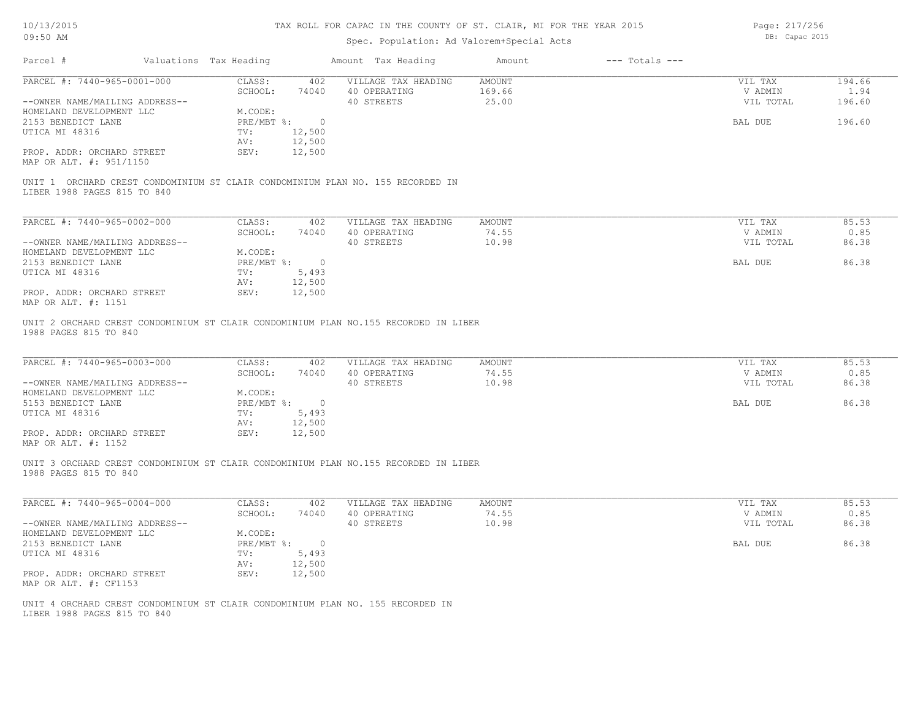# Spec. Population: Ad Valorem+Special Acts

Page: 217/256 DB: Capac 2015

| Parcel #                       | Valuations Tax Heading |                    | Amount Tax Heading                                                                  | Amount | $---$ Totals $---$ |           |        |
|--------------------------------|------------------------|--------------------|-------------------------------------------------------------------------------------|--------|--------------------|-----------|--------|
| PARCEL #: 7440-965-0001-000    | CLASS:                 | 402                | VILLAGE TAX HEADING                                                                 | AMOUNT |                    | VIL TAX   | 194.66 |
|                                | SCHOOL:                | 74040              | 40 OPERATING                                                                        | 169.66 |                    | V ADMIN   | 1.94   |
| --OWNER NAME/MAILING ADDRESS-- |                        |                    | 40 STREETS                                                                          | 25.00  |                    | VIL TOTAL | 196.60 |
| HOMELAND DEVELOPMENT LLC       | M.CODE:                |                    |                                                                                     |        |                    |           |        |
| 2153 BENEDICT LANE             |                        | PRE/MBT %: 0       |                                                                                     |        |                    | BAL DUE   | 196.60 |
| UTICA MI 48316                 | TV:                    | 12,500             |                                                                                     |        |                    |           |        |
|                                | AV:                    | 12,500             |                                                                                     |        |                    |           |        |
| PROP. ADDR: ORCHARD STREET     | SEV:                   | 12,500             |                                                                                     |        |                    |           |        |
| MAP OR ALT. #: 951/1150        |                        |                    |                                                                                     |        |                    |           |        |
|                                |                        |                    | UNIT 1 ORCHARD CREST CONDOMINIUM ST CLAIR CONDOMINIUM PLAN NO. 155 RECORDED IN      |        |                    |           |        |
| LIBER 1988 PAGES 815 TO 840    |                        |                    |                                                                                     |        |                    |           |        |
|                                |                        |                    |                                                                                     |        |                    |           |        |
| PARCEL #: 7440-965-0002-000    | CLASS:                 | 402                | VILLAGE TAX HEADING                                                                 | AMOUNT |                    | VIL TAX   | 85.53  |
|                                | SCHOOL:                | 74040              | 40 OPERATING                                                                        | 74.55  |                    | V ADMIN   | 0.85   |
| --OWNER NAME/MAILING ADDRESS-- |                        |                    | 40 STREETS                                                                          | 10.98  |                    | VIL TOTAL | 86.38  |
| HOMELAND DEVELOPMENT LLC       | M.CODE:                |                    |                                                                                     |        |                    |           |        |
| 2153 BENEDICT LANE             |                        | $PRE/MBT$ $\div$ 0 |                                                                                     |        |                    | BAL DUE   | 86.38  |
| UTICA MI 48316                 | TV:                    | 5,493              |                                                                                     |        |                    |           |        |
|                                | AV:                    | 12,500             |                                                                                     |        |                    |           |        |
| PROP. ADDR: ORCHARD STREET     | SEV:                   | 12,500             |                                                                                     |        |                    |           |        |
| MAP OR ALT. #: 1151            |                        |                    |                                                                                     |        |                    |           |        |
| 1988 PAGES 815 TO 840          |                        |                    | UNIT 2 ORCHARD CREST CONDOMINIUM ST CLAIR CONDOMINIUM PLAN NO.155 RECORDED IN LIBER |        |                    |           |        |
| PARCEL #: 7440-965-0003-000    | CLASS:                 | 402                | VILLAGE TAX HEADING                                                                 | AMOUNT |                    | VIL TAX   | 85.53  |
|                                | SCHOOL:                | 74040              | 40 OPERATING                                                                        | 74.55  |                    | V ADMIN   | 0.85   |
| --OWNER NAME/MAILING ADDRESS-- |                        |                    | 40 STREETS                                                                          | 10.98  |                    | VIL TOTAL | 86.38  |
| HOMELAND DEVELOPMENT LLC       | M.CODE:                |                    |                                                                                     |        |                    |           |        |
| 5153 BENEDICT LANE             |                        | PRE/MBT %: 0       |                                                                                     |        |                    | BAL DUE   | 86.38  |
| UTICA MI 48316                 | TV:                    | 5,493              |                                                                                     |        |                    |           |        |
|                                | AV:                    | 12,500             |                                                                                     |        |                    |           |        |
| PROP. ADDR: ORCHARD STREET     | SEV:                   | 12,500             |                                                                                     |        |                    |           |        |
| MAP OR ALT. #: 1152            |                        |                    |                                                                                     |        |                    |           |        |
| 1988 PAGES 815 TO 840          |                        |                    | UNIT 3 ORCHARD CREST CONDOMINIUM ST CLAIR CONDOMINIUM PLAN NO.155 RECORDED IN LIBER |        |                    |           |        |
| PARCEL #: 7440-965-0004-000    | CLASS:                 | 402                | VILLAGE TAX HEADING                                                                 | AMOUNT |                    | VIL TAX   | 85.53  |
|                                | SCHOOL:                | 74040              | 40 OPERATING                                                                        | 74.55  |                    | V ADMIN   | 0.85   |
| --OWNER NAME/MAILING ADDRESS-- |                        |                    | 40 STREETS                                                                          | 10.98  |                    | VIL TOTAL | 86.38  |
| HOMELAND DEVELOPMENT LLC       | M.CODE:                |                    |                                                                                     |        |                    |           |        |
| 2153 BENEDICT LANE             |                        | PRE/MBT %: 0       |                                                                                     |        |                    | BAL DUE   | 86.38  |
| UTICA MI 48316                 | TV:                    | 5,493              |                                                                                     |        |                    |           |        |
|                                | AV:                    | 12,500             |                                                                                     |        |                    |           |        |
| PROP. ADDR: ORCHARD STREET     | SEV:                   | 12,500             |                                                                                     |        |                    |           |        |
|                                |                        |                    |                                                                                     |        |                    |           |        |
| MAP OR ALT. #: CF1153          |                        |                    |                                                                                     |        |                    |           |        |
| LIBER 1988 PAGES 815 TO 840    |                        |                    | UNIT 4 ORCHARD CREST CONDOMINIUM ST CLAIR CONDOMINIUM PLAN NO. 155 RECORDED IN      |        |                    |           |        |
|                                |                        |                    |                                                                                     |        |                    |           |        |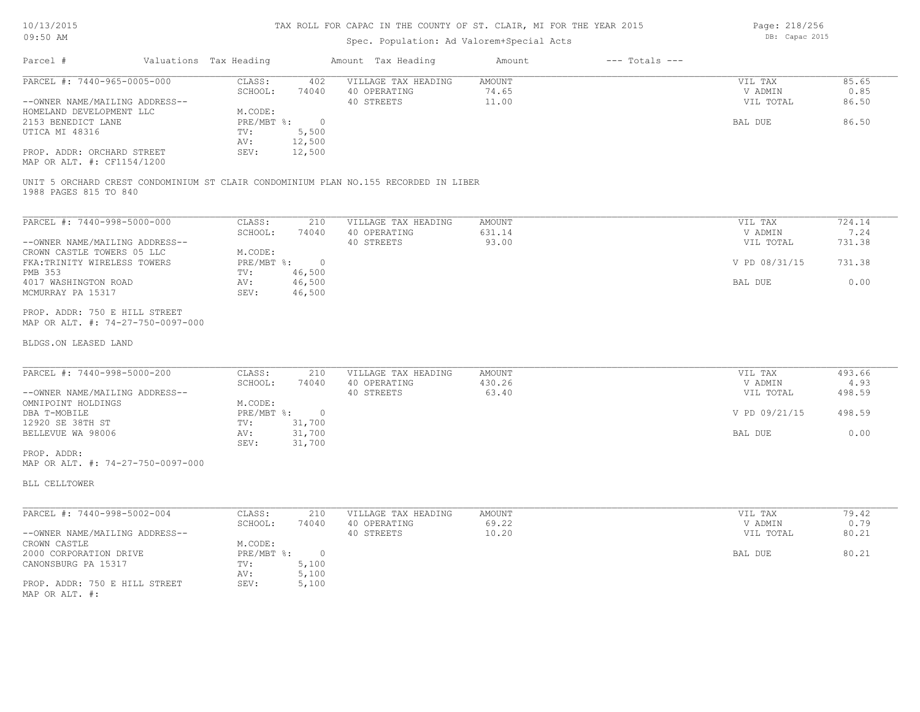### Spec. Population: Ad Valorem+Special Acts

| Parcel #                       |  | Valuations Tax Heading |        | Amount Tax Heading  | Amount | $---$ Totals $---$ |           |       |
|--------------------------------|--|------------------------|--------|---------------------|--------|--------------------|-----------|-------|
| PARCEL #: 7440-965-0005-000    |  | CLASS:                 | 402    | VILLAGE TAX HEADING | AMOUNT |                    | VIL TAX   | 85.65 |
|                                |  | SCHOOL:                | 74040  | 40 OPERATING        | 74.65  |                    | V ADMIN   | 0.85  |
| --OWNER NAME/MAILING ADDRESS-- |  |                        |        | 40 STREETS          | 11.00  |                    | VIL TOTAL | 86.50 |
| HOMELAND DEVELOPMENT LLC       |  | M.CODE:                |        |                     |        |                    |           |       |
| 2153 BENEDICT LANE             |  | PRE/MBT %:             |        |                     |        |                    | BAL DUE   | 86.50 |
| UTICA MI 48316                 |  | TV:                    | 5,500  |                     |        |                    |           |       |
|                                |  | AV:                    | 12,500 |                     |        |                    |           |       |
| PROP. ADDR: ORCHARD STREET     |  | SEV:                   | 12,500 |                     |        |                    |           |       |
|                                |  |                        |        |                     |        |                    |           |       |

MAP OR ALT. #: CF1154/1200

1988 PAGES 815 TO 840 UNIT 5 ORCHARD CREST CONDOMINIUM ST CLAIR CONDOMINIUM PLAN NO.155 RECORDED IN LIBER

| PARCEL #: 7440-998-5000-000    | CLASS:     | 210    | VILLAGE TAX HEADING | AMOUNT | VIL TAX       | 724.14 |
|--------------------------------|------------|--------|---------------------|--------|---------------|--------|
|                                | SCHOOL:    | 74040  | 40 OPERATING        | 631.14 | V ADMIN       | 7.24   |
| --OWNER NAME/MAILING ADDRESS-- |            |        | 40 STREETS          | 93.00  | VIL TOTAL     | 731.38 |
| CROWN CASTLE TOWERS 05 LLC     | M.CODE:    |        |                     |        |               |        |
| FKA: TRINITY WIRELESS TOWERS   | PRE/MBT %: |        |                     |        | V PD 08/31/15 | 731.38 |
| PMB 353                        | TV:        | 46,500 |                     |        |               |        |
| 4017 WASHINGTON ROAD           | AV:        | 46,500 |                     |        | BAL DUE       | 0.00   |
| MCMURRAY PA 15317              | SEV:       | 46,500 |                     |        |               |        |

MAP OR ALT. #: 74-27-750-0097-000 PROP. ADDR: 750 E HILL STREET

#### BLDGS.ON LEASED LAND

| PARCEL #: 7440-998-5000-200    | CLASS:     | 210    | VILLAGE TAX HEADING | AMOUNT | VIL TAX       | 493.66 |
|--------------------------------|------------|--------|---------------------|--------|---------------|--------|
|                                | SCHOOL:    | 74040  | 40 OPERATING        | 430.26 | V ADMIN       | 4.93   |
| --OWNER NAME/MAILING ADDRESS-- |            |        | 40 STREETS          | 63.40  | VIL TOTAL     | 498.59 |
| OMNIPOINT HOLDINGS             | M.CODE:    |        |                     |        |               |        |
| DBA T-MOBILE                   | PRE/MBT %: | $\Box$ |                     |        | V PD 09/21/15 | 498.59 |
| 12920 SE 38TH ST               | TV:        | 31,700 |                     |        |               |        |
| BELLEVUE WA 98006              | AV:        | 31,700 |                     |        | BAL DUE       | 0.00   |
|                                | SEV:       | 31,700 |                     |        |               |        |

 $\mathcal{L}_\mathcal{L} = \mathcal{L}_\mathcal{L} = \mathcal{L}_\mathcal{L} = \mathcal{L}_\mathcal{L} = \mathcal{L}_\mathcal{L} = \mathcal{L}_\mathcal{L} = \mathcal{L}_\mathcal{L} = \mathcal{L}_\mathcal{L} = \mathcal{L}_\mathcal{L} = \mathcal{L}_\mathcal{L} = \mathcal{L}_\mathcal{L} = \mathcal{L}_\mathcal{L} = \mathcal{L}_\mathcal{L} = \mathcal{L}_\mathcal{L} = \mathcal{L}_\mathcal{L} = \mathcal{L}_\mathcal{L} = \mathcal{L}_\mathcal{L}$ 

\_\_\_\_\_\_\_\_\_\_\_\_\_\_\_\_\_\_\_\_\_\_\_\_\_\_\_\_\_\_\_\_\_\_\_\_\_\_\_\_\_\_\_\_\_\_\_\_\_\_\_\_\_\_\_\_\_\_\_\_\_\_\_\_\_\_\_\_\_\_\_\_\_\_\_\_\_\_\_\_\_\_\_\_\_\_\_\_\_\_\_\_\_\_\_\_\_\_\_\_\_\_\_\_\_\_\_\_\_\_\_\_\_\_\_\_\_\_\_\_\_\_\_\_\_\_\_\_\_\_\_\_\_\_\_\_\_\_\_\_\_\_\_\_\_\_\_\_\_\_\_\_\_\_\_\_\_\_\_\_\_\_\_\_\_\_\_\_\_\_\_\_\_\_\_

MAP OR ALT. #: 74-27-750-0097-000 PROP. ADDR:

BLL CELLTOWER

| PARCEL #: 7440-998-5002-004    | CLASS:     | 210   | VILLAGE TAX HEADING | AMOUNT | VIL TAX   | 79.42 |
|--------------------------------|------------|-------|---------------------|--------|-----------|-------|
|                                | SCHOOL:    | 74040 | 40 OPERATING        | 69.22  | V ADMIN   | 0.79  |
| --OWNER NAME/MAILING ADDRESS-- |            |       | 40 STREETS          | 10.20  | VIL TOTAL | 80.21 |
| CROWN CASTLE                   | M.CODE:    |       |                     |        |           |       |
| 2000 CORPORATION DRIVE         | PRE/MBT %: |       |                     |        | BAL DUE   | 80.21 |
| CANONSBURG PA 15317            | TV:        | 5,100 |                     |        |           |       |
|                                | AV:        | 5,100 |                     |        |           |       |
| PROP. ADDR: 750 E HILL STREET  | SEV:       | 5,100 |                     |        |           |       |
| MAP OR ALT. #:                 |            |       |                     |        |           |       |

Page: 218/256 DB: Capac 2015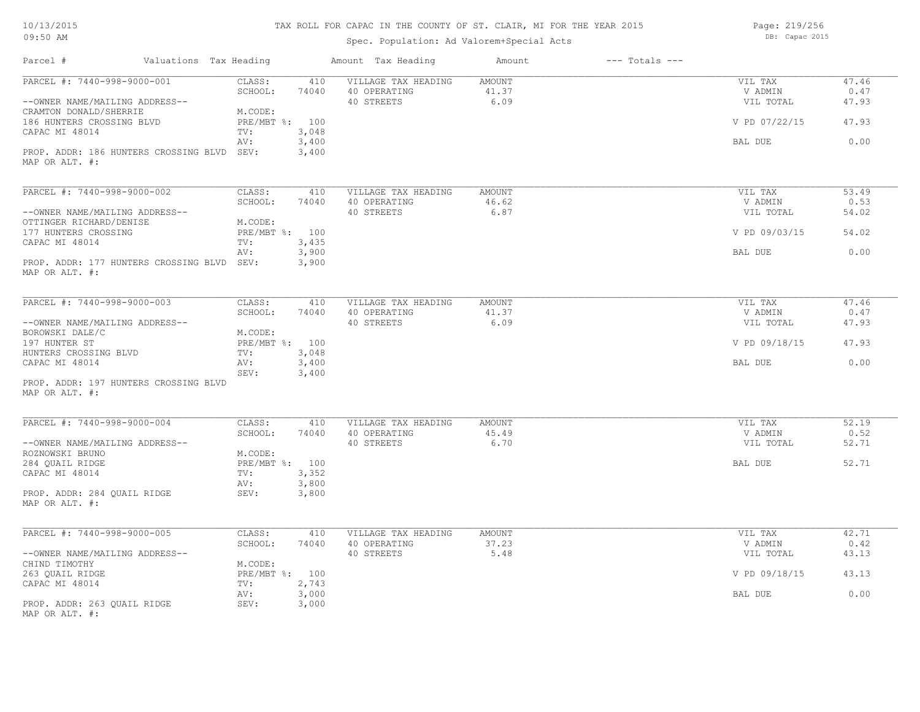| 10/13/2015 |  |
|------------|--|
| 09:50 AM   |  |

Spec. Population: Ad Valorem+Special Acts

Page: 219/256 DB: Capac 2015

| Valuations Tax Heading<br>Parcel #                            |                                   | Amount Tax Heading                                | Amount                  | $---$ Totals $---$ |                                 |                        |
|---------------------------------------------------------------|-----------------------------------|---------------------------------------------------|-------------------------|--------------------|---------------------------------|------------------------|
| PARCEL #: 7440-998-9000-001<br>--OWNER NAME/MAILING ADDRESS-- | CLASS:<br>410<br>SCHOOL:<br>74040 | VILLAGE TAX HEADING<br>40 OPERATING<br>40 STREETS | AMOUNT<br>41.37<br>6.09 |                    | VIL TAX<br>V ADMIN<br>VIL TOTAL | 47.46<br>0.47<br>47.93 |
| CRAMTON DONALD/SHERRIE<br>186 HUNTERS CROSSING BLVD           | M.CODE:<br>PRE/MBT %: 100         |                                                   |                         |                    | V PD 07/22/15                   | 47.93                  |
| CAPAC MI 48014                                                | 3,048<br>TV:<br>3,400<br>AV:      |                                                   |                         |                    | BAL DUE                         | 0.00                   |
| PROP. ADDR: 186 HUNTERS CROSSING BLVD SEV:<br>MAP OR ALT. #:  | 3,400                             |                                                   |                         |                    |                                 |                        |
| PARCEL #: 7440-998-9000-002                                   | CLASS:<br>410                     | VILLAGE TAX HEADING                               | AMOUNT                  |                    | VIL TAX                         | 53.49                  |
|                                                               | SCHOOL:<br>74040                  | 40 OPERATING                                      | 46.62                   |                    | V ADMIN                         | 0.53                   |
| --OWNER NAME/MAILING ADDRESS--                                | M.CODE:                           | 40 STREETS                                        | 6.87                    |                    | VIL TOTAL                       | 54.02                  |
| OTTINGER RICHARD/DENISE<br>177 HUNTERS CROSSING               | PRE/MBT %: 100                    |                                                   |                         |                    | V PD 09/03/15                   | 54.02                  |
| CAPAC MI 48014                                                | 3,435<br>TV:                      |                                                   |                         |                    |                                 |                        |
| PROP. ADDR: 177 HUNTERS CROSSING BLVD SEV:                    | 3,900<br>AV:<br>3,900             |                                                   |                         |                    | BAL DUE                         | 0.00                   |
| MAP OR ALT. #:                                                |                                   |                                                   |                         |                    |                                 |                        |
| PARCEL #: 7440-998-9000-003                                   | CLASS:<br>410                     | VILLAGE TAX HEADING                               | AMOUNT                  |                    | VIL TAX                         | 47.46                  |
|                                                               | SCHOOL:<br>74040                  | 40 OPERATING                                      | 41.37                   |                    | V ADMIN                         | 0.47                   |
| --OWNER NAME/MAILING ADDRESS--                                |                                   | 40 STREETS                                        | 6.09                    |                    | VIL TOTAL                       | 47.93                  |
| BOROWSKI DALE/C<br>197 HUNTER ST                              | M.CODE:<br>PRE/MBT %: 100         |                                                   |                         |                    | V PD 09/18/15                   | 47.93                  |
| HUNTERS CROSSING BLVD                                         | TV:<br>3,048                      |                                                   |                         |                    |                                 |                        |
| CAPAC MI 48014                                                | 3,400<br>AV:                      |                                                   |                         |                    | BAL DUE                         | 0.00                   |
| PROP. ADDR: 197 HUNTERS CROSSING BLVD<br>MAP OR ALT. #:       | 3,400<br>SEV:                     |                                                   |                         |                    |                                 |                        |
|                                                               |                                   |                                                   |                         |                    |                                 |                        |
| PARCEL #: 7440-998-9000-004                                   | CLASS:<br>410<br>SCHOOL:<br>74040 | VILLAGE TAX HEADING                               | AMOUNT<br>45.49         |                    | VIL TAX<br>V ADMIN              | 52.19<br>0.52          |
| --OWNER NAME/MAILING ADDRESS--                                |                                   | 40 OPERATING<br>40 STREETS                        | 6.70                    |                    | VIL TOTAL                       | 52.71                  |
| ROZNOWSKI BRUNO                                               | M.CODE:                           |                                                   |                         |                    |                                 |                        |
| 284 QUAIL RIDGE                                               | PRE/MBT %: 100                    |                                                   |                         |                    | BAL DUE                         | 52.71                  |
| CAPAC MI 48014                                                | 3,352<br>TV:                      |                                                   |                         |                    |                                 |                        |
|                                                               | 3,800<br>AV:                      |                                                   |                         |                    |                                 |                        |
| PROP. ADDR: 284 QUAIL RIDGE<br>MAP OR ALT. #:                 | SEV:<br>3,800                     |                                                   |                         |                    |                                 |                        |
| PARCEL #: 7440-998-9000-005                                   | CLASS:<br>410                     | VILLAGE TAX HEADING                               | <b>AMOUNT</b>           |                    | VIL TAX                         | 42.71                  |
|                                                               | SCHOOL:<br>74040                  | 40 OPERATING                                      | 37.23                   |                    | V ADMIN                         | 0.42                   |
| --OWNER NAME/MAILING ADDRESS--                                |                                   | 40 STREETS                                        | 5.48                    |                    | VIL TOTAL                       | 43.13                  |
| CHIND TIMOTHY                                                 | M.CODE:                           |                                                   |                         |                    |                                 |                        |
| 263 QUAIL RIDGE                                               | PRE/MBT %: 100                    |                                                   |                         |                    | V PD 09/18/15                   | 43.13                  |
| CAPAC MI 48014                                                | 2,743<br>TV:<br>3,000<br>AV:      |                                                   |                         |                    | BAL DUE                         | 0.00                   |
| PROP. ADDR: 263 QUAIL RIDGE<br>MAP OR ALT. #:                 | SEV:<br>3,000                     |                                                   |                         |                    |                                 |                        |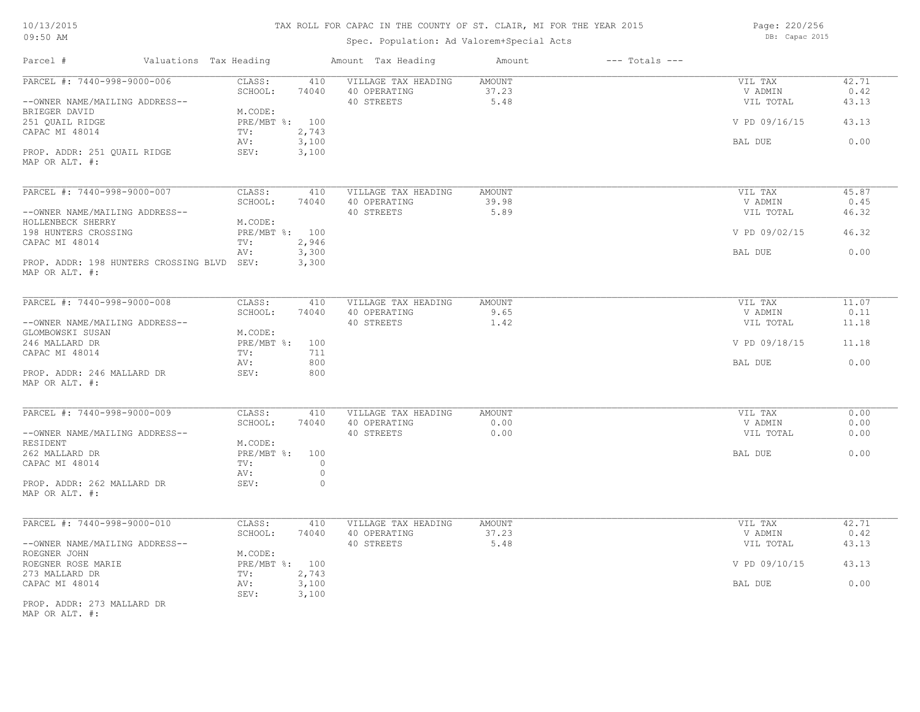# TAX ROLL FOR CAPAC IN THE COUNTY OF ST. CLAIR, MI FOR THE YEAR 2015

Spec. Population: Ad Valorem+Special Acts

Page: 220/256 DB: Capac 2015

| Parcel #<br>Valuations Tax Heading                           |                               | Amount Tax Heading         | Amount        | $---$ Totals $---$ |                      |               |
|--------------------------------------------------------------|-------------------------------|----------------------------|---------------|--------------------|----------------------|---------------|
| PARCEL #: 7440-998-9000-006                                  | CLASS:<br>410                 | VILLAGE TAX HEADING        | AMOUNT        |                    | VIL TAX              | 42.71         |
| --OWNER NAME/MAILING ADDRESS--                               | SCHOOL:<br>74040              | 40 OPERATING<br>40 STREETS | 37.23<br>5.48 |                    | V ADMIN<br>VIL TOTAL | 0.42<br>43.13 |
| BRIEGER DAVID<br>251 QUAIL RIDGE                             | M.CODE:<br>PRE/MBT %: 100     |                            |               |                    | V PD 09/16/15        | 43.13         |
| CAPAC MI 48014                                               | 2,743<br>TV:<br>3,100<br>AV:  |                            |               |                    | BAL DUE              | 0.00          |
| PROP. ADDR: 251 QUAIL RIDGE<br>MAP OR ALT. #:                | SEV:<br>3,100                 |                            |               |                    |                      |               |
| PARCEL #: 7440-998-9000-007                                  | CLASS:<br>410                 | VILLAGE TAX HEADING        | <b>AMOUNT</b> |                    | VIL TAX              | 45.87         |
|                                                              | SCHOOL:<br>74040              | 40 OPERATING               | 39.98         |                    | V ADMIN              | 0.45          |
| --OWNER NAME/MAILING ADDRESS--                               |                               | 40 STREETS                 | 5.89          |                    | VIL TOTAL            | 46.32         |
| HOLLENBECK SHERRY<br>198 HUNTERS CROSSING                    | M.CODE:<br>PRE/MBT %: 100     |                            |               |                    | V PD 09/02/15        | 46.32         |
| CAPAC MI 48014                                               | 2,946<br>TV:                  |                            |               |                    |                      |               |
|                                                              | AV:<br>3,300                  |                            |               |                    | BAL DUE              | 0.00          |
| PROP. ADDR: 198 HUNTERS CROSSING BLVD SEV:<br>MAP OR ALT. #: | 3,300                         |                            |               |                    |                      |               |
| PARCEL #: 7440-998-9000-008                                  | CLASS:<br>410                 | VILLAGE TAX HEADING        | AMOUNT        |                    | VIL TAX              | 11.07         |
|                                                              | SCHOOL:<br>74040              | 40 OPERATING               | 9.65          |                    | V ADMIN              | 0.11          |
| --OWNER NAME/MAILING ADDRESS--                               |                               | 40 STREETS                 | 1.42          |                    | VIL TOTAL            | 11.18         |
| GLOMBOWSKI SUSAN<br>246 MALLARD DR                           | M.CODE:<br>PRE/MBT %: 100     |                            |               |                    | V PD 09/18/15        | 11.18         |
| CAPAC MI 48014                                               | 711<br>TV:                    |                            |               |                    |                      |               |
|                                                              | 800<br>AV:                    |                            |               |                    | BAL DUE              | 0.00          |
| PROP. ADDR: 246 MALLARD DR<br>MAP OR ALT. #:                 | SEV:<br>800                   |                            |               |                    |                      |               |
| PARCEL #: 7440-998-9000-009                                  | CLASS:<br>410                 | VILLAGE TAX HEADING        | <b>AMOUNT</b> |                    | VIL TAX              | 0.00          |
|                                                              | SCHOOL:<br>74040              | 40 OPERATING               | 0.00          |                    | V ADMIN              | 0.00          |
| --OWNER NAME/MAILING ADDRESS--                               |                               | 40 STREETS                 | 0.00          |                    | VIL TOTAL            | 0.00          |
| RESIDENT<br>262 MALLARD DR                                   | M.CODE:<br>PRE/MBT %: 100     |                            |               |                    | BAL DUE              | 0.00          |
| CAPAC MI 48014                                               | TV:<br>$\circ$                |                            |               |                    |                      |               |
|                                                              | AV:<br>$\circ$                |                            |               |                    |                      |               |
| PROP. ADDR: 262 MALLARD DR<br>MAP OR ALT. #:                 | SEV:<br>$\circ$               |                            |               |                    |                      |               |
| PARCEL #: 7440-998-9000-010                                  | CLASS:<br>410                 | VILLAGE TAX HEADING        | <b>AMOUNT</b> |                    | VIL TAX              | 42.71         |
|                                                              | SCHOOL:<br>74040              | 40 OPERATING               | 37.23         |                    | V ADMIN              | 0.42          |
| --OWNER NAME/MAILING ADDRESS--                               |                               | 40 STREETS                 | 5.48          |                    | VIL TOTAL            | 43.13         |
| ROEGNER JOHN                                                 | M.CODE:                       |                            |               |                    |                      |               |
| ROEGNER ROSE MARIE                                           | PRE/MBT %: 100                |                            |               |                    | V PD 09/10/15        | 43.13         |
| 273 MALLARD DR                                               | 2,743<br>TV:                  |                            |               |                    |                      |               |
| CAPAC MI 48014                                               | 3,100<br>AV:<br>3,100<br>SEV: |                            |               |                    | BAL DUE              | 0.00          |
| PROP. ADDR: 273 MALLARD DR<br>MAP OR ALT. #:                 |                               |                            |               |                    |                      |               |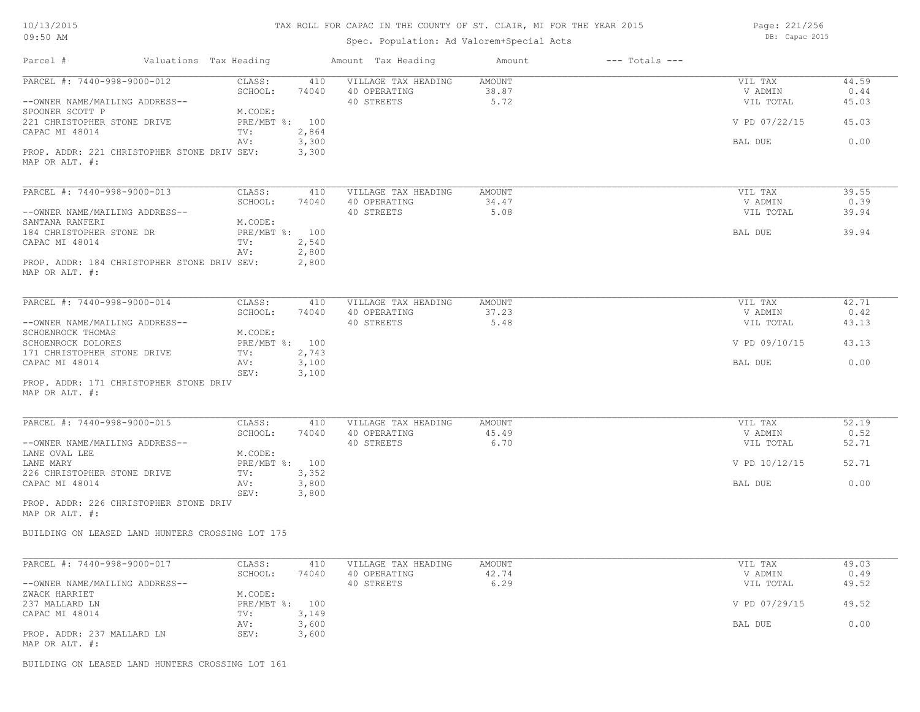| 10/13/2015 |  |
|------------|--|
| 09:50 AM   |  |

Spec. Population: Ad Valorem+Special Acts

Page: 221/256 DB: Capac 2015

| Parcel #                                                 | Valuations Tax Heading |                       |                | Amount Tax Heading                  | Amount                 | $---$ Totals $---$ |                    |               |
|----------------------------------------------------------|------------------------|-----------------------|----------------|-------------------------------------|------------------------|--------------------|--------------------|---------------|
| PARCEL #: 7440-998-9000-012                              |                        | CLASS:<br>SCHOOL:     | 410<br>74040   | VILLAGE TAX HEADING<br>40 OPERATING | AMOUNT<br>38.87        |                    | VIL TAX<br>V ADMIN | 44.59<br>0.44 |
| --OWNER NAME/MAILING ADDRESS--<br>SPOONER SCOTT P        |                        | M.CODE:               |                | 40 STREETS                          | 5.72                   |                    | VIL TOTAL          | 45.03         |
| 221 CHRISTOPHER STONE DRIVE<br>CAPAC MI 48014            |                        | PRE/MBT %: 100<br>TV: | 2,864          |                                     |                        |                    | V PD 07/22/15      | 45.03         |
| PROP. ADDR: 221 CHRISTOPHER STONE DRIV SEV:              |                        | AV:                   | 3,300<br>3,300 |                                     |                        |                    | BAL DUE            | 0.00          |
| MAP OR ALT. #:                                           |                        |                       |                |                                     |                        |                    |                    |               |
| PARCEL #: 7440-998-9000-013                              |                        | CLASS:                | 410            | VILLAGE TAX HEADING                 | <b>AMOUNT</b>          |                    | VIL TAX            | 39.55         |
|                                                          |                        | SCHOOL:               | 74040          | 40 OPERATING                        | 34.47                  |                    | V ADMIN            | 0.39          |
| --OWNER NAME/MAILING ADDRESS--<br>SANTANA RANFERI        |                        | M.CODE:               |                | 40 STREETS                          | 5.08                   |                    | VIL TOTAL          | 39.94         |
| 184 CHRISTOPHER STONE DR                                 |                        | PRE/MBT %: 100        |                |                                     |                        |                    | BAL DUE            | 39.94         |
| CAPAC MI 48014                                           |                        | TV:                   | 2,540          |                                     |                        |                    |                    |               |
|                                                          |                        | AV:                   | 2,800          |                                     |                        |                    |                    |               |
| PROP. ADDR: 184 CHRISTOPHER STONE DRIV SEV:              |                        |                       | 2,800          |                                     |                        |                    |                    |               |
| MAP OR ALT. #:                                           |                        |                       |                |                                     |                        |                    |                    |               |
| PARCEL #: 7440-998-9000-014                              |                        | CLASS:                | 410            | VILLAGE TAX HEADING                 | <b>AMOUNT</b>          |                    | VIL TAX            | 42.71         |
|                                                          |                        | SCHOOL:               | 74040          | 40 OPERATING                        | 37.23                  |                    | V ADMIN            | 0.42          |
| --OWNER NAME/MAILING ADDRESS--                           |                        |                       |                | 40 STREETS                          | 5.48                   |                    | VIL TOTAL          | 43.13         |
| SCHOENROCK THOMAS                                        |                        | M.CODE:               |                |                                     |                        |                    |                    |               |
| SCHOENROCK DOLORES                                       |                        | PRE/MBT %: 100        |                |                                     |                        |                    | V PD 09/10/15      | 43.13         |
| 171 CHRISTOPHER STONE DRIVE<br>CAPAC MI 48014            |                        | TV:<br>AV:            | 2,743<br>3,100 |                                     |                        |                    | <b>BAL DUE</b>     | 0.00          |
|                                                          |                        | SEV:                  | 3,100          |                                     |                        |                    |                    |               |
| PROP. ADDR: 171 CHRISTOPHER STONE DRIV<br>MAP OR ALT. #: |                        |                       |                |                                     |                        |                    |                    |               |
| PARCEL #: 7440-998-9000-015                              |                        | CLASS:                | 410            | VILLAGE TAX HEADING                 | <b>AMOUNT</b>          |                    | VIL TAX            | 52.19         |
|                                                          |                        | SCHOOL:               | 74040          | 40 OPERATING                        | 45.49                  |                    | V ADMIN            | 0.52          |
| --OWNER NAME/MAILING ADDRESS--                           |                        |                       |                | 40 STREETS                          | 6.70                   |                    | VIL TOTAL          | 52.71         |
| LANE OVAL LEE                                            |                        | M.CODE:               |                |                                     |                        |                    |                    |               |
| LANE MARY                                                |                        | PRE/MBT %: 100        |                |                                     |                        |                    | V PD 10/12/15      | 52.71         |
| 226 CHRISTOPHER STONE DRIVE<br>CAPAC MI 48014            |                        | TV:<br>AV:            | 3,352<br>3,800 |                                     |                        |                    | BAL DUE            | 0.00          |
|                                                          |                        | SEV:                  | 3,800          |                                     |                        |                    |                    |               |
| PROP. ADDR: 226 CHRISTOPHER STONE DRIV<br>MAP OR ALT. #: |                        |                       |                |                                     |                        |                    |                    |               |
| BUILDING ON LEASED LAND HUNTERS CROSSING LOT 175         |                        |                       |                |                                     |                        |                    |                    |               |
|                                                          |                        |                       |                |                                     |                        |                    |                    |               |
| PARCEL #: 7440-998-9000-017                              |                        | CLASS:<br>SCHOOL:     | 410<br>74040   | VILLAGE TAX HEADING<br>40 OPERATING | <b>AMOUNT</b><br>42.74 |                    | VIL TAX<br>V ADMIN | 49.03<br>0.49 |
| --OWNER NAME/MAILING ADDRESS--                           |                        |                       |                | 40 STREETS                          | 6.29                   |                    | VIL TOTAL          | 49.52         |
| ZWACK HARRIET                                            |                        | M.CODE:               |                |                                     |                        |                    |                    |               |
| 237 MALLARD LN                                           |                        | PRE/MBT %: 100        |                |                                     |                        |                    | V PD 07/29/15      | 49.52         |
| CAPAC MI 48014                                           |                        | TV:                   | 3,149          |                                     |                        |                    |                    |               |
| PROP. ADDR: 237 MALLARD LN                               |                        | AV:<br>SEV:           | 3,600<br>3,600 |                                     |                        |                    | BAL DUE            | 0.00          |
| MAP OR ALT. #:                                           |                        |                       |                |                                     |                        |                    |                    |               |

BUILDING ON LEASED LAND HUNTERS CROSSING LOT 161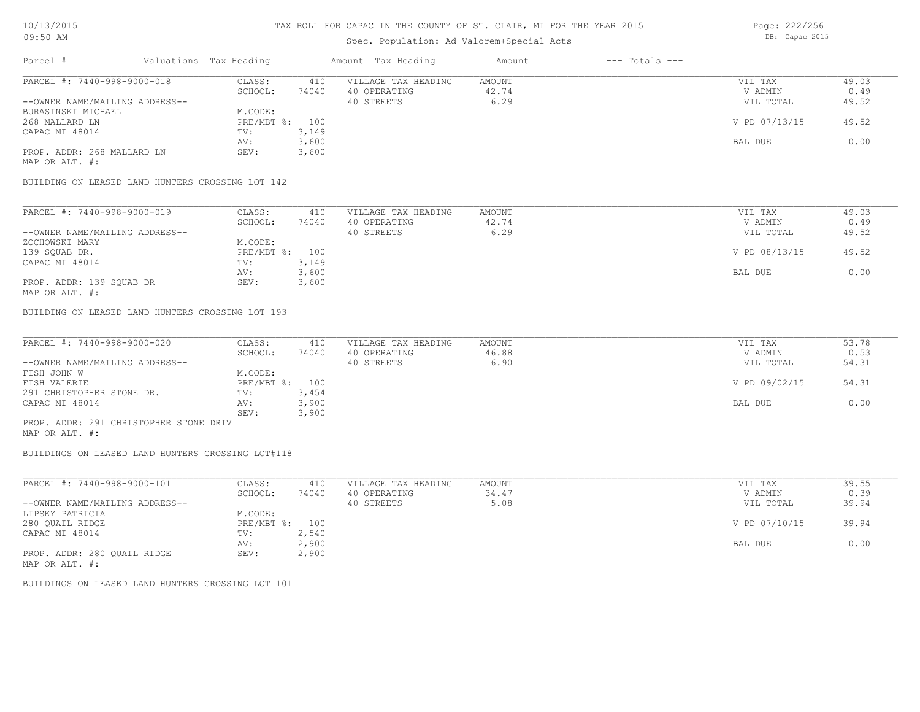### Spec. Population: Ad Valorem+Special Acts

| Parcel #                       | Valuations Tax Heading |       | Amount Tax Heading  | Amount | $---$ Totals $---$ |               |       |
|--------------------------------|------------------------|-------|---------------------|--------|--------------------|---------------|-------|
| PARCEL #: 7440-998-9000-018    | CLASS:                 | 410   | VILLAGE TAX HEADING | AMOUNT |                    | VIL TAX       | 49.03 |
|                                | SCHOOL:                | 74040 | 40 OPERATING        | 42.74  |                    | V ADMIN       | 0.49  |
| --OWNER NAME/MAILING ADDRESS-- |                        |       | 40 STREETS          | 6.29   |                    | VIL TOTAL     | 49.52 |
| BURASINSKI MICHAEL             | M.CODE:                |       |                     |        |                    |               |       |
| 268 MALLARD LN                 | PRE/MBT %: 100         |       |                     |        |                    | V PD 07/13/15 | 49.52 |
| CAPAC MI 48014                 | TV:                    | 3,149 |                     |        |                    |               |       |
|                                | AV:                    | 3,600 |                     |        |                    | BAL DUE       | 0.00  |
| PROP. ADDR: 268 MALLARD LN     | SEV:                   | 3,600 |                     |        |                    |               |       |
|                                |                        |       |                     |        |                    |               |       |

MAP OR ALT. #:

BUILDING ON LEASED LAND HUNTERS CROSSING LOT 142

| PARCEL #: 7440-998-9000-019    | CLASS:         | 410   | VILLAGE TAX HEADING | AMOUNT | VIL TAX       | 49.03 |
|--------------------------------|----------------|-------|---------------------|--------|---------------|-------|
|                                | SCHOOL:        | 74040 | 40 OPERATING        | 42.74  | V ADMIN       | 0.49  |
| --OWNER NAME/MAILING ADDRESS-- |                |       | 40 STREETS          | 6.29   | VIL TOTAL     | 49.52 |
| ZOCHOWSKI MARY                 | M.CODE:        |       |                     |        |               |       |
| 139 SQUAB DR.                  | PRE/MBT %: 100 |       |                     |        | V PD 08/13/15 | 49.52 |
| CAPAC MI 48014                 | TV:            | 3,149 |                     |        |               |       |
|                                | AV:            | 3,600 |                     |        | BAL DUE       | 0.00  |
| PROP. ADDR: 139 SOUAB DR       | SEV:           | 3,600 |                     |        |               |       |
| MAP OR ALT. #:                 |                |       |                     |        |               |       |

BUILDING ON LEASED LAND HUNTERS CROSSING LOT 193

| PARCEL #: 7440-998-9000-020            | CLASS:  | 410            | VILLAGE TAX HEADING | AMOUNT | VIL TAX       | 53.78 |
|----------------------------------------|---------|----------------|---------------------|--------|---------------|-------|
|                                        | SCHOOL: | 74040          | 40 OPERATING        | 46.88  | V ADMIN       | 0.53  |
| --OWNER NAME/MAILING ADDRESS--         |         |                | 40 STREETS          | 6.90   | VIL TOTAL     | 54.31 |
| FISH JOHN W                            | M.CODE: |                |                     |        |               |       |
| FISH VALERIE                           |         | PRE/MBT %: 100 |                     |        | V PD 09/02/15 | 54.31 |
| 291 CHRISTOPHER STONE DR.              | TV:     | 3,454          |                     |        |               |       |
| CAPAC MI 48014                         | AV:     | 3,900          |                     |        | BAL DUE       | 0.00  |
|                                        | SEV:    | 3,900          |                     |        |               |       |
| PROP. ADDR: 291 CHRISTOPHER STONE DRIV |         |                |                     |        |               |       |

MAP OR ALT. #:

BUILDINGS ON LEASED LAND HUNTERS CROSSING LOT#118

| PARCEL #: 7440-998-9000-101    | CLASS:       | 410   | VILLAGE TAX HEADING | AMOUNT | VIL TAX       | 39.55 |
|--------------------------------|--------------|-------|---------------------|--------|---------------|-------|
|                                | SCHOOL:      | 74040 | 40 OPERATING        | 34.47  | V ADMIN       | 0.39  |
| --OWNER NAME/MAILING ADDRESS-- |              |       | 40 STREETS          | 5.08   | VIL TOTAL     | 39.94 |
| LIPSKY PATRICIA                | M.CODE:      |       |                     |        |               |       |
| 280 OUAIL RIDGE                | $PRE/MBT$ %: | 100   |                     |        | V PD 07/10/15 | 39.94 |
| CAPAC MI 48014                 | TV:          | 2,540 |                     |        |               |       |
|                                | AV:          | 2,900 |                     |        | BAL DUE       | 0.00  |
| PROP. ADDR: 280 OUAIL RIDGE    | SEV:         | 2,900 |                     |        |               |       |
| MAP OR ALT. #:                 |              |       |                     |        |               |       |

BUILDINGS ON LEASED LAND HUNTERS CROSSING LOT 101

Page: 222/256 DB: Capac 2015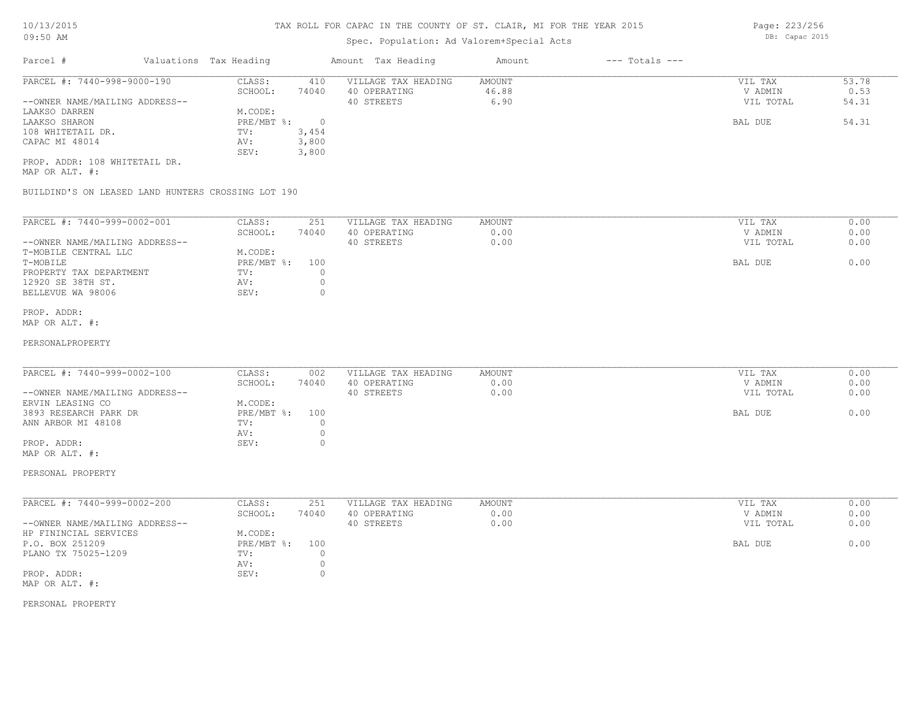# Spec. Population: Ad Valorem+Special Acts

| Parcel #                       | Valuations Tax Heading |       | Amount Tax Heading  | Amount | $---$ Totals $---$ |           |       |
|--------------------------------|------------------------|-------|---------------------|--------|--------------------|-----------|-------|
| PARCEL #: 7440-998-9000-190    | CLASS:                 | 410   | VILLAGE TAX HEADING | AMOUNT |                    | VIL TAX   | 53.78 |
|                                | SCHOOL:                | 74040 | 40 OPERATING        | 46.88  |                    | V ADMIN   | 0.53  |
| --OWNER NAME/MAILING ADDRESS-- |                        |       | 40 STREETS          | 6.90   |                    | VIL TOTAL | 54.31 |
| LAAKSO DARREN                  | M.CODE:                |       |                     |        |                    |           |       |
| LAAKSO SHARON                  | PRE/MBT %:             |       |                     |        |                    | BAL DUE   | 54.31 |
| 108 WHITETAIL DR.              | TV:                    | 3,454 |                     |        |                    |           |       |
| CAPAC MI 48014                 | AV:                    | 3,800 |                     |        |                    |           |       |
|                                | SEV:                   | 3,800 |                     |        |                    |           |       |
| PROP. ADDR: 108 WHITETAIL DR.  |                        |       |                     |        |                    |           |       |

MAP OR ALT. #:

BUILDIND'S ON LEASED LAND HUNTERS CROSSING LOT 190

| PARCEL #: 7440-999-0002-001    | CLASS:     | 251   | VILLAGE TAX HEADING | AMOUNT | 0.00<br>VIL TAX   |  |
|--------------------------------|------------|-------|---------------------|--------|-------------------|--|
|                                | SCHOOL:    | 74040 | 40 OPERATING        | 0.00   | 0.00<br>V ADMIN   |  |
| --OWNER NAME/MAILING ADDRESS-- |            |       | 40 STREETS          | 0.00   | 0.00<br>VIL TOTAL |  |
| T-MOBILE CENTRAL LLC           | M.CODE:    |       |                     |        |                   |  |
| T-MOBILE                       | PRE/MBT %: | 100   |                     |        | 0.00<br>BAL DUE   |  |
| PROPERTY TAX DEPARTMENT        | TV:        |       |                     |        |                   |  |
| 12920 SE 38TH ST.              | AV:        |       |                     |        |                   |  |
| BELLEVUE WA 98006              | SEV:       |       |                     |        |                   |  |
|                                |            |       |                     |        |                   |  |

#### MAP OR ALT. #: PROP. ADDR:

#### PERSONALPROPERTY

| PARCEL #: 7440-999-0002-100    | CLASS:     | 002   | VILLAGE TAX HEADING | AMOUNT | VIL TAX   | 0.00 |
|--------------------------------|------------|-------|---------------------|--------|-----------|------|
|                                | SCHOOL:    | 74040 | 40 OPERATING        | 0.00   | V ADMIN   | 0.00 |
| --OWNER NAME/MAILING ADDRESS-- |            |       | 40 STREETS          | 0.00   | VIL TOTAL | 0.00 |
| ERVIN LEASING CO               | M.CODE:    |       |                     |        |           |      |
| 3893 RESEARCH PARK DR          | PRE/MBT %: | 100   |                     |        | BAL DUE   | 0.00 |
| ANN ARBOR MI 48108             | TV:        |       |                     |        |           |      |
|                                | AV:        |       |                     |        |           |      |
| PROP. ADDR:                    | SEV:       |       |                     |        |           |      |
| MAP OR ALT. #:                 |            |       |                     |        |           |      |

 $\mathcal{L}_\mathcal{L} = \mathcal{L}_\mathcal{L} = \mathcal{L}_\mathcal{L} = \mathcal{L}_\mathcal{L} = \mathcal{L}_\mathcal{L} = \mathcal{L}_\mathcal{L} = \mathcal{L}_\mathcal{L} = \mathcal{L}_\mathcal{L} = \mathcal{L}_\mathcal{L} = \mathcal{L}_\mathcal{L} = \mathcal{L}_\mathcal{L} = \mathcal{L}_\mathcal{L} = \mathcal{L}_\mathcal{L} = \mathcal{L}_\mathcal{L} = \mathcal{L}_\mathcal{L} = \mathcal{L}_\mathcal{L} = \mathcal{L}_\mathcal{L}$ 

### PERSONAL PROPERTY

| PARCEL #: 7440-999-0002-200    | CLASS:       | 251   | VILLAGE TAX HEADING | AMOUNT | VIL TAX   | 0.00 |
|--------------------------------|--------------|-------|---------------------|--------|-----------|------|
|                                | SCHOOL:      | 74040 | 40 OPERATING        | 0.00   | V ADMIN   | 0.00 |
| --OWNER NAME/MAILING ADDRESS-- |              |       | 40 STREETS          | 0.00   | VIL TOTAL | 0.00 |
| HP FININCIAL SERVICES          | M.CODE:      |       |                     |        |           |      |
| P.O. BOX 251209                | $PRE/MBT$ %: | 100   |                     |        | BAL DUE   | 0.00 |
| PLANO TX 75025-1209            | TV:          |       |                     |        |           |      |
|                                | AV:          |       |                     |        |           |      |
| PROP. ADDR:                    | SEV:         |       |                     |        |           |      |
| MAP OR ALT. #:                 |              |       |                     |        |           |      |

PERSONAL PROPERTY

Page: 223/256 DB: Capac 2015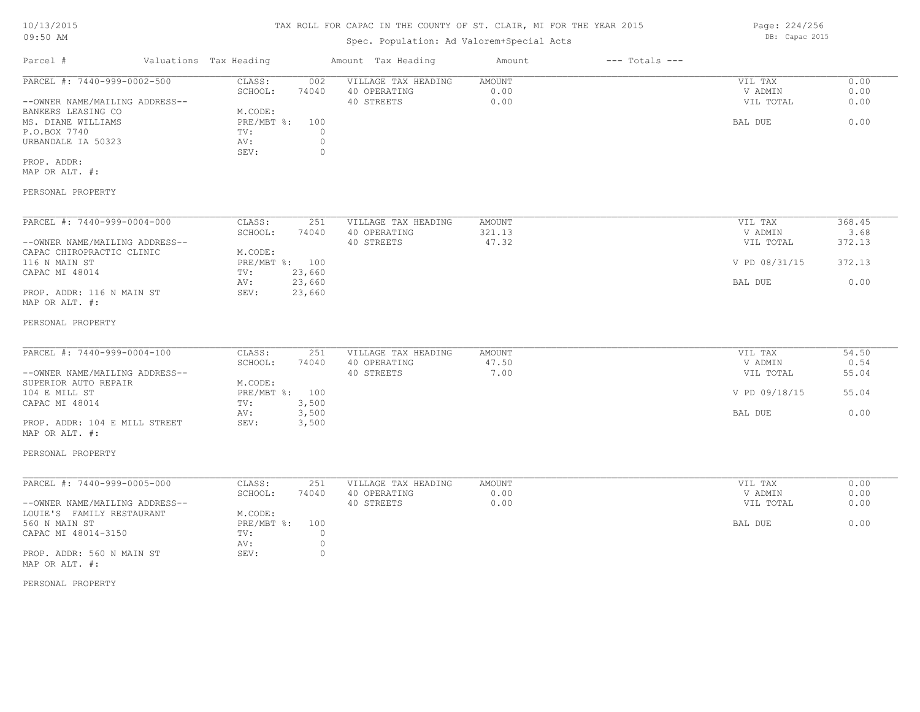# TAX ROLL FOR CAPAC IN THE COUNTY OF ST. CLAIR, MI FOR THE YEAR 2015

Spec. Population: Ad Valorem+Special Acts

| Parcel #                                                    | Valuations Tax Heading |                             |                | Amount Tax Heading                  | Amount         | $---$ Totals $---$ |                    |              |
|-------------------------------------------------------------|------------------------|-----------------------------|----------------|-------------------------------------|----------------|--------------------|--------------------|--------------|
| PARCEL #: 7440-999-0002-500                                 |                        | CLASS:<br>SCHOOL:           | 002<br>74040   | VILLAGE TAX HEADING<br>40 OPERATING | AMOUNT<br>0.00 |                    | VIL TAX<br>V ADMIN | 0.00<br>0.00 |
| --OWNER NAME/MAILING ADDRESS--                              |                        |                             |                | 40 STREETS                          | 0.00           |                    | VIL TOTAL          | 0.00         |
| BANKERS LEASING CO<br>MS. DIANE WILLIAMS                    |                        | M.CODE:<br>$PRE/MBT$ $\div$ | 100            |                                     |                |                    | BAL DUE            | 0.00         |
| P.O.BOX 7740                                                |                        | TV:                         | $\overline{0}$ |                                     |                |                    |                    |              |
| URBANDALE IA 50323                                          |                        | AV:                         | $\circ$        |                                     |                |                    |                    |              |
|                                                             |                        | SEV:                        | 0              |                                     |                |                    |                    |              |
| PROP. ADDR:                                                 |                        |                             |                |                                     |                |                    |                    |              |
| MAP OR ALT. #:                                              |                        |                             |                |                                     |                |                    |                    |              |
| PERSONAL PROPERTY                                           |                        |                             |                |                                     |                |                    |                    |              |
| PARCEL #: 7440-999-0004-000                                 |                        | CLASS:                      | 251            | VILLAGE TAX HEADING                 | AMOUNT         |                    | VIL TAX            | 368.45       |
|                                                             |                        | SCHOOL:                     | 74040          | 40 OPERATING                        | 321.13         |                    | V ADMIN            | 3.68         |
| --OWNER NAME/MAILING ADDRESS--                              |                        |                             |                | 40 STREETS                          | 47.32          |                    | VIL TOTAL          | 372.13       |
| CAPAC CHIROPRACTIC CLINIC                                   |                        | M.CODE:                     |                |                                     |                |                    |                    | 372.13       |
| 116 N MAIN ST<br>CAPAC MI 48014                             |                        | PRE/MBT %: 100<br>TV:       | 23,660         |                                     |                |                    | V PD 08/31/15      |              |
|                                                             |                        | AV:                         | 23,660         |                                     |                |                    | BAL DUE            | 0.00         |
| PROP. ADDR: 116 N MAIN ST<br>MAP OR ALT. #:                 |                        | SEV:                        | 23,660         |                                     |                |                    |                    |              |
| PERSONAL PROPERTY                                           |                        |                             |                |                                     |                |                    |                    |              |
| PARCEL #: 7440-999-0004-100                                 |                        | CLASS:                      | 251            | VILLAGE TAX HEADING                 | AMOUNT         |                    | VIL TAX            | 54.50        |
|                                                             |                        | SCHOOL:                     | 74040          | 40 OPERATING                        | 47.50          |                    | V ADMIN            | 0.54         |
| --OWNER NAME/MAILING ADDRESS--                              |                        |                             |                | 40 STREETS                          | 7.00           |                    | VIL TOTAL          | 55.04        |
| SUPERIOR AUTO REPAIR<br>104 E MILL ST                       |                        | M.CODE:<br>PRE/MBT %: 100   |                |                                     |                |                    | V PD 09/18/15      | 55.04        |
| CAPAC MI 48014                                              |                        | TV:                         | 3,500          |                                     |                |                    |                    |              |
|                                                             |                        | AV:                         | 3,500          |                                     |                |                    | BAL DUE            | 0.00         |
| PROP. ADDR: 104 E MILL STREET<br>MAP OR ALT. #:             |                        | SEV:                        | 3,500          |                                     |                |                    |                    |              |
| PERSONAL PROPERTY                                           |                        |                             |                |                                     |                |                    |                    |              |
| PARCEL #: 7440-999-0005-000                                 |                        | CLASS:                      | 251            | VILLAGE TAX HEADING                 | AMOUNT         |                    | VIL TAX            | 0.00         |
|                                                             |                        | SCHOOL:                     | 74040          | 40 OPERATING                        | 0.00           |                    | V ADMIN            | 0.00         |
| --OWNER NAME/MAILING ADDRESS--<br>LOUIE'S FAMILY RESTAURANT |                        | M.CODE:                     |                | 40 STREETS                          | 0.00           |                    | VIL TOTAL          | 0.00         |
| 560 N MAIN ST                                               |                        | PRE/MBT %:                  | 100            |                                     |                |                    | BAL DUE            | 0.00         |
| CAPAC MI 48014-3150                                         |                        | TV:                         | $\circ$        |                                     |                |                    |                    |              |
|                                                             |                        | AV:                         | $\circ$        |                                     |                |                    |                    |              |
| PROP. ADDR: 560 N MAIN ST<br>MAP OR ALT. #:                 |                        | SEV:                        | $\circ$        |                                     |                |                    |                    |              |
| PERSONAL PROPERTY                                           |                        |                             |                |                                     |                |                    |                    |              |
|                                                             |                        |                             |                |                                     |                |                    |                    |              |
|                                                             |                        |                             |                |                                     |                |                    |                    |              |
|                                                             |                        |                             |                |                                     |                |                    |                    |              |
|                                                             |                        |                             |                |                                     |                |                    |                    |              |
|                                                             |                        |                             |                |                                     |                |                    |                    |              |
|                                                             |                        |                             |                |                                     |                |                    |                    |              |
|                                                             |                        |                             |                |                                     |                |                    |                    |              |
|                                                             |                        |                             |                |                                     |                |                    |                    |              |
|                                                             |                        |                             |                |                                     |                |                    |                    |              |

Page: 224/256 DB: Capac 2015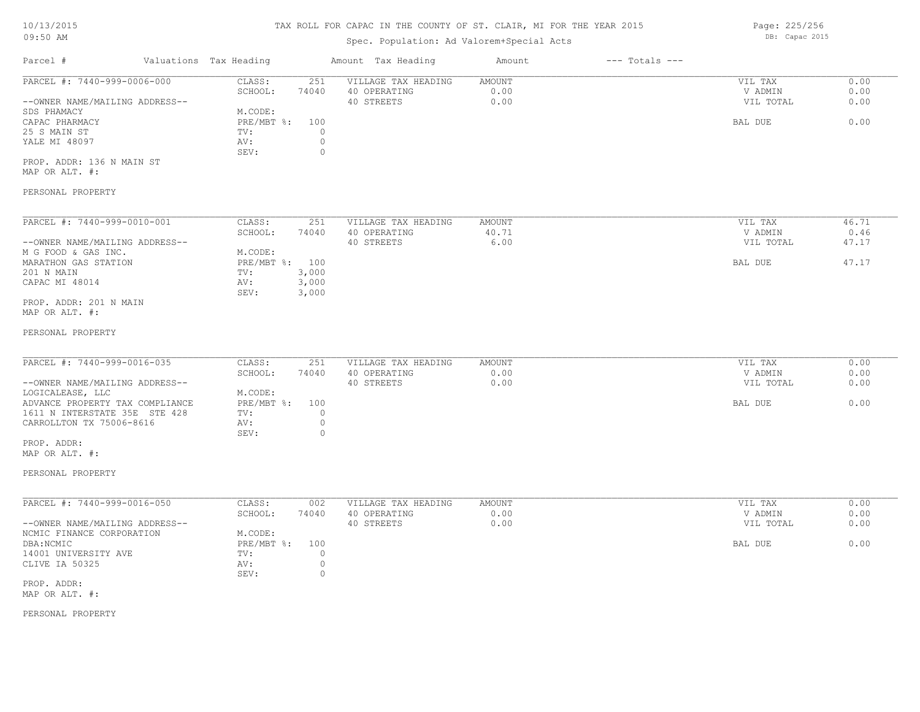### Spec. Population: Ad Valorem+Special Acts

Parcel # Valuations Tax Heading Amount Tax Heading Amount --- Totals ---PROP. ADDR: 136 N MAIN ST SEV: 0 YALE MI 48097 <br>BEV: 0 <br>SEV: 0 <br>O 25 S MAIN ST TV: 0 CAPAC PHARMACY PRE/MBT %: 100 BAL DUE 0.00 SDS PHAMACY M.CODE: --OWNER NAME/MAILING ADDRESS-- 40 STREETS 0.00 VIL TOTAL 0.00 SCHOOL: 74040 40 OPERATING 0.00 V ADMIN 0.00 PARCEL #: 7440-999-0006-000 CLASS: 251 VILLAGE TAX HEADING AMOUNT AMOUNT VIL TAX 0.00<br>SCHOOL: 74040 40 OPERATING 0.00 0.00 VADMIN 0.00  $\mathcal{L}_\mathcal{L} = \mathcal{L}_\mathcal{L} = \mathcal{L}_\mathcal{L} = \mathcal{L}_\mathcal{L} = \mathcal{L}_\mathcal{L} = \mathcal{L}_\mathcal{L} = \mathcal{L}_\mathcal{L} = \mathcal{L}_\mathcal{L} = \mathcal{L}_\mathcal{L} = \mathcal{L}_\mathcal{L} = \mathcal{L}_\mathcal{L} = \mathcal{L}_\mathcal{L} = \mathcal{L}_\mathcal{L} = \mathcal{L}_\mathcal{L} = \mathcal{L}_\mathcal{L} = \mathcal{L}_\mathcal{L} = \mathcal{L}_\mathcal{L}$ 

MAP OR ALT. #:

#### PERSONAL PROPERTY

| PARCEL #: 7440-999-0010-001    | CLASS:       | 251   | VILLAGE TAX HEADING | AMOUNT | VIL TAX   | 46.71 |
|--------------------------------|--------------|-------|---------------------|--------|-----------|-------|
|                                | SCHOOL:      | 74040 | 40 OPERATING        | 40.71  | V ADMIN   | 0.46  |
| --OWNER NAME/MAILING ADDRESS-- |              |       | 40 STREETS          | 6.00   | VIL TOTAL | 47.17 |
| M G FOOD & GAS INC.            | M.CODE:      |       |                     |        |           |       |
| MARATHON GAS STATION           | $PRE/MBT$ %: | 100   |                     |        | BAL DUE   | 47.17 |
| 201 N MAIN                     | TV:          | 3,000 |                     |        |           |       |
| CAPAC MI 48014                 | AV:          | 3,000 |                     |        |           |       |
|                                | SEV:         | 3,000 |                     |        |           |       |
| PROP. ADDR: 201 N MAIN         |              |       |                     |        |           |       |

MAP OR ALT. #:

#### PERSONAL PROPERTY

| PARCEL #: 7440-999-0016-035     | CLASS:       | 251   | VILLAGE TAX HEADING | AMOUNT | VIL TAX   | 0.00 |
|---------------------------------|--------------|-------|---------------------|--------|-----------|------|
|                                 | SCHOOL:      | 74040 | 40 OPERATING        | 0.00   | V ADMIN   | 0.00 |
| --OWNER NAME/MAILING ADDRESS--  |              |       | 40 STREETS          | 0.00   | VIL TOTAL | 0.00 |
| LOGICALEASE, LLC                | M.CODE:      |       |                     |        |           |      |
| ADVANCE PROPERTY TAX COMPLIANCE | $PRE/MBT$ %: | 100   |                     |        | BAL DUE   | 0.00 |
| 1611 N INTERSTATE 35E STE 428   | TV:          |       |                     |        |           |      |
| CARROLLTON TX 75006-8616        | AV:          |       |                     |        |           |      |
|                                 | SEV:         |       |                     |        |           |      |

MAP OR ALT. #: PROP. ADDR:

### PERSONAL PROPERTY

| PARCEL #: 7440-999-0016-050    | CLASS:       | 002   | VILLAGE TAX HEADING | AMOUNT | VIL TAX   | 0.00 |
|--------------------------------|--------------|-------|---------------------|--------|-----------|------|
|                                | SCHOOL:      | 74040 | 40 OPERATING        | 0.00   | V ADMIN   | 0.00 |
| --OWNER NAME/MAILING ADDRESS-- |              |       | 40 STREETS          | 0.00   | VIL TOTAL | 0.00 |
| NCMIC FINANCE CORPORATION      | M.CODE:      |       |                     |        |           |      |
| DBA:NCMIC                      | $PRE/MBT$ %: | 100   |                     |        | BAL DUE   | 0.00 |
| 14001 UNIVERSITY AVE           | TV:          |       |                     |        |           |      |
| CLIVE IA 50325                 | AV:          |       |                     |        |           |      |
|                                | SEV:         |       |                     |        |           |      |
| PROP, ADDR:                    |              |       |                     |        |           |      |

MAP OR ALT. #:

PERSONAL PROPERTY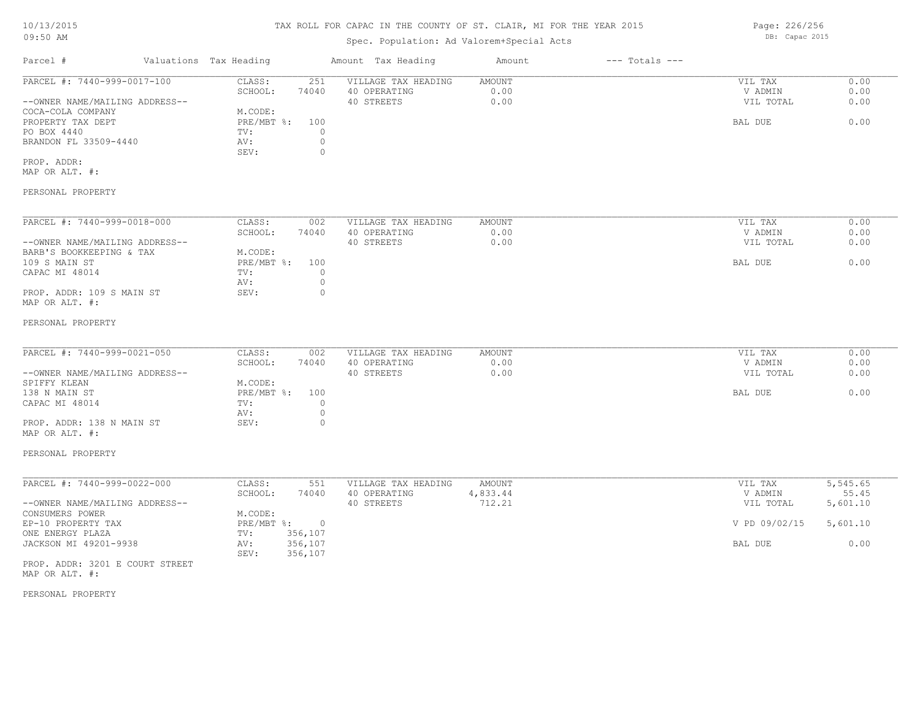# TAX ROLL FOR CAPAC IN THE COUNTY OF ST. CLAIR, MI FOR THE YEAR 2015

# Spec. Population: Ad Valorem+Special Acts

| Parcel #                       | Valuations Tax Heading |       | Amount Tax Heading  | Amount | $---$ Totals $---$ |           |      |
|--------------------------------|------------------------|-------|---------------------|--------|--------------------|-----------|------|
| PARCEL #: 7440-999-0017-100    | CLASS:                 | 251   | VILLAGE TAX HEADING | AMOUNT |                    | VIL TAX   | 0.00 |
|                                | SCHOOL:                | 74040 | 40 OPERATING        | 0.00   |                    | V ADMIN   | 0.00 |
| --OWNER NAME/MAILING ADDRESS-- |                        |       | 40 STREETS          | 0.00   |                    | VIL TOTAL | 0.00 |
| COCA-COLA COMPANY              | M.CODE:                |       |                     |        |                    |           |      |
| PROPERTY TAX DEPT              | PRE/MBT %:             | 100   |                     |        |                    | BAL DUE   | 0.00 |
| PO BOX 4440                    | TV:                    |       |                     |        |                    |           |      |
| BRANDON FL 33509-4440          | AV:                    |       |                     |        |                    |           |      |
|                                | SEV:                   |       |                     |        |                    |           |      |
| PROP. ADDR:                    |                        |       |                     |        |                    |           |      |

MAP OR ALT. #:

### PERSONAL PROPERTY

| PARCEL #: 7440-999-0018-000    | CLASS:     | 002   | VILLAGE TAX HEADING | AMOUNT | VIL TAX   | 0.00 |
|--------------------------------|------------|-------|---------------------|--------|-----------|------|
|                                | SCHOOL:    | 74040 | 40 OPERATING        | 0.00   | V ADMIN   | 0.00 |
| --OWNER NAME/MAILING ADDRESS-- |            |       | 40 STREETS          | 0.00   | VIL TOTAL | 0.00 |
| BARB'S BOOKKEEPING & TAX       | M.CODE:    |       |                     |        |           |      |
| 109 S MAIN ST                  | PRE/MBT %: | 100   |                     |        | BAL DUE   | 0.00 |
| CAPAC MI 48014                 | TV:        |       |                     |        |           |      |
|                                | AV:        |       |                     |        |           |      |
| PROP. ADDR: 109 S MAIN ST      | SEV:       |       |                     |        |           |      |
| MAP OR ALT. #:                 |            |       |                     |        |           |      |

#### PERSONAL PROPERTY

| PARCEL #: 7440-999-0021-050    | CLASS:     | 002   | VILLAGE TAX HEADING | AMOUNT | VIL TAX   | 0.00 |
|--------------------------------|------------|-------|---------------------|--------|-----------|------|
|                                | SCHOOL:    | 74040 | 40 OPERATING        | 0.00   | V ADMIN   | 0.00 |
| --OWNER NAME/MAILING ADDRESS-- |            |       | 40 STREETS          | 0.00   | VIL TOTAL | 0.00 |
| SPIFFY KLEAN                   | M.CODE:    |       |                     |        |           |      |
| 138 N MAIN ST                  | PRE/MBT %: | 100   |                     |        | BAL DUE   | 0.00 |
| CAPAC MI 48014                 | TV:        |       |                     |        |           |      |
|                                | AV:        |       |                     |        |           |      |
| PROP. ADDR: 138 N MAIN ST      | SEV:       |       |                     |        |           |      |
|                                |            |       |                     |        |           |      |

# MAP OR ALT. #:

#### PERSONAL PROPERTY

| PARCEL #: 7440-999-0022-000    | CLASS:     | 551     | VILLAGE TAX HEADING | AMOUNT   | VIL TAX       | 5,545.65 |
|--------------------------------|------------|---------|---------------------|----------|---------------|----------|
|                                | SCHOOL:    | 74040   | 40 OPERATING        | 4,833.44 | V ADMIN       | 55.45    |
| --OWNER NAME/MAILING ADDRESS-- |            |         | 40 STREETS          | 712.21   | VIL TOTAL     | 5,601.10 |
| CONSUMERS POWER                | M.CODE:    |         |                     |          |               |          |
| EP-10 PROPERTY TAX             | PRE/MBT %: |         |                     |          | V PD 09/02/15 | 5,601.10 |
| ONE ENERGY PLAZA               | TV:        | 356,107 |                     |          |               |          |
| JACKSON MI 49201-9938          | AV:        | 356,107 |                     |          | BAL DUE       | 0.00     |
|                                | SEV:       | 356,107 |                     |          |               |          |

MAP OR ALT. #: PROP. ADDR: 3201 E COURT STREET

#### PERSONAL PROPERTY

Page: 226/256 DB: Capac 2015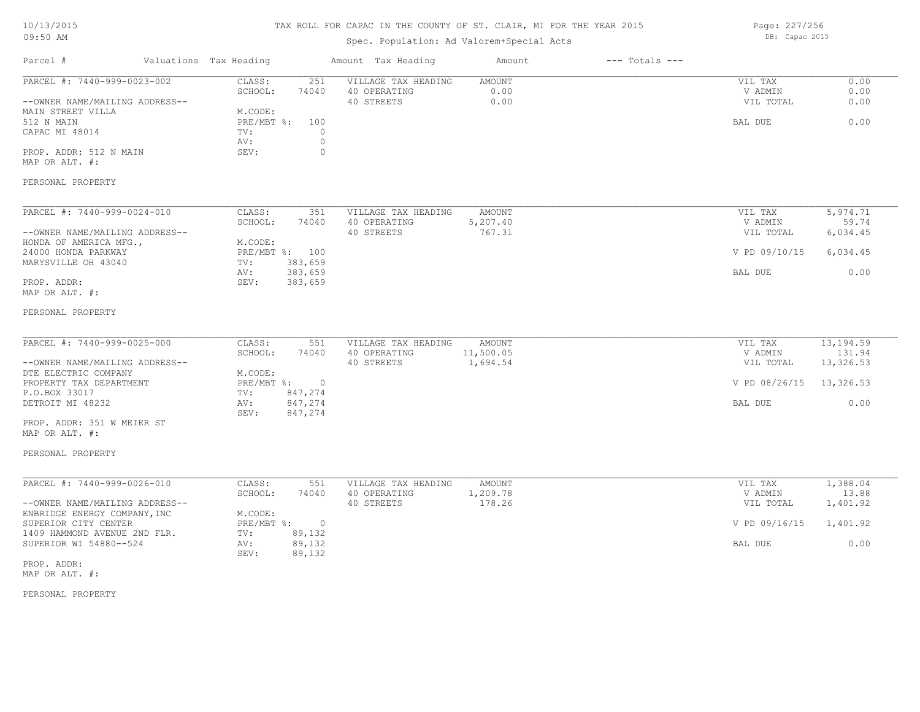#### TAX ROLL FOR CAPAC IN THE COUNTY OF ST. CLAIR, MI FOR THE YEAR 2015

Spec. Population: Ad Valorem+Special Acts

Parcel # Valuations Tax Heading Amount Tax Heading Amount --- Totals ---PERSONAL PROPERTY MAP OR ALT. #: PROP. ADDR: 512 N MAIN SEV: 0 AV: 0 CAPAC MI 48014 TV: 0<br>
AV: 0 512 N MAIN PRE/MBT %: 100 BAL DUE 0.00 MAIN STREET VILLA MODE:<br>512 N MAIN MAIN PRE/MBT %: 100 --OWNER NAME/MAILING ADDRESS-- 40 STREETS 0.00 VIL TOTAL 0.00 SCHOOL: 74040 40 OPERATING 0.00 V ADMIN 0.00 PARCEL #: 7440-999-0023-002 CLASS: 251 VILLAGE TAX HEADING AMOUNT VIL TAX VIL TAX 0.00<br>SCHOOL: 74040 40 OPERATING 0.00 000 VADMIN 0.00  $\mathcal{L}_\mathcal{L} = \mathcal{L}_\mathcal{L} = \mathcal{L}_\mathcal{L} = \mathcal{L}_\mathcal{L} = \mathcal{L}_\mathcal{L} = \mathcal{L}_\mathcal{L} = \mathcal{L}_\mathcal{L} = \mathcal{L}_\mathcal{L} = \mathcal{L}_\mathcal{L} = \mathcal{L}_\mathcal{L} = \mathcal{L}_\mathcal{L} = \mathcal{L}_\mathcal{L} = \mathcal{L}_\mathcal{L} = \mathcal{L}_\mathcal{L} = \mathcal{L}_\mathcal{L} = \mathcal{L}_\mathcal{L} = \mathcal{L}_\mathcal{L}$ PERSONAL PROPERTY MAP OR ALT. #: PROP. ADDR: SEV: 383,659 AV: 383,659 BAL DUE 0.00 MARYSVILLE OH 43040 TV: 383,659<br>AV: 383,659<br>AV: 383,659 24000 HONDA PARKWAY PRE/MBT %: 100 V PD 09/10/15 6,034.45 HONDA OF AMERICA MFG., M.CODE: --OWNER NAME/MAILING ADDRESS-- 40 STREETS 767.31 VIL TOTAL 6,034.45 SCHOOL: 74040 40 OPERATING 5,207.40 V ADMIN 59.74 PARCEL #: 7440-999-0024-010 CLASS: 351 VILLAGE TAX HEADING AMOUNT VIL TAX 5,974.71 5,974.71 SCHOOL: 74040 40 OPERATING 5,207.40 VADMIN 59.74  $\mathcal{L}_\mathcal{L} = \mathcal{L}_\mathcal{L} = \mathcal{L}_\mathcal{L} = \mathcal{L}_\mathcal{L} = \mathcal{L}_\mathcal{L} = \mathcal{L}_\mathcal{L} = \mathcal{L}_\mathcal{L} = \mathcal{L}_\mathcal{L} = \mathcal{L}_\mathcal{L} = \mathcal{L}_\mathcal{L} = \mathcal{L}_\mathcal{L} = \mathcal{L}_\mathcal{L} = \mathcal{L}_\mathcal{L} = \mathcal{L}_\mathcal{L} = \mathcal{L}_\mathcal{L} = \mathcal{L}_\mathcal{L} = \mathcal{L}_\mathcal{L}$ PERSONAL PROPERTY MAP OR ALT. #: PROP. ADDR: 351 W MEIER ST SEV: 847,274 DETROIT MI 48232 AV: 847,274 BAL DUE 0.00 P.O.BOX 33017 TV: 847,274 PROPERTY TAX DEPARTMENT **PRE/MBT \$:** 0 0 08/26/15 13.326.53 DTE ELECTRIC COMPANY M.CODE: --OWNER NAME/MAILING ADDRESS-- 40 STREETS 40 STREETS 4,694.54 VIL TOTAL 13,326.53 SCHOOL: 74040 40 OPERATING 11,500.05 11,500.05 V ADMIN 131.94 PARCEL #: 7440-999-0025-000 CLASS: 551 VILLAGE TAX HEADING AMOUNT VIL TAX 13,194.59<br>SCHOOL: 74040 40 OPERATING 11,500.05 VADMIN 131.94  $\mathcal{L}_\mathcal{L} = \mathcal{L}_\mathcal{L} = \mathcal{L}_\mathcal{L} = \mathcal{L}_\mathcal{L} = \mathcal{L}_\mathcal{L} = \mathcal{L}_\mathcal{L} = \mathcal{L}_\mathcal{L} = \mathcal{L}_\mathcal{L} = \mathcal{L}_\mathcal{L} = \mathcal{L}_\mathcal{L} = \mathcal{L}_\mathcal{L} = \mathcal{L}_\mathcal{L} = \mathcal{L}_\mathcal{L} = \mathcal{L}_\mathcal{L} = \mathcal{L}_\mathcal{L} = \mathcal{L}_\mathcal{L} = \mathcal{L}_\mathcal{L}$ PERSONAL PROPERTY MAP OR ALT. #: PROP. ADDR: SEV: 89,132 SUPERIOR WI 54880--524 AV: 89,132<br>
SEV: 89,132<br>
SEV: 89,132 1409 HAMMOND AVENUE 2ND FLR. TV: 89,132 SUPERIOR CITY CENTER  $PRE/MBT$  %: 0  $V$  PD 09/16/15 1,401.92 ENBRIDGE ENERGY COMPANY, INC<br>SUPERIOR CITY CENTER<br>PRE/MBT %: --OWNER NAME/MAILING ADDRESS-- 40 STREETS 178.26 VIL TOTAL 1,401.92 SCHOOL: 74040 40 OPERATING 1,209.78 V ADMIN 13.88 PARCEL #: 7440-999-0026-010 CLASS: 551 VILLAGE TAX HEADING AMOUNT VIL TAX 1,388.04<br>SCHOOL: 74040 40 OPERATING 1,209.78 VADMIN 13.88  $\mathcal{L}_\mathcal{L} = \mathcal{L}_\mathcal{L} = \mathcal{L}_\mathcal{L} = \mathcal{L}_\mathcal{L} = \mathcal{L}_\mathcal{L} = \mathcal{L}_\mathcal{L} = \mathcal{L}_\mathcal{L} = \mathcal{L}_\mathcal{L} = \mathcal{L}_\mathcal{L} = \mathcal{L}_\mathcal{L} = \mathcal{L}_\mathcal{L} = \mathcal{L}_\mathcal{L} = \mathcal{L}_\mathcal{L} = \mathcal{L}_\mathcal{L} = \mathcal{L}_\mathcal{L} = \mathcal{L}_\mathcal{L} = \mathcal{L}_\mathcal{L}$ 

Page: 227/256 DB: Capac 2015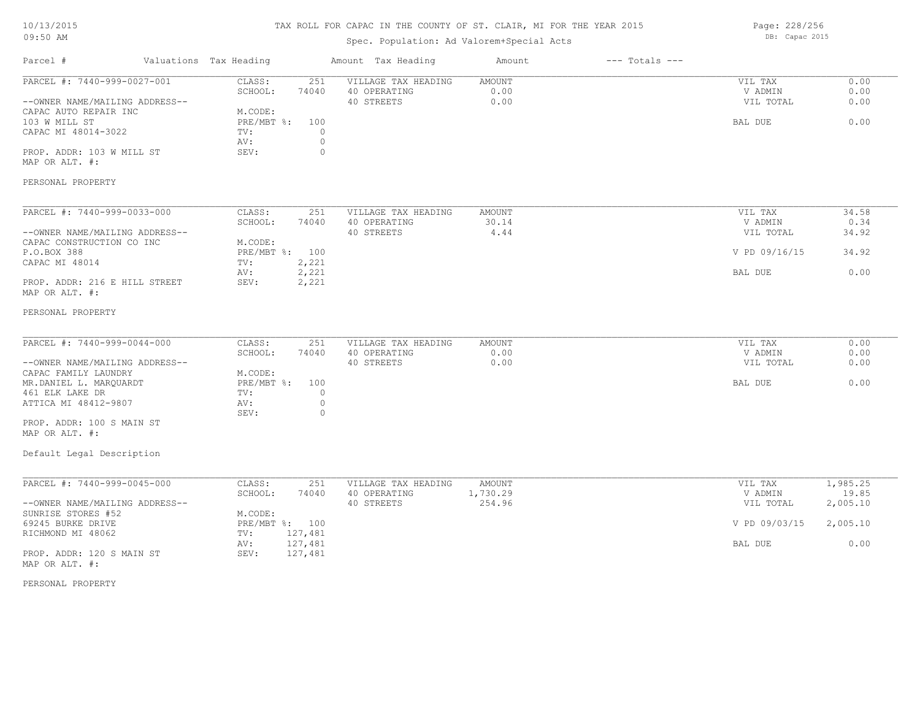#### TAX ROLL FOR CAPAC IN THE COUNTY OF ST. CLAIR, MI FOR THE YEAR 2015

### Spec. Population: Ad Valorem+Special Acts

Parcel # Valuations Tax Heading Amount Tax Heading Amount --- Totals ---DB: Capac 2015 103 W MILL ST PRE/MBT %: 100 BAL DUE 0.00 --OWNER NAME/MAILING ADDRESS-- 40 STREETS 0.00 VIL TOTAL 0.00 SCHOOL: 74040 40 OPERATING 0.00 V ADMIN 0.00 PARCEL #: 7440-999-0027-001 CLASS: 251 VILLAGE TAX HEADING AMOUNT AMOUNT VIL TAX 0.00<br>SCHOOL: 74040 40 OPERATING 0.00 000 VADMIN 0.00  $\mathcal{L}_\mathcal{L} = \mathcal{L}_\mathcal{L} = \mathcal{L}_\mathcal{L} = \mathcal{L}_\mathcal{L} = \mathcal{L}_\mathcal{L} = \mathcal{L}_\mathcal{L} = \mathcal{L}_\mathcal{L} = \mathcal{L}_\mathcal{L} = \mathcal{L}_\mathcal{L} = \mathcal{L}_\mathcal{L} = \mathcal{L}_\mathcal{L} = \mathcal{L}_\mathcal{L} = \mathcal{L}_\mathcal{L} = \mathcal{L}_\mathcal{L} = \mathcal{L}_\mathcal{L} = \mathcal{L}_\mathcal{L} = \mathcal{L}_\mathcal{L}$ 

MAP OR ALT. #: PROP. ADDR: 103 W MILL ST SEV: 0

 AV: 0 CAPAC MI 48014-3022 TV: 0<br>AV: 0

CAPAC AUTO REPAIR INC<br>103 W MILL ST<br>103 W MILL ST

PERSONAL PROPERTY

| PARCEL #: 7440-999-0033-000    | CLASS:         | 251   | VILLAGE TAX HEADING | AMOUNT | VIL TAX       | 34.58 |
|--------------------------------|----------------|-------|---------------------|--------|---------------|-------|
|                                | SCHOOL:        | 74040 | 40 OPERATING        | 30.14  | V ADMIN       | 0.34  |
| --OWNER NAME/MAILING ADDRESS-- |                |       | 40 STREETS          | 4.44   | VIL TOTAL     | 34.92 |
| CAPAC CONSTRUCTION CO INC      | M.CODE:        |       |                     |        |               |       |
| P.O.BOX 388                    | PRE/MBT %: 100 |       |                     |        | V PD 09/16/15 | 34.92 |
| CAPAC MI 48014                 | TV:            | 2,221 |                     |        |               |       |
|                                | AV:            | 2,221 |                     |        | BAL DUE       | 0.00  |
| PROP. ADDR: 216 E HILL STREET  | SEV:           | 2,221 |                     |        |               |       |
| MAP OR ALT. #:                 |                |       |                     |        |               |       |

#### PERSONAL PROPERTY

| PARCEL #: 7440-999-0044-000    | CLASS:         | 251   | VILLAGE TAX HEADING | AMOUNT | VIL TAX   | 0.00 |
|--------------------------------|----------------|-------|---------------------|--------|-----------|------|
|                                | SCHOOL:        | 74040 | 40 OPERATING        | 0.00   | V ADMIN   | 0.00 |
| --OWNER NAME/MAILING ADDRESS-- |                |       | 40 STREETS          | 0.00   | VIL TOTAL | 0.00 |
| CAPAC FAMILY LAUNDRY           | M.CODE:        |       |                     |        |           |      |
| MR.DANIEL L. MAROUARDT         | PRE/MBT %: 100 |       |                     |        | BAL DUE   | 0.00 |
| 461 ELK LAKE DR                | TV:            |       |                     |        |           |      |
| ATTICA MI 48412-9807           | AV:            |       |                     |        |           |      |
|                                | SEV:           |       |                     |        |           |      |
| PROP. ADDR: 100 S MAIN ST      |                |       |                     |        |           |      |

MAP OR ALT. #:

#### Default Legal Description

| PARCEL #: 7440-999-0045-000    | CLASS:         | 251     | VILLAGE TAX HEADING | AMOUNT   | VIL TAX       | 1,985.25 |
|--------------------------------|----------------|---------|---------------------|----------|---------------|----------|
|                                | SCHOOL:        | 74040   | 40 OPERATING        | 1,730.29 | V ADMIN       | 19.85    |
| --OWNER NAME/MAILING ADDRESS-- |                |         | 40 STREETS          | 254.96   | VIL TOTAL     | 2,005.10 |
| SUNRISE STORES #52             | M.CODE:        |         |                     |          |               |          |
| 69245 BURKE DRIVE              | PRE/MBT %: 100 |         |                     |          | V PD 09/03/15 | 2,005.10 |
| RICHMOND MI 48062              | TV:            | 127,481 |                     |          |               |          |
|                                | AV:            | 127,481 |                     |          | BAL DUE       | 0.00     |
| PROP. ADDR: 120 S MAIN ST      | SEV:           | 127,481 |                     |          |               |          |
| MAP OR ALT. #:                 |                |         |                     |          |               |          |

PERSONAL PROPERTY

Page: 228/256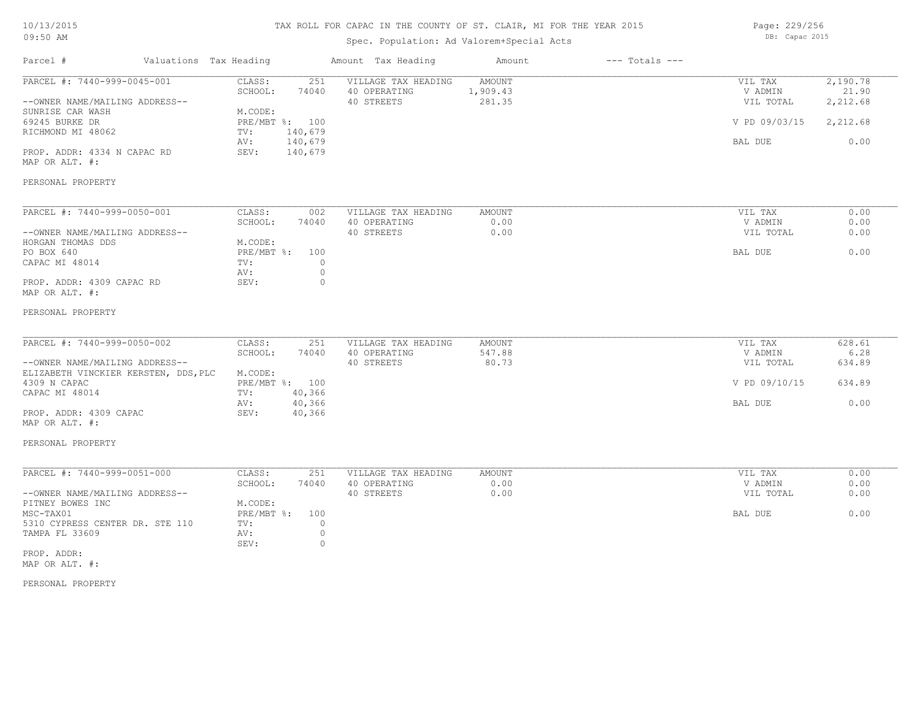# TAX ROLL FOR CAPAC IN THE COUNTY OF ST. CLAIR, MI FOR THE YEAR 2015

# Spec. Population: Ad Valorem+Special Acts

Page: 229/256 DB: Capac 2015

| Parcel #                                                                                                                                                                                                 | Valuations Tax Heading |                                                                                                                       | Amount Tax Heading                                                                 | Amount                              | $---$ Totals $---$ |                                                             |                                                   |
|----------------------------------------------------------------------------------------------------------------------------------------------------------------------------------------------------------|------------------------|-----------------------------------------------------------------------------------------------------------------------|------------------------------------------------------------------------------------|-------------------------------------|--------------------|-------------------------------------------------------------|---------------------------------------------------|
| PARCEL #: 7440-999-0045-001<br>--OWNER NAME/MAILING ADDRESS--<br>SUNRISE CAR WASH<br>69245 BURKE DR<br>RICHMOND MI 48062<br>PROP. ADDR: 4334 N CAPAC RD<br>MAP OR ALT. #:<br>PERSONAL PROPERTY           |                        | CLASS:<br>251<br>SCHOOL:<br>74040<br>M.CODE:<br>PRE/MBT %: 100<br>140,679<br>TV:<br>140,679<br>AV:<br>140,679<br>SEV: | VILLAGE TAX HEADING<br>40 OPERATING<br>40 STREETS                                  | <b>AMOUNT</b><br>1,909.43<br>281.35 |                    | VIL TAX<br>V ADMIN<br>VIL TOTAL<br>V PD 09/03/15<br>BAL DUE | 2,190.78<br>21.90<br>2,212.68<br>2,212.68<br>0.00 |
| PARCEL #: 7440-999-0050-001<br>--OWNER NAME/MAILING ADDRESS--<br>HORGAN THOMAS DDS<br>PO BOX 640<br>CAPAC MI 48014<br>PROP. ADDR: 4309 CAPAC RD<br>MAP OR ALT. #:<br>PERSONAL PROPERTY                   |                        | CLASS:<br>002<br>SCHOOL:<br>74040<br>M.CODE:<br>PRE/MBT %:<br>100<br>TV:<br>AV:<br>SEV:                               | VILLAGE TAX HEADING<br>40 OPERATING<br>40 STREETS<br>$\circ$<br>$\circ$<br>$\circ$ | AMOUNT<br>0.00<br>0.00              |                    | VIL TAX<br>V ADMIN<br>VIL TOTAL<br>BAL DUE                  | 0.00<br>0.00<br>0.00<br>0.00                      |
| PARCEL #: 7440-999-0050-002<br>--OWNER NAME/MAILING ADDRESS--<br>ELIZABETH VINCKIER KERSTEN, DDS, PLC<br>4309 N CAPAC<br>CAPAC MI 48014<br>PROP. ADDR: 4309 CAPAC<br>MAP OR ALT. #:<br>PERSONAL PROPERTY |                        | CLASS:<br>251<br>SCHOOL:<br>74040<br>M.CODE:<br>PRE/MBT %: 100<br>40,366<br>TV:<br>40,366<br>AV:<br>SEV:<br>40,366    | VILLAGE TAX HEADING<br>40 OPERATING<br>40 STREETS                                  | <b>AMOUNT</b><br>547.88<br>80.73    |                    | VIL TAX<br>V ADMIN<br>VIL TOTAL<br>V PD 09/10/15<br>BAL DUE | 628.61<br>6.28<br>634.89<br>634.89<br>0.00        |
| PARCEL #: 7440-999-0051-000<br>--OWNER NAME/MAILING ADDRESS--<br>PITNEY BOWES INC<br>MSC-TAX01<br>5310 CYPRESS CENTER DR. STE 110<br>TAMPA FL 33609<br>PROP. ADDR:<br>MAP OR ALT. #:                     |                        | CLASS:<br>251<br>SCHOOL:<br>74040<br>M.CODE:<br>PRE/MBT %:<br>100<br>TV:<br>AV:<br>SEV:                               | VILLAGE TAX HEADING<br>40 OPERATING<br>40 STREETS<br>$\circ$<br>$\circ$<br>$\circ$ | AMOUNT<br>0.00<br>0.00              |                    | VIL TAX<br>V ADMIN<br>VIL TOTAL<br>BAL DUE                  | 0.00<br>0.00<br>0.00<br>0.00                      |

PERSONAL PROPERTY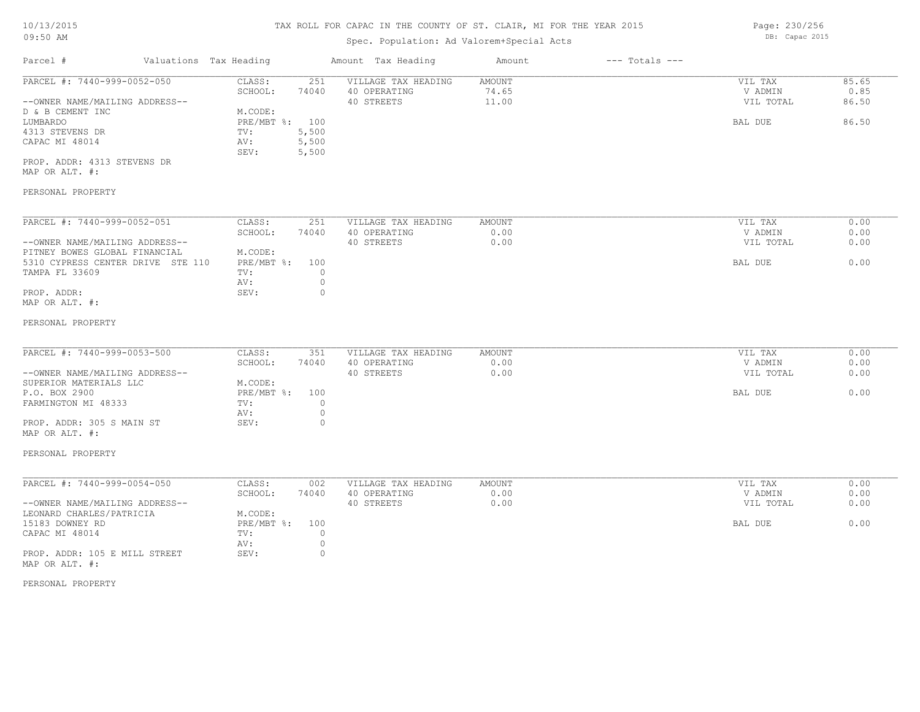# Spec. Population: Ad Valorem+Special Acts

| Parcel #                       | Valuations Tax Heading |       | Amount Tax Heading  | Amount | $---$ Totals $---$ |           |       |
|--------------------------------|------------------------|-------|---------------------|--------|--------------------|-----------|-------|
| PARCEL #: 7440-999-0052-050    | CLASS:                 | 251   | VILLAGE TAX HEADING | AMOUNT |                    | VIL TAX   | 85.65 |
|                                | SCHOOL:                | 74040 | 40 OPERATING        | 74.65  |                    | V ADMIN   | 0.85  |
| --OWNER NAME/MAILING ADDRESS-- |                        |       | 40 STREETS          | 11.00  |                    | VIL TOTAL | 86.50 |
| D & B CEMENT INC               | M.CODE:                |       |                     |        |                    |           |       |
| LUMBARDO                       | PRE/MBT %: 100         |       |                     |        |                    | BAL DUE   | 86.50 |
| 4313 STEVENS DR                | TV:                    | 5,500 |                     |        |                    |           |       |
| CAPAC MI 48014                 | AV:                    | 5,500 |                     |        |                    |           |       |
|                                | SEV:                   | 5,500 |                     |        |                    |           |       |
| PROP. ADDR: 4313 STEVENS DR    |                        |       |                     |        |                    |           |       |
|                                |                        |       |                     |        |                    |           |       |

MAP OR ALT. #:

### PERSONAL PROPERTY

| PARCEL #: 7440-999-0052-051       | CLASS:     | 251   | VILLAGE TAX HEADING | AMOUNT | 0.00<br>VIL TAX   |
|-----------------------------------|------------|-------|---------------------|--------|-------------------|
|                                   | SCHOOL:    | 74040 | 40 OPERATING        | 0.00   | 0.00<br>V ADMIN   |
| --OWNER NAME/MAILING ADDRESS--    |            |       | 40 STREETS          | 0.00   | 0.00<br>VIL TOTAL |
| PITNEY BOWES GLOBAL FINANCIAL     | M.CODE:    |       |                     |        |                   |
| 5310 CYPRESS CENTER DRIVE STE 110 | PRE/MBT %: | 100   |                     |        | BAL DUE<br>0.00   |
| TAMPA FL 33609                    | TV:        |       |                     |        |                   |
|                                   | AV:        |       |                     |        |                   |
| PROP. ADDR:                       | SEV:       |       |                     |        |                   |
| MAP OR ALT. #:                    |            |       |                     |        |                   |

#### PERSONAL PROPERTY

| 74040<br>40 OPERATING<br>SCHOOL:<br>0.00<br>V ADMIN<br>VIL TOTAL<br>0.00<br>40 STREETS<br>M.CODE: | 0.00 |
|---------------------------------------------------------------------------------------------------|------|
| --OWNER NAME/MAILING ADDRESS--                                                                    |      |
| SUPERIOR MATERIALS LLC                                                                            | 0.00 |
|                                                                                                   |      |
| PRE/MBT %: 100<br>P.O. BOX 2900<br>BAL DUE                                                        | 0.00 |
| FARMINGTON MI 48333<br>TV:                                                                        |      |
| AV:                                                                                               |      |
| PROP. ADDR: 305 S MAIN ST<br>SEV:                                                                 |      |

### MAP OR ALT. #:

#### PERSONAL PROPERTY

| PARCEL #: 7440-999-0054-050    | CLASS:         | 002   | VILLAGE TAX HEADING | AMOUNT | VIL TAX   | 0.00 |
|--------------------------------|----------------|-------|---------------------|--------|-----------|------|
|                                | SCHOOL:        | 74040 | 40 OPERATING        | 0.00   | V ADMIN   | 0.00 |
| --OWNER NAME/MAILING ADDRESS-- |                |       | 40 STREETS          | 0.00   | VIL TOTAL | 0.00 |
| LEONARD CHARLES/PATRICIA       | M.CODE:        |       |                     |        |           |      |
| 15183 DOWNEY RD                | PRE/MBT %: 100 |       |                     |        | BAL DUE   | 0.00 |
| CAPAC MI 48014                 | TV:            |       |                     |        |           |      |
|                                | AV:            |       |                     |        |           |      |
| PROP. ADDR: 105 E MILL STREET  | SEV:           |       |                     |        |           |      |
| MAP OR ALT. #:                 |                |       |                     |        |           |      |

#### PERSONAL PROPERTY

Page: 230/256 DB: Capac 2015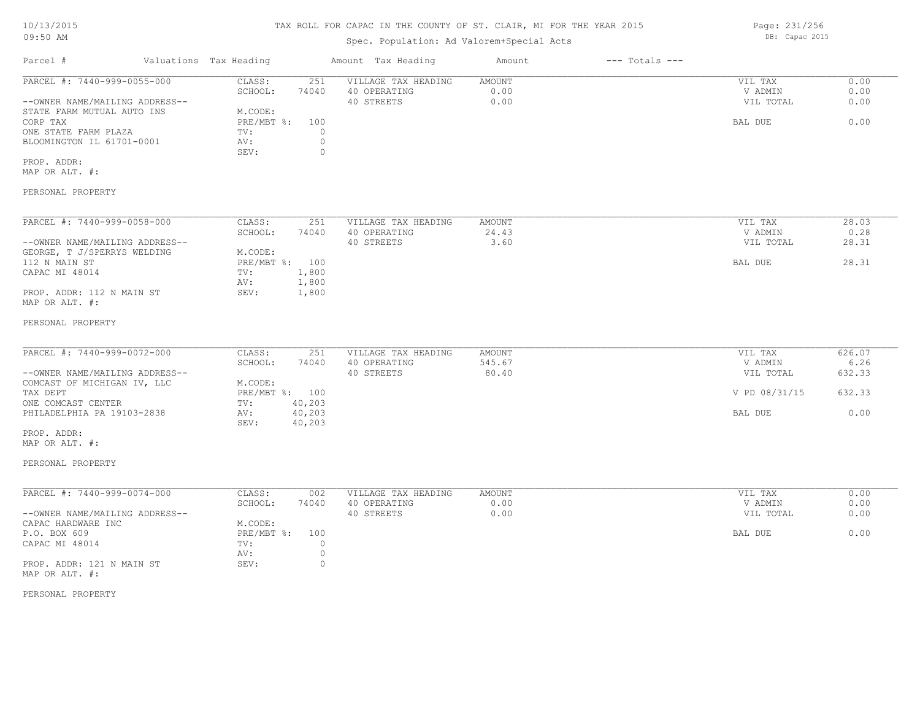# 10/13/2015

### TAX ROLL FOR CAPAC IN THE COUNTY OF ST. CLAIR, MI FOR THE YEAR 2015

| 09:50 AM                                                                                    |  |                                             |                                      |                                     | Spec. Population: Ad Valorem+Special Acts |                    |                      |                |
|---------------------------------------------------------------------------------------------|--|---------------------------------------------|--------------------------------------|-------------------------------------|-------------------------------------------|--------------------|----------------------|----------------|
| Parcel #                                                                                    |  | Valuations Tax Heading                      |                                      | Amount Tax Heading                  | Amount                                    | $---$ Totals $---$ |                      |                |
| PARCEL #: 7440-999-0055-000                                                                 |  | CLASS:<br>SCHOOL:                           | 251<br>74040                         | VILLAGE TAX HEADING<br>40 OPERATING | <b>AMOUNT</b><br>0.00                     |                    | VIL TAX<br>V ADMIN   | 0.00<br>0.00   |
| --OWNER NAME/MAILING ADDRESS--                                                              |  |                                             |                                      | 40 STREETS                          | 0.00                                      |                    | VIL TOTAL            | 0.00           |
| STATE FARM MUTUAL AUTO INS<br>CORP TAX<br>ONE STATE FARM PLAZA<br>BLOOMINGTON IL 61701-0001 |  | M.CODE:<br>PRE/MBT %:<br>TV:<br>AV:<br>SEV: | 100<br>$\circ$<br>$\circ$<br>$\circ$ |                                     |                                           |                    | BAL DUE              | 0.00           |
| PROP. ADDR:<br>MAP OR ALT. #:                                                               |  |                                             |                                      |                                     |                                           |                    |                      |                |
| PERSONAL PROPERTY                                                                           |  |                                             |                                      |                                     |                                           |                    |                      |                |
| PARCEL #: 7440-999-0058-000                                                                 |  | CLASS:                                      | 251                                  | VILLAGE TAX HEADING                 | AMOUNT                                    |                    | VIL TAX              | 28.03          |
| --OWNER NAME/MAILING ADDRESS--                                                              |  | SCHOOL:                                     | 74040                                | 40 OPERATING<br>40 STREETS          | 24.43<br>3.60                             |                    | V ADMIN<br>VIL TOTAL | 0.28<br>28.31  |
| GEORGE, T J/SPERRYS WELDING<br>112 N MAIN ST                                                |  | M.CODE:<br>PRE/MBT %: 100                   |                                      |                                     |                                           |                    | BAL DUE              | 28.31          |
| CAPAC MI 48014                                                                              |  | TV:<br>AV:                                  | 1,800<br>1,800                       |                                     |                                           |                    |                      |                |
| PROP. ADDR: 112 N MAIN ST<br>MAP OR ALT. #:                                                 |  | SEV:                                        | 1,800                                |                                     |                                           |                    |                      |                |
| PERSONAL PROPERTY                                                                           |  |                                             |                                      |                                     |                                           |                    |                      |                |
| PARCEL #: 7440-999-0072-000                                                                 |  | CLASS:                                      | 251                                  | VILLAGE TAX HEADING                 | AMOUNT                                    |                    | VIL TAX              | 626.07         |
| --OWNER NAME/MAILING ADDRESS--                                                              |  | SCHOOL:                                     | 74040                                | 40 OPERATING<br>40 STREETS          | 545.67<br>80.40                           |                    | V ADMIN<br>VIL TOTAL | 6.26<br>632.33 |
| COMCAST OF MICHIGAN IV, LLC<br>TAX DEPT<br>ONE COMCAST CENTER                               |  | M.CODE:<br>PRE/MBT %: 100<br>TV:            |                                      |                                     |                                           |                    | V PD 08/31/15        | 632.33         |
| PHILADELPHIA PA 19103-2838                                                                  |  | AV:<br>SEV:                                 | 40,203<br>40,203<br>40,203           |                                     |                                           |                    | BAL DUE              | 0.00           |
| PROP. ADDR:<br>MAP OR ALT. #:                                                               |  |                                             |                                      |                                     |                                           |                    |                      |                |
| PERSONAL PROPERTY                                                                           |  |                                             |                                      |                                     |                                           |                    |                      |                |

| PARCEL #: 7440-999-0074-000    | CLASS:       | 002   | VILLAGE TAX HEADING | AMOUNT | VIL TAX   | 0.00 |
|--------------------------------|--------------|-------|---------------------|--------|-----------|------|
|                                | SCHOOL:      | 74040 | 40 OPERATING        | 0.00   | V ADMIN   | 0.00 |
| --OWNER NAME/MAILING ADDRESS-- |              |       | 40 STREETS          | 0.00   | VIL TOTAL | 0.00 |
| CAPAC HARDWARE INC             | M.CODE:      |       |                     |        |           |      |
| P.O. BOX 609                   | $PRE/MBT$ %: | 100   |                     |        | BAL DUE   | 0.00 |
| CAPAC MI 48014                 | TV:          |       |                     |        |           |      |
|                                | AV:          |       |                     |        |           |      |
| PROP. ADDR: 121 N MAIN ST      | SEV:         |       |                     |        |           |      |
| MAP OR ALT. #:                 |              |       |                     |        |           |      |

PERSONAL PROPERTY

Page: 231/256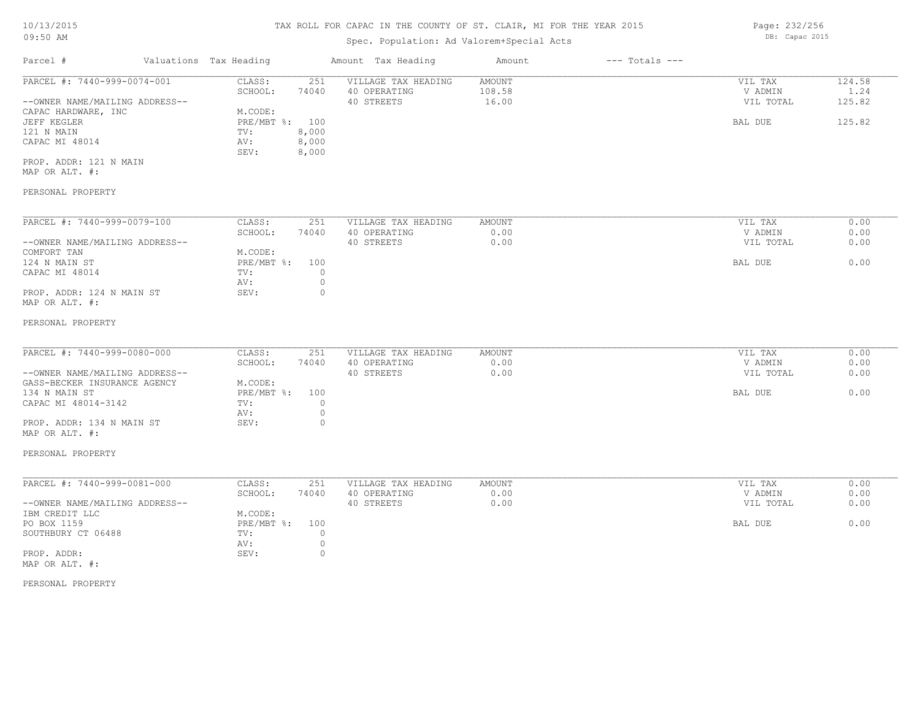| $09:50$ AM                                  |  |                        |                | Spec. Population: Ad Valorem+Special Acts |               |                    |           |        |  |  |
|---------------------------------------------|--|------------------------|----------------|-------------------------------------------|---------------|--------------------|-----------|--------|--|--|
| Parcel #                                    |  | Valuations Tax Heading |                | Amount Tax Heading                        | Amount        | $---$ Totals $---$ |           |        |  |  |
| PARCEL #: 7440-999-0074-001                 |  | CLASS:                 | 251            | VILLAGE TAX HEADING                       | <b>AMOUNT</b> |                    | VIL TAX   | 124.58 |  |  |
|                                             |  | SCHOOL:                | 74040          | 40 OPERATING                              | 108.58        |                    | V ADMIN   | 1.24   |  |  |
| --OWNER NAME/MAILING ADDRESS--              |  |                        |                | 40 STREETS                                | 16.00         |                    | VIL TOTAL | 125.82 |  |  |
| CAPAC HARDWARE, INC                         |  | M.CODE:                |                |                                           |               |                    |           |        |  |  |
| JEFF KEGLER                                 |  | PRE/MBT %:             | 100            |                                           |               |                    | BAL DUE   | 125.82 |  |  |
| 121 N MAIN                                  |  | TV:                    | 8,000          |                                           |               |                    |           |        |  |  |
| CAPAC MI 48014                              |  | AV:<br>SEV:            | 8,000<br>8,000 |                                           |               |                    |           |        |  |  |
| PROP. ADDR: 121 N MAIN                      |  |                        |                |                                           |               |                    |           |        |  |  |
| MAP OR ALT. #:                              |  |                        |                |                                           |               |                    |           |        |  |  |
| PERSONAL PROPERTY                           |  |                        |                |                                           |               |                    |           |        |  |  |
| PARCEL #: 7440-999-0079-100                 |  | CLASS:                 | 251            | VILLAGE TAX HEADING                       | AMOUNT        |                    | VIL TAX   | 0.00   |  |  |
|                                             |  | SCHOOL:                | 74040          | 40 OPERATING                              | 0.00          |                    | V ADMIN   | 0.00   |  |  |
| --OWNER NAME/MAILING ADDRESS--              |  |                        |                | 40 STREETS                                | 0.00          |                    | VIL TOTAL | 0.00   |  |  |
| COMFORT TAN                                 |  | M.CODE:                |                |                                           |               |                    |           |        |  |  |
| 124 N MAIN ST                               |  | PRE/MBT %:             | 100            |                                           |               |                    | BAL DUE   | 0.00   |  |  |
| CAPAC MI 48014                              |  | TV:                    | $\Omega$       |                                           |               |                    |           |        |  |  |
|                                             |  | AV:                    | $\circ$        |                                           |               |                    |           |        |  |  |
| PROP. ADDR: 124 N MAIN ST<br>MAP OR ALT. #: |  | SEV:                   | $\circ$        |                                           |               |                    |           |        |  |  |
| PERSONAL PROPERTY                           |  |                        |                |                                           |               |                    |           |        |  |  |
| PARCEL #: 7440-999-0080-000                 |  | CLASS:                 | 251            | VILLAGE TAX HEADING                       | AMOUNT        |                    | VIL TAX   | 0.00   |  |  |
|                                             |  | SCHOOL:                | 74040          | 40 OPERATING                              | 0.00          |                    | V ADMIN   | 0.00   |  |  |
| --OWNER NAME/MAILING ADDRESS--              |  |                        |                | 40 STREETS                                | 0.00          |                    | VIL TOTAL | 0.00   |  |  |
| GASS-BECKER INSURANCE AGENCY                |  | M.CODE:                |                |                                           |               |                    |           |        |  |  |
| 134 N MAIN ST                               |  | PRE/MBT %:             | 100            |                                           |               |                    | BAL DUE   | 0.00   |  |  |
| CAPAC MI 48014-3142                         |  | TV:                    | $\Omega$       |                                           |               |                    |           |        |  |  |
|                                             |  | AV:                    | $\circ$        |                                           |               |                    |           |        |  |  |
| PROP. ADDR: 134 N MAIN ST                   |  | SEV:                   | $\Omega$       |                                           |               |                    |           |        |  |  |
| MAP OR ALT. #:                              |  |                        |                |                                           |               |                    |           |        |  |  |

#### PERSONAL PROPERTY

| PARCEL #: 7440-999-0081-000    | CLASS:     | 251   | VILLAGE TAX HEADING | AMOUNT | VIL TAX   | 0.00 |
|--------------------------------|------------|-------|---------------------|--------|-----------|------|
|                                | SCHOOL:    | 74040 | 40 OPERATING        | 0.00   | V ADMIN   | 0.00 |
| --OWNER NAME/MAILING ADDRESS-- |            |       | 40 STREETS          | 0.00   | VIL TOTAL | 0.00 |
| IBM CREDIT LLC                 | M.CODE:    |       |                     |        |           |      |
| PO BOX 1159                    | PRE/MBT %: | 100   |                     |        | BAL DUE   | 0.00 |
| SOUTHBURY CT 06488             | TV:        |       |                     |        |           |      |
|                                | AV:        |       |                     |        |           |      |
| PROP. ADDR:                    | SEV:       |       |                     |        |           |      |
| MAP OR ALT. #:                 |            |       |                     |        |           |      |

#### PERSONAL PROPERTY

Page: 232/256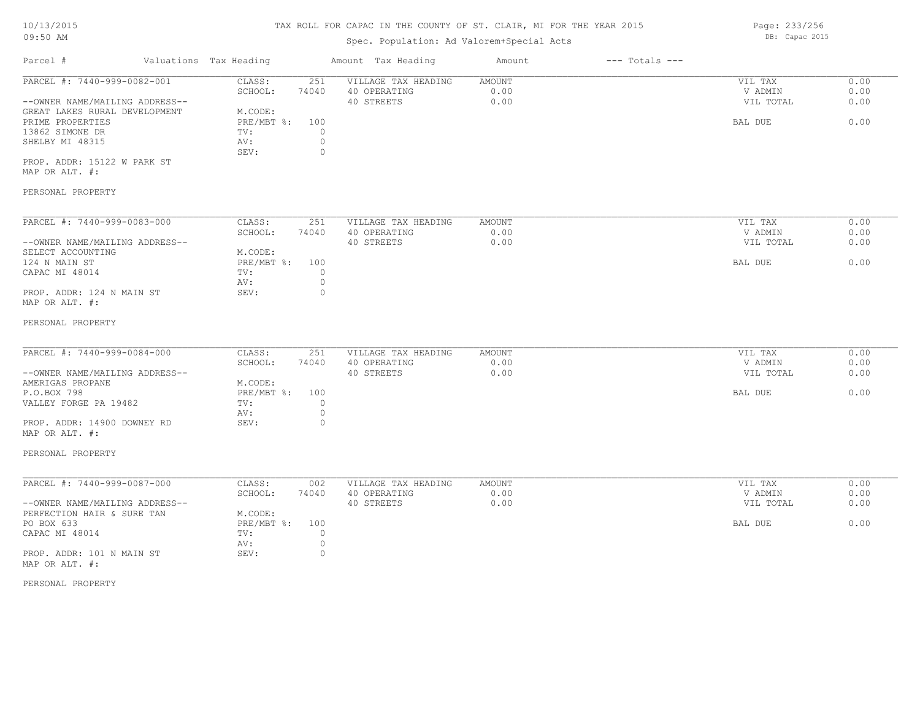### Spec. Population: Ad Valorem+Special Acts

Parcel # Valuations Tax Heading Amount Tax Heading Amount --- Totals ---PERSONAL PROPERTY MAP OR ALT. #: PROP. ADDR: 15122 W PARK ST SEV: 0 SHELBY MI 48315 AV: 0 13862 SIMONE DR TV: 0 PRIME PROPERTIES PRE/MBT %: 100 BAL DUE 0.00 GREAT LAKES RURAL DEVELOPMENT M.CODE: --OWNER NAME/MAILING ADDRESS-- 40 STREETS 0.00 VIL TOTAL 0.00 SCHOOL: 74040 40 OPERATING 0.00 V ADMIN 0.00 PARCEL #: 7440-999-0082-001 CLASS: 251 VILLAGE TAX HEADING AMOUNT AUGUST 20.00 VIL TAX 0.00<br>SCHOOL: 74040 40 OPERATING 0.00 000 VADMIN 0.00  $\mathcal{L}_\mathcal{L} = \mathcal{L}_\mathcal{L} = \mathcal{L}_\mathcal{L} = \mathcal{L}_\mathcal{L} = \mathcal{L}_\mathcal{L} = \mathcal{L}_\mathcal{L} = \mathcal{L}_\mathcal{L} = \mathcal{L}_\mathcal{L} = \mathcal{L}_\mathcal{L} = \mathcal{L}_\mathcal{L} = \mathcal{L}_\mathcal{L} = \mathcal{L}_\mathcal{L} = \mathcal{L}_\mathcal{L} = \mathcal{L}_\mathcal{L} = \mathcal{L}_\mathcal{L} = \mathcal{L}_\mathcal{L} = \mathcal{L}_\mathcal{L}$ 

| PARCEL #: 7440-999-0083-000    | CLASS:       | 251   | VILLAGE TAX HEADING | AMOUNT | VIL TAX   | 0.00 |
|--------------------------------|--------------|-------|---------------------|--------|-----------|------|
|                                | SCHOOL:      | 74040 | 40 OPERATING        | 0.00   | V ADMIN   | 0.00 |
| --OWNER NAME/MAILING ADDRESS-- |              |       | 40 STREETS          | 0.00   | VIL TOTAL | 0.00 |
| SELECT ACCOUNTING              | M.CODE:      |       |                     |        |           |      |
| 124 N MAIN ST                  | $PRE/MBT$ %: | 100   |                     |        | BAL DUE   | 0.00 |
| CAPAC MI 48014                 | TV:          |       |                     |        |           |      |
|                                | AV:          |       |                     |        |           |      |
| PROP. ADDR: 124 N MAIN ST      | SEV:         | (     |                     |        |           |      |
| MAP OR ALT. #:                 |              |       |                     |        |           |      |

#### PERSONAL PROPERTY

| PARCEL #: 7440-999-0084-000    | CLASS:         | 251   | VILLAGE TAX HEADING | AMOUNT | VIL TAX   | 0.00 |
|--------------------------------|----------------|-------|---------------------|--------|-----------|------|
|                                | SCHOOL:        | 74040 | 40 OPERATING        | 0.00   | V ADMIN   | 0.00 |
| --OWNER NAME/MAILING ADDRESS-- |                |       | 40 STREETS          | 0.00   | VIL TOTAL | 0.00 |
| AMERIGAS PROPANE               | M.CODE:        |       |                     |        |           |      |
| P.O.BOX 798                    | PRE/MBT %: 100 |       |                     |        | BAL DUE   | 0.00 |
| VALLEY FORGE PA 19482          | TV:            |       |                     |        |           |      |
|                                | AV:            |       |                     |        |           |      |
| PROP. ADDR: 14900 DOWNEY RD    | SEV:           |       |                     |        |           |      |
| MAP OR ALT. #:                 |                |       |                     |        |           |      |

### PERSONAL PROPERTY

| PARCEL #: 7440-999-0087-000    | CLASS:         | 002   | VILLAGE TAX HEADING | AMOUNT | VIL TAX   | 0.00 |
|--------------------------------|----------------|-------|---------------------|--------|-----------|------|
|                                | SCHOOL:        | 74040 | 40 OPERATING        | 0.00   | V ADMIN   | 0.00 |
| --OWNER NAME/MAILING ADDRESS-- |                |       | 40 STREETS          | 0.00   | VIL TOTAL | 0.00 |
| PERFECTION HAIR & SURE TAN     | M.CODE:        |       |                     |        |           |      |
| PO BOX 633                     | PRE/MBT %: 100 |       |                     |        | BAL DUE   | 0.00 |
| CAPAC MI 48014                 | TV:            |       |                     |        |           |      |
|                                | AV:            |       |                     |        |           |      |
| PROP. ADDR: 101 N MAIN ST      | SEV:           |       |                     |        |           |      |
| MAP OR ALT. #:                 |                |       |                     |        |           |      |

#### PERSONAL PROPERTY

Page: 233/256 DB: Capac 2015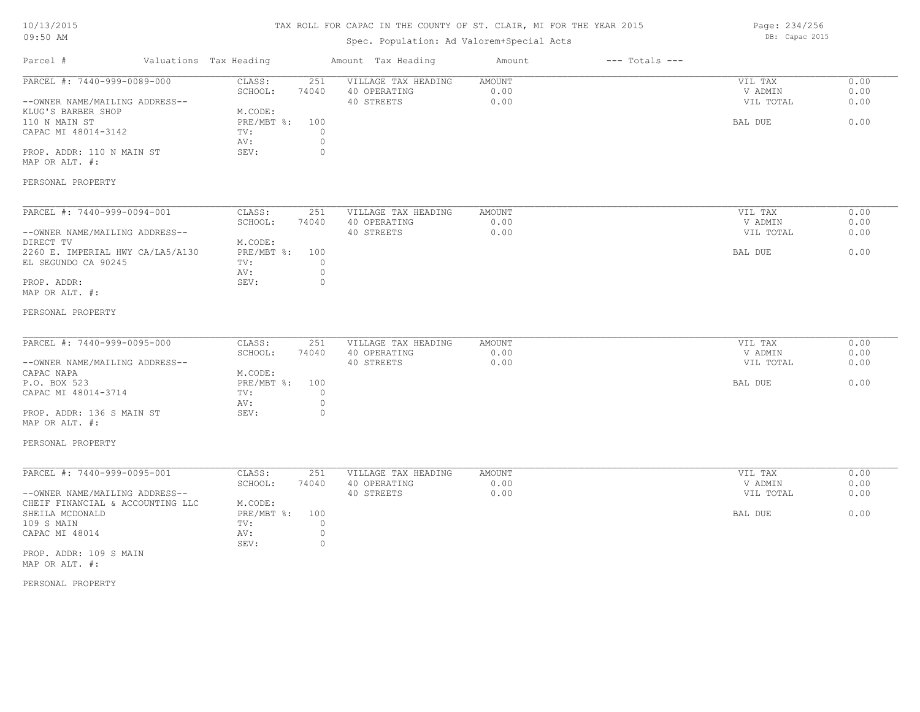### 10/13/2015

#### TAX ROLL FOR CAPAC IN THE COUNTY OF ST. CLAIR, MI FOR THE YEAR 2015

# Spec. Population: Ad Valorem+Special Acts

Parcel # Valuations Tax Heading Amount Tax Heading Amount --- Totals ---09:50 AM PERSONAL PROPERTY MAP OR ALT. #: PROP. ADDR: 110 N MAIN ST SEV: 0 AV: 0 CAPAC MI 48014-3142 TV: 0<br>
AV: 0 110 N MAIN ST PRE/MBT %: 100 BAL DUE 0.00 KLUG'S BARBER SHOP M.CODE:<br>110 N MAIN ST RE/MBT %: --OWNER NAME/MAILING ADDRESS-- 40 STREETS 0.00 VIL TOTAL 0.00 SCHOOL: 74040 40 OPERATING 0.00 V ADMIN 0.00 PARCEL #: 7440-999-0089-000 CLASS: 251 VILLAGE TAX HEADING AMOUNT AMOUNT VIL TAX 0.00<br>SCHOOL: 74040 40 OPERATING 0.00 0.00 VADMIN 0.00  $\mathcal{L}_\mathcal{L} = \mathcal{L}_\mathcal{L} = \mathcal{L}_\mathcal{L} = \mathcal{L}_\mathcal{L} = \mathcal{L}_\mathcal{L} = \mathcal{L}_\mathcal{L} = \mathcal{L}_\mathcal{L} = \mathcal{L}_\mathcal{L} = \mathcal{L}_\mathcal{L} = \mathcal{L}_\mathcal{L} = \mathcal{L}_\mathcal{L} = \mathcal{L}_\mathcal{L} = \mathcal{L}_\mathcal{L} = \mathcal{L}_\mathcal{L} = \mathcal{L}_\mathcal{L} = \mathcal{L}_\mathcal{L} = \mathcal{L}_\mathcal{L}$ PERSONAL PROPERTY MAP OR ALT. #: PROP. ADDR: 0 AV: 0 EL SEGUNDO CA 90245 TV:  $0$ <br>AV: 0 2260 E. IMPERIAL HWY CA/LA5/A130 PRE/MBT %: 100 BAL DUE 0.00 DIRECT TV M.CODE: --OWNER NAME/MAILING ADDRESS-- 40 STREETS 0.00 VIL TOTAL 0.00 SCHOOL: 74040 40 OPERATING 0.00 V ADMIN 0.00 PARCEL #: 7440-999-0094-001 CLASS: 251 VILLAGE TAX HEADING AMOUNT VIL TAX VIL TAX 0.00<br>SCHOOL: 74040 40 OPERATING 0.00 000 VADMIN 0.00  $\mathcal{L}_\mathcal{L} = \mathcal{L}_\mathcal{L} = \mathcal{L}_\mathcal{L} = \mathcal{L}_\mathcal{L} = \mathcal{L}_\mathcal{L} = \mathcal{L}_\mathcal{L} = \mathcal{L}_\mathcal{L} = \mathcal{L}_\mathcal{L} = \mathcal{L}_\mathcal{L} = \mathcal{L}_\mathcal{L} = \mathcal{L}_\mathcal{L} = \mathcal{L}_\mathcal{L} = \mathcal{L}_\mathcal{L} = \mathcal{L}_\mathcal{L} = \mathcal{L}_\mathcal{L} = \mathcal{L}_\mathcal{L} = \mathcal{L}_\mathcal{L}$ PERSONAL PROPERTY MAP OR ALT. #: PROP. ADDR: 136 S MAIN ST SEV: 0 AV: 0 CAPAC MI 48014-3714 TV: 0 P.O. BOX 523 PRE/MBT %: 100 BAL DUE 0.00 CAPAC NAPA<br>
P 0 ROX 523 (P 0 ROX 523) --OWNER NAME/MAILING ADDRESS-- 40 STREETS 0.00 VIL TOTAL 0.00 SCHOOL: 74040 40 OPERATING 0.00 V ADMIN 0.00 PARCEL #: 7440-999-0095-000 CLASS: 251 VILLAGE TAX HEADING AMOUNT AMOUNT VIL TAX 0.00<br>SCHOOL: 74040 40 OPERATING 0.00 00 VADMIN 0.00  $\mathcal{L}_\mathcal{L} = \mathcal{L}_\mathcal{L} = \mathcal{L}_\mathcal{L} = \mathcal{L}_\mathcal{L} = \mathcal{L}_\mathcal{L} = \mathcal{L}_\mathcal{L} = \mathcal{L}_\mathcal{L} = \mathcal{L}_\mathcal{L} = \mathcal{L}_\mathcal{L} = \mathcal{L}_\mathcal{L} = \mathcal{L}_\mathcal{L} = \mathcal{L}_\mathcal{L} = \mathcal{L}_\mathcal{L} = \mathcal{L}_\mathcal{L} = \mathcal{L}_\mathcal{L} = \mathcal{L}_\mathcal{L} = \mathcal{L}_\mathcal{L}$ MAP OR ALT. #: PROP. ADDR: 109 S MAIN SEV: 0 CAPAC MI 48014  $\qquad \qquad \text{AV:} \qquad \qquad 0$ <br>SEV: 0 109 S MAIN TV: 0 SHEILA MCDONALD PRE/MBT %: 100 BAL DUE 0.00 CHEIF FINANCIAL & ACCOUNTING LLC M.CODE:<br>SHEILA MCDONALD PRE/MBT %: --OWNER NAME/MAILING ADDRESS-- 40 STREETS 0.00 VIL TOTAL 0.00 SCHOOL: 74040 40 OPERATING 0.00 V ADMIN 0.00 PARCEL #: 7440-999-0095-001 CLASS: 251 VILLAGE TAX HEADING AMOUNT VIL TAX 0.00

PERSONAL PROPERTY

Page: 234/256 DB: Capac 2015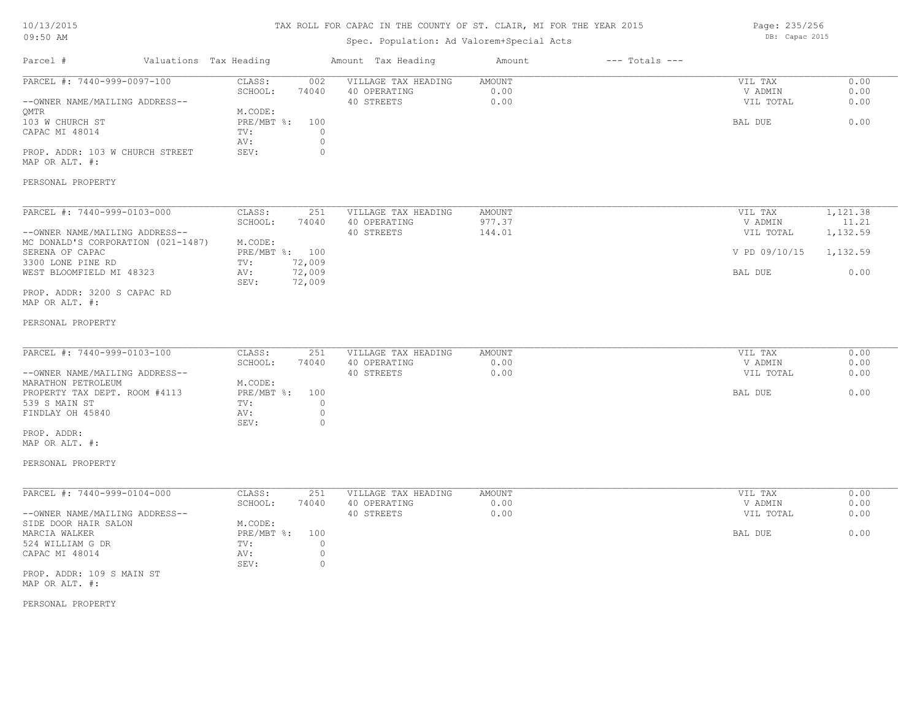#### TAX ROLL FOR CAPAC IN THE COUNTY OF ST. CLAIR, MI FOR THE YEAR 2015

Spec. Population: Ad Valorem+Special Acts

Parcel # Valuations Tax Heading Amount Tax Heading Amount --- Totals ---PERSONAL PROPERTY MAP OR ALT. #: PROP. ADDR: 103 W CHURCH STREET SEV: 0 AV: 0 CAPAC MI 48014 TV: 0<br>
AV: 0 103 W CHURCH ST PRE/MBT %: 100 BAL DUE 0.00 QMTR
M.CODE:<br>
103 W CHURCH ST
BOOK PRE/MBT %: --OWNER NAME/MAILING ADDRESS-- 40 STREETS 0.00 VIL TOTAL 0.00 SCHOOL: 74040 40 OPERATING 0.00 V ADMIN 0.00 PARCEL #: 7440-999-0097-100 CLASS: 002 VILLAGE TAX HEADING AMOUNT AMOUNT VIL TAX 0.00<br>SCHOOL: 74040 40 OPERATING 0.00 0.00 VILLAGE VADMIN 0.00  $\mathcal{L}_\mathcal{L} = \mathcal{L}_\mathcal{L} = \mathcal{L}_\mathcal{L} = \mathcal{L}_\mathcal{L} = \mathcal{L}_\mathcal{L} = \mathcal{L}_\mathcal{L} = \mathcal{L}_\mathcal{L} = \mathcal{L}_\mathcal{L} = \mathcal{L}_\mathcal{L} = \mathcal{L}_\mathcal{L} = \mathcal{L}_\mathcal{L} = \mathcal{L}_\mathcal{L} = \mathcal{L}_\mathcal{L} = \mathcal{L}_\mathcal{L} = \mathcal{L}_\mathcal{L} = \mathcal{L}_\mathcal{L} = \mathcal{L}_\mathcal{L}$ PERSONAL PROPERTY MAP OR ALT. #: PROP. ADDR: 3200 S CAPAC RD SEV: 72,009 WEST BLOOMFIELD MI 48323 AV: 72,009<br>SEV: 72.009 BAL DUE 6.00 3300 LONE PINE RD TV: 72,009 SERENA OF CAPAC PRE/MBT %: 100 V PD 09/10/15 1,132.59 MC DONALD'S CORPORATION (021-1487) M.CODE:<br>SERENA OF CAPAC MEXICALLY PRE/MBT %: 100 --OWNER NAME/MAILING ADDRESS-- 40 STREETS 144.01 VIL TOTAL 1,132.59 SCHOOL: 74040 40 OPERATING 977.37 979.37 971.37 980000 977.37 971.37 971.37 971.37 971.31 971.31 971.31 971.31 PARCEL #: 7440-999-0103-000 CLASS: 251 VILLAGE TAX HEADING AMOUNT VIL TAX VIL TAX 1,121.38<br>SCHOOL: 74040 40 OPERATING 977.37 97.37 VADMIN 11.21  $\mathcal{L}_\mathcal{L} = \mathcal{L}_\mathcal{L} = \mathcal{L}_\mathcal{L} = \mathcal{L}_\mathcal{L} = \mathcal{L}_\mathcal{L} = \mathcal{L}_\mathcal{L} = \mathcal{L}_\mathcal{L} = \mathcal{L}_\mathcal{L} = \mathcal{L}_\mathcal{L} = \mathcal{L}_\mathcal{L} = \mathcal{L}_\mathcal{L} = \mathcal{L}_\mathcal{L} = \mathcal{L}_\mathcal{L} = \mathcal{L}_\mathcal{L} = \mathcal{L}_\mathcal{L} = \mathcal{L}_\mathcal{L} = \mathcal{L}_\mathcal{L}$ PERSONAL PROPERTY MAP OR ALT. #: PROP. ADDR: SEV: 0 FINDLAY OH 45840  $\qquad \qquad \text{AV:} \qquad \qquad 0$ <br>SEV: 0 539 S MAIN ST TV: 0 PROPERTY TAX DEPT. ROOM #4113 PRE/MBT %: 100 BAL DUE 6.00 MARATHON PETROLEUM MODE: --OWNER NAME/MAILING ADDRESS-- 40 STREETS 0.00 VIL TOTAL 0.00 SCHOOL: 74040 40 OPERATING 0.00 V ADMIN 0.00 PARCEL #: 7440-999-0103-100 CLASS: 251 VILLAGE TAX HEADING AMOUNT VIL TAX 0.00  $\mathcal{L}_\mathcal{L} = \mathcal{L}_\mathcal{L} = \mathcal{L}_\mathcal{L} = \mathcal{L}_\mathcal{L} = \mathcal{L}_\mathcal{L} = \mathcal{L}_\mathcal{L} = \mathcal{L}_\mathcal{L} = \mathcal{L}_\mathcal{L} = \mathcal{L}_\mathcal{L} = \mathcal{L}_\mathcal{L} = \mathcal{L}_\mathcal{L} = \mathcal{L}_\mathcal{L} = \mathcal{L}_\mathcal{L} = \mathcal{L}_\mathcal{L} = \mathcal{L}_\mathcal{L} = \mathcal{L}_\mathcal{L} = \mathcal{L}_\mathcal{L}$ MAP OR ALT. #: PROP. ADDR: 109 S MAIN ST SEV: 0 CAPAC MI 48014 <br>
SEV: 0<br>
O SEV: 0 524 WILLIAM G DR TV: 0 MARCIA WALKER PRE/MBT %: 100 BAL DUE 0.00 SIDE DOOR HAIR SALON MODE:<br>MARCIA WALKER MARCIA WALKER --OWNER NAME/MAILING ADDRESS-- 40 STREETS 0.00 VIL TOTAL 0.00 SCHOOL: 74040 40 OPERATING 0.00 V ADMIN 0.00 PARCEL #: 7440-999-0104-000 CLASS: 251 VILLAGE TAX HEADING AMOUNT VIL TAX 0.00

PERSONAL PROPERTY

Page: 235/256 DB: Capac 2015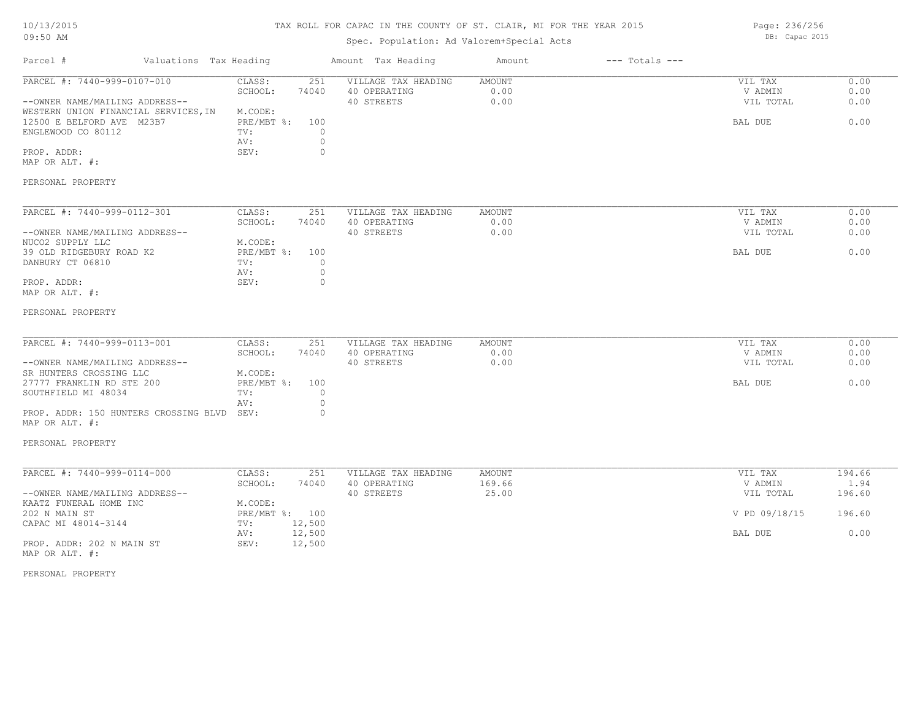#### TAX ROLL FOR CAPAC IN THE COUNTY OF ST. CLAIR, MI FOR THE YEAR 2015

# Spec. Population: Ad Valorem+Special Acts

Parcel # Valuations Tax Heading Amount Tax Heading Amount --- Totals ---PERSONAL PROPERTY MAP OR ALT. #: PROP. ADDR: 0 and 0 and 0 several services of the services of  $\mathbb{S}$ EV: 0 and 0 and 0 and 0 and 0 and 0 and 0 and 0 and 0 and 0 and 0 and 0 and 0 and 0 and 0 and 0 and 0 and 0 and 0 and 0 and 0 and 0 and 0 and 0 and 0 an AV: 0 ENGLEWOOD CO 80112 TV:  $0$ <br>AV: 0 12500 E BELFORD AVE M23B7 PRE/MBT %: 100 BAL DUE 0.00 WESTERN UNION FINANCIAL SERVICES.IN M.CODE: --OWNER NAME/MAILING ADDRESS-- 40 STREETS 0.00 VIL TOTAL 0.00 SCHOOL: 74040 40 OPERATING 0.00 V ADMIN 0.00 PARCEL #: 7440-999-0107-010 CLASS: 251 VILLAGE TAX HEADING AMOUNT VIL TAX VIL TAX 0.00<br>SCHOOL: 74040 40 OPERATING 0.00 0.00 VADMIN 0.00  $\mathcal{L}_\mathcal{L} = \mathcal{L}_\mathcal{L} = \mathcal{L}_\mathcal{L} = \mathcal{L}_\mathcal{L} = \mathcal{L}_\mathcal{L} = \mathcal{L}_\mathcal{L} = \mathcal{L}_\mathcal{L} = \mathcal{L}_\mathcal{L} = \mathcal{L}_\mathcal{L} = \mathcal{L}_\mathcal{L} = \mathcal{L}_\mathcal{L} = \mathcal{L}_\mathcal{L} = \mathcal{L}_\mathcal{L} = \mathcal{L}_\mathcal{L} = \mathcal{L}_\mathcal{L} = \mathcal{L}_\mathcal{L} = \mathcal{L}_\mathcal{L}$ PERSONAL PROPERTY MAP OR ALT. #: PROP. ADDR: 0 AV: 0 DANBURY CT 06810  $TV:$  0<br>AV: 0 39 OLD RIDGEBURY ROAD K2 PRE/MBT %: 100 BAL DUE 6.00 NUCO2 SUPPLY LLC M.CODE: --OWNER NAME/MAILING ADDRESS-- 40 STREETS 0.00 VIL TOTAL 0.00 SCHOOL: 74040 40 OPERATING 0.00 V ADMIN 0.00 PARCEL #: 7440-999-0112-301 CLASS: 251 VILLAGE TAX HEADING AMOUNT VIL TAX VIL TAX 0.00<br>SCHOOL: 74040 40 OPERATING 0.00 00 VADMIN 0.00  $\mathcal{L}_\mathcal{L} = \mathcal{L}_\mathcal{L} = \mathcal{L}_\mathcal{L} = \mathcal{L}_\mathcal{L} = \mathcal{L}_\mathcal{L} = \mathcal{L}_\mathcal{L} = \mathcal{L}_\mathcal{L} = \mathcal{L}_\mathcal{L} = \mathcal{L}_\mathcal{L} = \mathcal{L}_\mathcal{L} = \mathcal{L}_\mathcal{L} = \mathcal{L}_\mathcal{L} = \mathcal{L}_\mathcal{L} = \mathcal{L}_\mathcal{L} = \mathcal{L}_\mathcal{L} = \mathcal{L}_\mathcal{L} = \mathcal{L}_\mathcal{L}$ PERSONAL PROPERTY MAP OR ALT. #: PROP. ADDR: 150 HUNTERS CROSSING BLVD SEV: 0 AV: 0 SOUTHFIELD MI 48034 TV: 0 27777 FRANKLIN RD STE 200 PRE/MBT %: 100 **BAL DUE 0.00** BAL DUE 0.00 SR HUNTERS CROSSING LLC M.CODE: --OWNER NAME/MAILING ADDRESS-- 40 STREETS 0.00 VIL TOTAL 0.00 SCHOOL: 74040 40 OPERATING 0.00 V ADMIN 0.00 PARCEL #: 7440-999-0113-001 CLASS: 251 VILLAGE TAX HEADING AMOUNT AMOUNT VIL TAX VIL TAX 0.00  $\mathcal{L}_\mathcal{L} = \mathcal{L}_\mathcal{L} = \mathcal{L}_\mathcal{L} = \mathcal{L}_\mathcal{L} = \mathcal{L}_\mathcal{L} = \mathcal{L}_\mathcal{L} = \mathcal{L}_\mathcal{L} = \mathcal{L}_\mathcal{L} = \mathcal{L}_\mathcal{L} = \mathcal{L}_\mathcal{L} = \mathcal{L}_\mathcal{L} = \mathcal{L}_\mathcal{L} = \mathcal{L}_\mathcal{L} = \mathcal{L}_\mathcal{L} = \mathcal{L}_\mathcal{L} = \mathcal{L}_\mathcal{L} = \mathcal{L}_\mathcal{L}$ PROP. ADDR: 202 N MAIN ST SEV: 12,500 AV: 12,500 BAL DUE 0.00 CAPAC MI 48014-3144 TV: 12,500<br>
AV: 12,500 202 N MAIN ST PRE/MBT %: 100 V PD 09/18/15 196.60 KAATZ FUNERAL HOME INC<br>
202 N MAIN ST<br>
202 N MAIN ST --OWNER NAME/MAILING ADDRESS-- 40 STREETS 25.00 VIL TOTAL 196.60 SCHOOL: 74040 40 OPERATING 169.66 169.00 169.00 V ADMIN 1.94 PARCEL #: 7440-999-0114-000 CLASS: 251 VILLAGE TAX HEADING AMOUNT AMOUNT VIL TAX 194.66

MAP OR ALT. #:

PERSONAL PROPERTY

Page: 236/256 DB: Capac 2015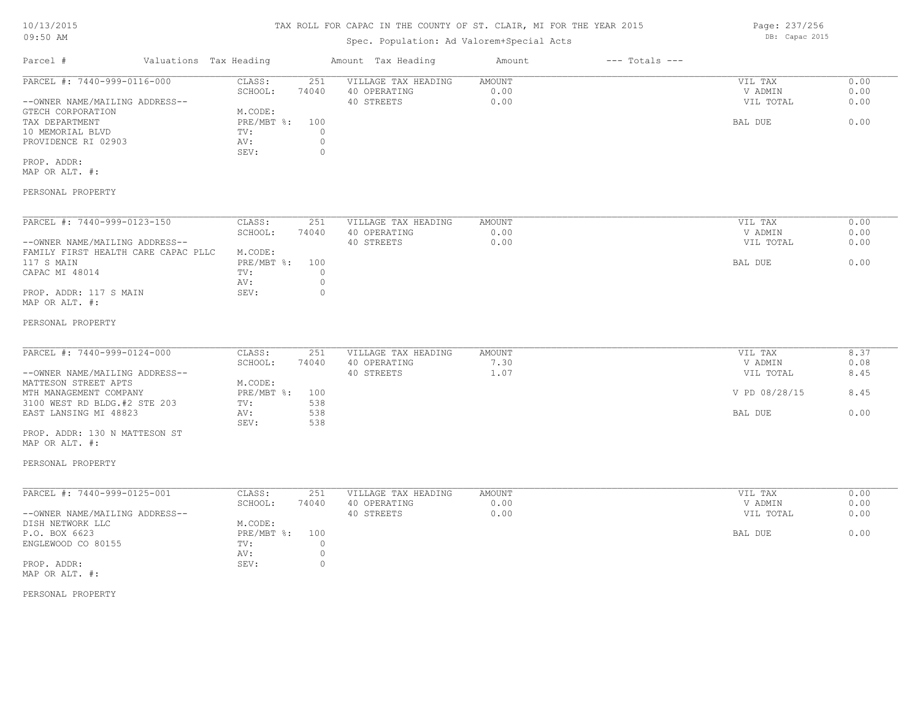# TAX ROLL FOR CAPAC IN THE COUNTY OF ST. CLAIR, MI FOR THE YEAR 2015

# Spec. Population: Ad Valorem+Special Acts

| Parcel #                       | Valuations Tax Heading |       | Amount Tax Heading  | Amount | $---$ Totals $---$ |           |      |
|--------------------------------|------------------------|-------|---------------------|--------|--------------------|-----------|------|
| PARCEL #: 7440-999-0116-000    | CLASS:                 | 251   | VILLAGE TAX HEADING | AMOUNT |                    | VIL TAX   | 0.00 |
|                                | SCHOOL:                | 74040 | 40 OPERATING        | 0.00   |                    | V ADMIN   | 0.00 |
| --OWNER NAME/MAILING ADDRESS-- |                        |       | 40 STREETS          | 0.00   |                    | VIL TOTAL | 0.00 |
| GTECH CORPORATION              | M.CODE:                |       |                     |        |                    |           |      |
| TAX DEPARTMENT                 | PRE/MBT %: 100         |       |                     |        |                    | BAL DUE   | 0.00 |
| 10 MEMORIAL BLVD               | TV:                    |       |                     |        |                    |           |      |
| PROVIDENCE RI 02903            | AV:                    |       |                     |        |                    |           |      |
|                                | SEV:                   |       |                     |        |                    |           |      |
| PROP. ADDR:                    |                        |       |                     |        |                    |           |      |

MAP OR ALT. #:

### PERSONAL PROPERTY

| PARCEL #: 7440-999-0123-150         | CLASS:     | 251   | VILLAGE TAX HEADING | AMOUNT | 0.00<br>VIL TAX   |
|-------------------------------------|------------|-------|---------------------|--------|-------------------|
|                                     | SCHOOL:    | 74040 | 40 OPERATING        | 0.00   | 0.00<br>V ADMIN   |
| --OWNER NAME/MAILING ADDRESS--      |            |       | 40 STREETS          | 0.00   | 0.00<br>VIL TOTAL |
| FAMILY FIRST HEALTH CARE CAPAC PLLC | M.CODE:    |       |                     |        |                   |
| 117 S MAIN                          | PRE/MBT %: | 100   |                     |        | 0.00<br>BAL DUE   |
| CAPAC MI 48014                      | TV:        |       |                     |        |                   |
|                                     | AV:        |       |                     |        |                   |
| PROP. ADDR: 117 S MAIN              | SEV:       |       |                     |        |                   |
| MAP OR ALT. #:                      |            |       |                     |        |                   |

#### PERSONAL PROPERTY

| PARCEL #: 7440-999-0124-000    | CLASS:     | 251   | VILLAGE TAX HEADING | AMOUNT    | VIL TAX       | 8.37 |
|--------------------------------|------------|-------|---------------------|-----------|---------------|------|
|                                | SCHOOL:    | 74040 | 40 OPERATING        | .30       | V ADMIN       | 0.08 |
| --OWNER NAME/MAILING ADDRESS-- |            |       | 40 STREETS          | $\pm 0.7$ | VIL TOTAL     | 8.45 |
| MATTESON STREET APTS           | M.CODE:    |       |                     |           |               |      |
| MTH MANAGEMENT COMPANY         | PRE/MBT %: | 100   |                     |           | V PD 08/28/15 | 8.45 |
| 3100 WEST RD BLDG.#2 STE 203   | TV:        | 538   |                     |           |               |      |
| EAST LANSING MI 48823          | AV:        | 538   |                     |           | BAL DUE       | 0.00 |
|                                | SEV:       | 538   |                     |           |               |      |

MAP OR ALT. #: PROP. ADDR: 130 N MATTESON ST

### PERSONAL PROPERTY

| PARCEL #: 7440-999-0125-001    | CLASS:     | 251   | VILLAGE TAX HEADING | AMOUNT | 0.00<br>VIL TAX   |
|--------------------------------|------------|-------|---------------------|--------|-------------------|
|                                | SCHOOL:    | 74040 | 40 OPERATING        | 0.00   | 0.00<br>V ADMIN   |
| --OWNER NAME/MAILING ADDRESS-- |            |       | 40 STREETS          | 0.00   | 0.00<br>VIL TOTAL |
| DISH NETWORK LLC               | M.CODE:    |       |                     |        |                   |
| P.O. BOX 6623                  | PRE/MBT %: | 100   |                     |        | 0.00<br>BAL DUE   |
| ENGLEWOOD CO 80155             | TV:        |       |                     |        |                   |
|                                | AV:        |       |                     |        |                   |
| PROP. ADDR:                    | SEV:       |       |                     |        |                   |
| MAP OR ALT. #:                 |            |       |                     |        |                   |

PERSONAL PROPERTY

Page: 237/256 DB: Capac 2015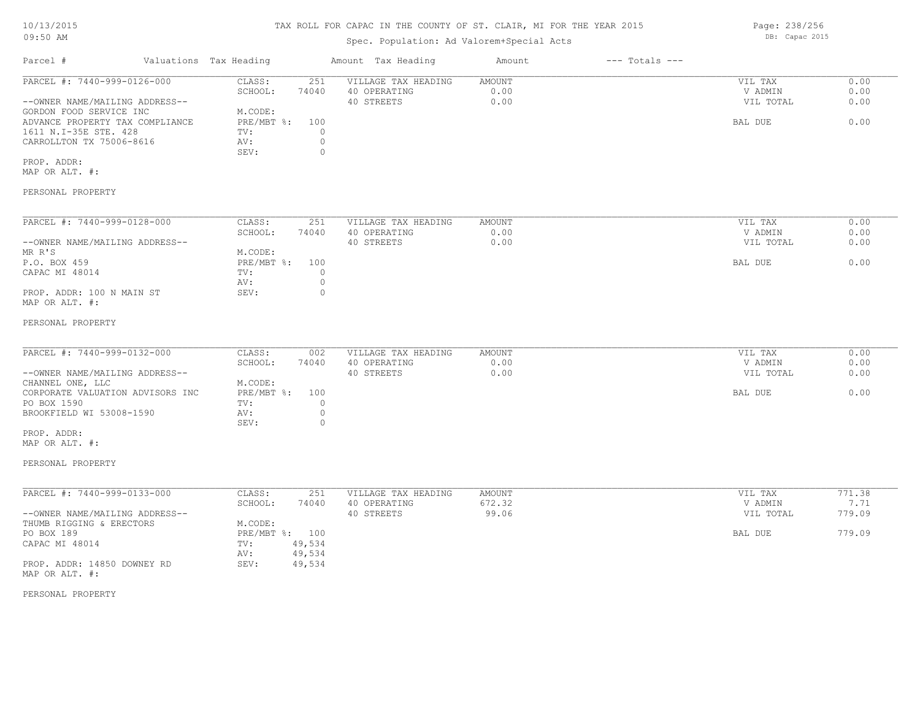# TAX ROLL FOR CAPAC IN THE COUNTY OF ST. CLAIR, MI FOR THE YEAR 2015

Page: 238/256 DB: Capac 2015

Spec. Population: Ad Valorem+Special Acts

| 0.00<br>PARCEL #: 7440-999-0126-000<br>CLASS:<br>251<br>VILLAGE TAX HEADING<br>AMOUNT<br>VIL TAX<br>0.00<br>0.00<br>SCHOOL:<br>74040<br>40 OPERATING<br>V ADMIN<br>40 STREETS<br>0.00<br>0.00<br>--OWNER NAME/MAILING ADDRESS--<br>VIL TOTAL<br>GORDON FOOD SERVICE INC<br>M.CODE:<br>0.00<br>ADVANCE PROPERTY TAX COMPLIANCE<br>PRE/MBT %:<br>100<br>BAL DUE<br>$\circ$<br>1611 N.I-35E STE. 428<br>TV:<br>$\circ$<br>CARROLLTON TX 75006-8616<br>AV:<br>SEV:<br>$\circ$<br>PROP. ADDR:<br>MAP OR ALT. #:<br>PERSONAL PROPERTY<br>PARCEL #: 7440-999-0128-000<br>0.00<br>CLASS:<br>251<br>VILLAGE TAX HEADING<br>AMOUNT<br>VIL TAX<br>0.00<br>0.00<br>SCHOOL:<br>74040<br>40 OPERATING<br>V ADMIN<br>40 STREETS<br>--OWNER NAME/MAILING ADDRESS--<br>0.00<br>VIL TOTAL<br>0.00<br>MR R'S<br>M.CODE:<br>P.O. BOX 459<br>0.00<br>$PRE/MBT$ $\div$<br>100<br>BAL DUE<br>CAPAC MI 48014<br>$\circ$<br>TV:<br>$\circ$<br>AV:<br>PROP. ADDR: 100 N MAIN ST<br>SEV:<br>$\circ$<br>MAP OR ALT. #:<br>PERSONAL PROPERTY<br>PARCEL #: 7440-999-0132-000<br>CLASS:<br>002<br>VILLAGE TAX HEADING<br>AMOUNT<br>VIL TAX<br>0.00<br>0.00<br>SCHOOL:<br>74040<br>40 OPERATING<br>0.00<br>V ADMIN<br>--OWNER NAME/MAILING ADDRESS--<br>40 STREETS<br>0.00<br>VIL TOTAL<br>0.00<br>M.CODE:<br>CHANNEL ONE, LLC<br>PRE/MBT %:<br>CORPORATE VALUATION ADVISORS INC<br>100<br>BAL DUE<br>0.00<br>PO BOX 1590<br>$\circ$<br>TV:<br>$\circ$<br>BROOKFIELD WI 53008-1590<br>AV:<br>SEV:<br>$\circ$<br>PROP. ADDR:<br>MAP OR ALT. #:<br>PERSONAL PROPERTY<br>PARCEL #: 7440-999-0133-000<br>251<br>771.38<br>CLASS:<br>VILLAGE TAX HEADING<br>AMOUNT<br>VIL TAX<br>672.32<br>7.71<br>SCHOOL:<br>74040<br>40 OPERATING<br>V ADMIN<br>40 STREETS<br>99.06<br>779.09<br>--OWNER NAME/MAILING ADDRESS--<br>VIL TOTAL<br>THUMB RIGGING & ERECTORS<br>M.CODE:<br>PO BOX 189<br>PRE/MBT %: 100<br>779.09<br>BAL DUE<br>CAPAC MI 48014<br>TV:<br>49,534<br>49,534<br>AV:<br>PROP. ADDR: 14850 DOWNEY RD<br>SEV:<br>49,534<br>MAP OR ALT. #:<br>PERSONAL PROPERTY | Parcel # | Valuations Tax Heading | Amount Tax Heading | Amount | $---$ Totals $---$ |  |
|-----------------------------------------------------------------------------------------------------------------------------------------------------------------------------------------------------------------------------------------------------------------------------------------------------------------------------------------------------------------------------------------------------------------------------------------------------------------------------------------------------------------------------------------------------------------------------------------------------------------------------------------------------------------------------------------------------------------------------------------------------------------------------------------------------------------------------------------------------------------------------------------------------------------------------------------------------------------------------------------------------------------------------------------------------------------------------------------------------------------------------------------------------------------------------------------------------------------------------------------------------------------------------------------------------------------------------------------------------------------------------------------------------------------------------------------------------------------------------------------------------------------------------------------------------------------------------------------------------------------------------------------------------------------------------------------------------------------------------------------------------------------------------------------------------------------------------------------------------------------------------------------------------------------------------------------------------------------------------------------------------------------------------------|----------|------------------------|--------------------|--------|--------------------|--|
|                                                                                                                                                                                                                                                                                                                                                                                                                                                                                                                                                                                                                                                                                                                                                                                                                                                                                                                                                                                                                                                                                                                                                                                                                                                                                                                                                                                                                                                                                                                                                                                                                                                                                                                                                                                                                                                                                                                                                                                                                                   |          |                        |                    |        |                    |  |
|                                                                                                                                                                                                                                                                                                                                                                                                                                                                                                                                                                                                                                                                                                                                                                                                                                                                                                                                                                                                                                                                                                                                                                                                                                                                                                                                                                                                                                                                                                                                                                                                                                                                                                                                                                                                                                                                                                                                                                                                                                   |          |                        |                    |        |                    |  |
|                                                                                                                                                                                                                                                                                                                                                                                                                                                                                                                                                                                                                                                                                                                                                                                                                                                                                                                                                                                                                                                                                                                                                                                                                                                                                                                                                                                                                                                                                                                                                                                                                                                                                                                                                                                                                                                                                                                                                                                                                                   |          |                        |                    |        |                    |  |
|                                                                                                                                                                                                                                                                                                                                                                                                                                                                                                                                                                                                                                                                                                                                                                                                                                                                                                                                                                                                                                                                                                                                                                                                                                                                                                                                                                                                                                                                                                                                                                                                                                                                                                                                                                                                                                                                                                                                                                                                                                   |          |                        |                    |        |                    |  |
|                                                                                                                                                                                                                                                                                                                                                                                                                                                                                                                                                                                                                                                                                                                                                                                                                                                                                                                                                                                                                                                                                                                                                                                                                                                                                                                                                                                                                                                                                                                                                                                                                                                                                                                                                                                                                                                                                                                                                                                                                                   |          |                        |                    |        |                    |  |
|                                                                                                                                                                                                                                                                                                                                                                                                                                                                                                                                                                                                                                                                                                                                                                                                                                                                                                                                                                                                                                                                                                                                                                                                                                                                                                                                                                                                                                                                                                                                                                                                                                                                                                                                                                                                                                                                                                                                                                                                                                   |          |                        |                    |        |                    |  |
|                                                                                                                                                                                                                                                                                                                                                                                                                                                                                                                                                                                                                                                                                                                                                                                                                                                                                                                                                                                                                                                                                                                                                                                                                                                                                                                                                                                                                                                                                                                                                                                                                                                                                                                                                                                                                                                                                                                                                                                                                                   |          |                        |                    |        |                    |  |
|                                                                                                                                                                                                                                                                                                                                                                                                                                                                                                                                                                                                                                                                                                                                                                                                                                                                                                                                                                                                                                                                                                                                                                                                                                                                                                                                                                                                                                                                                                                                                                                                                                                                                                                                                                                                                                                                                                                                                                                                                                   |          |                        |                    |        |                    |  |
|                                                                                                                                                                                                                                                                                                                                                                                                                                                                                                                                                                                                                                                                                                                                                                                                                                                                                                                                                                                                                                                                                                                                                                                                                                                                                                                                                                                                                                                                                                                                                                                                                                                                                                                                                                                                                                                                                                                                                                                                                                   |          |                        |                    |        |                    |  |
|                                                                                                                                                                                                                                                                                                                                                                                                                                                                                                                                                                                                                                                                                                                                                                                                                                                                                                                                                                                                                                                                                                                                                                                                                                                                                                                                                                                                                                                                                                                                                                                                                                                                                                                                                                                                                                                                                                                                                                                                                                   |          |                        |                    |        |                    |  |
|                                                                                                                                                                                                                                                                                                                                                                                                                                                                                                                                                                                                                                                                                                                                                                                                                                                                                                                                                                                                                                                                                                                                                                                                                                                                                                                                                                                                                                                                                                                                                                                                                                                                                                                                                                                                                                                                                                                                                                                                                                   |          |                        |                    |        |                    |  |
|                                                                                                                                                                                                                                                                                                                                                                                                                                                                                                                                                                                                                                                                                                                                                                                                                                                                                                                                                                                                                                                                                                                                                                                                                                                                                                                                                                                                                                                                                                                                                                                                                                                                                                                                                                                                                                                                                                                                                                                                                                   |          |                        |                    |        |                    |  |
|                                                                                                                                                                                                                                                                                                                                                                                                                                                                                                                                                                                                                                                                                                                                                                                                                                                                                                                                                                                                                                                                                                                                                                                                                                                                                                                                                                                                                                                                                                                                                                                                                                                                                                                                                                                                                                                                                                                                                                                                                                   |          |                        |                    |        |                    |  |
|                                                                                                                                                                                                                                                                                                                                                                                                                                                                                                                                                                                                                                                                                                                                                                                                                                                                                                                                                                                                                                                                                                                                                                                                                                                                                                                                                                                                                                                                                                                                                                                                                                                                                                                                                                                                                                                                                                                                                                                                                                   |          |                        |                    |        |                    |  |
|                                                                                                                                                                                                                                                                                                                                                                                                                                                                                                                                                                                                                                                                                                                                                                                                                                                                                                                                                                                                                                                                                                                                                                                                                                                                                                                                                                                                                                                                                                                                                                                                                                                                                                                                                                                                                                                                                                                                                                                                                                   |          |                        |                    |        |                    |  |
|                                                                                                                                                                                                                                                                                                                                                                                                                                                                                                                                                                                                                                                                                                                                                                                                                                                                                                                                                                                                                                                                                                                                                                                                                                                                                                                                                                                                                                                                                                                                                                                                                                                                                                                                                                                                                                                                                                                                                                                                                                   |          |                        |                    |        |                    |  |
|                                                                                                                                                                                                                                                                                                                                                                                                                                                                                                                                                                                                                                                                                                                                                                                                                                                                                                                                                                                                                                                                                                                                                                                                                                                                                                                                                                                                                                                                                                                                                                                                                                                                                                                                                                                                                                                                                                                                                                                                                                   |          |                        |                    |        |                    |  |
|                                                                                                                                                                                                                                                                                                                                                                                                                                                                                                                                                                                                                                                                                                                                                                                                                                                                                                                                                                                                                                                                                                                                                                                                                                                                                                                                                                                                                                                                                                                                                                                                                                                                                                                                                                                                                                                                                                                                                                                                                                   |          |                        |                    |        |                    |  |
|                                                                                                                                                                                                                                                                                                                                                                                                                                                                                                                                                                                                                                                                                                                                                                                                                                                                                                                                                                                                                                                                                                                                                                                                                                                                                                                                                                                                                                                                                                                                                                                                                                                                                                                                                                                                                                                                                                                                                                                                                                   |          |                        |                    |        |                    |  |
|                                                                                                                                                                                                                                                                                                                                                                                                                                                                                                                                                                                                                                                                                                                                                                                                                                                                                                                                                                                                                                                                                                                                                                                                                                                                                                                                                                                                                                                                                                                                                                                                                                                                                                                                                                                                                                                                                                                                                                                                                                   |          |                        |                    |        |                    |  |
|                                                                                                                                                                                                                                                                                                                                                                                                                                                                                                                                                                                                                                                                                                                                                                                                                                                                                                                                                                                                                                                                                                                                                                                                                                                                                                                                                                                                                                                                                                                                                                                                                                                                                                                                                                                                                                                                                                                                                                                                                                   |          |                        |                    |        |                    |  |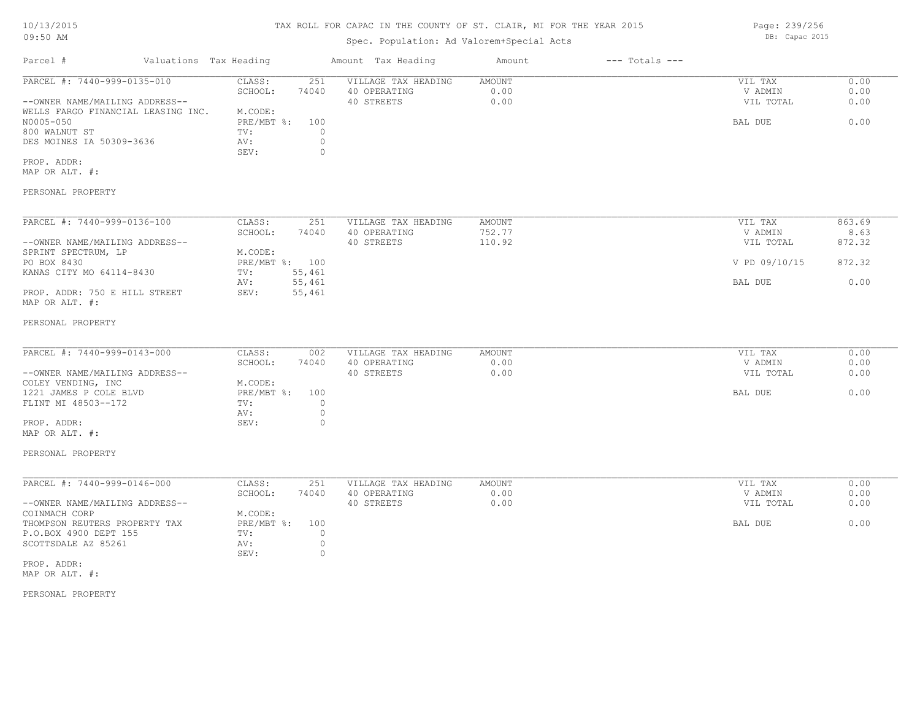#### TAX ROLL FOR CAPAC IN THE COUNTY OF ST. CLAIR, MI FOR THE YEAR 2015

### Spec. Population: Ad Valorem+Special Acts

| Parcel #                           | Valuations Tax Heading |       | Amount Tax Heading  | Amount | $---$ Totals $---$ |           |      |
|------------------------------------|------------------------|-------|---------------------|--------|--------------------|-----------|------|
| PARCEL #: 7440-999-0135-010        | CLASS:                 | 251   | VILLAGE TAX HEADING | AMOUNT |                    | VIL TAX   | 0.00 |
|                                    | SCHOOL:                | 74040 | 40 OPERATING        | 0.00   |                    | V ADMIN   | 0.00 |
| --OWNER NAME/MAILING ADDRESS--     |                        |       | 40 STREETS          | 0.00   |                    | VIL TOTAL | 0.00 |
| WELLS FARGO FINANCIAL LEASING INC. | M.CODE:                |       |                     |        |                    |           |      |
| N0005-050                          | PRE/MBT %:             | 100   |                     |        |                    | BAL DUE   | 0.00 |
| 800 WALNUT ST                      | TV:                    |       |                     |        |                    |           |      |
| DES MOINES IA 50309-3636           | AV:                    |       |                     |        |                    |           |      |
|                                    | SEV:                   |       |                     |        |                    |           |      |
| PROP. ADDR:                        |                        |       |                     |        |                    |           |      |
| MAP OR ALT. #:                     |                        |       |                     |        |                    |           |      |
| PERSONAL PROPERTY                  |                        |       |                     |        |                    |           |      |

--OWNER NAME/MAILING ADDRESS-- 40 STREETS 110.92 VIL TOTAL 872.32 SCHOOL: 74040 40 OPERATING 752.77 7 7 7 7 7 7 7 7 7 7 8.63 PARCEL #: 7440-999-0136-100 CLASS: 251 VILLAGE TAX HEADING AMOUNT VIL TAX VIL TAX 863.69<br>SCHOOL: 74040 40 OPERATING 752.77 7 VADMIN 8.63

### MAP OR ALT. #: PROP. ADDR: 750 E HILL STREET SEV: 55,461 AV: 55,461 BAL DUE 0.00 KANAS CITY MO 64114-8430 TV: 55,461 PO BOX 8430 PRE/MBT %: 100 V PD 09/10/15 872.32 SPRINT SPECTRUM, LP M.CODE:

#### PERSONAL PROPERTY

| PARCEL #: 7440-999-0143-000    | CLASS:         | 002   | VILLAGE TAX HEADING | AMOUNT | VIL TAX   | 0.00 |
|--------------------------------|----------------|-------|---------------------|--------|-----------|------|
|                                | SCHOOL:        | 74040 | 40 OPERATING        | 0.00   | V ADMIN   | 0.00 |
| --OWNER NAME/MAILING ADDRESS-- |                |       | 40 STREETS          | 0.00   | VIL TOTAL | 0.00 |
| COLEY VENDING, INC             | M.CODE:        |       |                     |        |           |      |
| 1221 JAMES P COLE BLVD         | PRE/MBT %: 100 |       |                     |        | BAL DUE   | 0.00 |
| FLINT MI 48503--172            | TV:            |       |                     |        |           |      |
|                                | AV:            |       |                     |        |           |      |
| PROP. ADDR:                    | SEV:           |       |                     |        |           |      |
| MAP OR ALT. #:                 |                |       |                     |        |           |      |

#### PERSONAL PROPERTY

| PARCEL #: 7440-999-0146-000    | CLASS:         | 251   | VILLAGE TAX HEADING | AMOUNT | VIL TAX   | 0.00 |
|--------------------------------|----------------|-------|---------------------|--------|-----------|------|
|                                | SCHOOL:        | 74040 | 40 OPERATING        | 0.00   | V ADMIN   | 0.00 |
| --OWNER NAME/MAILING ADDRESS-- |                |       | 40 STREETS          | 0.00   | VIL TOTAL | 0.00 |
| COINMACH CORP                  | M.CODE:        |       |                     |        |           |      |
| THOMPSON REUTERS PROPERTY TAX  | PRE/MBT %: 100 |       |                     |        | BAL DUE   | 0.00 |
| P.O.BOX 4900 DEPT 155          | TV:            |       |                     |        |           |      |
| SCOTTSDALE AZ 85261            | AV:            |       |                     |        |           |      |
|                                | SEV:           |       |                     |        |           |      |
| PROP. ADDR:                    |                |       |                     |        |           |      |

MAP OR ALT. #:

PERSONAL PROPERTY

Page: 239/256 DB: Capac 2015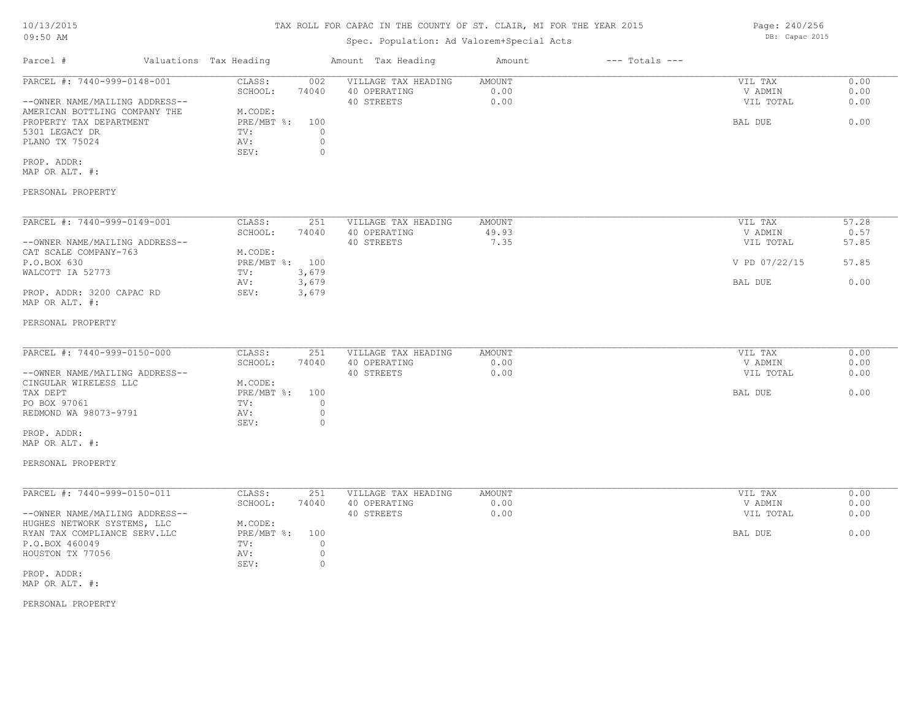Page: 240/256 DB: Capac 2015

### Spec. Population: Ad Valorem+Special Acts

Parcel # Valuations Tax Heading Amount Tax Heading Amount --- Totals ---PERSONAL PROPERTY MAP OR ALT. #: PROP. ADDR: SEV: 0 PLANO TX 75024 AV: 0 5301 LEGACY DR TV: 0 PROPERTY TAX DEPARTMENT **EXAMPLE 1999** PRE/MBT %: 100 BAL DUE **PROPERTY TAX DEPARTMENT** 9.00 AMERICAN BOTTLING COMPANY THE M.CODE: --OWNER NAME/MAILING ADDRESS-- 40 STREETS 0.00 VIL TOTAL 0.00 SCHOOL: 74040 40 OPERATING 0.00 V ADMIN 0.00 PARCEL #: 7440-999-0148-001 CLASS: 002 VILLAGE TAX HEADING AMOUNT VIL TAX VIL TAX 0.00<br>SCHOOL: 74040 40 OPERATING 0.00 0.00 VILLAGE VILLAGE 0.00  $\mathcal{L}_\mathcal{L} = \mathcal{L}_\mathcal{L} = \mathcal{L}_\mathcal{L} = \mathcal{L}_\mathcal{L} = \mathcal{L}_\mathcal{L} = \mathcal{L}_\mathcal{L} = \mathcal{L}_\mathcal{L} = \mathcal{L}_\mathcal{L} = \mathcal{L}_\mathcal{L} = \mathcal{L}_\mathcal{L} = \mathcal{L}_\mathcal{L} = \mathcal{L}_\mathcal{L} = \mathcal{L}_\mathcal{L} = \mathcal{L}_\mathcal{L} = \mathcal{L}_\mathcal{L} = \mathcal{L}_\mathcal{L} = \mathcal{L}_\mathcal{L}$ PERSONAL PROPERTY MAP OR ALT. #: PROP. ADDR: 3200 CAPAC RD SEV: 3,679 AV: 3,679 BAL DUE 0.00 WALCOTT IA 52773 TV: 3,679<br>
AV: 3,679 P.O.BOX 630 PRE/MBT %: 100 V PD 07/22/15 57.85 CAT SCALE COMPANY-763 M.CODE: --OWNER NAME/MAILING ADDRESS-- 40 STREETS 7.35 VIL TOTAL 57.85 SCHOOL: 74040 40 OPERATING 49.93 V ADMIN 0.57 PARCEL #: 7440-999-0149-001 CLASS: 251 VILLAGE TAX HEADING AMOUNT AUGUST 201 VIL TAX 57.28<br>SCHOOL: 74040 40 OPERATING 49.93 VADMIN 0.57 PERSONAL PROPERTY MAP OR ALT. #: PROP. ADDR: SEV: 0 REDMOND WA 98073-9791 AV: 0<br>
SEV: 0 PO BOX 97061 DO BOX 97061 DO BOX 97061 DO BOX 97061 DO BOX 97061 DO BOX 97061 DO BOX 97061 DO BOX 97061 DO BOX 97061 DO BOX 97061 DO BOX 97061 DO BOX 97061 DO BOX 97061 DO BOX 97061 DO BOX 97061 DO BOX 97061 DO BOX 97061 D TAX DEPT TAX SERVER SUBSECTION OF PRE/MBT \$: 100 CONTROL DECISION OF DEVICE A RELATIONS OF DEVICE A RELATIONS CINGULAR WIRELESS LLC M.CODE:<br>
TAX DEPT PRE/MBT %: --OWNER NAME/MAILING ADDRESS-- 40 STREETS 0.00 VIL TOTAL 0.00 SCHOOL: 74040 40 OPERATING 0.00 V ADMIN 0.00 PARCEL #: 7440-999-0150-000 CLASS: 251 VILLAGE TAX HEADING AMOUNT VIL TAX 0.00  $\mathcal{L}_\mathcal{L} = \mathcal{L}_\mathcal{L} = \mathcal{L}_\mathcal{L} = \mathcal{L}_\mathcal{L} = \mathcal{L}_\mathcal{L} = \mathcal{L}_\mathcal{L} = \mathcal{L}_\mathcal{L} = \mathcal{L}_\mathcal{L} = \mathcal{L}_\mathcal{L} = \mathcal{L}_\mathcal{L} = \mathcal{L}_\mathcal{L} = \mathcal{L}_\mathcal{L} = \mathcal{L}_\mathcal{L} = \mathcal{L}_\mathcal{L} = \mathcal{L}_\mathcal{L} = \mathcal{L}_\mathcal{L} = \mathcal{L}_\mathcal{L}$ PERSONAL PROPERTY MAP OR ALT. #: PROP. ADDR: SEV: 0 HOUSTON TX 77056 AV: 0 P.O.BOX 460049 TV: 0 RYAN TAX COMPLIANCE SERV.LLC BRE/MBT %: 100 BAL DUE 6.00 HUGHES NETWORK SYSTEMS, LLC M.CODE: --OWNER NAME/MAILING ADDRESS-- 40 STREETS 0.00 VIL TOTAL 0.00 SCHOOL: 74040 40 OPERATING 0.00 V ADMIN 0.00 PARCEL #: 7440-999-0150-011 CLASS: 251 VILLAGE TAX HEADING AMOUNT VIL TAX 0.00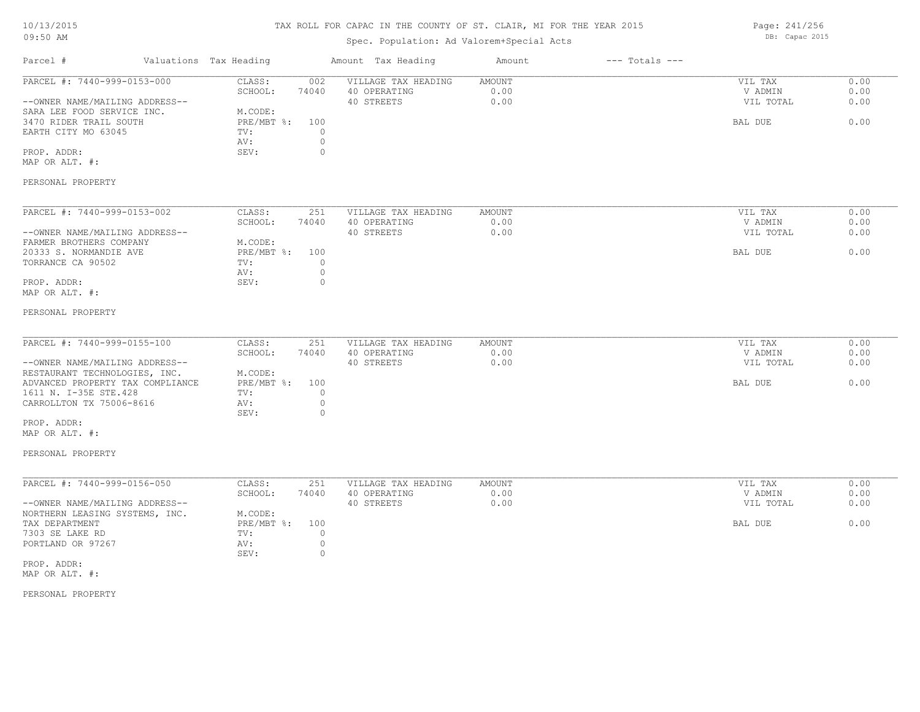# TAX ROLL FOR CAPAC IN THE COUNTY OF ST. CLAIR, MI FOR THE YEAR 2015

Spec. Population: Ad Valorem+Special Acts

| Parcel #                                                                                                                                                    | Valuations Tax Heading                                           |                                                      | Amount Tax Heading                                | Amount                        | $---$ Totals $---$ |                                            |                              |
|-------------------------------------------------------------------------------------------------------------------------------------------------------------|------------------------------------------------------------------|------------------------------------------------------|---------------------------------------------------|-------------------------------|--------------------|--------------------------------------------|------------------------------|
| PARCEL #: 7440-999-0153-000<br>--OWNER NAME/MAILING ADDRESS--<br>SARA LEE FOOD SERVICE INC.<br>3470 RIDER TRAIL SOUTH<br>EARTH CITY MO 63045<br>PROP. ADDR: | CLASS:<br>SCHOOL:<br>M.CODE:<br>PRE/MBT %:<br>TV:<br>AV:<br>SEV: | 002<br>74040<br>100<br>$\circ$<br>$\circ$<br>$\circ$ | VILLAGE TAX HEADING<br>40 OPERATING<br>40 STREETS | AMOUNT<br>0.00<br>0.00        |                    | VIL TAX<br>V ADMIN<br>VIL TOTAL<br>BAL DUE | 0.00<br>0.00<br>0.00<br>0.00 |
| MAP OR ALT. #:                                                                                                                                              |                                                                  |                                                      |                                                   |                               |                    |                                            |                              |
| PERSONAL PROPERTY                                                                                                                                           |                                                                  |                                                      |                                                   |                               |                    |                                            |                              |
| PARCEL #: 7440-999-0153-002<br>--OWNER NAME/MAILING ADDRESS--<br>FARMER BROTHERS COMPANY                                                                    | CLASS:<br>SCHOOL:<br>M.CODE:                                     | 251<br>74040                                         | VILLAGE TAX HEADING<br>40 OPERATING<br>40 STREETS | <b>AMOUNT</b><br>0.00<br>0.00 |                    | VIL TAX<br>V ADMIN<br>VIL TOTAL            | 0.00<br>0.00<br>0.00         |
| 20333 S. NORMANDIE AVE<br>TORRANCE CA 90502<br>PROP. ADDR:<br>MAP OR ALT. #:                                                                                | $PRE/MBT$ %:<br>TV:<br>AV:<br>SEV:                               | 100<br>$\circ$<br>$\circ$<br>$\circ$                 |                                                   |                               |                    | BAL DUE                                    | 0.00                         |
| PERSONAL PROPERTY                                                                                                                                           |                                                                  |                                                      |                                                   |                               |                    |                                            |                              |
| PARCEL #: 7440-999-0155-100<br>--OWNER NAME/MAILING ADDRESS--                                                                                               | CLASS:<br>SCHOOL:<br>M.CODE:                                     | 251<br>74040                                         | VILLAGE TAX HEADING<br>40 OPERATING<br>40 STREETS | <b>AMOUNT</b><br>0.00<br>0.00 |                    | VIL TAX<br>V ADMIN<br>VIL TOTAL            | 0.00<br>0.00<br>0.00         |
| RESTAURANT TECHNOLOGIES, INC.<br>ADVANCED PROPERTY TAX COMPLIANCE<br>1611 N. I-35E STE.428<br>CARROLLTON TX 75006-8616<br>PROP. ADDR:                       | $PRE/MBT$ %:<br>TV:<br>AV:<br>SEV:                               | 100<br>$\circ$<br>$\circ$<br>0                       |                                                   |                               |                    | BAL DUE                                    | 0.00                         |
| MAP OR ALT. #:<br>PERSONAL PROPERTY                                                                                                                         |                                                                  |                                                      |                                                   |                               |                    |                                            |                              |
|                                                                                                                                                             |                                                                  |                                                      |                                                   |                               |                    |                                            |                              |
| PARCEL #: 7440-999-0156-050<br>--OWNER NAME/MAILING ADDRESS--                                                                                               | CLASS:<br>SCHOOL:                                                | 251<br>74040                                         | VILLAGE TAX HEADING<br>40 OPERATING<br>40 STREETS | <b>AMOUNT</b><br>0.00<br>0.00 |                    | VIL TAX<br>V ADMIN<br>VIL TOTAL            | 0.00<br>0.00<br>0.00         |
| NORTHERN LEASING SYSTEMS, INC.<br>TAX DEPARTMENT<br>7303 SE LAKE RD<br>PORTLAND OR 97267                                                                    | M.CODE:<br>PRE/MBT %:<br>TV:<br>AV:<br>SEV:                      | 100<br>0<br>$\circ$<br>$\circ$                       |                                                   |                               |                    | BAL DUE                                    | 0.00                         |
| PROP. ADDR:<br>MAP OR ALT. #:                                                                                                                               |                                                                  |                                                      |                                                   |                               |                    |                                            |                              |
| PERSONAL PROPERTY                                                                                                                                           |                                                                  |                                                      |                                                   |                               |                    |                                            |                              |

Page: 241/256 DB: Capac 2015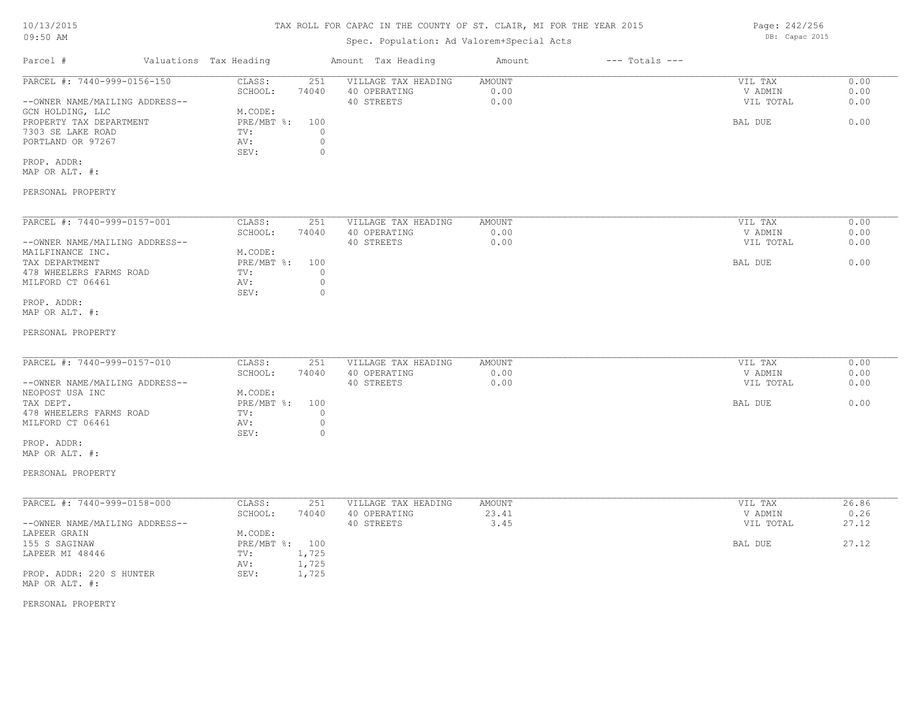# TAX ROLL FOR CAPAC IN THE COUNTY OF ST. CLAIR, MI FOR THE YEAR 2015

# Spec. Population: Ad Valorem+Special Acts

| Parcel #                       | Valuations Tax Heading |       | Amount Tax Heading  | Amount | $---$ Totals $---$ |           |      |
|--------------------------------|------------------------|-------|---------------------|--------|--------------------|-----------|------|
| PARCEL #: 7440-999-0156-150    | CLASS:                 | 251   | VILLAGE TAX HEADING | AMOUNT |                    | VIL TAX   | 0.00 |
|                                | SCHOOL:                | 74040 | 40 OPERATING        | 0.00   |                    | V ADMIN   | 0.00 |
| --OWNER NAME/MAILING ADDRESS-- |                        |       | 40 STREETS          | 0.00   |                    | VIL TOTAL | 0.00 |
| GCN HOLDING, LLC               | M.CODE:                |       |                     |        |                    |           |      |
| PROPERTY TAX DEPARTMENT        | $PRE/MBT$ %:           | 100   |                     |        |                    | BAL DUE   | 0.00 |
| 7303 SE LAKE ROAD              | TV:                    |       |                     |        |                    |           |      |
| PORTLAND OR 97267              | AV:                    |       |                     |        |                    |           |      |
|                                | SEV:                   |       |                     |        |                    |           |      |
|                                |                        |       |                     |        |                    |           |      |

MAP OR ALT. #: PROP. ADDR:

### PERSONAL PROPERTY

| PARCEL #: 7440-999-0157-001    | CLASS:     | 251   | VILLAGE TAX HEADING | AMOUNT | VIL TAX   | 0.00 |
|--------------------------------|------------|-------|---------------------|--------|-----------|------|
|                                | SCHOOL:    | 74040 | 40 OPERATING        | 0.00   | V ADMIN   | 0.00 |
| --OWNER NAME/MAILING ADDRESS-- |            |       | 40 STREETS          | 0.00   | VIL TOTAL | 0.00 |
| MAILFINANCE INC.               | M.CODE:    |       |                     |        |           |      |
| TAX DEPARTMENT                 | PRE/MBT %: | 100   |                     |        | BAL DUE   | 0.00 |
| 478 WHEELERS FARMS ROAD        | TV:        |       |                     |        |           |      |
| MILFORD CT 06461               | AV:        |       |                     |        |           |      |
|                                | SEV:       |       |                     |        |           |      |
| PROP. ADDR:                    |            |       |                     |        |           |      |

MAP OR ALT. #:

#### PERSONAL PROPERTY

| PARCEL #: 7440-999-0157-010    | CLASS:     | 251   | VILLAGE TAX HEADING | AMOUNT | VIL TAX   | 0.00 |
|--------------------------------|------------|-------|---------------------|--------|-----------|------|
|                                | SCHOOL:    | 74040 | 40 OPERATING        | 0.00   | V ADMIN   | 0.00 |
| --OWNER NAME/MAILING ADDRESS-- |            |       | 40 STREETS          | 0.00   | VIL TOTAL | 0.00 |
| NEOPOST USA INC                | M.CODE:    |       |                     |        |           |      |
| TAX DEPT.                      | PRE/MBT %: | 100   |                     |        | BAL DUE   | 0.00 |
| 478 WHEELERS FARMS ROAD        | TV:        |       |                     |        |           |      |
| MILFORD CT 06461               | AV:        |       |                     |        |           |      |
|                                | SEV:       |       |                     |        |           |      |

MAP OR ALT. #: PROP. ADDR:

PERSONAL PROPERTY

| PARCEL #: 7440-999-0158-000    | CLASS:     | 251   | VILLAGE TAX HEADING | AMOUNT | VIL TAX   | 26.86 |
|--------------------------------|------------|-------|---------------------|--------|-----------|-------|
|                                | SCHOOL:    | 74040 | 40 OPERATING        | 23.41  | V ADMIN   | 0.26  |
| --OWNER NAME/MAILING ADDRESS-- |            |       | 40 STREETS          | 3.45   | VIL TOTAL | 27.12 |
| LAPEER GRAIN                   | M.CODE:    |       |                     |        |           |       |
| 155 S SAGINAW                  | PRE/MBT %: | 100   |                     |        | BAL DUE   | 27.12 |
| LAPEER MI 48446                | TV:        | 1,725 |                     |        |           |       |
|                                | AV:        | 1,725 |                     |        |           |       |
| PROP. ADDR: 220 S HUNTER       | SEV:       | 1,725 |                     |        |           |       |
| MAP OR ALT. #:                 |            |       |                     |        |           |       |

 $\mathcal{L}_\mathcal{L} = \mathcal{L}_\mathcal{L} = \mathcal{L}_\mathcal{L} = \mathcal{L}_\mathcal{L} = \mathcal{L}_\mathcal{L} = \mathcal{L}_\mathcal{L} = \mathcal{L}_\mathcal{L} = \mathcal{L}_\mathcal{L} = \mathcal{L}_\mathcal{L} = \mathcal{L}_\mathcal{L} = \mathcal{L}_\mathcal{L} = \mathcal{L}_\mathcal{L} = \mathcal{L}_\mathcal{L} = \mathcal{L}_\mathcal{L} = \mathcal{L}_\mathcal{L} = \mathcal{L}_\mathcal{L} = \mathcal{L}_\mathcal{L}$ 

### PERSONAL PROPERTY

Page: 242/256 DB: Capac 2015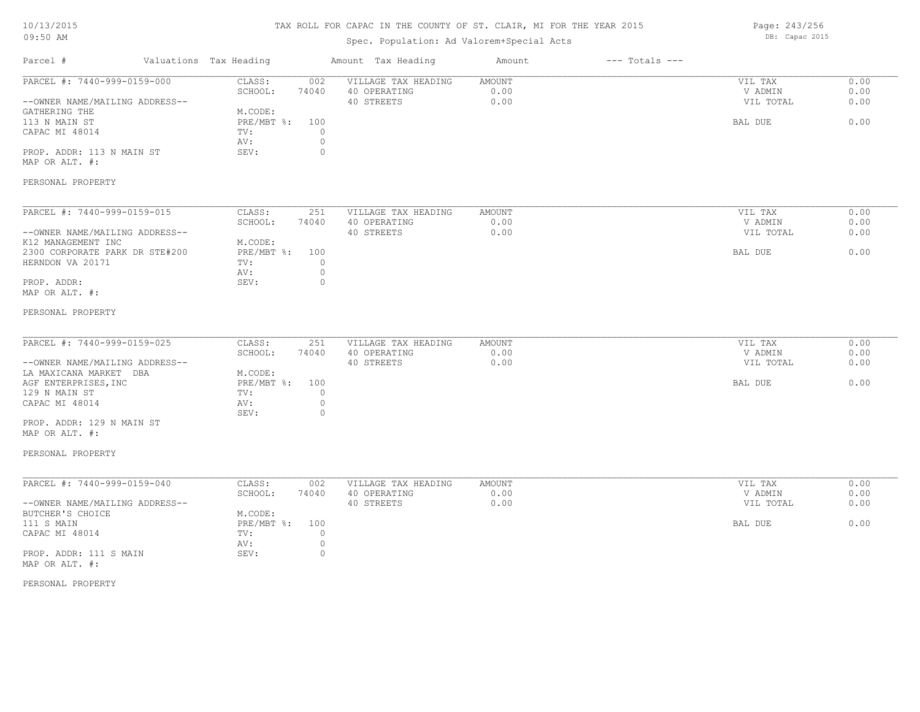PERSONAL PROPERTY MAP OR ALT. #:

Parcel # Valuations Tax Heading Amount Tax Heading Amount --- Totals ---TAX ROLL FOR CAPAC IN THE COUNTY OF ST. CLAIR, MI FOR THE YEAR 2015 Spec. Population: Ad Valorem+Special Acts Page: 243/256 DB: Capac 2015 PROP. ADDR: 113 N MAIN ST SEV: 0 AV: 0 CAPAC MI 48014  $TV:$  0<br>AV: 0 113 N MAIN ST PRE/MBT %: 100 BAL DUE 0.00 GATHERING THE M.CODE:<br>113 N MAIN ST THE ME PRE/MBT %: 100 --OWNER NAME/MAILING ADDRESS-- 40 STREETS 0.00 VIL TOTAL 0.00 SCHOOL: 74040 40 OPERATING 0.00 V ADMIN 0.00 PARCEL #: 7440-999-0159-000 CLASS: 002 VILLAGE TAX HEADING AMOUNT VIL TAX VIL TAX 0.00<br>SCHOOL: 74040 40 OPERATING 0.00 000 VADMIN 0.00  $\mathcal{L}_\mathcal{L} = \mathcal{L}_\mathcal{L} = \mathcal{L}_\mathcal{L} = \mathcal{L}_\mathcal{L} = \mathcal{L}_\mathcal{L} = \mathcal{L}_\mathcal{L} = \mathcal{L}_\mathcal{L} = \mathcal{L}_\mathcal{L} = \mathcal{L}_\mathcal{L} = \mathcal{L}_\mathcal{L} = \mathcal{L}_\mathcal{L} = \mathcal{L}_\mathcal{L} = \mathcal{L}_\mathcal{L} = \mathcal{L}_\mathcal{L} = \mathcal{L}_\mathcal{L} = \mathcal{L}_\mathcal{L} = \mathcal{L}_\mathcal{L}$ PROP. ADDR: 0 AV: 0 HERNDON VA 20171  $TV:$  0  $AV:$  0 2300 CORPORATE PARK DR STE#200 PRE/MBT %: 100 BAL DUE 6.00 K12 MANAGEMENT INC M.CODE: --OWNER NAME/MAILING ADDRESS-- 40 STREETS 0.00 VIL TOTAL 0.00 SCHOOL: 74040 40 OPERATING 0.00 V ADMIN 0.00 PARCEL #: 7440-999-0159-015 CLASS: 251 VILLAGE TAX HEADING AMOUNT VIL TAX VIL TAX 0.00<br>SCHOOL: 74040 40 OPERATING 0.00 00 VADMIN 0.00  $\mathcal{L}_\mathcal{L} = \mathcal{L}_\mathcal{L} = \mathcal{L}_\mathcal{L} = \mathcal{L}_\mathcal{L} = \mathcal{L}_\mathcal{L} = \mathcal{L}_\mathcal{L} = \mathcal{L}_\mathcal{L} = \mathcal{L}_\mathcal{L} = \mathcal{L}_\mathcal{L} = \mathcal{L}_\mathcal{L} = \mathcal{L}_\mathcal{L} = \mathcal{L}_\mathcal{L} = \mathcal{L}_\mathcal{L} = \mathcal{L}_\mathcal{L} = \mathcal{L}_\mathcal{L} = \mathcal{L}_\mathcal{L} = \mathcal{L}_\mathcal{L}$ --OWNER NAME/MAILING ADDRESS-- 40 STREETS 0.00 VIL TOTAL 0.00 SCHOOL: 74040 40 OPERATING 0.00 V ADMIN 0.00 PARCEL #: 7440-999-0159-025 CLASS: 251 VILLAGE TAX HEADING AMOUNT VIL TAX VIL TAX 0.00<br>SCHOOL: 74040 40 OPERATING 0.00 000 VADMIN 0.00  $\mathcal{L}_\mathcal{L} = \mathcal{L}_\mathcal{L} = \mathcal{L}_\mathcal{L} = \mathcal{L}_\mathcal{L} = \mathcal{L}_\mathcal{L} = \mathcal{L}_\mathcal{L} = \mathcal{L}_\mathcal{L} = \mathcal{L}_\mathcal{L} = \mathcal{L}_\mathcal{L} = \mathcal{L}_\mathcal{L} = \mathcal{L}_\mathcal{L} = \mathcal{L}_\mathcal{L} = \mathcal{L}_\mathcal{L} = \mathcal{L}_\mathcal{L} = \mathcal{L}_\mathcal{L} = \mathcal{L}_\mathcal{L} = \mathcal{L}_\mathcal{L}$ 

| M.CODE:<br>LA MAXICANA MARKET DBA<br>$PRE/MBT$ %:<br>100<br>AGF ENTERPRISES, INC<br>BAL DUE |      |
|---------------------------------------------------------------------------------------------|------|
|                                                                                             |      |
|                                                                                             | 0.00 |
| 129 N MAIN ST<br>TV:                                                                        |      |
| CAPAC MI 48014<br>AV:                                                                       |      |
| SEV:<br>$^{(1)}$                                                                            |      |
| PROP. ADDR: 129 N MAIN ST                                                                   |      |

MAP OR ALT. #:

PERSONAL PROPERTY MAP OR ALT. #:

#### PERSONAL PROPERTY

| PARCEL #: 7440-999-0159-040    | CLASS:         | 002   | VILLAGE TAX HEADING | AMOUNT | VIL TAX   | 0.00 |
|--------------------------------|----------------|-------|---------------------|--------|-----------|------|
|                                | SCHOOL:        | 74040 | 40 OPERATING        | 0.00   | V ADMIN   | 0.00 |
| --OWNER NAME/MAILING ADDRESS-- |                |       | 40 STREETS          | 0.00   | VIL TOTAL | 0.00 |
| BUTCHER'S CHOICE               | M.CODE:        |       |                     |        |           |      |
| 111 S MAIN                     | PRE/MBT %: 100 |       |                     |        | BAL DUE   | 0.00 |
| CAPAC MI 48014                 | TV:            |       |                     |        |           |      |
|                                | AV:            |       |                     |        |           |      |
| PROP. ADDR: 111 S MAIN         | SEV:           |       |                     |        |           |      |
| MAP OR ALT. #:                 |                |       |                     |        |           |      |

#### PERSONAL PROPERTY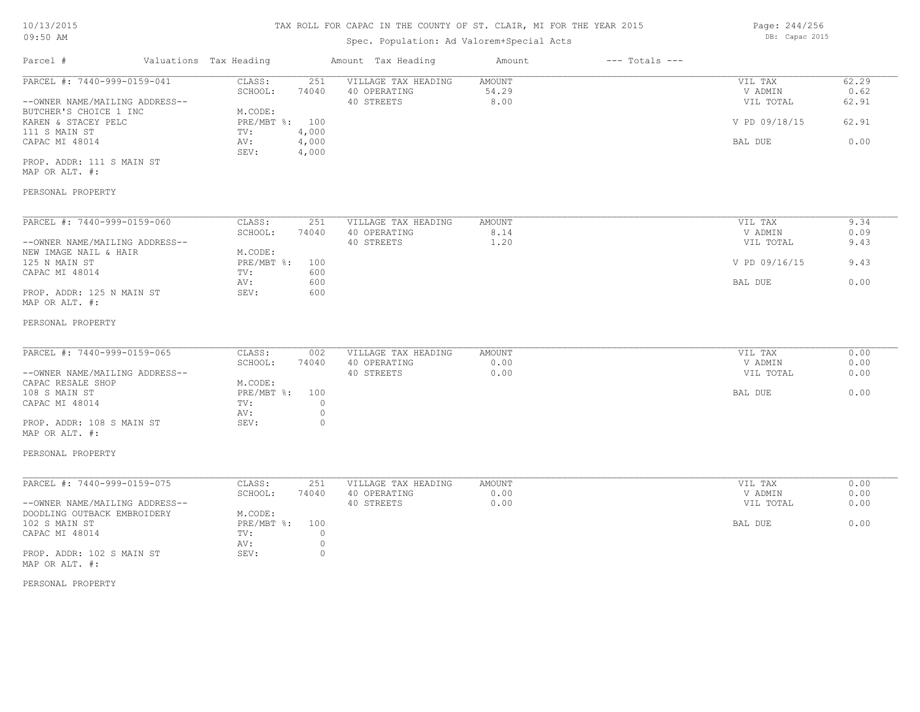### Spec. Population: Ad Valorem+Special Acts

Parcel # Valuations Tax Heading Amount Tax Heading Amount --- Totals ---PROP. ADDR: 111 S MAIN ST SEV: 4,000 CAPAC MI 48014 AV: 4,000 BAL DUE 0.00 111 S MAIN ST TV: 4,000 KAREN & STACEY PELC **PRE/MBT %:** 100 **PRE/MBT %:** 100 **PRE/MBT %:** 100 **PRE/MBT %:** 100 **PRE/MBT %:** 100 **PRE/MBT %:** 100 **PRE/MBT %:** 100 **PRE/MBT %:** 100 **PRE/MBT %:** 100 **PRE/MBT %:** 100 **PRE/MBT %:** 100 **PRE/MBT %:** 10 BUTCHER'S CHOICE 1 INC M.CODE: --OWNER NAME/MAILING ADDRESS-- 40 STREETS 8.00 VIL TOTAL 62.91 SCHOOL: 74040 40 OPERATING 54.29 V ADMIN 0.62 PARCEL #: 7440-999-0159-041 CLASS: 251 VILLAGE TAX HEADING AMOUNT VIL TAX VIL TAX 62.29<br>SCHOOL: 74040 40 OPERATING 54.29 VADMIN 0.62  $\mathcal{L}_\mathcal{L} = \mathcal{L}_\mathcal{L} = \mathcal{L}_\mathcal{L} = \mathcal{L}_\mathcal{L} = \mathcal{L}_\mathcal{L} = \mathcal{L}_\mathcal{L} = \mathcal{L}_\mathcal{L} = \mathcal{L}_\mathcal{L} = \mathcal{L}_\mathcal{L} = \mathcal{L}_\mathcal{L} = \mathcal{L}_\mathcal{L} = \mathcal{L}_\mathcal{L} = \mathcal{L}_\mathcal{L} = \mathcal{L}_\mathcal{L} = \mathcal{L}_\mathcal{L} = \mathcal{L}_\mathcal{L} = \mathcal{L}_\mathcal{L}$ 

MAP OR ALT. #:

#### PERSONAL PROPERTY

| PARCEL #: 7440-999-0159-060    | CLASS:     | 251   | VILLAGE TAX HEADING | AMOUNT              | VIL TAX       | 9.34 |
|--------------------------------|------------|-------|---------------------|---------------------|---------------|------|
|                                | SCHOOL:    | 74040 | 40 OPERATING        | 8.14                | V ADMIN       | 0.09 |
| --OWNER NAME/MAILING ADDRESS-- |            |       | 40 STREETS          | $\overline{1}$ . 20 | VIL TOTAL     | 9.43 |
| NEW IMAGE NAIL & HAIR          | M.CODE:    |       |                     |                     |               |      |
| 125 N MAIN ST                  | PRE/MBT %: | 100   |                     |                     | V PD 09/16/15 | 9.43 |
| CAPAC MI 48014                 | TV:        | 600   |                     |                     |               |      |
|                                | AV:        | 600   |                     |                     | BAL DUE       | 0.00 |
| PROP. ADDR: 125 N MAIN ST      | SEV:       | 600   |                     |                     |               |      |
| MAP OR ALT. #:                 |            |       |                     |                     |               |      |

#### PERSONAL PROPERTY

| PARCEL #: 7440-999-0159-065    | CLASS:     | 002   | VILLAGE TAX HEADING | AMOUNT | VIL TAX   | 0.00 |
|--------------------------------|------------|-------|---------------------|--------|-----------|------|
|                                | SCHOOL:    | 74040 | 40 OPERATING        | 0.00   | V ADMIN   | 0.00 |
| --OWNER NAME/MAILING ADDRESS-- |            |       | 40 STREETS          | 0.00   | VIL TOTAL | 0.00 |
| CAPAC RESALE SHOP              | M.CODE:    |       |                     |        |           |      |
| 108 S MAIN ST                  | PRE/MBT %: | 100   |                     |        | BAL DUE   | 0.00 |
| CAPAC MI 48014                 | TV:        |       |                     |        |           |      |
|                                | AV:        |       |                     |        |           |      |
| PROP. ADDR: 108 S MAIN ST      | SEV:       |       |                     |        |           |      |
|                                |            |       |                     |        |           |      |

MAP OR ALT. #:

#### PERSONAL PROPERTY

| PARCEL #: 7440-999-0159-075    | CLASS:         | 251   | VILLAGE TAX HEADING | AMOUNT | VIL TAX   | 0.00 |
|--------------------------------|----------------|-------|---------------------|--------|-----------|------|
|                                | SCHOOL:        | 74040 | 40 OPERATING        | 0.00   | V ADMIN   | 0.00 |
| --OWNER NAME/MAILING ADDRESS-- |                |       | 40 STREETS          | 0.00   | VIL TOTAL | 0.00 |
| DOODLING OUTBACK EMBROIDERY    | M.CODE:        |       |                     |        |           |      |
| 102 S MAIN ST                  | PRE/MBT %: 100 |       |                     |        | BAL DUE   | 0.00 |
| CAPAC MI 48014                 | TV:            |       |                     |        |           |      |
|                                | AV:            |       |                     |        |           |      |
| PROP. ADDR: 102 S MAIN ST      | SEV:           |       |                     |        |           |      |
| MAP OR ALT. #:                 |                |       |                     |        |           |      |

#### PERSONAL PROPERTY

Page: 244/256 DB: Capac 2015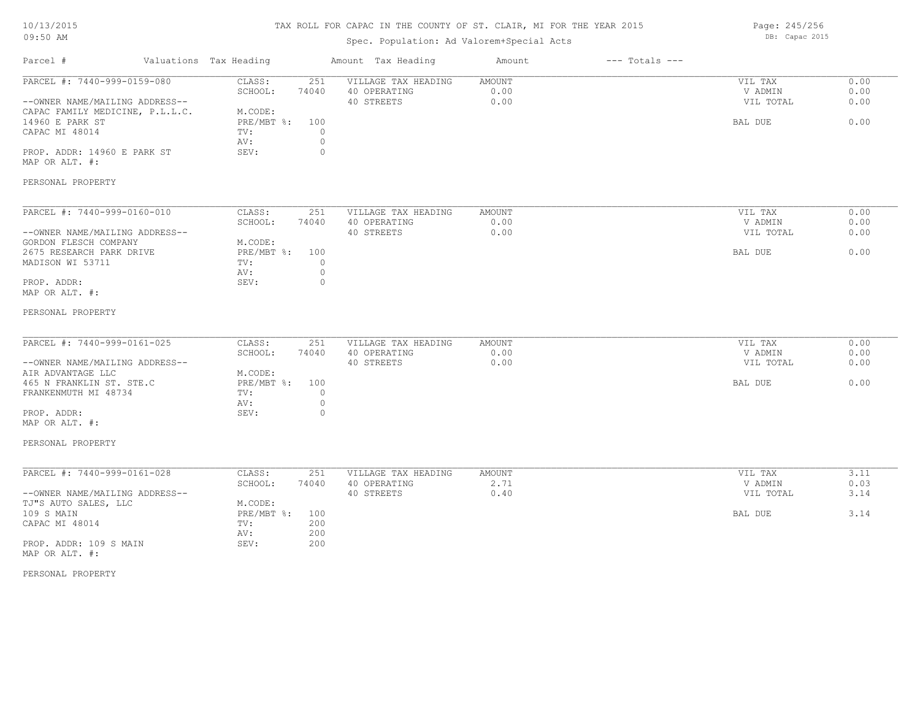#### TAX ROLL FOR CAPAC IN THE COUNTY OF ST. CLAIR, MI FOR THE YEAR 2015

# Spec. Population: Ad Valorem+Special Acts

Parcel # Valuations Tax Heading Amount Tax Heading Amount --- Totals ---PERSONAL PROPERTY MAP OR ALT. #: PROP. ADDR: 14960 E PARK ST SEV: 0 AV: 0 CAPAC MI 48014 TV: 0<br>
AV: 0 14960 E PARK ST PRE/MBT %: 100 BAL DUE 0.00 CAPAC FAMILY MEDICINE, P.L.L.C. M.CODE:<br>14960 E PARK ST PRE/MBT %: --OWNER NAME/MAILING ADDRESS-- 40 STREETS 0.00 VIL TOTAL 0.00 SCHOOL: 74040 40 OPERATING 0.00 V ADMIN 0.00 PARCEL #: 7440-999-0159-080 CLASS: 251 VILLAGE TAX HEADING AMOUNT AMOUNT VIL TAX 0.00<br>SCHOOL: 74040 40 OPERATING 0.00 0.00 VADMIN 0.00  $\mathcal{L}_\mathcal{L} = \mathcal{L}_\mathcal{L} = \mathcal{L}_\mathcal{L} = \mathcal{L}_\mathcal{L} = \mathcal{L}_\mathcal{L} = \mathcal{L}_\mathcal{L} = \mathcal{L}_\mathcal{L} = \mathcal{L}_\mathcal{L} = \mathcal{L}_\mathcal{L} = \mathcal{L}_\mathcal{L} = \mathcal{L}_\mathcal{L} = \mathcal{L}_\mathcal{L} = \mathcal{L}_\mathcal{L} = \mathcal{L}_\mathcal{L} = \mathcal{L}_\mathcal{L} = \mathcal{L}_\mathcal{L} = \mathcal{L}_\mathcal{L}$ PERSONAL PROPERTY MAP OR ALT. #: PROP. ADDR: 0 AV: 0 MADISON WI 53711  $TV:$  0<br>AV: 0 2675 RESEARCH PARK DRIVE PRE/MBT %: 100 BAL DUE 0.00 GORDON FLESCH COMPANY M.CODE: --OWNER NAME/MAILING ADDRESS-- 40 STREETS 0.00 VIL TOTAL 0.00 SCHOOL: 74040 40 OPERATING 0.00 V ADMIN 0.00 PARCEL #: 7440-999-0160-010 CLASS: 251 VILLAGE TAX HEADING AMOUNT VIL TAX VIL TAX 0.00<br>SCHOOL: 74040 40 OPERATING 0.00 00 VADMIN 0.00  $\mathcal{L}_\mathcal{L} = \mathcal{L}_\mathcal{L} = \mathcal{L}_\mathcal{L} = \mathcal{L}_\mathcal{L} = \mathcal{L}_\mathcal{L} = \mathcal{L}_\mathcal{L} = \mathcal{L}_\mathcal{L} = \mathcal{L}_\mathcal{L} = \mathcal{L}_\mathcal{L} = \mathcal{L}_\mathcal{L} = \mathcal{L}_\mathcal{L} = \mathcal{L}_\mathcal{L} = \mathcal{L}_\mathcal{L} = \mathcal{L}_\mathcal{L} = \mathcal{L}_\mathcal{L} = \mathcal{L}_\mathcal{L} = \mathcal{L}_\mathcal{L}$ PERSONAL PROPERTY MAP OR ALT. #: PROP. ADDR: SEV: 0 AV: 0 FRANKENMUTH MI 48734 TV: 0 465 N FRANKLIN ST. STE.C PRE/MBT %: 100 BAL DUE 0.00 AIR ADVANTAGE LLC M.CODE: --OWNER NAME/MAILING ADDRESS-- 40 STREETS 0.00 VIL TOTAL 0.00 SCHOOL: 74040 40 OPERATING 0.00 V ADMIN 0.00 PARCEL #: 7440-999-0161-025 CLASS: 251 VILLAGE TAX HEADING AMOUNT AUGUST 2010 VIL TAX 0.00<br>SCHOOL: 74040 40 OPERATING 0.00 00 VADMIN 0.00  $\mathcal{L}_\mathcal{L} = \mathcal{L}_\mathcal{L} = \mathcal{L}_\mathcal{L} = \mathcal{L}_\mathcal{L} = \mathcal{L}_\mathcal{L} = \mathcal{L}_\mathcal{L} = \mathcal{L}_\mathcal{L} = \mathcal{L}_\mathcal{L} = \mathcal{L}_\mathcal{L} = \mathcal{L}_\mathcal{L} = \mathcal{L}_\mathcal{L} = \mathcal{L}_\mathcal{L} = \mathcal{L}_\mathcal{L} = \mathcal{L}_\mathcal{L} = \mathcal{L}_\mathcal{L} = \mathcal{L}_\mathcal{L} = \mathcal{L}_\mathcal{L}$ PERSONAL PROPERTY MAP OR ALT. #: PROP. ADDR: 109 S MAIN SEV: 200 AV: 200 CAPAC MI 48014 TV: 200 109 S MAIN CHARL PRE/MBT %: 100 CHARL PRE/MBT %: 100 CHARL PRESS, THE SAL DUE 3.14 TJ"S AUTO SALES, LLC M.CODE:<br>109 S MAIN PRE/MBT %: --OWNER NAME/MAILING ADDRESS-- 40 STREETS 40 STREETS 0.40 0.40 VIL TOTAL 3.14 SCHOOL: 74040 40 OPERATING 2.71 2.71 V ADMIN 0.03 PARCEL #: 7440-999-0161-028 CLASS: 251 VILLAGE TAX HEADING AMOUNT VIL TAX 3.11

Page: 245/256 DB: Capac 2015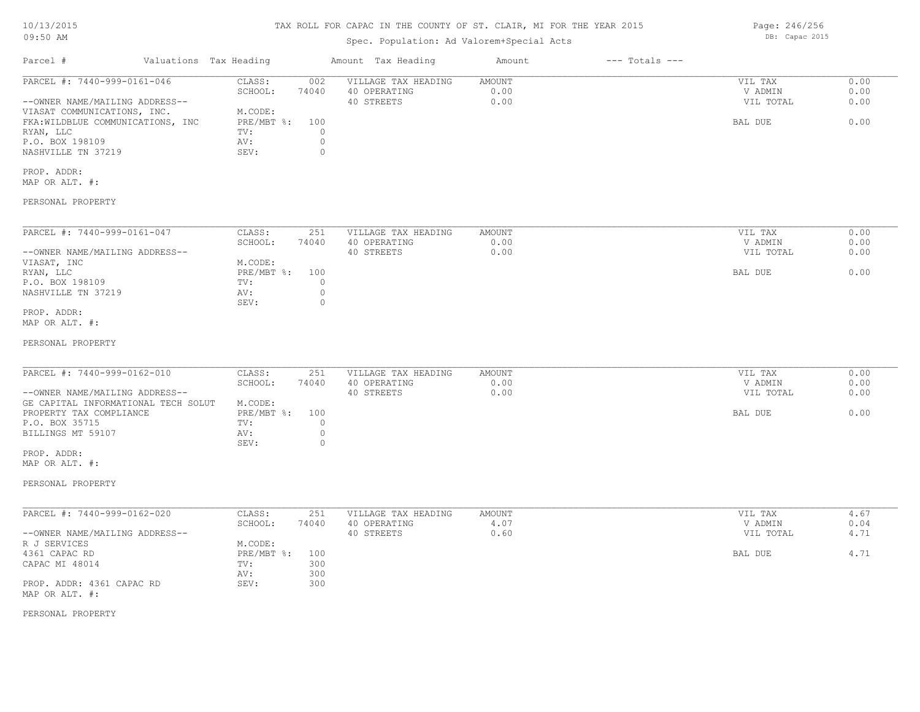# 10/13/2015

### 09:50 AM

# TAX ROLL FOR CAPAC IN THE COUNTY OF ST. CLAIR, MI FOR THE YEAR 2015

# Spec. Population: Ad Valorem+Special Acts

| Parcel #                          | Valuations Tax Heading |       | Amount Tax Heading  | Amount | $---$ Totals $---$ |           |      |
|-----------------------------------|------------------------|-------|---------------------|--------|--------------------|-----------|------|
| PARCEL #: 7440-999-0161-046       | CLASS:                 | 002   | VILLAGE TAX HEADING | AMOUNT |                    | VIL TAX   | 0.00 |
|                                   | SCHOOL:                | 74040 | 40 OPERATING        | 0.00   |                    | V ADMIN   | 0.00 |
| --OWNER NAME/MAILING ADDRESS--    |                        |       | 40 STREETS          | 0.00   |                    | VIL TOTAL | 0.00 |
| VIASAT COMMUNICATIONS, INC.       | M.CODE:                |       |                     |        |                    |           |      |
| FKA: WILDBLUE COMMUNICATIONS, INC | $PRE/MBT$ %:           | 100   |                     |        |                    | BAL DUE   | 0.00 |
| RYAN, LLC                         | TV:                    |       |                     |        |                    |           |      |
| P.O. BOX 198109                   | AV:                    |       |                     |        |                    |           |      |
| NASHVILLE TN 37219                | SEV:                   |       |                     |        |                    |           |      |
| PROP. ADDR:                       |                        |       |                     |        |                    |           |      |

MAP OR ALT. #:

PERSONAL PROPERTY

| PARCEL #: 7440-999-0161-047    | CLASS:         | 251   | VILLAGE TAX HEADING | AMOUNT | VIL TAX   | 0.00 |
|--------------------------------|----------------|-------|---------------------|--------|-----------|------|
|                                | SCHOOL:        | 74040 | 40 OPERATING        | 0.00   | V ADMIN   | 0.00 |
| --OWNER NAME/MAILING ADDRESS-- |                |       | 40 STREETS          | 0.00   | VIL TOTAL | 0.00 |
| VIASAT, INC                    | M.CODE:        |       |                     |        |           |      |
| RYAN, LLC                      | PRE/MBT %: 100 |       |                     |        | BAL DUE   | 0.00 |
| P.O. BOX 198109                | TV:            |       |                     |        |           |      |
| NASHVILLE TN 37219             | AV:            |       |                     |        |           |      |
|                                | SEV:           |       |                     |        |           |      |
| PROP. ADDR:                    |                |       |                     |        |           |      |

MAP OR ALT. #:

PERSONAL PROPERTY

| PARCEL #: 7440-999-0162-010         | CLASS:       | 251   | VILLAGE TAX HEADING | AMOUNT | VIL TAX   | 0.00 |
|-------------------------------------|--------------|-------|---------------------|--------|-----------|------|
|                                     | SCHOOL:      | 74040 | 40 OPERATING        | 0.00   | V ADMIN   | 0.00 |
| --OWNER NAME/MAILING ADDRESS--      |              |       | 40 STREETS          | 0.00   | VIL TOTAL | 0.00 |
| GE CAPITAL INFORMATIONAL TECH SOLUT | M.CODE:      |       |                     |        |           |      |
| PROPERTY TAX COMPLIANCE             | $PRE/MBT$ %: | 100   |                     |        | BAL DUE   | 0.00 |
| P.O. BOX 35715                      | TV:          |       |                     |        |           |      |
| BILLINGS MT 59107                   | AV:          |       |                     |        |           |      |
|                                     | SEV:         |       |                     |        |           |      |
| PROP. ADDR:                         |              |       |                     |        |           |      |

 $\mathcal{L}_\mathcal{L} = \mathcal{L}_\mathcal{L} = \mathcal{L}_\mathcal{L} = \mathcal{L}_\mathcal{L} = \mathcal{L}_\mathcal{L} = \mathcal{L}_\mathcal{L} = \mathcal{L}_\mathcal{L} = \mathcal{L}_\mathcal{L} = \mathcal{L}_\mathcal{L} = \mathcal{L}_\mathcal{L} = \mathcal{L}_\mathcal{L} = \mathcal{L}_\mathcal{L} = \mathcal{L}_\mathcal{L} = \mathcal{L}_\mathcal{L} = \mathcal{L}_\mathcal{L} = \mathcal{L}_\mathcal{L} = \mathcal{L}_\mathcal{L}$ 

MAP OR ALT. #:

PERSONAL PROPERTY

| PARCEL #: 7440-999-0162-020    | CLASS:       | 251   | VILLAGE TAX HEADING | AMOUNT | VIL TAX   | 4.67 |
|--------------------------------|--------------|-------|---------------------|--------|-----------|------|
|                                | SCHOOL:      | 74040 | 40 OPERATING        | 4.07   | V ADMIN   | 0.04 |
| --OWNER NAME/MAILING ADDRESS-- |              |       | 40 STREETS          | 0.60   | VIL TOTAL | 4.71 |
| R J SERVICES                   | M.CODE:      |       |                     |        |           |      |
| 4361 CAPAC RD                  | $PRE/MBT$ %: | 100   |                     |        | BAL DUE   | 4.71 |
| CAPAC MI 48014                 | TV:          | 300   |                     |        |           |      |
|                                | AV:          | 300   |                     |        |           |      |
| PROP. ADDR: 4361 CAPAC RD      | SEV:         | 300   |                     |        |           |      |
| MAP OR ALT. #:                 |              |       |                     |        |           |      |

PERSONAL PROPERTY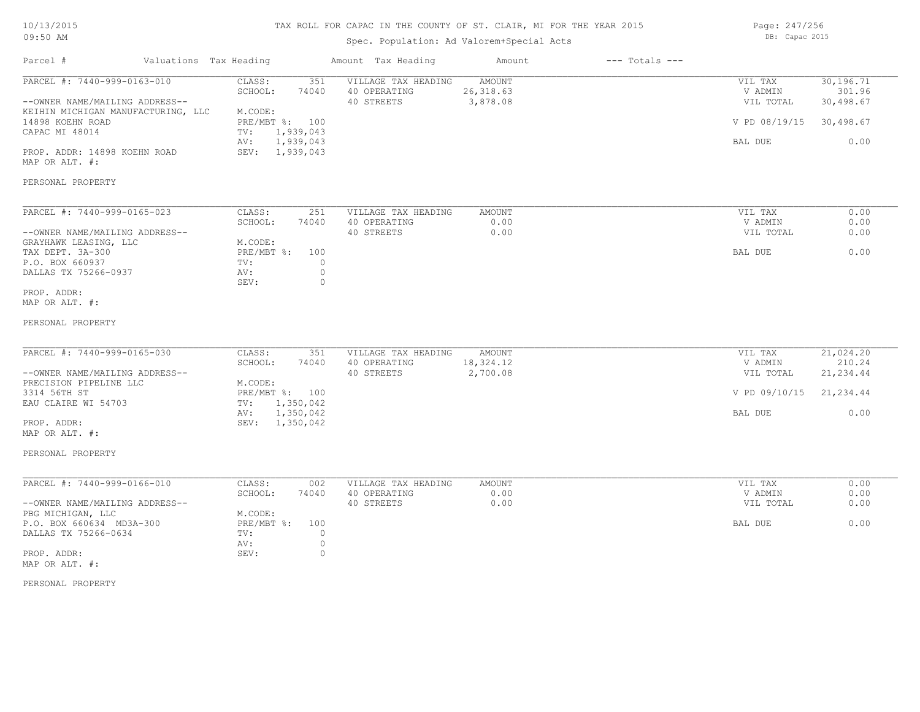# TAX ROLL FOR CAPAC IN THE COUNTY OF ST. CLAIR, MI FOR THE YEAR 2015

# Spec. Population: Ad Valorem+Special Acts

Page: 247/256 DB: Capac 2015

| Parcel #                                                      | Valuations Tax Heading |                                   | Amount Tax Heading                                | Amount                                  | $---$ Totals $---$ |                                 |                                  |
|---------------------------------------------------------------|------------------------|-----------------------------------|---------------------------------------------------|-----------------------------------------|--------------------|---------------------------------|----------------------------------|
| PARCEL #: 7440-999-0163-010<br>--OWNER NAME/MAILING ADDRESS-- |                        | CLASS:<br>351<br>74040<br>SCHOOL: | VILLAGE TAX HEADING<br>40 OPERATING<br>40 STREETS | <b>AMOUNT</b><br>26, 318.63<br>3,878.08 |                    | VIL TAX<br>V ADMIN<br>VIL TOTAL | 30,196.71<br>301.96<br>30,498.67 |
| KEIHIN MICHIGAN MANUFACTURING, LLC<br>14898 KOEHN ROAD        |                        | M.CODE:<br>PRE/MBT %: 100         |                                                   |                                         |                    | V PD 08/19/15 30,498.67         |                                  |
| CAPAC MI 48014                                                | TV:<br>AV:             | 1,939,043<br>1,939,043            |                                                   |                                         |                    | BAL DUE                         | 0.00                             |
| PROP. ADDR: 14898 KOEHN ROAD<br>MAP OR ALT. #:                |                        | SEV: 1,939,043                    |                                                   |                                         |                    |                                 |                                  |
| PERSONAL PROPERTY                                             |                        |                                   |                                                   |                                         |                    |                                 |                                  |
| PARCEL #: 7440-999-0165-023                                   |                        | CLASS:<br>251                     | VILLAGE TAX HEADING                               | AMOUNT                                  |                    | VIL TAX                         | 0.00                             |
| --OWNER NAME/MAILING ADDRESS--                                |                        | SCHOOL:<br>74040                  | 40 OPERATING<br>40 STREETS                        | 0.00<br>0.00                            |                    | V ADMIN<br>VIL TOTAL            | 0.00<br>0.00                     |
| GRAYHAWK LEASING, LLC                                         |                        | M.CODE:                           |                                                   |                                         |                    |                                 |                                  |
| TAX DEPT. 3A-300<br>P.O. BOX 660937                           | TV:                    | PRE/MBT %: 100<br>$\circ$         |                                                   |                                         |                    | BAL DUE                         | 0.00                             |
| DALLAS TX 75266-0937                                          | AV:<br>SEV:            | $\circ$<br>$\circ$                |                                                   |                                         |                    |                                 |                                  |
| PROP. ADDR:                                                   |                        |                                   |                                                   |                                         |                    |                                 |                                  |
| MAP OR ALT. #:                                                |                        |                                   |                                                   |                                         |                    |                                 |                                  |
| PERSONAL PROPERTY                                             |                        |                                   |                                                   |                                         |                    |                                 |                                  |
|                                                               |                        |                                   |                                                   |                                         |                    |                                 |                                  |
| PARCEL #: 7440-999-0165-030                                   |                        | CLASS:<br>351<br>SCHOOL:<br>74040 | VILLAGE TAX HEADING<br>40 OPERATING               | <b>AMOUNT</b><br>18,324.12              |                    | VIL TAX<br>V ADMIN              | 21,024.20<br>210.24              |
| --OWNER NAME/MAILING ADDRESS--                                |                        |                                   | 40 STREETS                                        | 2,700.08                                |                    | VIL TOTAL                       | 21, 234.44                       |
| PRECISION PIPELINE LLC                                        |                        | M.CODE:                           |                                                   |                                         |                    |                                 |                                  |
| 3314 56TH ST                                                  |                        | PRE/MBT %: 100                    |                                                   |                                         |                    | V PD 09/10/15 21,234.44         |                                  |
| EAU CLAIRE WI 54703                                           | TV:<br>AV:             | 1,350,042<br>1,350,042            |                                                   |                                         |                    | BAL DUE                         | 0.00                             |
| PROP. ADDR:                                                   |                        | SEV: 1,350,042                    |                                                   |                                         |                    |                                 |                                  |
| MAP OR ALT. #:                                                |                        |                                   |                                                   |                                         |                    |                                 |                                  |
| PERSONAL PROPERTY                                             |                        |                                   |                                                   |                                         |                    |                                 |                                  |
| PARCEL #: 7440-999-0166-010                                   |                        | CLASS:<br>002                     | VILLAGE TAX HEADING                               | <b>AMOUNT</b>                           |                    | VIL TAX                         | 0.00                             |
|                                                               |                        | SCHOOL:<br>74040                  | 40 OPERATING                                      | 0.00                                    |                    | V ADMIN                         | 0.00                             |
| --OWNER NAME/MAILING ADDRESS--<br>PBG MICHIGAN, LLC           |                        | M.CODE:                           | 40 STREETS                                        | 0.00                                    |                    | VIL TOTAL                       | 0.00                             |
| P.O. BOX 660634 MD3A-300                                      |                        | PRE/MBT %:<br>100                 |                                                   |                                         |                    | BAL DUE                         | 0.00                             |
| DALLAS TX 75266-0634                                          | TV:<br>AV:             | $\circ$<br>$\circ$                |                                                   |                                         |                    |                                 |                                  |
| PROP. ADDR:                                                   | SEV:                   | $\circ$                           |                                                   |                                         |                    |                                 |                                  |
| MAP OR ALT. #:                                                |                        |                                   |                                                   |                                         |                    |                                 |                                  |
| PERSONAL PROPERTY                                             |                        |                                   |                                                   |                                         |                    |                                 |                                  |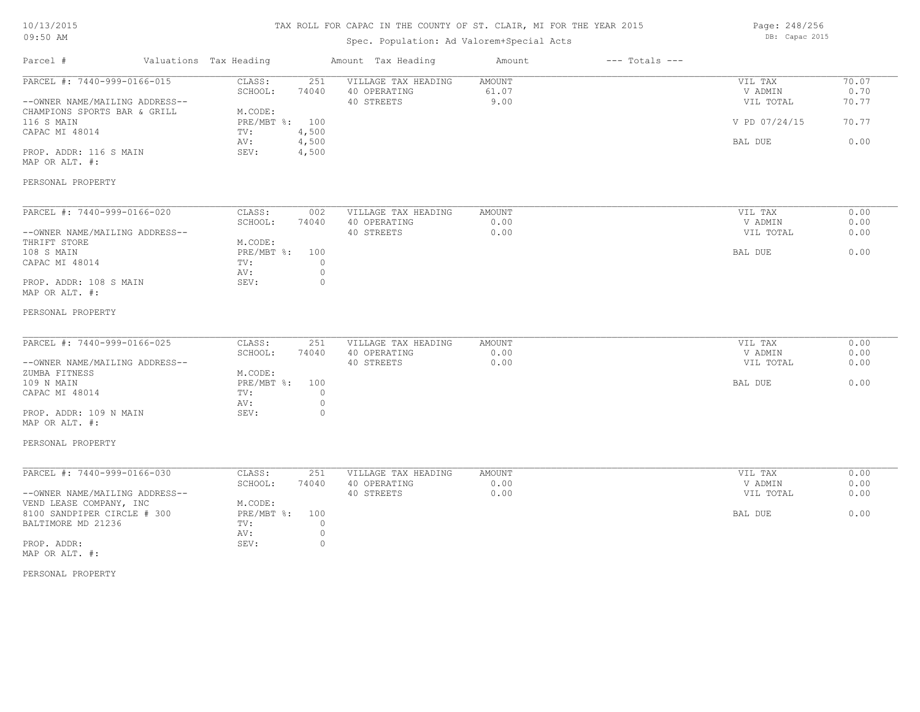#### TAX ROLL FOR CAPAC IN THE COUNTY OF ST. CLAIR, MI FOR THE YEAR 2015

Spec. Population: Ad Valorem+Special Acts

Parcel # Valuations Tax Heading Amount Tax Heading Amount --- Totals ---PERSONAL PROPERTY MAP OR ALT. #: PROP. ADDR: 116 S MAIN SEV: 4,500 AV: 4,500 BAL DUE 0.00 CAPAC MI 48014 TV: 4,500<br>
AV: 4,500 116 S MAIN PRE/MBT %: 100 V PD 07/24/15 70.77 CHAMPIONS SPORTS BAR & GRILL M.CODE:<br>116 S MAIN PRE/MBT %: 100 --OWNER NAME/MAILING ADDRESS-- 40 STREETS 9.00 VIL TOTAL 70.77 SCHOOL: 74040 40 OPERATING 61.07 V ADMIN 0.70 PARCEL #: 7440-999-0166-015 CLASS: 251 VILLAGE TAX HEADING AMOUNT NULLAGE ON THE TAX 70.07<br>SCHOOL: 74040 40 OPERATING 61.07 61.07 VADMIN 0.70  $\mathcal{L}_\mathcal{L} = \mathcal{L}_\mathcal{L} = \mathcal{L}_\mathcal{L} = \mathcal{L}_\mathcal{L} = \mathcal{L}_\mathcal{L} = \mathcal{L}_\mathcal{L} = \mathcal{L}_\mathcal{L} = \mathcal{L}_\mathcal{L} = \mathcal{L}_\mathcal{L} = \mathcal{L}_\mathcal{L} = \mathcal{L}_\mathcal{L} = \mathcal{L}_\mathcal{L} = \mathcal{L}_\mathcal{L} = \mathcal{L}_\mathcal{L} = \mathcal{L}_\mathcal{L} = \mathcal{L}_\mathcal{L} = \mathcal{L}_\mathcal{L}$ PERSONAL PROPERTY MAP OR ALT. #: PROP. ADDR: 108 S MAIN SEV: 0 AV: 0 CAPAC MI 48014 TV: 0<br>
AV: 0 108 S MAIN CHARLOUE RESTARD BAL DUE CONSUMER SECTION OF THE PRESSURE OF A SERVICE SERVICE SERVICE SERVICE SERVICE THRIFT STORE **M.CODE:**<br>108 S MAIN **Market Market Strategy** PRE/MBT %: 100 --OWNER NAME/MAILING ADDRESS-- 40 STREETS 0.00 VIL TOTAL 0.00 SCHOOL: 74040 40 OPERATING 0.00 V ADMIN 0.00 PARCEL #: 7440-999-0166-020 CLASS: 002 VILLAGE TAX HEADING AMOUNT VIL TAX VIL TAX 0.00<br>SCHOOL: 74040 40 OPERATING 0.00 000 VADMIN 0.00  $\mathcal{L}_\mathcal{L} = \mathcal{L}_\mathcal{L} = \mathcal{L}_\mathcal{L} = \mathcal{L}_\mathcal{L} = \mathcal{L}_\mathcal{L} = \mathcal{L}_\mathcal{L} = \mathcal{L}_\mathcal{L} = \mathcal{L}_\mathcal{L} = \mathcal{L}_\mathcal{L} = \mathcal{L}_\mathcal{L} = \mathcal{L}_\mathcal{L} = \mathcal{L}_\mathcal{L} = \mathcal{L}_\mathcal{L} = \mathcal{L}_\mathcal{L} = \mathcal{L}_\mathcal{L} = \mathcal{L}_\mathcal{L} = \mathcal{L}_\mathcal{L}$ PERSONAL PROPERTY MAP OR ALT. #: PROP. ADDR: 109 N MAIN SEV: 0 AV: 0 CAPAC MI 48014 TV: 0 109 N MAIN PRE/MBT %: 100 BAL DUE 0.00 zUMBA FITNESS<br>109 N MAIN CHARLES DESCRIPTION PRE/MBT \$: 100 --OWNER NAME/MAILING ADDRESS-- 40 STREETS 0.00 VIL TOTAL 0.00 SCHOOL: 74040 40 OPERATING 0.00 V ADMIN 0.00 PARCEL #: 7440-999-0166-025 CLASS: 251 VILLAGE TAX HEADING AMOUNT AUGUST 2010 VIL TAX 0.00<br>SCHOOL: 74040 40 OPERATING 0.00 00 VADMIN 0.00  $\mathcal{L}_\mathcal{L} = \mathcal{L}_\mathcal{L} = \mathcal{L}_\mathcal{L} = \mathcal{L}_\mathcal{L} = \mathcal{L}_\mathcal{L} = \mathcal{L}_\mathcal{L} = \mathcal{L}_\mathcal{L} = \mathcal{L}_\mathcal{L} = \mathcal{L}_\mathcal{L} = \mathcal{L}_\mathcal{L} = \mathcal{L}_\mathcal{L} = \mathcal{L}_\mathcal{L} = \mathcal{L}_\mathcal{L} = \mathcal{L}_\mathcal{L} = \mathcal{L}_\mathcal{L} = \mathcal{L}_\mathcal{L} = \mathcal{L}_\mathcal{L}$ PERSONAL PROPERTY MAP OR ALT. #: PROP. ADDR: SEV: 0 AV: 0 BALTIMORE MD 21236 TV:  $0$ <br>AV: 0 8100 SANDPIPER CIRCLE # 300 PRE/MBT %: 100 PRE/MBT %: 100 BAL DUE 6.00 VEND LEASE COMPANY, INC M.CODE: --OWNER NAME/MAILING ADDRESS-- 40 STREETS 0.00 VIL TOTAL 0.00 SCHOOL: 74040 40 OPERATING 0.00 V ADMIN 0.00 PARCEL #: 7440-999-0166-030 CLASS: 251 VILLAGE TAX HEADING AMOUNT VIL TAX 0.00

Page: 248/256 DB: Capac 2015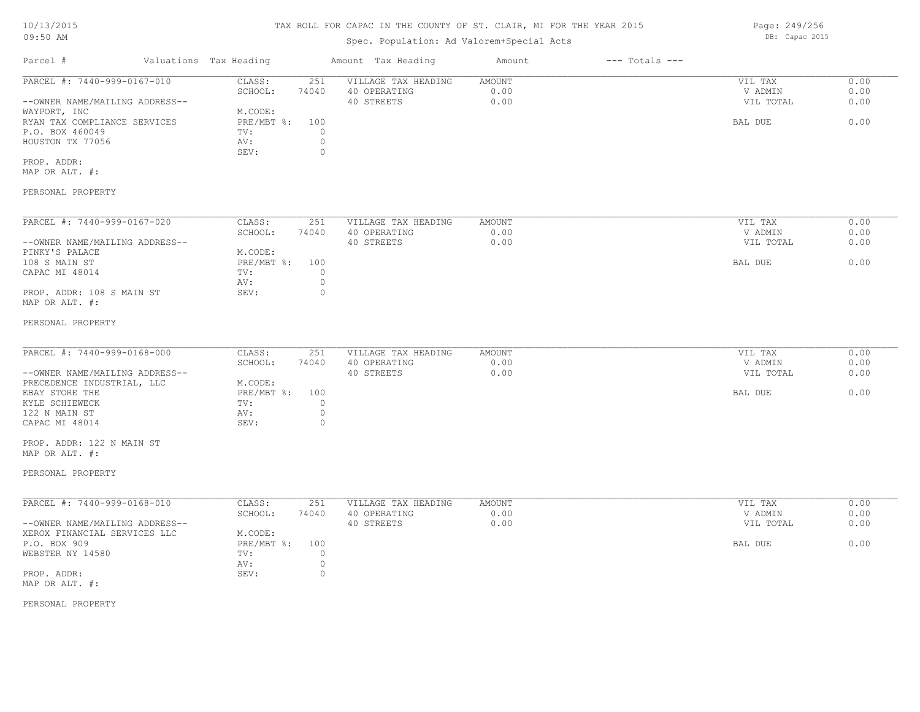# TAX ROLL FOR CAPAC IN THE COUNTY OF ST. CLAIR, MI FOR THE YEAR 2015

# Spec. Population: Ad Valorem+Special Acts

| Parcel #                       | Valuations Tax Heading |       | Amount Tax Heading  | Amount | $---$ Totals $---$ |           |      |
|--------------------------------|------------------------|-------|---------------------|--------|--------------------|-----------|------|
| PARCEL #: 7440-999-0167-010    | CLASS:                 | 251   | VILLAGE TAX HEADING | AMOUNT |                    | VIL TAX   | 0.00 |
|                                | SCHOOL:                | 74040 | 40 OPERATING        | 0.00   |                    | V ADMIN   | 0.00 |
| --OWNER NAME/MAILING ADDRESS-- |                        |       | 40 STREETS          | 0.00   |                    | VIL TOTAL | 0.00 |
| WAYPORT, INC                   | M.CODE:                |       |                     |        |                    |           |      |
| RYAN TAX COMPLIANCE SERVICES   | $PRE/MBT$ %:           | 100   |                     |        |                    | BAL DUE   | 0.00 |
| P.O. BOX 460049                | TV:                    |       |                     |        |                    |           |      |
| HOUSTON TX 77056               | AV:                    |       |                     |        |                    |           |      |
|                                | SEV:                   |       |                     |        |                    |           |      |
| PROP. ADDR:                    |                        |       |                     |        |                    |           |      |

MAP OR ALT. #:

### PERSONAL PROPERTY

| PARCEL #: 7440-999-0167-020    | CLASS:     | 251   | VILLAGE TAX HEADING | AMOUNT | VIL TAX   | 0.00 |
|--------------------------------|------------|-------|---------------------|--------|-----------|------|
|                                | SCHOOL:    | 74040 | 40 OPERATING        | 0.00   | V ADMIN   | 0.00 |
| --OWNER NAME/MAILING ADDRESS-- |            |       | 40 STREETS          | 0.00   | VIL TOTAL | 0.00 |
| PINKY'S PALACE                 | M.CODE:    |       |                     |        |           |      |
| 108 S MAIN ST                  | PRE/MBT %: | 100   |                     |        | BAL DUE   | 0.00 |
| CAPAC MI 48014                 | TV:        |       |                     |        |           |      |
|                                | AV:        |       |                     |        |           |      |
| PROP. ADDR: 108 S MAIN ST      | SEV:       |       |                     |        |           |      |
| MAP OR ALT. #:                 |            |       |                     |        |           |      |

#### PERSONAL PROPERTY

| PARCEL #: 7440-999-0168-000    | CLASS:         | 251   | VILLAGE TAX HEADING | AMOUNT | VIL TAX   | 0.00 |
|--------------------------------|----------------|-------|---------------------|--------|-----------|------|
|                                | SCHOOL:        | 74040 | 40 OPERATING        | 0.00   | V ADMIN   | 0.00 |
| --OWNER NAME/MAILING ADDRESS-- |                |       | 40 STREETS          | 0.00   | VIL TOTAL | 0.00 |
| PRECEDENCE INDUSTRIAL, LLC     | M.CODE:        |       |                     |        |           |      |
| EBAY STORE THE                 | PRE/MBT %: 100 |       |                     |        | BAL DUE   | 0.00 |
| KYLE SCHIEWECK                 | TV:            |       |                     |        |           |      |
| 122 N MAIN ST                  | AV:            |       |                     |        |           |      |
| CAPAC MI 48014                 | SEV:           |       |                     |        |           |      |

MAP OR ALT. #: PROP. ADDR: 122 N MAIN ST

#### PERSONAL PROPERTY

| PARCEL #: 7440-999-0168-010    | CLASS:       | 251   | VILLAGE TAX HEADING | AMOUNT | VIL TAX   | 0.00 |
|--------------------------------|--------------|-------|---------------------|--------|-----------|------|
|                                | SCHOOL:      | 74040 | 40 OPERATING        | 0.00   | V ADMIN   | 0.00 |
| --OWNER NAME/MAILING ADDRESS-- |              |       | 40 STREETS          | 0.00   | VIL TOTAL | 0.00 |
| XEROX FINANCIAL SERVICES LLC   | M.CODE:      |       |                     |        |           |      |
| P.O. BOX 909                   | $PRE/MBT$ %: | 100   |                     |        | BAL DUE   | 0.00 |
| WEBSTER NY 14580               | TV:          |       |                     |        |           |      |
|                                | AV:          |       |                     |        |           |      |
| PROP. ADDR:                    | SEV:         |       |                     |        |           |      |
| MAP OR ALT. #:                 |              |       |                     |        |           |      |

PERSONAL PROPERTY

Page: 249/256 DB: Capac 2015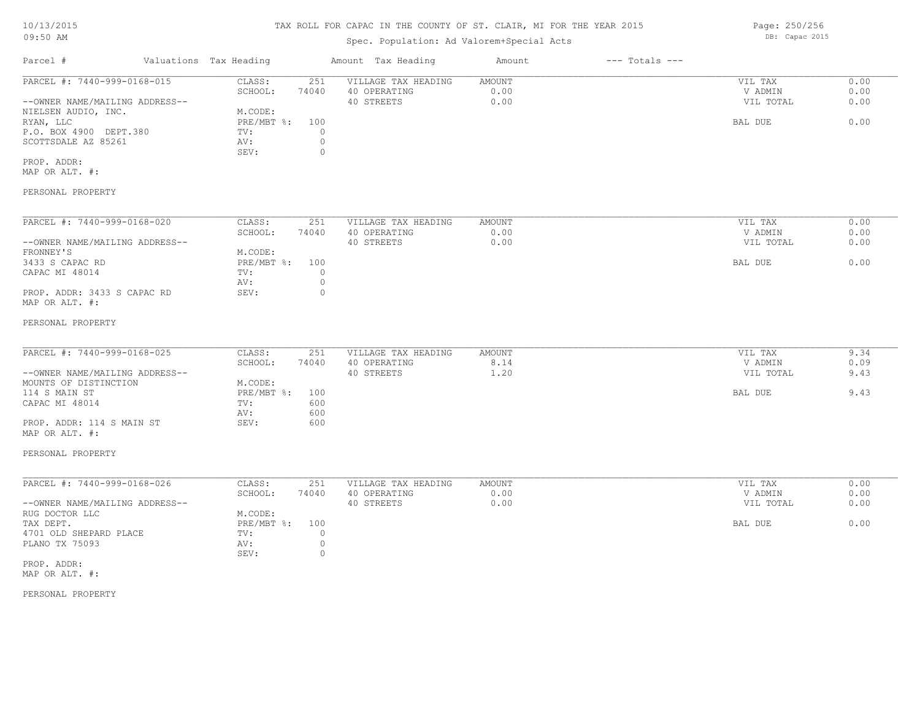# TAX ROLL FOR CAPAC IN THE COUNTY OF ST. CLAIR, MI FOR THE YEAR 2015

# Spec. Population: Ad Valorem+Special Acts

| Parcel #                       |  | Valuations Tax Heading | Amount Tax Heading |                     | Amount | $---$ Totals $---$ |           |      |  |
|--------------------------------|--|------------------------|--------------------|---------------------|--------|--------------------|-----------|------|--|
| PARCEL #: 7440-999-0168-015    |  | CLASS:                 | 251                | VILLAGE TAX HEADING | AMOUNT |                    | VIL TAX   | 0.00 |  |
|                                |  | SCHOOL:                | 74040              | 40 OPERATING        | 0.00   |                    | V ADMIN   | 0.00 |  |
| --OWNER NAME/MAILING ADDRESS-- |  |                        |                    | 40 STREETS          | 0.00   |                    | VIL TOTAL | 0.00 |  |
| NIELSEN AUDIO, INC.            |  | M.CODE:                |                    |                     |        |                    |           |      |  |
| RYAN, LLC                      |  | $PRE/MBT$ %:           | 100                |                     |        |                    | BAL DUE   | 0.00 |  |
| P.O. BOX 4900 DEPT.380         |  | TV:                    |                    |                     |        |                    |           |      |  |
| SCOTTSDALE AZ 85261            |  | AV:                    |                    |                     |        |                    |           |      |  |
|                                |  | SEV:                   |                    |                     |        |                    |           |      |  |
| PROP. ADDR:                    |  |                        |                    |                     |        |                    |           |      |  |

MAP OR ALT. #:

### PERSONAL PROPERTY

| PARCEL #: 7440-999-0168-020    | CLASS:     | 251   | VILLAGE TAX HEADING | AMOUNT | VIL TAX   | 0.00 |
|--------------------------------|------------|-------|---------------------|--------|-----------|------|
|                                | SCHOOL:    | 74040 | 40 OPERATING        | 0.00   | V ADMIN   | 0.00 |
| --OWNER NAME/MAILING ADDRESS-- |            |       | 40 STREETS          | 0.00   | VIL TOTAL | 0.00 |
| FRONNEY'S                      | M.CODE:    |       |                     |        |           |      |
| 3433 S CAPAC RD                | PRE/MBT %: | 100   |                     |        | BAL DUE   | 0.00 |
| CAPAC MI 48014                 | TV:        |       |                     |        |           |      |
|                                | AV:        |       |                     |        |           |      |
| PROP. ADDR: 3433 S CAPAC RD    | SEV:       |       |                     |        |           |      |
| MAP OR ALT. #:                 |            |       |                     |        |           |      |

#### PERSONAL PROPERTY

| PARCEL #: 7440-999-0168-025    | CLASS:       | 251   | VILLAGE TAX HEADING | AMOUNT | VIL TAX   | 9.34 |
|--------------------------------|--------------|-------|---------------------|--------|-----------|------|
|                                | SCHOOL:      | 74040 | 40 OPERATING        | 8.14   | V ADMIN   | 0.09 |
| --OWNER NAME/MAILING ADDRESS-- |              |       | 40 STREETS          | 1.20   | VIL TOTAL | 9.43 |
| MOUNTS OF DISTINCTION          | M.CODE:      |       |                     |        |           |      |
| 114 S MAIN ST                  | $PRE/MBT$ %: | 100   |                     |        | BAL DUE   | 9.43 |
| CAPAC MI 48014                 | TV:          | 600   |                     |        |           |      |
|                                | AV:          | 600   |                     |        |           |      |
| PROP. ADDR: 114 S MAIN ST      | SEV:         | 600   |                     |        |           |      |
| MAP OR ALT. #:                 |              |       |                     |        |           |      |

#### PERSONAL PROPERTY

| PARCEL #: 7440-999-0168-026    | CLASS:       | 251   | VILLAGE TAX HEADING | AMOUNT | VIL TAX   | 0.00 |
|--------------------------------|--------------|-------|---------------------|--------|-----------|------|
|                                | SCHOOL:      | 74040 | 40 OPERATING        | 0.00   | V ADMIN   | 0.00 |
| --OWNER NAME/MAILING ADDRESS-- |              |       | 40 STREETS          | 0.00   | VIL TOTAL | 0.00 |
| RUG DOCTOR LLC                 | M.CODE:      |       |                     |        |           |      |
| TAX DEPT.                      | $PRE/MBT$ %: | 100   |                     |        | BAL DUE   | 0.00 |
| 4701 OLD SHEPARD PLACE         | TV:          |       |                     |        |           |      |
| PLANO TX 75093                 | AV:          |       |                     |        |           |      |
|                                | SEV:         |       |                     |        |           |      |
| PROP. ADDR:                    |              |       |                     |        |           |      |

MAP OR ALT. #:

PERSONAL PROPERTY

Page: 250/256 DB: Capac 2015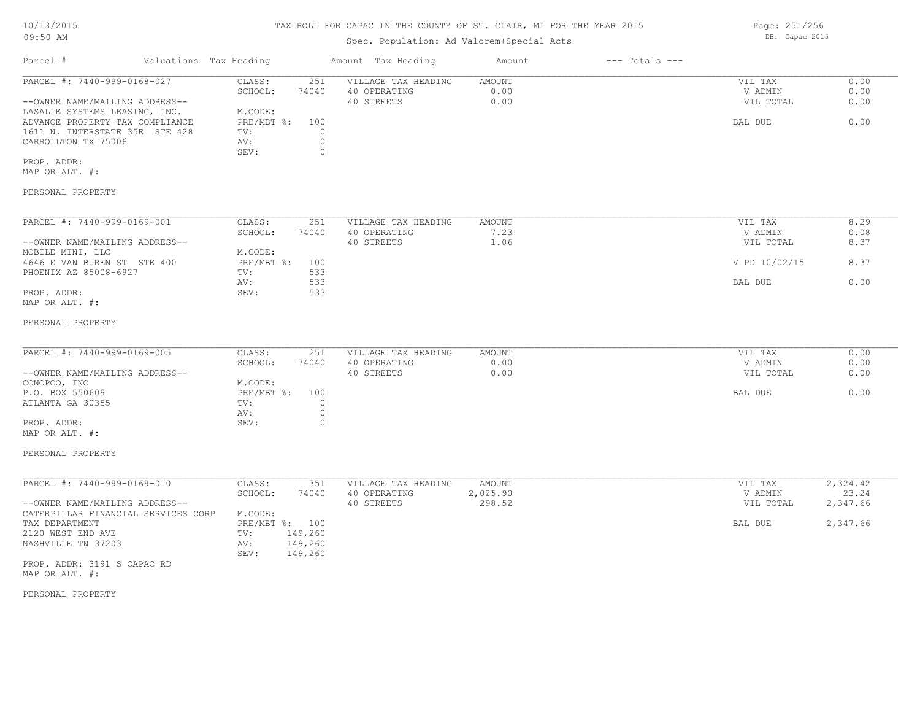### Spec. Population: Ad Valorem+Special Acts

Parcel # Valuations Tax Heading Amount Tax Heading Amount --- Totals ---PERSONAL PROPERTY MAP OR ALT. #: PROP. ADDR: SEV: 0 CARROLLTON TX 75006 AV: 0 1611 N. INTERSTATE 35E STE 428 TV: 0 ADVANCE PROPERTY TAX COMPLIANCE PRE/MBT  $\frac{8}{3}$ : 100 BAL DUE 6.00 LASALLE SYSTEMS LEASING, INC. M.CODE: --OWNER NAME/MAILING ADDRESS-- 40 STREETS 0.00 VIL TOTAL 0.00 SCHOOL: 74040 40 OPERATING 0.00 V ADMIN 0.00 PARCEL #: 7440-999-0168-027 CLASS: 251 VILLAGE TAX HEADING AMOUNT AUGUST 20.00 VIL TAX 0.00<br>SCHOOL: 74040 40 OPERATING 0.00 0.00 VADMIN 0.00  $\mathcal{L}_\mathcal{L} = \mathcal{L}_\mathcal{L} = \mathcal{L}_\mathcal{L} = \mathcal{L}_\mathcal{L} = \mathcal{L}_\mathcal{L} = \mathcal{L}_\mathcal{L} = \mathcal{L}_\mathcal{L} = \mathcal{L}_\mathcal{L} = \mathcal{L}_\mathcal{L} = \mathcal{L}_\mathcal{L} = \mathcal{L}_\mathcal{L} = \mathcal{L}_\mathcal{L} = \mathcal{L}_\mathcal{L} = \mathcal{L}_\mathcal{L} = \mathcal{L}_\mathcal{L} = \mathcal{L}_\mathcal{L} = \mathcal{L}_\mathcal{L}$ 

| PARCEL #: 7440-999-0169-001    | CLASS:       | 251   | VILLAGE TAX HEADING | AMOUNT | VIL TAX       | 8.29 |
|--------------------------------|--------------|-------|---------------------|--------|---------------|------|
|                                | SCHOOL:      | 74040 | 40 OPERATING        | 7.23   | V ADMIN       | 0.08 |
| --OWNER NAME/MAILING ADDRESS-- |              |       | 40 STREETS          | ⊥.06   | VIL TOTAL     | 8.37 |
| MOBILE MINI, LLC               | M.CODE:      |       |                     |        |               |      |
| 4646 E VAN BUREN ST STE 400    | $PRE/MBT$ %: | 100   |                     |        | V PD 10/02/15 | 8.37 |
| PHOENIX AZ 85008-6927          | TV:          | 533   |                     |        |               |      |
|                                | AV:          | 533   |                     |        | BAL DUE       | 0.00 |
| PROP. ADDR:                    | SEV:         | 533   |                     |        |               |      |
| MAP OR ALT. #:                 |              |       |                     |        |               |      |

#### PERSONAL PROPERTY

| PARCEL #: 7440-999-0169-005    | CLASS:         | 251   | VILLAGE TAX HEADING | AMOUNT | VIL TAX   | 0.00 |
|--------------------------------|----------------|-------|---------------------|--------|-----------|------|
|                                | SCHOOL:        | 74040 | 40 OPERATING        | 0.00   | V ADMIN   | 0.00 |
| --OWNER NAME/MAILING ADDRESS-- |                |       | 40 STREETS          | 0.00   | VIL TOTAL | 0.00 |
| CONOPCO, INC                   | M.CODE:        |       |                     |        |           |      |
| P.O. BOX 550609                | PRE/MBT %: 100 |       |                     |        | BAL DUE   | 0.00 |
| ATLANTA GA 30355               | TV:            |       |                     |        |           |      |
|                                | AV:            |       |                     |        |           |      |
| PROP. ADDR:                    | SEV:           |       |                     |        |           |      |
| MAP OR ALT. #:                 |                |       |                     |        |           |      |

### PERSONAL PROPERTY

| PARCEL #: 7440-999-0169-010         | CLASS:  | 351            | VILLAGE TAX HEADING | AMOUNT   | VIL TAX   | 2,324.42 |
|-------------------------------------|---------|----------------|---------------------|----------|-----------|----------|
|                                     | SCHOOL: | 74040          | 40 OPERATING        | 2,025.90 | V ADMIN   | 23.24    |
| --OWNER NAME/MAILING ADDRESS--      |         |                | 40 STREETS          | 298.52   | VIL TOTAL | 2,347.66 |
| CATERPILLAR FINANCIAL SERVICES CORP | M.CODE: |                |                     |          |           |          |
| TAX DEPARTMENT                      |         | PRE/MBT %: 100 |                     |          | BAL DUE   | 2,347.66 |
| 2120 WEST END AVE                   | TV:     | 149,260        |                     |          |           |          |
| NASHVILLE TN 37203                  | AV:     | 149,260        |                     |          |           |          |
|                                     | SEV:    | 149,260        |                     |          |           |          |
| PROP. ADDR: 3191 S CAPAC RD         |         |                |                     |          |           |          |

MAP OR ALT. #:

PERSONAL PROPERTY

Page: 251/256 DB: Capac 2015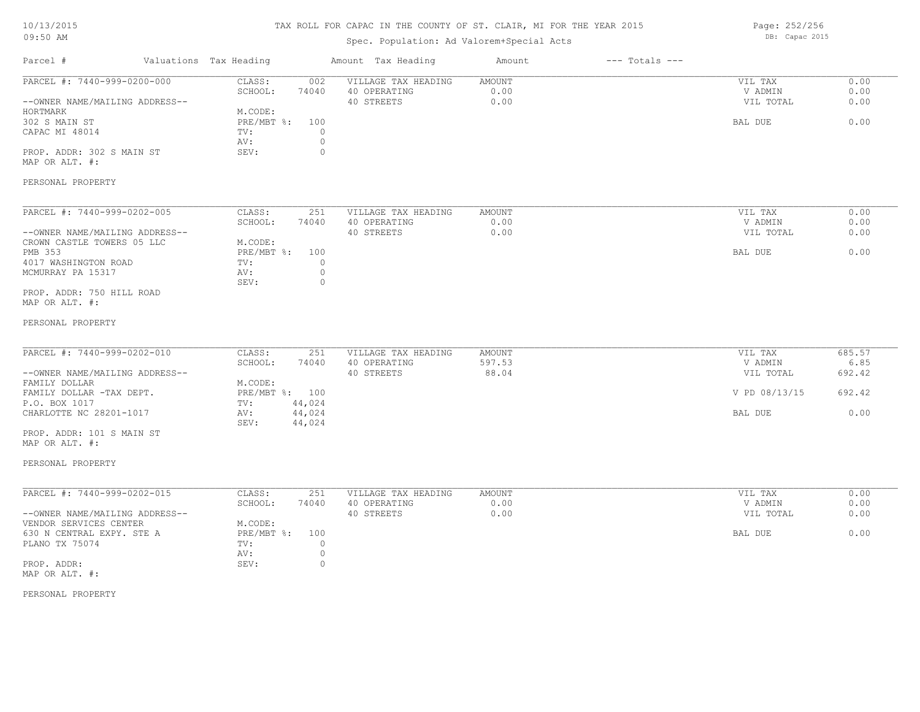# TAX ROLL FOR CAPAC IN THE COUNTY OF ST. CLAIR, MI FOR THE YEAR 2015

# Spec. Population: Ad Valorem+Special Acts

Page: 252/256 DB: Capac 2015

| Parcel #                                                                                                                                                                                                                   | Valuations Tax Heading                                                                                             | Amount Tax Heading                                                                 | Amount                    | $---$ Totals $---$ |                                                             |                                            |
|----------------------------------------------------------------------------------------------------------------------------------------------------------------------------------------------------------------------------|--------------------------------------------------------------------------------------------------------------------|------------------------------------------------------------------------------------|---------------------------|--------------------|-------------------------------------------------------------|--------------------------------------------|
| PARCEL #: 7440-999-0200-000<br>--OWNER NAME/MAILING ADDRESS--<br>HORTMARK<br>302 S MAIN ST<br>CAPAC MI 48014<br>PROP. ADDR: 302 S MAIN ST<br>MAP OR ALT. #:                                                                | CLASS:<br>002<br>SCHOOL:<br>74040<br>M.CODE:<br>$PRE/MBT$ %:<br>100<br>TV:<br>AV:<br>SEV:                          | VILLAGE TAX HEADING<br>40 OPERATING<br>40 STREETS<br>$\circ$<br>$\circ$<br>$\circ$ | AMOUNT<br>0.00<br>0.00    |                    | VIL TAX<br>V ADMIN<br>VIL TOTAL<br>BAL DUE                  | 0.00<br>0.00<br>0.00<br>0.00               |
| PERSONAL PROPERTY                                                                                                                                                                                                          |                                                                                                                    |                                                                                    |                           |                    |                                                             |                                            |
| PARCEL #: 7440-999-0202-005<br>--OWNER NAME/MAILING ADDRESS--<br>CROWN CASTLE TOWERS 05 LLC<br>PMB 353<br>4017 WASHINGTON ROAD<br>MCMURRAY PA 15317<br>PROP. ADDR: 750 HILL ROAD<br>MAP OR ALT. #:<br>PERSONAL PROPERTY    | CLASS:<br>251<br>SCHOOL:<br>74040<br>M.CODE:<br>$PRE/MBT$ %:<br>100<br>TV:<br>AV:<br>SEV:                          | VILLAGE TAX HEADING<br>40 OPERATING<br>40 STREETS<br>$\circ$<br>$\circ$<br>$\circ$ | AMOUNT<br>0.00<br>0.00    |                    | VIL TAX<br>V ADMIN<br>VIL TOTAL<br>BAL DUE                  | 0.00<br>0.00<br>0.00<br>0.00               |
| PARCEL #: 7440-999-0202-010<br>--OWNER NAME/MAILING ADDRESS--<br>FAMILY DOLLAR<br>FAMILY DOLLAR -TAX DEPT.<br>P.O. BOX 1017<br>CHARLOTTE NC 28201-1017<br>PROP. ADDR: 101 S MAIN ST<br>MAP OR ALT. #:<br>PERSONAL PROPERTY | CLASS:<br>251<br>SCHOOL:<br>74040<br>M.CODE:<br>PRE/MBT %: 100<br>TV:<br>44,024<br>AV:<br>44,024<br>SEV:<br>44,024 | VILLAGE TAX HEADING<br>40 OPERATING<br>40 STREETS                                  | AMOUNT<br>597.53<br>88.04 |                    | VIL TAX<br>V ADMIN<br>VIL TOTAL<br>V PD 08/13/15<br>BAL DUE | 685.57<br>6.85<br>692.42<br>692.42<br>0.00 |
| PARCEL #: 7440-999-0202-015<br>--OWNER NAME/MAILING ADDRESS--<br>VENDOR SERVICES CENTER<br>630 N CENTRAL EXPY. STE A<br>PLANO TX 75074<br>PROP. ADDR:<br>MAP OR ALT. #:                                                    | CLASS:<br>251<br>SCHOOL:<br>74040<br>M.CODE:<br>$PRE/MBT$ $\frac{1}{6}$ :<br>100<br>TV:<br>AV:<br>SEV:             | VILLAGE TAX HEADING<br>40 OPERATING<br>40 STREETS<br>$\circ$<br>$\circ$<br>0       | AMOUNT<br>0.00<br>0.00    |                    | VIL TAX<br>V ADMIN<br>VIL TOTAL<br>BAL DUE                  | 0.00<br>0.00<br>0.00<br>0.00               |

PERSONAL PROPERTY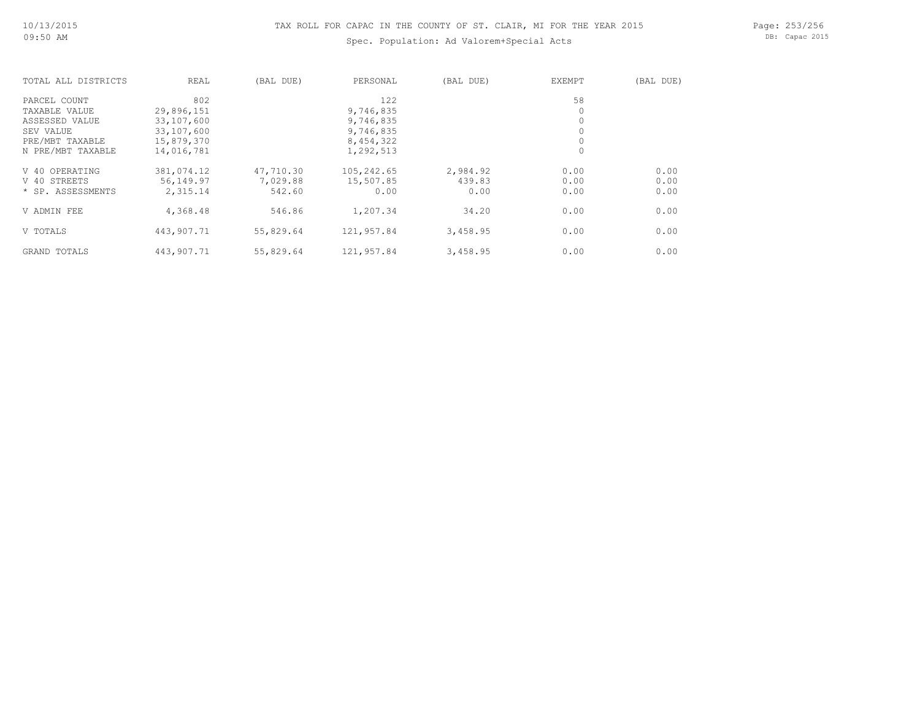Page: 253/256 DB: Capac 2015

| TOTAL ALL DISTRICTS | REAL       | (BAL DUE) | PERSONAL   | (BAL DUE) | <b>EXEMPT</b> | (BAL DUE) |
|---------------------|------------|-----------|------------|-----------|---------------|-----------|
| PARCEL COUNT        | 802        |           | 122        |           | 58            |           |
| TAXABLE VALUE       | 29,896,151 |           | 9,746,835  |           | 0             |           |
| ASSESSED VALUE      | 33,107,600 |           | 9,746,835  |           | $\circ$       |           |
| SEV VALUE           | 33,107,600 |           | 9,746,835  |           | $\circ$       |           |
| PRE/MBT TAXABLE     | 15,879,370 |           | 8,454,322  |           | $\circ$       |           |
| N PRE/MBT TAXABLE   | 14,016,781 |           | 1,292,513  |           | $\circ$       |           |
| V 40 OPERATING      | 381,074.12 | 47,710.30 | 105,242.65 | 2,984.92  | 0.00          | 0.00      |
| V 40 STREETS        | 56,149.97  | 7,029.88  | 15,507.85  | 439.83    | 0.00          | 0.00      |
| * SP. ASSESSMENTS   | 2,315.14   | 542.60    | 0.00       | 0.00      | 0.00          | 0.00      |
| V ADMIN FEE         | 4,368.48   | 546.86    | 1,207.34   | 34.20     | 0.00          | 0.00      |
| V TOTALS            | 443,907.71 | 55,829.64 | 121,957.84 | 3,458.95  | 0.00          | 0.00      |
| GRAND TOTALS        | 443,907.71 | 55,829.64 | 121,957.84 | 3,458.95  | 0.00          | 0.00      |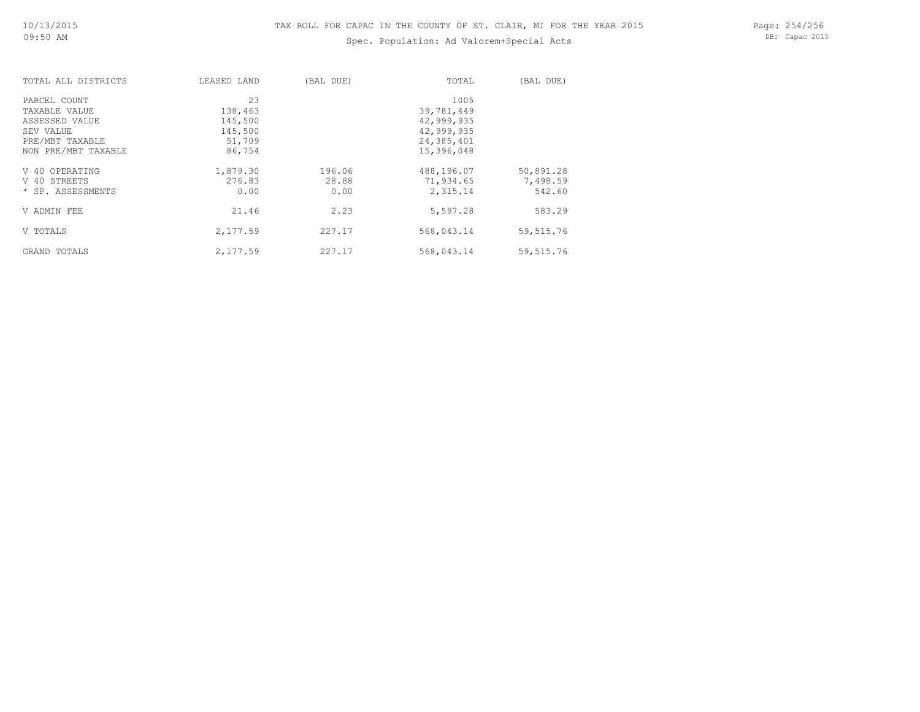Page: 254/256 DB: Capac 2015

| TOTAL ALL DISTRICTS | LEASED LAND | (BAL DUE) | TOTAL      | (BAL DUE)  |
|---------------------|-------------|-----------|------------|------------|
| PARCEL COUNT        | 23          |           | 1005       |            |
| TAXABLE VALUE       | 138,463     |           | 39,781,449 |            |
| ASSESSED VALUE      | 145,500     |           | 42,999,935 |            |
| SEV VALUE           | 145,500     |           | 42,999,935 |            |
| PRE/MBT TAXABLE     | 51,709      |           | 24,385,401 |            |
| NON PRE/MBT TAXABLE | 86,754      |           | 15,396,048 |            |
| V 40 OPERATING      | 1,879.30    | 196.06    | 488,196.07 | 50,891.28  |
| V 40 STREETS        | 276.83      | 28.88     | 71,934.65  | 7,498.59   |
| * SP. ASSESSMENTS   | 0.00        | 0.00      | 2,315.14   | 542.60     |
| V ADMIN FEE         | 21.46       | 2.23      | 5,597.28   | 583.29     |
| V TOTALS            | 2,177.59    | 227.17    | 568,043.14 | 59, 515.76 |
| GRAND TOTALS        | 2,177.59    | 227.17    | 568,043.14 | 59, 515.76 |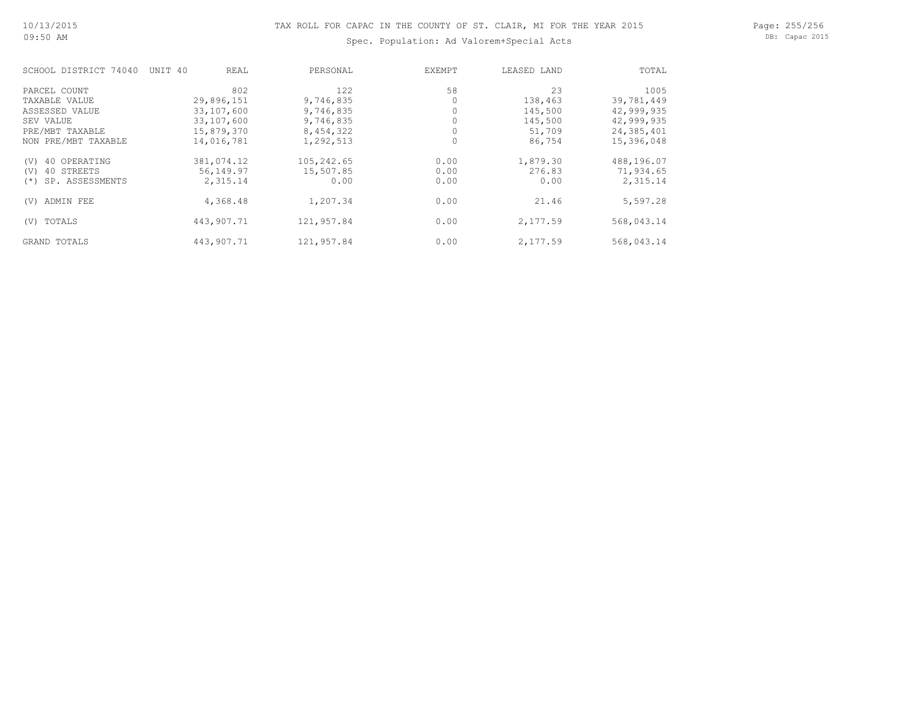Page: 255/256 DB: Capac 2015

| SCHOOL DISTRICT 74040     | UNIT 40<br>REAL | PERSONAL   | <b>EXEMPT</b> | LEASED LAND | TOTAL      |
|---------------------------|-----------------|------------|---------------|-------------|------------|
| PARCEL COUNT              | 802             | 122        | 58            | 23          | 1005       |
| TAXABLE VALUE             | 29,896,151      | 9,746,835  |               | 138,463     | 39,781,449 |
| ASSESSED VALUE            | 33,107,600      | 9,746,835  |               | 145,500     | 42,999,935 |
| SEV VALUE                 | 33,107,600      | 9,746,835  |               | 145,500     | 42,999,935 |
| PRE/MBT TAXABLE           | 15,879,370      | 8,454,322  |               | 51,709      | 24,385,401 |
| NON PRE/MBT TAXABLE       | 14,016,781      | 1,292,513  | 0             | 86,754      | 15,396,048 |
| 40 OPERATING<br>(V)       | 381,074.12      | 105,242.65 | 0.00          | 1,879.30    | 488,196.07 |
| 40 STREETS<br>(V)         | 56,149.97       | 15,507.85  | 0.00          | 276.83      | 71,934.65  |
| SP. ASSESSMENTS<br>$(* )$ | 2,315.14        | 0.00       | 0.00          | 0.00        | 2,315.14   |
| ADMIN FEE<br>(V)          | 4,368.48        | 1,207.34   | 0.00          | 21.46       | 5,597.28   |
| TOTALS<br>(V)             | 443,907.71      | 121,957.84 | 0.00          | 2,177.59    | 568,043.14 |
| GRAND TOTALS              | 443,907.71      | 121,957.84 | 0.00          | 2,177.59    | 568,043.14 |